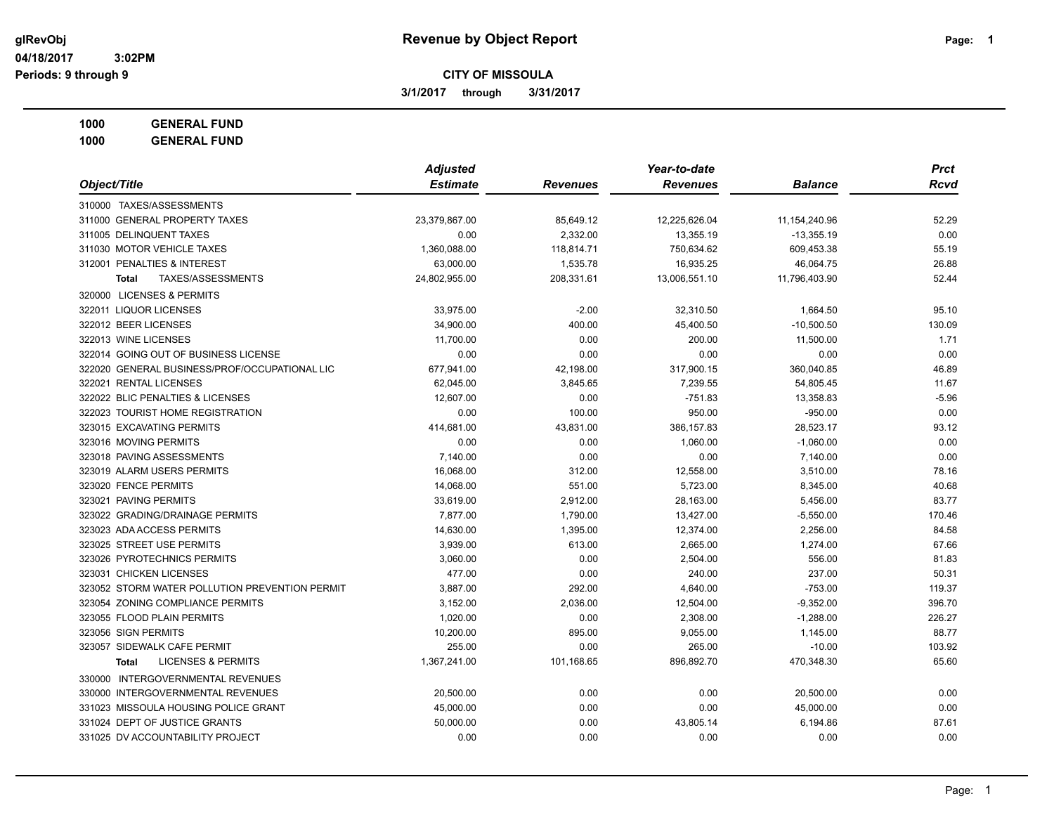**3/1/2017 through 3/31/2017**

**1000 GENERAL FUND**

| Object/Title                                   | <b>Adjusted</b> |                 | Year-to-date    |                  | <b>Prct</b> |
|------------------------------------------------|-----------------|-----------------|-----------------|------------------|-------------|
|                                                | <b>Estimate</b> | <b>Revenues</b> | <b>Revenues</b> | <b>Balance</b>   | <b>Rcvd</b> |
| 310000 TAXES/ASSESSMENTS                       |                 |                 |                 |                  |             |
| 311000 GENERAL PROPERTY TAXES                  | 23,379,867.00   | 85,649.12       | 12,225,626.04   | 11, 154, 240. 96 | 52.29       |
| 311005 DELINQUENT TAXES                        | 0.00            | 2,332.00        | 13,355.19       | $-13,355.19$     | 0.00        |
| 311030 MOTOR VEHICLE TAXES                     | 1,360,088.00    | 118,814.71      | 750,634.62      | 609,453.38       | 55.19       |
| 312001 PENALTIES & INTEREST                    | 63,000.00       | 1,535.78        | 16,935.25       | 46,064.75        | 26.88       |
| TAXES/ASSESSMENTS<br>Total                     | 24,802,955.00   | 208,331.61      | 13,006,551.10   | 11,796,403.90    | 52.44       |
| 320000 LICENSES & PERMITS                      |                 |                 |                 |                  |             |
| 322011 LIQUOR LICENSES                         | 33,975.00       | $-2.00$         | 32,310.50       | 1,664.50         | 95.10       |
| 322012 BEER LICENSES                           | 34,900.00       | 400.00          | 45,400.50       | $-10,500.50$     | 130.09      |
| 322013 WINE LICENSES                           | 11,700.00       | 0.00            | 200.00          | 11,500.00        | 1.71        |
| 322014 GOING OUT OF BUSINESS LICENSE           | 0.00            | 0.00            | 0.00            | 0.00             | 0.00        |
| 322020 GENERAL BUSINESS/PROF/OCCUPATIONAL LIC  | 677,941.00      | 42,198.00       | 317,900.15      | 360,040.85       | 46.89       |
| 322021 RENTAL LICENSES                         | 62,045.00       | 3,845.65        | 7,239.55        | 54,805.45        | 11.67       |
| 322022 BLIC PENALTIES & LICENSES               | 12,607.00       | 0.00            | $-751.83$       | 13,358.83        | $-5.96$     |
| 322023 TOURIST HOME REGISTRATION               | 0.00            | 100.00          | 950.00          | $-950.00$        | 0.00        |
| 323015 EXCAVATING PERMITS                      | 414,681.00      | 43,831.00       | 386, 157.83     | 28,523.17        | 93.12       |
| 323016 MOVING PERMITS                          | 0.00            | 0.00            | 1,060.00        | $-1,060.00$      | 0.00        |
| 323018 PAVING ASSESSMENTS                      | 7,140.00        | 0.00            | 0.00            | 7,140.00         | 0.00        |
| 323019 ALARM USERS PERMITS                     | 16,068.00       | 312.00          | 12,558.00       | 3,510.00         | 78.16       |
| 323020 FENCE PERMITS                           | 14,068.00       | 551.00          | 5,723.00        | 8,345.00         | 40.68       |
| 323021 PAVING PERMITS                          | 33,619.00       | 2,912.00        | 28,163.00       | 5,456.00         | 83.77       |
| 323022 GRADING/DRAINAGE PERMITS                | 7.877.00        | 1,790.00        | 13,427.00       | $-5,550.00$      | 170.46      |
| 323023 ADA ACCESS PERMITS                      | 14,630.00       | 1,395.00        | 12,374.00       | 2,256.00         | 84.58       |
| 323025 STREET USE PERMITS                      | 3,939.00        | 613.00          | 2,665.00        | 1,274.00         | 67.66       |
| 323026 PYROTECHNICS PERMITS                    | 3,060.00        | 0.00            | 2,504.00        | 556.00           | 81.83       |
| 323031 CHICKEN LICENSES                        | 477.00          | 0.00            | 240.00          | 237.00           | 50.31       |
| 323052 STORM WATER POLLUTION PREVENTION PERMIT | 3,887.00        | 292.00          | 4,640.00        | $-753.00$        | 119.37      |
| 323054 ZONING COMPLIANCE PERMITS               | 3,152.00        | 2,036.00        | 12,504.00       | $-9,352.00$      | 396.70      |
| 323055 FLOOD PLAIN PERMITS                     | 1,020.00        | 0.00            | 2,308.00        | $-1,288.00$      | 226.27      |
| 323056 SIGN PERMITS                            | 10,200.00       | 895.00          | 9,055.00        | 1,145.00         | 88.77       |
| 323057 SIDEWALK CAFE PERMIT                    | 255.00          | 0.00            | 265.00          | $-10.00$         | 103.92      |
| <b>LICENSES &amp; PERMITS</b><br>Total         | 1,367,241.00    | 101,168.65      | 896,892.70      | 470,348.30       | 65.60       |
| 330000 INTERGOVERNMENTAL REVENUES              |                 |                 |                 |                  |             |
| 330000 INTERGOVERNMENTAL REVENUES              | 20,500.00       | 0.00            | 0.00            | 20,500.00        | 0.00        |
| 331023 MISSOULA HOUSING POLICE GRANT           | 45,000.00       | 0.00            | 0.00            | 45,000.00        | 0.00        |
| 331024 DEPT OF JUSTICE GRANTS                  | 50,000.00       | 0.00            | 43,805.14       | 6,194.86         | 87.61       |
| 331025 DV ACCOUNTABILITY PROJECT               | 0.00            | 0.00            | 0.00            | 0.00             | 0.00        |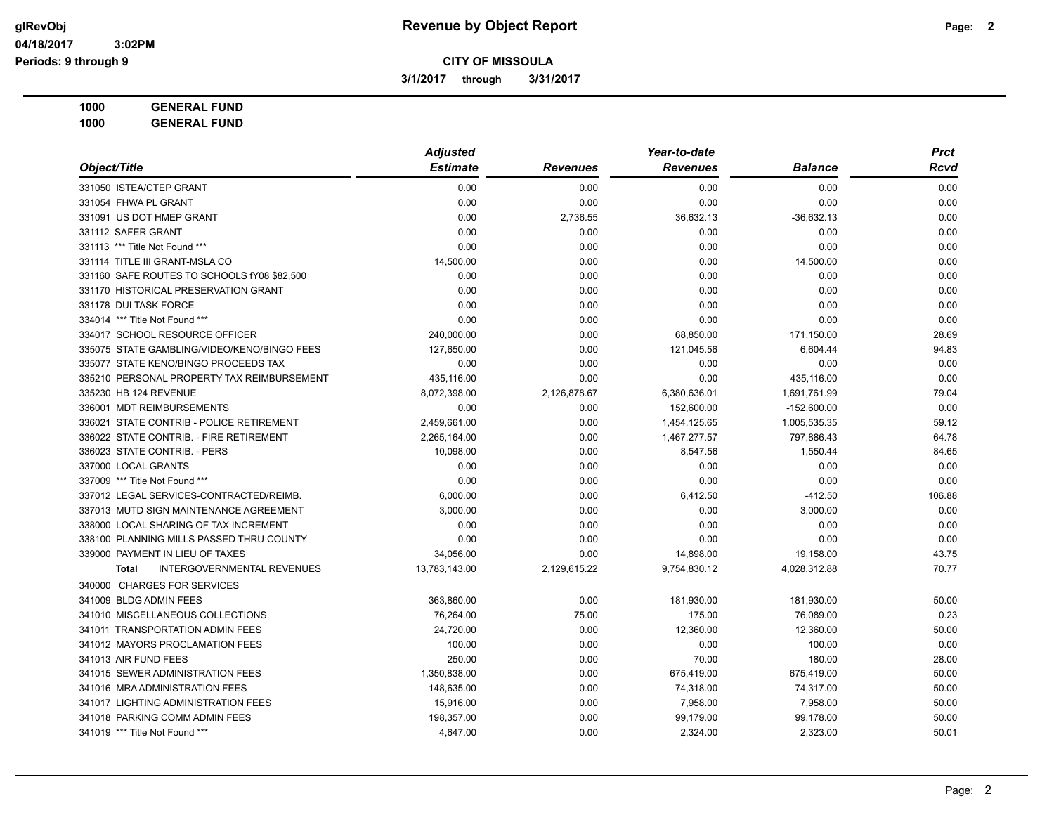**3/1/2017 through 3/31/2017**

|                                                   | <b>Adjusted</b> |                 | Year-to-date    |                | <b>Prct</b> |
|---------------------------------------------------|-----------------|-----------------|-----------------|----------------|-------------|
| Object/Title                                      | <b>Estimate</b> | <b>Revenues</b> | <b>Revenues</b> | <b>Balance</b> | <b>Rcvd</b> |
| 331050 ISTEA/CTEP GRANT                           | 0.00            | 0.00            | 0.00            | 0.00           | 0.00        |
| 331054 FHWA PL GRANT                              | 0.00            | 0.00            | 0.00            | 0.00           | 0.00        |
| 331091 US DOT HMEP GRANT                          | 0.00            | 2,736.55        | 36,632.13       | $-36,632.13$   | 0.00        |
| 331112 SAFER GRANT                                | 0.00            | 0.00            | 0.00            | 0.00           | 0.00        |
| 331113 *** Title Not Found ***                    | 0.00            | 0.00            | 0.00            | 0.00           | 0.00        |
| 331114 TITLE III GRANT-MSLA CO                    | 14,500.00       | 0.00            | 0.00            | 14,500.00      | 0.00        |
| 331160 SAFE ROUTES TO SCHOOLS fY08 \$82,500       | 0.00            | 0.00            | 0.00            | 0.00           | 0.00        |
| 331170 HISTORICAL PRESERVATION GRANT              | 0.00            | 0.00            | 0.00            | 0.00           | 0.00        |
| 331178 DUI TASK FORCE                             | 0.00            | 0.00            | 0.00            | 0.00           | 0.00        |
| 334014 *** Title Not Found ***                    | 0.00            | 0.00            | 0.00            | 0.00           | 0.00        |
| 334017 SCHOOL RESOURCE OFFICER                    | 240,000.00      | 0.00            | 68,850.00       | 171,150.00     | 28.69       |
| 335075 STATE GAMBLING/VIDEO/KENO/BINGO FEES       | 127.650.00      | 0.00            | 121,045.56      | 6,604.44       | 94.83       |
| 335077 STATE KENO/BINGO PROCEEDS TAX              | 0.00            | 0.00            | 0.00            | 0.00           | 0.00        |
| 335210 PERSONAL PROPERTY TAX REIMBURSEMENT        | 435,116.00      | 0.00            | 0.00            | 435,116.00     | 0.00        |
| 335230 HB 124 REVENUE                             | 8,072,398.00    | 2,126,878.67    | 6,380,636.01    | 1,691,761.99   | 79.04       |
| 336001 MDT REIMBURSEMENTS                         | 0.00            | 0.00            | 152,600.00      | $-152,600.00$  | 0.00        |
| 336021 STATE CONTRIB - POLICE RETIREMENT          | 2,459,661.00    | 0.00            | 1,454,125.65    | 1,005,535.35   | 59.12       |
| 336022 STATE CONTRIB. - FIRE RETIREMENT           | 2,265,164.00    | 0.00            | 1,467,277.57    | 797,886.43     | 64.78       |
| 336023 STATE CONTRIB. - PERS                      | 10,098.00       | 0.00            | 8,547.56        | 1,550.44       | 84.65       |
| 337000 LOCAL GRANTS                               | 0.00            | 0.00            | 0.00            | 0.00           | 0.00        |
| 337009 *** Title Not Found ***                    | 0.00            | 0.00            | 0.00            | 0.00           | 0.00        |
| 337012 LEGAL SERVICES-CONTRACTED/REIMB.           | 6,000.00        | 0.00            | 6,412.50        | $-412.50$      | 106.88      |
| 337013 MUTD SIGN MAINTENANCE AGREEMENT            | 3,000.00        | 0.00            | 0.00            | 3,000.00       | 0.00        |
| 338000 LOCAL SHARING OF TAX INCREMENT             | 0.00            | 0.00            | 0.00            | 0.00           | 0.00        |
| 338100 PLANNING MILLS PASSED THRU COUNTY          | 0.00            | 0.00            | 0.00            | 0.00           | 0.00        |
| 339000 PAYMENT IN LIEU OF TAXES                   | 34,056.00       | 0.00            | 14,898.00       | 19,158.00      | 43.75       |
| <b>INTERGOVERNMENTAL REVENUES</b><br><b>Total</b> | 13,783,143.00   | 2,129,615.22    | 9,754,830.12    | 4,028,312.88   | 70.77       |
| 340000 CHARGES FOR SERVICES                       |                 |                 |                 |                |             |
| 341009 BLDG ADMIN FEES                            | 363,860.00      | 0.00            | 181,930.00      | 181,930.00     | 50.00       |
| 341010 MISCELLANEOUS COLLECTIONS                  | 76,264.00       | 75.00           | 175.00          | 76,089.00      | 0.23        |
| 341011 TRANSPORTATION ADMIN FEES                  | 24,720.00       | 0.00            | 12,360.00       | 12,360.00      | 50.00       |
| 341012 MAYORS PROCLAMATION FEES                   | 100.00          | 0.00            | 0.00            | 100.00         | 0.00        |
| 341013 AIR FUND FEES                              | 250.00          | 0.00            | 70.00           | 180.00         | 28.00       |
| 341015 SEWER ADMINISTRATION FEES                  | 1,350,838.00    | 0.00            | 675,419.00      | 675,419.00     | 50.00       |
| 341016 MRA ADMINISTRATION FEES                    | 148,635.00      | 0.00            | 74,318.00       | 74,317.00      | 50.00       |
| 341017 LIGHTING ADMINISTRATION FEES               | 15,916.00       | 0.00            | 7,958.00        | 7,958.00       | 50.00       |
| 341018 PARKING COMM ADMIN FEES                    | 198,357.00      | 0.00            | 99,179.00       | 99,178.00      | 50.00       |
| 341019 *** Title Not Found ***                    | 4,647.00        | 0.00            | 2,324.00        | 2,323.00       | 50.01       |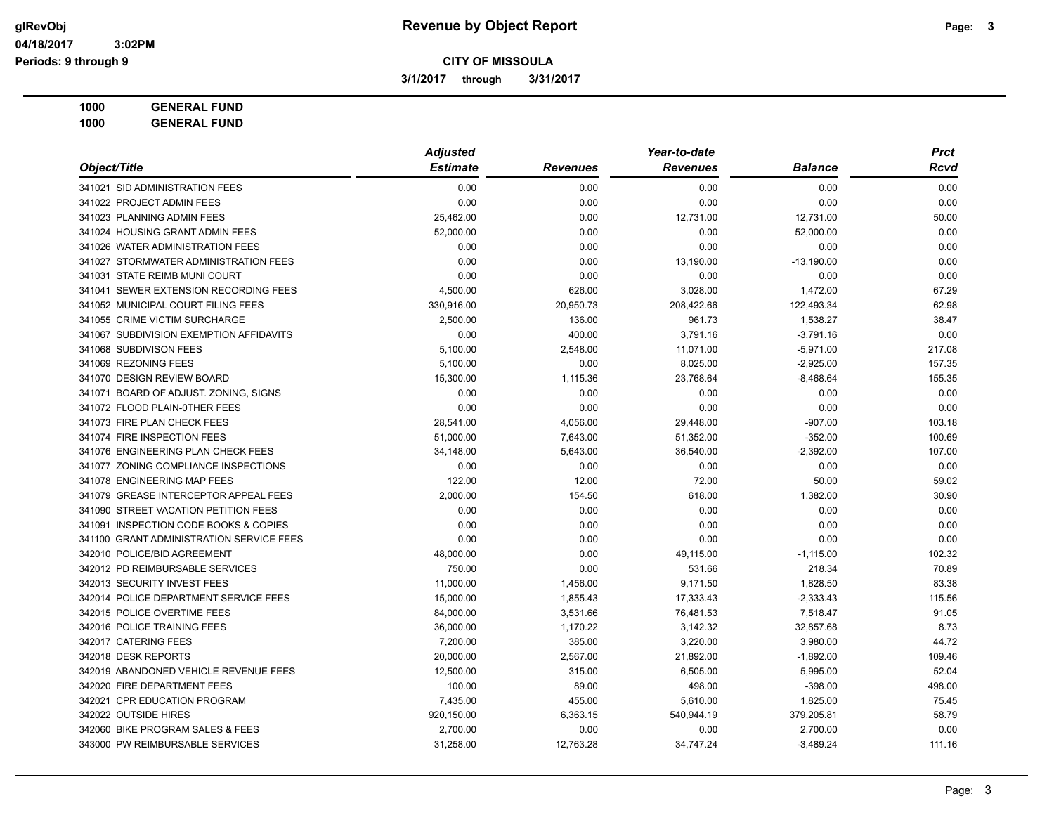**3/1/2017 through 3/31/2017**

| Object/Title                             | <b>Adjusted</b> |                 | Year-to-date    |                | <b>Prct</b> |
|------------------------------------------|-----------------|-----------------|-----------------|----------------|-------------|
|                                          | <b>Estimate</b> | <b>Revenues</b> | <b>Revenues</b> | <b>Balance</b> | Rcvd        |
| 341021 SID ADMINISTRATION FEES           | 0.00            | 0.00            | 0.00            | 0.00           | 0.00        |
| 341022 PROJECT ADMIN FEES                | 0.00            | 0.00            | 0.00            | 0.00           | 0.00        |
| 341023 PLANNING ADMIN FEES               | 25,462.00       | 0.00            | 12,731.00       | 12,731.00      | 50.00       |
| 341024 HOUSING GRANT ADMIN FEES          | 52,000.00       | 0.00            | 0.00            | 52,000.00      | 0.00        |
| 341026 WATER ADMINISTRATION FEES         | 0.00            | 0.00            | 0.00            | 0.00           | 0.00        |
| 341027 STORMWATER ADMINISTRATION FEES    | 0.00            | 0.00            | 13,190.00       | $-13,190.00$   | 0.00        |
| 341031 STATE REIMB MUNI COURT            | 0.00            | 0.00            | 0.00            | 0.00           | 0.00        |
| 341041 SEWER EXTENSION RECORDING FEES    | 4,500.00        | 626.00          | 3,028.00        | 1,472.00       | 67.29       |
| 341052 MUNICIPAL COURT FILING FEES       | 330,916.00      | 20,950.73       | 208,422.66      | 122,493.34     | 62.98       |
| 341055 CRIME VICTIM SURCHARGE            | 2,500.00        | 136.00          | 961.73          | 1,538.27       | 38.47       |
| 341067 SUBDIVISION EXEMPTION AFFIDAVITS  | 0.00            | 400.00          | 3,791.16        | $-3,791.16$    | 0.00        |
| 341068 SUBDIVISON FEES                   | 5,100.00        | 2,548.00        | 11,071.00       | $-5,971.00$    | 217.08      |
| 341069 REZONING FEES                     | 5,100.00        | 0.00            | 8,025.00        | $-2,925.00$    | 157.35      |
| 341070 DESIGN REVIEW BOARD               | 15,300.00       | 1,115.36        | 23,768.64       | $-8,468.64$    | 155.35      |
| 341071 BOARD OF ADJUST, ZONING, SIGNS    | 0.00            | 0.00            | 0.00            | 0.00           | 0.00        |
| 341072 FLOOD PLAIN-0THER FEES            | 0.00            | 0.00            | 0.00            | 0.00           | 0.00        |
| 341073 FIRE PLAN CHECK FEES              | 28,541.00       | 4,056.00        | 29,448.00       | $-907.00$      | 103.18      |
| 341074 FIRE INSPECTION FEES              | 51,000.00       | 7,643.00        | 51,352.00       | $-352.00$      | 100.69      |
| 341076 ENGINEERING PLAN CHECK FEES       | 34,148.00       | 5,643.00        | 36,540.00       | $-2,392.00$    | 107.00      |
| 341077 ZONING COMPLIANCE INSPECTIONS     | 0.00            | 0.00            | 0.00            | 0.00           | 0.00        |
| 341078 ENGINEERING MAP FEES              | 122.00          | 12.00           | 72.00           | 50.00          | 59.02       |
| 341079 GREASE INTERCEPTOR APPEAL FEES    | 2,000.00        | 154.50          | 618.00          | 1,382.00       | 30.90       |
| 341090 STREET VACATION PETITION FEES     | 0.00            | 0.00            | 0.00            | 0.00           | 0.00        |
| 341091 INSPECTION CODE BOOKS & COPIES    | 0.00            | 0.00            | 0.00            | 0.00           | 0.00        |
| 341100 GRANT ADMINISTRATION SERVICE FEES | 0.00            | 0.00            | 0.00            | 0.00           | 0.00        |
| 342010 POLICE/BID AGREEMENT              | 48,000.00       | 0.00            | 49,115.00       | $-1,115.00$    | 102.32      |
| 342012 PD REIMBURSABLE SERVICES          | 750.00          | 0.00            | 531.66          | 218.34         | 70.89       |
| 342013 SECURITY INVEST FEES              | 11,000.00       | 1,456.00        | 9,171.50        | 1,828.50       | 83.38       |
| 342014 POLICE DEPARTMENT SERVICE FEES    | 15,000.00       | 1,855.43        | 17,333.43       | $-2,333.43$    | 115.56      |
| 342015 POLICE OVERTIME FEES              | 84,000.00       | 3,531.66        | 76,481.53       | 7,518.47       | 91.05       |
| 342016 POLICE TRAINING FEES              | 36,000.00       | 1,170.22        | 3,142.32        | 32,857.68      | 8.73        |
| 342017 CATERING FEES                     | 7,200.00        | 385.00          | 3,220.00        | 3,980.00       | 44.72       |
| 342018 DESK REPORTS                      | 20,000.00       | 2,567.00        | 21,892.00       | $-1,892.00$    | 109.46      |
| 342019 ABANDONED VEHICLE REVENUE FEES    | 12,500.00       | 315.00          | 6,505.00        | 5,995.00       | 52.04       |
| 342020 FIRE DEPARTMENT FEES              | 100.00          | 89.00           | 498.00          | $-398.00$      | 498.00      |
| 342021 CPR EDUCATION PROGRAM             | 7,435.00        | 455.00          | 5,610.00        | 1,825.00       | 75.45       |
| 342022 OUTSIDE HIRES                     | 920,150.00      | 6,363.15        | 540,944.19      | 379,205.81     | 58.79       |
| 342060 BIKE PROGRAM SALES & FEES         | 2,700.00        | 0.00            | 0.00            | 2,700.00       | 0.00        |
| 343000 PW REIMBURSABLE SERVICES          | 31,258.00       | 12,763.28       | 34,747.24       | $-3,489.24$    | 111.16      |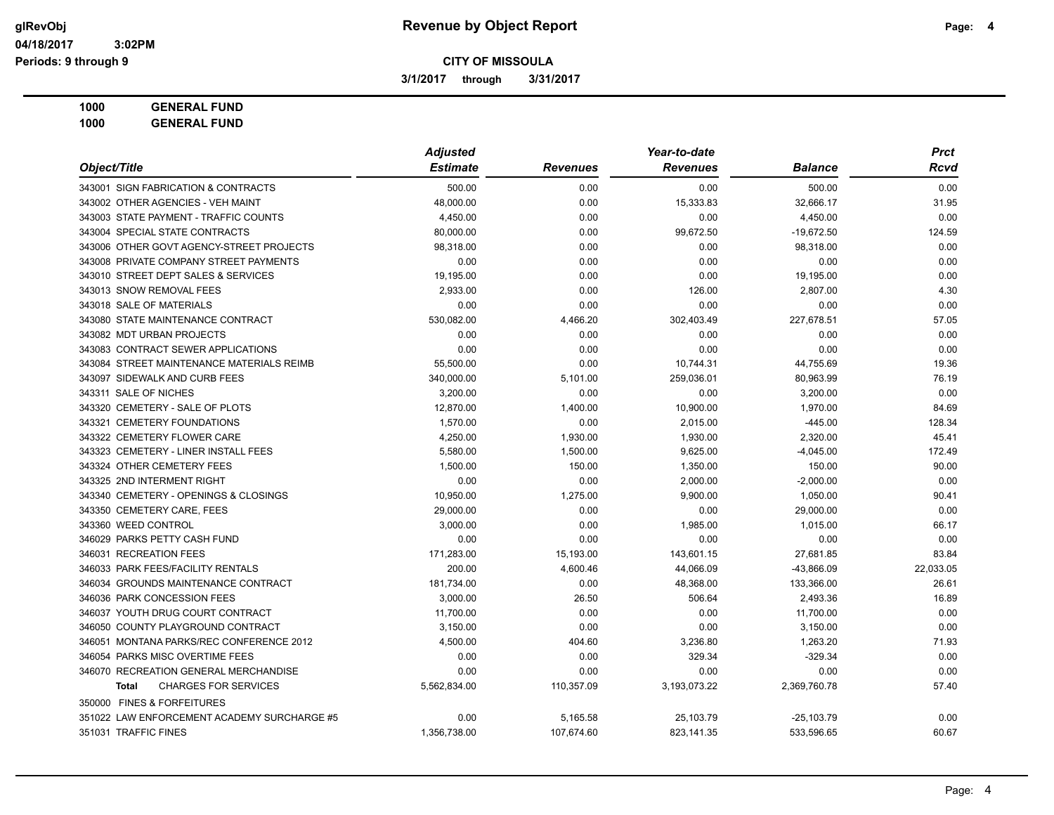**3/1/2017 through 3/31/2017**

| Object/Title                                | <b>Adjusted</b> |                 | Year-to-date    |                | <b>Prct</b> |
|---------------------------------------------|-----------------|-----------------|-----------------|----------------|-------------|
|                                             | <b>Estimate</b> | <b>Revenues</b> | <b>Revenues</b> | <b>Balance</b> | Rcvd        |
| 343001 SIGN FABRICATION & CONTRACTS         | 500.00          | 0.00            | 0.00            | 500.00         | 0.00        |
| 343002 OTHER AGENCIES - VEH MAINT           | 48,000.00       | 0.00            | 15,333.83       | 32,666.17      | 31.95       |
| 343003 STATE PAYMENT - TRAFFIC COUNTS       | 4,450.00        | 0.00            | 0.00            | 4,450.00       | 0.00        |
| 343004 SPECIAL STATE CONTRACTS              | 80,000.00       | 0.00            | 99,672.50       | $-19,672.50$   | 124.59      |
| 343006 OTHER GOVT AGENCY-STREET PROJECTS    | 98,318.00       | 0.00            | 0.00            | 98,318.00      | 0.00        |
| 343008 PRIVATE COMPANY STREET PAYMENTS      | 0.00            | 0.00            | 0.00            | 0.00           | 0.00        |
| 343010 STREET DEPT SALES & SERVICES         | 19,195.00       | 0.00            | 0.00            | 19,195.00      | 0.00        |
| 343013 SNOW REMOVAL FEES                    | 2,933.00        | 0.00            | 126.00          | 2,807.00       | 4.30        |
| 343018 SALE OF MATERIALS                    | 0.00            | 0.00            | 0.00            | 0.00           | 0.00        |
| 343080 STATE MAINTENANCE CONTRACT           | 530,082.00      | 4,466.20        | 302,403.49      | 227,678.51     | 57.05       |
| 343082 MDT URBAN PROJECTS                   | 0.00            | 0.00            | 0.00            | 0.00           | 0.00        |
| 343083 CONTRACT SEWER APPLICATIONS          | 0.00            | 0.00            | 0.00            | 0.00           | 0.00        |
| 343084 STREET MAINTENANCE MATERIALS REIMB   | 55,500.00       | 0.00            | 10,744.31       | 44,755.69      | 19.36       |
| 343097 SIDEWALK AND CURB FEES               | 340,000.00      | 5,101.00        | 259,036.01      | 80,963.99      | 76.19       |
| 343311 SALE OF NICHES                       | 3,200.00        | 0.00            | 0.00            | 3,200.00       | 0.00        |
| 343320 CEMETERY - SALE OF PLOTS             | 12,870.00       | 1,400.00        | 10,900.00       | 1,970.00       | 84.69       |
| 343321 CEMETERY FOUNDATIONS                 | 1,570.00        | 0.00            | 2,015.00        | $-445.00$      | 128.34      |
| 343322 CEMETERY FLOWER CARE                 | 4,250.00        | 1,930.00        | 1,930.00        | 2,320.00       | 45.41       |
| 343323 CEMETERY - LINER INSTALL FEES        | 5,580.00        | 1,500.00        | 9,625.00        | $-4,045.00$    | 172.49      |
| 343324 OTHER CEMETERY FEES                  | 1,500.00        | 150.00          | 1,350.00        | 150.00         | 90.00       |
| 343325 2ND INTERMENT RIGHT                  | 0.00            | 0.00            | 2,000.00        | $-2,000.00$    | 0.00        |
| 343340 CEMETERY - OPENINGS & CLOSINGS       | 10,950.00       | 1,275.00        | 9,900.00        | 1,050.00       | 90.41       |
| 343350 CEMETERY CARE, FEES                  | 29,000.00       | 0.00            | 0.00            | 29,000.00      | 0.00        |
| 343360 WEED CONTROL                         | 3,000.00        | 0.00            | 1,985.00        | 1,015.00       | 66.17       |
| 346029 PARKS PETTY CASH FUND                | 0.00            | 0.00            | 0.00            | 0.00           | 0.00        |
| 346031 RECREATION FEES                      | 171,283.00      | 15,193.00       | 143,601.15      | 27,681.85      | 83.84       |
| 346033 PARK FEES/FACILITY RENTALS           | 200.00          | 4,600.46        | 44,066.09       | -43,866.09     | 22,033.05   |
| 346034 GROUNDS MAINTENANCE CONTRACT         | 181,734.00      | 0.00            | 48,368.00       | 133,366.00     | 26.61       |
| 346036 PARK CONCESSION FEES                 | 3,000.00        | 26.50           | 506.64          | 2,493.36       | 16.89       |
| 346037 YOUTH DRUG COURT CONTRACT            | 11,700.00       | 0.00            | 0.00            | 11,700.00      | 0.00        |
| 346050 COUNTY PLAYGROUND CONTRACT           | 3,150.00        | 0.00            | 0.00            | 3,150.00       | 0.00        |
| 346051 MONTANA PARKS/REC CONFERENCE 2012    | 4,500.00        | 404.60          | 3,236.80        | 1,263.20       | 71.93       |
| 346054 PARKS MISC OVERTIME FEES             | 0.00            | 0.00            | 329.34          | $-329.34$      | 0.00        |
| 346070 RECREATION GENERAL MERCHANDISE       | 0.00            | 0.00            | 0.00            | 0.00           | 0.00        |
| <b>CHARGES FOR SERVICES</b><br><b>Total</b> | 5,562,834.00    | 110,357.09      | 3,193,073.22    | 2,369,760.78   | 57.40       |
| 350000 FINES & FORFEITURES                  |                 |                 |                 |                |             |
| 351022 LAW ENFORCEMENT ACADEMY SURCHARGE #5 | 0.00            | 5,165.58        | 25,103.79       | $-25,103.79$   | 0.00        |
| 351031 TRAFFIC FINES                        | 1,356,738.00    | 107,674.60      | 823,141.35      | 533,596.65     | 60.67       |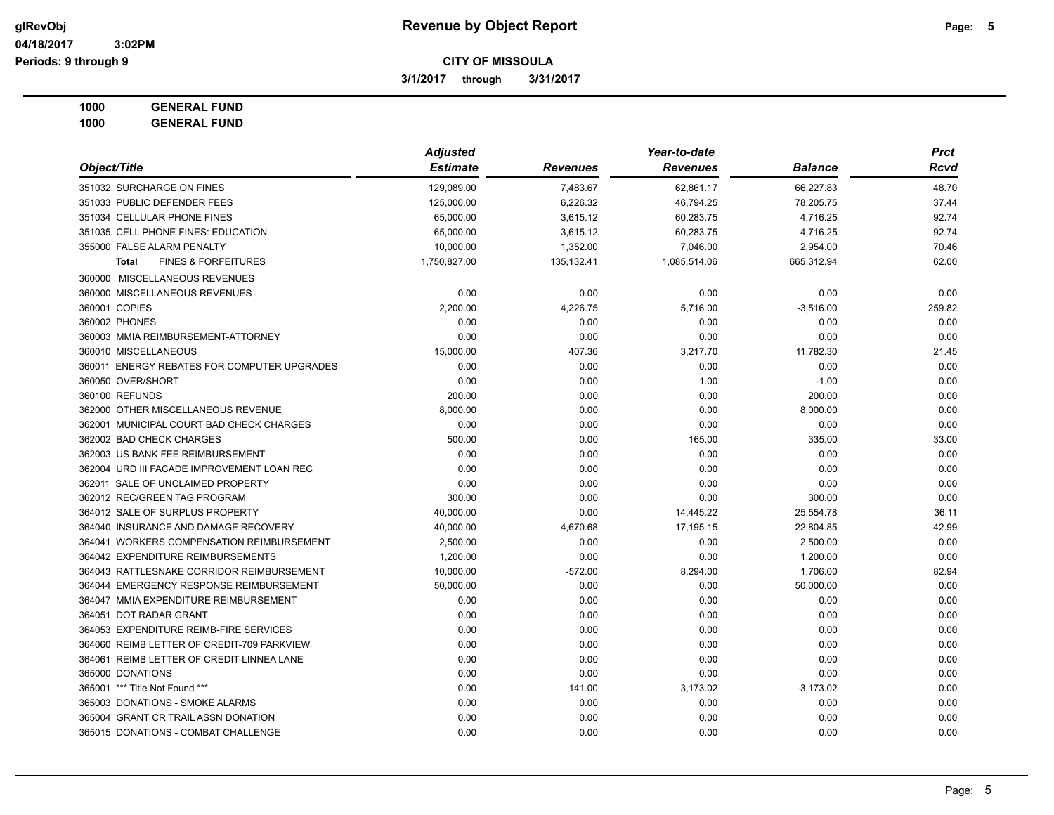**3/1/2017 through 3/31/2017**

|                                                | <b>Adjusted</b> |                 | Year-to-date    |                | <b>Prct</b> |
|------------------------------------------------|-----------------|-----------------|-----------------|----------------|-------------|
| Object/Title                                   | <b>Estimate</b> | <b>Revenues</b> | <b>Revenues</b> | <b>Balance</b> | Rcvd        |
| 351032 SURCHARGE ON FINES                      | 129.089.00      | 7,483.67        | 62,861.17       | 66,227.83      | 48.70       |
| 351033 PUBLIC DEFENDER FEES                    | 125,000.00      | 6,226.32        | 46,794.25       | 78,205.75      | 37.44       |
| 351034 CELLULAR PHONE FINES                    | 65,000.00       | 3,615.12        | 60,283.75       | 4,716.25       | 92.74       |
| 351035 CELL PHONE FINES: EDUCATION             | 65,000.00       | 3,615.12        | 60,283.75       | 4,716.25       | 92.74       |
| 355000 FALSE ALARM PENALTY                     | 10,000.00       | 1,352.00        | 7,046.00        | 2,954.00       | 70.46       |
| <b>Total</b><br><b>FINES &amp; FORFEITURES</b> | 1,750,827.00    | 135, 132.41     | 1,085,514.06    | 665,312.94     | 62.00       |
| 360000 MISCELLANEOUS REVENUES                  |                 |                 |                 |                |             |
| 360000 MISCELLANEOUS REVENUES                  | 0.00            | 0.00            | 0.00            | 0.00           | 0.00        |
| 360001 COPIES                                  | 2,200.00        | 4,226.75        | 5,716.00        | $-3,516.00$    | 259.82      |
| 360002 PHONES                                  | 0.00            | 0.00            | 0.00            | 0.00           | 0.00        |
| 360003 MMIA REIMBURSEMENT-ATTORNEY             | 0.00            | 0.00            | 0.00            | 0.00           | 0.00        |
| 360010 MISCELLANEOUS                           | 15,000.00       | 407.36          | 3,217.70        | 11,782.30      | 21.45       |
| 360011 ENERGY REBATES FOR COMPUTER UPGRADES    | 0.00            | 0.00            | 0.00            | 0.00           | 0.00        |
| 360050 OVER/SHORT                              | 0.00            | 0.00            | 1.00            | $-1.00$        | 0.00        |
| 360100 REFUNDS                                 | 200.00          | 0.00            | 0.00            | 200.00         | 0.00        |
| 362000 OTHER MISCELLANEOUS REVENUE             | 8,000.00        | 0.00            | 0.00            | 8,000.00       | 0.00        |
| 362001 MUNICIPAL COURT BAD CHECK CHARGES       | 0.00            | 0.00            | 0.00            | 0.00           | 0.00        |
| 362002 BAD CHECK CHARGES                       | 500.00          | 0.00            | 165.00          | 335.00         | 33.00       |
| 362003 US BANK FEE REIMBURSEMENT               | 0.00            | 0.00            | 0.00            | 0.00           | 0.00        |
| 362004 URD III FACADE IMPROVEMENT LOAN REC     | 0.00            | 0.00            | 0.00            | 0.00           | 0.00        |
| 362011 SALE OF UNCLAIMED PROPERTY              | 0.00            | 0.00            | 0.00            | 0.00           | 0.00        |
| 362012 REC/GREEN TAG PROGRAM                   | 300.00          | 0.00            | 0.00            | 300.00         | 0.00        |
| 364012 SALE OF SURPLUS PROPERTY                | 40,000.00       | 0.00            | 14,445.22       | 25,554.78      | 36.11       |
| 364040 INSURANCE AND DAMAGE RECOVERY           | 40,000.00       | 4,670.68        | 17,195.15       | 22,804.85      | 42.99       |
| 364041 WORKERS COMPENSATION REIMBURSEMENT      | 2,500.00        | 0.00            | 0.00            | 2,500.00       | 0.00        |
| 364042 EXPENDITURE REIMBURSEMENTS              | 1,200.00        | 0.00            | 0.00            | 1,200.00       | 0.00        |
| 364043 RATTLESNAKE CORRIDOR REIMBURSEMENT      | 10,000.00       | $-572.00$       | 8,294.00        | 1,706.00       | 82.94       |
| 364044 EMERGENCY RESPONSE REIMBURSEMENT        | 50,000.00       | 0.00            | 0.00            | 50,000.00      | 0.00        |
| 364047 MMIA EXPENDITURE REIMBURSEMENT          | 0.00            | 0.00            | 0.00            | 0.00           | 0.00        |
| 364051 DOT RADAR GRANT                         | 0.00            | 0.00            | 0.00            | 0.00           | 0.00        |
| 364053 EXPENDITURE REIMB-FIRE SERVICES         | 0.00            | 0.00            | 0.00            | 0.00           | 0.00        |
| 364060 REIMB LETTER OF CREDIT-709 PARKVIEW     | 0.00            | 0.00            | 0.00            | 0.00           | 0.00        |
| 364061 REIMB LETTER OF CREDIT-LINNEA LANE      | 0.00            | 0.00            | 0.00            | 0.00           | 0.00        |
| 365000 DONATIONS                               | 0.00            | 0.00            | 0.00            | 0.00           | 0.00        |
| 365001 *** Title Not Found ***                 | 0.00            | 141.00          | 3,173.02        | $-3,173.02$    | 0.00        |
| 365003 DONATIONS - SMOKE ALARMS                | 0.00            | 0.00            | 0.00            | 0.00           | 0.00        |
| 365004 GRANT CR TRAIL ASSN DONATION            | 0.00            | 0.00            | 0.00            | 0.00           | 0.00        |
| 365015 DONATIONS - COMBAT CHALLENGE            | 0.00            | 0.00            | 0.00            | 0.00           | 0.00        |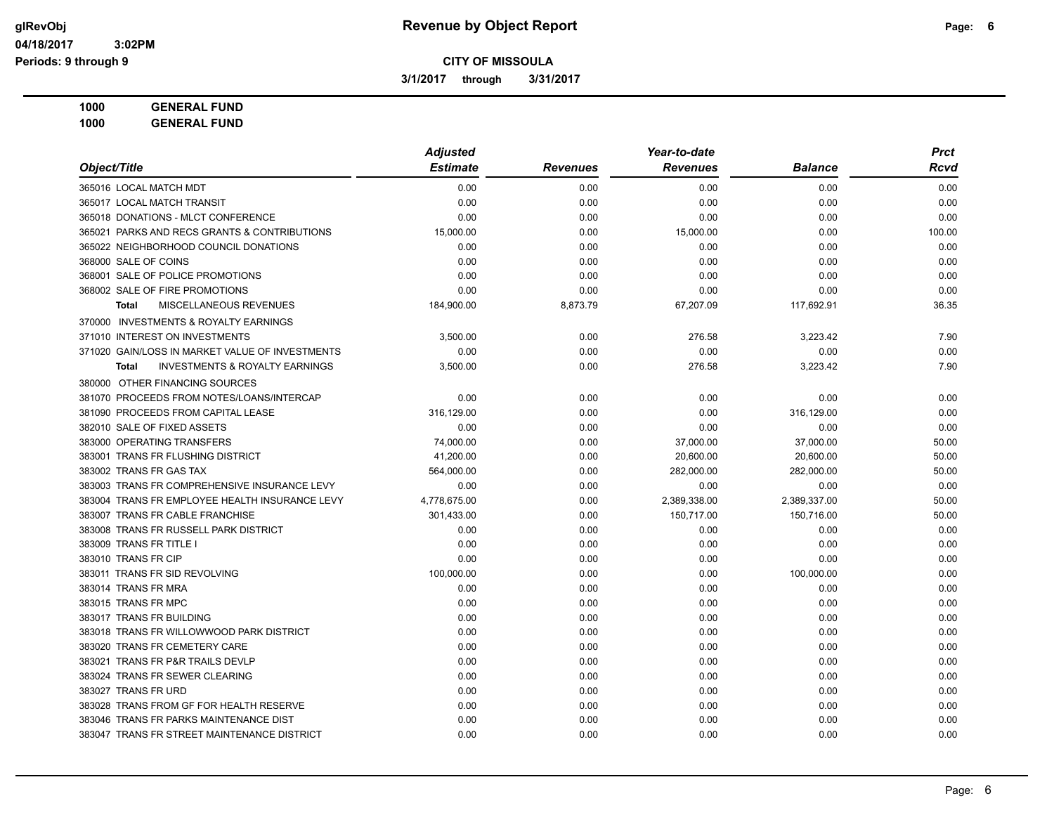**3/1/2017 through 3/31/2017**

|                                                    | <b>Adjusted</b> |                 | Year-to-date    |                | <b>Prct</b> |
|----------------------------------------------------|-----------------|-----------------|-----------------|----------------|-------------|
| Object/Title                                       | <b>Estimate</b> | <b>Revenues</b> | <b>Revenues</b> | <b>Balance</b> | <b>Rcvd</b> |
| 365016 LOCAL MATCH MDT                             | 0.00            | 0.00            | 0.00            | 0.00           | 0.00        |
| 365017 LOCAL MATCH TRANSIT                         | 0.00            | 0.00            | 0.00            | 0.00           | 0.00        |
| 365018 DONATIONS - MLCT CONFERENCE                 | 0.00            | 0.00            | 0.00            | 0.00           | 0.00        |
| 365021 PARKS AND RECS GRANTS & CONTRIBUTIONS       | 15,000.00       | 0.00            | 15,000.00       | 0.00           | 100.00      |
| 365022 NEIGHBORHOOD COUNCIL DONATIONS              | 0.00            | 0.00            | 0.00            | 0.00           | 0.00        |
| 368000 SALE OF COINS                               | 0.00            | 0.00            | 0.00            | 0.00           | 0.00        |
| 368001 SALE OF POLICE PROMOTIONS                   | 0.00            | 0.00            | 0.00            | 0.00           | 0.00        |
| 368002 SALE OF FIRE PROMOTIONS                     | 0.00            | 0.00            | 0.00            | 0.00           | 0.00        |
| <b>MISCELLANEOUS REVENUES</b><br><b>Total</b>      | 184,900.00      | 8,873.79        | 67,207.09       | 117,692.91     | 36.35       |
| 370000 INVESTMENTS & ROYALTY EARNINGS              |                 |                 |                 |                |             |
| 371010 INTEREST ON INVESTMENTS                     | 3,500.00        | 0.00            | 276.58          | 3,223.42       | 7.90        |
| 371020 GAIN/LOSS IN MARKET VALUE OF INVESTMENTS    | 0.00            | 0.00            | 0.00            | 0.00           | 0.00        |
| <b>INVESTMENTS &amp; ROYALTY EARNINGS</b><br>Total | 3,500.00        | 0.00            | 276.58          | 3,223.42       | 7.90        |
| 380000 OTHER FINANCING SOURCES                     |                 |                 |                 |                |             |
| 381070 PROCEEDS FROM NOTES/LOANS/INTERCAP          | 0.00            | 0.00            | 0.00            | 0.00           | 0.00        |
| 381090 PROCEEDS FROM CAPITAL LEASE                 | 316,129.00      | 0.00            | 0.00            | 316,129.00     | 0.00        |
| 382010 SALE OF FIXED ASSETS                        | 0.00            | 0.00            | 0.00            | 0.00           | 0.00        |
| 383000 OPERATING TRANSFERS                         | 74,000.00       | 0.00            | 37,000.00       | 37,000.00      | 50.00       |
| 383001 TRANS FR FLUSHING DISTRICT                  | 41,200.00       | 0.00            | 20,600.00       | 20,600.00      | 50.00       |
| 383002 TRANS FR GAS TAX                            | 564,000.00      | 0.00            | 282,000.00      | 282,000.00     | 50.00       |
| 383003 TRANS FR COMPREHENSIVE INSURANCE LEVY       | 0.00            | 0.00            | 0.00            | 0.00           | 0.00        |
| 383004 TRANS FR EMPLOYEE HEALTH INSURANCE LEVY     | 4,778,675.00    | 0.00            | 2,389,338.00    | 2,389,337.00   | 50.00       |
| 383007 TRANS FR CABLE FRANCHISE                    | 301,433.00      | 0.00            | 150,717.00      | 150,716.00     | 50.00       |
| 383008 TRANS FR RUSSELL PARK DISTRICT              | 0.00            | 0.00            | 0.00            | 0.00           | 0.00        |
| 383009 TRANS FR TITLE I                            | 0.00            | 0.00            | 0.00            | 0.00           | 0.00        |
| 383010 TRANS FR CIP                                | 0.00            | 0.00            | 0.00            | 0.00           | 0.00        |
| 383011 TRANS FR SID REVOLVING                      | 100,000.00      | 0.00            | 0.00            | 100,000.00     | 0.00        |
| 383014 TRANS FR MRA                                | 0.00            | 0.00            | 0.00            | 0.00           | 0.00        |
| 383015 TRANS FR MPC                                | 0.00            | 0.00            | 0.00            | 0.00           | 0.00        |
| 383017 TRANS FR BUILDING                           | 0.00            | 0.00            | 0.00            | 0.00           | 0.00        |
| 383018 TRANS FR WILLOWWOOD PARK DISTRICT           | 0.00            | 0.00            | 0.00            | 0.00           | 0.00        |
| 383020 TRANS FR CEMETERY CARE                      | 0.00            | 0.00            | 0.00            | 0.00           | 0.00        |
| 383021 TRANS FR P&R TRAILS DEVLP                   | 0.00            | 0.00            | 0.00            | 0.00           | 0.00        |
| 383024 TRANS FR SEWER CLEARING                     | 0.00            | 0.00            | 0.00            | 0.00           | 0.00        |
| 383027 TRANS FR URD                                | 0.00            | 0.00            | 0.00            | 0.00           | 0.00        |
| 383028 TRANS FROM GF FOR HEALTH RESERVE            | 0.00            | 0.00            | 0.00            | 0.00           | 0.00        |
| 383046 TRANS FR PARKS MAINTENANCE DIST             | 0.00            | 0.00            | 0.00            | 0.00           | 0.00        |
| 383047 TRANS FR STREET MAINTENANCE DISTRICT        | 0.00            | 0.00            | 0.00            | 0.00           | 0.00        |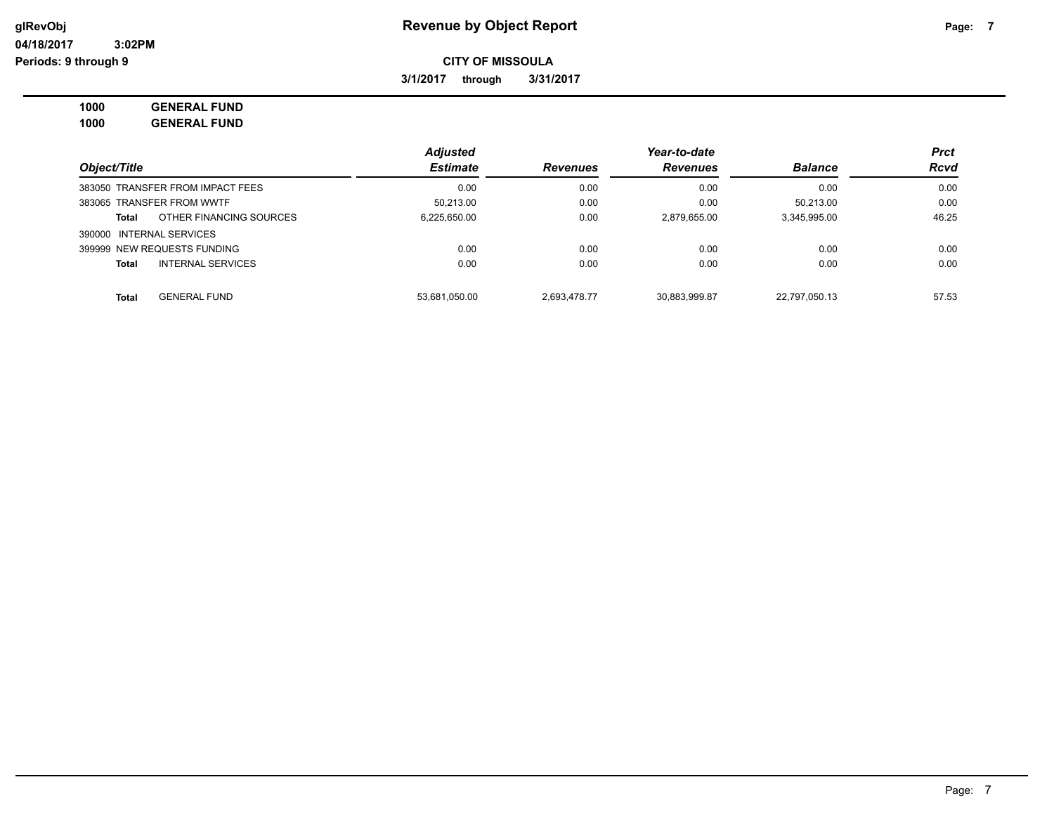**3/1/2017 through 3/31/2017**

|                                          | <b>Adjusted</b> |                 | Year-to-date    |                | <b>Prct</b> |
|------------------------------------------|-----------------|-----------------|-----------------|----------------|-------------|
| Object/Title                             | <b>Estimate</b> | <b>Revenues</b> | <b>Revenues</b> | <b>Balance</b> | <b>Rcvd</b> |
| 383050 TRANSFER FROM IMPACT FEES         | 0.00            | 0.00            | 0.00            | 0.00           | 0.00        |
| 383065 TRANSFER FROM WWTF                | 50.213.00       | 0.00            | 0.00            | 50.213.00      | 0.00        |
| OTHER FINANCING SOURCES<br>Total         | 6,225,650.00    | 0.00            | 2,879,655.00    | 3,345,995.00   | 46.25       |
| 390000 INTERNAL SERVICES                 |                 |                 |                 |                |             |
| 399999 NEW REQUESTS FUNDING              | 0.00            | 0.00            | 0.00            | 0.00           | 0.00        |
| <b>INTERNAL SERVICES</b><br><b>Total</b> | 0.00            | 0.00            | 0.00            | 0.00           | 0.00        |
|                                          |                 |                 |                 |                |             |
| <b>GENERAL FUND</b><br><b>Total</b>      | 53.681.050.00   | 2,693,478.77    | 30.883.999.87   | 22.797.050.13  | 57.53       |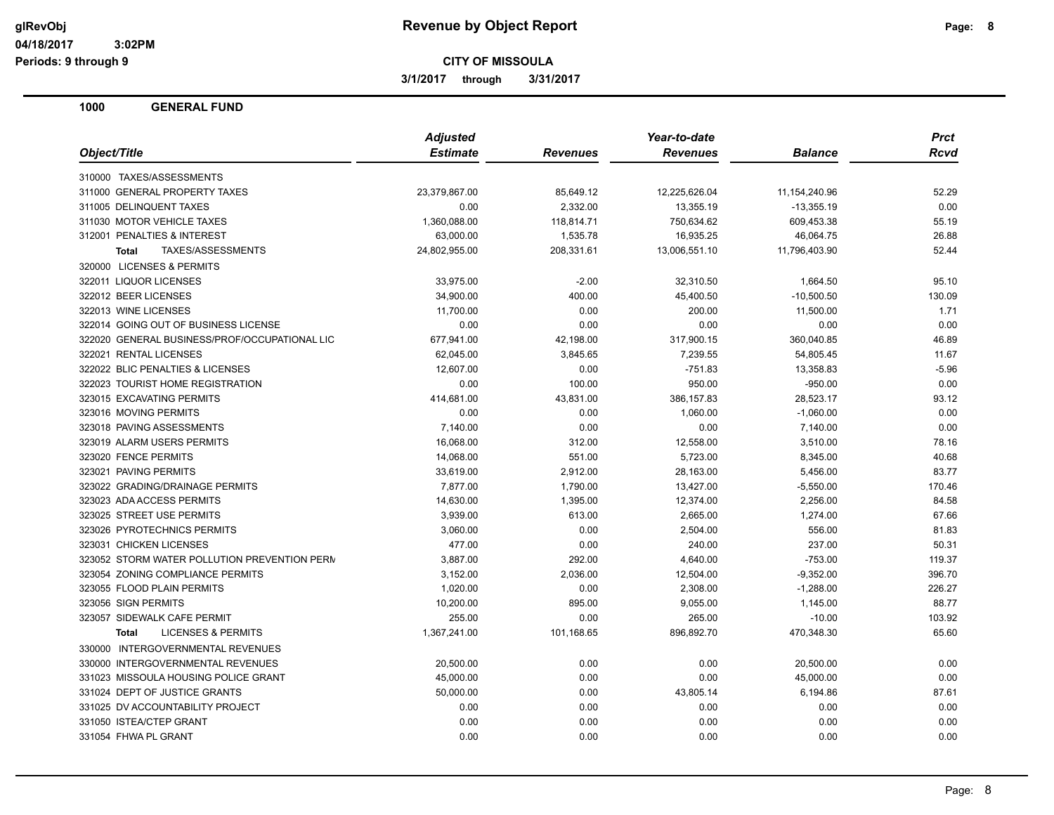**Periods: 9 through 9**

**CITY OF MISSOULA**

**3/1/2017 through 3/31/2017**

| Object/Title                                  | <b>Adjusted</b> | Year-to-date    |                 |                  | <b>Prct</b> |
|-----------------------------------------------|-----------------|-----------------|-----------------|------------------|-------------|
|                                               | <b>Estimate</b> | <b>Revenues</b> | <b>Revenues</b> | <b>Balance</b>   | Rcvd        |
| 310000 TAXES/ASSESSMENTS                      |                 |                 |                 |                  |             |
| 311000 GENERAL PROPERTY TAXES                 | 23,379,867.00   | 85,649.12       | 12,225,626.04   | 11, 154, 240. 96 | 52.29       |
| 311005 DELINQUENT TAXES                       | 0.00            | 2,332.00        | 13,355.19       | $-13,355.19$     | 0.00        |
| 311030 MOTOR VEHICLE TAXES                    | 1,360,088.00    | 118,814.71      | 750,634.62      | 609,453.38       | 55.19       |
| 312001 PENALTIES & INTEREST                   | 63,000.00       | 1,535.78        | 16,935.25       | 46,064.75        | 26.88       |
| TAXES/ASSESSMENTS<br><b>Total</b>             | 24,802,955.00   | 208,331.61      | 13,006,551.10   | 11,796,403.90    | 52.44       |
| 320000 LICENSES & PERMITS                     |                 |                 |                 |                  |             |
| 322011 LIQUOR LICENSES                        | 33,975.00       | $-2.00$         | 32,310.50       | 1,664.50         | 95.10       |
| 322012 BEER LICENSES                          | 34,900.00       | 400.00          | 45,400.50       | $-10,500.50$     | 130.09      |
| 322013 WINE LICENSES                          | 11,700.00       | 0.00            | 200.00          | 11,500.00        | 1.71        |
| 322014 GOING OUT OF BUSINESS LICENSE          | 0.00            | 0.00            | 0.00            | 0.00             | 0.00        |
| 322020 GENERAL BUSINESS/PROF/OCCUPATIONAL LIC | 677,941.00      | 42,198.00       | 317,900.15      | 360,040.85       | 46.89       |
| 322021 RENTAL LICENSES                        | 62,045.00       | 3,845.65        | 7,239.55        | 54,805.45        | 11.67       |
| 322022 BLIC PENALTIES & LICENSES              | 12,607.00       | 0.00            | $-751.83$       | 13,358.83        | $-5.96$     |
| 322023 TOURIST HOME REGISTRATION              | 0.00            | 100.00          | 950.00          | $-950.00$        | 0.00        |
| 323015 EXCAVATING PERMITS                     | 414,681.00      | 43,831.00       | 386, 157.83     | 28,523.17        | 93.12       |
| 323016 MOVING PERMITS                         | 0.00            | 0.00            | 1,060.00        | $-1,060.00$      | 0.00        |
| 323018 PAVING ASSESSMENTS                     | 7,140.00        | 0.00            | 0.00            | 7,140.00         | 0.00        |
| 323019 ALARM USERS PERMITS                    | 16,068.00       | 312.00          | 12,558.00       | 3,510.00         | 78.16       |
| 323020 FENCE PERMITS                          | 14,068.00       | 551.00          | 5,723.00        | 8,345.00         | 40.68       |
| 323021 PAVING PERMITS                         | 33,619.00       | 2,912.00        | 28,163.00       | 5,456.00         | 83.77       |
| 323022 GRADING/DRAINAGE PERMITS               | 7,877.00        | 1,790.00        | 13,427.00       | $-5,550.00$      | 170.46      |
| 323023 ADA ACCESS PERMITS                     | 14,630.00       | 1,395.00        | 12,374.00       | 2,256.00         | 84.58       |
| 323025 STREET USE PERMITS                     | 3,939.00        | 613.00          | 2,665.00        | 1,274.00         | 67.66       |
| 323026 PYROTECHNICS PERMITS                   | 3,060.00        | 0.00            | 2,504.00        | 556.00           | 81.83       |
| 323031 CHICKEN LICENSES                       | 477.00          | 0.00            | 240.00          | 237.00           | 50.31       |
| 323052 STORM WATER POLLUTION PREVENTION PERM  | 3,887.00        | 292.00          | 4,640.00        | $-753.00$        | 119.37      |
| 323054 ZONING COMPLIANCE PERMITS              | 3,152.00        | 2,036.00        | 12,504.00       | $-9,352.00$      | 396.70      |
| 323055 FLOOD PLAIN PERMITS                    | 1,020.00        | 0.00            | 2,308.00        | $-1,288.00$      | 226.27      |
| 323056 SIGN PERMITS                           | 10,200.00       | 895.00          | 9,055.00        | 1,145.00         | 88.77       |
| 323057 SIDEWALK CAFE PERMIT                   | 255.00          | 0.00            | 265.00          | $-10.00$         | 103.92      |
| <b>LICENSES &amp; PERMITS</b><br><b>Total</b> | 1,367,241.00    | 101,168.65      | 896,892.70      | 470,348.30       | 65.60       |
| 330000 INTERGOVERNMENTAL REVENUES             |                 |                 |                 |                  |             |
| 330000 INTERGOVERNMENTAL REVENUES             | 20,500.00       | 0.00            | 0.00            | 20,500.00        | 0.00        |
| 331023 MISSOULA HOUSING POLICE GRANT          | 45,000.00       | 0.00            | 0.00            | 45,000.00        | 0.00        |
| 331024 DEPT OF JUSTICE GRANTS                 | 50,000.00       | 0.00            | 43,805.14       | 6,194.86         | 87.61       |
| 331025 DV ACCOUNTABILITY PROJECT              | 0.00            | 0.00            | 0.00            | 0.00             | 0.00        |
| 331050 ISTEA/CTEP GRANT                       | 0.00            | 0.00            | 0.00            | 0.00             | 0.00        |
| 331054 FHWA PL GRANT                          | 0.00            | 0.00            | 0.00            | 0.00             | 0.00        |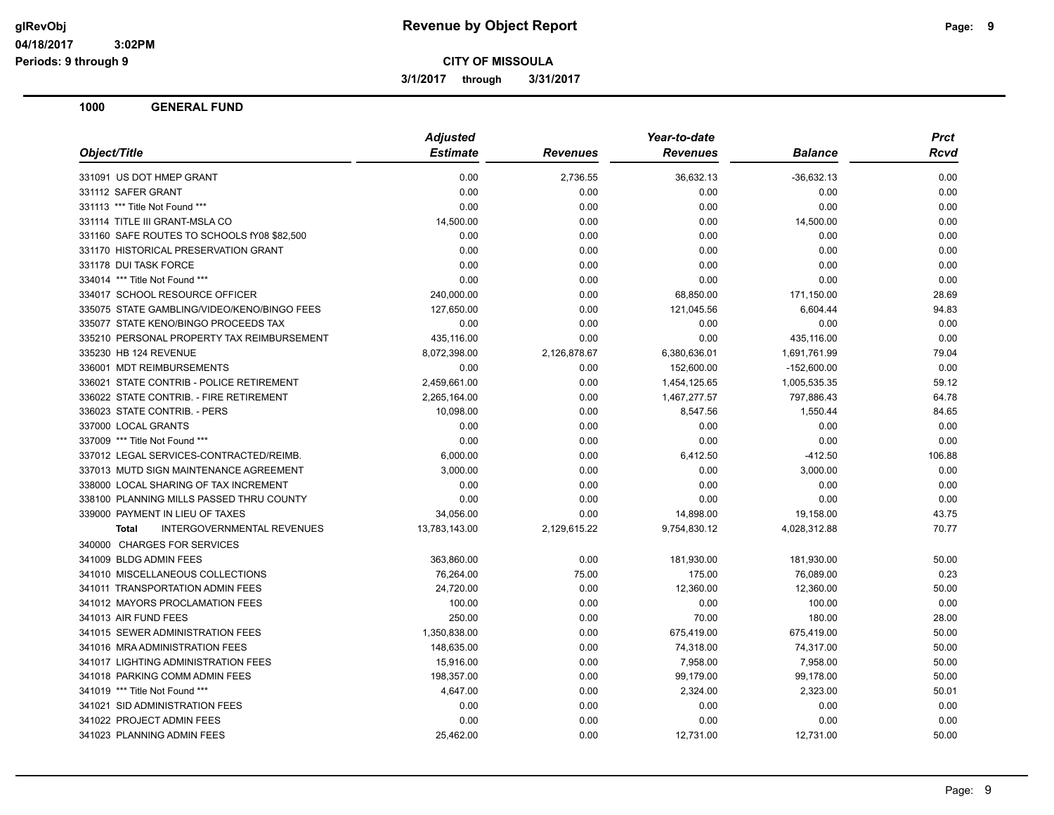**3/1/2017 through 3/31/2017**

| Object/Title                                | <b>Adjusted</b> |                 | Year-to-date    |                | <b>Prct</b> |
|---------------------------------------------|-----------------|-----------------|-----------------|----------------|-------------|
|                                             | <b>Estimate</b> | <b>Revenues</b> | <b>Revenues</b> | <b>Balance</b> | Rcvd        |
| 331091 US DOT HMEP GRANT                    | 0.00            | 2,736.55        | 36,632.13       | $-36,632.13$   | 0.00        |
| 331112 SAFER GRANT                          | 0.00            | 0.00            | 0.00            | 0.00           | 0.00        |
| 331113 *** Title Not Found ***              | 0.00            | 0.00            | 0.00            | 0.00           | 0.00        |
| 331114 TITLE III GRANT-MSLA CO              | 14,500.00       | 0.00            | 0.00            | 14,500.00      | 0.00        |
| 331160 SAFE ROUTES TO SCHOOLS fY08 \$82,500 | 0.00            | 0.00            | 0.00            | 0.00           | 0.00        |
| 331170 HISTORICAL PRESERVATION GRANT        | 0.00            | 0.00            | 0.00            | 0.00           | 0.00        |
| 331178 DUI TASK FORCE                       | 0.00            | 0.00            | 0.00            | 0.00           | 0.00        |
| 334014 *** Title Not Found ***              | 0.00            | 0.00            | 0.00            | 0.00           | 0.00        |
| 334017 SCHOOL RESOURCE OFFICER              | 240,000.00      | 0.00            | 68,850.00       | 171,150.00     | 28.69       |
| 335075 STATE GAMBLING/VIDEO/KENO/BINGO FEES | 127,650.00      | 0.00            | 121,045.56      | 6,604.44       | 94.83       |
| 335077 STATE KENO/BINGO PROCEEDS TAX        | 0.00            | 0.00            | 0.00            | 0.00           | 0.00        |
| 335210 PERSONAL PROPERTY TAX REIMBURSEMENT  | 435,116.00      | 0.00            | 0.00            | 435,116.00     | 0.00        |
| 335230 HB 124 REVENUE                       | 8,072,398.00    | 2,126,878.67    | 6,380,636.01    | 1,691,761.99   | 79.04       |
| 336001 MDT REIMBURSEMENTS                   | 0.00            | 0.00            | 152,600.00      | $-152,600.00$  | 0.00        |
| 336021 STATE CONTRIB - POLICE RETIREMENT    | 2,459,661.00    | 0.00            | 1,454,125.65    | 1,005,535.35   | 59.12       |
| 336022 STATE CONTRIB. - FIRE RETIREMENT     | 2,265,164.00    | 0.00            | 1,467,277.57    | 797,886.43     | 64.78       |
| 336023 STATE CONTRIB. - PERS                | 10,098.00       | 0.00            | 8,547.56        | 1,550.44       | 84.65       |
| 337000 LOCAL GRANTS                         | 0.00            | 0.00            | 0.00            | 0.00           | 0.00        |
| 337009 *** Title Not Found ***              | 0.00            | 0.00            | 0.00            | 0.00           | 0.00        |
| 337012 LEGAL SERVICES-CONTRACTED/REIMB.     | 6,000.00        | 0.00            | 6,412.50        | $-412.50$      | 106.88      |
| 337013 MUTD SIGN MAINTENANCE AGREEMENT      | 3,000.00        | 0.00            | 0.00            | 3,000.00       | 0.00        |
| 338000 LOCAL SHARING OF TAX INCREMENT       | 0.00            | 0.00            | 0.00            | 0.00           | 0.00        |
| 338100 PLANNING MILLS PASSED THRU COUNTY    | 0.00            | 0.00            | 0.00            | 0.00           | 0.00        |
| 339000 PAYMENT IN LIEU OF TAXES             | 34,056.00       | 0.00            | 14,898.00       | 19,158.00      | 43.75       |
| INTERGOVERNMENTAL REVENUES<br><b>Total</b>  | 13,783,143.00   | 2,129,615.22    | 9,754,830.12    | 4,028,312.88   | 70.77       |
| 340000 CHARGES FOR SERVICES                 |                 |                 |                 |                |             |
| 341009 BLDG ADMIN FEES                      | 363,860.00      | 0.00            | 181,930.00      | 181,930.00     | 50.00       |
| 341010 MISCELLANEOUS COLLECTIONS            | 76,264.00       | 75.00           | 175.00          | 76,089.00      | 0.23        |
| 341011 TRANSPORTATION ADMIN FEES            | 24,720.00       | 0.00            | 12,360.00       | 12,360.00      | 50.00       |
| 341012 MAYORS PROCLAMATION FEES             | 100.00          | 0.00            | 0.00            | 100.00         | 0.00        |
| 341013 AIR FUND FEES                        | 250.00          | 0.00            | 70.00           | 180.00         | 28.00       |
| 341015 SEWER ADMINISTRATION FEES            | 1,350,838.00    | 0.00            | 675,419.00      | 675,419.00     | 50.00       |
| 341016 MRA ADMINISTRATION FEES              | 148,635.00      | 0.00            | 74,318.00       | 74,317.00      | 50.00       |
| 341017 LIGHTING ADMINISTRATION FEES         | 15,916.00       | 0.00            | 7,958.00        | 7,958.00       | 50.00       |
| 341018 PARKING COMM ADMIN FEES              | 198,357.00      | 0.00            | 99,179.00       | 99,178.00      | 50.00       |
| 341019 *** Title Not Found ***              | 4,647.00        | 0.00            | 2,324.00        | 2,323.00       | 50.01       |
| 341021 SID ADMINISTRATION FEES              | 0.00            | 0.00            | 0.00            | 0.00           | 0.00        |
| 341022 PROJECT ADMIN FEES                   | 0.00            | 0.00            | 0.00            | 0.00           | 0.00        |
| 341023 PLANNING ADMIN FEES                  | 25,462.00       | 0.00            | 12,731.00       | 12,731.00      | 50.00       |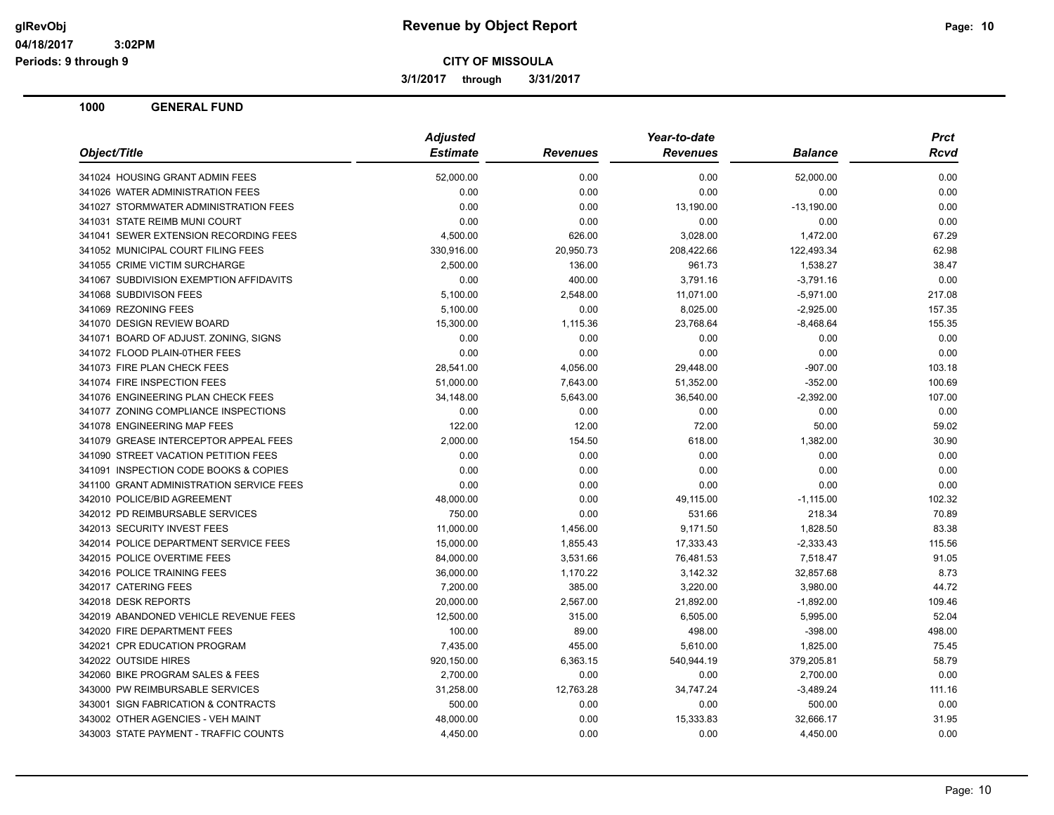**3/1/2017 through 3/31/2017**

| Object/Title<br><b>Estimate</b><br><b>Revenues</b><br><b>Revenues</b><br>52,000.00<br>341024 HOUSING GRANT ADMIN FEES<br>0.00 | <b>Balance</b><br>Rcvd<br>0.00<br>52,000.00<br>0.00<br>0.00<br>0.00<br>0.00 |
|-------------------------------------------------------------------------------------------------------------------------------|-----------------------------------------------------------------------------|
|                                                                                                                               |                                                                             |
|                                                                                                                               |                                                                             |
| 341026 WATER ADMINISTRATION FEES<br>0.00<br>0.00                                                                              |                                                                             |
| 341027 STORMWATER ADMINISTRATION FEES<br>0.00<br>0.00<br>13,190.00                                                            | 0.00<br>$-13,190.00$                                                        |
| 341031 STATE REIMB MUNI COURT<br>0.00<br>0.00                                                                                 | 0.00<br>0.00<br>0.00                                                        |
| 341041 SEWER EXTENSION RECORDING FEES<br>4,500.00<br>626.00<br>3,028.00                                                       | 1,472.00<br>67.29                                                           |
| 341052 MUNICIPAL COURT FILING FEES<br>330,916.00<br>20,950.73<br>208,422.66                                                   | 122,493.34<br>62.98                                                         |
| 341055 CRIME VICTIM SURCHARGE<br>2,500.00<br>136.00<br>961.73                                                                 | 1,538.27<br>38.47                                                           |
| 341067 SUBDIVISION EXEMPTION AFFIDAVITS<br>0.00<br>400.00<br>3.791.16                                                         | 0.00<br>$-3,791.16$                                                         |
| 341068 SUBDIVISON FEES<br>5,100.00<br>2,548.00<br>11,071.00                                                                   | $-5,971.00$<br>217.08                                                       |
| 341069 REZONING FEES<br>5,100.00<br>0.00<br>8,025.00                                                                          | $-2,925.00$<br>157.35                                                       |
| 341070 DESIGN REVIEW BOARD<br>15,300.00<br>1,115.36<br>23,768.64                                                              | $-8,468.64$<br>155.35                                                       |
| 341071 BOARD OF ADJUST. ZONING, SIGNS<br>0.00<br>0.00                                                                         | 0.00<br>0.00<br>0.00                                                        |
| 341072 FLOOD PLAIN-0THER FEES<br>0.00<br>0.00                                                                                 | 0.00<br>0.00<br>0.00                                                        |
| 341073 FIRE PLAN CHECK FEES<br>28,541.00<br>4,056.00<br>29,448.00                                                             | $-907.00$<br>103.18                                                         |
| 341074 FIRE INSPECTION FEES<br>51,000.00<br>7,643.00<br>51,352.00                                                             | $-352.00$<br>100.69                                                         |
| 341076 ENGINEERING PLAN CHECK FEES<br>34,148.00<br>5,643.00<br>36,540.00                                                      | 107.00<br>$-2,392.00$                                                       |
| 341077 ZONING COMPLIANCE INSPECTIONS<br>0.00<br>0.00                                                                          | 0.00<br>0.00<br>0.00                                                        |
| 341078 ENGINEERING MAP FEES<br>122.00<br>12.00                                                                                | 59.02<br>72.00<br>50.00                                                     |
| 341079 GREASE INTERCEPTOR APPEAL FEES<br>2,000.00<br>154.50<br>618.00                                                         | 1,382.00<br>30.90                                                           |
| 341090 STREET VACATION PETITION FEES<br>0.00<br>0.00                                                                          | 0.00<br>0.00<br>0.00                                                        |
| 341091 INSPECTION CODE BOOKS & COPIES<br>0.00<br>0.00                                                                         | 0.00<br>0.00<br>0.00                                                        |
| 341100 GRANT ADMINISTRATION SERVICE FEES<br>0.00<br>0.00                                                                      | 0.00<br>0.00<br>0.00                                                        |
| 342010 POLICE/BID AGREEMENT<br>0.00<br>48,000.00<br>49,115.00                                                                 | 102.32<br>$-1,115.00$                                                       |
| 342012 PD REIMBURSABLE SERVICES<br>750.00<br>0.00<br>531.66                                                                   | 70.89<br>218.34                                                             |
| 342013 SECURITY INVEST FEES<br>11,000.00<br>9,171.50<br>1,456.00                                                              | 1,828.50<br>83.38                                                           |
| 342014 POLICE DEPARTMENT SERVICE FEES<br>15,000.00<br>1,855.43<br>17,333.43                                                   | $-2,333.43$<br>115.56                                                       |
| 342015 POLICE OVERTIME FEES<br>84,000.00<br>76,481.53<br>3,531.66                                                             | 91.05<br>7,518.47                                                           |
| 342016 POLICE TRAINING FEES<br>36,000.00<br>1,170.22<br>3,142.32                                                              | 32,857.68<br>8.73                                                           |
| 342017 CATERING FEES<br>7,200.00<br>385.00<br>3,220.00                                                                        | 44.72<br>3,980.00                                                           |
| 342018 DESK REPORTS<br>20,000.00<br>2,567.00<br>21,892.00                                                                     | $-1,892.00$<br>109.46                                                       |
| 342019 ABANDONED VEHICLE REVENUE FEES<br>12,500.00<br>315.00<br>6,505.00                                                      | 5,995.00<br>52.04                                                           |
| 342020 FIRE DEPARTMENT FEES<br>100.00<br>89.00<br>498.00                                                                      | $-398.00$<br>498.00                                                         |
| 342021 CPR EDUCATION PROGRAM<br>7,435.00<br>455.00<br>5,610.00                                                                | 1,825.00<br>75.45                                                           |
| 342022 OUTSIDE HIRES<br>920,150.00<br>6,363.15<br>540,944.19                                                                  | 379,205.81<br>58.79                                                         |
| 342060 BIKE PROGRAM SALES & FEES<br>0.00<br>2,700.00                                                                          | 0.00<br>0.00<br>2,700.00                                                    |
| 343000 PW REIMBURSABLE SERVICES<br>31,258.00<br>12,763.28<br>34,747.24                                                        | $-3,489.24$<br>111.16                                                       |
| 343001 SIGN FABRICATION & CONTRACTS<br>500.00<br>0.00                                                                         | 0.00<br>0.00<br>500.00                                                      |
| 343002 OTHER AGENCIES - VEH MAINT<br>48,000.00<br>0.00<br>15,333.83                                                           | 32,666.17<br>31.95                                                          |
| 343003 STATE PAYMENT - TRAFFIC COUNTS<br>4,450.00<br>0.00                                                                     | 0.00<br>4,450.00<br>0.00                                                    |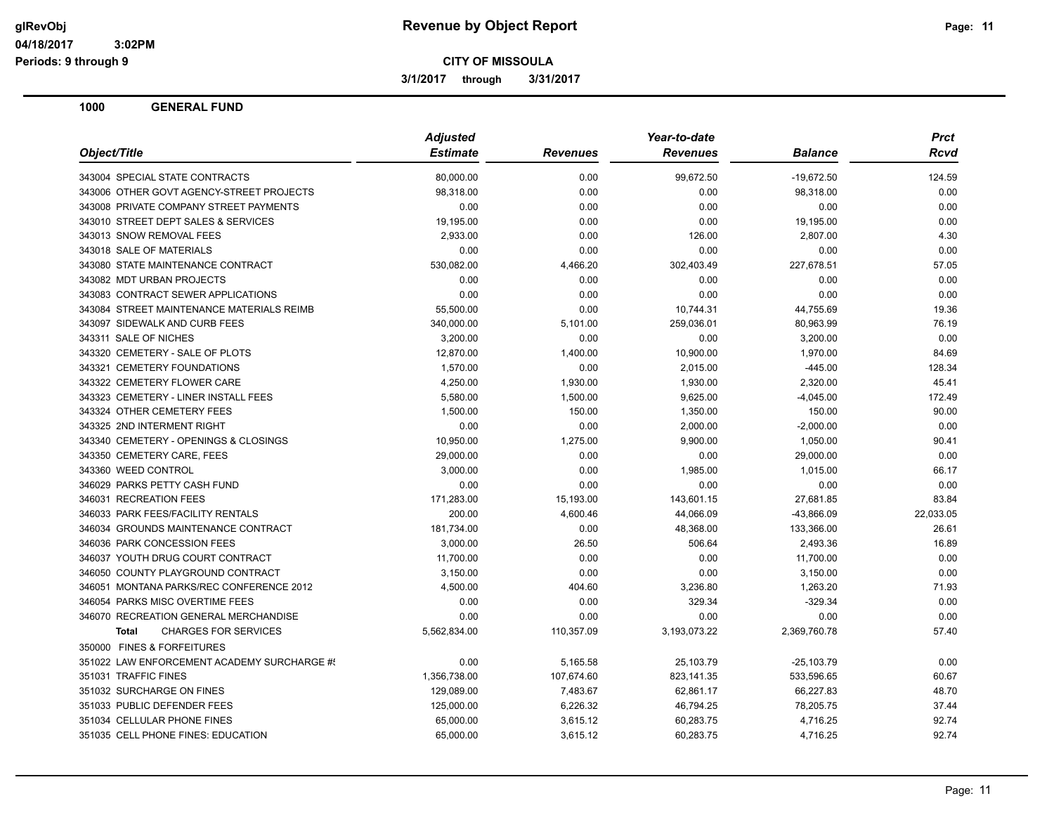**3/1/2017 through 3/31/2017**

|                                             | <b>Adjusted</b> |                 | Year-to-date    | <b>Prct</b>    |           |
|---------------------------------------------|-----------------|-----------------|-----------------|----------------|-----------|
| Object/Title                                | <b>Estimate</b> | <b>Revenues</b> | <b>Revenues</b> | <b>Balance</b> | Rcvd      |
| 343004 SPECIAL STATE CONTRACTS              | 80,000.00       | 0.00            | 99,672.50       | $-19,672.50$   | 124.59    |
| 343006 OTHER GOVT AGENCY-STREET PROJECTS    | 98,318.00       | 0.00            | 0.00            | 98,318.00      | 0.00      |
| 343008 PRIVATE COMPANY STREET PAYMENTS      | 0.00            | 0.00            | 0.00            | 0.00           | 0.00      |
| 343010 STREET DEPT SALES & SERVICES         | 19,195.00       | 0.00            | 0.00            | 19,195.00      | 0.00      |
| 343013 SNOW REMOVAL FEES                    | 2,933.00        | 0.00            | 126.00          | 2,807.00       | 4.30      |
| 343018 SALE OF MATERIALS                    | 0.00            | 0.00            | 0.00            | 0.00           | 0.00      |
| 343080 STATE MAINTENANCE CONTRACT           | 530,082.00      | 4,466.20        | 302,403.49      | 227,678.51     | 57.05     |
| 343082 MDT URBAN PROJECTS                   | 0.00            | 0.00            | 0.00            | 0.00           | 0.00      |
| 343083 CONTRACT SEWER APPLICATIONS          | 0.00            | 0.00            | 0.00            | 0.00           | 0.00      |
| 343084 STREET MAINTENANCE MATERIALS REIMB   | 55,500.00       | 0.00            | 10,744.31       | 44,755.69      | 19.36     |
| 343097 SIDEWALK AND CURB FEES               | 340,000.00      | 5,101.00        | 259,036.01      | 80,963.99      | 76.19     |
| 343311 SALE OF NICHES                       | 3,200.00        | 0.00            | 0.00            | 3,200.00       | 0.00      |
| 343320 CEMETERY - SALE OF PLOTS             | 12,870.00       | 1,400.00        | 10,900.00       | 1,970.00       | 84.69     |
| 343321 CEMETERY FOUNDATIONS                 | 1,570.00        | 0.00            | 2,015.00        | $-445.00$      | 128.34    |
| 343322 CEMETERY FLOWER CARE                 | 4,250.00        | 1,930.00        | 1,930.00        | 2,320.00       | 45.41     |
| 343323 CEMETERY - LINER INSTALL FEES        | 5,580.00        | 1,500.00        | 9,625.00        | $-4,045.00$    | 172.49    |
| 343324 OTHER CEMETERY FEES                  | 1,500.00        | 150.00          | 1,350.00        | 150.00         | 90.00     |
| 343325 2ND INTERMENT RIGHT                  | 0.00            | 0.00            | 2,000.00        | $-2,000.00$    | 0.00      |
| 343340 CEMETERY - OPENINGS & CLOSINGS       | 10,950.00       | 1,275.00        | 9,900.00        | 1,050.00       | 90.41     |
| 343350 CEMETERY CARE, FEES                  | 29,000.00       | 0.00            | 0.00            | 29,000.00      | 0.00      |
| 343360 WEED CONTROL                         | 3.000.00        | 0.00            | 1,985.00        | 1,015.00       | 66.17     |
| 346029 PARKS PETTY CASH FUND                | 0.00            | 0.00            | 0.00            | 0.00           | 0.00      |
| 346031 RECREATION FEES                      | 171,283.00      | 15,193.00       | 143,601.15      | 27,681.85      | 83.84     |
| 346033 PARK FEES/FACILITY RENTALS           | 200.00          | 4,600.46        | 44,066.09       | -43,866.09     | 22,033.05 |
| 346034 GROUNDS MAINTENANCE CONTRACT         | 181,734.00      | 0.00            | 48,368.00       | 133,366.00     | 26.61     |
| 346036 PARK CONCESSION FEES                 | 3,000.00        | 26.50           | 506.64          | 2,493.36       | 16.89     |
| 346037 YOUTH DRUG COURT CONTRACT            | 11,700.00       | 0.00            | 0.00            | 11,700.00      | 0.00      |
| 346050 COUNTY PLAYGROUND CONTRACT           | 3,150.00        | 0.00            | 0.00            | 3,150.00       | 0.00      |
| 346051 MONTANA PARKS/REC CONFERENCE 2012    | 4,500.00        | 404.60          | 3,236.80        | 1,263.20       | 71.93     |
| 346054 PARKS MISC OVERTIME FEES             | 0.00            | 0.00            | 329.34          | $-329.34$      | 0.00      |
| 346070 RECREATION GENERAL MERCHANDISE       | 0.00            | 0.00            | 0.00            | 0.00           | 0.00      |
| <b>CHARGES FOR SERVICES</b><br><b>Total</b> | 5,562,834.00    | 110,357.09      | 3,193,073.22    | 2,369,760.78   | 57.40     |
| 350000 FINES & FORFEITURES                  |                 |                 |                 |                |           |
| 351022 LAW ENFORCEMENT ACADEMY SURCHARGE #! | 0.00            | 5,165.58        | 25,103.79       | $-25,103.79$   | 0.00      |
| 351031 TRAFFIC FINES                        | 1,356,738.00    | 107,674.60      | 823,141.35      | 533,596.65     | 60.67     |
| 351032 SURCHARGE ON FINES                   | 129,089.00      | 7,483.67        | 62,861.17       | 66,227.83      | 48.70     |
| 351033 PUBLIC DEFENDER FEES                 | 125,000.00      | 6,226.32        | 46,794.25       | 78,205.75      | 37.44     |
| 351034 CELLULAR PHONE FINES                 | 65,000.00       | 3,615.12        | 60,283.75       | 4,716.25       | 92.74     |
| 351035 CELL PHONE FINES: EDUCATION          | 65,000.00       | 3,615.12        | 60,283.75       | 4,716.25       | 92.74     |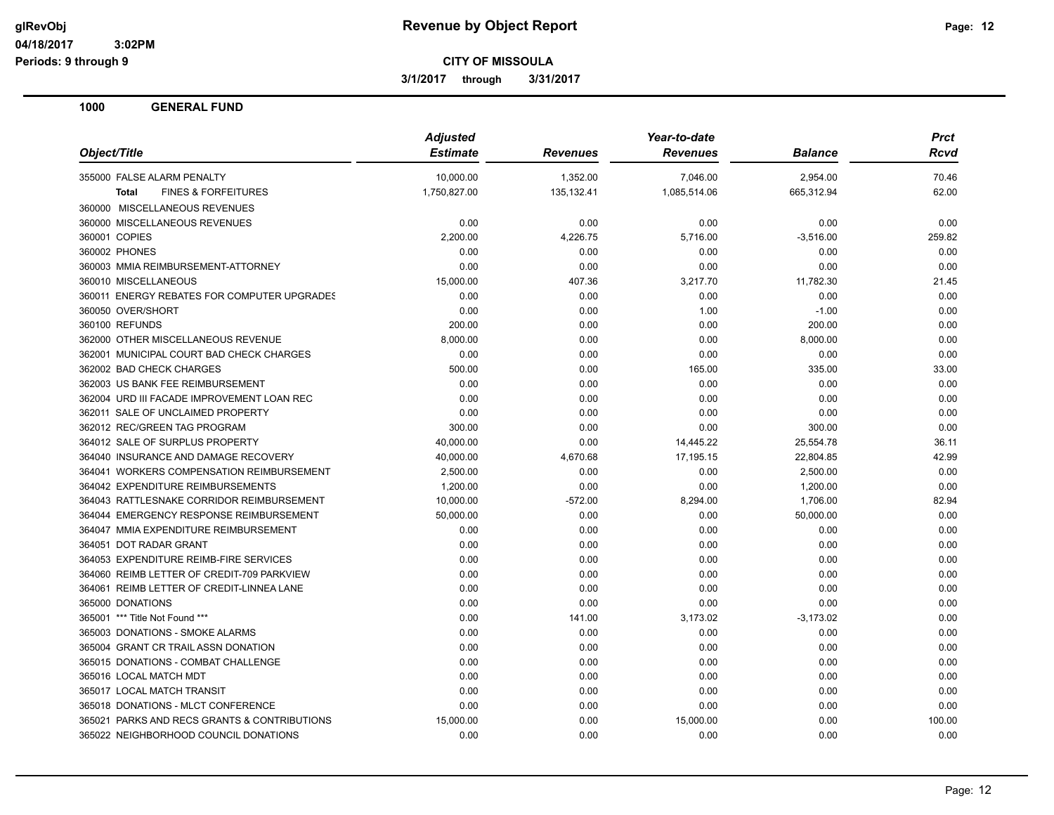**Periods: 9 through 9**

**CITY OF MISSOULA**

**3/1/2017 through 3/31/2017**

#### **1000 GENERAL FUND**

 **3:02PM**

| Object/Title                                   | <b>Adjusted</b> |                 | Year-to-date    |                | <b>Prct</b> |
|------------------------------------------------|-----------------|-----------------|-----------------|----------------|-------------|
|                                                | <b>Estimate</b> | <b>Revenues</b> | <b>Revenues</b> | <b>Balance</b> | Rcvd        |
| 355000 FALSE ALARM PENALTY                     | 10,000.00       | 1,352.00        | 7,046.00        | 2,954.00       | 70.46       |
| <b>FINES &amp; FORFEITURES</b><br><b>Total</b> | 1,750,827.00    | 135,132.41      | 1,085,514.06    | 665,312.94     | 62.00       |
| 360000 MISCELLANEOUS REVENUES                  |                 |                 |                 |                |             |
| 360000 MISCELLANEOUS REVENUES                  | 0.00            | 0.00            | 0.00            | 0.00           | 0.00        |
| 360001 COPIES                                  | 2,200.00        | 4,226.75        | 5,716.00        | $-3,516.00$    | 259.82      |
| 360002 PHONES                                  | 0.00            | 0.00            | 0.00            | 0.00           | 0.00        |
| 360003 MMIA REIMBURSEMENT-ATTORNEY             | 0.00            | 0.00            | 0.00            | 0.00           | 0.00        |
| 360010 MISCELLANEOUS                           | 15,000.00       | 407.36          | 3,217.70        | 11,782.30      | 21.45       |
| 360011 ENERGY REBATES FOR COMPUTER UPGRADES    | 0.00            | 0.00            | 0.00            | 0.00           | 0.00        |
| 360050 OVER/SHORT                              | 0.00            | 0.00            | 1.00            | $-1.00$        | 0.00        |
| 360100 REFUNDS                                 | 200.00          | 0.00            | 0.00            | 200.00         | 0.00        |
| 362000 OTHER MISCELLANEOUS REVENUE             | 8,000.00        | 0.00            | 0.00            | 8,000.00       | 0.00        |
| 362001 MUNICIPAL COURT BAD CHECK CHARGES       | 0.00            | 0.00            | 0.00            | 0.00           | 0.00        |
| 362002 BAD CHECK CHARGES                       | 500.00          | 0.00            | 165.00          | 335.00         | 33.00       |
| 362003 US BANK FEE REIMBURSEMENT               | 0.00            | 0.00            | 0.00            | 0.00           | 0.00        |
| 362004 URD III FACADE IMPROVEMENT LOAN REC     | 0.00            | 0.00            | 0.00            | 0.00           | 0.00        |
| 362011 SALE OF UNCLAIMED PROPERTY              | 0.00            | 0.00            | 0.00            | 0.00           | 0.00        |
| 362012 REC/GREEN TAG PROGRAM                   | 300.00          | 0.00            | 0.00            | 300.00         | 0.00        |
| 364012 SALE OF SURPLUS PROPERTY                | 40,000.00       | 0.00            | 14,445.22       | 25,554.78      | 36.11       |
| 364040 INSURANCE AND DAMAGE RECOVERY           | 40,000.00       | 4,670.68        | 17,195.15       | 22,804.85      | 42.99       |
| 364041 WORKERS COMPENSATION REIMBURSEMENT      | 2,500.00        | 0.00            | 0.00            | 2,500.00       | 0.00        |
| 364042 EXPENDITURE REIMBURSEMENTS              | 1,200.00        | 0.00            | 0.00            | 1,200.00       | 0.00        |
| 364043 RATTLESNAKE CORRIDOR REIMBURSEMENT      | 10,000.00       | $-572.00$       | 8,294.00        | 1,706.00       | 82.94       |
| 364044 EMERGENCY RESPONSE REIMBURSEMENT        | 50,000.00       | 0.00            | 0.00            | 50,000.00      | 0.00        |
| 364047 MMIA EXPENDITURE REIMBURSEMENT          | 0.00            | 0.00            | 0.00            | 0.00           | 0.00        |
| 364051 DOT RADAR GRANT                         | 0.00            | 0.00            | 0.00            | 0.00           | 0.00        |
| 364053 EXPENDITURE REIMB-FIRE SERVICES         | 0.00            | 0.00            | 0.00            | 0.00           | 0.00        |
| 364060 REIMB LETTER OF CREDIT-709 PARKVIEW     | 0.00            | 0.00            | 0.00            | 0.00           | 0.00        |
| 364061 REIMB LETTER OF CREDIT-LINNEA LANE      | 0.00            | 0.00            | 0.00            | 0.00           | 0.00        |
| 365000 DONATIONS                               | 0.00            | 0.00            | 0.00            | 0.00           | 0.00        |
| 365001 *** Title Not Found ***                 | 0.00            | 141.00          | 3,173.02        | $-3,173.02$    | 0.00        |
| 365003 DONATIONS - SMOKE ALARMS                | 0.00            | 0.00            | 0.00            | 0.00           | 0.00        |
| 365004 GRANT CR TRAIL ASSN DONATION            | 0.00            | 0.00            | 0.00            | 0.00           | 0.00        |
| 365015 DONATIONS - COMBAT CHALLENGE            | 0.00            | 0.00            | 0.00            | 0.00           | 0.00        |
| 365016 LOCAL MATCH MDT                         | 0.00            | 0.00            | 0.00            | 0.00           | 0.00        |
| 365017 LOCAL MATCH TRANSIT                     | 0.00            | 0.00            | 0.00            | 0.00           | 0.00        |
| 365018 DONATIONS - MLCT CONFERENCE             | 0.00            | 0.00            | 0.00            | 0.00           | 0.00        |
| 365021 PARKS AND RECS GRANTS & CONTRIBUTIONS   | 15,000.00       | 0.00            | 15,000.00       | 0.00           | 100.00      |
| 365022 NEIGHBORHOOD COUNCIL DONATIONS          | 0.00            | 0.00            | 0.00            | 0.00           | 0.00        |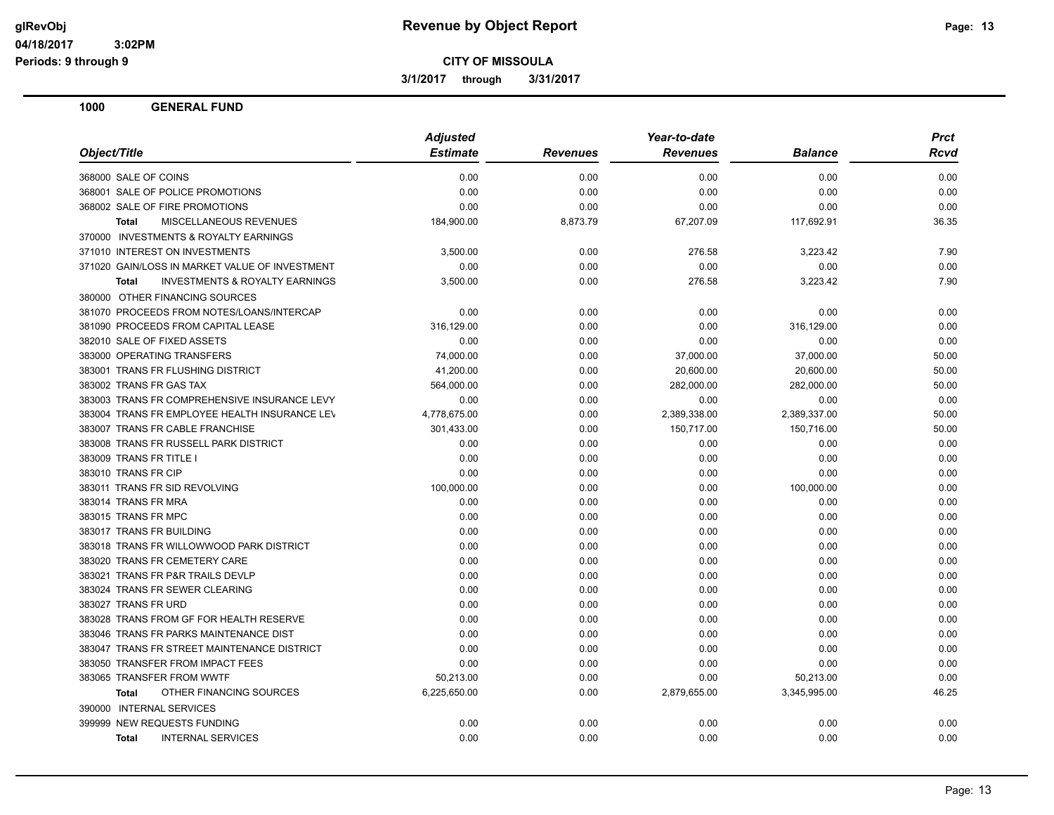**Periods: 9 through 9**

**CITY OF MISSOULA**

**3/1/2017 through 3/31/2017**

#### **1000 GENERAL FUND**

 **3:02PM**

|                                                           | <b>Adjusted</b> |                 | Year-to-date    |                | <b>Prct</b> |
|-----------------------------------------------------------|-----------------|-----------------|-----------------|----------------|-------------|
| Object/Title                                              | <b>Estimate</b> | <b>Revenues</b> | <b>Revenues</b> | <b>Balance</b> | Rcvd        |
| 368000 SALE OF COINS                                      | 0.00            | 0.00            | 0.00            | 0.00           | 0.00        |
| 368001 SALE OF POLICE PROMOTIONS                          | 0.00            | 0.00            | 0.00            | 0.00           | 0.00        |
| 368002 SALE OF FIRE PROMOTIONS                            | 0.00            | 0.00            | 0.00            | 0.00           | 0.00        |
| MISCELLANEOUS REVENUES<br><b>Total</b>                    | 184,900.00      | 8,873.79        | 67,207.09       | 117,692.91     | 36.35       |
| 370000 INVESTMENTS & ROYALTY EARNINGS                     |                 |                 |                 |                |             |
| 371010 INTEREST ON INVESTMENTS                            | 3,500.00        | 0.00            | 276.58          | 3,223.42       | 7.90        |
| 371020 GAIN/LOSS IN MARKET VALUE OF INVESTMENT            | 0.00            | 0.00            | 0.00            | 0.00           | 0.00        |
| <b>INVESTMENTS &amp; ROYALTY EARNINGS</b><br><b>Total</b> | 3,500.00        | 0.00            | 276.58          | 3,223.42       | 7.90        |
| 380000 OTHER FINANCING SOURCES                            |                 |                 |                 |                |             |
| 381070 PROCEEDS FROM NOTES/LOANS/INTERCAP                 | 0.00            | 0.00            | 0.00            | 0.00           | 0.00        |
| 381090 PROCEEDS FROM CAPITAL LEASE                        | 316,129.00      | 0.00            | 0.00            | 316,129.00     | 0.00        |
| 382010 SALE OF FIXED ASSETS                               | 0.00            | 0.00            | 0.00            | 0.00           | 0.00        |
| 383000 OPERATING TRANSFERS                                | 74,000.00       | 0.00            | 37,000.00       | 37,000.00      | 50.00       |
| 383001 TRANS FR FLUSHING DISTRICT                         | 41,200.00       | 0.00            | 20,600.00       | 20,600.00      | 50.00       |
| 383002 TRANS FR GAS TAX                                   | 564,000.00      | 0.00            | 282,000.00      | 282,000.00     | 50.00       |
| 383003 TRANS FR COMPREHENSIVE INSURANCE LEVY              | 0.00            | 0.00            | 0.00            | 0.00           | 0.00        |
| 383004 TRANS FR EMPLOYEE HEALTH INSURANCE LEV             | 4,778,675.00    | 0.00            | 2,389,338.00    | 2,389,337.00   | 50.00       |
| 383007 TRANS FR CABLE FRANCHISE                           | 301,433.00      | 0.00            | 150,717.00      | 150,716.00     | 50.00       |
| 383008 TRANS FR RUSSELL PARK DISTRICT                     | 0.00            | 0.00            | 0.00            | 0.00           | 0.00        |
| 383009 TRANS FR TITLE I                                   | 0.00            | 0.00            | 0.00            | 0.00           | 0.00        |
| 383010 TRANS FR CIP                                       | 0.00            | 0.00            | 0.00            | 0.00           | 0.00        |
| 383011 TRANS FR SID REVOLVING                             | 100,000.00      | 0.00            | 0.00            | 100,000.00     | 0.00        |
| 383014 TRANS FR MRA                                       | 0.00            | 0.00            | 0.00            | 0.00           | 0.00        |
| 383015 TRANS FR MPC                                       | 0.00            | 0.00            | 0.00            | 0.00           | 0.00        |
| 383017 TRANS FR BUILDING                                  | 0.00            | 0.00            | 0.00            | 0.00           | 0.00        |
| 383018 TRANS FR WILLOWWOOD PARK DISTRICT                  | 0.00            | 0.00            | 0.00            | 0.00           | 0.00        |
| 383020 TRANS FR CEMETERY CARE                             | 0.00            | 0.00            | 0.00            | 0.00           | 0.00        |
| 383021 TRANS FR P&R TRAILS DEVLP                          | 0.00            | 0.00            | 0.00            | 0.00           | 0.00        |
| 383024 TRANS FR SEWER CLEARING                            | 0.00            | 0.00            | 0.00            | 0.00           | 0.00        |
| 383027 TRANS FR URD                                       | 0.00            | 0.00            | 0.00            | 0.00           | 0.00        |
| 383028 TRANS FROM GF FOR HEALTH RESERVE                   | 0.00            | 0.00            | 0.00            | 0.00           | 0.00        |
| 383046 TRANS FR PARKS MAINTENANCE DIST                    | 0.00            | 0.00            | 0.00            | 0.00           | 0.00        |
| 383047 TRANS FR STREET MAINTENANCE DISTRICT               | 0.00            | 0.00            | 0.00            | 0.00           | 0.00        |
| 383050 TRANSFER FROM IMPACT FEES                          | 0.00            | 0.00            | 0.00            | 0.00           | 0.00        |
| 383065 TRANSFER FROM WWTF                                 | 50.213.00       | 0.00            | 0.00            | 50,213.00      | 0.00        |
| OTHER FINANCING SOURCES<br><b>Total</b>                   | 6,225,650.00    | 0.00            | 2,879,655.00    | 3,345,995.00   | 46.25       |
| 390000 INTERNAL SERVICES                                  |                 |                 |                 |                |             |
| 399999 NEW REQUESTS FUNDING                               | 0.00            | 0.00            | 0.00            | 0.00           | 0.00        |
| <b>INTERNAL SERVICES</b><br><b>Total</b>                  | 0.00            | 0.00            | 0.00            | 0.00           | 0.00        |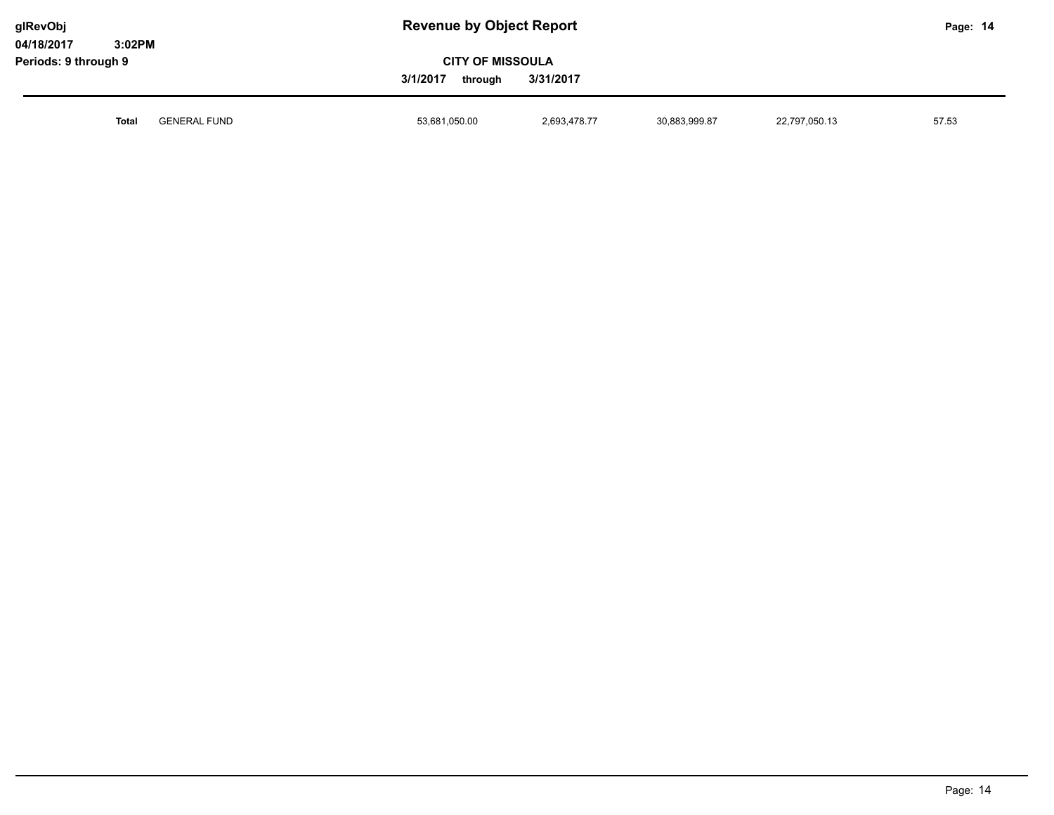| glRevObj<br>04/18/2017<br>3:02PM |              |                     | <b>Revenue by Object Report</b>                 |              |               |               |       |
|----------------------------------|--------------|---------------------|-------------------------------------------------|--------------|---------------|---------------|-------|
| Periods: 9 through 9             |              | 3/1/2017            | <b>CITY OF MISSOULA</b><br>3/31/2017<br>through |              |               |               |       |
|                                  | <b>Total</b> | <b>GENERAL FUND</b> | 53,681,050.00                                   | 2,693,478.77 | 30,883,999.87 | 22,797,050.13 | 57.53 |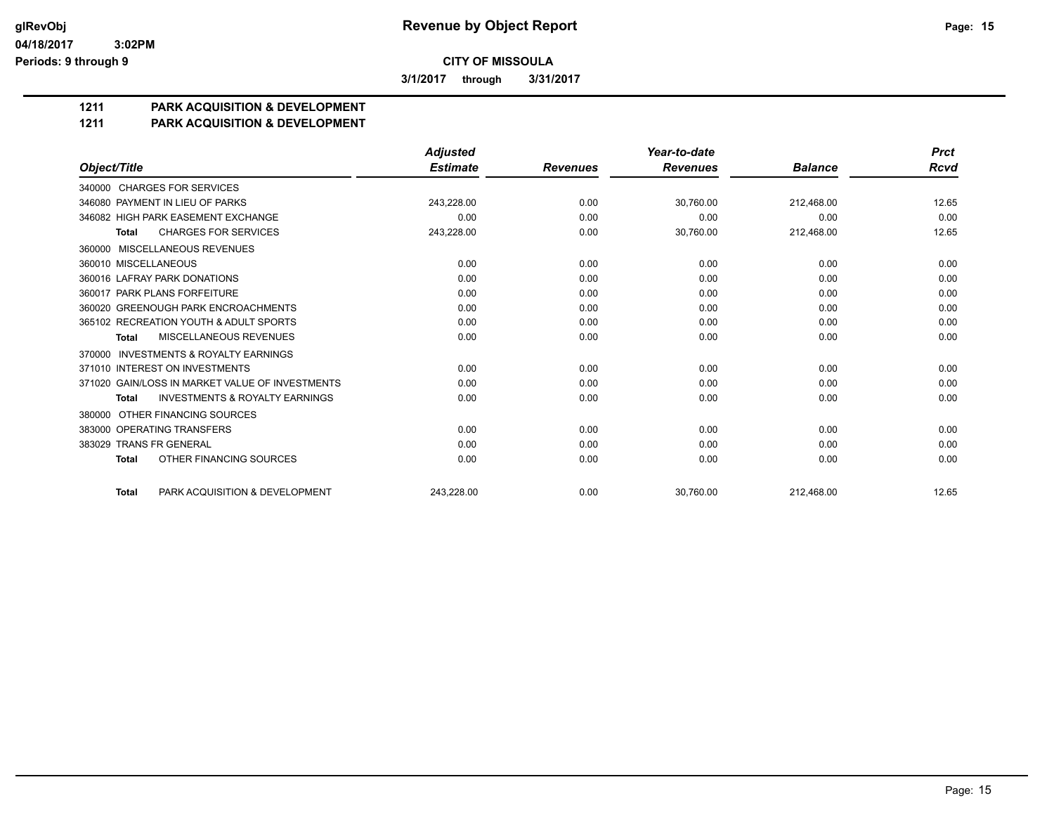**3/1/2017 through 3/31/2017**

# **1211 PARK ACQUISITION & DEVELOPMENT**

# **1211 PARK ACQUISITION & DEVELOPMENT**

|                                                           | <b>Adjusted</b> |                 | Year-to-date    |                | <b>Prct</b> |
|-----------------------------------------------------------|-----------------|-----------------|-----------------|----------------|-------------|
| Object/Title                                              | <b>Estimate</b> | <b>Revenues</b> | <b>Revenues</b> | <b>Balance</b> | Rcvd        |
| 340000 CHARGES FOR SERVICES                               |                 |                 |                 |                |             |
| 346080 PAYMENT IN LIEU OF PARKS                           | 243,228.00      | 0.00            | 30,760.00       | 212,468.00     | 12.65       |
| 346082 HIGH PARK EASEMENT EXCHANGE                        | 0.00            | 0.00            | 0.00            | 0.00           | 0.00        |
| <b>CHARGES FOR SERVICES</b><br><b>Total</b>               | 243,228.00      | 0.00            | 30,760.00       | 212,468.00     | 12.65       |
| 360000 MISCELLANEOUS REVENUES                             |                 |                 |                 |                |             |
| 360010 MISCELLANEOUS                                      | 0.00            | 0.00            | 0.00            | 0.00           | 0.00        |
| 360016 LAFRAY PARK DONATIONS                              | 0.00            | 0.00            | 0.00            | 0.00           | 0.00        |
| 360017 PARK PLANS FORFEITURE                              | 0.00            | 0.00            | 0.00            | 0.00           | 0.00        |
| 360020 GREENOUGH PARK ENCROACHMENTS                       | 0.00            | 0.00            | 0.00            | 0.00           | 0.00        |
| 365102 RECREATION YOUTH & ADULT SPORTS                    | 0.00            | 0.00            | 0.00            | 0.00           | 0.00        |
| MISCELLANEOUS REVENUES<br><b>Total</b>                    | 0.00            | 0.00            | 0.00            | 0.00           | 0.00        |
| 370000 INVESTMENTS & ROYALTY EARNINGS                     |                 |                 |                 |                |             |
| 371010 INTEREST ON INVESTMENTS                            | 0.00            | 0.00            | 0.00            | 0.00           | 0.00        |
| 371020 GAIN/LOSS IN MARKET VALUE OF INVESTMENTS           | 0.00            | 0.00            | 0.00            | 0.00           | 0.00        |
| <b>INVESTMENTS &amp; ROYALTY EARNINGS</b><br><b>Total</b> | 0.00            | 0.00            | 0.00            | 0.00           | 0.00        |
| 380000 OTHER FINANCING SOURCES                            |                 |                 |                 |                |             |
| 383000 OPERATING TRANSFERS                                | 0.00            | 0.00            | 0.00            | 0.00           | 0.00        |
| 383029 TRANS FR GENERAL                                   | 0.00            | 0.00            | 0.00            | 0.00           | 0.00        |
| OTHER FINANCING SOURCES<br>Total                          | 0.00            | 0.00            | 0.00            | 0.00           | 0.00        |
| PARK ACQUISITION & DEVELOPMENT<br>Total                   | 243.228.00      | 0.00            | 30.760.00       | 212.468.00     | 12.65       |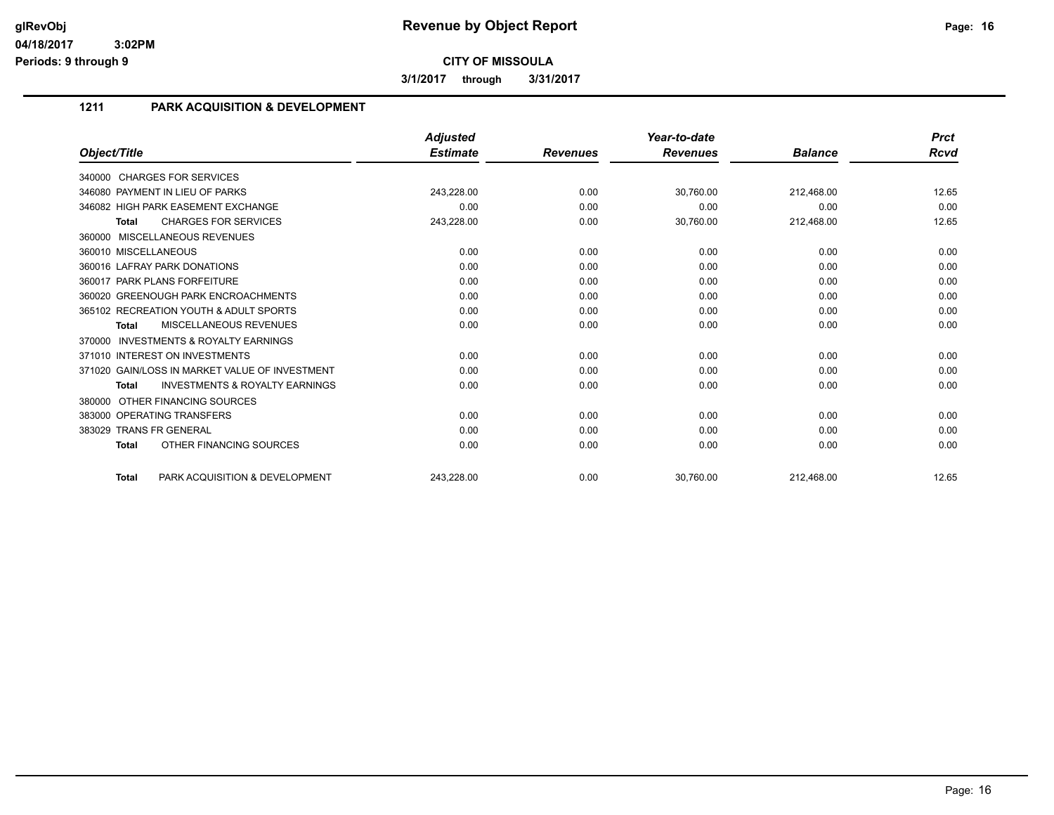**3/1/2017 through 3/31/2017**

# **1211 PARK ACQUISITION & DEVELOPMENT**

|                                                     | <b>Adjusted</b> |                 | Year-to-date    |                | <b>Prct</b> |
|-----------------------------------------------------|-----------------|-----------------|-----------------|----------------|-------------|
| Object/Title                                        | <b>Estimate</b> | <b>Revenues</b> | <b>Revenues</b> | <b>Balance</b> | Rcvd        |
| 340000 CHARGES FOR SERVICES                         |                 |                 |                 |                |             |
| 346080 PAYMENT IN LIEU OF PARKS                     | 243,228.00      | 0.00            | 30,760.00       | 212,468.00     | 12.65       |
| 346082 HIGH PARK EASEMENT EXCHANGE                  | 0.00            | 0.00            | 0.00            | 0.00           | 0.00        |
| <b>CHARGES FOR SERVICES</b><br>Total                | 243,228.00      | 0.00            | 30,760.00       | 212,468.00     | 12.65       |
| MISCELLANEOUS REVENUES<br>360000                    |                 |                 |                 |                |             |
| 360010 MISCELLANEOUS                                | 0.00            | 0.00            | 0.00            | 0.00           | 0.00        |
| 360016 LAFRAY PARK DONATIONS                        | 0.00            | 0.00            | 0.00            | 0.00           | 0.00        |
| 360017 PARK PLANS FORFEITURE                        | 0.00            | 0.00            | 0.00            | 0.00           | 0.00        |
| 360020 GREENOUGH PARK ENCROACHMENTS                 | 0.00            | 0.00            | 0.00            | 0.00           | 0.00        |
| 365102 RECREATION YOUTH & ADULT SPORTS              | 0.00            | 0.00            | 0.00            | 0.00           | 0.00        |
| MISCELLANEOUS REVENUES<br>Total                     | 0.00            | 0.00            | 0.00            | 0.00           | 0.00        |
| <b>INVESTMENTS &amp; ROYALTY EARNINGS</b><br>370000 |                 |                 |                 |                |             |
| 371010 INTEREST ON INVESTMENTS                      | 0.00            | 0.00            | 0.00            | 0.00           | 0.00        |
| 371020 GAIN/LOSS IN MARKET VALUE OF INVESTMENT      | 0.00            | 0.00            | 0.00            | 0.00           | 0.00        |
| <b>INVESTMENTS &amp; ROYALTY EARNINGS</b><br>Total  | 0.00            | 0.00            | 0.00            | 0.00           | 0.00        |
| 380000 OTHER FINANCING SOURCES                      |                 |                 |                 |                |             |
| 383000 OPERATING TRANSFERS                          | 0.00            | 0.00            | 0.00            | 0.00           | 0.00        |
| 383029 TRANS FR GENERAL                             | 0.00            | 0.00            | 0.00            | 0.00           | 0.00        |
| OTHER FINANCING SOURCES<br><b>Total</b>             | 0.00            | 0.00            | 0.00            | 0.00           | 0.00        |
| PARK ACQUISITION & DEVELOPMENT<br><b>Total</b>      | 243,228.00      | 0.00            | 30,760.00       | 212,468.00     | 12.65       |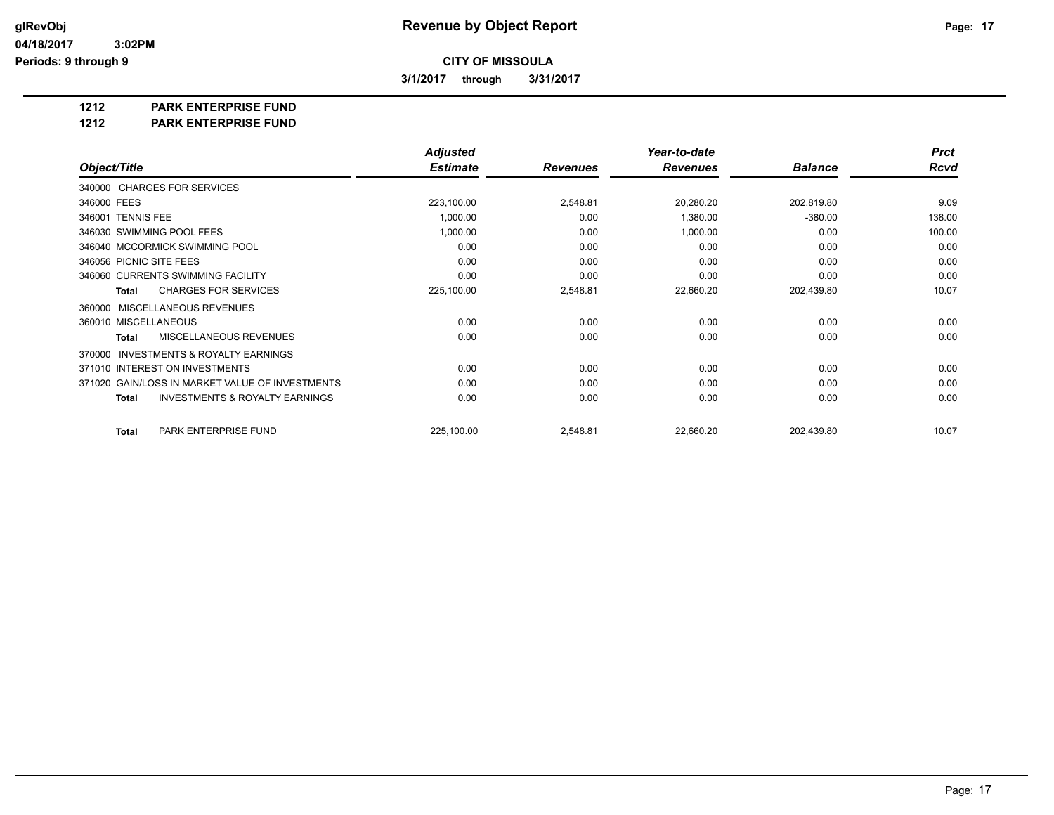**3/1/2017 through 3/31/2017**

**1212 PARK ENTERPRISE FUND 1212 PARK ENTERPRISE FUND**

*Object/Title Adjusted Estimate Revenues Year-to-date Revenues Balance Prct Rcvd* 340000 CHARGES FOR SERVICES 346000 FEES 223,100.00 2,548.81 20,280.20 202,819.80 9.09 346001 TENNIS FEE 1,000.00 0.00 1,380.00 -380.00 138.00 346030 SWIMMING POOL FEES 1,000.00 0.00 1,000.00 0.00 100.00 346040 MCCORMICK SWIMMING POOL 0.00 0.00 0.00 0.00 0.00 346056 PICNIC SITE FEES 0.00 0.00 0.00 0.00 0.00  $0.00 \hspace{1.5cm} 0.00 \hspace{3.1cm} 0.00 \hspace{1.5cm} 0.00 \hspace{1.5cm} 0.00 \hspace{1.5cm} 0.00 \hspace{1.5cm} 0.00 \hspace{1.5cm} 0.00 \hspace{1.5cm} 0.00 \hspace{1.5cm} 0.00 \hspace{1.5cm} 0.00 \hspace{1.5cm} 0.00 \hspace{1.5cm} 0.00 \hspace{1.5cm} 0.00 \hspace{1.5cm} 0.00 \hspace{1.5cm} 0.00 \hspace{1.5$ **Total** CHARGES FOR SERVICES 225,100.00 2,548.81 22,660.20 202,439.80 10.07 360000 MISCELLANEOUS REVENUES 360010 MISCELLANEOUS 0.00 0.00 0.00 0.00 0.00 **Total** MISCELLANEOUS REVENUES 0.00 0.00 0.00 0.00 0.00 370000 INVESTMENTS & ROYALTY EARNINGS 371010 INTEREST ON INVESTMENTS 0.00 0.00 0.00 0.00 0.00 371020 GAIN/LOSS IN MARKET VALUE OF INVESTMENTS  $0.00$   $0.00$   $0.00$   $0.00$   $0.00$   $0.00$   $0.00$   $0.00$   $0.00$   $0.00$ **Total** INVESTMENTS & ROYALTY EARNINGS 0.00 0.00 0.00 0.00 0.00 **Total** PARK ENTERPRISE FUND 225,100.00 2,548.81 22,660.20 202,439.80 10.07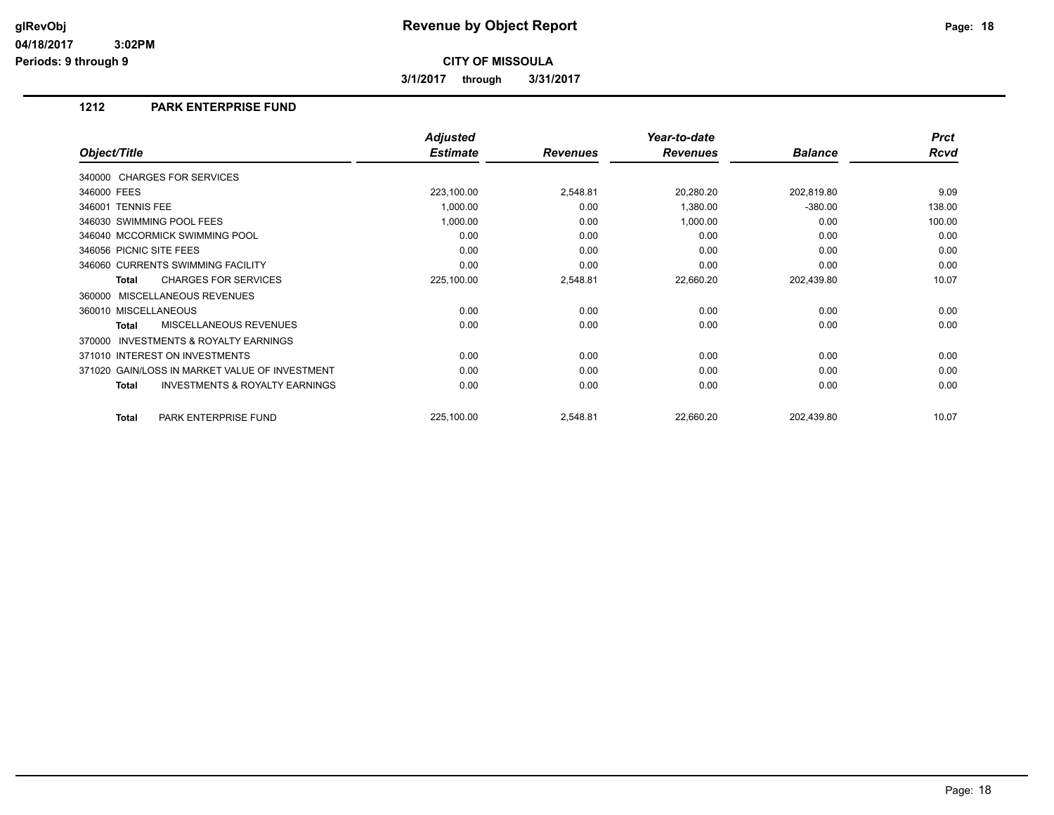**3/1/2017 through 3/31/2017**

# **1212 PARK ENTERPRISE FUND**

|                                                           | <b>Adjusted</b> |                 | Year-to-date    |                | <b>Prct</b> |
|-----------------------------------------------------------|-----------------|-----------------|-----------------|----------------|-------------|
| Object/Title                                              | <b>Estimate</b> | <b>Revenues</b> | <b>Revenues</b> | <b>Balance</b> | <b>Rcvd</b> |
| 340000 CHARGES FOR SERVICES                               |                 |                 |                 |                |             |
| 346000 FEES                                               | 223,100.00      | 2,548.81        | 20,280.20       | 202,819.80     | 9.09        |
| 346001 TENNIS FEE                                         | 1,000.00        | 0.00            | 1,380.00        | $-380.00$      | 138.00      |
| 346030 SWIMMING POOL FEES                                 | 1,000.00        | 0.00            | 1,000.00        | 0.00           | 100.00      |
| 346040 MCCORMICK SWIMMING POOL                            | 0.00            | 0.00            | 0.00            | 0.00           | 0.00        |
| 346056 PICNIC SITE FEES                                   | 0.00            | 0.00            | 0.00            | 0.00           | 0.00        |
| 346060 CURRENTS SWIMMING FACILITY                         | 0.00            | 0.00            | 0.00            | 0.00           | 0.00        |
| <b>CHARGES FOR SERVICES</b><br>Total                      | 225,100.00      | 2,548.81        | 22,660.20       | 202,439.80     | 10.07       |
| 360000 MISCELLANEOUS REVENUES                             |                 |                 |                 |                |             |
| 360010 MISCELLANEOUS                                      | 0.00            | 0.00            | 0.00            | 0.00           | 0.00        |
| MISCELLANEOUS REVENUES<br>Total                           | 0.00            | 0.00            | 0.00            | 0.00           | 0.00        |
| <b>INVESTMENTS &amp; ROYALTY EARNINGS</b><br>370000       |                 |                 |                 |                |             |
| 371010 INTEREST ON INVESTMENTS                            | 0.00            | 0.00            | 0.00            | 0.00           | 0.00        |
| 371020 GAIN/LOSS IN MARKET VALUE OF INVESTMENT            | 0.00            | 0.00            | 0.00            | 0.00           | 0.00        |
| <b>INVESTMENTS &amp; ROYALTY EARNINGS</b><br><b>Total</b> | 0.00            | 0.00            | 0.00            | 0.00           | 0.00        |
| PARK ENTERPRISE FUND<br>Total                             | 225,100.00      | 2,548.81        | 22,660.20       | 202,439.80     | 10.07       |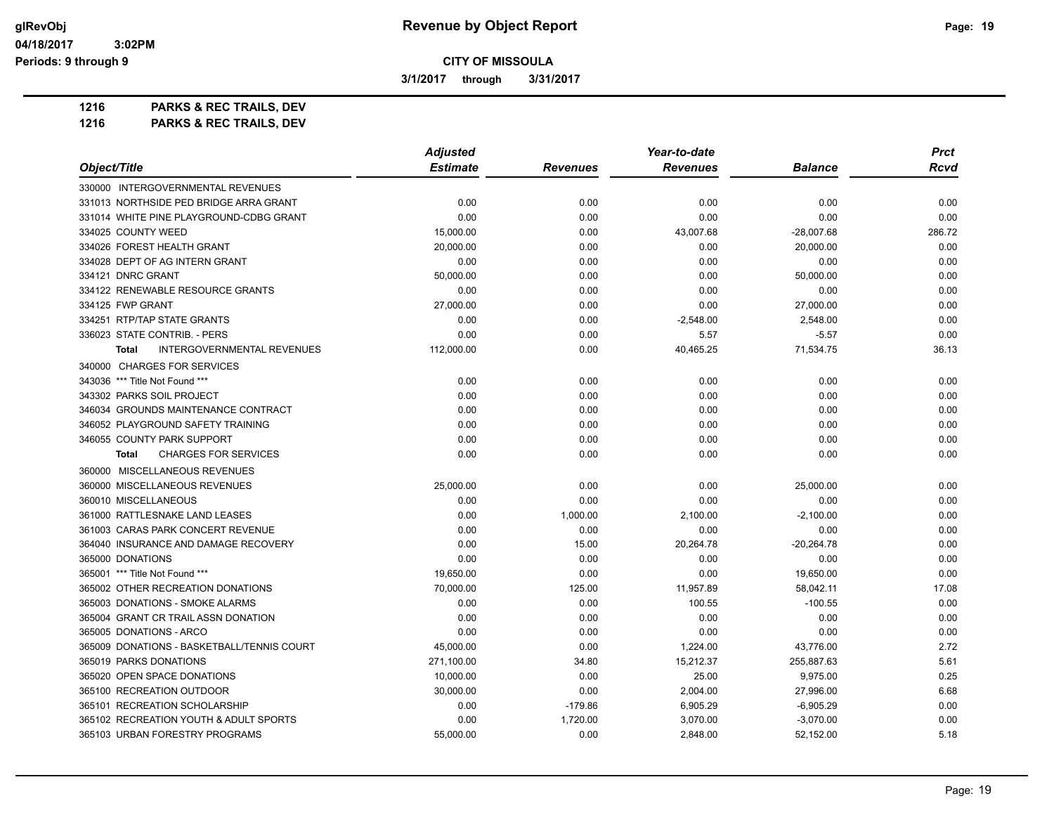**3/1/2017 through 3/31/2017**

**1216 PARKS & REC TRAILS, DEV**

|                                                   | <b>Adjusted</b> |                 | Year-to-date    |                | <b>Prct</b> |
|---------------------------------------------------|-----------------|-----------------|-----------------|----------------|-------------|
| Object/Title                                      | <b>Estimate</b> | <b>Revenues</b> | <b>Revenues</b> | <b>Balance</b> | <b>Rcvd</b> |
| 330000 INTERGOVERNMENTAL REVENUES                 |                 |                 |                 |                |             |
| 331013 NORTHSIDE PED BRIDGE ARRA GRANT            | 0.00            | 0.00            | 0.00            | 0.00           | 0.00        |
| 331014 WHITE PINE PLAYGROUND-CDBG GRANT           | 0.00            | 0.00            | 0.00            | 0.00           | 0.00        |
| 334025 COUNTY WEED                                | 15,000.00       | 0.00            | 43,007.68       | $-28,007.68$   | 286.72      |
| 334026 FOREST HEALTH GRANT                        | 20,000.00       | 0.00            | 0.00            | 20,000.00      | 0.00        |
| 334028 DEPT OF AG INTERN GRANT                    | 0.00            | 0.00            | 0.00            | 0.00           | 0.00        |
| 334121 DNRC GRANT                                 | 50,000.00       | 0.00            | 0.00            | 50,000.00      | 0.00        |
| 334122 RENEWABLE RESOURCE GRANTS                  | 0.00            | 0.00            | 0.00            | 0.00           | 0.00        |
| 334125 FWP GRANT                                  | 27,000.00       | 0.00            | 0.00            | 27,000.00      | 0.00        |
| 334251 RTP/TAP STATE GRANTS                       | 0.00            | 0.00            | $-2,548.00$     | 2,548.00       | 0.00        |
| 336023 STATE CONTRIB. - PERS                      | 0.00            | 0.00            | 5.57            | $-5.57$        | 0.00        |
| <b>INTERGOVERNMENTAL REVENUES</b><br><b>Total</b> | 112,000.00      | 0.00            | 40,465.25       | 71,534.75      | 36.13       |
| 340000 CHARGES FOR SERVICES                       |                 |                 |                 |                |             |
| 343036 *** Title Not Found ***                    | 0.00            | 0.00            | 0.00            | 0.00           | 0.00        |
| 343302 PARKS SOIL PROJECT                         | 0.00            | 0.00            | 0.00            | 0.00           | 0.00        |
| 346034 GROUNDS MAINTENANCE CONTRACT               | 0.00            | 0.00            | 0.00            | 0.00           | 0.00        |
| 346052 PLAYGROUND SAFETY TRAINING                 | 0.00            | 0.00            | 0.00            | 0.00           | 0.00        |
| 346055 COUNTY PARK SUPPORT                        | 0.00            | 0.00            | 0.00            | 0.00           | 0.00        |
| <b>CHARGES FOR SERVICES</b><br><b>Total</b>       | 0.00            | 0.00            | 0.00            | 0.00           | 0.00        |
| 360000 MISCELLANEOUS REVENUES                     |                 |                 |                 |                |             |
| 360000 MISCELLANEOUS REVENUES                     | 25,000.00       | 0.00            | 0.00            | 25,000.00      | 0.00        |
| 360010 MISCELLANEOUS                              | 0.00            | 0.00            | 0.00            | 0.00           | 0.00        |
| 361000 RATTLESNAKE LAND LEASES                    | 0.00            | 1,000.00        | 2,100.00        | $-2,100.00$    | 0.00        |
| 361003 CARAS PARK CONCERT REVENUE                 | 0.00            | 0.00            | 0.00            | 0.00           | 0.00        |
| 364040 INSURANCE AND DAMAGE RECOVERY              | 0.00            | 15.00           | 20,264.78       | $-20,264.78$   | 0.00        |
| 365000 DONATIONS                                  | 0.00            | 0.00            | 0.00            | 0.00           | 0.00        |
| 365001 *** Title Not Found ***                    | 19,650.00       | 0.00            | 0.00            | 19,650.00      | 0.00        |
| 365002 OTHER RECREATION DONATIONS                 | 70,000.00       | 125.00          | 11,957.89       | 58,042.11      | 17.08       |
| 365003 DONATIONS - SMOKE ALARMS                   | 0.00            | 0.00            | 100.55          | $-100.55$      | 0.00        |
| 365004 GRANT CR TRAIL ASSN DONATION               | 0.00            | 0.00            | 0.00            | 0.00           | 0.00        |
| 365005 DONATIONS - ARCO                           | 0.00            | 0.00            | 0.00            | 0.00           | 0.00        |
| 365009 DONATIONS - BASKETBALL/TENNIS COURT        | 45,000.00       | 0.00            | 1,224.00        | 43,776.00      | 2.72        |
| 365019 PARKS DONATIONS                            | 271,100.00      | 34.80           | 15,212.37       | 255,887.63     | 5.61        |
| 365020 OPEN SPACE DONATIONS                       | 10,000.00       | 0.00            | 25.00           | 9,975.00       | 0.25        |
| 365100 RECREATION OUTDOOR                         | 30,000.00       | 0.00            | 2,004.00        | 27,996.00      | 6.68        |
| 365101 RECREATION SCHOLARSHIP                     | 0.00            | $-179.86$       | 6,905.29        | $-6,905.29$    | 0.00        |
| 365102 RECREATION YOUTH & ADULT SPORTS            | 0.00            | 1,720.00        | 3,070.00        | $-3,070.00$    | 0.00        |
| 365103 URBAN FORESTRY PROGRAMS                    | 55.000.00       | 0.00            | 2,848.00        | 52,152.00      | 5.18        |
|                                                   |                 |                 |                 |                |             |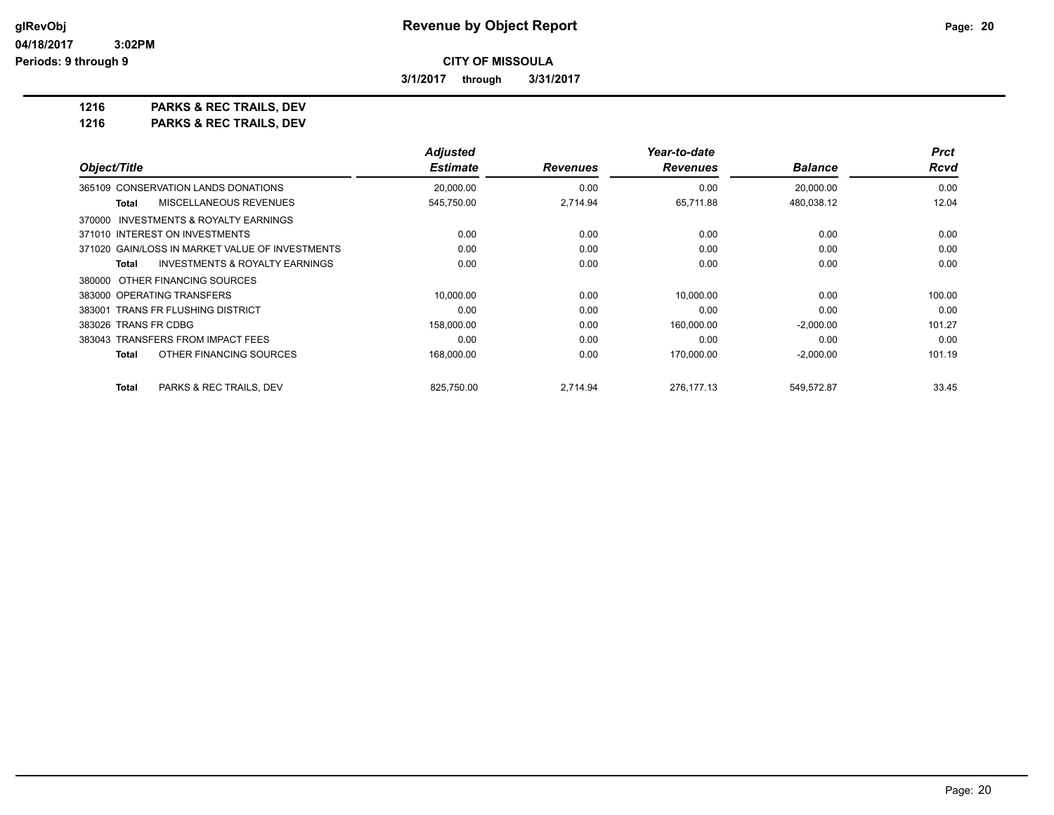**3/1/2017 through 3/31/2017**

**1216 PARKS & REC TRAILS, DEV 1216 PARKS & REC TRAILS, DEV**

*Object/Title Adjusted Estimate Revenues Year-to-date Revenues Balance Prct Rcvd* 365109 CONSERVATION LANDS DONATIONS 20,000.00 0.00 0.00 20,000.00 0.00 **Total** MISCELLANEOUS REVENUES 545,750.00 2,714.94 65,711.88 480,038.12 12.04 370000 INVESTMENTS & ROYALTY EARNINGS 371010 INTEREST ON INVESTMENTS 0.00 0.00 0.00 0.00 0.00 371020 GAIN/LOSS IN MARKET VALUE OF INVESTMENTS 0.00 0.00 0.00 0.00 0.00 **Total** INVESTMENTS & ROYALTY EARNINGS 0.00 0.00 0.00 0.00 0.00 380000 OTHER FINANCING SOURCES 383000 OPERATING TRANSFERS 10,000.00 0.00 10,000.00 100.00 383001 TRANS FR FLUSHING DISTRICT 0.00 0.00 0.00 0.00 0.00 383026 TRANS FR CDBG 158,000.00 0.00 160,000.00 -2,000.00 101.27 383043 TRANSFERS FROM IMPACT FEES 0.00 0.00 0.00 0.00 0.00 **Total OTHER FINANCING SOURCES** 168,000.00 0.00 0.00 170,000.00 120,000.00 101.19 **Total PARKS & REC TRAILS, DEV 825,750.00** 825,750.00 2,714.94 276,177.13 549,572.87 33.45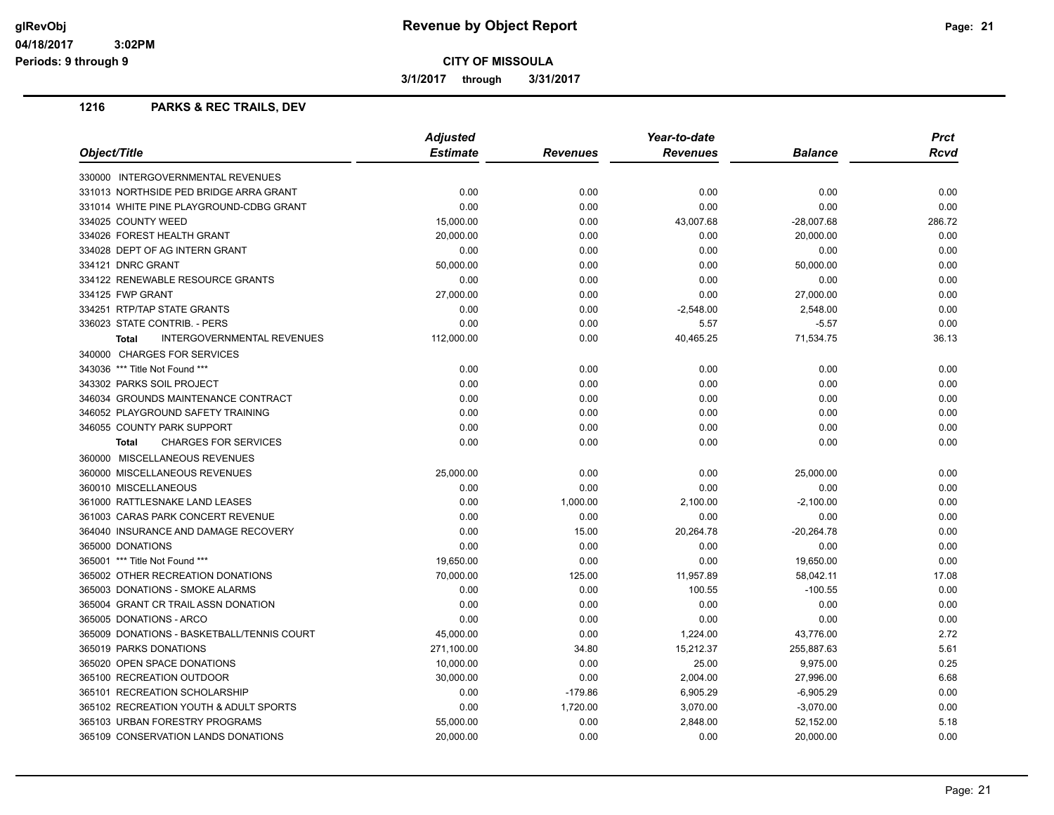**3/1/2017 through 3/31/2017**

# **1216 PARKS & REC TRAILS, DEV**

|                                                   | <b>Adjusted</b> |                 | Year-to-date    |                | <b>Prct</b> |
|---------------------------------------------------|-----------------|-----------------|-----------------|----------------|-------------|
| Object/Title                                      | <b>Estimate</b> | <b>Revenues</b> | <b>Revenues</b> | <b>Balance</b> | <b>Rcvd</b> |
| 330000 INTERGOVERNMENTAL REVENUES                 |                 |                 |                 |                |             |
| 331013 NORTHSIDE PED BRIDGE ARRA GRANT            | 0.00            | 0.00            | 0.00            | 0.00           | 0.00        |
| 331014 WHITE PINE PLAYGROUND-CDBG GRANT           | 0.00            | 0.00            | 0.00            | 0.00           | 0.00        |
| 334025 COUNTY WEED                                | 15,000.00       | 0.00            | 43,007.68       | $-28,007.68$   | 286.72      |
| 334026 FOREST HEALTH GRANT                        | 20,000.00       | 0.00            | 0.00            | 20,000.00      | 0.00        |
| 334028 DEPT OF AG INTERN GRANT                    | 0.00            | 0.00            | 0.00            | 0.00           | 0.00        |
| 334121 DNRC GRANT                                 | 50,000.00       | 0.00            | 0.00            | 50,000.00      | 0.00        |
| 334122 RENEWABLE RESOURCE GRANTS                  | 0.00            | 0.00            | 0.00            | 0.00           | 0.00        |
| 334125 FWP GRANT                                  | 27,000.00       | 0.00            | 0.00            | 27,000.00      | 0.00        |
| 334251 RTP/TAP STATE GRANTS                       | 0.00            | 0.00            | $-2,548.00$     | 2,548.00       | 0.00        |
| 336023 STATE CONTRIB. - PERS                      | 0.00            | 0.00            | 5.57            | $-5.57$        | 0.00        |
| <b>INTERGOVERNMENTAL REVENUES</b><br><b>Total</b> | 112,000.00      | 0.00            | 40,465.25       | 71,534.75      | 36.13       |
| 340000 CHARGES FOR SERVICES                       |                 |                 |                 |                |             |
| 343036 *** Title Not Found ***                    | 0.00            | 0.00            | 0.00            | 0.00           | 0.00        |
| 343302 PARKS SOIL PROJECT                         | 0.00            | 0.00            | 0.00            | 0.00           | 0.00        |
| 346034 GROUNDS MAINTENANCE CONTRACT               | 0.00            | 0.00            | 0.00            | 0.00           | 0.00        |
| 346052 PLAYGROUND SAFETY TRAINING                 | 0.00            | 0.00            | 0.00            | 0.00           | 0.00        |
| 346055 COUNTY PARK SUPPORT                        | 0.00            | 0.00            | 0.00            | 0.00           | 0.00        |
| <b>CHARGES FOR SERVICES</b><br><b>Total</b>       | 0.00            | 0.00            | 0.00            | 0.00           | 0.00        |
| 360000 MISCELLANEOUS REVENUES                     |                 |                 |                 |                |             |
| 360000 MISCELLANEOUS REVENUES                     | 25,000.00       | 0.00            | 0.00            | 25,000.00      | 0.00        |
| 360010 MISCELLANEOUS                              | 0.00            | 0.00            | 0.00            | 0.00           | 0.00        |
| 361000 RATTLESNAKE LAND LEASES                    | 0.00            | 1,000.00        | 2,100.00        | $-2,100.00$    | 0.00        |
| 361003 CARAS PARK CONCERT REVENUE                 | 0.00            | 0.00            | 0.00            | 0.00           | 0.00        |
| 364040 INSURANCE AND DAMAGE RECOVERY              | 0.00            | 15.00           | 20,264.78       | $-20,264.78$   | 0.00        |
| 365000 DONATIONS                                  | 0.00            | 0.00            | 0.00            | 0.00           | 0.00        |
| 365001 *** Title Not Found ***                    | 19,650.00       | 0.00            | 0.00            | 19,650.00      | 0.00        |
| 365002 OTHER RECREATION DONATIONS                 | 70,000.00       | 125.00          | 11,957.89       | 58,042.11      | 17.08       |
| 365003 DONATIONS - SMOKE ALARMS                   | 0.00            | 0.00            | 100.55          | $-100.55$      | 0.00        |
| 365004 GRANT CR TRAIL ASSN DONATION               | 0.00            | 0.00            | 0.00            | 0.00           | 0.00        |
| 365005 DONATIONS - ARCO                           | 0.00            | 0.00            | 0.00            | 0.00           | 0.00        |
| 365009 DONATIONS - BASKETBALL/TENNIS COURT        | 45,000.00       | 0.00            | 1,224.00        | 43,776.00      | 2.72        |
| 365019 PARKS DONATIONS                            | 271,100.00      | 34.80           | 15,212.37       | 255,887.63     | 5.61        |
| 365020 OPEN SPACE DONATIONS                       | 10,000.00       | 0.00            | 25.00           | 9,975.00       | 0.25        |
| 365100 RECREATION OUTDOOR                         | 30,000.00       | 0.00            | 2,004.00        | 27,996.00      | 6.68        |
| 365101 RECREATION SCHOLARSHIP                     | 0.00            | $-179.86$       | 6,905.29        | $-6,905.29$    | 0.00        |
| 365102 RECREATION YOUTH & ADULT SPORTS            | 0.00            | 1,720.00        | 3,070.00        | $-3,070.00$    | 0.00        |
| 365103 URBAN FORESTRY PROGRAMS                    | 55,000.00       | 0.00            | 2,848.00        | 52,152.00      | 5.18        |
| 365109 CONSERVATION LANDS DONATIONS               | 20,000.00       | 0.00            | 0.00            | 20,000.00      | 0.00        |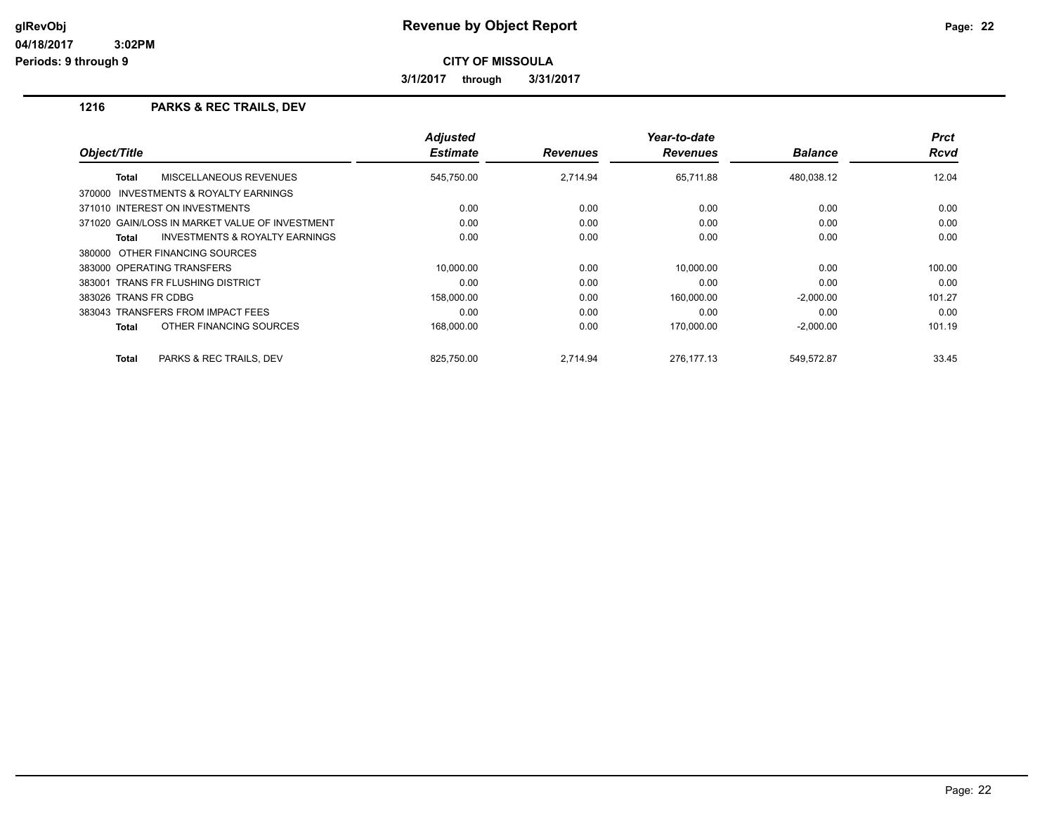**3/1/2017 through 3/31/2017**

# **1216 PARKS & REC TRAILS, DEV**

|                                                           | <b>Adjusted</b> |                 | Year-to-date    |                | <b>Prct</b> |
|-----------------------------------------------------------|-----------------|-----------------|-----------------|----------------|-------------|
| Object/Title                                              | <b>Estimate</b> | <b>Revenues</b> | <b>Revenues</b> | <b>Balance</b> | Rcvd        |
| MISCELLANEOUS REVENUES<br><b>Total</b>                    | 545,750.00      | 2.714.94        | 65,711.88       | 480,038.12     | 12.04       |
| 370000 INVESTMENTS & ROYALTY EARNINGS                     |                 |                 |                 |                |             |
| 371010 INTEREST ON INVESTMENTS                            | 0.00            | 0.00            | 0.00            | 0.00           | 0.00        |
| 371020 GAIN/LOSS IN MARKET VALUE OF INVESTMENT            | 0.00            | 0.00            | 0.00            | 0.00           | 0.00        |
| <b>INVESTMENTS &amp; ROYALTY EARNINGS</b><br><b>Total</b> | 0.00            | 0.00            | 0.00            | 0.00           | 0.00        |
| 380000 OTHER FINANCING SOURCES                            |                 |                 |                 |                |             |
| 383000 OPERATING TRANSFERS                                | 10.000.00       | 0.00            | 10.000.00       | 0.00           | 100.00      |
| 383001 TRANS FR FLUSHING DISTRICT                         | 0.00            | 0.00            | 0.00            | 0.00           | 0.00        |
| 383026 TRANS FR CDBG                                      | 158,000.00      | 0.00            | 160,000.00      | $-2,000.00$    | 101.27      |
| 383043 TRANSFERS FROM IMPACT FEES                         | 0.00            | 0.00            | 0.00            | 0.00           | 0.00        |
| <b>Total</b><br>OTHER FINANCING SOURCES                   | 168,000.00      | 0.00            | 170,000.00      | $-2,000.00$    | 101.19      |
| PARKS & REC TRAILS, DEV<br><b>Total</b>                   | 825.750.00      | 2.714.94        | 276.177.13      | 549.572.87     | 33.45       |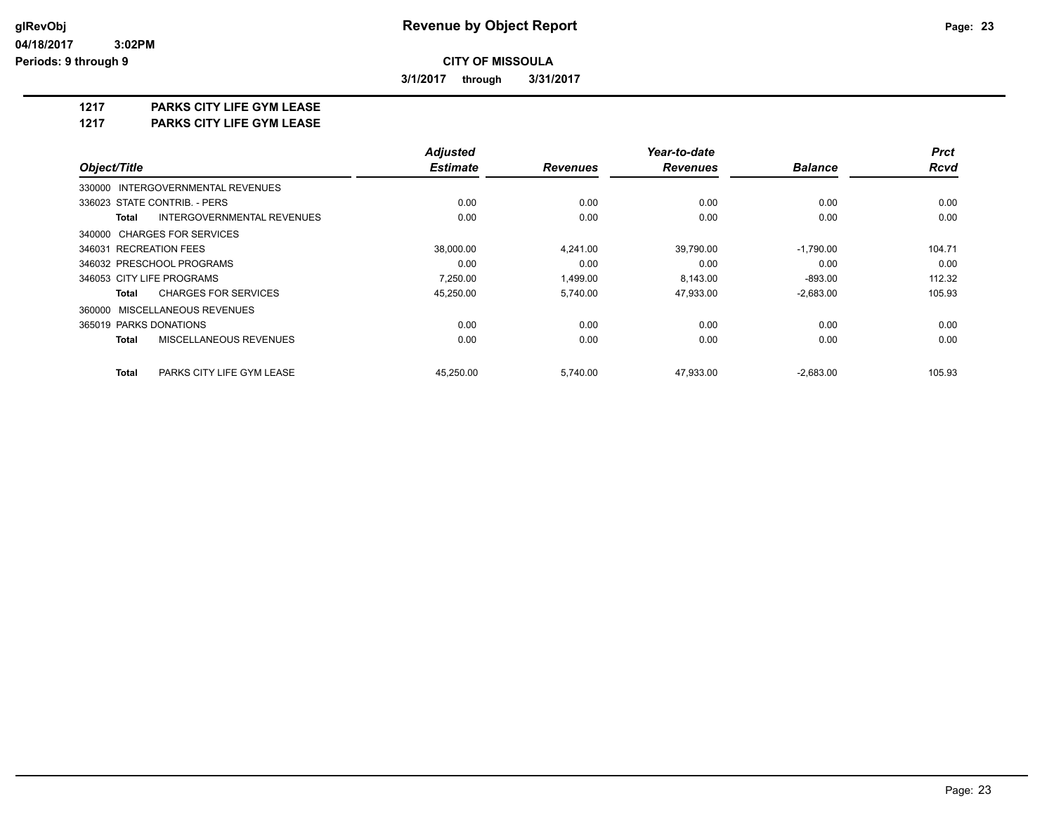**3/1/2017 through 3/31/2017**

**1217 PARKS CITY LIFE GYM LEASE**

**1217 PARKS CITY LIFE GYM LEASE**

|                                      | <b>Adjusted</b> |                 | Year-to-date    |                | <b>Prct</b> |
|--------------------------------------|-----------------|-----------------|-----------------|----------------|-------------|
| Object/Title                         | <b>Estimate</b> | <b>Revenues</b> | <b>Revenues</b> | <b>Balance</b> | <b>Rcvd</b> |
| 330000 INTERGOVERNMENTAL REVENUES    |                 |                 |                 |                |             |
| 336023 STATE CONTRIB. - PERS         | 0.00            | 0.00            | 0.00            | 0.00           | 0.00        |
| INTERGOVERNMENTAL REVENUES<br>Total  | 0.00            | 0.00            | 0.00            | 0.00           | 0.00        |
| 340000 CHARGES FOR SERVICES          |                 |                 |                 |                |             |
| 346031 RECREATION FEES               | 38,000.00       | 4.241.00        | 39.790.00       | $-1,790.00$    | 104.71      |
| 346032 PRESCHOOL PROGRAMS            | 0.00            | 0.00            | 0.00            | 0.00           | 0.00        |
| 346053 CITY LIFE PROGRAMS            | 7,250.00        | 1,499.00        | 8,143.00        | $-893.00$      | 112.32      |
| <b>CHARGES FOR SERVICES</b><br>Total | 45,250.00       | 5,740.00        | 47,933.00       | $-2,683.00$    | 105.93      |
| 360000 MISCELLANEOUS REVENUES        |                 |                 |                 |                |             |
| 365019 PARKS DONATIONS               | 0.00            | 0.00            | 0.00            | 0.00           | 0.00        |
| MISCELLANEOUS REVENUES<br>Total      | 0.00            | 0.00            | 0.00            | 0.00           | 0.00        |
| PARKS CITY LIFE GYM LEASE<br>Total   | 45.250.00       | 5.740.00        | 47.933.00       | $-2.683.00$    | 105.93      |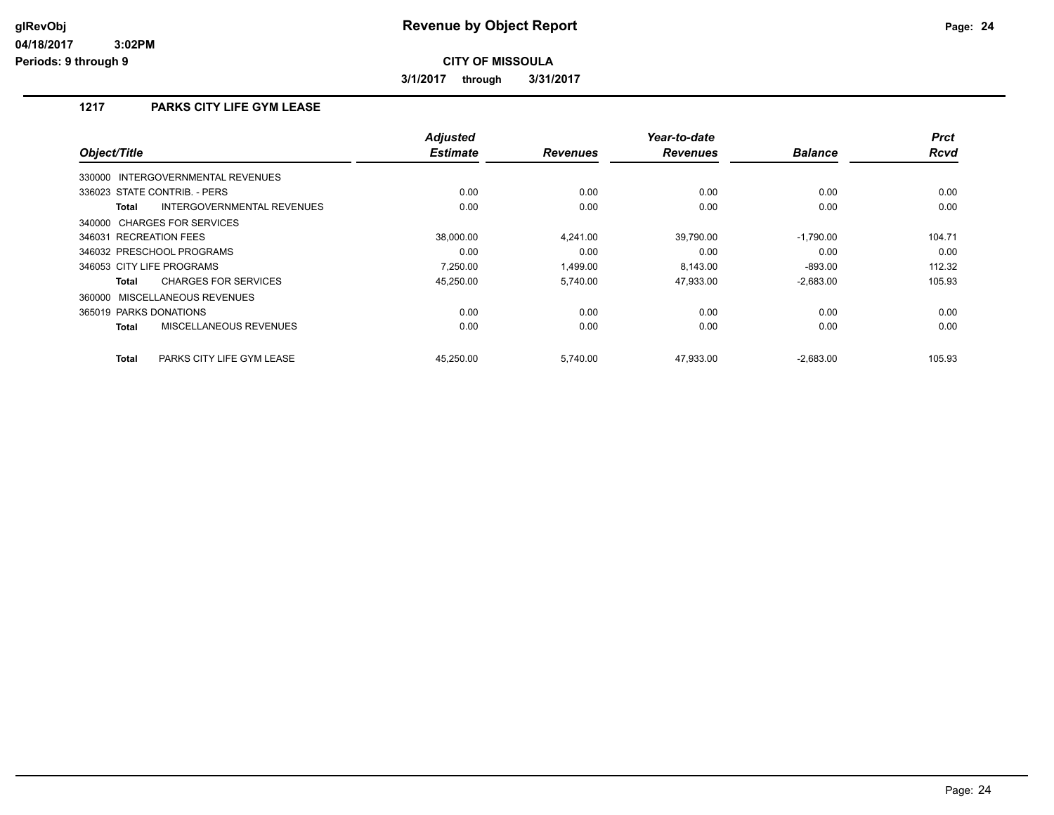**3/1/2017 through 3/31/2017**

# **1217 PARKS CITY LIFE GYM LEASE**

| Object/Title                                | <b>Adjusted</b><br><b>Estimate</b> | <b>Revenues</b> | Year-to-date<br><b>Revenues</b> | <b>Balance</b> | <b>Prct</b><br><b>Rcvd</b> |
|---------------------------------------------|------------------------------------|-----------------|---------------------------------|----------------|----------------------------|
| INTERGOVERNMENTAL REVENUES<br>330000        |                                    |                 |                                 |                |                            |
| 336023 STATE CONTRIB. - PERS                | 0.00                               | 0.00            | 0.00                            | 0.00           | 0.00                       |
| INTERGOVERNMENTAL REVENUES<br><b>Total</b>  | 0.00                               | 0.00            | 0.00                            | 0.00           | 0.00                       |
| 340000 CHARGES FOR SERVICES                 |                                    |                 |                                 |                |                            |
| 346031 RECREATION FEES                      | 38,000.00                          | 4,241.00        | 39,790.00                       | $-1,790.00$    | 104.71                     |
| 346032 PRESCHOOL PROGRAMS                   | 0.00                               | 0.00            | 0.00                            | 0.00           | 0.00                       |
| 346053 CITY LIFE PROGRAMS                   | 7.250.00                           | 1,499.00        | 8.143.00                        | $-893.00$      | 112.32                     |
| <b>CHARGES FOR SERVICES</b><br><b>Total</b> | 45,250.00                          | 5,740.00        | 47,933.00                       | $-2,683.00$    | 105.93                     |
| MISCELLANEOUS REVENUES<br>360000            |                                    |                 |                                 |                |                            |
| 365019 PARKS DONATIONS                      | 0.00                               | 0.00            | 0.00                            | 0.00           | 0.00                       |
| MISCELLANEOUS REVENUES<br><b>Total</b>      | 0.00                               | 0.00            | 0.00                            | 0.00           | 0.00                       |
| <b>Total</b><br>PARKS CITY LIFE GYM LEASE   | 45,250.00                          | 5.740.00        | 47.933.00                       | $-2,683.00$    | 105.93                     |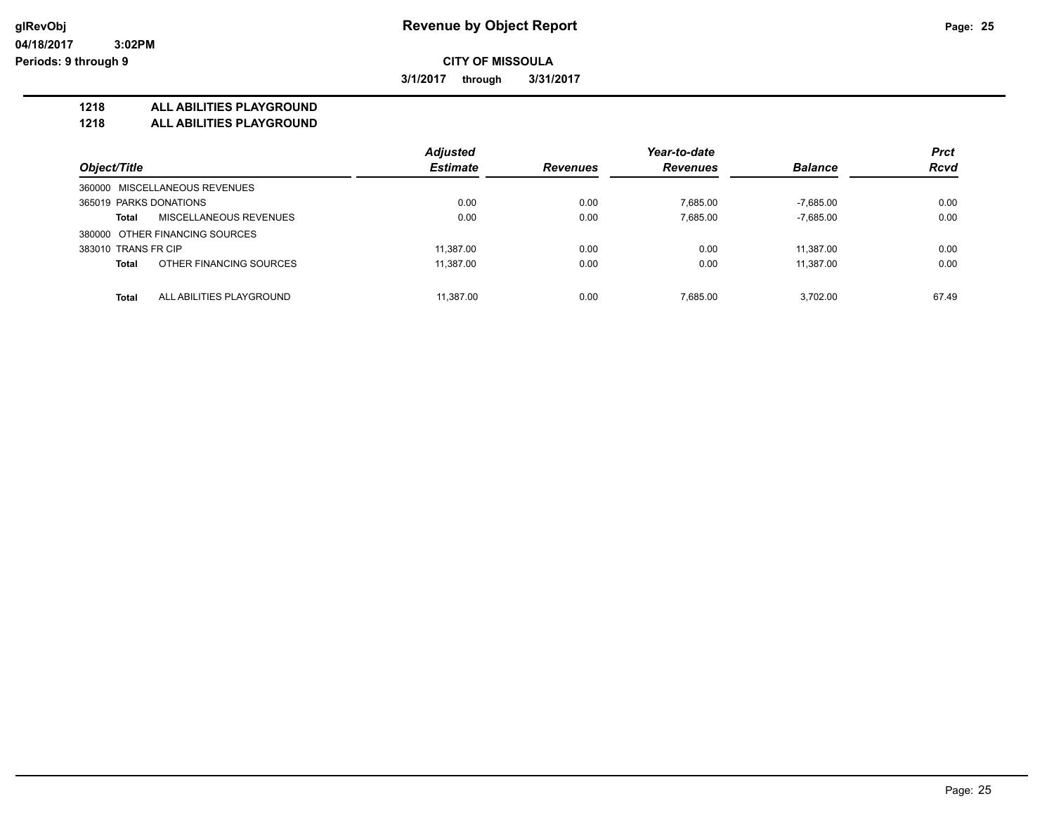**3/1/2017 through 3/31/2017**

**1218 ALL ABILITIES PLAYGROUND**

**1218 ALL ABILITIES PLAYGROUND**

|                                   | <b>Adjusted</b> |                 | Year-to-date    |                | <b>Prct</b> |
|-----------------------------------|-----------------|-----------------|-----------------|----------------|-------------|
| Object/Title                      | <b>Estimate</b> | <b>Revenues</b> | <b>Revenues</b> | <b>Balance</b> | <b>Rcvd</b> |
| 360000 MISCELLANEOUS REVENUES     |                 |                 |                 |                |             |
| 365019 PARKS DONATIONS            | 0.00            | 0.00            | 7.685.00        | $-7.685.00$    | 0.00        |
| MISCELLANEOUS REVENUES<br>Total   | 0.00            | 0.00            | 7.685.00        | $-7.685.00$    | 0.00        |
| 380000 OTHER FINANCING SOURCES    |                 |                 |                 |                |             |
| 383010 TRANS FR CIP               | 11.387.00       | 0.00            | 0.00            | 11.387.00      | 0.00        |
| OTHER FINANCING SOURCES<br>Total  | 11.387.00       | 0.00            | 0.00            | 11.387.00      | 0.00        |
|                                   |                 |                 |                 |                |             |
| Total<br>ALL ABILITIES PLAYGROUND | 11.387.00       | 0.00            | 7.685.00        | 3.702.00       | 67.49       |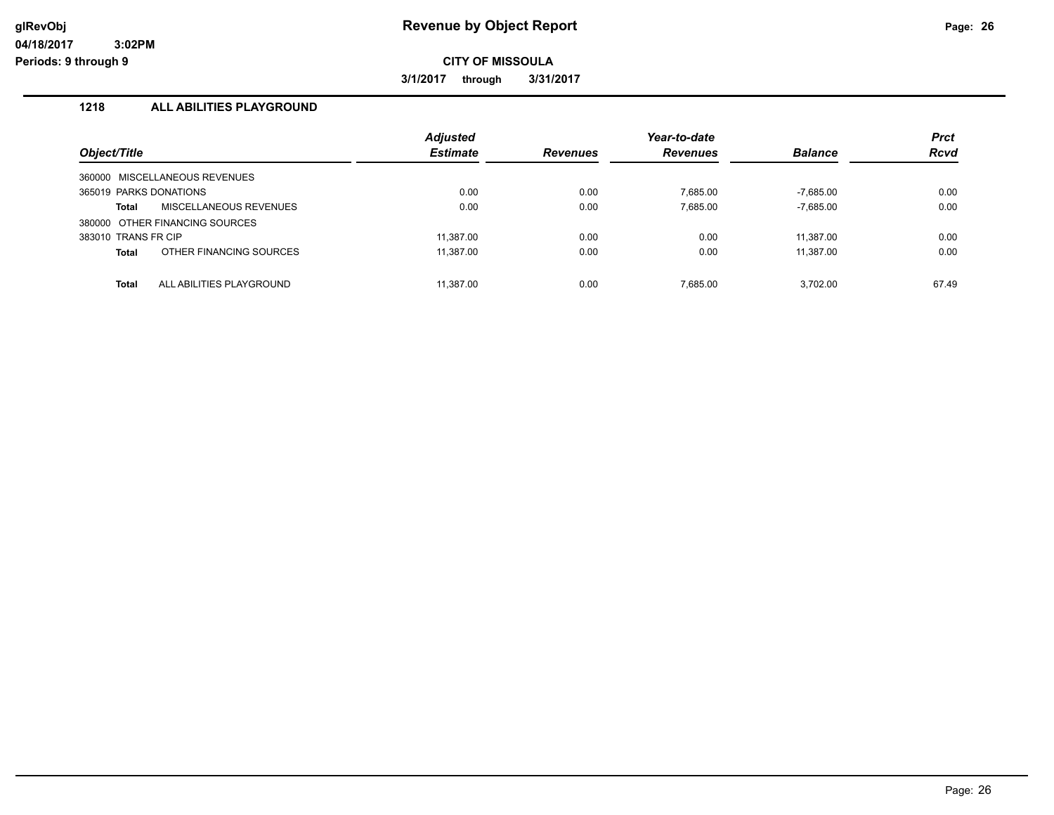**3/1/2017 through 3/31/2017**

# **1218 ALL ABILITIES PLAYGROUND**

|                        |                                | <b>Adjusted</b> |                 | Year-to-date    |                | <b>Prct</b> |
|------------------------|--------------------------------|-----------------|-----------------|-----------------|----------------|-------------|
| Object/Title           |                                | <b>Estimate</b> | <b>Revenues</b> | <b>Revenues</b> | <b>Balance</b> | <b>Rcvd</b> |
|                        | 360000 MISCELLANEOUS REVENUES  |                 |                 |                 |                |             |
| 365019 PARKS DONATIONS |                                | 0.00            | 0.00            | 7.685.00        | $-7.685.00$    | 0.00        |
| Total                  | MISCELLANEOUS REVENUES         | 0.00            | 0.00            | 7.685.00        | $-7,685.00$    | 0.00        |
|                        | 380000 OTHER FINANCING SOURCES |                 |                 |                 |                |             |
| 383010 TRANS FR CIP    |                                | 11.387.00       | 0.00            | 0.00            | 11.387.00      | 0.00        |
| <b>Total</b>           | OTHER FINANCING SOURCES        | 11.387.00       | 0.00            | 0.00            | 11.387.00      | 0.00        |
| <b>Total</b>           | ALL ABILITIES PLAYGROUND       | 11.387.00       | 0.00            | 7.685.00        | 3.702.00       | 67.49       |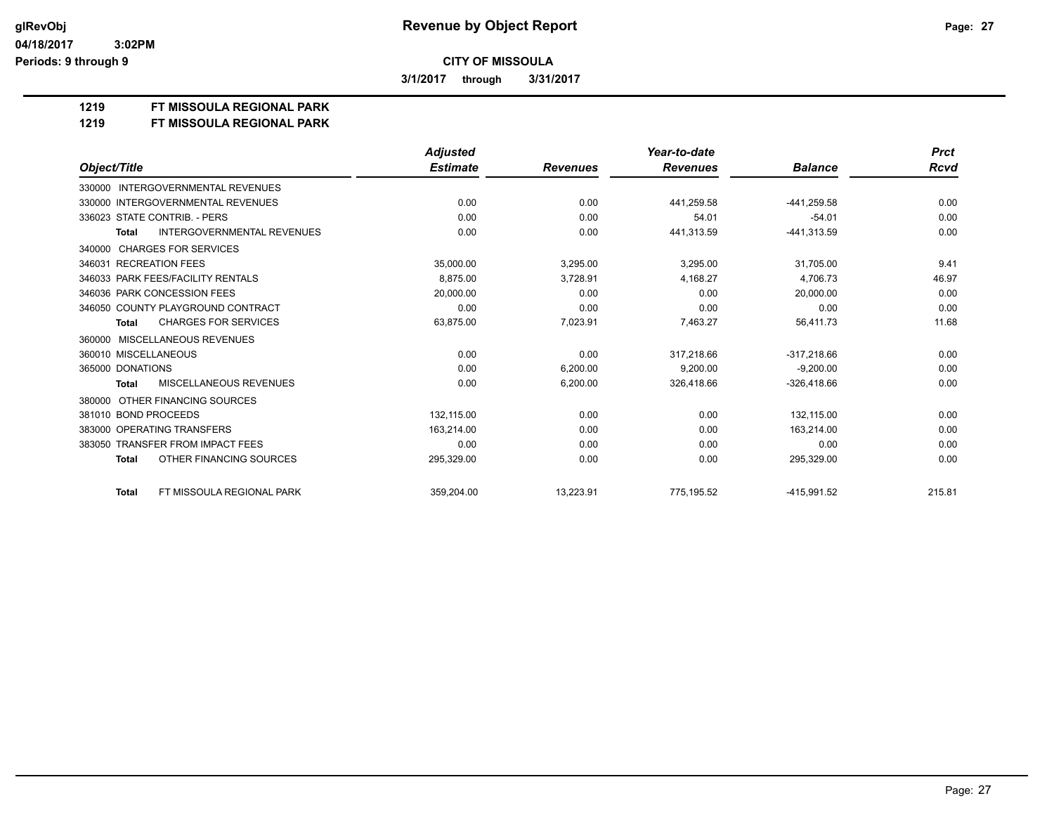**3/1/2017 through 3/31/2017**

# **1219 FT MISSOULA REGIONAL PARK**

#### **1219 FT MISSOULA REGIONAL PARK**

|                                            | <b>Adjusted</b> |                 | Year-to-date    |                | <b>Prct</b> |
|--------------------------------------------|-----------------|-----------------|-----------------|----------------|-------------|
| Object/Title                               | <b>Estimate</b> | <b>Revenues</b> | <b>Revenues</b> | <b>Balance</b> | Rcvd        |
| 330000 INTERGOVERNMENTAL REVENUES          |                 |                 |                 |                |             |
| 330000 INTERGOVERNMENTAL REVENUES          | 0.00            | 0.00            | 441,259.58      | $-441,259.58$  | 0.00        |
| 336023 STATE CONTRIB. - PERS               | 0.00            | 0.00            | 54.01           | $-54.01$       | 0.00        |
| <b>INTERGOVERNMENTAL REVENUES</b><br>Total | 0.00            | 0.00            | 441,313.59      | -441,313.59    | 0.00        |
| 340000 CHARGES FOR SERVICES                |                 |                 |                 |                |             |
| 346031 RECREATION FEES                     | 35,000.00       | 3,295.00        | 3,295.00        | 31,705.00      | 9.41        |
| 346033 PARK FEES/FACILITY RENTALS          | 8.875.00        | 3,728.91        | 4,168.27        | 4,706.73       | 46.97       |
| 346036 PARK CONCESSION FEES                | 20,000.00       | 0.00            | 0.00            | 20,000.00      | 0.00        |
| 346050 COUNTY PLAYGROUND CONTRACT          | 0.00            | 0.00            | 0.00            | 0.00           | 0.00        |
| <b>CHARGES FOR SERVICES</b><br>Total       | 63,875.00       | 7,023.91        | 7,463.27        | 56,411.73      | 11.68       |
| 360000 MISCELLANEOUS REVENUES              |                 |                 |                 |                |             |
| 360010 MISCELLANEOUS                       | 0.00            | 0.00            | 317.218.66      | $-317.218.66$  | 0.00        |
| 365000 DONATIONS                           | 0.00            | 6,200.00        | 9,200.00        | $-9,200.00$    | 0.00        |
| MISCELLANEOUS REVENUES<br>Total            | 0.00            | 6,200.00        | 326,418.66      | $-326,418.66$  | 0.00        |
| 380000 OTHER FINANCING SOURCES             |                 |                 |                 |                |             |
| 381010 BOND PROCEEDS                       | 132.115.00      | 0.00            | 0.00            | 132.115.00     | 0.00        |
| 383000 OPERATING TRANSFERS                 | 163,214.00      | 0.00            | 0.00            | 163,214.00     | 0.00        |
| 383050 TRANSFER FROM IMPACT FEES           | 0.00            | 0.00            | 0.00            | 0.00           | 0.00        |
| OTHER FINANCING SOURCES<br><b>Total</b>    | 295,329.00      | 0.00            | 0.00            | 295,329.00     | 0.00        |
| FT MISSOULA REGIONAL PARK<br>Total         | 359,204.00      | 13,223.91       | 775,195.52      | -415,991.52    | 215.81      |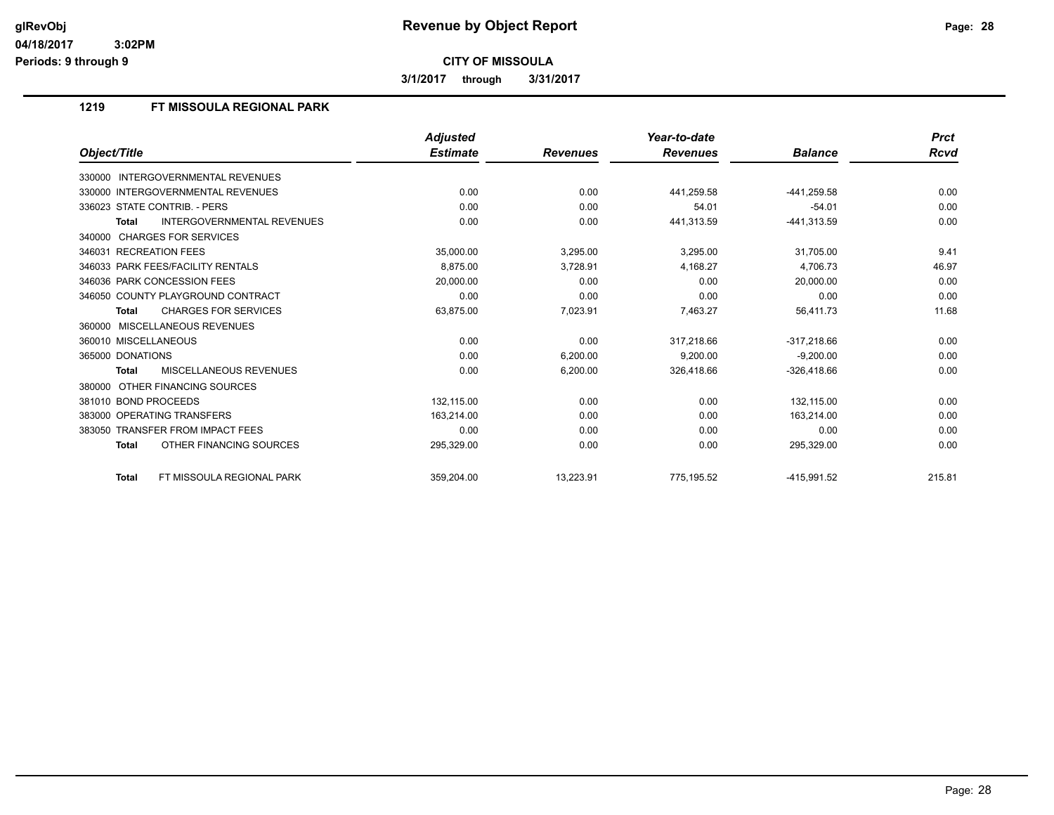**3/1/2017 through 3/31/2017**

# **1219 FT MISSOULA REGIONAL PARK**

|                                                   | <b>Adjusted</b> |                 | Year-to-date    |                | <b>Prct</b> |
|---------------------------------------------------|-----------------|-----------------|-----------------|----------------|-------------|
| Object/Title                                      | <b>Estimate</b> | <b>Revenues</b> | <b>Revenues</b> | <b>Balance</b> | Rcvd        |
| 330000 INTERGOVERNMENTAL REVENUES                 |                 |                 |                 |                |             |
| 330000 INTERGOVERNMENTAL REVENUES                 | 0.00            | 0.00            | 441,259.58      | $-441,259.58$  | 0.00        |
| 336023 STATE CONTRIB. - PERS                      | 0.00            | 0.00            | 54.01           | $-54.01$       | 0.00        |
| <b>INTERGOVERNMENTAL REVENUES</b><br><b>Total</b> | 0.00            | 0.00            | 441,313.59      | -441,313.59    | 0.00        |
| 340000 CHARGES FOR SERVICES                       |                 |                 |                 |                |             |
| 346031 RECREATION FEES                            | 35,000.00       | 3,295.00        | 3,295.00        | 31,705.00      | 9.41        |
| 346033 PARK FEES/FACILITY RENTALS                 | 8,875.00        | 3,728.91        | 4,168.27        | 4,706.73       | 46.97       |
| 346036 PARK CONCESSION FEES                       | 20,000.00       | 0.00            | 0.00            | 20,000.00      | 0.00        |
| 346050 COUNTY PLAYGROUND CONTRACT                 | 0.00            | 0.00            | 0.00            | 0.00           | 0.00        |
| <b>CHARGES FOR SERVICES</b><br><b>Total</b>       | 63,875.00       | 7,023.91        | 7,463.27        | 56,411.73      | 11.68       |
| 360000 MISCELLANEOUS REVENUES                     |                 |                 |                 |                |             |
| 360010 MISCELLANEOUS                              | 0.00            | 0.00            | 317,218.66      | $-317,218.66$  | 0.00        |
| 365000 DONATIONS                                  | 0.00            | 6,200.00        | 9,200.00        | $-9,200.00$    | 0.00        |
| MISCELLANEOUS REVENUES<br><b>Total</b>            | 0.00            | 6,200.00        | 326,418.66      | $-326,418.66$  | 0.00        |
| OTHER FINANCING SOURCES<br>380000                 |                 |                 |                 |                |             |
| 381010 BOND PROCEEDS                              | 132.115.00      | 0.00            | 0.00            | 132.115.00     | 0.00        |
| 383000 OPERATING TRANSFERS                        | 163,214.00      | 0.00            | 0.00            | 163,214.00     | 0.00        |
| 383050 TRANSFER FROM IMPACT FEES                  | 0.00            | 0.00            | 0.00            | 0.00           | 0.00        |
| OTHER FINANCING SOURCES<br><b>Total</b>           | 295,329.00      | 0.00            | 0.00            | 295,329.00     | 0.00        |
| FT MISSOULA REGIONAL PARK<br><b>Total</b>         | 359,204.00      | 13,223.91       | 775,195.52      | $-415,991.52$  | 215.81      |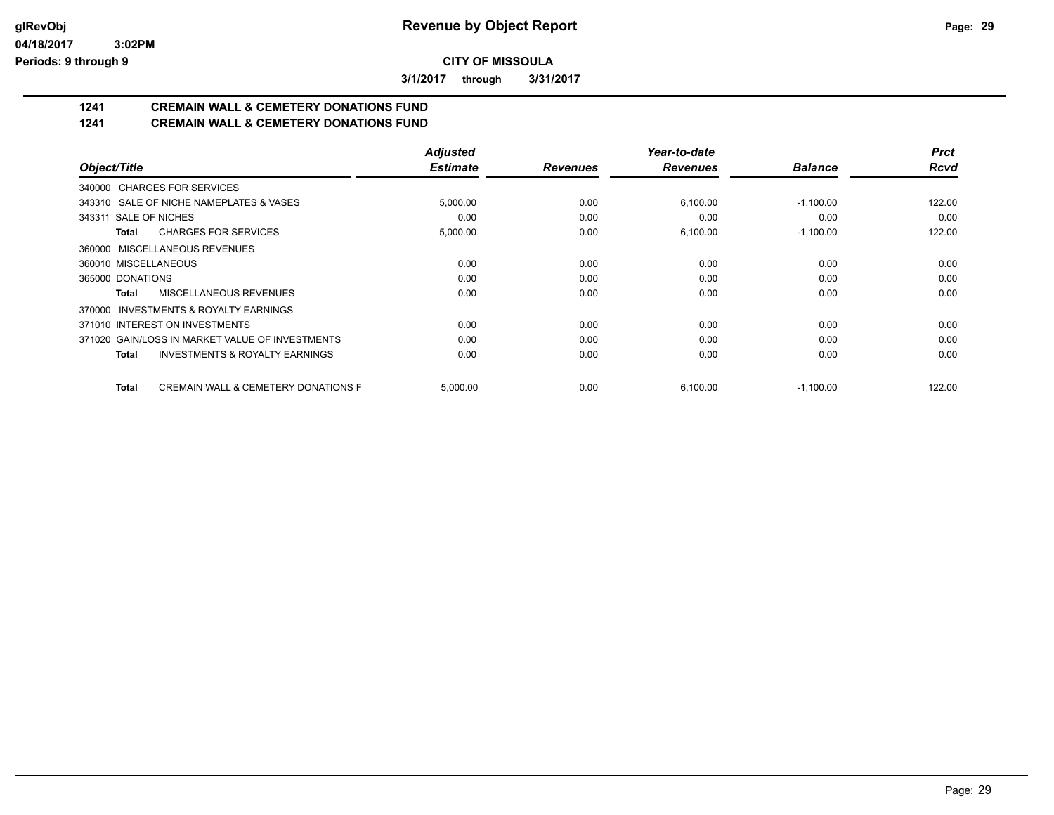*Prct Rcvd*

# **CITY OF MISSOULA**

**3/1/2017 through 3/31/2017**

#### **1241 CREMAIN WALL & CEMETERY DONATIONS FUND 1241 CREMAIN WALL & CEMETERY DONATIONS FUND**

| Object/Title                                    | <b>Adjusted</b><br><b>Estimate</b> | <b>Revenues</b> | Year-to-date<br><b>Revenues</b> |  |
|-------------------------------------------------|------------------------------------|-----------------|---------------------------------|--|
| 340000 CHARGES FOR SERVICES                     |                                    |                 |                                 |  |
| <b>242240 CALE OF NICUE MAMEDI ATEC 9 VACES</b> | E OOO OO                           | 0.00            | $C$ 100.00                      |  |

|                  | 340000 CHARGES FOR SERVICES                     |          |      |          |             |        |
|------------------|-------------------------------------------------|----------|------|----------|-------------|--------|
|                  | 343310 SALE OF NICHE NAMEPLATES & VASES         | 5,000.00 | 0.00 | 6.100.00 | $-1.100.00$ | 122.00 |
|                  | 343311 SALE OF NICHES                           | 0.00     | 0.00 | 0.00     | 0.00        | 0.00   |
| Total            | <b>CHARGES FOR SERVICES</b>                     | 5,000.00 | 0.00 | 6.100.00 | $-1.100.00$ | 122.00 |
|                  | 360000 MISCELLANEOUS REVENUES                   |          |      |          |             |        |
|                  | 360010 MISCELLANEOUS                            | 0.00     | 0.00 | 0.00     | 0.00        | 0.00   |
| 365000 DONATIONS |                                                 | 0.00     | 0.00 | 0.00     | 0.00        | 0.00   |
| Total            | MISCELLANEOUS REVENUES                          | 0.00     | 0.00 | 0.00     | 0.00        | 0.00   |
|                  | 370000 INVESTMENTS & ROYALTY EARNINGS           |          |      |          |             |        |
|                  | 371010 INTEREST ON INVESTMENTS                  | 0.00     | 0.00 | 0.00     | 0.00        | 0.00   |
|                  | 371020 GAIN/LOSS IN MARKET VALUE OF INVESTMENTS | 0.00     | 0.00 | 0.00     | 0.00        | 0.00   |
| Total            | INVESTMENTS & ROYALTY EARNINGS                  | 0.00     | 0.00 | 0.00     | 0.00        | 0.00   |
| Total            | <b>CREMAIN WALL &amp; CEMETERY DONATIONS F</b>  | 5.000.00 | 0.00 | 6.100.00 | $-1.100.00$ | 122.00 |
|                  |                                                 |          |      |          |             |        |

*Balance*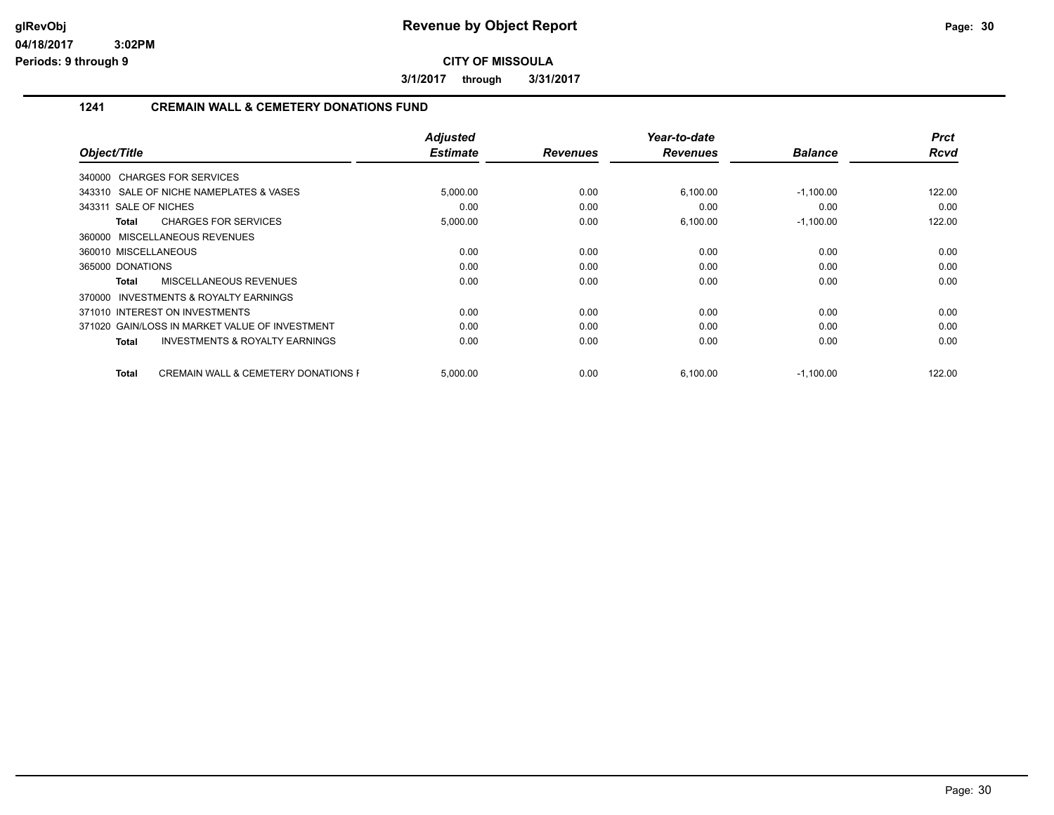**3/1/2017 through 3/31/2017**

# **1241 CREMAIN WALL & CEMETERY DONATIONS FUND**

|                                                                | <b>Adjusted</b> |                 | Year-to-date    |                | <b>Prct</b> |
|----------------------------------------------------------------|-----------------|-----------------|-----------------|----------------|-------------|
| Object/Title                                                   | <b>Estimate</b> | <b>Revenues</b> | <b>Revenues</b> | <b>Balance</b> | <b>Rcvd</b> |
| 340000 CHARGES FOR SERVICES                                    |                 |                 |                 |                |             |
| 343310 SALE OF NICHE NAMEPLATES & VASES                        | 5,000.00        | 0.00            | 6,100.00        | $-1,100.00$    | 122.00      |
| 343311 SALE OF NICHES                                          | 0.00            | 0.00            | 0.00            | 0.00           | 0.00        |
| <b>CHARGES FOR SERVICES</b><br>Total                           | 5,000.00        | 0.00            | 6,100.00        | $-1,100.00$    | 122.00      |
| 360000 MISCELLANEOUS REVENUES                                  |                 |                 |                 |                |             |
| 360010 MISCELLANEOUS                                           | 0.00            | 0.00            | 0.00            | 0.00           | 0.00        |
| 365000 DONATIONS                                               | 0.00            | 0.00            | 0.00            | 0.00           | 0.00        |
| MISCELLANEOUS REVENUES<br>Total                                | 0.00            | 0.00            | 0.00            | 0.00           | 0.00        |
| 370000 INVESTMENTS & ROYALTY EARNINGS                          |                 |                 |                 |                |             |
| 371010 INTEREST ON INVESTMENTS                                 | 0.00            | 0.00            | 0.00            | 0.00           | 0.00        |
| 371020 GAIN/LOSS IN MARKET VALUE OF INVESTMENT                 | 0.00            | 0.00            | 0.00            | 0.00           | 0.00        |
| <b>INVESTMENTS &amp; ROYALTY EARNINGS</b><br>Total             | 0.00            | 0.00            | 0.00            | 0.00           | 0.00        |
| <b>CREMAIN WALL &amp; CEMETERY DONATIONS F</b><br><b>Total</b> | 5,000.00        | 0.00            | 6,100.00        | $-1,100.00$    | 122.00      |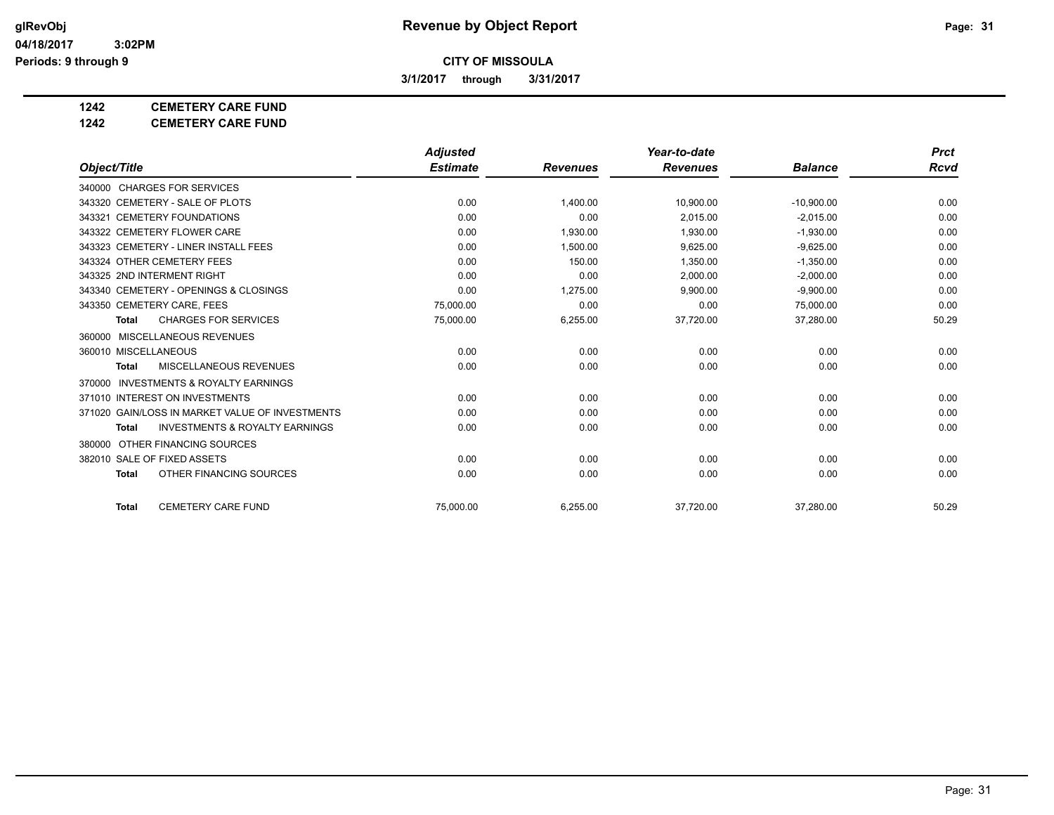**3/1/2017 through 3/31/2017**

**1242 CEMETERY CARE FUND**

| <b>CEMETERY CARE FUND</b><br>1242 |  |
|-----------------------------------|--|
|-----------------------------------|--|

|                                                           | <b>Adjusted</b> |                 | Year-to-date    |                | <b>Prct</b> |
|-----------------------------------------------------------|-----------------|-----------------|-----------------|----------------|-------------|
| Object/Title                                              | <b>Estimate</b> | <b>Revenues</b> | <b>Revenues</b> | <b>Balance</b> | <b>Rcvd</b> |
| 340000 CHARGES FOR SERVICES                               |                 |                 |                 |                |             |
| 343320 CEMETERY - SALE OF PLOTS                           | 0.00            | 1,400.00        | 10,900.00       | $-10,900.00$   | 0.00        |
| 343321 CEMETERY FOUNDATIONS                               | 0.00            | 0.00            | 2.015.00        | $-2.015.00$    | 0.00        |
| 343322 CEMETERY FLOWER CARE                               | 0.00            | 1,930.00        | 1,930.00        | $-1,930.00$    | 0.00        |
| 343323 CEMETERY - LINER INSTALL FEES                      | 0.00            | 1,500.00        | 9,625.00        | $-9,625.00$    | 0.00        |
| 343324 OTHER CEMETERY FEES                                | 0.00            | 150.00          | 1,350.00        | $-1,350.00$    | 0.00        |
| 343325 2ND INTERMENT RIGHT                                | 0.00            | 0.00            | 2,000.00        | $-2,000.00$    | 0.00        |
| 343340 CEMETERY - OPENINGS & CLOSINGS                     | 0.00            | 1,275.00        | 9,900.00        | $-9,900.00$    | 0.00        |
| 343350 CEMETERY CARE, FEES                                | 75,000.00       | 0.00            | 0.00            | 75,000.00      | 0.00        |
| <b>CHARGES FOR SERVICES</b><br>Total                      | 75,000.00       | 6,255.00        | 37,720.00       | 37,280.00      | 50.29       |
| 360000 MISCELLANEOUS REVENUES                             |                 |                 |                 |                |             |
| 360010 MISCELLANEOUS                                      | 0.00            | 0.00            | 0.00            | 0.00           | 0.00        |
| MISCELLANEOUS REVENUES<br><b>Total</b>                    | 0.00            | 0.00            | 0.00            | 0.00           | 0.00        |
| <b>INVESTMENTS &amp; ROYALTY EARNINGS</b><br>370000       |                 |                 |                 |                |             |
| 371010 INTEREST ON INVESTMENTS                            | 0.00            | 0.00            | 0.00            | 0.00           | 0.00        |
| 371020 GAIN/LOSS IN MARKET VALUE OF INVESTMENTS           | 0.00            | 0.00            | 0.00            | 0.00           | 0.00        |
| <b>INVESTMENTS &amp; ROYALTY EARNINGS</b><br><b>Total</b> | 0.00            | 0.00            | 0.00            | 0.00           | 0.00        |
| 380000 OTHER FINANCING SOURCES                            |                 |                 |                 |                |             |
| 382010 SALE OF FIXED ASSETS                               | 0.00            | 0.00            | 0.00            | 0.00           | 0.00        |
| OTHER FINANCING SOURCES<br><b>Total</b>                   | 0.00            | 0.00            | 0.00            | 0.00           | 0.00        |
| <b>CEMETERY CARE FUND</b><br><b>Total</b>                 | 75.000.00       | 6.255.00        | 37.720.00       | 37.280.00      | 50.29       |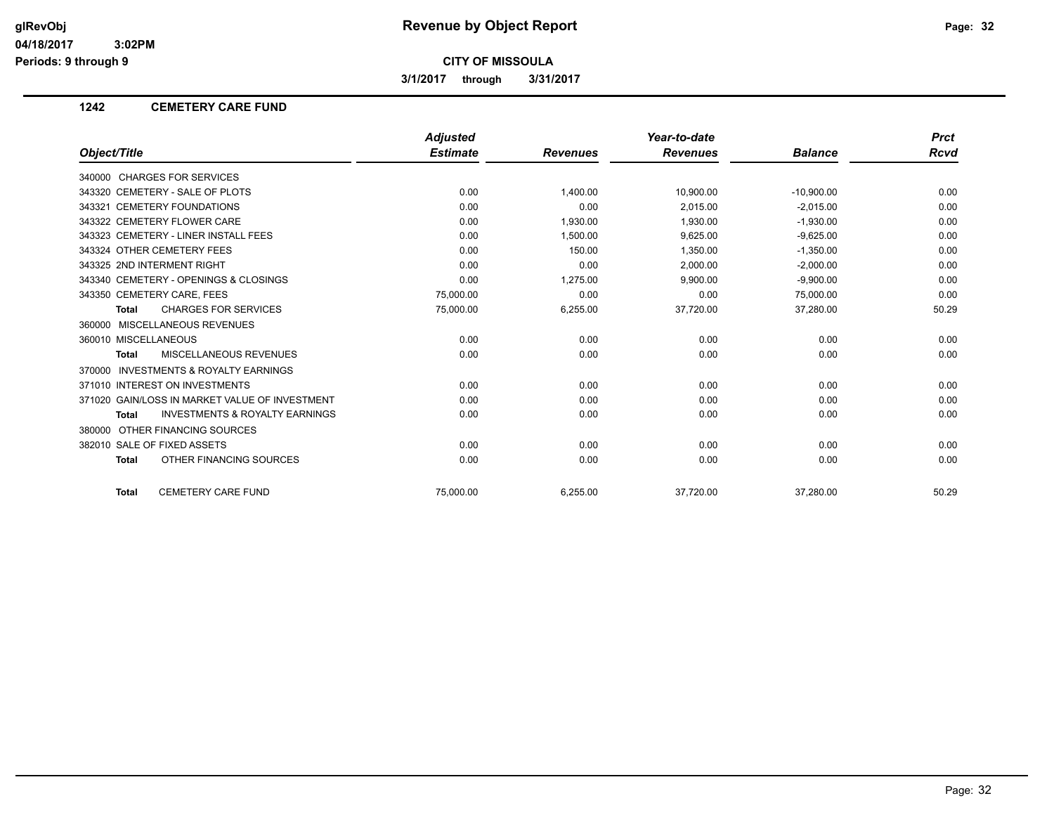**3/1/2017 through 3/31/2017**

# **1242 CEMETERY CARE FUND**

|                                                           | <b>Adjusted</b> |                 | Year-to-date    |                | <b>Prct</b> |
|-----------------------------------------------------------|-----------------|-----------------|-----------------|----------------|-------------|
| Object/Title                                              | <b>Estimate</b> | <b>Revenues</b> | <b>Revenues</b> | <b>Balance</b> | <b>Rcvd</b> |
| 340000 CHARGES FOR SERVICES                               |                 |                 |                 |                |             |
| 343320 CEMETERY - SALE OF PLOTS                           | 0.00            | 1,400.00        | 10,900.00       | $-10,900.00$   | 0.00        |
| 343321 CEMETERY FOUNDATIONS                               | 0.00            | 0.00            | 2,015.00        | $-2,015.00$    | 0.00        |
| 343322 CEMETERY FLOWER CARE                               | 0.00            | 1,930.00        | 1,930.00        | $-1,930.00$    | 0.00        |
| 343323 CEMETERY - LINER INSTALL FEES                      | 0.00            | 1,500.00        | 9,625.00        | $-9,625.00$    | 0.00        |
| 343324 OTHER CEMETERY FEES                                | 0.00            | 150.00          | 1,350.00        | $-1,350.00$    | 0.00        |
| 343325 2ND INTERMENT RIGHT                                | 0.00            | 0.00            | 2,000.00        | $-2,000.00$    | 0.00        |
| 343340 CEMETERY - OPENINGS & CLOSINGS                     | 0.00            | 1,275.00        | 9,900.00        | $-9,900.00$    | 0.00        |
| 343350 CEMETERY CARE, FEES                                | 75,000.00       | 0.00            | 0.00            | 75,000.00      | 0.00        |
| <b>CHARGES FOR SERVICES</b><br><b>Total</b>               | 75,000.00       | 6,255.00        | 37,720.00       | 37,280.00      | 50.29       |
| 360000 MISCELLANEOUS REVENUES                             |                 |                 |                 |                |             |
| 360010 MISCELLANEOUS                                      | 0.00            | 0.00            | 0.00            | 0.00           | 0.00        |
| <b>MISCELLANEOUS REVENUES</b><br><b>Total</b>             | 0.00            | 0.00            | 0.00            | 0.00           | 0.00        |
| <b>INVESTMENTS &amp; ROYALTY EARNINGS</b><br>370000       |                 |                 |                 |                |             |
| 371010 INTEREST ON INVESTMENTS                            | 0.00            | 0.00            | 0.00            | 0.00           | 0.00        |
| 371020 GAIN/LOSS IN MARKET VALUE OF INVESTMENT            | 0.00            | 0.00            | 0.00            | 0.00           | 0.00        |
| <b>INVESTMENTS &amp; ROYALTY EARNINGS</b><br><b>Total</b> | 0.00            | 0.00            | 0.00            | 0.00           | 0.00        |
| 380000 OTHER FINANCING SOURCES                            |                 |                 |                 |                |             |
| 382010 SALE OF FIXED ASSETS                               | 0.00            | 0.00            | 0.00            | 0.00           | 0.00        |
| OTHER FINANCING SOURCES<br><b>Total</b>                   | 0.00            | 0.00            | 0.00            | 0.00           | 0.00        |
| <b>CEMETERY CARE FUND</b><br><b>Total</b>                 | 75.000.00       | 6.255.00        | 37.720.00       | 37.280.00      | 50.29       |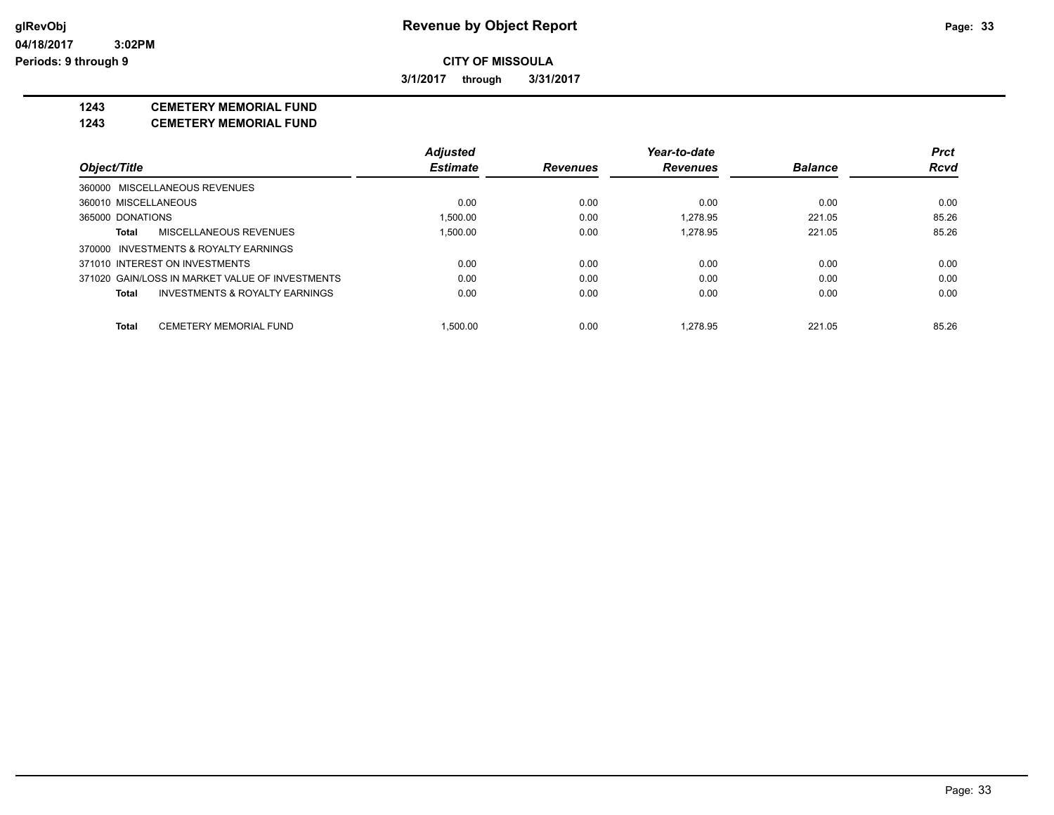**3/1/2017 through 3/31/2017**

**1243 CEMETERY MEMORIAL FUND**

**1243 CEMETERY MEMORIAL FUND**

|                                                    | <b>Adjusted</b> |                 | Year-to-date    |                | <b>Prct</b> |
|----------------------------------------------------|-----------------|-----------------|-----------------|----------------|-------------|
| Object/Title                                       | <b>Estimate</b> | <b>Revenues</b> | <b>Revenues</b> | <b>Balance</b> | <b>Rcvd</b> |
| 360000 MISCELLANEOUS REVENUES                      |                 |                 |                 |                |             |
| 360010 MISCELLANEOUS                               | 0.00            | 0.00            | 0.00            | 0.00           | 0.00        |
| 365000 DONATIONS                                   | 1,500.00        | 0.00            | 1.278.95        | 221.05         | 85.26       |
| MISCELLANEOUS REVENUES<br>Total                    | 1.500.00        | 0.00            | 1.278.95        | 221.05         | 85.26       |
| 370000 INVESTMENTS & ROYALTY EARNINGS              |                 |                 |                 |                |             |
| 371010 INTEREST ON INVESTMENTS                     | 0.00            | 0.00            | 0.00            | 0.00           | 0.00        |
| 371020 GAIN/LOSS IN MARKET VALUE OF INVESTMENTS    | 0.00            | 0.00            | 0.00            | 0.00           | 0.00        |
| <b>INVESTMENTS &amp; ROYALTY EARNINGS</b><br>Total | 0.00            | 0.00            | 0.00            | 0.00           | 0.00        |
| CEMETERY MEMORIAL FUND<br><b>Total</b>             | 1.500.00        | 0.00            | 1.278.95        | 221.05         | 85.26       |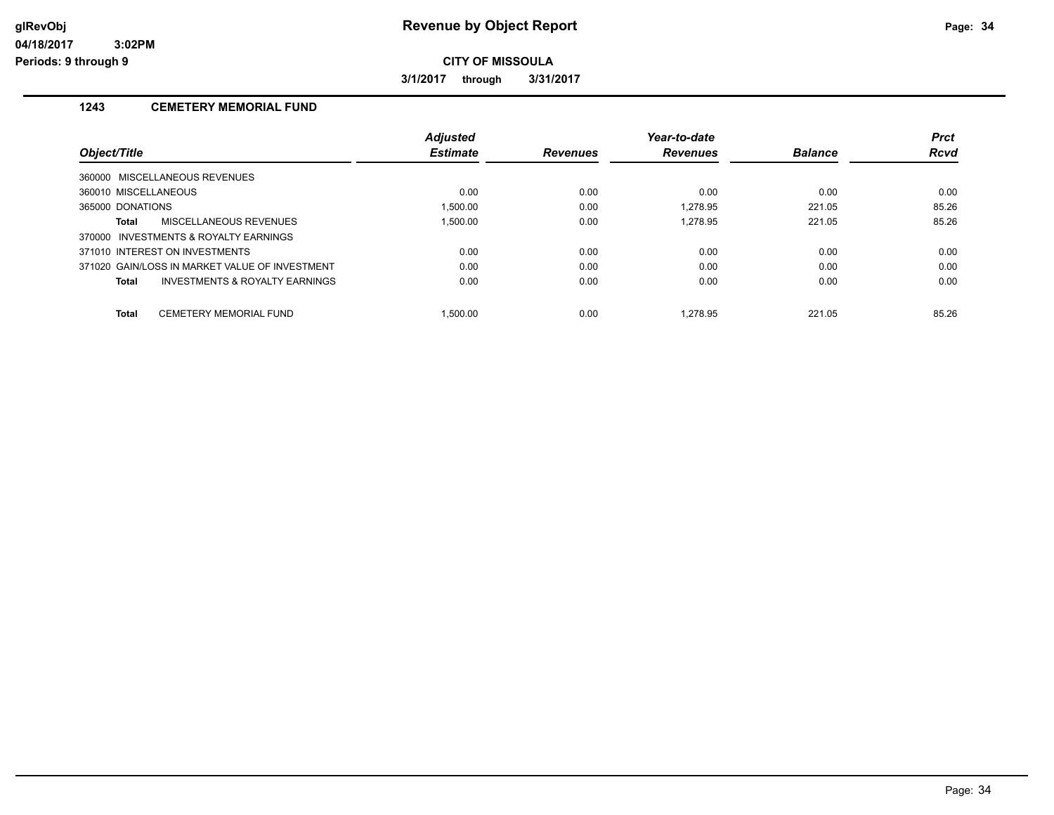**3/1/2017 through 3/31/2017**

# **1243 CEMETERY MEMORIAL FUND**

|                      |                                                | <b>Adjusted</b> |                 | Year-to-date    |                | <b>Prct</b> |
|----------------------|------------------------------------------------|-----------------|-----------------|-----------------|----------------|-------------|
| Object/Title         |                                                | <b>Estimate</b> | <b>Revenues</b> | <b>Revenues</b> | <b>Balance</b> | <b>Rcvd</b> |
|                      | 360000 MISCELLANEOUS REVENUES                  |                 |                 |                 |                |             |
| 360010 MISCELLANEOUS |                                                | 0.00            | 0.00            | 0.00            | 0.00           | 0.00        |
| 365000 DONATIONS     |                                                | 1.500.00        | 0.00            | 1.278.95        | 221.05         | 85.26       |
| Total                | MISCELLANEOUS REVENUES                         | 1.500.00        | 0.00            | 1.278.95        | 221.05         | 85.26       |
|                      | 370000 INVESTMENTS & ROYALTY EARNINGS          |                 |                 |                 |                |             |
|                      | 371010 INTEREST ON INVESTMENTS                 | 0.00            | 0.00            | 0.00            | 0.00           | 0.00        |
|                      | 371020 GAIN/LOSS IN MARKET VALUE OF INVESTMENT | 0.00            | 0.00            | 0.00            | 0.00           | 0.00        |
| Total                | INVESTMENTS & ROYALTY EARNINGS                 | 0.00            | 0.00            | 0.00            | 0.00           | 0.00        |
| <b>Total</b>         | CEMETERY MEMORIAL FUND                         | 1.500.00        | 0.00            | 1.278.95        | 221.05         | 85.26       |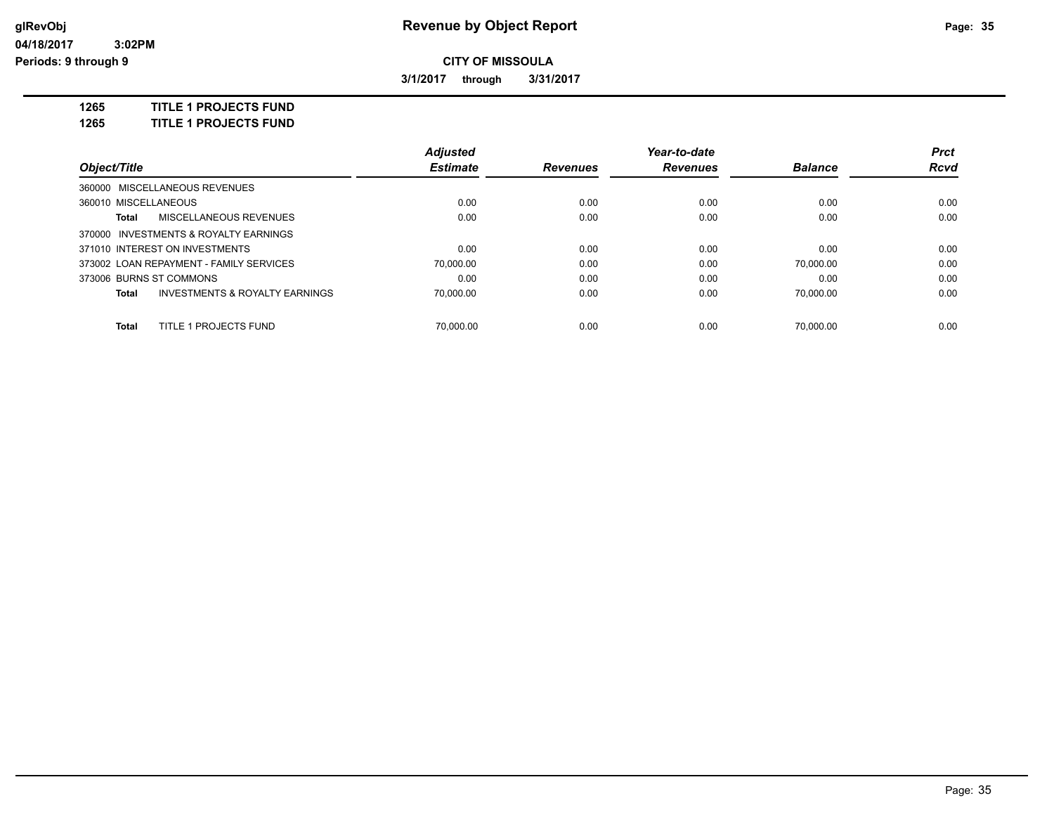**3/1/2017 through 3/31/2017**

**1265 TITLE 1 PROJECTS FUND**

**1265 TITLE 1 PROJECTS FUND**

|                                         | <b>Adjusted</b> |                 | Year-to-date    |                | <b>Prct</b> |
|-----------------------------------------|-----------------|-----------------|-----------------|----------------|-------------|
| Object/Title                            | <b>Estimate</b> | <b>Revenues</b> | <b>Revenues</b> | <b>Balance</b> | <b>Rcvd</b> |
| 360000 MISCELLANEOUS REVENUES           |                 |                 |                 |                |             |
| 360010 MISCELLANEOUS                    | 0.00            | 0.00            | 0.00            | 0.00           | 0.00        |
| MISCELLANEOUS REVENUES<br>Total         | 0.00            | 0.00            | 0.00            | 0.00           | 0.00        |
| 370000 INVESTMENTS & ROYALTY EARNINGS   |                 |                 |                 |                |             |
| 371010 INTEREST ON INVESTMENTS          | 0.00            | 0.00            | 0.00            | 0.00           | 0.00        |
| 373002 LOAN REPAYMENT - FAMILY SERVICES | 70.000.00       | 0.00            | 0.00            | 70.000.00      | 0.00        |
| 373006 BURNS ST COMMONS                 | 0.00            | 0.00            | 0.00            | 0.00           | 0.00        |
| INVESTMENTS & ROYALTY EARNINGS<br>Total | 70,000.00       | 0.00            | 0.00            | 70.000.00      | 0.00        |
|                                         |                 |                 |                 |                |             |
| TITLE 1 PROJECTS FUND<br><b>Total</b>   | 70.000.00       | 0.00            | 0.00            | 70.000.00      | 0.00        |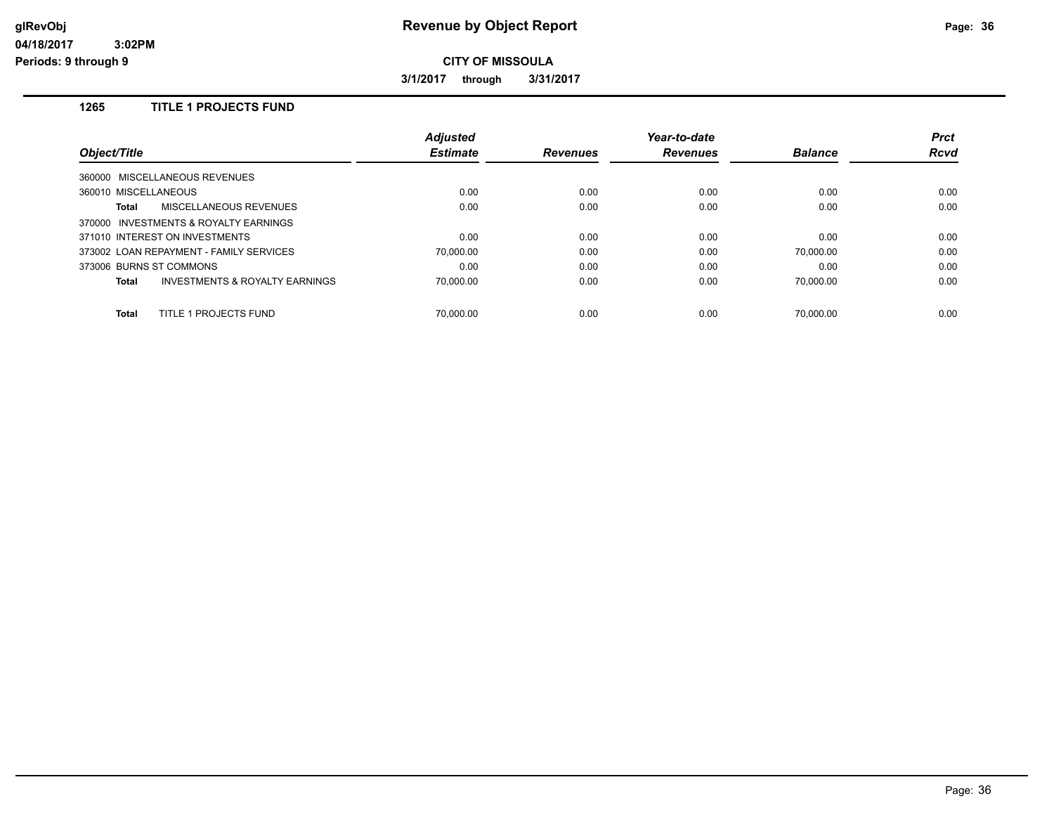**3/1/2017 through 3/31/2017**

# **1265 TITLE 1 PROJECTS FUND**

| Object/Title                            | <b>Adjusted</b> |                 | Year-to-date    |                | <b>Prct</b> |
|-----------------------------------------|-----------------|-----------------|-----------------|----------------|-------------|
|                                         | <b>Estimate</b> | <b>Revenues</b> | <b>Revenues</b> | <b>Balance</b> | <b>Rcvd</b> |
| 360000 MISCELLANEOUS REVENUES           |                 |                 |                 |                |             |
| 360010 MISCELLANEOUS                    | 0.00            | 0.00            | 0.00            | 0.00           | 0.00        |
| <b>MISCELLANEOUS REVENUES</b><br>Total  | 0.00            | 0.00            | 0.00            | 0.00           | 0.00        |
| 370000 INVESTMENTS & ROYALTY EARNINGS   |                 |                 |                 |                |             |
| 371010 INTEREST ON INVESTMENTS          | 0.00            | 0.00            | 0.00            | 0.00           | 0.00        |
| 373002 LOAN REPAYMENT - FAMILY SERVICES | 70.000.00       | 0.00            | 0.00            | 70.000.00      | 0.00        |
| 373006 BURNS ST COMMONS                 | 0.00            | 0.00            | 0.00            | 0.00           | 0.00        |
| INVESTMENTS & ROYALTY EARNINGS<br>Total | 70.000.00       | 0.00            | 0.00            | 70.000.00      | 0.00        |
| TITLE 1 PROJECTS FUND<br>Total          | 70.000.00       | 0.00            | 0.00            | 70.000.00      | 0.00        |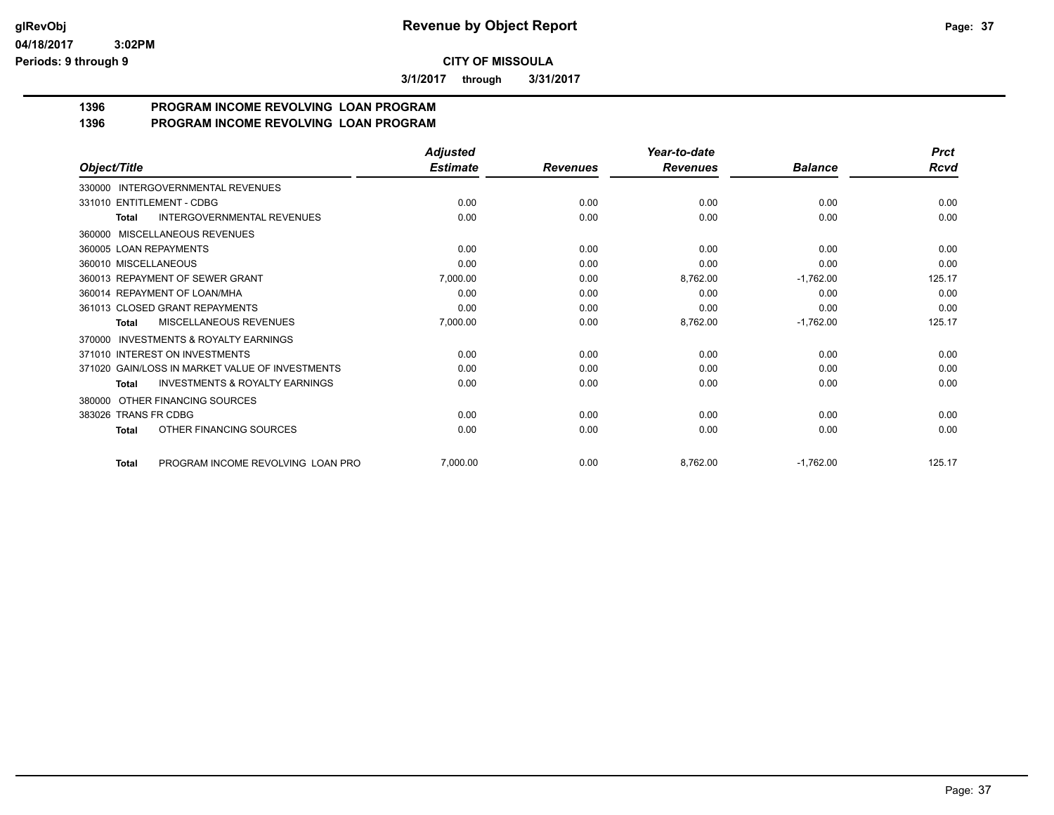**3/1/2017 through 3/31/2017**

# **1396 PROGRAM INCOME REVOLVING LOAN PROGRAM 1396 PROGRAM INCOME REVOLVING LOAN PROGRAM**

|                                                    | <b>Adjusted</b> |                 | Year-to-date    |                | <b>Prct</b> |
|----------------------------------------------------|-----------------|-----------------|-----------------|----------------|-------------|
| Object/Title                                       | <b>Estimate</b> | <b>Revenues</b> | <b>Revenues</b> | <b>Balance</b> | <b>Rcvd</b> |
| <b>INTERGOVERNMENTAL REVENUES</b><br>330000        |                 |                 |                 |                |             |
| 331010 ENTITLEMENT - CDBG                          | 0.00            | 0.00            | 0.00            | 0.00           | 0.00        |
| <b>INTERGOVERNMENTAL REVENUES</b><br>Total         | 0.00            | 0.00            | 0.00            | 0.00           | 0.00        |
| 360000 MISCELLANEOUS REVENUES                      |                 |                 |                 |                |             |
| 360005 LOAN REPAYMENTS                             | 0.00            | 0.00            | 0.00            | 0.00           | 0.00        |
| 360010 MISCELLANEOUS                               | 0.00            | 0.00            | 0.00            | 0.00           | 0.00        |
| 360013 REPAYMENT OF SEWER GRANT                    | 7,000.00        | 0.00            | 8,762.00        | $-1,762.00$    | 125.17      |
| 360014 REPAYMENT OF LOAN/MHA                       | 0.00            | 0.00            | 0.00            | 0.00           | 0.00        |
| 361013 CLOSED GRANT REPAYMENTS                     | 0.00            | 0.00            | 0.00            | 0.00           | 0.00        |
| <b>MISCELLANEOUS REVENUES</b><br>Total             | 7,000.00        | 0.00            | 8,762.00        | $-1,762.00$    | 125.17      |
| INVESTMENTS & ROYALTY EARNINGS<br>370000           |                 |                 |                 |                |             |
| 371010 INTEREST ON INVESTMENTS                     | 0.00            | 0.00            | 0.00            | 0.00           | 0.00        |
| 371020 GAIN/LOSS IN MARKET VALUE OF INVESTMENTS    | 0.00            | 0.00            | 0.00            | 0.00           | 0.00        |
| <b>INVESTMENTS &amp; ROYALTY EARNINGS</b><br>Total | 0.00            | 0.00            | 0.00            | 0.00           | 0.00        |
| OTHER FINANCING SOURCES<br>380000                  |                 |                 |                 |                |             |
| 383026 TRANS FR CDBG                               | 0.00            | 0.00            | 0.00            | 0.00           | 0.00        |
| OTHER FINANCING SOURCES<br>Total                   | 0.00            | 0.00            | 0.00            | 0.00           | 0.00        |
| PROGRAM INCOME REVOLVING LOAN PRO<br><b>Total</b>  | 7,000.00        | 0.00            | 8,762.00        | $-1,762.00$    | 125.17      |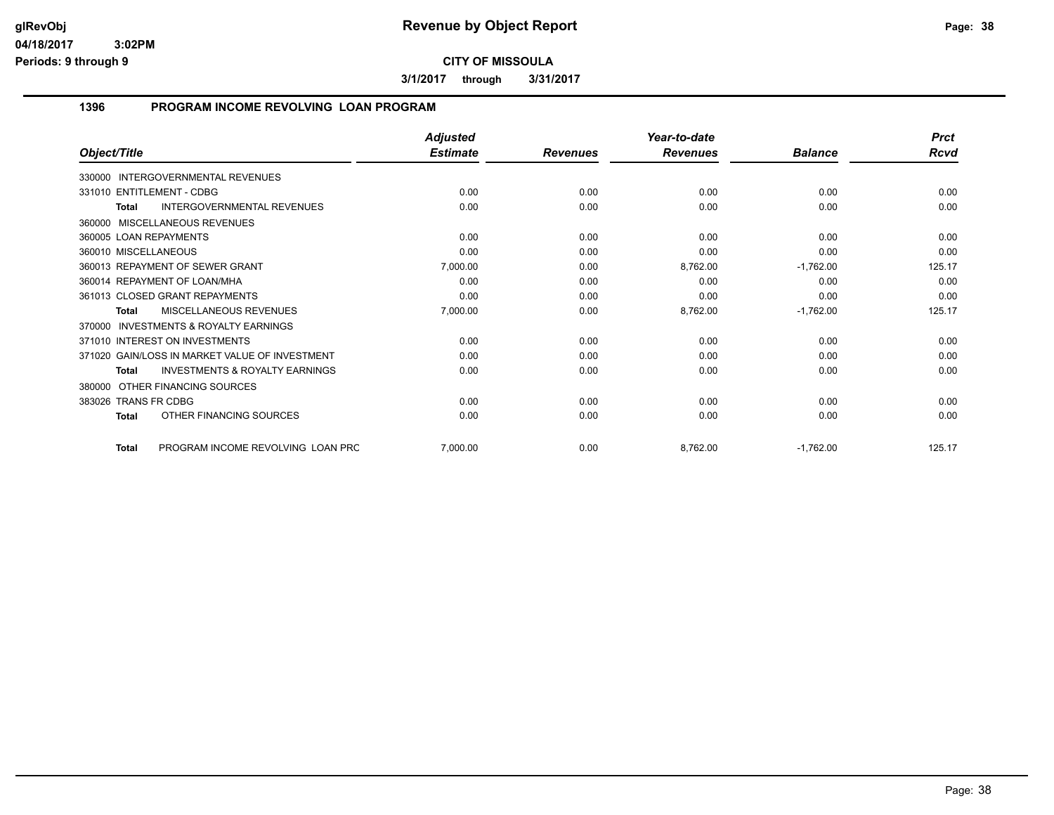**3/1/2017 through 3/31/2017**

# **1396 PROGRAM INCOME REVOLVING LOAN PROGRAM**

|                                                           | <b>Adjusted</b> |                 | Year-to-date    |                | <b>Prct</b> |
|-----------------------------------------------------------|-----------------|-----------------|-----------------|----------------|-------------|
| Object/Title                                              | <b>Estimate</b> | <b>Revenues</b> | <b>Revenues</b> | <b>Balance</b> | <b>Rcvd</b> |
| INTERGOVERNMENTAL REVENUES<br>330000                      |                 |                 |                 |                |             |
| 331010 ENTITLEMENT - CDBG                                 | 0.00            | 0.00            | 0.00            | 0.00           | 0.00        |
| <b>INTERGOVERNMENTAL REVENUES</b><br>Total                | 0.00            | 0.00            | 0.00            | 0.00           | 0.00        |
| 360000 MISCELLANEOUS REVENUES                             |                 |                 |                 |                |             |
| 360005 LOAN REPAYMENTS                                    | 0.00            | 0.00            | 0.00            | 0.00           | 0.00        |
| 360010 MISCELLANEOUS                                      | 0.00            | 0.00            | 0.00            | 0.00           | 0.00        |
| 360013 REPAYMENT OF SEWER GRANT                           | 7,000.00        | 0.00            | 8,762.00        | $-1,762.00$    | 125.17      |
| 360014 REPAYMENT OF LOAN/MHA                              | 0.00            | 0.00            | 0.00            | 0.00           | 0.00        |
| 361013 CLOSED GRANT REPAYMENTS                            | 0.00            | 0.00            | 0.00            | 0.00           | 0.00        |
| MISCELLANEOUS REVENUES<br><b>Total</b>                    | 7,000.00        | 0.00            | 8,762.00        | $-1,762.00$    | 125.17      |
| <b>INVESTMENTS &amp; ROYALTY EARNINGS</b><br>370000       |                 |                 |                 |                |             |
| 371010 INTEREST ON INVESTMENTS                            | 0.00            | 0.00            | 0.00            | 0.00           | 0.00        |
| 371020 GAIN/LOSS IN MARKET VALUE OF INVESTMENT            | 0.00            | 0.00            | 0.00            | 0.00           | 0.00        |
| <b>INVESTMENTS &amp; ROYALTY EARNINGS</b><br><b>Total</b> | 0.00            | 0.00            | 0.00            | 0.00           | 0.00        |
| OTHER FINANCING SOURCES<br>380000                         |                 |                 |                 |                |             |
| 383026 TRANS FR CDBG                                      | 0.00            | 0.00            | 0.00            | 0.00           | 0.00        |
| OTHER FINANCING SOURCES<br><b>Total</b>                   | 0.00            | 0.00            | 0.00            | 0.00           | 0.00        |
| PROGRAM INCOME REVOLVING LOAN PRC<br><b>Total</b>         | 7,000.00        | 0.00            | 8,762.00        | $-1,762.00$    | 125.17      |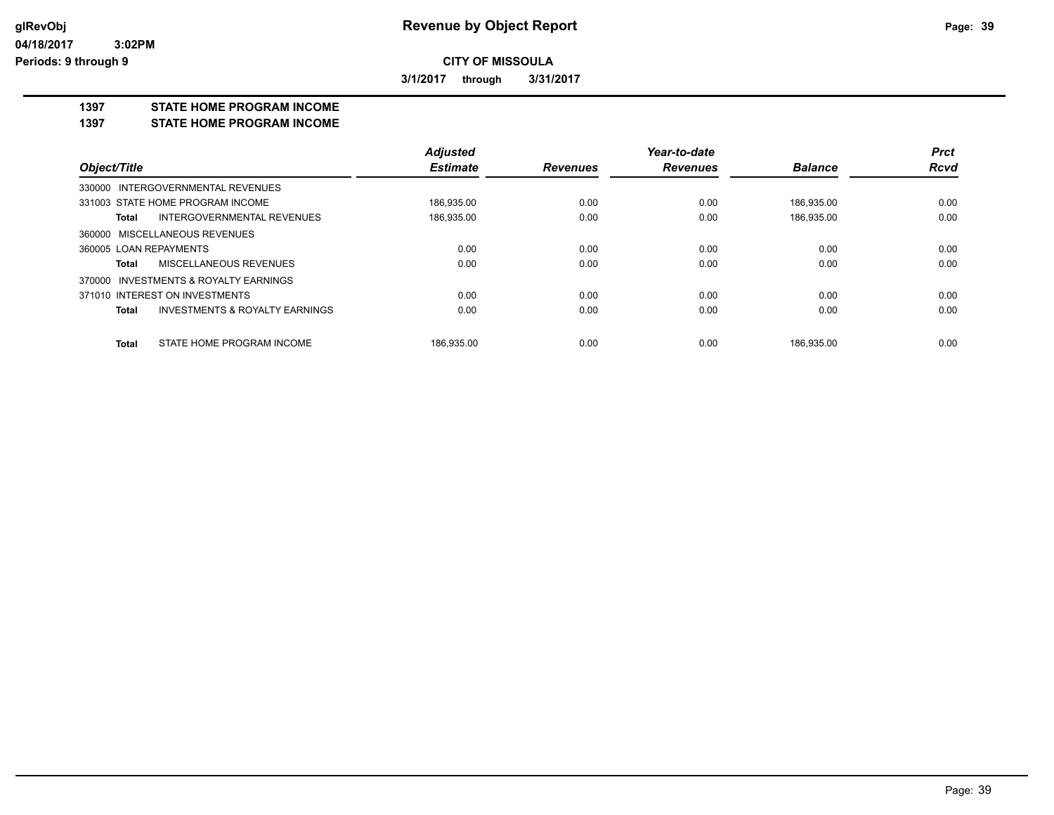**3/1/2017 through 3/31/2017**

# **1397 STATE HOME PROGRAM INCOME**

# **1397 STATE HOME PROGRAM INCOME**

|                                                    | <b>Adjusted</b> |                 | Year-to-date    |                | <b>Prct</b> |
|----------------------------------------------------|-----------------|-----------------|-----------------|----------------|-------------|
| Object/Title                                       | <b>Estimate</b> | <b>Revenues</b> | <b>Revenues</b> | <b>Balance</b> | Rcvd        |
| INTERGOVERNMENTAL REVENUES<br>330000               |                 |                 |                 |                |             |
| 331003 STATE HOME PROGRAM INCOME                   | 186.935.00      | 0.00            | 0.00            | 186.935.00     | 0.00        |
| <b>INTERGOVERNMENTAL REVENUES</b><br>Total         | 186,935.00      | 0.00            | 0.00            | 186,935.00     | 0.00        |
| 360000 MISCELLANEOUS REVENUES                      |                 |                 |                 |                |             |
| 360005 LOAN REPAYMENTS                             | 0.00            | 0.00            | 0.00            | 0.00           | 0.00        |
| MISCELLANEOUS REVENUES<br>Total                    | 0.00            | 0.00            | 0.00            | 0.00           | 0.00        |
| 370000 INVESTMENTS & ROYALTY EARNINGS              |                 |                 |                 |                |             |
| 371010 INTEREST ON INVESTMENTS                     | 0.00            | 0.00            | 0.00            | 0.00           | 0.00        |
| <b>INVESTMENTS &amp; ROYALTY EARNINGS</b><br>Total | 0.00            | 0.00            | 0.00            | 0.00           | 0.00        |
|                                                    |                 |                 |                 |                |             |
| STATE HOME PROGRAM INCOME<br><b>Total</b>          | 186.935.00      | 0.00            | 0.00            | 186.935.00     | 0.00        |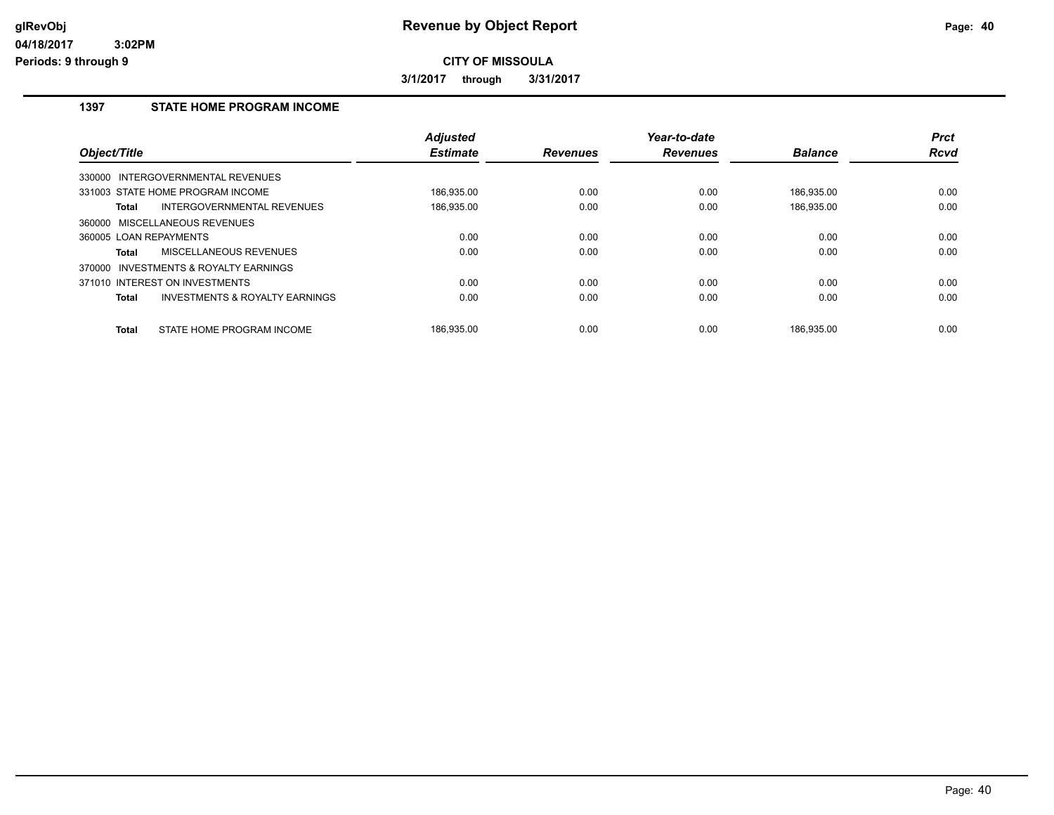**3/1/2017 through 3/31/2017**

#### **1397 STATE HOME PROGRAM INCOME**

| Object/Title           |                                           | <b>Adjusted</b><br><b>Estimate</b> | <b>Revenues</b> | Year-to-date<br><b>Revenues</b> | <b>Balance</b> | <b>Prct</b><br>Rcvd |
|------------------------|-------------------------------------------|------------------------------------|-----------------|---------------------------------|----------------|---------------------|
|                        |                                           |                                    |                 |                                 |                |                     |
| 330000                 | INTERGOVERNMENTAL REVENUES                |                                    |                 |                                 |                |                     |
|                        | 331003 STATE HOME PROGRAM INCOME          | 186,935.00                         | 0.00            | 0.00                            | 186,935.00     | 0.00                |
| Total                  | INTERGOVERNMENTAL REVENUES                | 186,935.00                         | 0.00            | 0.00                            | 186,935.00     | 0.00                |
|                        | 360000 MISCELLANEOUS REVENUES             |                                    |                 |                                 |                |                     |
| 360005 LOAN REPAYMENTS |                                           | 0.00                               | 0.00            | 0.00                            | 0.00           | 0.00                |
| Total                  | <b>MISCELLANEOUS REVENUES</b>             | 0.00                               | 0.00            | 0.00                            | 0.00           | 0.00                |
|                        | 370000 INVESTMENTS & ROYALTY EARNINGS     |                                    |                 |                                 |                |                     |
|                        | 371010 INTEREST ON INVESTMENTS            | 0.00                               | 0.00            | 0.00                            | 0.00           | 0.00                |
| Total                  | <b>INVESTMENTS &amp; ROYALTY EARNINGS</b> | 0.00                               | 0.00            | 0.00                            | 0.00           | 0.00                |
| <b>Total</b>           | STATE HOME PROGRAM INCOME                 | 186.935.00                         | 0.00            | 0.00                            | 186.935.00     | 0.00                |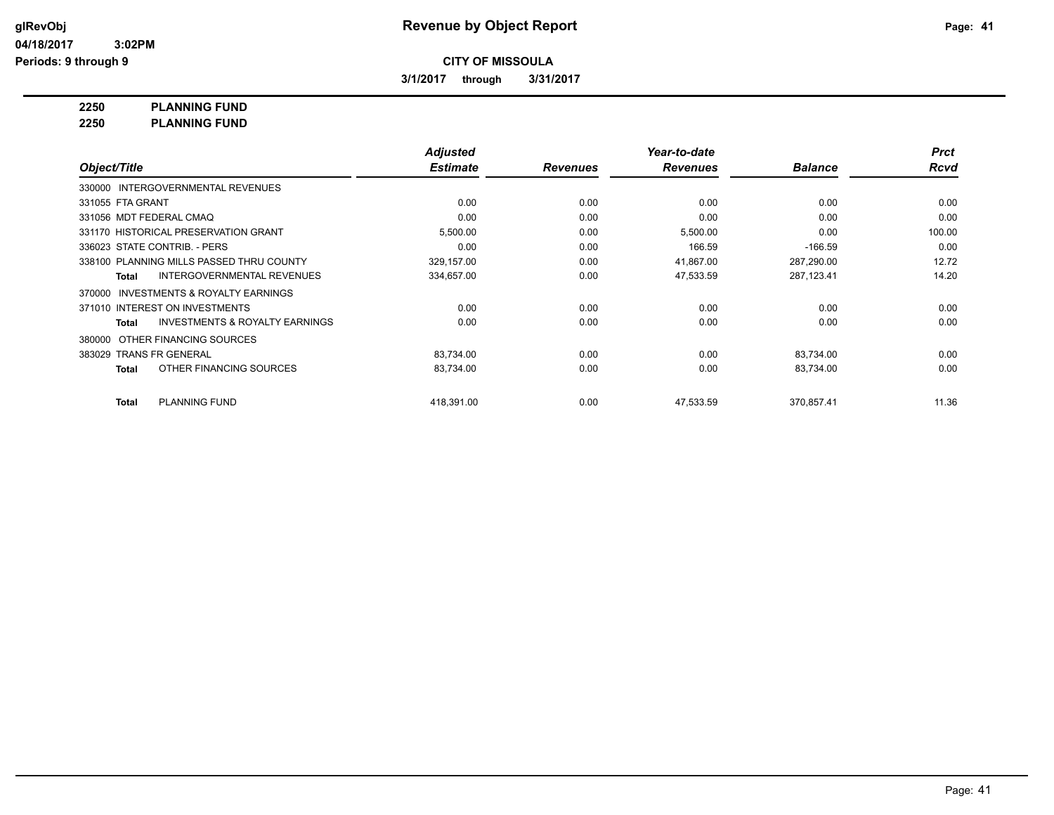**3/1/2017 through 3/31/2017**

**2250 PLANNING FUND 2250 PLANNING FUND**

|                                                    | <b>Adjusted</b> |                 | Year-to-date    |                | <b>Prct</b> |
|----------------------------------------------------|-----------------|-----------------|-----------------|----------------|-------------|
| Object/Title                                       | <b>Estimate</b> | <b>Revenues</b> | <b>Revenues</b> | <b>Balance</b> | <b>Rcvd</b> |
| 330000 INTERGOVERNMENTAL REVENUES                  |                 |                 |                 |                |             |
| 331055 FTA GRANT                                   | 0.00            | 0.00            | 0.00            | 0.00           | 0.00        |
| 331056 MDT FEDERAL CMAQ                            | 0.00            | 0.00            | 0.00            | 0.00           | 0.00        |
| 331170 HISTORICAL PRESERVATION GRANT               | 5,500.00        | 0.00            | 5,500.00        | 0.00           | 100.00      |
| 336023 STATE CONTRIB. - PERS                       | 0.00            | 0.00            | 166.59          | $-166.59$      | 0.00        |
| 338100 PLANNING MILLS PASSED THRU COUNTY           | 329,157.00      | 0.00            | 41,867.00       | 287,290.00     | 12.72       |
| INTERGOVERNMENTAL REVENUES<br>Total                | 334,657.00      | 0.00            | 47,533.59       | 287.123.41     | 14.20       |
| INVESTMENTS & ROYALTY EARNINGS<br>370000           |                 |                 |                 |                |             |
| 371010 INTEREST ON INVESTMENTS                     | 0.00            | 0.00            | 0.00            | 0.00           | 0.00        |
| <b>INVESTMENTS &amp; ROYALTY EARNINGS</b><br>Total | 0.00            | 0.00            | 0.00            | 0.00           | 0.00        |
| OTHER FINANCING SOURCES<br>380000                  |                 |                 |                 |                |             |
| 383029 TRANS FR GENERAL                            | 83,734.00       | 0.00            | 0.00            | 83,734.00      | 0.00        |
| OTHER FINANCING SOURCES<br>Total                   | 83,734.00       | 0.00            | 0.00            | 83,734.00      | 0.00        |
| <b>PLANNING FUND</b><br>Total                      | 418,391.00      | 0.00            | 47,533.59       | 370,857.41     | 11.36       |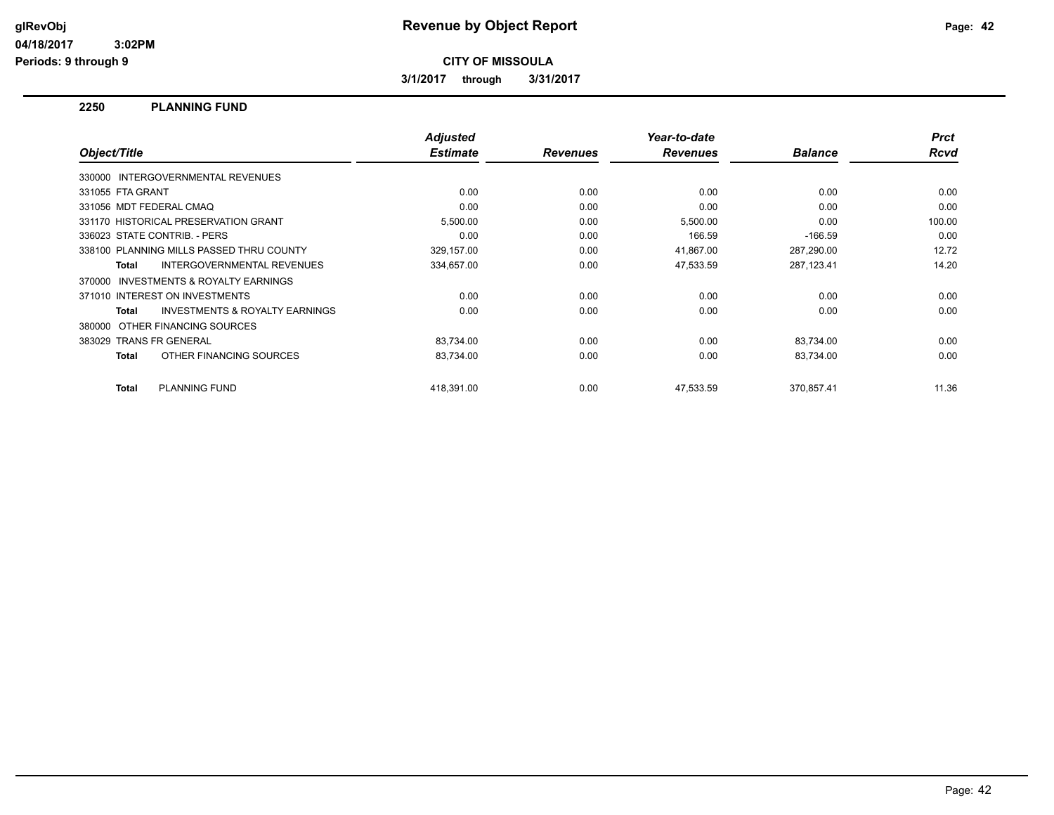**3/1/2017 through 3/31/2017**

#### **2250 PLANNING FUND**

| Object/Title                                              | <b>Adjusted</b><br><b>Estimate</b> | <b>Revenues</b> | Year-to-date<br><b>Revenues</b> | <b>Balance</b> | <b>Prct</b><br><b>Rcvd</b> |
|-----------------------------------------------------------|------------------------------------|-----------------|---------------------------------|----------------|----------------------------|
| 330000 INTERGOVERNMENTAL REVENUES                         |                                    |                 |                                 |                |                            |
| 331055 FTA GRANT                                          | 0.00                               | 0.00            | 0.00                            | 0.00           | 0.00                       |
| 331056 MDT FEDERAL CMAQ                                   | 0.00                               | 0.00            | 0.00                            | 0.00           | 0.00                       |
| 331170 HISTORICAL PRESERVATION GRANT                      | 5,500.00                           | 0.00            | 5,500.00                        | 0.00           | 100.00                     |
| 336023 STATE CONTRIB. - PERS                              | 0.00                               | 0.00            | 166.59                          | $-166.59$      | 0.00                       |
| 338100 PLANNING MILLS PASSED THRU COUNTY                  | 329,157.00                         | 0.00            | 41,867.00                       | 287,290.00     | 12.72                      |
| <b>INTERGOVERNMENTAL REVENUES</b><br><b>Total</b>         | 334,657.00                         | 0.00            | 47,533.59                       | 287,123.41     | 14.20                      |
| <b>INVESTMENTS &amp; ROYALTY EARNINGS</b><br>370000       |                                    |                 |                                 |                |                            |
| 371010 INTEREST ON INVESTMENTS                            | 0.00                               | 0.00            | 0.00                            | 0.00           | 0.00                       |
| <b>INVESTMENTS &amp; ROYALTY EARNINGS</b><br><b>Total</b> | 0.00                               | 0.00            | 0.00                            | 0.00           | 0.00                       |
| 380000 OTHER FINANCING SOURCES                            |                                    |                 |                                 |                |                            |
| 383029 TRANS FR GENERAL                                   | 83,734.00                          | 0.00            | 0.00                            | 83,734.00      | 0.00                       |
| OTHER FINANCING SOURCES<br><b>Total</b>                   | 83,734.00                          | 0.00            | 0.00                            | 83,734.00      | 0.00                       |
| <b>PLANNING FUND</b><br><b>Total</b>                      | 418,391.00                         | 0.00            | 47,533.59                       | 370,857.41     | 11.36                      |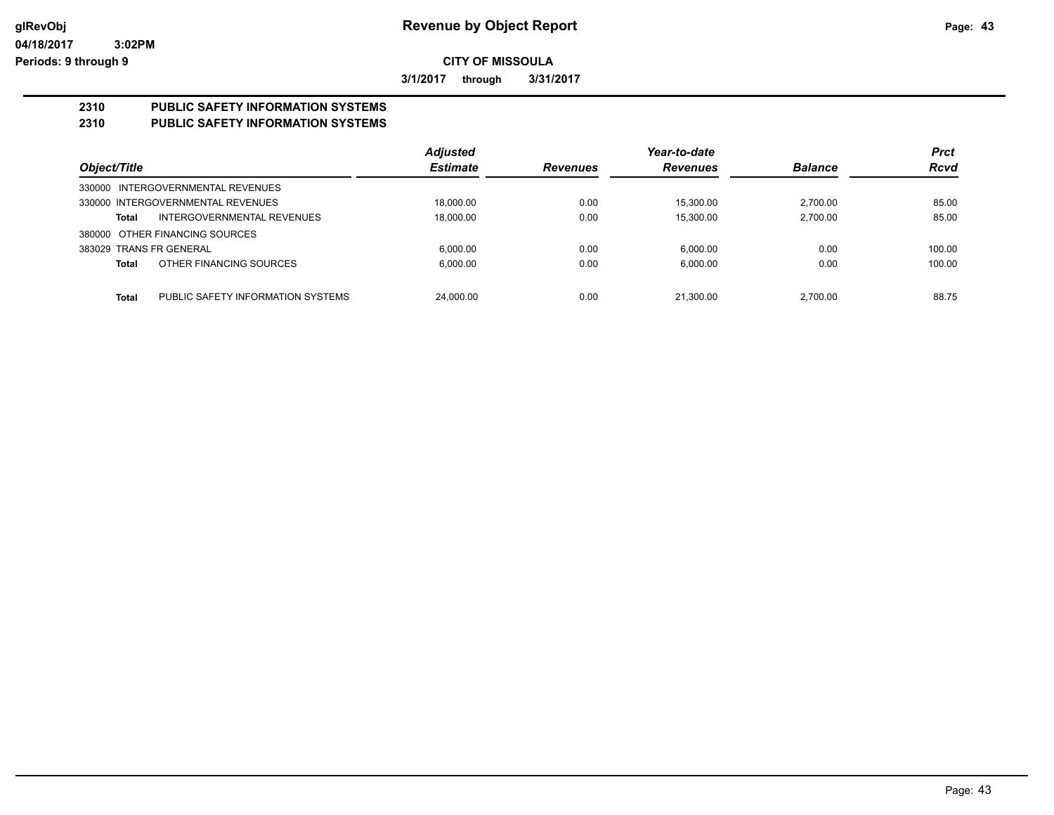**3/1/2017 through 3/31/2017**

# **2310 PUBLIC SAFETY INFORMATION SYSTEMS 2310 PUBLIC SAFETY INFORMATION SYSTEMS**

|                                                   | <b>Adjusted</b> |                 | Year-to-date    |                | <b>Prct</b> |
|---------------------------------------------------|-----------------|-----------------|-----------------|----------------|-------------|
| Object/Title                                      | <b>Estimate</b> | <b>Revenues</b> | <b>Revenues</b> | <b>Balance</b> | <b>Rcvd</b> |
| 330000 INTERGOVERNMENTAL REVENUES                 |                 |                 |                 |                |             |
| 330000 INTERGOVERNMENTAL REVENUES                 | 18,000.00       | 0.00            | 15.300.00       | 2.700.00       | 85.00       |
| INTERGOVERNMENTAL REVENUES<br>Total               | 18,000.00       | 0.00            | 15,300.00       | 2.700.00       | 85.00       |
| 380000 OTHER FINANCING SOURCES                    |                 |                 |                 |                |             |
| 383029 TRANS FR GENERAL                           | 6.000.00        | 0.00            | 6.000.00        | 0.00           | 100.00      |
| OTHER FINANCING SOURCES<br>Total                  | 6.000.00        | 0.00            | 6.000.00        | 0.00           | 100.00      |
|                                                   |                 |                 |                 |                |             |
| <b>Total</b><br>PUBLIC SAFETY INFORMATION SYSTEMS | 24.000.00       | 0.00            | 21.300.00       | 2.700.00       | 88.75       |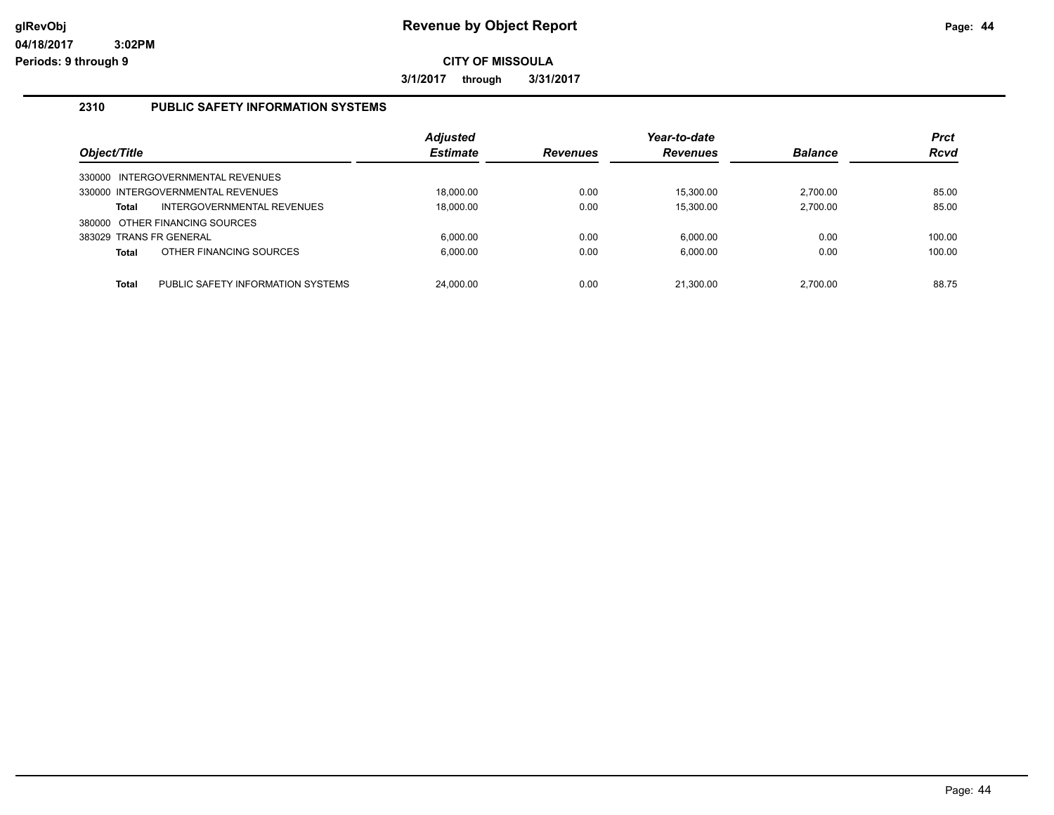**3/1/2017 through 3/31/2017**

#### **2310 PUBLIC SAFETY INFORMATION SYSTEMS**

|                         |                                   | <b>Adjusted</b> |                 | Year-to-date    |                | <b>Prct</b> |
|-------------------------|-----------------------------------|-----------------|-----------------|-----------------|----------------|-------------|
| Object/Title            |                                   | <b>Estimate</b> | <b>Revenues</b> | <b>Revenues</b> | <b>Balance</b> | <b>Rcvd</b> |
|                         | 330000 INTERGOVERNMENTAL REVENUES |                 |                 |                 |                |             |
|                         | 330000 INTERGOVERNMENTAL REVENUES | 18.000.00       | 0.00            | 15.300.00       | 2.700.00       | 85.00       |
| Total                   | INTERGOVERNMENTAL REVENUES        | 18.000.00       | 0.00            | 15,300.00       | 2.700.00       | 85.00       |
|                         | 380000 OTHER FINANCING SOURCES    |                 |                 |                 |                |             |
| 383029 TRANS FR GENERAL |                                   | 6,000.00        | 0.00            | 6.000.00        | 0.00           | 100.00      |
| Total                   | OTHER FINANCING SOURCES           | 6,000.00        | 0.00            | 6.000.00        | 0.00           | 100.00      |
| <b>Total</b>            | PUBLIC SAFETY INFORMATION SYSTEMS | 24.000.00       | 0.00            | 21.300.00       | 2.700.00       | 88.75       |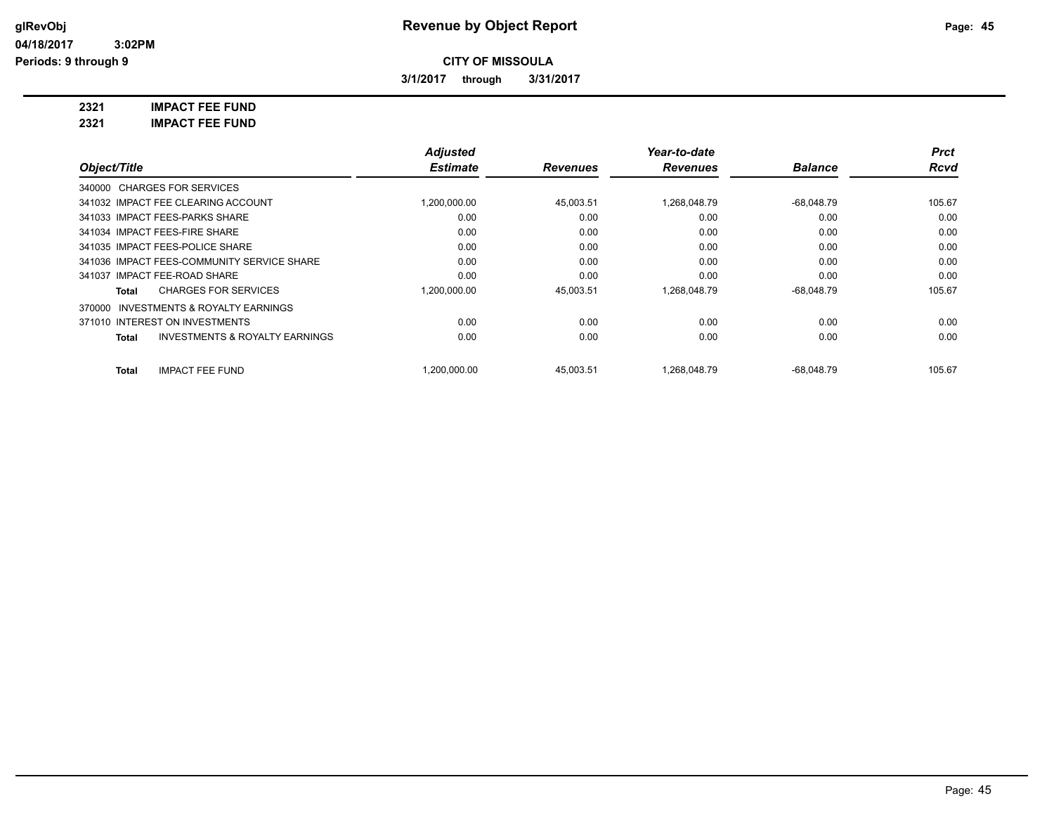**3/1/2017 through 3/31/2017**

**2321 IMPACT FEE FUND 2321 IMPACT FEE FUND**

|                                                     | <b>Adjusted</b> |                 | Year-to-date    |                | <b>Prct</b> |
|-----------------------------------------------------|-----------------|-----------------|-----------------|----------------|-------------|
| Object/Title                                        | <b>Estimate</b> | <b>Revenues</b> | <b>Revenues</b> | <b>Balance</b> | <b>Rcvd</b> |
| 340000 CHARGES FOR SERVICES                         |                 |                 |                 |                |             |
| 341032 IMPACT FEE CLEARING ACCOUNT                  | 1,200,000.00    | 45.003.51       | 1.268.048.79    | $-68.048.79$   | 105.67      |
| 341033 IMPACT FEES-PARKS SHARE                      | 0.00            | 0.00            | 0.00            | 0.00           | 0.00        |
| 341034 IMPACT FEES-FIRE SHARE                       | 0.00            | 0.00            | 0.00            | 0.00           | 0.00        |
| 341035 IMPACT FEES-POLICE SHARE                     | 0.00            | 0.00            | 0.00            | 0.00           | 0.00        |
| 341036 IMPACT FEES-COMMUNITY SERVICE SHARE          | 0.00            | 0.00            | 0.00            | 0.00           | 0.00        |
| 341037 IMPACT FEE-ROAD SHARE                        | 0.00            | 0.00            | 0.00            | 0.00           | 0.00        |
| <b>CHARGES FOR SERVICES</b><br>Total                | 1,200,000.00    | 45,003.51       | 1,268,048.79    | $-68,048.79$   | 105.67      |
| <b>INVESTMENTS &amp; ROYALTY EARNINGS</b><br>370000 |                 |                 |                 |                |             |
| 371010 INTEREST ON INVESTMENTS                      | 0.00            | 0.00            | 0.00            | 0.00           | 0.00        |
| <b>INVESTMENTS &amp; ROYALTY EARNINGS</b><br>Total  | 0.00            | 0.00            | 0.00            | 0.00           | 0.00        |
| <b>IMPACT FEE FUND</b><br><b>Total</b>              | .200.000.00     | 45.003.51       | .268.048.79     | $-68.048.79$   | 105.67      |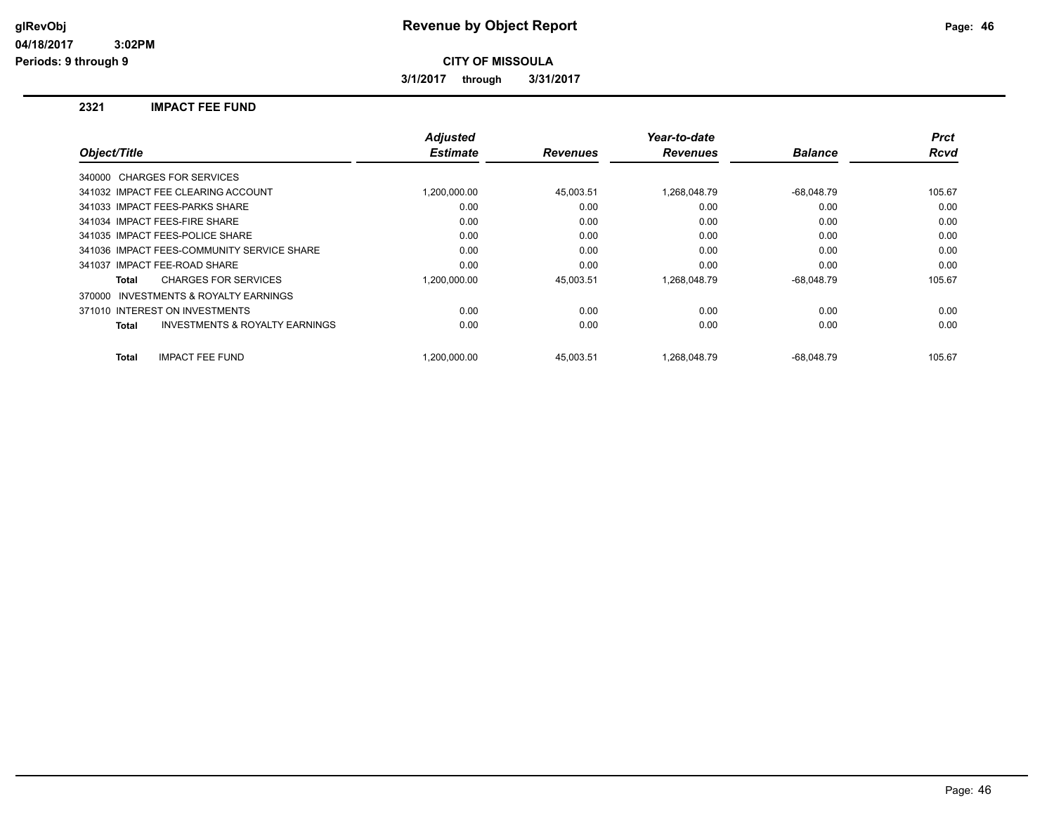**3/1/2017 through 3/31/2017**

#### **2321 IMPACT FEE FUND**

|                                                           | <b>Adjusted</b> |                 | Year-to-date    |                | <b>Prct</b> |
|-----------------------------------------------------------|-----------------|-----------------|-----------------|----------------|-------------|
| Object/Title                                              | <b>Estimate</b> | <b>Revenues</b> | <b>Revenues</b> | <b>Balance</b> | <b>Rcvd</b> |
| 340000 CHARGES FOR SERVICES                               |                 |                 |                 |                |             |
| 341032 IMPACT FEE CLEARING ACCOUNT                        | 1.200.000.00    | 45,003.51       | 1,268,048.79    | $-68.048.79$   | 105.67      |
| 341033 IMPACT FEES-PARKS SHARE                            | 0.00            | 0.00            | 0.00            | 0.00           | 0.00        |
| 341034 IMPACT FEES-FIRE SHARE                             | 0.00            | 0.00            | 0.00            | 0.00           | 0.00        |
| 341035 IMPACT FEES-POLICE SHARE                           | 0.00            | 0.00            | 0.00            | 0.00           | 0.00        |
| 341036 IMPACT FEES-COMMUNITY SERVICE SHARE                | 0.00            | 0.00            | 0.00            | 0.00           | 0.00        |
| 341037 IMPACT FEE-ROAD SHARE                              | 0.00            | 0.00            | 0.00            | 0.00           | 0.00        |
| <b>CHARGES FOR SERVICES</b><br>Total                      | 1,200,000.00    | 45,003.51       | 1.268.048.79    | $-68.048.79$   | 105.67      |
| 370000 INVESTMENTS & ROYALTY EARNINGS                     |                 |                 |                 |                |             |
| 371010 INTEREST ON INVESTMENTS                            | 0.00            | 0.00            | 0.00            | 0.00           | 0.00        |
| <b>INVESTMENTS &amp; ROYALTY EARNINGS</b><br><b>Total</b> | 0.00            | 0.00            | 0.00            | 0.00           | 0.00        |
| <b>IMPACT FEE FUND</b><br><b>Total</b>                    | 1.200.000.00    | 45.003.51       | 1.268.048.79    | $-68.048.79$   | 105.67      |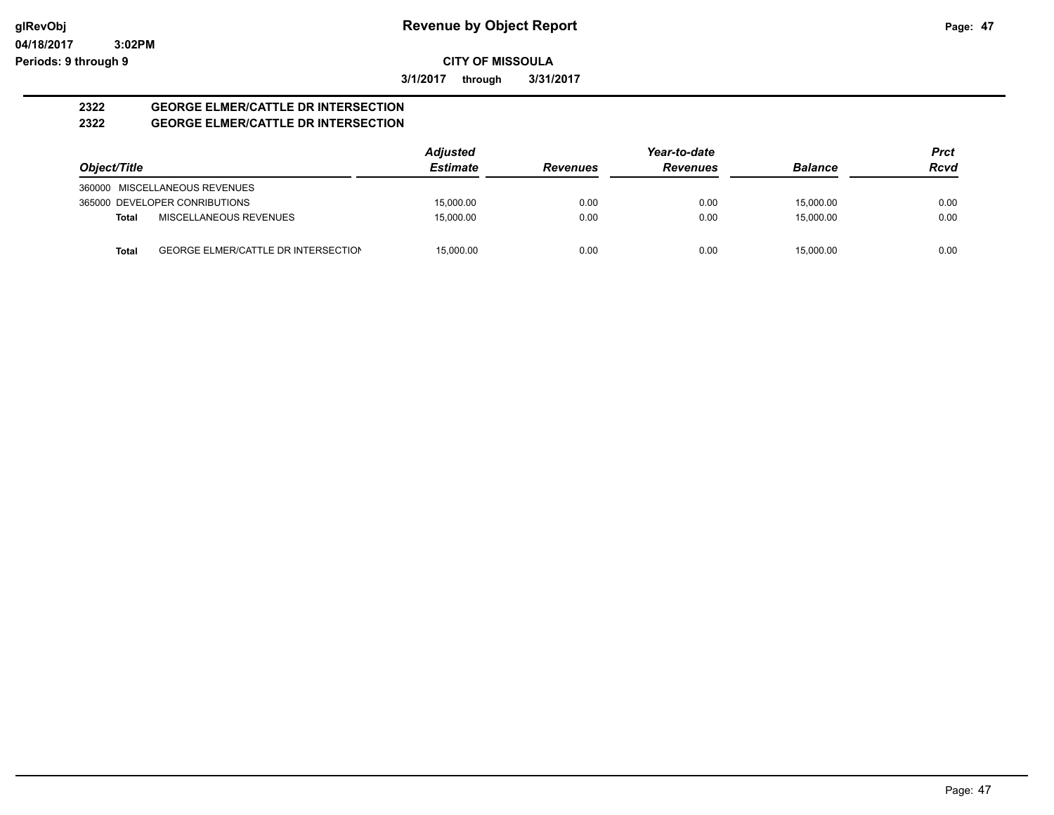**3/1/2017 through 3/31/2017**

# **2322 GEORGE ELMER/CATTLE DR INTERSECTION 2322 GEORGE ELMER/CATTLE DR INTERSECTION**

|              |                                            | <b>Adjusted</b> |                 | Year-to-date    |                | <b>Prct</b> |
|--------------|--------------------------------------------|-----------------|-----------------|-----------------|----------------|-------------|
| Object/Title |                                            | <b>Estimate</b> | <b>Revenues</b> | <b>Revenues</b> | <b>Balance</b> | <b>Rcvd</b> |
|              | 360000 MISCELLANEOUS REVENUES              |                 |                 |                 |                |             |
|              | 365000 DEVELOPER CONRIBUTIONS              | 15.000.00       | 0.00            | 0.00            | 15,000.00      | 0.00        |
| <b>Total</b> | <b>MISCELLANEOUS REVENUES</b>              | 15.000.00       | 0.00            | 0.00            | 15,000.00      | 0.00        |
| <b>Total</b> | <b>GEORGE ELMER/CATTLE DR INTERSECTION</b> | 15,000.00       | 0.00            | 0.00            | 15,000.00      | 0.00        |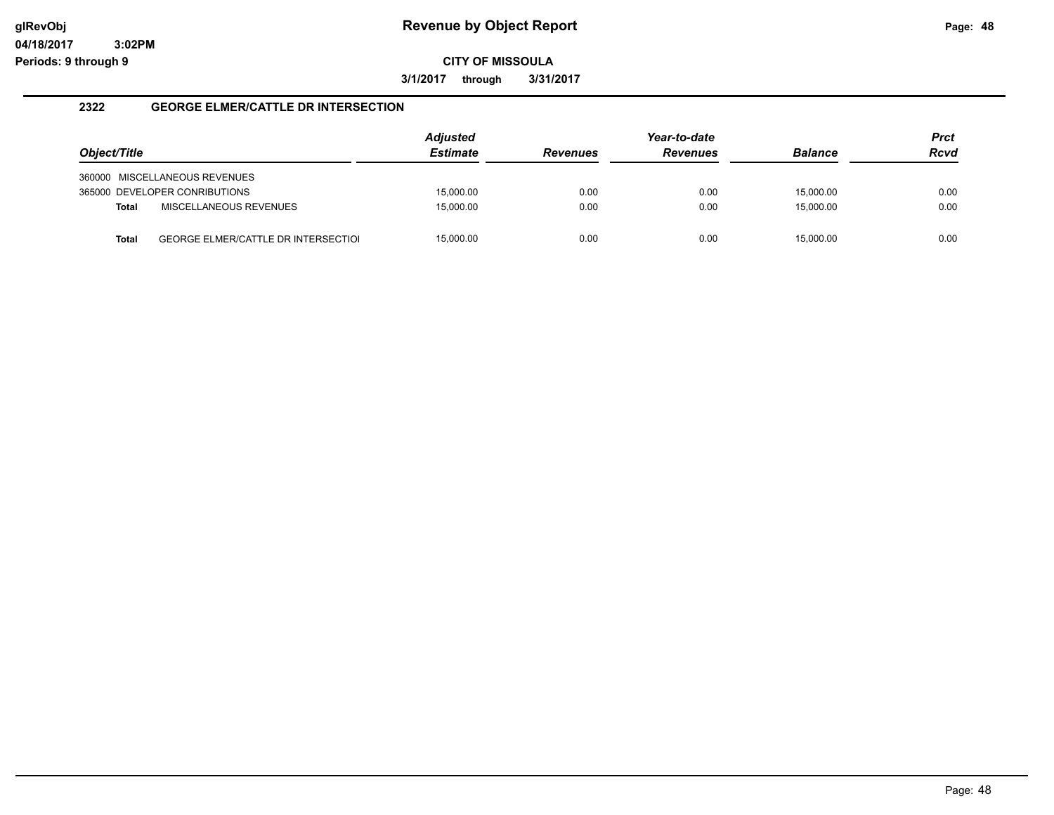**3/1/2017 through 3/31/2017**

# **2322 GEORGE ELMER/CATTLE DR INTERSECTION**

|              |                                            | <b>Adjusted</b> |                 | Year-to-date    |                | <b>Prct</b> |
|--------------|--------------------------------------------|-----------------|-----------------|-----------------|----------------|-------------|
| Object/Title |                                            | <b>Estimate</b> | <b>Revenues</b> | <b>Revenues</b> | <b>Balance</b> | <b>Rcvd</b> |
|              | 360000 MISCELLANEOUS REVENUES              |                 |                 |                 |                |             |
|              | 365000 DEVELOPER CONRIBUTIONS              | 15,000.00       | 0.00            | 0.00            | 15,000.00      | 0.00        |
| <b>Total</b> | MISCELLANEOUS REVENUES                     | 15,000.00       | 0.00            | 0.00            | 15.000.00      | 0.00        |
| <b>Total</b> | <b>GEORGE ELMER/CATTLE DR INTERSECTIOL</b> | 15,000.00       | 0.00            | 0.00            | 15.000.00      | 0.00        |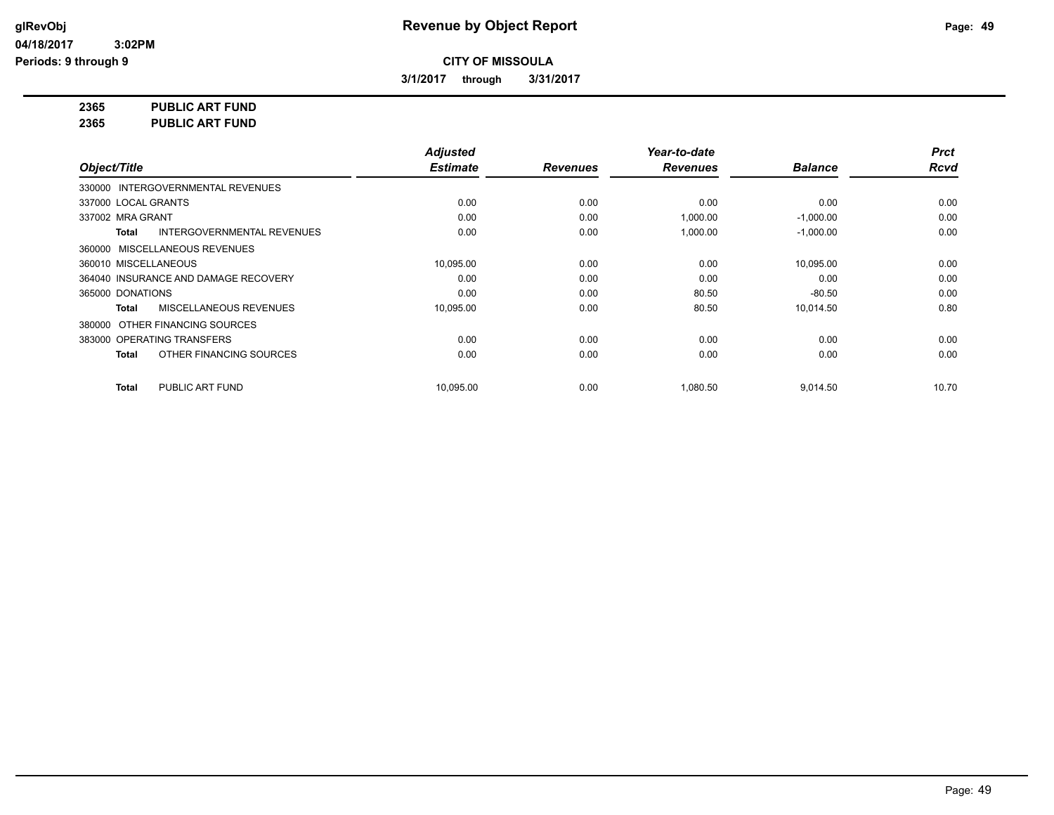**3/1/2017 through 3/31/2017**

**2365 PUBLIC ART FUND 2365 PUBLIC ART FUND**

|                                            | <b>Adjusted</b> |                 | Year-to-date    |                | <b>Prct</b> |
|--------------------------------------------|-----------------|-----------------|-----------------|----------------|-------------|
| Object/Title                               | <b>Estimate</b> | <b>Revenues</b> | <b>Revenues</b> | <b>Balance</b> | <b>Rcvd</b> |
| 330000 INTERGOVERNMENTAL REVENUES          |                 |                 |                 |                |             |
| 337000 LOCAL GRANTS                        | 0.00            | 0.00            | 0.00            | 0.00           | 0.00        |
| 337002 MRA GRANT                           | 0.00            | 0.00            | 1,000.00        | $-1,000.00$    | 0.00        |
| <b>INTERGOVERNMENTAL REVENUES</b><br>Total | 0.00            | 0.00            | 1,000.00        | $-1,000.00$    | 0.00        |
| 360000 MISCELLANEOUS REVENUES              |                 |                 |                 |                |             |
| 360010 MISCELLANEOUS                       | 10,095.00       | 0.00            | 0.00            | 10,095.00      | 0.00        |
| 364040 INSURANCE AND DAMAGE RECOVERY       | 0.00            | 0.00            | 0.00            | 0.00           | 0.00        |
| 365000 DONATIONS                           | 0.00            | 0.00            | 80.50           | $-80.50$       | 0.00        |
| MISCELLANEOUS REVENUES<br><b>Total</b>     | 10,095.00       | 0.00            | 80.50           | 10.014.50      | 0.80        |
| 380000 OTHER FINANCING SOURCES             |                 |                 |                 |                |             |
| 383000 OPERATING TRANSFERS                 | 0.00            | 0.00            | 0.00            | 0.00           | 0.00        |
| OTHER FINANCING SOURCES<br><b>Total</b>    | 0.00            | 0.00            | 0.00            | 0.00           | 0.00        |
| PUBLIC ART FUND<br><b>Total</b>            | 10,095.00       | 0.00            | 1,080.50        | 9,014.50       | 10.70       |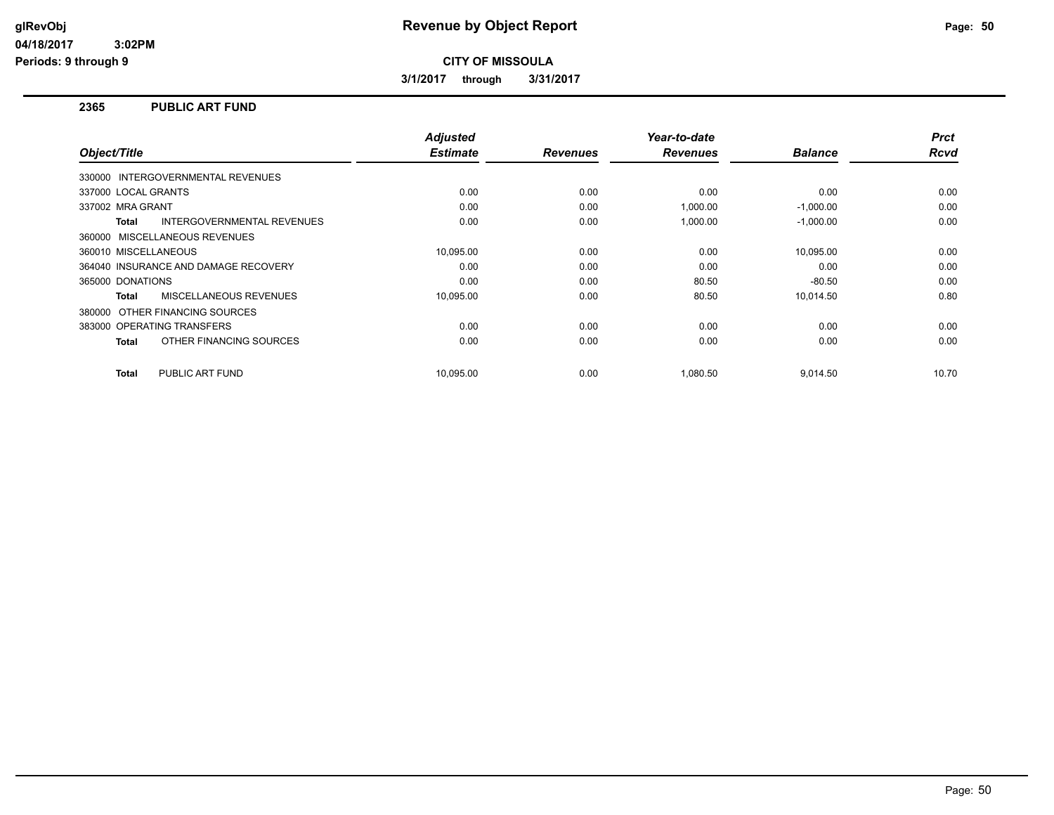**3/1/2017 through 3/31/2017**

#### **2365 PUBLIC ART FUND**

|                                            | <b>Adjusted</b> |                 | Year-to-date    |                | <b>Prct</b> |
|--------------------------------------------|-----------------|-----------------|-----------------|----------------|-------------|
| Object/Title                               | <b>Estimate</b> | <b>Revenues</b> | <b>Revenues</b> | <b>Balance</b> | <b>Rcvd</b> |
| 330000 INTERGOVERNMENTAL REVENUES          |                 |                 |                 |                |             |
| 337000 LOCAL GRANTS                        | 0.00            | 0.00            | 0.00            | 0.00           | 0.00        |
| 337002 MRA GRANT                           | 0.00            | 0.00            | 1,000.00        | $-1,000.00$    | 0.00        |
| <b>INTERGOVERNMENTAL REVENUES</b><br>Total | 0.00            | 0.00            | 1,000.00        | $-1,000.00$    | 0.00        |
| 360000 MISCELLANEOUS REVENUES              |                 |                 |                 |                |             |
| 360010 MISCELLANEOUS                       | 10,095.00       | 0.00            | 0.00            | 10,095.00      | 0.00        |
| 364040 INSURANCE AND DAMAGE RECOVERY       | 0.00            | 0.00            | 0.00            | 0.00           | 0.00        |
| 365000 DONATIONS                           | 0.00            | 0.00            | 80.50           | $-80.50$       | 0.00        |
| <b>MISCELLANEOUS REVENUES</b><br>Total     | 10,095.00       | 0.00            | 80.50           | 10.014.50      | 0.80        |
| OTHER FINANCING SOURCES<br>380000          |                 |                 |                 |                |             |
| 383000 OPERATING TRANSFERS                 | 0.00            | 0.00            | 0.00            | 0.00           | 0.00        |
| OTHER FINANCING SOURCES<br><b>Total</b>    | 0.00            | 0.00            | 0.00            | 0.00           | 0.00        |
| PUBLIC ART FUND<br><b>Total</b>            | 10,095.00       | 0.00            | 1,080.50        | 9,014.50       | 10.70       |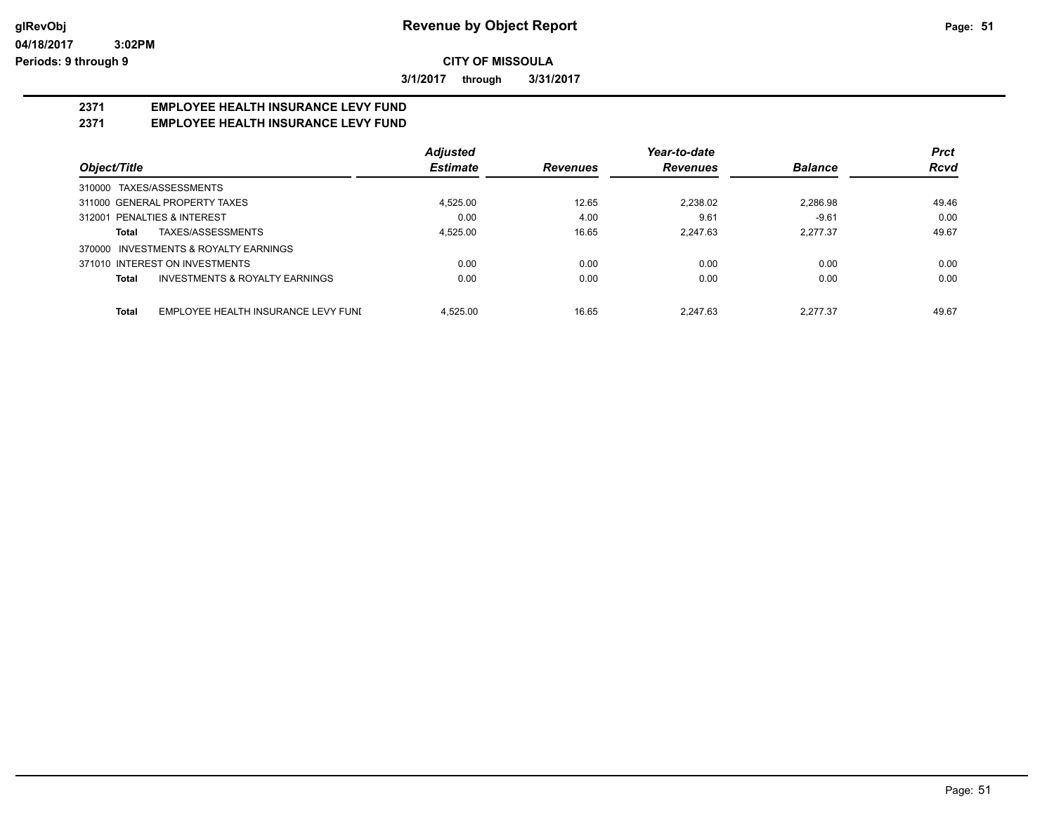**3/1/2017 through 3/31/2017**

# **2371 EMPLOYEE HEALTH INSURANCE LEVY FUND 2371 EMPLOYEE HEALTH INSURANCE LEVY FUND**

|                                              | <b>Adiusted</b> |                 | Year-to-date    |                | <b>Prct</b> |
|----------------------------------------------|-----------------|-----------------|-----------------|----------------|-------------|
| Object/Title                                 | <b>Estimate</b> | <b>Revenues</b> | <b>Revenues</b> | <b>Balance</b> | <b>Rcvd</b> |
| 310000 TAXES/ASSESSMENTS                     |                 |                 |                 |                |             |
| 311000 GENERAL PROPERTY TAXES                | 4.525.00        | 12.65           | 2.238.02        | 2.286.98       | 49.46       |
| <b>PENALTIES &amp; INTEREST</b><br>312001    | 0.00            | 4.00            | 9.61            | $-9.61$        | 0.00        |
| TAXES/ASSESSMENTS<br>Total                   | 4,525.00        | 16.65           | 2.247.63        | 2.277.37       | 49.67       |
| 370000 INVESTMENTS & ROYALTY EARNINGS        |                 |                 |                 |                |             |
| 371010 INTEREST ON INVESTMENTS               | 0.00            | 0.00            | 0.00            | 0.00           | 0.00        |
| INVESTMENTS & ROYALTY EARNINGS<br>Total      | 0.00            | 0.00            | 0.00            | 0.00           | 0.00        |
| EMPLOYEE HEALTH INSURANCE LEVY FUNI<br>Total | 4.525.00        | 16.65           | 2.247.63        | 2.277.37       | 49.67       |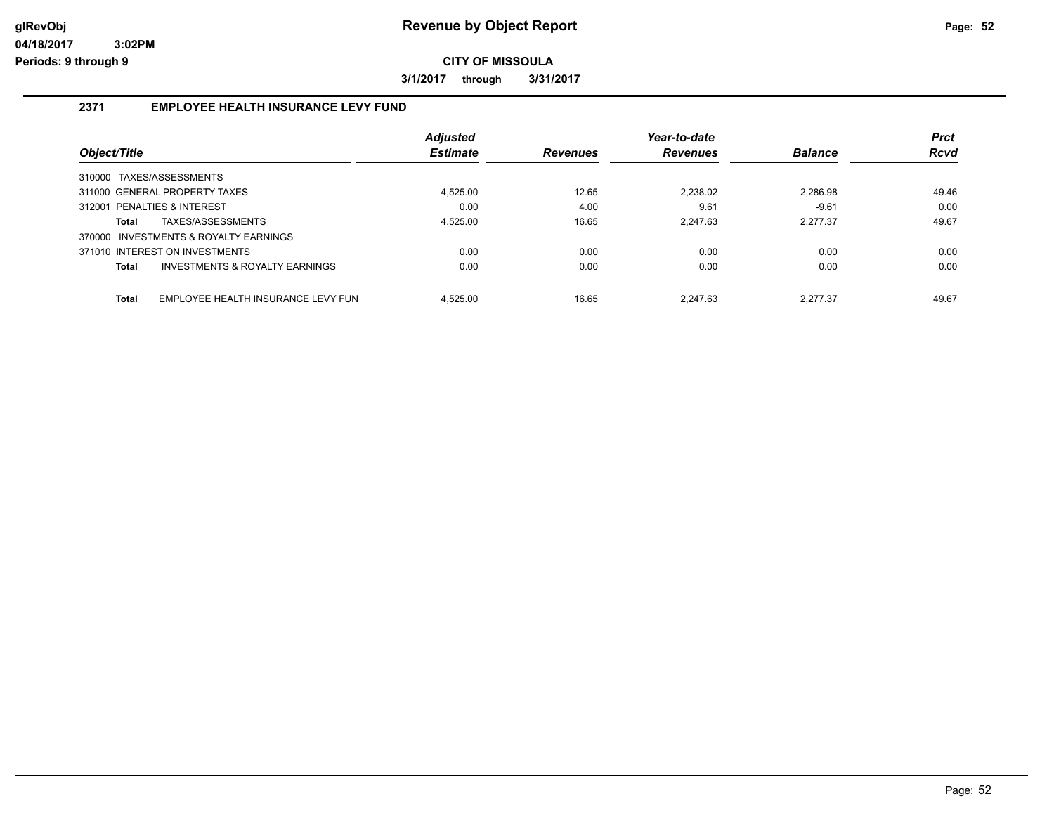**3/1/2017 through 3/31/2017**

#### **2371 EMPLOYEE HEALTH INSURANCE LEVY FUND**

|              |                                       | <b>Adjusted</b><br><b>Estimate</b> |                 | Year-to-date    | <b>Balance</b> | <b>Prct</b><br><b>Rcvd</b> |
|--------------|---------------------------------------|------------------------------------|-----------------|-----------------|----------------|----------------------------|
| Object/Title |                                       |                                    | <b>Revenues</b> | <b>Revenues</b> |                |                            |
|              | 310000 TAXES/ASSESSMENTS              |                                    |                 |                 |                |                            |
|              | 311000 GENERAL PROPERTY TAXES         | 4.525.00                           | 12.65           | 2.238.02        | 2.286.98       | 49.46                      |
|              | 312001 PENALTIES & INTEREST           | 0.00                               | 4.00            | 9.61            | $-9.61$        | 0.00                       |
| Total        | TAXES/ASSESSMENTS                     | 4.525.00                           | 16.65           | 2.247.63        | 2.277.37       | 49.67                      |
|              | 370000 INVESTMENTS & ROYALTY EARNINGS |                                    |                 |                 |                |                            |
|              | 371010 INTEREST ON INVESTMENTS        | 0.00                               | 0.00            | 0.00            | 0.00           | 0.00                       |
| Total        | INVESTMENTS & ROYALTY EARNINGS        | 0.00                               | 0.00            | 0.00            | 0.00           | 0.00                       |
| <b>Total</b> | EMPLOYEE HEALTH INSURANCE LEVY FUN    | 4.525.00                           | 16.65           | 2.247.63        | 2.277.37       | 49.67                      |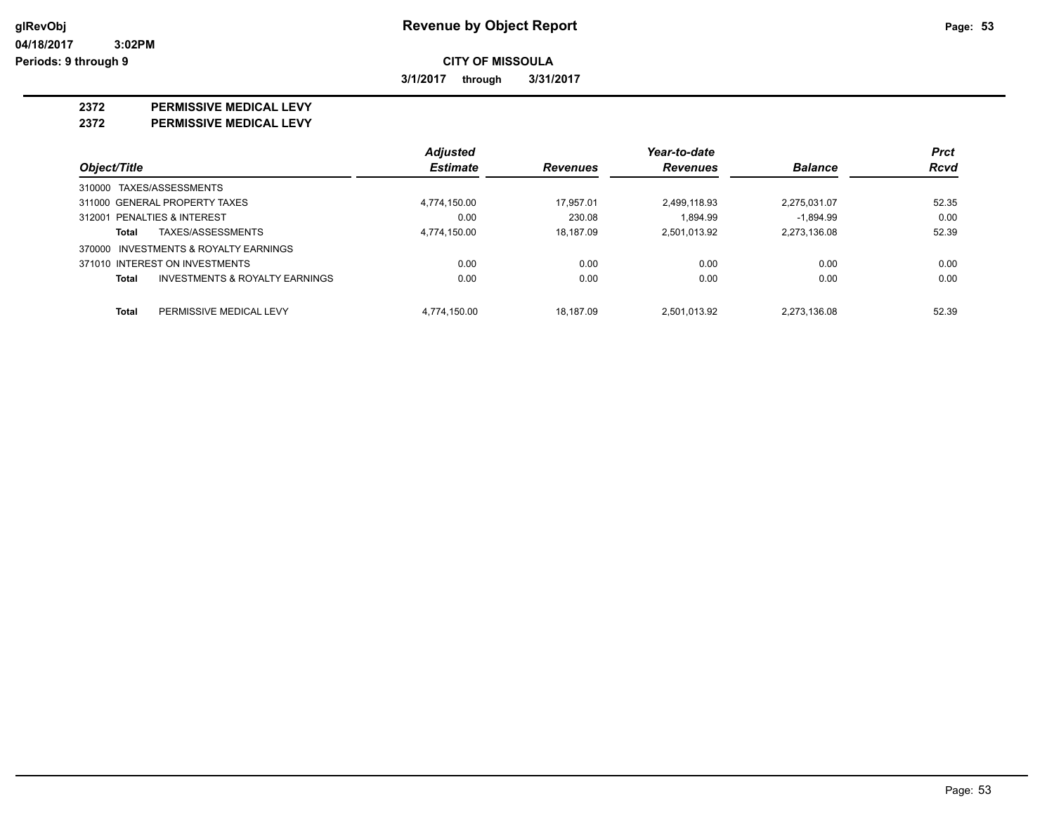**3/1/2017 through 3/31/2017**

**2372 PERMISSIVE MEDICAL LEVY 2372 PERMISSIVE MEDICAL LEVY**

|              |                                       | <b>Adjusted</b> |                 | Year-to-date    |                | <b>Prct</b> |
|--------------|---------------------------------------|-----------------|-----------------|-----------------|----------------|-------------|
| Object/Title |                                       | <b>Estimate</b> | <b>Revenues</b> | <b>Revenues</b> | <b>Balance</b> | Rcvd        |
|              | 310000 TAXES/ASSESSMENTS              |                 |                 |                 |                |             |
|              | 311000 GENERAL PROPERTY TAXES         | 4.774.150.00    | 17.957.01       | 2.499.118.93    | 2.275.031.07   | 52.35       |
|              | 312001 PENALTIES & INTEREST           | 0.00            | 230.08          | 1.894.99        | $-1.894.99$    | 0.00        |
| Total        | TAXES/ASSESSMENTS                     | 4,774,150.00    | 18.187.09       | 2,501,013.92    | 2.273.136.08   | 52.39       |
|              | 370000 INVESTMENTS & ROYALTY EARNINGS |                 |                 |                 |                |             |
|              | 371010 INTEREST ON INVESTMENTS        | 0.00            | 0.00            | 0.00            | 0.00           | 0.00        |
| Total        | INVESTMENTS & ROYALTY EARNINGS        | 0.00            | 0.00            | 0.00            | 0.00           | 0.00        |
| <b>Total</b> | PERMISSIVE MEDICAL LEVY               | 4.774.150.00    | 18.187.09       | 2.501.013.92    | 2.273.136.08   | 52.39       |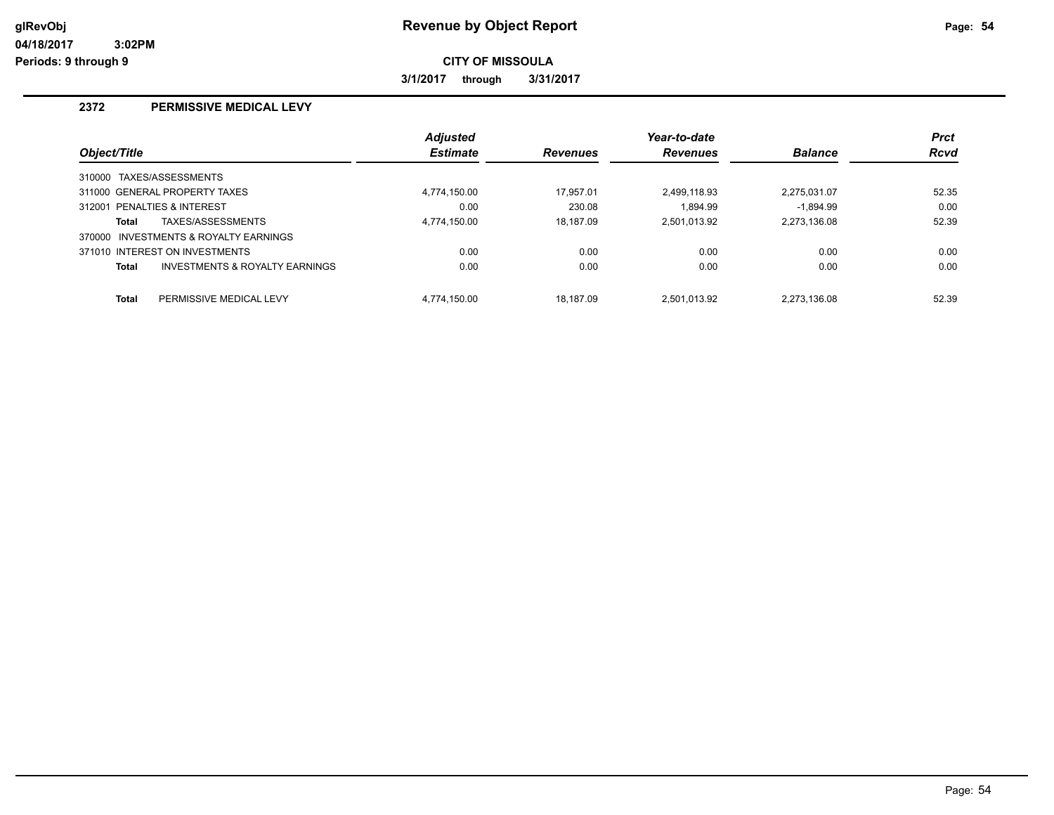**3/1/2017 through 3/31/2017**

#### **2372 PERMISSIVE MEDICAL LEVY**

|              |                                | <b>Adjusted</b> |                 | Year-to-date    |                | <b>Prct</b> |
|--------------|--------------------------------|-----------------|-----------------|-----------------|----------------|-------------|
| Object/Title |                                | <b>Estimate</b> | <b>Revenues</b> | <b>Revenues</b> | <b>Balance</b> | <b>Rcvd</b> |
|              | 310000 TAXES/ASSESSMENTS       |                 |                 |                 |                |             |
|              | 311000 GENERAL PROPERTY TAXES  | 4.774.150.00    | 17.957.01       | 2.499.118.93    | 2,275,031.07   | 52.35       |
|              | 312001 PENALTIES & INTEREST    | 0.00            | 230.08          | 1.894.99        | $-1.894.99$    | 0.00        |
| Total        | TAXES/ASSESSMENTS              | 4,774,150.00    | 18,187.09       | 2,501,013.92    | 2,273,136.08   | 52.39       |
| 370000       | INVESTMENTS & ROYALTY EARNINGS |                 |                 |                 |                |             |
|              | 371010 INTEREST ON INVESTMENTS | 0.00            | 0.00            | 0.00            | 0.00           | 0.00        |
| Total        | INVESTMENTS & ROYALTY EARNINGS | 0.00            | 0.00            | 0.00            | 0.00           | 0.00        |
| Total        | PERMISSIVE MEDICAL LEVY        | 4.774.150.00    | 18.187.09       | 2.501.013.92    | 2.273.136.08   | 52.39       |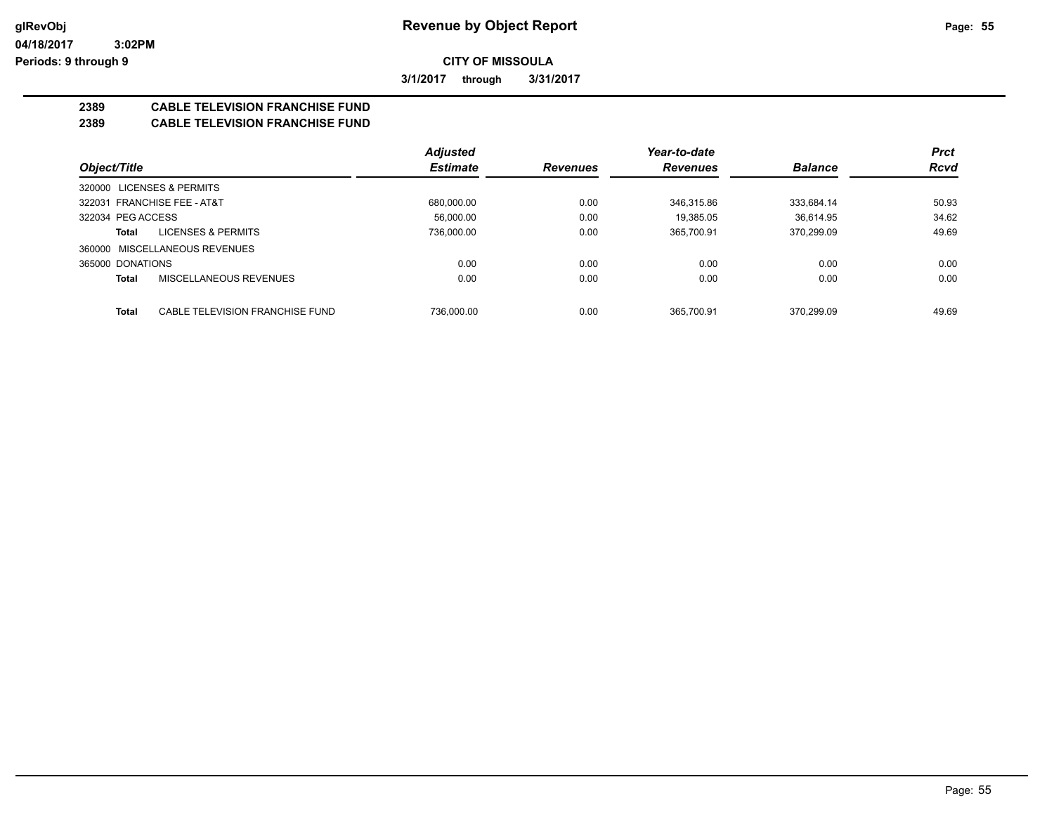**3/1/2017 through 3/31/2017**

# **2389 CABLE TELEVISION FRANCHISE FUND 2389 CABLE TELEVISION FRANCHISE FUND**

|                   |                                 | <b>Adjusted</b> |                 | Year-to-date    |                | <b>Prct</b> |
|-------------------|---------------------------------|-----------------|-----------------|-----------------|----------------|-------------|
| Object/Title      |                                 | <b>Estimate</b> | <b>Revenues</b> | <b>Revenues</b> | <b>Balance</b> | <b>Rcvd</b> |
|                   | 320000 LICENSES & PERMITS       |                 |                 |                 |                |             |
|                   | 322031 FRANCHISE FEE - AT&T     | 680.000.00      | 0.00            | 346.315.86      | 333.684.14     | 50.93       |
| 322034 PEG ACCESS |                                 | 56.000.00       | 0.00            | 19.385.05       | 36.614.95      | 34.62       |
| Total             | <b>LICENSES &amp; PERMITS</b>   | 736.000.00      | 0.00            | 365.700.91      | 370.299.09     | 49.69       |
|                   | 360000 MISCELLANEOUS REVENUES   |                 |                 |                 |                |             |
| 365000 DONATIONS  |                                 | 0.00            | 0.00            | 0.00            | 0.00           | 0.00        |
| Total             | MISCELLANEOUS REVENUES          | 0.00            | 0.00            | 0.00            | 0.00           | 0.00        |
| <b>Total</b>      | CABLE TELEVISION FRANCHISE FUND | 736.000.00      | 0.00            | 365.700.91      | 370.299.09     | 49.69       |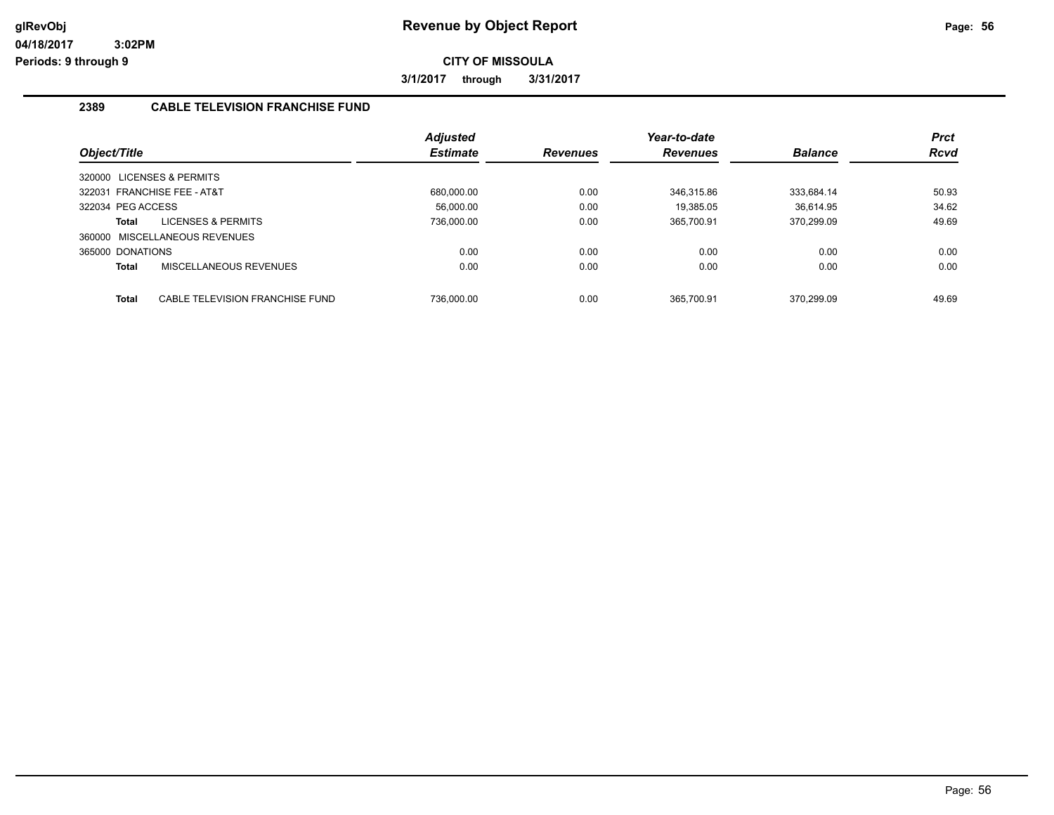**3/1/2017 through 3/31/2017**

#### **2389 CABLE TELEVISION FRANCHISE FUND**

|                   |                                 | <b>Adjusted</b> |                 | Year-to-date    |                | <b>Prct</b> |
|-------------------|---------------------------------|-----------------|-----------------|-----------------|----------------|-------------|
| Object/Title      |                                 | <b>Estimate</b> | <b>Revenues</b> | <b>Revenues</b> | <b>Balance</b> | <b>Rcvd</b> |
|                   | 320000 LICENSES & PERMITS       |                 |                 |                 |                |             |
|                   | 322031 FRANCHISE FEE - AT&T     | 680.000.00      | 0.00            | 346.315.86      | 333.684.14     | 50.93       |
| 322034 PEG ACCESS |                                 | 56.000.00       | 0.00            | 19.385.05       | 36.614.95      | 34.62       |
| Total             | <b>LICENSES &amp; PERMITS</b>   | 736.000.00      | 0.00            | 365,700.91      | 370,299.09     | 49.69       |
|                   | 360000 MISCELLANEOUS REVENUES   |                 |                 |                 |                |             |
| 365000 DONATIONS  |                                 | 0.00            | 0.00            | 0.00            | 0.00           | 0.00        |
| <b>Total</b>      | MISCELLANEOUS REVENUES          | 0.00            | 0.00            | 0.00            | 0.00           | 0.00        |
| <b>Total</b>      | CABLE TELEVISION FRANCHISE FUND | 736.000.00      | 0.00            | 365.700.91      | 370.299.09     | 49.69       |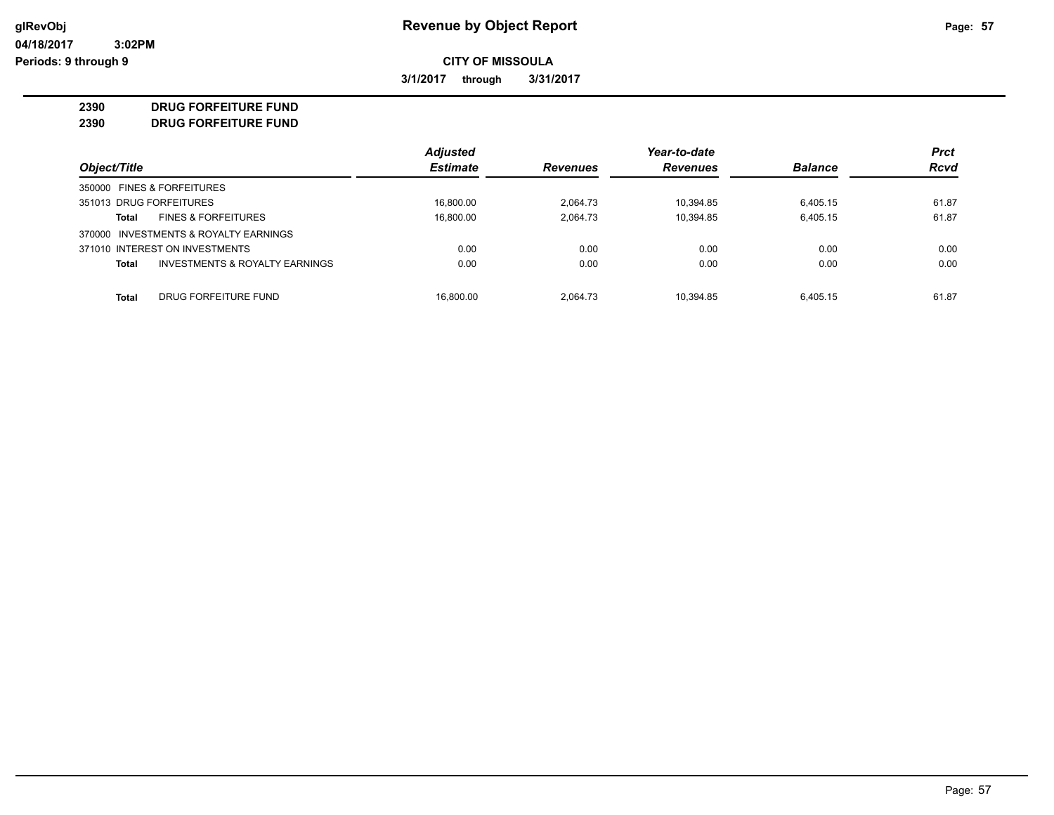**3/1/2017 through 3/31/2017**

**2390 DRUG FORFEITURE FUND 2390 DRUG FORFEITURE FUND**

|                                         | <b>Adjusted</b> |                 | Year-to-date    |                | <b>Prct</b> |
|-----------------------------------------|-----------------|-----------------|-----------------|----------------|-------------|
| Object/Title                            | <b>Estimate</b> | <b>Revenues</b> | <b>Revenues</b> | <b>Balance</b> | <b>Rcvd</b> |
| 350000 FINES & FORFEITURES              |                 |                 |                 |                |             |
| 351013 DRUG FORFEITURES                 | 16.800.00       | 2.064.73        | 10.394.85       | 6.405.15       | 61.87       |
| <b>FINES &amp; FORFEITURES</b><br>Total | 16,800.00       | 2,064.73        | 10,394.85       | 6,405.15       | 61.87       |
| 370000 INVESTMENTS & ROYALTY EARNINGS   |                 |                 |                 |                |             |
| 371010 INTEREST ON INVESTMENTS          | 0.00            | 0.00            | 0.00            | 0.00           | 0.00        |
| INVESTMENTS & ROYALTY EARNINGS<br>Total | 0.00            | 0.00            | 0.00            | 0.00           | 0.00        |
| <b>Total</b><br>DRUG FORFEITURE FUND    | 16.800.00       | 2.064.73        | 10.394.85       | 6.405.15       | 61.87       |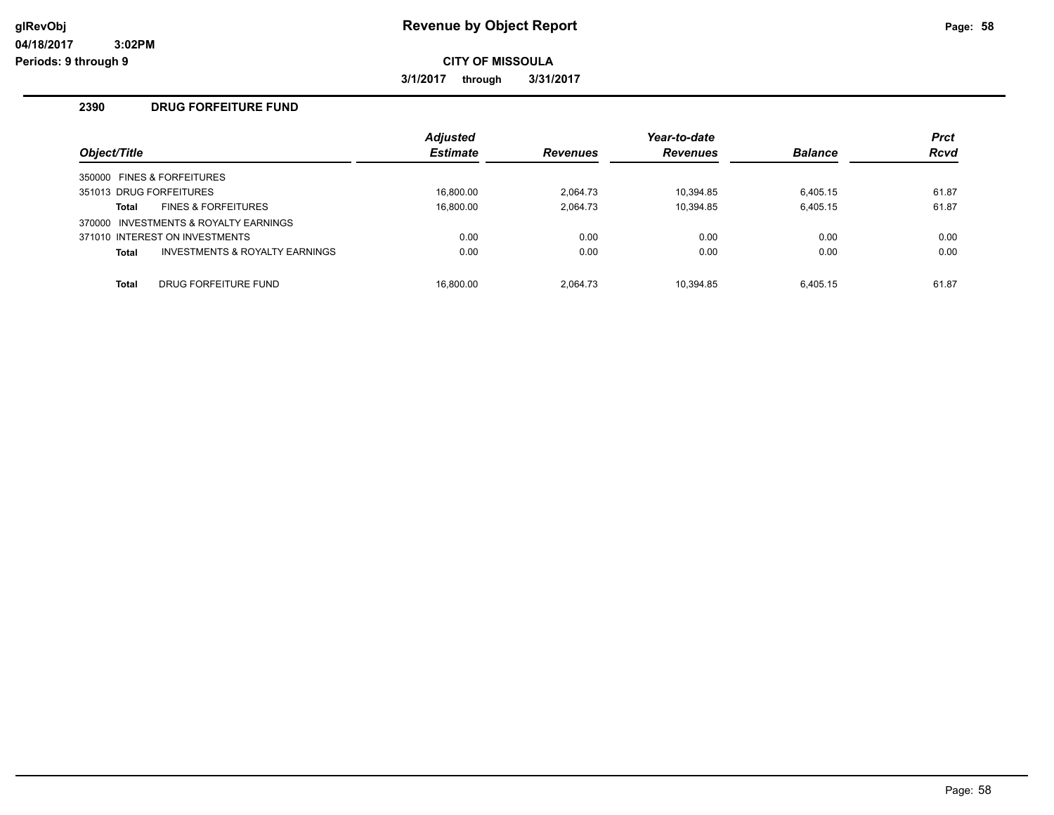**3/1/2017 through 3/31/2017**

#### **2390 DRUG FORFEITURE FUND**

|                                       |                                | <b>Adjusted</b> |                 | Year-to-date    |                | <b>Prct</b> |
|---------------------------------------|--------------------------------|-----------------|-----------------|-----------------|----------------|-------------|
| Object/Title                          |                                | <b>Estimate</b> | <b>Revenues</b> | <b>Revenues</b> | <b>Balance</b> | <b>Rcvd</b> |
| 350000 FINES & FORFEITURES            |                                |                 |                 |                 |                |             |
| 351013 DRUG FORFEITURES               |                                | 16.800.00       | 2.064.73        | 10.394.85       | 6.405.15       | 61.87       |
| Total                                 | <b>FINES &amp; FORFEITURES</b> | 16.800.00       | 2.064.73        | 10.394.85       | 6.405.15       | 61.87       |
| 370000 INVESTMENTS & ROYALTY EARNINGS |                                |                 |                 |                 |                |             |
| 371010 INTEREST ON INVESTMENTS        |                                | 0.00            | 0.00            | 0.00            | 0.00           | 0.00        |
| <b>Total</b>                          | INVESTMENTS & ROYALTY EARNINGS | 0.00            | 0.00            | 0.00            | 0.00           | 0.00        |
| <b>Total</b>                          | DRUG FORFEITURE FUND           | 16.800.00       | 2.064.73        | 10.394.85       | 6.405.15       | 61.87       |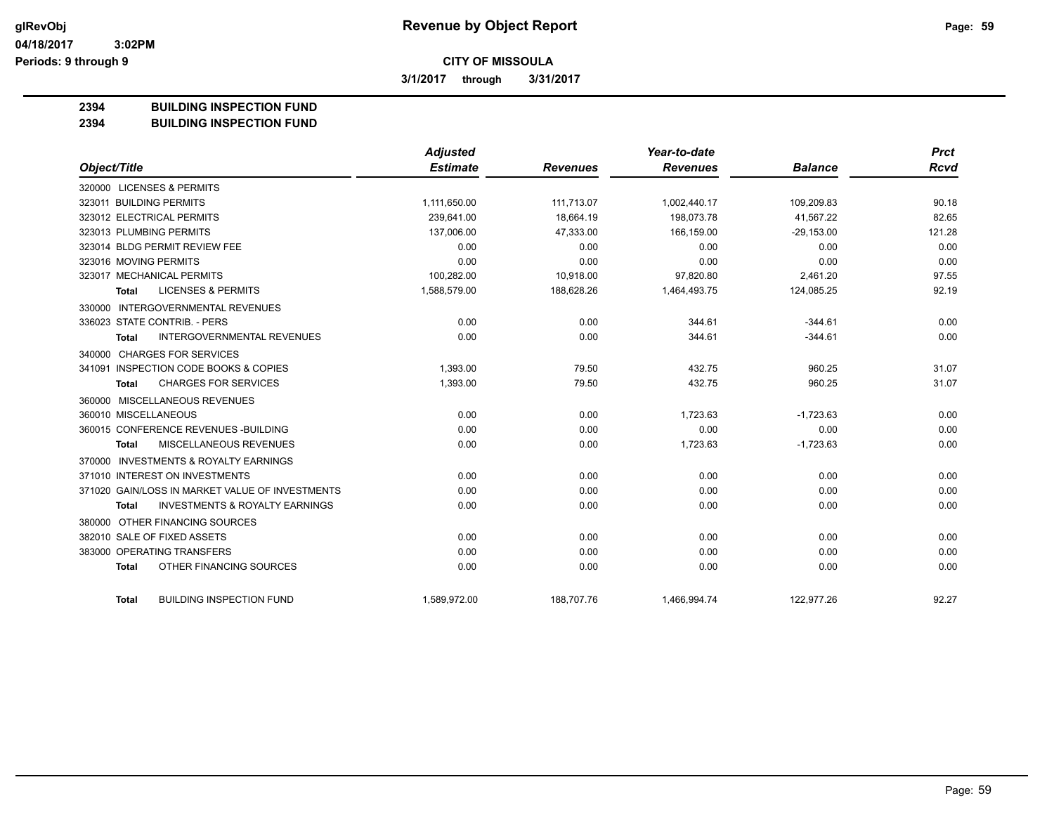**CITY OF MISSOULA**

**3/1/2017 through 3/31/2017**

**2394 BUILDING INSPECTION FUND 2394 BUILDING INSPECTION FUND**

|                                                     | <b>Adjusted</b> |                 | Year-to-date    |                | <b>Prct</b> |
|-----------------------------------------------------|-----------------|-----------------|-----------------|----------------|-------------|
| Object/Title                                        | <b>Estimate</b> | <b>Revenues</b> | <b>Revenues</b> | <b>Balance</b> | <b>Rcvd</b> |
| 320000 LICENSES & PERMITS                           |                 |                 |                 |                |             |
| 323011 BUILDING PERMITS                             | 1,111,650.00    | 111,713.07      | 1,002,440.17    | 109,209.83     | 90.18       |
| 323012 ELECTRICAL PERMITS                           | 239,641.00      | 18,664.19       | 198,073.78      | 41,567.22      | 82.65       |
| 323013 PLUMBING PERMITS                             | 137,006.00      | 47,333.00       | 166,159.00      | $-29,153.00$   | 121.28      |
| 323014 BLDG PERMIT REVIEW FEE                       | 0.00            | 0.00            | 0.00            | 0.00           | 0.00        |
| 323016 MOVING PERMITS                               | 0.00            | 0.00            | 0.00            | 0.00           | 0.00        |
| 323017 MECHANICAL PERMITS                           | 100,282.00      | 10,918.00       | 97,820.80       | 2,461.20       | 97.55       |
| <b>LICENSES &amp; PERMITS</b><br>Total              | 1,588,579.00    | 188,628.26      | 1,464,493.75    | 124,085.25     | 92.19       |
| 330000 INTERGOVERNMENTAL REVENUES                   |                 |                 |                 |                |             |
| 336023 STATE CONTRIB. - PERS                        | 0.00            | 0.00            | 344.61          | $-344.61$      | 0.00        |
| <b>INTERGOVERNMENTAL REVENUES</b><br><b>Total</b>   | 0.00            | 0.00            | 344.61          | $-344.61$      | 0.00        |
| 340000 CHARGES FOR SERVICES                         |                 |                 |                 |                |             |
| 341091 INSPECTION CODE BOOKS & COPIES               | 1.393.00        | 79.50           | 432.75          | 960.25         | 31.07       |
| <b>CHARGES FOR SERVICES</b><br>Total                | 1,393.00        | 79.50           | 432.75          | 960.25         | 31.07       |
| 360000 MISCELLANEOUS REVENUES                       |                 |                 |                 |                |             |
| 360010 MISCELLANEOUS                                | 0.00            | 0.00            | 1,723.63        | $-1,723.63$    | 0.00        |
| 360015 CONFERENCE REVENUES - BUILDING               | 0.00            | 0.00            | 0.00            | 0.00           | 0.00        |
| MISCELLANEOUS REVENUES<br><b>Total</b>              | 0.00            | 0.00            | 1,723.63        | $-1,723.63$    | 0.00        |
| <b>INVESTMENTS &amp; ROYALTY EARNINGS</b><br>370000 |                 |                 |                 |                |             |
| 371010 INTEREST ON INVESTMENTS                      | 0.00            | 0.00            | 0.00            | 0.00           | 0.00        |
| 371020 GAIN/LOSS IN MARKET VALUE OF INVESTMENTS     | 0.00            | 0.00            | 0.00            | 0.00           | 0.00        |
| <b>INVESTMENTS &amp; ROYALTY EARNINGS</b><br>Total  | 0.00            | 0.00            | 0.00            | 0.00           | 0.00        |
| OTHER FINANCING SOURCES<br>380000                   |                 |                 |                 |                |             |
| 382010 SALE OF FIXED ASSETS                         | 0.00            | 0.00            | 0.00            | 0.00           | 0.00        |
| 383000 OPERATING TRANSFERS                          | 0.00            | 0.00            | 0.00            | 0.00           | 0.00        |
| OTHER FINANCING SOURCES<br><b>Total</b>             | 0.00            | 0.00            | 0.00            | 0.00           | 0.00        |
| <b>BUILDING INSPECTION FUND</b><br><b>Total</b>     | 1.589.972.00    | 188.707.76      | 1.466.994.74    | 122.977.26     | 92.27       |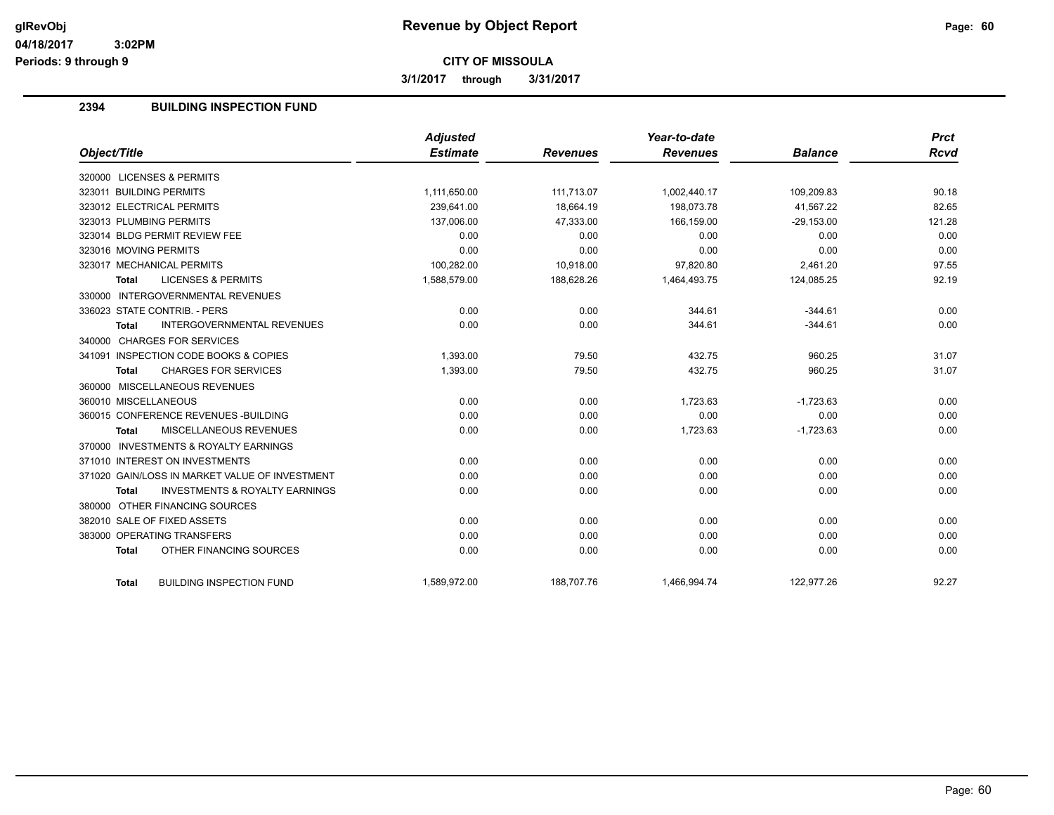**3/1/2017 through 3/31/2017**

# **2394 BUILDING INSPECTION FUND**

|                                                           | <b>Adjusted</b> |                 | Year-to-date    |                | <b>Prct</b> |
|-----------------------------------------------------------|-----------------|-----------------|-----------------|----------------|-------------|
| Object/Title                                              | <b>Estimate</b> | <b>Revenues</b> | <b>Revenues</b> | <b>Balance</b> | Rcvd        |
| 320000 LICENSES & PERMITS                                 |                 |                 |                 |                |             |
| 323011 BUILDING PERMITS                                   | 1,111,650.00    | 111,713.07      | 1,002,440.17    | 109,209.83     | 90.18       |
| 323012 ELECTRICAL PERMITS                                 | 239,641.00      | 18.664.19       | 198.073.78      | 41.567.22      | 82.65       |
| 323013 PLUMBING PERMITS                                   | 137,006.00      | 47.333.00       | 166.159.00      | $-29,153.00$   | 121.28      |
| 323014 BLDG PERMIT REVIEW FEE                             | 0.00            | 0.00            | 0.00            | 0.00           | 0.00        |
| 323016 MOVING PERMITS                                     | 0.00            | 0.00            | 0.00            | 0.00           | 0.00        |
| 323017 MECHANICAL PERMITS                                 | 100,282.00      | 10,918.00       | 97,820.80       | 2,461.20       | 97.55       |
| <b>LICENSES &amp; PERMITS</b><br>Total                    | 1,588,579.00    | 188,628.26      | 1,464,493.75    | 124,085.25     | 92.19       |
| 330000 INTERGOVERNMENTAL REVENUES                         |                 |                 |                 |                |             |
| 336023 STATE CONTRIB. - PERS                              | 0.00            | 0.00            | 344.61          | $-344.61$      | 0.00        |
| INTERGOVERNMENTAL REVENUES<br><b>Total</b>                | 0.00            | 0.00            | 344.61          | $-344.61$      | 0.00        |
| 340000 CHARGES FOR SERVICES                               |                 |                 |                 |                |             |
| 341091 INSPECTION CODE BOOKS & COPIES                     | 1.393.00        | 79.50           | 432.75          | 960.25         | 31.07       |
| <b>CHARGES FOR SERVICES</b><br><b>Total</b>               | 1,393.00        | 79.50           | 432.75          | 960.25         | 31.07       |
| 360000 MISCELLANEOUS REVENUES                             |                 |                 |                 |                |             |
| 360010 MISCELLANEOUS                                      | 0.00            | 0.00            | 1,723.63        | $-1,723.63$    | 0.00        |
| 360015 CONFERENCE REVENUES - BUILDING                     | 0.00            | 0.00            | 0.00            | 0.00           | 0.00        |
| MISCELLANEOUS REVENUES<br>Total                           | 0.00            | 0.00            | 1,723.63        | $-1,723.63$    | 0.00        |
| 370000 INVESTMENTS & ROYALTY EARNINGS                     |                 |                 |                 |                |             |
| 371010 INTEREST ON INVESTMENTS                            | 0.00            | 0.00            | 0.00            | 0.00           | 0.00        |
| 371020 GAIN/LOSS IN MARKET VALUE OF INVESTMENT            | 0.00            | 0.00            | 0.00            | 0.00           | 0.00        |
| <b>INVESTMENTS &amp; ROYALTY EARNINGS</b><br><b>Total</b> | 0.00            | 0.00            | 0.00            | 0.00           | 0.00        |
| 380000 OTHER FINANCING SOURCES                            |                 |                 |                 |                |             |
| 382010 SALE OF FIXED ASSETS                               | 0.00            | 0.00            | 0.00            | 0.00           | 0.00        |
| 383000 OPERATING TRANSFERS                                | 0.00            | 0.00            | 0.00            | 0.00           | 0.00        |
| OTHER FINANCING SOURCES<br><b>Total</b>                   | 0.00            | 0.00            | 0.00            | 0.00           | 0.00        |
| <b>BUILDING INSPECTION FUND</b><br><b>Total</b>           | 1,589,972.00    | 188,707.76      | 1,466,994.74    | 122.977.26     | 92.27       |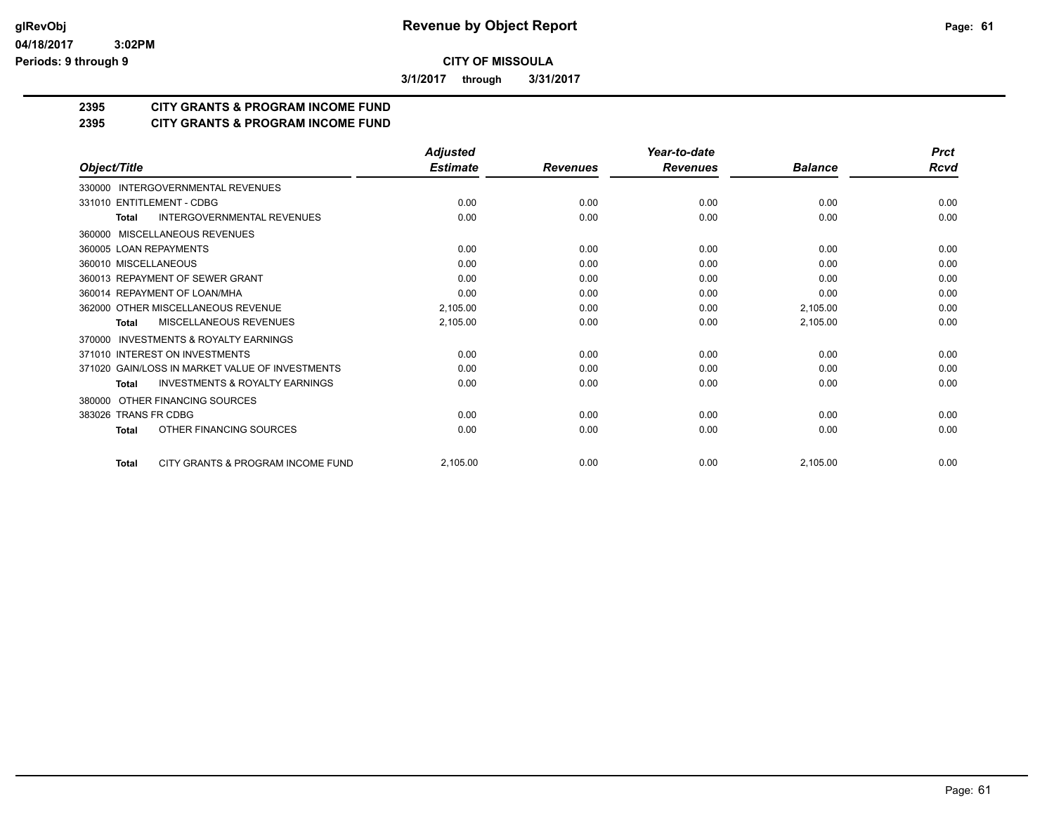**3/1/2017 through 3/31/2017**

# **2395 CITY GRANTS & PROGRAM INCOME FUND 2395 CITY GRANTS & PROGRAM INCOME FUND**

|                                                           | <b>Adjusted</b> |                 | Year-to-date    |                | <b>Prct</b> |
|-----------------------------------------------------------|-----------------|-----------------|-----------------|----------------|-------------|
| Object/Title                                              | <b>Estimate</b> | <b>Revenues</b> | <b>Revenues</b> | <b>Balance</b> | <b>Rcvd</b> |
| <b>INTERGOVERNMENTAL REVENUES</b><br>330000               |                 |                 |                 |                |             |
| 331010 ENTITLEMENT - CDBG                                 | 0.00            | 0.00            | 0.00            | 0.00           | 0.00        |
| <b>INTERGOVERNMENTAL REVENUES</b><br><b>Total</b>         | 0.00            | 0.00            | 0.00            | 0.00           | 0.00        |
| MISCELLANEOUS REVENUES<br>360000                          |                 |                 |                 |                |             |
| 360005 LOAN REPAYMENTS                                    | 0.00            | 0.00            | 0.00            | 0.00           | 0.00        |
| 360010 MISCELLANEOUS                                      | 0.00            | 0.00            | 0.00            | 0.00           | 0.00        |
| 360013 REPAYMENT OF SEWER GRANT                           | 0.00            | 0.00            | 0.00            | 0.00           | 0.00        |
| 360014 REPAYMENT OF LOAN/MHA                              | 0.00            | 0.00            | 0.00            | 0.00           | 0.00        |
| 362000 OTHER MISCELLANEOUS REVENUE                        | 2,105.00        | 0.00            | 0.00            | 2,105.00       | 0.00        |
| MISCELLANEOUS REVENUES<br><b>Total</b>                    | 2,105.00        | 0.00            | 0.00            | 2,105.00       | 0.00        |
| <b>INVESTMENTS &amp; ROYALTY EARNINGS</b><br>370000       |                 |                 |                 |                |             |
| 371010 INTEREST ON INVESTMENTS                            | 0.00            | 0.00            | 0.00            | 0.00           | 0.00        |
| 371020 GAIN/LOSS IN MARKET VALUE OF INVESTMENTS           | 0.00            | 0.00            | 0.00            | 0.00           | 0.00        |
| <b>INVESTMENTS &amp; ROYALTY EARNINGS</b><br><b>Total</b> | 0.00            | 0.00            | 0.00            | 0.00           | 0.00        |
| OTHER FINANCING SOURCES<br>380000                         |                 |                 |                 |                |             |
| 383026 TRANS FR CDBG                                      | 0.00            | 0.00            | 0.00            | 0.00           | 0.00        |
| OTHER FINANCING SOURCES<br><b>Total</b>                   | 0.00            | 0.00            | 0.00            | 0.00           | 0.00        |
| CITY GRANTS & PROGRAM INCOME FUND<br>Total                | 2,105.00        | 0.00            | 0.00            | 2,105.00       | 0.00        |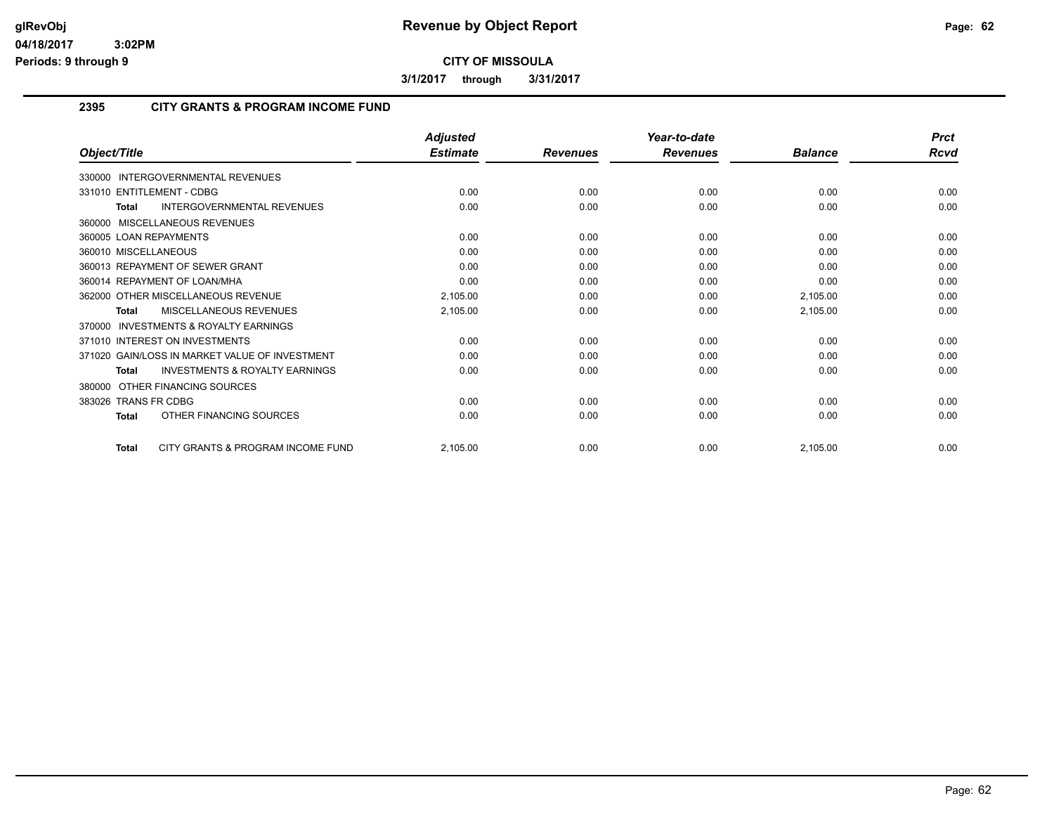**3/1/2017 through 3/31/2017**

#### **2395 CITY GRANTS & PROGRAM INCOME FUND**

|                                                           | <b>Adjusted</b> |                 | Year-to-date    |                | <b>Prct</b> |
|-----------------------------------------------------------|-----------------|-----------------|-----------------|----------------|-------------|
| Object/Title                                              | <b>Estimate</b> | <b>Revenues</b> | <b>Revenues</b> | <b>Balance</b> | Rcvd        |
| INTERGOVERNMENTAL REVENUES<br>330000                      |                 |                 |                 |                |             |
| 331010 ENTITLEMENT - CDBG                                 | 0.00            | 0.00            | 0.00            | 0.00           | 0.00        |
| INTERGOVERNMENTAL REVENUES<br><b>Total</b>                | 0.00            | 0.00            | 0.00            | 0.00           | 0.00        |
| 360000 MISCELLANEOUS REVENUES                             |                 |                 |                 |                |             |
| 360005 LOAN REPAYMENTS                                    | 0.00            | 0.00            | 0.00            | 0.00           | 0.00        |
| 360010 MISCELLANEOUS                                      | 0.00            | 0.00            | 0.00            | 0.00           | 0.00        |
| 360013 REPAYMENT OF SEWER GRANT                           | 0.00            | 0.00            | 0.00            | 0.00           | 0.00        |
| 360014 REPAYMENT OF LOAN/MHA                              | 0.00            | 0.00            | 0.00            | 0.00           | 0.00        |
| 362000 OTHER MISCELLANEOUS REVENUE                        | 2,105.00        | 0.00            | 0.00            | 2,105.00       | 0.00        |
| MISCELLANEOUS REVENUES<br><b>Total</b>                    | 2,105.00        | 0.00            | 0.00            | 2,105.00       | 0.00        |
| <b>INVESTMENTS &amp; ROYALTY EARNINGS</b><br>370000       |                 |                 |                 |                |             |
| 371010 INTEREST ON INVESTMENTS                            | 0.00            | 0.00            | 0.00            | 0.00           | 0.00        |
| 371020 GAIN/LOSS IN MARKET VALUE OF INVESTMENT            | 0.00            | 0.00            | 0.00            | 0.00           | 0.00        |
| <b>INVESTMENTS &amp; ROYALTY EARNINGS</b><br><b>Total</b> | 0.00            | 0.00            | 0.00            | 0.00           | 0.00        |
| OTHER FINANCING SOURCES<br>380000                         |                 |                 |                 |                |             |
| 383026 TRANS FR CDBG                                      | 0.00            | 0.00            | 0.00            | 0.00           | 0.00        |
| OTHER FINANCING SOURCES<br><b>Total</b>                   | 0.00            | 0.00            | 0.00            | 0.00           | 0.00        |
| CITY GRANTS & PROGRAM INCOME FUND<br>Total                | 2,105.00        | 0.00            | 0.00            | 2,105.00       | 0.00        |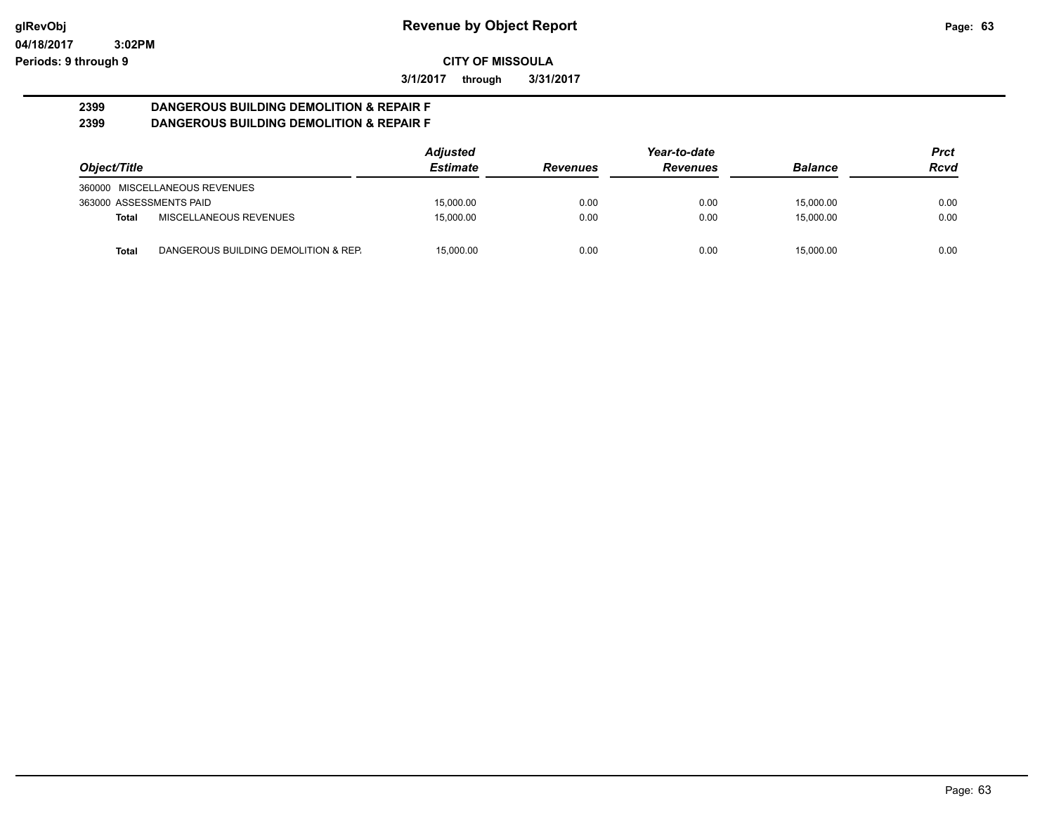**3/1/2017 through 3/31/2017**

# **2399 DANGEROUS BUILDING DEMOLITION & REPAIR F 2399 DANGEROUS BUILDING DEMOLITION & REPAIR F**

|                         |                                      | <b>Adjusted</b> |                 |                 | <b>Prct</b>    |             |
|-------------------------|--------------------------------------|-----------------|-----------------|-----------------|----------------|-------------|
| Object/Title            |                                      | <b>Estimate</b> | <b>Revenues</b> | <b>Revenues</b> | <b>Balance</b> | <b>Rcvd</b> |
|                         | 360000 MISCELLANEOUS REVENUES        |                 |                 |                 |                |             |
| 363000 ASSESSMENTS PAID |                                      | 15.000.00       | 0.00            | 0.00            | 15,000.00      | 0.00        |
| Total                   | MISCELLANEOUS REVENUES               | 15.000.00       | 0.00            | 0.00            | 15,000.00      | 0.00        |
| Total                   | DANGEROUS BUILDING DEMOLITION & REP. | 15.000.00       | 0.00            | 0.00            | 15.000.00      | 0.00        |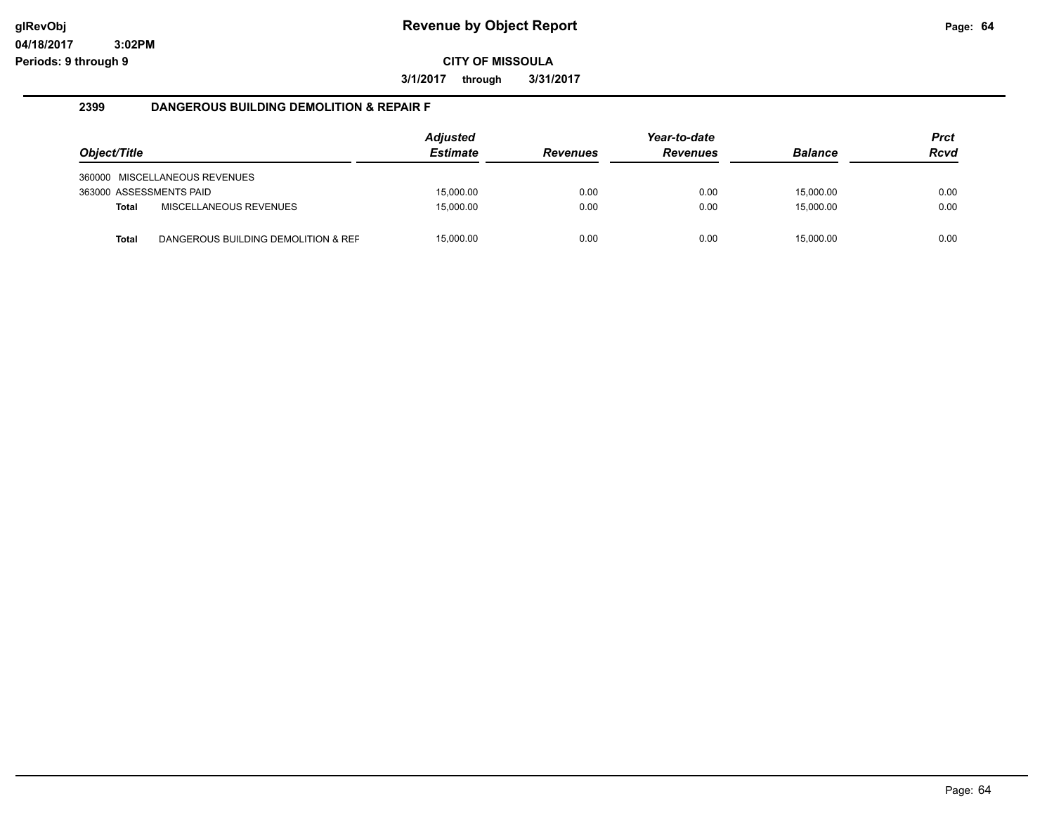**3/1/2017 through 3/31/2017**

#### **2399 DANGEROUS BUILDING DEMOLITION & REPAIR F**

|                         |                                     | <b>Adjusted</b> |                 | Year-to-date    |                | <b>Prct</b> |
|-------------------------|-------------------------------------|-----------------|-----------------|-----------------|----------------|-------------|
| Object/Title            |                                     | <b>Estimate</b> | <b>Revenues</b> | <b>Revenues</b> | <b>Balance</b> | <b>Rcvd</b> |
|                         | 360000 MISCELLANEOUS REVENUES       |                 |                 |                 |                |             |
| 363000 ASSESSMENTS PAID |                                     | 15.000.00       | 0.00            | 0.00            | 15,000.00      | 0.00        |
| <b>Total</b>            | MISCELLANEOUS REVENUES              | 15,000.00       | 0.00            | 0.00            | 15,000.00      | 0.00        |
| Total                   | DANGEROUS BUILDING DEMOLITION & REF | 15.000.00       | 0.00            | 0.00            | 15,000.00      | 0.00        |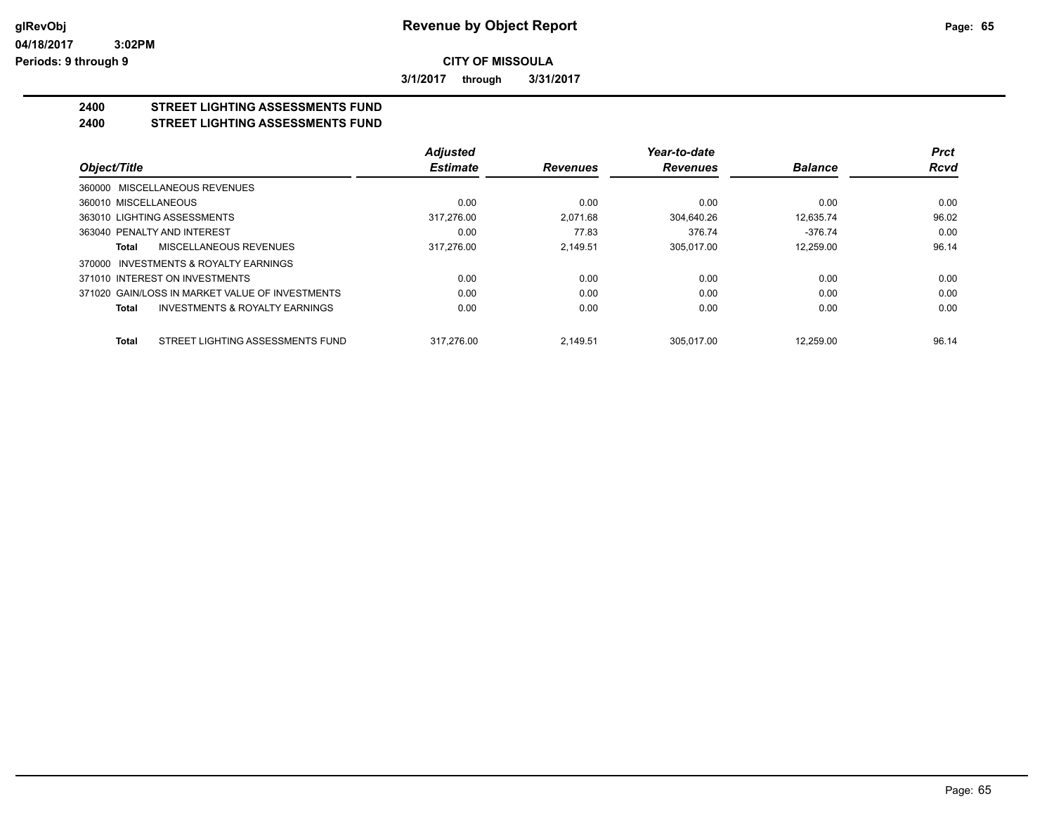**3/1/2017 through 3/31/2017**

# **2400 STREET LIGHTING ASSESSMENTS FUND 2400 STREET LIGHTING ASSESSMENTS FUND**

|                                                    | <b>Adjusted</b> |                 | Year-to-date    |                | <b>Prct</b> |
|----------------------------------------------------|-----------------|-----------------|-----------------|----------------|-------------|
| Object/Title                                       | <b>Estimate</b> | <b>Revenues</b> | <b>Revenues</b> | <b>Balance</b> | <b>Rcvd</b> |
| 360000 MISCELLANEOUS REVENUES                      |                 |                 |                 |                |             |
| 360010 MISCELLANEOUS                               | 0.00            | 0.00            | 0.00            | 0.00           | 0.00        |
| 363010 LIGHTING ASSESSMENTS                        | 317,276.00      | 2.071.68        | 304,640.26      | 12,635.74      | 96.02       |
| 363040 PENALTY AND INTEREST                        | 0.00            | 77.83           | 376.74          | $-376.74$      | 0.00        |
| MISCELLANEOUS REVENUES<br>Total                    | 317.276.00      | 2.149.51        | 305.017.00      | 12.259.00      | 96.14       |
| 370000 INVESTMENTS & ROYALTY EARNINGS              |                 |                 |                 |                |             |
| 371010 INTEREST ON INVESTMENTS                     | 0.00            | 0.00            | 0.00            | 0.00           | 0.00        |
| 371020 GAIN/LOSS IN MARKET VALUE OF INVESTMENTS    | 0.00            | 0.00            | 0.00            | 0.00           | 0.00        |
| <b>INVESTMENTS &amp; ROYALTY EARNINGS</b><br>Total | 0.00            | 0.00            | 0.00            | 0.00           | 0.00        |
|                                                    |                 |                 |                 |                |             |
| <b>Total</b><br>STREET LIGHTING ASSESSMENTS FUND   | 317.276.00      | 2.149.51        | 305.017.00      | 12.259.00      | 96.14       |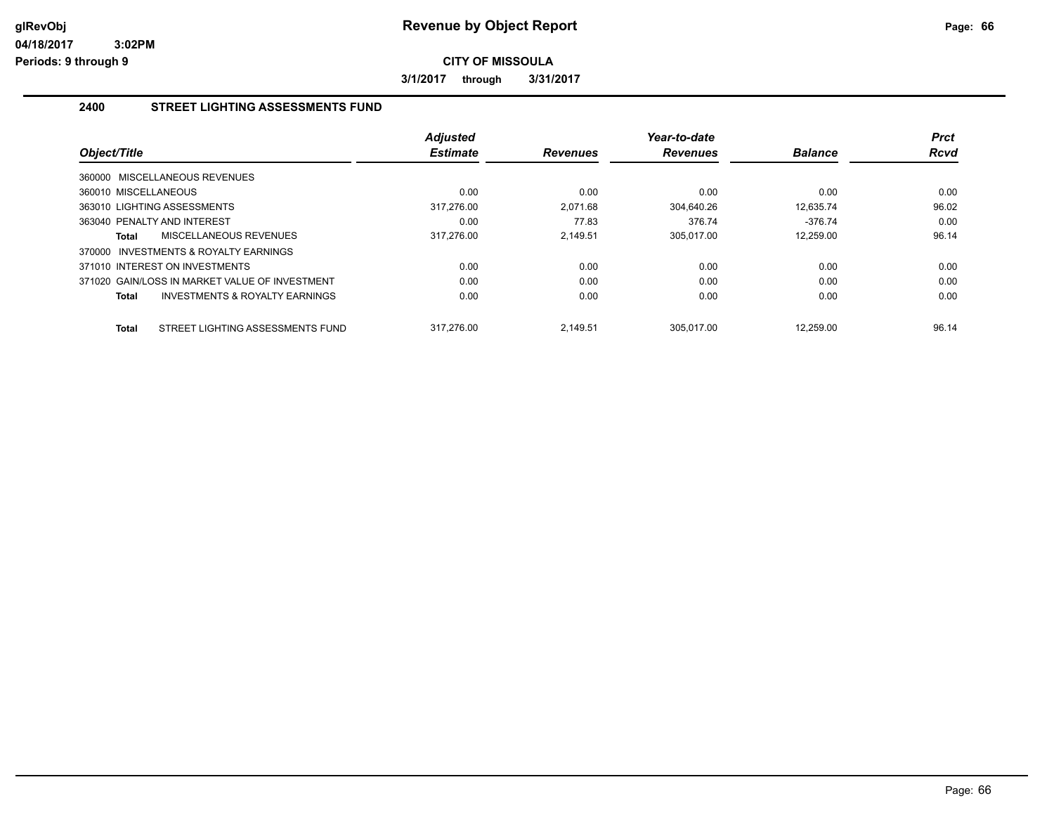**3/1/2017 through 3/31/2017**

# **2400 STREET LIGHTING ASSESSMENTS FUND**

| Object/Title                                       | <b>Adjusted</b><br><b>Estimate</b> | Revenues | Year-to-date<br><b>Revenues</b> | <b>Balance</b> | <b>Prct</b><br><b>Rcvd</b> |
|----------------------------------------------------|------------------------------------|----------|---------------------------------|----------------|----------------------------|
| 360000 MISCELLANEOUS REVENUES                      |                                    |          |                                 |                |                            |
| 360010 MISCELLANEOUS                               | 0.00                               | 0.00     | 0.00                            | 0.00           | 0.00                       |
| 363010 LIGHTING ASSESSMENTS                        | 317.276.00                         | 2.071.68 | 304.640.26                      | 12.635.74      | 96.02                      |
| 363040 PENALTY AND INTEREST                        | 0.00                               | 77.83    | 376.74                          | $-376.74$      | 0.00                       |
| MISCELLANEOUS REVENUES<br>Total                    | 317,276.00                         | 2.149.51 | 305,017.00                      | 12,259.00      | 96.14                      |
| INVESTMENTS & ROYALTY EARNINGS<br>370000           |                                    |          |                                 |                |                            |
| 371010 INTEREST ON INVESTMENTS                     | 0.00                               | 0.00     | 0.00                            | 0.00           | 0.00                       |
| 371020 GAIN/LOSS IN MARKET VALUE OF INVESTMENT     | 0.00                               | 0.00     | 0.00                            | 0.00           | 0.00                       |
| <b>INVESTMENTS &amp; ROYALTY EARNINGS</b><br>Total | 0.00                               | 0.00     | 0.00                            | 0.00           | 0.00                       |
|                                                    |                                    |          |                                 |                |                            |
| STREET LIGHTING ASSESSMENTS FUND<br><b>Total</b>   | 317.276.00                         | 2.149.51 | 305.017.00                      | 12.259.00      | 96.14                      |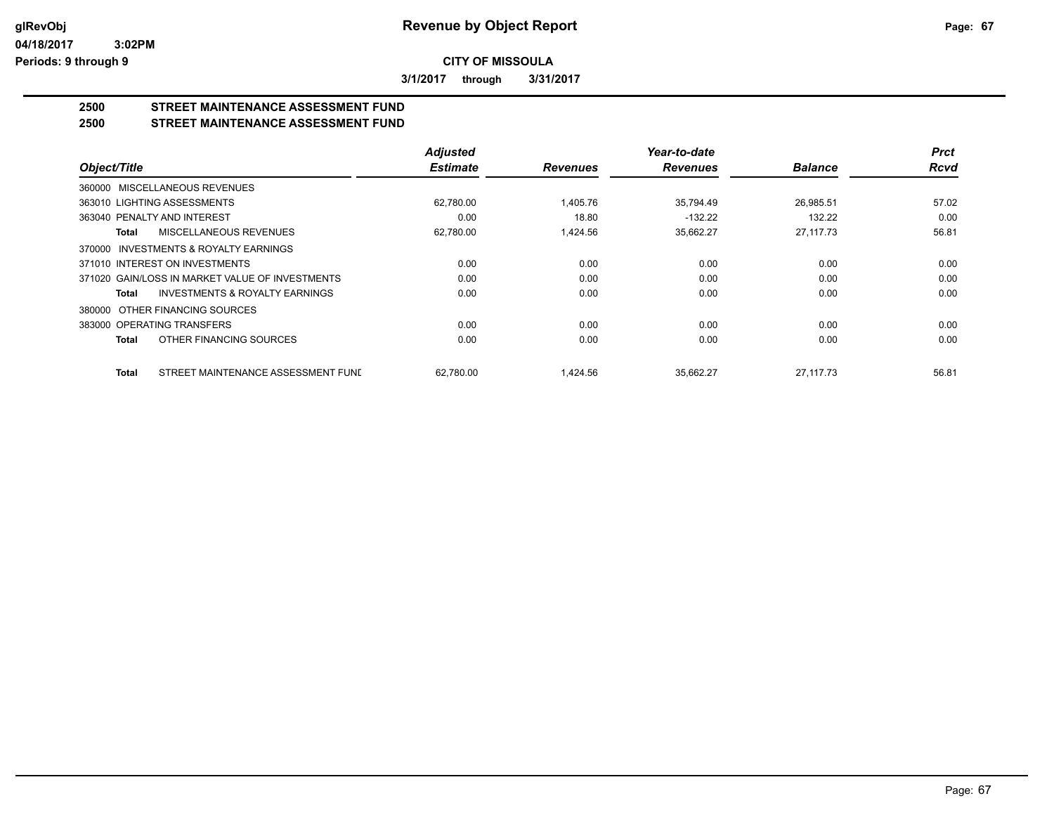**3/1/2017 through 3/31/2017**

# **2500 STREET MAINTENANCE ASSESSMENT FUND 2500 STREET MAINTENANCE ASSESSMENT FUND**

|                                                    | <b>Adjusted</b> |                 | Year-to-date    |                | <b>Prct</b> |
|----------------------------------------------------|-----------------|-----------------|-----------------|----------------|-------------|
| Object/Title                                       | <b>Estimate</b> | <b>Revenues</b> | <b>Revenues</b> | <b>Balance</b> | Rcvd        |
| 360000 MISCELLANEOUS REVENUES                      |                 |                 |                 |                |             |
| 363010 LIGHTING ASSESSMENTS                        | 62,780.00       | 1,405.76        | 35,794.49       | 26,985.51      | 57.02       |
| 363040 PENALTY AND INTEREST                        | 0.00            | 18.80           | $-132.22$       | 132.22         | 0.00        |
| <b>MISCELLANEOUS REVENUES</b><br>Total             | 62,780.00       | 1,424.56        | 35,662.27       | 27, 117. 73    | 56.81       |
| INVESTMENTS & ROYALTY EARNINGS<br>370000           |                 |                 |                 |                |             |
| 371010 INTEREST ON INVESTMENTS                     | 0.00            | 0.00            | 0.00            | 0.00           | 0.00        |
| 371020 GAIN/LOSS IN MARKET VALUE OF INVESTMENTS    | 0.00            | 0.00            | 0.00            | 0.00           | 0.00        |
| <b>INVESTMENTS &amp; ROYALTY EARNINGS</b><br>Total | 0.00            | 0.00            | 0.00            | 0.00           | 0.00        |
| OTHER FINANCING SOURCES<br>380000                  |                 |                 |                 |                |             |
| 383000 OPERATING TRANSFERS                         | 0.00            | 0.00            | 0.00            | 0.00           | 0.00        |
| OTHER FINANCING SOURCES<br><b>Total</b>            | 0.00            | 0.00            | 0.00            | 0.00           | 0.00        |
| STREET MAINTENANCE ASSESSMENT FUND<br><b>Total</b> | 62.780.00       | 1.424.56        | 35.662.27       | 27.117.73      | 56.81       |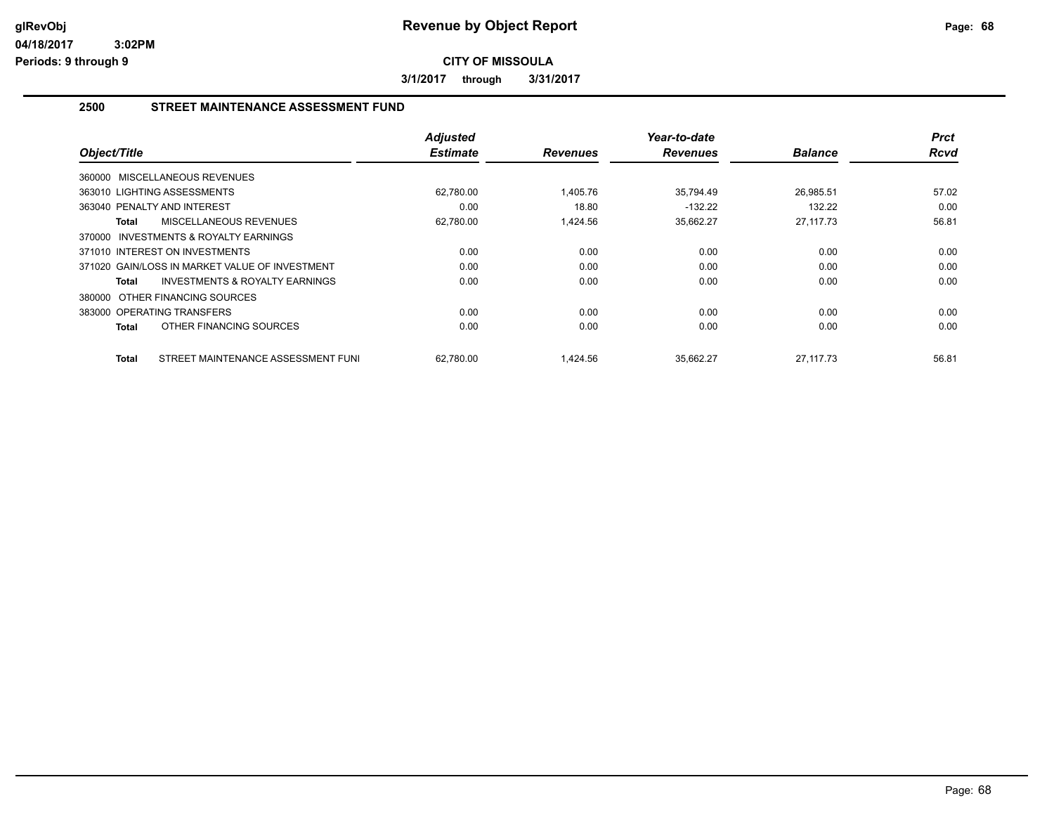**3/1/2017 through 3/31/2017**

#### **2500 STREET MAINTENANCE ASSESSMENT FUND**

| Object/Title                                        | <b>Adjusted</b><br><b>Estimate</b> | <b>Revenues</b> | Year-to-date<br><b>Revenues</b> | <b>Balance</b> | <b>Prct</b><br><b>Rcvd</b> |
|-----------------------------------------------------|------------------------------------|-----------------|---------------------------------|----------------|----------------------------|
|                                                     |                                    |                 |                                 |                |                            |
| 360000 MISCELLANEOUS REVENUES                       |                                    |                 |                                 |                |                            |
| 363010 LIGHTING ASSESSMENTS                         | 62,780.00                          | 1,405.76        | 35,794.49                       | 26,985.51      | 57.02                      |
| 363040 PENALTY AND INTEREST                         | 0.00                               | 18.80           | $-132.22$                       | 132.22         | 0.00                       |
| MISCELLANEOUS REVENUES<br>Total                     | 62,780.00                          | 1,424.56        | 35,662.27                       | 27,117.73      | 56.81                      |
| <b>INVESTMENTS &amp; ROYALTY EARNINGS</b><br>370000 |                                    |                 |                                 |                |                            |
| 371010 INTEREST ON INVESTMENTS                      | 0.00                               | 0.00            | 0.00                            | 0.00           | 0.00                       |
| 371020 GAIN/LOSS IN MARKET VALUE OF INVESTMENT      | 0.00                               | 0.00            | 0.00                            | 0.00           | 0.00                       |
| <b>INVESTMENTS &amp; ROYALTY EARNINGS</b><br>Total  | 0.00                               | 0.00            | 0.00                            | 0.00           | 0.00                       |
| 380000 OTHER FINANCING SOURCES                      |                                    |                 |                                 |                |                            |
| 383000 OPERATING TRANSFERS                          | 0.00                               | 0.00            | 0.00                            | 0.00           | 0.00                       |
| OTHER FINANCING SOURCES<br>Total                    | 0.00                               | 0.00            | 0.00                            | 0.00           | 0.00                       |
| STREET MAINTENANCE ASSESSMENT FUNI<br><b>Total</b>  | 62,780.00                          | 1,424.56        | 35,662.27                       | 27.117.73      | 56.81                      |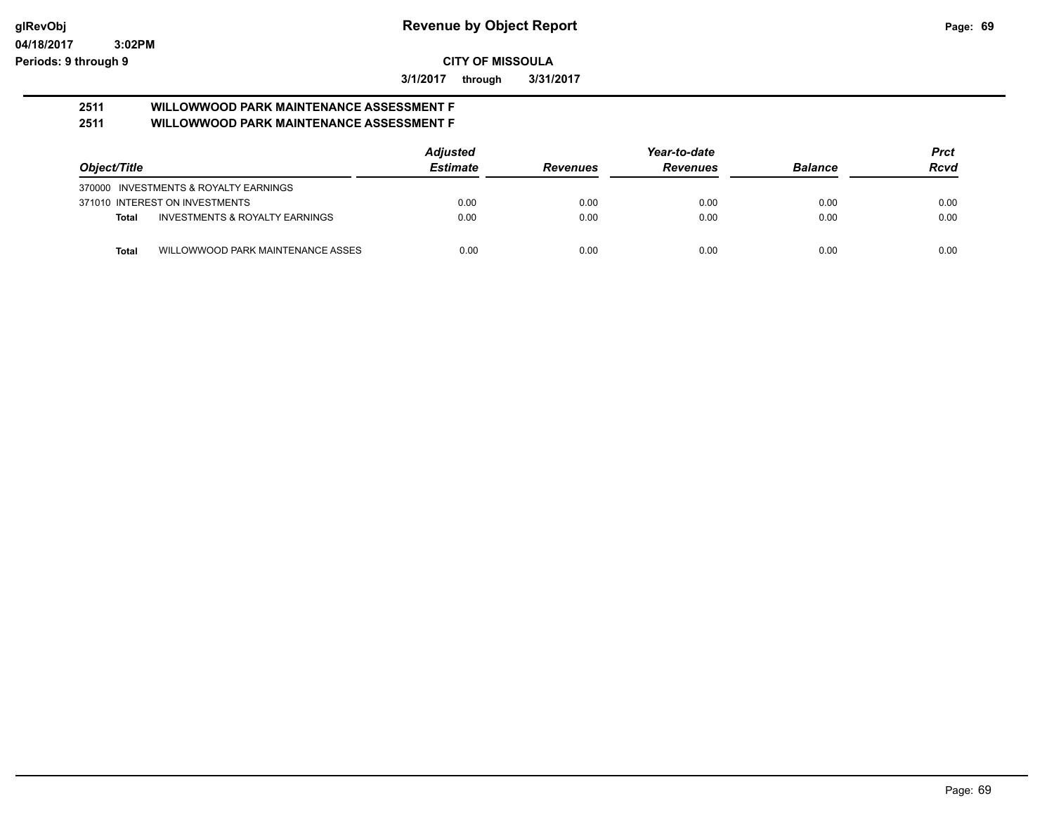**3/1/2017 through 3/31/2017**

# **2511 WILLOWWOOD PARK MAINTENANCE ASSESSMENT F 2511 WILLOWWOOD PARK MAINTENANCE ASSESSMENT F**

|              |                                           | <b>Adjusted</b> |                 | Year-to-date    |                | Prct        |
|--------------|-------------------------------------------|-----------------|-----------------|-----------------|----------------|-------------|
| Object/Title |                                           | <b>Estimate</b> | <b>Revenues</b> | <b>Revenues</b> | <b>Balance</b> | <b>Rcvd</b> |
|              | 370000 INVESTMENTS & ROYALTY EARNINGS     |                 |                 |                 |                |             |
|              | 371010 INTEREST ON INVESTMENTS            | 0.00            | 0.00            | 0.00            | 0.00           | 0.00        |
| Total        | <b>INVESTMENTS &amp; ROYALTY EARNINGS</b> | 0.00            | 0.00            | 0.00            | 0.00           | 0.00        |
| Total        | WILLOWWOOD PARK MAINTENANCE ASSES         | 0.00            | 0.00            | 0.00            | 0.00           | 0.00        |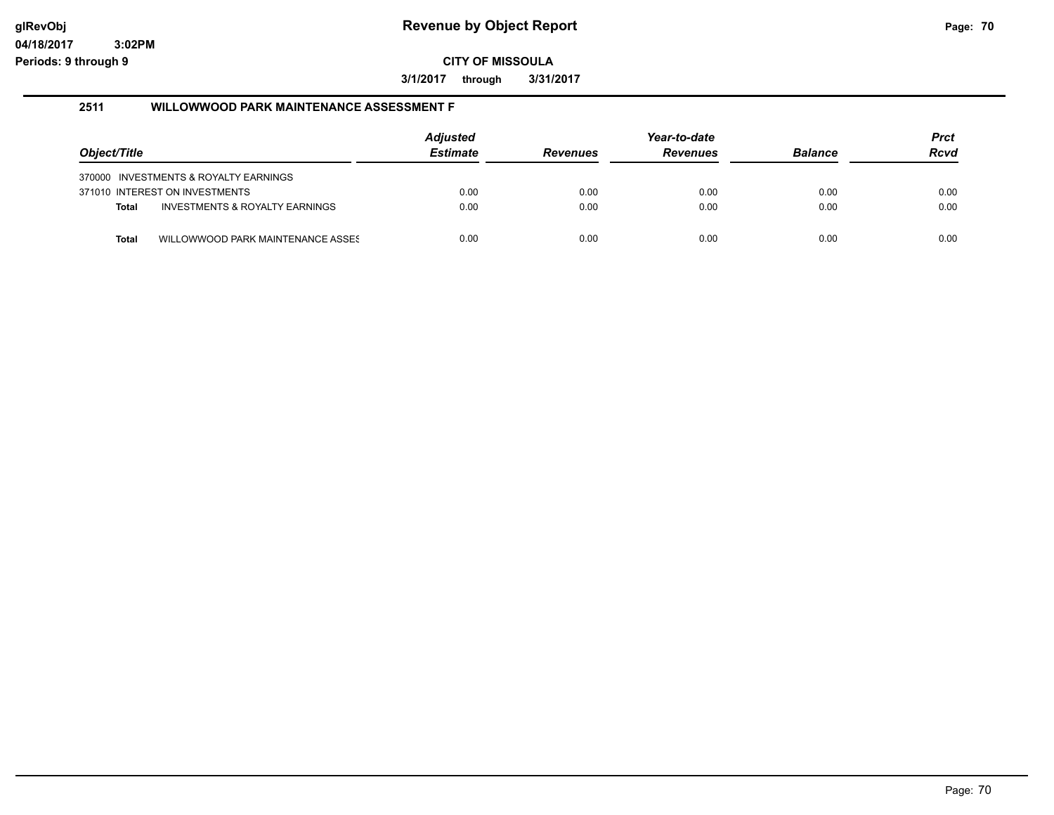**3/1/2017 through 3/31/2017**

#### **2511 WILLOWWOOD PARK MAINTENANCE ASSESSMENT F**

|              |                                       | <b>Adjusted</b> |                 | Year-to-date    |                | <b>Prct</b> |
|--------------|---------------------------------------|-----------------|-----------------|-----------------|----------------|-------------|
| Object/Title |                                       | <b>Estimate</b> | <b>Revenues</b> | <b>Revenues</b> | <b>Balance</b> | Rcvd        |
|              | 370000 INVESTMENTS & ROYALTY EARNINGS |                 |                 |                 |                |             |
|              | 371010 INTEREST ON INVESTMENTS        | 0.00            | 0.00            | 0.00            | 0.00           | 0.00        |
| <b>Total</b> | INVESTMENTS & ROYALTY EARNINGS        | 0.00            | 0.00            | 0.00            | 0.00           | 0.00        |
| Total        | WILLOWWOOD PARK MAINTENANCE ASSES     | 0.00            | 0.00            | 0.00            | 0.00           | 0.00        |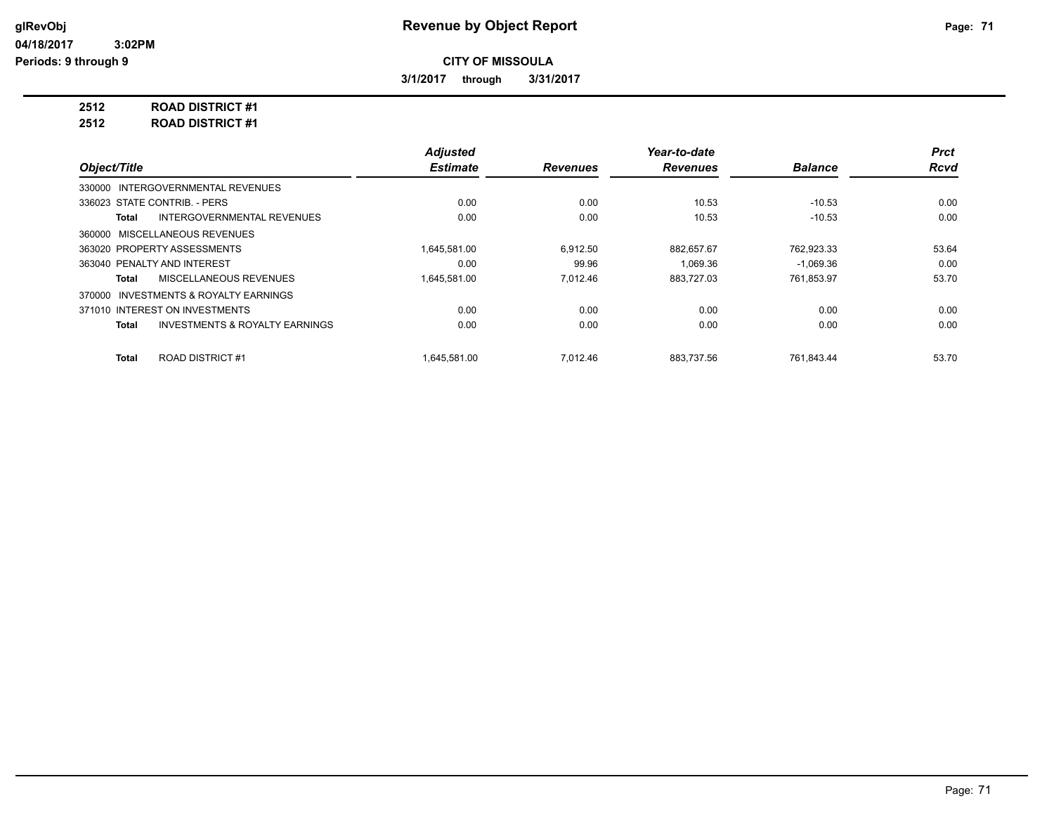**3/1/2017 through 3/31/2017**

**2512 ROAD DISTRICT #1 2512 ROAD DISTRICT #1**

|                                                    | <b>Adjusted</b> |                 | Year-to-date    |                | <b>Prct</b> |
|----------------------------------------------------|-----------------|-----------------|-----------------|----------------|-------------|
| Object/Title                                       | <b>Estimate</b> | <b>Revenues</b> | <b>Revenues</b> | <b>Balance</b> | Rcvd        |
| 330000 INTERGOVERNMENTAL REVENUES                  |                 |                 |                 |                |             |
| 336023 STATE CONTRIB. - PERS                       | 0.00            | 0.00            | 10.53           | $-10.53$       | 0.00        |
| <b>INTERGOVERNMENTAL REVENUES</b><br>Total         | 0.00            | 0.00            | 10.53           | $-10.53$       | 0.00        |
| 360000 MISCELLANEOUS REVENUES                      |                 |                 |                 |                |             |
| 363020 PROPERTY ASSESSMENTS                        | 1.645.581.00    | 6.912.50        | 882.657.67      | 762.923.33     | 53.64       |
| 363040 PENALTY AND INTEREST                        | 0.00            | 99.96           | 1.069.36        | $-1,069.36$    | 0.00        |
| MISCELLANEOUS REVENUES<br>Total                    | 1,645,581.00    | 7.012.46        | 883,727.03      | 761,853.97     | 53.70       |
| 370000 INVESTMENTS & ROYALTY EARNINGS              |                 |                 |                 |                |             |
| 371010 INTEREST ON INVESTMENTS                     | 0.00            | 0.00            | 0.00            | 0.00           | 0.00        |
| <b>INVESTMENTS &amp; ROYALTY EARNINGS</b><br>Total | 0.00            | 0.00            | 0.00            | 0.00           | 0.00        |
| <b>ROAD DISTRICT #1</b><br>Total                   | 1.645.581.00    | 7.012.46        | 883.737.56      | 761.843.44     | 53.70       |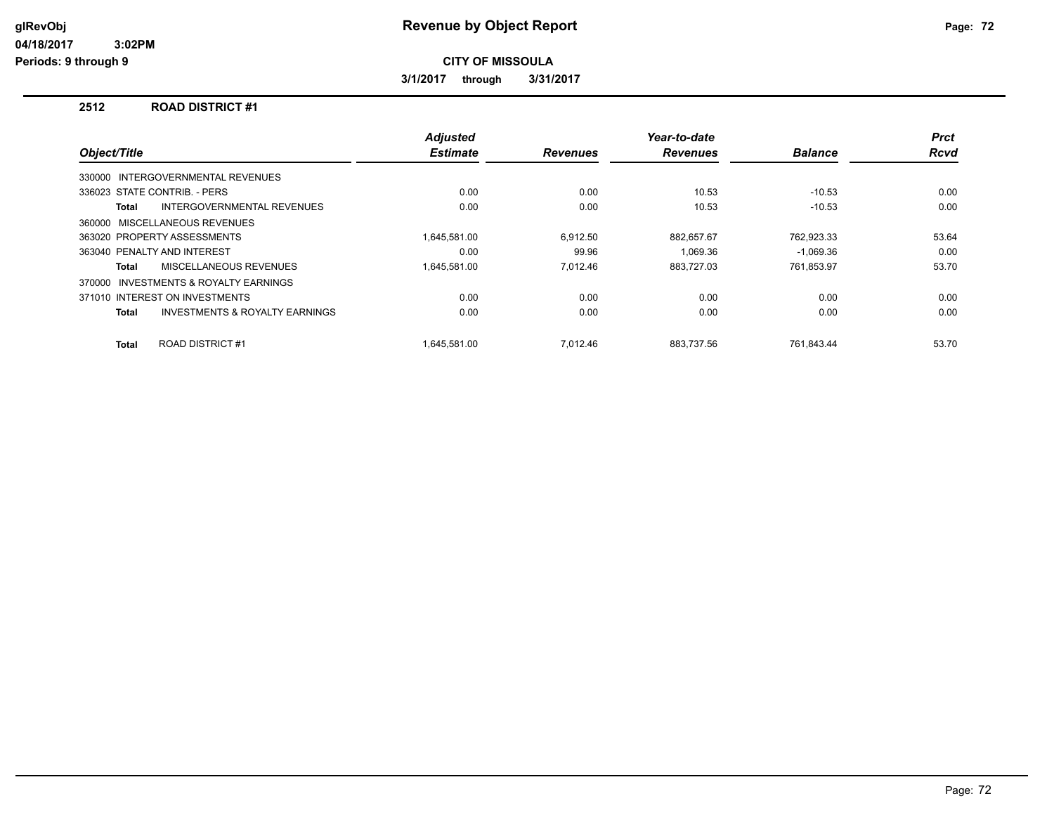**3/1/2017 through 3/31/2017**

#### **2512 ROAD DISTRICT #1**

|                                                    | <b>Adjusted</b> |                 | Year-to-date    |                | <b>Prct</b> |
|----------------------------------------------------|-----------------|-----------------|-----------------|----------------|-------------|
| Object/Title                                       | <b>Estimate</b> | <b>Revenues</b> | <b>Revenues</b> | <b>Balance</b> | <b>Rcvd</b> |
| 330000 INTERGOVERNMENTAL REVENUES                  |                 |                 |                 |                |             |
| 336023 STATE CONTRIB. - PERS                       | 0.00            | 0.00            | 10.53           | $-10.53$       | 0.00        |
| INTERGOVERNMENTAL REVENUES<br>Total                | 0.00            | 0.00            | 10.53           | $-10.53$       | 0.00        |
| 360000 MISCELLANEOUS REVENUES                      |                 |                 |                 |                |             |
| 363020 PROPERTY ASSESSMENTS                        | 1.645.581.00    | 6.912.50        | 882,657.67      | 762,923.33     | 53.64       |
| 363040 PENALTY AND INTEREST                        | 0.00            | 99.96           | 1.069.36        | $-1.069.36$    | 0.00        |
| MISCELLANEOUS REVENUES<br>Total                    | 1,645,581.00    | 7.012.46        | 883,727.03      | 761,853.97     | 53.70       |
| 370000 INVESTMENTS & ROYALTY EARNINGS              |                 |                 |                 |                |             |
| 371010 INTEREST ON INVESTMENTS                     | 0.00            | 0.00            | 0.00            | 0.00           | 0.00        |
| <b>INVESTMENTS &amp; ROYALTY EARNINGS</b><br>Total | 0.00            | 0.00            | 0.00            | 0.00           | 0.00        |
| <b>ROAD DISTRICT#1</b><br><b>Total</b>             | 1.645.581.00    | 7.012.46        | 883.737.56      | 761,843.44     | 53.70       |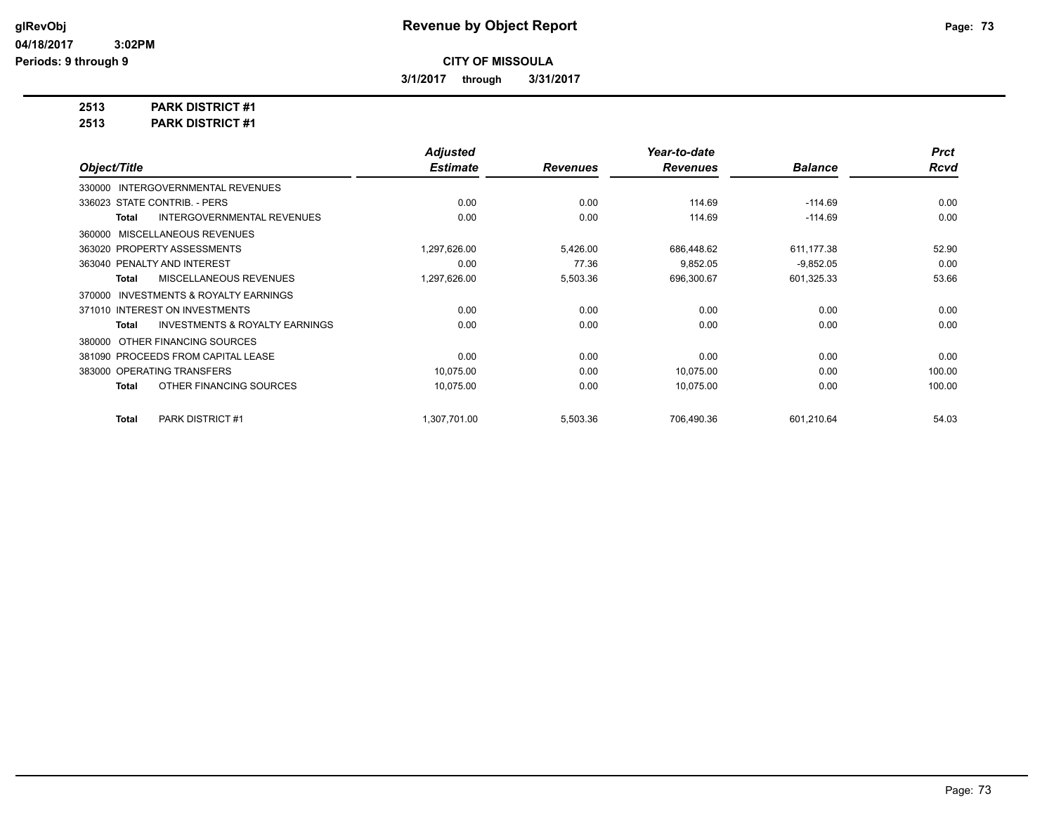**3/1/2017 through 3/31/2017**

**2513 PARK DISTRICT #1 2513 PARK DISTRICT #1**

|                                                     | <b>Adjusted</b> |                 | Year-to-date    |                | <b>Prct</b> |
|-----------------------------------------------------|-----------------|-----------------|-----------------|----------------|-------------|
| Object/Title                                        | <b>Estimate</b> | <b>Revenues</b> | <b>Revenues</b> | <b>Balance</b> | <b>Rcvd</b> |
| 330000 INTERGOVERNMENTAL REVENUES                   |                 |                 |                 |                |             |
| 336023 STATE CONTRIB. - PERS                        | 0.00            | 0.00            | 114.69          | $-114.69$      | 0.00        |
| INTERGOVERNMENTAL REVENUES<br>Total                 | 0.00            | 0.00            | 114.69          | $-114.69$      | 0.00        |
| 360000 MISCELLANEOUS REVENUES                       |                 |                 |                 |                |             |
| 363020 PROPERTY ASSESSMENTS                         | 1.297.626.00    | 5,426.00        | 686,448.62      | 611,177.38     | 52.90       |
| 363040 PENALTY AND INTEREST                         | 0.00            | 77.36           | 9,852.05        | $-9,852.05$    | 0.00        |
| MISCELLANEOUS REVENUES<br>Total                     | 1,297,626.00    | 5,503.36        | 696,300.67      | 601,325.33     | 53.66       |
| <b>INVESTMENTS &amp; ROYALTY EARNINGS</b><br>370000 |                 |                 |                 |                |             |
| 371010 INTEREST ON INVESTMENTS                      | 0.00            | 0.00            | 0.00            | 0.00           | 0.00        |
| <b>INVESTMENTS &amp; ROYALTY EARNINGS</b><br>Total  | 0.00            | 0.00            | 0.00            | 0.00           | 0.00        |
| OTHER FINANCING SOURCES<br>380000                   |                 |                 |                 |                |             |
| 381090 PROCEEDS FROM CAPITAL LEASE                  | 0.00            | 0.00            | 0.00            | 0.00           | 0.00        |
| 383000 OPERATING TRANSFERS                          | 10,075.00       | 0.00            | 10,075.00       | 0.00           | 100.00      |
| OTHER FINANCING SOURCES<br>Total                    | 10,075.00       | 0.00            | 10,075.00       | 0.00           | 100.00      |
| <b>PARK DISTRICT#1</b><br><b>Total</b>              | 1,307,701.00    | 5,503.36        | 706,490.36      | 601,210.64     | 54.03       |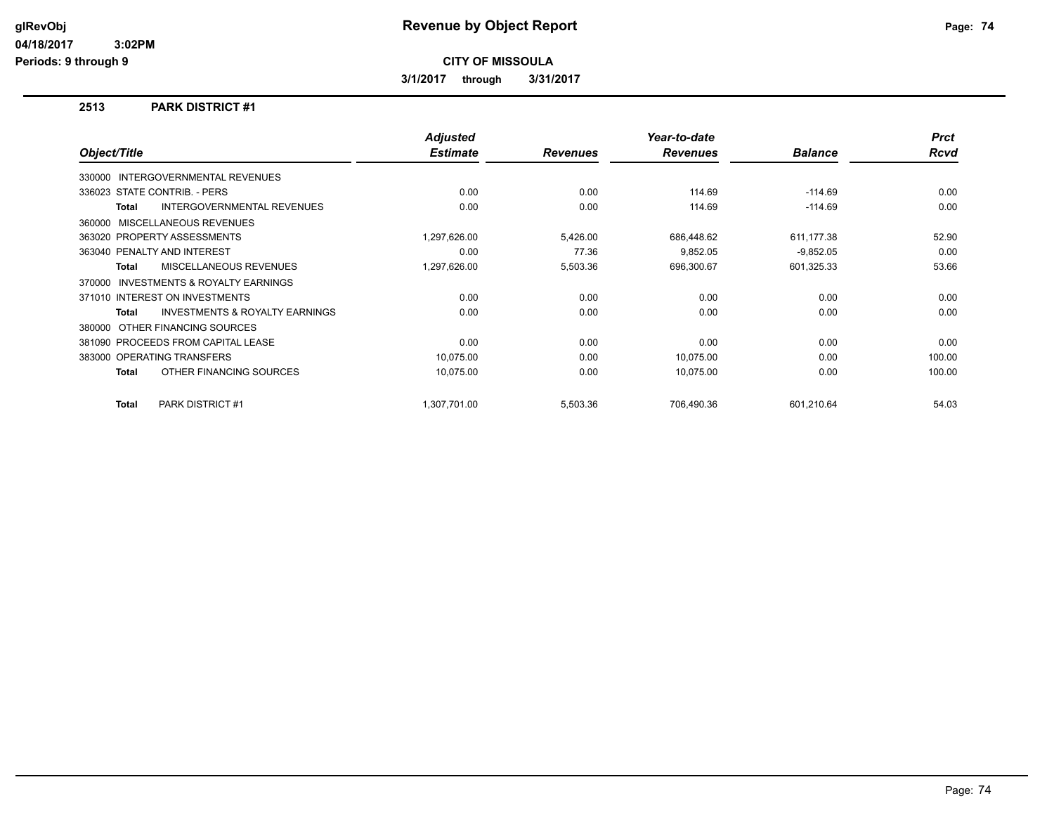**3/1/2017 through 3/31/2017**

#### **2513 PARK DISTRICT #1**

|                                                     | <b>Adjusted</b> |                 | Year-to-date    |                | <b>Prct</b> |
|-----------------------------------------------------|-----------------|-----------------|-----------------|----------------|-------------|
| Object/Title                                        | <b>Estimate</b> | <b>Revenues</b> | <b>Revenues</b> | <b>Balance</b> | <b>Rcvd</b> |
| 330000 INTERGOVERNMENTAL REVENUES                   |                 |                 |                 |                |             |
| 336023 STATE CONTRIB. - PERS                        | 0.00            | 0.00            | 114.69          | $-114.69$      | 0.00        |
| <b>INTERGOVERNMENTAL REVENUES</b><br><b>Total</b>   | 0.00            | 0.00            | 114.69          | $-114.69$      | 0.00        |
| MISCELLANEOUS REVENUES<br>360000                    |                 |                 |                 |                |             |
| 363020 PROPERTY ASSESSMENTS                         | 1,297,626.00    | 5,426.00        | 686,448.62      | 611, 177.38    | 52.90       |
| 363040 PENALTY AND INTEREST                         | 0.00            | 77.36           | 9,852.05        | $-9,852.05$    | 0.00        |
| <b>MISCELLANEOUS REVENUES</b><br><b>Total</b>       | 1,297,626.00    | 5,503.36        | 696,300.67      | 601,325.33     | 53.66       |
| <b>INVESTMENTS &amp; ROYALTY EARNINGS</b><br>370000 |                 |                 |                 |                |             |
| 371010 INTEREST ON INVESTMENTS                      | 0.00            | 0.00            | 0.00            | 0.00           | 0.00        |
| <b>INVESTMENTS &amp; ROYALTY EARNINGS</b><br>Total  | 0.00            | 0.00            | 0.00            | 0.00           | 0.00        |
| OTHER FINANCING SOURCES<br>380000                   |                 |                 |                 |                |             |
| 381090 PROCEEDS FROM CAPITAL LEASE                  | 0.00            | 0.00            | 0.00            | 0.00           | 0.00        |
| 383000 OPERATING TRANSFERS                          | 10,075.00       | 0.00            | 10,075.00       | 0.00           | 100.00      |
| OTHER FINANCING SOURCES<br><b>Total</b>             | 10,075.00       | 0.00            | 10,075.00       | 0.00           | 100.00      |
| <b>PARK DISTRICT#1</b><br><b>Total</b>              | 1,307,701.00    | 5,503.36        | 706,490.36      | 601,210.64     | 54.03       |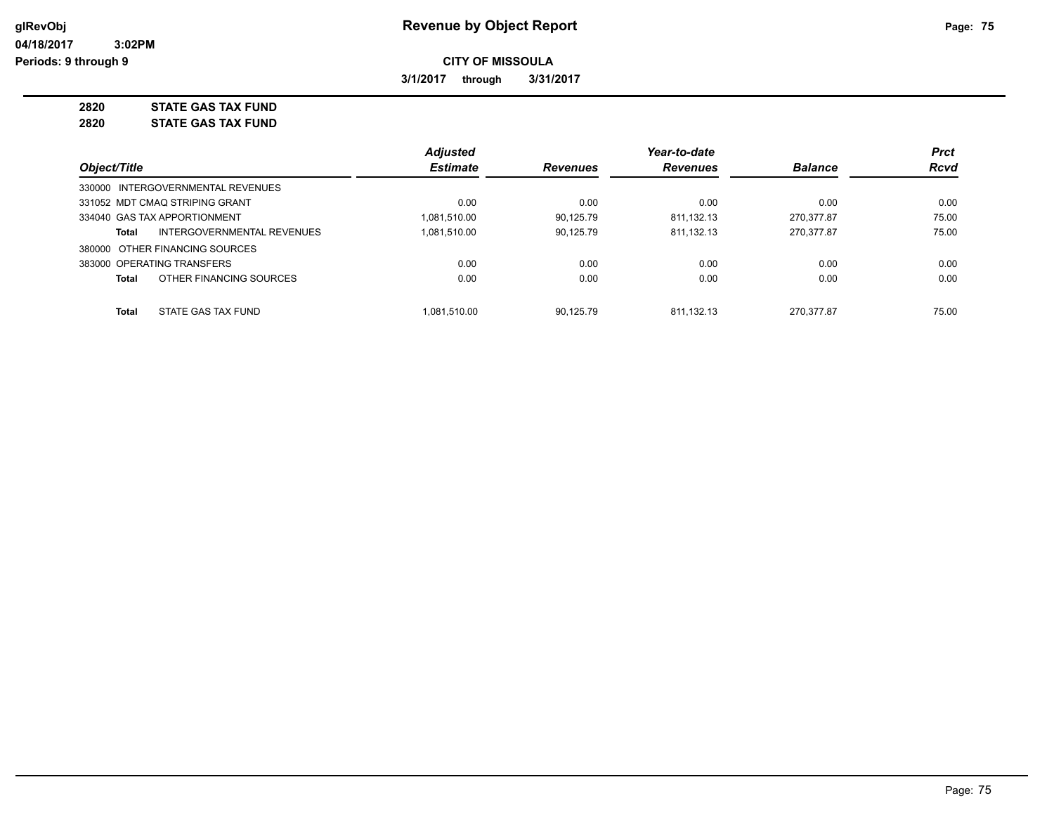**3/1/2017 through 3/31/2017**

**2820 STATE GAS TAX FUND 2820 STATE GAS TAX FUND**

|              |                                   | <b>Adjusted</b> |                 | Year-to-date   |             | <b>Prct</b> |
|--------------|-----------------------------------|-----------------|-----------------|----------------|-------------|-------------|
| Object/Title | <b>Estimate</b>                   | <b>Revenues</b> | <b>Revenues</b> | <b>Balance</b> | <b>Rcvd</b> |             |
|              | 330000 INTERGOVERNMENTAL REVENUES |                 |                 |                |             |             |
|              | 331052 MDT CMAQ STRIPING GRANT    | 0.00            | 0.00            | 0.00           | 0.00        | 0.00        |
|              | 334040 GAS TAX APPORTIONMENT      | 1.081.510.00    | 90.125.79       | 811.132.13     | 270.377.87  | 75.00       |
| Total        | INTERGOVERNMENTAL REVENUES        | 1.081.510.00    | 90.125.79       | 811.132.13     | 270.377.87  | 75.00       |
|              | 380000 OTHER FINANCING SOURCES    |                 |                 |                |             |             |
|              | 383000 OPERATING TRANSFERS        | 0.00            | 0.00            | 0.00           | 0.00        | 0.00        |
| Total        | OTHER FINANCING SOURCES           | 0.00            | 0.00            | 0.00           | 0.00        | 0.00        |
| <b>Total</b> | STATE GAS TAX FUND                | 1.081.510.00    | 90.125.79       | 811.132.13     | 270.377.87  | 75.00       |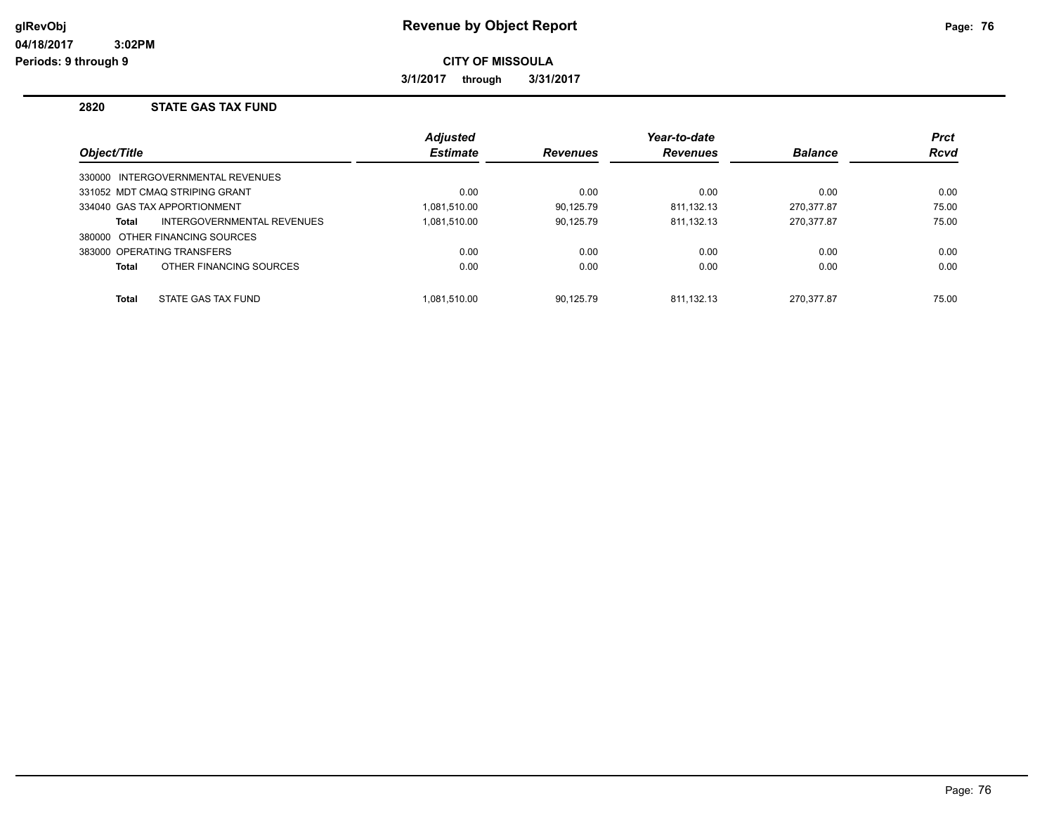**3/1/2017 through 3/31/2017**

#### **2820 STATE GAS TAX FUND**

|              |                                   | <b>Adjusted</b> |                 | Year-to-date    |                | <b>Prct</b> |
|--------------|-----------------------------------|-----------------|-----------------|-----------------|----------------|-------------|
| Object/Title |                                   | <b>Estimate</b> | <b>Revenues</b> | <b>Revenues</b> | <b>Balance</b> | <b>Rcvd</b> |
|              | 330000 INTERGOVERNMENTAL REVENUES |                 |                 |                 |                |             |
|              | 331052 MDT CMAQ STRIPING GRANT    | 0.00            | 0.00            | 0.00            | 0.00           | 0.00        |
|              | 334040 GAS TAX APPORTIONMENT      | 1.081.510.00    | 90.125.79       | 811.132.13      | 270.377.87     | 75.00       |
| Total        | INTERGOVERNMENTAL REVENUES        | 1,081,510.00    | 90.125.79       | 811,132.13      | 270.377.87     | 75.00       |
|              | 380000 OTHER FINANCING SOURCES    |                 |                 |                 |                |             |
|              | 383000 OPERATING TRANSFERS        | 0.00            | 0.00            | 0.00            | 0.00           | 0.00        |
| Total        | OTHER FINANCING SOURCES           | 0.00            | 0.00            | 0.00            | 0.00           | 0.00        |
| <b>Total</b> | STATE GAS TAX FUND                | 1.081.510.00    | 90.125.79       | 811.132.13      | 270.377.87     | 75.00       |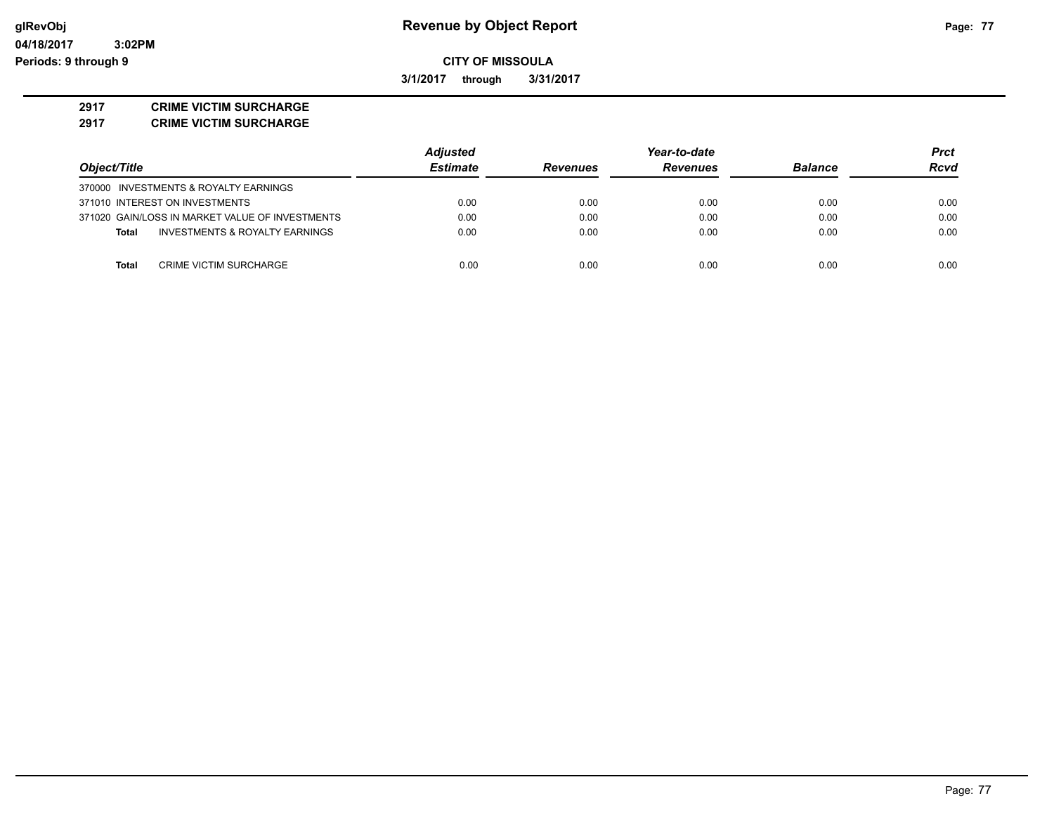**3/1/2017 through 3/31/2017**

**2917 CRIME VICTIM SURCHARGE 2917 CRIME VICTIM SURCHARGE**

|                                                 | <b>Adjusted</b> |                 | Year-to-date    |                | <b>Prct</b> |
|-------------------------------------------------|-----------------|-----------------|-----------------|----------------|-------------|
| Object/Title                                    | <b>Estimate</b> | <b>Revenues</b> | <b>Revenues</b> | <b>Balance</b> | <b>Rcvd</b> |
| 370000 INVESTMENTS & ROYALTY EARNINGS           |                 |                 |                 |                |             |
| 371010 INTEREST ON INVESTMENTS                  | 0.00            | 0.00            | 0.00            | 0.00           | 0.00        |
| 371020 GAIN/LOSS IN MARKET VALUE OF INVESTMENTS | 0.00            | 0.00            | 0.00            | 0.00           | 0.00        |
| INVESTMENTS & ROYALTY EARNINGS<br>Total         | 0.00            | 0.00            | 0.00            | 0.00           | 0.00        |
|                                                 |                 |                 |                 |                |             |
| <b>Total</b><br><b>CRIME VICTIM SURCHARGE</b>   | 0.00            | 0.00            | 0.00            | 0.00           | 0.00        |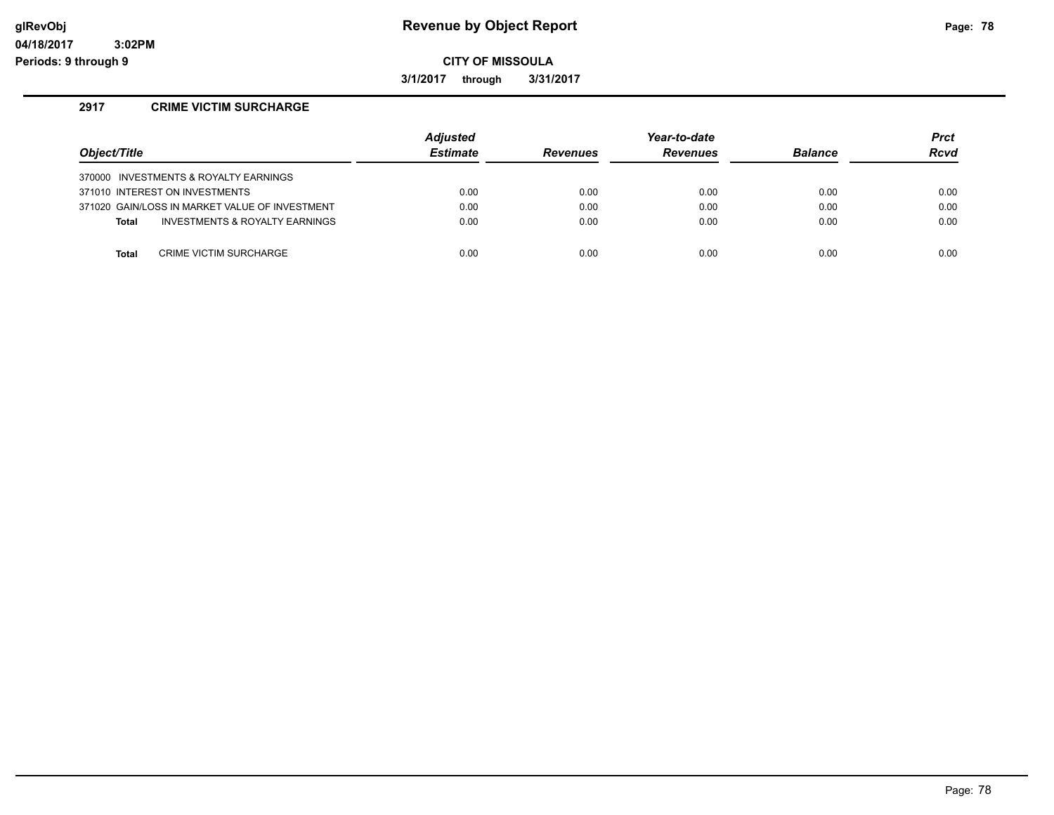**3/1/2017 through 3/31/2017**

#### **2917 CRIME VICTIM SURCHARGE**

|                                                           | <b>Adjusted</b> |                 | Year-to-date    |                |             |
|-----------------------------------------------------------|-----------------|-----------------|-----------------|----------------|-------------|
| Object/Title                                              | <b>Estimate</b> | <b>Revenues</b> | <b>Revenues</b> | <b>Balance</b> | <b>Rcvd</b> |
| 370000 INVESTMENTS & ROYALTY EARNINGS                     |                 |                 |                 |                |             |
| 371010 INTEREST ON INVESTMENTS                            | 0.00            | 0.00            | 0.00            | 0.00           | 0.00        |
| 371020 GAIN/LOSS IN MARKET VALUE OF INVESTMENT            | 0.00            | 0.00            | 0.00            | 0.00           | 0.00        |
| <b>INVESTMENTS &amp; ROYALTY EARNINGS</b><br><b>Total</b> | 0.00            | 0.00            | 0.00            | 0.00           | 0.00        |
| Total<br>CRIME VICTIM SURCHARGE                           | 0.00            | 0.00            | 0.00            | 0.00           | 0.00        |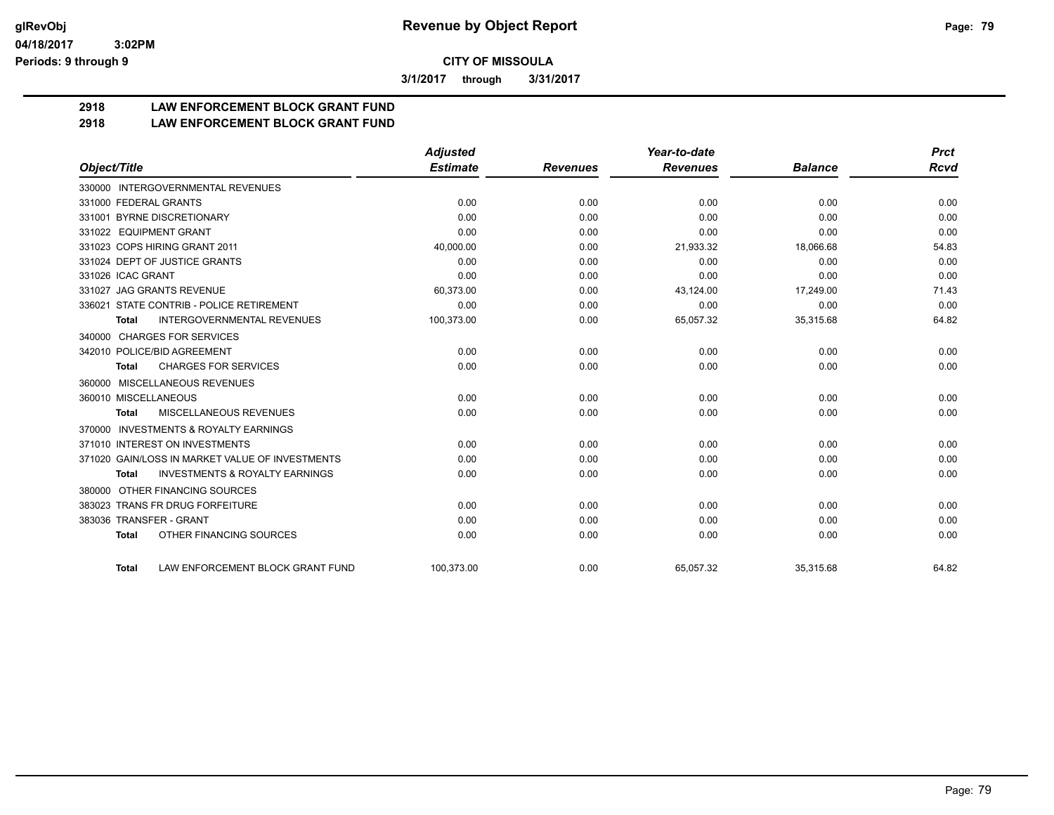**3/1/2017 through 3/31/2017**

#### **2918 LAW ENFORCEMENT BLOCK GRANT FUND 2918 LAW ENFORCEMENT BLOCK GRANT FUND**

|                                                     | <b>Adjusted</b> |                 | Year-to-date    |                | <b>Prct</b> |
|-----------------------------------------------------|-----------------|-----------------|-----------------|----------------|-------------|
| Object/Title                                        | <b>Estimate</b> | <b>Revenues</b> | <b>Revenues</b> | <b>Balance</b> | <b>Rcvd</b> |
| <b>INTERGOVERNMENTAL REVENUES</b><br>330000         |                 |                 |                 |                |             |
| 331000 FEDERAL GRANTS                               | 0.00            | 0.00            | 0.00            | 0.00           | 0.00        |
| 331001 BYRNE DISCRETIONARY                          | 0.00            | 0.00            | 0.00            | 0.00           | 0.00        |
| 331022 EQUIPMENT GRANT                              | 0.00            | 0.00            | 0.00            | 0.00           | 0.00        |
| 331023 COPS HIRING GRANT 2011                       | 40,000.00       | 0.00            | 21,933.32       | 18,066.68      | 54.83       |
| 331024 DEPT OF JUSTICE GRANTS                       | 0.00            | 0.00            | 0.00            | 0.00           | 0.00        |
| 331026 ICAC GRANT                                   | 0.00            | 0.00            | 0.00            | 0.00           | 0.00        |
| 331027 JAG GRANTS REVENUE                           | 60,373.00       | 0.00            | 43,124.00       | 17,249.00      | 71.43       |
| 336021 STATE CONTRIB - POLICE RETIREMENT            | 0.00            | 0.00            | 0.00            | 0.00           | 0.00        |
| <b>INTERGOVERNMENTAL REVENUES</b><br>Total          | 100,373.00      | 0.00            | 65,057.32       | 35,315.68      | 64.82       |
| <b>CHARGES FOR SERVICES</b><br>340000               |                 |                 |                 |                |             |
| 342010 POLICE/BID AGREEMENT                         | 0.00            | 0.00            | 0.00            | 0.00           | 0.00        |
| <b>CHARGES FOR SERVICES</b><br>Total                | 0.00            | 0.00            | 0.00            | 0.00           | 0.00        |
| MISCELLANEOUS REVENUES<br>360000                    |                 |                 |                 |                |             |
| 360010 MISCELLANEOUS                                | 0.00            | 0.00            | 0.00            | 0.00           | 0.00        |
| MISCELLANEOUS REVENUES<br>Total                     | 0.00            | 0.00            | 0.00            | 0.00           | 0.00        |
| <b>INVESTMENTS &amp; ROYALTY EARNINGS</b><br>370000 |                 |                 |                 |                |             |
| 371010 INTEREST ON INVESTMENTS                      | 0.00            | 0.00            | 0.00            | 0.00           | 0.00        |
| 371020 GAIN/LOSS IN MARKET VALUE OF INVESTMENTS     | 0.00            | 0.00            | 0.00            | 0.00           | 0.00        |
| <b>INVESTMENTS &amp; ROYALTY EARNINGS</b><br>Total  | 0.00            | 0.00            | 0.00            | 0.00           | 0.00        |
| OTHER FINANCING SOURCES<br>380000                   |                 |                 |                 |                |             |
| 383023 TRANS FR DRUG FORFEITURE                     | 0.00            | 0.00            | 0.00            | 0.00           | 0.00        |
| 383036 TRANSFER - GRANT                             | 0.00            | 0.00            | 0.00            | 0.00           | 0.00        |
| OTHER FINANCING SOURCES<br><b>Total</b>             | 0.00            | 0.00            | 0.00            | 0.00           | 0.00        |
| LAW ENFORCEMENT BLOCK GRANT FUND<br><b>Total</b>    | 100,373.00      | 0.00            | 65,057.32       | 35,315.68      | 64.82       |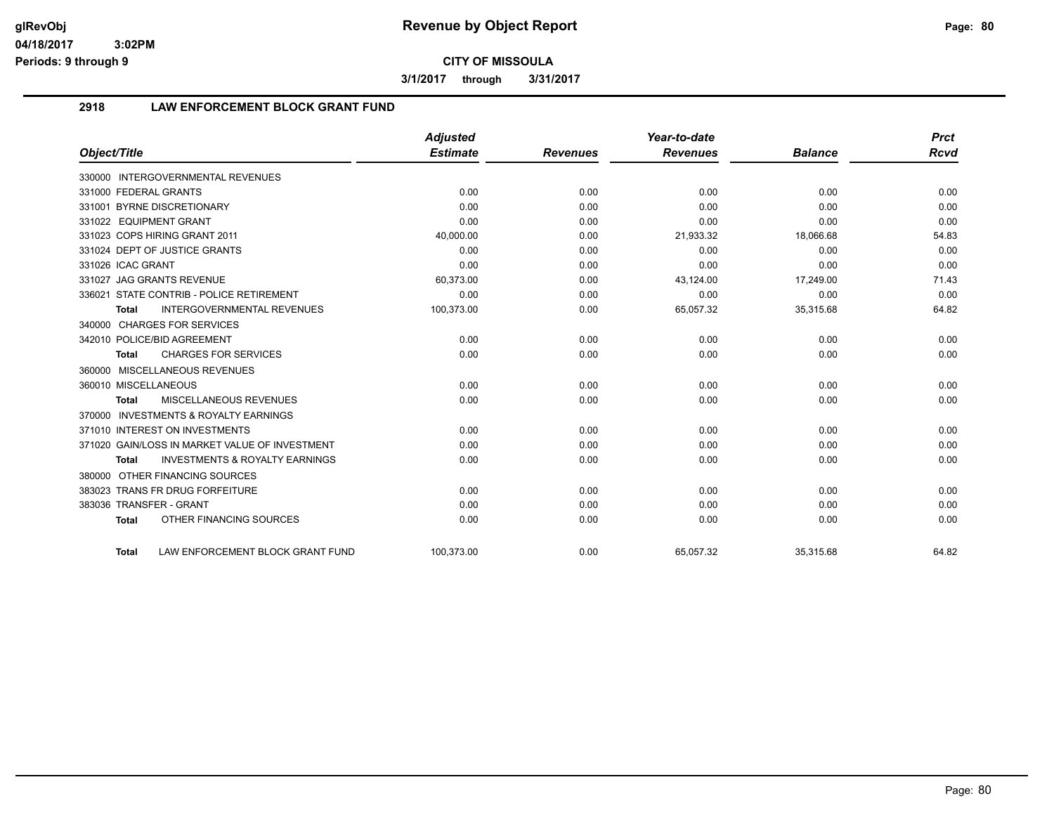**3/1/2017 through 3/31/2017**

#### **2918 LAW ENFORCEMENT BLOCK GRANT FUND**

|                                                           | <b>Adjusted</b> |                 | Year-to-date    |                | <b>Prct</b> |
|-----------------------------------------------------------|-----------------|-----------------|-----------------|----------------|-------------|
| Object/Title                                              | <b>Estimate</b> | <b>Revenues</b> | <b>Revenues</b> | <b>Balance</b> | <b>Rcvd</b> |
| 330000 INTERGOVERNMENTAL REVENUES                         |                 |                 |                 |                |             |
| 331000 FEDERAL GRANTS                                     | 0.00            | 0.00            | 0.00            | 0.00           | 0.00        |
| 331001 BYRNE DISCRETIONARY                                | 0.00            | 0.00            | 0.00            | 0.00           | 0.00        |
| 331022 EQUIPMENT GRANT                                    | 0.00            | 0.00            | 0.00            | 0.00           | 0.00        |
| 331023 COPS HIRING GRANT 2011                             | 40,000.00       | 0.00            | 21,933.32       | 18,066.68      | 54.83       |
| 331024 DEPT OF JUSTICE GRANTS                             | 0.00            | 0.00            | 0.00            | 0.00           | 0.00        |
| 331026 ICAC GRANT                                         | 0.00            | 0.00            | 0.00            | 0.00           | 0.00        |
| 331027 JAG GRANTS REVENUE                                 | 60,373.00       | 0.00            | 43,124.00       | 17,249.00      | 71.43       |
| 336021 STATE CONTRIB - POLICE RETIREMENT                  | 0.00            | 0.00            | 0.00            | 0.00           | 0.00        |
| INTERGOVERNMENTAL REVENUES<br><b>Total</b>                | 100,373.00      | 0.00            | 65,057.32       | 35,315.68      | 64.82       |
| 340000 CHARGES FOR SERVICES                               |                 |                 |                 |                |             |
| 342010 POLICE/BID AGREEMENT                               | 0.00            | 0.00            | 0.00            | 0.00           | 0.00        |
| <b>CHARGES FOR SERVICES</b><br>Total                      | 0.00            | 0.00            | 0.00            | 0.00           | 0.00        |
| 360000 MISCELLANEOUS REVENUES                             |                 |                 |                 |                |             |
| 360010 MISCELLANEOUS                                      | 0.00            | 0.00            | 0.00            | 0.00           | 0.00        |
| MISCELLANEOUS REVENUES<br>Total                           | 0.00            | 0.00            | 0.00            | 0.00           | 0.00        |
| 370000 INVESTMENTS & ROYALTY EARNINGS                     |                 |                 |                 |                |             |
| 371010 INTEREST ON INVESTMENTS                            | 0.00            | 0.00            | 0.00            | 0.00           | 0.00        |
| 371020 GAIN/LOSS IN MARKET VALUE OF INVESTMENT            | 0.00            | 0.00            | 0.00            | 0.00           | 0.00        |
| <b>INVESTMENTS &amp; ROYALTY EARNINGS</b><br><b>Total</b> | 0.00            | 0.00            | 0.00            | 0.00           | 0.00        |
| 380000 OTHER FINANCING SOURCES                            |                 |                 |                 |                |             |
| 383023 TRANS FR DRUG FORFEITURE                           | 0.00            | 0.00            | 0.00            | 0.00           | 0.00        |
| 383036 TRANSFER - GRANT                                   | 0.00            | 0.00            | 0.00            | 0.00           | 0.00        |
| OTHER FINANCING SOURCES<br><b>Total</b>                   | 0.00            | 0.00            | 0.00            | 0.00           | 0.00        |
| LAW ENFORCEMENT BLOCK GRANT FUND<br>Total                 | 100.373.00      | 0.00            | 65,057.32       | 35,315.68      | 64.82       |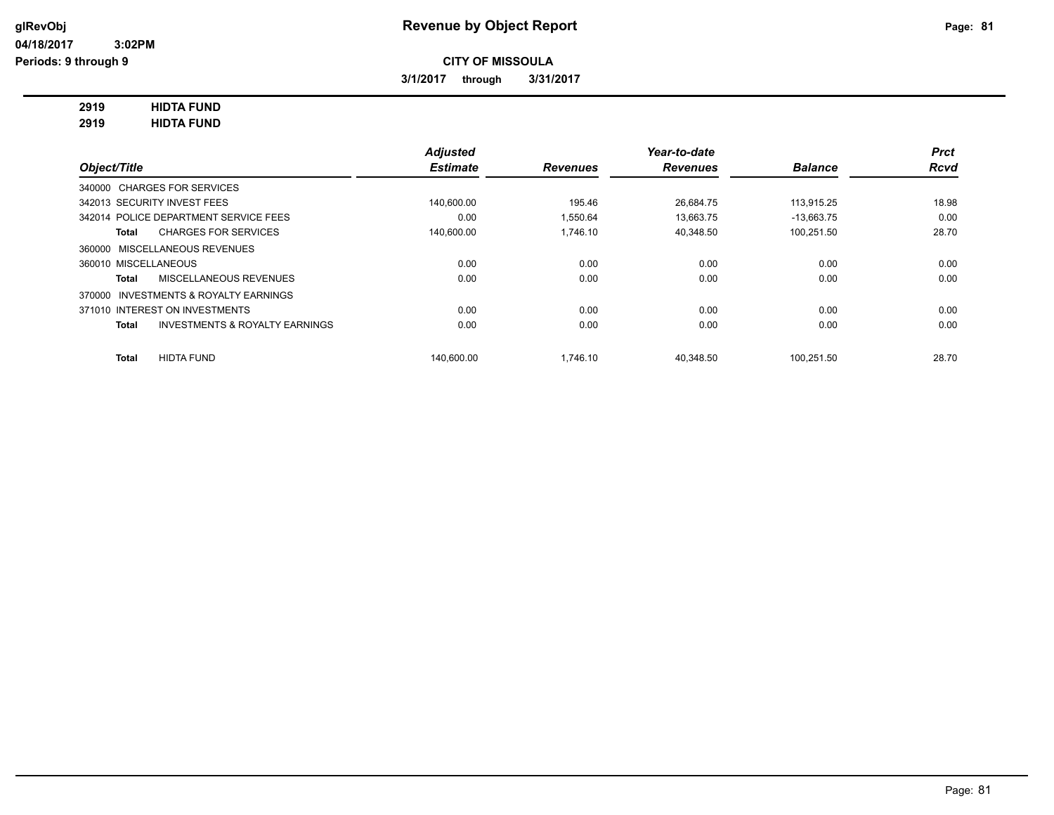**3/1/2017 through 3/31/2017**

## **2919 HIDTA FUND**

**2919 HIDTA FUND**

|                                                    | <b>Adjusted</b> |                 | Year-to-date    |                | <b>Prct</b> |
|----------------------------------------------------|-----------------|-----------------|-----------------|----------------|-------------|
| Object/Title                                       | <b>Estimate</b> | <b>Revenues</b> | <b>Revenues</b> | <b>Balance</b> | Rcvd        |
| 340000 CHARGES FOR SERVICES                        |                 |                 |                 |                |             |
| 342013 SECURITY INVEST FEES                        | 140,600.00      | 195.46          | 26.684.75       | 113,915.25     | 18.98       |
| 342014 POLICE DEPARTMENT SERVICE FEES              | 0.00            | 1.550.64        | 13.663.75       | $-13.663.75$   | 0.00        |
| <b>CHARGES FOR SERVICES</b><br>Total               | 140,600.00      | 1,746.10        | 40,348.50       | 100,251.50     | 28.70       |
| 360000 MISCELLANEOUS REVENUES                      |                 |                 |                 |                |             |
| 360010 MISCELLANEOUS                               | 0.00            | 0.00            | 0.00            | 0.00           | 0.00        |
| MISCELLANEOUS REVENUES<br>Total                    | 0.00            | 0.00            | 0.00            | 0.00           | 0.00        |
| INVESTMENTS & ROYALTY EARNINGS<br>370000           |                 |                 |                 |                |             |
| 371010 INTEREST ON INVESTMENTS                     | 0.00            | 0.00            | 0.00            | 0.00           | 0.00        |
| <b>INVESTMENTS &amp; ROYALTY EARNINGS</b><br>Total | 0.00            | 0.00            | 0.00            | 0.00           | 0.00        |
| <b>HIDTA FUND</b><br><b>Total</b>                  | 140.600.00      | 1.746.10        | 40.348.50       | 100.251.50     | 28.70       |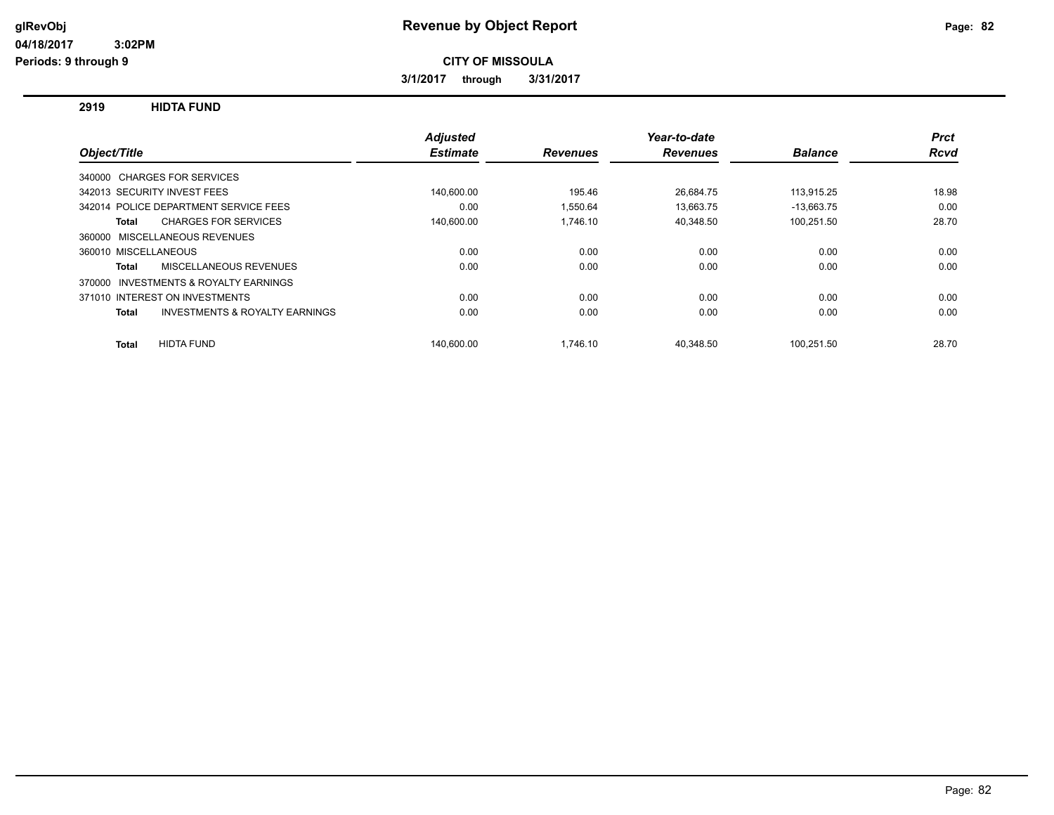**3/1/2017 through 3/31/2017**

**2919 HIDTA FUND**

|                                                    | <b>Adjusted</b> |                 | Year-to-date    |                | <b>Prct</b> |
|----------------------------------------------------|-----------------|-----------------|-----------------|----------------|-------------|
| Object/Title                                       | <b>Estimate</b> | <b>Revenues</b> | <b>Revenues</b> | <b>Balance</b> | Rcvd        |
| 340000 CHARGES FOR SERVICES                        |                 |                 |                 |                |             |
| 342013 SECURITY INVEST FEES                        | 140.600.00      | 195.46          | 26,684.75       | 113,915.25     | 18.98       |
| 342014 POLICE DEPARTMENT SERVICE FEES              | 0.00            | 1.550.64        | 13.663.75       | $-13.663.75$   | 0.00        |
| <b>CHARGES FOR SERVICES</b><br>Total               | 140,600.00      | 1.746.10        | 40,348.50       | 100,251.50     | 28.70       |
| 360000 MISCELLANEOUS REVENUES                      |                 |                 |                 |                |             |
| 360010 MISCELLANEOUS                               | 0.00            | 0.00            | 0.00            | 0.00           | 0.00        |
| MISCELLANEOUS REVENUES<br><b>Total</b>             | 0.00            | 0.00            | 0.00            | 0.00           | 0.00        |
| INVESTMENTS & ROYALTY EARNINGS<br>370000           |                 |                 |                 |                |             |
| 371010 INTEREST ON INVESTMENTS                     | 0.00            | 0.00            | 0.00            | 0.00           | 0.00        |
| <b>INVESTMENTS &amp; ROYALTY EARNINGS</b><br>Total | 0.00            | 0.00            | 0.00            | 0.00           | 0.00        |
| <b>HIDTA FUND</b><br><b>Total</b>                  | 140.600.00      | 1.746.10        | 40.348.50       | 100.251.50     | 28.70       |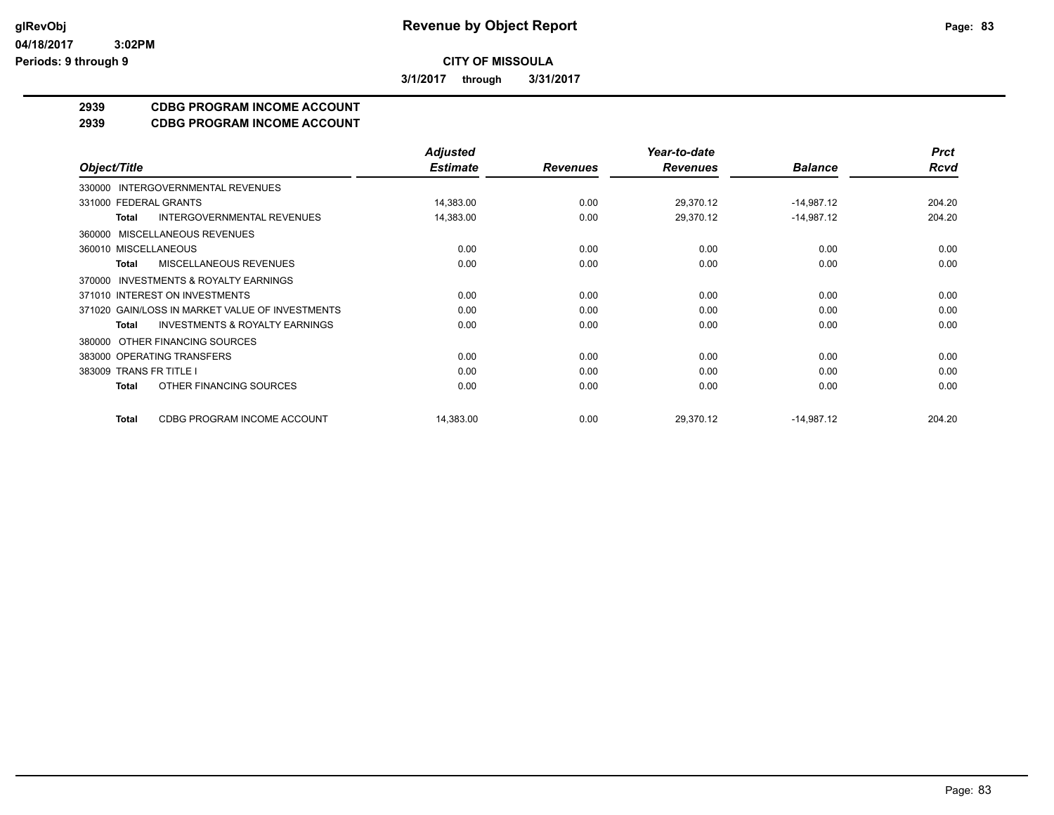**3/1/2017 through 3/31/2017**

# **2939 CDBG PROGRAM INCOME ACCOUNT**

**2939 CDBG PROGRAM INCOME ACCOUNT**

|                                                    | <b>Adjusted</b> |                 | Year-to-date    |                | <b>Prct</b> |
|----------------------------------------------------|-----------------|-----------------|-----------------|----------------|-------------|
| Object/Title                                       | <b>Estimate</b> | <b>Revenues</b> | <b>Revenues</b> | <b>Balance</b> | <b>Rcvd</b> |
| 330000 INTERGOVERNMENTAL REVENUES                  |                 |                 |                 |                |             |
| 331000 FEDERAL GRANTS                              | 14,383.00       | 0.00            | 29,370.12       | $-14,987.12$   | 204.20      |
| INTERGOVERNMENTAL REVENUES<br>Total                | 14,383.00       | 0.00            | 29,370.12       | $-14,987.12$   | 204.20      |
| 360000 MISCELLANEOUS REVENUES                      |                 |                 |                 |                |             |
| 360010 MISCELLANEOUS                               | 0.00            | 0.00            | 0.00            | 0.00           | 0.00        |
| <b>MISCELLANEOUS REVENUES</b><br>Total             | 0.00            | 0.00            | 0.00            | 0.00           | 0.00        |
| 370000 INVESTMENTS & ROYALTY EARNINGS              |                 |                 |                 |                |             |
| 371010 INTEREST ON INVESTMENTS                     | 0.00            | 0.00            | 0.00            | 0.00           | 0.00        |
| 371020 GAIN/LOSS IN MARKET VALUE OF INVESTMENTS    | 0.00            | 0.00            | 0.00            | 0.00           | 0.00        |
| <b>INVESTMENTS &amp; ROYALTY EARNINGS</b><br>Total | 0.00            | 0.00            | 0.00            | 0.00           | 0.00        |
| 380000 OTHER FINANCING SOURCES                     |                 |                 |                 |                |             |
| 383000 OPERATING TRANSFERS                         | 0.00            | 0.00            | 0.00            | 0.00           | 0.00        |
| 383009 TRANS FR TITLE I                            | 0.00            | 0.00            | 0.00            | 0.00           | 0.00        |
| OTHER FINANCING SOURCES<br>Total                   | 0.00            | 0.00            | 0.00            | 0.00           | 0.00        |
| CDBG PROGRAM INCOME ACCOUNT<br><b>Total</b>        | 14,383.00       | 0.00            | 29,370.12       | $-14,987.12$   | 204.20      |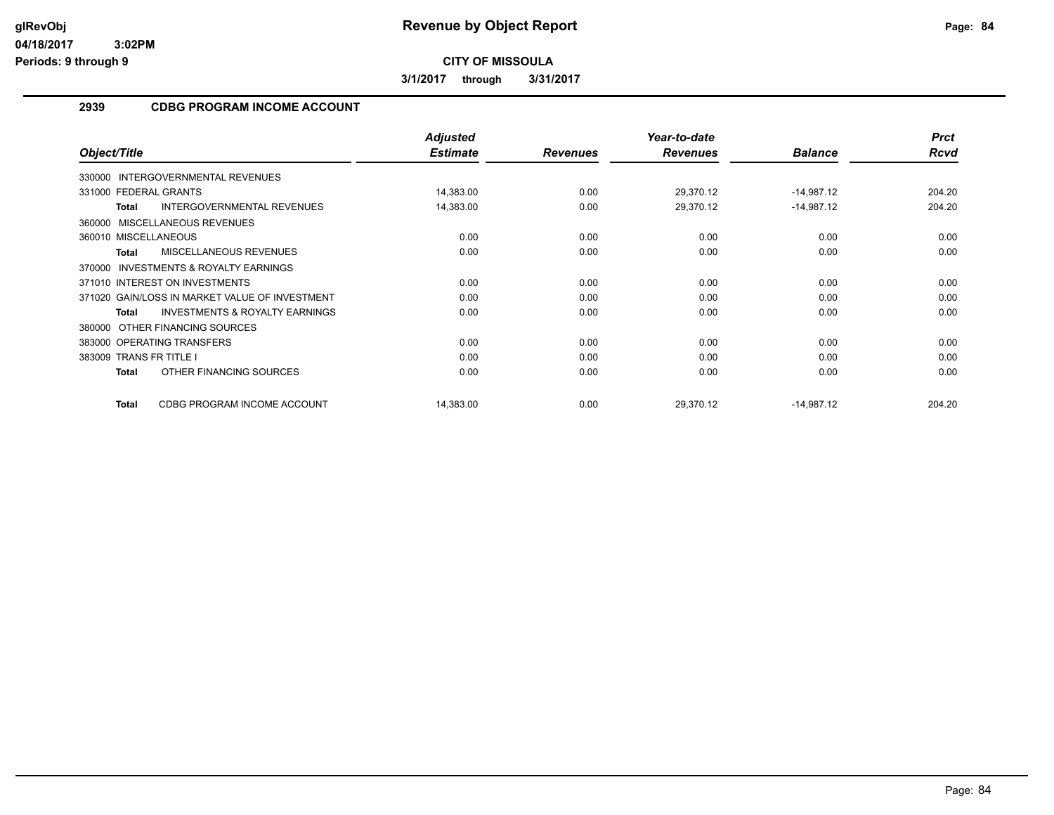**3/1/2017 through 3/31/2017**

#### **2939 CDBG PROGRAM INCOME ACCOUNT**

|                                                           | <b>Adjusted</b> |                 | Year-to-date    |                | <b>Prct</b> |
|-----------------------------------------------------------|-----------------|-----------------|-----------------|----------------|-------------|
| Object/Title                                              | <b>Estimate</b> | <b>Revenues</b> | <b>Revenues</b> | <b>Balance</b> | <b>Rcvd</b> |
| 330000 INTERGOVERNMENTAL REVENUES                         |                 |                 |                 |                |             |
| 331000 FEDERAL GRANTS                                     | 14,383.00       | 0.00            | 29,370.12       | $-14,987.12$   | 204.20      |
| INTERGOVERNMENTAL REVENUES<br><b>Total</b>                | 14,383.00       | 0.00            | 29,370.12       | $-14,987.12$   | 204.20      |
| 360000 MISCELLANEOUS REVENUES                             |                 |                 |                 |                |             |
| 360010 MISCELLANEOUS                                      | 0.00            | 0.00            | 0.00            | 0.00           | 0.00        |
| MISCELLANEOUS REVENUES<br><b>Total</b>                    | 0.00            | 0.00            | 0.00            | 0.00           | 0.00        |
| <b>INVESTMENTS &amp; ROYALTY EARNINGS</b><br>370000       |                 |                 |                 |                |             |
| 371010 INTEREST ON INVESTMENTS                            | 0.00            | 0.00            | 0.00            | 0.00           | 0.00        |
| 371020 GAIN/LOSS IN MARKET VALUE OF INVESTMENT            | 0.00            | 0.00            | 0.00            | 0.00           | 0.00        |
| <b>INVESTMENTS &amp; ROYALTY EARNINGS</b><br><b>Total</b> | 0.00            | 0.00            | 0.00            | 0.00           | 0.00        |
| OTHER FINANCING SOURCES<br>380000                         |                 |                 |                 |                |             |
| 383000 OPERATING TRANSFERS                                | 0.00            | 0.00            | 0.00            | 0.00           | 0.00        |
| 383009 TRANS FR TITLE I                                   | 0.00            | 0.00            | 0.00            | 0.00           | 0.00        |
| OTHER FINANCING SOURCES<br><b>Total</b>                   | 0.00            | 0.00            | 0.00            | 0.00           | 0.00        |
| <b>Total</b><br>CDBG PROGRAM INCOME ACCOUNT               | 14,383.00       | 0.00            | 29,370.12       | $-14,987.12$   | 204.20      |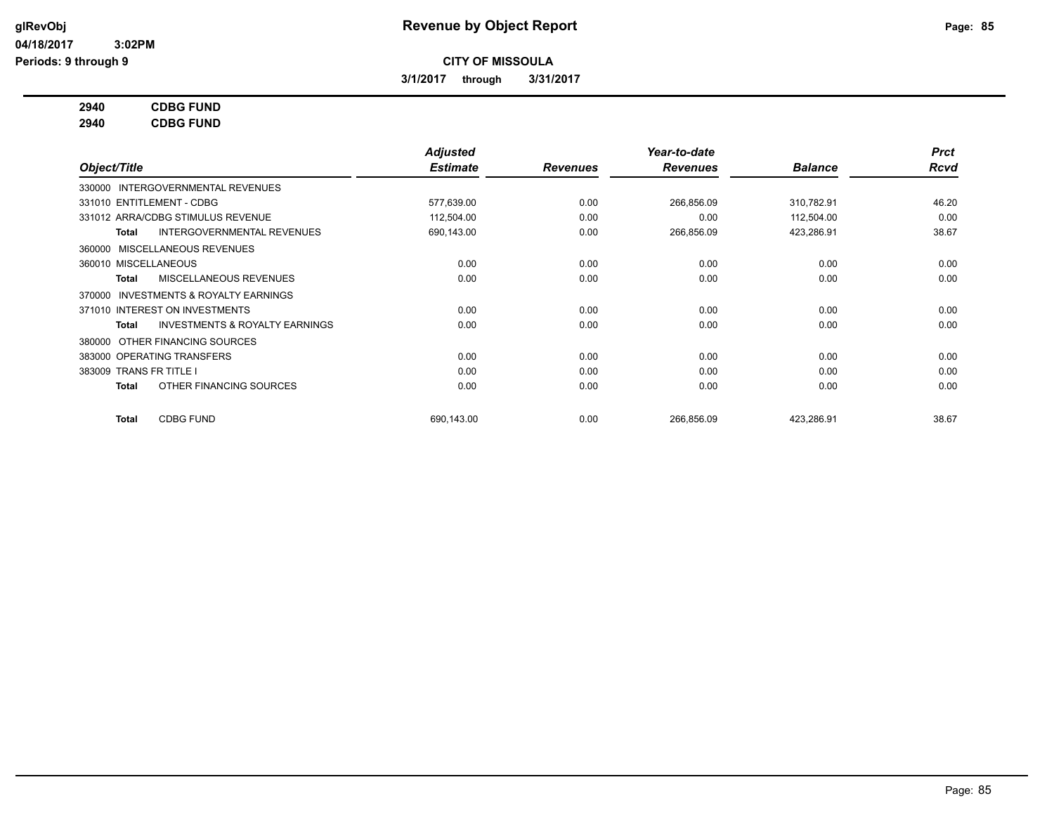**3/1/2017 through 3/31/2017**

## **2940 CDBG FUND**

**2940 CDBG FUND**

|                                                    | <b>Adjusted</b> |                 | Year-to-date    |                | <b>Prct</b> |
|----------------------------------------------------|-----------------|-----------------|-----------------|----------------|-------------|
| Object/Title                                       | <b>Estimate</b> | <b>Revenues</b> | <b>Revenues</b> | <b>Balance</b> | <b>Rcvd</b> |
| 330000 INTERGOVERNMENTAL REVENUES                  |                 |                 |                 |                |             |
| 331010 ENTITLEMENT - CDBG                          | 577,639.00      | 0.00            | 266,856.09      | 310,782.91     | 46.20       |
| 331012 ARRA/CDBG STIMULUS REVENUE                  | 112,504.00      | 0.00            | 0.00            | 112,504.00     | 0.00        |
| <b>INTERGOVERNMENTAL REVENUES</b><br>Total         | 690,143.00      | 0.00            | 266,856.09      | 423,286.91     | 38.67       |
| 360000 MISCELLANEOUS REVENUES                      |                 |                 |                 |                |             |
| 360010 MISCELLANEOUS                               | 0.00            | 0.00            | 0.00            | 0.00           | 0.00        |
| MISCELLANEOUS REVENUES<br>Total                    | 0.00            | 0.00            | 0.00            | 0.00           | 0.00        |
| 370000 INVESTMENTS & ROYALTY EARNINGS              |                 |                 |                 |                |             |
| 371010 INTEREST ON INVESTMENTS                     | 0.00            | 0.00            | 0.00            | 0.00           | 0.00        |
| <b>INVESTMENTS &amp; ROYALTY EARNINGS</b><br>Total | 0.00            | 0.00            | 0.00            | 0.00           | 0.00        |
| 380000 OTHER FINANCING SOURCES                     |                 |                 |                 |                |             |
| 383000 OPERATING TRANSFERS                         | 0.00            | 0.00            | 0.00            | 0.00           | 0.00        |
| 383009 TRANS FR TITLE I                            | 0.00            | 0.00            | 0.00            | 0.00           | 0.00        |
| OTHER FINANCING SOURCES<br>Total                   | 0.00            | 0.00            | 0.00            | 0.00           | 0.00        |
| <b>CDBG FUND</b><br><b>Total</b>                   | 690,143.00      | 0.00            | 266,856.09      | 423,286.91     | 38.67       |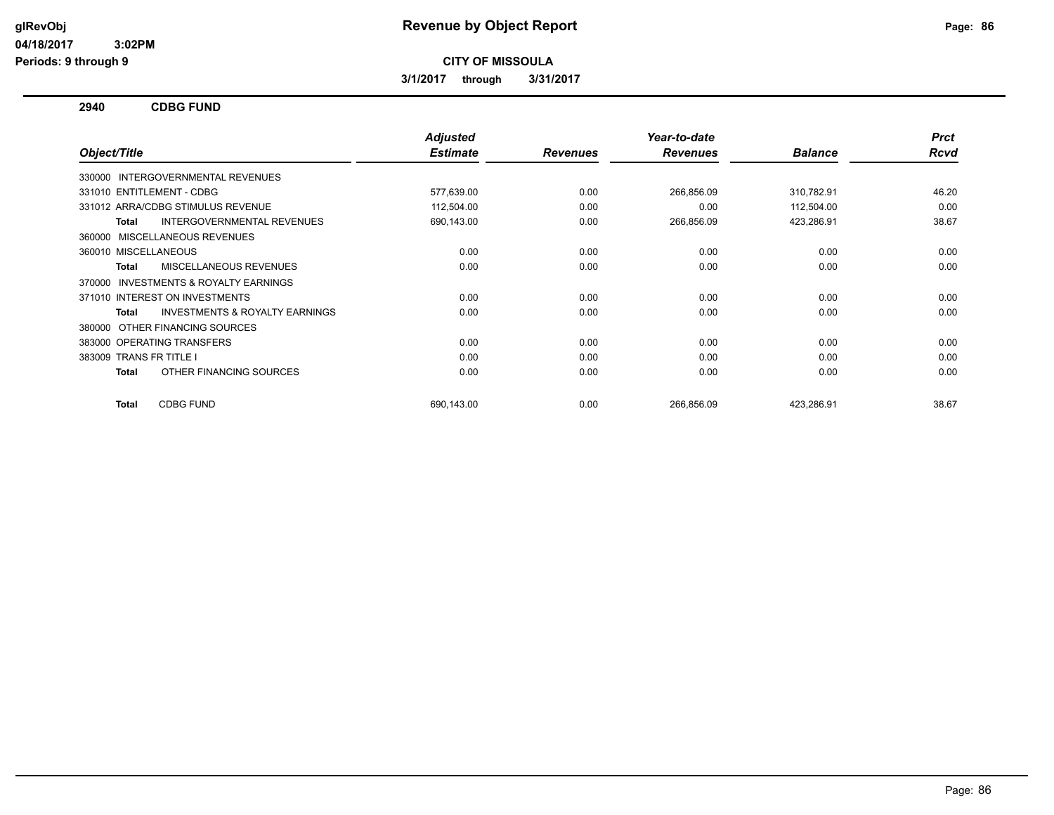**3/1/2017 through 3/31/2017**

#### **2940 CDBG FUND**

|                                                           | <b>Adjusted</b> |                 | Year-to-date    |                | <b>Prct</b> |
|-----------------------------------------------------------|-----------------|-----------------|-----------------|----------------|-------------|
| Object/Title                                              | <b>Estimate</b> | <b>Revenues</b> | <b>Revenues</b> | <b>Balance</b> | Rcvd        |
| 330000 INTERGOVERNMENTAL REVENUES                         |                 |                 |                 |                |             |
| 331010 ENTITLEMENT - CDBG                                 | 577,639.00      | 0.00            | 266,856.09      | 310,782.91     | 46.20       |
| 331012 ARRA/CDBG STIMULUS REVENUE                         | 112,504.00      | 0.00            | 0.00            | 112,504.00     | 0.00        |
| <b>INTERGOVERNMENTAL REVENUES</b><br><b>Total</b>         | 690,143.00      | 0.00            | 266,856.09      | 423,286.91     | 38.67       |
| 360000 MISCELLANEOUS REVENUES                             |                 |                 |                 |                |             |
| 360010 MISCELLANEOUS                                      | 0.00            | 0.00            | 0.00            | 0.00           | 0.00        |
| MISCELLANEOUS REVENUES<br><b>Total</b>                    | 0.00            | 0.00            | 0.00            | 0.00           | 0.00        |
| <b>INVESTMENTS &amp; ROYALTY EARNINGS</b><br>370000       |                 |                 |                 |                |             |
| 371010 INTEREST ON INVESTMENTS                            | 0.00            | 0.00            | 0.00            | 0.00           | 0.00        |
| <b>INVESTMENTS &amp; ROYALTY EARNINGS</b><br><b>Total</b> | 0.00            | 0.00            | 0.00            | 0.00           | 0.00        |
| OTHER FINANCING SOURCES<br>380000                         |                 |                 |                 |                |             |
| 383000 OPERATING TRANSFERS                                | 0.00            | 0.00            | 0.00            | 0.00           | 0.00        |
| 383009 TRANS FR TITLE I                                   | 0.00            | 0.00            | 0.00            | 0.00           | 0.00        |
| OTHER FINANCING SOURCES<br><b>Total</b>                   | 0.00            | 0.00            | 0.00            | 0.00           | 0.00        |
| <b>CDBG FUND</b><br><b>Total</b>                          | 690,143.00      | 0.00            | 266,856.09      | 423,286.91     | 38.67       |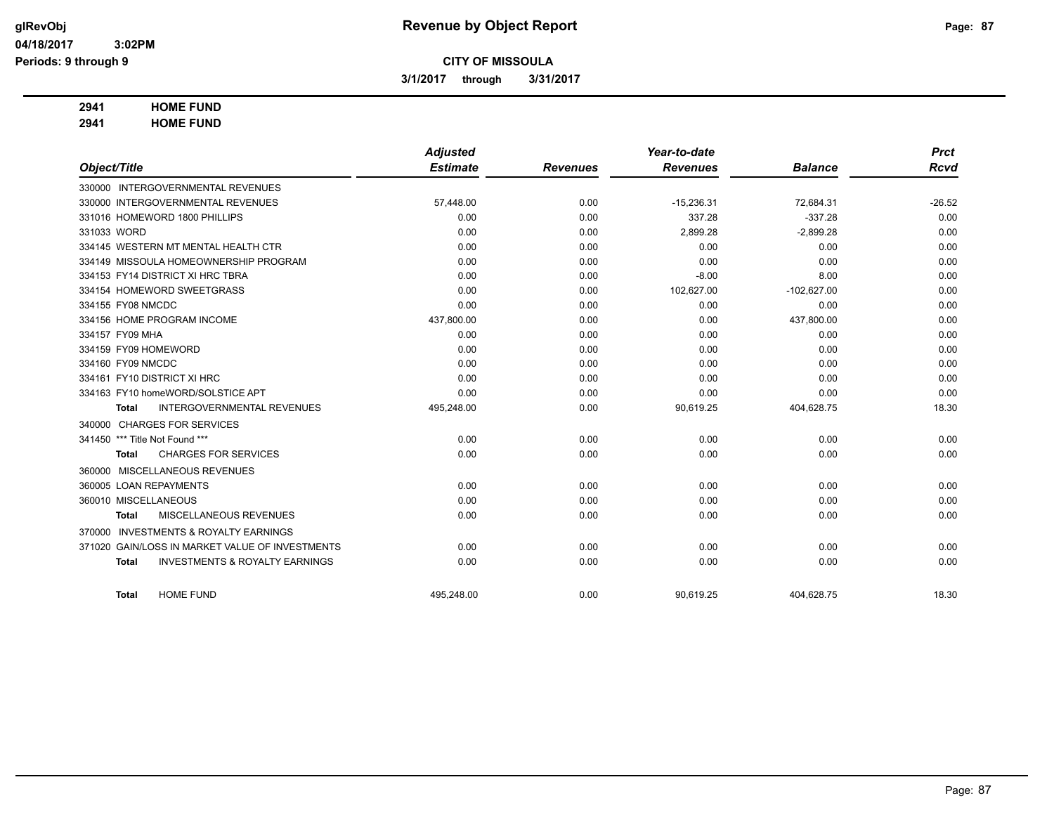**3/1/2017 through 3/31/2017**

## **2941 HOME FUND**

**2941 HOME FUND**

|                                                           | <b>Adjusted</b> |                 | Year-to-date    |                | <b>Prct</b> |
|-----------------------------------------------------------|-----------------|-----------------|-----------------|----------------|-------------|
| Object/Title                                              | <b>Estimate</b> | <b>Revenues</b> | <b>Revenues</b> | <b>Balance</b> | <b>Rcvd</b> |
| 330000 INTERGOVERNMENTAL REVENUES                         |                 |                 |                 |                |             |
| 330000 INTERGOVERNMENTAL REVENUES                         | 57,448.00       | 0.00            | $-15,236.31$    | 72.684.31      | $-26.52$    |
| 331016 HOMEWORD 1800 PHILLIPS                             | 0.00            | 0.00            | 337.28          | $-337.28$      | 0.00        |
| 331033 WORD                                               | 0.00            | 0.00            | 2,899.28        | $-2,899.28$    | 0.00        |
| 334145 WESTERN MT MENTAL HEALTH CTR                       | 0.00            | 0.00            | 0.00            | 0.00           | 0.00        |
| 334149 MISSOULA HOMEOWNERSHIP PROGRAM                     | 0.00            | 0.00            | 0.00            | 0.00           | 0.00        |
| 334153 FY14 DISTRICT XI HRC TBRA                          | 0.00            | 0.00            | $-8.00$         | 8.00           | 0.00        |
| 334154 HOMEWORD SWEETGRASS                                | 0.00            | 0.00            | 102,627.00      | $-102,627.00$  | 0.00        |
| 334155 FY08 NMCDC                                         | 0.00            | 0.00            | 0.00            | 0.00           | 0.00        |
| 334156 HOME PROGRAM INCOME                                | 437,800.00      | 0.00            | 0.00            | 437,800.00     | 0.00        |
| 334157 FY09 MHA                                           | 0.00            | 0.00            | 0.00            | 0.00           | 0.00        |
| 334159 FY09 HOMEWORD                                      | 0.00            | 0.00            | 0.00            | 0.00           | 0.00        |
| 334160 FY09 NMCDC                                         | 0.00            | 0.00            | 0.00            | 0.00           | 0.00        |
| 334161 FY10 DISTRICT XI HRC                               | 0.00            | 0.00            | 0.00            | 0.00           | 0.00        |
| 334163 FY10 homeWORD/SOLSTICE APT                         | 0.00            | 0.00            | 0.00            | 0.00           | 0.00        |
| <b>INTERGOVERNMENTAL REVENUES</b><br>Total                | 495,248.00      | 0.00            | 90,619.25       | 404,628.75     | 18.30       |
| 340000 CHARGES FOR SERVICES                               |                 |                 |                 |                |             |
| 341450 *** Title Not Found ***                            | 0.00            | 0.00            | 0.00            | 0.00           | 0.00        |
| <b>CHARGES FOR SERVICES</b><br>Total                      | 0.00            | 0.00            | 0.00            | 0.00           | 0.00        |
| 360000 MISCELLANEOUS REVENUES                             |                 |                 |                 |                |             |
| 360005 LOAN REPAYMENTS                                    | 0.00            | 0.00            | 0.00            | 0.00           | 0.00        |
| 360010 MISCELLANEOUS                                      | 0.00            | 0.00            | 0.00            | 0.00           | 0.00        |
| MISCELLANEOUS REVENUES<br><b>Total</b>                    | 0.00            | 0.00            | 0.00            | 0.00           | 0.00        |
| 370000 INVESTMENTS & ROYALTY EARNINGS                     |                 |                 |                 |                |             |
| 371020 GAIN/LOSS IN MARKET VALUE OF INVESTMENTS           | 0.00            | 0.00            | 0.00            | 0.00           | 0.00        |
| <b>INVESTMENTS &amp; ROYALTY EARNINGS</b><br><b>Total</b> | 0.00            | 0.00            | 0.00            | 0.00           | 0.00        |
| <b>HOME FUND</b><br><b>Total</b>                          | 495,248.00      | 0.00            | 90,619.25       | 404,628.75     | 18.30       |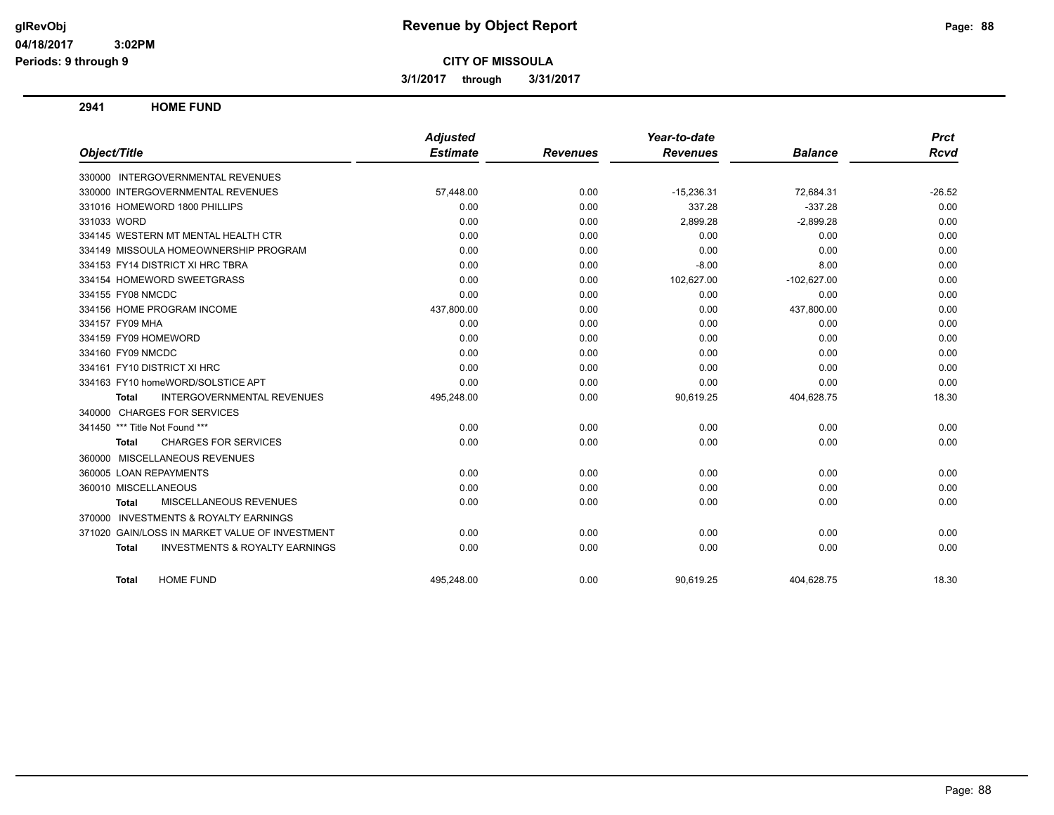**3/1/2017 through 3/31/2017**

#### **2941 HOME FUND**

|                                                           | <b>Adjusted</b> |                 | Year-to-date    |                | <b>Prct</b> |
|-----------------------------------------------------------|-----------------|-----------------|-----------------|----------------|-------------|
| Object/Title                                              | <b>Estimate</b> | <b>Revenues</b> | <b>Revenues</b> | <b>Balance</b> | <b>Rcvd</b> |
| 330000 INTERGOVERNMENTAL REVENUES                         |                 |                 |                 |                |             |
| 330000 INTERGOVERNMENTAL REVENUES                         | 57,448.00       | 0.00            | $-15,236.31$    | 72,684.31      | $-26.52$    |
| 331016 HOMEWORD 1800 PHILLIPS                             | 0.00            | 0.00            | 337.28          | $-337.28$      | 0.00        |
| 331033 WORD                                               | 0.00            | 0.00            | 2,899.28        | $-2,899.28$    | 0.00        |
| 334145 WESTERN MT MENTAL HEALTH CTR                       | 0.00            | 0.00            | 0.00            | 0.00           | 0.00        |
| 334149 MISSOULA HOMEOWNERSHIP PROGRAM                     | 0.00            | 0.00            | 0.00            | 0.00           | 0.00        |
| 334153 FY14 DISTRICT XI HRC TBRA                          | 0.00            | 0.00            | $-8.00$         | 8.00           | 0.00        |
| 334154 HOMEWORD SWEETGRASS                                | 0.00            | 0.00            | 102,627.00      | $-102,627.00$  | 0.00        |
| 334155 FY08 NMCDC                                         | 0.00            | 0.00            | 0.00            | 0.00           | 0.00        |
| 334156 HOME PROGRAM INCOME                                | 437,800.00      | 0.00            | 0.00            | 437,800.00     | 0.00        |
| 334157 FY09 MHA                                           | 0.00            | 0.00            | 0.00            | 0.00           | 0.00        |
| 334159 FY09 HOMEWORD                                      | 0.00            | 0.00            | 0.00            | 0.00           | 0.00        |
| 334160 FY09 NMCDC                                         | 0.00            | 0.00            | 0.00            | 0.00           | 0.00        |
| 334161 FY10 DISTRICT XI HRC                               | 0.00            | 0.00            | 0.00            | 0.00           | 0.00        |
| 334163 FY10 homeWORD/SOLSTICE APT                         | 0.00            | 0.00            | 0.00            | 0.00           | 0.00        |
| <b>INTERGOVERNMENTAL REVENUES</b><br>Total                | 495,248.00      | 0.00            | 90,619.25       | 404,628.75     | 18.30       |
| 340000 CHARGES FOR SERVICES                               |                 |                 |                 |                |             |
| 341450 *** Title Not Found ***                            | 0.00            | 0.00            | 0.00            | 0.00           | 0.00        |
| <b>CHARGES FOR SERVICES</b><br>Total                      | 0.00            | 0.00            | 0.00            | 0.00           | 0.00        |
| 360000 MISCELLANEOUS REVENUES                             |                 |                 |                 |                |             |
| 360005 LOAN REPAYMENTS                                    | 0.00            | 0.00            | 0.00            | 0.00           | 0.00        |
| 360010 MISCELLANEOUS                                      | 0.00            | 0.00            | 0.00            | 0.00           | 0.00        |
| MISCELLANEOUS REVENUES<br>Total                           | 0.00            | 0.00            | 0.00            | 0.00           | 0.00        |
| 370000 INVESTMENTS & ROYALTY EARNINGS                     |                 |                 |                 |                |             |
| 371020 GAIN/LOSS IN MARKET VALUE OF INVESTMENT            | 0.00            | 0.00            | 0.00            | 0.00           | 0.00        |
| <b>INVESTMENTS &amp; ROYALTY EARNINGS</b><br><b>Total</b> | 0.00            | 0.00            | 0.00            | 0.00           | 0.00        |
|                                                           |                 |                 |                 |                |             |
| <b>HOME FUND</b><br><b>Total</b>                          | 495,248.00      | 0.00            | 90,619.25       | 404,628.75     | 18.30       |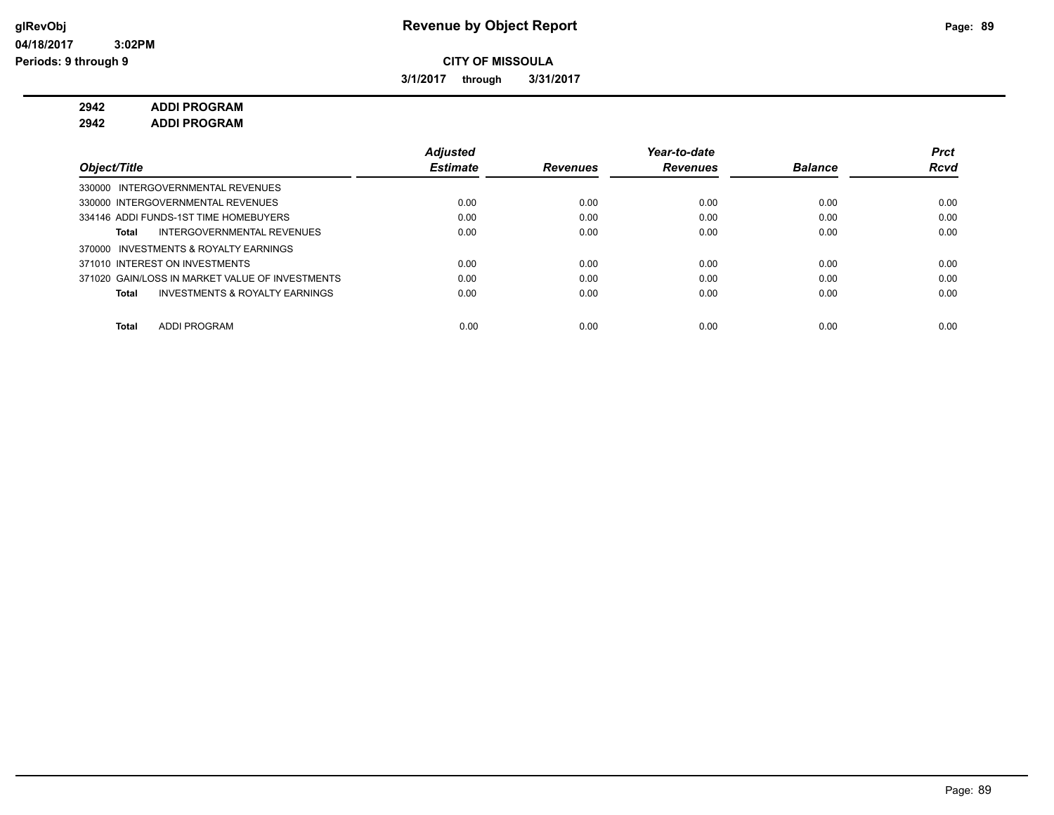**3/1/2017 through 3/31/2017**

**2942 ADDI PROGRAM 2942 ADDI PROGRAM**

|                                                    | <b>Adjusted</b> |                 | Year-to-date    |                | <b>Prct</b> |
|----------------------------------------------------|-----------------|-----------------|-----------------|----------------|-------------|
| Object/Title                                       | <b>Estimate</b> | <b>Revenues</b> | <b>Revenues</b> | <b>Balance</b> | Rcvd        |
| 330000 INTERGOVERNMENTAL REVENUES                  |                 |                 |                 |                |             |
| 330000 INTERGOVERNMENTAL REVENUES                  | 0.00            | 0.00            | 0.00            | 0.00           | 0.00        |
| 334146 ADDI FUNDS-1ST TIME HOMEBUYERS              | 0.00            | 0.00            | 0.00            | 0.00           | 0.00        |
| INTERGOVERNMENTAL REVENUES<br>Total                | 0.00            | 0.00            | 0.00            | 0.00           | 0.00        |
| 370000 INVESTMENTS & ROYALTY EARNINGS              |                 |                 |                 |                |             |
| 371010 INTEREST ON INVESTMENTS                     | 0.00            | 0.00            | 0.00            | 0.00           | 0.00        |
| 371020 GAIN/LOSS IN MARKET VALUE OF INVESTMENTS    | 0.00            | 0.00            | 0.00            | 0.00           | 0.00        |
| <b>INVESTMENTS &amp; ROYALTY EARNINGS</b><br>Total | 0.00            | 0.00            | 0.00            | 0.00           | 0.00        |
| ADDI PROGRAM<br>Total                              | 0.00            | 0.00            | 0.00            | 0.00           | 0.00        |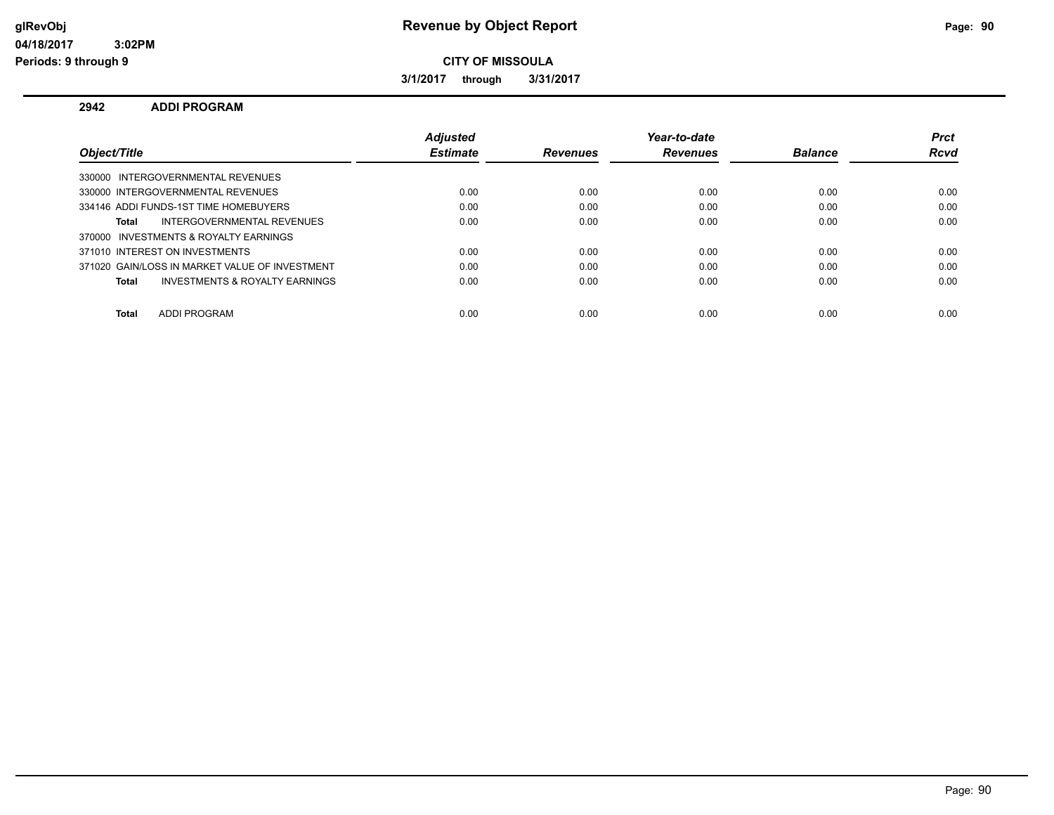**3/1/2017 through 3/31/2017**

#### **2942 ADDI PROGRAM**

|                                                           | <b>Adiusted</b> |                 | Year-to-date    |                | <b>Prct</b> |
|-----------------------------------------------------------|-----------------|-----------------|-----------------|----------------|-------------|
| Obiect/Title                                              | Estimate        | <b>Revenues</b> | <b>Revenues</b> | <b>Balance</b> | <b>Rcvd</b> |
| 330000 INTERGOVERNMENTAL REVENUES                         |                 |                 |                 |                |             |
| 330000 INTERGOVERNMENTAL REVENUES                         | 0.00            | 0.00            | 0.00            | 0.00           | 0.00        |
| 334146 ADDI FUNDS-1ST TIME HOMEBUYERS                     | 0.00            | 0.00            | 0.00            | 0.00           | 0.00        |
| INTERGOVERNMENTAL REVENUES<br>Total                       | 0.00            | 0.00            | 0.00            | 0.00           | 0.00        |
| 370000 INVESTMENTS & ROYALTY EARNINGS                     |                 |                 |                 |                |             |
| 371010 INTEREST ON INVESTMENTS                            | 0.00            | 0.00            | 0.00            | 0.00           | 0.00        |
| 371020 GAIN/LOSS IN MARKET VALUE OF INVESTMENT            | 0.00            | 0.00            | 0.00            | 0.00           | 0.00        |
| <b>INVESTMENTS &amp; ROYALTY EARNINGS</b><br><b>Total</b> | 0.00            | 0.00            | 0.00            | 0.00           | 0.00        |
|                                                           |                 |                 |                 |                |             |
| ADDI PROGRAM<br>Total                                     | 0.00            | 0.00            | 0.00            | 0.00           | 0.00        |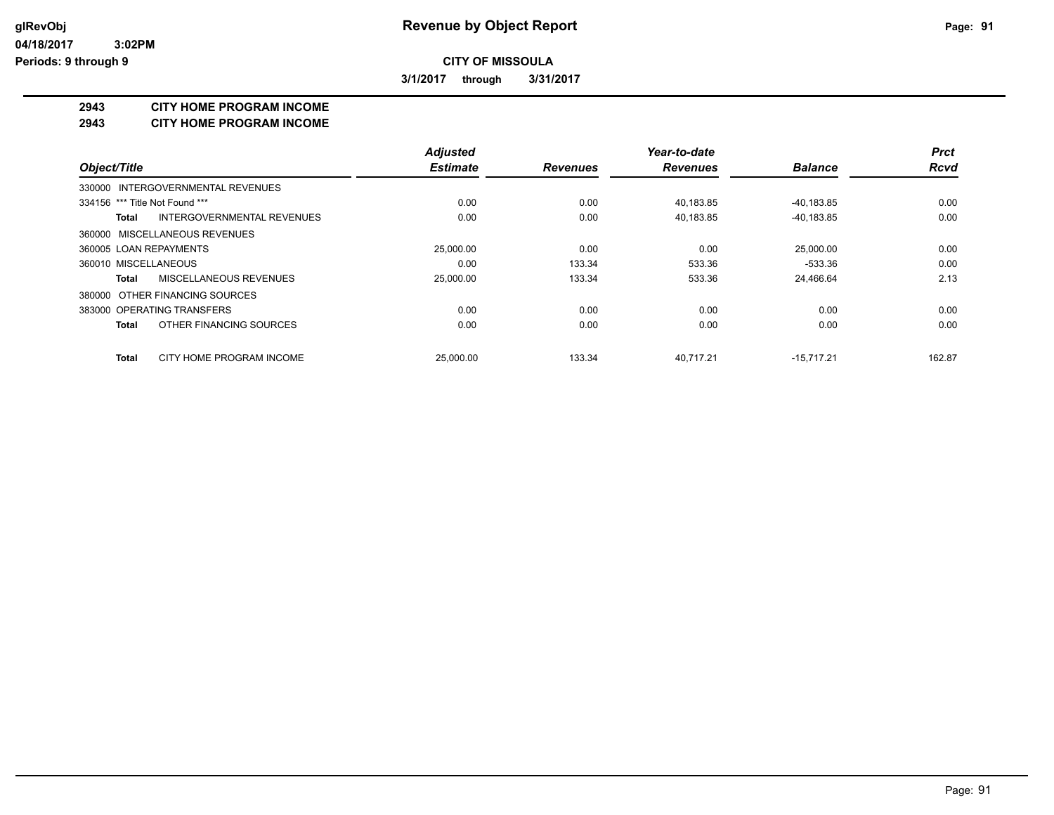**3/1/2017 through 3/31/2017**

## **2943 CITY HOME PROGRAM INCOME**

#### **2943 CITY HOME PROGRAM INCOME**

|                                            | <b>Adjusted</b> |                 | Year-to-date    |                | <b>Prct</b> |
|--------------------------------------------|-----------------|-----------------|-----------------|----------------|-------------|
| Object/Title                               | <b>Estimate</b> | <b>Revenues</b> | <b>Revenues</b> | <b>Balance</b> | Rcvd        |
| 330000 INTERGOVERNMENTAL REVENUES          |                 |                 |                 |                |             |
| 334156 *** Title Not Found ***             | 0.00            | 0.00            | 40,183.85       | $-40,183.85$   | 0.00        |
| <b>INTERGOVERNMENTAL REVENUES</b><br>Total | 0.00            | 0.00            | 40,183.85       | $-40,183.85$   | 0.00        |
| 360000 MISCELLANEOUS REVENUES              |                 |                 |                 |                |             |
| 360005 LOAN REPAYMENTS                     | 25,000.00       | 0.00            | 0.00            | 25,000.00      | 0.00        |
| 360010 MISCELLANEOUS                       | 0.00            | 133.34          | 533.36          | $-533.36$      | 0.00        |
| <b>MISCELLANEOUS REVENUES</b><br>Total     | 25,000.00       | 133.34          | 533.36          | 24.466.64      | 2.13        |
| 380000 OTHER FINANCING SOURCES             |                 |                 |                 |                |             |
| 383000 OPERATING TRANSFERS                 | 0.00            | 0.00            | 0.00            | 0.00           | 0.00        |
| OTHER FINANCING SOURCES<br>Total           | 0.00            | 0.00            | 0.00            | 0.00           | 0.00        |
| CITY HOME PROGRAM INCOME<br><b>Total</b>   | 25.000.00       | 133.34          | 40.717.21       | $-15.717.21$   | 162.87      |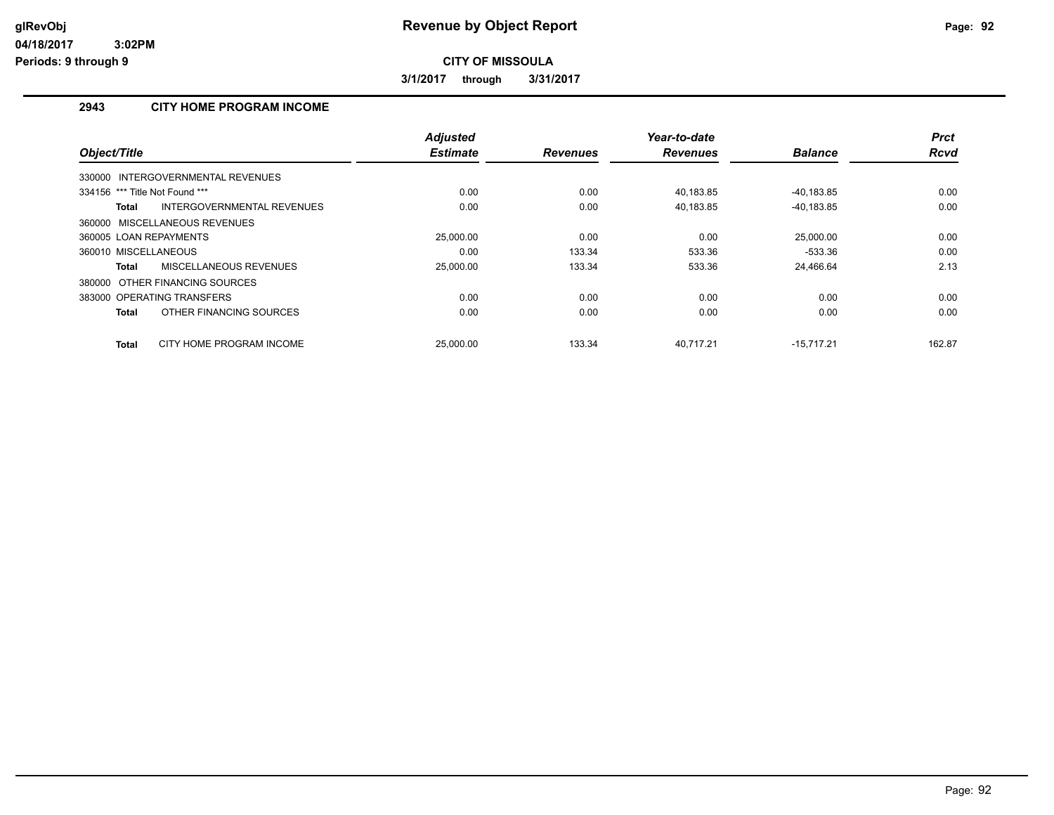**3/1/2017 through 3/31/2017**

#### **2943 CITY HOME PROGRAM INCOME**

|                                          | <b>Adjusted</b> |                 | Year-to-date    |                | <b>Prct</b> |
|------------------------------------------|-----------------|-----------------|-----------------|----------------|-------------|
| Object/Title                             | <b>Estimate</b> | <b>Revenues</b> | <b>Revenues</b> | <b>Balance</b> | <b>Rcvd</b> |
| 330000 INTERGOVERNMENTAL REVENUES        |                 |                 |                 |                |             |
| 334156 *** Title Not Found ***           | 0.00            | 0.00            | 40.183.85       | $-40,183.85$   | 0.00        |
| INTERGOVERNMENTAL REVENUES<br>Total      | 0.00            | 0.00            | 40,183.85       | $-40,183.85$   | 0.00        |
| MISCELLANEOUS REVENUES<br>360000         |                 |                 |                 |                |             |
| 360005 LOAN REPAYMENTS                   | 25,000.00       | 0.00            | 0.00            | 25,000.00      | 0.00        |
| 360010 MISCELLANEOUS                     | 0.00            | 133.34          | 533.36          | $-533.36$      | 0.00        |
| MISCELLANEOUS REVENUES<br>Total          | 25,000.00       | 133.34          | 533.36          | 24,466.64      | 2.13        |
| OTHER FINANCING SOURCES<br>380000        |                 |                 |                 |                |             |
| 383000 OPERATING TRANSFERS               | 0.00            | 0.00            | 0.00            | 0.00           | 0.00        |
| OTHER FINANCING SOURCES<br><b>Total</b>  | 0.00            | 0.00            | 0.00            | 0.00           | 0.00        |
| CITY HOME PROGRAM INCOME<br><b>Total</b> | 25.000.00       | 133.34          | 40.717.21       | $-15.717.21$   | 162.87      |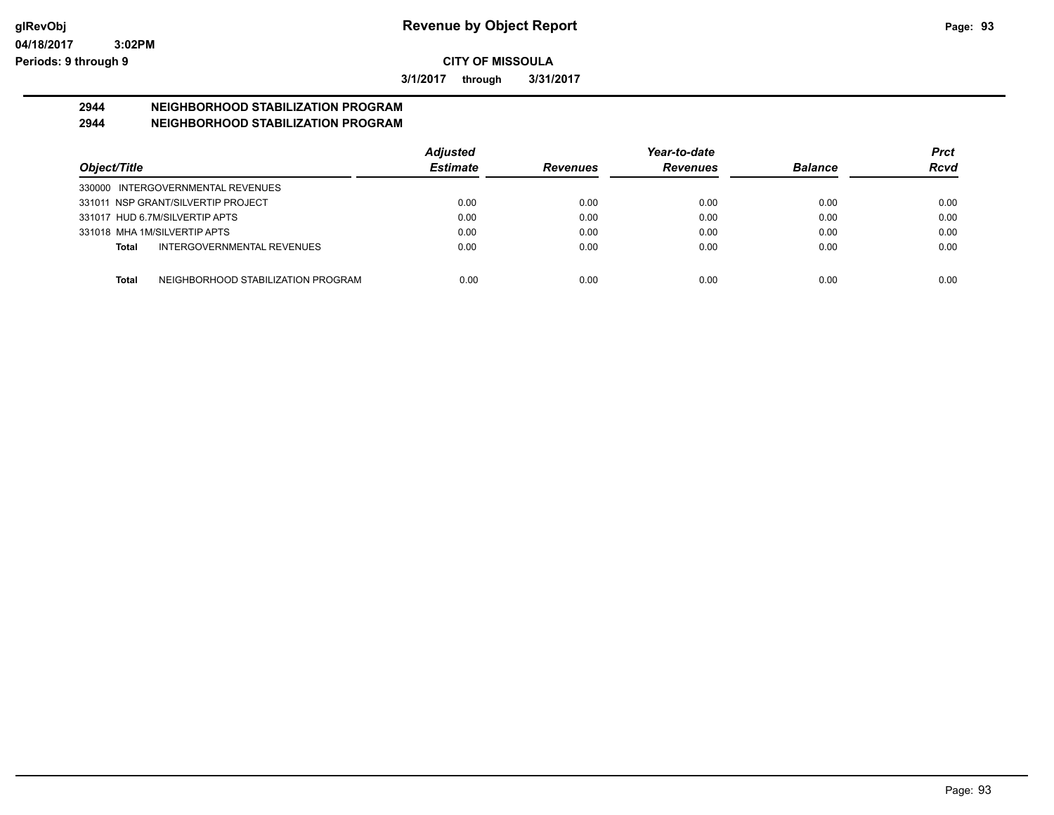**3/1/2017 through 3/31/2017**

#### **2944 NEIGHBORHOOD STABILIZATION PROGRAM 2944 NEIGHBORHOOD STABILIZATION PROGRAM**

| Object/Title |                                    | <b>Adjusted</b><br><b>Estimate</b> | <b>Revenues</b> | Year-to-date<br><b>Revenues</b> | <b>Balance</b> | Prct<br><b>Rcvd</b> |
|--------------|------------------------------------|------------------------------------|-----------------|---------------------------------|----------------|---------------------|
|              |                                    |                                    |                 |                                 |                |                     |
|              | 330000 INTERGOVERNMENTAL REVENUES  |                                    |                 |                                 |                |                     |
|              | 331011 NSP GRANT/SILVERTIP PROJECT | 0.00                               | 0.00            | 0.00                            | 0.00           | 0.00                |
|              | 331017 HUD 6.7M/SILVERTIP APTS     | 0.00                               | 0.00            | 0.00                            | 0.00           | 0.00                |
|              | 331018 MHA 1M/SILVERTIP APTS       | 0.00                               | 0.00            | 0.00                            | 0.00           | 0.00                |
| <b>Total</b> | INTERGOVERNMENTAL REVENUES         | 0.00                               | 0.00            | 0.00                            | 0.00           | 0.00                |
|              |                                    |                                    |                 |                                 |                |                     |
| <b>Total</b> | NEIGHBORHOOD STABILIZATION PROGRAM | 0.00                               | 0.00            | 0.00                            | 0.00           | 0.00                |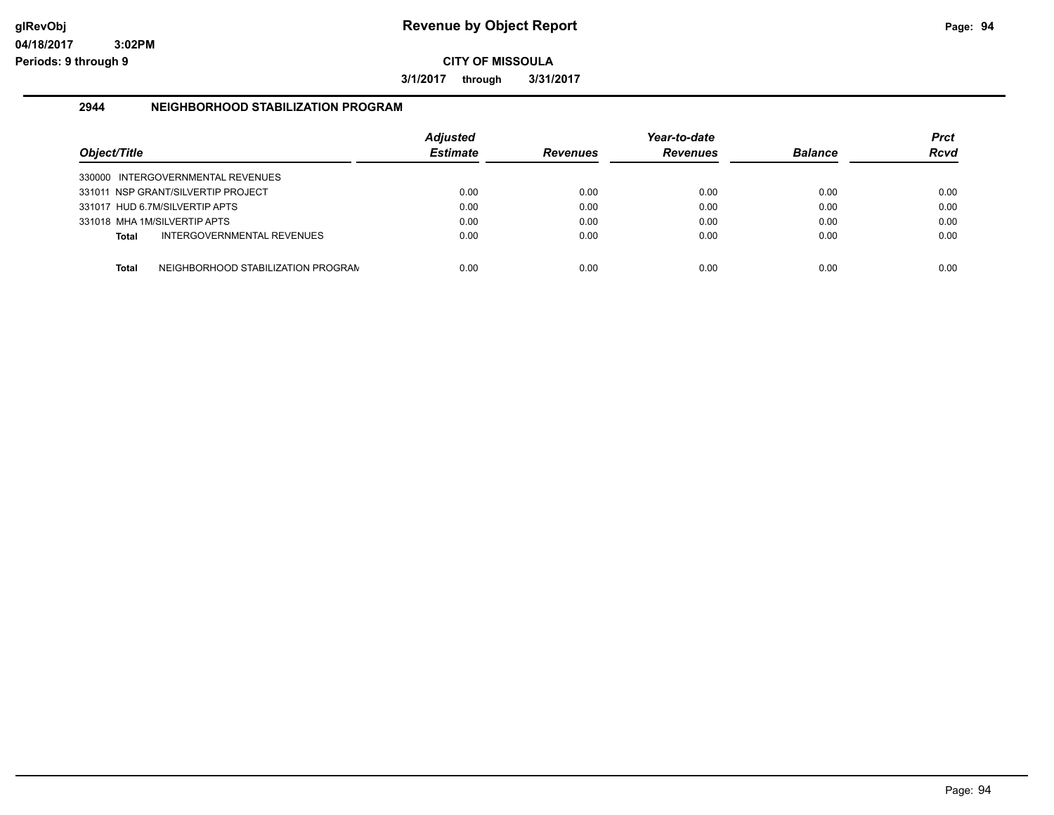**3/1/2017 through 3/31/2017**

#### **2944 NEIGHBORHOOD STABILIZATION PROGRAM**

| Object/Title                                | <b>Adjusted</b><br><b>Estimate</b> | <b>Revenues</b> | Year-to-date<br><b>Revenues</b> | <b>Balance</b> | <b>Prct</b><br><b>Rcvd</b> |
|---------------------------------------------|------------------------------------|-----------------|---------------------------------|----------------|----------------------------|
| 330000 INTERGOVERNMENTAL REVENUES           |                                    |                 |                                 |                |                            |
| 331011 NSP GRANT/SILVERTIP PROJECT          | 0.00                               | 0.00            | 0.00                            | 0.00           | 0.00                       |
| 331017 HUD 6.7M/SILVERTIP APTS              | 0.00                               | 0.00            | 0.00                            | 0.00           | 0.00                       |
| 331018 MHA 1M/SILVERTIP APTS                | 0.00                               | 0.00            | 0.00                            | 0.00           | 0.00                       |
| INTERGOVERNMENTAL REVENUES<br><b>Total</b>  | 0.00                               | 0.00            | 0.00                            | 0.00           | 0.00                       |
| Total<br>NEIGHBORHOOD STABILIZATION PROGRAM | 0.00                               | 0.00            | 0.00                            | 0.00           | 0.00                       |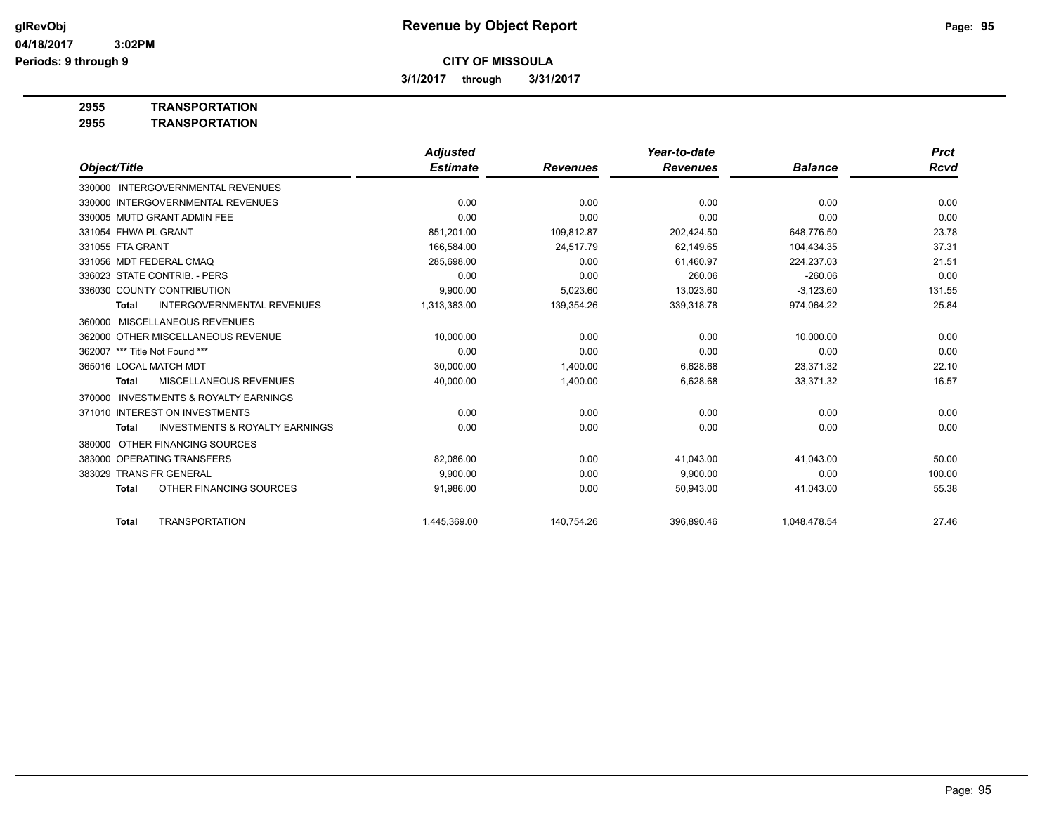**3/1/2017 through 3/31/2017**

**2955 TRANSPORTATION 2955 TRANSPORTATION**

|                                                           | <b>Adjusted</b> |                 | Year-to-date    |                | <b>Prct</b> |
|-----------------------------------------------------------|-----------------|-----------------|-----------------|----------------|-------------|
| Object/Title                                              | <b>Estimate</b> | <b>Revenues</b> | <b>Revenues</b> | <b>Balance</b> | Rcvd        |
| INTERGOVERNMENTAL REVENUES<br>330000                      |                 |                 |                 |                |             |
| 330000 INTERGOVERNMENTAL REVENUES                         | 0.00            | 0.00            | 0.00            | 0.00           | 0.00        |
| 330005 MUTD GRANT ADMIN FEE                               | 0.00            | 0.00            | 0.00            | 0.00           | 0.00        |
| 331054 FHWA PL GRANT                                      | 851,201.00      | 109,812.87      | 202,424.50      | 648,776.50     | 23.78       |
| 331055 FTA GRANT                                          | 166,584.00      | 24.517.79       | 62.149.65       | 104,434.35     | 37.31       |
| 331056 MDT FEDERAL CMAQ                                   | 285.698.00      | 0.00            | 61.460.97       | 224.237.03     | 21.51       |
| 336023 STATE CONTRIB. - PERS                              | 0.00            | 0.00            | 260.06          | $-260.06$      | 0.00        |
| 336030 COUNTY CONTRIBUTION                                | 9,900.00        | 5,023.60        | 13,023.60       | $-3,123.60$    | 131.55      |
| INTERGOVERNMENTAL REVENUES<br><b>Total</b>                | 1,313,383.00    | 139,354.26      | 339,318.78      | 974,064.22     | 25.84       |
| MISCELLANEOUS REVENUES<br>360000                          |                 |                 |                 |                |             |
| 362000 OTHER MISCELLANEOUS REVENUE                        | 10,000.00       | 0.00            | 0.00            | 10,000.00      | 0.00        |
| 362007 *** Title Not Found ***                            | 0.00            | 0.00            | 0.00            | 0.00           | 0.00        |
| 365016 LOCAL MATCH MDT                                    | 30,000.00       | 1,400.00        | 6,628.68        | 23,371.32      | 22.10       |
| <b>MISCELLANEOUS REVENUES</b><br><b>Total</b>             | 40,000.00       | 1,400.00        | 6,628.68        | 33,371.32      | 16.57       |
| <b>INVESTMENTS &amp; ROYALTY EARNINGS</b><br>370000       |                 |                 |                 |                |             |
| 371010 INTEREST ON INVESTMENTS                            | 0.00            | 0.00            | 0.00            | 0.00           | 0.00        |
| <b>INVESTMENTS &amp; ROYALTY EARNINGS</b><br><b>Total</b> | 0.00            | 0.00            | 0.00            | 0.00           | 0.00        |
| OTHER FINANCING SOURCES<br>380000                         |                 |                 |                 |                |             |
| 383000 OPERATING TRANSFERS                                | 82.086.00       | 0.00            | 41.043.00       | 41.043.00      | 50.00       |
| 383029 TRANS FR GENERAL                                   | 9.900.00        | 0.00            | 9,900.00        | 0.00           | 100.00      |
| OTHER FINANCING SOURCES<br><b>Total</b>                   | 91,986.00       | 0.00            | 50,943.00       | 41,043.00      | 55.38       |
| <b>TRANSPORTATION</b><br><b>Total</b>                     | 1.445.369.00    | 140.754.26      | 396.890.46      | 1.048.478.54   | 27.46       |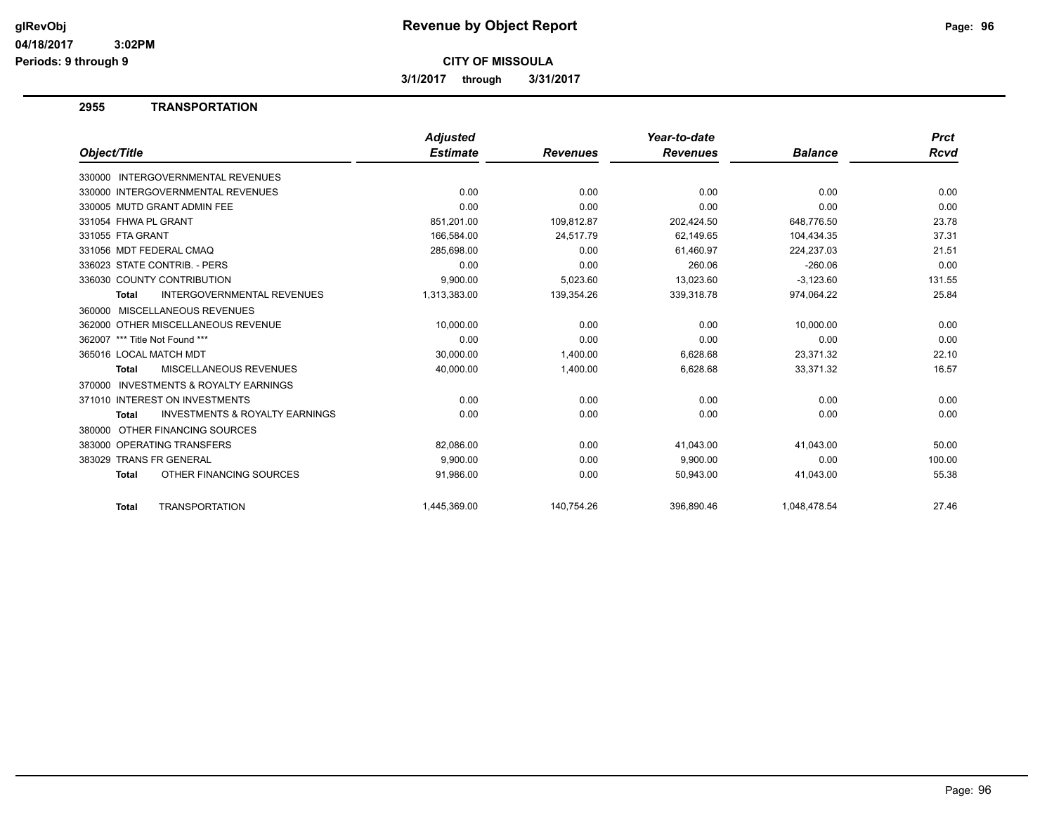**3/1/2017 through 3/31/2017**

#### **2955 TRANSPORTATION**

|                                                           | <b>Adjusted</b> |                 | Year-to-date    |                | <b>Prct</b> |
|-----------------------------------------------------------|-----------------|-----------------|-----------------|----------------|-------------|
| Object/Title                                              | <b>Estimate</b> | <b>Revenues</b> | <b>Revenues</b> | <b>Balance</b> | Rcvd        |
| 330000 INTERGOVERNMENTAL REVENUES                         |                 |                 |                 |                |             |
| 330000 INTERGOVERNMENTAL REVENUES                         | 0.00            | 0.00            | 0.00            | 0.00           | 0.00        |
| 330005 MUTD GRANT ADMIN FEE                               | 0.00            | 0.00            | 0.00            | 0.00           | 0.00        |
| 331054 FHWA PL GRANT                                      | 851,201.00      | 109,812.87      | 202,424.50      | 648,776.50     | 23.78       |
| 331055 FTA GRANT                                          | 166,584.00      | 24,517.79       | 62,149.65       | 104,434.35     | 37.31       |
| 331056 MDT FEDERAL CMAQ                                   | 285,698.00      | 0.00            | 61,460.97       | 224,237.03     | 21.51       |
| 336023 STATE CONTRIB. - PERS                              | 0.00            | 0.00            | 260.06          | $-260.06$      | 0.00        |
| 336030 COUNTY CONTRIBUTION                                | 9,900.00        | 5,023.60        | 13,023.60       | $-3,123.60$    | 131.55      |
| <b>INTERGOVERNMENTAL REVENUES</b><br><b>Total</b>         | 1,313,383.00    | 139,354.26      | 339,318.78      | 974,064.22     | 25.84       |
| 360000 MISCELLANEOUS REVENUES                             |                 |                 |                 |                |             |
| 362000 OTHER MISCELLANEOUS REVENUE                        | 10.000.00       | 0.00            | 0.00            | 10,000.00      | 0.00        |
| 362007 *** Title Not Found ***                            | 0.00            | 0.00            | 0.00            | 0.00           | 0.00        |
| 365016 LOCAL MATCH MDT                                    | 30,000.00       | 1,400.00        | 6,628.68        | 23,371.32      | 22.10       |
| MISCELLANEOUS REVENUES<br><b>Total</b>                    | 40,000.00       | 1,400.00        | 6,628.68        | 33,371.32      | 16.57       |
| <b>INVESTMENTS &amp; ROYALTY EARNINGS</b><br>370000       |                 |                 |                 |                |             |
| 371010 INTEREST ON INVESTMENTS                            | 0.00            | 0.00            | 0.00            | 0.00           | 0.00        |
| <b>INVESTMENTS &amp; ROYALTY EARNINGS</b><br><b>Total</b> | 0.00            | 0.00            | 0.00            | 0.00           | 0.00        |
| 380000 OTHER FINANCING SOURCES                            |                 |                 |                 |                |             |
| 383000 OPERATING TRANSFERS                                | 82,086.00       | 0.00            | 41,043.00       | 41,043.00      | 50.00       |
| 383029 TRANS FR GENERAL                                   | 9.900.00        | 0.00            | 9,900.00        | 0.00           | 100.00      |
| OTHER FINANCING SOURCES<br><b>Total</b>                   | 91,986.00       | 0.00            | 50,943.00       | 41,043.00      | 55.38       |
| <b>TRANSPORTATION</b><br><b>Total</b>                     | 1,445,369.00    | 140,754.26      | 396,890.46      | 1,048,478.54   | 27.46       |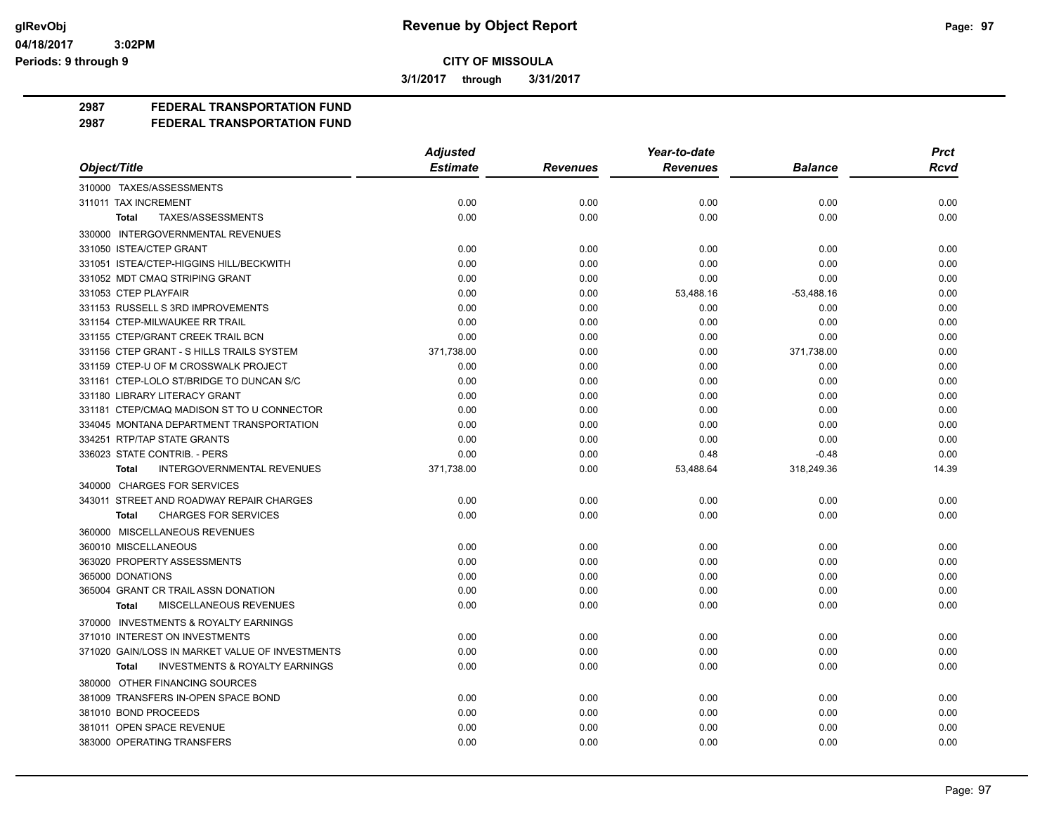**3/1/2017 through 3/31/2017**

# **2987 FEDERAL TRANSPORTATION FUND**

| <b>Estimate</b><br>Object/Title<br><b>Revenues</b><br><b>Rcvd</b><br><b>Revenues</b><br><b>Balance</b><br>310000 TAXES/ASSESSMENTS<br>311011 TAX INCREMENT<br>0.00<br>0.00<br>0.00<br>0.00<br>0.00<br>TAXES/ASSESSMENTS<br>0.00<br>0.00<br>0.00<br>0.00<br>0.00<br>Total<br>330000 INTERGOVERNMENTAL REVENUES<br>331050 ISTEA/CTEP GRANT<br>0.00<br>0.00<br>0.00<br>0.00<br>0.00<br>331051 ISTEA/CTEP-HIGGINS HILL/BECKWITH<br>0.00<br>0.00<br>0.00<br>0.00<br>0.00<br>331052 MDT CMAQ STRIPING GRANT<br>0.00<br>0.00<br>0.00<br>0.00<br>0.00<br>331053 CTEP PLAYFAIR<br>0.00<br>0.00<br>53,488.16<br>$-53,488.16$<br>0.00<br>331153 RUSSELL S 3RD IMPROVEMENTS<br>0.00<br>0.00<br>0.00<br>0.00<br>0.00<br>331154 CTEP-MILWAUKEE RR TRAIL<br>0.00<br>0.00<br>0.00<br>0.00<br>0.00<br>331155 CTEP/GRANT CREEK TRAIL BCN<br>0.00<br>0.00<br>0.00<br>0.00<br>0.00<br>331156 CTEP GRANT - S HILLS TRAILS SYSTEM<br>371,738.00<br>0.00<br>0.00<br>371,738.00<br>0.00<br>331159 CTEP-U OF M CROSSWALK PROJECT<br>0.00<br>0.00<br>0.00<br>0.00<br>0.00<br>331161 CTEP-LOLO ST/BRIDGE TO DUNCAN S/C<br>0.00<br>0.00<br>0.00<br>0.00<br>0.00<br>331180 LIBRARY LITERACY GRANT<br>0.00<br>0.00<br>0.00<br>0.00<br>0.00<br>331181 CTEP/CMAQ MADISON ST TO U CONNECTOR<br>0.00<br>0.00<br>0.00<br>0.00<br>0.00<br>334045 MONTANA DEPARTMENT TRANSPORTATION<br>0.00<br>0.00<br>0.00<br>0.00<br>0.00<br>334251 RTP/TAP STATE GRANTS<br>0.00<br>0.00<br>0.00<br>0.00<br>0.00<br>336023 STATE CONTRIB. - PERS<br>0.00<br>0.00<br>0.48<br>$-0.48$<br>0.00<br><b>INTERGOVERNMENTAL REVENUES</b><br>371,738.00<br>0.00<br>53,488.64<br>318,249.36<br>14.39<br>Total<br>340000 CHARGES FOR SERVICES<br>343011 STREET AND ROADWAY REPAIR CHARGES<br>0.00<br>0.00<br>0.00<br>0.00<br>0.00<br><b>CHARGES FOR SERVICES</b><br>0.00<br>0.00<br>0.00<br>0.00<br>0.00<br><b>Total</b><br>360000 MISCELLANEOUS REVENUES<br>360010 MISCELLANEOUS<br>0.00<br>0.00<br>0.00<br>0.00<br>0.00<br>363020 PROPERTY ASSESSMENTS<br>0.00<br>0.00<br>0.00<br>0.00<br>0.00<br>365000 DONATIONS<br>0.00<br>0.00<br>0.00<br>0.00<br>0.00<br>365004 GRANT CR TRAIL ASSN DONATION<br>0.00<br>0.00<br>0.00<br>0.00<br>0.00<br>MISCELLANEOUS REVENUES<br>0.00<br>0.00<br>0.00<br>0.00<br>0.00<br><b>Total</b><br>370000 INVESTMENTS & ROYALTY EARNINGS<br>0.00<br>0.00<br>0.00<br>0.00<br>0.00<br>0.00<br>0.00<br>0.00<br>0.00<br>0.00<br><b>INVESTMENTS &amp; ROYALTY EARNINGS</b><br>0.00<br>0.00<br>0.00<br>0.00<br>0.00<br>Total<br>380000 OTHER FINANCING SOURCES<br>381009 TRANSFERS IN-OPEN SPACE BOND<br>0.00<br>0.00<br>0.00<br>0.00<br>0.00<br>381010 BOND PROCEEDS<br>0.00<br>0.00<br>0.00<br>0.00<br>0.00<br>381011 OPEN SPACE REVENUE<br>0.00<br>0.00<br>0.00<br>0.00<br>0.00<br>383000 OPERATING TRANSFERS<br>0.00<br>0.00<br>0.00<br>0.00<br>0.00 |                                                 | <b>Adjusted</b> | Year-to-date | <b>Prct</b> |
|--------------------------------------------------------------------------------------------------------------------------------------------------------------------------------------------------------------------------------------------------------------------------------------------------------------------------------------------------------------------------------------------------------------------------------------------------------------------------------------------------------------------------------------------------------------------------------------------------------------------------------------------------------------------------------------------------------------------------------------------------------------------------------------------------------------------------------------------------------------------------------------------------------------------------------------------------------------------------------------------------------------------------------------------------------------------------------------------------------------------------------------------------------------------------------------------------------------------------------------------------------------------------------------------------------------------------------------------------------------------------------------------------------------------------------------------------------------------------------------------------------------------------------------------------------------------------------------------------------------------------------------------------------------------------------------------------------------------------------------------------------------------------------------------------------------------------------------------------------------------------------------------------------------------------------------------------------------------------------------------------------------------------------------------------------------------------------------------------------------------------------------------------------------------------------------------------------------------------------------------------------------------------------------------------------------------------------------------------------------------------------------------------------------------------------------------------------------------------------------------------------------------------------------------------------------------------------------------------------------------------------------------------------------------------------------------------------------------------------------------------------------------------------------------------------------------|-------------------------------------------------|-----------------|--------------|-------------|
|                                                                                                                                                                                                                                                                                                                                                                                                                                                                                                                                                                                                                                                                                                                                                                                                                                                                                                                                                                                                                                                                                                                                                                                                                                                                                                                                                                                                                                                                                                                                                                                                                                                                                                                                                                                                                                                                                                                                                                                                                                                                                                                                                                                                                                                                                                                                                                                                                                                                                                                                                                                                                                                                                                                                                                                                                    |                                                 |                 |              |             |
|                                                                                                                                                                                                                                                                                                                                                                                                                                                                                                                                                                                                                                                                                                                                                                                                                                                                                                                                                                                                                                                                                                                                                                                                                                                                                                                                                                                                                                                                                                                                                                                                                                                                                                                                                                                                                                                                                                                                                                                                                                                                                                                                                                                                                                                                                                                                                                                                                                                                                                                                                                                                                                                                                                                                                                                                                    |                                                 |                 |              |             |
|                                                                                                                                                                                                                                                                                                                                                                                                                                                                                                                                                                                                                                                                                                                                                                                                                                                                                                                                                                                                                                                                                                                                                                                                                                                                                                                                                                                                                                                                                                                                                                                                                                                                                                                                                                                                                                                                                                                                                                                                                                                                                                                                                                                                                                                                                                                                                                                                                                                                                                                                                                                                                                                                                                                                                                                                                    |                                                 |                 |              |             |
|                                                                                                                                                                                                                                                                                                                                                                                                                                                                                                                                                                                                                                                                                                                                                                                                                                                                                                                                                                                                                                                                                                                                                                                                                                                                                                                                                                                                                                                                                                                                                                                                                                                                                                                                                                                                                                                                                                                                                                                                                                                                                                                                                                                                                                                                                                                                                                                                                                                                                                                                                                                                                                                                                                                                                                                                                    |                                                 |                 |              |             |
|                                                                                                                                                                                                                                                                                                                                                                                                                                                                                                                                                                                                                                                                                                                                                                                                                                                                                                                                                                                                                                                                                                                                                                                                                                                                                                                                                                                                                                                                                                                                                                                                                                                                                                                                                                                                                                                                                                                                                                                                                                                                                                                                                                                                                                                                                                                                                                                                                                                                                                                                                                                                                                                                                                                                                                                                                    |                                                 |                 |              |             |
|                                                                                                                                                                                                                                                                                                                                                                                                                                                                                                                                                                                                                                                                                                                                                                                                                                                                                                                                                                                                                                                                                                                                                                                                                                                                                                                                                                                                                                                                                                                                                                                                                                                                                                                                                                                                                                                                                                                                                                                                                                                                                                                                                                                                                                                                                                                                                                                                                                                                                                                                                                                                                                                                                                                                                                                                                    |                                                 |                 |              |             |
|                                                                                                                                                                                                                                                                                                                                                                                                                                                                                                                                                                                                                                                                                                                                                                                                                                                                                                                                                                                                                                                                                                                                                                                                                                                                                                                                                                                                                                                                                                                                                                                                                                                                                                                                                                                                                                                                                                                                                                                                                                                                                                                                                                                                                                                                                                                                                                                                                                                                                                                                                                                                                                                                                                                                                                                                                    |                                                 |                 |              |             |
|                                                                                                                                                                                                                                                                                                                                                                                                                                                                                                                                                                                                                                                                                                                                                                                                                                                                                                                                                                                                                                                                                                                                                                                                                                                                                                                                                                                                                                                                                                                                                                                                                                                                                                                                                                                                                                                                                                                                                                                                                                                                                                                                                                                                                                                                                                                                                                                                                                                                                                                                                                                                                                                                                                                                                                                                                    |                                                 |                 |              |             |
|                                                                                                                                                                                                                                                                                                                                                                                                                                                                                                                                                                                                                                                                                                                                                                                                                                                                                                                                                                                                                                                                                                                                                                                                                                                                                                                                                                                                                                                                                                                                                                                                                                                                                                                                                                                                                                                                                                                                                                                                                                                                                                                                                                                                                                                                                                                                                                                                                                                                                                                                                                                                                                                                                                                                                                                                                    |                                                 |                 |              |             |
|                                                                                                                                                                                                                                                                                                                                                                                                                                                                                                                                                                                                                                                                                                                                                                                                                                                                                                                                                                                                                                                                                                                                                                                                                                                                                                                                                                                                                                                                                                                                                                                                                                                                                                                                                                                                                                                                                                                                                                                                                                                                                                                                                                                                                                                                                                                                                                                                                                                                                                                                                                                                                                                                                                                                                                                                                    |                                                 |                 |              |             |
|                                                                                                                                                                                                                                                                                                                                                                                                                                                                                                                                                                                                                                                                                                                                                                                                                                                                                                                                                                                                                                                                                                                                                                                                                                                                                                                                                                                                                                                                                                                                                                                                                                                                                                                                                                                                                                                                                                                                                                                                                                                                                                                                                                                                                                                                                                                                                                                                                                                                                                                                                                                                                                                                                                                                                                                                                    |                                                 |                 |              |             |
|                                                                                                                                                                                                                                                                                                                                                                                                                                                                                                                                                                                                                                                                                                                                                                                                                                                                                                                                                                                                                                                                                                                                                                                                                                                                                                                                                                                                                                                                                                                                                                                                                                                                                                                                                                                                                                                                                                                                                                                                                                                                                                                                                                                                                                                                                                                                                                                                                                                                                                                                                                                                                                                                                                                                                                                                                    |                                                 |                 |              |             |
|                                                                                                                                                                                                                                                                                                                                                                                                                                                                                                                                                                                                                                                                                                                                                                                                                                                                                                                                                                                                                                                                                                                                                                                                                                                                                                                                                                                                                                                                                                                                                                                                                                                                                                                                                                                                                                                                                                                                                                                                                                                                                                                                                                                                                                                                                                                                                                                                                                                                                                                                                                                                                                                                                                                                                                                                                    |                                                 |                 |              |             |
|                                                                                                                                                                                                                                                                                                                                                                                                                                                                                                                                                                                                                                                                                                                                                                                                                                                                                                                                                                                                                                                                                                                                                                                                                                                                                                                                                                                                                                                                                                                                                                                                                                                                                                                                                                                                                                                                                                                                                                                                                                                                                                                                                                                                                                                                                                                                                                                                                                                                                                                                                                                                                                                                                                                                                                                                                    |                                                 |                 |              |             |
|                                                                                                                                                                                                                                                                                                                                                                                                                                                                                                                                                                                                                                                                                                                                                                                                                                                                                                                                                                                                                                                                                                                                                                                                                                                                                                                                                                                                                                                                                                                                                                                                                                                                                                                                                                                                                                                                                                                                                                                                                                                                                                                                                                                                                                                                                                                                                                                                                                                                                                                                                                                                                                                                                                                                                                                                                    |                                                 |                 |              |             |
|                                                                                                                                                                                                                                                                                                                                                                                                                                                                                                                                                                                                                                                                                                                                                                                                                                                                                                                                                                                                                                                                                                                                                                                                                                                                                                                                                                                                                                                                                                                                                                                                                                                                                                                                                                                                                                                                                                                                                                                                                                                                                                                                                                                                                                                                                                                                                                                                                                                                                                                                                                                                                                                                                                                                                                                                                    |                                                 |                 |              |             |
|                                                                                                                                                                                                                                                                                                                                                                                                                                                                                                                                                                                                                                                                                                                                                                                                                                                                                                                                                                                                                                                                                                                                                                                                                                                                                                                                                                                                                                                                                                                                                                                                                                                                                                                                                                                                                                                                                                                                                                                                                                                                                                                                                                                                                                                                                                                                                                                                                                                                                                                                                                                                                                                                                                                                                                                                                    |                                                 |                 |              |             |
|                                                                                                                                                                                                                                                                                                                                                                                                                                                                                                                                                                                                                                                                                                                                                                                                                                                                                                                                                                                                                                                                                                                                                                                                                                                                                                                                                                                                                                                                                                                                                                                                                                                                                                                                                                                                                                                                                                                                                                                                                                                                                                                                                                                                                                                                                                                                                                                                                                                                                                                                                                                                                                                                                                                                                                                                                    |                                                 |                 |              |             |
|                                                                                                                                                                                                                                                                                                                                                                                                                                                                                                                                                                                                                                                                                                                                                                                                                                                                                                                                                                                                                                                                                                                                                                                                                                                                                                                                                                                                                                                                                                                                                                                                                                                                                                                                                                                                                                                                                                                                                                                                                                                                                                                                                                                                                                                                                                                                                                                                                                                                                                                                                                                                                                                                                                                                                                                                                    |                                                 |                 |              |             |
|                                                                                                                                                                                                                                                                                                                                                                                                                                                                                                                                                                                                                                                                                                                                                                                                                                                                                                                                                                                                                                                                                                                                                                                                                                                                                                                                                                                                                                                                                                                                                                                                                                                                                                                                                                                                                                                                                                                                                                                                                                                                                                                                                                                                                                                                                                                                                                                                                                                                                                                                                                                                                                                                                                                                                                                                                    |                                                 |                 |              |             |
|                                                                                                                                                                                                                                                                                                                                                                                                                                                                                                                                                                                                                                                                                                                                                                                                                                                                                                                                                                                                                                                                                                                                                                                                                                                                                                                                                                                                                                                                                                                                                                                                                                                                                                                                                                                                                                                                                                                                                                                                                                                                                                                                                                                                                                                                                                                                                                                                                                                                                                                                                                                                                                                                                                                                                                                                                    |                                                 |                 |              |             |
|                                                                                                                                                                                                                                                                                                                                                                                                                                                                                                                                                                                                                                                                                                                                                                                                                                                                                                                                                                                                                                                                                                                                                                                                                                                                                                                                                                                                                                                                                                                                                                                                                                                                                                                                                                                                                                                                                                                                                                                                                                                                                                                                                                                                                                                                                                                                                                                                                                                                                                                                                                                                                                                                                                                                                                                                                    |                                                 |                 |              |             |
|                                                                                                                                                                                                                                                                                                                                                                                                                                                                                                                                                                                                                                                                                                                                                                                                                                                                                                                                                                                                                                                                                                                                                                                                                                                                                                                                                                                                                                                                                                                                                                                                                                                                                                                                                                                                                                                                                                                                                                                                                                                                                                                                                                                                                                                                                                                                                                                                                                                                                                                                                                                                                                                                                                                                                                                                                    |                                                 |                 |              |             |
|                                                                                                                                                                                                                                                                                                                                                                                                                                                                                                                                                                                                                                                                                                                                                                                                                                                                                                                                                                                                                                                                                                                                                                                                                                                                                                                                                                                                                                                                                                                                                                                                                                                                                                                                                                                                                                                                                                                                                                                                                                                                                                                                                                                                                                                                                                                                                                                                                                                                                                                                                                                                                                                                                                                                                                                                                    |                                                 |                 |              |             |
|                                                                                                                                                                                                                                                                                                                                                                                                                                                                                                                                                                                                                                                                                                                                                                                                                                                                                                                                                                                                                                                                                                                                                                                                                                                                                                                                                                                                                                                                                                                                                                                                                                                                                                                                                                                                                                                                                                                                                                                                                                                                                                                                                                                                                                                                                                                                                                                                                                                                                                                                                                                                                                                                                                                                                                                                                    |                                                 |                 |              |             |
|                                                                                                                                                                                                                                                                                                                                                                                                                                                                                                                                                                                                                                                                                                                                                                                                                                                                                                                                                                                                                                                                                                                                                                                                                                                                                                                                                                                                                                                                                                                                                                                                                                                                                                                                                                                                                                                                                                                                                                                                                                                                                                                                                                                                                                                                                                                                                                                                                                                                                                                                                                                                                                                                                                                                                                                                                    |                                                 |                 |              |             |
|                                                                                                                                                                                                                                                                                                                                                                                                                                                                                                                                                                                                                                                                                                                                                                                                                                                                                                                                                                                                                                                                                                                                                                                                                                                                                                                                                                                                                                                                                                                                                                                                                                                                                                                                                                                                                                                                                                                                                                                                                                                                                                                                                                                                                                                                                                                                                                                                                                                                                                                                                                                                                                                                                                                                                                                                                    |                                                 |                 |              |             |
|                                                                                                                                                                                                                                                                                                                                                                                                                                                                                                                                                                                                                                                                                                                                                                                                                                                                                                                                                                                                                                                                                                                                                                                                                                                                                                                                                                                                                                                                                                                                                                                                                                                                                                                                                                                                                                                                                                                                                                                                                                                                                                                                                                                                                                                                                                                                                                                                                                                                                                                                                                                                                                                                                                                                                                                                                    |                                                 |                 |              |             |
|                                                                                                                                                                                                                                                                                                                                                                                                                                                                                                                                                                                                                                                                                                                                                                                                                                                                                                                                                                                                                                                                                                                                                                                                                                                                                                                                                                                                                                                                                                                                                                                                                                                                                                                                                                                                                                                                                                                                                                                                                                                                                                                                                                                                                                                                                                                                                                                                                                                                                                                                                                                                                                                                                                                                                                                                                    |                                                 |                 |              |             |
|                                                                                                                                                                                                                                                                                                                                                                                                                                                                                                                                                                                                                                                                                                                                                                                                                                                                                                                                                                                                                                                                                                                                                                                                                                                                                                                                                                                                                                                                                                                                                                                                                                                                                                                                                                                                                                                                                                                                                                                                                                                                                                                                                                                                                                                                                                                                                                                                                                                                                                                                                                                                                                                                                                                                                                                                                    |                                                 |                 |              |             |
|                                                                                                                                                                                                                                                                                                                                                                                                                                                                                                                                                                                                                                                                                                                                                                                                                                                                                                                                                                                                                                                                                                                                                                                                                                                                                                                                                                                                                                                                                                                                                                                                                                                                                                                                                                                                                                                                                                                                                                                                                                                                                                                                                                                                                                                                                                                                                                                                                                                                                                                                                                                                                                                                                                                                                                                                                    |                                                 |                 |              |             |
|                                                                                                                                                                                                                                                                                                                                                                                                                                                                                                                                                                                                                                                                                                                                                                                                                                                                                                                                                                                                                                                                                                                                                                                                                                                                                                                                                                                                                                                                                                                                                                                                                                                                                                                                                                                                                                                                                                                                                                                                                                                                                                                                                                                                                                                                                                                                                                                                                                                                                                                                                                                                                                                                                                                                                                                                                    | 371010 INTEREST ON INVESTMENTS                  |                 |              |             |
|                                                                                                                                                                                                                                                                                                                                                                                                                                                                                                                                                                                                                                                                                                                                                                                                                                                                                                                                                                                                                                                                                                                                                                                                                                                                                                                                                                                                                                                                                                                                                                                                                                                                                                                                                                                                                                                                                                                                                                                                                                                                                                                                                                                                                                                                                                                                                                                                                                                                                                                                                                                                                                                                                                                                                                                                                    | 371020 GAIN/LOSS IN MARKET VALUE OF INVESTMENTS |                 |              |             |
|                                                                                                                                                                                                                                                                                                                                                                                                                                                                                                                                                                                                                                                                                                                                                                                                                                                                                                                                                                                                                                                                                                                                                                                                                                                                                                                                                                                                                                                                                                                                                                                                                                                                                                                                                                                                                                                                                                                                                                                                                                                                                                                                                                                                                                                                                                                                                                                                                                                                                                                                                                                                                                                                                                                                                                                                                    |                                                 |                 |              |             |
|                                                                                                                                                                                                                                                                                                                                                                                                                                                                                                                                                                                                                                                                                                                                                                                                                                                                                                                                                                                                                                                                                                                                                                                                                                                                                                                                                                                                                                                                                                                                                                                                                                                                                                                                                                                                                                                                                                                                                                                                                                                                                                                                                                                                                                                                                                                                                                                                                                                                                                                                                                                                                                                                                                                                                                                                                    |                                                 |                 |              |             |
|                                                                                                                                                                                                                                                                                                                                                                                                                                                                                                                                                                                                                                                                                                                                                                                                                                                                                                                                                                                                                                                                                                                                                                                                                                                                                                                                                                                                                                                                                                                                                                                                                                                                                                                                                                                                                                                                                                                                                                                                                                                                                                                                                                                                                                                                                                                                                                                                                                                                                                                                                                                                                                                                                                                                                                                                                    |                                                 |                 |              |             |
|                                                                                                                                                                                                                                                                                                                                                                                                                                                                                                                                                                                                                                                                                                                                                                                                                                                                                                                                                                                                                                                                                                                                                                                                                                                                                                                                                                                                                                                                                                                                                                                                                                                                                                                                                                                                                                                                                                                                                                                                                                                                                                                                                                                                                                                                                                                                                                                                                                                                                                                                                                                                                                                                                                                                                                                                                    |                                                 |                 |              |             |
|                                                                                                                                                                                                                                                                                                                                                                                                                                                                                                                                                                                                                                                                                                                                                                                                                                                                                                                                                                                                                                                                                                                                                                                                                                                                                                                                                                                                                                                                                                                                                                                                                                                                                                                                                                                                                                                                                                                                                                                                                                                                                                                                                                                                                                                                                                                                                                                                                                                                                                                                                                                                                                                                                                                                                                                                                    |                                                 |                 |              |             |
|                                                                                                                                                                                                                                                                                                                                                                                                                                                                                                                                                                                                                                                                                                                                                                                                                                                                                                                                                                                                                                                                                                                                                                                                                                                                                                                                                                                                                                                                                                                                                                                                                                                                                                                                                                                                                                                                                                                                                                                                                                                                                                                                                                                                                                                                                                                                                                                                                                                                                                                                                                                                                                                                                                                                                                                                                    |                                                 |                 |              |             |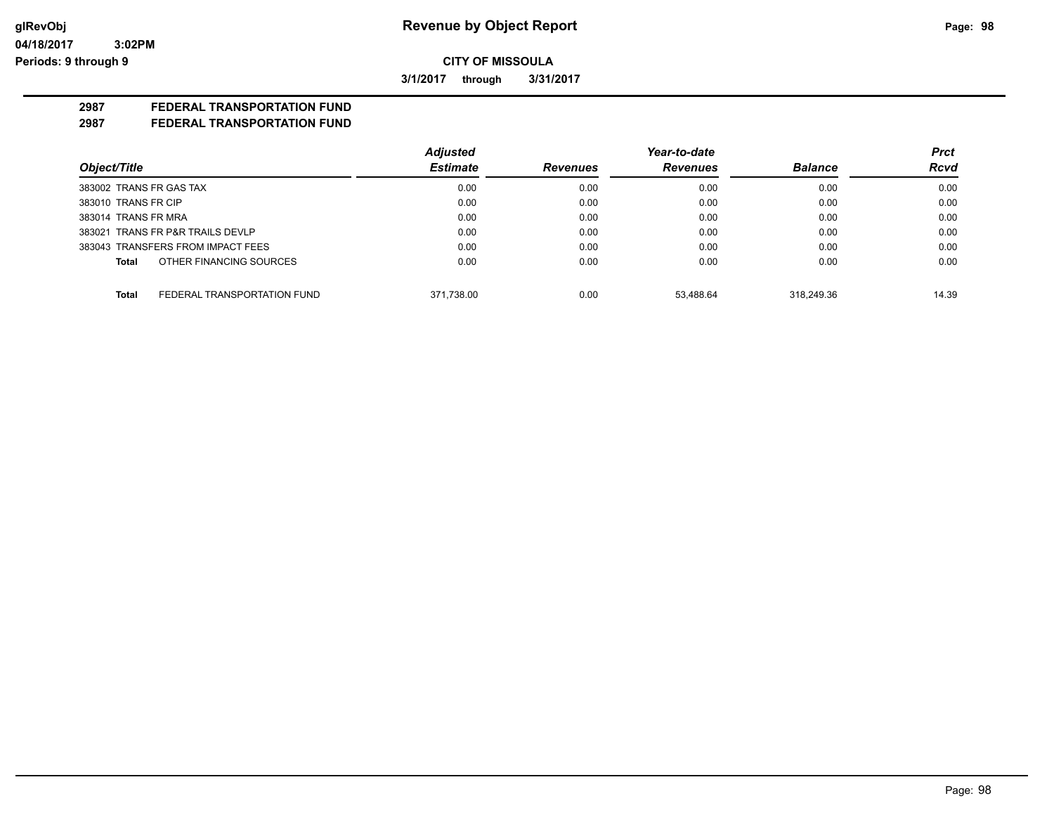**3/1/2017 through 3/31/2017**

# **2987 FEDERAL TRANSPORTATION FUND**

|                                             | <b>Adjusted</b> |                 | Year-to-date    |                | <b>Prct</b> |
|---------------------------------------------|-----------------|-----------------|-----------------|----------------|-------------|
| Object/Title                                | <b>Estimate</b> | <b>Revenues</b> | <b>Revenues</b> | <b>Balance</b> | Rcvd        |
| 383002 TRANS FR GAS TAX                     | 0.00            | 0.00            | 0.00            | 0.00           | 0.00        |
| 383010 TRANS FR CIP                         | 0.00            | 0.00            | 0.00            | 0.00           | 0.00        |
| 383014 TRANS FR MRA                         | 0.00            | 0.00            | 0.00            | 0.00           | 0.00        |
| 383021 TRANS FR P&R TRAILS DEVLP            | 0.00            | 0.00            | 0.00            | 0.00           | 0.00        |
| 383043 TRANSFERS FROM IMPACT FEES           | 0.00            | 0.00            | 0.00            | 0.00           | 0.00        |
| OTHER FINANCING SOURCES<br>Total            | 0.00            | 0.00            | 0.00            | 0.00           | 0.00        |
| FEDERAL TRANSPORTATION FUND<br><b>Total</b> | 371,738.00      | 0.00            | 53.488.64       | 318.249.36     | 14.39       |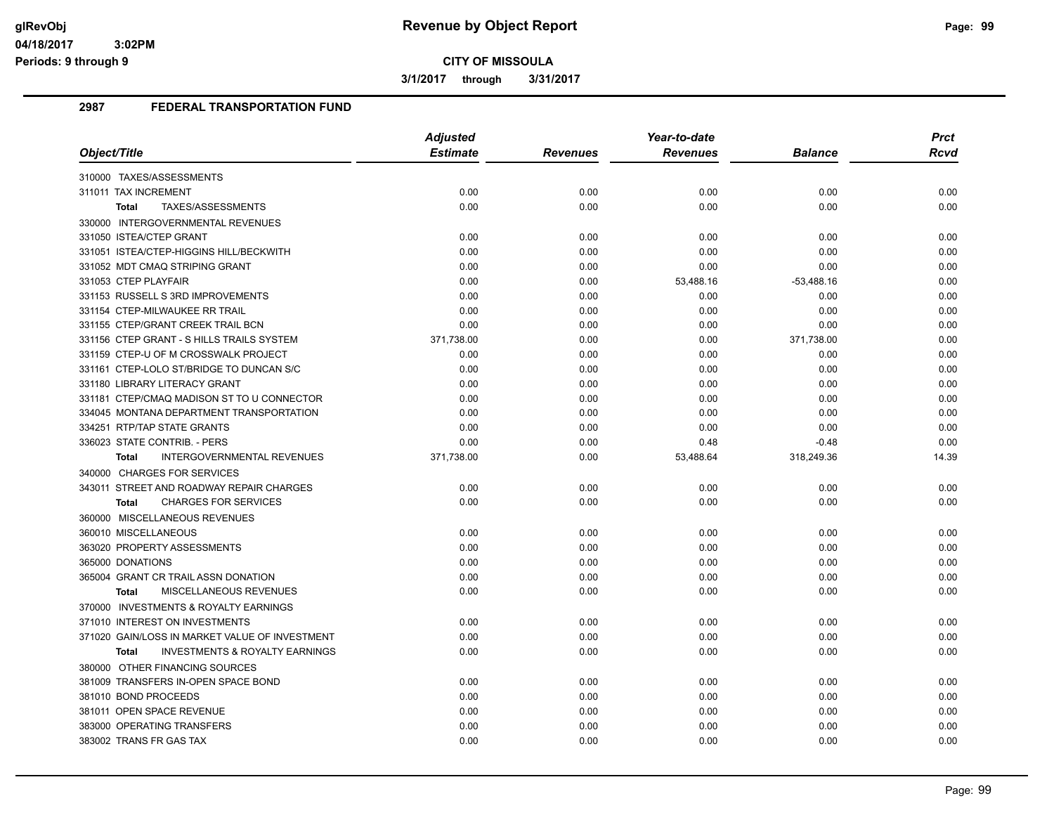**3/1/2017 through 3/31/2017**

|                                                           | <b>Adjusted</b> |                 | Year-to-date    |              | <b>Prct</b> |
|-----------------------------------------------------------|-----------------|-----------------|-----------------|--------------|-------------|
| Object/Title                                              | <b>Estimate</b> | <b>Revenues</b> | <b>Revenues</b> | Balance      | <b>Rcvd</b> |
| 310000 TAXES/ASSESSMENTS                                  |                 |                 |                 |              |             |
| 311011 TAX INCREMENT                                      | 0.00            | 0.00            | 0.00            | 0.00         | 0.00        |
| TAXES/ASSESSMENTS<br><b>Total</b>                         | 0.00            | 0.00            | 0.00            | 0.00         | 0.00        |
| 330000 INTERGOVERNMENTAL REVENUES                         |                 |                 |                 |              |             |
| 331050 ISTEA/CTEP GRANT                                   | 0.00            | 0.00            | 0.00            | 0.00         | 0.00        |
| 331051 ISTEA/CTEP-HIGGINS HILL/BECKWITH                   | 0.00            | 0.00            | 0.00            | 0.00         | 0.00        |
| 331052 MDT CMAQ STRIPING GRANT                            | 0.00            | 0.00            | 0.00            | 0.00         | 0.00        |
| 331053 CTEP PLAYFAIR                                      | 0.00            | 0.00            | 53,488.16       | $-53,488.16$ | 0.00        |
| 331153 RUSSELL S 3RD IMPROVEMENTS                         | 0.00            | 0.00            | 0.00            | 0.00         | 0.00        |
| 331154 CTEP-MILWAUKEE RR TRAIL                            | 0.00            | 0.00            | 0.00            | 0.00         | 0.00        |
| 331155 CTEP/GRANT CREEK TRAIL BCN                         | 0.00            | 0.00            | 0.00            | 0.00         | 0.00        |
| 331156 CTEP GRANT - S HILLS TRAILS SYSTEM                 | 371,738.00      | 0.00            | 0.00            | 371,738.00   | 0.00        |
| 331159 CTEP-U OF M CROSSWALK PROJECT                      | 0.00            | 0.00            | 0.00            | 0.00         | 0.00        |
| 331161 CTEP-LOLO ST/BRIDGE TO DUNCAN S/C                  | 0.00            | 0.00            | 0.00            | 0.00         | 0.00        |
| 331180 LIBRARY LITERACY GRANT                             | 0.00            | 0.00            | 0.00            | 0.00         | 0.00        |
| 331181 CTEP/CMAQ MADISON ST TO U CONNECTOR                | 0.00            | 0.00            | 0.00            | 0.00         | 0.00        |
| 334045 MONTANA DEPARTMENT TRANSPORTATION                  | 0.00            | 0.00            | 0.00            | 0.00         | 0.00        |
| 334251 RTP/TAP STATE GRANTS                               | 0.00            | 0.00            | 0.00            | 0.00         | 0.00        |
| 336023 STATE CONTRIB. - PERS                              | 0.00            | 0.00            | 0.48            | $-0.48$      | 0.00        |
| <b>INTERGOVERNMENTAL REVENUES</b><br><b>Total</b>         | 371,738.00      | 0.00            | 53,488.64       | 318,249.36   | 14.39       |
| 340000 CHARGES FOR SERVICES                               |                 |                 |                 |              |             |
| 343011 STREET AND ROADWAY REPAIR CHARGES                  | 0.00            | 0.00            | 0.00            | 0.00         | 0.00        |
| <b>CHARGES FOR SERVICES</b><br>Total                      | 0.00            | 0.00            | 0.00            | 0.00         | 0.00        |
| 360000 MISCELLANEOUS REVENUES                             |                 |                 |                 |              |             |
| 360010 MISCELLANEOUS                                      | 0.00            | 0.00            | 0.00            | 0.00         | 0.00        |
| 363020 PROPERTY ASSESSMENTS                               | 0.00            | 0.00            | 0.00            | 0.00         | 0.00        |
| 365000 DONATIONS                                          | 0.00            | 0.00            | 0.00            | 0.00         | 0.00        |
| 365004 GRANT CR TRAIL ASSN DONATION                       | 0.00            | 0.00            | 0.00            | 0.00         | 0.00        |
| MISCELLANEOUS REVENUES<br><b>Total</b>                    | 0.00            | 0.00            | 0.00            | 0.00         | 0.00        |
| 370000 INVESTMENTS & ROYALTY EARNINGS                     |                 |                 |                 |              |             |
| 371010 INTEREST ON INVESTMENTS                            | 0.00            | 0.00            | 0.00            | 0.00         | 0.00        |
| 371020 GAIN/LOSS IN MARKET VALUE OF INVESTMENT            | 0.00            | 0.00            | 0.00            | 0.00         | 0.00        |
| <b>INVESTMENTS &amp; ROYALTY EARNINGS</b><br><b>Total</b> | 0.00            | 0.00            | 0.00            | 0.00         | 0.00        |
| 380000 OTHER FINANCING SOURCES                            |                 |                 |                 |              |             |
| 381009 TRANSFERS IN-OPEN SPACE BOND                       | 0.00            | 0.00            | 0.00            | 0.00         | 0.00        |
| 381010 BOND PROCEEDS                                      | 0.00            | 0.00            | 0.00            | 0.00         | 0.00        |
| 381011 OPEN SPACE REVENUE                                 | 0.00            | 0.00            | 0.00            | 0.00         | 0.00        |
| 383000 OPERATING TRANSFERS                                | 0.00            | 0.00            | 0.00            | 0.00         | 0.00        |
| 383002 TRANS FR GAS TAX                                   | 0.00            | 0.00            | 0.00            | 0.00         | 0.00        |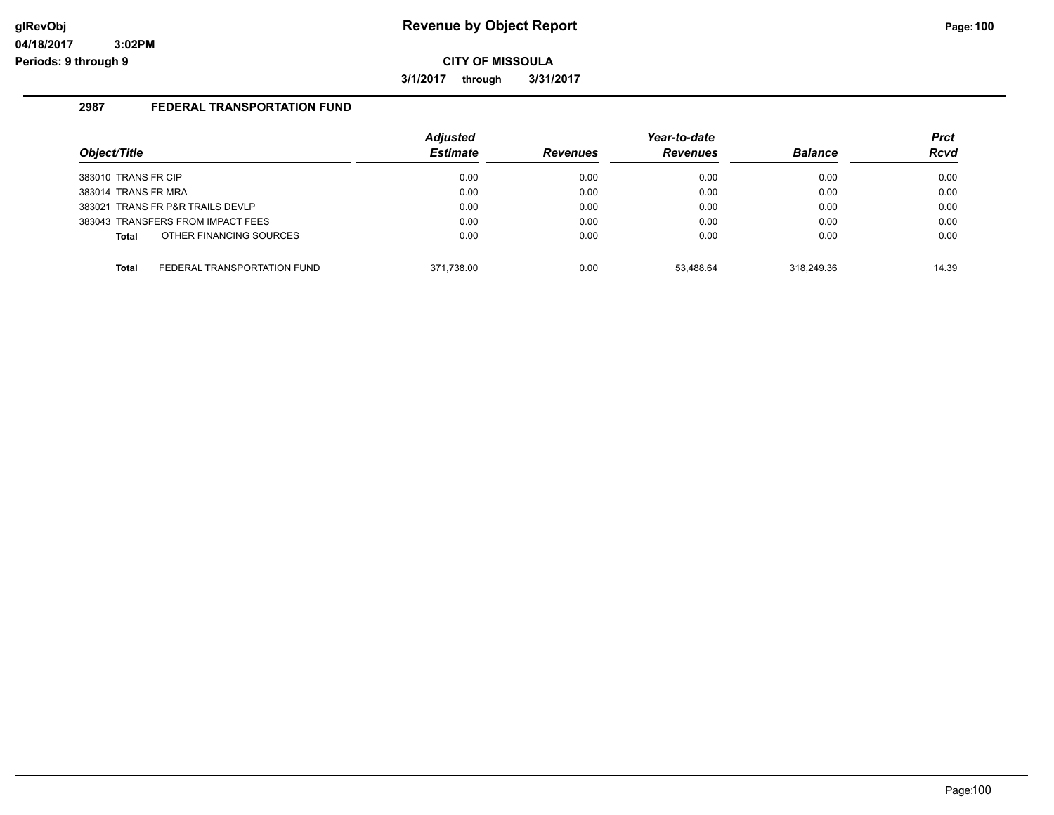**3/1/2017 through 3/31/2017**

| Object/Title                                | <b>Adjusted</b><br><b>Estimate</b> | <b>Revenues</b> | Year-to-date<br><b>Revenues</b> | <b>Balance</b> | <b>Prct</b><br><b>Rcvd</b> |
|---------------------------------------------|------------------------------------|-----------------|---------------------------------|----------------|----------------------------|
| 383010 TRANS FR CIP                         | 0.00                               | 0.00            | 0.00                            | 0.00           | 0.00                       |
| 383014 TRANS FR MRA                         | 0.00                               | 0.00            | 0.00                            | 0.00           | 0.00                       |
| 383021 TRANS FR P&R TRAILS DEVLP            | 0.00                               | 0.00            | 0.00                            | 0.00           | 0.00                       |
| 383043 TRANSFERS FROM IMPACT FEES           | 0.00                               | 0.00            | 0.00                            | 0.00           | 0.00                       |
| OTHER FINANCING SOURCES<br>Total            | 0.00                               | 0.00            | 0.00                            | 0.00           | 0.00                       |
| <b>Total</b><br>FEDERAL TRANSPORTATION FUND | 371.738.00                         | 0.00            | 53.488.64                       | 318.249.36     | 14.39                      |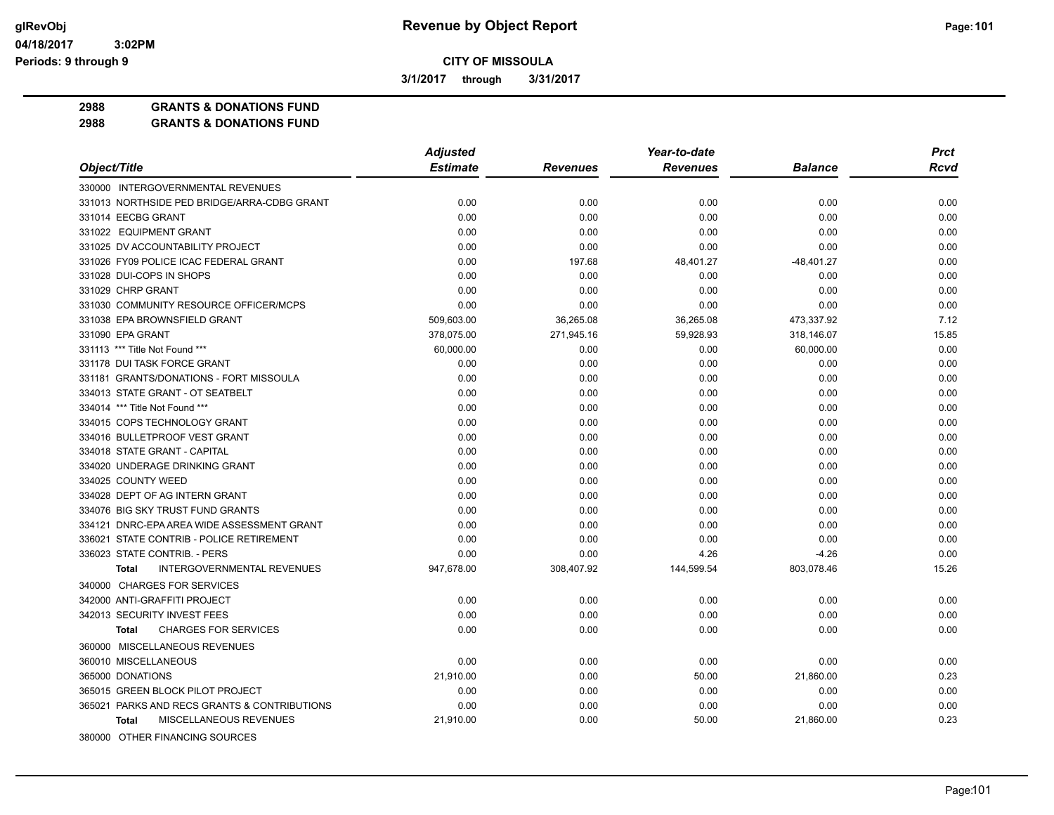**3/1/2017 through 3/31/2017**

**2988 GRANTS & DONATIONS FUND**

**2988 GRANTS & DONATIONS FUND**

| Object/Title                                      | <b>Adjusted</b> |                 | Year-to-date    |                | <b>Prct</b> |
|---------------------------------------------------|-----------------|-----------------|-----------------|----------------|-------------|
|                                                   | <b>Estimate</b> | <b>Revenues</b> | <b>Revenues</b> | <b>Balance</b> | <b>Rcvd</b> |
| 330000 INTERGOVERNMENTAL REVENUES                 |                 |                 |                 |                |             |
| 331013 NORTHSIDE PED BRIDGE/ARRA-CDBG GRANT       | 0.00            | 0.00            | 0.00            | 0.00           | 0.00        |
| 331014 EECBG GRANT                                | 0.00            | 0.00            | 0.00            | 0.00           | 0.00        |
| 331022 EQUIPMENT GRANT                            | 0.00            | 0.00            | 0.00            | 0.00           | 0.00        |
| 331025 DV ACCOUNTABILITY PROJECT                  | 0.00            | 0.00            | 0.00            | 0.00           | 0.00        |
| 331026 FY09 POLICE ICAC FEDERAL GRANT             | 0.00            | 197.68          | 48,401.27       | $-48,401.27$   | 0.00        |
| 331028 DUI-COPS IN SHOPS                          | 0.00            | 0.00            | 0.00            | 0.00           | 0.00        |
| 331029 CHRP GRANT                                 | 0.00            | 0.00            | 0.00            | 0.00           | 0.00        |
| 331030 COMMUNITY RESOURCE OFFICER/MCPS            | 0.00            | 0.00            | 0.00            | 0.00           | 0.00        |
| 331038 EPA BROWNSFIELD GRANT                      | 509,603.00      | 36,265.08       | 36,265.08       | 473,337.92     | 7.12        |
| 331090 EPA GRANT                                  | 378,075.00      | 271,945.16      | 59,928.93       | 318,146.07     | 15.85       |
| 331113 *** Title Not Found ***                    | 60,000.00       | 0.00            | 0.00            | 60,000.00      | 0.00        |
| 331178 DUI TASK FORCE GRANT                       | 0.00            | 0.00            | 0.00            | 0.00           | 0.00        |
| 331181 GRANTS/DONATIONS - FORT MISSOULA           | 0.00            | 0.00            | 0.00            | 0.00           | 0.00        |
| 334013 STATE GRANT - OT SEATBELT                  | 0.00            | 0.00            | 0.00            | 0.00           | 0.00        |
| 334014 *** Title Not Found ***                    | 0.00            | 0.00            | 0.00            | 0.00           | 0.00        |
| 334015 COPS TECHNOLOGY GRANT                      | 0.00            | 0.00            | 0.00            | 0.00           | 0.00        |
| 334016 BULLETPROOF VEST GRANT                     | 0.00            | 0.00            | 0.00            | 0.00           | 0.00        |
| 334018 STATE GRANT - CAPITAL                      | 0.00            | 0.00            | 0.00            | 0.00           | 0.00        |
| 334020 UNDERAGE DRINKING GRANT                    | 0.00            | 0.00            | 0.00            | 0.00           | 0.00        |
| 334025 COUNTY WEED                                | 0.00            | 0.00            | 0.00            | 0.00           | 0.00        |
| 334028 DEPT OF AG INTERN GRANT                    | 0.00            | 0.00            | 0.00            | 0.00           | 0.00        |
| 334076 BIG SKY TRUST FUND GRANTS                  | 0.00            | 0.00            | 0.00            | 0.00           | 0.00        |
| 334121 DNRC-EPA AREA WIDE ASSESSMENT GRANT        | 0.00            | 0.00            | 0.00            | 0.00           | 0.00        |
| 336021 STATE CONTRIB - POLICE RETIREMENT          | 0.00            | 0.00            | 0.00            | 0.00           | 0.00        |
| 336023 STATE CONTRIB. - PERS                      | 0.00            | 0.00            | 4.26            | $-4.26$        | 0.00        |
| <b>INTERGOVERNMENTAL REVENUES</b><br><b>Total</b> | 947,678.00      | 308,407.92      | 144,599.54      | 803,078.46     | 15.26       |
| 340000 CHARGES FOR SERVICES                       |                 |                 |                 |                |             |
| 342000 ANTI-GRAFFITI PROJECT                      | 0.00            | 0.00            | 0.00            | 0.00           | 0.00        |
| 342013 SECURITY INVEST FEES                       | 0.00            | 0.00            | 0.00            | 0.00           | 0.00        |
| <b>CHARGES FOR SERVICES</b><br>Total              | 0.00            | 0.00            | 0.00            | 0.00           | 0.00        |
| 360000 MISCELLANEOUS REVENUES                     |                 |                 |                 |                |             |
| 360010 MISCELLANEOUS                              | 0.00            | 0.00            | 0.00            | 0.00           | 0.00        |
| 365000 DONATIONS                                  | 21,910.00       | 0.00            | 50.00           | 21,860.00      | 0.23        |
| 365015 GREEN BLOCK PILOT PROJECT                  | 0.00            | 0.00            | 0.00            | 0.00           | 0.00        |
| 365021 PARKS AND RECS GRANTS & CONTRIBUTIONS      | 0.00            | 0.00            | 0.00            | 0.00           | 0.00        |
| MISCELLANEOUS REVENUES<br><b>Total</b>            | 21,910.00       | 0.00            | 50.00           | 21,860.00      | 0.23        |
|                                                   |                 |                 |                 |                |             |
| 380000 OTHER FINANCING SOURCES                    |                 |                 |                 |                |             |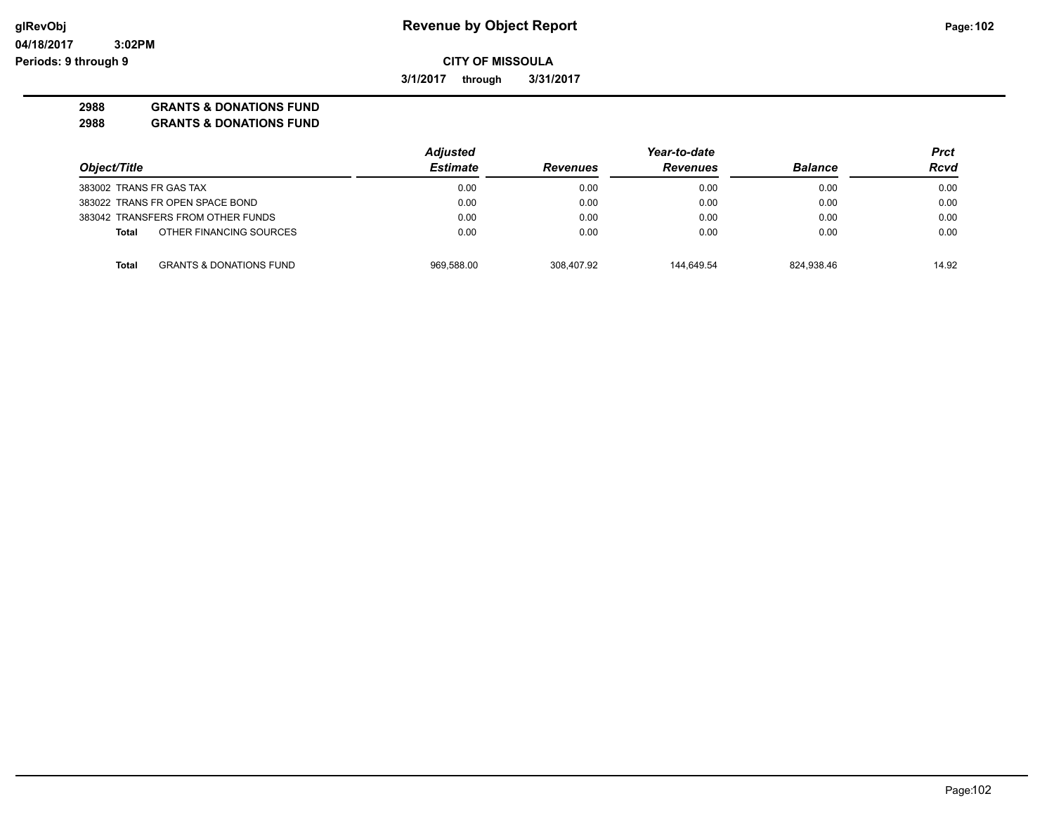**3/1/2017 through 3/31/2017**

**2988 GRANTS & DONATIONS FUND 2988 GRANTS & DONATIONS FUND**

|                                             | <b>Adjusted</b> |                 | Year-to-date    |                |       |
|---------------------------------------------|-----------------|-----------------|-----------------|----------------|-------|
| Object/Title                                | <b>Estimate</b> | <b>Revenues</b> | <b>Revenues</b> | <b>Balance</b> | Rcvd  |
| 383002 TRANS FR GAS TAX                     | 0.00            | 0.00            | 0.00            | 0.00           | 0.00  |
| 383022 TRANS FR OPEN SPACE BOND             | 0.00            | 0.00            | 0.00            | 0.00           | 0.00  |
| 383042 TRANSFERS FROM OTHER FUNDS           | 0.00            | 0.00            | 0.00            | 0.00           | 0.00  |
| OTHER FINANCING SOURCES<br>Total            | 0.00            | 0.00            | 0.00            | 0.00           | 0.00  |
| <b>GRANTS &amp; DONATIONS FUND</b><br>Total | 969.588.00      | 308.407.92      | 144.649.54      | 824.938.46     | 14.92 |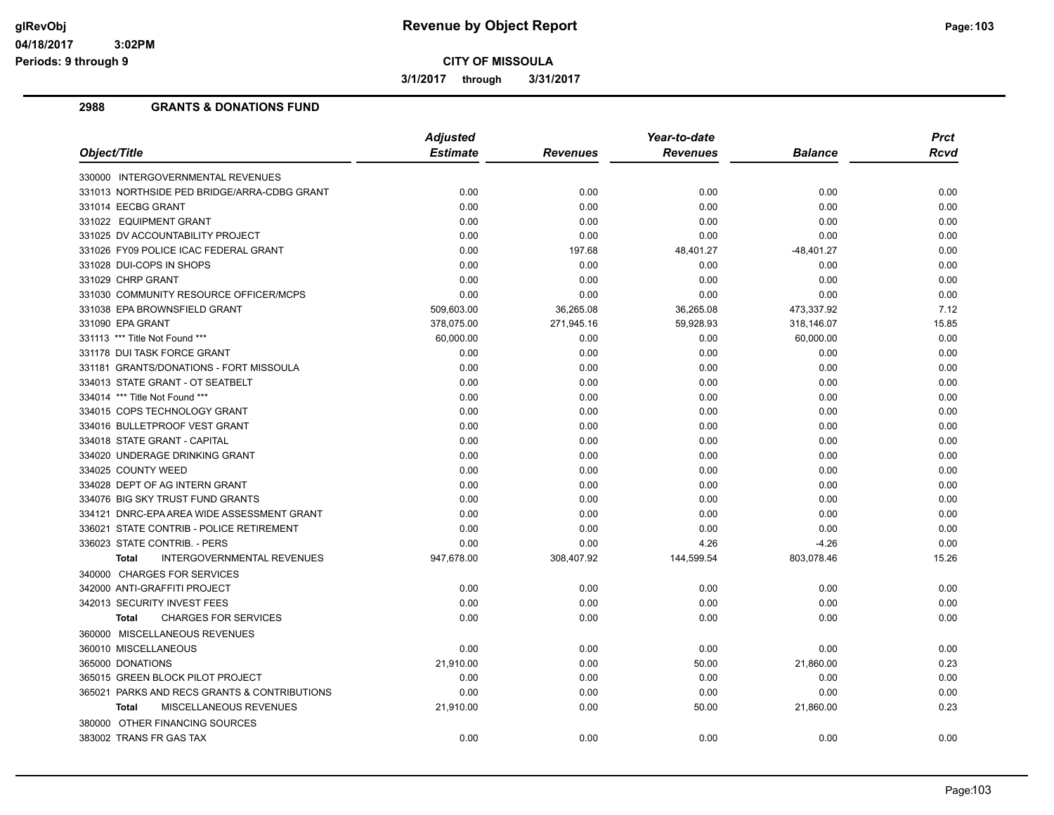**3/1/2017 through 3/31/2017**

#### **2988 GRANTS & DONATIONS FUND**

|                                              | <b>Adjusted</b> |                 | Year-to-date    | <b>Prct</b>    |       |
|----------------------------------------------|-----------------|-----------------|-----------------|----------------|-------|
| Object/Title                                 | <b>Estimate</b> | <b>Revenues</b> | <b>Revenues</b> | <b>Balance</b> | Rcvd  |
| 330000 INTERGOVERNMENTAL REVENUES            |                 |                 |                 |                |       |
| 331013 NORTHSIDE PED BRIDGE/ARRA-CDBG GRANT  | 0.00            | 0.00            | 0.00            | 0.00           | 0.00  |
| 331014 EECBG GRANT                           | 0.00            | 0.00            | 0.00            | 0.00           | 0.00  |
| 331022 EQUIPMENT GRANT                       | 0.00            | 0.00            | 0.00            | 0.00           | 0.00  |
| 331025 DV ACCOUNTABILITY PROJECT             | 0.00            | 0.00            | 0.00            | 0.00           | 0.00  |
| 331026 FY09 POLICE ICAC FEDERAL GRANT        | 0.00            | 197.68          | 48,401.27       | $-48,401.27$   | 0.00  |
| 331028 DUI-COPS IN SHOPS                     | 0.00            | 0.00            | 0.00            | 0.00           | 0.00  |
| 331029 CHRP GRANT                            | 0.00            | 0.00            | 0.00            | 0.00           | 0.00  |
| 331030 COMMUNITY RESOURCE OFFICER/MCPS       | 0.00            | 0.00            | 0.00            | 0.00           | 0.00  |
| 331038 EPA BROWNSFIELD GRANT                 | 509,603.00      | 36,265.08       | 36,265.08       | 473,337.92     | 7.12  |
| 331090 EPA GRANT                             | 378,075.00      | 271,945.16      | 59,928.93       | 318,146.07     | 15.85 |
| 331113 *** Title Not Found ***               | 60,000.00       | 0.00            | 0.00            | 60,000.00      | 0.00  |
| 331178 DUI TASK FORCE GRANT                  | 0.00            | 0.00            | 0.00            | 0.00           | 0.00  |
| 331181 GRANTS/DONATIONS - FORT MISSOULA      | 0.00            | 0.00            | 0.00            | 0.00           | 0.00  |
| 334013 STATE GRANT - OT SEATBELT             | 0.00            | 0.00            | 0.00            | 0.00           | 0.00  |
| 334014 *** Title Not Found ***               | 0.00            | 0.00            | 0.00            | 0.00           | 0.00  |
| 334015 COPS TECHNOLOGY GRANT                 | 0.00            | 0.00            | 0.00            | 0.00           | 0.00  |
| 334016 BULLETPROOF VEST GRANT                | 0.00            | 0.00            | 0.00            | 0.00           | 0.00  |
| 334018 STATE GRANT - CAPITAL                 | 0.00            | 0.00            | 0.00            | 0.00           | 0.00  |
| 334020 UNDERAGE DRINKING GRANT               | 0.00            | 0.00            | 0.00            | 0.00           | 0.00  |
| 334025 COUNTY WEED                           | 0.00            | 0.00            | 0.00            | 0.00           | 0.00  |
| 334028 DEPT OF AG INTERN GRANT               | 0.00            | 0.00            | 0.00            | 0.00           | 0.00  |
| 334076 BIG SKY TRUST FUND GRANTS             | 0.00            | 0.00            | 0.00            | 0.00           | 0.00  |
| 334121 DNRC-EPA AREA WIDE ASSESSMENT GRANT   | 0.00            | 0.00            | 0.00            | 0.00           | 0.00  |
| 336021 STATE CONTRIB - POLICE RETIREMENT     | 0.00            | 0.00            | 0.00            | 0.00           | 0.00  |
| 336023 STATE CONTRIB. - PERS                 | 0.00            | 0.00            | 4.26            | $-4.26$        | 0.00  |
| INTERGOVERNMENTAL REVENUES<br><b>Total</b>   | 947,678.00      | 308,407.92      | 144,599.54      | 803,078.46     | 15.26 |
| 340000 CHARGES FOR SERVICES                  |                 |                 |                 |                |       |
| 342000 ANTI-GRAFFITI PROJECT                 | 0.00            | 0.00            | 0.00            | 0.00           | 0.00  |
| 342013 SECURITY INVEST FEES                  | 0.00            | 0.00            | 0.00            | 0.00           | 0.00  |
| <b>CHARGES FOR SERVICES</b><br>Total         | 0.00            | 0.00            | 0.00            | 0.00           | 0.00  |
| 360000 MISCELLANEOUS REVENUES                |                 |                 |                 |                |       |
| 360010 MISCELLANEOUS                         | 0.00            | 0.00            | 0.00            | 0.00           | 0.00  |
| 365000 DONATIONS                             | 21,910.00       | 0.00            | 50.00           | 21,860.00      | 0.23  |
| 365015 GREEN BLOCK PILOT PROJECT             | 0.00            | 0.00            | 0.00            | 0.00           | 0.00  |
| 365021 PARKS AND RECS GRANTS & CONTRIBUTIONS | 0.00            | 0.00            | 0.00            | 0.00           | 0.00  |
| MISCELLANEOUS REVENUES<br><b>Total</b>       | 21,910.00       | 0.00            | 50.00           | 21,860.00      | 0.23  |
| 380000 OTHER FINANCING SOURCES               |                 |                 |                 |                |       |
| 383002 TRANS FR GAS TAX                      | 0.00            | 0.00            | 0.00            | 0.00           | 0.00  |
|                                              |                 |                 |                 |                |       |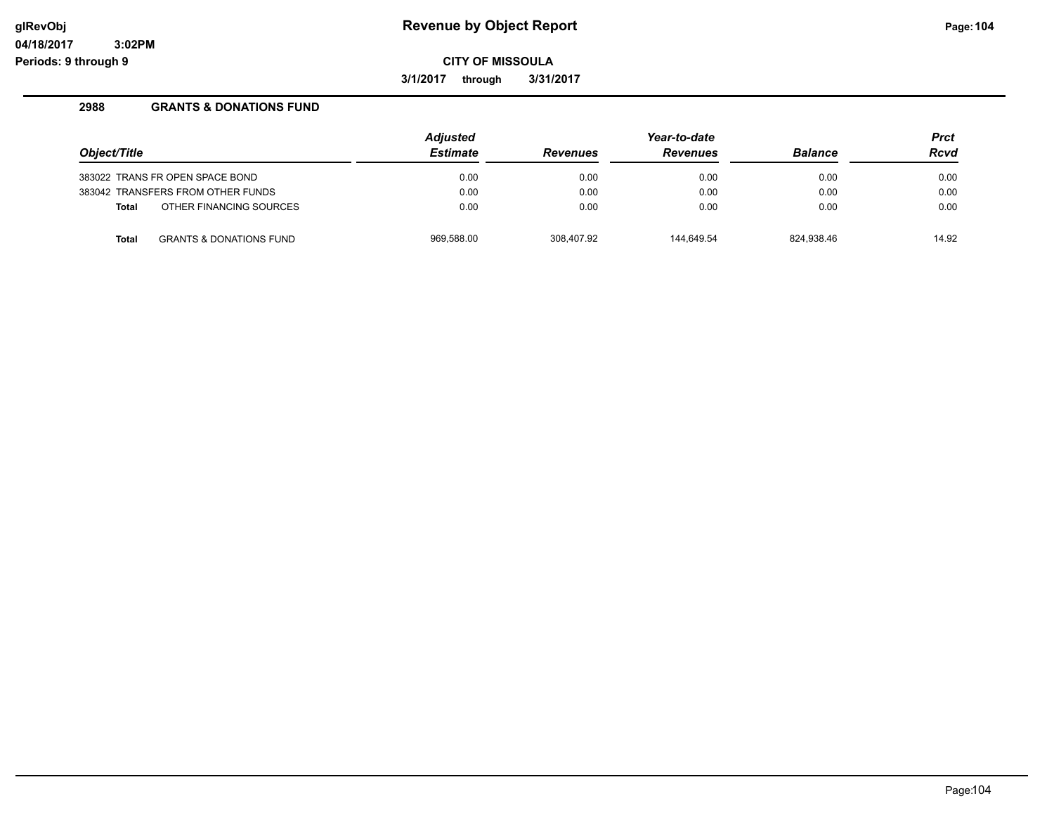**3/1/2017 through 3/31/2017**

#### **2988 GRANTS & DONATIONS FUND**

|              |                                    | <b>Adjusted</b>                    |            | <b>Prct</b>    |             |       |
|--------------|------------------------------------|------------------------------------|------------|----------------|-------------|-------|
| Object/Title | <b>Estimate</b>                    | <b>Revenues</b><br><b>Revenues</b> |            | <b>Balance</b> | <b>Rcvd</b> |       |
|              | 383022 TRANS FR OPEN SPACE BOND    | 0.00                               | 0.00       | 0.00           | 0.00        | 0.00  |
|              | 383042 TRANSFERS FROM OTHER FUNDS  | 0.00                               | 0.00       | 0.00           | 0.00        | 0.00  |
| Total        | OTHER FINANCING SOURCES            | 0.00                               | 0.00       | 0.00           | 0.00        | 0.00  |
| <b>Total</b> | <b>GRANTS &amp; DONATIONS FUND</b> | 969,588.00                         | 308.407.92 | 144.649.54     | 824.938.46  | 14.92 |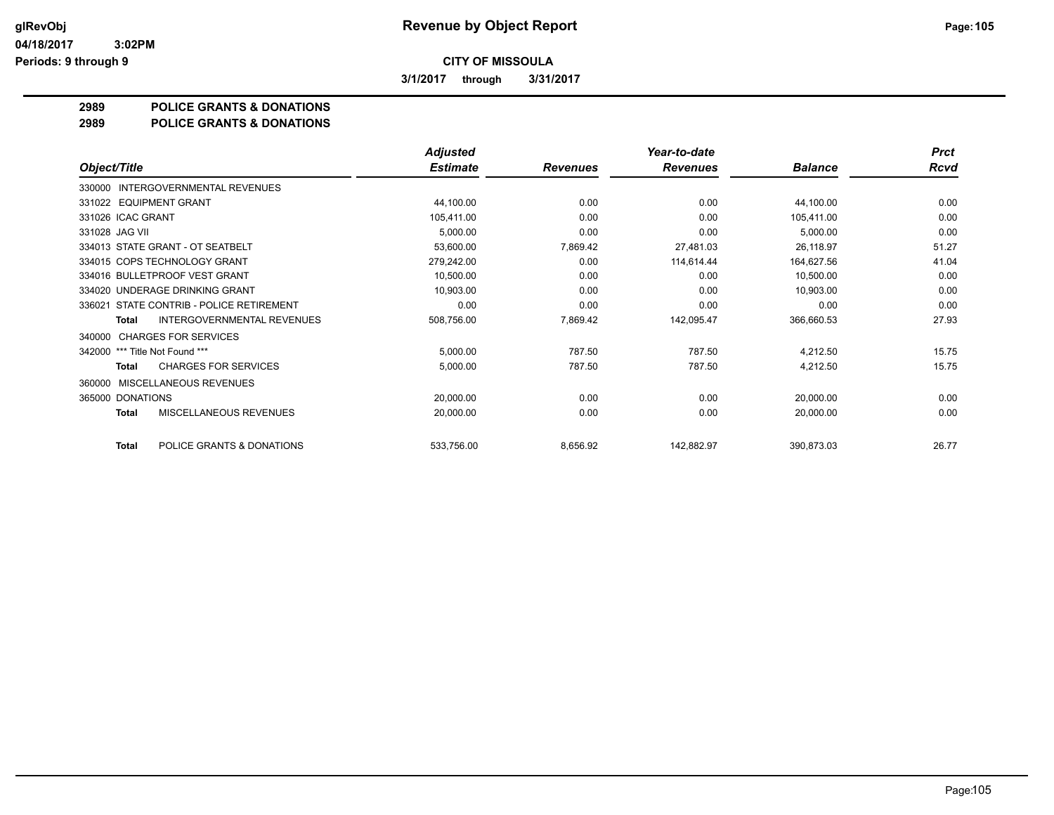**3/1/2017 through 3/31/2017**

**2989 POLICE GRANTS & DONATIONS**

**2989 POLICE GRANTS & DONATIONS**

|                                                   | <b>Adjusted</b> |                 | Year-to-date    |                | <b>Prct</b> |
|---------------------------------------------------|-----------------|-----------------|-----------------|----------------|-------------|
| Object/Title                                      | <b>Estimate</b> | <b>Revenues</b> | <b>Revenues</b> | <b>Balance</b> | Rcvd        |
| <b>INTERGOVERNMENTAL REVENUES</b><br>330000       |                 |                 |                 |                |             |
| 331022 EQUIPMENT GRANT                            | 44,100.00       | 0.00            | 0.00            | 44,100.00      | 0.00        |
| 331026 ICAC GRANT                                 | 105,411.00      | 0.00            | 0.00            | 105,411.00     | 0.00        |
| 331028 JAG VII                                    | 5,000.00        | 0.00            | 0.00            | 5,000.00       | 0.00        |
| 334013 STATE GRANT - OT SEATBELT                  | 53,600.00       | 7,869.42        | 27,481.03       | 26,118.97      | 51.27       |
| 334015 COPS TECHNOLOGY GRANT                      | 279,242.00      | 0.00            | 114,614.44      | 164,627.56     | 41.04       |
| 334016 BULLETPROOF VEST GRANT                     | 10,500.00       | 0.00            | 0.00            | 10,500.00      | 0.00        |
| 334020 UNDERAGE DRINKING GRANT                    | 10,903.00       | 0.00            | 0.00            | 10,903.00      | 0.00        |
| 336021 STATE CONTRIB - POLICE RETIREMENT          | 0.00            | 0.00            | 0.00            | 0.00           | 0.00        |
| <b>INTERGOVERNMENTAL REVENUES</b><br><b>Total</b> | 508,756.00      | 7,869.42        | 142,095.47      | 366,660.53     | 27.93       |
| 340000 CHARGES FOR SERVICES                       |                 |                 |                 |                |             |
| 342000 *** Title Not Found ***                    | 5,000.00        | 787.50          | 787.50          | 4,212.50       | 15.75       |
| <b>CHARGES FOR SERVICES</b><br><b>Total</b>       | 5,000.00        | 787.50          | 787.50          | 4,212.50       | 15.75       |
| 360000 MISCELLANEOUS REVENUES                     |                 |                 |                 |                |             |
| 365000 DONATIONS                                  | 20,000.00       | 0.00            | 0.00            | 20,000.00      | 0.00        |
| MISCELLANEOUS REVENUES<br><b>Total</b>            | 20,000.00       | 0.00            | 0.00            | 20,000.00      | 0.00        |
| POLICE GRANTS & DONATIONS<br><b>Total</b>         | 533,756.00      | 8,656.92        | 142,882.97      | 390,873.03     | 26.77       |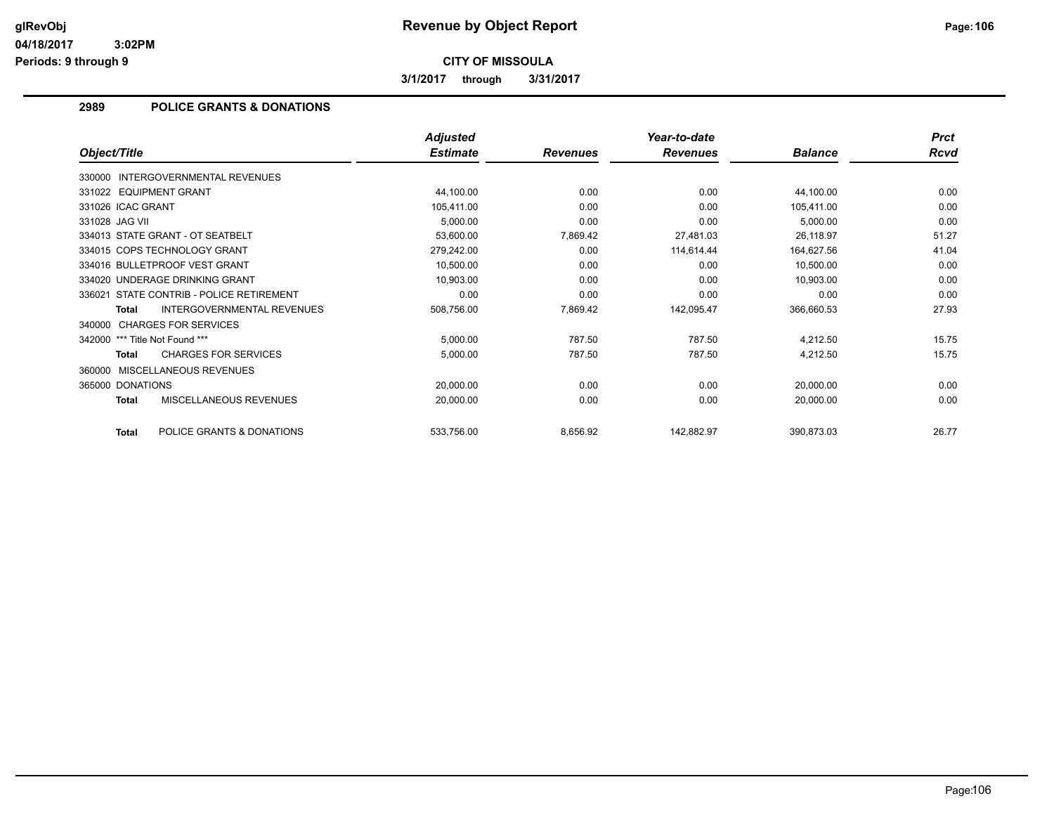**3/1/2017 through 3/31/2017**

#### **2989 POLICE GRANTS & DONATIONS**

|                                                   | <b>Adjusted</b> |                 | Year-to-date    |                | <b>Prct</b> |
|---------------------------------------------------|-----------------|-----------------|-----------------|----------------|-------------|
| Object/Title                                      | <b>Estimate</b> | <b>Revenues</b> | <b>Revenues</b> | <b>Balance</b> | <b>Rcvd</b> |
| INTERGOVERNMENTAL REVENUES<br>330000              |                 |                 |                 |                |             |
| 331022 EQUIPMENT GRANT                            | 44,100.00       | 0.00            | 0.00            | 44,100.00      | 0.00        |
| 331026 ICAC GRANT                                 | 105,411.00      | 0.00            | 0.00            | 105,411.00     | 0.00        |
| 331028 JAG VII                                    | 5,000.00        | 0.00            | 0.00            | 5,000.00       | 0.00        |
| 334013 STATE GRANT - OT SEATBELT                  | 53,600.00       | 7,869.42        | 27,481.03       | 26,118.97      | 51.27       |
| 334015 COPS TECHNOLOGY GRANT                      | 279,242.00      | 0.00            | 114,614.44      | 164,627.56     | 41.04       |
| 334016 BULLETPROOF VEST GRANT                     | 10,500.00       | 0.00            | 0.00            | 10,500.00      | 0.00        |
| 334020 UNDERAGE DRINKING GRANT                    | 10,903.00       | 0.00            | 0.00            | 10,903.00      | 0.00        |
| 336021 STATE CONTRIB - POLICE RETIREMENT          | 0.00            | 0.00            | 0.00            | 0.00           | 0.00        |
| <b>INTERGOVERNMENTAL REVENUES</b><br><b>Total</b> | 508,756.00      | 7,869.42        | 142,095.47      | 366,660.53     | 27.93       |
| 340000 CHARGES FOR SERVICES                       |                 |                 |                 |                |             |
| 342000 *** Title Not Found ***                    | 5,000.00        | 787.50          | 787.50          | 4,212.50       | 15.75       |
| <b>CHARGES FOR SERVICES</b><br>Total              | 5,000.00        | 787.50          | 787.50          | 4,212.50       | 15.75       |
| 360000 MISCELLANEOUS REVENUES                     |                 |                 |                 |                |             |
| 365000 DONATIONS                                  | 20,000.00       | 0.00            | 0.00            | 20,000.00      | 0.00        |
| MISCELLANEOUS REVENUES<br>Total                   | 20,000.00       | 0.00            | 0.00            | 20,000.00      | 0.00        |
| POLICE GRANTS & DONATIONS<br>Total                | 533,756.00      | 8,656.92        | 142,882.97      | 390,873.03     | 26.77       |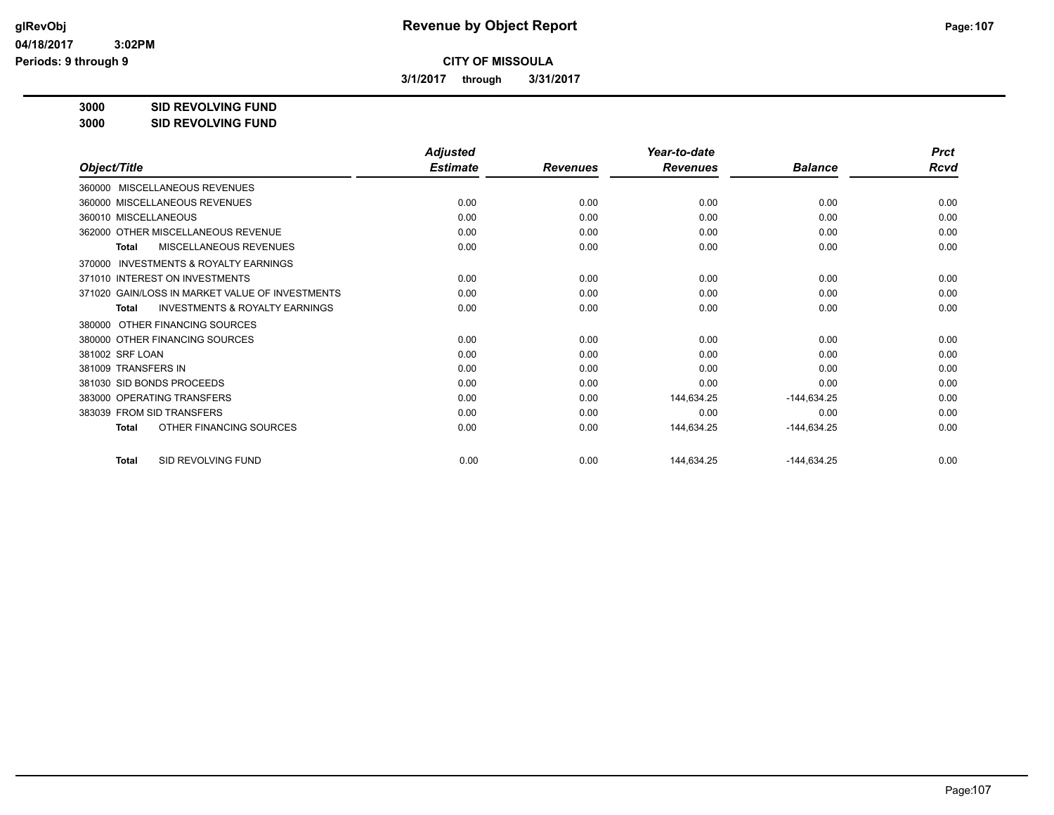**3/1/2017 through 3/31/2017**

**3000 SID REVOLVING FUND 3000 SID REVOLVING FUND**

|                                                           | <b>Adjusted</b> |                 | Year-to-date    |                | <b>Prct</b> |
|-----------------------------------------------------------|-----------------|-----------------|-----------------|----------------|-------------|
| Object/Title                                              | <b>Estimate</b> | <b>Revenues</b> | <b>Revenues</b> | <b>Balance</b> | <b>Rcvd</b> |
| MISCELLANEOUS REVENUES<br>360000                          |                 |                 |                 |                |             |
| 360000 MISCELLANEOUS REVENUES                             | 0.00            | 0.00            | 0.00            | 0.00           | 0.00        |
| 360010 MISCELLANEOUS                                      | 0.00            | 0.00            | 0.00            | 0.00           | 0.00        |
| 362000 OTHER MISCELLANEOUS REVENUE                        | 0.00            | 0.00            | 0.00            | 0.00           | 0.00        |
| MISCELLANEOUS REVENUES<br><b>Total</b>                    | 0.00            | 0.00            | 0.00            | 0.00           | 0.00        |
| INVESTMENTS & ROYALTY EARNINGS<br>370000                  |                 |                 |                 |                |             |
| 371010 INTEREST ON INVESTMENTS                            | 0.00            | 0.00            | 0.00            | 0.00           | 0.00        |
| 371020 GAIN/LOSS IN MARKET VALUE OF INVESTMENTS           | 0.00            | 0.00            | 0.00            | 0.00           | 0.00        |
| <b>INVESTMENTS &amp; ROYALTY EARNINGS</b><br><b>Total</b> | 0.00            | 0.00            | 0.00            | 0.00           | 0.00        |
| OTHER FINANCING SOURCES<br>380000                         |                 |                 |                 |                |             |
| 380000 OTHER FINANCING SOURCES                            | 0.00            | 0.00            | 0.00            | 0.00           | 0.00        |
| 381002 SRF LOAN                                           | 0.00            | 0.00            | 0.00            | 0.00           | 0.00        |
| 381009 TRANSFERS IN                                       | 0.00            | 0.00            | 0.00            | 0.00           | 0.00        |
| 381030 SID BONDS PROCEEDS                                 | 0.00            | 0.00            | 0.00            | 0.00           | 0.00        |
| 383000 OPERATING TRANSFERS                                | 0.00            | 0.00            | 144,634.25      | $-144,634.25$  | 0.00        |
| 383039 FROM SID TRANSFERS                                 | 0.00            | 0.00            | 0.00            | 0.00           | 0.00        |
| OTHER FINANCING SOURCES<br>Total                          | 0.00            | 0.00            | 144,634.25      | $-144,634.25$  | 0.00        |
| <b>SID REVOLVING FUND</b><br><b>Total</b>                 | 0.00            | 0.00            | 144,634.25      | $-144,634.25$  | 0.00        |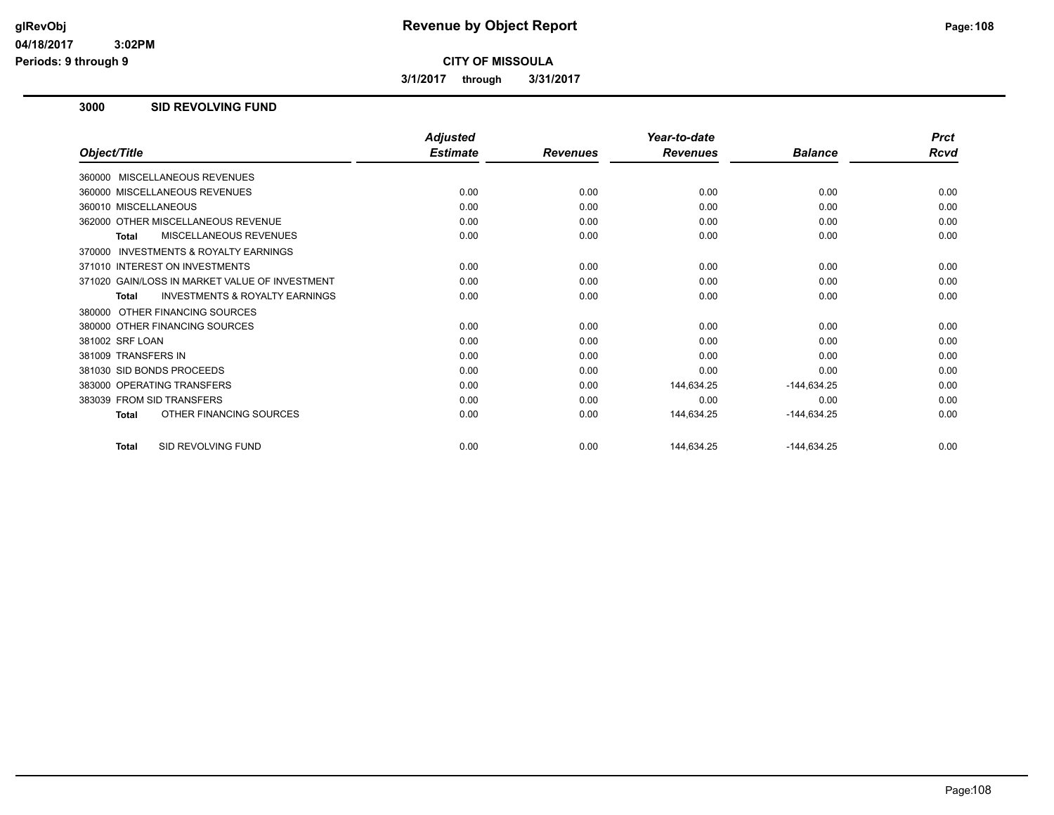**3/1/2017 through 3/31/2017**

#### **3000 SID REVOLVING FUND**

|                                                           | <b>Adjusted</b> |                 | Year-to-date    |                | <b>Prct</b> |
|-----------------------------------------------------------|-----------------|-----------------|-----------------|----------------|-------------|
| Object/Title                                              | <b>Estimate</b> | <b>Revenues</b> | <b>Revenues</b> | <b>Balance</b> | <b>Rcvd</b> |
| 360000 MISCELLANEOUS REVENUES                             |                 |                 |                 |                |             |
| 360000 MISCELLANEOUS REVENUES                             | 0.00            | 0.00            | 0.00            | 0.00           | 0.00        |
| 360010 MISCELLANEOUS                                      | 0.00            | 0.00            | 0.00            | 0.00           | 0.00        |
| 362000 OTHER MISCELLANEOUS REVENUE                        | 0.00            | 0.00            | 0.00            | 0.00           | 0.00        |
| MISCELLANEOUS REVENUES<br>Total                           | 0.00            | 0.00            | 0.00            | 0.00           | 0.00        |
| 370000 INVESTMENTS & ROYALTY EARNINGS                     |                 |                 |                 |                |             |
| 371010 INTEREST ON INVESTMENTS                            | 0.00            | 0.00            | 0.00            | 0.00           | 0.00        |
| 371020 GAIN/LOSS IN MARKET VALUE OF INVESTMENT            | 0.00            | 0.00            | 0.00            | 0.00           | 0.00        |
| <b>INVESTMENTS &amp; ROYALTY EARNINGS</b><br><b>Total</b> | 0.00            | 0.00            | 0.00            | 0.00           | 0.00        |
| 380000 OTHER FINANCING SOURCES                            |                 |                 |                 |                |             |
| 380000 OTHER FINANCING SOURCES                            | 0.00            | 0.00            | 0.00            | 0.00           | 0.00        |
| 381002 SRF LOAN                                           | 0.00            | 0.00            | 0.00            | 0.00           | 0.00        |
| 381009 TRANSFERS IN                                       | 0.00            | 0.00            | 0.00            | 0.00           | 0.00        |
| 381030 SID BONDS PROCEEDS                                 | 0.00            | 0.00            | 0.00            | 0.00           | 0.00        |
| 383000 OPERATING TRANSFERS                                | 0.00            | 0.00            | 144,634.25      | $-144,634.25$  | 0.00        |
| 383039 FROM SID TRANSFERS                                 | 0.00            | 0.00            | 0.00            | 0.00           | 0.00        |
| OTHER FINANCING SOURCES<br><b>Total</b>                   | 0.00            | 0.00            | 144,634.25      | $-144,634.25$  | 0.00        |
| SID REVOLVING FUND<br><b>Total</b>                        | 0.00            | 0.00            | 144,634.25      | $-144,634.25$  | 0.00        |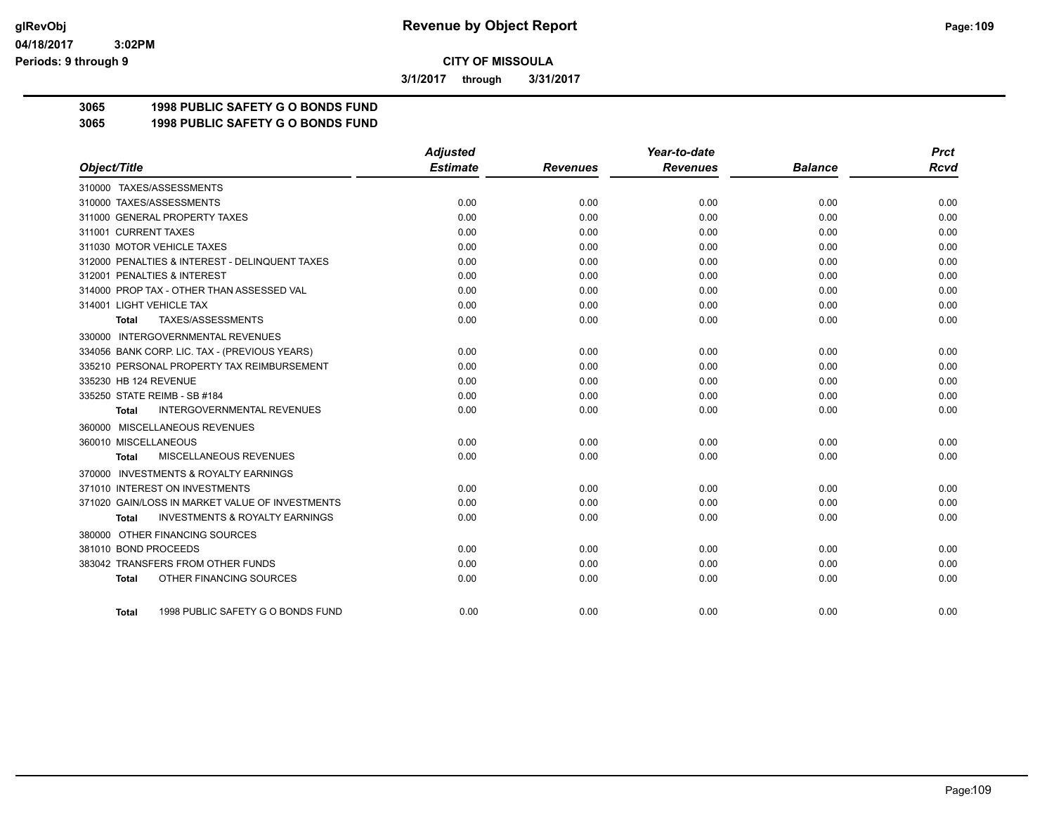**3/1/2017 through 3/31/2017**

# **3065 1998 PUBLIC SAFETY G O BONDS FUND**

**3065 1998 PUBLIC SAFETY G O BONDS FUND**

|                                                    | <b>Adjusted</b> |                 | Year-to-date    |                | <b>Prct</b> |
|----------------------------------------------------|-----------------|-----------------|-----------------|----------------|-------------|
| Object/Title                                       | <b>Estimate</b> | <b>Revenues</b> | <b>Revenues</b> | <b>Balance</b> | <b>Rcvd</b> |
| 310000 TAXES/ASSESSMENTS                           |                 |                 |                 |                |             |
| 310000 TAXES/ASSESSMENTS                           | 0.00            | 0.00            | 0.00            | 0.00           | 0.00        |
| 311000 GENERAL PROPERTY TAXES                      | 0.00            | 0.00            | 0.00            | 0.00           | 0.00        |
| 311001 CURRENT TAXES                               | 0.00            | 0.00            | 0.00            | 0.00           | 0.00        |
| 311030 MOTOR VEHICLE TAXES                         | 0.00            | 0.00            | 0.00            | 0.00           | 0.00        |
| 312000 PENALTIES & INTEREST - DELINQUENT TAXES     | 0.00            | 0.00            | 0.00            | 0.00           | 0.00        |
| 312001 PENALTIES & INTEREST                        | 0.00            | 0.00            | 0.00            | 0.00           | 0.00        |
| 314000 PROP TAX - OTHER THAN ASSESSED VAL          | 0.00            | 0.00            | 0.00            | 0.00           | 0.00        |
| 314001 LIGHT VEHICLE TAX                           | 0.00            | 0.00            | 0.00            | 0.00           | 0.00        |
| TAXES/ASSESSMENTS<br><b>Total</b>                  | 0.00            | 0.00            | 0.00            | 0.00           | 0.00        |
| 330000 INTERGOVERNMENTAL REVENUES                  |                 |                 |                 |                |             |
| 334056 BANK CORP. LIC. TAX - (PREVIOUS YEARS)      | 0.00            | 0.00            | 0.00            | 0.00           | 0.00        |
| 335210 PERSONAL PROPERTY TAX REIMBURSEMENT         | 0.00            | 0.00            | 0.00            | 0.00           | 0.00        |
| 335230 HB 124 REVENUE                              | 0.00            | 0.00            | 0.00            | 0.00           | 0.00        |
| 335250 STATE REIMB - SB #184                       | 0.00            | 0.00            | 0.00            | 0.00           | 0.00        |
| <b>INTERGOVERNMENTAL REVENUES</b><br><b>Total</b>  | 0.00            | 0.00            | 0.00            | 0.00           | 0.00        |
| 360000 MISCELLANEOUS REVENUES                      |                 |                 |                 |                |             |
| 360010 MISCELLANEOUS                               | 0.00            | 0.00            | 0.00            | 0.00           | 0.00        |
| MISCELLANEOUS REVENUES<br>Total                    | 0.00            | 0.00            | 0.00            | 0.00           | 0.00        |
| 370000 INVESTMENTS & ROYALTY EARNINGS              |                 |                 |                 |                |             |
| 371010 INTEREST ON INVESTMENTS                     | 0.00            | 0.00            | 0.00            | 0.00           | 0.00        |
| 371020 GAIN/LOSS IN MARKET VALUE OF INVESTMENTS    | 0.00            | 0.00            | 0.00            | 0.00           | 0.00        |
| <b>INVESTMENTS &amp; ROYALTY EARNINGS</b><br>Total | 0.00            | 0.00            | 0.00            | 0.00           | 0.00        |
| 380000 OTHER FINANCING SOURCES                     |                 |                 |                 |                |             |
| 381010 BOND PROCEEDS                               | 0.00            | 0.00            | 0.00            | 0.00           | 0.00        |
| 383042 TRANSFERS FROM OTHER FUNDS                  | 0.00            | 0.00            | 0.00            | 0.00           | 0.00        |
| OTHER FINANCING SOURCES<br><b>Total</b>            | 0.00            | 0.00            | 0.00            | 0.00           | 0.00        |
| 1998 PUBLIC SAFETY G O BONDS FUND<br><b>Total</b>  | 0.00            | 0.00            | 0.00            | 0.00           | 0.00        |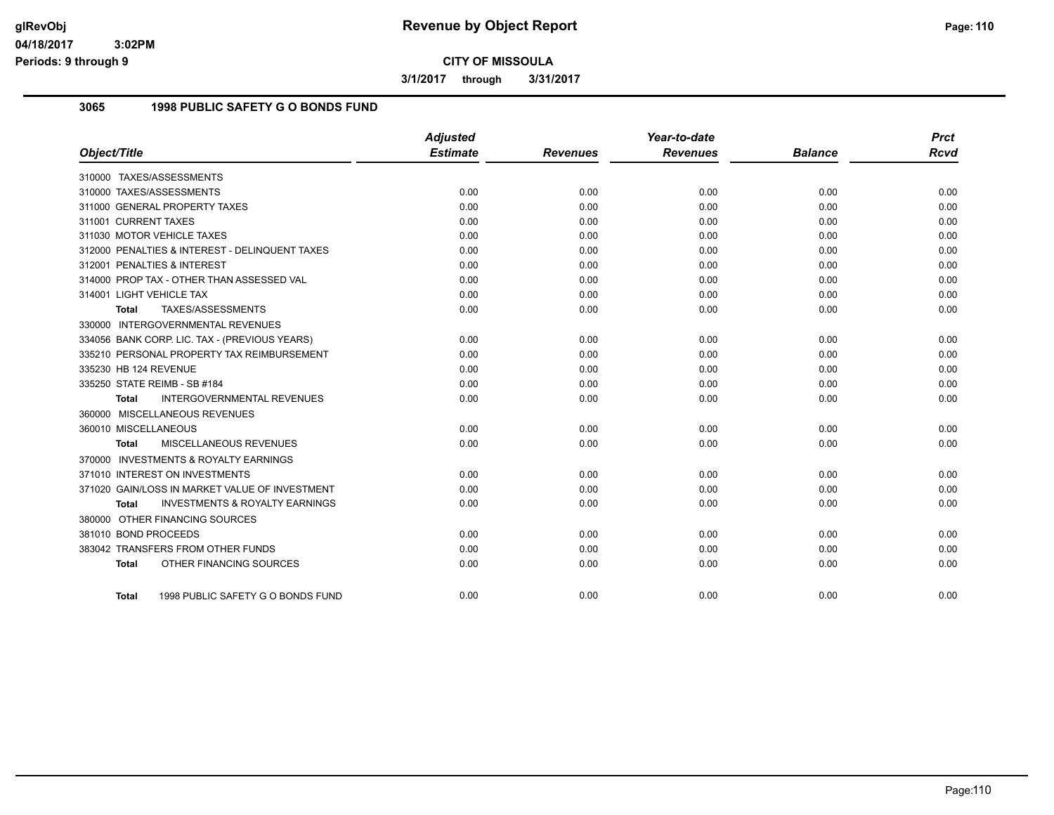**3/1/2017 through 3/31/2017**

## **3065 1998 PUBLIC SAFETY G O BONDS FUND**

|                                                    | <b>Adjusted</b> |                 | Year-to-date    |                | <b>Prct</b> |
|----------------------------------------------------|-----------------|-----------------|-----------------|----------------|-------------|
| Object/Title                                       | <b>Estimate</b> | <b>Revenues</b> | <b>Revenues</b> | <b>Balance</b> | <b>Rcvd</b> |
| 310000 TAXES/ASSESSMENTS                           |                 |                 |                 |                |             |
| 310000 TAXES/ASSESSMENTS                           | 0.00            | 0.00            | 0.00            | 0.00           | 0.00        |
| 311000 GENERAL PROPERTY TAXES                      | 0.00            | 0.00            | 0.00            | 0.00           | 0.00        |
| 311001 CURRENT TAXES                               | 0.00            | 0.00            | 0.00            | 0.00           | 0.00        |
| 311030 MOTOR VEHICLE TAXES                         | 0.00            | 0.00            | 0.00            | 0.00           | 0.00        |
| 312000 PENALTIES & INTEREST - DELINQUENT TAXES     | 0.00            | 0.00            | 0.00            | 0.00           | 0.00        |
| 312001 PENALTIES & INTEREST                        | 0.00            | 0.00            | 0.00            | 0.00           | 0.00        |
| 314000 PROP TAX - OTHER THAN ASSESSED VAL          | 0.00            | 0.00            | 0.00            | 0.00           | 0.00        |
| 314001 LIGHT VEHICLE TAX                           | 0.00            | 0.00            | 0.00            | 0.00           | 0.00        |
| TAXES/ASSESSMENTS<br><b>Total</b>                  | 0.00            | 0.00            | 0.00            | 0.00           | 0.00        |
| 330000 INTERGOVERNMENTAL REVENUES                  |                 |                 |                 |                |             |
| 334056 BANK CORP. LIC. TAX - (PREVIOUS YEARS)      | 0.00            | 0.00            | 0.00            | 0.00           | 0.00        |
| 335210 PERSONAL PROPERTY TAX REIMBURSEMENT         | 0.00            | 0.00            | 0.00            | 0.00           | 0.00        |
| 335230 HB 124 REVENUE                              | 0.00            | 0.00            | 0.00            | 0.00           | 0.00        |
| 335250 STATE REIMB - SB #184                       | 0.00            | 0.00            | 0.00            | 0.00           | 0.00        |
| INTERGOVERNMENTAL REVENUES<br><b>Total</b>         | 0.00            | 0.00            | 0.00            | 0.00           | 0.00        |
| 360000 MISCELLANEOUS REVENUES                      |                 |                 |                 |                |             |
| 360010 MISCELLANEOUS                               | 0.00            | 0.00            | 0.00            | 0.00           | 0.00        |
| MISCELLANEOUS REVENUES<br><b>Total</b>             | 0.00            | 0.00            | 0.00            | 0.00           | 0.00        |
| 370000 INVESTMENTS & ROYALTY EARNINGS              |                 |                 |                 |                |             |
| 371010 INTEREST ON INVESTMENTS                     | 0.00            | 0.00            | 0.00            | 0.00           | 0.00        |
| 371020 GAIN/LOSS IN MARKET VALUE OF INVESTMENT     | 0.00            | 0.00            | 0.00            | 0.00           | 0.00        |
| <b>INVESTMENTS &amp; ROYALTY EARNINGS</b><br>Total | 0.00            | 0.00            | 0.00            | 0.00           | 0.00        |
| 380000 OTHER FINANCING SOURCES                     |                 |                 |                 |                |             |
| 381010 BOND PROCEEDS                               | 0.00            | 0.00            | 0.00            | 0.00           | 0.00        |
| 383042 TRANSFERS FROM OTHER FUNDS                  | 0.00            | 0.00            | 0.00            | 0.00           | 0.00        |
| OTHER FINANCING SOURCES<br><b>Total</b>            | 0.00            | 0.00            | 0.00            | 0.00           | 0.00        |
| 1998 PUBLIC SAFETY G O BONDS FUND<br><b>Total</b>  | 0.00            | 0.00            | 0.00            | 0.00           | 0.00        |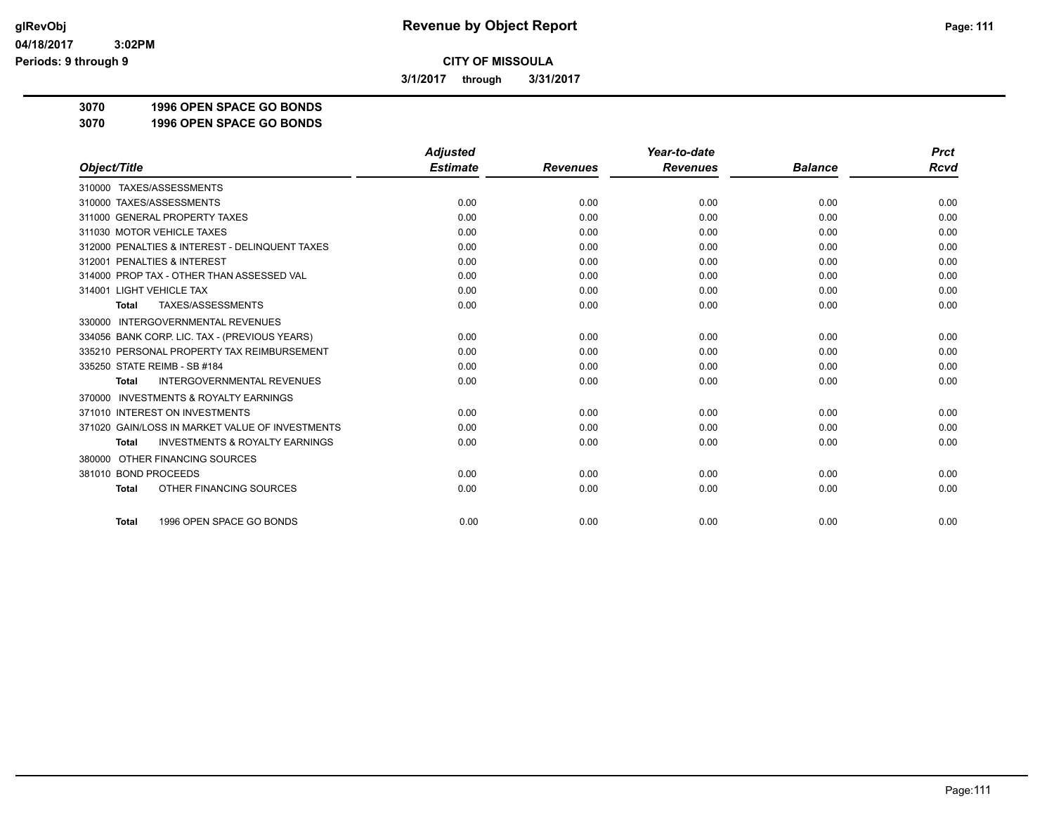**3/1/2017 through 3/31/2017**

**3070 1996 OPEN SPACE GO BONDS**

**3070 1996 OPEN SPACE GO BONDS**

|                                                    | <b>Adjusted</b> |                 | Year-to-date    |                | <b>Prct</b> |
|----------------------------------------------------|-----------------|-----------------|-----------------|----------------|-------------|
| Object/Title                                       | <b>Estimate</b> | <b>Revenues</b> | <b>Revenues</b> | <b>Balance</b> | Rcvd        |
| 310000 TAXES/ASSESSMENTS                           |                 |                 |                 |                |             |
| 310000 TAXES/ASSESSMENTS                           | 0.00            | 0.00            | 0.00            | 0.00           | 0.00        |
| 311000 GENERAL PROPERTY TAXES                      | 0.00            | 0.00            | 0.00            | 0.00           | 0.00        |
| 311030 MOTOR VEHICLE TAXES                         | 0.00            | 0.00            | 0.00            | 0.00           | 0.00        |
| 312000 PENALTIES & INTEREST - DELINQUENT TAXES     | 0.00            | 0.00            | 0.00            | 0.00           | 0.00        |
| 312001 PENALTIES & INTEREST                        | 0.00            | 0.00            | 0.00            | 0.00           | 0.00        |
| 314000 PROP TAX - OTHER THAN ASSESSED VAL          | 0.00            | 0.00            | 0.00            | 0.00           | 0.00        |
| 314001 LIGHT VEHICLE TAX                           | 0.00            | 0.00            | 0.00            | 0.00           | 0.00        |
| TAXES/ASSESSMENTS<br><b>Total</b>                  | 0.00            | 0.00            | 0.00            | 0.00           | 0.00        |
| 330000 INTERGOVERNMENTAL REVENUES                  |                 |                 |                 |                |             |
| 334056 BANK CORP. LIC. TAX - (PREVIOUS YEARS)      | 0.00            | 0.00            | 0.00            | 0.00           | 0.00        |
| 335210 PERSONAL PROPERTY TAX REIMBURSEMENT         | 0.00            | 0.00            | 0.00            | 0.00           | 0.00        |
| 335250 STATE REIMB - SB #184                       | 0.00            | 0.00            | 0.00            | 0.00           | 0.00        |
| <b>INTERGOVERNMENTAL REVENUES</b><br><b>Total</b>  | 0.00            | 0.00            | 0.00            | 0.00           | 0.00        |
| 370000 INVESTMENTS & ROYALTY EARNINGS              |                 |                 |                 |                |             |
| 371010 INTEREST ON INVESTMENTS                     | 0.00            | 0.00            | 0.00            | 0.00           | 0.00        |
| 371020 GAIN/LOSS IN MARKET VALUE OF INVESTMENTS    | 0.00            | 0.00            | 0.00            | 0.00           | 0.00        |
| <b>INVESTMENTS &amp; ROYALTY EARNINGS</b><br>Total | 0.00            | 0.00            | 0.00            | 0.00           | 0.00        |
| 380000 OTHER FINANCING SOURCES                     |                 |                 |                 |                |             |
| 381010 BOND PROCEEDS                               | 0.00            | 0.00            | 0.00            | 0.00           | 0.00        |
| OTHER FINANCING SOURCES<br><b>Total</b>            | 0.00            | 0.00            | 0.00            | 0.00           | 0.00        |
| 1996 OPEN SPACE GO BONDS<br><b>Total</b>           | 0.00            | 0.00            | 0.00            | 0.00           | 0.00        |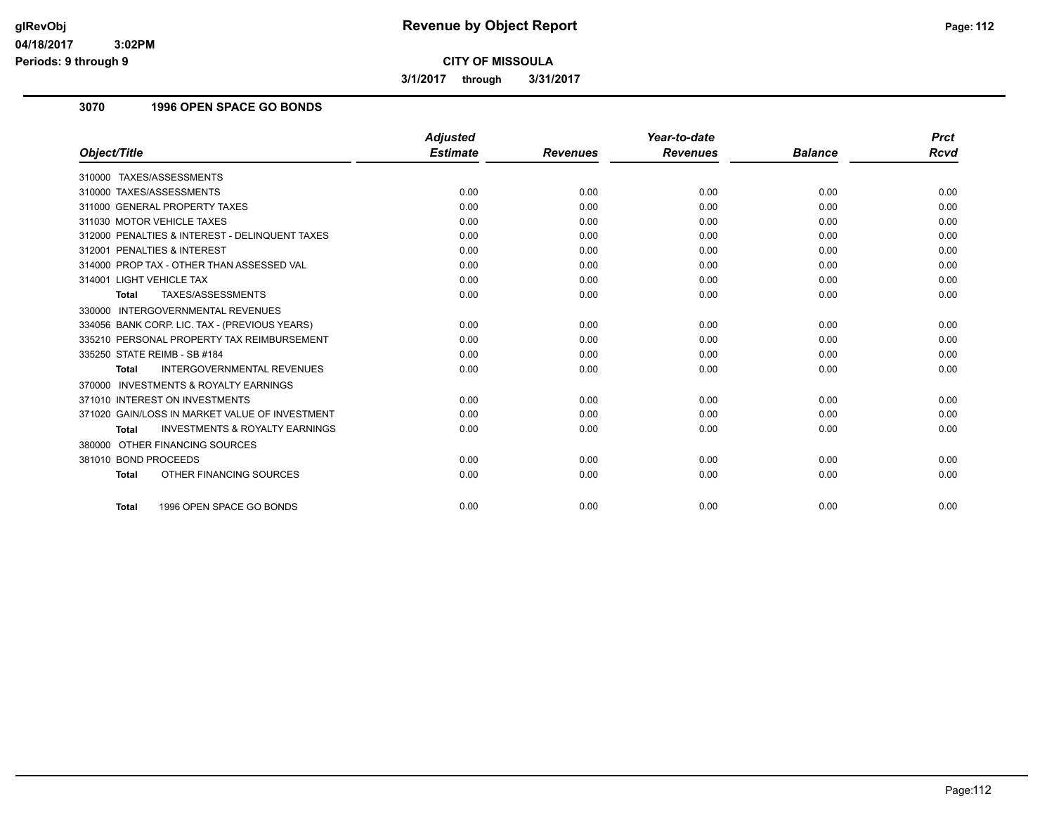**3/1/2017 through 3/31/2017**

## **3070 1996 OPEN SPACE GO BONDS**

|                                                           | <b>Adjusted</b> |                 | Year-to-date    |                | <b>Prct</b> |
|-----------------------------------------------------------|-----------------|-----------------|-----------------|----------------|-------------|
| Object/Title                                              | <b>Estimate</b> | <b>Revenues</b> | <b>Revenues</b> | <b>Balance</b> | Rcvd        |
| 310000 TAXES/ASSESSMENTS                                  |                 |                 |                 |                |             |
| 310000 TAXES/ASSESSMENTS                                  | 0.00            | 0.00            | 0.00            | 0.00           | 0.00        |
| 311000 GENERAL PROPERTY TAXES                             | 0.00            | 0.00            | 0.00            | 0.00           | 0.00        |
| 311030 MOTOR VEHICLE TAXES                                | 0.00            | 0.00            | 0.00            | 0.00           | 0.00        |
| 312000 PENALTIES & INTEREST - DELINQUENT TAXES            | 0.00            | 0.00            | 0.00            | 0.00           | 0.00        |
| 312001 PENALTIES & INTEREST                               | 0.00            | 0.00            | 0.00            | 0.00           | 0.00        |
| 314000 PROP TAX - OTHER THAN ASSESSED VAL                 | 0.00            | 0.00            | 0.00            | 0.00           | 0.00        |
| 314001 LIGHT VEHICLE TAX                                  | 0.00            | 0.00            | 0.00            | 0.00           | 0.00        |
| TAXES/ASSESSMENTS<br><b>Total</b>                         | 0.00            | 0.00            | 0.00            | 0.00           | 0.00        |
| 330000 INTERGOVERNMENTAL REVENUES                         |                 |                 |                 |                |             |
| 334056 BANK CORP. LIC. TAX - (PREVIOUS YEARS)             | 0.00            | 0.00            | 0.00            | 0.00           | 0.00        |
| 335210 PERSONAL PROPERTY TAX REIMBURSEMENT                | 0.00            | 0.00            | 0.00            | 0.00           | 0.00        |
| 335250 STATE REIMB - SB #184                              | 0.00            | 0.00            | 0.00            | 0.00           | 0.00        |
| INTERGOVERNMENTAL REVENUES<br><b>Total</b>                | 0.00            | 0.00            | 0.00            | 0.00           | 0.00        |
| 370000 INVESTMENTS & ROYALTY EARNINGS                     |                 |                 |                 |                |             |
| 371010 INTEREST ON INVESTMENTS                            | 0.00            | 0.00            | 0.00            | 0.00           | 0.00        |
| 371020 GAIN/LOSS IN MARKET VALUE OF INVESTMENT            | 0.00            | 0.00            | 0.00            | 0.00           | 0.00        |
| <b>INVESTMENTS &amp; ROYALTY EARNINGS</b><br><b>Total</b> | 0.00            | 0.00            | 0.00            | 0.00           | 0.00        |
| 380000 OTHER FINANCING SOURCES                            |                 |                 |                 |                |             |
| 381010 BOND PROCEEDS                                      | 0.00            | 0.00            | 0.00            | 0.00           | 0.00        |
| OTHER FINANCING SOURCES<br><b>Total</b>                   | 0.00            | 0.00            | 0.00            | 0.00           | 0.00        |
| 1996 OPEN SPACE GO BONDS<br><b>Total</b>                  | 0.00            | 0.00            | 0.00            | 0.00           | 0.00        |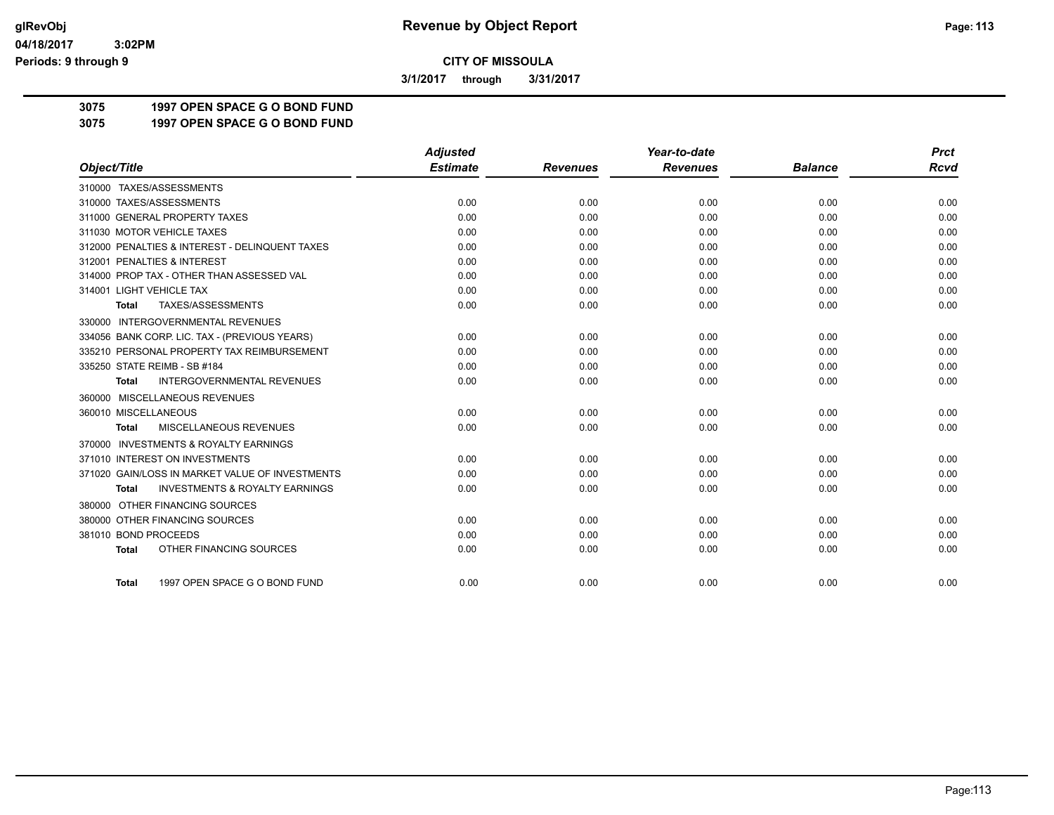**3/1/2017 through 3/31/2017**

## **3075 1997 OPEN SPACE G O BOND FUND**

**3075 1997 OPEN SPACE G O BOND FUND**

|                                                           | <b>Adjusted</b> |                 | Year-to-date    |                | <b>Prct</b> |
|-----------------------------------------------------------|-----------------|-----------------|-----------------|----------------|-------------|
| Object/Title                                              | <b>Estimate</b> | <b>Revenues</b> | <b>Revenues</b> | <b>Balance</b> | <b>Rcvd</b> |
| 310000 TAXES/ASSESSMENTS                                  |                 |                 |                 |                |             |
| 310000 TAXES/ASSESSMENTS                                  | 0.00            | 0.00            | 0.00            | 0.00           | 0.00        |
| 311000 GENERAL PROPERTY TAXES                             | 0.00            | 0.00            | 0.00            | 0.00           | 0.00        |
| 311030 MOTOR VEHICLE TAXES                                | 0.00            | 0.00            | 0.00            | 0.00           | 0.00        |
| 312000 PENALTIES & INTEREST - DELINQUENT TAXES            | 0.00            | 0.00            | 0.00            | 0.00           | 0.00        |
| 312001 PENALTIES & INTEREST                               | 0.00            | 0.00            | 0.00            | 0.00           | 0.00        |
| 314000 PROP TAX - OTHER THAN ASSESSED VAL                 | 0.00            | 0.00            | 0.00            | 0.00           | 0.00        |
| 314001 LIGHT VEHICLE TAX                                  | 0.00            | 0.00            | 0.00            | 0.00           | 0.00        |
| TAXES/ASSESSMENTS<br><b>Total</b>                         | 0.00            | 0.00            | 0.00            | 0.00           | 0.00        |
| 330000 INTERGOVERNMENTAL REVENUES                         |                 |                 |                 |                |             |
| 334056 BANK CORP. LIC. TAX - (PREVIOUS YEARS)             | 0.00            | 0.00            | 0.00            | 0.00           | 0.00        |
| 335210 PERSONAL PROPERTY TAX REIMBURSEMENT                | 0.00            | 0.00            | 0.00            | 0.00           | 0.00        |
| 335250 STATE REIMB - SB #184                              | 0.00            | 0.00            | 0.00            | 0.00           | 0.00        |
| <b>INTERGOVERNMENTAL REVENUES</b><br><b>Total</b>         | 0.00            | 0.00            | 0.00            | 0.00           | 0.00        |
| 360000 MISCELLANEOUS REVENUES                             |                 |                 |                 |                |             |
| 360010 MISCELLANEOUS                                      | 0.00            | 0.00            | 0.00            | 0.00           | 0.00        |
| MISCELLANEOUS REVENUES<br>Total                           | 0.00            | 0.00            | 0.00            | 0.00           | 0.00        |
| 370000 INVESTMENTS & ROYALTY EARNINGS                     |                 |                 |                 |                |             |
| 371010 INTEREST ON INVESTMENTS                            | 0.00            | 0.00            | 0.00            | 0.00           | 0.00        |
| 371020 GAIN/LOSS IN MARKET VALUE OF INVESTMENTS           | 0.00            | 0.00            | 0.00            | 0.00           | 0.00        |
| <b>INVESTMENTS &amp; ROYALTY EARNINGS</b><br><b>Total</b> | 0.00            | 0.00            | 0.00            | 0.00           | 0.00        |
| 380000 OTHER FINANCING SOURCES                            |                 |                 |                 |                |             |
| 380000 OTHER FINANCING SOURCES                            | 0.00            | 0.00            | 0.00            | 0.00           | 0.00        |
| 381010 BOND PROCEEDS                                      | 0.00            | 0.00            | 0.00            | 0.00           | 0.00        |
| OTHER FINANCING SOURCES<br><b>Total</b>                   | 0.00            | 0.00            | 0.00            | 0.00           | 0.00        |
| 1997 OPEN SPACE G O BOND FUND<br><b>Total</b>             | 0.00            | 0.00            | 0.00            | 0.00           | 0.00        |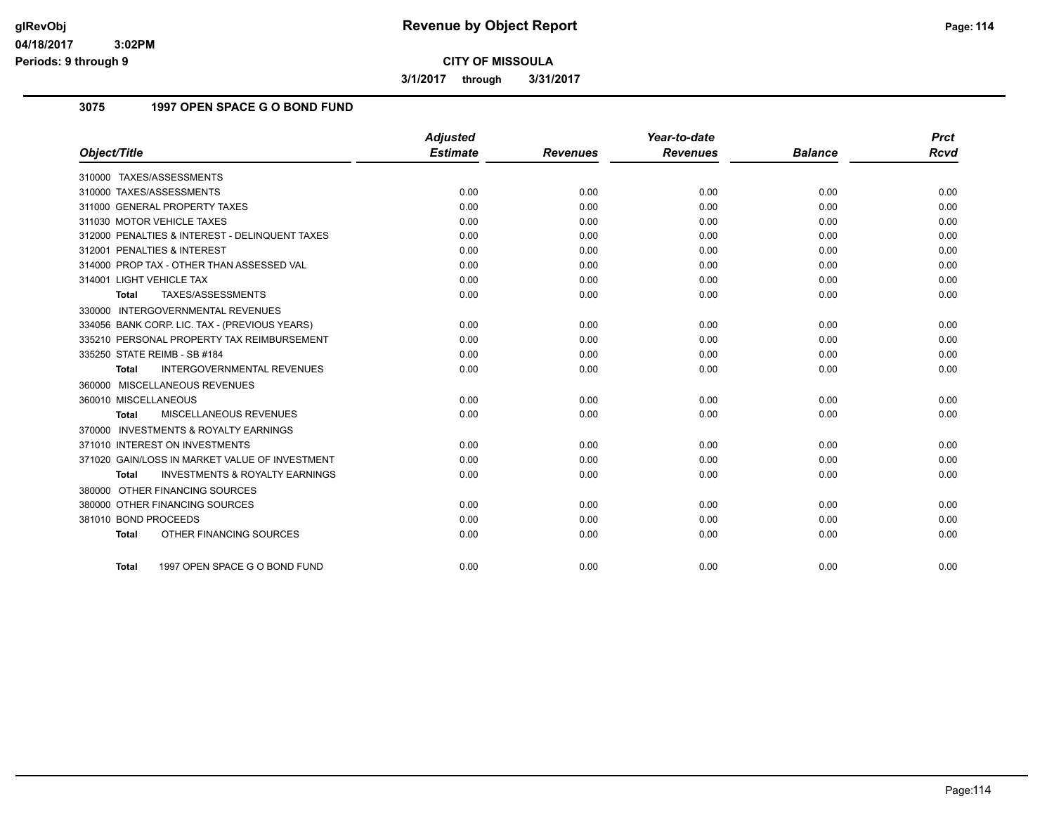**3/1/2017 through 3/31/2017**

## **3075 1997 OPEN SPACE G O BOND FUND**

|                                                           | <b>Adjusted</b> |                 | Year-to-date    |                | <b>Prct</b> |
|-----------------------------------------------------------|-----------------|-----------------|-----------------|----------------|-------------|
| Object/Title                                              | <b>Estimate</b> | <b>Revenues</b> | <b>Revenues</b> | <b>Balance</b> | <b>Rcvd</b> |
| 310000 TAXES/ASSESSMENTS                                  |                 |                 |                 |                |             |
| 310000 TAXES/ASSESSMENTS                                  | 0.00            | 0.00            | 0.00            | 0.00           | 0.00        |
| 311000 GENERAL PROPERTY TAXES                             | 0.00            | 0.00            | 0.00            | 0.00           | 0.00        |
| 311030 MOTOR VEHICLE TAXES                                | 0.00            | 0.00            | 0.00            | 0.00           | 0.00        |
| 312000 PENALTIES & INTEREST - DELINQUENT TAXES            | 0.00            | 0.00            | 0.00            | 0.00           | 0.00        |
| 312001 PENALTIES & INTEREST                               | 0.00            | 0.00            | 0.00            | 0.00           | 0.00        |
| 314000 PROP TAX - OTHER THAN ASSESSED VAL                 | 0.00            | 0.00            | 0.00            | 0.00           | 0.00        |
| 314001 LIGHT VEHICLE TAX                                  | 0.00            | 0.00            | 0.00            | 0.00           | 0.00        |
| TAXES/ASSESSMENTS<br><b>Total</b>                         | 0.00            | 0.00            | 0.00            | 0.00           | 0.00        |
| 330000 INTERGOVERNMENTAL REVENUES                         |                 |                 |                 |                |             |
| 334056 BANK CORP. LIC. TAX - (PREVIOUS YEARS)             | 0.00            | 0.00            | 0.00            | 0.00           | 0.00        |
| 335210 PERSONAL PROPERTY TAX REIMBURSEMENT                | 0.00            | 0.00            | 0.00            | 0.00           | 0.00        |
| 335250 STATE REIMB - SB #184                              | 0.00            | 0.00            | 0.00            | 0.00           | 0.00        |
| <b>INTERGOVERNMENTAL REVENUES</b><br><b>Total</b>         | 0.00            | 0.00            | 0.00            | 0.00           | 0.00        |
| 360000 MISCELLANEOUS REVENUES                             |                 |                 |                 |                |             |
| 360010 MISCELLANEOUS                                      | 0.00            | 0.00            | 0.00            | 0.00           | 0.00        |
| <b>MISCELLANEOUS REVENUES</b><br><b>Total</b>             | 0.00            | 0.00            | 0.00            | 0.00           | 0.00        |
| 370000 INVESTMENTS & ROYALTY EARNINGS                     |                 |                 |                 |                |             |
| 371010 INTEREST ON INVESTMENTS                            | 0.00            | 0.00            | 0.00            | 0.00           | 0.00        |
| 371020 GAIN/LOSS IN MARKET VALUE OF INVESTMENT            | 0.00            | 0.00            | 0.00            | 0.00           | 0.00        |
| <b>INVESTMENTS &amp; ROYALTY EARNINGS</b><br><b>Total</b> | 0.00            | 0.00            | 0.00            | 0.00           | 0.00        |
| 380000 OTHER FINANCING SOURCES                            |                 |                 |                 |                |             |
| 380000 OTHER FINANCING SOURCES                            | 0.00            | 0.00            | 0.00            | 0.00           | 0.00        |
| 381010 BOND PROCEEDS                                      | 0.00            | 0.00            | 0.00            | 0.00           | 0.00        |
| OTHER FINANCING SOURCES<br><b>Total</b>                   | 0.00            | 0.00            | 0.00            | 0.00           | 0.00        |
| 1997 OPEN SPACE G O BOND FUND<br><b>Total</b>             | 0.00            | 0.00            | 0.00            | 0.00           | 0.00        |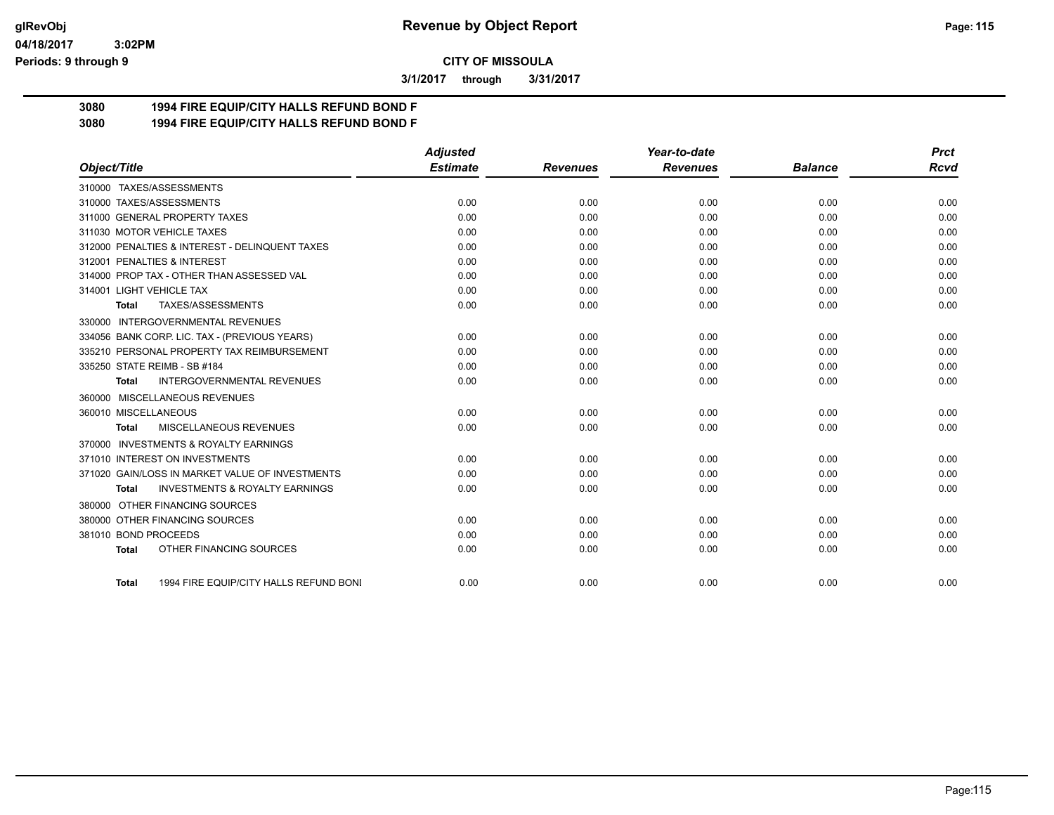**3/1/2017 through 3/31/2017**

## **3080 1994 FIRE EQUIP/CITY HALLS REFUND BOND F**

**3080 1994 FIRE EQUIP/CITY HALLS REFUND BOND F**

|                                                    | <b>Adjusted</b> |                 | Year-to-date    |                | <b>Prct</b> |
|----------------------------------------------------|-----------------|-----------------|-----------------|----------------|-------------|
| Object/Title                                       | <b>Estimate</b> | <b>Revenues</b> | <b>Revenues</b> | <b>Balance</b> | <b>Rcvd</b> |
| 310000 TAXES/ASSESSMENTS                           |                 |                 |                 |                |             |
| 310000 TAXES/ASSESSMENTS                           | 0.00            | 0.00            | 0.00            | 0.00           | 0.00        |
| 311000 GENERAL PROPERTY TAXES                      | 0.00            | 0.00            | 0.00            | 0.00           | 0.00        |
| 311030 MOTOR VEHICLE TAXES                         | 0.00            | 0.00            | 0.00            | 0.00           | 0.00        |
| 312000 PENALTIES & INTEREST - DELINQUENT TAXES     | 0.00            | 0.00            | 0.00            | 0.00           | 0.00        |
| 312001 PENALTIES & INTEREST                        | 0.00            | 0.00            | 0.00            | 0.00           | 0.00        |
| 314000 PROP TAX - OTHER THAN ASSESSED VAL          | 0.00            | 0.00            | 0.00            | 0.00           | 0.00        |
| 314001 LIGHT VEHICLE TAX                           | 0.00            | 0.00            | 0.00            | 0.00           | 0.00        |
| TAXES/ASSESSMENTS<br>Total                         | 0.00            | 0.00            | 0.00            | 0.00           | 0.00        |
| 330000 INTERGOVERNMENTAL REVENUES                  |                 |                 |                 |                |             |
| 334056 BANK CORP. LIC. TAX - (PREVIOUS YEARS)      | 0.00            | 0.00            | 0.00            | 0.00           | 0.00        |
| 335210 PERSONAL PROPERTY TAX REIMBURSEMENT         | 0.00            | 0.00            | 0.00            | 0.00           | 0.00        |
| 335250 STATE REIMB - SB #184                       | 0.00            | 0.00            | 0.00            | 0.00           | 0.00        |
| <b>INTERGOVERNMENTAL REVENUES</b><br><b>Total</b>  | 0.00            | 0.00            | 0.00            | 0.00           | 0.00        |
| 360000 MISCELLANEOUS REVENUES                      |                 |                 |                 |                |             |
| 360010 MISCELLANEOUS                               | 0.00            | 0.00            | 0.00            | 0.00           | 0.00        |
| MISCELLANEOUS REVENUES<br>Total                    | 0.00            | 0.00            | 0.00            | 0.00           | 0.00        |
| 370000 INVESTMENTS & ROYALTY EARNINGS              |                 |                 |                 |                |             |
| 371010 INTEREST ON INVESTMENTS                     | 0.00            | 0.00            | 0.00            | 0.00           | 0.00        |
| 371020 GAIN/LOSS IN MARKET VALUE OF INVESTMENTS    | 0.00            | 0.00            | 0.00            | 0.00           | 0.00        |
| <b>INVESTMENTS &amp; ROYALTY EARNINGS</b><br>Total | 0.00            | 0.00            | 0.00            | 0.00           | 0.00        |
| 380000 OTHER FINANCING SOURCES                     |                 |                 |                 |                |             |
| 380000 OTHER FINANCING SOURCES                     | 0.00            | 0.00            | 0.00            | 0.00           | 0.00        |
| 381010 BOND PROCEEDS                               | 0.00            | 0.00            | 0.00            | 0.00           | 0.00        |
| OTHER FINANCING SOURCES<br><b>Total</b>            | 0.00            | 0.00            | 0.00            | 0.00           | 0.00        |
| 1994 FIRE EQUIP/CITY HALLS REFUND BONI<br>Total    | 0.00            | 0.00            | 0.00            | 0.00           | 0.00        |
|                                                    |                 |                 |                 |                |             |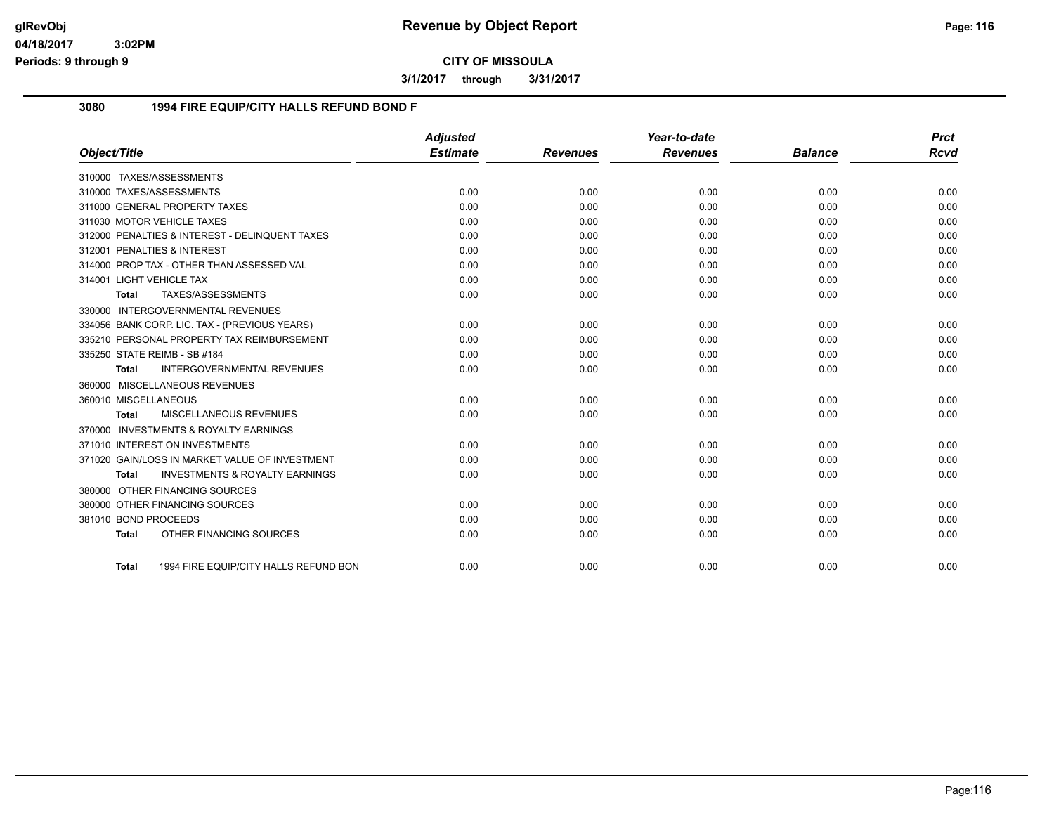**3/1/2017 through 3/31/2017**

#### **3080 1994 FIRE EQUIP/CITY HALLS REFUND BOND F**

|                                                           | <b>Adjusted</b> |                 | Year-to-date    |                | <b>Prct</b> |
|-----------------------------------------------------------|-----------------|-----------------|-----------------|----------------|-------------|
| Object/Title                                              | <b>Estimate</b> | <b>Revenues</b> | <b>Revenues</b> | <b>Balance</b> | Rcvd        |
| 310000 TAXES/ASSESSMENTS                                  |                 |                 |                 |                |             |
| 310000 TAXES/ASSESSMENTS                                  | 0.00            | 0.00            | 0.00            | 0.00           | 0.00        |
| 311000 GENERAL PROPERTY TAXES                             | 0.00            | 0.00            | 0.00            | 0.00           | 0.00        |
| 311030 MOTOR VEHICLE TAXES                                | 0.00            | 0.00            | 0.00            | 0.00           | 0.00        |
| 312000 PENALTIES & INTEREST - DELINQUENT TAXES            | 0.00            | 0.00            | 0.00            | 0.00           | 0.00        |
| 312001 PENALTIES & INTEREST                               | 0.00            | 0.00            | 0.00            | 0.00           | 0.00        |
| 314000 PROP TAX - OTHER THAN ASSESSED VAL                 | 0.00            | 0.00            | 0.00            | 0.00           | 0.00        |
| 314001 LIGHT VEHICLE TAX                                  | 0.00            | 0.00            | 0.00            | 0.00           | 0.00        |
| TAXES/ASSESSMENTS<br><b>Total</b>                         | 0.00            | 0.00            | 0.00            | 0.00           | 0.00        |
| 330000 INTERGOVERNMENTAL REVENUES                         |                 |                 |                 |                |             |
| 334056 BANK CORP. LIC. TAX - (PREVIOUS YEARS)             | 0.00            | 0.00            | 0.00            | 0.00           | 0.00        |
| 335210 PERSONAL PROPERTY TAX REIMBURSEMENT                | 0.00            | 0.00            | 0.00            | 0.00           | 0.00        |
| 335250 STATE REIMB - SB #184                              | 0.00            | 0.00            | 0.00            | 0.00           | 0.00        |
| <b>INTERGOVERNMENTAL REVENUES</b><br><b>Total</b>         | 0.00            | 0.00            | 0.00            | 0.00           | 0.00        |
| 360000 MISCELLANEOUS REVENUES                             |                 |                 |                 |                |             |
| 360010 MISCELLANEOUS                                      | 0.00            | 0.00            | 0.00            | 0.00           | 0.00        |
| MISCELLANEOUS REVENUES<br><b>Total</b>                    | 0.00            | 0.00            | 0.00            | 0.00           | 0.00        |
| 370000 INVESTMENTS & ROYALTY EARNINGS                     |                 |                 |                 |                |             |
| 371010 INTEREST ON INVESTMENTS                            | 0.00            | 0.00            | 0.00            | 0.00           | 0.00        |
| 371020 GAIN/LOSS IN MARKET VALUE OF INVESTMENT            | 0.00            | 0.00            | 0.00            | 0.00           | 0.00        |
| <b>INVESTMENTS &amp; ROYALTY EARNINGS</b><br><b>Total</b> | 0.00            | 0.00            | 0.00            | 0.00           | 0.00        |
| 380000 OTHER FINANCING SOURCES                            |                 |                 |                 |                |             |
| 380000 OTHER FINANCING SOURCES                            | 0.00            | 0.00            | 0.00            | 0.00           | 0.00        |
| 381010 BOND PROCEEDS                                      | 0.00            | 0.00            | 0.00            | 0.00           | 0.00        |
| OTHER FINANCING SOURCES<br><b>Total</b>                   | 0.00            | 0.00            | 0.00            | 0.00           | 0.00        |
| 1994 FIRE EQUIP/CITY HALLS REFUND BON<br><b>Total</b>     | 0.00            | 0.00            | 0.00            | 0.00           | 0.00        |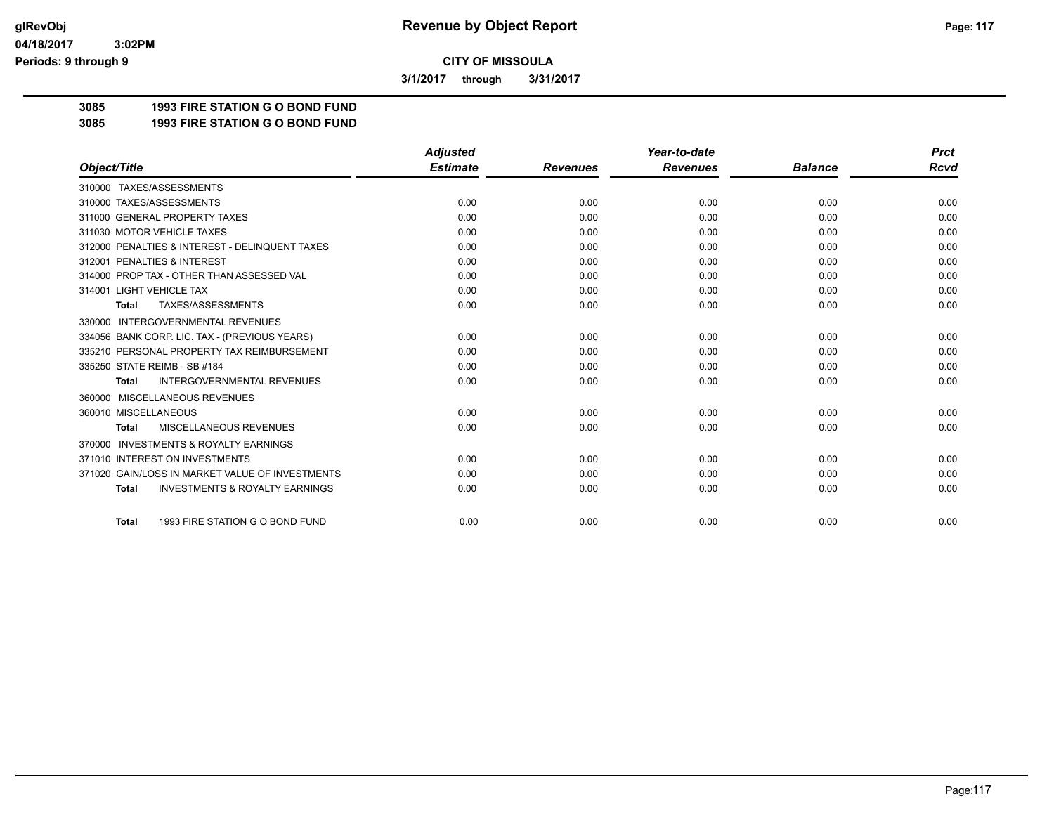**3/1/2017 through 3/31/2017**

**3085 1993 FIRE STATION G O BOND FUND**

**3085 1993 FIRE STATION G O BOND FUND**

|                                                           | <b>Adjusted</b> |                 | Year-to-date    |                | <b>Prct</b> |
|-----------------------------------------------------------|-----------------|-----------------|-----------------|----------------|-------------|
| Object/Title                                              | <b>Estimate</b> | <b>Revenues</b> | <b>Revenues</b> | <b>Balance</b> | <b>Rcvd</b> |
| 310000 TAXES/ASSESSMENTS                                  |                 |                 |                 |                |             |
| 310000 TAXES/ASSESSMENTS                                  | 0.00            | 0.00            | 0.00            | 0.00           | 0.00        |
| 311000 GENERAL PROPERTY TAXES                             | 0.00            | 0.00            | 0.00            | 0.00           | 0.00        |
| 311030 MOTOR VEHICLE TAXES                                | 0.00            | 0.00            | 0.00            | 0.00           | 0.00        |
| 312000 PENALTIES & INTEREST - DELINQUENT TAXES            | 0.00            | 0.00            | 0.00            | 0.00           | 0.00        |
| 312001 PENALTIES & INTEREST                               | 0.00            | 0.00            | 0.00            | 0.00           | 0.00        |
| 314000 PROP TAX - OTHER THAN ASSESSED VAL                 | 0.00            | 0.00            | 0.00            | 0.00           | 0.00        |
| 314001 LIGHT VEHICLE TAX                                  | 0.00            | 0.00            | 0.00            | 0.00           | 0.00        |
| TAXES/ASSESSMENTS<br><b>Total</b>                         | 0.00            | 0.00            | 0.00            | 0.00           | 0.00        |
| 330000 INTERGOVERNMENTAL REVENUES                         |                 |                 |                 |                |             |
| 334056 BANK CORP. LIC. TAX - (PREVIOUS YEARS)             | 0.00            | 0.00            | 0.00            | 0.00           | 0.00        |
| 335210 PERSONAL PROPERTY TAX REIMBURSEMENT                | 0.00            | 0.00            | 0.00            | 0.00           | 0.00        |
| 335250 STATE REIMB - SB #184                              | 0.00            | 0.00            | 0.00            | 0.00           | 0.00        |
| <b>INTERGOVERNMENTAL REVENUES</b><br><b>Total</b>         | 0.00            | 0.00            | 0.00            | 0.00           | 0.00        |
| 360000 MISCELLANEOUS REVENUES                             |                 |                 |                 |                |             |
| 360010 MISCELLANEOUS                                      | 0.00            | 0.00            | 0.00            | 0.00           | 0.00        |
| <b>MISCELLANEOUS REVENUES</b><br><b>Total</b>             | 0.00            | 0.00            | 0.00            | 0.00           | 0.00        |
| 370000 INVESTMENTS & ROYALTY EARNINGS                     |                 |                 |                 |                |             |
| 371010 INTEREST ON INVESTMENTS                            | 0.00            | 0.00            | 0.00            | 0.00           | 0.00        |
| 371020 GAIN/LOSS IN MARKET VALUE OF INVESTMENTS           | 0.00            | 0.00            | 0.00            | 0.00           | 0.00        |
| <b>INVESTMENTS &amp; ROYALTY EARNINGS</b><br><b>Total</b> | 0.00            | 0.00            | 0.00            | 0.00           | 0.00        |
|                                                           |                 |                 |                 |                |             |
| 1993 FIRE STATION G O BOND FUND<br><b>Total</b>           | 0.00            | 0.00            | 0.00            | 0.00           | 0.00        |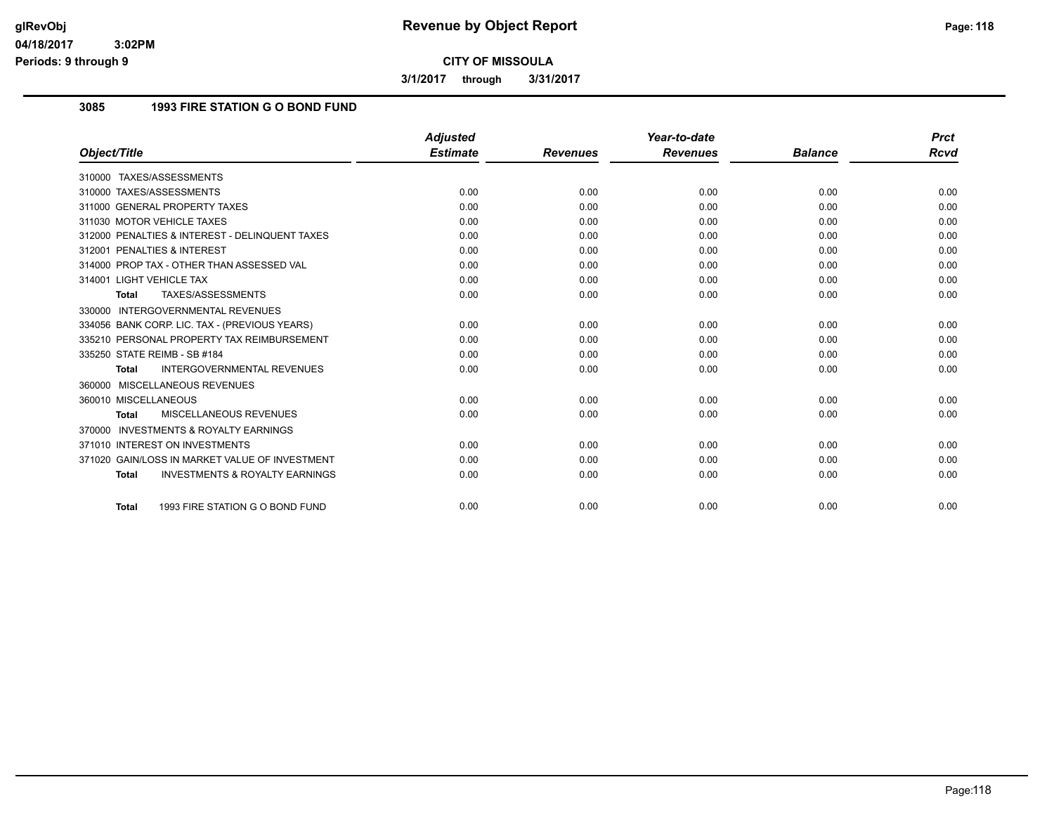**3/1/2017 through 3/31/2017**

## **3085 1993 FIRE STATION G O BOND FUND**

|                                                           | <b>Adjusted</b> |                 | Year-to-date    |                | <b>Prct</b> |
|-----------------------------------------------------------|-----------------|-----------------|-----------------|----------------|-------------|
| Object/Title                                              | <b>Estimate</b> | <b>Revenues</b> | <b>Revenues</b> | <b>Balance</b> | Rcvd        |
| 310000 TAXES/ASSESSMENTS                                  |                 |                 |                 |                |             |
| 310000 TAXES/ASSESSMENTS                                  | 0.00            | 0.00            | 0.00            | 0.00           | 0.00        |
| 311000 GENERAL PROPERTY TAXES                             | 0.00            | 0.00            | 0.00            | 0.00           | 0.00        |
| 311030 MOTOR VEHICLE TAXES                                | 0.00            | 0.00            | 0.00            | 0.00           | 0.00        |
| 312000 PENALTIES & INTEREST - DELINQUENT TAXES            | 0.00            | 0.00            | 0.00            | 0.00           | 0.00        |
| 312001 PENALTIES & INTEREST                               | 0.00            | 0.00            | 0.00            | 0.00           | 0.00        |
| 314000 PROP TAX - OTHER THAN ASSESSED VAL                 | 0.00            | 0.00            | 0.00            | 0.00           | 0.00        |
| 314001 LIGHT VEHICLE TAX                                  | 0.00            | 0.00            | 0.00            | 0.00           | 0.00        |
| TAXES/ASSESSMENTS<br><b>Total</b>                         | 0.00            | 0.00            | 0.00            | 0.00           | 0.00        |
| 330000 INTERGOVERNMENTAL REVENUES                         |                 |                 |                 |                |             |
| 334056 BANK CORP. LIC. TAX - (PREVIOUS YEARS)             | 0.00            | 0.00            | 0.00            | 0.00           | 0.00        |
| 335210 PERSONAL PROPERTY TAX REIMBURSEMENT                | 0.00            | 0.00            | 0.00            | 0.00           | 0.00        |
| 335250 STATE REIMB - SB #184                              | 0.00            | 0.00            | 0.00            | 0.00           | 0.00        |
| <b>INTERGOVERNMENTAL REVENUES</b><br><b>Total</b>         | 0.00            | 0.00            | 0.00            | 0.00           | 0.00        |
| 360000 MISCELLANEOUS REVENUES                             |                 |                 |                 |                |             |
| 360010 MISCELLANEOUS                                      | 0.00            | 0.00            | 0.00            | 0.00           | 0.00        |
| <b>MISCELLANEOUS REVENUES</b><br><b>Total</b>             | 0.00            | 0.00            | 0.00            | 0.00           | 0.00        |
| 370000 INVESTMENTS & ROYALTY EARNINGS                     |                 |                 |                 |                |             |
| 371010 INTEREST ON INVESTMENTS                            | 0.00            | 0.00            | 0.00            | 0.00           | 0.00        |
| 371020 GAIN/LOSS IN MARKET VALUE OF INVESTMENT            | 0.00            | 0.00            | 0.00            | 0.00           | 0.00        |
| <b>INVESTMENTS &amp; ROYALTY EARNINGS</b><br><b>Total</b> | 0.00            | 0.00            | 0.00            | 0.00           | 0.00        |
| 1993 FIRE STATION G O BOND FUND<br><b>Total</b>           | 0.00            | 0.00            | 0.00            | 0.00           | 0.00        |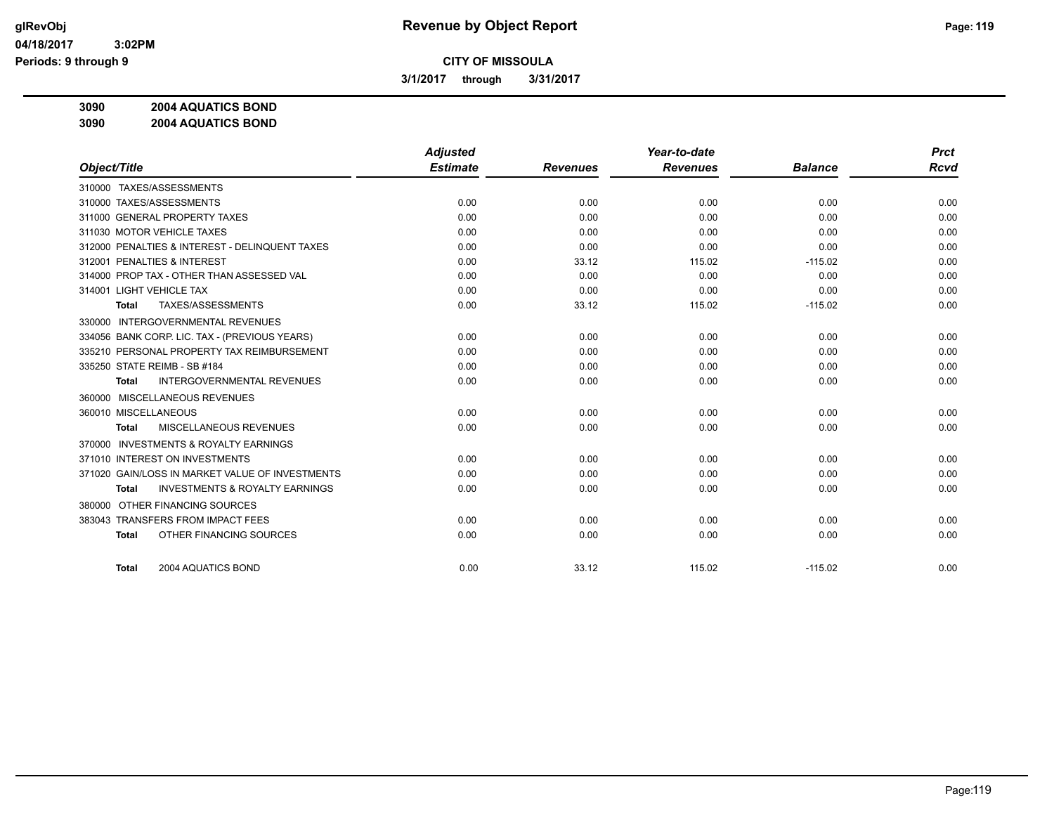**3/1/2017 through 3/31/2017**

**3090 2004 AQUATICS BOND 3090 2004 AQUATICS BOND**

|                                                           | <b>Adjusted</b> |                 | Year-to-date    |                | <b>Prct</b> |
|-----------------------------------------------------------|-----------------|-----------------|-----------------|----------------|-------------|
| Object/Title                                              | <b>Estimate</b> | <b>Revenues</b> | <b>Revenues</b> | <b>Balance</b> | <b>Rcvd</b> |
| 310000 TAXES/ASSESSMENTS                                  |                 |                 |                 |                |             |
| 310000 TAXES/ASSESSMENTS                                  | 0.00            | 0.00            | 0.00            | 0.00           | 0.00        |
| 311000 GENERAL PROPERTY TAXES                             | 0.00            | 0.00            | 0.00            | 0.00           | 0.00        |
| 311030 MOTOR VEHICLE TAXES                                | 0.00            | 0.00            | 0.00            | 0.00           | 0.00        |
| 312000 PENALTIES & INTEREST - DELINQUENT TAXES            | 0.00            | 0.00            | 0.00            | 0.00           | 0.00        |
| 312001 PENALTIES & INTEREST                               | 0.00            | 33.12           | 115.02          | $-115.02$      | 0.00        |
| 314000 PROP TAX - OTHER THAN ASSESSED VAL                 | 0.00            | 0.00            | 0.00            | 0.00           | 0.00        |
| 314001 LIGHT VEHICLE TAX                                  | 0.00            | 0.00            | 0.00            | 0.00           | 0.00        |
| TAXES/ASSESSMENTS<br><b>Total</b>                         | 0.00            | 33.12           | 115.02          | $-115.02$      | 0.00        |
| 330000 INTERGOVERNMENTAL REVENUES                         |                 |                 |                 |                |             |
| 334056 BANK CORP. LIC. TAX - (PREVIOUS YEARS)             | 0.00            | 0.00            | 0.00            | 0.00           | 0.00        |
| 335210 PERSONAL PROPERTY TAX REIMBURSEMENT                | 0.00            | 0.00            | 0.00            | 0.00           | 0.00        |
| 335250 STATE REIMB - SB #184                              | 0.00            | 0.00            | 0.00            | 0.00           | 0.00        |
| <b>INTERGOVERNMENTAL REVENUES</b><br>Total                | 0.00            | 0.00            | 0.00            | 0.00           | 0.00        |
| 360000 MISCELLANEOUS REVENUES                             |                 |                 |                 |                |             |
| 360010 MISCELLANEOUS                                      | 0.00            | 0.00            | 0.00            | 0.00           | 0.00        |
| MISCELLANEOUS REVENUES<br>Total                           | 0.00            | 0.00            | 0.00            | 0.00           | 0.00        |
| 370000 INVESTMENTS & ROYALTY EARNINGS                     |                 |                 |                 |                |             |
| 371010 INTEREST ON INVESTMENTS                            | 0.00            | 0.00            | 0.00            | 0.00           | 0.00        |
| 371020 GAIN/LOSS IN MARKET VALUE OF INVESTMENTS           | 0.00            | 0.00            | 0.00            | 0.00           | 0.00        |
| <b>INVESTMENTS &amp; ROYALTY EARNINGS</b><br><b>Total</b> | 0.00            | 0.00            | 0.00            | 0.00           | 0.00        |
| 380000 OTHER FINANCING SOURCES                            |                 |                 |                 |                |             |
| 383043 TRANSFERS FROM IMPACT FEES                         | 0.00            | 0.00            | 0.00            | 0.00           | 0.00        |
| OTHER FINANCING SOURCES<br><b>Total</b>                   | 0.00            | 0.00            | 0.00            | 0.00           | 0.00        |
| 2004 AQUATICS BOND<br><b>Total</b>                        | 0.00            | 33.12           | 115.02          | $-115.02$      | 0.00        |
|                                                           |                 |                 |                 |                |             |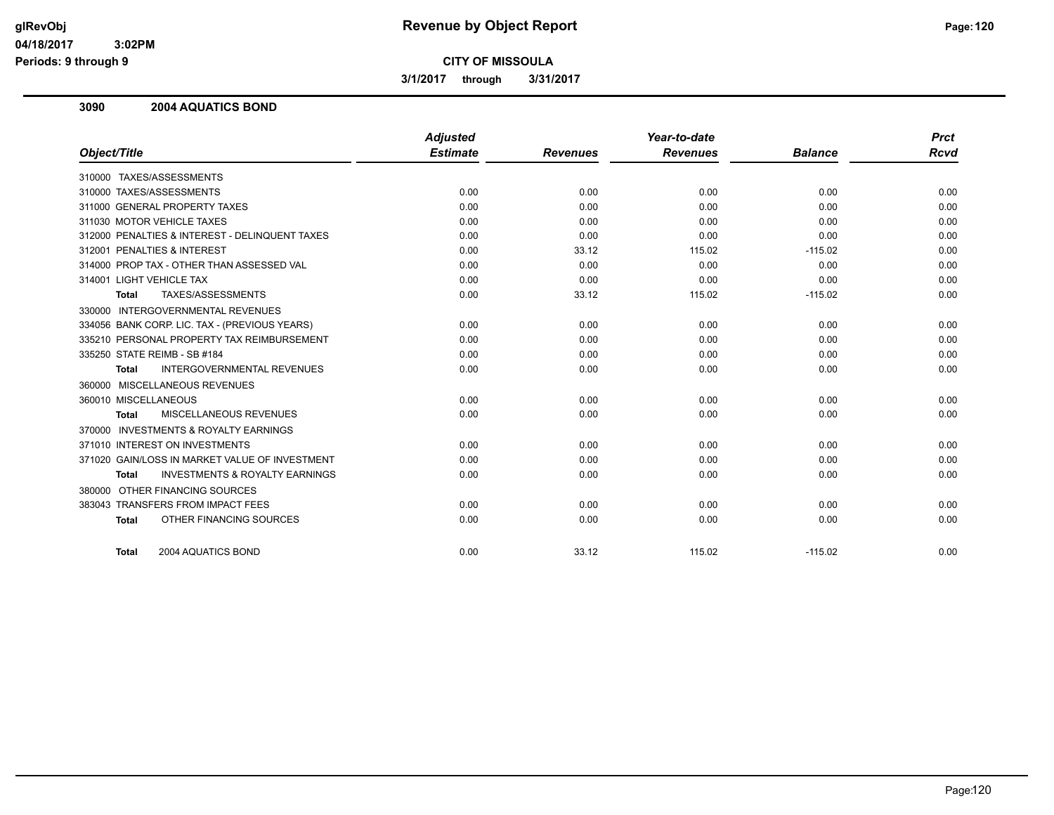**3/1/2017 through 3/31/2017**

### **3090 2004 AQUATICS BOND**

|                                                           | <b>Adjusted</b> |                 | Year-to-date    |                | <b>Prct</b> |
|-----------------------------------------------------------|-----------------|-----------------|-----------------|----------------|-------------|
| Object/Title                                              | <b>Estimate</b> | <b>Revenues</b> | <b>Revenues</b> | <b>Balance</b> | <b>Rcvd</b> |
| 310000 TAXES/ASSESSMENTS                                  |                 |                 |                 |                |             |
| 310000 TAXES/ASSESSMENTS                                  | 0.00            | 0.00            | 0.00            | 0.00           | 0.00        |
| 311000 GENERAL PROPERTY TAXES                             | 0.00            | 0.00            | 0.00            | 0.00           | 0.00        |
| 311030 MOTOR VEHICLE TAXES                                | 0.00            | 0.00            | 0.00            | 0.00           | 0.00        |
| 312000 PENALTIES & INTEREST - DELINQUENT TAXES            | 0.00            | 0.00            | 0.00            | 0.00           | 0.00        |
| 312001 PENALTIES & INTEREST                               | 0.00            | 33.12           | 115.02          | $-115.02$      | 0.00        |
| 314000 PROP TAX - OTHER THAN ASSESSED VAL                 | 0.00            | 0.00            | 0.00            | 0.00           | 0.00        |
| 314001 LIGHT VEHICLE TAX                                  | 0.00            | 0.00            | 0.00            | 0.00           | 0.00        |
| TAXES/ASSESSMENTS<br><b>Total</b>                         | 0.00            | 33.12           | 115.02          | $-115.02$      | 0.00        |
| 330000 INTERGOVERNMENTAL REVENUES                         |                 |                 |                 |                |             |
| 334056 BANK CORP. LIC. TAX - (PREVIOUS YEARS)             | 0.00            | 0.00            | 0.00            | 0.00           | 0.00        |
| 335210 PERSONAL PROPERTY TAX REIMBURSEMENT                | 0.00            | 0.00            | 0.00            | 0.00           | 0.00        |
| 335250 STATE REIMB - SB #184                              | 0.00            | 0.00            | 0.00            | 0.00           | 0.00        |
| <b>INTERGOVERNMENTAL REVENUES</b><br><b>Total</b>         | 0.00            | 0.00            | 0.00            | 0.00           | 0.00        |
| 360000 MISCELLANEOUS REVENUES                             |                 |                 |                 |                |             |
| 360010 MISCELLANEOUS                                      | 0.00            | 0.00            | 0.00            | 0.00           | 0.00        |
| MISCELLANEOUS REVENUES<br><b>Total</b>                    | 0.00            | 0.00            | 0.00            | 0.00           | 0.00        |
| 370000 INVESTMENTS & ROYALTY EARNINGS                     |                 |                 |                 |                |             |
| 371010 INTEREST ON INVESTMENTS                            | 0.00            | 0.00            | 0.00            | 0.00           | 0.00        |
| 371020 GAIN/LOSS IN MARKET VALUE OF INVESTMENT            | 0.00            | 0.00            | 0.00            | 0.00           | 0.00        |
| <b>INVESTMENTS &amp; ROYALTY EARNINGS</b><br><b>Total</b> | 0.00            | 0.00            | 0.00            | 0.00           | 0.00        |
| 380000 OTHER FINANCING SOURCES                            |                 |                 |                 |                |             |
| 383043 TRANSFERS FROM IMPACT FEES                         | 0.00            | 0.00            | 0.00            | 0.00           | 0.00        |
| OTHER FINANCING SOURCES<br><b>Total</b>                   | 0.00            | 0.00            | 0.00            | 0.00           | 0.00        |
| 2004 AQUATICS BOND<br><b>Total</b>                        | 0.00            | 33.12           | 115.02          | $-115.02$      | 0.00        |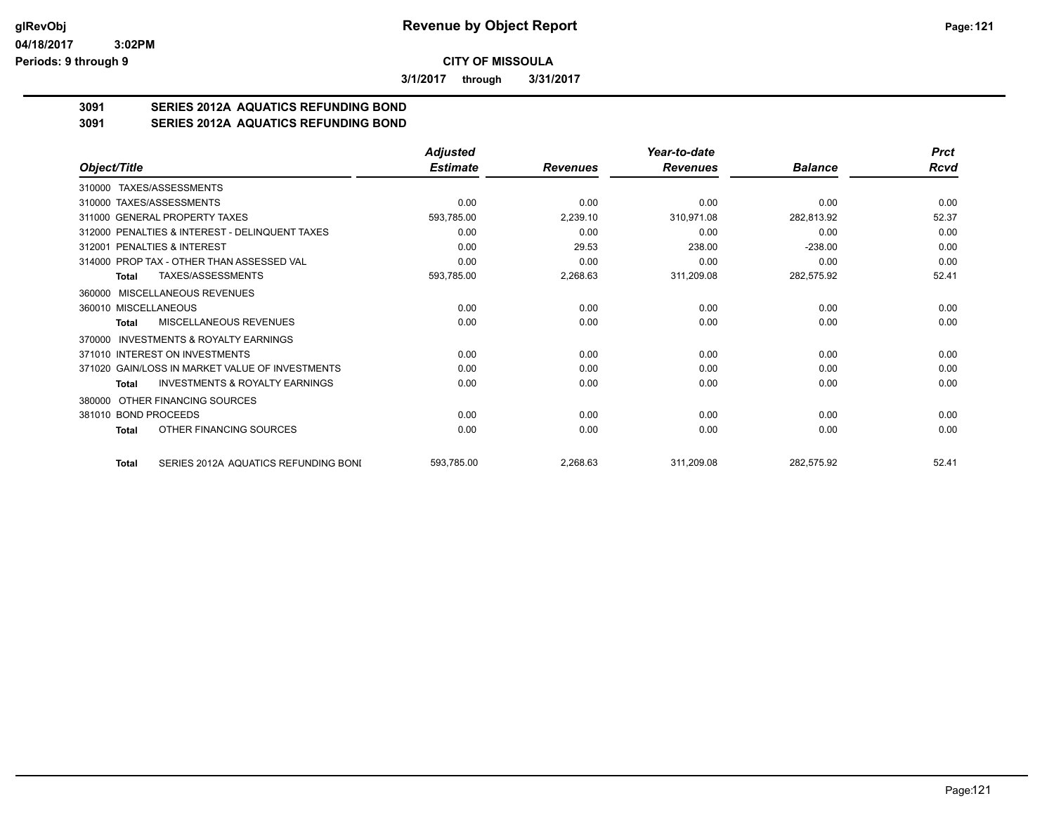**3/1/2017 through 3/31/2017**

## **3091 SERIES 2012A AQUATICS REFUNDING BOND**

**3091 SERIES 2012A AQUATICS REFUNDING BOND**

|                                                           | <b>Adjusted</b> |                 | Year-to-date    |                | <b>Prct</b> |
|-----------------------------------------------------------|-----------------|-----------------|-----------------|----------------|-------------|
| Object/Title                                              | <b>Estimate</b> | <b>Revenues</b> | <b>Revenues</b> | <b>Balance</b> | Rcvd        |
| TAXES/ASSESSMENTS<br>310000                               |                 |                 |                 |                |             |
| 310000 TAXES/ASSESSMENTS                                  | 0.00            | 0.00            | 0.00            | 0.00           | 0.00        |
| 311000 GENERAL PROPERTY TAXES                             | 593,785.00      | 2,239.10        | 310,971.08      | 282,813.92     | 52.37       |
| 312000 PENALTIES & INTEREST - DELINQUENT TAXES            | 0.00            | 0.00            | 0.00            | 0.00           | 0.00        |
| 312001 PENALTIES & INTEREST                               | 0.00            | 29.53           | 238.00          | $-238.00$      | 0.00        |
| 314000 PROP TAX - OTHER THAN ASSESSED VAL                 | 0.00            | 0.00            | 0.00            | 0.00           | 0.00        |
| TAXES/ASSESSMENTS<br><b>Total</b>                         | 593,785.00      | 2,268.63        | 311,209.08      | 282,575.92     | 52.41       |
| <b>MISCELLANEOUS REVENUES</b><br>360000                   |                 |                 |                 |                |             |
| 360010 MISCELLANEOUS                                      | 0.00            | 0.00            | 0.00            | 0.00           | 0.00        |
| <b>MISCELLANEOUS REVENUES</b><br><b>Total</b>             | 0.00            | 0.00            | 0.00            | 0.00           | 0.00        |
| <b>INVESTMENTS &amp; ROYALTY EARNINGS</b><br>370000       |                 |                 |                 |                |             |
| 371010 INTEREST ON INVESTMENTS                            | 0.00            | 0.00            | 0.00            | 0.00           | 0.00        |
| 371020 GAIN/LOSS IN MARKET VALUE OF INVESTMENTS           | 0.00            | 0.00            | 0.00            | 0.00           | 0.00        |
| <b>INVESTMENTS &amp; ROYALTY EARNINGS</b><br><b>Total</b> | 0.00            | 0.00            | 0.00            | 0.00           | 0.00        |
| OTHER FINANCING SOURCES<br>380000                         |                 |                 |                 |                |             |
| 381010 BOND PROCEEDS                                      | 0.00            | 0.00            | 0.00            | 0.00           | 0.00        |
| OTHER FINANCING SOURCES<br>Total                          | 0.00            | 0.00            | 0.00            | 0.00           | 0.00        |
| SERIES 2012A AQUATICS REFUNDING BONI<br><b>Total</b>      | 593,785.00      | 2,268.63        | 311,209.08      | 282,575.92     | 52.41       |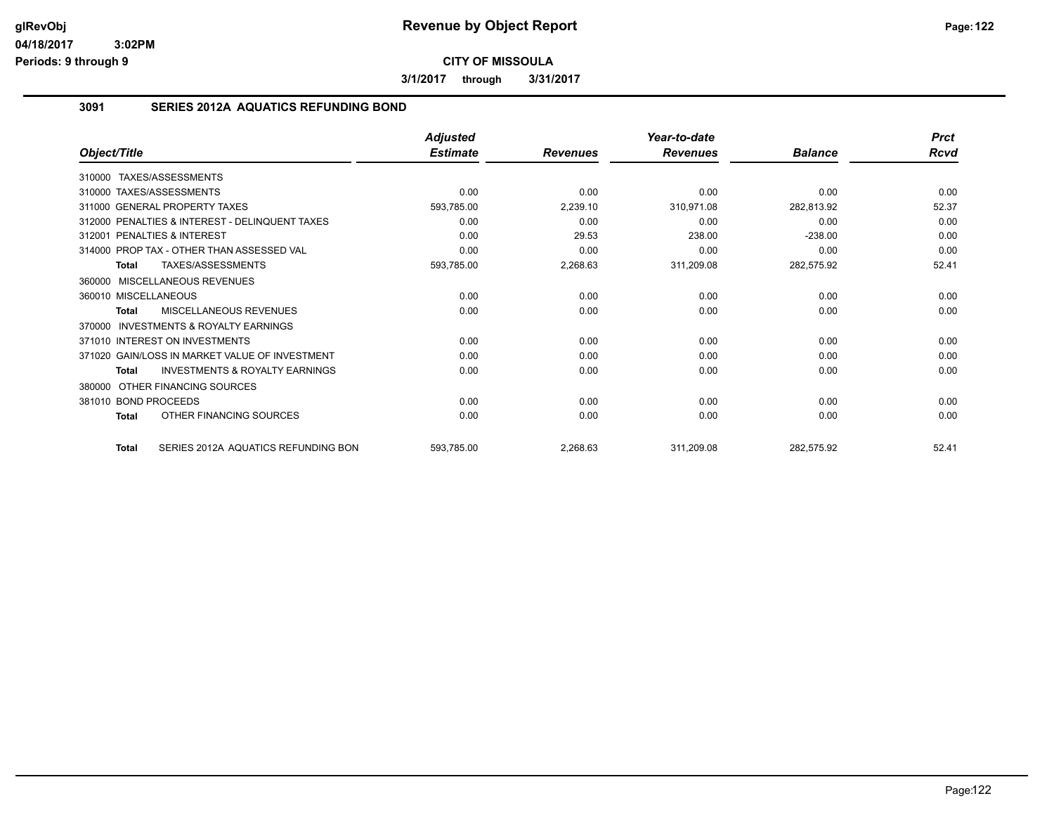**3/1/2017 through 3/31/2017**

## **3091 SERIES 2012A AQUATICS REFUNDING BOND**

|                                                     | <b>Adjusted</b> |                 | Year-to-date    |                | <b>Prct</b> |
|-----------------------------------------------------|-----------------|-----------------|-----------------|----------------|-------------|
| Object/Title                                        | <b>Estimate</b> | <b>Revenues</b> | <b>Revenues</b> | <b>Balance</b> | Rcvd        |
| 310000 TAXES/ASSESSMENTS                            |                 |                 |                 |                |             |
| 310000 TAXES/ASSESSMENTS                            | 0.00            | 0.00            | 0.00            | 0.00           | 0.00        |
| 311000 GENERAL PROPERTY TAXES                       | 593,785.00      | 2,239.10        | 310,971.08      | 282,813.92     | 52.37       |
| 312000 PENALTIES & INTEREST - DELINQUENT TAXES      | 0.00            | 0.00            | 0.00            | 0.00           | 0.00        |
| 312001 PENALTIES & INTEREST                         | 0.00            | 29.53           | 238.00          | $-238.00$      | 0.00        |
| 314000 PROP TAX - OTHER THAN ASSESSED VAL           | 0.00            | 0.00            | 0.00            | 0.00           | 0.00        |
| TAXES/ASSESSMENTS<br><b>Total</b>                   | 593,785.00      | 2,268.63        | 311,209.08      | 282,575.92     | 52.41       |
| 360000 MISCELLANEOUS REVENUES                       |                 |                 |                 |                |             |
| 360010 MISCELLANEOUS                                | 0.00            | 0.00            | 0.00            | 0.00           | 0.00        |
| MISCELLANEOUS REVENUES<br>Total                     | 0.00            | 0.00            | 0.00            | 0.00           | 0.00        |
| <b>INVESTMENTS &amp; ROYALTY EARNINGS</b><br>370000 |                 |                 |                 |                |             |
| 371010 INTEREST ON INVESTMENTS                      | 0.00            | 0.00            | 0.00            | 0.00           | 0.00        |
| 371020 GAIN/LOSS IN MARKET VALUE OF INVESTMENT      | 0.00            | 0.00            | 0.00            | 0.00           | 0.00        |
| <b>INVESTMENTS &amp; ROYALTY EARNINGS</b><br>Total  | 0.00            | 0.00            | 0.00            | 0.00           | 0.00        |
| OTHER FINANCING SOURCES<br>380000                   |                 |                 |                 |                |             |
| 381010 BOND PROCEEDS                                | 0.00            | 0.00            | 0.00            | 0.00           | 0.00        |
| OTHER FINANCING SOURCES<br><b>Total</b>             | 0.00            | 0.00            | 0.00            | 0.00           | 0.00        |
| SERIES 2012A AQUATICS REFUNDING BON<br><b>Total</b> | 593,785.00      | 2,268.63        | 311,209.08      | 282,575.92     | 52.41       |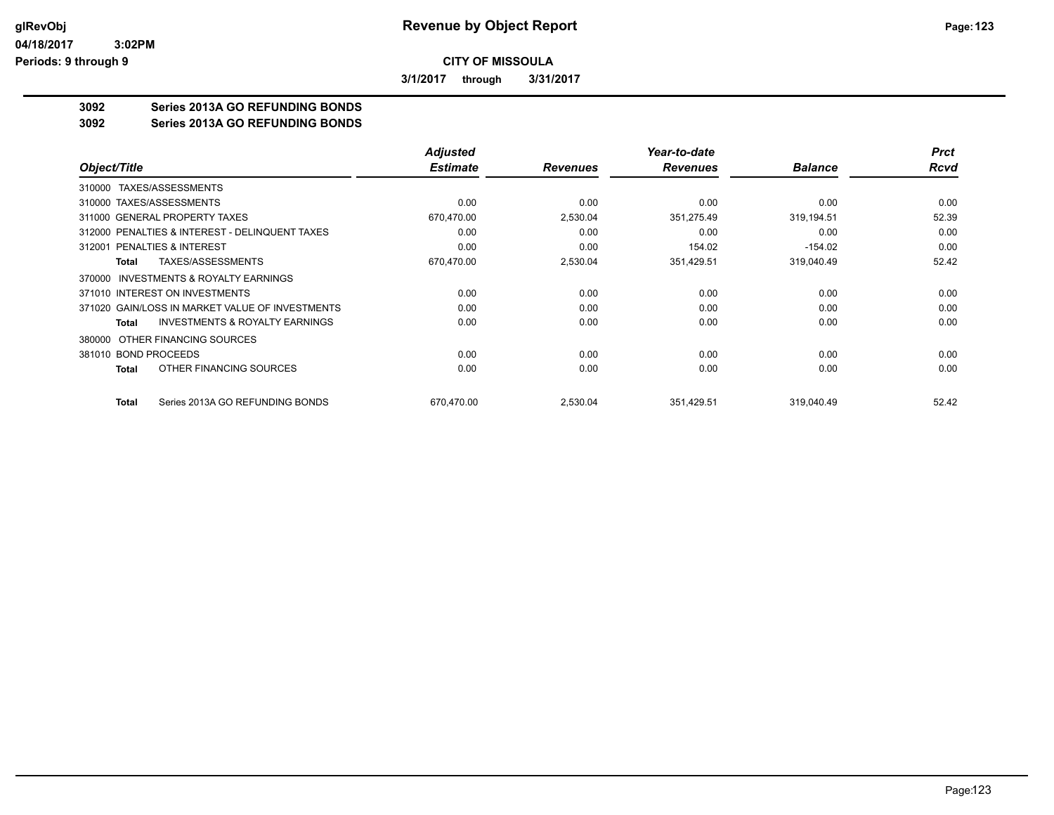**3/1/2017 through 3/31/2017**

## **3092 Series 2013A GO REFUNDING BONDS**

**3092 Series 2013A GO REFUNDING BONDS**

|                                                    | <b>Adjusted</b> |                 | Year-to-date    |                | <b>Prct</b> |
|----------------------------------------------------|-----------------|-----------------|-----------------|----------------|-------------|
| Object/Title                                       | <b>Estimate</b> | <b>Revenues</b> | <b>Revenues</b> | <b>Balance</b> | <b>Rcvd</b> |
| 310000 TAXES/ASSESSMENTS                           |                 |                 |                 |                |             |
| 310000 TAXES/ASSESSMENTS                           | 0.00            | 0.00            | 0.00            | 0.00           | 0.00        |
| 311000 GENERAL PROPERTY TAXES                      | 670,470.00      | 2,530.04        | 351,275.49      | 319,194.51     | 52.39       |
| 312000 PENALTIES & INTEREST - DELINQUENT TAXES     | 0.00            | 0.00            | 0.00            | 0.00           | 0.00        |
| <b>PENALTIES &amp; INTEREST</b><br>312001          | 0.00            | 0.00            | 154.02          | $-154.02$      | 0.00        |
| TAXES/ASSESSMENTS<br>Total                         | 670,470.00      | 2,530.04        | 351,429.51      | 319,040.49     | 52.42       |
| 370000 INVESTMENTS & ROYALTY EARNINGS              |                 |                 |                 |                |             |
| 371010 INTEREST ON INVESTMENTS                     | 0.00            | 0.00            | 0.00            | 0.00           | 0.00        |
| 371020 GAIN/LOSS IN MARKET VALUE OF INVESTMENTS    | 0.00            | 0.00            | 0.00            | 0.00           | 0.00        |
| <b>INVESTMENTS &amp; ROYALTY EARNINGS</b><br>Total | 0.00            | 0.00            | 0.00            | 0.00           | 0.00        |
| OTHER FINANCING SOURCES<br>380000                  |                 |                 |                 |                |             |
| 381010 BOND PROCEEDS                               | 0.00            | 0.00            | 0.00            | 0.00           | 0.00        |
| OTHER FINANCING SOURCES<br>Total                   | 0.00            | 0.00            | 0.00            | 0.00           | 0.00        |
| Series 2013A GO REFUNDING BONDS<br><b>Total</b>    | 670.470.00      | 2,530.04        | 351,429.51      | 319.040.49     | 52.42       |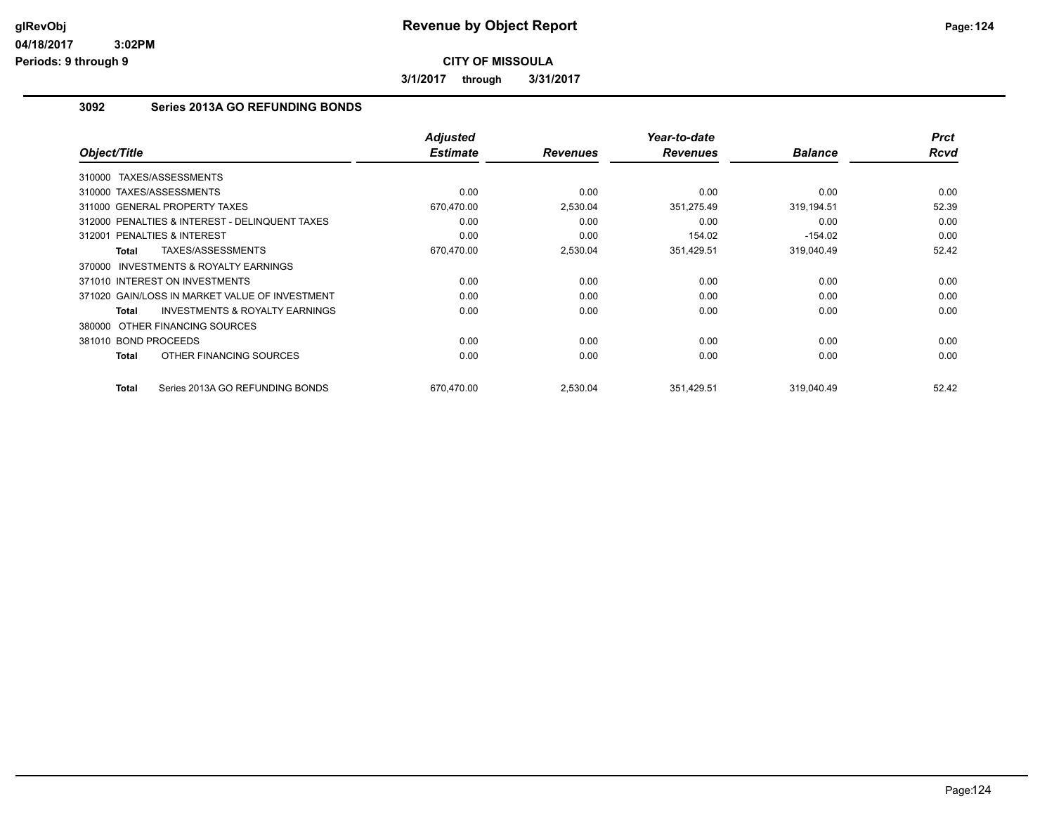**3/1/2017 through 3/31/2017**

### **3092 Series 2013A GO REFUNDING BONDS**

| Object/Title                                        |                                           | <b>Adjusted</b><br><b>Estimate</b> | <b>Revenues</b> | Year-to-date<br><b>Revenues</b> | <b>Balance</b> | <b>Prct</b><br>Rcvd |
|-----------------------------------------------------|-------------------------------------------|------------------------------------|-----------------|---------------------------------|----------------|---------------------|
|                                                     |                                           |                                    |                 |                                 |                |                     |
| TAXES/ASSESSMENTS<br>310000                         |                                           |                                    |                 |                                 |                |                     |
| 310000 TAXES/ASSESSMENTS                            |                                           | 0.00                               | 0.00            | 0.00                            | 0.00           | 0.00                |
| 311000 GENERAL PROPERTY TAXES                       |                                           | 670,470.00                         | 2,530.04        | 351,275.49                      | 319,194.51     | 52.39               |
| 312000 PENALTIES & INTEREST - DELINQUENT TAXES      |                                           | 0.00                               | 0.00            | 0.00                            | 0.00           | 0.00                |
| 312001 PENALTIES & INTEREST                         |                                           | 0.00                               | 0.00            | 154.02                          | $-154.02$      | 0.00                |
| TAXES/ASSESSMENTS<br>Total                          |                                           | 670,470.00                         | 2,530.04        | 351,429.51                      | 319,040.49     | 52.42               |
| <b>INVESTMENTS &amp; ROYALTY EARNINGS</b><br>370000 |                                           |                                    |                 |                                 |                |                     |
| 371010 INTEREST ON INVESTMENTS                      |                                           | 0.00                               | 0.00            | 0.00                            | 0.00           | 0.00                |
| 371020 GAIN/LOSS IN MARKET VALUE OF INVESTMENT      |                                           | 0.00                               | 0.00            | 0.00                            | 0.00           | 0.00                |
| Total                                               | <b>INVESTMENTS &amp; ROYALTY EARNINGS</b> | 0.00                               | 0.00            | 0.00                            | 0.00           | 0.00                |
| 380000 OTHER FINANCING SOURCES                      |                                           |                                    |                 |                                 |                |                     |
| 381010 BOND PROCEEDS                                |                                           | 0.00                               | 0.00            | 0.00                            | 0.00           | 0.00                |
| OTHER FINANCING SOURCES<br><b>Total</b>             |                                           | 0.00                               | 0.00            | 0.00                            | 0.00           | 0.00                |
| Series 2013A GO REFUNDING BONDS<br><b>Total</b>     |                                           | 670,470.00                         | 2,530.04        | 351,429.51                      | 319,040.49     | 52.42               |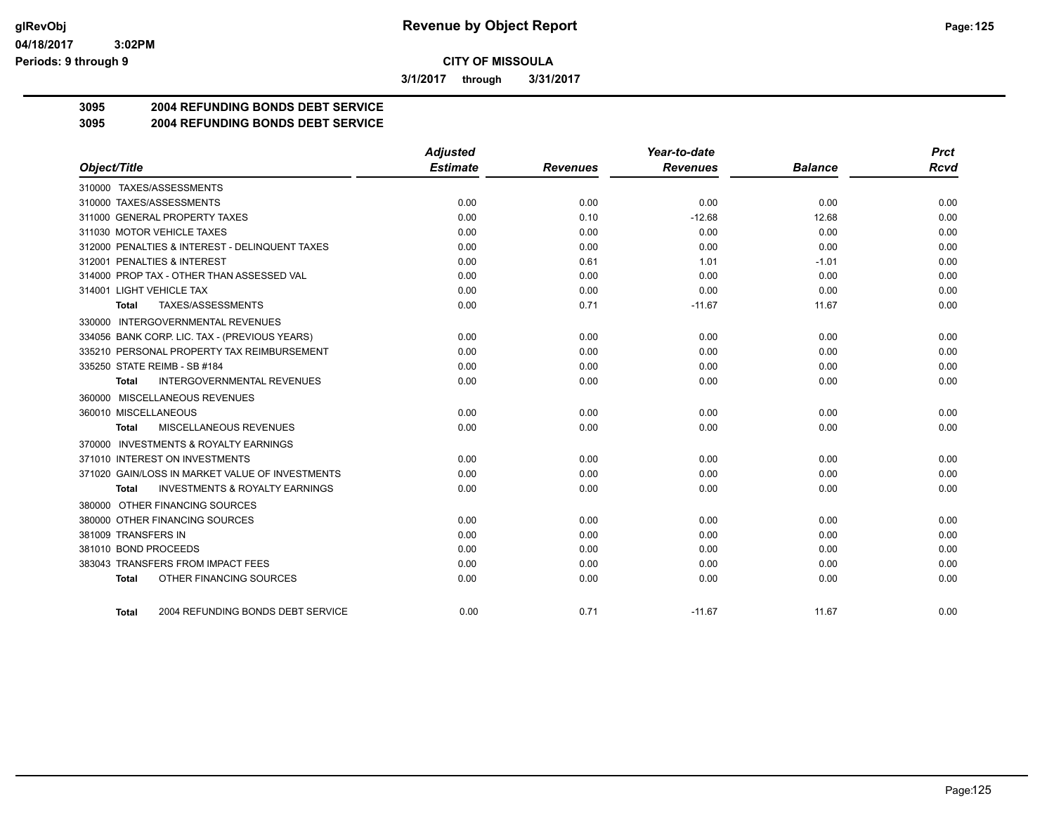**3/1/2017 through 3/31/2017**

## **3095 2004 REFUNDING BONDS DEBT SERVICE 3095 2004 REFUNDING BONDS DEBT SERVICE**

|                                                    | <b>Adjusted</b> |                 | Year-to-date    |                | <b>Prct</b> |
|----------------------------------------------------|-----------------|-----------------|-----------------|----------------|-------------|
| Object/Title                                       | <b>Estimate</b> | <b>Revenues</b> | <b>Revenues</b> | <b>Balance</b> | <b>Rcvd</b> |
| 310000 TAXES/ASSESSMENTS                           |                 |                 |                 |                |             |
| 310000 TAXES/ASSESSMENTS                           | 0.00            | 0.00            | 0.00            | 0.00           | 0.00        |
| 311000 GENERAL PROPERTY TAXES                      | 0.00            | 0.10            | $-12.68$        | 12.68          | 0.00        |
| 311030 MOTOR VEHICLE TAXES                         | 0.00            | 0.00            | 0.00            | 0.00           | 0.00        |
| 312000 PENALTIES & INTEREST - DELINQUENT TAXES     | 0.00            | 0.00            | 0.00            | 0.00           | 0.00        |
| 312001 PENALTIES & INTEREST                        | 0.00            | 0.61            | 1.01            | $-1.01$        | 0.00        |
| 314000 PROP TAX - OTHER THAN ASSESSED VAL          | 0.00            | 0.00            | 0.00            | 0.00           | 0.00        |
| 314001 LIGHT VEHICLE TAX                           | 0.00            | 0.00            | 0.00            | 0.00           | 0.00        |
| TAXES/ASSESSMENTS<br>Total                         | 0.00            | 0.71            | $-11.67$        | 11.67          | 0.00        |
| 330000 INTERGOVERNMENTAL REVENUES                  |                 |                 |                 |                |             |
| 334056 BANK CORP. LIC. TAX - (PREVIOUS YEARS)      | 0.00            | 0.00            | 0.00            | 0.00           | 0.00        |
| 335210 PERSONAL PROPERTY TAX REIMBURSEMENT         | 0.00            | 0.00            | 0.00            | 0.00           | 0.00        |
| 335250 STATE REIMB - SB #184                       | 0.00            | 0.00            | 0.00            | 0.00           | 0.00        |
| <b>INTERGOVERNMENTAL REVENUES</b><br>Total         | 0.00            | 0.00            | 0.00            | 0.00           | 0.00        |
| 360000 MISCELLANEOUS REVENUES                      |                 |                 |                 |                |             |
| 360010 MISCELLANEOUS                               | 0.00            | 0.00            | 0.00            | 0.00           | 0.00        |
| <b>MISCELLANEOUS REVENUES</b><br>Total             | 0.00            | 0.00            | 0.00            | 0.00           | 0.00        |
| 370000 INVESTMENTS & ROYALTY EARNINGS              |                 |                 |                 |                |             |
| 371010 INTEREST ON INVESTMENTS                     | 0.00            | 0.00            | 0.00            | 0.00           | 0.00        |
| 371020 GAIN/LOSS IN MARKET VALUE OF INVESTMENTS    | 0.00            | 0.00            | 0.00            | 0.00           | 0.00        |
| <b>INVESTMENTS &amp; ROYALTY EARNINGS</b><br>Total | 0.00            | 0.00            | 0.00            | 0.00           | 0.00        |
| 380000 OTHER FINANCING SOURCES                     |                 |                 |                 |                |             |
| 380000 OTHER FINANCING SOURCES                     | 0.00            | 0.00            | 0.00            | 0.00           | 0.00        |
| 381009 TRANSFERS IN                                | 0.00            | 0.00            | 0.00            | 0.00           | 0.00        |
| 381010 BOND PROCEEDS                               | 0.00            | 0.00            | 0.00            | 0.00           | 0.00        |
| 383043 TRANSFERS FROM IMPACT FEES                  | 0.00            | 0.00            | 0.00            | 0.00           | 0.00        |
| OTHER FINANCING SOURCES<br><b>Total</b>            | 0.00            | 0.00            | 0.00            | 0.00           | 0.00        |
| 2004 REFUNDING BONDS DEBT SERVICE<br>Total         | 0.00            | 0.71            | $-11.67$        | 11.67          | 0.00        |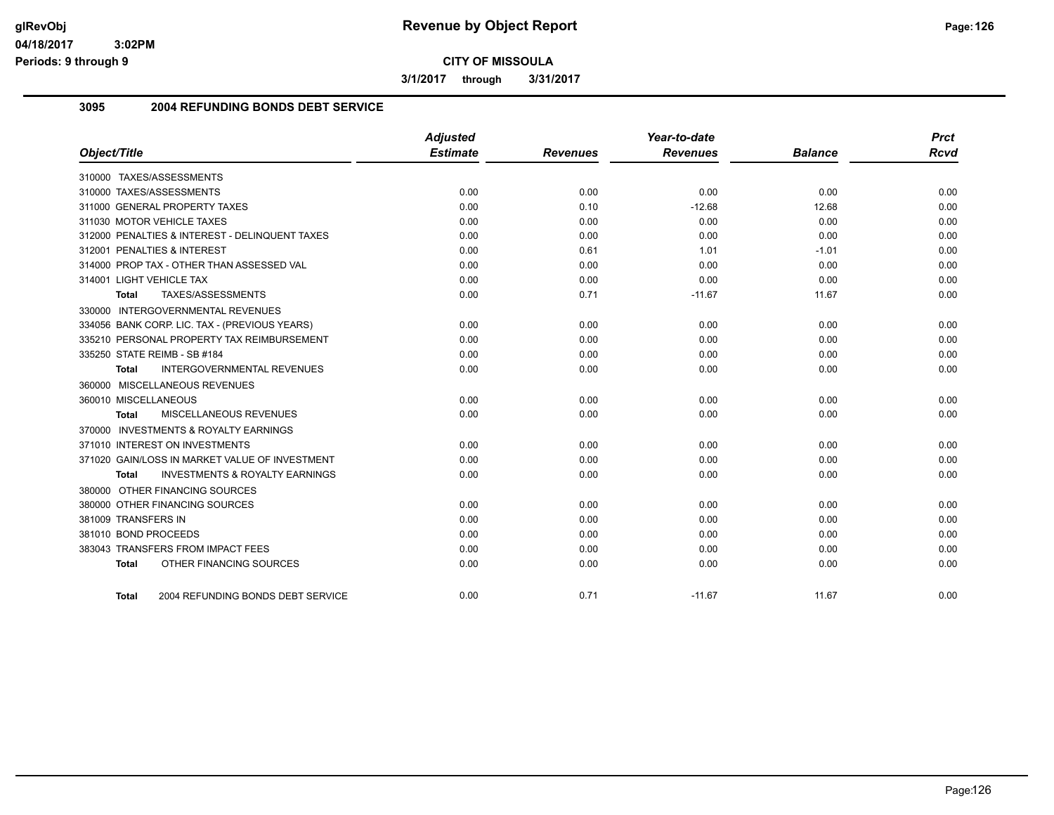**3/1/2017 through 3/31/2017**

## **3095 2004 REFUNDING BONDS DEBT SERVICE**

|                                                    | <b>Adjusted</b> |                 | Year-to-date    |                | <b>Prct</b> |
|----------------------------------------------------|-----------------|-----------------|-----------------|----------------|-------------|
| Object/Title                                       | <b>Estimate</b> | <b>Revenues</b> | <b>Revenues</b> | <b>Balance</b> | <b>Rcvd</b> |
| 310000 TAXES/ASSESSMENTS                           |                 |                 |                 |                |             |
| 310000 TAXES/ASSESSMENTS                           | 0.00            | 0.00            | 0.00            | 0.00           | 0.00        |
| 311000 GENERAL PROPERTY TAXES                      | 0.00            | 0.10            | $-12.68$        | 12.68          | 0.00        |
| 311030 MOTOR VEHICLE TAXES                         | 0.00            | 0.00            | 0.00            | 0.00           | 0.00        |
| 312000 PENALTIES & INTEREST - DELINQUENT TAXES     | 0.00            | 0.00            | 0.00            | 0.00           | 0.00        |
| 312001 PENALTIES & INTEREST                        | 0.00            | 0.61            | 1.01            | $-1.01$        | 0.00        |
| 314000 PROP TAX - OTHER THAN ASSESSED VAL          | 0.00            | 0.00            | 0.00            | 0.00           | 0.00        |
| 314001 LIGHT VEHICLE TAX                           | 0.00            | 0.00            | 0.00            | 0.00           | 0.00        |
| TAXES/ASSESSMENTS<br><b>Total</b>                  | 0.00            | 0.71            | $-11.67$        | 11.67          | 0.00        |
| 330000 INTERGOVERNMENTAL REVENUES                  |                 |                 |                 |                |             |
| 334056 BANK CORP. LIC. TAX - (PREVIOUS YEARS)      | 0.00            | 0.00            | 0.00            | 0.00           | 0.00        |
| 335210 PERSONAL PROPERTY TAX REIMBURSEMENT         | 0.00            | 0.00            | 0.00            | 0.00           | 0.00        |
| 335250 STATE REIMB - SB #184                       | 0.00            | 0.00            | 0.00            | 0.00           | 0.00        |
| <b>INTERGOVERNMENTAL REVENUES</b><br>Total         | 0.00            | 0.00            | 0.00            | 0.00           | 0.00        |
| 360000 MISCELLANEOUS REVENUES                      |                 |                 |                 |                |             |
| 360010 MISCELLANEOUS                               | 0.00            | 0.00            | 0.00            | 0.00           | 0.00        |
| MISCELLANEOUS REVENUES<br>Total                    | 0.00            | 0.00            | 0.00            | 0.00           | 0.00        |
| 370000 INVESTMENTS & ROYALTY EARNINGS              |                 |                 |                 |                |             |
| 371010 INTEREST ON INVESTMENTS                     | 0.00            | 0.00            | 0.00            | 0.00           | 0.00        |
| 371020 GAIN/LOSS IN MARKET VALUE OF INVESTMENT     | 0.00            | 0.00            | 0.00            | 0.00           | 0.00        |
| <b>INVESTMENTS &amp; ROYALTY EARNINGS</b><br>Total | 0.00            | 0.00            | 0.00            | 0.00           | 0.00        |
| 380000 OTHER FINANCING SOURCES                     |                 |                 |                 |                |             |
| 380000 OTHER FINANCING SOURCES                     | 0.00            | 0.00            | 0.00            | 0.00           | 0.00        |
| 381009 TRANSFERS IN                                | 0.00            | 0.00            | 0.00            | 0.00           | 0.00        |
| 381010 BOND PROCEEDS                               | 0.00            | 0.00            | 0.00            | 0.00           | 0.00        |
| 383043 TRANSFERS FROM IMPACT FEES                  | 0.00            | 0.00            | 0.00            | 0.00           | 0.00        |
| OTHER FINANCING SOURCES<br><b>Total</b>            | 0.00            | 0.00            | 0.00            | 0.00           | 0.00        |
|                                                    |                 |                 |                 |                |             |
| 2004 REFUNDING BONDS DEBT SERVICE<br><b>Total</b>  | 0.00            | 0.71            | $-11.67$        | 11.67          | 0.00        |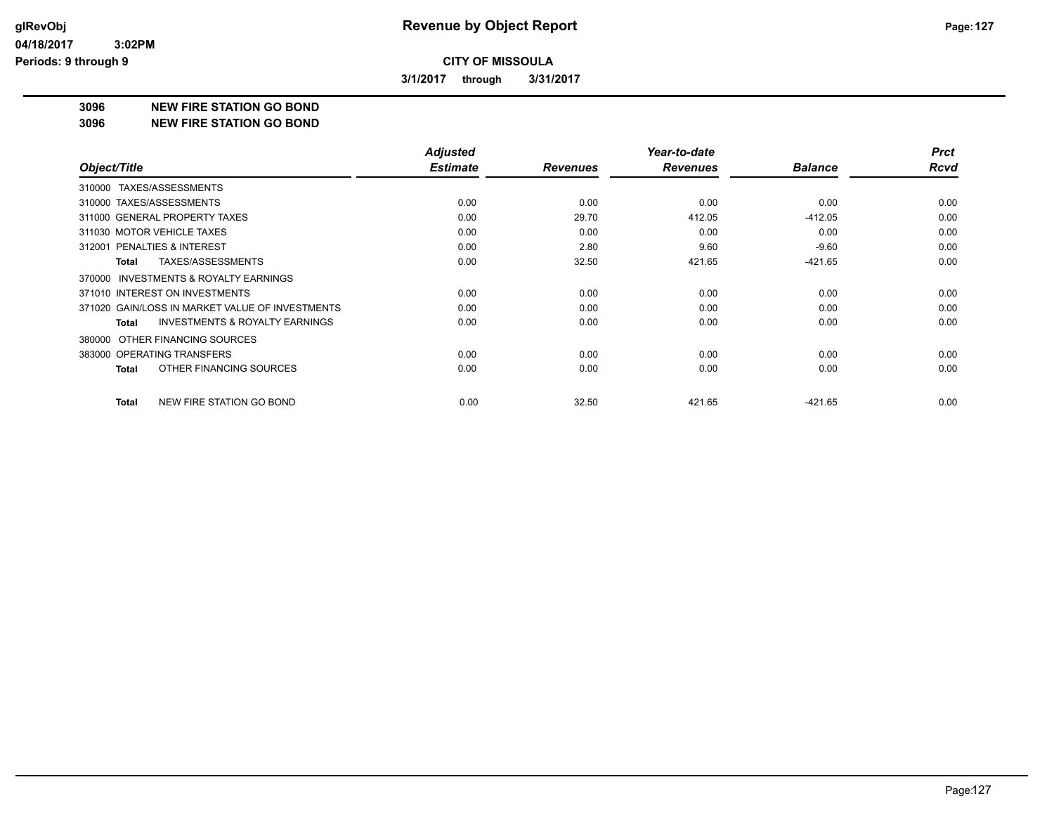**3/1/2017 through 3/31/2017**

**3096 NEW FIRE STATION GO BOND**

**3096 NEW FIRE STATION GO BOND**

|                                                    | <b>Adjusted</b> |                 | Year-to-date    |                | <b>Prct</b> |
|----------------------------------------------------|-----------------|-----------------|-----------------|----------------|-------------|
| Object/Title                                       | <b>Estimate</b> | <b>Revenues</b> | <b>Revenues</b> | <b>Balance</b> | <b>Rcvd</b> |
| 310000 TAXES/ASSESSMENTS                           |                 |                 |                 |                |             |
| 310000 TAXES/ASSESSMENTS                           | 0.00            | 0.00            | 0.00            | 0.00           | 0.00        |
| 311000 GENERAL PROPERTY TAXES                      | 0.00            | 29.70           | 412.05          | $-412.05$      | 0.00        |
| 311030 MOTOR VEHICLE TAXES                         | 0.00            | 0.00            | 0.00            | 0.00           | 0.00        |
| 312001 PENALTIES & INTEREST                        | 0.00            | 2.80            | 9.60            | $-9.60$        | 0.00        |
| TAXES/ASSESSMENTS<br>Total                         | 0.00            | 32.50           | 421.65          | $-421.65$      | 0.00        |
| 370000 INVESTMENTS & ROYALTY EARNINGS              |                 |                 |                 |                |             |
| 371010 INTEREST ON INVESTMENTS                     | 0.00            | 0.00            | 0.00            | 0.00           | 0.00        |
| 371020 GAIN/LOSS IN MARKET VALUE OF INVESTMENTS    | 0.00            | 0.00            | 0.00            | 0.00           | 0.00        |
| <b>INVESTMENTS &amp; ROYALTY EARNINGS</b><br>Total | 0.00            | 0.00            | 0.00            | 0.00           | 0.00        |
| 380000 OTHER FINANCING SOURCES                     |                 |                 |                 |                |             |
| 383000 OPERATING TRANSFERS                         | 0.00            | 0.00            | 0.00            | 0.00           | 0.00        |
| OTHER FINANCING SOURCES<br>Total                   | 0.00            | 0.00            | 0.00            | 0.00           | 0.00        |
| <b>NEW FIRE STATION GO BOND</b><br>Total           | 0.00            | 32.50           | 421.65          | $-421.65$      | 0.00        |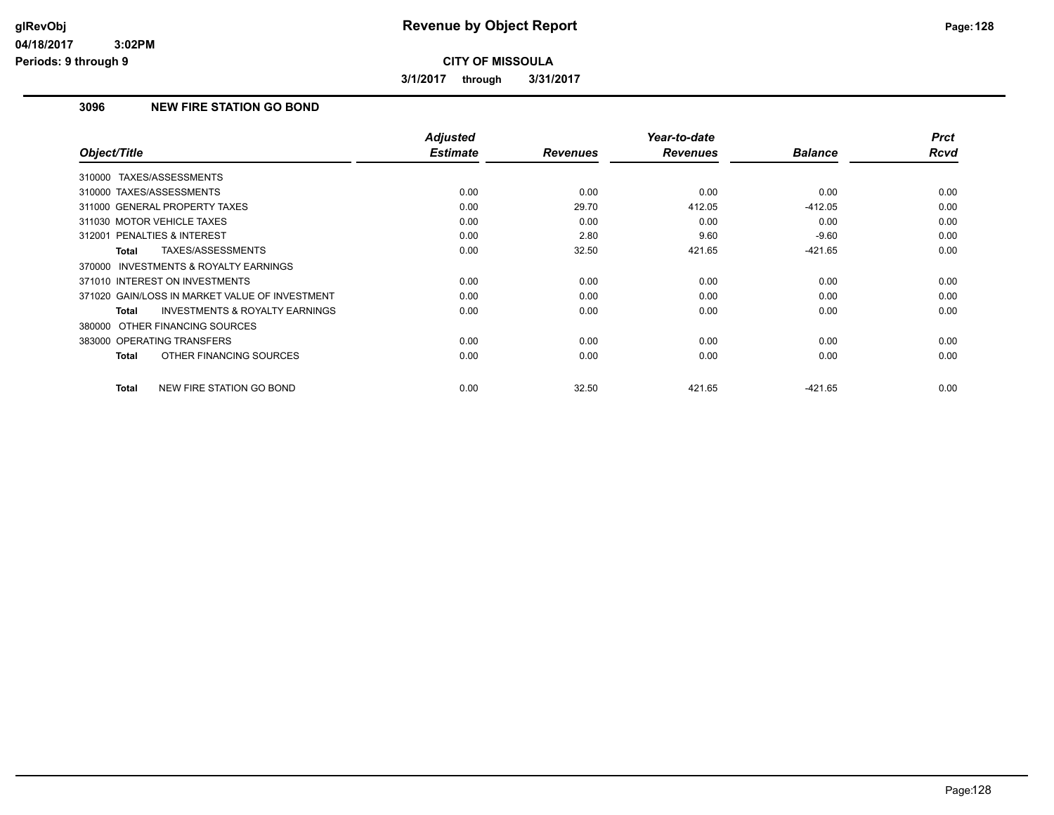**3/1/2017 through 3/31/2017**

## **3096 NEW FIRE STATION GO BOND**

|                                                     | <b>Adjusted</b> |                 | Year-to-date    |                | <b>Prct</b> |
|-----------------------------------------------------|-----------------|-----------------|-----------------|----------------|-------------|
| Object/Title                                        | <b>Estimate</b> | <b>Revenues</b> | <b>Revenues</b> | <b>Balance</b> | Rcvd        |
| 310000 TAXES/ASSESSMENTS                            |                 |                 |                 |                |             |
| 310000 TAXES/ASSESSMENTS                            | 0.00            | 0.00            | 0.00            | 0.00           | 0.00        |
| 311000 GENERAL PROPERTY TAXES                       | 0.00            | 29.70           | 412.05          | $-412.05$      | 0.00        |
| 311030 MOTOR VEHICLE TAXES                          | 0.00            | 0.00            | 0.00            | 0.00           | 0.00        |
| 312001 PENALTIES & INTEREST                         | 0.00            | 2.80            | 9.60            | $-9.60$        | 0.00        |
| TAXES/ASSESSMENTS<br>Total                          | 0.00            | 32.50           | 421.65          | $-421.65$      | 0.00        |
| <b>INVESTMENTS &amp; ROYALTY EARNINGS</b><br>370000 |                 |                 |                 |                |             |
| 371010 INTEREST ON INVESTMENTS                      | 0.00            | 0.00            | 0.00            | 0.00           | 0.00        |
| 371020 GAIN/LOSS IN MARKET VALUE OF INVESTMENT      | 0.00            | 0.00            | 0.00            | 0.00           | 0.00        |
| <b>INVESTMENTS &amp; ROYALTY EARNINGS</b><br>Total  | 0.00            | 0.00            | 0.00            | 0.00           | 0.00        |
| 380000 OTHER FINANCING SOURCES                      |                 |                 |                 |                |             |
| 383000 OPERATING TRANSFERS                          | 0.00            | 0.00            | 0.00            | 0.00           | 0.00        |
| OTHER FINANCING SOURCES<br>Total                    | 0.00            | 0.00            | 0.00            | 0.00           | 0.00        |
| NEW FIRE STATION GO BOND<br>Total                   | 0.00            | 32.50           | 421.65          | $-421.65$      | 0.00        |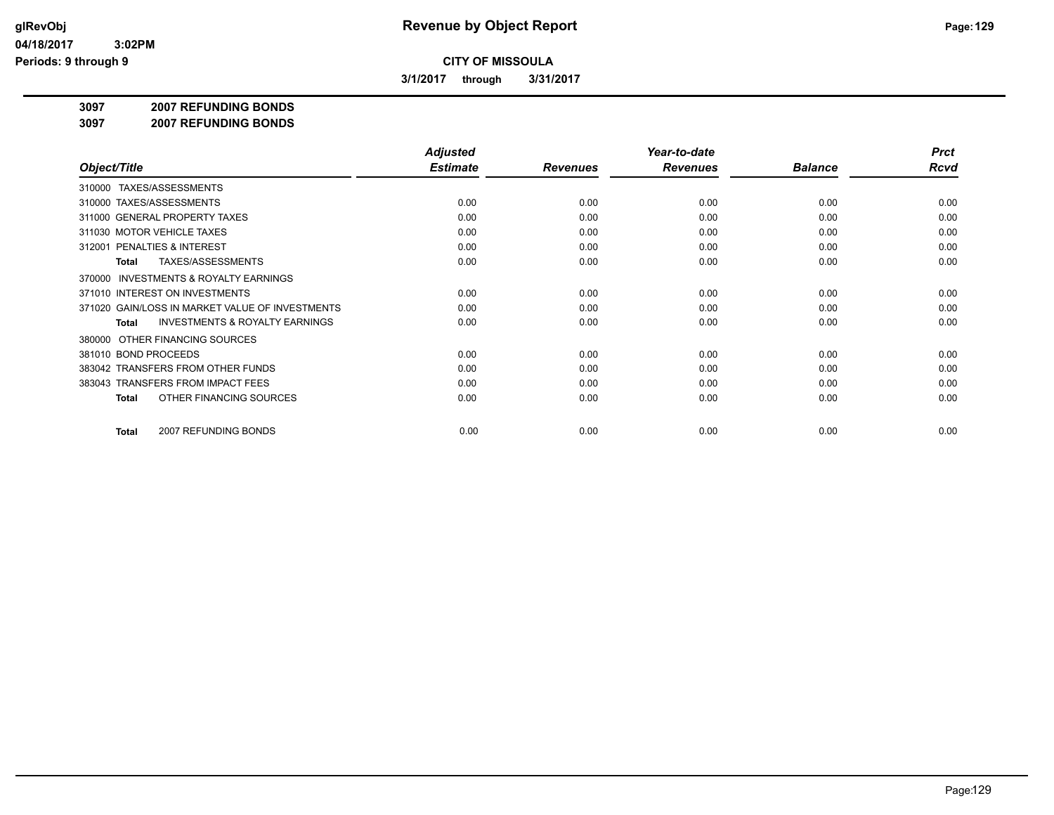**3/1/2017 through 3/31/2017**

**3097 2007 REFUNDING BONDS**

**3097 2007 REFUNDING BONDS**

|                                                     | <b>Adjusted</b> |                 | Year-to-date    |                | <b>Prct</b> |
|-----------------------------------------------------|-----------------|-----------------|-----------------|----------------|-------------|
| Object/Title                                        | <b>Estimate</b> | <b>Revenues</b> | <b>Revenues</b> | <b>Balance</b> | Rcvd        |
| 310000 TAXES/ASSESSMENTS                            |                 |                 |                 |                |             |
| 310000 TAXES/ASSESSMENTS                            | 0.00            | 0.00            | 0.00            | 0.00           | 0.00        |
| 311000 GENERAL PROPERTY TAXES                       | 0.00            | 0.00            | 0.00            | 0.00           | 0.00        |
| 311030 MOTOR VEHICLE TAXES                          | 0.00            | 0.00            | 0.00            | 0.00           | 0.00        |
| <b>PENALTIES &amp; INTEREST</b><br>312001           | 0.00            | 0.00            | 0.00            | 0.00           | 0.00        |
| TAXES/ASSESSMENTS<br>Total                          | 0.00            | 0.00            | 0.00            | 0.00           | 0.00        |
| <b>INVESTMENTS &amp; ROYALTY EARNINGS</b><br>370000 |                 |                 |                 |                |             |
| 371010 INTEREST ON INVESTMENTS                      | 0.00            | 0.00            | 0.00            | 0.00           | 0.00        |
| 371020 GAIN/LOSS IN MARKET VALUE OF INVESTMENTS     | 0.00            | 0.00            | 0.00            | 0.00           | 0.00        |
| <b>INVESTMENTS &amp; ROYALTY EARNINGS</b><br>Total  | 0.00            | 0.00            | 0.00            | 0.00           | 0.00        |
| OTHER FINANCING SOURCES<br>380000                   |                 |                 |                 |                |             |
| 381010 BOND PROCEEDS                                | 0.00            | 0.00            | 0.00            | 0.00           | 0.00        |
| 383042 TRANSFERS FROM OTHER FUNDS                   | 0.00            | 0.00            | 0.00            | 0.00           | 0.00        |
| 383043 TRANSFERS FROM IMPACT FEES                   | 0.00            | 0.00            | 0.00            | 0.00           | 0.00        |
| OTHER FINANCING SOURCES<br><b>Total</b>             | 0.00            | 0.00            | 0.00            | 0.00           | 0.00        |
| 2007 REFUNDING BONDS<br><b>Total</b>                | 0.00            | 0.00            | 0.00            | 0.00           | 0.00        |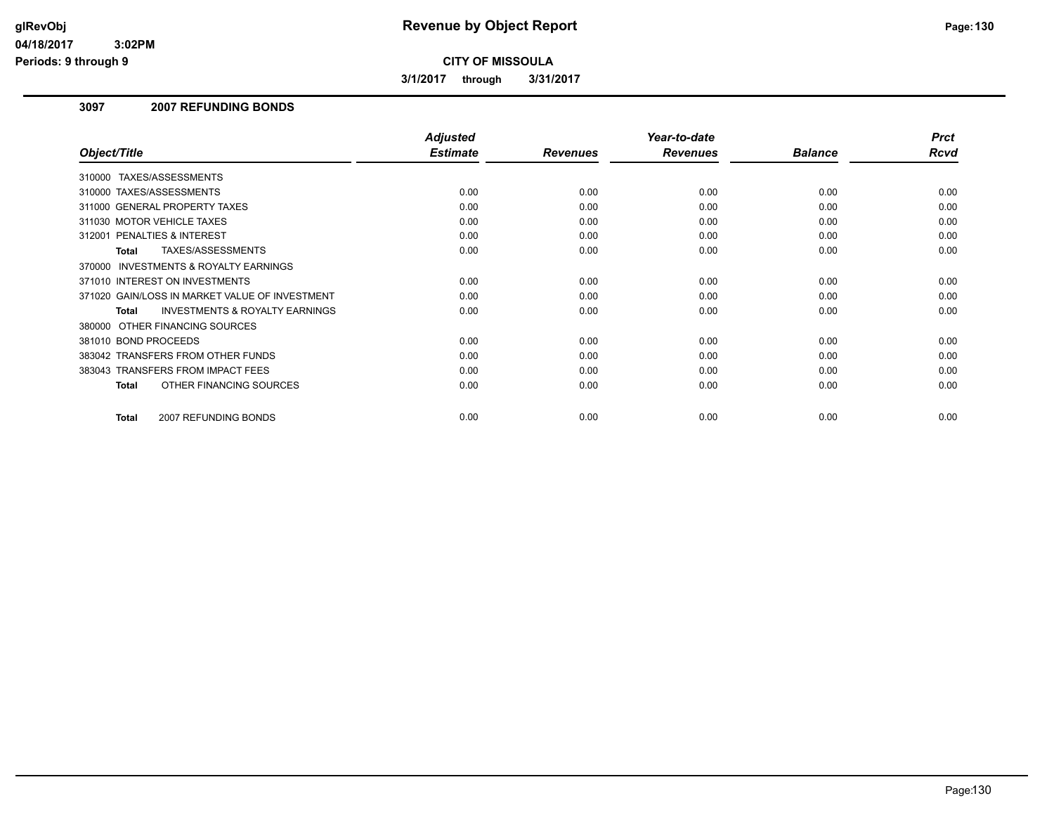**3/1/2017 through 3/31/2017**

## **3097 2007 REFUNDING BONDS**

|                                                     | <b>Adjusted</b> |                 | Year-to-date    |                | <b>Prct</b> |
|-----------------------------------------------------|-----------------|-----------------|-----------------|----------------|-------------|
| Object/Title                                        | <b>Estimate</b> | <b>Revenues</b> | <b>Revenues</b> | <b>Balance</b> | <b>Rcvd</b> |
| TAXES/ASSESSMENTS<br>310000                         |                 |                 |                 |                |             |
| 310000 TAXES/ASSESSMENTS                            | 0.00            | 0.00            | 0.00            | 0.00           | 0.00        |
| 311000 GENERAL PROPERTY TAXES                       | 0.00            | 0.00            | 0.00            | 0.00           | 0.00        |
| 311030 MOTOR VEHICLE TAXES                          | 0.00            | 0.00            | 0.00            | 0.00           | 0.00        |
| 312001 PENALTIES & INTEREST                         | 0.00            | 0.00            | 0.00            | 0.00           | 0.00        |
| TAXES/ASSESSMENTS<br>Total                          | 0.00            | 0.00            | 0.00            | 0.00           | 0.00        |
| <b>INVESTMENTS &amp; ROYALTY EARNINGS</b><br>370000 |                 |                 |                 |                |             |
| 371010 INTEREST ON INVESTMENTS                      | 0.00            | 0.00            | 0.00            | 0.00           | 0.00        |
| 371020 GAIN/LOSS IN MARKET VALUE OF INVESTMENT      | 0.00            | 0.00            | 0.00            | 0.00           | 0.00        |
| <b>INVESTMENTS &amp; ROYALTY EARNINGS</b><br>Total  | 0.00            | 0.00            | 0.00            | 0.00           | 0.00        |
| 380000 OTHER FINANCING SOURCES                      |                 |                 |                 |                |             |
| 381010 BOND PROCEEDS                                | 0.00            | 0.00            | 0.00            | 0.00           | 0.00        |
| 383042 TRANSFERS FROM OTHER FUNDS                   | 0.00            | 0.00            | 0.00            | 0.00           | 0.00        |
| 383043 TRANSFERS FROM IMPACT FEES                   | 0.00            | 0.00            | 0.00            | 0.00           | 0.00        |
| OTHER FINANCING SOURCES<br>Total                    | 0.00            | 0.00            | 0.00            | 0.00           | 0.00        |
|                                                     |                 |                 |                 |                |             |
| 2007 REFUNDING BONDS<br>Total                       | 0.00            | 0.00            | 0.00            | 0.00           | 0.00        |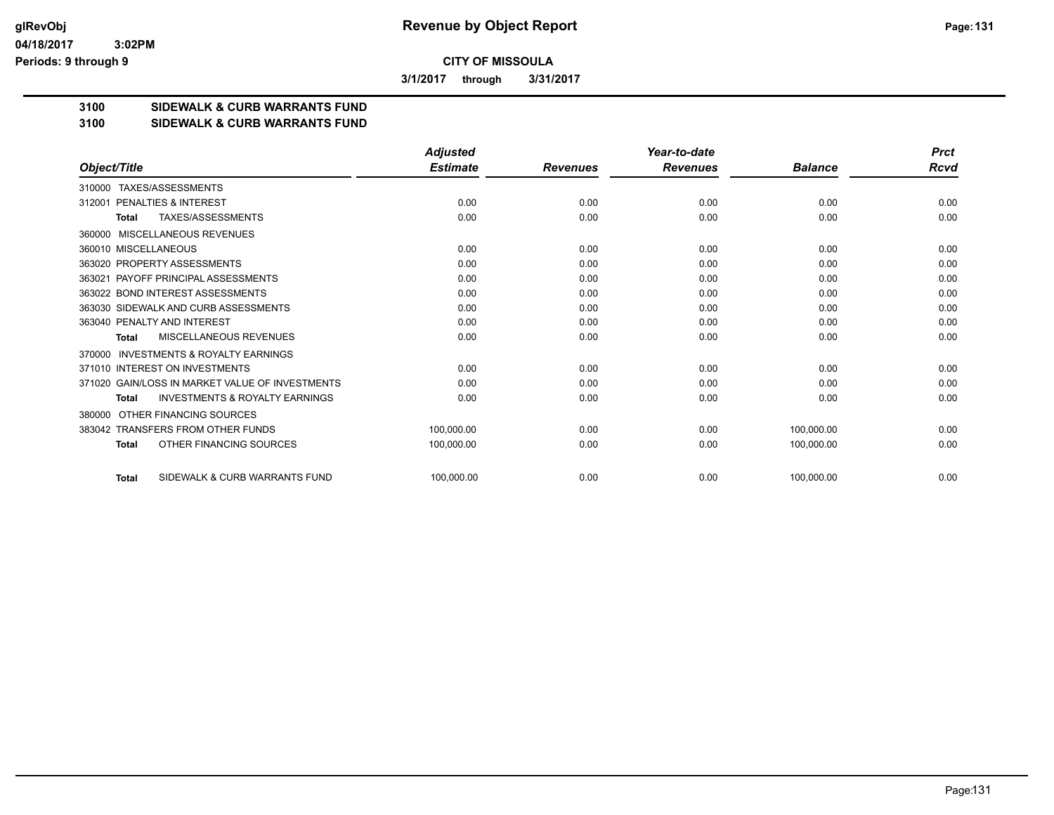**3/1/2017 through 3/31/2017**

## **3100 SIDEWALK & CURB WARRANTS FUND 3100 SIDEWALK & CURB WARRANTS FUND**

|                                                     | <b>Adjusted</b> |                 | Year-to-date    |                | <b>Prct</b> |
|-----------------------------------------------------|-----------------|-----------------|-----------------|----------------|-------------|
| Object/Title                                        | <b>Estimate</b> | <b>Revenues</b> | <b>Revenues</b> | <b>Balance</b> | <b>Rcvd</b> |
| TAXES/ASSESSMENTS<br>310000                         |                 |                 |                 |                |             |
| <b>PENALTIES &amp; INTEREST</b><br>312001           | 0.00            | 0.00            | 0.00            | 0.00           | 0.00        |
| TAXES/ASSESSMENTS<br><b>Total</b>                   | 0.00            | 0.00            | 0.00            | 0.00           | 0.00        |
| <b>MISCELLANEOUS REVENUES</b><br>360000             |                 |                 |                 |                |             |
| 360010 MISCELLANEOUS                                | 0.00            | 0.00            | 0.00            | 0.00           | 0.00        |
| 363020 PROPERTY ASSESSMENTS                         | 0.00            | 0.00            | 0.00            | 0.00           | 0.00        |
| PAYOFF PRINCIPAL ASSESSMENTS<br>363021              | 0.00            | 0.00            | 0.00            | 0.00           | 0.00        |
| 363022 BOND INTEREST ASSESSMENTS                    | 0.00            | 0.00            | 0.00            | 0.00           | 0.00        |
| 363030 SIDEWALK AND CURB ASSESSMENTS                | 0.00            | 0.00            | 0.00            | 0.00           | 0.00        |
| 363040 PENALTY AND INTEREST                         | 0.00            | 0.00            | 0.00            | 0.00           | 0.00        |
| MISCELLANEOUS REVENUES<br><b>Total</b>              | 0.00            | 0.00            | 0.00            | 0.00           | 0.00        |
| <b>INVESTMENTS &amp; ROYALTY EARNINGS</b><br>370000 |                 |                 |                 |                |             |
| 371010 INTEREST ON INVESTMENTS                      | 0.00            | 0.00            | 0.00            | 0.00           | 0.00        |
| 371020 GAIN/LOSS IN MARKET VALUE OF INVESTMENTS     | 0.00            | 0.00            | 0.00            | 0.00           | 0.00        |
| <b>INVESTMENTS &amp; ROYALTY EARNINGS</b><br>Total  | 0.00            | 0.00            | 0.00            | 0.00           | 0.00        |
| OTHER FINANCING SOURCES<br>380000                   |                 |                 |                 |                |             |
| 383042 TRANSFERS FROM OTHER FUNDS                   | 100,000.00      | 0.00            | 0.00            | 100,000.00     | 0.00        |
| OTHER FINANCING SOURCES<br>Total                    | 100,000.00      | 0.00            | 0.00            | 100,000.00     | 0.00        |
| SIDEWALK & CURB WARRANTS FUND<br><b>Total</b>       | 100.000.00      | 0.00            | 0.00            | 100.000.00     | 0.00        |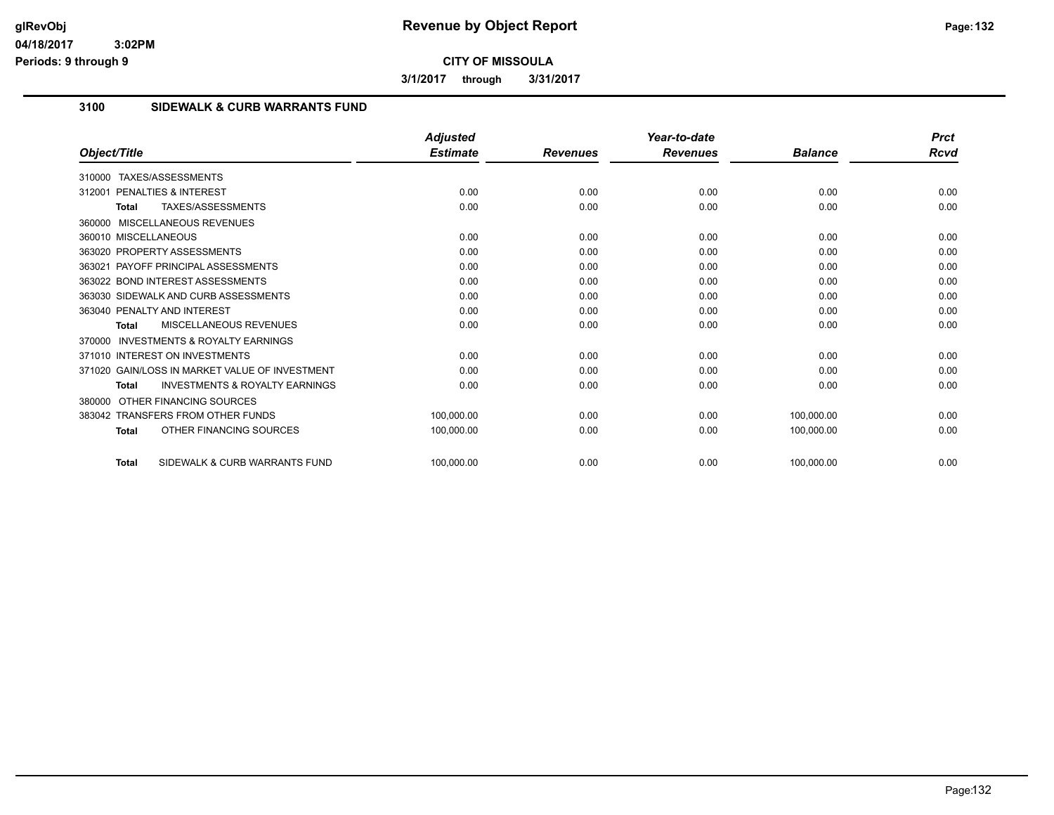**3/1/2017 through 3/31/2017**

## **3100 SIDEWALK & CURB WARRANTS FUND**

|                                                           | <b>Adjusted</b> |                 | Year-to-date    |                | <b>Prct</b> |
|-----------------------------------------------------------|-----------------|-----------------|-----------------|----------------|-------------|
| Object/Title                                              | <b>Estimate</b> | <b>Revenues</b> | <b>Revenues</b> | <b>Balance</b> | Rcvd        |
| TAXES/ASSESSMENTS<br>310000                               |                 |                 |                 |                |             |
| PENALTIES & INTEREST<br>312001                            | 0.00            | 0.00            | 0.00            | 0.00           | 0.00        |
| TAXES/ASSESSMENTS<br>Total                                | 0.00            | 0.00            | 0.00            | 0.00           | 0.00        |
| <b>MISCELLANEOUS REVENUES</b><br>360000                   |                 |                 |                 |                |             |
| 360010 MISCELLANEOUS                                      | 0.00            | 0.00            | 0.00            | 0.00           | 0.00        |
| 363020 PROPERTY ASSESSMENTS                               | 0.00            | 0.00            | 0.00            | 0.00           | 0.00        |
| 363021 PAYOFF PRINCIPAL ASSESSMENTS                       | 0.00            | 0.00            | 0.00            | 0.00           | 0.00        |
| 363022 BOND INTEREST ASSESSMENTS                          | 0.00            | 0.00            | 0.00            | 0.00           | 0.00        |
| 363030 SIDEWALK AND CURB ASSESSMENTS                      | 0.00            | 0.00            | 0.00            | 0.00           | 0.00        |
| 363040 PENALTY AND INTEREST                               | 0.00            | 0.00            | 0.00            | 0.00           | 0.00        |
| <b>MISCELLANEOUS REVENUES</b><br>Total                    | 0.00            | 0.00            | 0.00            | 0.00           | 0.00        |
| INVESTMENTS & ROYALTY EARNINGS<br>370000                  |                 |                 |                 |                |             |
| 371010 INTEREST ON INVESTMENTS                            | 0.00            | 0.00            | 0.00            | 0.00           | 0.00        |
| 371020 GAIN/LOSS IN MARKET VALUE OF INVESTMENT            | 0.00            | 0.00            | 0.00            | 0.00           | 0.00        |
| <b>INVESTMENTS &amp; ROYALTY EARNINGS</b><br><b>Total</b> | 0.00            | 0.00            | 0.00            | 0.00           | 0.00        |
| OTHER FINANCING SOURCES<br>380000                         |                 |                 |                 |                |             |
| 383042 TRANSFERS FROM OTHER FUNDS                         | 100,000.00      | 0.00            | 0.00            | 100,000.00     | 0.00        |
| OTHER FINANCING SOURCES<br><b>Total</b>                   | 100,000.00      | 0.00            | 0.00            | 100,000.00     | 0.00        |
| SIDEWALK & CURB WARRANTS FUND<br><b>Total</b>             | 100.000.00      | 0.00            | 0.00            | 100.000.00     | 0.00        |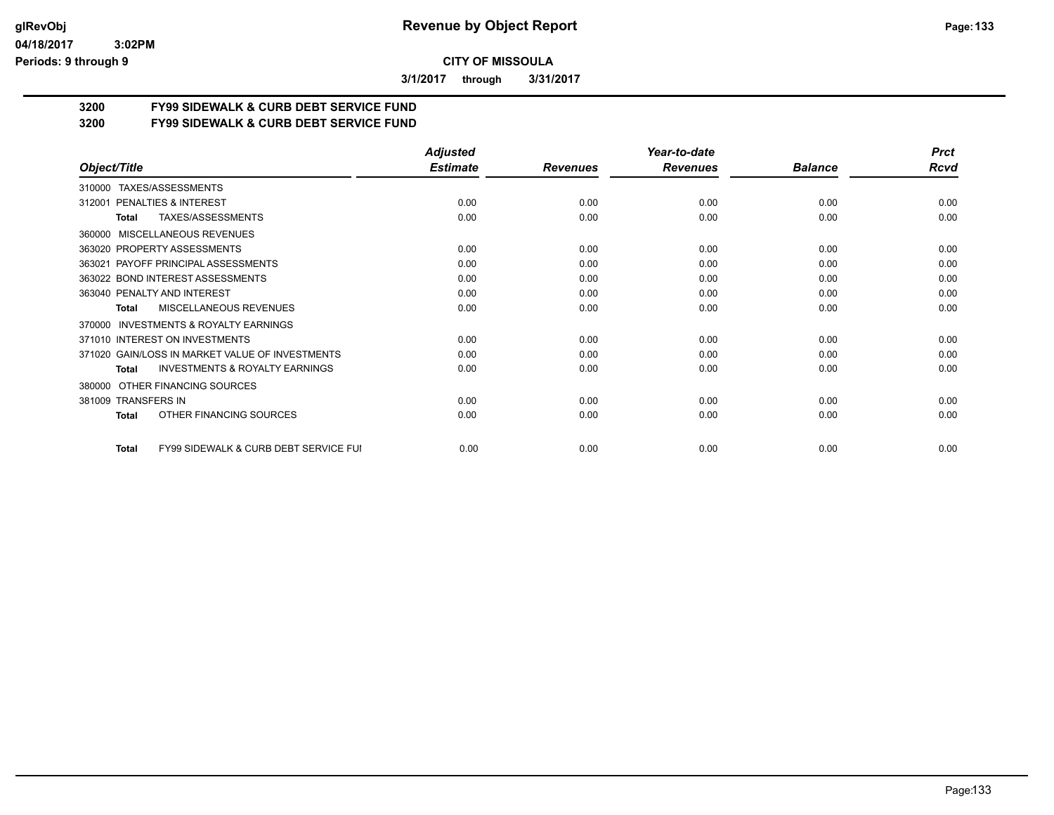*Prct* 

## **CITY OF MISSOULA**

**3/1/2017 through 3/31/2017**

#### **3200 FY99 SIDEWALK & CURB DEBT SERVICE FUND 3200 FY99 SIDEWALK & CURB DEBT SERVICE FUND**

| ----                     |                 |                 |
|--------------------------|-----------------|-----------------|
|                          | <b>Adjusted</b> |                 |
| Object/Title             | <b>Estimate</b> | <b>Revenues</b> |
| 310000 TAYES/ASSESSMENTS |                 |                 |

| Object/Title                                              | <b>Estimate</b> | <b>Revenues</b> | <b>Revenues</b> | <b>Balance</b> | Rcvd |
|-----------------------------------------------------------|-----------------|-----------------|-----------------|----------------|------|
| TAXES/ASSESSMENTS<br>310000                               |                 |                 |                 |                |      |
| <b>PENALTIES &amp; INTEREST</b><br>312001                 | 0.00            | 0.00            | 0.00            | 0.00           | 0.00 |
| TAXES/ASSESSMENTS<br>Total                                | 0.00            | 0.00            | 0.00            | 0.00           | 0.00 |
| 360000 MISCELLANEOUS REVENUES                             |                 |                 |                 |                |      |
| 363020 PROPERTY ASSESSMENTS                               | 0.00            | 0.00            | 0.00            | 0.00           | 0.00 |
| PAYOFF PRINCIPAL ASSESSMENTS<br>363021                    | 0.00            | 0.00            | 0.00            | 0.00           | 0.00 |
| 363022 BOND INTEREST ASSESSMENTS                          | 0.00            | 0.00            | 0.00            | 0.00           | 0.00 |
| 363040 PENALTY AND INTEREST                               | 0.00            | 0.00            | 0.00            | 0.00           | 0.00 |
| <b>MISCELLANEOUS REVENUES</b><br>Total                    | 0.00            | 0.00            | 0.00            | 0.00           | 0.00 |
| 370000 INVESTMENTS & ROYALTY EARNINGS                     |                 |                 |                 |                |      |
| 371010 INTEREST ON INVESTMENTS                            | 0.00            | 0.00            | 0.00            | 0.00           | 0.00 |
| 371020 GAIN/LOSS IN MARKET VALUE OF INVESTMENTS           | 0.00            | 0.00            | 0.00            | 0.00           | 0.00 |
| <b>INVESTMENTS &amp; ROYALTY EARNINGS</b><br>Total        | 0.00            | 0.00            | 0.00            | 0.00           | 0.00 |
| 380000 OTHER FINANCING SOURCES                            |                 |                 |                 |                |      |
| 381009 TRANSFERS IN                                       | 0.00            | 0.00            | 0.00            | 0.00           | 0.00 |
| OTHER FINANCING SOURCES<br>Total                          | 0.00            | 0.00            | 0.00            | 0.00           | 0.00 |
| <b>FY99 SIDEWALK &amp; CURB DEBT SERVICE FUI</b><br>Total | 0.00            | 0.00            | 0.00            | 0.00           | 0.00 |

*Year-to-date*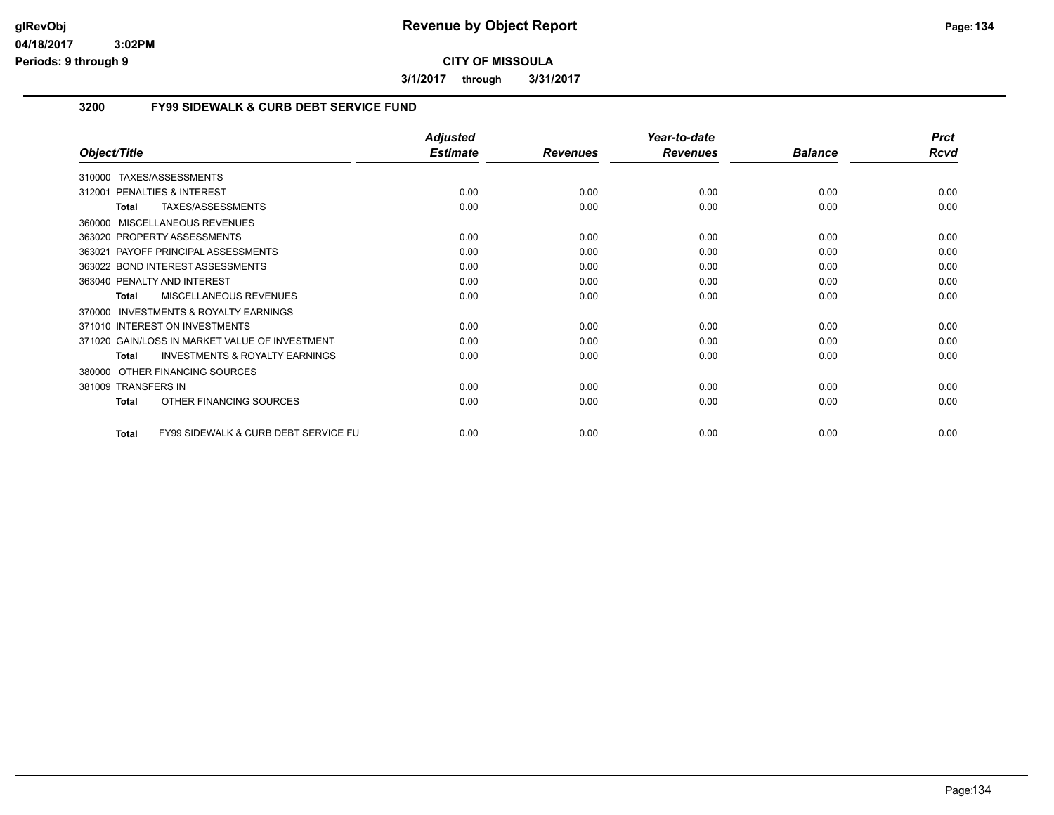**3/1/2017 through 3/31/2017**

### **3200 FY99 SIDEWALK & CURB DEBT SERVICE FUND**

|                                                           | <b>Adjusted</b> |                 | Year-to-date    |                | <b>Prct</b> |
|-----------------------------------------------------------|-----------------|-----------------|-----------------|----------------|-------------|
| Object/Title                                              | <b>Estimate</b> | <b>Revenues</b> | <b>Revenues</b> | <b>Balance</b> | <b>Rcvd</b> |
| TAXES/ASSESSMENTS<br>310000                               |                 |                 |                 |                |             |
| 312001 PENALTIES & INTEREST                               | 0.00            | 0.00            | 0.00            | 0.00           | 0.00        |
| TAXES/ASSESSMENTS<br><b>Total</b>                         | 0.00            | 0.00            | 0.00            | 0.00           | 0.00        |
| <b>MISCELLANEOUS REVENUES</b><br>360000                   |                 |                 |                 |                |             |
| 363020 PROPERTY ASSESSMENTS                               | 0.00            | 0.00            | 0.00            | 0.00           | 0.00        |
| 363021 PAYOFF PRINCIPAL ASSESSMENTS                       | 0.00            | 0.00            | 0.00            | 0.00           | 0.00        |
| 363022 BOND INTEREST ASSESSMENTS                          | 0.00            | 0.00            | 0.00            | 0.00           | 0.00        |
| 363040 PENALTY AND INTEREST                               | 0.00            | 0.00            | 0.00            | 0.00           | 0.00        |
| MISCELLANEOUS REVENUES<br>Total                           | 0.00            | 0.00            | 0.00            | 0.00           | 0.00        |
| <b>INVESTMENTS &amp; ROYALTY EARNINGS</b><br>370000       |                 |                 |                 |                |             |
| 371010 INTEREST ON INVESTMENTS                            | 0.00            | 0.00            | 0.00            | 0.00           | 0.00        |
| 371020 GAIN/LOSS IN MARKET VALUE OF INVESTMENT            | 0.00            | 0.00            | 0.00            | 0.00           | 0.00        |
| <b>INVESTMENTS &amp; ROYALTY EARNINGS</b><br><b>Total</b> | 0.00            | 0.00            | 0.00            | 0.00           | 0.00        |
| OTHER FINANCING SOURCES<br>380000                         |                 |                 |                 |                |             |
| 381009 TRANSFERS IN                                       | 0.00            | 0.00            | 0.00            | 0.00           | 0.00        |
| OTHER FINANCING SOURCES<br><b>Total</b>                   | 0.00            | 0.00            | 0.00            | 0.00           | 0.00        |
| FY99 SIDEWALK & CURB DEBT SERVICE FU<br><b>Total</b>      | 0.00            | 0.00            | 0.00            | 0.00           | 0.00        |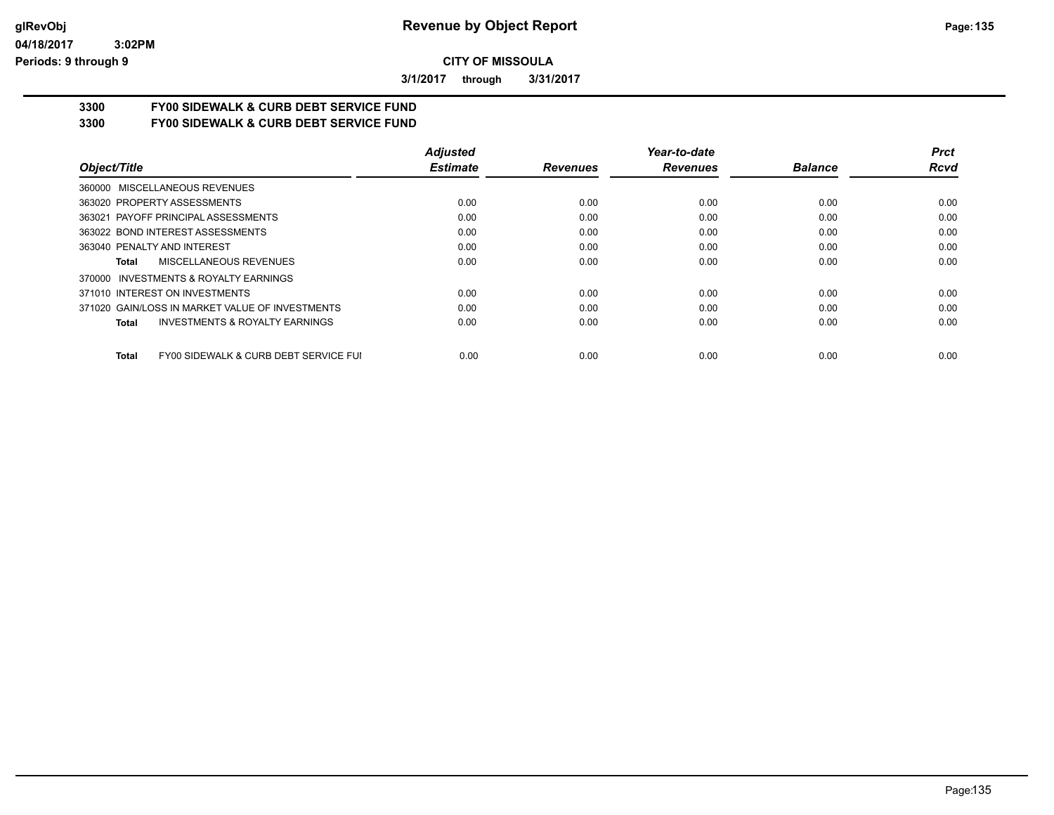*Prct Rcvd*

## **CITY OF MISSOULA**

**3/1/2017 through 3/31/2017**

#### **3300 FY00 SIDEWALK & CURB DEBT SERVICE FUND 3300 FY00 SIDEWALK & CURB DEBT SERVICE FUND**

|                                                       | <b>Adjusted</b> |                 | Year-to-date    |                | <b>Prct</b> |
|-------------------------------------------------------|-----------------|-----------------|-----------------|----------------|-------------|
| Object/Title                                          | <b>Estimate</b> | <b>Revenues</b> | <b>Revenues</b> | <b>Balance</b> | Rcvd        |
| 360000 MISCELLANEOUS REVENUES                         |                 |                 |                 |                |             |
| 363020 PROPERTY ASSESSMENTS                           | 0.00            | 0.00            | 0.00            | 0.00           | 0.00        |
| 363021 PAYOFF PRINCIPAL ASSESSMENTS                   | 0.00            | 0.00            | 0.00            | 0.00           | 0.00        |
| 363022 BOND INTEREST ASSESSMENTS                      | 0.00            | 0.00            | 0.00            | 0.00           | 0.00        |
| 363040 PENALTY AND INTEREST                           | 0.00            | 0.00            | 0.00            | 0.00           | 0.00        |
| MISCELLANEOUS REVENUES<br>Total                       | 0.00            | 0.00            | 0.00            | 0.00           | 0.00        |
| 370000 INVESTMENTS & ROYALTY EARNINGS                 |                 |                 |                 |                |             |
| 371010 INTEREST ON INVESTMENTS                        | 0.00            | 0.00            | 0.00            | 0.00           | 0.00        |
| 371020 GAIN/LOSS IN MARKET VALUE OF INVESTMENTS       | 0.00            | 0.00            | 0.00            | 0.00           | 0.00        |
| <b>INVESTMENTS &amp; ROYALTY EARNINGS</b><br>Total    | 0.00            | 0.00            | 0.00            | 0.00           | 0.00        |
| FY00 SIDEWALK & CURB DEBT SERVICE FUI<br><b>Total</b> | 0.00            | 0.00            | 0.00            | 0.00           | 0.00        |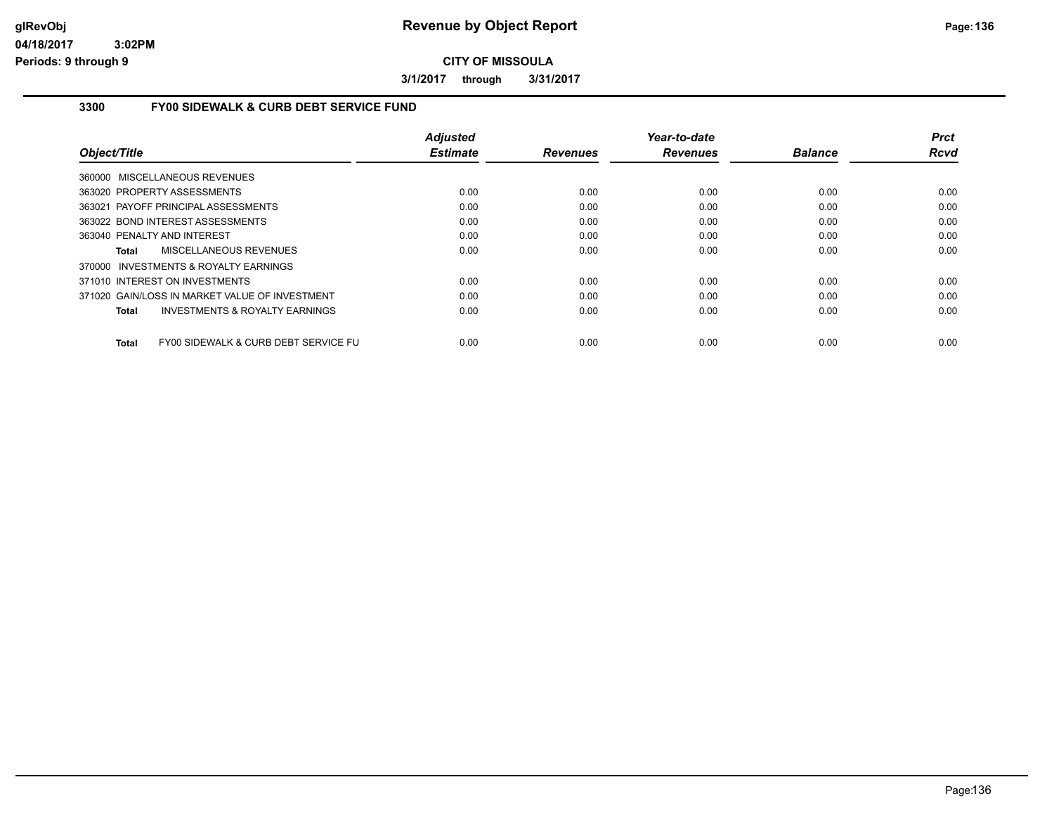**3/1/2017 through 3/31/2017**

## **3300 FY00 SIDEWALK & CURB DEBT SERVICE FUND**

| Object/Title                                         | <b>Adjusted</b><br><b>Estimate</b> | <b>Revenues</b> | Year-to-date<br><b>Revenues</b> | <b>Balance</b> | <b>Prct</b><br><b>Rcvd</b> |
|------------------------------------------------------|------------------------------------|-----------------|---------------------------------|----------------|----------------------------|
| 360000 MISCELLANEOUS REVENUES                        |                                    |                 |                                 |                |                            |
| 363020 PROPERTY ASSESSMENTS                          | 0.00                               | 0.00            | 0.00                            | 0.00           | 0.00                       |
| 363021 PAYOFF PRINCIPAL ASSESSMENTS                  | 0.00                               | 0.00            | 0.00                            | 0.00           | 0.00                       |
| 363022 BOND INTEREST ASSESSMENTS                     | 0.00                               | 0.00            | 0.00                            | 0.00           | 0.00                       |
| 363040 PENALTY AND INTEREST                          | 0.00                               | 0.00            | 0.00                            | 0.00           | 0.00                       |
| MISCELLANEOUS REVENUES<br>Total                      | 0.00                               | 0.00            | 0.00                            | 0.00           | 0.00                       |
| INVESTMENTS & ROYALTY EARNINGS<br>370000             |                                    |                 |                                 |                |                            |
| 371010 INTEREST ON INVESTMENTS                       | 0.00                               | 0.00            | 0.00                            | 0.00           | 0.00                       |
| 371020 GAIN/LOSS IN MARKET VALUE OF INVESTMENT       | 0.00                               | 0.00            | 0.00                            | 0.00           | 0.00                       |
| <b>INVESTMENTS &amp; ROYALTY EARNINGS</b><br>Total   | 0.00                               | 0.00            | 0.00                            | 0.00           | 0.00                       |
|                                                      |                                    |                 |                                 |                |                            |
| FY00 SIDEWALK & CURB DEBT SERVICE FU<br><b>Total</b> | 0.00                               | 0.00            | 0.00                            | 0.00           | 0.00                       |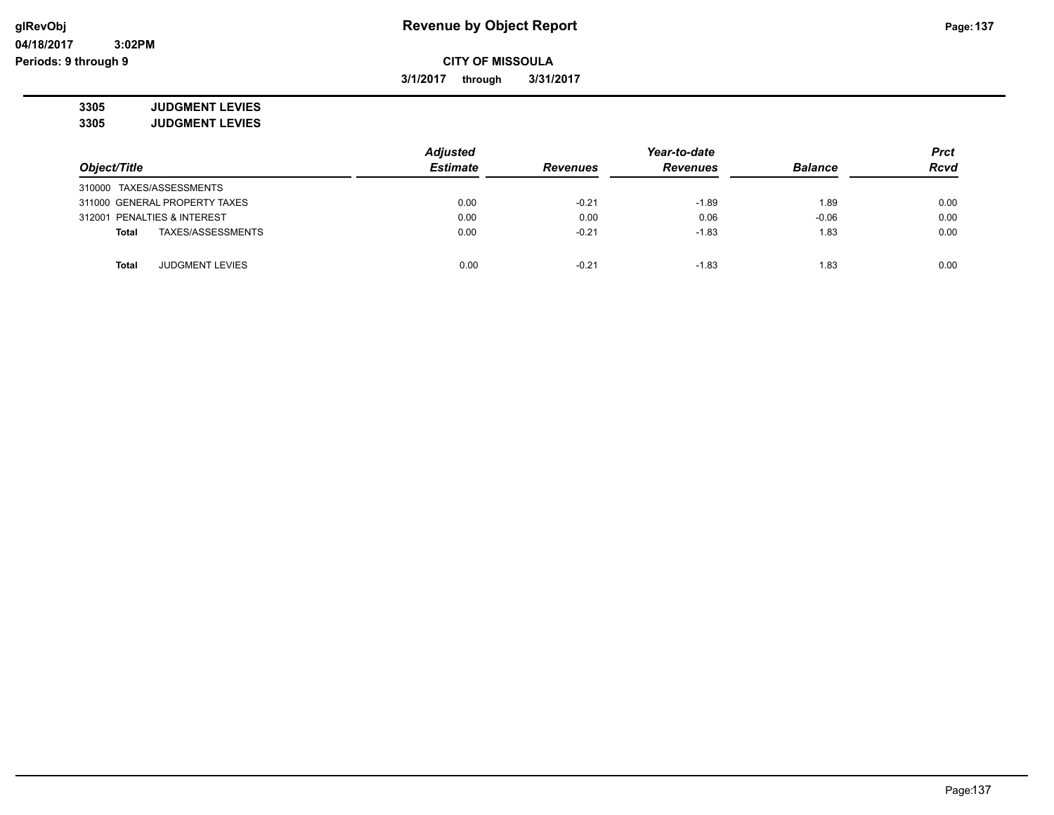**3/1/2017 through 3/31/2017**

**3305 JUDGMENT LEVIES 3305 JUDGMENT LEVIES**

|                                        | <b>Adjusted</b> |                 | Year-to-date    |                | <b>Prct</b> |
|----------------------------------------|-----------------|-----------------|-----------------|----------------|-------------|
| Object/Title                           | <b>Estimate</b> | <b>Revenues</b> | <b>Revenues</b> | <b>Balance</b> | <b>Rcvd</b> |
| 310000 TAXES/ASSESSMENTS               |                 |                 |                 |                |             |
| 311000 GENERAL PROPERTY TAXES          | 0.00            | $-0.21$         | $-1.89$         | 1.89           | 0.00        |
| 312001 PENALTIES & INTEREST            | 0.00            | 0.00            | 0.06            | $-0.06$        | 0.00        |
| TAXES/ASSESSMENTS<br>Total             | 0.00            | $-0.21$         | $-1.83$         | 1.83           | 0.00        |
| <b>JUDGMENT LEVIES</b><br><b>Total</b> | 0.00            | $-0.21$         | $-1.83$         | 1.83           | 0.00        |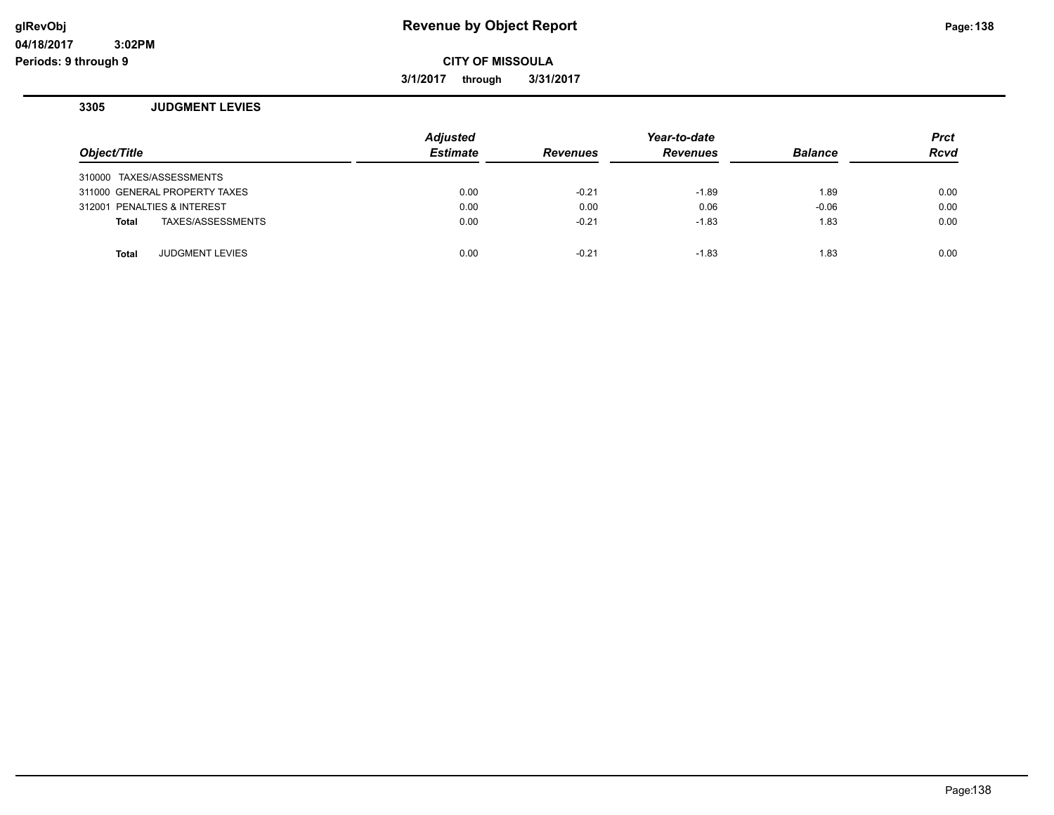**3/1/2017 through 3/31/2017**

#### **3305 JUDGMENT LEVIES**

|                                 | <b>Adjusted</b> |                 | Year-to-date    |                | <b>Prct</b> |
|---------------------------------|-----------------|-----------------|-----------------|----------------|-------------|
| Object/Title                    | <b>Estimate</b> | <b>Revenues</b> | <b>Revenues</b> | <b>Balance</b> | <b>Rcvd</b> |
| 310000 TAXES/ASSESSMENTS        |                 |                 |                 |                |             |
| 311000 GENERAL PROPERTY TAXES   | 0.00            | $-0.21$         | $-1.89$         | 1.89           | 0.00        |
| 312001 PENALTIES & INTEREST     | 0.00            | 0.00            | 0.06            | $-0.06$        | 0.00        |
| TAXES/ASSESSMENTS<br>Total      | 0.00            | $-0.21$         | $-1.83$         | 1.83           | 0.00        |
|                                 |                 |                 |                 |                |             |
| <b>JUDGMENT LEVIES</b><br>Total | 0.00            | $-0.21$         | $-1.83$         | 1.83           | 0.00        |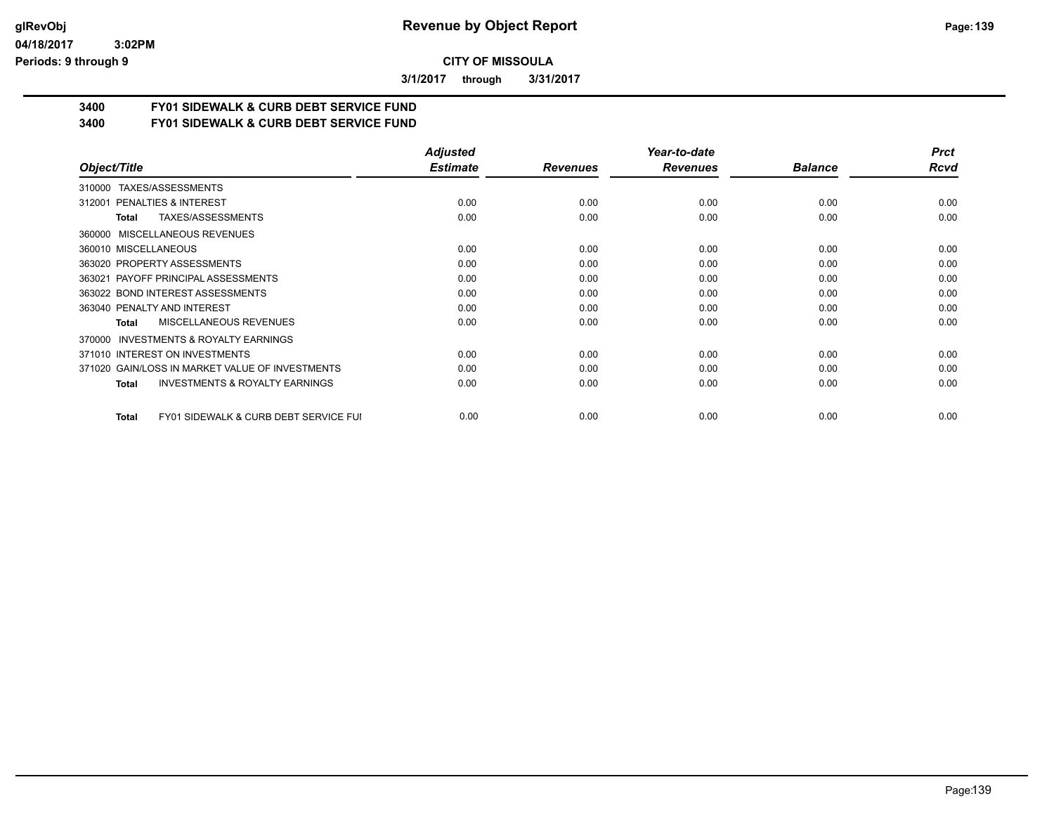**3/1/2017 through 3/31/2017**

## **3400 FY01 SIDEWALK & CURB DEBT SERVICE FUND 3400 FY01 SIDEWALK & CURB DEBT SERVICE FUND**

|                                                           | <b>Adjusted</b> |                 | Year-to-date    |                | <b>Prct</b> |
|-----------------------------------------------------------|-----------------|-----------------|-----------------|----------------|-------------|
| Object/Title                                              | <b>Estimate</b> | <b>Revenues</b> | <b>Revenues</b> | <b>Balance</b> | <b>Rcvd</b> |
| TAXES/ASSESSMENTS<br>310000                               |                 |                 |                 |                |             |
| <b>PENALTIES &amp; INTEREST</b><br>312001                 | 0.00            | 0.00            | 0.00            | 0.00           | 0.00        |
| TAXES/ASSESSMENTS<br>Total                                | 0.00            | 0.00            | 0.00            | 0.00           | 0.00        |
| 360000 MISCELLANEOUS REVENUES                             |                 |                 |                 |                |             |
| 360010 MISCELLANEOUS                                      | 0.00            | 0.00            | 0.00            | 0.00           | 0.00        |
| 363020 PROPERTY ASSESSMENTS                               | 0.00            | 0.00            | 0.00            | 0.00           | 0.00        |
| 363021 PAYOFF PRINCIPAL ASSESSMENTS                       | 0.00            | 0.00            | 0.00            | 0.00           | 0.00        |
| 363022 BOND INTEREST ASSESSMENTS                          | 0.00            | 0.00            | 0.00            | 0.00           | 0.00        |
| 363040 PENALTY AND INTEREST                               | 0.00            | 0.00            | 0.00            | 0.00           | 0.00        |
| <b>MISCELLANEOUS REVENUES</b><br>Total                    | 0.00            | 0.00            | 0.00            | 0.00           | 0.00        |
| 370000 INVESTMENTS & ROYALTY EARNINGS                     |                 |                 |                 |                |             |
| 371010 INTEREST ON INVESTMENTS                            | 0.00            | 0.00            | 0.00            | 0.00           | 0.00        |
| 371020 GAIN/LOSS IN MARKET VALUE OF INVESTMENTS           | 0.00            | 0.00            | 0.00            | 0.00           | 0.00        |
| <b>INVESTMENTS &amp; ROYALTY EARNINGS</b><br>Total        | 0.00            | 0.00            | 0.00            | 0.00           | 0.00        |
|                                                           |                 |                 |                 |                |             |
| <b>FY01 SIDEWALK &amp; CURB DEBT SERVICE FUI</b><br>Total | 0.00            | 0.00            | 0.00            | 0.00           | 0.00        |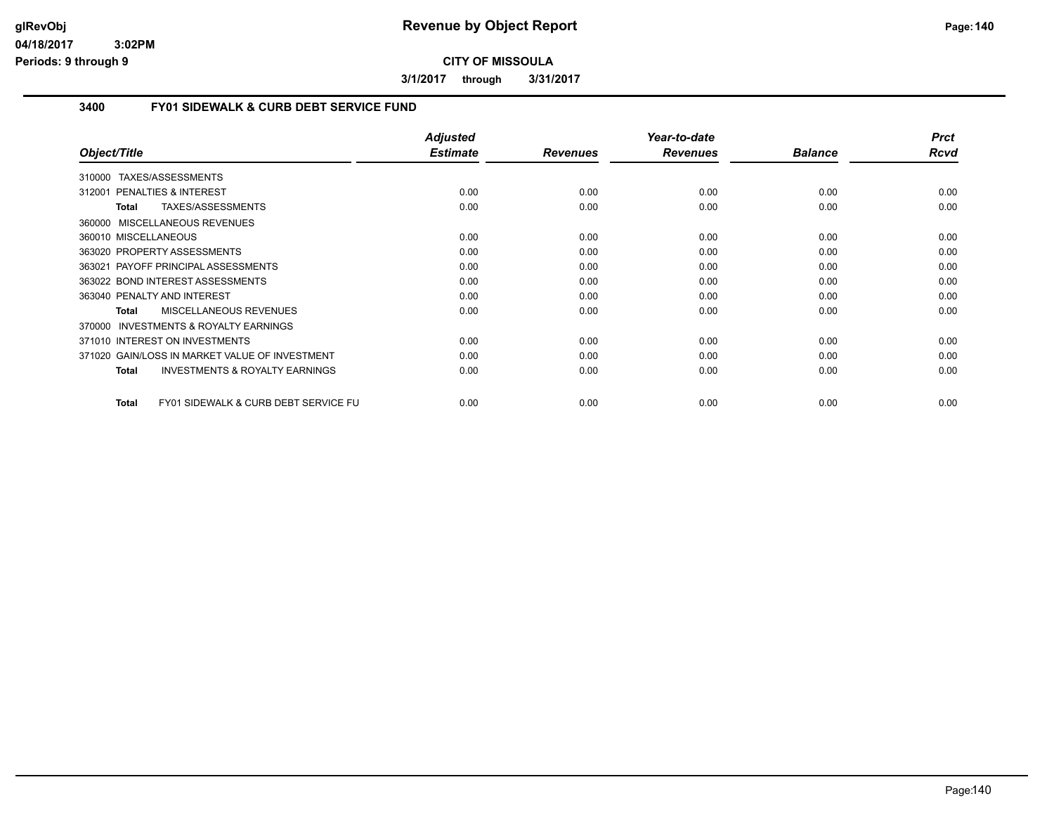**3/1/2017 through 3/31/2017**

### **3400 FY01 SIDEWALK & CURB DEBT SERVICE FUND**

|                                                           | <b>Adjusted</b> |                 | Year-to-date    |                | <b>Prct</b> |
|-----------------------------------------------------------|-----------------|-----------------|-----------------|----------------|-------------|
| Object/Title                                              | <b>Estimate</b> | <b>Revenues</b> | <b>Revenues</b> | <b>Balance</b> | Rcvd        |
| TAXES/ASSESSMENTS<br>310000                               |                 |                 |                 |                |             |
| 312001 PENALTIES & INTEREST                               | 0.00            | 0.00            | 0.00            | 0.00           | 0.00        |
| TAXES/ASSESSMENTS<br>Total                                | 0.00            | 0.00            | 0.00            | 0.00           | 0.00        |
| 360000 MISCELLANEOUS REVENUES                             |                 |                 |                 |                |             |
| 360010 MISCELLANEOUS                                      | 0.00            | 0.00            | 0.00            | 0.00           | 0.00        |
| 363020 PROPERTY ASSESSMENTS                               | 0.00            | 0.00            | 0.00            | 0.00           | 0.00        |
| 363021 PAYOFF PRINCIPAL ASSESSMENTS                       | 0.00            | 0.00            | 0.00            | 0.00           | 0.00        |
| 363022 BOND INTEREST ASSESSMENTS                          | 0.00            | 0.00            | 0.00            | 0.00           | 0.00        |
| 363040 PENALTY AND INTEREST                               | 0.00            | 0.00            | 0.00            | 0.00           | 0.00        |
| MISCELLANEOUS REVENUES<br>Total                           | 0.00            | 0.00            | 0.00            | 0.00           | 0.00        |
| INVESTMENTS & ROYALTY EARNINGS<br>370000                  |                 |                 |                 |                |             |
| 371010 INTEREST ON INVESTMENTS                            | 0.00            | 0.00            | 0.00            | 0.00           | 0.00        |
| 371020 GAIN/LOSS IN MARKET VALUE OF INVESTMENT            | 0.00            | 0.00            | 0.00            | 0.00           | 0.00        |
| <b>INVESTMENTS &amp; ROYALTY EARNINGS</b><br><b>Total</b> | 0.00            | 0.00            | 0.00            | 0.00           | 0.00        |
| FY01 SIDEWALK & CURB DEBT SERVICE FU<br>Total             | 0.00            | 0.00            | 0.00            | 0.00           | 0.00        |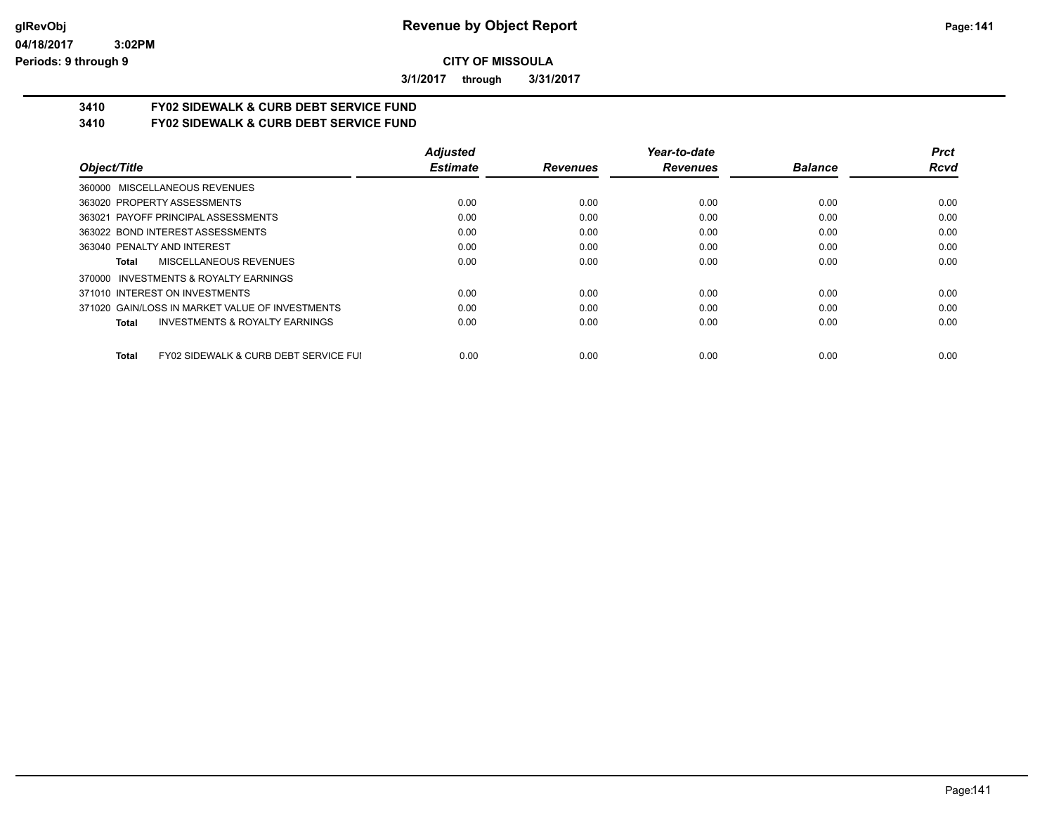*Prct Rcvd*

## **CITY OF MISSOULA**

**3/1/2017 through 3/31/2017**

#### **3410 FY02 SIDEWALK & CURB DEBT SERVICE FUND 3410 FY02 SIDEWALK & CURB DEBT SERVICE FUND**

|                                                           | <b>Adjusted</b> |                 | Year-to-date    |                | <b>Prct</b> |
|-----------------------------------------------------------|-----------------|-----------------|-----------------|----------------|-------------|
| Object/Title                                              | <b>Estimate</b> | <b>Revenues</b> | <b>Revenues</b> | <b>Balance</b> | Rcva        |
| 360000 MISCELLANEOUS REVENUES                             |                 |                 |                 |                |             |
| 363020 PROPERTY ASSESSMENTS                               | 0.00            | 0.00            | 0.00            | 0.00           | 0.00        |
| 363021 PAYOFF PRINCIPAL ASSESSMENTS                       | 0.00            | 0.00            | 0.00            | 0.00           | 0.00        |
| 363022 BOND INTEREST ASSESSMENTS                          | 0.00            | 0.00            | 0.00            | 0.00           | 0.00        |
| 363040 PENALTY AND INTEREST                               | 0.00            | 0.00            | 0.00            | 0.00           | 0.00        |
| MISCELLANEOUS REVENUES<br>Total                           | 0.00            | 0.00            | 0.00            | 0.00           | 0.00        |
| 370000 INVESTMENTS & ROYALTY EARNINGS                     |                 |                 |                 |                |             |
| 371010 INTEREST ON INVESTMENTS                            | 0.00            | 0.00            | 0.00            | 0.00           | 0.00        |
| 371020 GAIN/LOSS IN MARKET VALUE OF INVESTMENTS           | 0.00            | 0.00            | 0.00            | 0.00           | 0.00        |
| <b>INVESTMENTS &amp; ROYALTY EARNINGS</b><br>Total        | 0.00            | 0.00            | 0.00            | 0.00           | 0.00        |
| <b>FY02 SIDEWALK &amp; CURB DEBT SERVICE FUI</b><br>Total | 0.00            | 0.00            | 0.00            | 0.00           | 0.00        |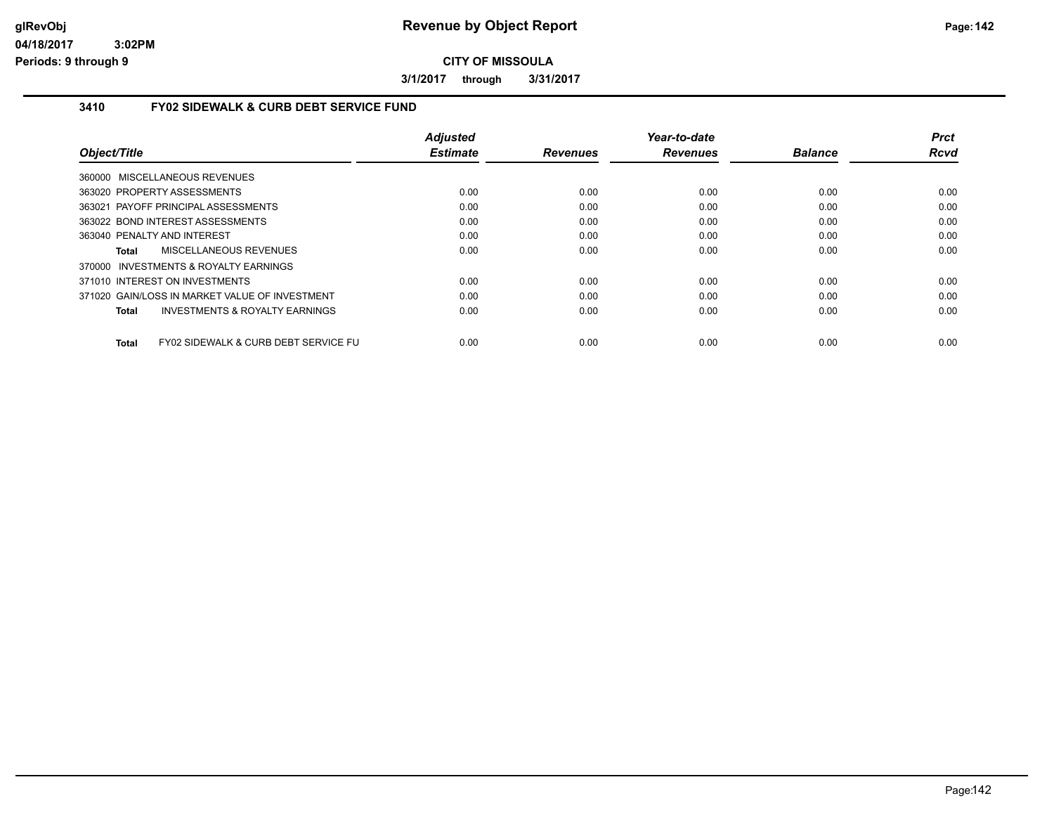**3/1/2017 through 3/31/2017**

## **3410 FY02 SIDEWALK & CURB DEBT SERVICE FUND**

| Object/Title                                       | <b>Adjusted</b><br><b>Estimate</b> | <b>Revenues</b> | Year-to-date<br><b>Revenues</b> | <b>Balance</b> | <b>Prct</b><br><b>Rcvd</b> |
|----------------------------------------------------|------------------------------------|-----------------|---------------------------------|----------------|----------------------------|
| 360000 MISCELLANEOUS REVENUES                      |                                    |                 |                                 |                |                            |
| 363020 PROPERTY ASSESSMENTS                        | 0.00                               | 0.00            | 0.00                            | 0.00           | 0.00                       |
| 363021 PAYOFF PRINCIPAL ASSESSMENTS                | 0.00                               | 0.00            | 0.00                            | 0.00           | 0.00                       |
| 363022 BOND INTEREST ASSESSMENTS                   | 0.00                               | 0.00            | 0.00                            | 0.00           | 0.00                       |
| 363040 PENALTY AND INTEREST                        | 0.00                               | 0.00            | 0.00                            | 0.00           | 0.00                       |
| MISCELLANEOUS REVENUES<br>Total                    | 0.00                               | 0.00            | 0.00                            | 0.00           | 0.00                       |
| INVESTMENTS & ROYALTY EARNINGS<br>370000           |                                    |                 |                                 |                |                            |
| 371010 INTEREST ON INVESTMENTS                     | 0.00                               | 0.00            | 0.00                            | 0.00           | 0.00                       |
| 371020 GAIN/LOSS IN MARKET VALUE OF INVESTMENT     | 0.00                               | 0.00            | 0.00                            | 0.00           | 0.00                       |
| <b>INVESTMENTS &amp; ROYALTY EARNINGS</b><br>Total | 0.00                               | 0.00            | 0.00                            | 0.00           | 0.00                       |
| Total<br>FY02 SIDEWALK & CURB DEBT SERVICE FU      | 0.00                               | 0.00            | 0.00                            | 0.00           | 0.00                       |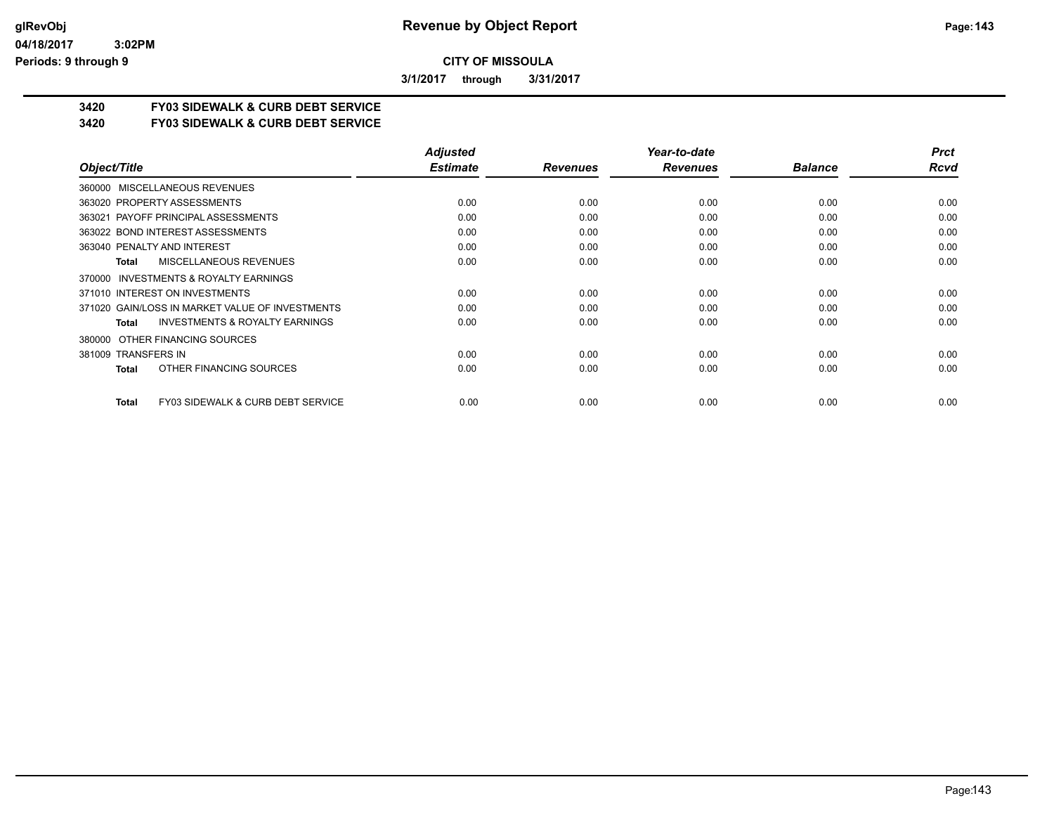**3/1/2017 through 3/31/2017**

# **3420 FY03 SIDEWALK & CURB DEBT SERVICE**

**3420 FY03 SIDEWALK & CURB DEBT SERVICE**

|                                                       | <b>Adjusted</b> |                 | Year-to-date    |                | <b>Prct</b> |
|-------------------------------------------------------|-----------------|-----------------|-----------------|----------------|-------------|
| Object/Title                                          | <b>Estimate</b> | <b>Revenues</b> | <b>Revenues</b> | <b>Balance</b> | <b>Rcvd</b> |
| 360000 MISCELLANEOUS REVENUES                         |                 |                 |                 |                |             |
| 363020 PROPERTY ASSESSMENTS                           | 0.00            | 0.00            | 0.00            | 0.00           | 0.00        |
| 363021 PAYOFF PRINCIPAL ASSESSMENTS                   | 0.00            | 0.00            | 0.00            | 0.00           | 0.00        |
| 363022 BOND INTEREST ASSESSMENTS                      | 0.00            | 0.00            | 0.00            | 0.00           | 0.00        |
| 363040 PENALTY AND INTEREST                           | 0.00            | 0.00            | 0.00            | 0.00           | 0.00        |
| <b>MISCELLANEOUS REVENUES</b><br><b>Total</b>         | 0.00            | 0.00            | 0.00            | 0.00           | 0.00        |
| 370000 INVESTMENTS & ROYALTY EARNINGS                 |                 |                 |                 |                |             |
| 371010 INTEREST ON INVESTMENTS                        | 0.00            | 0.00            | 0.00            | 0.00           | 0.00        |
| 371020 GAIN/LOSS IN MARKET VALUE OF INVESTMENTS       | 0.00            | 0.00            | 0.00            | 0.00           | 0.00        |
| <b>INVESTMENTS &amp; ROYALTY EARNINGS</b><br>Total    | 0.00            | 0.00            | 0.00            | 0.00           | 0.00        |
| 380000 OTHER FINANCING SOURCES                        |                 |                 |                 |                |             |
| 381009 TRANSFERS IN                                   | 0.00            | 0.00            | 0.00            | 0.00           | 0.00        |
| OTHER FINANCING SOURCES<br>Total                      | 0.00            | 0.00            | 0.00            | 0.00           | 0.00        |
| <b>FY03 SIDEWALK &amp; CURB DEBT SERVICE</b><br>Total | 0.00            | 0.00            | 0.00            | 0.00           | 0.00        |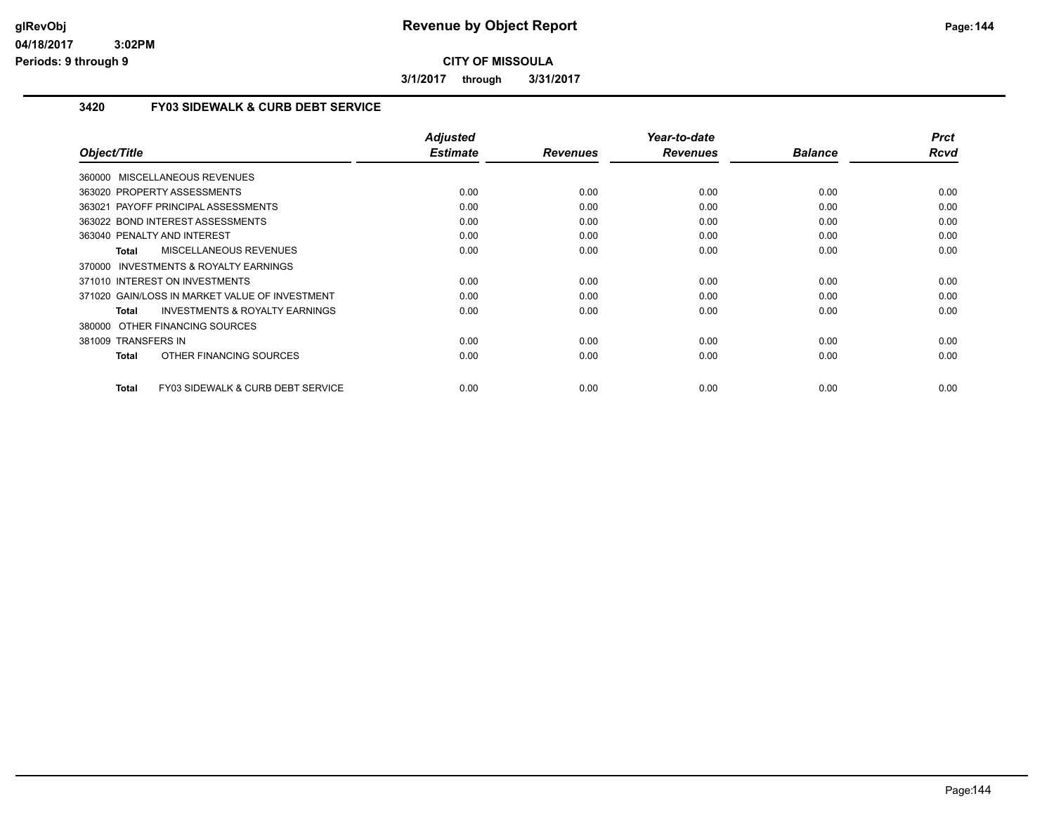**3/1/2017 through 3/31/2017**

## **3420 FY03 SIDEWALK & CURB DEBT SERVICE**

| Object/Title                                                 | <b>Adjusted</b><br><b>Estimate</b> | <b>Revenues</b> | Year-to-date<br><b>Revenues</b> | <b>Balance</b> | <b>Prct</b><br>Rcvd |
|--------------------------------------------------------------|------------------------------------|-----------------|---------------------------------|----------------|---------------------|
| 360000 MISCELLANEOUS REVENUES                                |                                    |                 |                                 |                |                     |
| 363020 PROPERTY ASSESSMENTS                                  | 0.00                               | 0.00            | 0.00                            | 0.00           | 0.00                |
| 363021 PAYOFF PRINCIPAL ASSESSMENTS                          | 0.00                               | 0.00            | 0.00                            | 0.00           | 0.00                |
| 363022 BOND INTEREST ASSESSMENTS                             | 0.00                               | 0.00            | 0.00                            | 0.00           | 0.00                |
| 363040 PENALTY AND INTEREST                                  | 0.00                               | 0.00            | 0.00                            | 0.00           | 0.00                |
| MISCELLANEOUS REVENUES<br>Total                              | 0.00                               | 0.00            | 0.00                            | 0.00           | 0.00                |
| 370000 INVESTMENTS & ROYALTY EARNINGS                        |                                    |                 |                                 |                |                     |
| 371010 INTEREST ON INVESTMENTS                               | 0.00                               | 0.00            | 0.00                            | 0.00           | 0.00                |
| 371020 GAIN/LOSS IN MARKET VALUE OF INVESTMENT               | 0.00                               | 0.00            | 0.00                            | 0.00           | 0.00                |
| <b>INVESTMENTS &amp; ROYALTY EARNINGS</b><br><b>Total</b>    | 0.00                               | 0.00            | 0.00                            | 0.00           | 0.00                |
| 380000 OTHER FINANCING SOURCES                               |                                    |                 |                                 |                |                     |
| 381009 TRANSFERS IN                                          | 0.00                               | 0.00            | 0.00                            | 0.00           | 0.00                |
| OTHER FINANCING SOURCES<br><b>Total</b>                      | 0.00                               | 0.00            | 0.00                            | 0.00           | 0.00                |
| <b>FY03 SIDEWALK &amp; CURB DEBT SERVICE</b><br><b>Total</b> | 0.00                               | 0.00            | 0.00                            | 0.00           | 0.00                |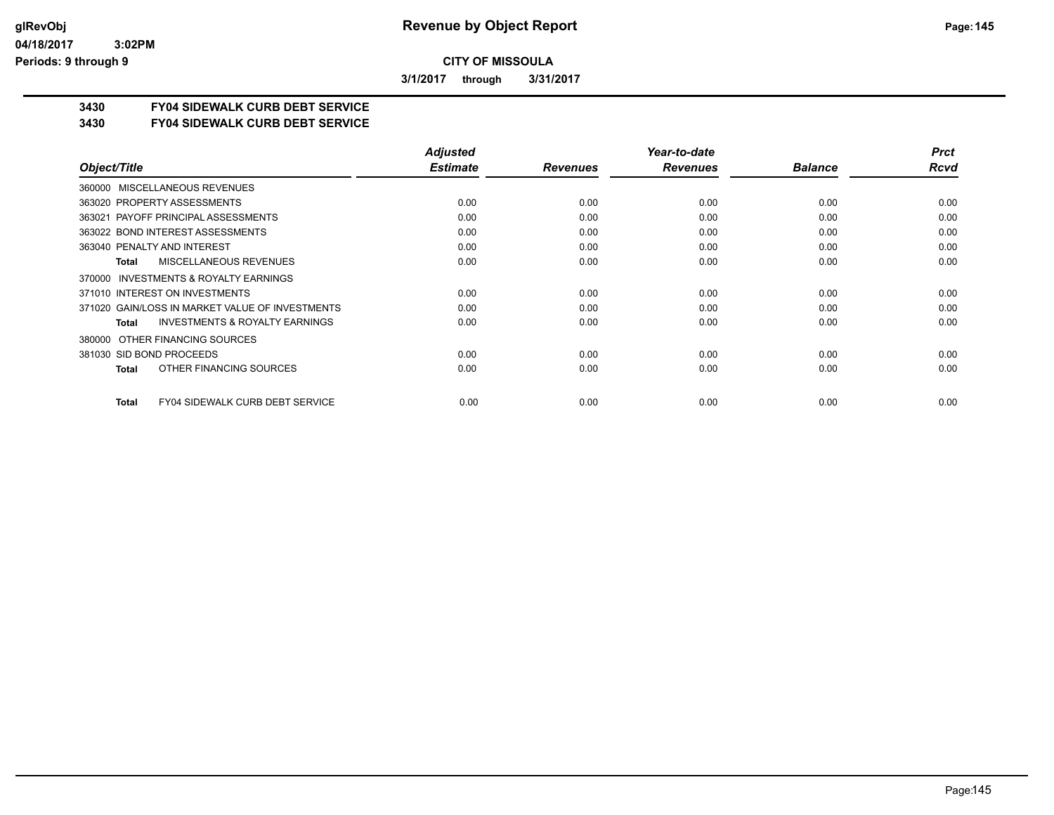**3/1/2017 through 3/31/2017**

## **3430 FY04 SIDEWALK CURB DEBT SERVICE 3430 FY04 SIDEWALK CURB DEBT SERVICE**

|                                                        | <b>Adjusted</b> |                 | Year-to-date    |                | <b>Prct</b> |
|--------------------------------------------------------|-----------------|-----------------|-----------------|----------------|-------------|
| Object/Title                                           | <b>Estimate</b> | <b>Revenues</b> | <b>Revenues</b> | <b>Balance</b> | <b>Rcvd</b> |
| 360000 MISCELLANEOUS REVENUES                          |                 |                 |                 |                |             |
| 363020 PROPERTY ASSESSMENTS                            | 0.00            | 0.00            | 0.00            | 0.00           | 0.00        |
| 363021 PAYOFF PRINCIPAL ASSESSMENTS                    | 0.00            | 0.00            | 0.00            | 0.00           | 0.00        |
| 363022 BOND INTEREST ASSESSMENTS                       | 0.00            | 0.00            | 0.00            | 0.00           | 0.00        |
| 363040 PENALTY AND INTEREST                            | 0.00            | 0.00            | 0.00            | 0.00           | 0.00        |
| <b>MISCELLANEOUS REVENUES</b><br>Total                 | 0.00            | 0.00            | 0.00            | 0.00           | 0.00        |
| 370000 INVESTMENTS & ROYALTY EARNINGS                  |                 |                 |                 |                |             |
| 371010 INTEREST ON INVESTMENTS                         | 0.00            | 0.00            | 0.00            | 0.00           | 0.00        |
| 371020 GAIN/LOSS IN MARKET VALUE OF INVESTMENTS        | 0.00            | 0.00            | 0.00            | 0.00           | 0.00        |
| <b>INVESTMENTS &amp; ROYALTY EARNINGS</b><br>Total     | 0.00            | 0.00            | 0.00            | 0.00           | 0.00        |
| 380000 OTHER FINANCING SOURCES                         |                 |                 |                 |                |             |
| 381030 SID BOND PROCEEDS                               | 0.00            | 0.00            | 0.00            | 0.00           | 0.00        |
| OTHER FINANCING SOURCES<br>Total                       | 0.00            | 0.00            | 0.00            | 0.00           | 0.00        |
| <b>FY04 SIDEWALK CURB DEBT SERVICE</b><br><b>Total</b> | 0.00            | 0.00            | 0.00            | 0.00           | 0.00        |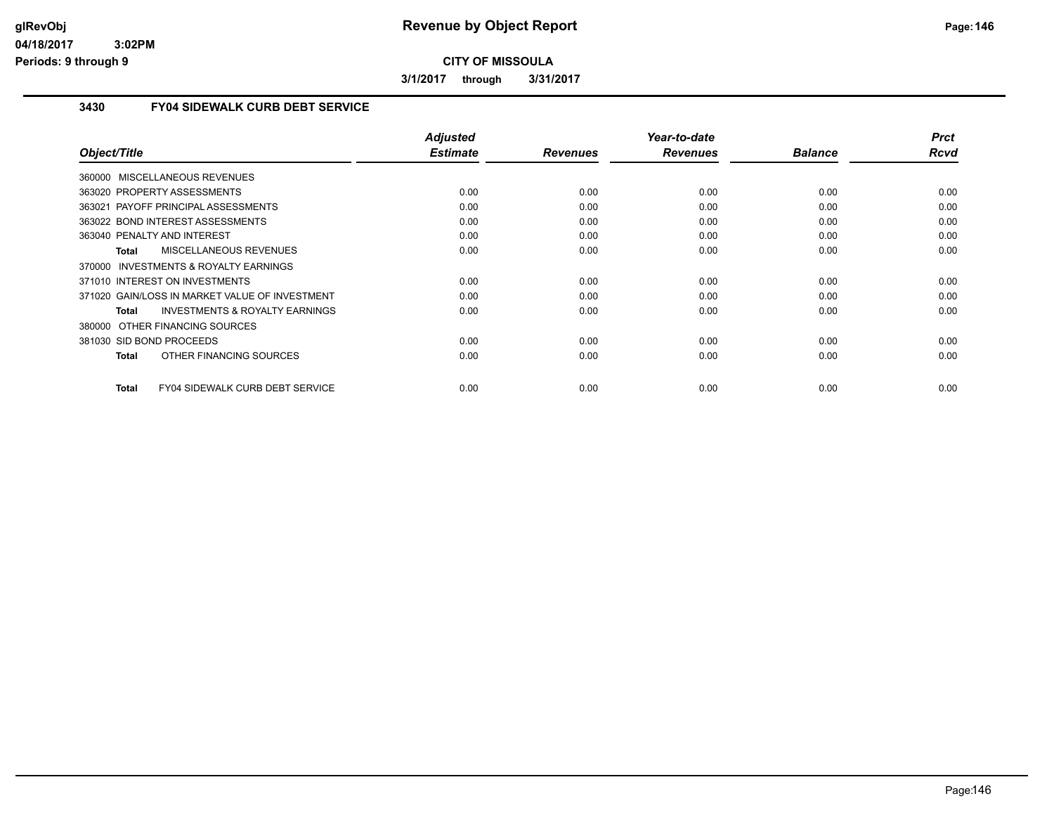**3/1/2017 through 3/31/2017**

## **3430 FY04 SIDEWALK CURB DEBT SERVICE**

|                                                     | <b>Adjusted</b> |                 | Year-to-date    |                | <b>Prct</b> |
|-----------------------------------------------------|-----------------|-----------------|-----------------|----------------|-------------|
| Object/Title                                        | <b>Estimate</b> | <b>Revenues</b> | <b>Revenues</b> | <b>Balance</b> | <b>Rcvd</b> |
| 360000 MISCELLANEOUS REVENUES                       |                 |                 |                 |                |             |
| 363020 PROPERTY ASSESSMENTS                         | 0.00            | 0.00            | 0.00            | 0.00           | 0.00        |
| 363021 PAYOFF PRINCIPAL ASSESSMENTS                 | 0.00            | 0.00            | 0.00            | 0.00           | 0.00        |
| 363022 BOND INTEREST ASSESSMENTS                    | 0.00            | 0.00            | 0.00            | 0.00           | 0.00        |
| 363040 PENALTY AND INTEREST                         | 0.00            | 0.00            | 0.00            | 0.00           | 0.00        |
| MISCELLANEOUS REVENUES<br>Total                     | 0.00            | 0.00            | 0.00            | 0.00           | 0.00        |
| <b>INVESTMENTS &amp; ROYALTY EARNINGS</b><br>370000 |                 |                 |                 |                |             |
| 371010 INTEREST ON INVESTMENTS                      | 0.00            | 0.00            | 0.00            | 0.00           | 0.00        |
| 371020 GAIN/LOSS IN MARKET VALUE OF INVESTMENT      | 0.00            | 0.00            | 0.00            | 0.00           | 0.00        |
| <b>INVESTMENTS &amp; ROYALTY EARNINGS</b><br>Total  | 0.00            | 0.00            | 0.00            | 0.00           | 0.00        |
| 380000 OTHER FINANCING SOURCES                      |                 |                 |                 |                |             |
| 381030 SID BOND PROCEEDS                            | 0.00            | 0.00            | 0.00            | 0.00           | 0.00        |
| OTHER FINANCING SOURCES<br>Total                    | 0.00            | 0.00            | 0.00            | 0.00           | 0.00        |
|                                                     |                 |                 |                 |                |             |
| <b>FY04 SIDEWALK CURB DEBT SERVICE</b><br>Total     | 0.00            | 0.00            | 0.00            | 0.00           | 0.00        |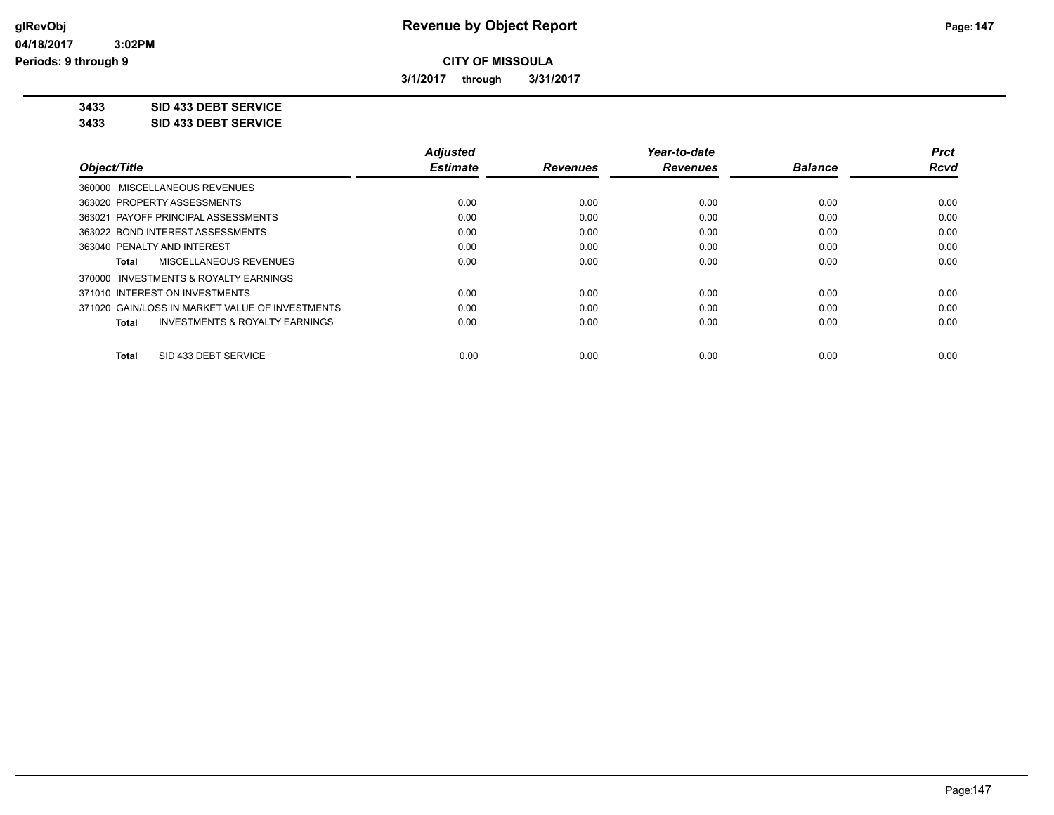**3/1/2017 through 3/31/2017**

**3433 SID 433 DEBT SERVICE**

**3433 SID 433 DEBT SERVICE**

|                                                           | <b>Adjusted</b> |                 | Year-to-date    |                | <b>Prct</b> |
|-----------------------------------------------------------|-----------------|-----------------|-----------------|----------------|-------------|
| Object/Title                                              | <b>Estimate</b> | <b>Revenues</b> | <b>Revenues</b> | <b>Balance</b> | <b>Rcvd</b> |
| 360000 MISCELLANEOUS REVENUES                             |                 |                 |                 |                |             |
| 363020 PROPERTY ASSESSMENTS                               | 0.00            | 0.00            | 0.00            | 0.00           | 0.00        |
| 363021 PAYOFF PRINCIPAL ASSESSMENTS                       | 0.00            | 0.00            | 0.00            | 0.00           | 0.00        |
| 363022 BOND INTEREST ASSESSMENTS                          | 0.00            | 0.00            | 0.00            | 0.00           | 0.00        |
| 363040 PENALTY AND INTEREST                               | 0.00            | 0.00            | 0.00            | 0.00           | 0.00        |
| <b>MISCELLANEOUS REVENUES</b><br>Total                    | 0.00            | 0.00            | 0.00            | 0.00           | 0.00        |
| 370000 INVESTMENTS & ROYALTY EARNINGS                     |                 |                 |                 |                |             |
| 371010 INTEREST ON INVESTMENTS                            | 0.00            | 0.00            | 0.00            | 0.00           | 0.00        |
| 371020 GAIN/LOSS IN MARKET VALUE OF INVESTMENTS           | 0.00            | 0.00            | 0.00            | 0.00           | 0.00        |
| <b>INVESTMENTS &amp; ROYALTY EARNINGS</b><br><b>Total</b> | 0.00            | 0.00            | 0.00            | 0.00           | 0.00        |
| SID 433 DEBT SERVICE<br>Total                             | 0.00            | 0.00            | 0.00            | 0.00           | 0.00        |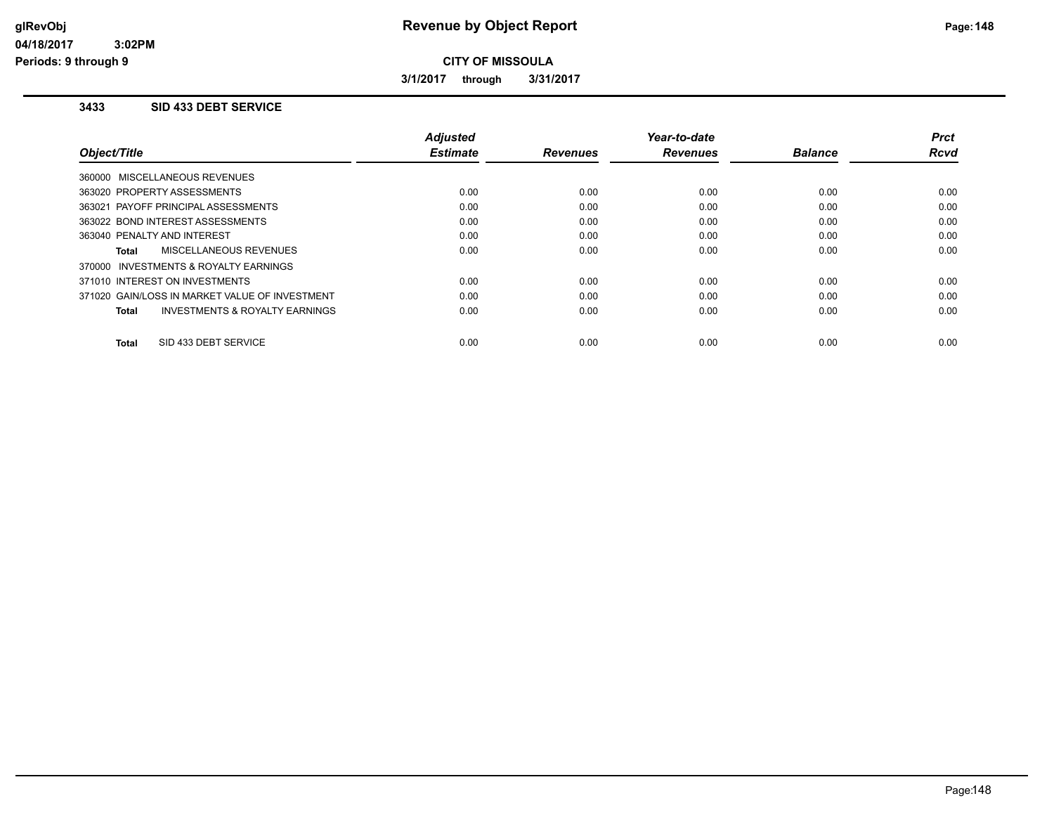**3/1/2017 through 3/31/2017**

### **3433 SID 433 DEBT SERVICE**

| Object/Title                                              | <b>Adjusted</b><br><b>Estimate</b> | <b>Revenues</b> | Year-to-date<br><b>Revenues</b> | <b>Balance</b> | <b>Prct</b><br><b>Rcvd</b> |
|-----------------------------------------------------------|------------------------------------|-----------------|---------------------------------|----------------|----------------------------|
| 360000 MISCELLANEOUS REVENUES                             |                                    |                 |                                 |                |                            |
| 363020 PROPERTY ASSESSMENTS                               | 0.00                               | 0.00            | 0.00                            | 0.00           | 0.00                       |
| 363021 PAYOFF PRINCIPAL ASSESSMENTS                       | 0.00                               | 0.00            | 0.00                            | 0.00           | 0.00                       |
| 363022 BOND INTEREST ASSESSMENTS                          | 0.00                               | 0.00            | 0.00                            | 0.00           | 0.00                       |
| 363040 PENALTY AND INTEREST                               | 0.00                               | 0.00            | 0.00                            | 0.00           | 0.00                       |
| MISCELLANEOUS REVENUES<br><b>Total</b>                    | 0.00                               | 0.00            | 0.00                            | 0.00           | 0.00                       |
| INVESTMENTS & ROYALTY EARNINGS<br>370000                  |                                    |                 |                                 |                |                            |
| 371010 INTEREST ON INVESTMENTS                            | 0.00                               | 0.00            | 0.00                            | 0.00           | 0.00                       |
| 371020 GAIN/LOSS IN MARKET VALUE OF INVESTMENT            | 0.00                               | 0.00            | 0.00                            | 0.00           | 0.00                       |
| <b>INVESTMENTS &amp; ROYALTY EARNINGS</b><br><b>Total</b> | 0.00                               | 0.00            | 0.00                            | 0.00           | 0.00                       |
|                                                           |                                    |                 |                                 |                |                            |
| SID 433 DEBT SERVICE<br><b>Total</b>                      | 0.00                               | 0.00            | 0.00                            | 0.00           | 0.00                       |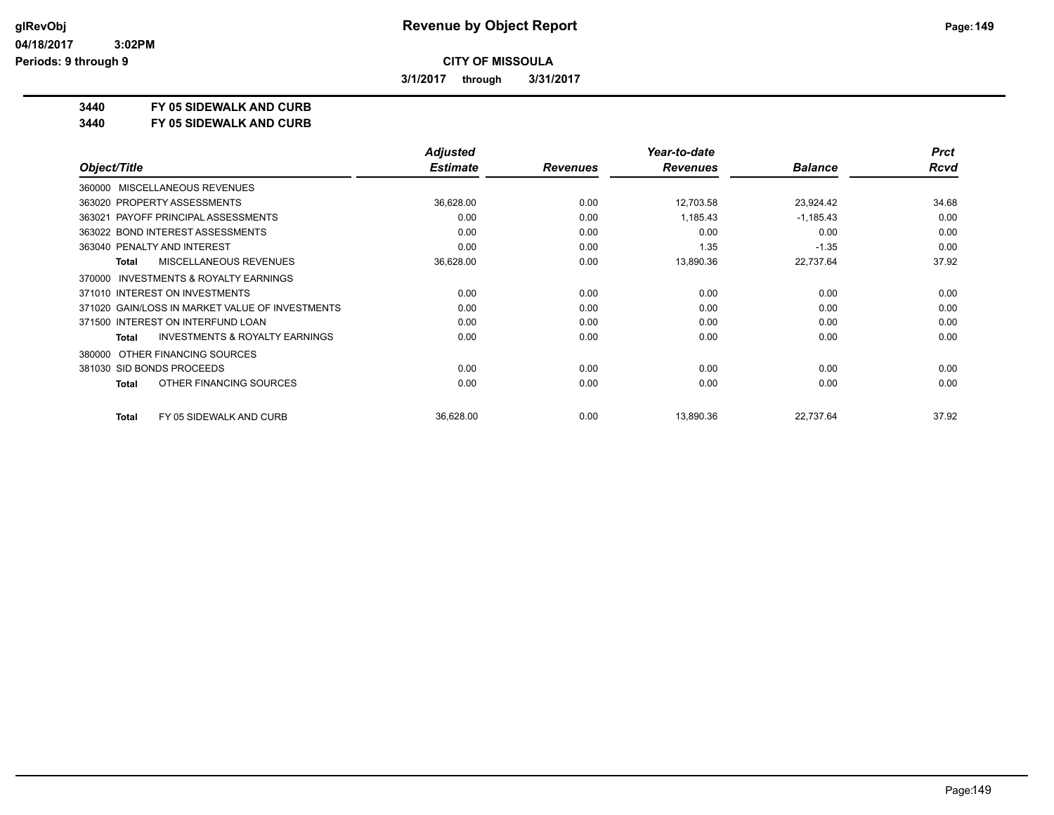**3/1/2017 through 3/31/2017**

**3440 FY 05 SIDEWALK AND CURB**

**3440 FY 05 SIDEWALK AND CURB**

|                                                     | <b>Adjusted</b> |                 | Year-to-date    |                | <b>Prct</b> |
|-----------------------------------------------------|-----------------|-----------------|-----------------|----------------|-------------|
| Object/Title                                        | <b>Estimate</b> | <b>Revenues</b> | <b>Revenues</b> | <b>Balance</b> | Rcvd        |
| 360000 MISCELLANEOUS REVENUES                       |                 |                 |                 |                |             |
| 363020 PROPERTY ASSESSMENTS                         | 36,628.00       | 0.00            | 12.703.58       | 23,924.42      | 34.68       |
| 363021 PAYOFF PRINCIPAL ASSESSMENTS                 | 0.00            | 0.00            | 1,185.43        | $-1,185.43$    | 0.00        |
| 363022 BOND INTEREST ASSESSMENTS                    | 0.00            | 0.00            | 0.00            | 0.00           | 0.00        |
| 363040 PENALTY AND INTEREST                         | 0.00            | 0.00            | 1.35            | $-1.35$        | 0.00        |
| MISCELLANEOUS REVENUES<br>Total                     | 36,628.00       | 0.00            | 13,890.36       | 22,737.64      | 37.92       |
| <b>INVESTMENTS &amp; ROYALTY EARNINGS</b><br>370000 |                 |                 |                 |                |             |
| 371010 INTEREST ON INVESTMENTS                      | 0.00            | 0.00            | 0.00            | 0.00           | 0.00        |
| 371020 GAIN/LOSS IN MARKET VALUE OF INVESTMENTS     | 0.00            | 0.00            | 0.00            | 0.00           | 0.00        |
| 371500 INTEREST ON INTERFUND LOAN                   | 0.00            | 0.00            | 0.00            | 0.00           | 0.00        |
| <b>INVESTMENTS &amp; ROYALTY EARNINGS</b><br>Total  | 0.00            | 0.00            | 0.00            | 0.00           | 0.00        |
| 380000 OTHER FINANCING SOURCES                      |                 |                 |                 |                |             |
| 381030 SID BONDS PROCEEDS                           | 0.00            | 0.00            | 0.00            | 0.00           | 0.00        |
| OTHER FINANCING SOURCES<br>Total                    | 0.00            | 0.00            | 0.00            | 0.00           | 0.00        |
| FY 05 SIDEWALK AND CURB<br><b>Total</b>             | 36,628.00       | 0.00            | 13,890.36       | 22,737.64      | 37.92       |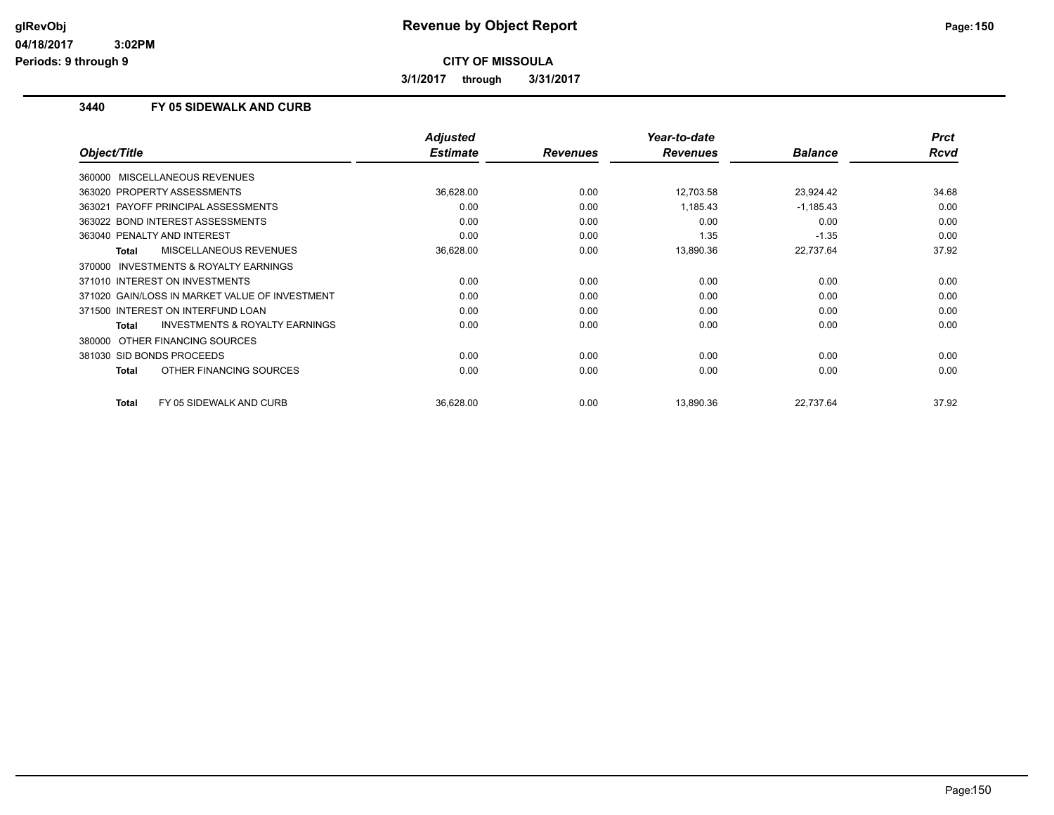**3/1/2017 through 3/31/2017**

## **3440 FY 05 SIDEWALK AND CURB**

|                                                           | <b>Adjusted</b> |                 | Year-to-date    |                | <b>Prct</b> |
|-----------------------------------------------------------|-----------------|-----------------|-----------------|----------------|-------------|
| Object/Title                                              | <b>Estimate</b> | <b>Revenues</b> | <b>Revenues</b> | <b>Balance</b> | <b>Rcvd</b> |
| 360000 MISCELLANEOUS REVENUES                             |                 |                 |                 |                |             |
| 363020 PROPERTY ASSESSMENTS                               | 36,628.00       | 0.00            | 12,703.58       | 23,924.42      | 34.68       |
| 363021 PAYOFF PRINCIPAL ASSESSMENTS                       | 0.00            | 0.00            | 1,185.43        | $-1,185.43$    | 0.00        |
| 363022 BOND INTEREST ASSESSMENTS                          | 0.00            | 0.00            | 0.00            | 0.00           | 0.00        |
| 363040 PENALTY AND INTEREST                               | 0.00            | 0.00            | 1.35            | $-1.35$        | 0.00        |
| MISCELLANEOUS REVENUES<br><b>Total</b>                    | 36,628.00       | 0.00            | 13,890.36       | 22,737.64      | 37.92       |
| <b>INVESTMENTS &amp; ROYALTY EARNINGS</b><br>370000       |                 |                 |                 |                |             |
| 371010 INTEREST ON INVESTMENTS                            | 0.00            | 0.00            | 0.00            | 0.00           | 0.00        |
| 371020 GAIN/LOSS IN MARKET VALUE OF INVESTMENT            | 0.00            | 0.00            | 0.00            | 0.00           | 0.00        |
| 371500 INTEREST ON INTERFUND LOAN                         | 0.00            | 0.00            | 0.00            | 0.00           | 0.00        |
| <b>INVESTMENTS &amp; ROYALTY EARNINGS</b><br><b>Total</b> | 0.00            | 0.00            | 0.00            | 0.00           | 0.00        |
| OTHER FINANCING SOURCES<br>380000                         |                 |                 |                 |                |             |
| 381030 SID BONDS PROCEEDS                                 | 0.00            | 0.00            | 0.00            | 0.00           | 0.00        |
| OTHER FINANCING SOURCES<br><b>Total</b>                   | 0.00            | 0.00            | 0.00            | 0.00           | 0.00        |
| FY 05 SIDEWALK AND CURB<br><b>Total</b>                   | 36,628.00       | 0.00            | 13,890.36       | 22,737.64      | 37.92       |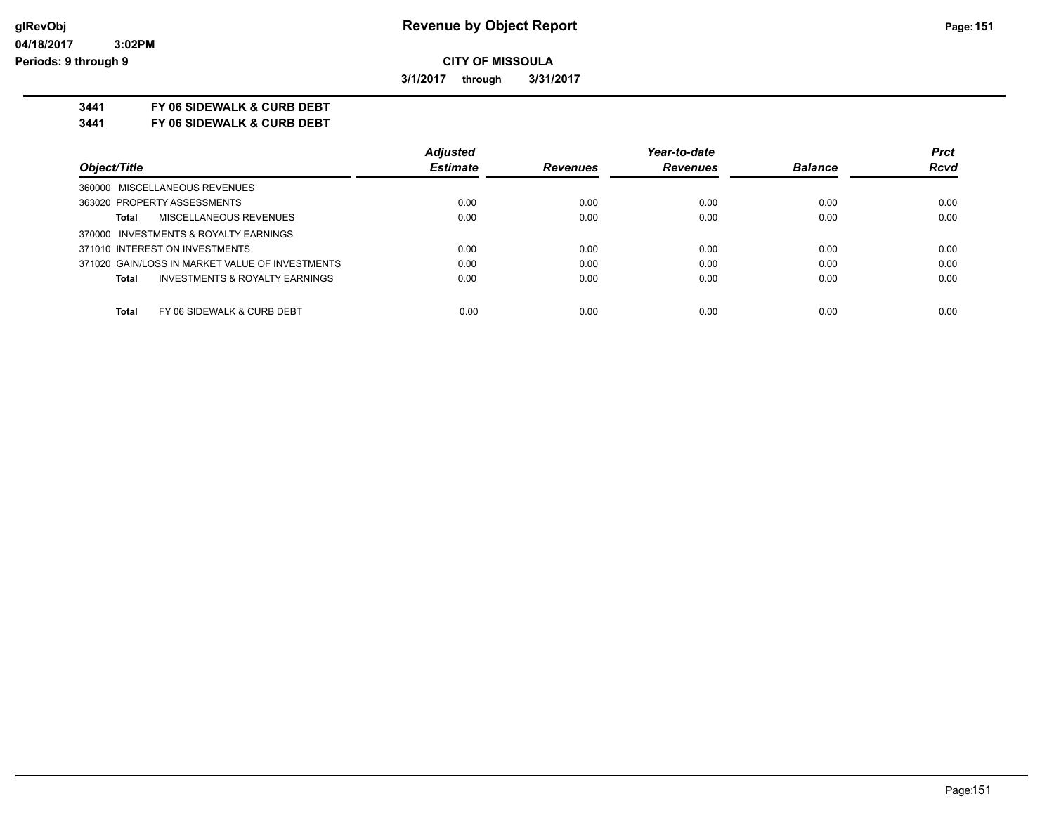**3/1/2017 through 3/31/2017**

**3441 FY 06 SIDEWALK & CURB DEBT**

**3441 FY 06 SIDEWALK & CURB DEBT**

|                                                 | <b>Adjusted</b> |                 | Year-to-date    |                | <b>Prct</b> |
|-------------------------------------------------|-----------------|-----------------|-----------------|----------------|-------------|
| Object/Title                                    | <b>Estimate</b> | <b>Revenues</b> | <b>Revenues</b> | <b>Balance</b> | Rcvd        |
| 360000 MISCELLANEOUS REVENUES                   |                 |                 |                 |                |             |
| 363020 PROPERTY ASSESSMENTS                     | 0.00            | 0.00            | 0.00            | 0.00           | 0.00        |
| MISCELLANEOUS REVENUES<br>Total                 | 0.00            | 0.00            | 0.00            | 0.00           | 0.00        |
| 370000 INVESTMENTS & ROYALTY EARNINGS           |                 |                 |                 |                |             |
| 371010 INTEREST ON INVESTMENTS                  | 0.00            | 0.00            | 0.00            | 0.00           | 0.00        |
| 371020 GAIN/LOSS IN MARKET VALUE OF INVESTMENTS | 0.00            | 0.00            | 0.00            | 0.00           | 0.00        |
| INVESTMENTS & ROYALTY EARNINGS<br><b>Total</b>  | 0.00            | 0.00            | 0.00            | 0.00           | 0.00        |
|                                                 |                 |                 |                 |                |             |
| FY 06 SIDEWALK & CURB DEBT<br><b>Total</b>      | 0.00            | 0.00            | 0.00            | 0.00           | 0.00        |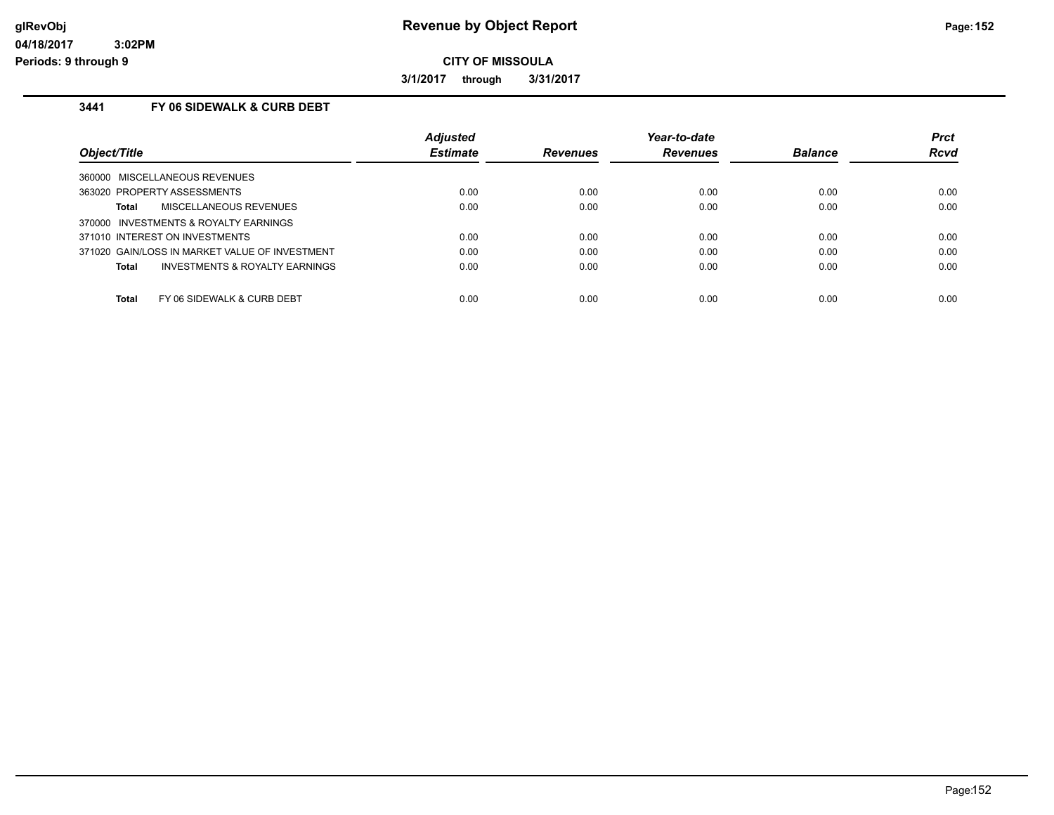**3/1/2017 through 3/31/2017**

## **3441 FY 06 SIDEWALK & CURB DEBT**

|                                                           | <b>Adjusted</b> |                 | Year-to-date    |                | <b>Prct</b> |
|-----------------------------------------------------------|-----------------|-----------------|-----------------|----------------|-------------|
| Object/Title                                              | <b>Estimate</b> | <b>Revenues</b> | <b>Revenues</b> | <b>Balance</b> | <b>Rcvd</b> |
| MISCELLANEOUS REVENUES<br>360000                          |                 |                 |                 |                |             |
| 363020 PROPERTY ASSESSMENTS                               | 0.00            | 0.00            | 0.00            | 0.00           | 0.00        |
| <b>MISCELLANEOUS REVENUES</b><br>Total                    | 0.00            | 0.00            | 0.00            | 0.00           | 0.00        |
| 370000 INVESTMENTS & ROYALTY EARNINGS                     |                 |                 |                 |                |             |
| 371010 INTEREST ON INVESTMENTS                            | 0.00            | 0.00            | 0.00            | 0.00           | 0.00        |
| 371020 GAIN/LOSS IN MARKET VALUE OF INVESTMENT            | 0.00            | 0.00            | 0.00            | 0.00           | 0.00        |
| <b>INVESTMENTS &amp; ROYALTY EARNINGS</b><br><b>Total</b> | 0.00            | 0.00            | 0.00            | 0.00           | 0.00        |
| <b>Total</b><br>FY 06 SIDEWALK & CURB DEBT                | 0.00            | 0.00            | 0.00            | 0.00           | 0.00        |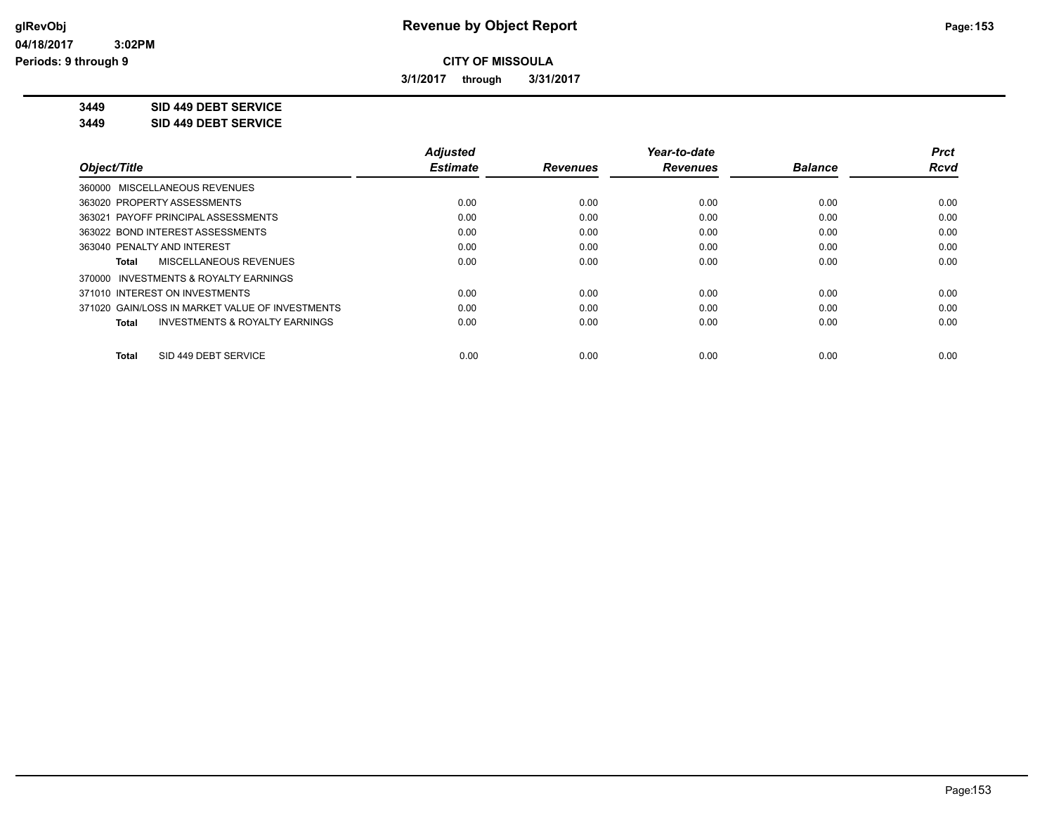**3/1/2017 through 3/31/2017**

**3449 SID 449 DEBT SERVICE**

**3449 SID 449 DEBT SERVICE**

|                                                    | <b>Adjusted</b> |                 | Year-to-date    |                | <b>Prct</b> |
|----------------------------------------------------|-----------------|-----------------|-----------------|----------------|-------------|
| Object/Title                                       | <b>Estimate</b> | <b>Revenues</b> | <b>Revenues</b> | <b>Balance</b> | Rcvd        |
| 360000 MISCELLANEOUS REVENUES                      |                 |                 |                 |                |             |
| 363020 PROPERTY ASSESSMENTS                        | 0.00            | 0.00            | 0.00            | 0.00           | 0.00        |
| 363021 PAYOFF PRINCIPAL ASSESSMENTS                | 0.00            | 0.00            | 0.00            | 0.00           | 0.00        |
| 363022 BOND INTEREST ASSESSMENTS                   | 0.00            | 0.00            | 0.00            | 0.00           | 0.00        |
| 363040 PENALTY AND INTEREST                        | 0.00            | 0.00            | 0.00            | 0.00           | 0.00        |
| MISCELLANEOUS REVENUES<br>Total                    | 0.00            | 0.00            | 0.00            | 0.00           | 0.00        |
| 370000 INVESTMENTS & ROYALTY EARNINGS              |                 |                 |                 |                |             |
| 371010 INTEREST ON INVESTMENTS                     | 0.00            | 0.00            | 0.00            | 0.00           | 0.00        |
| 371020 GAIN/LOSS IN MARKET VALUE OF INVESTMENTS    | 0.00            | 0.00            | 0.00            | 0.00           | 0.00        |
| <b>INVESTMENTS &amp; ROYALTY EARNINGS</b><br>Total | 0.00            | 0.00            | 0.00            | 0.00           | 0.00        |
| SID 449 DEBT SERVICE<br>Total                      | 0.00            | 0.00            | 0.00            | 0.00           | 0.00        |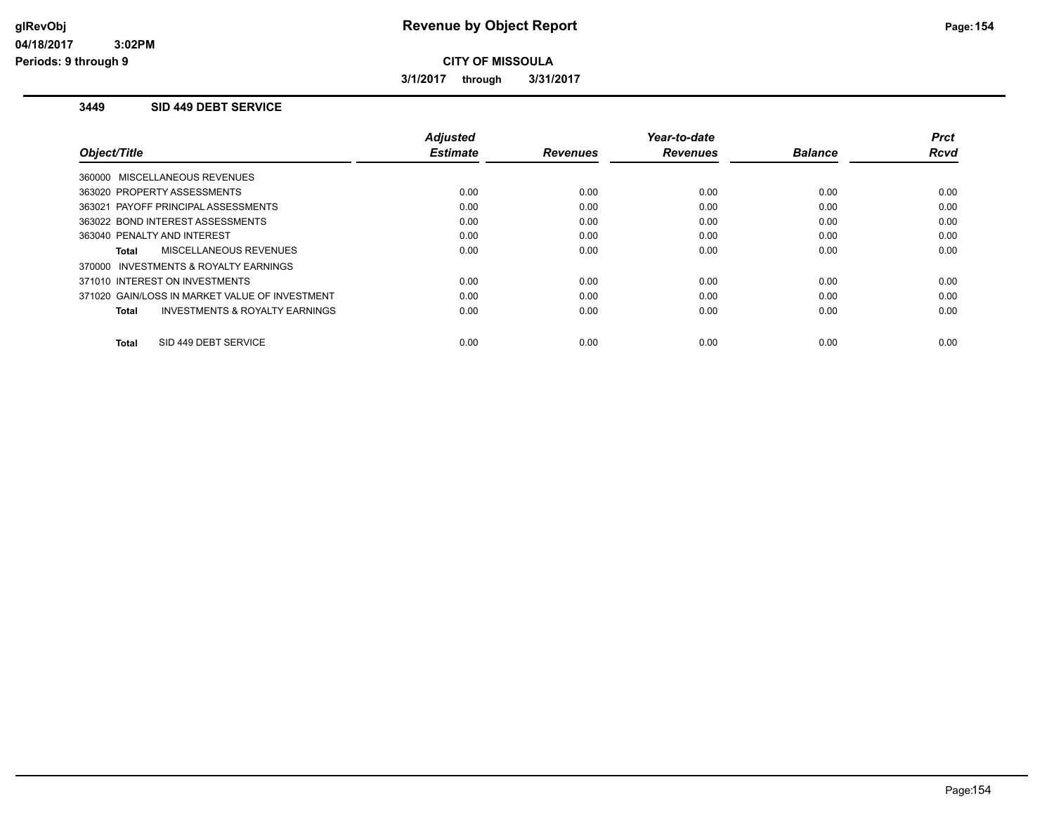**3/1/2017 through 3/31/2017**

### **3449 SID 449 DEBT SERVICE**

| Object/Title                                              | <b>Adjusted</b><br><b>Estimate</b> | <b>Revenues</b> | Year-to-date<br><b>Revenues</b> | <b>Balance</b> | <b>Prct</b><br><b>Rcvd</b> |
|-----------------------------------------------------------|------------------------------------|-----------------|---------------------------------|----------------|----------------------------|
| 360000 MISCELLANEOUS REVENUES                             |                                    |                 |                                 |                |                            |
| 363020 PROPERTY ASSESSMENTS                               | 0.00                               | 0.00            | 0.00                            | 0.00           | 0.00                       |
| 363021 PAYOFF PRINCIPAL ASSESSMENTS                       | 0.00                               | 0.00            | 0.00                            | 0.00           | 0.00                       |
| 363022 BOND INTEREST ASSESSMENTS                          | 0.00                               | 0.00            | 0.00                            | 0.00           | 0.00                       |
| 363040 PENALTY AND INTEREST                               | 0.00                               | 0.00            | 0.00                            | 0.00           | 0.00                       |
| MISCELLANEOUS REVENUES<br><b>Total</b>                    | 0.00                               | 0.00            | 0.00                            | 0.00           | 0.00                       |
| INVESTMENTS & ROYALTY EARNINGS<br>370000                  |                                    |                 |                                 |                |                            |
| 371010 INTEREST ON INVESTMENTS                            | 0.00                               | 0.00            | 0.00                            | 0.00           | 0.00                       |
| 371020 GAIN/LOSS IN MARKET VALUE OF INVESTMENT            | 0.00                               | 0.00            | 0.00                            | 0.00           | 0.00                       |
| <b>INVESTMENTS &amp; ROYALTY EARNINGS</b><br><b>Total</b> | 0.00                               | 0.00            | 0.00                            | 0.00           | 0.00                       |
|                                                           |                                    |                 |                                 |                |                            |
| SID 449 DEBT SERVICE<br><b>Total</b>                      | 0.00                               | 0.00            | 0.00                            | 0.00           | 0.00                       |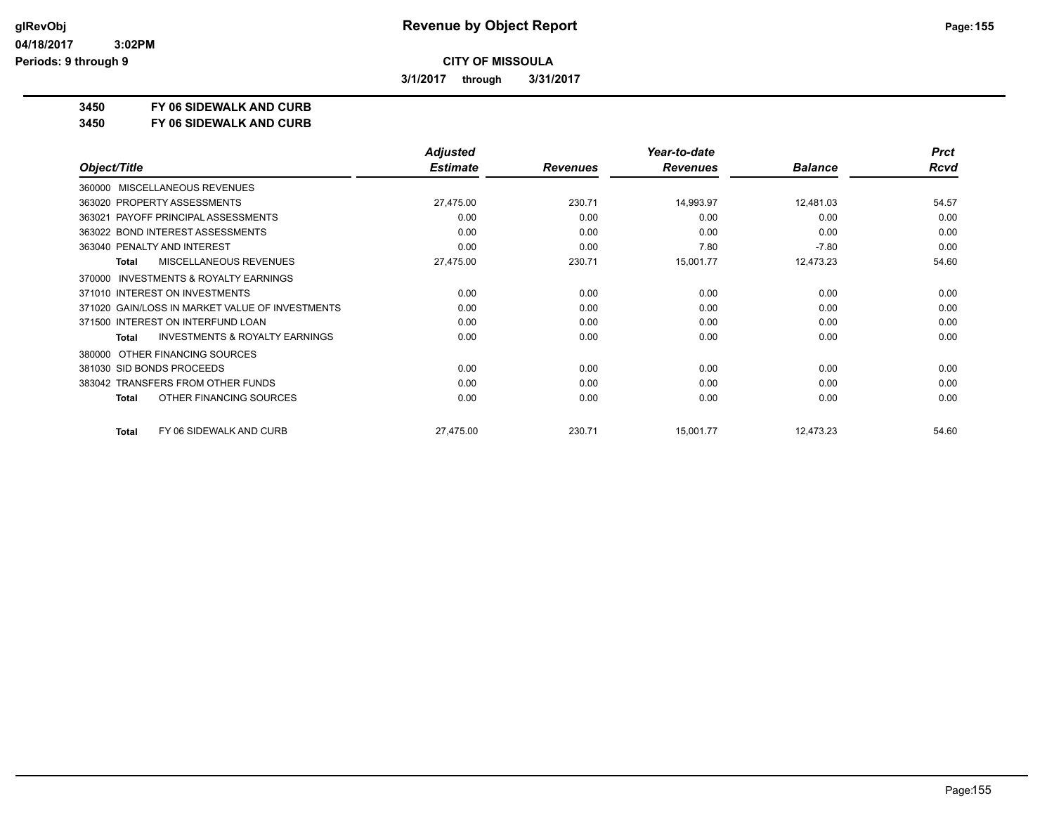**3/1/2017 through 3/31/2017**

**3450 FY 06 SIDEWALK AND CURB**

**3450 FY 06 SIDEWALK AND CURB**

|                                                     | <b>Adjusted</b> |                 | Year-to-date    |                | <b>Prct</b> |
|-----------------------------------------------------|-----------------|-----------------|-----------------|----------------|-------------|
| Object/Title                                        | <b>Estimate</b> | <b>Revenues</b> | <b>Revenues</b> | <b>Balance</b> | <b>Rcvd</b> |
| 360000 MISCELLANEOUS REVENUES                       |                 |                 |                 |                |             |
| 363020 PROPERTY ASSESSMENTS                         | 27,475.00       | 230.71          | 14,993.97       | 12,481.03      | 54.57       |
| 363021 PAYOFF PRINCIPAL ASSESSMENTS                 | 0.00            | 0.00            | 0.00            | 0.00           | 0.00        |
| 363022 BOND INTEREST ASSESSMENTS                    | 0.00            | 0.00            | 0.00            | 0.00           | 0.00        |
| 363040 PENALTY AND INTEREST                         | 0.00            | 0.00            | 7.80            | $-7.80$        | 0.00        |
| <b>MISCELLANEOUS REVENUES</b><br>Total              | 27,475.00       | 230.71          | 15,001.77       | 12,473.23      | 54.60       |
| <b>INVESTMENTS &amp; ROYALTY EARNINGS</b><br>370000 |                 |                 |                 |                |             |
| 371010 INTEREST ON INVESTMENTS                      | 0.00            | 0.00            | 0.00            | 0.00           | 0.00        |
| 371020 GAIN/LOSS IN MARKET VALUE OF INVESTMENTS     | 0.00            | 0.00            | 0.00            | 0.00           | 0.00        |
| 371500 INTEREST ON INTERFUND LOAN                   | 0.00            | 0.00            | 0.00            | 0.00           | 0.00        |
| <b>INVESTMENTS &amp; ROYALTY EARNINGS</b><br>Total  | 0.00            | 0.00            | 0.00            | 0.00           | 0.00        |
| OTHER FINANCING SOURCES<br>380000                   |                 |                 |                 |                |             |
| 381030 SID BONDS PROCEEDS                           | 0.00            | 0.00            | 0.00            | 0.00           | 0.00        |
| 383042 TRANSFERS FROM OTHER FUNDS                   | 0.00            | 0.00            | 0.00            | 0.00           | 0.00        |
| OTHER FINANCING SOURCES<br><b>Total</b>             | 0.00            | 0.00            | 0.00            | 0.00           | 0.00        |
| FY 06 SIDEWALK AND CURB<br><b>Total</b>             | 27,475.00       | 230.71          | 15,001.77       | 12,473.23      | 54.60       |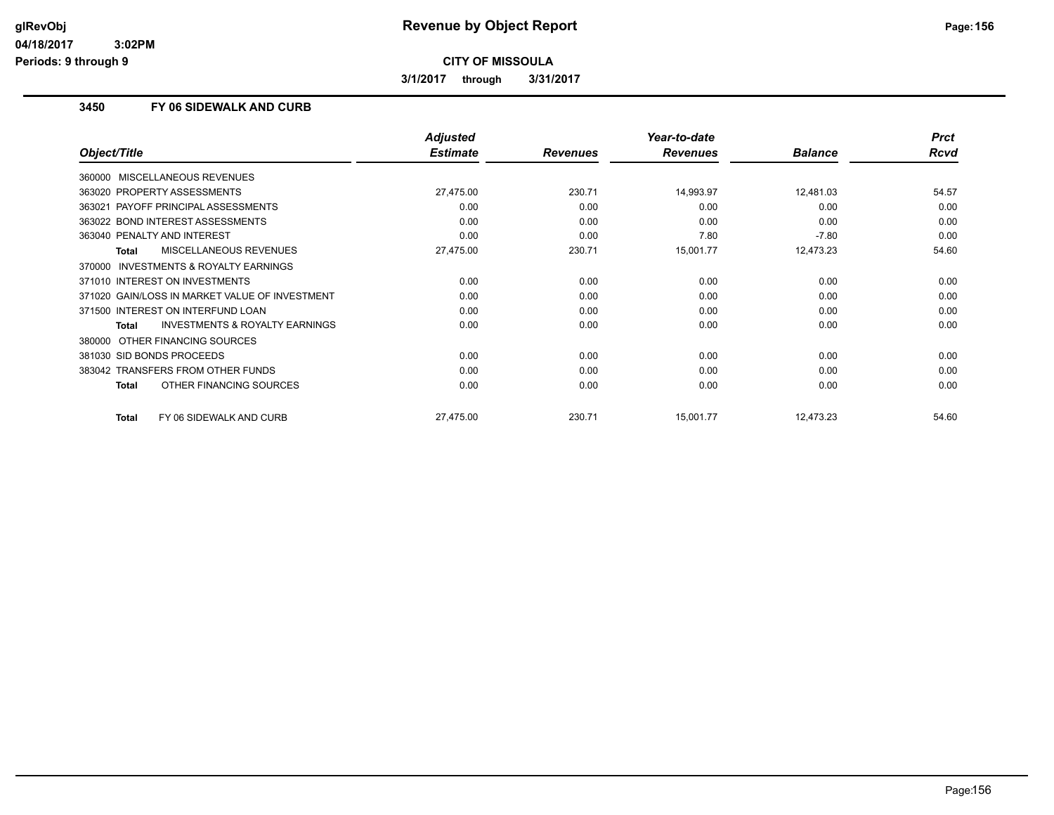**3/1/2017 through 3/31/2017**

## **3450 FY 06 SIDEWALK AND CURB**

|                                                     | <b>Adjusted</b> |                 | Year-to-date    |                | <b>Prct</b> |
|-----------------------------------------------------|-----------------|-----------------|-----------------|----------------|-------------|
| Object/Title                                        | <b>Estimate</b> | <b>Revenues</b> | <b>Revenues</b> | <b>Balance</b> | <b>Rcvd</b> |
| 360000 MISCELLANEOUS REVENUES                       |                 |                 |                 |                |             |
| 363020 PROPERTY ASSESSMENTS                         | 27,475.00       | 230.71          | 14,993.97       | 12,481.03      | 54.57       |
| 363021 PAYOFF PRINCIPAL ASSESSMENTS                 | 0.00            | 0.00            | 0.00            | 0.00           | 0.00        |
| 363022 BOND INTEREST ASSESSMENTS                    | 0.00            | 0.00            | 0.00            | 0.00           | 0.00        |
| 363040 PENALTY AND INTEREST                         | 0.00            | 0.00            | 7.80            | $-7.80$        | 0.00        |
| MISCELLANEOUS REVENUES<br>Total                     | 27,475.00       | 230.71          | 15,001.77       | 12,473.23      | 54.60       |
| <b>INVESTMENTS &amp; ROYALTY EARNINGS</b><br>370000 |                 |                 |                 |                |             |
| 371010 INTEREST ON INVESTMENTS                      | 0.00            | 0.00            | 0.00            | 0.00           | 0.00        |
| 371020 GAIN/LOSS IN MARKET VALUE OF INVESTMENT      | 0.00            | 0.00            | 0.00            | 0.00           | 0.00        |
| 371500 INTEREST ON INTERFUND LOAN                   | 0.00            | 0.00            | 0.00            | 0.00           | 0.00        |
| <b>INVESTMENTS &amp; ROYALTY EARNINGS</b><br>Total  | 0.00            | 0.00            | 0.00            | 0.00           | 0.00        |
| 380000 OTHER FINANCING SOURCES                      |                 |                 |                 |                |             |
| 381030 SID BONDS PROCEEDS                           | 0.00            | 0.00            | 0.00            | 0.00           | 0.00        |
| 383042 TRANSFERS FROM OTHER FUNDS                   | 0.00            | 0.00            | 0.00            | 0.00           | 0.00        |
| OTHER FINANCING SOURCES<br>Total                    | 0.00            | 0.00            | 0.00            | 0.00           | 0.00        |
| FY 06 SIDEWALK AND CURB<br><b>Total</b>             | 27,475.00       | 230.71          | 15,001.77       | 12,473.23      | 54.60       |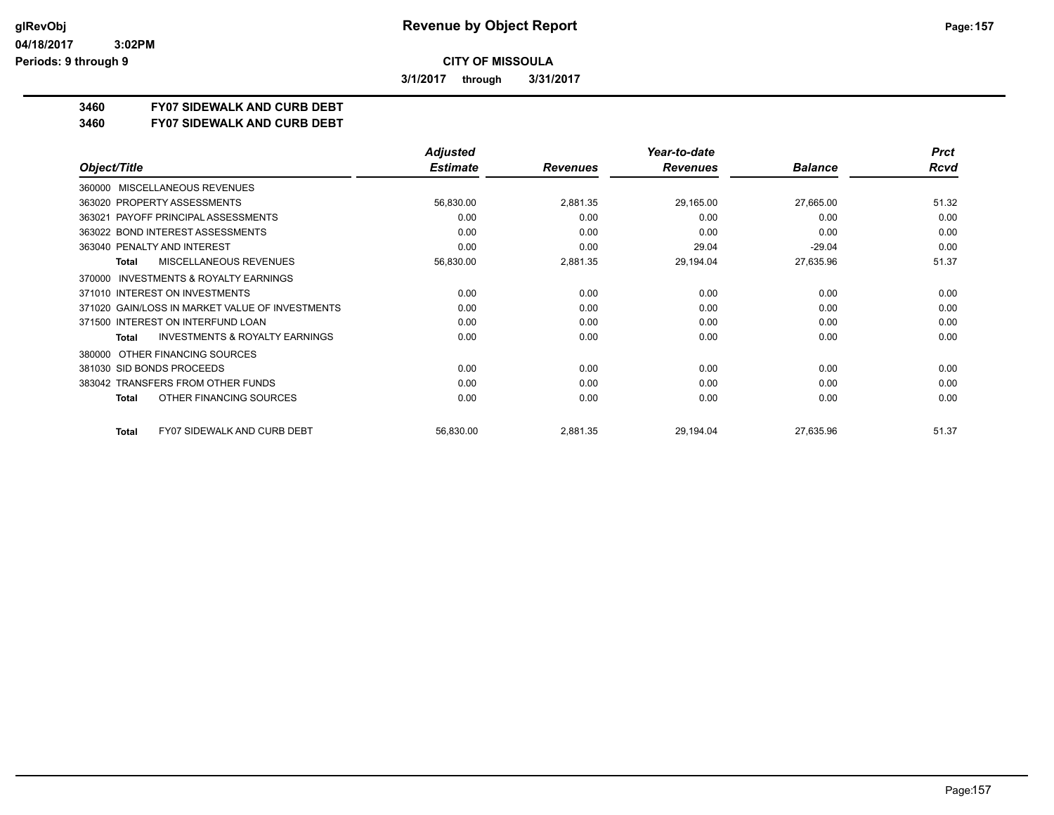**3/1/2017 through 3/31/2017**

**3460 FY07 SIDEWALK AND CURB DEBT**

**3460 FY07 SIDEWALK AND CURB DEBT**

|                                                     | <b>Adjusted</b> |                 | Year-to-date    |                | <b>Prct</b> |
|-----------------------------------------------------|-----------------|-----------------|-----------------|----------------|-------------|
| Object/Title                                        | <b>Estimate</b> | <b>Revenues</b> | <b>Revenues</b> | <b>Balance</b> | <b>Rcvd</b> |
| 360000 MISCELLANEOUS REVENUES                       |                 |                 |                 |                |             |
| 363020 PROPERTY ASSESSMENTS                         | 56,830.00       | 2,881.35        | 29,165.00       | 27,665.00      | 51.32       |
| PAYOFF PRINCIPAL ASSESSMENTS<br>363021              | 0.00            | 0.00            | 0.00            | 0.00           | 0.00        |
| 363022 BOND INTEREST ASSESSMENTS                    | 0.00            | 0.00            | 0.00            | 0.00           | 0.00        |
| 363040 PENALTY AND INTEREST                         | 0.00            | 0.00            | 29.04           | $-29.04$       | 0.00        |
| <b>MISCELLANEOUS REVENUES</b><br>Total              | 56,830.00       | 2,881.35        | 29,194.04       | 27,635.96      | 51.37       |
| <b>INVESTMENTS &amp; ROYALTY EARNINGS</b><br>370000 |                 |                 |                 |                |             |
| 371010 INTEREST ON INVESTMENTS                      | 0.00            | 0.00            | 0.00            | 0.00           | 0.00        |
| 371020 GAIN/LOSS IN MARKET VALUE OF INVESTMENTS     | 0.00            | 0.00            | 0.00            | 0.00           | 0.00        |
| 371500 INTEREST ON INTERFUND LOAN                   | 0.00            | 0.00            | 0.00            | 0.00           | 0.00        |
| <b>INVESTMENTS &amp; ROYALTY EARNINGS</b><br>Total  | 0.00            | 0.00            | 0.00            | 0.00           | 0.00        |
| 380000 OTHER FINANCING SOURCES                      |                 |                 |                 |                |             |
| 381030 SID BONDS PROCEEDS                           | 0.00            | 0.00            | 0.00            | 0.00           | 0.00        |
| 383042 TRANSFERS FROM OTHER FUNDS                   | 0.00            | 0.00            | 0.00            | 0.00           | 0.00        |
| OTHER FINANCING SOURCES<br>Total                    | 0.00            | 0.00            | 0.00            | 0.00           | 0.00        |
| <b>FY07 SIDEWALK AND CURB DEBT</b><br><b>Total</b>  | 56,830.00       | 2,881.35        | 29,194.04       | 27,635.96      | 51.37       |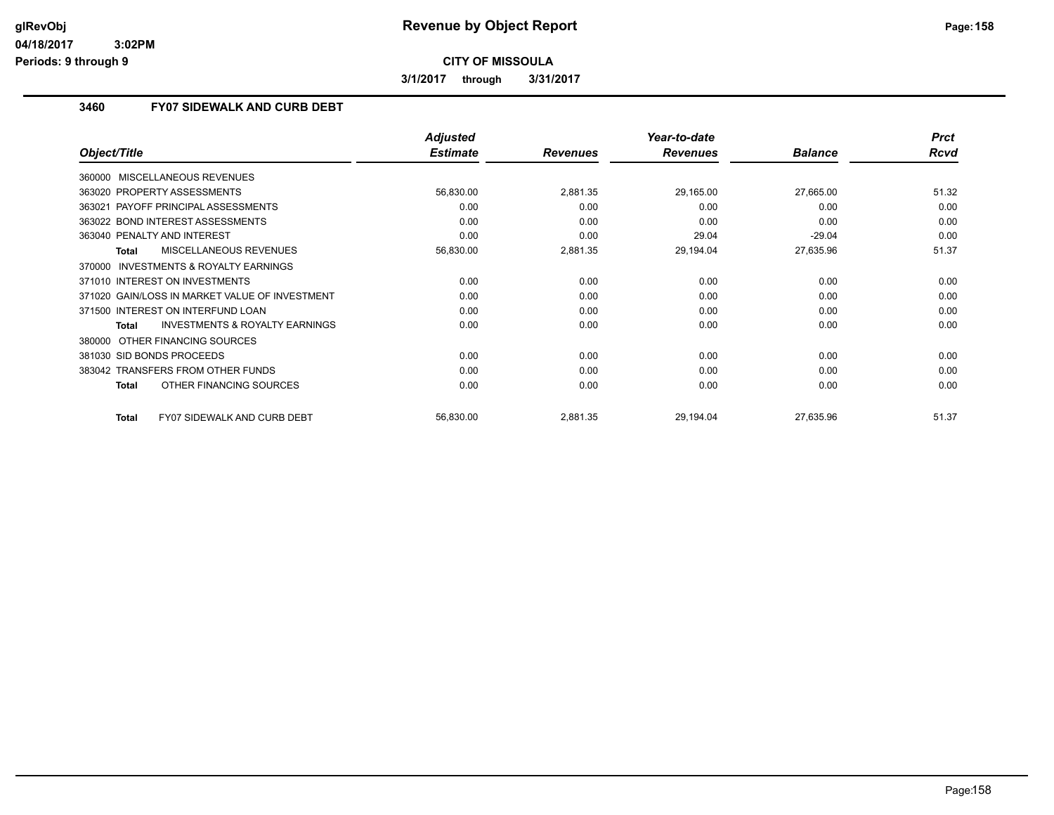**3/1/2017 through 3/31/2017**

## **3460 FY07 SIDEWALK AND CURB DEBT**

|                                                           | <b>Adjusted</b> |                 | Year-to-date    |                | <b>Prct</b> |
|-----------------------------------------------------------|-----------------|-----------------|-----------------|----------------|-------------|
| Object/Title                                              | <b>Estimate</b> | <b>Revenues</b> | <b>Revenues</b> | <b>Balance</b> | Rcvd        |
| 360000 MISCELLANEOUS REVENUES                             |                 |                 |                 |                |             |
| 363020 PROPERTY ASSESSMENTS                               | 56,830.00       | 2,881.35        | 29,165.00       | 27,665.00      | 51.32       |
| 363021 PAYOFF PRINCIPAL ASSESSMENTS                       | 0.00            | 0.00            | 0.00            | 0.00           | 0.00        |
| 363022 BOND INTEREST ASSESSMENTS                          | 0.00            | 0.00            | 0.00            | 0.00           | 0.00        |
| 363040 PENALTY AND INTEREST                               | 0.00            | 0.00            | 29.04           | $-29.04$       | 0.00        |
| <b>MISCELLANEOUS REVENUES</b><br>Total                    | 56,830.00       | 2,881.35        | 29,194.04       | 27,635.96      | 51.37       |
| <b>INVESTMENTS &amp; ROYALTY EARNINGS</b><br>370000       |                 |                 |                 |                |             |
| 371010 INTEREST ON INVESTMENTS                            | 0.00            | 0.00            | 0.00            | 0.00           | 0.00        |
| 371020 GAIN/LOSS IN MARKET VALUE OF INVESTMENT            | 0.00            | 0.00            | 0.00            | 0.00           | 0.00        |
| 371500 INTEREST ON INTERFUND LOAN                         | 0.00            | 0.00            | 0.00            | 0.00           | 0.00        |
| <b>INVESTMENTS &amp; ROYALTY EARNINGS</b><br><b>Total</b> | 0.00            | 0.00            | 0.00            | 0.00           | 0.00        |
| 380000 OTHER FINANCING SOURCES                            |                 |                 |                 |                |             |
| 381030 SID BONDS PROCEEDS                                 | 0.00            | 0.00            | 0.00            | 0.00           | 0.00        |
| 383042 TRANSFERS FROM OTHER FUNDS                         | 0.00            | 0.00            | 0.00            | 0.00           | 0.00        |
| OTHER FINANCING SOURCES<br>Total                          | 0.00            | 0.00            | 0.00            | 0.00           | 0.00        |
| <b>FY07 SIDEWALK AND CURB DEBT</b><br>Total               | 56,830.00       | 2,881.35        | 29,194.04       | 27,635.96      | 51.37       |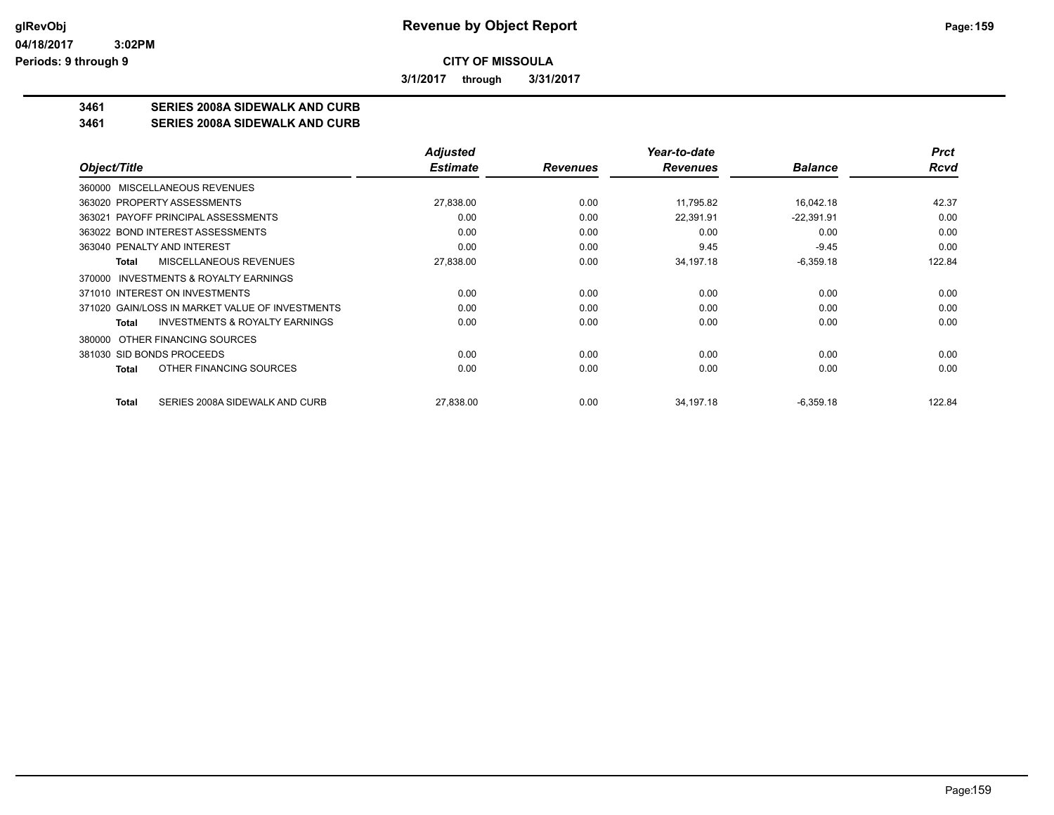**3/1/2017 through 3/31/2017**

## **3461 SERIES 2008A SIDEWALK AND CURB**

**3461 SERIES 2008A SIDEWALK AND CURB**

|                                                    | <b>Adjusted</b> |                 | Year-to-date    |                | <b>Prct</b> |
|----------------------------------------------------|-----------------|-----------------|-----------------|----------------|-------------|
| Object/Title                                       | <b>Estimate</b> | <b>Revenues</b> | <b>Revenues</b> | <b>Balance</b> | <b>Rcvd</b> |
| 360000 MISCELLANEOUS REVENUES                      |                 |                 |                 |                |             |
| 363020 PROPERTY ASSESSMENTS                        | 27,838.00       | 0.00            | 11,795.82       | 16,042.18      | 42.37       |
| PAYOFF PRINCIPAL ASSESSMENTS<br>363021             | 0.00            | 0.00            | 22,391.91       | $-22,391.91$   | 0.00        |
| 363022 BOND INTEREST ASSESSMENTS                   | 0.00            | 0.00            | 0.00            | 0.00           | 0.00        |
| 363040 PENALTY AND INTEREST                        | 0.00            | 0.00            | 9.45            | $-9.45$        | 0.00        |
| <b>MISCELLANEOUS REVENUES</b><br>Total             | 27,838.00       | 0.00            | 34,197.18       | $-6,359.18$    | 122.84      |
| 370000 INVESTMENTS & ROYALTY EARNINGS              |                 |                 |                 |                |             |
| 371010 INTEREST ON INVESTMENTS                     | 0.00            | 0.00            | 0.00            | 0.00           | 0.00        |
| 371020 GAIN/LOSS IN MARKET VALUE OF INVESTMENTS    | 0.00            | 0.00            | 0.00            | 0.00           | 0.00        |
| <b>INVESTMENTS &amp; ROYALTY EARNINGS</b><br>Total | 0.00            | 0.00            | 0.00            | 0.00           | 0.00        |
| OTHER FINANCING SOURCES<br>380000                  |                 |                 |                 |                |             |
| 381030 SID BONDS PROCEEDS                          | 0.00            | 0.00            | 0.00            | 0.00           | 0.00        |
| OTHER FINANCING SOURCES<br><b>Total</b>            | 0.00            | 0.00            | 0.00            | 0.00           | 0.00        |
| SERIES 2008A SIDEWALK AND CURB<br><b>Total</b>     | 27,838.00       | 0.00            | 34,197.18       | $-6,359.18$    | 122.84      |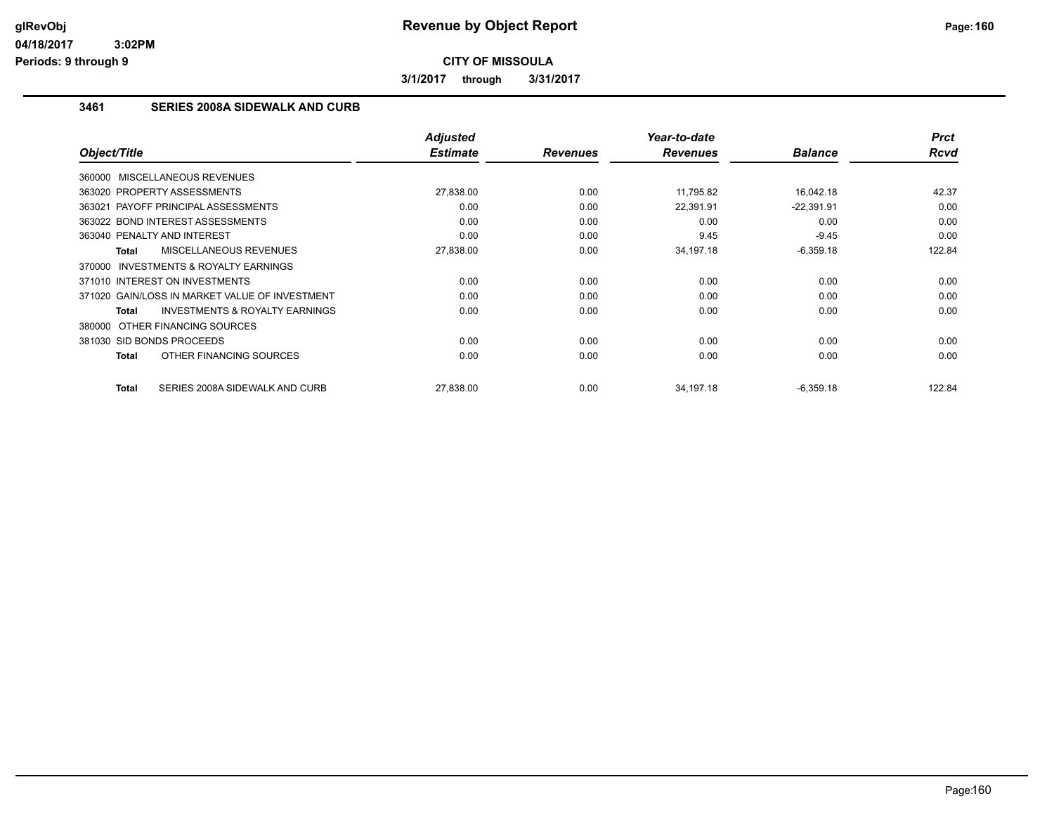**3/1/2017 through 3/31/2017**

## **3461 SERIES 2008A SIDEWALK AND CURB**

|                                                           | <b>Adjusted</b> |                 | Year-to-date    |                | <b>Prct</b> |
|-----------------------------------------------------------|-----------------|-----------------|-----------------|----------------|-------------|
| Object/Title                                              | <b>Estimate</b> | <b>Revenues</b> | <b>Revenues</b> | <b>Balance</b> | Rcvd        |
| 360000 MISCELLANEOUS REVENUES                             |                 |                 |                 |                |             |
| 363020 PROPERTY ASSESSMENTS                               | 27,838.00       | 0.00            | 11,795.82       | 16.042.18      | 42.37       |
| 363021 PAYOFF PRINCIPAL ASSESSMENTS                       | 0.00            | 0.00            | 22,391.91       | $-22,391.91$   | 0.00        |
| 363022 BOND INTEREST ASSESSMENTS                          | 0.00            | 0.00            | 0.00            | 0.00           | 0.00        |
| 363040 PENALTY AND INTEREST                               | 0.00            | 0.00            | 9.45            | $-9.45$        | 0.00        |
| MISCELLANEOUS REVENUES<br><b>Total</b>                    | 27,838.00       | 0.00            | 34,197.18       | $-6,359.18$    | 122.84      |
| <b>INVESTMENTS &amp; ROYALTY EARNINGS</b><br>370000       |                 |                 |                 |                |             |
| 371010 INTEREST ON INVESTMENTS                            | 0.00            | 0.00            | 0.00            | 0.00           | 0.00        |
| 371020 GAIN/LOSS IN MARKET VALUE OF INVESTMENT            | 0.00            | 0.00            | 0.00            | 0.00           | 0.00        |
| <b>INVESTMENTS &amp; ROYALTY EARNINGS</b><br><b>Total</b> | 0.00            | 0.00            | 0.00            | 0.00           | 0.00        |
| 380000 OTHER FINANCING SOURCES                            |                 |                 |                 |                |             |
| 381030 SID BONDS PROCEEDS                                 | 0.00            | 0.00            | 0.00            | 0.00           | 0.00        |
| OTHER FINANCING SOURCES<br><b>Total</b>                   | 0.00            | 0.00            | 0.00            | 0.00           | 0.00        |
| SERIES 2008A SIDEWALK AND CURB<br><b>Total</b>            | 27,838.00       | 0.00            | 34,197.18       | $-6,359.18$    | 122.84      |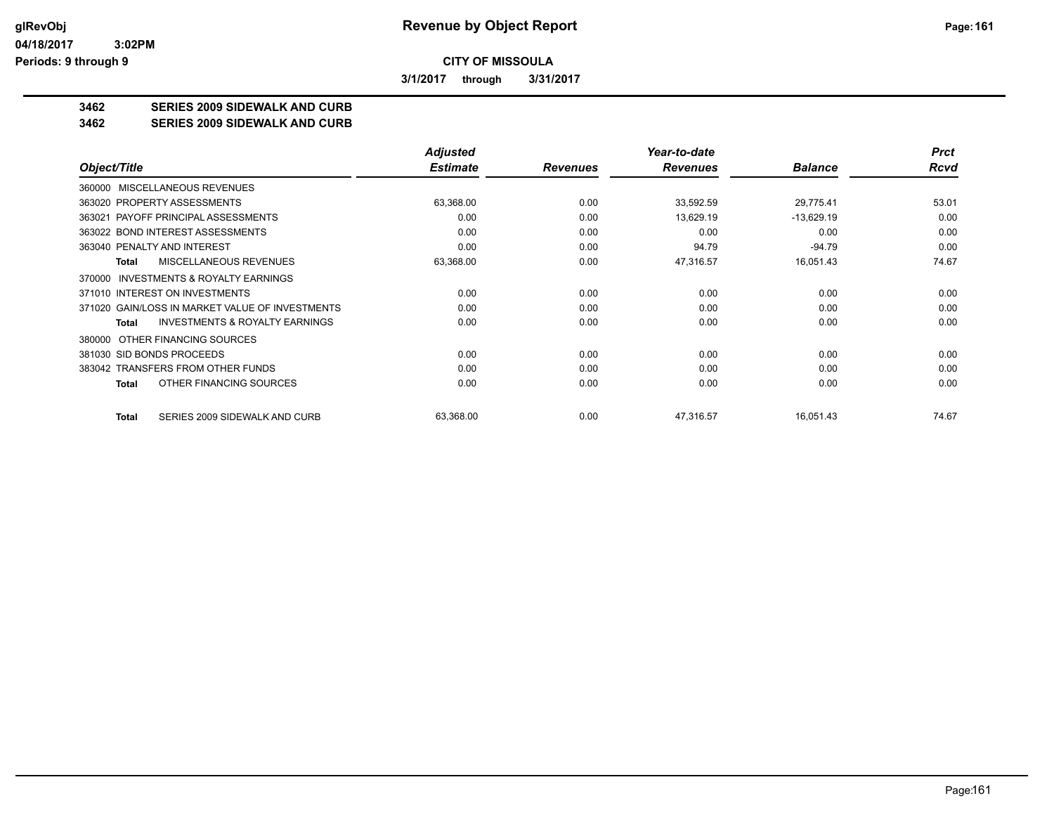**3/1/2017 through 3/31/2017**

## **3462 SERIES 2009 SIDEWALK AND CURB**

**3462 SERIES 2009 SIDEWALK AND CURB**

|                                                    | <b>Adjusted</b> |                 | Year-to-date    |                | <b>Prct</b> |
|----------------------------------------------------|-----------------|-----------------|-----------------|----------------|-------------|
| Object/Title                                       | <b>Estimate</b> | <b>Revenues</b> | <b>Revenues</b> | <b>Balance</b> | Rcvd        |
| MISCELLANEOUS REVENUES<br>360000                   |                 |                 |                 |                |             |
| 363020 PROPERTY ASSESSMENTS                        | 63,368.00       | 0.00            | 33,592.59       | 29,775.41      | 53.01       |
| PAYOFF PRINCIPAL ASSESSMENTS<br>363021             | 0.00            | 0.00            | 13,629.19       | $-13,629.19$   | 0.00        |
| 363022 BOND INTEREST ASSESSMENTS                   | 0.00            | 0.00            | 0.00            | 0.00           | 0.00        |
| 363040 PENALTY AND INTEREST                        | 0.00            | 0.00            | 94.79           | $-94.79$       | 0.00        |
| <b>MISCELLANEOUS REVENUES</b><br><b>Total</b>      | 63,368.00       | 0.00            | 47,316.57       | 16,051.43      | 74.67       |
| INVESTMENTS & ROYALTY EARNINGS<br>370000           |                 |                 |                 |                |             |
| 371010 INTEREST ON INVESTMENTS                     | 0.00            | 0.00            | 0.00            | 0.00           | 0.00        |
| 371020 GAIN/LOSS IN MARKET VALUE OF INVESTMENTS    | 0.00            | 0.00            | 0.00            | 0.00           | 0.00        |
| <b>INVESTMENTS &amp; ROYALTY EARNINGS</b><br>Total | 0.00            | 0.00            | 0.00            | 0.00           | 0.00        |
| OTHER FINANCING SOURCES<br>380000                  |                 |                 |                 |                |             |
| 381030 SID BONDS PROCEEDS                          | 0.00            | 0.00            | 0.00            | 0.00           | 0.00        |
| 383042 TRANSFERS FROM OTHER FUNDS                  | 0.00            | 0.00            | 0.00            | 0.00           | 0.00        |
| OTHER FINANCING SOURCES<br><b>Total</b>            | 0.00            | 0.00            | 0.00            | 0.00           | 0.00        |
| SERIES 2009 SIDEWALK AND CURB<br><b>Total</b>      | 63,368.00       | 0.00            | 47,316.57       | 16,051.43      | 74.67       |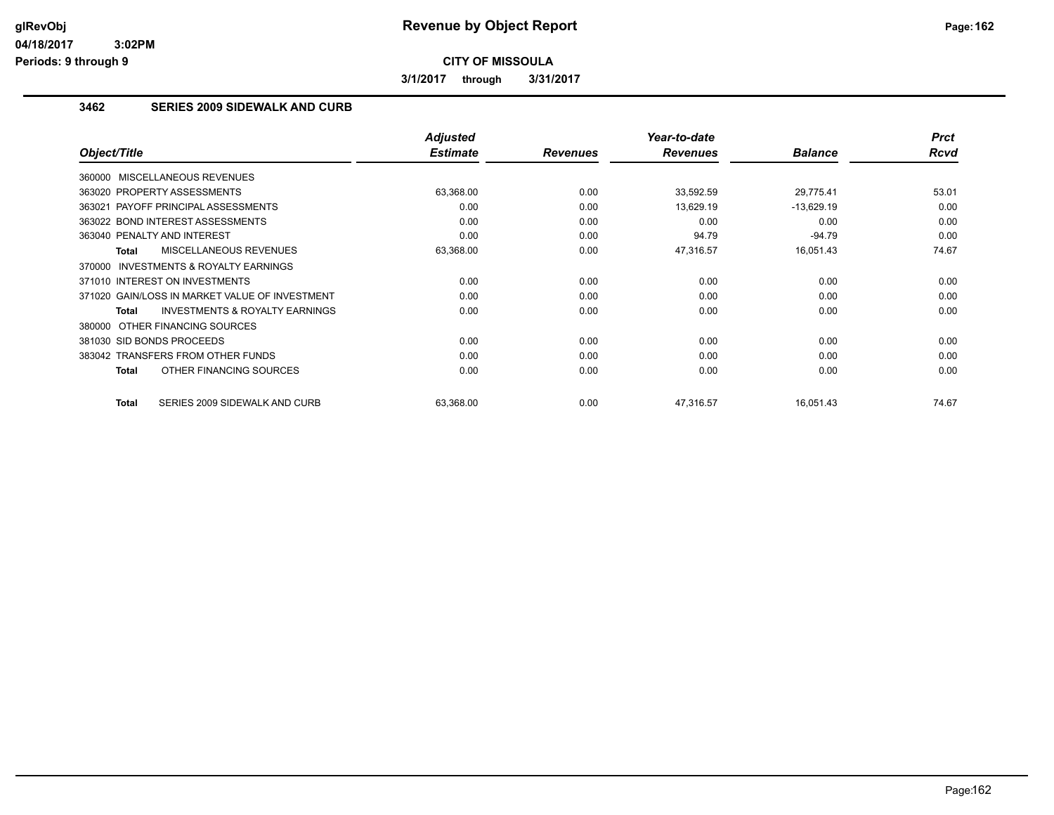**3/1/2017 through 3/31/2017**

## **3462 SERIES 2009 SIDEWALK AND CURB**

|                                                     | <b>Adjusted</b> |                 | Year-to-date    |                | <b>Prct</b> |
|-----------------------------------------------------|-----------------|-----------------|-----------------|----------------|-------------|
| Object/Title                                        | <b>Estimate</b> | <b>Revenues</b> | <b>Revenues</b> | <b>Balance</b> | <b>Rcvd</b> |
| 360000 MISCELLANEOUS REVENUES                       |                 |                 |                 |                |             |
| 363020 PROPERTY ASSESSMENTS                         | 63,368.00       | 0.00            | 33,592.59       | 29,775.41      | 53.01       |
| 363021 PAYOFF PRINCIPAL ASSESSMENTS                 | 0.00            | 0.00            | 13,629.19       | $-13,629.19$   | 0.00        |
| 363022 BOND INTEREST ASSESSMENTS                    | 0.00            | 0.00            | 0.00            | 0.00           | 0.00        |
| 363040 PENALTY AND INTEREST                         | 0.00            | 0.00            | 94.79           | $-94.79$       | 0.00        |
| MISCELLANEOUS REVENUES<br>Total                     | 63,368.00       | 0.00            | 47,316.57       | 16,051.43      | 74.67       |
| <b>INVESTMENTS &amp; ROYALTY EARNINGS</b><br>370000 |                 |                 |                 |                |             |
| 371010 INTEREST ON INVESTMENTS                      | 0.00            | 0.00            | 0.00            | 0.00           | 0.00        |
| 371020 GAIN/LOSS IN MARKET VALUE OF INVESTMENT      | 0.00            | 0.00            | 0.00            | 0.00           | 0.00        |
| <b>INVESTMENTS &amp; ROYALTY EARNINGS</b><br>Total  | 0.00            | 0.00            | 0.00            | 0.00           | 0.00        |
| 380000 OTHER FINANCING SOURCES                      |                 |                 |                 |                |             |
| 381030 SID BONDS PROCEEDS                           | 0.00            | 0.00            | 0.00            | 0.00           | 0.00        |
| 383042 TRANSFERS FROM OTHER FUNDS                   | 0.00            | 0.00            | 0.00            | 0.00           | 0.00        |
| OTHER FINANCING SOURCES<br>Total                    | 0.00            | 0.00            | 0.00            | 0.00           | 0.00        |
| SERIES 2009 SIDEWALK AND CURB<br>Total              | 63,368.00       | 0.00            | 47,316.57       | 16,051.43      | 74.67       |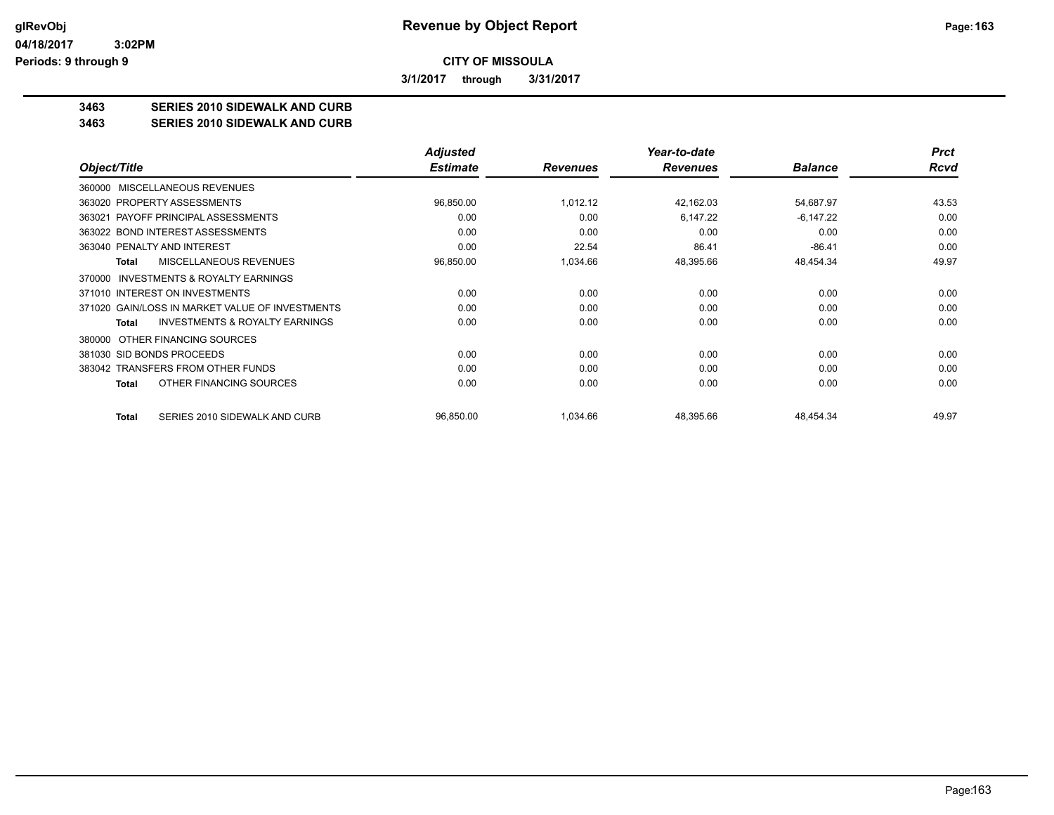**3/1/2017 through 3/31/2017**

## **3463 SERIES 2010 SIDEWALK AND CURB**

**3463 SERIES 2010 SIDEWALK AND CURB**

|                                                    | <b>Adjusted</b> |                 | Year-to-date    |                | <b>Prct</b> |
|----------------------------------------------------|-----------------|-----------------|-----------------|----------------|-------------|
| Object/Title                                       | <b>Estimate</b> | <b>Revenues</b> | <b>Revenues</b> | <b>Balance</b> | Rcvd        |
| MISCELLANEOUS REVENUES<br>360000                   |                 |                 |                 |                |             |
| 363020 PROPERTY ASSESSMENTS                        | 96,850.00       | 1,012.12        | 42,162.03       | 54,687.97      | 43.53       |
| PAYOFF PRINCIPAL ASSESSMENTS<br>363021             | 0.00            | 0.00            | 6,147.22        | $-6,147.22$    | 0.00        |
| 363022 BOND INTEREST ASSESSMENTS                   | 0.00            | 0.00            | 0.00            | 0.00           | 0.00        |
| 363040 PENALTY AND INTEREST                        | 0.00            | 22.54           | 86.41           | $-86.41$       | 0.00        |
| <b>MISCELLANEOUS REVENUES</b><br>Total             | 96,850.00       | 1,034.66        | 48,395.66       | 48,454.34      | 49.97       |
| INVESTMENTS & ROYALTY EARNINGS<br>370000           |                 |                 |                 |                |             |
| 371010 INTEREST ON INVESTMENTS                     | 0.00            | 0.00            | 0.00            | 0.00           | 0.00        |
| 371020 GAIN/LOSS IN MARKET VALUE OF INVESTMENTS    | 0.00            | 0.00            | 0.00            | 0.00           | 0.00        |
| <b>INVESTMENTS &amp; ROYALTY EARNINGS</b><br>Total | 0.00            | 0.00            | 0.00            | 0.00           | 0.00        |
| OTHER FINANCING SOURCES<br>380000                  |                 |                 |                 |                |             |
| 381030 SID BONDS PROCEEDS                          | 0.00            | 0.00            | 0.00            | 0.00           | 0.00        |
| 383042 TRANSFERS FROM OTHER FUNDS                  | 0.00            | 0.00            | 0.00            | 0.00           | 0.00        |
| OTHER FINANCING SOURCES<br><b>Total</b>            | 0.00            | 0.00            | 0.00            | 0.00           | 0.00        |
| SERIES 2010 SIDEWALK AND CURB<br>Total             | 96,850.00       | 1,034.66        | 48,395.66       | 48,454.34      | 49.97       |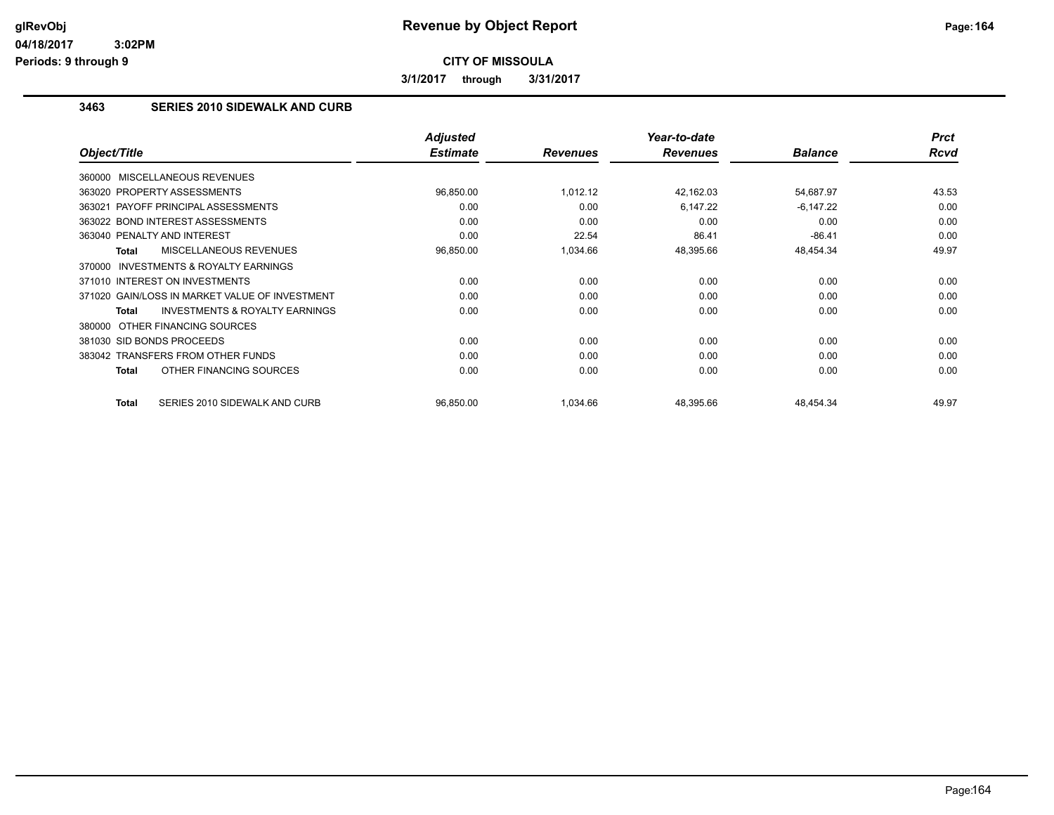**3/1/2017 through 3/31/2017**

## **3463 SERIES 2010 SIDEWALK AND CURB**

|                                                     | <b>Adjusted</b> |                 | Year-to-date    |                | <b>Prct</b> |
|-----------------------------------------------------|-----------------|-----------------|-----------------|----------------|-------------|
| Object/Title                                        | <b>Estimate</b> | <b>Revenues</b> | <b>Revenues</b> | <b>Balance</b> | <b>Rcvd</b> |
| 360000 MISCELLANEOUS REVENUES                       |                 |                 |                 |                |             |
| 363020 PROPERTY ASSESSMENTS                         | 96,850.00       | 1,012.12        | 42,162.03       | 54,687.97      | 43.53       |
| PAYOFF PRINCIPAL ASSESSMENTS<br>363021              | 0.00            | 0.00            | 6,147.22        | $-6,147.22$    | 0.00        |
| 363022 BOND INTEREST ASSESSMENTS                    | 0.00            | 0.00            | 0.00            | 0.00           | 0.00        |
| 363040 PENALTY AND INTEREST                         | 0.00            | 22.54           | 86.41           | $-86.41$       | 0.00        |
| MISCELLANEOUS REVENUES<br>Total                     | 96,850.00       | 1,034.66        | 48,395.66       | 48,454.34      | 49.97       |
| <b>INVESTMENTS &amp; ROYALTY EARNINGS</b><br>370000 |                 |                 |                 |                |             |
| 371010 INTEREST ON INVESTMENTS                      | 0.00            | 0.00            | 0.00            | 0.00           | 0.00        |
| 371020 GAIN/LOSS IN MARKET VALUE OF INVESTMENT      | 0.00            | 0.00            | 0.00            | 0.00           | 0.00        |
| <b>INVESTMENTS &amp; ROYALTY EARNINGS</b><br>Total  | 0.00            | 0.00            | 0.00            | 0.00           | 0.00        |
| 380000 OTHER FINANCING SOURCES                      |                 |                 |                 |                |             |
| 381030 SID BONDS PROCEEDS                           | 0.00            | 0.00            | 0.00            | 0.00           | 0.00        |
| 383042 TRANSFERS FROM OTHER FUNDS                   | 0.00            | 0.00            | 0.00            | 0.00           | 0.00        |
| OTHER FINANCING SOURCES<br>Total                    | 0.00            | 0.00            | 0.00            | 0.00           | 0.00        |
| SERIES 2010 SIDEWALK AND CURB<br><b>Total</b>       | 96,850.00       | 1,034.66        | 48,395.66       | 48,454.34      | 49.97       |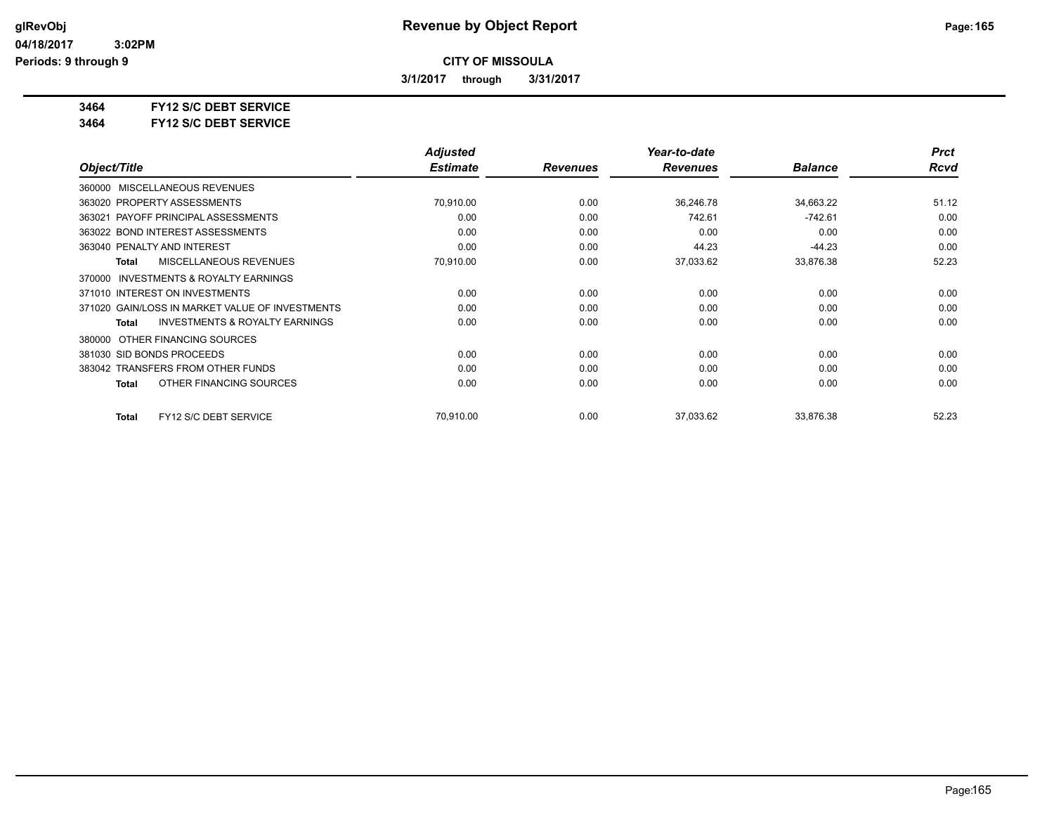**3/1/2017 through 3/31/2017**

**3464 FY12 S/C DEBT SERVICE**

**3464 FY12 S/C DEBT SERVICE**

|                                                     | <b>Adjusted</b> |                 | Year-to-date    |                | <b>Prct</b> |
|-----------------------------------------------------|-----------------|-----------------|-----------------|----------------|-------------|
| Object/Title                                        | <b>Estimate</b> | <b>Revenues</b> | <b>Revenues</b> | <b>Balance</b> | <b>Rcvd</b> |
| 360000 MISCELLANEOUS REVENUES                       |                 |                 |                 |                |             |
| 363020 PROPERTY ASSESSMENTS                         | 70,910.00       | 0.00            | 36,246.78       | 34,663.22      | 51.12       |
| 363021 PAYOFF PRINCIPAL ASSESSMENTS                 | 0.00            | 0.00            | 742.61          | -742.61        | 0.00        |
| 363022 BOND INTEREST ASSESSMENTS                    | 0.00            | 0.00            | 0.00            | 0.00           | 0.00        |
| 363040 PENALTY AND INTEREST                         | 0.00            | 0.00            | 44.23           | $-44.23$       | 0.00        |
| <b>MISCELLANEOUS REVENUES</b><br>Total              | 70,910.00       | 0.00            | 37,033.62       | 33,876.38      | 52.23       |
| <b>INVESTMENTS &amp; ROYALTY EARNINGS</b><br>370000 |                 |                 |                 |                |             |
| 371010 INTEREST ON INVESTMENTS                      | 0.00            | 0.00            | 0.00            | 0.00           | 0.00        |
| 371020 GAIN/LOSS IN MARKET VALUE OF INVESTMENTS     | 0.00            | 0.00            | 0.00            | 0.00           | 0.00        |
| <b>INVESTMENTS &amp; ROYALTY EARNINGS</b><br>Total  | 0.00            | 0.00            | 0.00            | 0.00           | 0.00        |
| OTHER FINANCING SOURCES<br>380000                   |                 |                 |                 |                |             |
| 381030 SID BONDS PROCEEDS                           | 0.00            | 0.00            | 0.00            | 0.00           | 0.00        |
| 383042 TRANSFERS FROM OTHER FUNDS                   | 0.00            | 0.00            | 0.00            | 0.00           | 0.00        |
| OTHER FINANCING SOURCES<br>Total                    | 0.00            | 0.00            | 0.00            | 0.00           | 0.00        |
| FY12 S/C DEBT SERVICE<br>Total                      | 70,910.00       | 0.00            | 37,033.62       | 33,876.38      | 52.23       |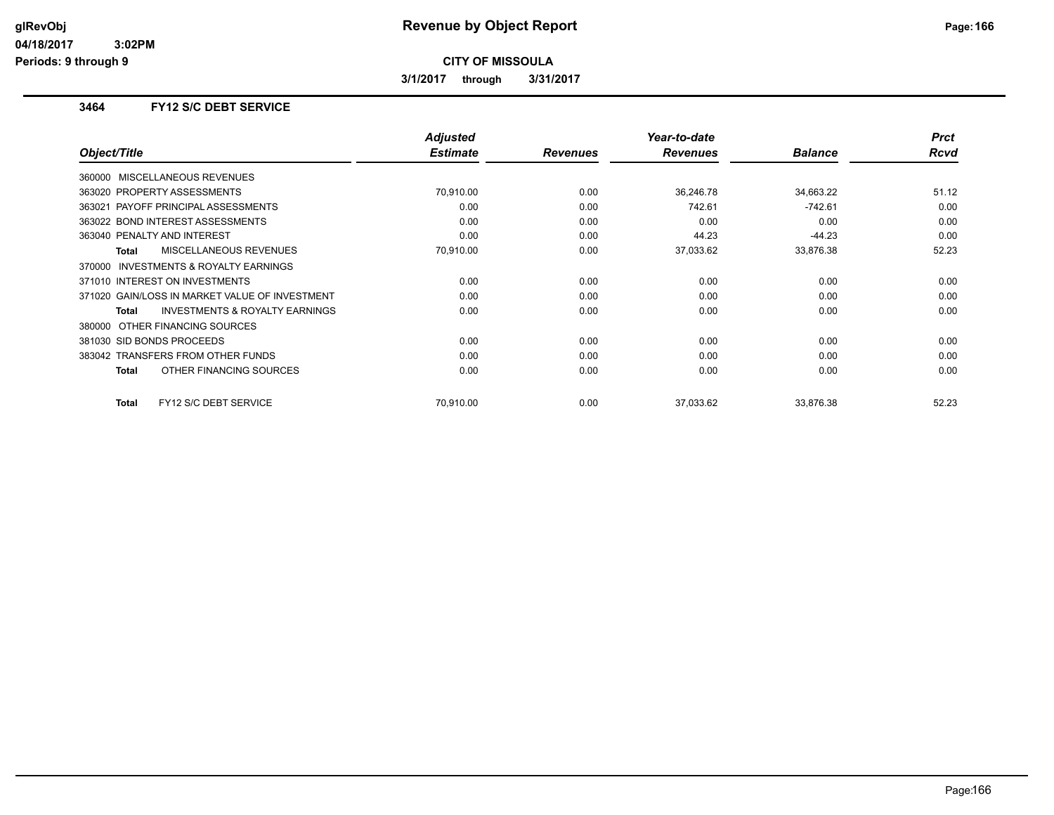**3/1/2017 through 3/31/2017**

### **3464 FY12 S/C DEBT SERVICE**

|                                                           | <b>Adjusted</b> |                 | Year-to-date    |                | <b>Prct</b> |
|-----------------------------------------------------------|-----------------|-----------------|-----------------|----------------|-------------|
| Object/Title                                              | <b>Estimate</b> | <b>Revenues</b> | <b>Revenues</b> | <b>Balance</b> | Rcvd        |
| 360000 MISCELLANEOUS REVENUES                             |                 |                 |                 |                |             |
| 363020 PROPERTY ASSESSMENTS                               | 70,910.00       | 0.00            | 36,246.78       | 34,663.22      | 51.12       |
| 363021 PAYOFF PRINCIPAL ASSESSMENTS                       | 0.00            | 0.00            | 742.61          | $-742.61$      | 0.00        |
| 363022 BOND INTEREST ASSESSMENTS                          | 0.00            | 0.00            | 0.00            | 0.00           | 0.00        |
| 363040 PENALTY AND INTEREST                               | 0.00            | 0.00            | 44.23           | $-44.23$       | 0.00        |
| MISCELLANEOUS REVENUES<br><b>Total</b>                    | 70,910.00       | 0.00            | 37,033.62       | 33,876.38      | 52.23       |
| <b>INVESTMENTS &amp; ROYALTY EARNINGS</b><br>370000       |                 |                 |                 |                |             |
| 371010 INTEREST ON INVESTMENTS                            | 0.00            | 0.00            | 0.00            | 0.00           | 0.00        |
| 371020 GAIN/LOSS IN MARKET VALUE OF INVESTMENT            | 0.00            | 0.00            | 0.00            | 0.00           | 0.00        |
| <b>INVESTMENTS &amp; ROYALTY EARNINGS</b><br><b>Total</b> | 0.00            | 0.00            | 0.00            | 0.00           | 0.00        |
| OTHER FINANCING SOURCES<br>380000                         |                 |                 |                 |                |             |
| 381030 SID BONDS PROCEEDS                                 | 0.00            | 0.00            | 0.00            | 0.00           | 0.00        |
| 383042 TRANSFERS FROM OTHER FUNDS                         | 0.00            | 0.00            | 0.00            | 0.00           | 0.00        |
| OTHER FINANCING SOURCES<br><b>Total</b>                   | 0.00            | 0.00            | 0.00            | 0.00           | 0.00        |
| FY12 S/C DEBT SERVICE<br><b>Total</b>                     | 70.910.00       | 0.00            | 37,033.62       | 33,876.38      | 52.23       |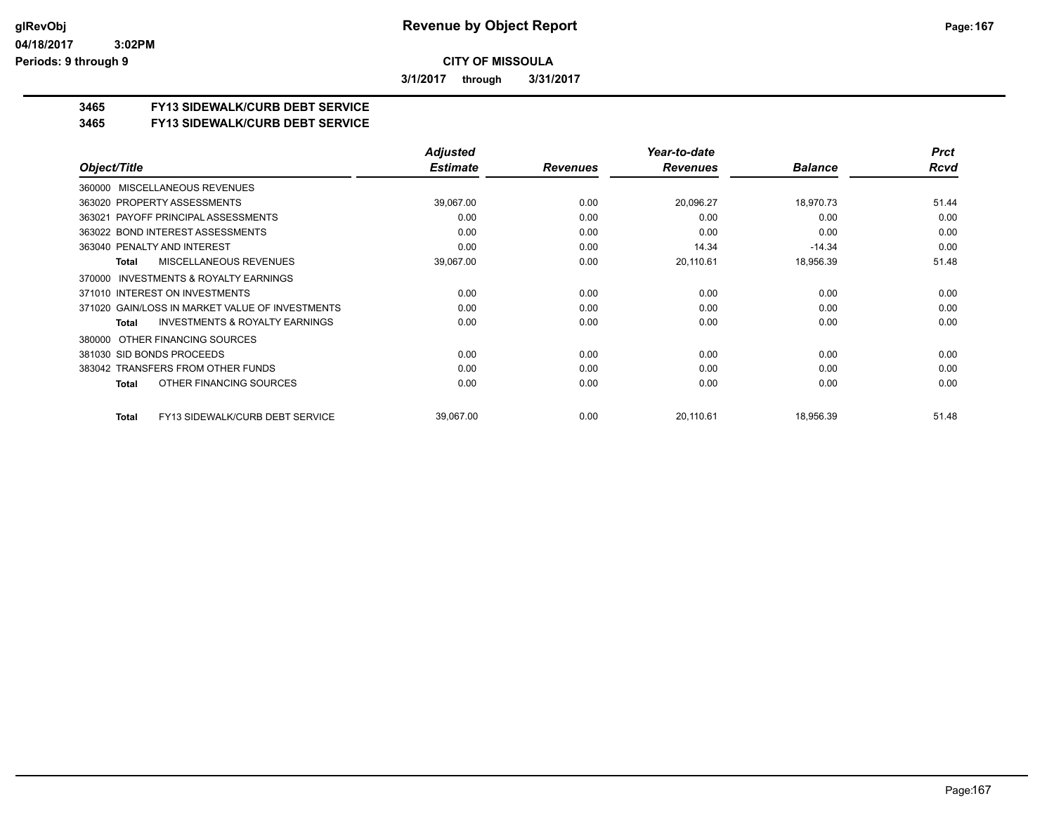**3/1/2017 through 3/31/2017**

# **3465 FY13 SIDEWALK/CURB DEBT SERVICE**

**3465 FY13 SIDEWALK/CURB DEBT SERVICE**

|                                                    | <b>Adjusted</b> |                 | Year-to-date    |                | <b>Prct</b> |
|----------------------------------------------------|-----------------|-----------------|-----------------|----------------|-------------|
| Object/Title                                       | <b>Estimate</b> | <b>Revenues</b> | <b>Revenues</b> | <b>Balance</b> | Rcvd        |
| 360000 MISCELLANEOUS REVENUES                      |                 |                 |                 |                |             |
| 363020 PROPERTY ASSESSMENTS                        | 39,067.00       | 0.00            | 20,096.27       | 18,970.73      | 51.44       |
| PAYOFF PRINCIPAL ASSESSMENTS<br>363021             | 0.00            | 0.00            | 0.00            | 0.00           | 0.00        |
| 363022 BOND INTEREST ASSESSMENTS                   | 0.00            | 0.00            | 0.00            | 0.00           | 0.00        |
| 363040 PENALTY AND INTEREST                        | 0.00            | 0.00            | 14.34           | $-14.34$       | 0.00        |
| <b>MISCELLANEOUS REVENUES</b><br>Total             | 39,067.00       | 0.00            | 20,110.61       | 18,956.39      | 51.48       |
| INVESTMENTS & ROYALTY EARNINGS<br>370000           |                 |                 |                 |                |             |
| 371010 INTEREST ON INVESTMENTS                     | 0.00            | 0.00            | 0.00            | 0.00           | 0.00        |
| 371020 GAIN/LOSS IN MARKET VALUE OF INVESTMENTS    | 0.00            | 0.00            | 0.00            | 0.00           | 0.00        |
| <b>INVESTMENTS &amp; ROYALTY EARNINGS</b><br>Total | 0.00            | 0.00            | 0.00            | 0.00           | 0.00        |
| OTHER FINANCING SOURCES<br>380000                  |                 |                 |                 |                |             |
| 381030 SID BONDS PROCEEDS                          | 0.00            | 0.00            | 0.00            | 0.00           | 0.00        |
| 383042 TRANSFERS FROM OTHER FUNDS                  | 0.00            | 0.00            | 0.00            | 0.00           | 0.00        |
| OTHER FINANCING SOURCES<br><b>Total</b>            | 0.00            | 0.00            | 0.00            | 0.00           | 0.00        |
| FY13 SIDEWALK/CURB DEBT SERVICE<br><b>Total</b>    | 39,067.00       | 0.00            | 20,110.61       | 18,956.39      | 51.48       |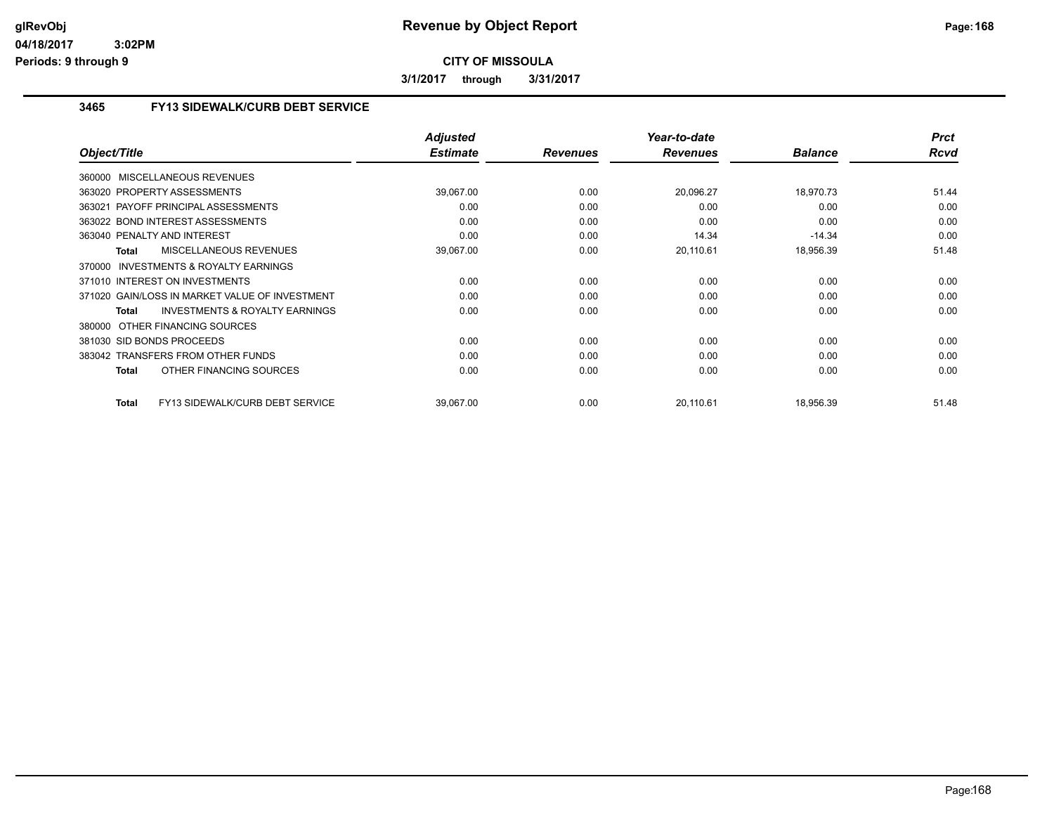**3/1/2017 through 3/31/2017**

## **3465 FY13 SIDEWALK/CURB DEBT SERVICE**

|                                                           | <b>Adjusted</b> |                 | Year-to-date    |                | <b>Prct</b> |
|-----------------------------------------------------------|-----------------|-----------------|-----------------|----------------|-------------|
| Object/Title                                              | <b>Estimate</b> | <b>Revenues</b> | <b>Revenues</b> | <b>Balance</b> | <b>Rcvd</b> |
| 360000 MISCELLANEOUS REVENUES                             |                 |                 |                 |                |             |
| 363020 PROPERTY ASSESSMENTS                               | 39,067.00       | 0.00            | 20,096.27       | 18,970.73      | 51.44       |
| 363021 PAYOFF PRINCIPAL ASSESSMENTS                       | 0.00            | 0.00            | 0.00            | 0.00           | 0.00        |
| 363022 BOND INTEREST ASSESSMENTS                          | 0.00            | 0.00            | 0.00            | 0.00           | 0.00        |
| 363040 PENALTY AND INTEREST                               | 0.00            | 0.00            | 14.34           | $-14.34$       | 0.00        |
| MISCELLANEOUS REVENUES<br><b>Total</b>                    | 39,067.00       | 0.00            | 20,110.61       | 18,956.39      | 51.48       |
| <b>INVESTMENTS &amp; ROYALTY EARNINGS</b><br>370000       |                 |                 |                 |                |             |
| 371010 INTEREST ON INVESTMENTS                            | 0.00            | 0.00            | 0.00            | 0.00           | 0.00        |
| 371020 GAIN/LOSS IN MARKET VALUE OF INVESTMENT            | 0.00            | 0.00            | 0.00            | 0.00           | 0.00        |
| <b>INVESTMENTS &amp; ROYALTY EARNINGS</b><br><b>Total</b> | 0.00            | 0.00            | 0.00            | 0.00           | 0.00        |
| OTHER FINANCING SOURCES<br>380000                         |                 |                 |                 |                |             |
| 381030 SID BONDS PROCEEDS                                 | 0.00            | 0.00            | 0.00            | 0.00           | 0.00        |
| 383042 TRANSFERS FROM OTHER FUNDS                         | 0.00            | 0.00            | 0.00            | 0.00           | 0.00        |
| OTHER FINANCING SOURCES<br><b>Total</b>                   | 0.00            | 0.00            | 0.00            | 0.00           | 0.00        |
| FY13 SIDEWALK/CURB DEBT SERVICE<br><b>Total</b>           | 39,067.00       | 0.00            | 20.110.61       | 18,956.39      | 51.48       |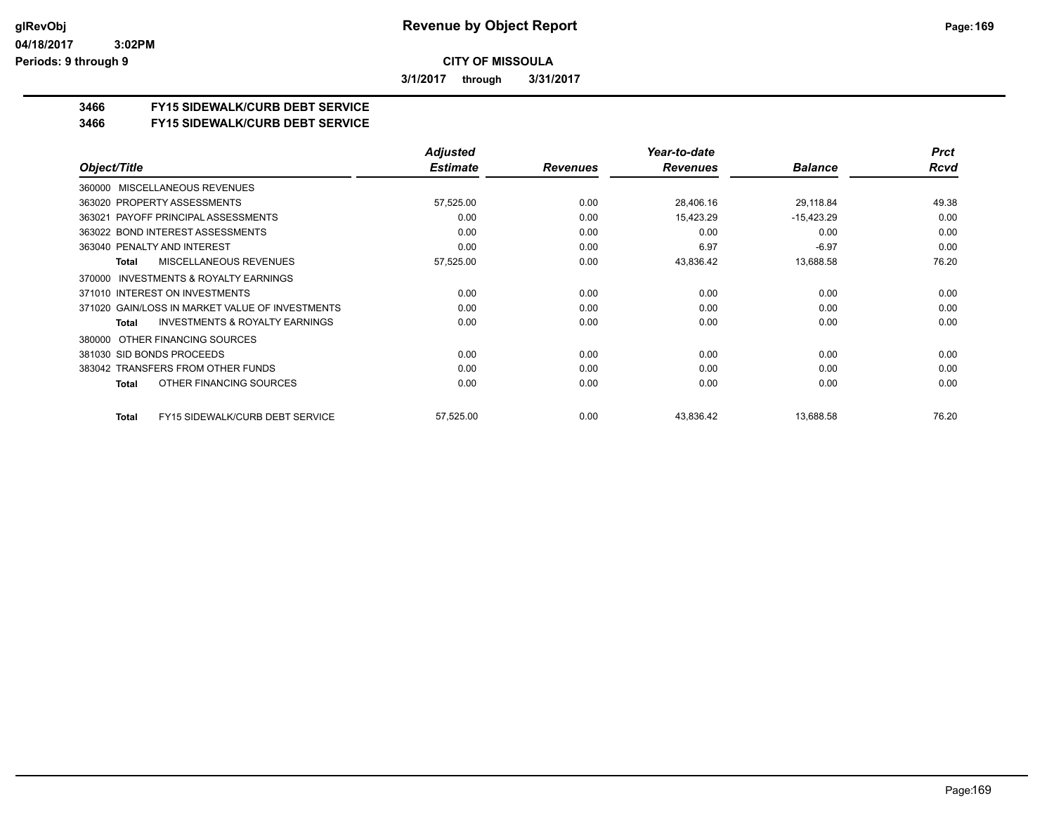**3/1/2017 through 3/31/2017**

# **3466 FY15 SIDEWALK/CURB DEBT SERVICE**

**3466 FY15 SIDEWALK/CURB DEBT SERVICE**

|                                                        | <b>Adjusted</b> |                 | Year-to-date    |                | <b>Prct</b> |
|--------------------------------------------------------|-----------------|-----------------|-----------------|----------------|-------------|
| Object/Title                                           | <b>Estimate</b> | <b>Revenues</b> | <b>Revenues</b> | <b>Balance</b> | Rcvd        |
| MISCELLANEOUS REVENUES<br>360000                       |                 |                 |                 |                |             |
| 363020 PROPERTY ASSESSMENTS                            | 57,525.00       | 0.00            | 28,406.16       | 29,118.84      | 49.38       |
| PAYOFF PRINCIPAL ASSESSMENTS<br>363021                 | 0.00            | 0.00            | 15,423.29       | $-15,423.29$   | 0.00        |
| 363022 BOND INTEREST ASSESSMENTS                       | 0.00            | 0.00            | 0.00            | 0.00           | 0.00        |
| 363040 PENALTY AND INTEREST                            | 0.00            | 0.00            | 6.97            | $-6.97$        | 0.00        |
| <b>MISCELLANEOUS REVENUES</b><br><b>Total</b>          | 57,525.00       | 0.00            | 43,836.42       | 13,688.58      | 76.20       |
| <b>INVESTMENTS &amp; ROYALTY EARNINGS</b><br>370000    |                 |                 |                 |                |             |
| 371010 INTEREST ON INVESTMENTS                         | 0.00            | 0.00            | 0.00            | 0.00           | 0.00        |
| 371020 GAIN/LOSS IN MARKET VALUE OF INVESTMENTS        | 0.00            | 0.00            | 0.00            | 0.00           | 0.00        |
| <b>INVESTMENTS &amp; ROYALTY EARNINGS</b><br>Total     | 0.00            | 0.00            | 0.00            | 0.00           | 0.00        |
| OTHER FINANCING SOURCES<br>380000                      |                 |                 |                 |                |             |
| 381030 SID BONDS PROCEEDS                              | 0.00            | 0.00            | 0.00            | 0.00           | 0.00        |
| 383042 TRANSFERS FROM OTHER FUNDS                      | 0.00            | 0.00            | 0.00            | 0.00           | 0.00        |
| OTHER FINANCING SOURCES<br><b>Total</b>                | 0.00            | 0.00            | 0.00            | 0.00           | 0.00        |
| <b>FY15 SIDEWALK/CURB DEBT SERVICE</b><br><b>Total</b> | 57,525.00       | 0.00            | 43,836.42       | 13,688.58      | 76.20       |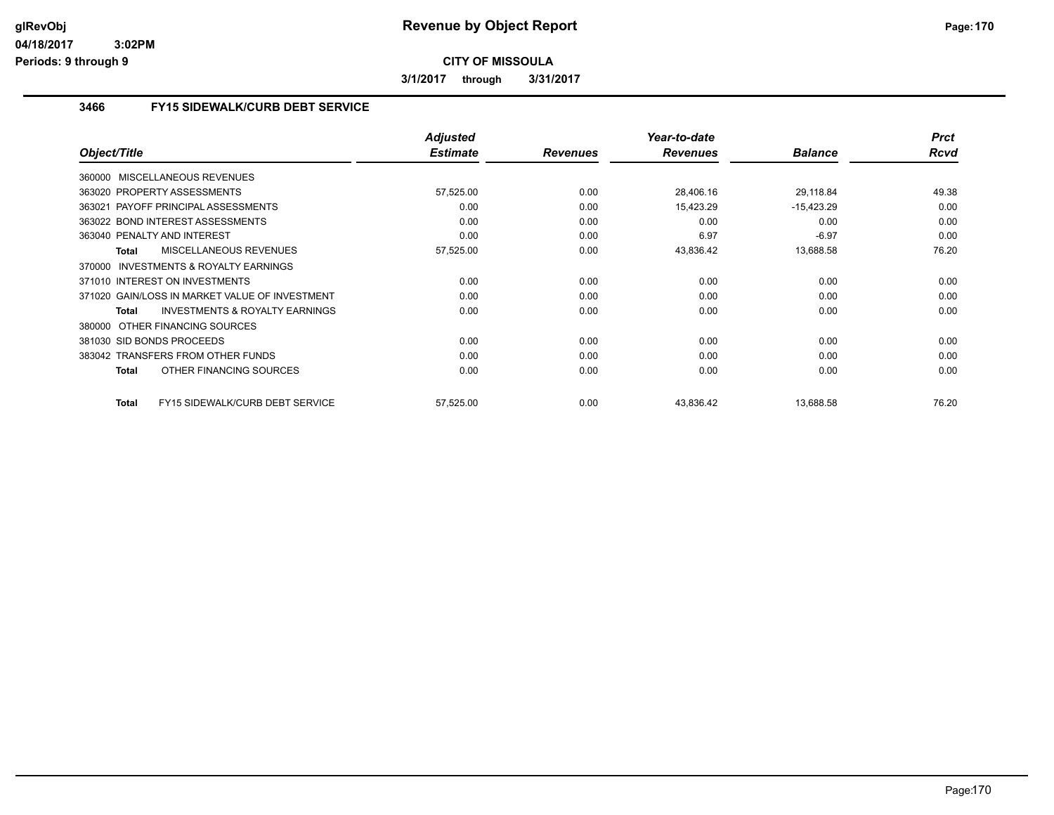**3/1/2017 through 3/31/2017**

## **3466 FY15 SIDEWALK/CURB DEBT SERVICE**

|                                                           | <b>Adjusted</b> |                 | Year-to-date    |                | <b>Prct</b> |
|-----------------------------------------------------------|-----------------|-----------------|-----------------|----------------|-------------|
| Object/Title                                              | <b>Estimate</b> | <b>Revenues</b> | <b>Revenues</b> | <b>Balance</b> | <b>Rcvd</b> |
| 360000 MISCELLANEOUS REVENUES                             |                 |                 |                 |                |             |
| 363020 PROPERTY ASSESSMENTS                               | 57,525.00       | 0.00            | 28,406.16       | 29,118.84      | 49.38       |
| 363021 PAYOFF PRINCIPAL ASSESSMENTS                       | 0.00            | 0.00            | 15,423.29       | $-15,423.29$   | 0.00        |
| 363022 BOND INTEREST ASSESSMENTS                          | 0.00            | 0.00            | 0.00            | 0.00           | 0.00        |
| 363040 PENALTY AND INTEREST                               | 0.00            | 0.00            | 6.97            | $-6.97$        | 0.00        |
| MISCELLANEOUS REVENUES<br><b>Total</b>                    | 57,525.00       | 0.00            | 43,836.42       | 13,688.58      | 76.20       |
| 370000 INVESTMENTS & ROYALTY EARNINGS                     |                 |                 |                 |                |             |
| 371010 INTEREST ON INVESTMENTS                            | 0.00            | 0.00            | 0.00            | 0.00           | 0.00        |
| 371020 GAIN/LOSS IN MARKET VALUE OF INVESTMENT            | 0.00            | 0.00            | 0.00            | 0.00           | 0.00        |
| <b>INVESTMENTS &amp; ROYALTY EARNINGS</b><br><b>Total</b> | 0.00            | 0.00            | 0.00            | 0.00           | 0.00        |
| 380000 OTHER FINANCING SOURCES                            |                 |                 |                 |                |             |
| 381030 SID BONDS PROCEEDS                                 | 0.00            | 0.00            | 0.00            | 0.00           | 0.00        |
| 383042 TRANSFERS FROM OTHER FUNDS                         | 0.00            | 0.00            | 0.00            | 0.00           | 0.00        |
| OTHER FINANCING SOURCES<br><b>Total</b>                   | 0.00            | 0.00            | 0.00            | 0.00           | 0.00        |
| FY15 SIDEWALK/CURB DEBT SERVICE<br><b>Total</b>           | 57,525.00       | 0.00            | 43,836.42       | 13,688.58      | 76.20       |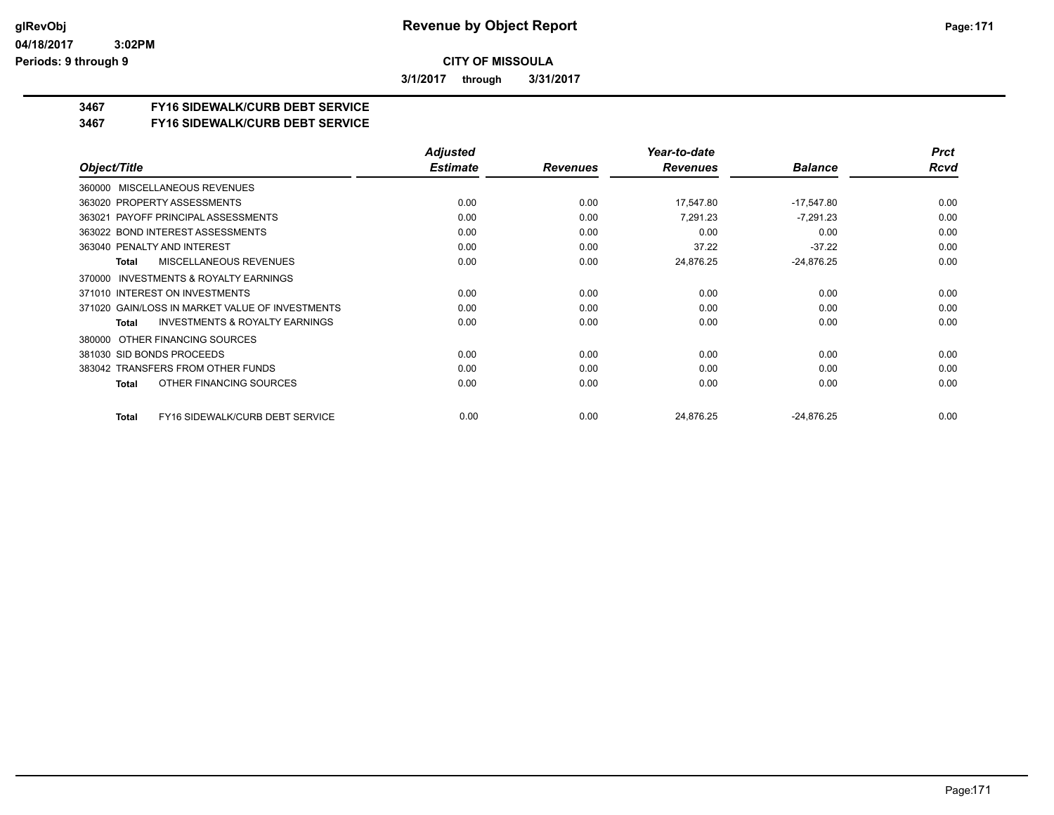**3/1/2017 through 3/31/2017**

## **3467 FY16 SIDEWALK/CURB DEBT SERVICE**

**3467 FY16 SIDEWALK/CURB DEBT SERVICE**

|                                                    | <b>Adjusted</b> |                 | Year-to-date    |                | <b>Prct</b> |
|----------------------------------------------------|-----------------|-----------------|-----------------|----------------|-------------|
| Object/Title                                       | <b>Estimate</b> | <b>Revenues</b> | <b>Revenues</b> | <b>Balance</b> | Rcvd        |
| 360000 MISCELLANEOUS REVENUES                      |                 |                 |                 |                |             |
| 363020 PROPERTY ASSESSMENTS                        | 0.00            | 0.00            | 17,547.80       | $-17,547.80$   | 0.00        |
| PAYOFF PRINCIPAL ASSESSMENTS<br>363021             | 0.00            | 0.00            | 7.291.23        | $-7,291.23$    | 0.00        |
| 363022 BOND INTEREST ASSESSMENTS                   | 0.00            | 0.00            | 0.00            | 0.00           | 0.00        |
| 363040 PENALTY AND INTEREST                        | 0.00            | 0.00            | 37.22           | $-37.22$       | 0.00        |
| <b>MISCELLANEOUS REVENUES</b><br>Total             | 0.00            | 0.00            | 24,876.25       | $-24,876.25$   | 0.00        |
| 370000 INVESTMENTS & ROYALTY EARNINGS              |                 |                 |                 |                |             |
| 371010 INTEREST ON INVESTMENTS                     | 0.00            | 0.00            | 0.00            | 0.00           | 0.00        |
| 371020 GAIN/LOSS IN MARKET VALUE OF INVESTMENTS    | 0.00            | 0.00            | 0.00            | 0.00           | 0.00        |
| <b>INVESTMENTS &amp; ROYALTY EARNINGS</b><br>Total | 0.00            | 0.00            | 0.00            | 0.00           | 0.00        |
| 380000 OTHER FINANCING SOURCES                     |                 |                 |                 |                |             |
| 381030 SID BONDS PROCEEDS                          | 0.00            | 0.00            | 0.00            | 0.00           | 0.00        |
| 383042 TRANSFERS FROM OTHER FUNDS                  | 0.00            | 0.00            | 0.00            | 0.00           | 0.00        |
| OTHER FINANCING SOURCES<br><b>Total</b>            | 0.00            | 0.00            | 0.00            | 0.00           | 0.00        |
| FY16 SIDEWALK/CURB DEBT SERVICE<br><b>Total</b>    | 0.00            | 0.00            | 24,876.25       | $-24,876.25$   | 0.00        |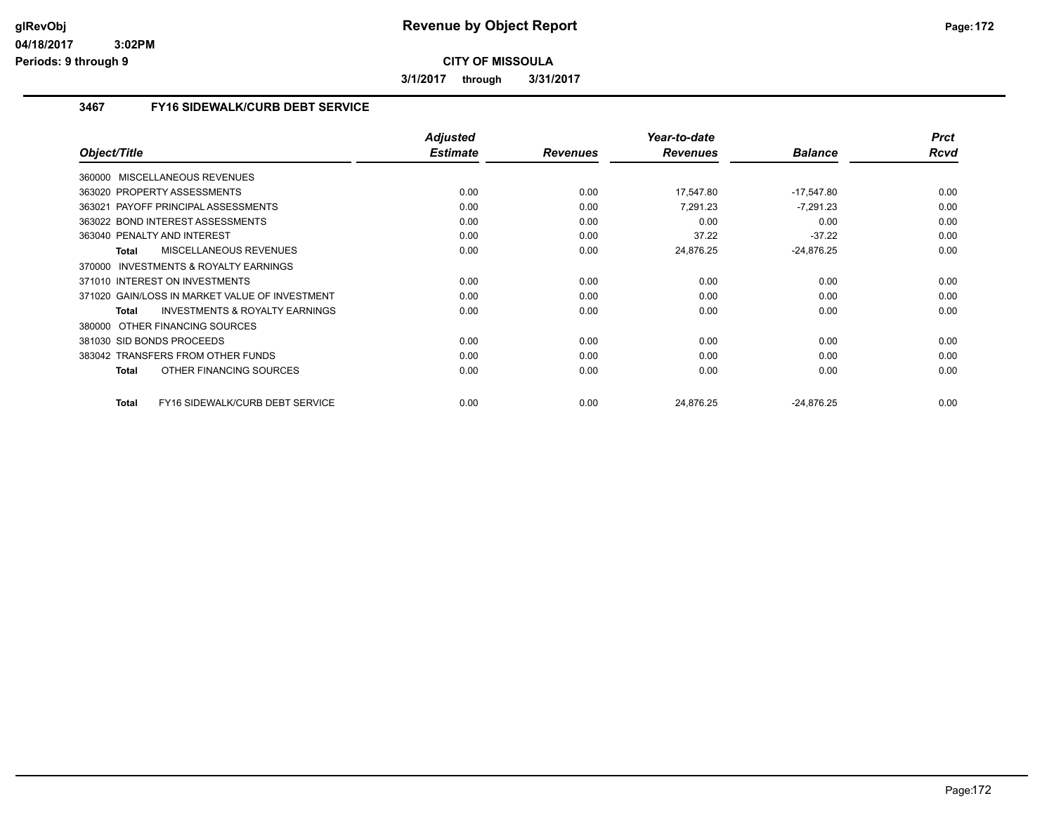**3/1/2017 through 3/31/2017**

## **3467 FY16 SIDEWALK/CURB DEBT SERVICE**

|                                                    | <b>Adjusted</b> |                 | Year-to-date    |                | <b>Prct</b> |
|----------------------------------------------------|-----------------|-----------------|-----------------|----------------|-------------|
| Object/Title                                       | <b>Estimate</b> | <b>Revenues</b> | <b>Revenues</b> | <b>Balance</b> | Rcvd        |
| 360000 MISCELLANEOUS REVENUES                      |                 |                 |                 |                |             |
| 363020 PROPERTY ASSESSMENTS                        | 0.00            | 0.00            | 17,547.80       | $-17,547.80$   | 0.00        |
| 363021 PAYOFF PRINCIPAL ASSESSMENTS                | 0.00            | 0.00            | 7,291.23        | $-7,291.23$    | 0.00        |
| 363022 BOND INTEREST ASSESSMENTS                   | 0.00            | 0.00            | 0.00            | 0.00           | 0.00        |
| 363040 PENALTY AND INTEREST                        | 0.00            | 0.00            | 37.22           | $-37.22$       | 0.00        |
| MISCELLANEOUS REVENUES<br>Total                    | 0.00            | 0.00            | 24,876.25       | $-24,876.25$   | 0.00        |
| INVESTMENTS & ROYALTY EARNINGS<br>370000           |                 |                 |                 |                |             |
| 371010 INTEREST ON INVESTMENTS                     | 0.00            | 0.00            | 0.00            | 0.00           | 0.00        |
| 371020 GAIN/LOSS IN MARKET VALUE OF INVESTMENT     | 0.00            | 0.00            | 0.00            | 0.00           | 0.00        |
| <b>INVESTMENTS &amp; ROYALTY EARNINGS</b><br>Total | 0.00            | 0.00            | 0.00            | 0.00           | 0.00        |
| 380000 OTHER FINANCING SOURCES                     |                 |                 |                 |                |             |
| 381030 SID BONDS PROCEEDS                          | 0.00            | 0.00            | 0.00            | 0.00           | 0.00        |
| 383042 TRANSFERS FROM OTHER FUNDS                  | 0.00            | 0.00            | 0.00            | 0.00           | 0.00        |
| OTHER FINANCING SOURCES<br>Total                   | 0.00            | 0.00            | 0.00            | 0.00           | 0.00        |
| FY16 SIDEWALK/CURB DEBT SERVICE<br>Total           | 0.00            | 0.00            | 24.876.25       | $-24.876.25$   | 0.00        |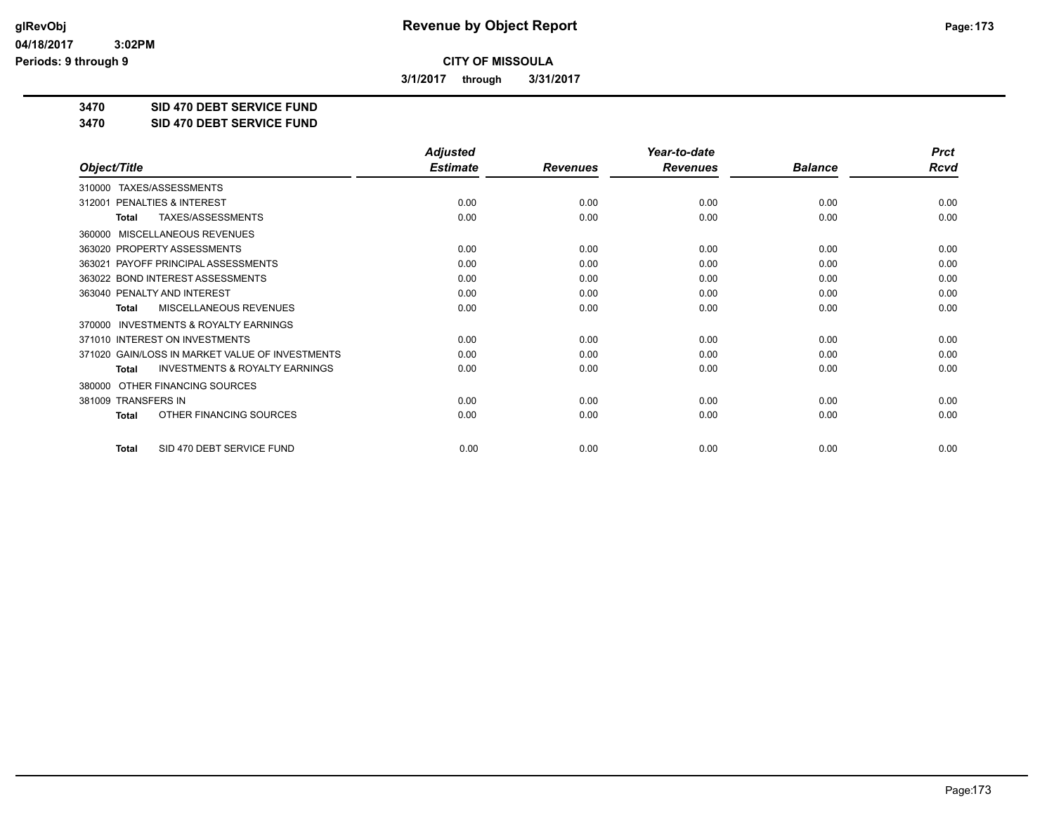**3/1/2017 through 3/31/2017**

**3470 SID 470 DEBT SERVICE FUND**

**3470 SID 470 DEBT SERVICE FUND**

|                                                     | <b>Adjusted</b> |                 | Year-to-date    |                | <b>Prct</b> |
|-----------------------------------------------------|-----------------|-----------------|-----------------|----------------|-------------|
| Object/Title                                        | <b>Estimate</b> | <b>Revenues</b> | <b>Revenues</b> | <b>Balance</b> | Rcvd        |
| TAXES/ASSESSMENTS<br>310000                         |                 |                 |                 |                |             |
| 312001 PENALTIES & INTEREST                         | 0.00            | 0.00            | 0.00            | 0.00           | 0.00        |
| TAXES/ASSESSMENTS<br>Total                          | 0.00            | 0.00            | 0.00            | 0.00           | 0.00        |
| 360000 MISCELLANEOUS REVENUES                       |                 |                 |                 |                |             |
| 363020 PROPERTY ASSESSMENTS                         | 0.00            | 0.00            | 0.00            | 0.00           | 0.00        |
| 363021 PAYOFF PRINCIPAL ASSESSMENTS                 | 0.00            | 0.00            | 0.00            | 0.00           | 0.00        |
| 363022 BOND INTEREST ASSESSMENTS                    | 0.00            | 0.00            | 0.00            | 0.00           | 0.00        |
| 363040 PENALTY AND INTEREST                         | 0.00            | 0.00            | 0.00            | 0.00           | 0.00        |
| MISCELLANEOUS REVENUES<br><b>Total</b>              | 0.00            | 0.00            | 0.00            | 0.00           | 0.00        |
| <b>INVESTMENTS &amp; ROYALTY EARNINGS</b><br>370000 |                 |                 |                 |                |             |
| 371010 INTEREST ON INVESTMENTS                      | 0.00            | 0.00            | 0.00            | 0.00           | 0.00        |
| 371020 GAIN/LOSS IN MARKET VALUE OF INVESTMENTS     | 0.00            | 0.00            | 0.00            | 0.00           | 0.00        |
| <b>INVESTMENTS &amp; ROYALTY EARNINGS</b><br>Total  | 0.00            | 0.00            | 0.00            | 0.00           | 0.00        |
| OTHER FINANCING SOURCES<br>380000                   |                 |                 |                 |                |             |
| 381009 TRANSFERS IN                                 | 0.00            | 0.00            | 0.00            | 0.00           | 0.00        |
| OTHER FINANCING SOURCES<br><b>Total</b>             | 0.00            | 0.00            | 0.00            | 0.00           | 0.00        |
| SID 470 DEBT SERVICE FUND<br><b>Total</b>           | 0.00            | 0.00            | 0.00            | 0.00           | 0.00        |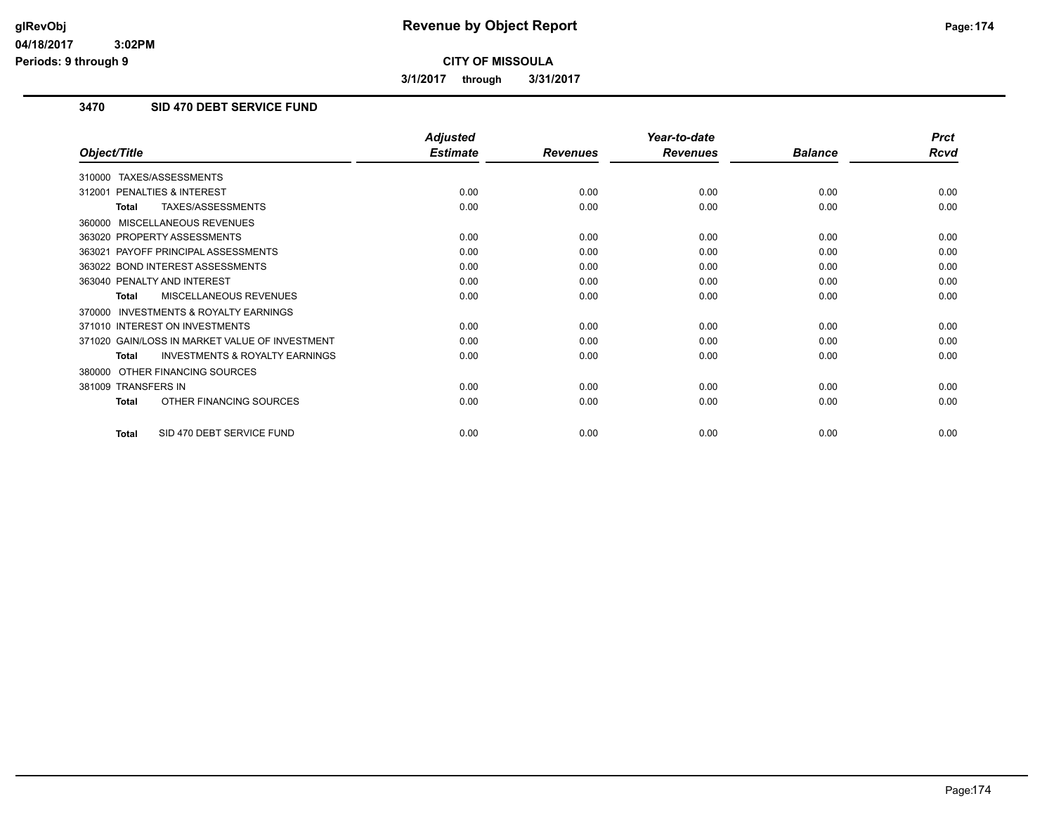**3/1/2017 through 3/31/2017**

## **3470 SID 470 DEBT SERVICE FUND**

|                                                     | <b>Adjusted</b> |                 | Year-to-date    |                | <b>Prct</b> |
|-----------------------------------------------------|-----------------|-----------------|-----------------|----------------|-------------|
| Object/Title                                        | <b>Estimate</b> | <b>Revenues</b> | <b>Revenues</b> | <b>Balance</b> | <b>Rcvd</b> |
| TAXES/ASSESSMENTS<br>310000                         |                 |                 |                 |                |             |
| 312001 PENALTIES & INTEREST                         | 0.00            | 0.00            | 0.00            | 0.00           | 0.00        |
| TAXES/ASSESSMENTS<br><b>Total</b>                   | 0.00            | 0.00            | 0.00            | 0.00           | 0.00        |
| MISCELLANEOUS REVENUES<br>360000                    |                 |                 |                 |                |             |
| 363020 PROPERTY ASSESSMENTS                         | 0.00            | 0.00            | 0.00            | 0.00           | 0.00        |
| 363021 PAYOFF PRINCIPAL ASSESSMENTS                 | 0.00            | 0.00            | 0.00            | 0.00           | 0.00        |
| 363022 BOND INTEREST ASSESSMENTS                    | 0.00            | 0.00            | 0.00            | 0.00           | 0.00        |
| 363040 PENALTY AND INTEREST                         | 0.00            | 0.00            | 0.00            | 0.00           | 0.00        |
| <b>MISCELLANEOUS REVENUES</b><br>Total              | 0.00            | 0.00            | 0.00            | 0.00           | 0.00        |
| <b>INVESTMENTS &amp; ROYALTY EARNINGS</b><br>370000 |                 |                 |                 |                |             |
| 371010 INTEREST ON INVESTMENTS                      | 0.00            | 0.00            | 0.00            | 0.00           | 0.00        |
| 371020 GAIN/LOSS IN MARKET VALUE OF INVESTMENT      | 0.00            | 0.00            | 0.00            | 0.00           | 0.00        |
| <b>INVESTMENTS &amp; ROYALTY EARNINGS</b><br>Total  | 0.00            | 0.00            | 0.00            | 0.00           | 0.00        |
| OTHER FINANCING SOURCES<br>380000                   |                 |                 |                 |                |             |
| 381009 TRANSFERS IN                                 | 0.00            | 0.00            | 0.00            | 0.00           | 0.00        |
| OTHER FINANCING SOURCES<br><b>Total</b>             | 0.00            | 0.00            | 0.00            | 0.00           | 0.00        |
| SID 470 DEBT SERVICE FUND<br><b>Total</b>           | 0.00            | 0.00            | 0.00            | 0.00           | 0.00        |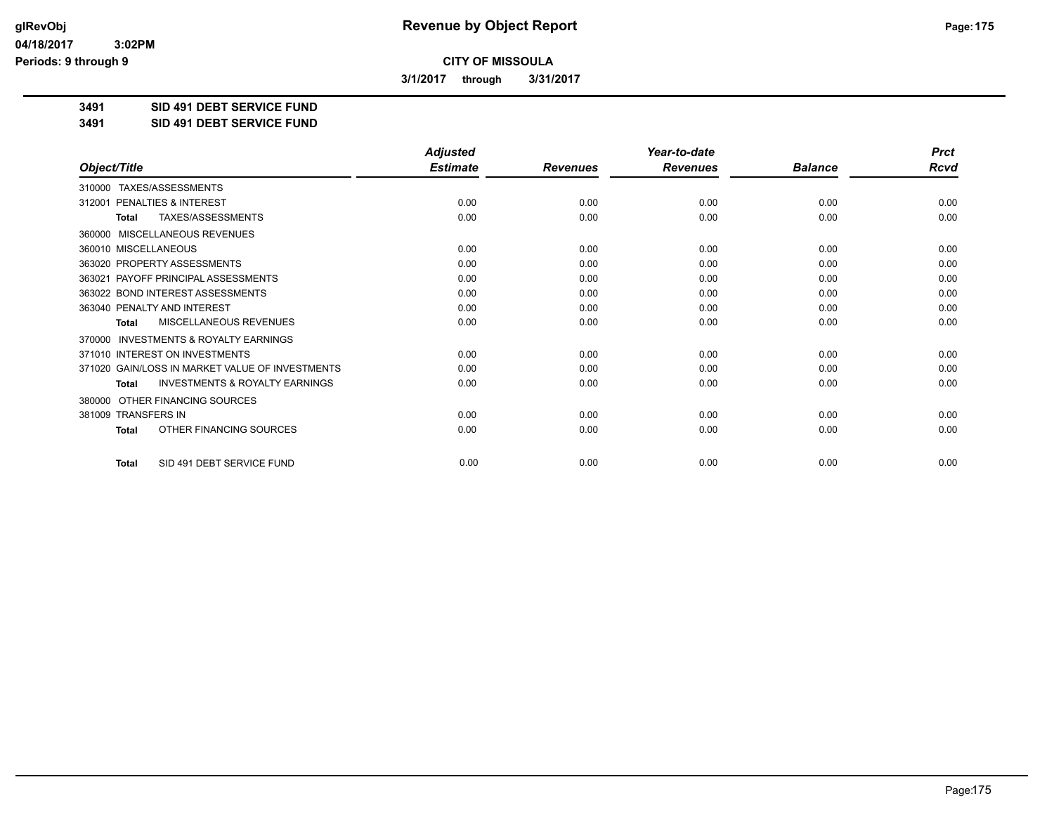**3/1/2017 through 3/31/2017**

**3491 SID 491 DEBT SERVICE FUND**

**3491 SID 491 DEBT SERVICE FUND**

|                                                     | <b>Adjusted</b> |                 | Year-to-date    |                |      |
|-----------------------------------------------------|-----------------|-----------------|-----------------|----------------|------|
| Object/Title                                        | <b>Estimate</b> | <b>Revenues</b> | <b>Revenues</b> | <b>Balance</b> | Rcvd |
| 310000 TAXES/ASSESSMENTS                            |                 |                 |                 |                |      |
| PENALTIES & INTEREST<br>312001                      | 0.00            | 0.00            | 0.00            | 0.00           | 0.00 |
| TAXES/ASSESSMENTS<br><b>Total</b>                   | 0.00            | 0.00            | 0.00            | 0.00           | 0.00 |
| 360000 MISCELLANEOUS REVENUES                       |                 |                 |                 |                |      |
| 360010 MISCELLANEOUS                                | 0.00            | 0.00            | 0.00            | 0.00           | 0.00 |
| 363020 PROPERTY ASSESSMENTS                         | 0.00            | 0.00            | 0.00            | 0.00           | 0.00 |
| 363021 PAYOFF PRINCIPAL ASSESSMENTS                 | 0.00            | 0.00            | 0.00            | 0.00           | 0.00 |
| 363022 BOND INTEREST ASSESSMENTS                    | 0.00            | 0.00            | 0.00            | 0.00           | 0.00 |
| 363040 PENALTY AND INTEREST                         | 0.00            | 0.00            | 0.00            | 0.00           | 0.00 |
| MISCELLANEOUS REVENUES<br>Total                     | 0.00            | 0.00            | 0.00            | 0.00           | 0.00 |
| <b>INVESTMENTS &amp; ROYALTY EARNINGS</b><br>370000 |                 |                 |                 |                |      |
| 371010 INTEREST ON INVESTMENTS                      | 0.00            | 0.00            | 0.00            | 0.00           | 0.00 |
| 371020 GAIN/LOSS IN MARKET VALUE OF INVESTMENTS     | 0.00            | 0.00            | 0.00            | 0.00           | 0.00 |
| <b>INVESTMENTS &amp; ROYALTY EARNINGS</b><br>Total  | 0.00            | 0.00            | 0.00            | 0.00           | 0.00 |
| OTHER FINANCING SOURCES<br>380000                   |                 |                 |                 |                |      |
| 381009 TRANSFERS IN                                 | 0.00            | 0.00            | 0.00            | 0.00           | 0.00 |
| OTHER FINANCING SOURCES<br><b>Total</b>             | 0.00            | 0.00            | 0.00            | 0.00           | 0.00 |
| SID 491 DEBT SERVICE FUND<br><b>Total</b>           | 0.00            | 0.00            | 0.00            | 0.00           | 0.00 |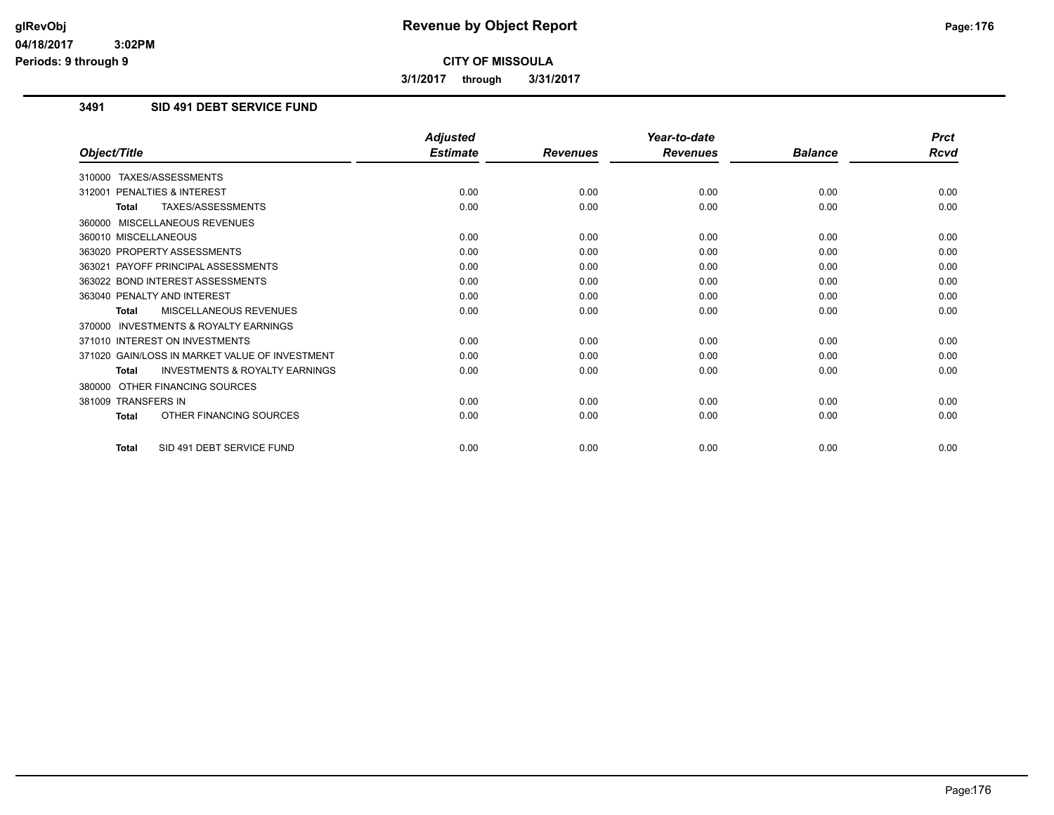**3/1/2017 through 3/31/2017**

## **3491 SID 491 DEBT SERVICE FUND**

|                                                    | <b>Adjusted</b> |                 | Year-to-date    |                | <b>Prct</b> |
|----------------------------------------------------|-----------------|-----------------|-----------------|----------------|-------------|
| Object/Title                                       | <b>Estimate</b> | <b>Revenues</b> | <b>Revenues</b> | <b>Balance</b> | <b>Rcvd</b> |
| 310000 TAXES/ASSESSMENTS                           |                 |                 |                 |                |             |
| PENALTIES & INTEREST<br>312001                     | 0.00            | 0.00            | 0.00            | 0.00           | 0.00        |
| TAXES/ASSESSMENTS<br><b>Total</b>                  | 0.00            | 0.00            | 0.00            | 0.00           | 0.00        |
| 360000 MISCELLANEOUS REVENUES                      |                 |                 |                 |                |             |
| 360010 MISCELLANEOUS                               | 0.00            | 0.00            | 0.00            | 0.00           | 0.00        |
| 363020 PROPERTY ASSESSMENTS                        | 0.00            | 0.00            | 0.00            | 0.00           | 0.00        |
| 363021 PAYOFF PRINCIPAL ASSESSMENTS                | 0.00            | 0.00            | 0.00            | 0.00           | 0.00        |
| 363022 BOND INTEREST ASSESSMENTS                   | 0.00            | 0.00            | 0.00            | 0.00           | 0.00        |
| 363040 PENALTY AND INTEREST                        | 0.00            | 0.00            | 0.00            | 0.00           | 0.00        |
| <b>MISCELLANEOUS REVENUES</b><br>Total             | 0.00            | 0.00            | 0.00            | 0.00           | 0.00        |
| 370000 INVESTMENTS & ROYALTY EARNINGS              |                 |                 |                 |                |             |
| 371010 INTEREST ON INVESTMENTS                     | 0.00            | 0.00            | 0.00            | 0.00           | 0.00        |
| 371020 GAIN/LOSS IN MARKET VALUE OF INVESTMENT     | 0.00            | 0.00            | 0.00            | 0.00           | 0.00        |
| <b>INVESTMENTS &amp; ROYALTY EARNINGS</b><br>Total | 0.00            | 0.00            | 0.00            | 0.00           | 0.00        |
| 380000 OTHER FINANCING SOURCES                     |                 |                 |                 |                |             |
| 381009 TRANSFERS IN                                | 0.00            | 0.00            | 0.00            | 0.00           | 0.00        |
| OTHER FINANCING SOURCES<br>Total                   | 0.00            | 0.00            | 0.00            | 0.00           | 0.00        |
| SID 491 DEBT SERVICE FUND<br><b>Total</b>          | 0.00            | 0.00            | 0.00            | 0.00           | 0.00        |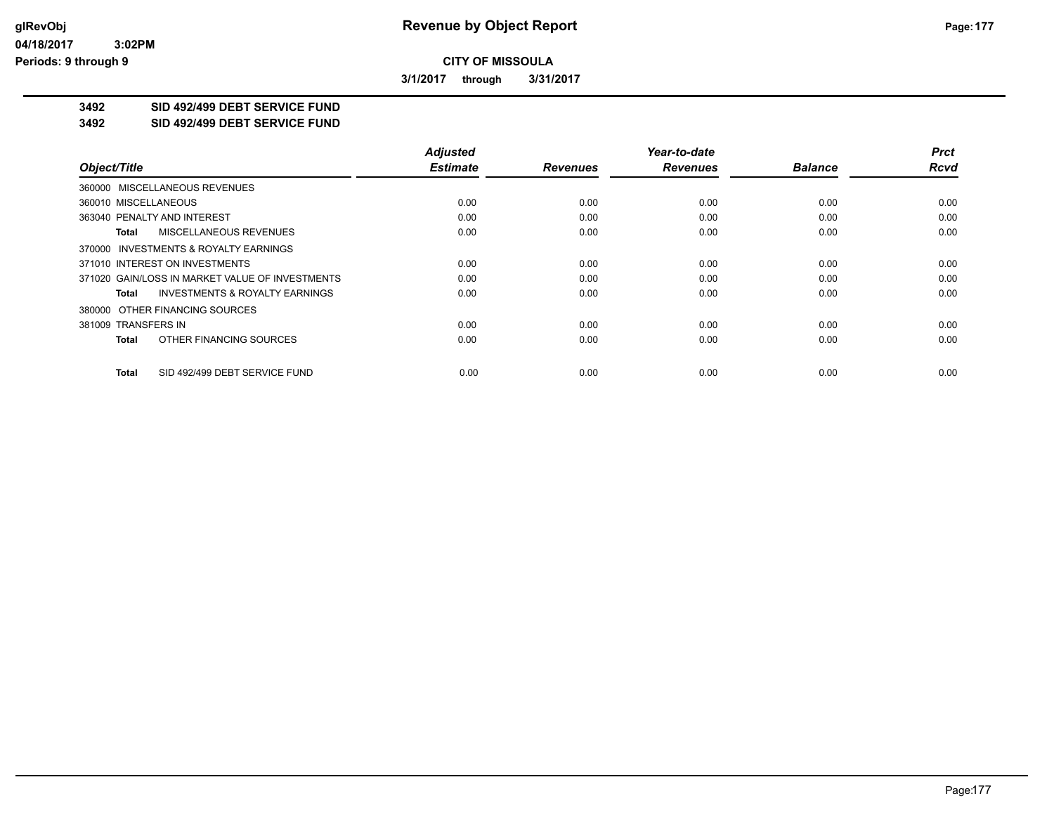**3/1/2017 through 3/31/2017**

**3492 SID 492/499 DEBT SERVICE FUND**

**3492 SID 492/499 DEBT SERVICE FUND**

|                                                    | <b>Adjusted</b> |                 | Year-to-date    |                | <b>Prct</b> |
|----------------------------------------------------|-----------------|-----------------|-----------------|----------------|-------------|
| Object/Title                                       | <b>Estimate</b> | <b>Revenues</b> | <b>Revenues</b> | <b>Balance</b> | <b>Rcvd</b> |
| 360000 MISCELLANEOUS REVENUES                      |                 |                 |                 |                |             |
| 360010 MISCELLANEOUS                               | 0.00            | 0.00            | 0.00            | 0.00           | 0.00        |
| 363040 PENALTY AND INTEREST                        | 0.00            | 0.00            | 0.00            | 0.00           | 0.00        |
| MISCELLANEOUS REVENUES<br>Total                    | 0.00            | 0.00            | 0.00            | 0.00           | 0.00        |
| 370000 INVESTMENTS & ROYALTY EARNINGS              |                 |                 |                 |                |             |
| 371010 INTEREST ON INVESTMENTS                     | 0.00            | 0.00            | 0.00            | 0.00           | 0.00        |
| 371020 GAIN/LOSS IN MARKET VALUE OF INVESTMENTS    | 0.00            | 0.00            | 0.00            | 0.00           | 0.00        |
| <b>INVESTMENTS &amp; ROYALTY EARNINGS</b><br>Total | 0.00            | 0.00            | 0.00            | 0.00           | 0.00        |
| 380000 OTHER FINANCING SOURCES                     |                 |                 |                 |                |             |
| 381009 TRANSFERS IN                                | 0.00            | 0.00            | 0.00            | 0.00           | 0.00        |
| OTHER FINANCING SOURCES<br>Total                   | 0.00            | 0.00            | 0.00            | 0.00           | 0.00        |
| <b>Total</b><br>SID 492/499 DEBT SERVICE FUND      | 0.00            | 0.00            | 0.00            | 0.00           | 0.00        |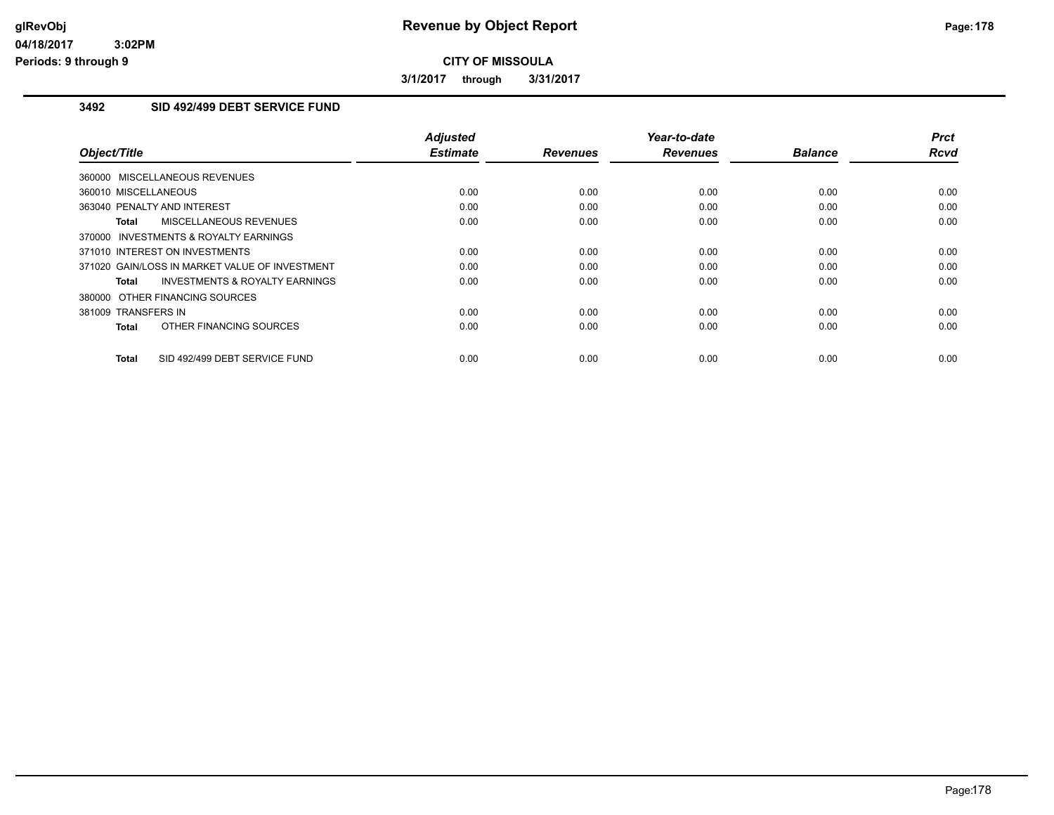**3/1/2017 through 3/31/2017**

### **3492 SID 492/499 DEBT SERVICE FUND**

| Object/Title                                              | <b>Adjusted</b><br><b>Estimate</b> | <b>Revenues</b> | Year-to-date<br><b>Revenues</b> | <b>Balance</b> | <b>Prct</b><br>Rcvd |
|-----------------------------------------------------------|------------------------------------|-----------------|---------------------------------|----------------|---------------------|
| 360000 MISCELLANEOUS REVENUES                             |                                    |                 |                                 |                |                     |
| 360010 MISCELLANEOUS                                      | 0.00                               | 0.00            | 0.00                            | 0.00           | 0.00                |
| 363040 PENALTY AND INTEREST                               | 0.00                               | 0.00            | 0.00                            | 0.00           | 0.00                |
| MISCELLANEOUS REVENUES<br>Total                           | 0.00                               | 0.00            | 0.00                            | 0.00           | 0.00                |
| INVESTMENTS & ROYALTY EARNINGS<br>370000                  |                                    |                 |                                 |                |                     |
| 371010 INTEREST ON INVESTMENTS                            | 0.00                               | 0.00            | 0.00                            | 0.00           | 0.00                |
| 371020 GAIN/LOSS IN MARKET VALUE OF INVESTMENT            | 0.00                               | 0.00            | 0.00                            | 0.00           | 0.00                |
| <b>INVESTMENTS &amp; ROYALTY EARNINGS</b><br><b>Total</b> | 0.00                               | 0.00            | 0.00                            | 0.00           | 0.00                |
| 380000 OTHER FINANCING SOURCES                            |                                    |                 |                                 |                |                     |
| 381009 TRANSFERS IN                                       | 0.00                               | 0.00            | 0.00                            | 0.00           | 0.00                |
| OTHER FINANCING SOURCES<br><b>Total</b>                   | 0.00                               | 0.00            | 0.00                            | 0.00           | 0.00                |
| SID 492/499 DEBT SERVICE FUND<br><b>Total</b>             | 0.00                               | 0.00            | 0.00                            | 0.00           | 0.00                |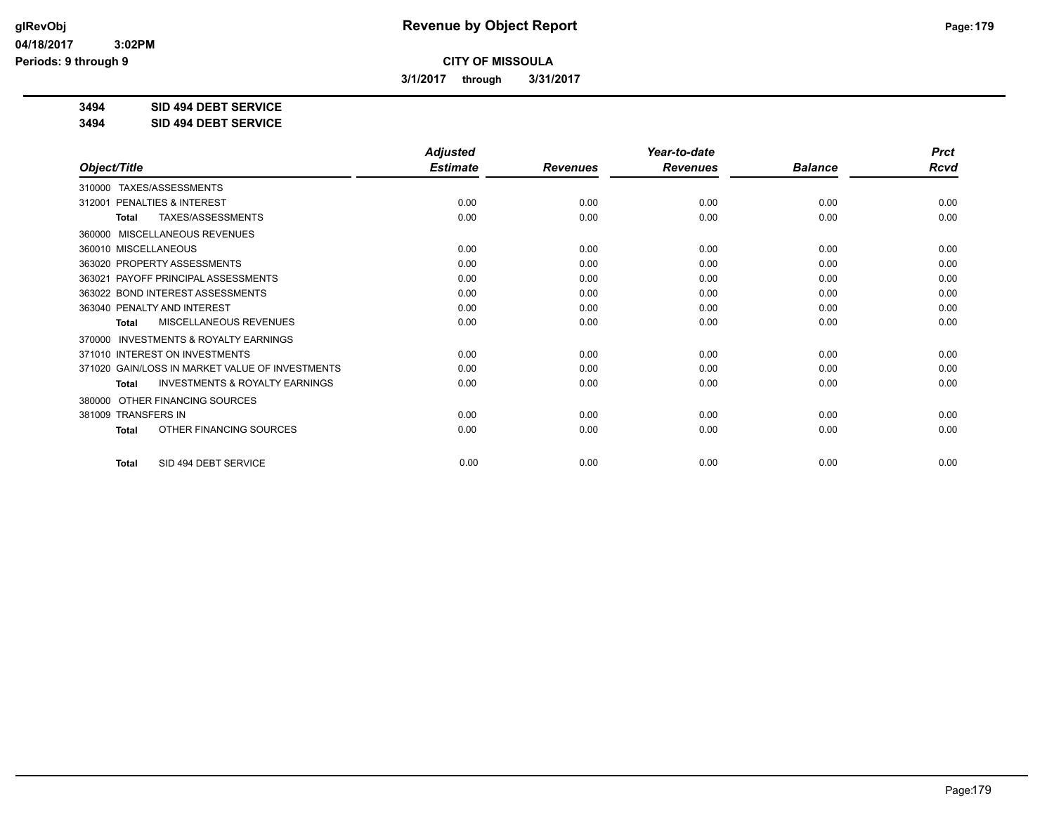**3/1/2017 through 3/31/2017**

**3494 SID 494 DEBT SERVICE**

**3494 SID 494 DEBT SERVICE**

|                                                           | <b>Adjusted</b> |                 | Year-to-date    |                |             |
|-----------------------------------------------------------|-----------------|-----------------|-----------------|----------------|-------------|
| Object/Title                                              | <b>Estimate</b> | <b>Revenues</b> | <b>Revenues</b> | <b>Balance</b> | <b>Rcvd</b> |
| 310000 TAXES/ASSESSMENTS                                  |                 |                 |                 |                |             |
| PENALTIES & INTEREST<br>312001                            | 0.00            | 0.00            | 0.00            | 0.00           | 0.00        |
| TAXES/ASSESSMENTS<br><b>Total</b>                         | 0.00            | 0.00            | 0.00            | 0.00           | 0.00        |
| 360000 MISCELLANEOUS REVENUES                             |                 |                 |                 |                |             |
| 360010 MISCELLANEOUS                                      | 0.00            | 0.00            | 0.00            | 0.00           | 0.00        |
| 363020 PROPERTY ASSESSMENTS                               | 0.00            | 0.00            | 0.00            | 0.00           | 0.00        |
| 363021 PAYOFF PRINCIPAL ASSESSMENTS                       | 0.00            | 0.00            | 0.00            | 0.00           | 0.00        |
| 363022 BOND INTEREST ASSESSMENTS                          | 0.00            | 0.00            | 0.00            | 0.00           | 0.00        |
| 363040 PENALTY AND INTEREST                               | 0.00            | 0.00            | 0.00            | 0.00           | 0.00        |
| MISCELLANEOUS REVENUES<br><b>Total</b>                    | 0.00            | 0.00            | 0.00            | 0.00           | 0.00        |
| <b>INVESTMENTS &amp; ROYALTY EARNINGS</b><br>370000       |                 |                 |                 |                |             |
| 371010 INTEREST ON INVESTMENTS                            | 0.00            | 0.00            | 0.00            | 0.00           | 0.00        |
| 371020 GAIN/LOSS IN MARKET VALUE OF INVESTMENTS           | 0.00            | 0.00            | 0.00            | 0.00           | 0.00        |
| <b>INVESTMENTS &amp; ROYALTY EARNINGS</b><br><b>Total</b> | 0.00            | 0.00            | 0.00            | 0.00           | 0.00        |
| OTHER FINANCING SOURCES<br>380000                         |                 |                 |                 |                |             |
| 381009 TRANSFERS IN                                       | 0.00            | 0.00            | 0.00            | 0.00           | 0.00        |
| OTHER FINANCING SOURCES<br><b>Total</b>                   | 0.00            | 0.00            | 0.00            | 0.00           | 0.00        |
| SID 494 DEBT SERVICE<br><b>Total</b>                      | 0.00            | 0.00            | 0.00            | 0.00           | 0.00        |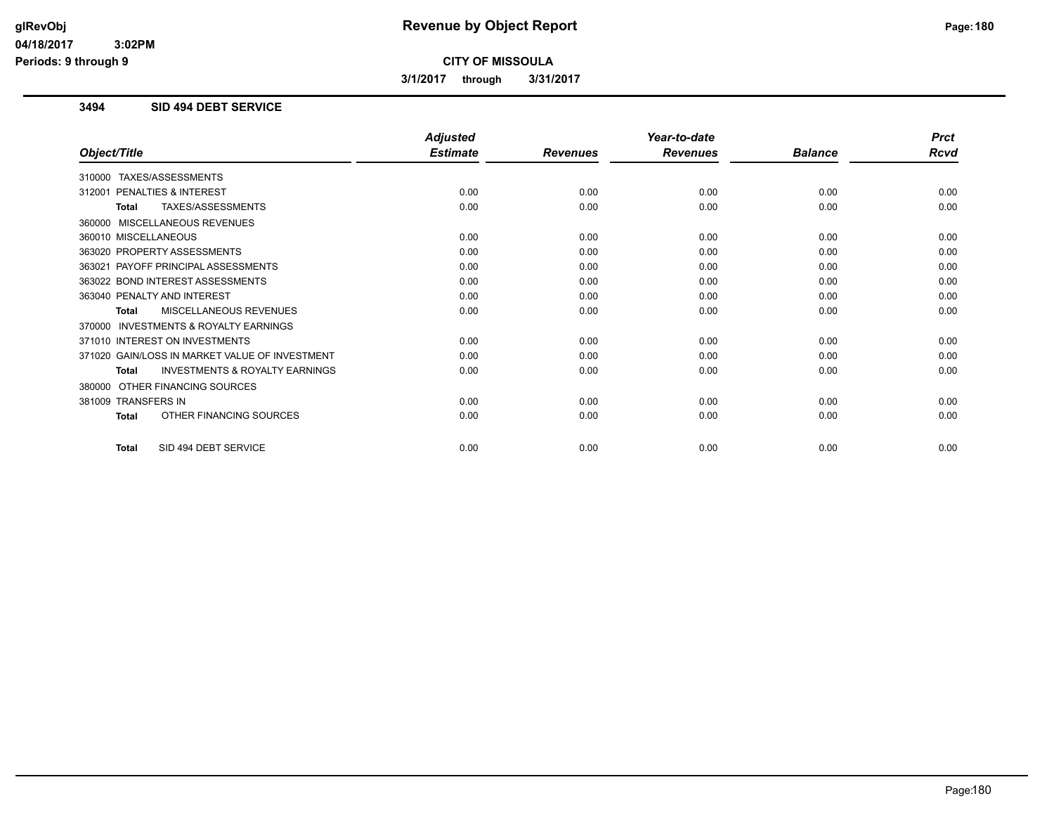**3/1/2017 through 3/31/2017**

### **3494 SID 494 DEBT SERVICE**

|                                                           | <b>Adjusted</b> |                 | Year-to-date    |                | <b>Prct</b> |
|-----------------------------------------------------------|-----------------|-----------------|-----------------|----------------|-------------|
| Object/Title                                              | <b>Estimate</b> | <b>Revenues</b> | <b>Revenues</b> | <b>Balance</b> | <b>Rcvd</b> |
| 310000 TAXES/ASSESSMENTS                                  |                 |                 |                 |                |             |
| 312001 PENALTIES & INTEREST                               | 0.00            | 0.00            | 0.00            | 0.00           | 0.00        |
| TAXES/ASSESSMENTS<br><b>Total</b>                         | 0.00            | 0.00            | 0.00            | 0.00           | 0.00        |
| 360000 MISCELLANEOUS REVENUES                             |                 |                 |                 |                |             |
| 360010 MISCELLANEOUS                                      | 0.00            | 0.00            | 0.00            | 0.00           | 0.00        |
| 363020 PROPERTY ASSESSMENTS                               | 0.00            | 0.00            | 0.00            | 0.00           | 0.00        |
| 363021 PAYOFF PRINCIPAL ASSESSMENTS                       | 0.00            | 0.00            | 0.00            | 0.00           | 0.00        |
| 363022 BOND INTEREST ASSESSMENTS                          | 0.00            | 0.00            | 0.00            | 0.00           | 0.00        |
| 363040 PENALTY AND INTEREST                               | 0.00            | 0.00            | 0.00            | 0.00           | 0.00        |
| <b>MISCELLANEOUS REVENUES</b><br>Total                    | 0.00            | 0.00            | 0.00            | 0.00           | 0.00        |
| <b>INVESTMENTS &amp; ROYALTY EARNINGS</b><br>370000       |                 |                 |                 |                |             |
| 371010 INTEREST ON INVESTMENTS                            | 0.00            | 0.00            | 0.00            | 0.00           | 0.00        |
| 371020 GAIN/LOSS IN MARKET VALUE OF INVESTMENT            | 0.00            | 0.00            | 0.00            | 0.00           | 0.00        |
| <b>INVESTMENTS &amp; ROYALTY EARNINGS</b><br><b>Total</b> | 0.00            | 0.00            | 0.00            | 0.00           | 0.00        |
| 380000 OTHER FINANCING SOURCES                            |                 |                 |                 |                |             |
| 381009 TRANSFERS IN                                       | 0.00            | 0.00            | 0.00            | 0.00           | 0.00        |
| OTHER FINANCING SOURCES<br><b>Total</b>                   | 0.00            | 0.00            | 0.00            | 0.00           | 0.00        |
| SID 494 DEBT SERVICE<br><b>Total</b>                      | 0.00            | 0.00            | 0.00            | 0.00           | 0.00        |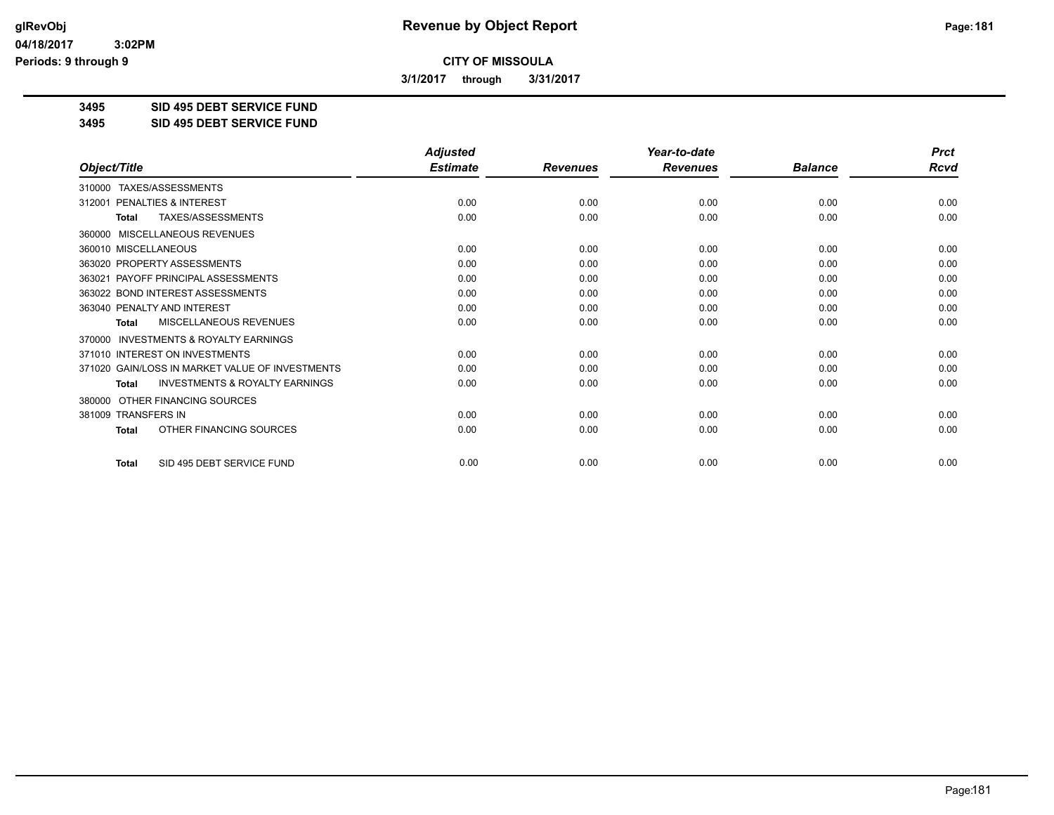**3/1/2017 through 3/31/2017**

**3495 SID 495 DEBT SERVICE FUND**

**3495 SID 495 DEBT SERVICE FUND**

|                                                           | <b>Adjusted</b> |                 | Year-to-date    |                | <b>Prct</b> |
|-----------------------------------------------------------|-----------------|-----------------|-----------------|----------------|-------------|
| Object/Title                                              | <b>Estimate</b> | <b>Revenues</b> | <b>Revenues</b> | <b>Balance</b> | <b>Rcvd</b> |
| 310000 TAXES/ASSESSMENTS                                  |                 |                 |                 |                |             |
| 312001 PENALTIES & INTEREST                               | 0.00            | 0.00            | 0.00            | 0.00           | 0.00        |
| TAXES/ASSESSMENTS<br><b>Total</b>                         | 0.00            | 0.00            | 0.00            | 0.00           | 0.00        |
| 360000 MISCELLANEOUS REVENUES                             |                 |                 |                 |                |             |
| 360010 MISCELLANEOUS                                      | 0.00            | 0.00            | 0.00            | 0.00           | 0.00        |
| 363020 PROPERTY ASSESSMENTS                               | 0.00            | 0.00            | 0.00            | 0.00           | 0.00        |
| 363021 PAYOFF PRINCIPAL ASSESSMENTS                       | 0.00            | 0.00            | 0.00            | 0.00           | 0.00        |
| 363022 BOND INTEREST ASSESSMENTS                          | 0.00            | 0.00            | 0.00            | 0.00           | 0.00        |
| 363040 PENALTY AND INTEREST                               | 0.00            | 0.00            | 0.00            | 0.00           | 0.00        |
| MISCELLANEOUS REVENUES<br>Total                           | 0.00            | 0.00            | 0.00            | 0.00           | 0.00        |
| <b>INVESTMENTS &amp; ROYALTY EARNINGS</b><br>370000       |                 |                 |                 |                |             |
| 371010 INTEREST ON INVESTMENTS                            | 0.00            | 0.00            | 0.00            | 0.00           | 0.00        |
| 371020 GAIN/LOSS IN MARKET VALUE OF INVESTMENTS           | 0.00            | 0.00            | 0.00            | 0.00           | 0.00        |
| <b>INVESTMENTS &amp; ROYALTY EARNINGS</b><br><b>Total</b> | 0.00            | 0.00            | 0.00            | 0.00           | 0.00        |
| OTHER FINANCING SOURCES<br>380000                         |                 |                 |                 |                |             |
| 381009 TRANSFERS IN                                       | 0.00            | 0.00            | 0.00            | 0.00           | 0.00        |
| OTHER FINANCING SOURCES<br><b>Total</b>                   | 0.00            | 0.00            | 0.00            | 0.00           | 0.00        |
| SID 495 DEBT SERVICE FUND<br><b>Total</b>                 | 0.00            | 0.00            | 0.00            | 0.00           | 0.00        |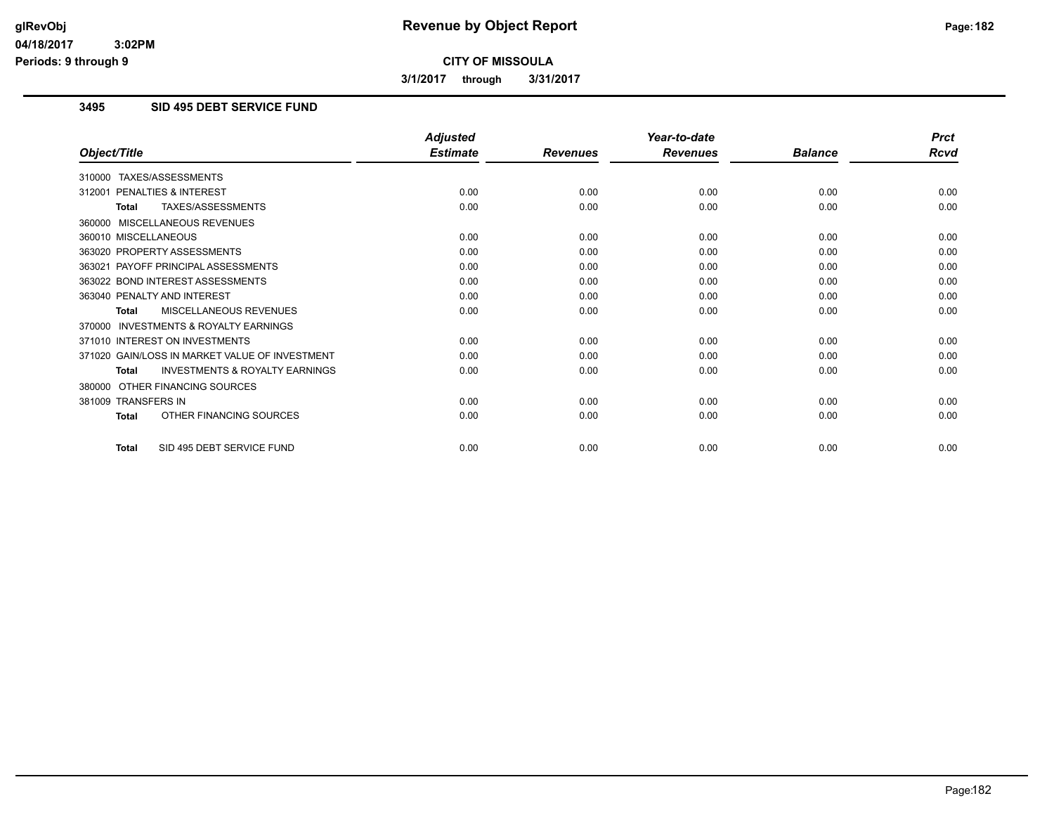**3/1/2017 through 3/31/2017**

### **3495 SID 495 DEBT SERVICE FUND**

|                                                           | <b>Adjusted</b> |                 | Year-to-date    |                | <b>Prct</b> |
|-----------------------------------------------------------|-----------------|-----------------|-----------------|----------------|-------------|
| Object/Title                                              | <b>Estimate</b> | <b>Revenues</b> | <b>Revenues</b> | <b>Balance</b> | <b>Rcvd</b> |
| 310000 TAXES/ASSESSMENTS                                  |                 |                 |                 |                |             |
| PENALTIES & INTEREST<br>312001                            | 0.00            | 0.00            | 0.00            | 0.00           | 0.00        |
| TAXES/ASSESSMENTS<br><b>Total</b>                         | 0.00            | 0.00            | 0.00            | 0.00           | 0.00        |
| 360000 MISCELLANEOUS REVENUES                             |                 |                 |                 |                |             |
| 360010 MISCELLANEOUS                                      | 0.00            | 0.00            | 0.00            | 0.00           | 0.00        |
| 363020 PROPERTY ASSESSMENTS                               | 0.00            | 0.00            | 0.00            | 0.00           | 0.00        |
| 363021 PAYOFF PRINCIPAL ASSESSMENTS                       | 0.00            | 0.00            | 0.00            | 0.00           | 0.00        |
| 363022 BOND INTEREST ASSESSMENTS                          | 0.00            | 0.00            | 0.00            | 0.00           | 0.00        |
| 363040 PENALTY AND INTEREST                               | 0.00            | 0.00            | 0.00            | 0.00           | 0.00        |
| MISCELLANEOUS REVENUES<br><b>Total</b>                    | 0.00            | 0.00            | 0.00            | 0.00           | 0.00        |
| <b>INVESTMENTS &amp; ROYALTY EARNINGS</b><br>370000       |                 |                 |                 |                |             |
| 371010 INTEREST ON INVESTMENTS                            | 0.00            | 0.00            | 0.00            | 0.00           | 0.00        |
| 371020 GAIN/LOSS IN MARKET VALUE OF INVESTMENT            | 0.00            | 0.00            | 0.00            | 0.00           | 0.00        |
| <b>INVESTMENTS &amp; ROYALTY EARNINGS</b><br><b>Total</b> | 0.00            | 0.00            | 0.00            | 0.00           | 0.00        |
| 380000 OTHER FINANCING SOURCES                            |                 |                 |                 |                |             |
| 381009 TRANSFERS IN                                       | 0.00            | 0.00            | 0.00            | 0.00           | 0.00        |
| OTHER FINANCING SOURCES<br><b>Total</b>                   | 0.00            | 0.00            | 0.00            | 0.00           | 0.00        |
| SID 495 DEBT SERVICE FUND<br><b>Total</b>                 | 0.00            | 0.00            | 0.00            | 0.00           | 0.00        |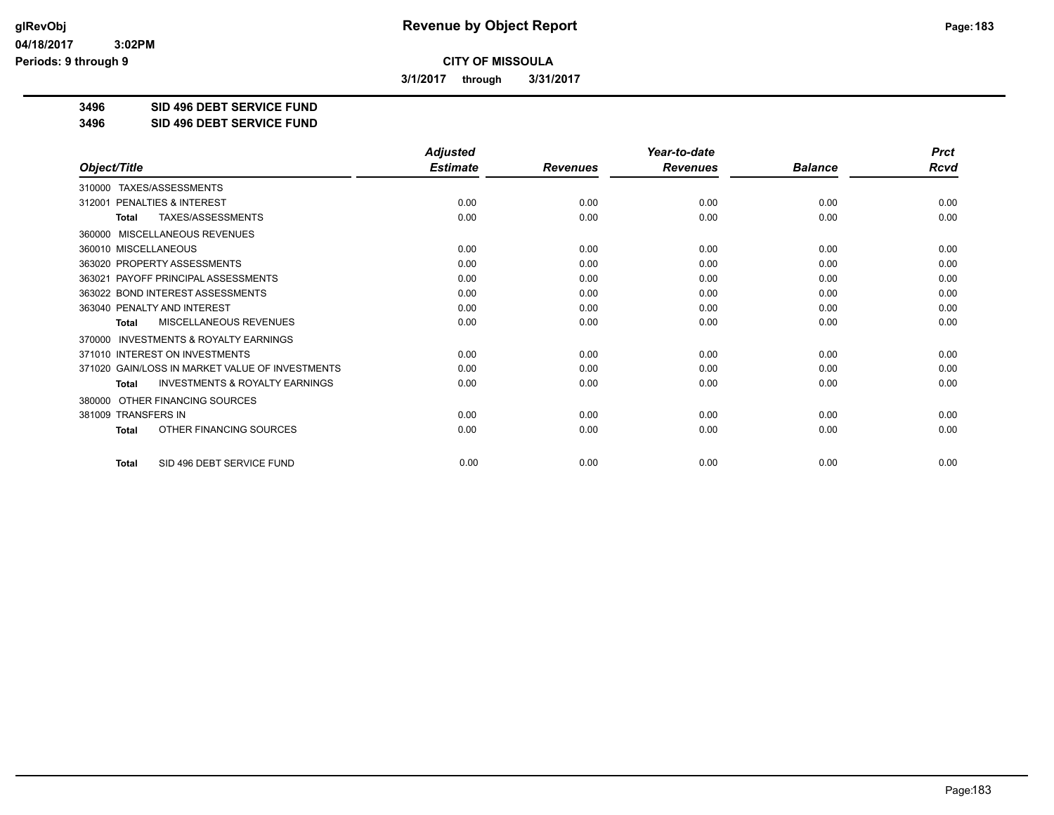**3/1/2017 through 3/31/2017**

**3496 SID 496 DEBT SERVICE FUND**

**3496 SID 496 DEBT SERVICE FUND**

|                                                     | <b>Adjusted</b> |                 | Year-to-date    |                | <b>Prct</b> |
|-----------------------------------------------------|-----------------|-----------------|-----------------|----------------|-------------|
| Object/Title                                        | <b>Estimate</b> | <b>Revenues</b> | <b>Revenues</b> | <b>Balance</b> | Rcvd        |
| TAXES/ASSESSMENTS<br>310000                         |                 |                 |                 |                |             |
| 312001 PENALTIES & INTEREST                         | 0.00            | 0.00            | 0.00            | 0.00           | 0.00        |
| TAXES/ASSESSMENTS<br><b>Total</b>                   | 0.00            | 0.00            | 0.00            | 0.00           | 0.00        |
| 360000 MISCELLANEOUS REVENUES                       |                 |                 |                 |                |             |
| 360010 MISCELLANEOUS                                | 0.00            | 0.00            | 0.00            | 0.00           | 0.00        |
| 363020 PROPERTY ASSESSMENTS                         | 0.00            | 0.00            | 0.00            | 0.00           | 0.00        |
| 363021 PAYOFF PRINCIPAL ASSESSMENTS                 | 0.00            | 0.00            | 0.00            | 0.00           | 0.00        |
| 363022 BOND INTEREST ASSESSMENTS                    | 0.00            | 0.00            | 0.00            | 0.00           | 0.00        |
| 363040 PENALTY AND INTEREST                         | 0.00            | 0.00            | 0.00            | 0.00           | 0.00        |
| MISCELLANEOUS REVENUES<br>Total                     | 0.00            | 0.00            | 0.00            | 0.00           | 0.00        |
| <b>INVESTMENTS &amp; ROYALTY EARNINGS</b><br>370000 |                 |                 |                 |                |             |
| 371010 INTEREST ON INVESTMENTS                      | 0.00            | 0.00            | 0.00            | 0.00           | 0.00        |
| 371020 GAIN/LOSS IN MARKET VALUE OF INVESTMENTS     | 0.00            | 0.00            | 0.00            | 0.00           | 0.00        |
| <b>INVESTMENTS &amp; ROYALTY EARNINGS</b><br>Total  | 0.00            | 0.00            | 0.00            | 0.00           | 0.00        |
| OTHER FINANCING SOURCES<br>380000                   |                 |                 |                 |                |             |
| 381009 TRANSFERS IN                                 | 0.00            | 0.00            | 0.00            | 0.00           | 0.00        |
| OTHER FINANCING SOURCES<br><b>Total</b>             | 0.00            | 0.00            | 0.00            | 0.00           | 0.00        |
| SID 496 DEBT SERVICE FUND<br><b>Total</b>           | 0.00            | 0.00            | 0.00            | 0.00           | 0.00        |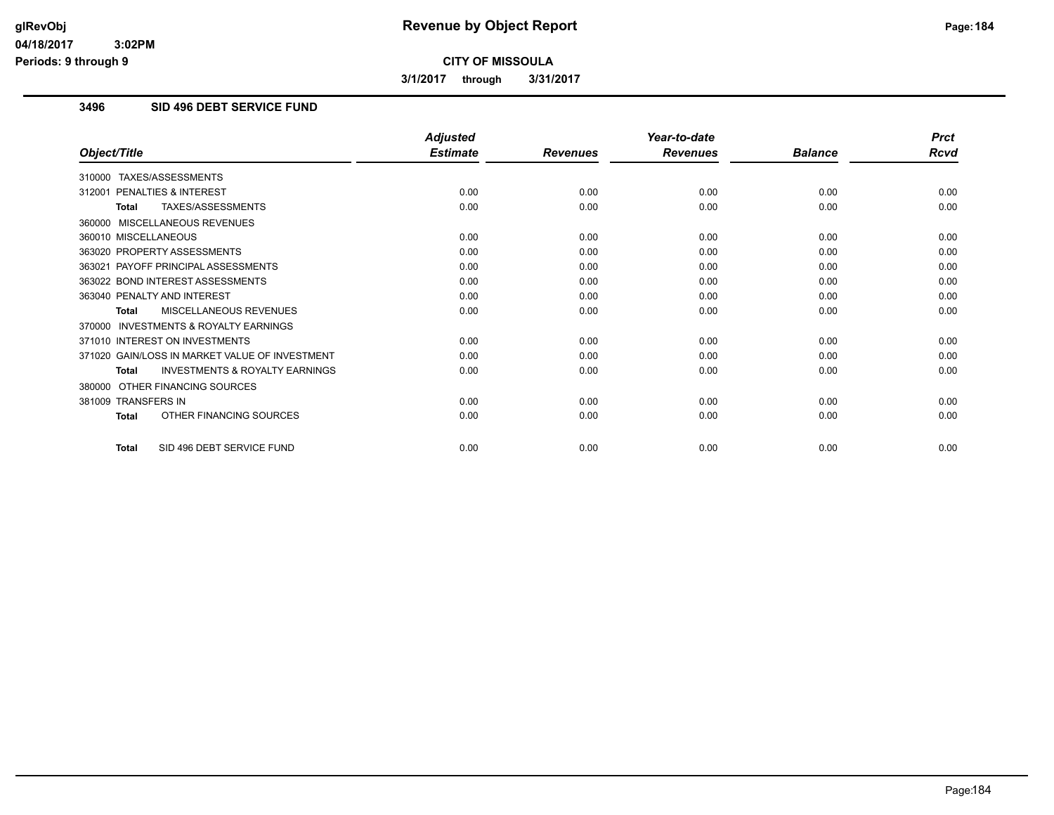**3/1/2017 through 3/31/2017**

### **3496 SID 496 DEBT SERVICE FUND**

|                                                     | <b>Adjusted</b> |                 | Year-to-date    |                | <b>Prct</b> |
|-----------------------------------------------------|-----------------|-----------------|-----------------|----------------|-------------|
| Object/Title                                        | <b>Estimate</b> | <b>Revenues</b> | <b>Revenues</b> | <b>Balance</b> | Rcvd        |
| 310000 TAXES/ASSESSMENTS                            |                 |                 |                 |                |             |
| 312001 PENALTIES & INTEREST                         | 0.00            | 0.00            | 0.00            | 0.00           | 0.00        |
| TAXES/ASSESSMENTS<br><b>Total</b>                   | 0.00            | 0.00            | 0.00            | 0.00           | 0.00        |
| 360000 MISCELLANEOUS REVENUES                       |                 |                 |                 |                |             |
| 360010 MISCELLANEOUS                                | 0.00            | 0.00            | 0.00            | 0.00           | 0.00        |
| 363020 PROPERTY ASSESSMENTS                         | 0.00            | 0.00            | 0.00            | 0.00           | 0.00        |
| 363021 PAYOFF PRINCIPAL ASSESSMENTS                 | 0.00            | 0.00            | 0.00            | 0.00           | 0.00        |
| 363022 BOND INTEREST ASSESSMENTS                    | 0.00            | 0.00            | 0.00            | 0.00           | 0.00        |
| 363040 PENALTY AND INTEREST                         | 0.00            | 0.00            | 0.00            | 0.00           | 0.00        |
| MISCELLANEOUS REVENUES<br>Total                     | 0.00            | 0.00            | 0.00            | 0.00           | 0.00        |
| <b>INVESTMENTS &amp; ROYALTY EARNINGS</b><br>370000 |                 |                 |                 |                |             |
| 371010 INTEREST ON INVESTMENTS                      | 0.00            | 0.00            | 0.00            | 0.00           | 0.00        |
| 371020 GAIN/LOSS IN MARKET VALUE OF INVESTMENT      | 0.00            | 0.00            | 0.00            | 0.00           | 0.00        |
| <b>INVESTMENTS &amp; ROYALTY EARNINGS</b><br>Total  | 0.00            | 0.00            | 0.00            | 0.00           | 0.00        |
| OTHER FINANCING SOURCES<br>380000                   |                 |                 |                 |                |             |
| 381009 TRANSFERS IN                                 | 0.00            | 0.00            | 0.00            | 0.00           | 0.00        |
| OTHER FINANCING SOURCES<br><b>Total</b>             | 0.00            | 0.00            | 0.00            | 0.00           | 0.00        |
| SID 496 DEBT SERVICE FUND<br><b>Total</b>           | 0.00            | 0.00            | 0.00            | 0.00           | 0.00        |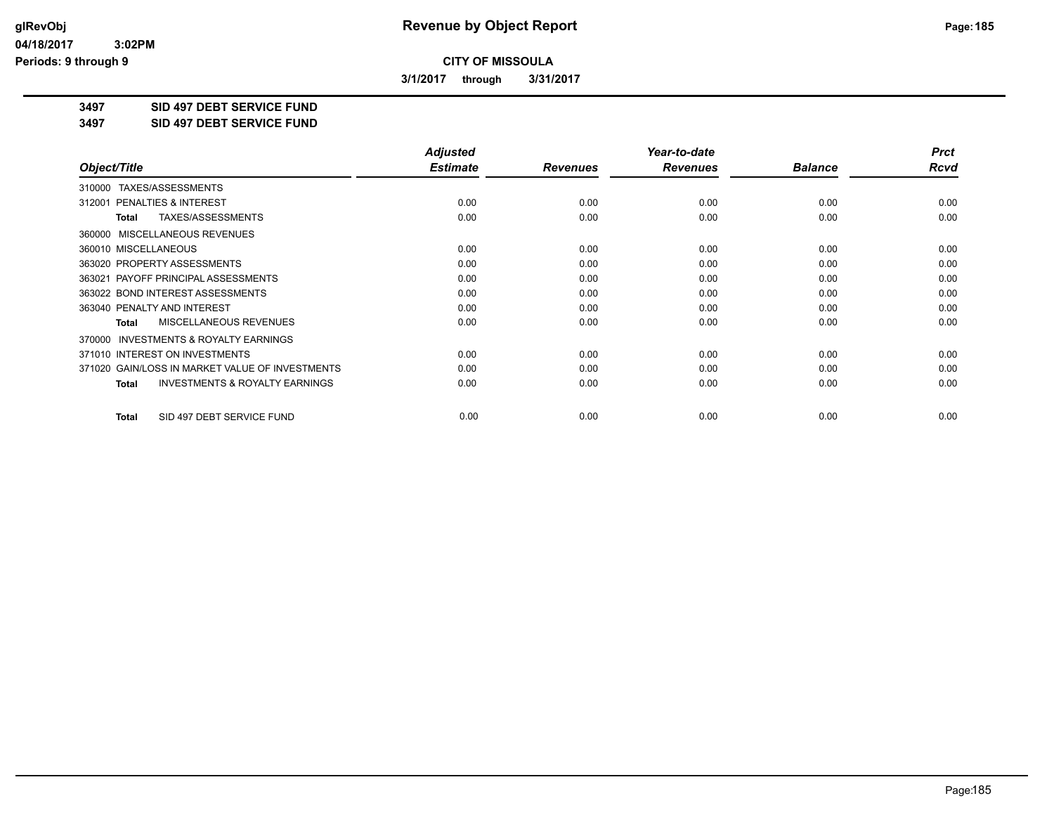**3/1/2017 through 3/31/2017**

**3497 SID 497 DEBT SERVICE FUND**

**3497 SID 497 DEBT SERVICE FUND**

|                                                           | <b>Adjusted</b> |                 | Year-to-date    |                | <b>Prct</b> |
|-----------------------------------------------------------|-----------------|-----------------|-----------------|----------------|-------------|
| Object/Title                                              | <b>Estimate</b> | <b>Revenues</b> | <b>Revenues</b> | <b>Balance</b> | Rcvd        |
| 310000 TAXES/ASSESSMENTS                                  |                 |                 |                 |                |             |
| 312001 PENALTIES & INTEREST                               | 0.00            | 0.00            | 0.00            | 0.00           | 0.00        |
| TAXES/ASSESSMENTS<br>Total                                | 0.00            | 0.00            | 0.00            | 0.00           | 0.00        |
| 360000 MISCELLANEOUS REVENUES                             |                 |                 |                 |                |             |
| 360010 MISCELLANEOUS                                      | 0.00            | 0.00            | 0.00            | 0.00           | 0.00        |
| 363020 PROPERTY ASSESSMENTS                               | 0.00            | 0.00            | 0.00            | 0.00           | 0.00        |
| 363021 PAYOFF PRINCIPAL ASSESSMENTS                       | 0.00            | 0.00            | 0.00            | 0.00           | 0.00        |
| 363022 BOND INTEREST ASSESSMENTS                          | 0.00            | 0.00            | 0.00            | 0.00           | 0.00        |
| 363040 PENALTY AND INTEREST                               | 0.00            | 0.00            | 0.00            | 0.00           | 0.00        |
| MISCELLANEOUS REVENUES<br><b>Total</b>                    | 0.00            | 0.00            | 0.00            | 0.00           | 0.00        |
| INVESTMENTS & ROYALTY EARNINGS<br>370000                  |                 |                 |                 |                |             |
| 371010 INTEREST ON INVESTMENTS                            | 0.00            | 0.00            | 0.00            | 0.00           | 0.00        |
| 371020 GAIN/LOSS IN MARKET VALUE OF INVESTMENTS           | 0.00            | 0.00            | 0.00            | 0.00           | 0.00        |
| <b>INVESTMENTS &amp; ROYALTY EARNINGS</b><br><b>Total</b> | 0.00            | 0.00            | 0.00            | 0.00           | 0.00        |
| SID 497 DEBT SERVICE FUND<br>Total                        | 0.00            | 0.00            | 0.00            | 0.00           | 0.00        |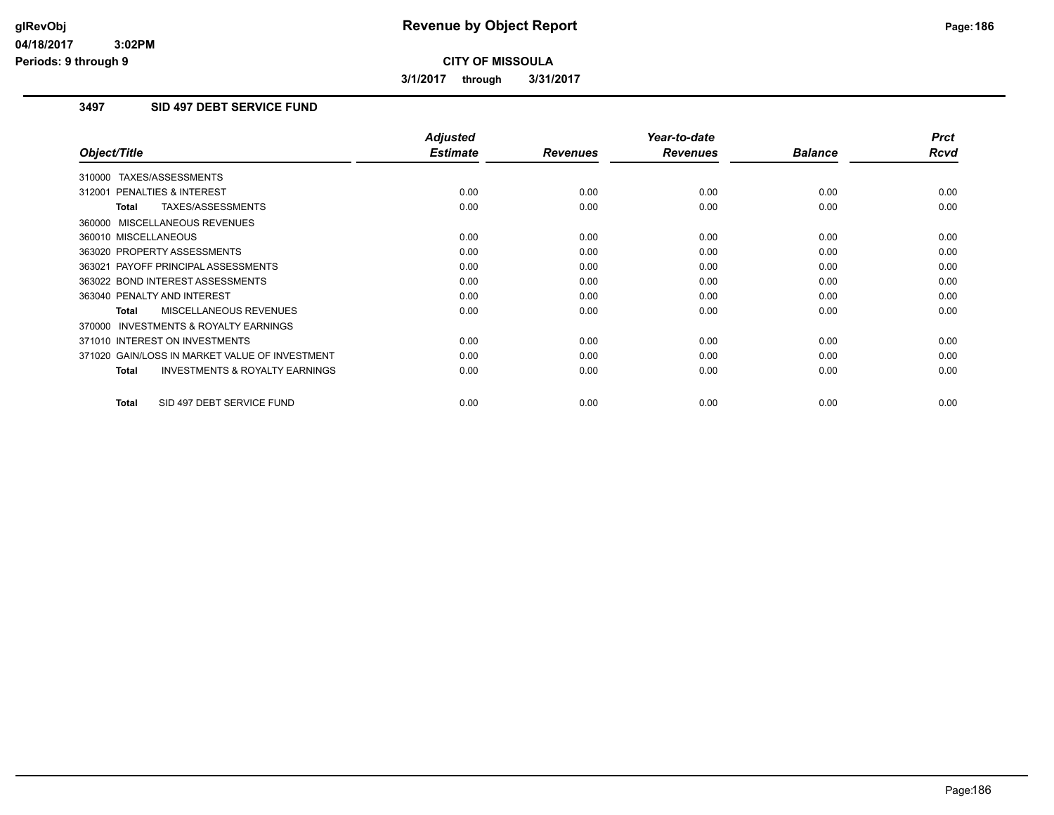**3/1/2017 through 3/31/2017**

### **3497 SID 497 DEBT SERVICE FUND**

|                                                           | <b>Adjusted</b> |                 | Year-to-date    |                | <b>Prct</b> |
|-----------------------------------------------------------|-----------------|-----------------|-----------------|----------------|-------------|
| Object/Title                                              | <b>Estimate</b> | <b>Revenues</b> | <b>Revenues</b> | <b>Balance</b> | <b>Rcvd</b> |
| 310000 TAXES/ASSESSMENTS                                  |                 |                 |                 |                |             |
| 312001 PENALTIES & INTEREST                               | 0.00            | 0.00            | 0.00            | 0.00           | 0.00        |
| TAXES/ASSESSMENTS<br><b>Total</b>                         | 0.00            | 0.00            | 0.00            | 0.00           | 0.00        |
| 360000 MISCELLANEOUS REVENUES                             |                 |                 |                 |                |             |
| 360010 MISCELLANEOUS                                      | 0.00            | 0.00            | 0.00            | 0.00           | 0.00        |
| 363020 PROPERTY ASSESSMENTS                               | 0.00            | 0.00            | 0.00            | 0.00           | 0.00        |
| 363021 PAYOFF PRINCIPAL ASSESSMENTS                       | 0.00            | 0.00            | 0.00            | 0.00           | 0.00        |
| 363022 BOND INTEREST ASSESSMENTS                          | 0.00            | 0.00            | 0.00            | 0.00           | 0.00        |
| 363040 PENALTY AND INTEREST                               | 0.00            | 0.00            | 0.00            | 0.00           | 0.00        |
| MISCELLANEOUS REVENUES<br><b>Total</b>                    | 0.00            | 0.00            | 0.00            | 0.00           | 0.00        |
| 370000 INVESTMENTS & ROYALTY EARNINGS                     |                 |                 |                 |                |             |
| 371010 INTEREST ON INVESTMENTS                            | 0.00            | 0.00            | 0.00            | 0.00           | 0.00        |
| 371020 GAIN/LOSS IN MARKET VALUE OF INVESTMENT            | 0.00            | 0.00            | 0.00            | 0.00           | 0.00        |
| <b>INVESTMENTS &amp; ROYALTY EARNINGS</b><br><b>Total</b> | 0.00            | 0.00            | 0.00            | 0.00           | 0.00        |
| SID 497 DEBT SERVICE FUND<br><b>Total</b>                 | 0.00            | 0.00            | 0.00            | 0.00           | 0.00        |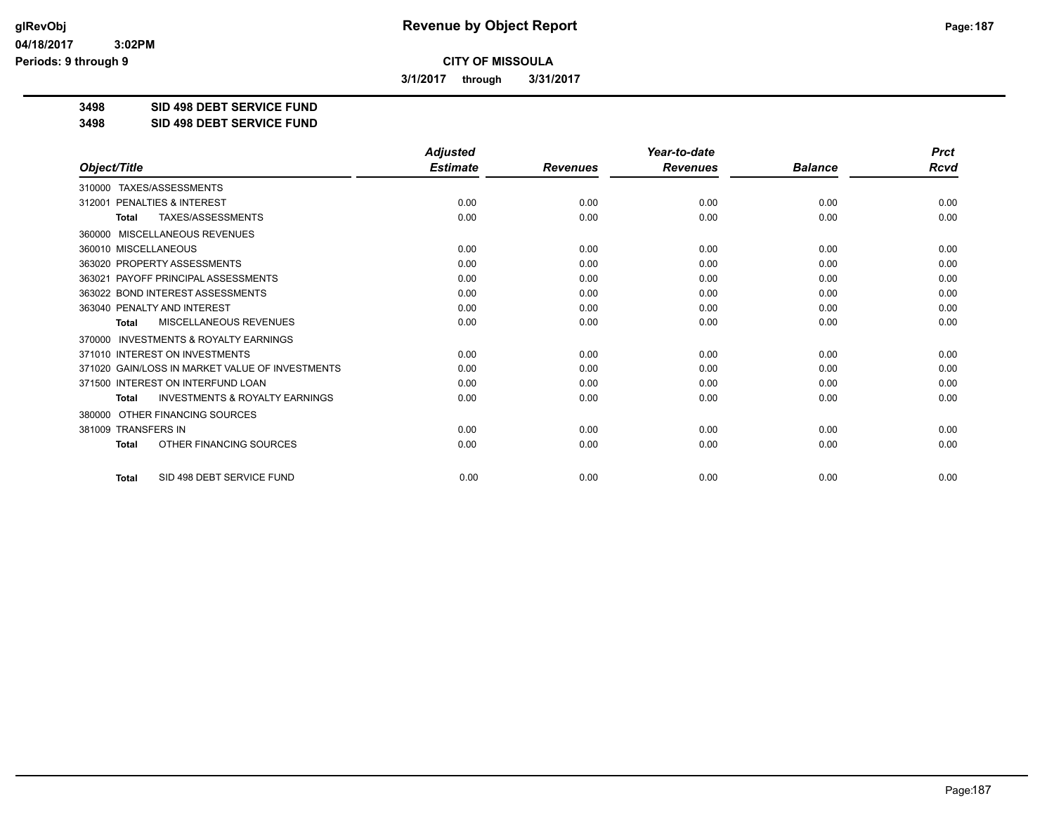**3/1/2017 through 3/31/2017**

**3498 SID 498 DEBT SERVICE FUND**

**3498 SID 498 DEBT SERVICE FUND**

|                                                           | <b>Adjusted</b> |                 | Year-to-date    |                | <b>Prct</b> |
|-----------------------------------------------------------|-----------------|-----------------|-----------------|----------------|-------------|
| Object/Title                                              | <b>Estimate</b> | <b>Revenues</b> | <b>Revenues</b> | <b>Balance</b> | Rcvd        |
| 310000 TAXES/ASSESSMENTS                                  |                 |                 |                 |                |             |
| 312001 PENALTIES & INTEREST                               | 0.00            | 0.00            | 0.00            | 0.00           | 0.00        |
| TAXES/ASSESSMENTS<br><b>Total</b>                         | 0.00            | 0.00            | 0.00            | 0.00           | 0.00        |
| 360000 MISCELLANEOUS REVENUES                             |                 |                 |                 |                |             |
| 360010 MISCELLANEOUS                                      | 0.00            | 0.00            | 0.00            | 0.00           | 0.00        |
| 363020 PROPERTY ASSESSMENTS                               | 0.00            | 0.00            | 0.00            | 0.00           | 0.00        |
| 363021 PAYOFF PRINCIPAL ASSESSMENTS                       | 0.00            | 0.00            | 0.00            | 0.00           | 0.00        |
| 363022 BOND INTEREST ASSESSMENTS                          | 0.00            | 0.00            | 0.00            | 0.00           | 0.00        |
| 363040 PENALTY AND INTEREST                               | 0.00            | 0.00            | 0.00            | 0.00           | 0.00        |
| MISCELLANEOUS REVENUES<br>Total                           | 0.00            | 0.00            | 0.00            | 0.00           | 0.00        |
| 370000 INVESTMENTS & ROYALTY EARNINGS                     |                 |                 |                 |                |             |
| 371010 INTEREST ON INVESTMENTS                            | 0.00            | 0.00            | 0.00            | 0.00           | 0.00        |
| 371020 GAIN/LOSS IN MARKET VALUE OF INVESTMENTS           | 0.00            | 0.00            | 0.00            | 0.00           | 0.00        |
| 371500 INTEREST ON INTERFUND LOAN                         | 0.00            | 0.00            | 0.00            | 0.00           | 0.00        |
| <b>INVESTMENTS &amp; ROYALTY EARNINGS</b><br><b>Total</b> | 0.00            | 0.00            | 0.00            | 0.00           | 0.00        |
| 380000 OTHER FINANCING SOURCES                            |                 |                 |                 |                |             |
| 381009 TRANSFERS IN                                       | 0.00            | 0.00            | 0.00            | 0.00           | 0.00        |
| OTHER FINANCING SOURCES<br><b>Total</b>                   | 0.00            | 0.00            | 0.00            | 0.00           | 0.00        |
| SID 498 DEBT SERVICE FUND<br><b>Total</b>                 | 0.00            | 0.00            | 0.00            | 0.00           | 0.00        |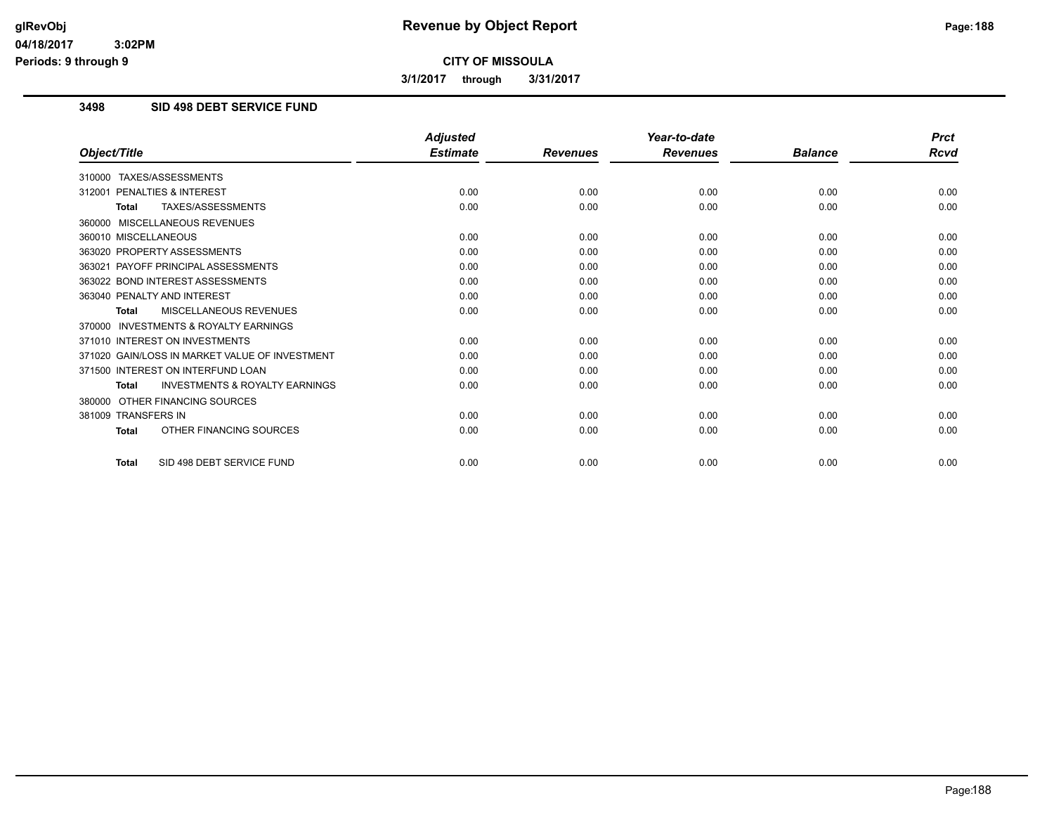**3/1/2017 through 3/31/2017**

### **3498 SID 498 DEBT SERVICE FUND**

|                                                    | <b>Adjusted</b> |                 | Year-to-date    |                | <b>Prct</b> |
|----------------------------------------------------|-----------------|-----------------|-----------------|----------------|-------------|
| Object/Title                                       | <b>Estimate</b> | <b>Revenues</b> | <b>Revenues</b> | <b>Balance</b> | <b>Rcvd</b> |
| 310000 TAXES/ASSESSMENTS                           |                 |                 |                 |                |             |
| <b>PENALTIES &amp; INTEREST</b><br>312001          | 0.00            | 0.00            | 0.00            | 0.00           | 0.00        |
| TAXES/ASSESSMENTS<br><b>Total</b>                  | 0.00            | 0.00            | 0.00            | 0.00           | 0.00        |
| 360000 MISCELLANEOUS REVENUES                      |                 |                 |                 |                |             |
| 360010 MISCELLANEOUS                               | 0.00            | 0.00            | 0.00            | 0.00           | 0.00        |
| 363020 PROPERTY ASSESSMENTS                        | 0.00            | 0.00            | 0.00            | 0.00           | 0.00        |
| 363021 PAYOFF PRINCIPAL ASSESSMENTS                | 0.00            | 0.00            | 0.00            | 0.00           | 0.00        |
| 363022 BOND INTEREST ASSESSMENTS                   | 0.00            | 0.00            | 0.00            | 0.00           | 0.00        |
| 363040 PENALTY AND INTEREST                        | 0.00            | 0.00            | 0.00            | 0.00           | 0.00        |
| MISCELLANEOUS REVENUES<br>Total                    | 0.00            | 0.00            | 0.00            | 0.00           | 0.00        |
| 370000 INVESTMENTS & ROYALTY EARNINGS              |                 |                 |                 |                |             |
| 371010 INTEREST ON INVESTMENTS                     | 0.00            | 0.00            | 0.00            | 0.00           | 0.00        |
| 371020 GAIN/LOSS IN MARKET VALUE OF INVESTMENT     | 0.00            | 0.00            | 0.00            | 0.00           | 0.00        |
| 371500 INTEREST ON INTERFUND LOAN                  | 0.00            | 0.00            | 0.00            | 0.00           | 0.00        |
| <b>INVESTMENTS &amp; ROYALTY EARNINGS</b><br>Total | 0.00            | 0.00            | 0.00            | 0.00           | 0.00        |
| 380000 OTHER FINANCING SOURCES                     |                 |                 |                 |                |             |
| 381009 TRANSFERS IN                                | 0.00            | 0.00            | 0.00            | 0.00           | 0.00        |
| OTHER FINANCING SOURCES<br><b>Total</b>            | 0.00            | 0.00            | 0.00            | 0.00           | 0.00        |
| SID 498 DEBT SERVICE FUND<br><b>Total</b>          | 0.00            | 0.00            | 0.00            | 0.00           | 0.00        |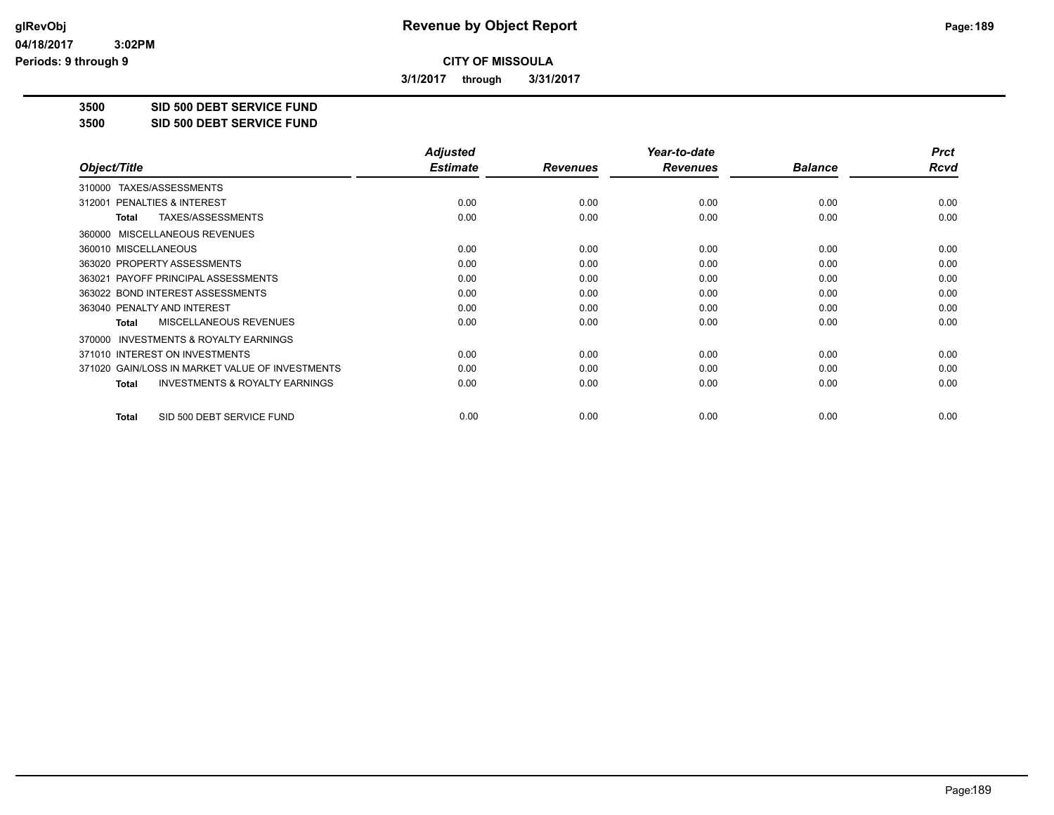**3/1/2017 through 3/31/2017**

**3500 SID 500 DEBT SERVICE FUND**

**3500 SID 500 DEBT SERVICE FUND**

|                                                     | <b>Adjusted</b> |                 | Year-to-date    |                | <b>Prct</b> |
|-----------------------------------------------------|-----------------|-----------------|-----------------|----------------|-------------|
| Object/Title                                        | <b>Estimate</b> | <b>Revenues</b> | <b>Revenues</b> | <b>Balance</b> | Rcvd        |
| 310000 TAXES/ASSESSMENTS                            |                 |                 |                 |                |             |
| 312001 PENALTIES & INTEREST                         | 0.00            | 0.00            | 0.00            | 0.00           | 0.00        |
| TAXES/ASSESSMENTS<br>Total                          | 0.00            | 0.00            | 0.00            | 0.00           | 0.00        |
| 360000 MISCELLANEOUS REVENUES                       |                 |                 |                 |                |             |
| 360010 MISCELLANEOUS                                | 0.00            | 0.00            | 0.00            | 0.00           | 0.00        |
| 363020 PROPERTY ASSESSMENTS                         | 0.00            | 0.00            | 0.00            | 0.00           | 0.00        |
| 363021 PAYOFF PRINCIPAL ASSESSMENTS                 | 0.00            | 0.00            | 0.00            | 0.00           | 0.00        |
| 363022 BOND INTEREST ASSESSMENTS                    | 0.00            | 0.00            | 0.00            | 0.00           | 0.00        |
| 363040 PENALTY AND INTEREST                         | 0.00            | 0.00            | 0.00            | 0.00           | 0.00        |
| MISCELLANEOUS REVENUES<br>Total                     | 0.00            | 0.00            | 0.00            | 0.00           | 0.00        |
| <b>INVESTMENTS &amp; ROYALTY EARNINGS</b><br>370000 |                 |                 |                 |                |             |
| 371010 INTEREST ON INVESTMENTS                      | 0.00            | 0.00            | 0.00            | 0.00           | 0.00        |
| 371020 GAIN/LOSS IN MARKET VALUE OF INVESTMENTS     | 0.00            | 0.00            | 0.00            | 0.00           | 0.00        |
| <b>INVESTMENTS &amp; ROYALTY EARNINGS</b><br>Total  | 0.00            | 0.00            | 0.00            | 0.00           | 0.00        |
| SID 500 DEBT SERVICE FUND<br><b>Total</b>           | 0.00            | 0.00            | 0.00            | 0.00           | 0.00        |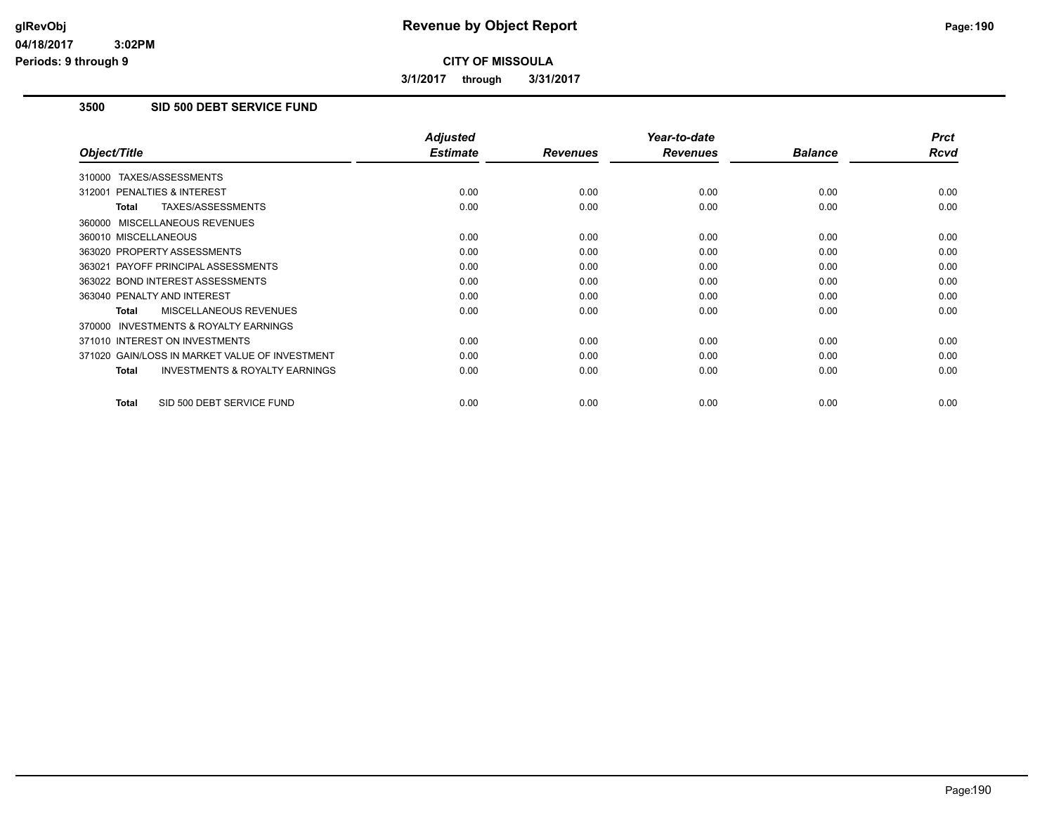**3/1/2017 through 3/31/2017**

### **3500 SID 500 DEBT SERVICE FUND**

|                                                           | <b>Adjusted</b> |                 | Year-to-date    |                | <b>Prct</b> |
|-----------------------------------------------------------|-----------------|-----------------|-----------------|----------------|-------------|
| Object/Title                                              | <b>Estimate</b> | <b>Revenues</b> | <b>Revenues</b> | <b>Balance</b> | <b>Rcvd</b> |
| 310000 TAXES/ASSESSMENTS                                  |                 |                 |                 |                |             |
| 312001 PENALTIES & INTEREST                               | 0.00            | 0.00            | 0.00            | 0.00           | 0.00        |
| TAXES/ASSESSMENTS<br><b>Total</b>                         | 0.00            | 0.00            | 0.00            | 0.00           | 0.00        |
| 360000 MISCELLANEOUS REVENUES                             |                 |                 |                 |                |             |
| 360010 MISCELLANEOUS                                      | 0.00            | 0.00            | 0.00            | 0.00           | 0.00        |
| 363020 PROPERTY ASSESSMENTS                               | 0.00            | 0.00            | 0.00            | 0.00           | 0.00        |
| 363021 PAYOFF PRINCIPAL ASSESSMENTS                       | 0.00            | 0.00            | 0.00            | 0.00           | 0.00        |
| 363022 BOND INTEREST ASSESSMENTS                          | 0.00            | 0.00            | 0.00            | 0.00           | 0.00        |
| 363040 PENALTY AND INTEREST                               | 0.00            | 0.00            | 0.00            | 0.00           | 0.00        |
| <b>MISCELLANEOUS REVENUES</b><br>Total                    | 0.00            | 0.00            | 0.00            | 0.00           | 0.00        |
| INVESTMENTS & ROYALTY EARNINGS<br>370000                  |                 |                 |                 |                |             |
| 371010 INTEREST ON INVESTMENTS                            | 0.00            | 0.00            | 0.00            | 0.00           | 0.00        |
| 371020 GAIN/LOSS IN MARKET VALUE OF INVESTMENT            | 0.00            | 0.00            | 0.00            | 0.00           | 0.00        |
| <b>INVESTMENTS &amp; ROYALTY EARNINGS</b><br><b>Total</b> | 0.00            | 0.00            | 0.00            | 0.00           | 0.00        |
| SID 500 DEBT SERVICE FUND<br><b>Total</b>                 | 0.00            | 0.00            | 0.00            | 0.00           | 0.00        |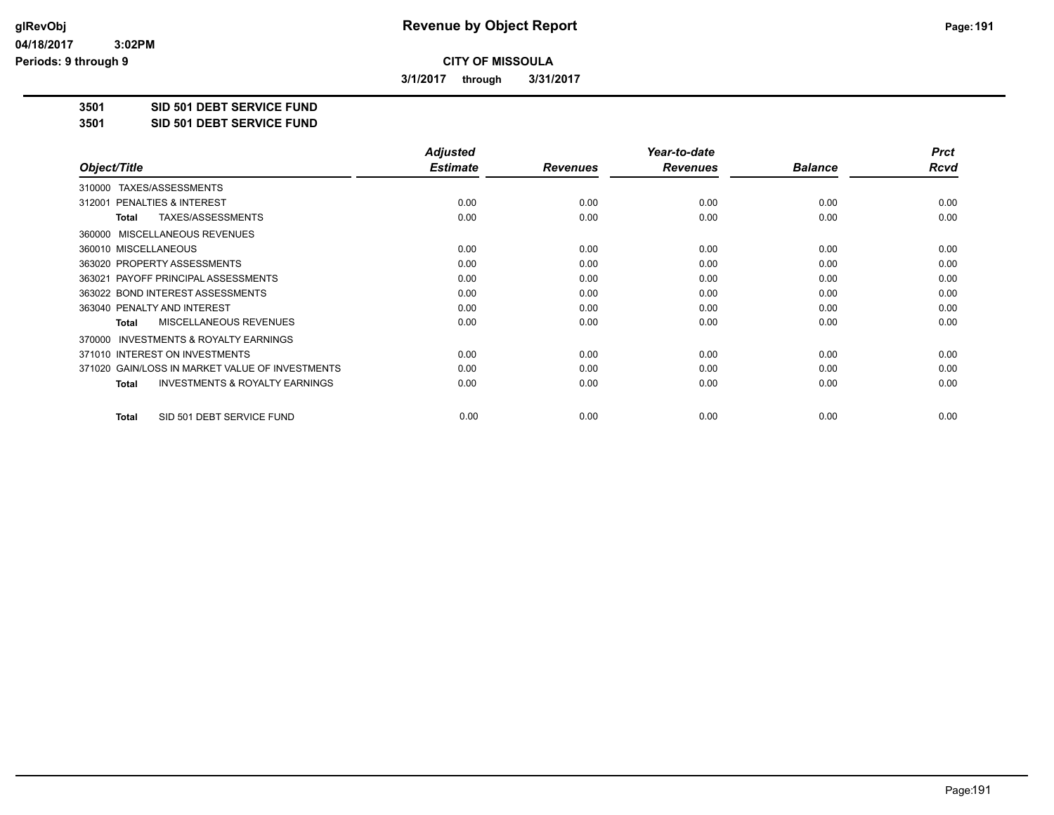**3/1/2017 through 3/31/2017**

**3501 SID 501 DEBT SERVICE FUND**

**3501 SID 501 DEBT SERVICE FUND**

|                                                           | <b>Adjusted</b> |                 | Year-to-date    |                | <b>Prct</b> |
|-----------------------------------------------------------|-----------------|-----------------|-----------------|----------------|-------------|
| Object/Title                                              | <b>Estimate</b> | <b>Revenues</b> | <b>Revenues</b> | <b>Balance</b> | Rcvd        |
| 310000 TAXES/ASSESSMENTS                                  |                 |                 |                 |                |             |
| 312001 PENALTIES & INTEREST                               | 0.00            | 0.00            | 0.00            | 0.00           | 0.00        |
| TAXES/ASSESSMENTS<br>Total                                | 0.00            | 0.00            | 0.00            | 0.00           | 0.00        |
| 360000 MISCELLANEOUS REVENUES                             |                 |                 |                 |                |             |
| 360010 MISCELLANEOUS                                      | 0.00            | 0.00            | 0.00            | 0.00           | 0.00        |
| 363020 PROPERTY ASSESSMENTS                               | 0.00            | 0.00            | 0.00            | 0.00           | 0.00        |
| 363021 PAYOFF PRINCIPAL ASSESSMENTS                       | 0.00            | 0.00            | 0.00            | 0.00           | 0.00        |
| 363022 BOND INTEREST ASSESSMENTS                          | 0.00            | 0.00            | 0.00            | 0.00           | 0.00        |
| 363040 PENALTY AND INTEREST                               | 0.00            | 0.00            | 0.00            | 0.00           | 0.00        |
| MISCELLANEOUS REVENUES<br>Total                           | 0.00            | 0.00            | 0.00            | 0.00           | 0.00        |
| 370000 INVESTMENTS & ROYALTY EARNINGS                     |                 |                 |                 |                |             |
| 371010 INTEREST ON INVESTMENTS                            | 0.00            | 0.00            | 0.00            | 0.00           | 0.00        |
| 371020 GAIN/LOSS IN MARKET VALUE OF INVESTMENTS           | 0.00            | 0.00            | 0.00            | 0.00           | 0.00        |
| <b>INVESTMENTS &amp; ROYALTY EARNINGS</b><br><b>Total</b> | 0.00            | 0.00            | 0.00            | 0.00           | 0.00        |
| SID 501 DEBT SERVICE FUND<br><b>Total</b>                 | 0.00            | 0.00            | 0.00            | 0.00           | 0.00        |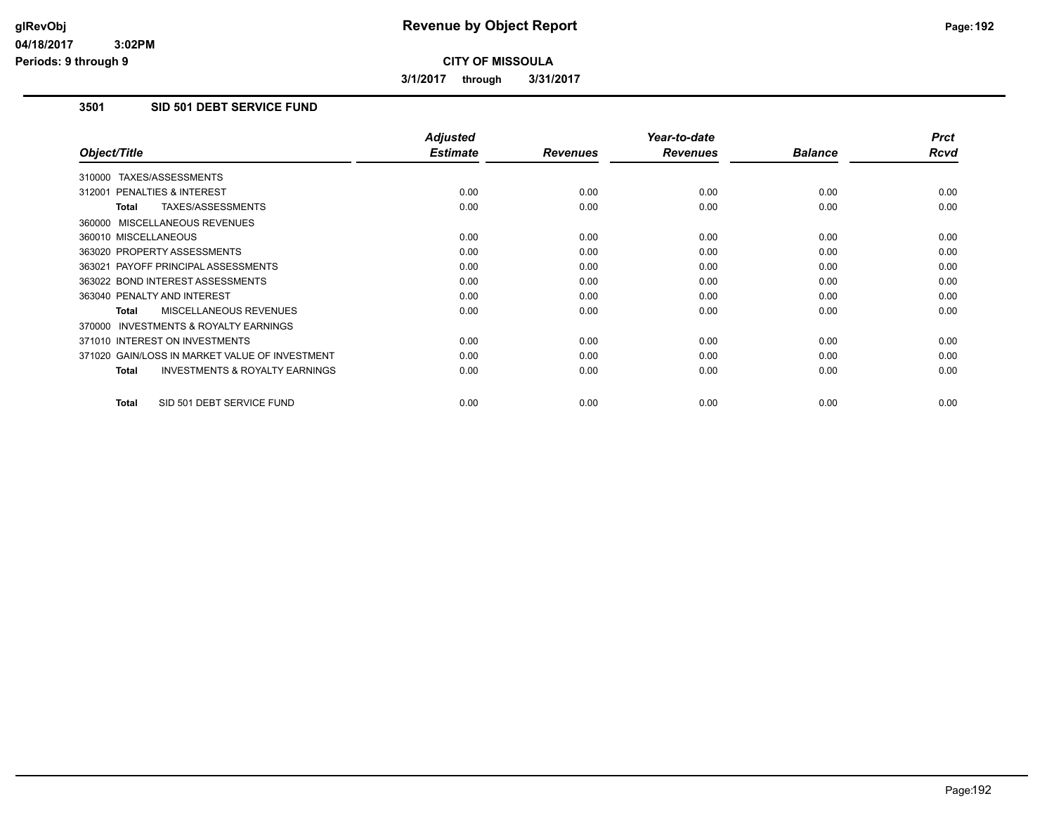**3/1/2017 through 3/31/2017**

### **3501 SID 501 DEBT SERVICE FUND**

|                                                           | <b>Adjusted</b> |                 | Year-to-date    |                | <b>Prct</b> |
|-----------------------------------------------------------|-----------------|-----------------|-----------------|----------------|-------------|
| Object/Title                                              | <b>Estimate</b> | <b>Revenues</b> | <b>Revenues</b> | <b>Balance</b> | <b>Rcvd</b> |
| 310000 TAXES/ASSESSMENTS                                  |                 |                 |                 |                |             |
| 312001 PENALTIES & INTEREST                               | 0.00            | 0.00            | 0.00            | 0.00           | 0.00        |
| TAXES/ASSESSMENTS<br>Total                                | 0.00            | 0.00            | 0.00            | 0.00           | 0.00        |
| 360000 MISCELLANEOUS REVENUES                             |                 |                 |                 |                |             |
| 360010 MISCELLANEOUS                                      | 0.00            | 0.00            | 0.00            | 0.00           | 0.00        |
| 363020 PROPERTY ASSESSMENTS                               | 0.00            | 0.00            | 0.00            | 0.00           | 0.00        |
| 363021 PAYOFF PRINCIPAL ASSESSMENTS                       | 0.00            | 0.00            | 0.00            | 0.00           | 0.00        |
| 363022 BOND INTEREST ASSESSMENTS                          | 0.00            | 0.00            | 0.00            | 0.00           | 0.00        |
| 363040 PENALTY AND INTEREST                               | 0.00            | 0.00            | 0.00            | 0.00           | 0.00        |
| <b>MISCELLANEOUS REVENUES</b><br>Total                    | 0.00            | 0.00            | 0.00            | 0.00           | 0.00        |
| INVESTMENTS & ROYALTY EARNINGS<br>370000                  |                 |                 |                 |                |             |
| 371010 INTEREST ON INVESTMENTS                            | 0.00            | 0.00            | 0.00            | 0.00           | 0.00        |
| 371020 GAIN/LOSS IN MARKET VALUE OF INVESTMENT            | 0.00            | 0.00            | 0.00            | 0.00           | 0.00        |
| <b>INVESTMENTS &amp; ROYALTY EARNINGS</b><br><b>Total</b> | 0.00            | 0.00            | 0.00            | 0.00           | 0.00        |
| SID 501 DEBT SERVICE FUND<br><b>Total</b>                 | 0.00            | 0.00            | 0.00            | 0.00           | 0.00        |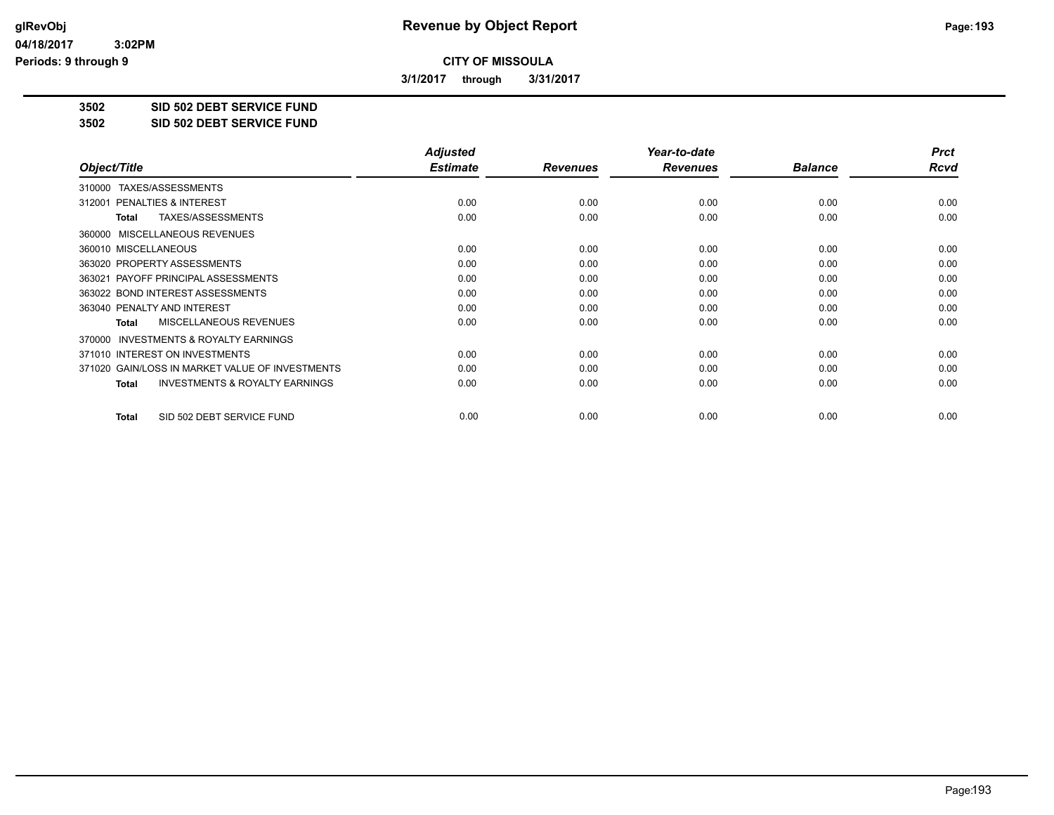**3/1/2017 through 3/31/2017**

**3502 SID 502 DEBT SERVICE FUND**

**3502 SID 502 DEBT SERVICE FUND**

|                                                           | <b>Adjusted</b> |                 | Year-to-date    |                | <b>Prct</b> |
|-----------------------------------------------------------|-----------------|-----------------|-----------------|----------------|-------------|
| Object/Title                                              | <b>Estimate</b> | <b>Revenues</b> | <b>Revenues</b> | <b>Balance</b> | Rcvd        |
| 310000 TAXES/ASSESSMENTS                                  |                 |                 |                 |                |             |
| 312001 PENALTIES & INTEREST                               | 0.00            | 0.00            | 0.00            | 0.00           | 0.00        |
| TAXES/ASSESSMENTS<br>Total                                | 0.00            | 0.00            | 0.00            | 0.00           | 0.00        |
| 360000 MISCELLANEOUS REVENUES                             |                 |                 |                 |                |             |
| 360010 MISCELLANEOUS                                      | 0.00            | 0.00            | 0.00            | 0.00           | 0.00        |
| 363020 PROPERTY ASSESSMENTS                               | 0.00            | 0.00            | 0.00            | 0.00           | 0.00        |
| 363021 PAYOFF PRINCIPAL ASSESSMENTS                       | 0.00            | 0.00            | 0.00            | 0.00           | 0.00        |
| 363022 BOND INTEREST ASSESSMENTS                          | 0.00            | 0.00            | 0.00            | 0.00           | 0.00        |
| 363040 PENALTY AND INTEREST                               | 0.00            | 0.00            | 0.00            | 0.00           | 0.00        |
| MISCELLANEOUS REVENUES<br>Total                           | 0.00            | 0.00            | 0.00            | 0.00           | 0.00        |
| 370000 INVESTMENTS & ROYALTY EARNINGS                     |                 |                 |                 |                |             |
| 371010 INTEREST ON INVESTMENTS                            | 0.00            | 0.00            | 0.00            | 0.00           | 0.00        |
| 371020 GAIN/LOSS IN MARKET VALUE OF INVESTMENTS           | 0.00            | 0.00            | 0.00            | 0.00           | 0.00        |
| <b>INVESTMENTS &amp; ROYALTY EARNINGS</b><br><b>Total</b> | 0.00            | 0.00            | 0.00            | 0.00           | 0.00        |
| SID 502 DEBT SERVICE FUND<br><b>Total</b>                 | 0.00            | 0.00            | 0.00            | 0.00           | 0.00        |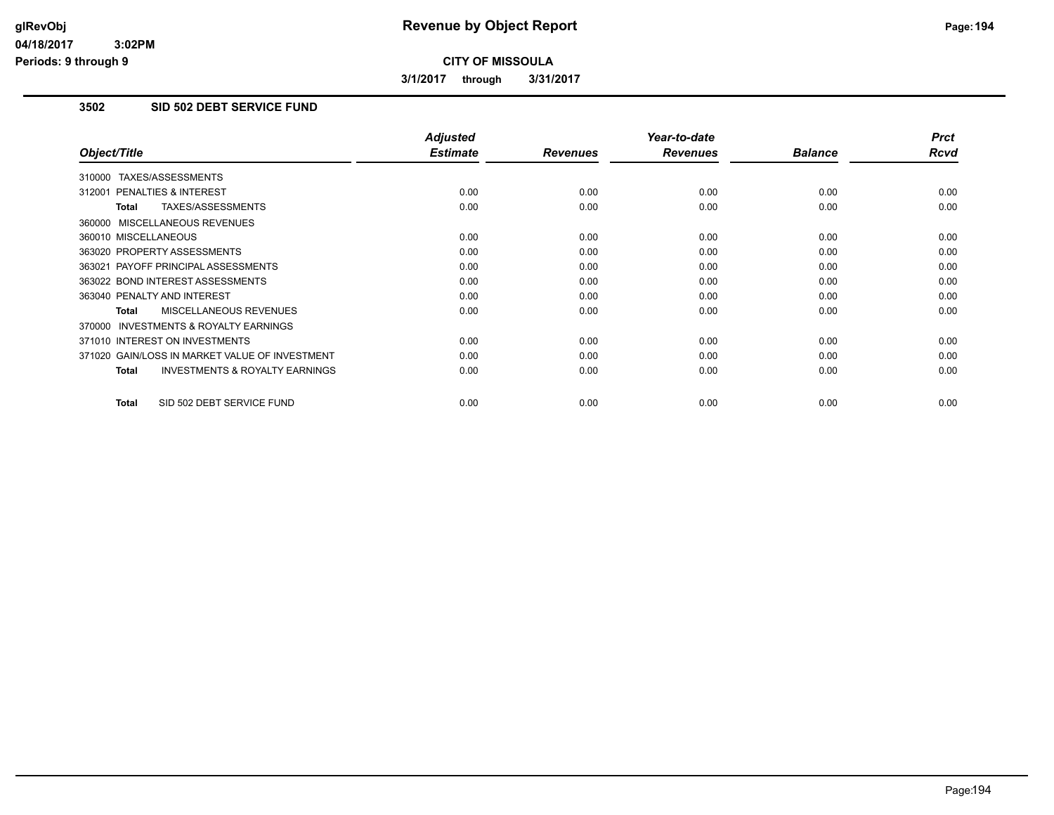**3/1/2017 through 3/31/2017**

### **3502 SID 502 DEBT SERVICE FUND**

|                                                           | <b>Adjusted</b> |                 | Year-to-date    |                | <b>Prct</b> |
|-----------------------------------------------------------|-----------------|-----------------|-----------------|----------------|-------------|
| Object/Title                                              | <b>Estimate</b> | <b>Revenues</b> | <b>Revenues</b> | <b>Balance</b> | <b>Rcvd</b> |
| 310000 TAXES/ASSESSMENTS                                  |                 |                 |                 |                |             |
| 312001 PENALTIES & INTEREST                               | 0.00            | 0.00            | 0.00            | 0.00           | 0.00        |
| TAXES/ASSESSMENTS<br>Total                                | 0.00            | 0.00            | 0.00            | 0.00           | 0.00        |
| 360000 MISCELLANEOUS REVENUES                             |                 |                 |                 |                |             |
| 360010 MISCELLANEOUS                                      | 0.00            | 0.00            | 0.00            | 0.00           | 0.00        |
| 363020 PROPERTY ASSESSMENTS                               | 0.00            | 0.00            | 0.00            | 0.00           | 0.00        |
| 363021 PAYOFF PRINCIPAL ASSESSMENTS                       | 0.00            | 0.00            | 0.00            | 0.00           | 0.00        |
| 363022 BOND INTEREST ASSESSMENTS                          | 0.00            | 0.00            | 0.00            | 0.00           | 0.00        |
| 363040 PENALTY AND INTEREST                               | 0.00            | 0.00            | 0.00            | 0.00           | 0.00        |
| <b>MISCELLANEOUS REVENUES</b><br>Total                    | 0.00            | 0.00            | 0.00            | 0.00           | 0.00        |
| INVESTMENTS & ROYALTY EARNINGS<br>370000                  |                 |                 |                 |                |             |
| 371010 INTEREST ON INVESTMENTS                            | 0.00            | 0.00            | 0.00            | 0.00           | 0.00        |
| 371020 GAIN/LOSS IN MARKET VALUE OF INVESTMENT            | 0.00            | 0.00            | 0.00            | 0.00           | 0.00        |
| <b>INVESTMENTS &amp; ROYALTY EARNINGS</b><br><b>Total</b> | 0.00            | 0.00            | 0.00            | 0.00           | 0.00        |
| SID 502 DEBT SERVICE FUND<br><b>Total</b>                 | 0.00            | 0.00            | 0.00            | 0.00           | 0.00        |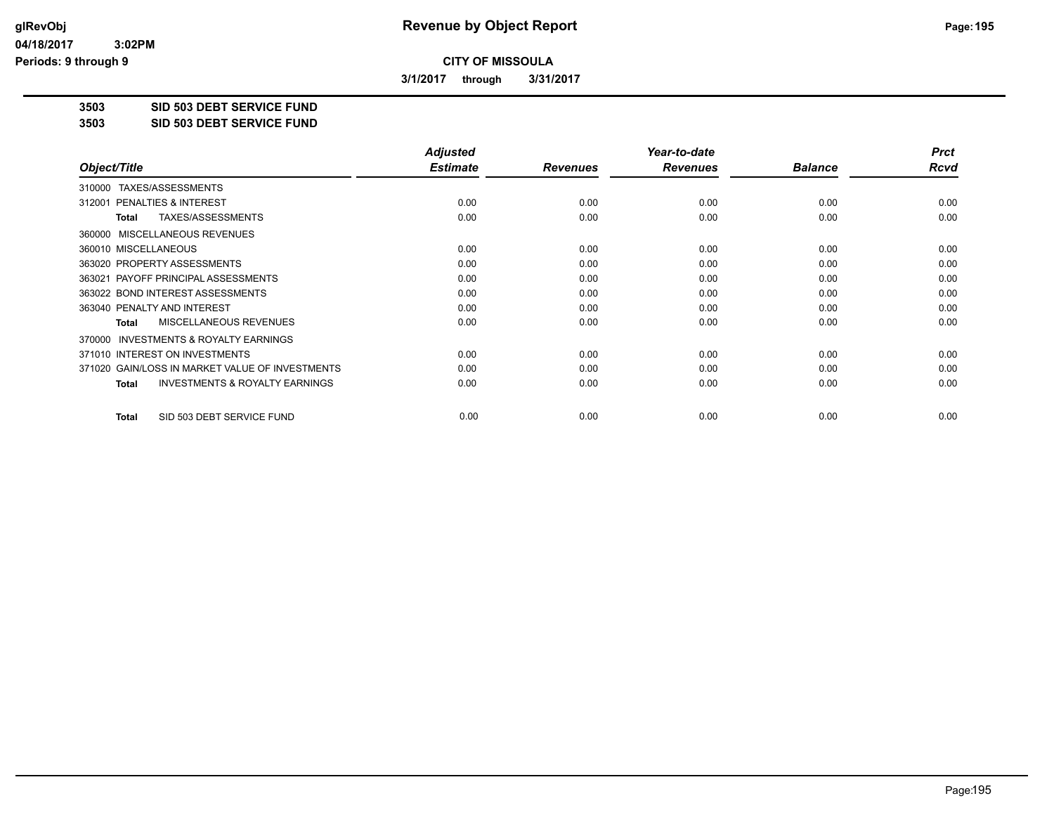**3/1/2017 through 3/31/2017**

**3503 SID 503 DEBT SERVICE FUND**

**3503 SID 503 DEBT SERVICE FUND**

|                                                           | <b>Adjusted</b> |                 | Year-to-date    |                | <b>Prct</b> |
|-----------------------------------------------------------|-----------------|-----------------|-----------------|----------------|-------------|
| Object/Title                                              | <b>Estimate</b> | <b>Revenues</b> | <b>Revenues</b> | <b>Balance</b> | Rcvd        |
| 310000 TAXES/ASSESSMENTS                                  |                 |                 |                 |                |             |
| 312001 PENALTIES & INTEREST                               | 0.00            | 0.00            | 0.00            | 0.00           | 0.00        |
| TAXES/ASSESSMENTS<br>Total                                | 0.00            | 0.00            | 0.00            | 0.00           | 0.00        |
| 360000 MISCELLANEOUS REVENUES                             |                 |                 |                 |                |             |
| 360010 MISCELLANEOUS                                      | 0.00            | 0.00            | 0.00            | 0.00           | 0.00        |
| 363020 PROPERTY ASSESSMENTS                               | 0.00            | 0.00            | 0.00            | 0.00           | 0.00        |
| 363021 PAYOFF PRINCIPAL ASSESSMENTS                       | 0.00            | 0.00            | 0.00            | 0.00           | 0.00        |
| 363022 BOND INTEREST ASSESSMENTS                          | 0.00            | 0.00            | 0.00            | 0.00           | 0.00        |
| 363040 PENALTY AND INTEREST                               | 0.00            | 0.00            | 0.00            | 0.00           | 0.00        |
| MISCELLANEOUS REVENUES<br>Total                           | 0.00            | 0.00            | 0.00            | 0.00           | 0.00        |
| 370000 INVESTMENTS & ROYALTY EARNINGS                     |                 |                 |                 |                |             |
| 371010 INTEREST ON INVESTMENTS                            | 0.00            | 0.00            | 0.00            | 0.00           | 0.00        |
| 371020 GAIN/LOSS IN MARKET VALUE OF INVESTMENTS           | 0.00            | 0.00            | 0.00            | 0.00           | 0.00        |
| <b>INVESTMENTS &amp; ROYALTY EARNINGS</b><br><b>Total</b> | 0.00            | 0.00            | 0.00            | 0.00           | 0.00        |
| SID 503 DEBT SERVICE FUND<br><b>Total</b>                 | 0.00            | 0.00            | 0.00            | 0.00           | 0.00        |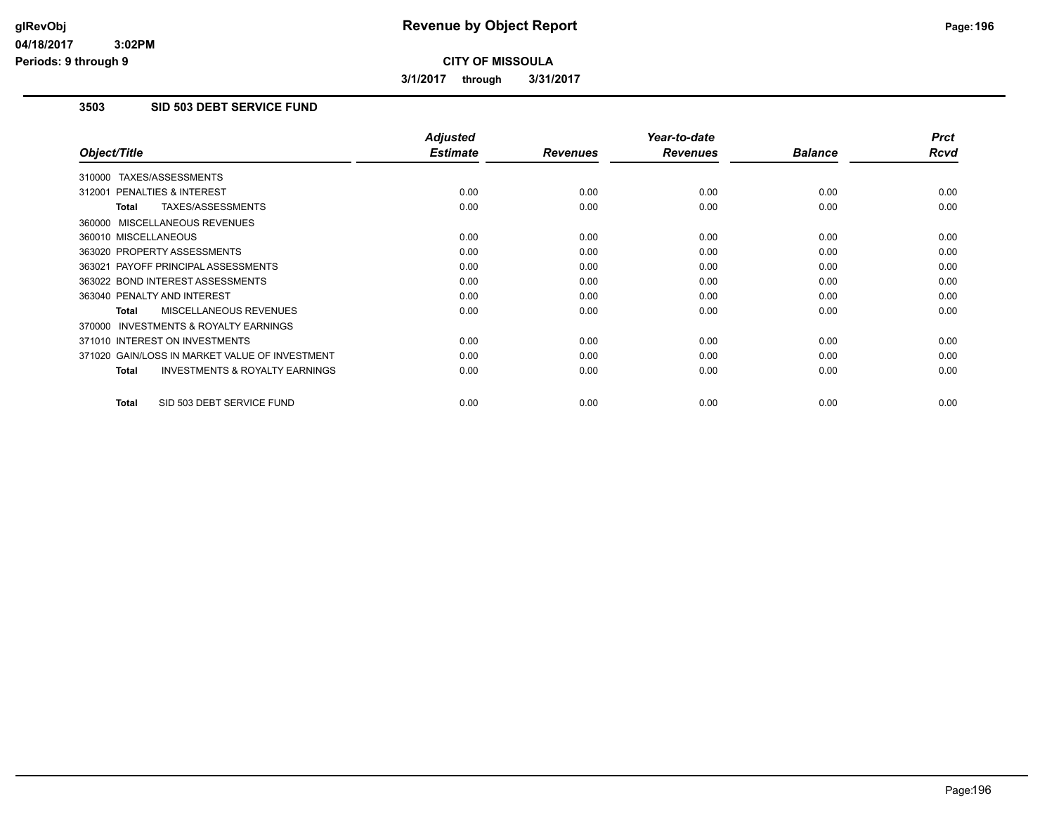**3/1/2017 through 3/31/2017**

### **3503 SID 503 DEBT SERVICE FUND**

|                                                           | <b>Adjusted</b> |                 | Year-to-date    |                | <b>Prct</b> |
|-----------------------------------------------------------|-----------------|-----------------|-----------------|----------------|-------------|
| Object/Title                                              | <b>Estimate</b> | <b>Revenues</b> | <b>Revenues</b> | <b>Balance</b> | <b>Rcvd</b> |
| 310000 TAXES/ASSESSMENTS                                  |                 |                 |                 |                |             |
| 312001 PENALTIES & INTEREST                               | 0.00            | 0.00            | 0.00            | 0.00           | 0.00        |
| TAXES/ASSESSMENTS<br>Total                                | 0.00            | 0.00            | 0.00            | 0.00           | 0.00        |
| 360000 MISCELLANEOUS REVENUES                             |                 |                 |                 |                |             |
| 360010 MISCELLANEOUS                                      | 0.00            | 0.00            | 0.00            | 0.00           | 0.00        |
| 363020 PROPERTY ASSESSMENTS                               | 0.00            | 0.00            | 0.00            | 0.00           | 0.00        |
| 363021 PAYOFF PRINCIPAL ASSESSMENTS                       | 0.00            | 0.00            | 0.00            | 0.00           | 0.00        |
| 363022 BOND INTEREST ASSESSMENTS                          | 0.00            | 0.00            | 0.00            | 0.00           | 0.00        |
| 363040 PENALTY AND INTEREST                               | 0.00            | 0.00            | 0.00            | 0.00           | 0.00        |
| <b>MISCELLANEOUS REVENUES</b><br>Total                    | 0.00            | 0.00            | 0.00            | 0.00           | 0.00        |
| INVESTMENTS & ROYALTY EARNINGS<br>370000                  |                 |                 |                 |                |             |
| 371010 INTEREST ON INVESTMENTS                            | 0.00            | 0.00            | 0.00            | 0.00           | 0.00        |
| 371020 GAIN/LOSS IN MARKET VALUE OF INVESTMENT            | 0.00            | 0.00            | 0.00            | 0.00           | 0.00        |
| <b>INVESTMENTS &amp; ROYALTY EARNINGS</b><br><b>Total</b> | 0.00            | 0.00            | 0.00            | 0.00           | 0.00        |
| SID 503 DEBT SERVICE FUND<br><b>Total</b>                 | 0.00            | 0.00            | 0.00            | 0.00           | 0.00        |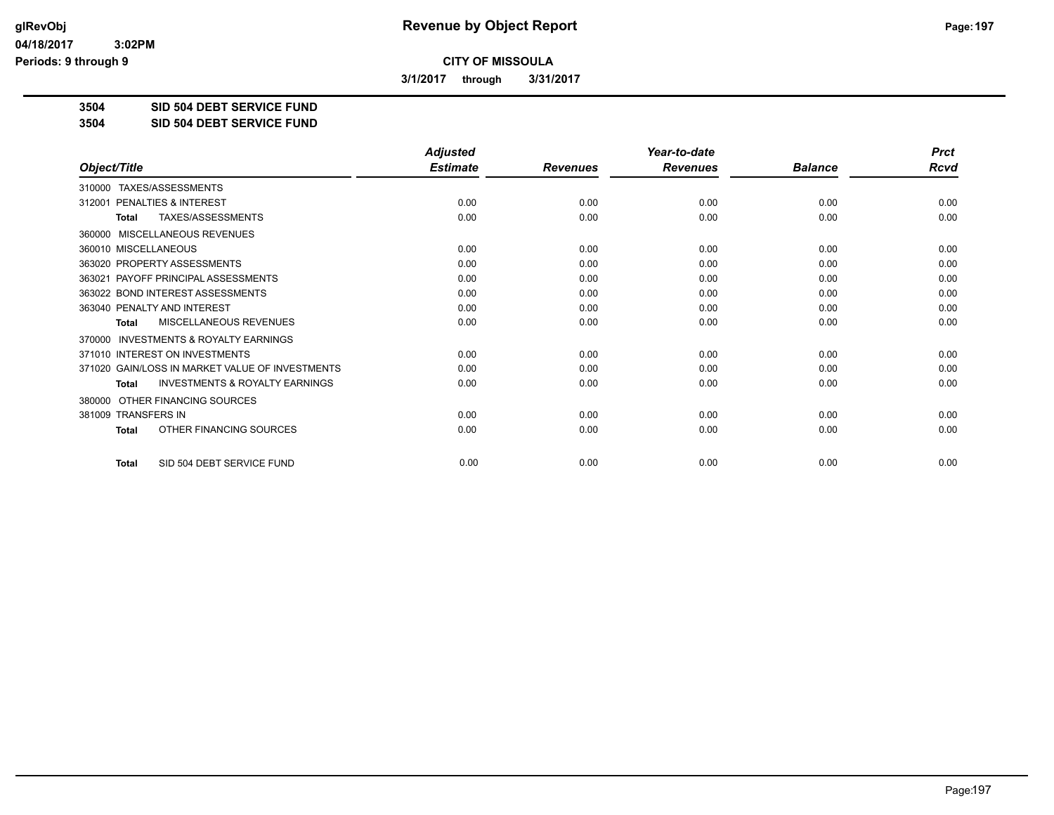**3/1/2017 through 3/31/2017**

**3504 SID 504 DEBT SERVICE FUND**

**3504 SID 504 DEBT SERVICE FUND**

|                                                     | <b>Adjusted</b> |                 | Year-to-date    |                | <b>Prct</b> |
|-----------------------------------------------------|-----------------|-----------------|-----------------|----------------|-------------|
| Object/Title                                        | <b>Estimate</b> | <b>Revenues</b> | <b>Revenues</b> | <b>Balance</b> | <b>Rcvd</b> |
| TAXES/ASSESSMENTS<br>310000                         |                 |                 |                 |                |             |
| PENALTIES & INTEREST<br>312001                      | 0.00            | 0.00            | 0.00            | 0.00           | 0.00        |
| TAXES/ASSESSMENTS<br><b>Total</b>                   | 0.00            | 0.00            | 0.00            | 0.00           | 0.00        |
| 360000 MISCELLANEOUS REVENUES                       |                 |                 |                 |                |             |
| 360010 MISCELLANEOUS                                | 0.00            | 0.00            | 0.00            | 0.00           | 0.00        |
| 363020 PROPERTY ASSESSMENTS                         | 0.00            | 0.00            | 0.00            | 0.00           | 0.00        |
| 363021 PAYOFF PRINCIPAL ASSESSMENTS                 | 0.00            | 0.00            | 0.00            | 0.00           | 0.00        |
| 363022 BOND INTEREST ASSESSMENTS                    | 0.00            | 0.00            | 0.00            | 0.00           | 0.00        |
| 363040 PENALTY AND INTEREST                         | 0.00            | 0.00            | 0.00            | 0.00           | 0.00        |
| MISCELLANEOUS REVENUES<br>Total                     | 0.00            | 0.00            | 0.00            | 0.00           | 0.00        |
| <b>INVESTMENTS &amp; ROYALTY EARNINGS</b><br>370000 |                 |                 |                 |                |             |
| 371010 INTEREST ON INVESTMENTS                      | 0.00            | 0.00            | 0.00            | 0.00           | 0.00        |
| 371020 GAIN/LOSS IN MARKET VALUE OF INVESTMENTS     | 0.00            | 0.00            | 0.00            | 0.00           | 0.00        |
| <b>INVESTMENTS &amp; ROYALTY EARNINGS</b><br>Total  | 0.00            | 0.00            | 0.00            | 0.00           | 0.00        |
| OTHER FINANCING SOURCES<br>380000                   |                 |                 |                 |                |             |
| 381009 TRANSFERS IN                                 | 0.00            | 0.00            | 0.00            | 0.00           | 0.00        |
| OTHER FINANCING SOURCES<br>Total                    | 0.00            | 0.00            | 0.00            | 0.00           | 0.00        |
| SID 504 DEBT SERVICE FUND<br><b>Total</b>           | 0.00            | 0.00            | 0.00            | 0.00           | 0.00        |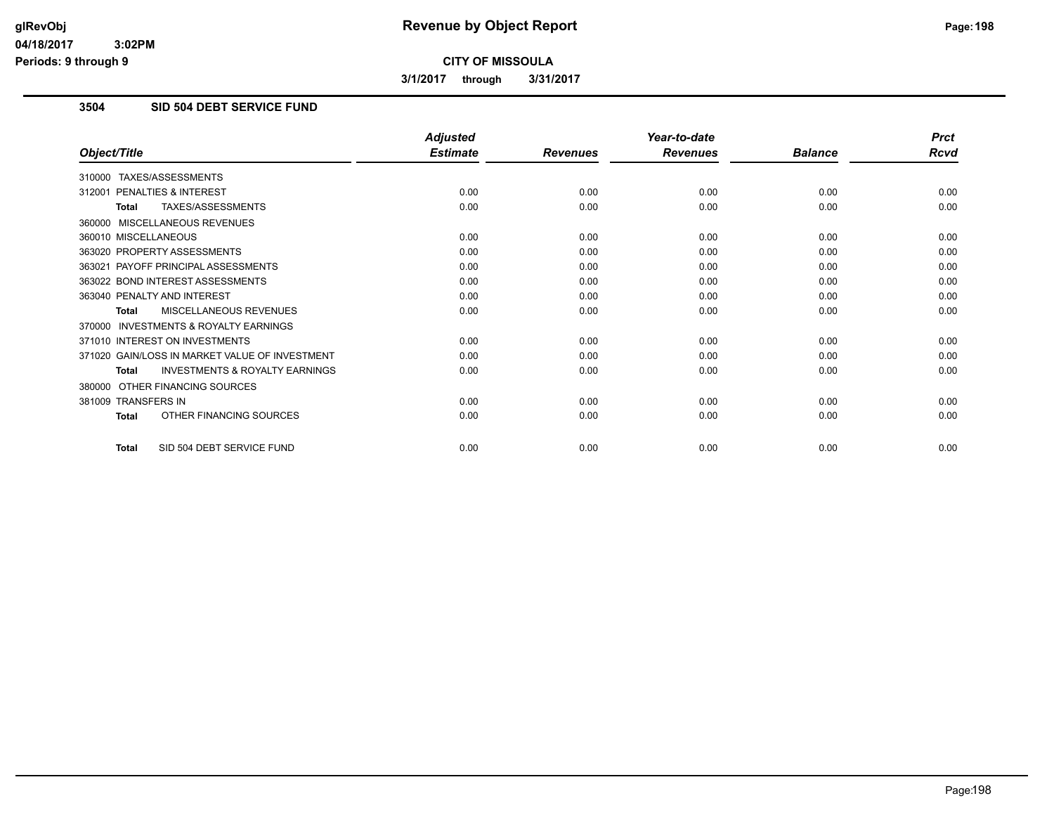**3/1/2017 through 3/31/2017**

### **3504 SID 504 DEBT SERVICE FUND**

|                                                           | <b>Adjusted</b> |                 | Year-to-date    |                | <b>Prct</b> |
|-----------------------------------------------------------|-----------------|-----------------|-----------------|----------------|-------------|
| Object/Title                                              | <b>Estimate</b> | <b>Revenues</b> | <b>Revenues</b> | <b>Balance</b> | Rcvd        |
| 310000 TAXES/ASSESSMENTS                                  |                 |                 |                 |                |             |
| PENALTIES & INTEREST<br>312001                            | 0.00            | 0.00            | 0.00            | 0.00           | 0.00        |
| TAXES/ASSESSMENTS<br><b>Total</b>                         | 0.00            | 0.00            | 0.00            | 0.00           | 0.00        |
| 360000 MISCELLANEOUS REVENUES                             |                 |                 |                 |                |             |
| 360010 MISCELLANEOUS                                      | 0.00            | 0.00            | 0.00            | 0.00           | 0.00        |
| 363020 PROPERTY ASSESSMENTS                               | 0.00            | 0.00            | 0.00            | 0.00           | 0.00        |
| 363021 PAYOFF PRINCIPAL ASSESSMENTS                       | 0.00            | 0.00            | 0.00            | 0.00           | 0.00        |
| 363022 BOND INTEREST ASSESSMENTS                          | 0.00            | 0.00            | 0.00            | 0.00           | 0.00        |
| 363040 PENALTY AND INTEREST                               | 0.00            | 0.00            | 0.00            | 0.00           | 0.00        |
| MISCELLANEOUS REVENUES<br><b>Total</b>                    | 0.00            | 0.00            | 0.00            | 0.00           | 0.00        |
| 370000 INVESTMENTS & ROYALTY EARNINGS                     |                 |                 |                 |                |             |
| 371010 INTEREST ON INVESTMENTS                            | 0.00            | 0.00            | 0.00            | 0.00           | 0.00        |
| 371020 GAIN/LOSS IN MARKET VALUE OF INVESTMENT            | 0.00            | 0.00            | 0.00            | 0.00           | 0.00        |
| <b>INVESTMENTS &amp; ROYALTY EARNINGS</b><br><b>Total</b> | 0.00            | 0.00            | 0.00            | 0.00           | 0.00        |
| 380000 OTHER FINANCING SOURCES                            |                 |                 |                 |                |             |
| 381009 TRANSFERS IN                                       | 0.00            | 0.00            | 0.00            | 0.00           | 0.00        |
| OTHER FINANCING SOURCES<br><b>Total</b>                   | 0.00            | 0.00            | 0.00            | 0.00           | 0.00        |
| SID 504 DEBT SERVICE FUND<br><b>Total</b>                 | 0.00            | 0.00            | 0.00            | 0.00           | 0.00        |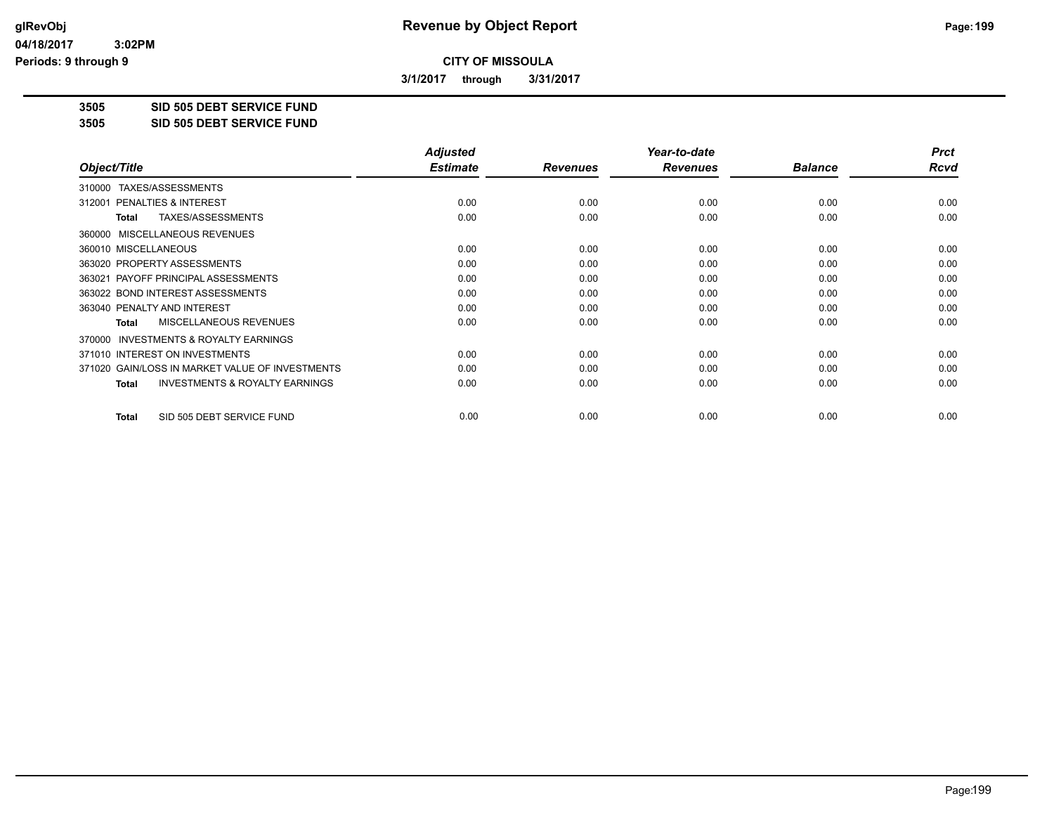**3/1/2017 through 3/31/2017**

**3505 SID 505 DEBT SERVICE FUND**

**3505 SID 505 DEBT SERVICE FUND**

|                                                    | <b>Adjusted</b> |                 | Year-to-date    |                | <b>Prct</b> |
|----------------------------------------------------|-----------------|-----------------|-----------------|----------------|-------------|
| Object/Title                                       | <b>Estimate</b> | <b>Revenues</b> | <b>Revenues</b> | <b>Balance</b> | Rcvd        |
| 310000 TAXES/ASSESSMENTS                           |                 |                 |                 |                |             |
| 312001 PENALTIES & INTEREST                        | 0.00            | 0.00            | 0.00            | 0.00           | 0.00        |
| TAXES/ASSESSMENTS<br>Total                         | 0.00            | 0.00            | 0.00            | 0.00           | 0.00        |
| 360000 MISCELLANEOUS REVENUES                      |                 |                 |                 |                |             |
| 360010 MISCELLANEOUS                               | 0.00            | 0.00            | 0.00            | 0.00           | 0.00        |
| 363020 PROPERTY ASSESSMENTS                        | 0.00            | 0.00            | 0.00            | 0.00           | 0.00        |
| 363021 PAYOFF PRINCIPAL ASSESSMENTS                | 0.00            | 0.00            | 0.00            | 0.00           | 0.00        |
| 363022 BOND INTEREST ASSESSMENTS                   | 0.00            | 0.00            | 0.00            | 0.00           | 0.00        |
| 363040 PENALTY AND INTEREST                        | 0.00            | 0.00            | 0.00            | 0.00           | 0.00        |
| MISCELLANEOUS REVENUES<br>Total                    | 0.00            | 0.00            | 0.00            | 0.00           | 0.00        |
| INVESTMENTS & ROYALTY EARNINGS<br>370000           |                 |                 |                 |                |             |
| 371010 INTEREST ON INVESTMENTS                     | 0.00            | 0.00            | 0.00            | 0.00           | 0.00        |
| 371020 GAIN/LOSS IN MARKET VALUE OF INVESTMENTS    | 0.00            | 0.00            | 0.00            | 0.00           | 0.00        |
| <b>INVESTMENTS &amp; ROYALTY EARNINGS</b><br>Total | 0.00            | 0.00            | 0.00            | 0.00           | 0.00        |
| SID 505 DEBT SERVICE FUND<br>Total                 | 0.00            | 0.00            | 0.00            | 0.00           | 0.00        |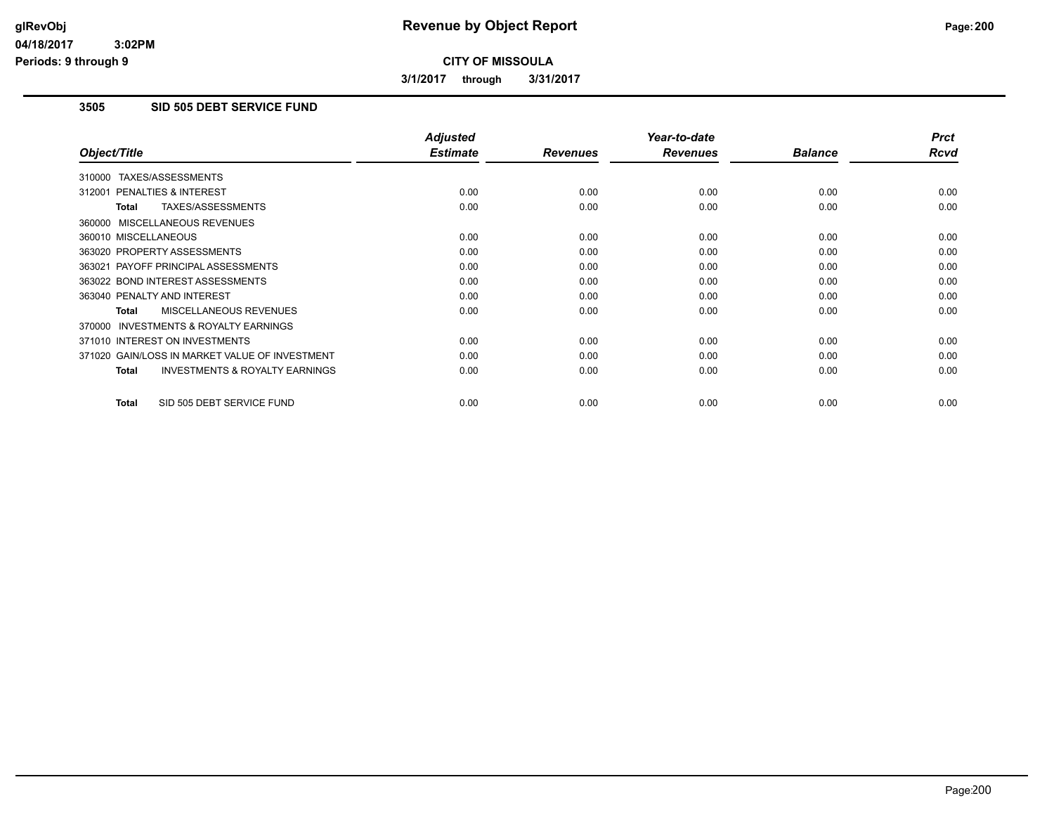**3/1/2017 through 3/31/2017**

### **3505 SID 505 DEBT SERVICE FUND**

|                                                           | <b>Adjusted</b> |                 | Year-to-date    |                | <b>Prct</b> |
|-----------------------------------------------------------|-----------------|-----------------|-----------------|----------------|-------------|
| Object/Title                                              | <b>Estimate</b> | <b>Revenues</b> | <b>Revenues</b> | <b>Balance</b> | Rcvd        |
| TAXES/ASSESSMENTS<br>310000                               |                 |                 |                 |                |             |
| 312001 PENALTIES & INTEREST                               | 0.00            | 0.00            | 0.00            | 0.00           | 0.00        |
| TAXES/ASSESSMENTS<br>Total                                | 0.00            | 0.00            | 0.00            | 0.00           | 0.00        |
| 360000 MISCELLANEOUS REVENUES                             |                 |                 |                 |                |             |
| 360010 MISCELLANEOUS                                      | 0.00            | 0.00            | 0.00            | 0.00           | 0.00        |
| 363020 PROPERTY ASSESSMENTS                               | 0.00            | 0.00            | 0.00            | 0.00           | 0.00        |
| 363021 PAYOFF PRINCIPAL ASSESSMENTS                       | 0.00            | 0.00            | 0.00            | 0.00           | 0.00        |
| 363022 BOND INTEREST ASSESSMENTS                          | 0.00            | 0.00            | 0.00            | 0.00           | 0.00        |
| 363040 PENALTY AND INTEREST                               | 0.00            | 0.00            | 0.00            | 0.00           | 0.00        |
| <b>MISCELLANEOUS REVENUES</b><br>Total                    | 0.00            | 0.00            | 0.00            | 0.00           | 0.00        |
| <b>INVESTMENTS &amp; ROYALTY EARNINGS</b><br>370000       |                 |                 |                 |                |             |
| 371010 INTEREST ON INVESTMENTS                            | 0.00            | 0.00            | 0.00            | 0.00           | 0.00        |
| 371020 GAIN/LOSS IN MARKET VALUE OF INVESTMENT            | 0.00            | 0.00            | 0.00            | 0.00           | 0.00        |
| <b>INVESTMENTS &amp; ROYALTY EARNINGS</b><br><b>Total</b> | 0.00            | 0.00            | 0.00            | 0.00           | 0.00        |
| SID 505 DEBT SERVICE FUND<br><b>Total</b>                 | 0.00            | 0.00            | 0.00            | 0.00           | 0.00        |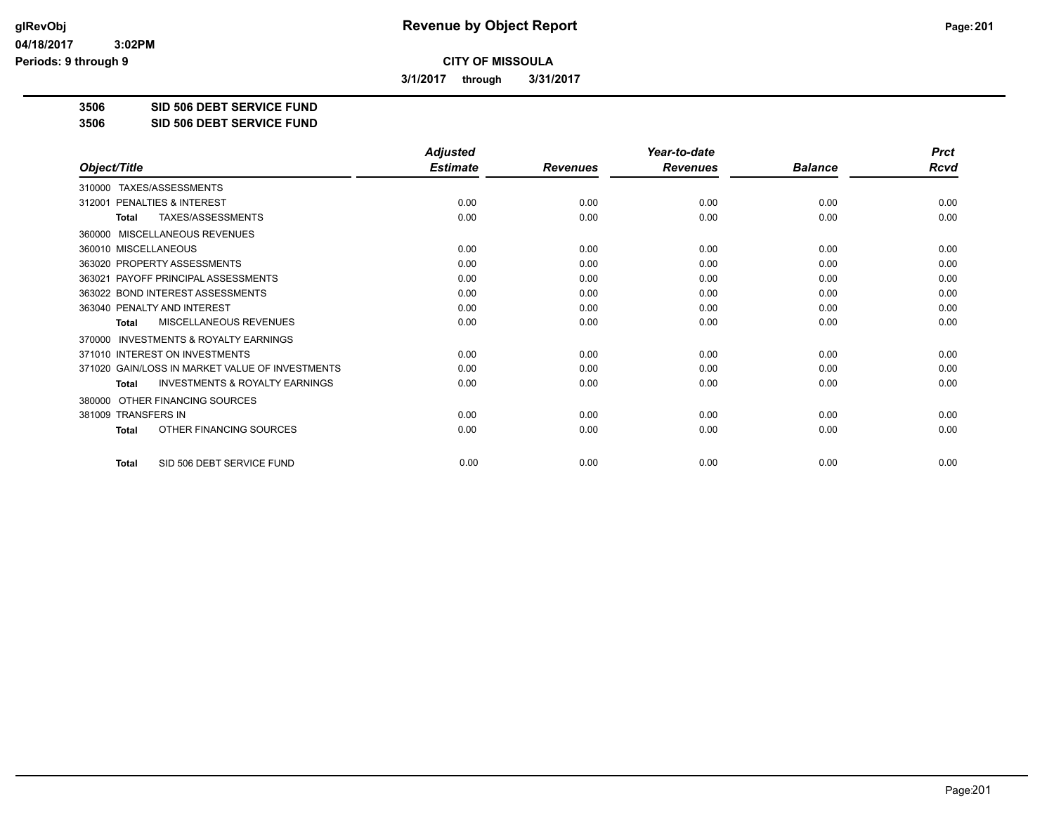**3/1/2017 through 3/31/2017**

**3506 SID 506 DEBT SERVICE FUND**

**3506 SID 506 DEBT SERVICE FUND**

|                                                           | <b>Adjusted</b> |                 | Year-to-date    |                | <b>Prct</b> |
|-----------------------------------------------------------|-----------------|-----------------|-----------------|----------------|-------------|
| Object/Title                                              | <b>Estimate</b> | <b>Revenues</b> | <b>Revenues</b> | <b>Balance</b> | <b>Rcvd</b> |
| 310000 TAXES/ASSESSMENTS                                  |                 |                 |                 |                |             |
| 312001 PENALTIES & INTEREST                               | 0.00            | 0.00            | 0.00            | 0.00           | 0.00        |
| TAXES/ASSESSMENTS<br><b>Total</b>                         | 0.00            | 0.00            | 0.00            | 0.00           | 0.00        |
| 360000 MISCELLANEOUS REVENUES                             |                 |                 |                 |                |             |
| 360010 MISCELLANEOUS                                      | 0.00            | 0.00            | 0.00            | 0.00           | 0.00        |
| 363020 PROPERTY ASSESSMENTS                               | 0.00            | 0.00            | 0.00            | 0.00           | 0.00        |
| 363021 PAYOFF PRINCIPAL ASSESSMENTS                       | 0.00            | 0.00            | 0.00            | 0.00           | 0.00        |
| 363022 BOND INTEREST ASSESSMENTS                          | 0.00            | 0.00            | 0.00            | 0.00           | 0.00        |
| 363040 PENALTY AND INTEREST                               | 0.00            | 0.00            | 0.00            | 0.00           | 0.00        |
| MISCELLANEOUS REVENUES<br>Total                           | 0.00            | 0.00            | 0.00            | 0.00           | 0.00        |
| <b>INVESTMENTS &amp; ROYALTY EARNINGS</b><br>370000       |                 |                 |                 |                |             |
| 371010 INTEREST ON INVESTMENTS                            | 0.00            | 0.00            | 0.00            | 0.00           | 0.00        |
| 371020 GAIN/LOSS IN MARKET VALUE OF INVESTMENTS           | 0.00            | 0.00            | 0.00            | 0.00           | 0.00        |
| <b>INVESTMENTS &amp; ROYALTY EARNINGS</b><br><b>Total</b> | 0.00            | 0.00            | 0.00            | 0.00           | 0.00        |
| OTHER FINANCING SOURCES<br>380000                         |                 |                 |                 |                |             |
| 381009 TRANSFERS IN                                       | 0.00            | 0.00            | 0.00            | 0.00           | 0.00        |
| OTHER FINANCING SOURCES<br><b>Total</b>                   | 0.00            | 0.00            | 0.00            | 0.00           | 0.00        |
| SID 506 DEBT SERVICE FUND<br><b>Total</b>                 | 0.00            | 0.00            | 0.00            | 0.00           | 0.00        |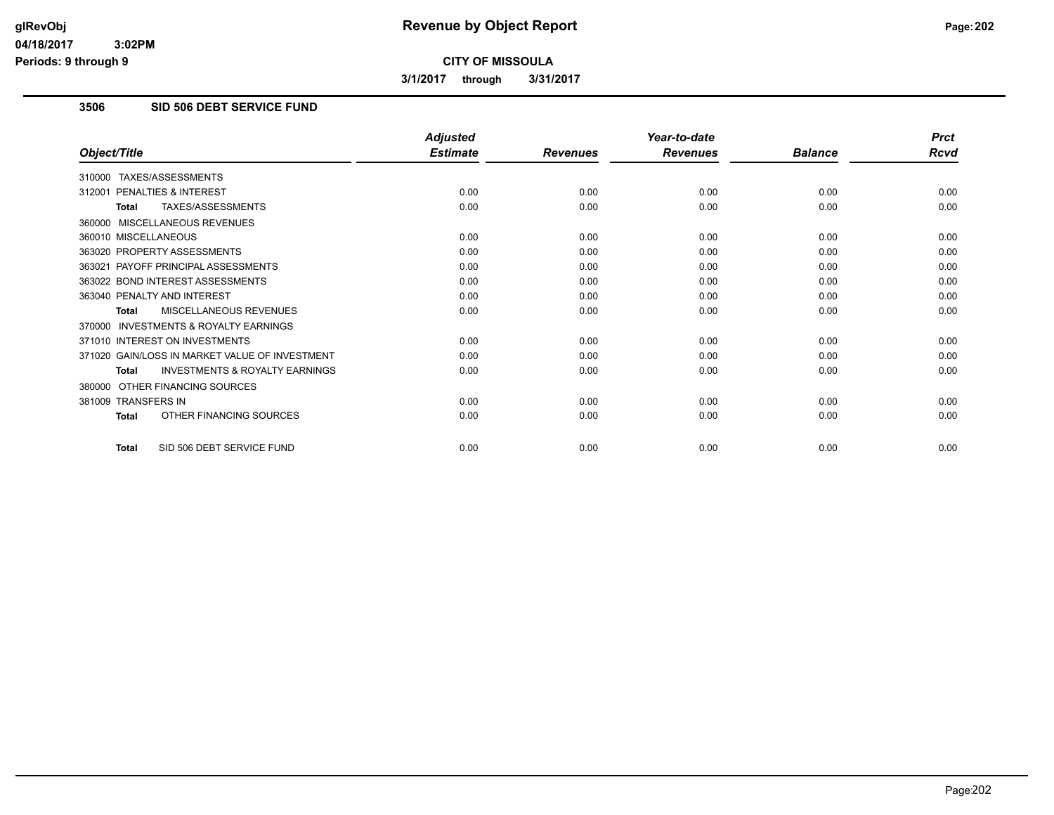**3/1/2017 through 3/31/2017**

### **3506 SID 506 DEBT SERVICE FUND**

|                                                           | <b>Adjusted</b> |                 | Year-to-date    |                | <b>Prct</b> |
|-----------------------------------------------------------|-----------------|-----------------|-----------------|----------------|-------------|
| Object/Title                                              | <b>Estimate</b> | <b>Revenues</b> | <b>Revenues</b> | <b>Balance</b> | Rcvd        |
| 310000 TAXES/ASSESSMENTS                                  |                 |                 |                 |                |             |
| 312001 PENALTIES & INTEREST                               | 0.00            | 0.00            | 0.00            | 0.00           | 0.00        |
| TAXES/ASSESSMENTS<br><b>Total</b>                         | 0.00            | 0.00            | 0.00            | 0.00           | 0.00        |
| 360000 MISCELLANEOUS REVENUES                             |                 |                 |                 |                |             |
| 360010 MISCELLANEOUS                                      | 0.00            | 0.00            | 0.00            | 0.00           | 0.00        |
| 363020 PROPERTY ASSESSMENTS                               | 0.00            | 0.00            | 0.00            | 0.00           | 0.00        |
| 363021 PAYOFF PRINCIPAL ASSESSMENTS                       | 0.00            | 0.00            | 0.00            | 0.00           | 0.00        |
| 363022 BOND INTEREST ASSESSMENTS                          | 0.00            | 0.00            | 0.00            | 0.00           | 0.00        |
| 363040 PENALTY AND INTEREST                               | 0.00            | 0.00            | 0.00            | 0.00           | 0.00        |
| MISCELLANEOUS REVENUES<br><b>Total</b>                    | 0.00            | 0.00            | 0.00            | 0.00           | 0.00        |
| <b>INVESTMENTS &amp; ROYALTY EARNINGS</b><br>370000       |                 |                 |                 |                |             |
| 371010 INTEREST ON INVESTMENTS                            | 0.00            | 0.00            | 0.00            | 0.00           | 0.00        |
| 371020 GAIN/LOSS IN MARKET VALUE OF INVESTMENT            | 0.00            | 0.00            | 0.00            | 0.00           | 0.00        |
| <b>INVESTMENTS &amp; ROYALTY EARNINGS</b><br><b>Total</b> | 0.00            | 0.00            | 0.00            | 0.00           | 0.00        |
| OTHER FINANCING SOURCES<br>380000                         |                 |                 |                 |                |             |
| 381009 TRANSFERS IN                                       | 0.00            | 0.00            | 0.00            | 0.00           | 0.00        |
| OTHER FINANCING SOURCES<br><b>Total</b>                   | 0.00            | 0.00            | 0.00            | 0.00           | 0.00        |
| SID 506 DEBT SERVICE FUND<br><b>Total</b>                 | 0.00            | 0.00            | 0.00            | 0.00           | 0.00        |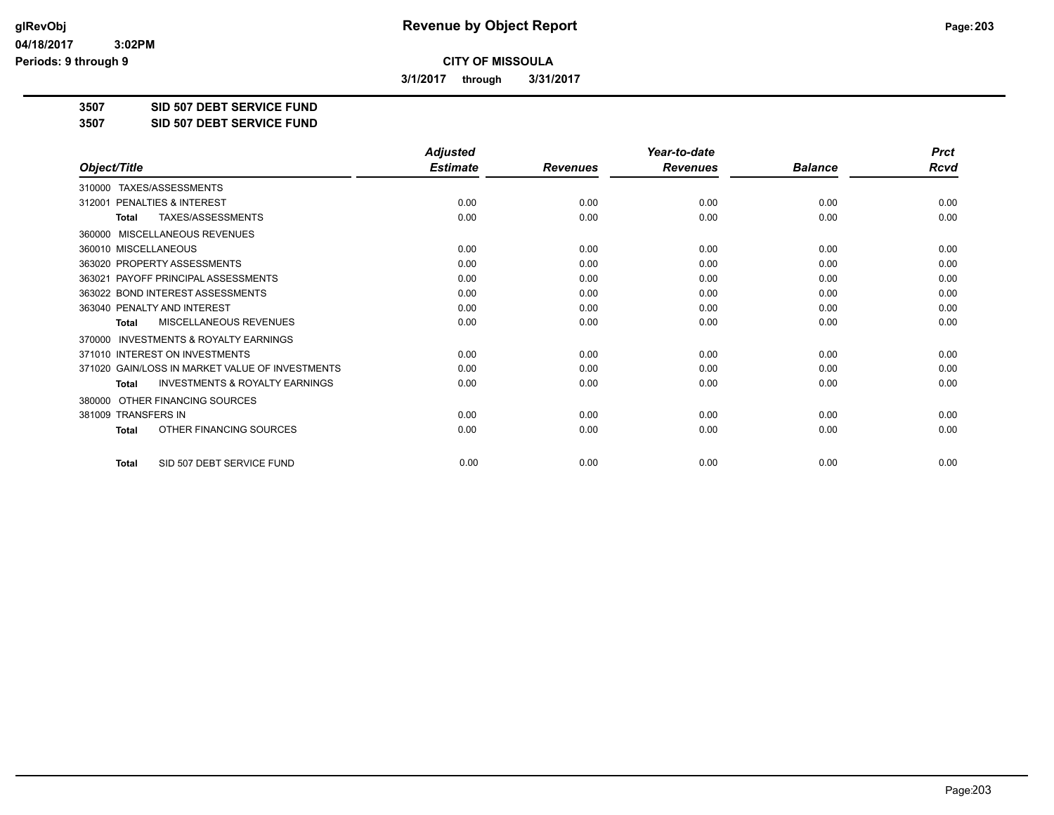**3/1/2017 through 3/31/2017**

**3507 SID 507 DEBT SERVICE FUND**

**3507 SID 507 DEBT SERVICE FUND**

|                                                     | <b>Adjusted</b> |                 | Year-to-date    |                | <b>Prct</b> |
|-----------------------------------------------------|-----------------|-----------------|-----------------|----------------|-------------|
| Object/Title                                        | <b>Estimate</b> | <b>Revenues</b> | <b>Revenues</b> | <b>Balance</b> | <b>Rcvd</b> |
| TAXES/ASSESSMENTS<br>310000                         |                 |                 |                 |                |             |
| PENALTIES & INTEREST<br>312001                      | 0.00            | 0.00            | 0.00            | 0.00           | 0.00        |
| TAXES/ASSESSMENTS<br><b>Total</b>                   | 0.00            | 0.00            | 0.00            | 0.00           | 0.00        |
| 360000 MISCELLANEOUS REVENUES                       |                 |                 |                 |                |             |
| 360010 MISCELLANEOUS                                | 0.00            | 0.00            | 0.00            | 0.00           | 0.00        |
| 363020 PROPERTY ASSESSMENTS                         | 0.00            | 0.00            | 0.00            | 0.00           | 0.00        |
| 363021 PAYOFF PRINCIPAL ASSESSMENTS                 | 0.00            | 0.00            | 0.00            | 0.00           | 0.00        |
| 363022 BOND INTEREST ASSESSMENTS                    | 0.00            | 0.00            | 0.00            | 0.00           | 0.00        |
| 363040 PENALTY AND INTEREST                         | 0.00            | 0.00            | 0.00            | 0.00           | 0.00        |
| MISCELLANEOUS REVENUES<br>Total                     | 0.00            | 0.00            | 0.00            | 0.00           | 0.00        |
| <b>INVESTMENTS &amp; ROYALTY EARNINGS</b><br>370000 |                 |                 |                 |                |             |
| 371010 INTEREST ON INVESTMENTS                      | 0.00            | 0.00            | 0.00            | 0.00           | 0.00        |
| 371020 GAIN/LOSS IN MARKET VALUE OF INVESTMENTS     | 0.00            | 0.00            | 0.00            | 0.00           | 0.00        |
| <b>INVESTMENTS &amp; ROYALTY EARNINGS</b><br>Total  | 0.00            | 0.00            | 0.00            | 0.00           | 0.00        |
| OTHER FINANCING SOURCES<br>380000                   |                 |                 |                 |                |             |
| 381009 TRANSFERS IN                                 | 0.00            | 0.00            | 0.00            | 0.00           | 0.00        |
| OTHER FINANCING SOURCES<br>Total                    | 0.00            | 0.00            | 0.00            | 0.00           | 0.00        |
| SID 507 DEBT SERVICE FUND<br><b>Total</b>           | 0.00            | 0.00            | 0.00            | 0.00           | 0.00        |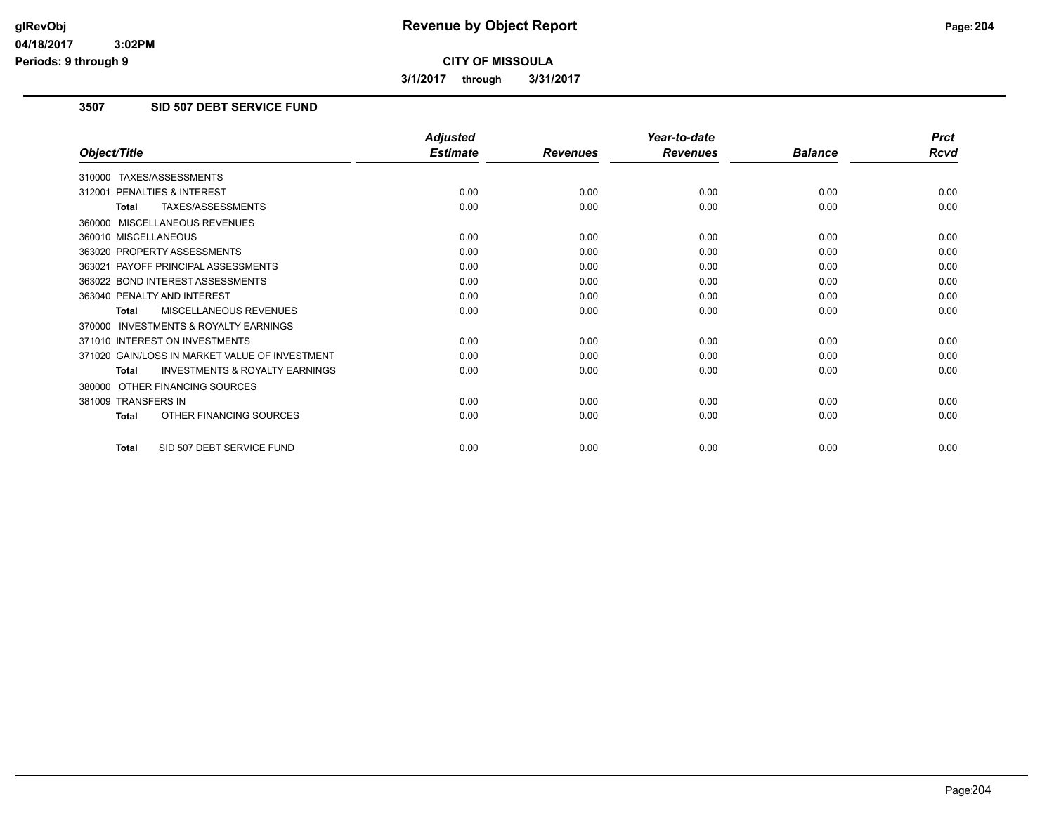**3/1/2017 through 3/31/2017**

### **3507 SID 507 DEBT SERVICE FUND**

|                                                           | <b>Adjusted</b> |                 | Year-to-date    |                | <b>Prct</b> |
|-----------------------------------------------------------|-----------------|-----------------|-----------------|----------------|-------------|
| Object/Title                                              | <b>Estimate</b> | <b>Revenues</b> | <b>Revenues</b> | <b>Balance</b> | Rcvd        |
| 310000 TAXES/ASSESSMENTS                                  |                 |                 |                 |                |             |
| PENALTIES & INTEREST<br>312001                            | 0.00            | 0.00            | 0.00            | 0.00           | 0.00        |
| TAXES/ASSESSMENTS<br><b>Total</b>                         | 0.00            | 0.00            | 0.00            | 0.00           | 0.00        |
| 360000 MISCELLANEOUS REVENUES                             |                 |                 |                 |                |             |
| 360010 MISCELLANEOUS                                      | 0.00            | 0.00            | 0.00            | 0.00           | 0.00        |
| 363020 PROPERTY ASSESSMENTS                               | 0.00            | 0.00            | 0.00            | 0.00           | 0.00        |
| 363021 PAYOFF PRINCIPAL ASSESSMENTS                       | 0.00            | 0.00            | 0.00            | 0.00           | 0.00        |
| 363022 BOND INTEREST ASSESSMENTS                          | 0.00            | 0.00            | 0.00            | 0.00           | 0.00        |
| 363040 PENALTY AND INTEREST                               | 0.00            | 0.00            | 0.00            | 0.00           | 0.00        |
| MISCELLANEOUS REVENUES<br><b>Total</b>                    | 0.00            | 0.00            | 0.00            | 0.00           | 0.00        |
| 370000 INVESTMENTS & ROYALTY EARNINGS                     |                 |                 |                 |                |             |
| 371010 INTEREST ON INVESTMENTS                            | 0.00            | 0.00            | 0.00            | 0.00           | 0.00        |
| 371020 GAIN/LOSS IN MARKET VALUE OF INVESTMENT            | 0.00            | 0.00            | 0.00            | 0.00           | 0.00        |
| <b>INVESTMENTS &amp; ROYALTY EARNINGS</b><br><b>Total</b> | 0.00            | 0.00            | 0.00            | 0.00           | 0.00        |
| 380000 OTHER FINANCING SOURCES                            |                 |                 |                 |                |             |
| 381009 TRANSFERS IN                                       | 0.00            | 0.00            | 0.00            | 0.00           | 0.00        |
| OTHER FINANCING SOURCES<br>Total                          | 0.00            | 0.00            | 0.00            | 0.00           | 0.00        |
| SID 507 DEBT SERVICE FUND<br><b>Total</b>                 | 0.00            | 0.00            | 0.00            | 0.00           | 0.00        |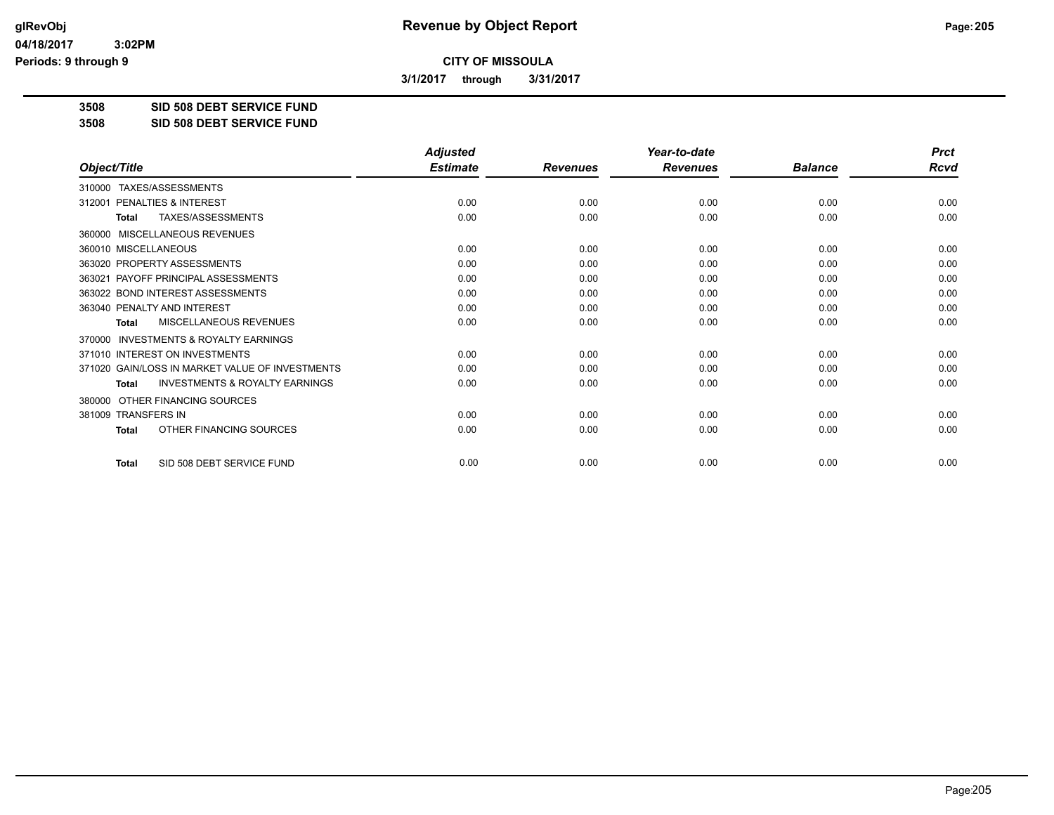**3/1/2017 through 3/31/2017**

**3508 SID 508 DEBT SERVICE FUND**

**3508 SID 508 DEBT SERVICE FUND**

|                                                     | <b>Adjusted</b> |                 | Year-to-date    |                | <b>Prct</b> |
|-----------------------------------------------------|-----------------|-----------------|-----------------|----------------|-------------|
| Object/Title                                        | <b>Estimate</b> | <b>Revenues</b> | <b>Revenues</b> | <b>Balance</b> | Rcvd        |
| TAXES/ASSESSMENTS<br>310000                         |                 |                 |                 |                |             |
| 312001 PENALTIES & INTEREST                         | 0.00            | 0.00            | 0.00            | 0.00           | 0.00        |
| TAXES/ASSESSMENTS<br><b>Total</b>                   | 0.00            | 0.00            | 0.00            | 0.00           | 0.00        |
| 360000 MISCELLANEOUS REVENUES                       |                 |                 |                 |                |             |
| 360010 MISCELLANEOUS                                | 0.00            | 0.00            | 0.00            | 0.00           | 0.00        |
| 363020 PROPERTY ASSESSMENTS                         | 0.00            | 0.00            | 0.00            | 0.00           | 0.00        |
| 363021 PAYOFF PRINCIPAL ASSESSMENTS                 | 0.00            | 0.00            | 0.00            | 0.00           | 0.00        |
| 363022 BOND INTEREST ASSESSMENTS                    | 0.00            | 0.00            | 0.00            | 0.00           | 0.00        |
| 363040 PENALTY AND INTEREST                         | 0.00            | 0.00            | 0.00            | 0.00           | 0.00        |
| MISCELLANEOUS REVENUES<br>Total                     | 0.00            | 0.00            | 0.00            | 0.00           | 0.00        |
| <b>INVESTMENTS &amp; ROYALTY EARNINGS</b><br>370000 |                 |                 |                 |                |             |
| 371010 INTEREST ON INVESTMENTS                      | 0.00            | 0.00            | 0.00            | 0.00           | 0.00        |
| 371020 GAIN/LOSS IN MARKET VALUE OF INVESTMENTS     | 0.00            | 0.00            | 0.00            | 0.00           | 0.00        |
| <b>INVESTMENTS &amp; ROYALTY EARNINGS</b><br>Total  | 0.00            | 0.00            | 0.00            | 0.00           | 0.00        |
| OTHER FINANCING SOURCES<br>380000                   |                 |                 |                 |                |             |
| 381009 TRANSFERS IN                                 | 0.00            | 0.00            | 0.00            | 0.00           | 0.00        |
| OTHER FINANCING SOURCES<br>Total                    | 0.00            | 0.00            | 0.00            | 0.00           | 0.00        |
| SID 508 DEBT SERVICE FUND<br>Total                  | 0.00            | 0.00            | 0.00            | 0.00           | 0.00        |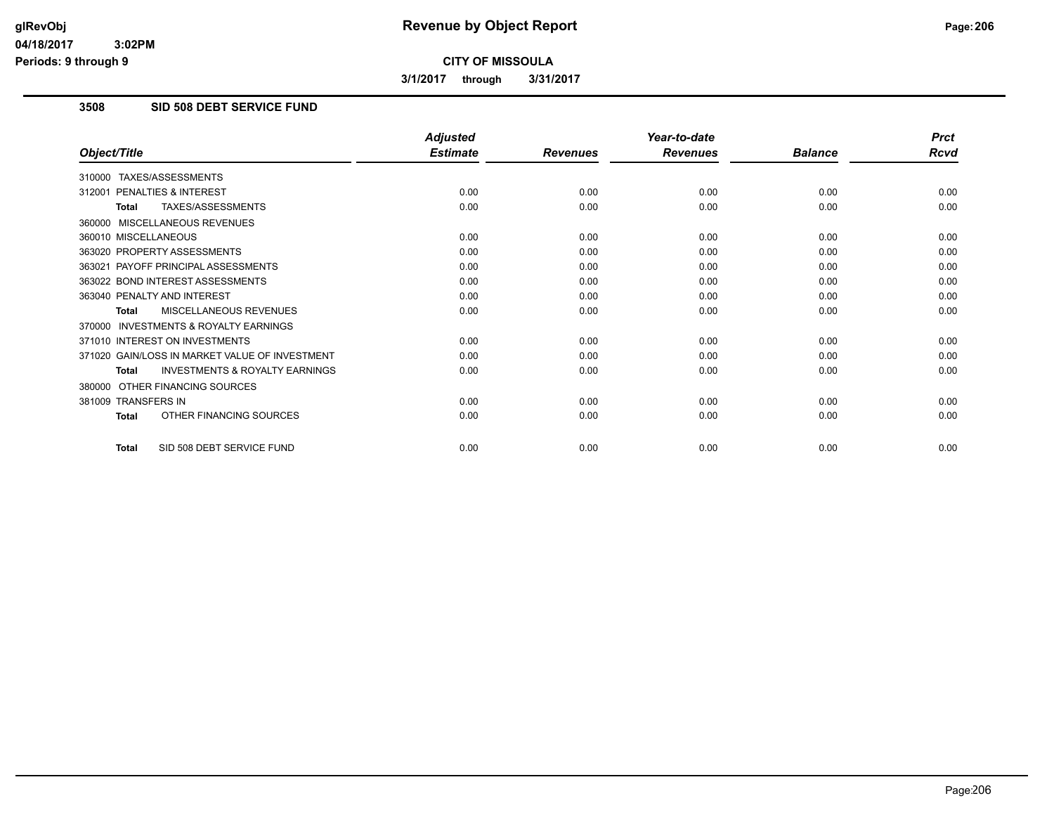**3/1/2017 through 3/31/2017**

### **3508 SID 508 DEBT SERVICE FUND**

|                                                           | <b>Adjusted</b> |                 | Year-to-date    |                | <b>Prct</b> |
|-----------------------------------------------------------|-----------------|-----------------|-----------------|----------------|-------------|
| Object/Title                                              | <b>Estimate</b> | <b>Revenues</b> | <b>Revenues</b> | <b>Balance</b> | Rcvd        |
| 310000 TAXES/ASSESSMENTS                                  |                 |                 |                 |                |             |
| PENALTIES & INTEREST<br>312001                            | 0.00            | 0.00            | 0.00            | 0.00           | 0.00        |
| TAXES/ASSESSMENTS<br><b>Total</b>                         | 0.00            | 0.00            | 0.00            | 0.00           | 0.00        |
| 360000 MISCELLANEOUS REVENUES                             |                 |                 |                 |                |             |
| 360010 MISCELLANEOUS                                      | 0.00            | 0.00            | 0.00            | 0.00           | 0.00        |
| 363020 PROPERTY ASSESSMENTS                               | 0.00            | 0.00            | 0.00            | 0.00           | 0.00        |
| 363021 PAYOFF PRINCIPAL ASSESSMENTS                       | 0.00            | 0.00            | 0.00            | 0.00           | 0.00        |
| 363022 BOND INTEREST ASSESSMENTS                          | 0.00            | 0.00            | 0.00            | 0.00           | 0.00        |
| 363040 PENALTY AND INTEREST                               | 0.00            | 0.00            | 0.00            | 0.00           | 0.00        |
| MISCELLANEOUS REVENUES<br><b>Total</b>                    | 0.00            | 0.00            | 0.00            | 0.00           | 0.00        |
| 370000 INVESTMENTS & ROYALTY EARNINGS                     |                 |                 |                 |                |             |
| 371010 INTEREST ON INVESTMENTS                            | 0.00            | 0.00            | 0.00            | 0.00           | 0.00        |
| 371020 GAIN/LOSS IN MARKET VALUE OF INVESTMENT            | 0.00            | 0.00            | 0.00            | 0.00           | 0.00        |
| <b>INVESTMENTS &amp; ROYALTY EARNINGS</b><br><b>Total</b> | 0.00            | 0.00            | 0.00            | 0.00           | 0.00        |
| 380000 OTHER FINANCING SOURCES                            |                 |                 |                 |                |             |
| 381009 TRANSFERS IN                                       | 0.00            | 0.00            | 0.00            | 0.00           | 0.00        |
| OTHER FINANCING SOURCES<br><b>Total</b>                   | 0.00            | 0.00            | 0.00            | 0.00           | 0.00        |
| SID 508 DEBT SERVICE FUND<br><b>Total</b>                 | 0.00            | 0.00            | 0.00            | 0.00           | 0.00        |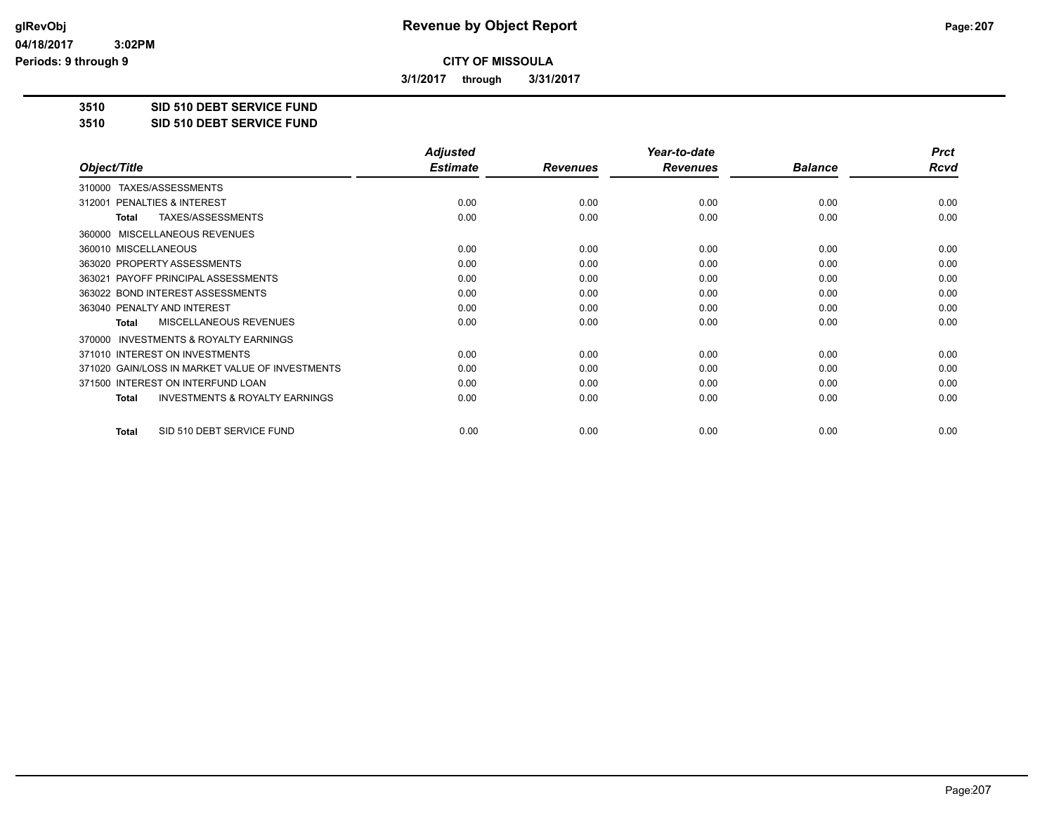**3/1/2017 through 3/31/2017**

**3510 SID 510 DEBT SERVICE FUND**

**3510 SID 510 DEBT SERVICE FUND**

|                                                           | <b>Adjusted</b> |                 | Year-to-date    |                | <b>Prct</b> |
|-----------------------------------------------------------|-----------------|-----------------|-----------------|----------------|-------------|
| Object/Title                                              | <b>Estimate</b> | <b>Revenues</b> | <b>Revenues</b> | <b>Balance</b> | <b>Rcvd</b> |
| 310000 TAXES/ASSESSMENTS                                  |                 |                 |                 |                |             |
| 312001 PENALTIES & INTEREST                               | 0.00            | 0.00            | 0.00            | 0.00           | 0.00        |
| TAXES/ASSESSMENTS<br><b>Total</b>                         | 0.00            | 0.00            | 0.00            | 0.00           | 0.00        |
| 360000 MISCELLANEOUS REVENUES                             |                 |                 |                 |                |             |
| 360010 MISCELLANEOUS                                      | 0.00            | 0.00            | 0.00            | 0.00           | 0.00        |
| 363020 PROPERTY ASSESSMENTS                               | 0.00            | 0.00            | 0.00            | 0.00           | 0.00        |
| 363021 PAYOFF PRINCIPAL ASSESSMENTS                       | 0.00            | 0.00            | 0.00            | 0.00           | 0.00        |
| 363022 BOND INTEREST ASSESSMENTS                          | 0.00            | 0.00            | 0.00            | 0.00           | 0.00        |
| 363040 PENALTY AND INTEREST                               | 0.00            | 0.00            | 0.00            | 0.00           | 0.00        |
| MISCELLANEOUS REVENUES<br>Total                           | 0.00            | 0.00            | 0.00            | 0.00           | 0.00        |
| 370000 INVESTMENTS & ROYALTY EARNINGS                     |                 |                 |                 |                |             |
| 371010 INTEREST ON INVESTMENTS                            | 0.00            | 0.00            | 0.00            | 0.00           | 0.00        |
| 371020 GAIN/LOSS IN MARKET VALUE OF INVESTMENTS           | 0.00            | 0.00            | 0.00            | 0.00           | 0.00        |
| 371500 INTEREST ON INTERFUND LOAN                         | 0.00            | 0.00            | 0.00            | 0.00           | 0.00        |
| <b>INVESTMENTS &amp; ROYALTY EARNINGS</b><br><b>Total</b> | 0.00            | 0.00            | 0.00            | 0.00           | 0.00        |
| SID 510 DEBT SERVICE FUND<br><b>Total</b>                 | 0.00            | 0.00            | 0.00            | 0.00           | 0.00        |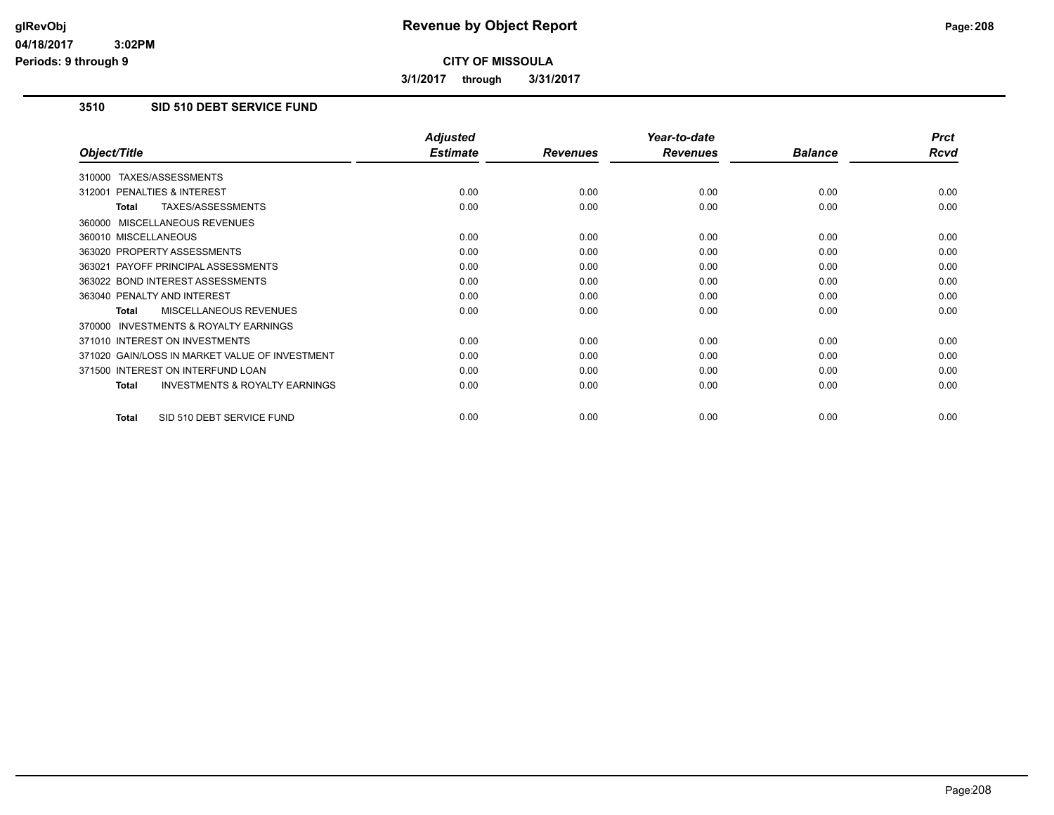**3/1/2017 through 3/31/2017**

# **3510 SID 510 DEBT SERVICE FUND**

|                                                           | <b>Adjusted</b> |                 | Year-to-date    |                | <b>Prct</b> |
|-----------------------------------------------------------|-----------------|-----------------|-----------------|----------------|-------------|
| Object/Title                                              | <b>Estimate</b> | <b>Revenues</b> | <b>Revenues</b> | <b>Balance</b> | Rcvd        |
| TAXES/ASSESSMENTS<br>310000                               |                 |                 |                 |                |             |
| 312001 PENALTIES & INTEREST                               | 0.00            | 0.00            | 0.00            | 0.00           | 0.00        |
| TAXES/ASSESSMENTS<br><b>Total</b>                         | 0.00            | 0.00            | 0.00            | 0.00           | 0.00        |
| 360000 MISCELLANEOUS REVENUES                             |                 |                 |                 |                |             |
| 360010 MISCELLANEOUS                                      | 0.00            | 0.00            | 0.00            | 0.00           | 0.00        |
| 363020 PROPERTY ASSESSMENTS                               | 0.00            | 0.00            | 0.00            | 0.00           | 0.00        |
| 363021 PAYOFF PRINCIPAL ASSESSMENTS                       | 0.00            | 0.00            | 0.00            | 0.00           | 0.00        |
| 363022 BOND INTEREST ASSESSMENTS                          | 0.00            | 0.00            | 0.00            | 0.00           | 0.00        |
| 363040 PENALTY AND INTEREST                               | 0.00            | 0.00            | 0.00            | 0.00           | 0.00        |
| MISCELLANEOUS REVENUES<br><b>Total</b>                    | 0.00            | 0.00            | 0.00            | 0.00           | 0.00        |
| <b>INVESTMENTS &amp; ROYALTY EARNINGS</b><br>370000       |                 |                 |                 |                |             |
| 371010 INTEREST ON INVESTMENTS                            | 0.00            | 0.00            | 0.00            | 0.00           | 0.00        |
| 371020 GAIN/LOSS IN MARKET VALUE OF INVESTMENT            | 0.00            | 0.00            | 0.00            | 0.00           | 0.00        |
| 371500 INTEREST ON INTERFUND LOAN                         | 0.00            | 0.00            | 0.00            | 0.00           | 0.00        |
| <b>INVESTMENTS &amp; ROYALTY EARNINGS</b><br><b>Total</b> | 0.00            | 0.00            | 0.00            | 0.00           | 0.00        |
| SID 510 DEBT SERVICE FUND<br><b>Total</b>                 | 0.00            | 0.00            | 0.00            | 0.00           | 0.00        |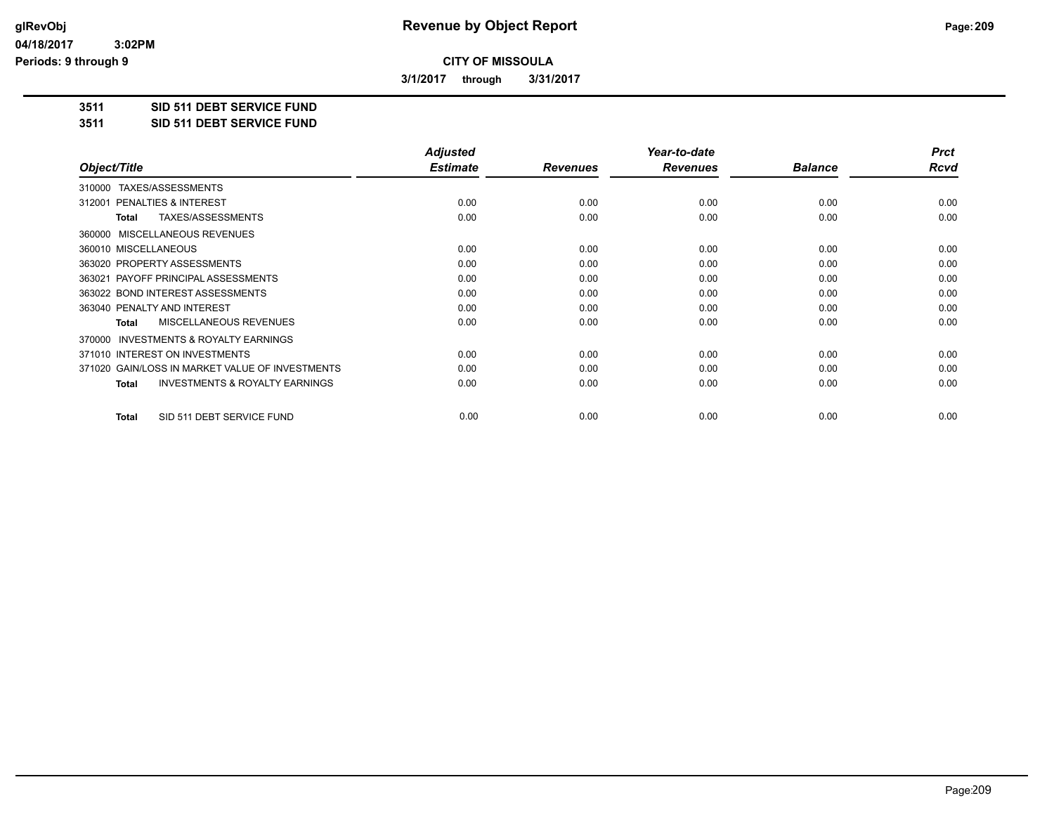**3/1/2017 through 3/31/2017**

**3511 SID 511 DEBT SERVICE FUND**

**3511 SID 511 DEBT SERVICE FUND**

|                                                     | <b>Adjusted</b> |                 | Year-to-date    |                | <b>Prct</b> |
|-----------------------------------------------------|-----------------|-----------------|-----------------|----------------|-------------|
| Object/Title                                        | <b>Estimate</b> | <b>Revenues</b> | <b>Revenues</b> | <b>Balance</b> | Rcvd        |
| 310000 TAXES/ASSESSMENTS                            |                 |                 |                 |                |             |
| 312001 PENALTIES & INTEREST                         | 0.00            | 0.00            | 0.00            | 0.00           | 0.00        |
| TAXES/ASSESSMENTS<br>Total                          | 0.00            | 0.00            | 0.00            | 0.00           | 0.00        |
| 360000 MISCELLANEOUS REVENUES                       |                 |                 |                 |                |             |
| 360010 MISCELLANEOUS                                | 0.00            | 0.00            | 0.00            | 0.00           | 0.00        |
| 363020 PROPERTY ASSESSMENTS                         | 0.00            | 0.00            | 0.00            | 0.00           | 0.00        |
| 363021 PAYOFF PRINCIPAL ASSESSMENTS                 | 0.00            | 0.00            | 0.00            | 0.00           | 0.00        |
| 363022 BOND INTEREST ASSESSMENTS                    | 0.00            | 0.00            | 0.00            | 0.00           | 0.00        |
| 363040 PENALTY AND INTEREST                         | 0.00            | 0.00            | 0.00            | 0.00           | 0.00        |
| MISCELLANEOUS REVENUES<br>Total                     | 0.00            | 0.00            | 0.00            | 0.00           | 0.00        |
| <b>INVESTMENTS &amp; ROYALTY EARNINGS</b><br>370000 |                 |                 |                 |                |             |
| 371010 INTEREST ON INVESTMENTS                      | 0.00            | 0.00            | 0.00            | 0.00           | 0.00        |
| 371020 GAIN/LOSS IN MARKET VALUE OF INVESTMENTS     | 0.00            | 0.00            | 0.00            | 0.00           | 0.00        |
| <b>INVESTMENTS &amp; ROYALTY EARNINGS</b><br>Total  | 0.00            | 0.00            | 0.00            | 0.00           | 0.00        |
| SID 511 DEBT SERVICE FUND<br><b>Total</b>           | 0.00            | 0.00            | 0.00            | 0.00           | 0.00        |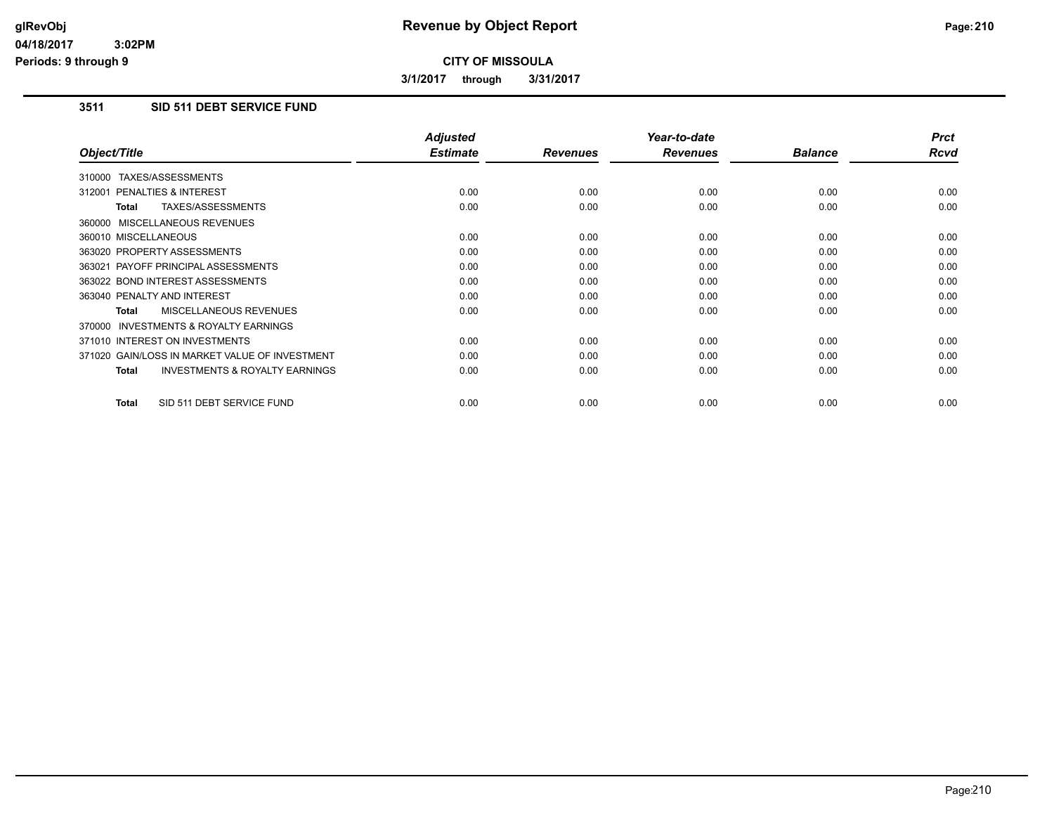**3/1/2017 through 3/31/2017**

# **3511 SID 511 DEBT SERVICE FUND**

|                                                           | <b>Adjusted</b> |                 | Year-to-date    |                | <b>Prct</b> |
|-----------------------------------------------------------|-----------------|-----------------|-----------------|----------------|-------------|
| Object/Title                                              | <b>Estimate</b> | <b>Revenues</b> | <b>Revenues</b> | <b>Balance</b> | Rcvd        |
| TAXES/ASSESSMENTS<br>310000                               |                 |                 |                 |                |             |
| 312001 PENALTIES & INTEREST                               | 0.00            | 0.00            | 0.00            | 0.00           | 0.00        |
| TAXES/ASSESSMENTS<br>Total                                | 0.00            | 0.00            | 0.00            | 0.00           | 0.00        |
| 360000 MISCELLANEOUS REVENUES                             |                 |                 |                 |                |             |
| 360010 MISCELLANEOUS                                      | 0.00            | 0.00            | 0.00            | 0.00           | 0.00        |
| 363020 PROPERTY ASSESSMENTS                               | 0.00            | 0.00            | 0.00            | 0.00           | 0.00        |
| 363021 PAYOFF PRINCIPAL ASSESSMENTS                       | 0.00            | 0.00            | 0.00            | 0.00           | 0.00        |
| 363022 BOND INTEREST ASSESSMENTS                          | 0.00            | 0.00            | 0.00            | 0.00           | 0.00        |
| 363040 PENALTY AND INTEREST                               | 0.00            | 0.00            | 0.00            | 0.00           | 0.00        |
| MISCELLANEOUS REVENUES<br>Total                           | 0.00            | 0.00            | 0.00            | 0.00           | 0.00        |
| <b>INVESTMENTS &amp; ROYALTY EARNINGS</b><br>370000       |                 |                 |                 |                |             |
| 371010 INTEREST ON INVESTMENTS                            | 0.00            | 0.00            | 0.00            | 0.00           | 0.00        |
| 371020 GAIN/LOSS IN MARKET VALUE OF INVESTMENT            | 0.00            | 0.00            | 0.00            | 0.00           | 0.00        |
| <b>INVESTMENTS &amp; ROYALTY EARNINGS</b><br><b>Total</b> | 0.00            | 0.00            | 0.00            | 0.00           | 0.00        |
| SID 511 DEBT SERVICE FUND<br><b>Total</b>                 | 0.00            | 0.00            | 0.00            | 0.00           | 0.00        |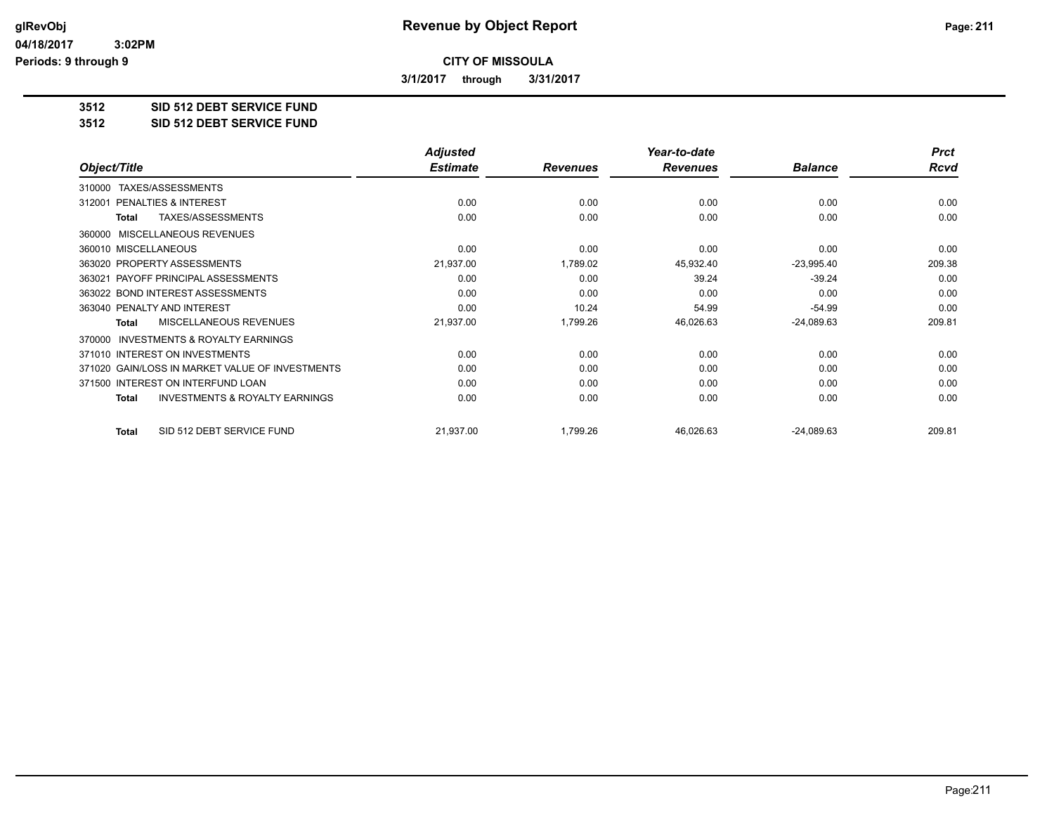**3/1/2017 through 3/31/2017**

**3512 SID 512 DEBT SERVICE FUND**

**3512 SID 512 DEBT SERVICE FUND**

|                                                     | <b>Adjusted</b> |                 | Year-to-date    |                | <b>Prct</b> |
|-----------------------------------------------------|-----------------|-----------------|-----------------|----------------|-------------|
| Object/Title                                        | <b>Estimate</b> | <b>Revenues</b> | <b>Revenues</b> | <b>Balance</b> | Rcvd        |
| TAXES/ASSESSMENTS<br>310000                         |                 |                 |                 |                |             |
| 312001 PENALTIES & INTEREST                         | 0.00            | 0.00            | 0.00            | 0.00           | 0.00        |
| TAXES/ASSESSMENTS<br>Total                          | 0.00            | 0.00            | 0.00            | 0.00           | 0.00        |
| MISCELLANEOUS REVENUES<br>360000                    |                 |                 |                 |                |             |
| 360010 MISCELLANEOUS                                | 0.00            | 0.00            | 0.00            | 0.00           | 0.00        |
| 363020 PROPERTY ASSESSMENTS                         | 21,937.00       | 1,789.02        | 45,932.40       | $-23,995.40$   | 209.38      |
| 363021 PAYOFF PRINCIPAL ASSESSMENTS                 | 0.00            | 0.00            | 39.24           | $-39.24$       | 0.00        |
| 363022 BOND INTEREST ASSESSMENTS                    | 0.00            | 0.00            | 0.00            | 0.00           | 0.00        |
| 363040 PENALTY AND INTEREST                         | 0.00            | 10.24           | 54.99           | $-54.99$       | 0.00        |
| MISCELLANEOUS REVENUES<br>Total                     | 21,937.00       | 1,799.26        | 46,026.63       | $-24,089.63$   | 209.81      |
| <b>INVESTMENTS &amp; ROYALTY EARNINGS</b><br>370000 |                 |                 |                 |                |             |
| 371010 INTEREST ON INVESTMENTS                      | 0.00            | 0.00            | 0.00            | 0.00           | 0.00        |
| 371020 GAIN/LOSS IN MARKET VALUE OF INVESTMENTS     | 0.00            | 0.00            | 0.00            | 0.00           | 0.00        |
| 371500 INTEREST ON INTERFUND LOAN                   | 0.00            | 0.00            | 0.00            | 0.00           | 0.00        |
| <b>INVESTMENTS &amp; ROYALTY EARNINGS</b><br>Total  | 0.00            | 0.00            | 0.00            | 0.00           | 0.00        |
| SID 512 DEBT SERVICE FUND<br><b>Total</b>           | 21,937.00       | 1,799.26        | 46,026.63       | $-24,089.63$   | 209.81      |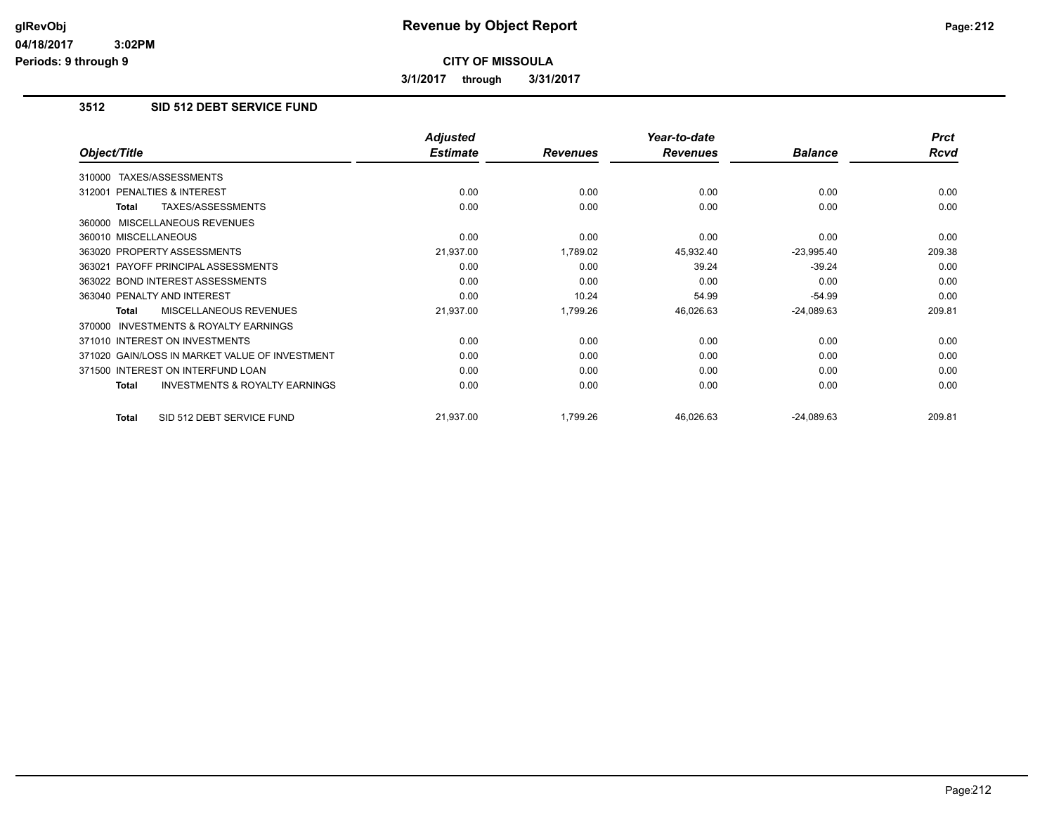**3/1/2017 through 3/31/2017**

# **3512 SID 512 DEBT SERVICE FUND**

|                                                           | <b>Adjusted</b> |                 | Year-to-date    |                | <b>Prct</b> |
|-----------------------------------------------------------|-----------------|-----------------|-----------------|----------------|-------------|
| Object/Title                                              | <b>Estimate</b> | <b>Revenues</b> | <b>Revenues</b> | <b>Balance</b> | Rcvd        |
| TAXES/ASSESSMENTS<br>310000                               |                 |                 |                 |                |             |
| <b>PENALTIES &amp; INTEREST</b><br>312001                 | 0.00            | 0.00            | 0.00            | 0.00           | 0.00        |
| TAXES/ASSESSMENTS<br><b>Total</b>                         | 0.00            | 0.00            | 0.00            | 0.00           | 0.00        |
| 360000 MISCELLANEOUS REVENUES                             |                 |                 |                 |                |             |
| 360010 MISCELLANEOUS                                      | 0.00            | 0.00            | 0.00            | 0.00           | 0.00        |
| 363020 PROPERTY ASSESSMENTS                               | 21,937.00       | 1,789.02        | 45,932.40       | $-23,995.40$   | 209.38      |
| 363021 PAYOFF PRINCIPAL ASSESSMENTS                       | 0.00            | 0.00            | 39.24           | $-39.24$       | 0.00        |
| 363022 BOND INTEREST ASSESSMENTS                          | 0.00            | 0.00            | 0.00            | 0.00           | 0.00        |
| 363040 PENALTY AND INTEREST                               | 0.00            | 10.24           | 54.99           | $-54.99$       | 0.00        |
| MISCELLANEOUS REVENUES<br>Total                           | 21,937.00       | 1,799.26        | 46,026.63       | $-24,089.63$   | 209.81      |
| 370000 INVESTMENTS & ROYALTY EARNINGS                     |                 |                 |                 |                |             |
| 371010 INTEREST ON INVESTMENTS                            | 0.00            | 0.00            | 0.00            | 0.00           | 0.00        |
| 371020 GAIN/LOSS IN MARKET VALUE OF INVESTMENT            | 0.00            | 0.00            | 0.00            | 0.00           | 0.00        |
| 371500 INTEREST ON INTERFUND LOAN                         | 0.00            | 0.00            | 0.00            | 0.00           | 0.00        |
| <b>INVESTMENTS &amp; ROYALTY EARNINGS</b><br><b>Total</b> | 0.00            | 0.00            | 0.00            | 0.00           | 0.00        |
| SID 512 DEBT SERVICE FUND<br><b>Total</b>                 | 21,937.00       | 1,799.26        | 46,026.63       | $-24,089.63$   | 209.81      |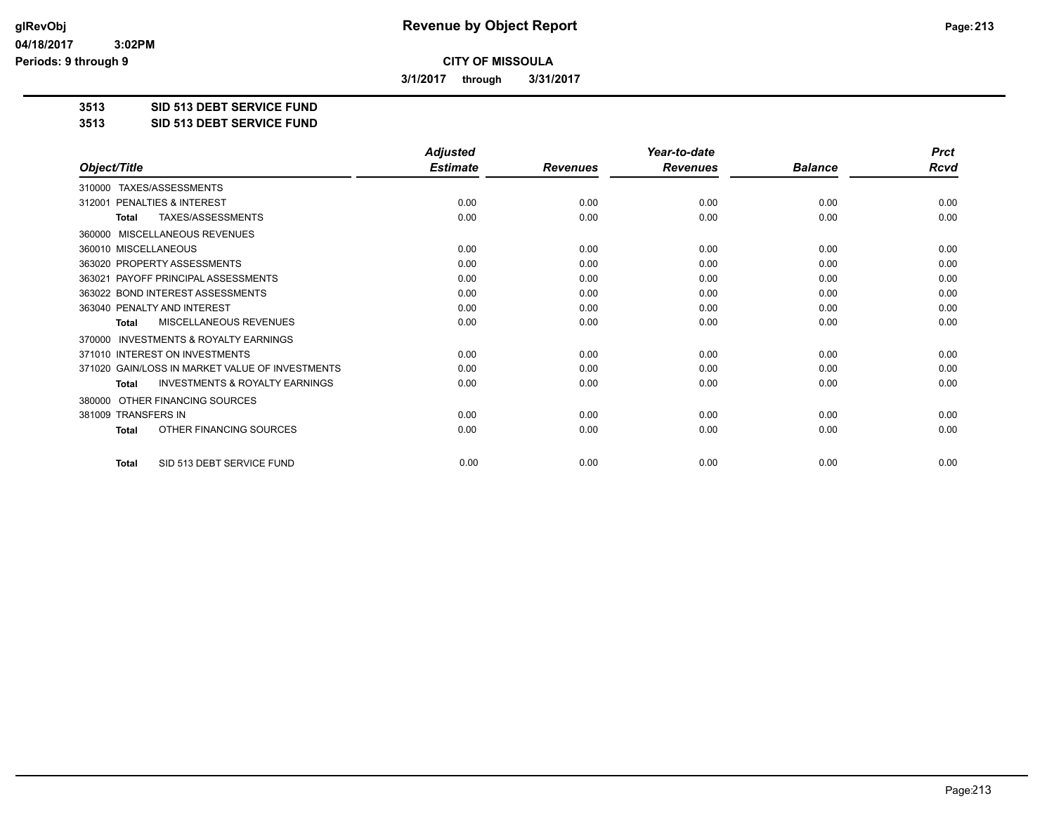**3/1/2017 through 3/31/2017**

**3513 SID 513 DEBT SERVICE FUND**

**3513 SID 513 DEBT SERVICE FUND**

|                                                     | <b>Adjusted</b> |                 | Year-to-date    |                | <b>Prct</b> |
|-----------------------------------------------------|-----------------|-----------------|-----------------|----------------|-------------|
| Object/Title                                        | <b>Estimate</b> | <b>Revenues</b> | <b>Revenues</b> | <b>Balance</b> | <b>Rcvd</b> |
| TAXES/ASSESSMENTS<br>310000                         |                 |                 |                 |                |             |
| PENALTIES & INTEREST<br>312001                      | 0.00            | 0.00            | 0.00            | 0.00           | 0.00        |
| TAXES/ASSESSMENTS<br><b>Total</b>                   | 0.00            | 0.00            | 0.00            | 0.00           | 0.00        |
| 360000 MISCELLANEOUS REVENUES                       |                 |                 |                 |                |             |
| 360010 MISCELLANEOUS                                | 0.00            | 0.00            | 0.00            | 0.00           | 0.00        |
| 363020 PROPERTY ASSESSMENTS                         | 0.00            | 0.00            | 0.00            | 0.00           | 0.00        |
| 363021 PAYOFF PRINCIPAL ASSESSMENTS                 | 0.00            | 0.00            | 0.00            | 0.00           | 0.00        |
| 363022 BOND INTEREST ASSESSMENTS                    | 0.00            | 0.00            | 0.00            | 0.00           | 0.00        |
| 363040 PENALTY AND INTEREST                         | 0.00            | 0.00            | 0.00            | 0.00           | 0.00        |
| MISCELLANEOUS REVENUES<br>Total                     | 0.00            | 0.00            | 0.00            | 0.00           | 0.00        |
| <b>INVESTMENTS &amp; ROYALTY EARNINGS</b><br>370000 |                 |                 |                 |                |             |
| 371010 INTEREST ON INVESTMENTS                      | 0.00            | 0.00            | 0.00            | 0.00           | 0.00        |
| 371020 GAIN/LOSS IN MARKET VALUE OF INVESTMENTS     | 0.00            | 0.00            | 0.00            | 0.00           | 0.00        |
| <b>INVESTMENTS &amp; ROYALTY EARNINGS</b><br>Total  | 0.00            | 0.00            | 0.00            | 0.00           | 0.00        |
| OTHER FINANCING SOURCES<br>380000                   |                 |                 |                 |                |             |
| 381009 TRANSFERS IN                                 | 0.00            | 0.00            | 0.00            | 0.00           | 0.00        |
| OTHER FINANCING SOURCES<br>Total                    | 0.00            | 0.00            | 0.00            | 0.00           | 0.00        |
| SID 513 DEBT SERVICE FUND<br><b>Total</b>           | 0.00            | 0.00            | 0.00            | 0.00           | 0.00        |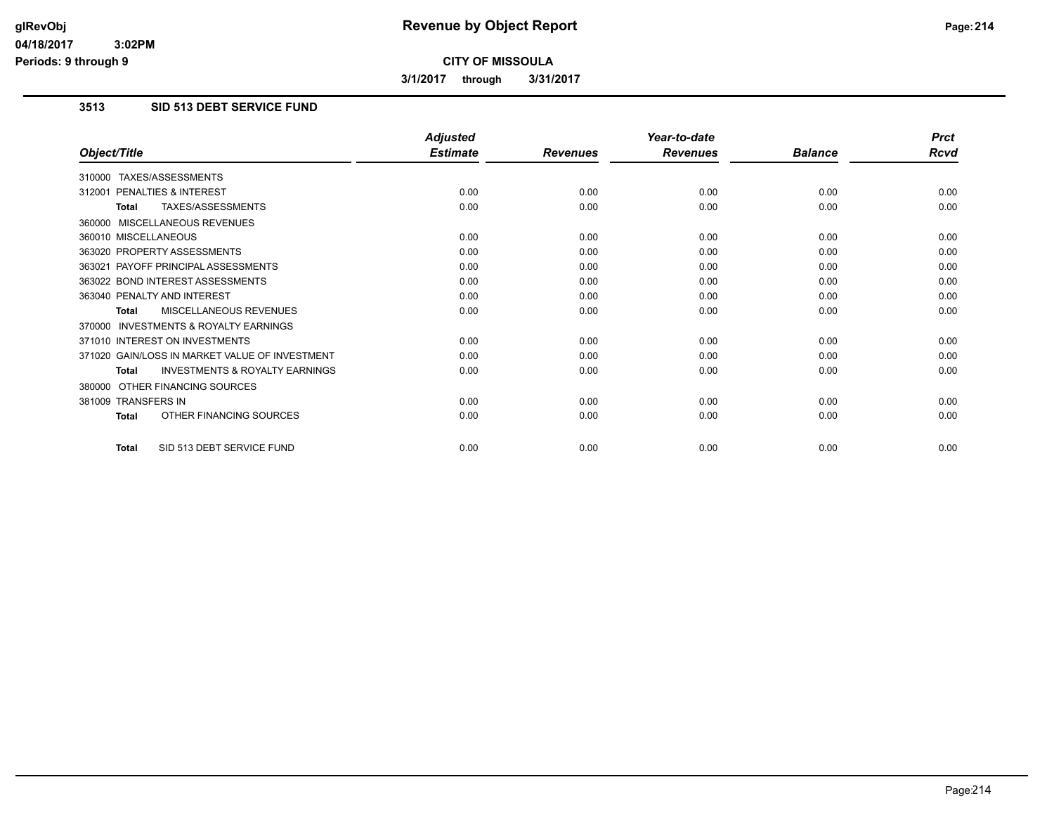**3/1/2017 through 3/31/2017**

# **3513 SID 513 DEBT SERVICE FUND**

|                                                           | <b>Adjusted</b> |                 | Year-to-date    |                | <b>Prct</b> |
|-----------------------------------------------------------|-----------------|-----------------|-----------------|----------------|-------------|
| Object/Title                                              | <b>Estimate</b> | <b>Revenues</b> | <b>Revenues</b> | <b>Balance</b> | <b>Rcvd</b> |
| 310000 TAXES/ASSESSMENTS                                  |                 |                 |                 |                |             |
| <b>PENALTIES &amp; INTEREST</b><br>312001                 | 0.00            | 0.00            | 0.00            | 0.00           | 0.00        |
| TAXES/ASSESSMENTS<br><b>Total</b>                         | 0.00            | 0.00            | 0.00            | 0.00           | 0.00        |
| 360000 MISCELLANEOUS REVENUES                             |                 |                 |                 |                |             |
| 360010 MISCELLANEOUS                                      | 0.00            | 0.00            | 0.00            | 0.00           | 0.00        |
| 363020 PROPERTY ASSESSMENTS                               | 0.00            | 0.00            | 0.00            | 0.00           | 0.00        |
| 363021 PAYOFF PRINCIPAL ASSESSMENTS                       | 0.00            | 0.00            | 0.00            | 0.00           | 0.00        |
| 363022 BOND INTEREST ASSESSMENTS                          | 0.00            | 0.00            | 0.00            | 0.00           | 0.00        |
| 363040 PENALTY AND INTEREST                               | 0.00            | 0.00            | 0.00            | 0.00           | 0.00        |
| MISCELLANEOUS REVENUES<br><b>Total</b>                    | 0.00            | 0.00            | 0.00            | 0.00           | 0.00        |
| 370000 INVESTMENTS & ROYALTY EARNINGS                     |                 |                 |                 |                |             |
| 371010 INTEREST ON INVESTMENTS                            | 0.00            | 0.00            | 0.00            | 0.00           | 0.00        |
| 371020 GAIN/LOSS IN MARKET VALUE OF INVESTMENT            | 0.00            | 0.00            | 0.00            | 0.00           | 0.00        |
| <b>INVESTMENTS &amp; ROYALTY EARNINGS</b><br><b>Total</b> | 0.00            | 0.00            | 0.00            | 0.00           | 0.00        |
| 380000 OTHER FINANCING SOURCES                            |                 |                 |                 |                |             |
| 381009 TRANSFERS IN                                       | 0.00            | 0.00            | 0.00            | 0.00           | 0.00        |
| OTHER FINANCING SOURCES<br><b>Total</b>                   | 0.00            | 0.00            | 0.00            | 0.00           | 0.00        |
| SID 513 DEBT SERVICE FUND<br><b>Total</b>                 | 0.00            | 0.00            | 0.00            | 0.00           | 0.00        |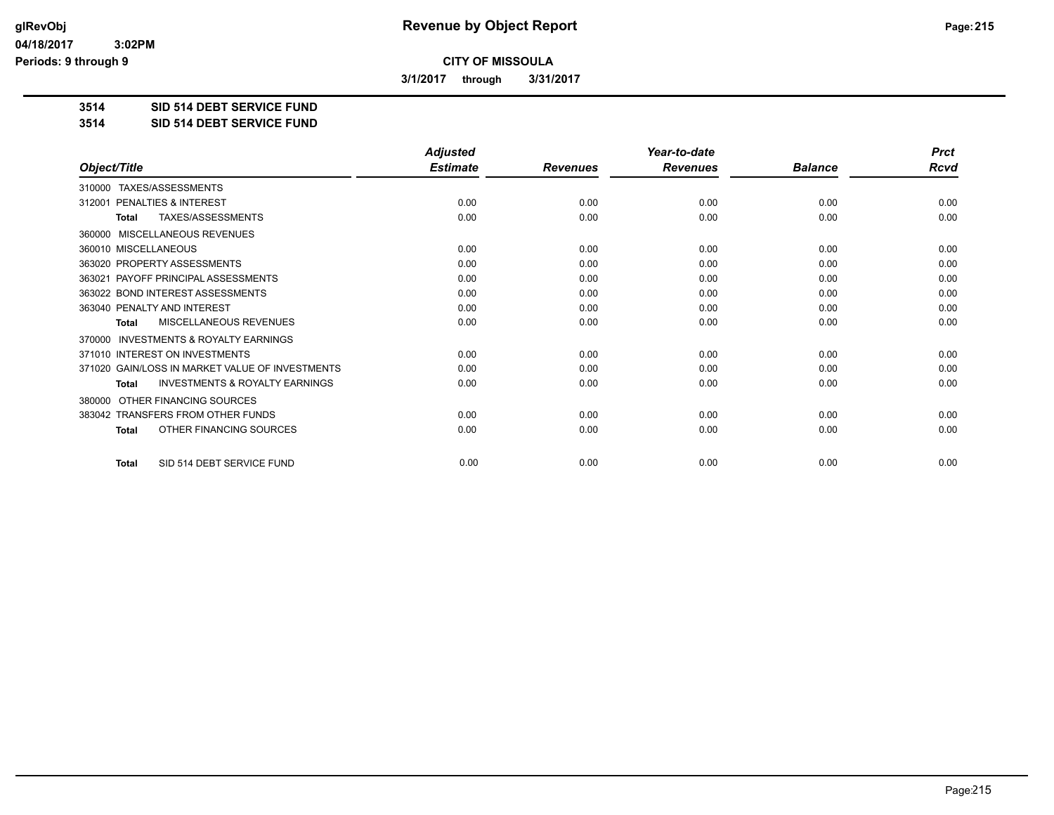**3/1/2017 through 3/31/2017**

**3514 SID 514 DEBT SERVICE FUND**

**3514 SID 514 DEBT SERVICE FUND**

|                                                     | <b>Adjusted</b> |                 | Year-to-date    |                | <b>Prct</b> |
|-----------------------------------------------------|-----------------|-----------------|-----------------|----------------|-------------|
| Object/Title                                        | <b>Estimate</b> | <b>Revenues</b> | <b>Revenues</b> | <b>Balance</b> | Rcvd        |
| TAXES/ASSESSMENTS<br>310000                         |                 |                 |                 |                |             |
| PENALTIES & INTEREST<br>312001                      | 0.00            | 0.00            | 0.00            | 0.00           | 0.00        |
| TAXES/ASSESSMENTS<br><b>Total</b>                   | 0.00            | 0.00            | 0.00            | 0.00           | 0.00        |
| 360000 MISCELLANEOUS REVENUES                       |                 |                 |                 |                |             |
| 360010 MISCELLANEOUS                                | 0.00            | 0.00            | 0.00            | 0.00           | 0.00        |
| 363020 PROPERTY ASSESSMENTS                         | 0.00            | 0.00            | 0.00            | 0.00           | 0.00        |
| 363021 PAYOFF PRINCIPAL ASSESSMENTS                 | 0.00            | 0.00            | 0.00            | 0.00           | 0.00        |
| 363022 BOND INTEREST ASSESSMENTS                    | 0.00            | 0.00            | 0.00            | 0.00           | 0.00        |
| 363040 PENALTY AND INTEREST                         | 0.00            | 0.00            | 0.00            | 0.00           | 0.00        |
| MISCELLANEOUS REVENUES<br>Total                     | 0.00            | 0.00            | 0.00            | 0.00           | 0.00        |
| <b>INVESTMENTS &amp; ROYALTY EARNINGS</b><br>370000 |                 |                 |                 |                |             |
| 371010 INTEREST ON INVESTMENTS                      | 0.00            | 0.00            | 0.00            | 0.00           | 0.00        |
| 371020 GAIN/LOSS IN MARKET VALUE OF INVESTMENTS     | 0.00            | 0.00            | 0.00            | 0.00           | 0.00        |
| <b>INVESTMENTS &amp; ROYALTY EARNINGS</b><br>Total  | 0.00            | 0.00            | 0.00            | 0.00           | 0.00        |
| OTHER FINANCING SOURCES<br>380000                   |                 |                 |                 |                |             |
| 383042 TRANSFERS FROM OTHER FUNDS                   | 0.00            | 0.00            | 0.00            | 0.00           | 0.00        |
| OTHER FINANCING SOURCES<br><b>Total</b>             | 0.00            | 0.00            | 0.00            | 0.00           | 0.00        |
| SID 514 DEBT SERVICE FUND<br><b>Total</b>           | 0.00            | 0.00            | 0.00            | 0.00           | 0.00        |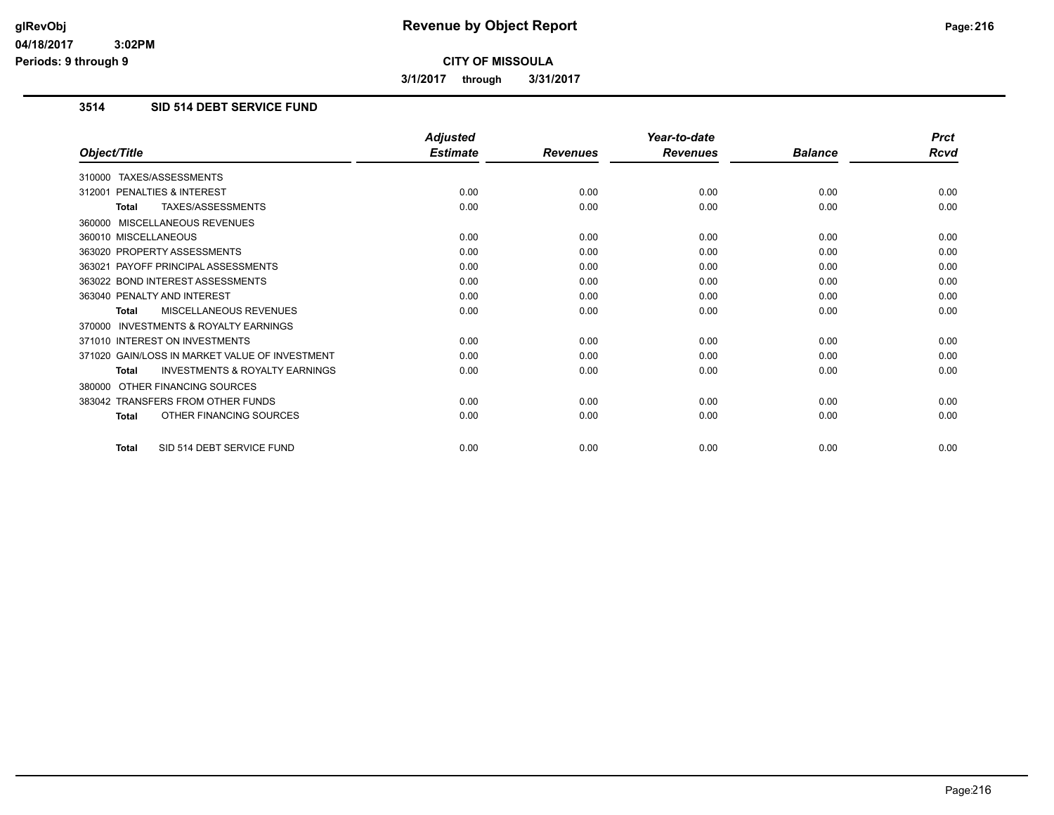**3/1/2017 through 3/31/2017**

# **3514 SID 514 DEBT SERVICE FUND**

|                                                           | <b>Adjusted</b> |                 | Year-to-date    |                | <b>Prct</b> |
|-----------------------------------------------------------|-----------------|-----------------|-----------------|----------------|-------------|
| Object/Title                                              | <b>Estimate</b> | <b>Revenues</b> | <b>Revenues</b> | <b>Balance</b> | <b>Rcvd</b> |
| 310000 TAXES/ASSESSMENTS                                  |                 |                 |                 |                |             |
| PENALTIES & INTEREST<br>312001                            | 0.00            | 0.00            | 0.00            | 0.00           | 0.00        |
| TAXES/ASSESSMENTS<br>Total                                | 0.00            | 0.00            | 0.00            | 0.00           | 0.00        |
| 360000 MISCELLANEOUS REVENUES                             |                 |                 |                 |                |             |
| 360010 MISCELLANEOUS                                      | 0.00            | 0.00            | 0.00            | 0.00           | 0.00        |
| 363020 PROPERTY ASSESSMENTS                               | 0.00            | 0.00            | 0.00            | 0.00           | 0.00        |
| 363021 PAYOFF PRINCIPAL ASSESSMENTS                       | 0.00            | 0.00            | 0.00            | 0.00           | 0.00        |
| 363022 BOND INTEREST ASSESSMENTS                          | 0.00            | 0.00            | 0.00            | 0.00           | 0.00        |
| 363040 PENALTY AND INTEREST                               | 0.00            | 0.00            | 0.00            | 0.00           | 0.00        |
| MISCELLANEOUS REVENUES<br><b>Total</b>                    | 0.00            | 0.00            | 0.00            | 0.00           | 0.00        |
| 370000 INVESTMENTS & ROYALTY EARNINGS                     |                 |                 |                 |                |             |
| 371010 INTEREST ON INVESTMENTS                            | 0.00            | 0.00            | 0.00            | 0.00           | 0.00        |
| 371020 GAIN/LOSS IN MARKET VALUE OF INVESTMENT            | 0.00            | 0.00            | 0.00            | 0.00           | 0.00        |
| <b>INVESTMENTS &amp; ROYALTY EARNINGS</b><br><b>Total</b> | 0.00            | 0.00            | 0.00            | 0.00           | 0.00        |
| 380000 OTHER FINANCING SOURCES                            |                 |                 |                 |                |             |
| 383042 TRANSFERS FROM OTHER FUNDS                         | 0.00            | 0.00            | 0.00            | 0.00           | 0.00        |
| OTHER FINANCING SOURCES<br><b>Total</b>                   | 0.00            | 0.00            | 0.00            | 0.00           | 0.00        |
| SID 514 DEBT SERVICE FUND<br><b>Total</b>                 | 0.00            | 0.00            | 0.00            | 0.00           | 0.00        |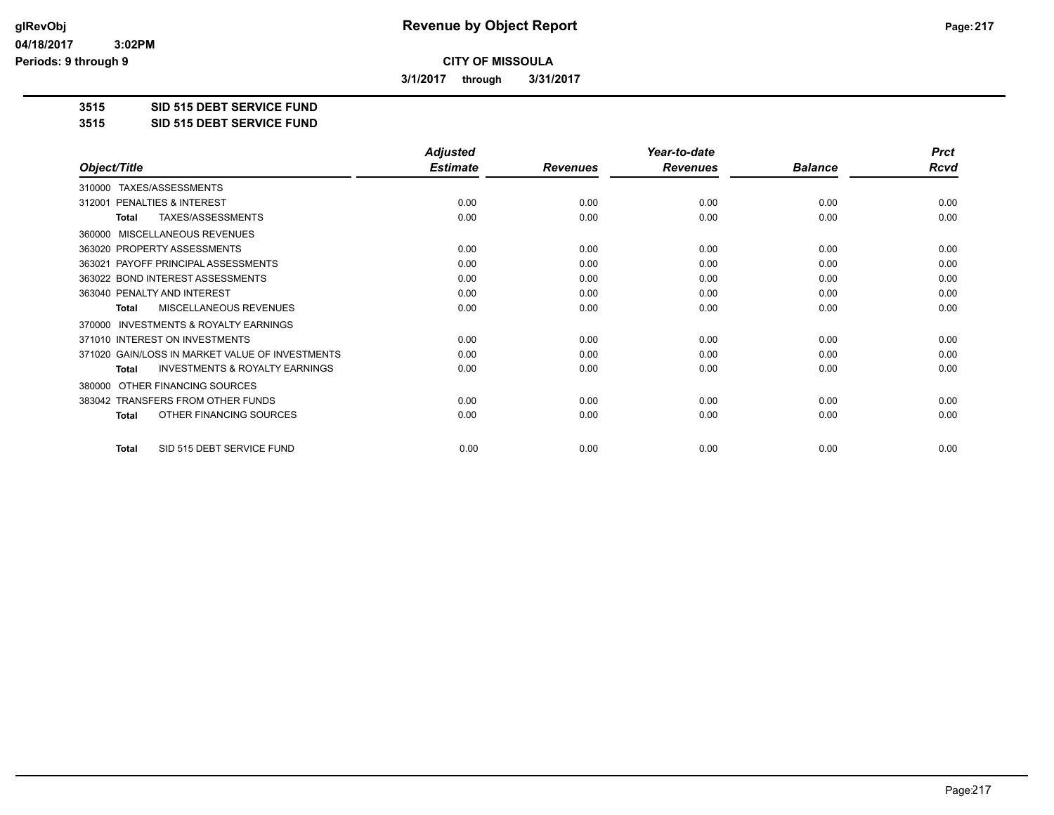**3/1/2017 through 3/31/2017**

**3515 SID 515 DEBT SERVICE FUND**

**3515 SID 515 DEBT SERVICE FUND**

|                                                           | <b>Adjusted</b> |                 | Year-to-date    |                | <b>Prct</b> |
|-----------------------------------------------------------|-----------------|-----------------|-----------------|----------------|-------------|
| Object/Title                                              | <b>Estimate</b> | <b>Revenues</b> | <b>Revenues</b> | <b>Balance</b> | <b>Rcvd</b> |
| TAXES/ASSESSMENTS<br>310000                               |                 |                 |                 |                |             |
| PENALTIES & INTEREST<br>312001                            | 0.00            | 0.00            | 0.00            | 0.00           | 0.00        |
| TAXES/ASSESSMENTS<br>Total                                | 0.00            | 0.00            | 0.00            | 0.00           | 0.00        |
| MISCELLANEOUS REVENUES<br>360000                          |                 |                 |                 |                |             |
| 363020 PROPERTY ASSESSMENTS                               | 0.00            | 0.00            | 0.00            | 0.00           | 0.00        |
| 363021 PAYOFF PRINCIPAL ASSESSMENTS                       | 0.00            | 0.00            | 0.00            | 0.00           | 0.00        |
| 363022 BOND INTEREST ASSESSMENTS                          | 0.00            | 0.00            | 0.00            | 0.00           | 0.00        |
| 363040 PENALTY AND INTEREST                               | 0.00            | 0.00            | 0.00            | 0.00           | 0.00        |
| MISCELLANEOUS REVENUES<br><b>Total</b>                    | 0.00            | 0.00            | 0.00            | 0.00           | 0.00        |
| <b>INVESTMENTS &amp; ROYALTY EARNINGS</b><br>370000       |                 |                 |                 |                |             |
| 371010 INTEREST ON INVESTMENTS                            | 0.00            | 0.00            | 0.00            | 0.00           | 0.00        |
| 371020 GAIN/LOSS IN MARKET VALUE OF INVESTMENTS           | 0.00            | 0.00            | 0.00            | 0.00           | 0.00        |
| <b>INVESTMENTS &amp; ROYALTY EARNINGS</b><br><b>Total</b> | 0.00            | 0.00            | 0.00            | 0.00           | 0.00        |
| OTHER FINANCING SOURCES<br>380000                         |                 |                 |                 |                |             |
| 383042 TRANSFERS FROM OTHER FUNDS                         | 0.00            | 0.00            | 0.00            | 0.00           | 0.00        |
| OTHER FINANCING SOURCES<br><b>Total</b>                   | 0.00            | 0.00            | 0.00            | 0.00           | 0.00        |
| SID 515 DEBT SERVICE FUND<br><b>Total</b>                 | 0.00            | 0.00            | 0.00            | 0.00           | 0.00        |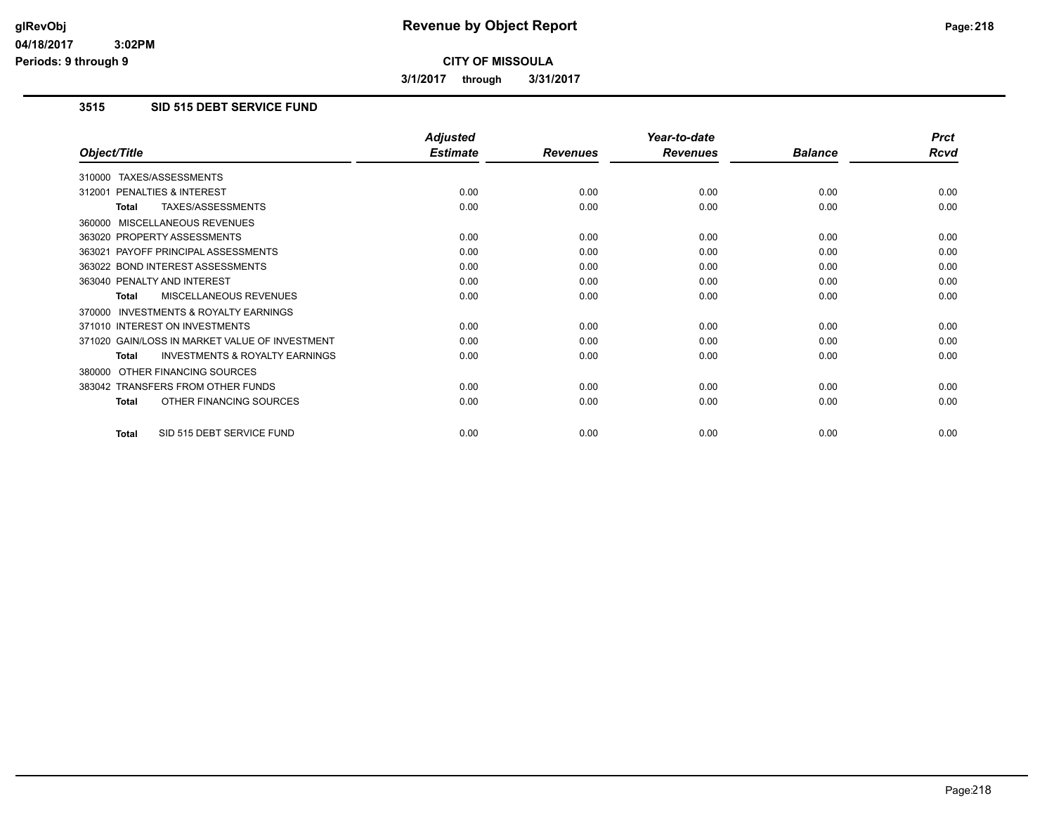**3/1/2017 through 3/31/2017**

#### **3515 SID 515 DEBT SERVICE FUND**

|                                                    | <b>Adjusted</b> |                 | Year-to-date    |                | <b>Prct</b> |
|----------------------------------------------------|-----------------|-----------------|-----------------|----------------|-------------|
| Object/Title                                       | <b>Estimate</b> | <b>Revenues</b> | <b>Revenues</b> | <b>Balance</b> | <b>Rcvd</b> |
| TAXES/ASSESSMENTS<br>310000                        |                 |                 |                 |                |             |
| <b>PENALTIES &amp; INTEREST</b><br>312001          | 0.00            | 0.00            | 0.00            | 0.00           | 0.00        |
| <b>TAXES/ASSESSMENTS</b><br><b>Total</b>           | 0.00            | 0.00            | 0.00            | 0.00           | 0.00        |
| 360000 MISCELLANEOUS REVENUES                      |                 |                 |                 |                |             |
| 363020 PROPERTY ASSESSMENTS                        | 0.00            | 0.00            | 0.00            | 0.00           | 0.00        |
| PAYOFF PRINCIPAL ASSESSMENTS<br>363021             | 0.00            | 0.00            | 0.00            | 0.00           | 0.00        |
| 363022 BOND INTEREST ASSESSMENTS                   | 0.00            | 0.00            | 0.00            | 0.00           | 0.00        |
| 363040 PENALTY AND INTEREST                        | 0.00            | 0.00            | 0.00            | 0.00           | 0.00        |
| MISCELLANEOUS REVENUES<br>Total                    | 0.00            | 0.00            | 0.00            | 0.00           | 0.00        |
| 370000 INVESTMENTS & ROYALTY EARNINGS              |                 |                 |                 |                |             |
| 371010 INTEREST ON INVESTMENTS                     | 0.00            | 0.00            | 0.00            | 0.00           | 0.00        |
| 371020 GAIN/LOSS IN MARKET VALUE OF INVESTMENT     | 0.00            | 0.00            | 0.00            | 0.00           | 0.00        |
| <b>INVESTMENTS &amp; ROYALTY EARNINGS</b><br>Total | 0.00            | 0.00            | 0.00            | 0.00           | 0.00        |
| 380000 OTHER FINANCING SOURCES                     |                 |                 |                 |                |             |
| 383042 TRANSFERS FROM OTHER FUNDS                  | 0.00            | 0.00            | 0.00            | 0.00           | 0.00        |
| OTHER FINANCING SOURCES<br><b>Total</b>            | 0.00            | 0.00            | 0.00            | 0.00           | 0.00        |
| SID 515 DEBT SERVICE FUND<br><b>Total</b>          | 0.00            | 0.00            | 0.00            | 0.00           | 0.00        |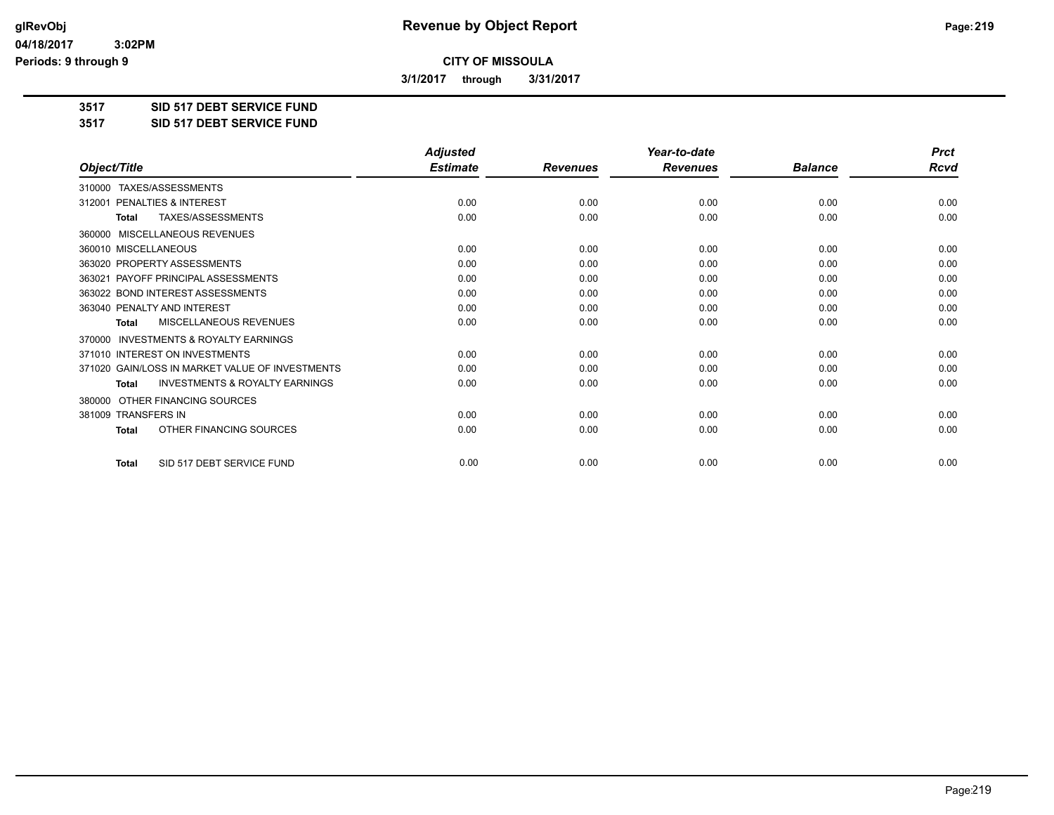**3/1/2017 through 3/31/2017**

**3517 SID 517 DEBT SERVICE FUND**

**3517 SID 517 DEBT SERVICE FUND**

|                                                     | <b>Adjusted</b> |                 | Year-to-date    |                | <b>Prct</b> |
|-----------------------------------------------------|-----------------|-----------------|-----------------|----------------|-------------|
| Object/Title                                        | <b>Estimate</b> | <b>Revenues</b> | <b>Revenues</b> | <b>Balance</b> | Rcvd        |
| 310000 TAXES/ASSESSMENTS                            |                 |                 |                 |                |             |
| PENALTIES & INTEREST<br>312001                      | 0.00            | 0.00            | 0.00            | 0.00           | 0.00        |
| TAXES/ASSESSMENTS<br>Total                          | 0.00            | 0.00            | 0.00            | 0.00           | 0.00        |
| MISCELLANEOUS REVENUES<br>360000                    |                 |                 |                 |                |             |
| 360010 MISCELLANEOUS                                | 0.00            | 0.00            | 0.00            | 0.00           | 0.00        |
| 363020 PROPERTY ASSESSMENTS                         | 0.00            | 0.00            | 0.00            | 0.00           | 0.00        |
| 363021 PAYOFF PRINCIPAL ASSESSMENTS                 | 0.00            | 0.00            | 0.00            | 0.00           | 0.00        |
| 363022 BOND INTEREST ASSESSMENTS                    | 0.00            | 0.00            | 0.00            | 0.00           | 0.00        |
| 363040 PENALTY AND INTEREST                         | 0.00            | 0.00            | 0.00            | 0.00           | 0.00        |
| MISCELLANEOUS REVENUES<br>Total                     | 0.00            | 0.00            | 0.00            | 0.00           | 0.00        |
| <b>INVESTMENTS &amp; ROYALTY EARNINGS</b><br>370000 |                 |                 |                 |                |             |
| 371010 INTEREST ON INVESTMENTS                      | 0.00            | 0.00            | 0.00            | 0.00           | 0.00        |
| 371020 GAIN/LOSS IN MARKET VALUE OF INVESTMENTS     | 0.00            | 0.00            | 0.00            | 0.00           | 0.00        |
| <b>INVESTMENTS &amp; ROYALTY EARNINGS</b><br>Total  | 0.00            | 0.00            | 0.00            | 0.00           | 0.00        |
| OTHER FINANCING SOURCES<br>380000                   |                 |                 |                 |                |             |
| 381009 TRANSFERS IN                                 | 0.00            | 0.00            | 0.00            | 0.00           | 0.00        |
| OTHER FINANCING SOURCES<br><b>Total</b>             | 0.00            | 0.00            | 0.00            | 0.00           | 0.00        |
| SID 517 DEBT SERVICE FUND<br><b>Total</b>           | 0.00            | 0.00            | 0.00            | 0.00           | 0.00        |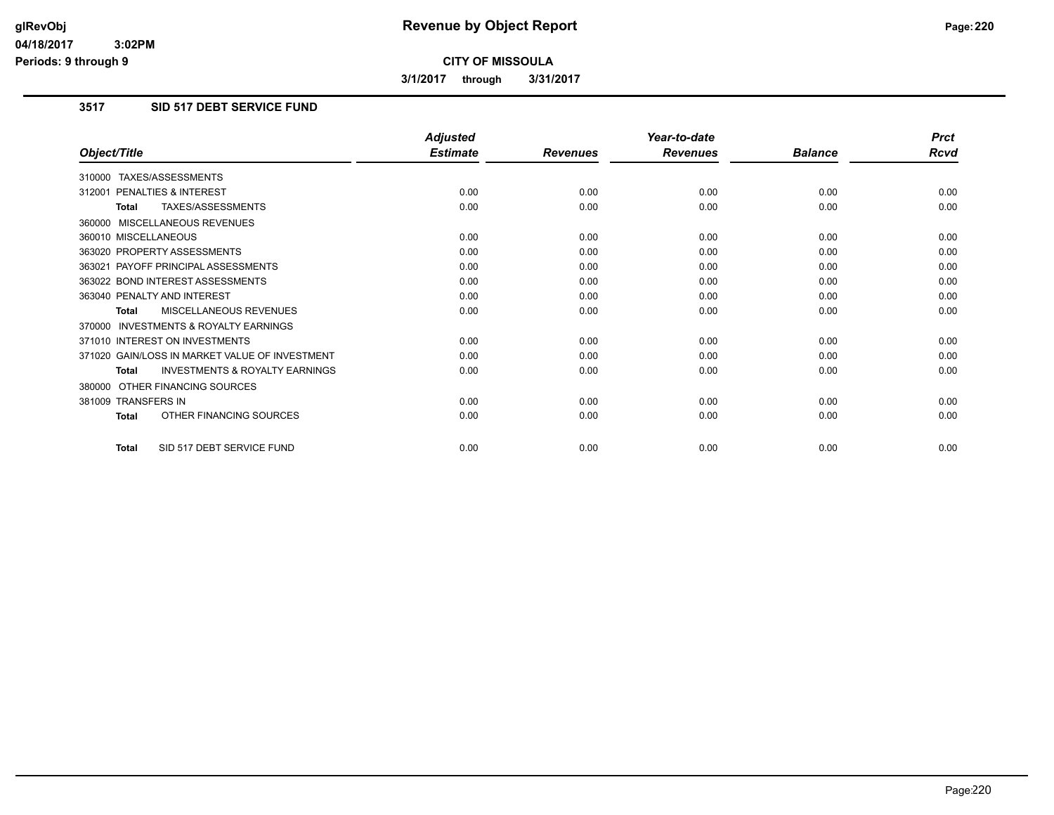**3/1/2017 through 3/31/2017**

#### **3517 SID 517 DEBT SERVICE FUND**

|                                                           | <b>Adjusted</b> |                 | Year-to-date    |                | <b>Prct</b> |
|-----------------------------------------------------------|-----------------|-----------------|-----------------|----------------|-------------|
| Object/Title                                              | <b>Estimate</b> | <b>Revenues</b> | <b>Revenues</b> | <b>Balance</b> | Rcvd        |
| 310000 TAXES/ASSESSMENTS                                  |                 |                 |                 |                |             |
| PENALTIES & INTEREST<br>312001                            | 0.00            | 0.00            | 0.00            | 0.00           | 0.00        |
| TAXES/ASSESSMENTS<br><b>Total</b>                         | 0.00            | 0.00            | 0.00            | 0.00           | 0.00        |
| 360000 MISCELLANEOUS REVENUES                             |                 |                 |                 |                |             |
| 360010 MISCELLANEOUS                                      | 0.00            | 0.00            | 0.00            | 0.00           | 0.00        |
| 363020 PROPERTY ASSESSMENTS                               | 0.00            | 0.00            | 0.00            | 0.00           | 0.00        |
| 363021 PAYOFF PRINCIPAL ASSESSMENTS                       | 0.00            | 0.00            | 0.00            | 0.00           | 0.00        |
| 363022 BOND INTEREST ASSESSMENTS                          | 0.00            | 0.00            | 0.00            | 0.00           | 0.00        |
| 363040 PENALTY AND INTEREST                               | 0.00            | 0.00            | 0.00            | 0.00           | 0.00        |
| MISCELLANEOUS REVENUES<br><b>Total</b>                    | 0.00            | 0.00            | 0.00            | 0.00           | 0.00        |
| 370000 INVESTMENTS & ROYALTY EARNINGS                     |                 |                 |                 |                |             |
| 371010 INTEREST ON INVESTMENTS                            | 0.00            | 0.00            | 0.00            | 0.00           | 0.00        |
| 371020 GAIN/LOSS IN MARKET VALUE OF INVESTMENT            | 0.00            | 0.00            | 0.00            | 0.00           | 0.00        |
| <b>INVESTMENTS &amp; ROYALTY EARNINGS</b><br><b>Total</b> | 0.00            | 0.00            | 0.00            | 0.00           | 0.00        |
| 380000 OTHER FINANCING SOURCES                            |                 |                 |                 |                |             |
| 381009 TRANSFERS IN                                       | 0.00            | 0.00            | 0.00            | 0.00           | 0.00        |
| OTHER FINANCING SOURCES<br><b>Total</b>                   | 0.00            | 0.00            | 0.00            | 0.00           | 0.00        |
| SID 517 DEBT SERVICE FUND<br><b>Total</b>                 | 0.00            | 0.00            | 0.00            | 0.00           | 0.00        |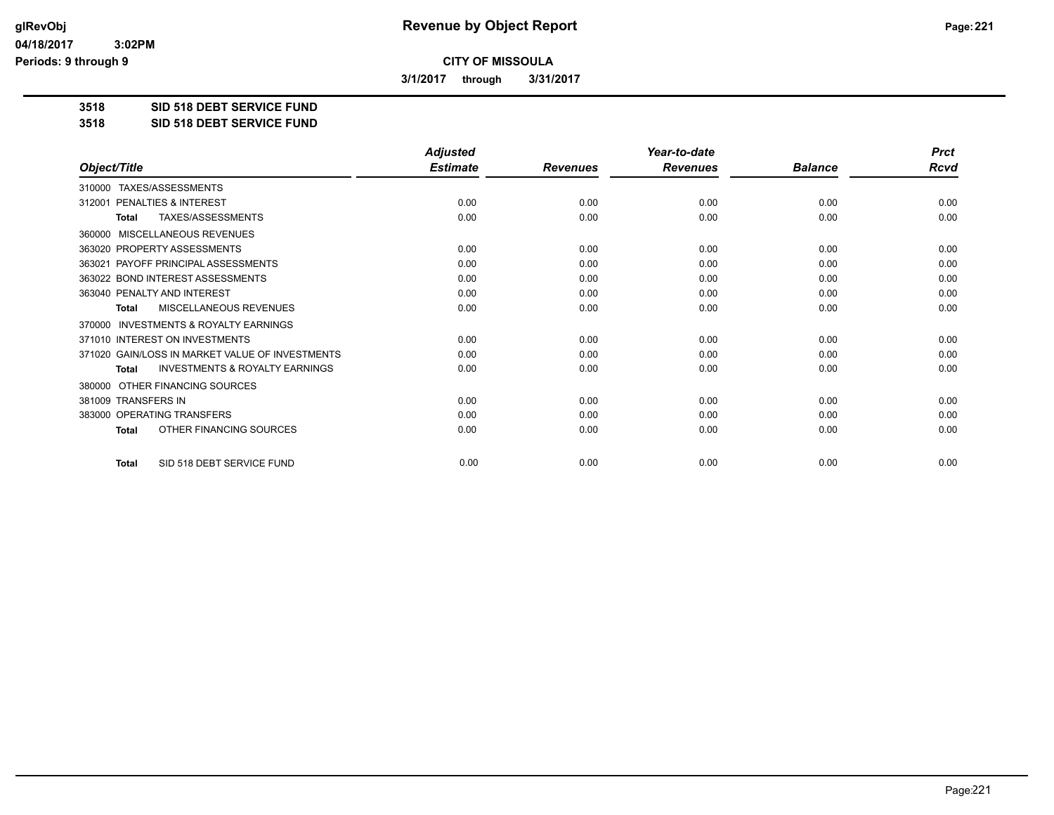**3/1/2017 through 3/31/2017**

**3518 SID 518 DEBT SERVICE FUND**

**3518 SID 518 DEBT SERVICE FUND**

|                                                     | <b>Adjusted</b> |                 | Year-to-date    |                | <b>Prct</b> |
|-----------------------------------------------------|-----------------|-----------------|-----------------|----------------|-------------|
| Object/Title                                        | <b>Estimate</b> | <b>Revenues</b> | <b>Revenues</b> | <b>Balance</b> | <b>Rcvd</b> |
| TAXES/ASSESSMENTS<br>310000                         |                 |                 |                 |                |             |
| PENALTIES & INTEREST<br>312001                      | 0.00            | 0.00            | 0.00            | 0.00           | 0.00        |
| <b>TAXES/ASSESSMENTS</b><br><b>Total</b>            | 0.00            | 0.00            | 0.00            | 0.00           | 0.00        |
| MISCELLANEOUS REVENUES<br>360000                    |                 |                 |                 |                |             |
| 363020 PROPERTY ASSESSMENTS                         | 0.00            | 0.00            | 0.00            | 0.00           | 0.00        |
| 363021 PAYOFF PRINCIPAL ASSESSMENTS                 | 0.00            | 0.00            | 0.00            | 0.00           | 0.00        |
| 363022 BOND INTEREST ASSESSMENTS                    | 0.00            | 0.00            | 0.00            | 0.00           | 0.00        |
| 363040 PENALTY AND INTEREST                         | 0.00            | 0.00            | 0.00            | 0.00           | 0.00        |
| MISCELLANEOUS REVENUES<br>Total                     | 0.00            | 0.00            | 0.00            | 0.00           | 0.00        |
| <b>INVESTMENTS &amp; ROYALTY EARNINGS</b><br>370000 |                 |                 |                 |                |             |
| 371010 INTEREST ON INVESTMENTS                      | 0.00            | 0.00            | 0.00            | 0.00           | 0.00        |
| 371020 GAIN/LOSS IN MARKET VALUE OF INVESTMENTS     | 0.00            | 0.00            | 0.00            | 0.00           | 0.00        |
| <b>INVESTMENTS &amp; ROYALTY EARNINGS</b><br>Total  | 0.00            | 0.00            | 0.00            | 0.00           | 0.00        |
| OTHER FINANCING SOURCES<br>380000                   |                 |                 |                 |                |             |
| 381009 TRANSFERS IN                                 | 0.00            | 0.00            | 0.00            | 0.00           | 0.00        |
| 383000 OPERATING TRANSFERS                          | 0.00            | 0.00            | 0.00            | 0.00           | 0.00        |
| OTHER FINANCING SOURCES<br>Total                    | 0.00            | 0.00            | 0.00            | 0.00           | 0.00        |
| SID 518 DEBT SERVICE FUND<br><b>Total</b>           | 0.00            | 0.00            | 0.00            | 0.00           | 0.00        |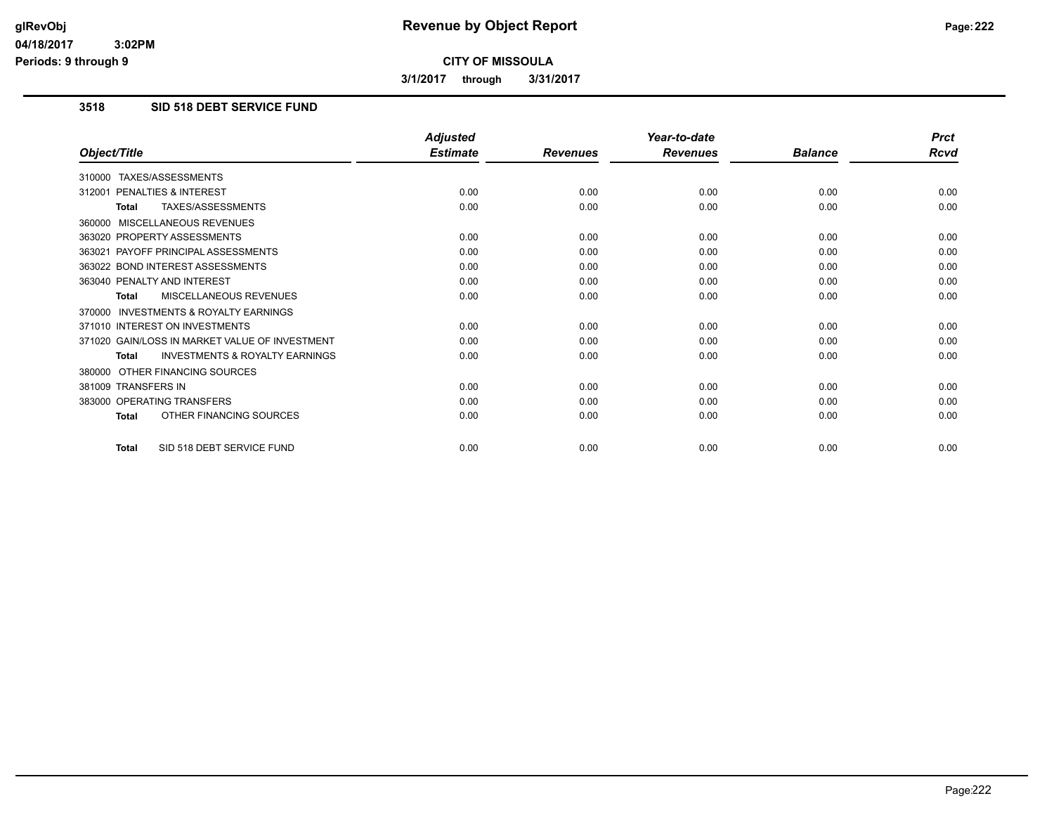**3/1/2017 through 3/31/2017**

#### **3518 SID 518 DEBT SERVICE FUND**

|                                                           | <b>Adjusted</b> |                 | Year-to-date    |                | <b>Prct</b> |
|-----------------------------------------------------------|-----------------|-----------------|-----------------|----------------|-------------|
| Object/Title                                              | <b>Estimate</b> | <b>Revenues</b> | <b>Revenues</b> | <b>Balance</b> | Rcvd        |
| 310000 TAXES/ASSESSMENTS                                  |                 |                 |                 |                |             |
| PENALTIES & INTEREST<br>312001                            | 0.00            | 0.00            | 0.00            | 0.00           | 0.00        |
| TAXES/ASSESSMENTS<br><b>Total</b>                         | 0.00            | 0.00            | 0.00            | 0.00           | 0.00        |
| 360000 MISCELLANEOUS REVENUES                             |                 |                 |                 |                |             |
| 363020 PROPERTY ASSESSMENTS                               | 0.00            | 0.00            | 0.00            | 0.00           | 0.00        |
| 363021 PAYOFF PRINCIPAL ASSESSMENTS                       | 0.00            | 0.00            | 0.00            | 0.00           | 0.00        |
| 363022 BOND INTEREST ASSESSMENTS                          | 0.00            | 0.00            | 0.00            | 0.00           | 0.00        |
| 363040 PENALTY AND INTEREST                               | 0.00            | 0.00            | 0.00            | 0.00           | 0.00        |
| <b>MISCELLANEOUS REVENUES</b><br><b>Total</b>             | 0.00            | 0.00            | 0.00            | 0.00           | 0.00        |
| 370000 INVESTMENTS & ROYALTY EARNINGS                     |                 |                 |                 |                |             |
| 371010 INTEREST ON INVESTMENTS                            | 0.00            | 0.00            | 0.00            | 0.00           | 0.00        |
| 371020 GAIN/LOSS IN MARKET VALUE OF INVESTMENT            | 0.00            | 0.00            | 0.00            | 0.00           | 0.00        |
| <b>INVESTMENTS &amp; ROYALTY EARNINGS</b><br><b>Total</b> | 0.00            | 0.00            | 0.00            | 0.00           | 0.00        |
| 380000 OTHER FINANCING SOURCES                            |                 |                 |                 |                |             |
| 381009 TRANSFERS IN                                       | 0.00            | 0.00            | 0.00            | 0.00           | 0.00        |
| 383000 OPERATING TRANSFERS                                | 0.00            | 0.00            | 0.00            | 0.00           | 0.00        |
| OTHER FINANCING SOURCES<br>Total                          | 0.00            | 0.00            | 0.00            | 0.00           | 0.00        |
| SID 518 DEBT SERVICE FUND<br><b>Total</b>                 | 0.00            | 0.00            | 0.00            | 0.00           | 0.00        |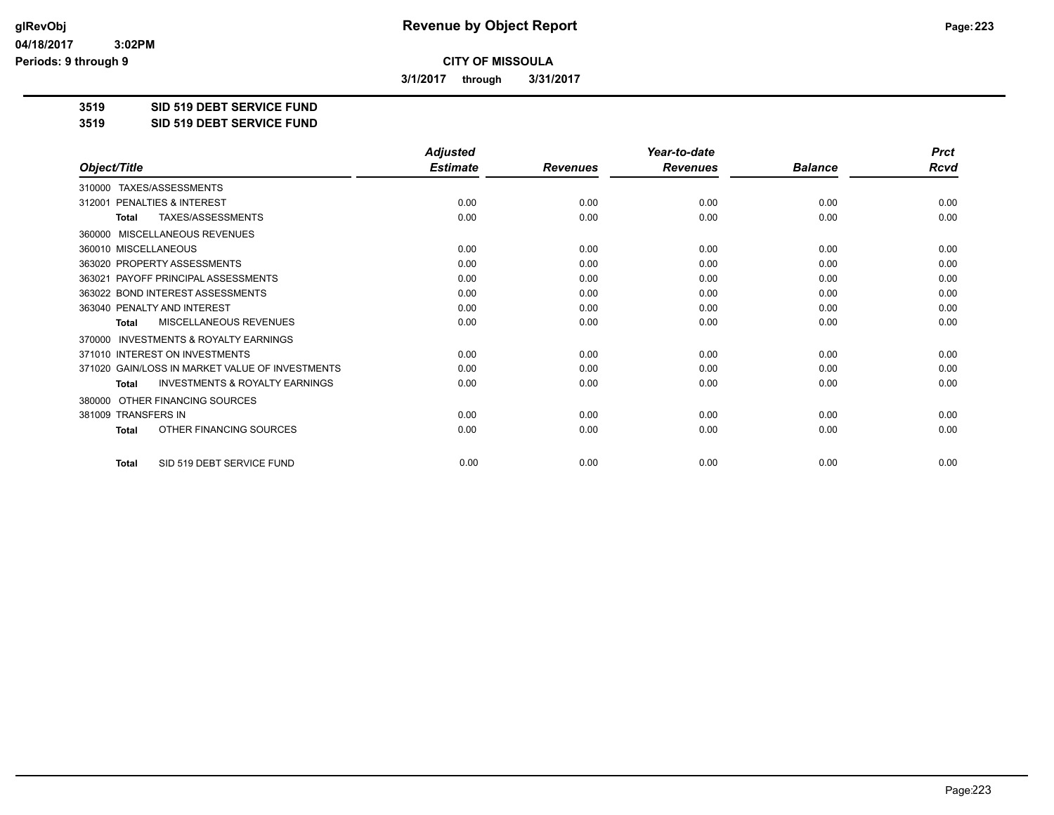**3/1/2017 through 3/31/2017**

**3519 SID 519 DEBT SERVICE FUND**

**3519 SID 519 DEBT SERVICE FUND**

|                                                           | <b>Adjusted</b> |                 | Year-to-date    |                | <b>Prct</b> |
|-----------------------------------------------------------|-----------------|-----------------|-----------------|----------------|-------------|
| Object/Title                                              | <b>Estimate</b> | <b>Revenues</b> | <b>Revenues</b> | <b>Balance</b> | <b>Rcvd</b> |
| 310000 TAXES/ASSESSMENTS                                  |                 |                 |                 |                |             |
| 312001 PENALTIES & INTEREST                               | 0.00            | 0.00            | 0.00            | 0.00           | 0.00        |
| TAXES/ASSESSMENTS<br><b>Total</b>                         | 0.00            | 0.00            | 0.00            | 0.00           | 0.00        |
| 360000 MISCELLANEOUS REVENUES                             |                 |                 |                 |                |             |
| 360010 MISCELLANEOUS                                      | 0.00            | 0.00            | 0.00            | 0.00           | 0.00        |
| 363020 PROPERTY ASSESSMENTS                               | 0.00            | 0.00            | 0.00            | 0.00           | 0.00        |
| 363021 PAYOFF PRINCIPAL ASSESSMENTS                       | 0.00            | 0.00            | 0.00            | 0.00           | 0.00        |
| 363022 BOND INTEREST ASSESSMENTS                          | 0.00            | 0.00            | 0.00            | 0.00           | 0.00        |
| 363040 PENALTY AND INTEREST                               | 0.00            | 0.00            | 0.00            | 0.00           | 0.00        |
| MISCELLANEOUS REVENUES<br>Total                           | 0.00            | 0.00            | 0.00            | 0.00           | 0.00        |
| <b>INVESTMENTS &amp; ROYALTY EARNINGS</b><br>370000       |                 |                 |                 |                |             |
| 371010 INTEREST ON INVESTMENTS                            | 0.00            | 0.00            | 0.00            | 0.00           | 0.00        |
| 371020 GAIN/LOSS IN MARKET VALUE OF INVESTMENTS           | 0.00            | 0.00            | 0.00            | 0.00           | 0.00        |
| <b>INVESTMENTS &amp; ROYALTY EARNINGS</b><br><b>Total</b> | 0.00            | 0.00            | 0.00            | 0.00           | 0.00        |
| OTHER FINANCING SOURCES<br>380000                         |                 |                 |                 |                |             |
| 381009 TRANSFERS IN                                       | 0.00            | 0.00            | 0.00            | 0.00           | 0.00        |
| OTHER FINANCING SOURCES<br><b>Total</b>                   | 0.00            | 0.00            | 0.00            | 0.00           | 0.00        |
| SID 519 DEBT SERVICE FUND<br><b>Total</b>                 | 0.00            | 0.00            | 0.00            | 0.00           | 0.00        |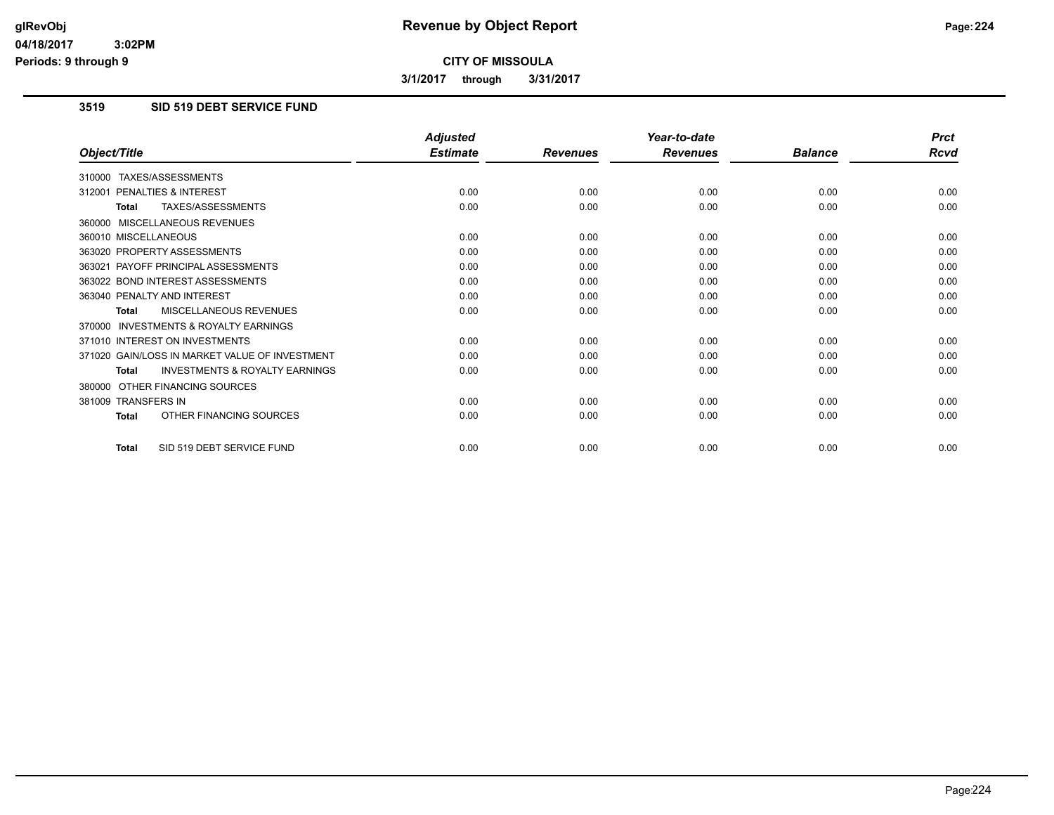**3/1/2017 through 3/31/2017**

#### **3519 SID 519 DEBT SERVICE FUND**

|                                                           | <b>Adjusted</b> |                 | Year-to-date    |                | <b>Prct</b> |
|-----------------------------------------------------------|-----------------|-----------------|-----------------|----------------|-------------|
| Object/Title                                              | <b>Estimate</b> | <b>Revenues</b> | <b>Revenues</b> | <b>Balance</b> | <b>Rcvd</b> |
| 310000 TAXES/ASSESSMENTS                                  |                 |                 |                 |                |             |
| PENALTIES & INTEREST<br>312001                            | 0.00            | 0.00            | 0.00            | 0.00           | 0.00        |
| TAXES/ASSESSMENTS<br><b>Total</b>                         | 0.00            | 0.00            | 0.00            | 0.00           | 0.00        |
| 360000 MISCELLANEOUS REVENUES                             |                 |                 |                 |                |             |
| 360010 MISCELLANEOUS                                      | 0.00            | 0.00            | 0.00            | 0.00           | 0.00        |
| 363020 PROPERTY ASSESSMENTS                               | 0.00            | 0.00            | 0.00            | 0.00           | 0.00        |
| 363021 PAYOFF PRINCIPAL ASSESSMENTS                       | 0.00            | 0.00            | 0.00            | 0.00           | 0.00        |
| 363022 BOND INTEREST ASSESSMENTS                          | 0.00            | 0.00            | 0.00            | 0.00           | 0.00        |
| 363040 PENALTY AND INTEREST                               | 0.00            | 0.00            | 0.00            | 0.00           | 0.00        |
| <b>MISCELLANEOUS REVENUES</b><br>Total                    | 0.00            | 0.00            | 0.00            | 0.00           | 0.00        |
| 370000 INVESTMENTS & ROYALTY EARNINGS                     |                 |                 |                 |                |             |
| 371010 INTEREST ON INVESTMENTS                            | 0.00            | 0.00            | 0.00            | 0.00           | 0.00        |
| 371020 GAIN/LOSS IN MARKET VALUE OF INVESTMENT            | 0.00            | 0.00            | 0.00            | 0.00           | 0.00        |
| <b>INVESTMENTS &amp; ROYALTY EARNINGS</b><br><b>Total</b> | 0.00            | 0.00            | 0.00            | 0.00           | 0.00        |
| 380000 OTHER FINANCING SOURCES                            |                 |                 |                 |                |             |
| 381009 TRANSFERS IN                                       | 0.00            | 0.00            | 0.00            | 0.00           | 0.00        |
| OTHER FINANCING SOURCES<br>Total                          | 0.00            | 0.00            | 0.00            | 0.00           | 0.00        |
| SID 519 DEBT SERVICE FUND<br><b>Total</b>                 | 0.00            | 0.00            | 0.00            | 0.00           | 0.00        |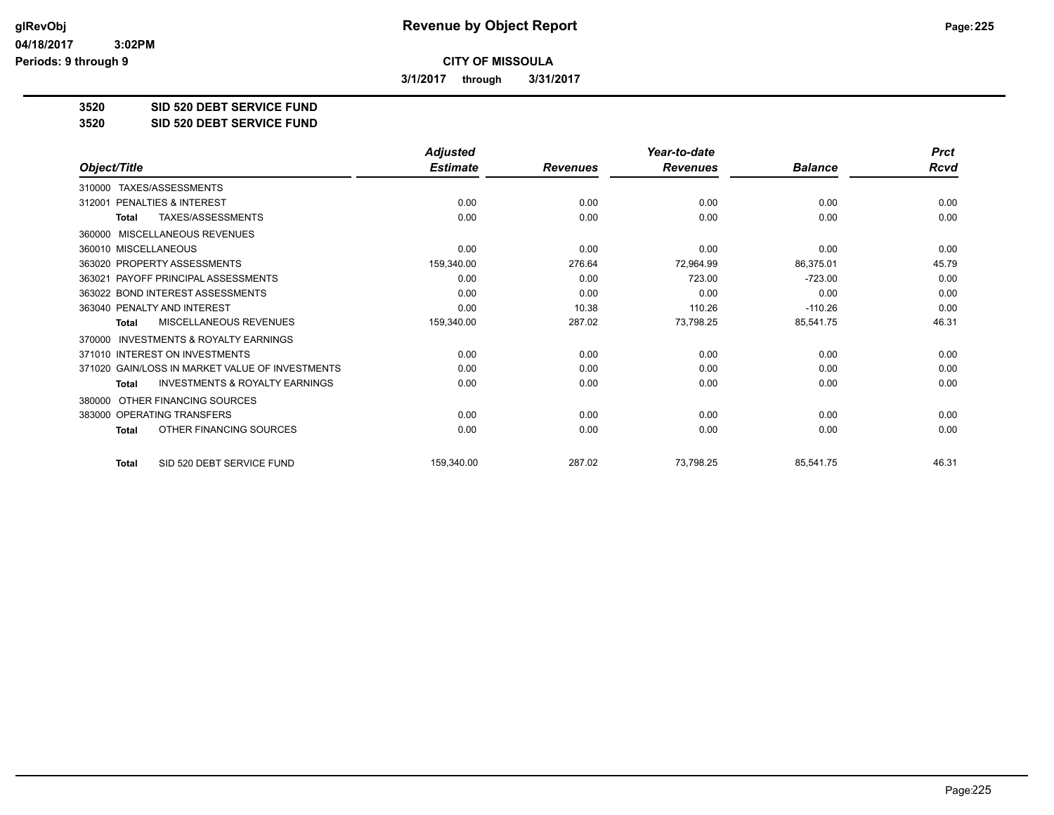**3/1/2017 through 3/31/2017**

**3520 SID 520 DEBT SERVICE FUND**

**3520 SID 520 DEBT SERVICE FUND**

|                                                     | <b>Adjusted</b> |                 | Year-to-date    |                |       |
|-----------------------------------------------------|-----------------|-----------------|-----------------|----------------|-------|
| Object/Title                                        | <b>Estimate</b> | <b>Revenues</b> | <b>Revenues</b> | <b>Balance</b> | Rcvd  |
| TAXES/ASSESSMENTS<br>310000                         |                 |                 |                 |                |       |
| 312001 PENALTIES & INTEREST                         | 0.00            | 0.00            | 0.00            | 0.00           | 0.00  |
| TAXES/ASSESSMENTS<br><b>Total</b>                   | 0.00            | 0.00            | 0.00            | 0.00           | 0.00  |
| MISCELLANEOUS REVENUES<br>360000                    |                 |                 |                 |                |       |
| 360010 MISCELLANEOUS                                | 0.00            | 0.00            | 0.00            | 0.00           | 0.00  |
| 363020 PROPERTY ASSESSMENTS                         | 159,340.00      | 276.64          | 72,964.99       | 86,375.01      | 45.79 |
| 363021 PAYOFF PRINCIPAL ASSESSMENTS                 | 0.00            | 0.00            | 723.00          | $-723.00$      | 0.00  |
| 363022 BOND INTEREST ASSESSMENTS                    | 0.00            | 0.00            | 0.00            | 0.00           | 0.00  |
| 363040 PENALTY AND INTEREST                         | 0.00            | 10.38           | 110.26          | $-110.26$      | 0.00  |
| MISCELLANEOUS REVENUES<br>Total                     | 159,340.00      | 287.02          | 73,798.25       | 85,541.75      | 46.31 |
| <b>INVESTMENTS &amp; ROYALTY EARNINGS</b><br>370000 |                 |                 |                 |                |       |
| 371010 INTEREST ON INVESTMENTS                      | 0.00            | 0.00            | 0.00            | 0.00           | 0.00  |
| 371020 GAIN/LOSS IN MARKET VALUE OF INVESTMENTS     | 0.00            | 0.00            | 0.00            | 0.00           | 0.00  |
| <b>INVESTMENTS &amp; ROYALTY EARNINGS</b><br>Total  | 0.00            | 0.00            | 0.00            | 0.00           | 0.00  |
| OTHER FINANCING SOURCES<br>380000                   |                 |                 |                 |                |       |
| 383000 OPERATING TRANSFERS                          | 0.00            | 0.00            | 0.00            | 0.00           | 0.00  |
| OTHER FINANCING SOURCES<br>Total                    | 0.00            | 0.00            | 0.00            | 0.00           | 0.00  |
| SID 520 DEBT SERVICE FUND<br><b>Total</b>           | 159,340.00      | 287.02          | 73,798.25       | 85,541.75      | 46.31 |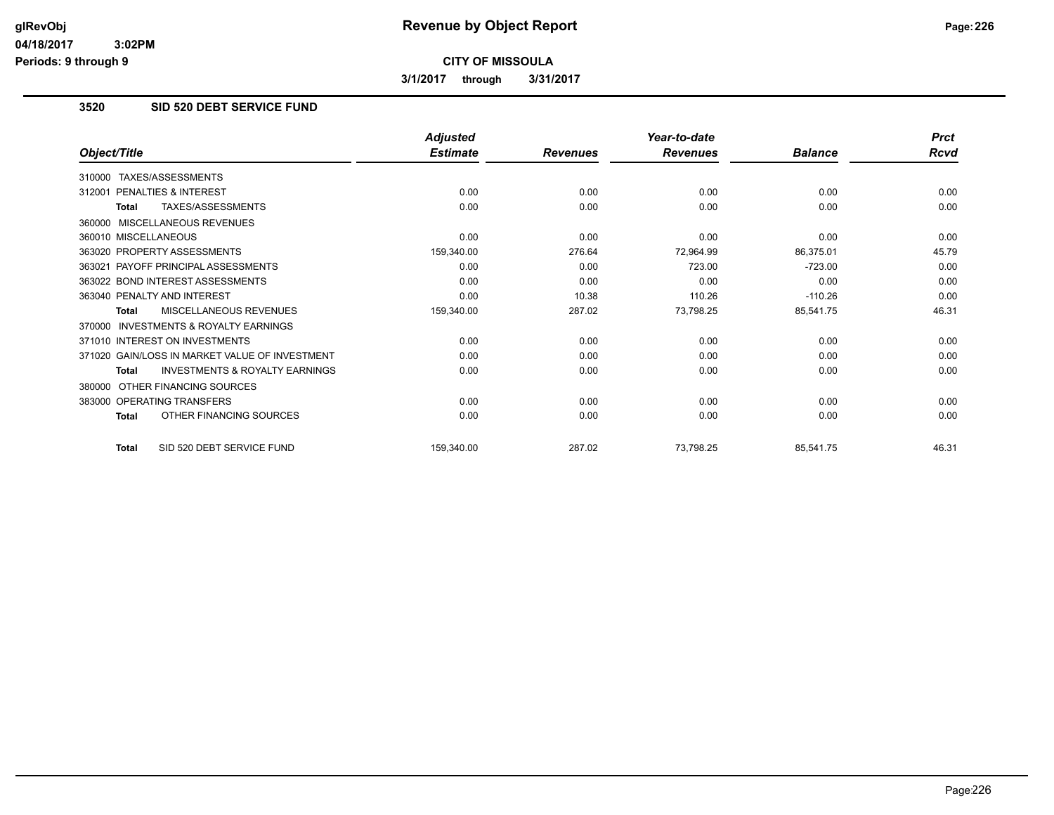**3/1/2017 through 3/31/2017**

#### **3520 SID 520 DEBT SERVICE FUND**

|                                                           | <b>Adjusted</b> |                 | Year-to-date    |                | <b>Prct</b> |
|-----------------------------------------------------------|-----------------|-----------------|-----------------|----------------|-------------|
| Object/Title                                              | <b>Estimate</b> | <b>Revenues</b> | <b>Revenues</b> | <b>Balance</b> | Rcvd        |
| TAXES/ASSESSMENTS<br>310000                               |                 |                 |                 |                |             |
| PENALTIES & INTEREST<br>312001                            | 0.00            | 0.00            | 0.00            | 0.00           | 0.00        |
| TAXES/ASSESSMENTS<br><b>Total</b>                         | 0.00            | 0.00            | 0.00            | 0.00           | 0.00        |
| 360000 MISCELLANEOUS REVENUES                             |                 |                 |                 |                |             |
| 360010 MISCELLANEOUS                                      | 0.00            | 0.00            | 0.00            | 0.00           | 0.00        |
| 363020 PROPERTY ASSESSMENTS                               | 159,340.00      | 276.64          | 72,964.99       | 86,375.01      | 45.79       |
| 363021 PAYOFF PRINCIPAL ASSESSMENTS                       | 0.00            | 0.00            | 723.00          | $-723.00$      | 0.00        |
| 363022 BOND INTEREST ASSESSMENTS                          | 0.00            | 0.00            | 0.00            | 0.00           | 0.00        |
| 363040 PENALTY AND INTEREST                               | 0.00            | 10.38           | 110.26          | $-110.26$      | 0.00        |
| MISCELLANEOUS REVENUES<br>Total                           | 159,340.00      | 287.02          | 73,798.25       | 85,541.75      | 46.31       |
| <b>INVESTMENTS &amp; ROYALTY EARNINGS</b><br>370000       |                 |                 |                 |                |             |
| 371010 INTEREST ON INVESTMENTS                            | 0.00            | 0.00            | 0.00            | 0.00           | 0.00        |
| 371020 GAIN/LOSS IN MARKET VALUE OF INVESTMENT            | 0.00            | 0.00            | 0.00            | 0.00           | 0.00        |
| <b>INVESTMENTS &amp; ROYALTY EARNINGS</b><br><b>Total</b> | 0.00            | 0.00            | 0.00            | 0.00           | 0.00        |
| OTHER FINANCING SOURCES<br>380000                         |                 |                 |                 |                |             |
| 383000 OPERATING TRANSFERS                                | 0.00            | 0.00            | 0.00            | 0.00           | 0.00        |
| OTHER FINANCING SOURCES<br><b>Total</b>                   | 0.00            | 0.00            | 0.00            | 0.00           | 0.00        |
| SID 520 DEBT SERVICE FUND<br><b>Total</b>                 | 159,340.00      | 287.02          | 73,798.25       | 85,541.75      | 46.31       |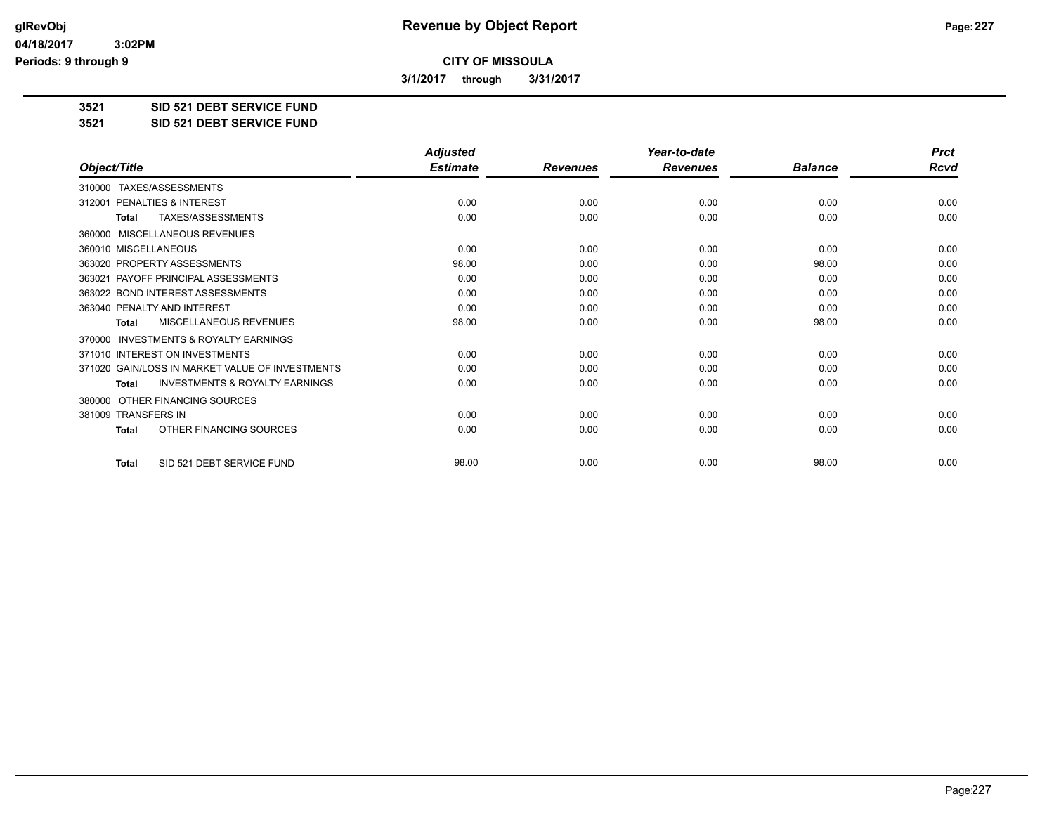**3/1/2017 through 3/31/2017**

**3521 SID 521 DEBT SERVICE FUND**

**3521 SID 521 DEBT SERVICE FUND**

|                                                     | <b>Adjusted</b> |                 | Year-to-date    |                |             |  |
|-----------------------------------------------------|-----------------|-----------------|-----------------|----------------|-------------|--|
| Object/Title                                        | <b>Estimate</b> | <b>Revenues</b> | <b>Revenues</b> | <b>Balance</b> | <b>Rcvd</b> |  |
| TAXES/ASSESSMENTS<br>310000                         |                 |                 |                 |                |             |  |
| PENALTIES & INTEREST<br>312001                      | 0.00            | 0.00            | 0.00            | 0.00           | 0.00        |  |
| TAXES/ASSESSMENTS<br><b>Total</b>                   | 0.00            | 0.00            | 0.00            | 0.00           | 0.00        |  |
| 360000 MISCELLANEOUS REVENUES                       |                 |                 |                 |                |             |  |
| 360010 MISCELLANEOUS                                | 0.00            | 0.00            | 0.00            | 0.00           | 0.00        |  |
| 363020 PROPERTY ASSESSMENTS                         | 98.00           | 0.00            | 0.00            | 98.00          | 0.00        |  |
| 363021 PAYOFF PRINCIPAL ASSESSMENTS                 | 0.00            | 0.00            | 0.00            | 0.00           | 0.00        |  |
| 363022 BOND INTEREST ASSESSMENTS                    | 0.00            | 0.00            | 0.00            | 0.00           | 0.00        |  |
| 363040 PENALTY AND INTEREST                         | 0.00            | 0.00            | 0.00            | 0.00           | 0.00        |  |
| MISCELLANEOUS REVENUES<br>Total                     | 98.00           | 0.00            | 0.00            | 98.00          | 0.00        |  |
| <b>INVESTMENTS &amp; ROYALTY EARNINGS</b><br>370000 |                 |                 |                 |                |             |  |
| 371010 INTEREST ON INVESTMENTS                      | 0.00            | 0.00            | 0.00            | 0.00           | 0.00        |  |
| 371020 GAIN/LOSS IN MARKET VALUE OF INVESTMENTS     | 0.00            | 0.00            | 0.00            | 0.00           | 0.00        |  |
| <b>INVESTMENTS &amp; ROYALTY EARNINGS</b><br>Total  | 0.00            | 0.00            | 0.00            | 0.00           | 0.00        |  |
| OTHER FINANCING SOURCES<br>380000                   |                 |                 |                 |                |             |  |
| 381009 TRANSFERS IN                                 | 0.00            | 0.00            | 0.00            | 0.00           | 0.00        |  |
| OTHER FINANCING SOURCES<br>Total                    | 0.00            | 0.00            | 0.00            | 0.00           | 0.00        |  |
| SID 521 DEBT SERVICE FUND<br><b>Total</b>           | 98.00           | 0.00            | 0.00            | 98.00          | 0.00        |  |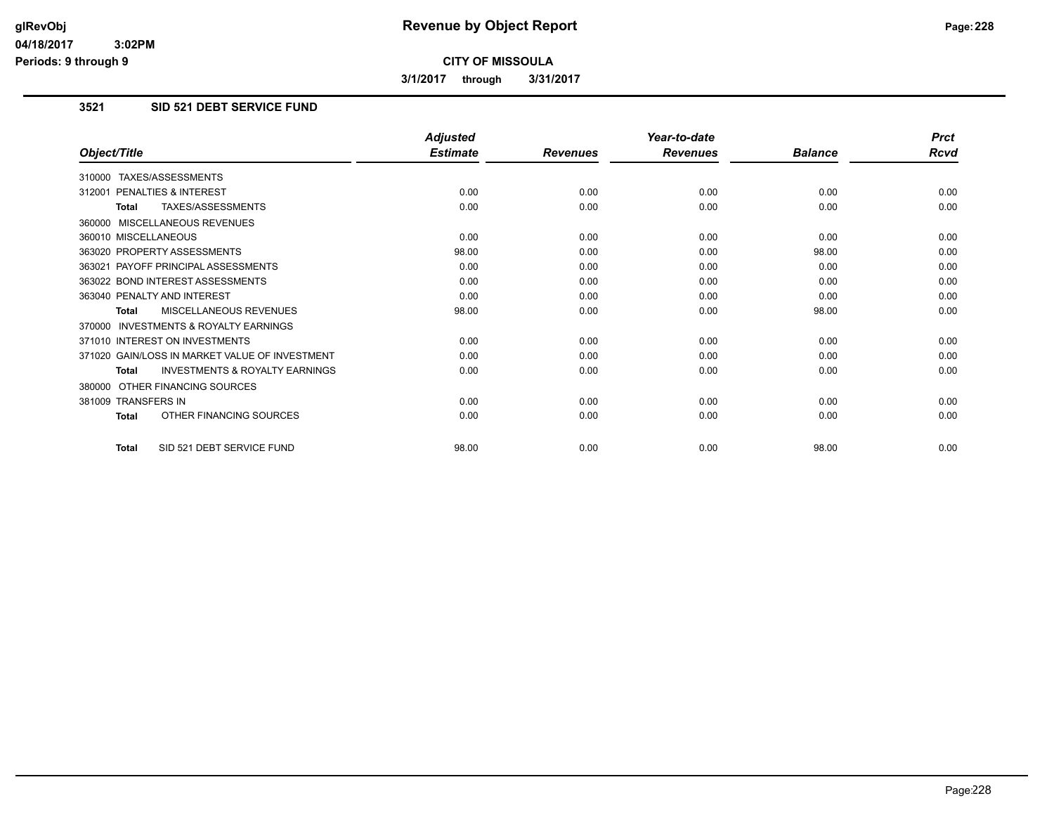**3/1/2017 through 3/31/2017**

#### **3521 SID 521 DEBT SERVICE FUND**

|                                                     | <b>Adjusted</b> |                 | Year-to-date    |                | <b>Prct</b> |
|-----------------------------------------------------|-----------------|-----------------|-----------------|----------------|-------------|
| Object/Title                                        | <b>Estimate</b> | <b>Revenues</b> | <b>Revenues</b> | <b>Balance</b> | Rcvd        |
| 310000 TAXES/ASSESSMENTS                            |                 |                 |                 |                |             |
| 312001 PENALTIES & INTEREST                         | 0.00            | 0.00            | 0.00            | 0.00           | 0.00        |
| TAXES/ASSESSMENTS<br><b>Total</b>                   | 0.00            | 0.00            | 0.00            | 0.00           | 0.00        |
| 360000 MISCELLANEOUS REVENUES                       |                 |                 |                 |                |             |
| 360010 MISCELLANEOUS                                | 0.00            | 0.00            | 0.00            | 0.00           | 0.00        |
| 363020 PROPERTY ASSESSMENTS                         | 98.00           | 0.00            | 0.00            | 98.00          | 0.00        |
| 363021 PAYOFF PRINCIPAL ASSESSMENTS                 | 0.00            | 0.00            | 0.00            | 0.00           | 0.00        |
| 363022 BOND INTEREST ASSESSMENTS                    | 0.00            | 0.00            | 0.00            | 0.00           | 0.00        |
| 363040 PENALTY AND INTEREST                         | 0.00            | 0.00            | 0.00            | 0.00           | 0.00        |
| MISCELLANEOUS REVENUES<br>Total                     | 98.00           | 0.00            | 0.00            | 98.00          | 0.00        |
| <b>INVESTMENTS &amp; ROYALTY EARNINGS</b><br>370000 |                 |                 |                 |                |             |
| 371010 INTEREST ON INVESTMENTS                      | 0.00            | 0.00            | 0.00            | 0.00           | 0.00        |
| 371020 GAIN/LOSS IN MARKET VALUE OF INVESTMENT      | 0.00            | 0.00            | 0.00            | 0.00           | 0.00        |
| <b>INVESTMENTS &amp; ROYALTY EARNINGS</b><br>Total  | 0.00            | 0.00            | 0.00            | 0.00           | 0.00        |
| OTHER FINANCING SOURCES<br>380000                   |                 |                 |                 |                |             |
| 381009 TRANSFERS IN                                 | 0.00            | 0.00            | 0.00            | 0.00           | 0.00        |
| OTHER FINANCING SOURCES<br><b>Total</b>             | 0.00            | 0.00            | 0.00            | 0.00           | 0.00        |
| SID 521 DEBT SERVICE FUND<br><b>Total</b>           | 98.00           | 0.00            | 0.00            | 98.00          | 0.00        |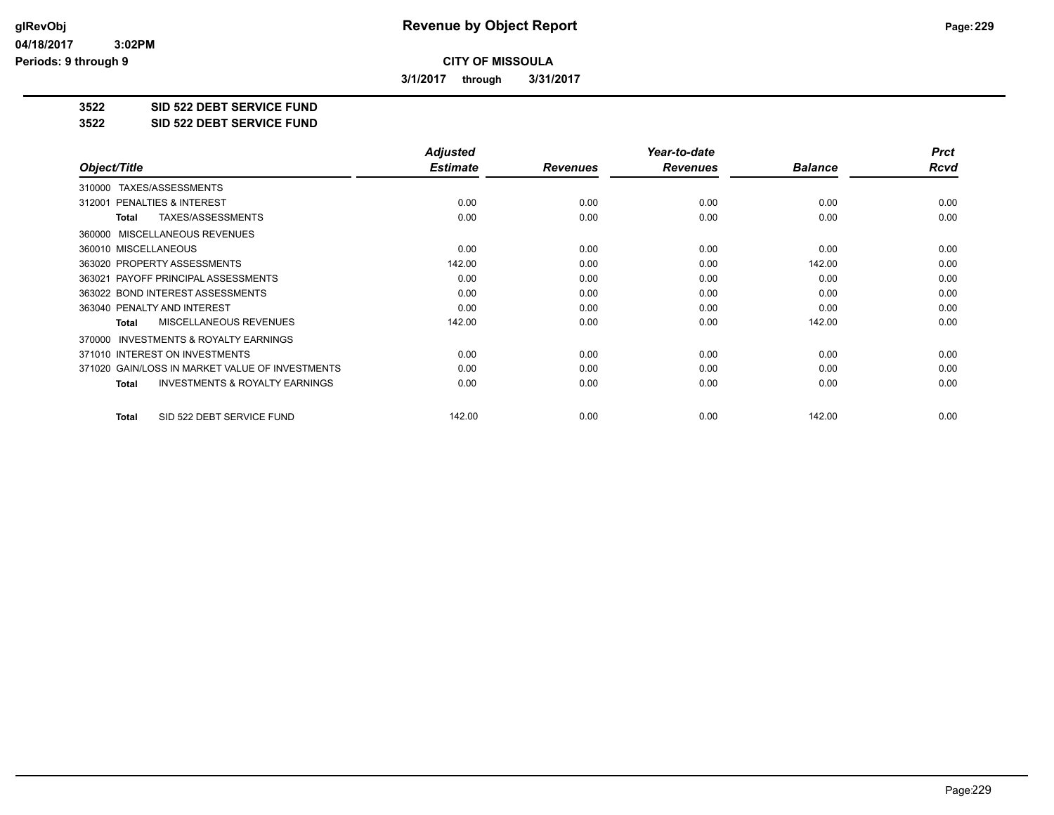**3/1/2017 through 3/31/2017**

**3522 SID 522 DEBT SERVICE FUND**

**3522 SID 522 DEBT SERVICE FUND**

|                                                           | <b>Adjusted</b> |                 | Year-to-date    |                | <b>Prct</b> |
|-----------------------------------------------------------|-----------------|-----------------|-----------------|----------------|-------------|
| Object/Title                                              | <b>Estimate</b> | <b>Revenues</b> | <b>Revenues</b> | <b>Balance</b> | <b>Rcvd</b> |
| 310000 TAXES/ASSESSMENTS                                  |                 |                 |                 |                |             |
| 312001 PENALTIES & INTEREST                               | 0.00            | 0.00            | 0.00            | 0.00           | 0.00        |
| TAXES/ASSESSMENTS<br><b>Total</b>                         | 0.00            | 0.00            | 0.00            | 0.00           | 0.00        |
| 360000 MISCELLANEOUS REVENUES                             |                 |                 |                 |                |             |
| 360010 MISCELLANEOUS                                      | 0.00            | 0.00            | 0.00            | 0.00           | 0.00        |
| 363020 PROPERTY ASSESSMENTS                               | 142.00          | 0.00            | 0.00            | 142.00         | 0.00        |
| 363021 PAYOFF PRINCIPAL ASSESSMENTS                       | 0.00            | 0.00            | 0.00            | 0.00           | 0.00        |
| 363022 BOND INTEREST ASSESSMENTS                          | 0.00            | 0.00            | 0.00            | 0.00           | 0.00        |
| 363040 PENALTY AND INTEREST                               | 0.00            | 0.00            | 0.00            | 0.00           | 0.00        |
| MISCELLANEOUS REVENUES<br>Total                           | 142.00          | 0.00            | 0.00            | 142.00         | 0.00        |
| <b>INVESTMENTS &amp; ROYALTY EARNINGS</b><br>370000       |                 |                 |                 |                |             |
| 371010 INTEREST ON INVESTMENTS                            | 0.00            | 0.00            | 0.00            | 0.00           | 0.00        |
| 371020 GAIN/LOSS IN MARKET VALUE OF INVESTMENTS           | 0.00            | 0.00            | 0.00            | 0.00           | 0.00        |
| <b>INVESTMENTS &amp; ROYALTY EARNINGS</b><br><b>Total</b> | 0.00            | 0.00            | 0.00            | 0.00           | 0.00        |
| SID 522 DEBT SERVICE FUND<br><b>Total</b>                 | 142.00          | 0.00            | 0.00            | 142.00         | 0.00        |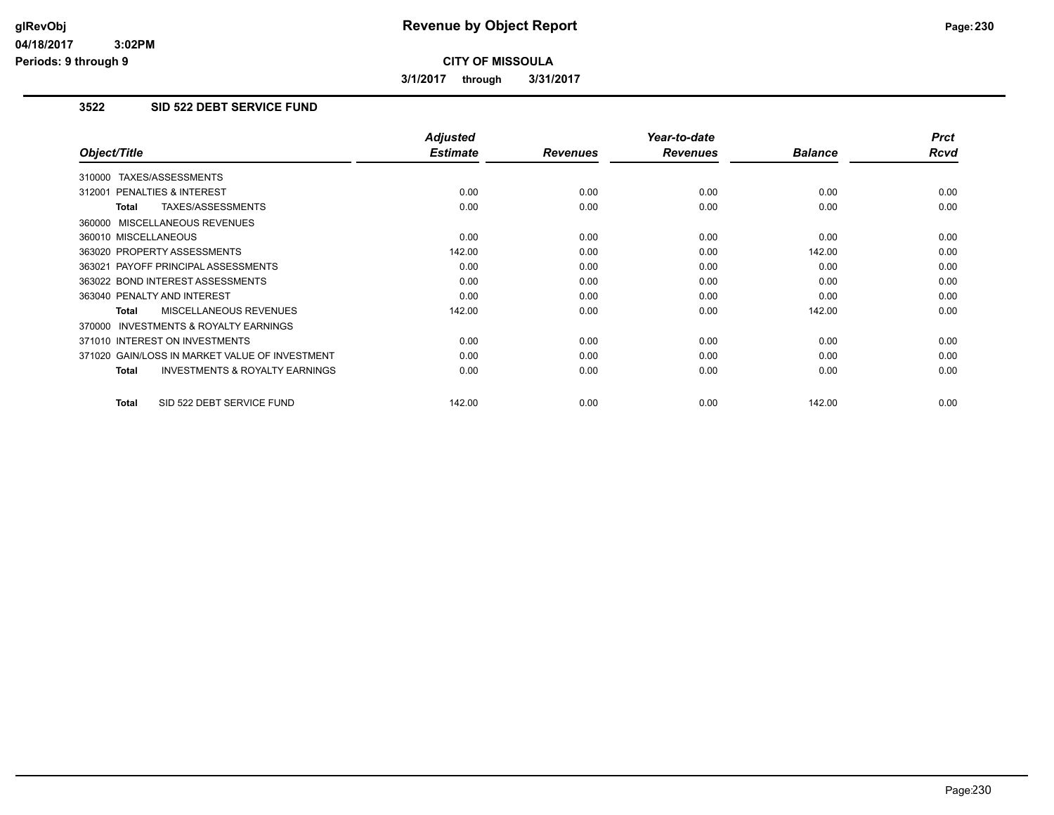**3/1/2017 through 3/31/2017**

#### **3522 SID 522 DEBT SERVICE FUND**

|                                                           | <b>Adjusted</b> |                 | Year-to-date    |                | <b>Prct</b> |
|-----------------------------------------------------------|-----------------|-----------------|-----------------|----------------|-------------|
| Object/Title                                              | <b>Estimate</b> | <b>Revenues</b> | <b>Revenues</b> | <b>Balance</b> | <b>Rcvd</b> |
| 310000 TAXES/ASSESSMENTS                                  |                 |                 |                 |                |             |
| 312001 PENALTIES & INTEREST                               | 0.00            | 0.00            | 0.00            | 0.00           | 0.00        |
| TAXES/ASSESSMENTS<br>Total                                | 0.00            | 0.00            | 0.00            | 0.00           | 0.00        |
| 360000 MISCELLANEOUS REVENUES                             |                 |                 |                 |                |             |
| 360010 MISCELLANEOUS                                      | 0.00            | 0.00            | 0.00            | 0.00           | 0.00        |
| 363020 PROPERTY ASSESSMENTS                               | 142.00          | 0.00            | 0.00            | 142.00         | 0.00        |
| 363021 PAYOFF PRINCIPAL ASSESSMENTS                       | 0.00            | 0.00            | 0.00            | 0.00           | 0.00        |
| 363022 BOND INTEREST ASSESSMENTS                          | 0.00            | 0.00            | 0.00            | 0.00           | 0.00        |
| 363040 PENALTY AND INTEREST                               | 0.00            | 0.00            | 0.00            | 0.00           | 0.00        |
| <b>MISCELLANEOUS REVENUES</b><br>Total                    | 142.00          | 0.00            | 0.00            | 142.00         | 0.00        |
| INVESTMENTS & ROYALTY EARNINGS<br>370000                  |                 |                 |                 |                |             |
| 371010 INTEREST ON INVESTMENTS                            | 0.00            | 0.00            | 0.00            | 0.00           | 0.00        |
| 371020 GAIN/LOSS IN MARKET VALUE OF INVESTMENT            | 0.00            | 0.00            | 0.00            | 0.00           | 0.00        |
| <b>INVESTMENTS &amp; ROYALTY EARNINGS</b><br><b>Total</b> | 0.00            | 0.00            | 0.00            | 0.00           | 0.00        |
| SID 522 DEBT SERVICE FUND<br><b>Total</b>                 | 142.00          | 0.00            | 0.00            | 142.00         | 0.00        |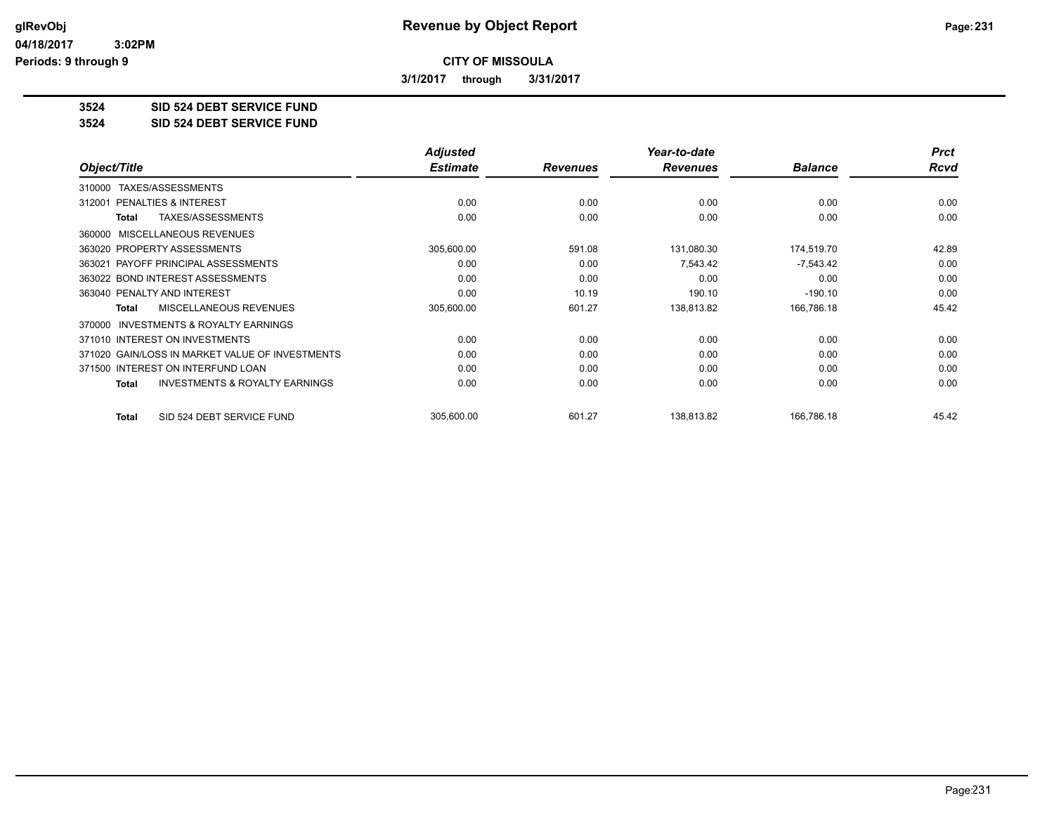**3/1/2017 through 3/31/2017**

**3524 SID 524 DEBT SERVICE FUND**

**3524 SID 524 DEBT SERVICE FUND**

|                                                    | <b>Adjusted</b> |                 | Year-to-date    |                | <b>Prct</b> |
|----------------------------------------------------|-----------------|-----------------|-----------------|----------------|-------------|
| Object/Title                                       | <b>Estimate</b> | <b>Revenues</b> | <b>Revenues</b> | <b>Balance</b> | <b>Rcvd</b> |
| 310000 TAXES/ASSESSMENTS                           |                 |                 |                 |                |             |
| 312001 PENALTIES & INTEREST                        | 0.00            | 0.00            | 0.00            | 0.00           | 0.00        |
| TAXES/ASSESSMENTS<br>Total                         | 0.00            | 0.00            | 0.00            | 0.00           | 0.00        |
| 360000 MISCELLANEOUS REVENUES                      |                 |                 |                 |                |             |
| 363020 PROPERTY ASSESSMENTS                        | 305,600.00      | 591.08          | 131,080.30      | 174,519.70     | 42.89       |
| 363021 PAYOFF PRINCIPAL ASSESSMENTS                | 0.00            | 0.00            | 7,543.42        | $-7,543.42$    | 0.00        |
| 363022 BOND INTEREST ASSESSMENTS                   | 0.00            | 0.00            | 0.00            | 0.00           | 0.00        |
| 363040 PENALTY AND INTEREST                        | 0.00            | 10.19           | 190.10          | $-190.10$      | 0.00        |
| MISCELLANEOUS REVENUES<br>Total                    | 305,600.00      | 601.27          | 138,813.82      | 166,786.18     | 45.42       |
| 370000 INVESTMENTS & ROYALTY EARNINGS              |                 |                 |                 |                |             |
| 371010 INTEREST ON INVESTMENTS                     | 0.00            | 0.00            | 0.00            | 0.00           | 0.00        |
| 371020 GAIN/LOSS IN MARKET VALUE OF INVESTMENTS    | 0.00            | 0.00            | 0.00            | 0.00           | 0.00        |
| 371500 INTEREST ON INTERFUND LOAN                  | 0.00            | 0.00            | 0.00            | 0.00           | 0.00        |
| <b>INVESTMENTS &amp; ROYALTY EARNINGS</b><br>Total | 0.00            | 0.00            | 0.00            | 0.00           | 0.00        |
| SID 524 DEBT SERVICE FUND<br>Total                 | 305,600.00      | 601.27          | 138,813.82      | 166,786.18     | 45.42       |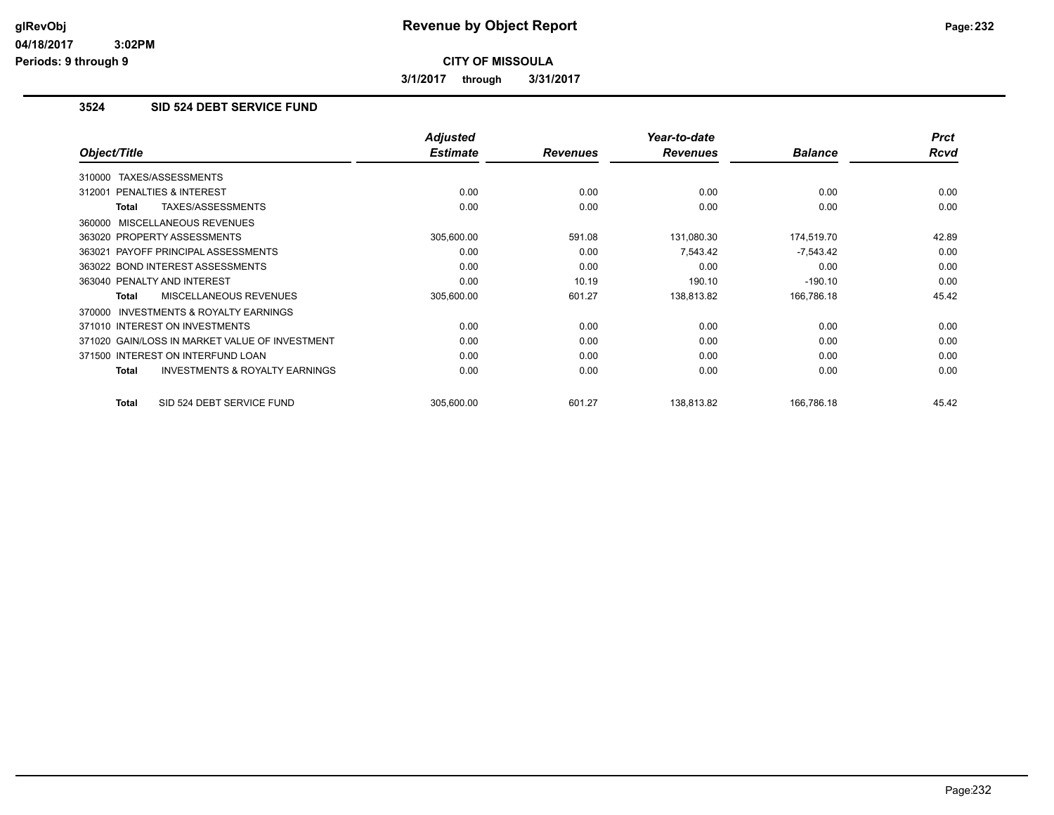**3/1/2017 through 3/31/2017**

#### **3524 SID 524 DEBT SERVICE FUND**

|                                                     | <b>Adjusted</b> |                 | Year-to-date    |                | <b>Prct</b> |
|-----------------------------------------------------|-----------------|-----------------|-----------------|----------------|-------------|
| Object/Title                                        | <b>Estimate</b> | <b>Revenues</b> | <b>Revenues</b> | <b>Balance</b> | Rcvd        |
| 310000 TAXES/ASSESSMENTS                            |                 |                 |                 |                |             |
| PENALTIES & INTEREST<br>312001                      | 0.00            | 0.00            | 0.00            | 0.00           | 0.00        |
| TAXES/ASSESSMENTS<br>Total                          | 0.00            | 0.00            | 0.00            | 0.00           | 0.00        |
| 360000 MISCELLANEOUS REVENUES                       |                 |                 |                 |                |             |
| 363020 PROPERTY ASSESSMENTS                         | 305,600.00      | 591.08          | 131,080.30      | 174,519.70     | 42.89       |
| 363021 PAYOFF PRINCIPAL ASSESSMENTS                 | 0.00            | 0.00            | 7,543.42        | $-7,543.42$    | 0.00        |
| 363022 BOND INTEREST ASSESSMENTS                    | 0.00            | 0.00            | 0.00            | 0.00           | 0.00        |
| 363040 PENALTY AND INTEREST                         | 0.00            | 10.19           | 190.10          | $-190.10$      | 0.00        |
| MISCELLANEOUS REVENUES<br>Total                     | 305,600.00      | 601.27          | 138,813.82      | 166,786.18     | 45.42       |
| <b>INVESTMENTS &amp; ROYALTY EARNINGS</b><br>370000 |                 |                 |                 |                |             |
| 371010 INTEREST ON INVESTMENTS                      | 0.00            | 0.00            | 0.00            | 0.00           | 0.00        |
| 371020 GAIN/LOSS IN MARKET VALUE OF INVESTMENT      | 0.00            | 0.00            | 0.00            | 0.00           | 0.00        |
| 371500 INTEREST ON INTERFUND LOAN                   | 0.00            | 0.00            | 0.00            | 0.00           | 0.00        |
| <b>INVESTMENTS &amp; ROYALTY EARNINGS</b><br>Total  | 0.00            | 0.00            | 0.00            | 0.00           | 0.00        |
| SID 524 DEBT SERVICE FUND<br><b>Total</b>           | 305,600.00      | 601.27          | 138,813.82      | 166,786.18     | 45.42       |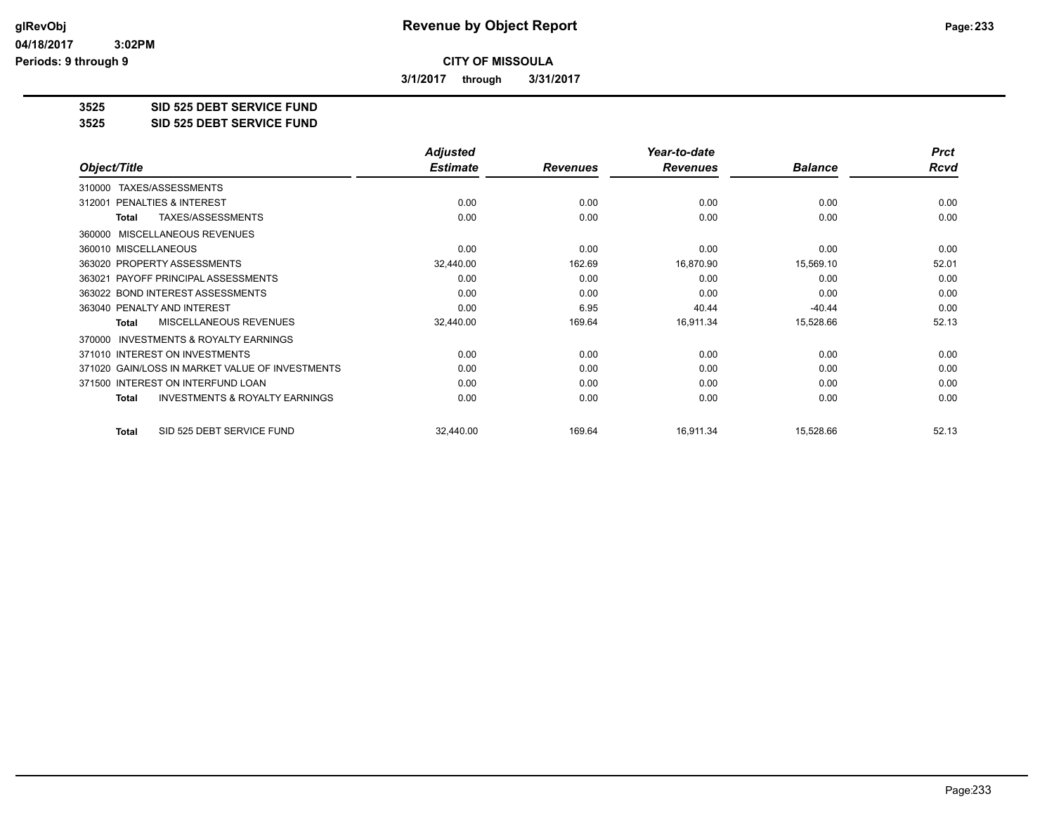**3/1/2017 through 3/31/2017**

**3525 SID 525 DEBT SERVICE FUND**

**3525 SID 525 DEBT SERVICE FUND**

|                                                     | <b>Adjusted</b> |                 | Year-to-date    |                | <b>Prct</b> |
|-----------------------------------------------------|-----------------|-----------------|-----------------|----------------|-------------|
| Object/Title                                        | <b>Estimate</b> | <b>Revenues</b> | <b>Revenues</b> | <b>Balance</b> | Rcvd        |
| TAXES/ASSESSMENTS<br>310000                         |                 |                 |                 |                |             |
| 312001 PENALTIES & INTEREST                         | 0.00            | 0.00            | 0.00            | 0.00           | 0.00        |
| TAXES/ASSESSMENTS<br>Total                          | 0.00            | 0.00            | 0.00            | 0.00           | 0.00        |
| MISCELLANEOUS REVENUES<br>360000                    |                 |                 |                 |                |             |
| 360010 MISCELLANEOUS                                | 0.00            | 0.00            | 0.00            | 0.00           | 0.00        |
| 363020 PROPERTY ASSESSMENTS                         | 32,440.00       | 162.69          | 16,870.90       | 15,569.10      | 52.01       |
| 363021 PAYOFF PRINCIPAL ASSESSMENTS                 | 0.00            | 0.00            | 0.00            | 0.00           | 0.00        |
| 363022 BOND INTEREST ASSESSMENTS                    | 0.00            | 0.00            | 0.00            | 0.00           | 0.00        |
| 363040 PENALTY AND INTEREST                         | 0.00            | 6.95            | 40.44           | $-40.44$       | 0.00        |
| MISCELLANEOUS REVENUES<br>Total                     | 32,440.00       | 169.64          | 16,911.34       | 15,528.66      | 52.13       |
| <b>INVESTMENTS &amp; ROYALTY EARNINGS</b><br>370000 |                 |                 |                 |                |             |
| 371010 INTEREST ON INVESTMENTS                      | 0.00            | 0.00            | 0.00            | 0.00           | 0.00        |
| 371020 GAIN/LOSS IN MARKET VALUE OF INVESTMENTS     | 0.00            | 0.00            | 0.00            | 0.00           | 0.00        |
| 371500 INTEREST ON INTERFUND LOAN                   | 0.00            | 0.00            | 0.00            | 0.00           | 0.00        |
| <b>INVESTMENTS &amp; ROYALTY EARNINGS</b><br>Total  | 0.00            | 0.00            | 0.00            | 0.00           | 0.00        |
| SID 525 DEBT SERVICE FUND<br><b>Total</b>           | 32,440.00       | 169.64          | 16,911.34       | 15,528.66      | 52.13       |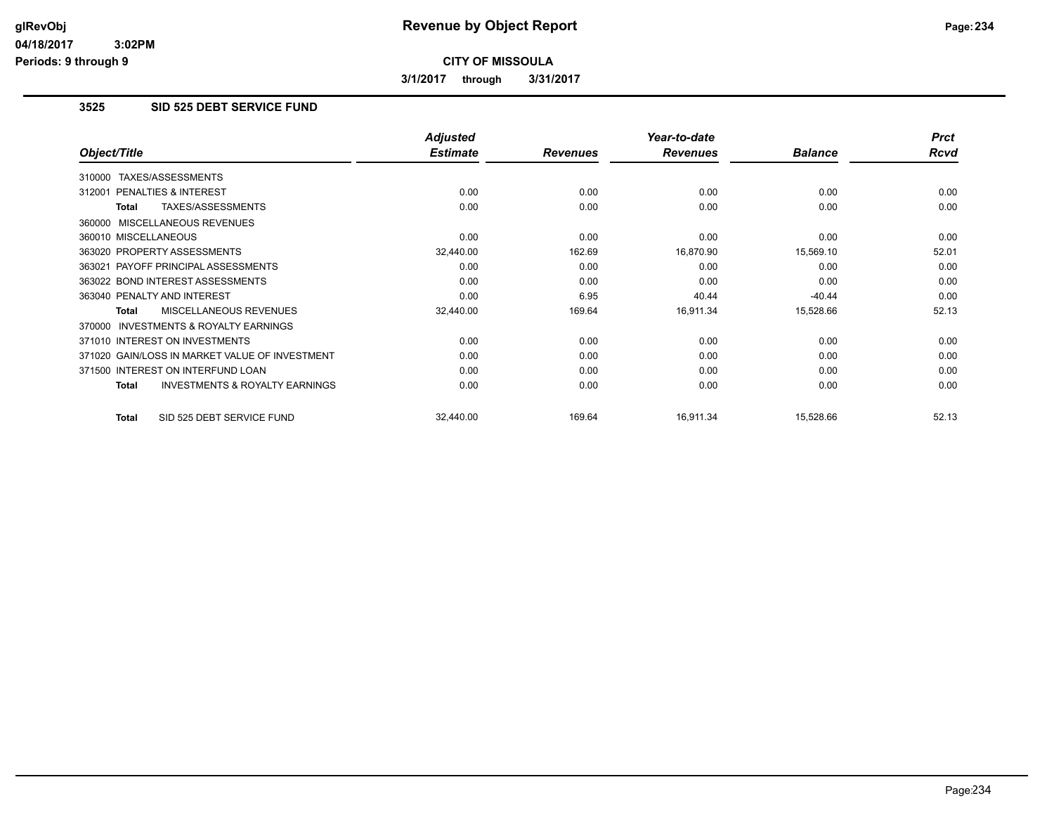**3/1/2017 through 3/31/2017**

#### **3525 SID 525 DEBT SERVICE FUND**

|                                                           | <b>Adjusted</b> |                 | Year-to-date    |                | <b>Prct</b> |
|-----------------------------------------------------------|-----------------|-----------------|-----------------|----------------|-------------|
| Object/Title                                              | <b>Estimate</b> | <b>Revenues</b> | <b>Revenues</b> | <b>Balance</b> | <b>Rcvd</b> |
| TAXES/ASSESSMENTS<br>310000                               |                 |                 |                 |                |             |
| PENALTIES & INTEREST<br>312001                            | 0.00            | 0.00            | 0.00            | 0.00           | 0.00        |
| TAXES/ASSESSMENTS<br>Total                                | 0.00            | 0.00            | 0.00            | 0.00           | 0.00        |
| 360000 MISCELLANEOUS REVENUES                             |                 |                 |                 |                |             |
| 360010 MISCELLANEOUS                                      | 0.00            | 0.00            | 0.00            | 0.00           | 0.00        |
| 363020 PROPERTY ASSESSMENTS                               | 32,440.00       | 162.69          | 16,870.90       | 15,569.10      | 52.01       |
| 363021 PAYOFF PRINCIPAL ASSESSMENTS                       | 0.00            | 0.00            | 0.00            | 0.00           | 0.00        |
| 363022 BOND INTEREST ASSESSMENTS                          | 0.00            | 0.00            | 0.00            | 0.00           | 0.00        |
| 363040 PENALTY AND INTEREST                               | 0.00            | 6.95            | 40.44           | $-40.44$       | 0.00        |
| MISCELLANEOUS REVENUES<br>Total                           | 32,440.00       | 169.64          | 16,911.34       | 15,528.66      | 52.13       |
| <b>INVESTMENTS &amp; ROYALTY EARNINGS</b><br>370000       |                 |                 |                 |                |             |
| 371010 INTEREST ON INVESTMENTS                            | 0.00            | 0.00            | 0.00            | 0.00           | 0.00        |
| 371020 GAIN/LOSS IN MARKET VALUE OF INVESTMENT            | 0.00            | 0.00            | 0.00            | 0.00           | 0.00        |
| 371500 INTEREST ON INTERFUND LOAN                         | 0.00            | 0.00            | 0.00            | 0.00           | 0.00        |
| <b>INVESTMENTS &amp; ROYALTY EARNINGS</b><br><b>Total</b> | 0.00            | 0.00            | 0.00            | 0.00           | 0.00        |
| SID 525 DEBT SERVICE FUND<br><b>Total</b>                 | 32,440.00       | 169.64          | 16,911.34       | 15,528.66      | 52.13       |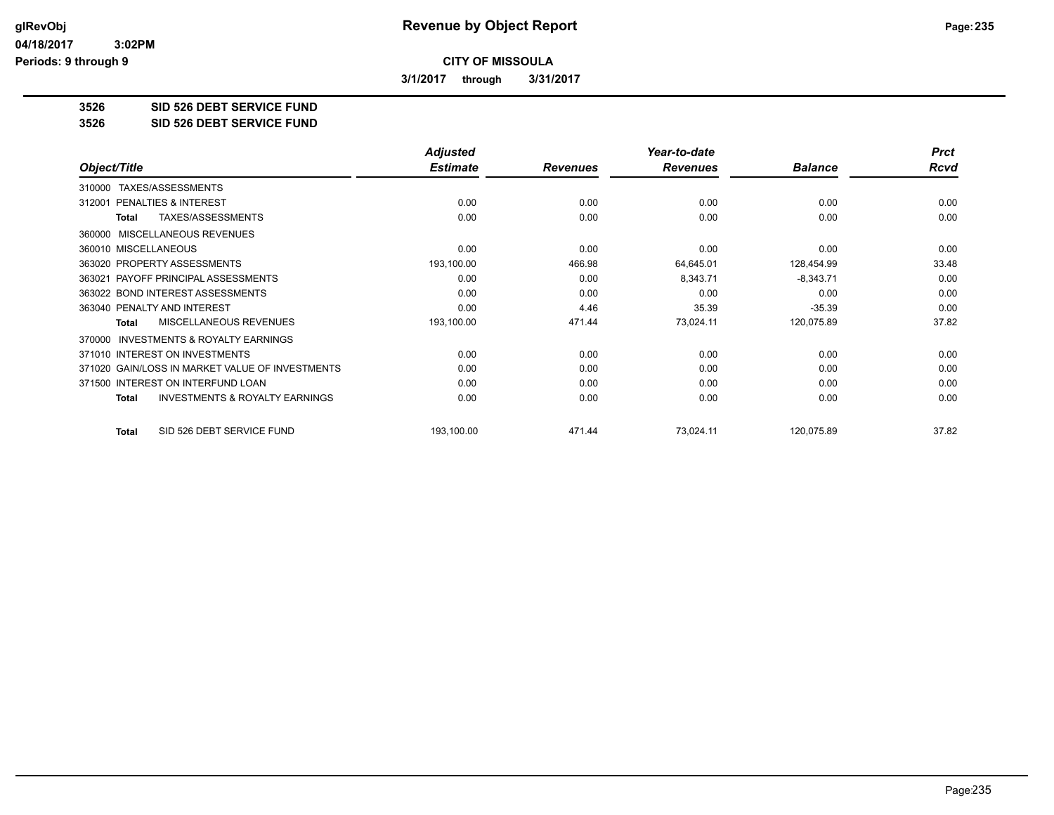**3/1/2017 through 3/31/2017**

**3526 SID 526 DEBT SERVICE FUND**

**3526 SID 526 DEBT SERVICE FUND**

|                                                     | <b>Adjusted</b> |                 | Year-to-date    |                | <b>Prct</b> |
|-----------------------------------------------------|-----------------|-----------------|-----------------|----------------|-------------|
| Object/Title                                        | <b>Estimate</b> | <b>Revenues</b> | <b>Revenues</b> | <b>Balance</b> | Rcvd        |
| TAXES/ASSESSMENTS<br>310000                         |                 |                 |                 |                |             |
| 312001 PENALTIES & INTEREST                         | 0.00            | 0.00            | 0.00            | 0.00           | 0.00        |
| TAXES/ASSESSMENTS<br>Total                          | 0.00            | 0.00            | 0.00            | 0.00           | 0.00        |
| MISCELLANEOUS REVENUES<br>360000                    |                 |                 |                 |                |             |
| 360010 MISCELLANEOUS                                | 0.00            | 0.00            | 0.00            | 0.00           | 0.00        |
| 363020 PROPERTY ASSESSMENTS                         | 193,100.00      | 466.98          | 64,645.01       | 128,454.99     | 33.48       |
| 363021 PAYOFF PRINCIPAL ASSESSMENTS                 | 0.00            | 0.00            | 8,343.71        | $-8,343.71$    | 0.00        |
| 363022 BOND INTEREST ASSESSMENTS                    | 0.00            | 0.00            | 0.00            | 0.00           | 0.00        |
| 363040 PENALTY AND INTEREST                         | 0.00            | 4.46            | 35.39           | $-35.39$       | 0.00        |
| MISCELLANEOUS REVENUES<br>Total                     | 193,100.00      | 471.44          | 73,024.11       | 120,075.89     | 37.82       |
| <b>INVESTMENTS &amp; ROYALTY EARNINGS</b><br>370000 |                 |                 |                 |                |             |
| 371010 INTEREST ON INVESTMENTS                      | 0.00            | 0.00            | 0.00            | 0.00           | 0.00        |
| 371020 GAIN/LOSS IN MARKET VALUE OF INVESTMENTS     | 0.00            | 0.00            | 0.00            | 0.00           | 0.00        |
| 371500 INTEREST ON INTERFUND LOAN                   | 0.00            | 0.00            | 0.00            | 0.00           | 0.00        |
| INVESTMENTS & ROYALTY EARNINGS<br>Total             | 0.00            | 0.00            | 0.00            | 0.00           | 0.00        |
| SID 526 DEBT SERVICE FUND<br><b>Total</b>           | 193,100.00      | 471.44          | 73,024.11       | 120,075.89     | 37.82       |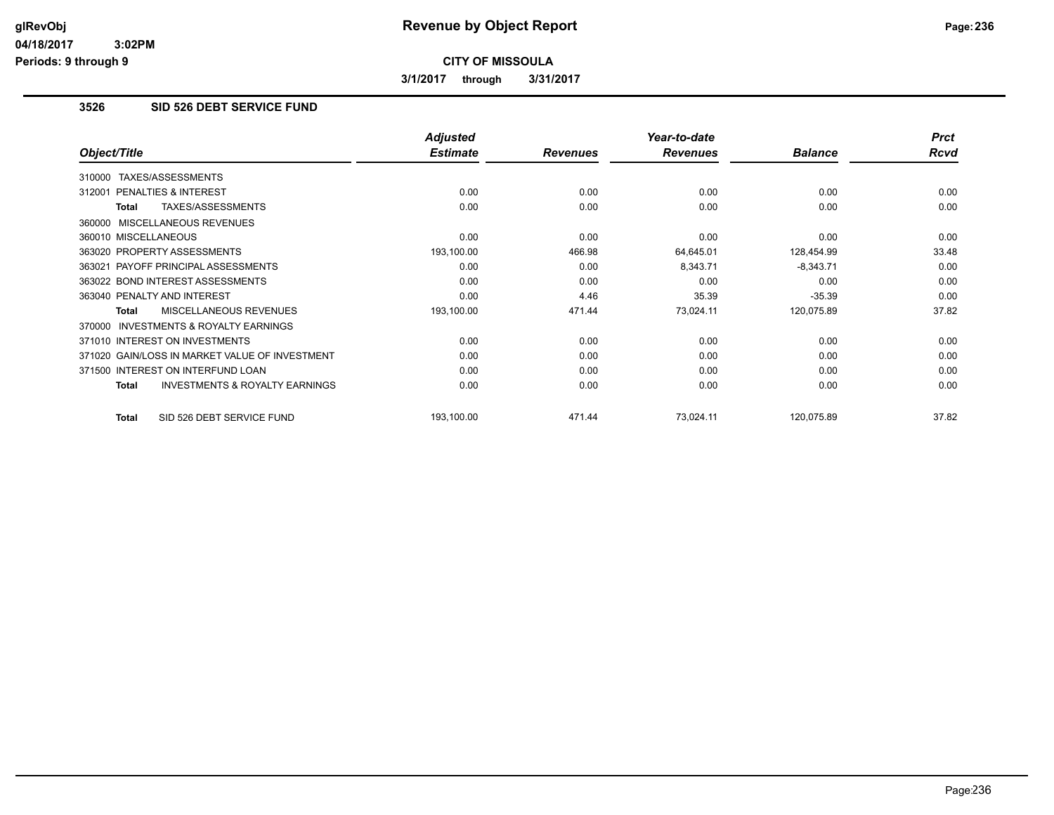**3/1/2017 through 3/31/2017**

#### **3526 SID 526 DEBT SERVICE FUND**

|                                                           | <b>Adjusted</b> |                 | Year-to-date    |                | <b>Prct</b> |
|-----------------------------------------------------------|-----------------|-----------------|-----------------|----------------|-------------|
| Object/Title                                              | <b>Estimate</b> | <b>Revenues</b> | <b>Revenues</b> | <b>Balance</b> | <b>Rcvd</b> |
| TAXES/ASSESSMENTS<br>310000                               |                 |                 |                 |                |             |
| 312001 PENALTIES & INTEREST                               | 0.00            | 0.00            | 0.00            | 0.00           | 0.00        |
| TAXES/ASSESSMENTS<br>Total                                | 0.00            | 0.00            | 0.00            | 0.00           | 0.00        |
| MISCELLANEOUS REVENUES<br>360000                          |                 |                 |                 |                |             |
| 360010 MISCELLANEOUS                                      | 0.00            | 0.00            | 0.00            | 0.00           | 0.00        |
| 363020 PROPERTY ASSESSMENTS                               | 193,100.00      | 466.98          | 64,645.01       | 128,454.99     | 33.48       |
| 363021 PAYOFF PRINCIPAL ASSESSMENTS                       | 0.00            | 0.00            | 8,343.71        | $-8,343.71$    | 0.00        |
| 363022 BOND INTEREST ASSESSMENTS                          | 0.00            | 0.00            | 0.00            | 0.00           | 0.00        |
| 363040 PENALTY AND INTEREST                               | 0.00            | 4.46            | 35.39           | $-35.39$       | 0.00        |
| <b>MISCELLANEOUS REVENUES</b><br>Total                    | 193,100.00      | 471.44          | 73,024.11       | 120,075.89     | 37.82       |
| <b>INVESTMENTS &amp; ROYALTY EARNINGS</b><br>370000       |                 |                 |                 |                |             |
| 371010 INTEREST ON INVESTMENTS                            | 0.00            | 0.00            | 0.00            | 0.00           | 0.00        |
| 371020 GAIN/LOSS IN MARKET VALUE OF INVESTMENT            | 0.00            | 0.00            | 0.00            | 0.00           | 0.00        |
| 371500 INTEREST ON INTERFUND LOAN                         | 0.00            | 0.00            | 0.00            | 0.00           | 0.00        |
| <b>INVESTMENTS &amp; ROYALTY EARNINGS</b><br><b>Total</b> | 0.00            | 0.00            | 0.00            | 0.00           | 0.00        |
| SID 526 DEBT SERVICE FUND<br><b>Total</b>                 | 193,100.00      | 471.44          | 73,024.11       | 120,075.89     | 37.82       |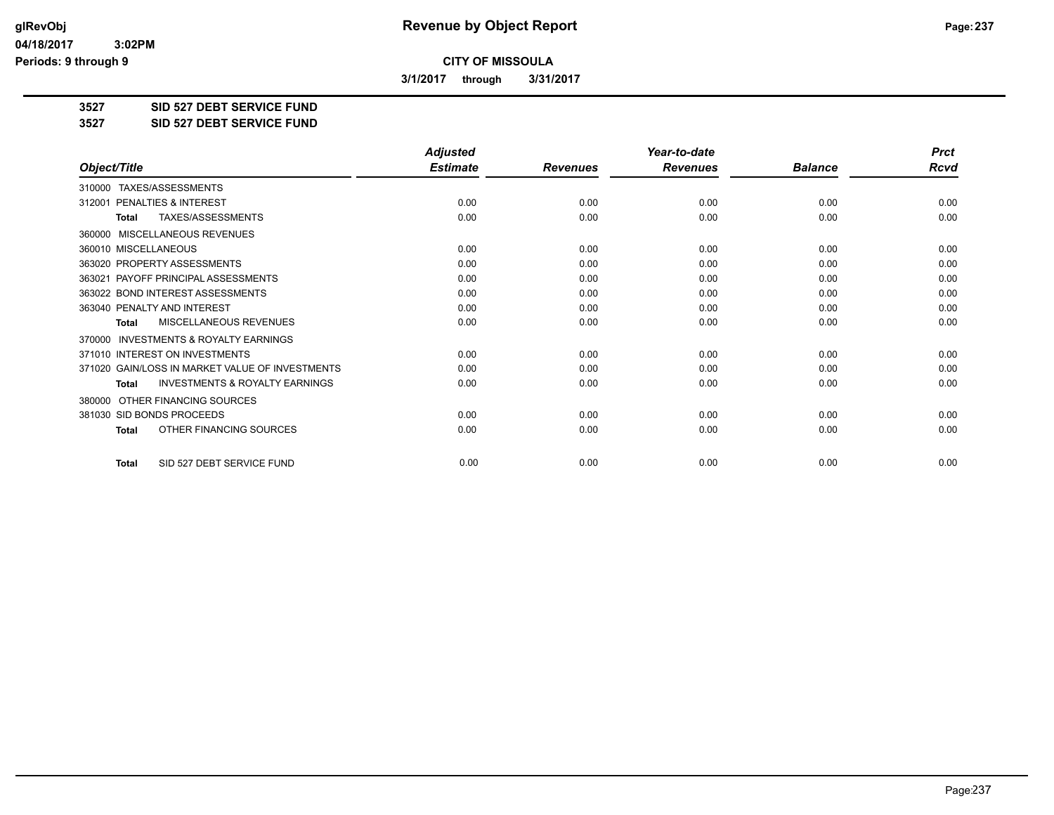**3/1/2017 through 3/31/2017**

**3527 SID 527 DEBT SERVICE FUND**

**3527 SID 527 DEBT SERVICE FUND**

|                                                     | <b>Adjusted</b> |                 | Year-to-date    |                | <b>Prct</b> |
|-----------------------------------------------------|-----------------|-----------------|-----------------|----------------|-------------|
| Object/Title                                        | <b>Estimate</b> | <b>Revenues</b> | <b>Revenues</b> | <b>Balance</b> | <b>Rcvd</b> |
| TAXES/ASSESSMENTS<br>310000                         |                 |                 |                 |                |             |
| PENALTIES & INTEREST<br>312001                      | 0.00            | 0.00            | 0.00            | 0.00           | 0.00        |
| TAXES/ASSESSMENTS<br><b>Total</b>                   | 0.00            | 0.00            | 0.00            | 0.00           | 0.00        |
| 360000 MISCELLANEOUS REVENUES                       |                 |                 |                 |                |             |
| 360010 MISCELLANEOUS                                | 0.00            | 0.00            | 0.00            | 0.00           | 0.00        |
| 363020 PROPERTY ASSESSMENTS                         | 0.00            | 0.00            | 0.00            | 0.00           | 0.00        |
| 363021 PAYOFF PRINCIPAL ASSESSMENTS                 | 0.00            | 0.00            | 0.00            | 0.00           | 0.00        |
| 363022 BOND INTEREST ASSESSMENTS                    | 0.00            | 0.00            | 0.00            | 0.00           | 0.00        |
| 363040 PENALTY AND INTEREST                         | 0.00            | 0.00            | 0.00            | 0.00           | 0.00        |
| MISCELLANEOUS REVENUES<br>Total                     | 0.00            | 0.00            | 0.00            | 0.00           | 0.00        |
| <b>INVESTMENTS &amp; ROYALTY EARNINGS</b><br>370000 |                 |                 |                 |                |             |
| 371010 INTEREST ON INVESTMENTS                      | 0.00            | 0.00            | 0.00            | 0.00           | 0.00        |
| 371020 GAIN/LOSS IN MARKET VALUE OF INVESTMENTS     | 0.00            | 0.00            | 0.00            | 0.00           | 0.00        |
| <b>INVESTMENTS &amp; ROYALTY EARNINGS</b><br>Total  | 0.00            | 0.00            | 0.00            | 0.00           | 0.00        |
| OTHER FINANCING SOURCES<br>380000                   |                 |                 |                 |                |             |
| 381030 SID BONDS PROCEEDS                           | 0.00            | 0.00            | 0.00            | 0.00           | 0.00        |
| OTHER FINANCING SOURCES<br><b>Total</b>             | 0.00            | 0.00            | 0.00            | 0.00           | 0.00        |
| SID 527 DEBT SERVICE FUND<br><b>Total</b>           | 0.00            | 0.00            | 0.00            | 0.00           | 0.00        |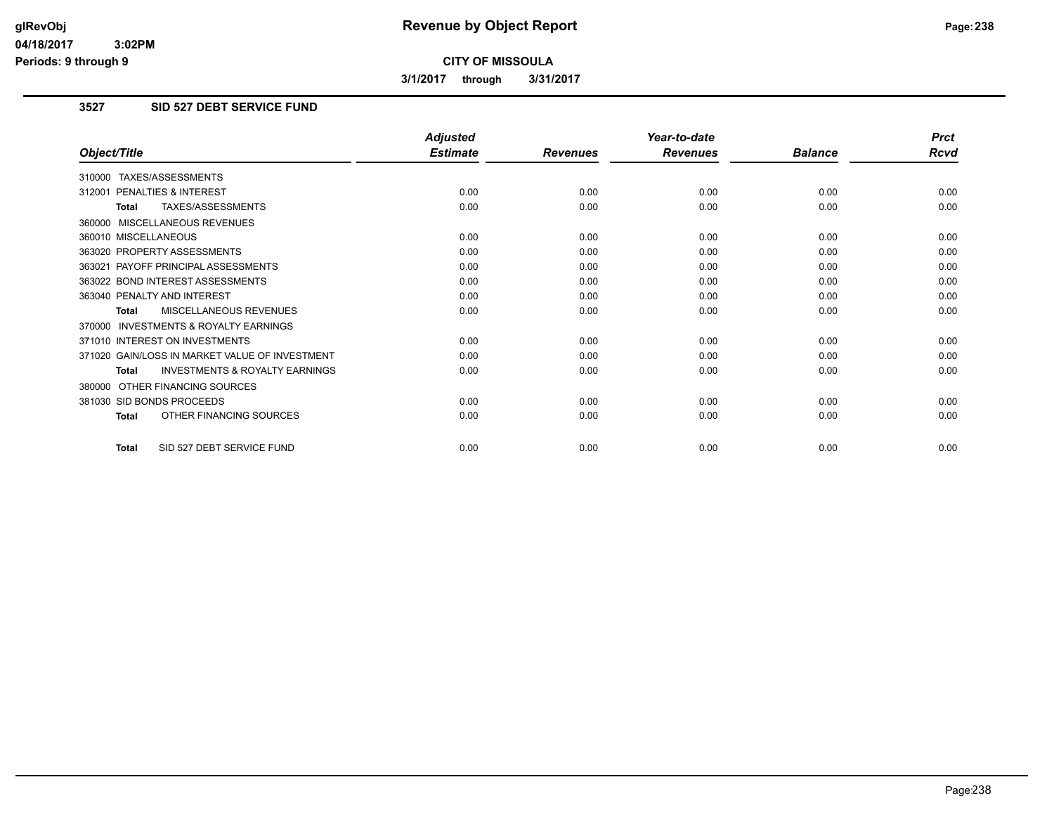**3/1/2017 through 3/31/2017**

#### **3527 SID 527 DEBT SERVICE FUND**

|                                                     | <b>Adjusted</b> |                 | Year-to-date    |                | <b>Prct</b> |
|-----------------------------------------------------|-----------------|-----------------|-----------------|----------------|-------------|
| Object/Title                                        | <b>Estimate</b> | <b>Revenues</b> | <b>Revenues</b> | <b>Balance</b> | Rcvd        |
| 310000 TAXES/ASSESSMENTS                            |                 |                 |                 |                |             |
| 312001 PENALTIES & INTEREST                         | 0.00            | 0.00            | 0.00            | 0.00           | 0.00        |
| TAXES/ASSESSMENTS<br><b>Total</b>                   | 0.00            | 0.00            | 0.00            | 0.00           | 0.00        |
| 360000 MISCELLANEOUS REVENUES                       |                 |                 |                 |                |             |
| 360010 MISCELLANEOUS                                | 0.00            | 0.00            | 0.00            | 0.00           | 0.00        |
| 363020 PROPERTY ASSESSMENTS                         | 0.00            | 0.00            | 0.00            | 0.00           | 0.00        |
| 363021 PAYOFF PRINCIPAL ASSESSMENTS                 | 0.00            | 0.00            | 0.00            | 0.00           | 0.00        |
| 363022 BOND INTEREST ASSESSMENTS                    | 0.00            | 0.00            | 0.00            | 0.00           | 0.00        |
| 363040 PENALTY AND INTEREST                         | 0.00            | 0.00            | 0.00            | 0.00           | 0.00        |
| MISCELLANEOUS REVENUES<br>Total                     | 0.00            | 0.00            | 0.00            | 0.00           | 0.00        |
| <b>INVESTMENTS &amp; ROYALTY EARNINGS</b><br>370000 |                 |                 |                 |                |             |
| 371010 INTEREST ON INVESTMENTS                      | 0.00            | 0.00            | 0.00            | 0.00           | 0.00        |
| 371020 GAIN/LOSS IN MARKET VALUE OF INVESTMENT      | 0.00            | 0.00            | 0.00            | 0.00           | 0.00        |
| <b>INVESTMENTS &amp; ROYALTY EARNINGS</b><br>Total  | 0.00            | 0.00            | 0.00            | 0.00           | 0.00        |
| OTHER FINANCING SOURCES<br>380000                   |                 |                 |                 |                |             |
| 381030 SID BONDS PROCEEDS                           | 0.00            | 0.00            | 0.00            | 0.00           | 0.00        |
| OTHER FINANCING SOURCES<br><b>Total</b>             | 0.00            | 0.00            | 0.00            | 0.00           | 0.00        |
| SID 527 DEBT SERVICE FUND<br><b>Total</b>           | 0.00            | 0.00            | 0.00            | 0.00           | 0.00        |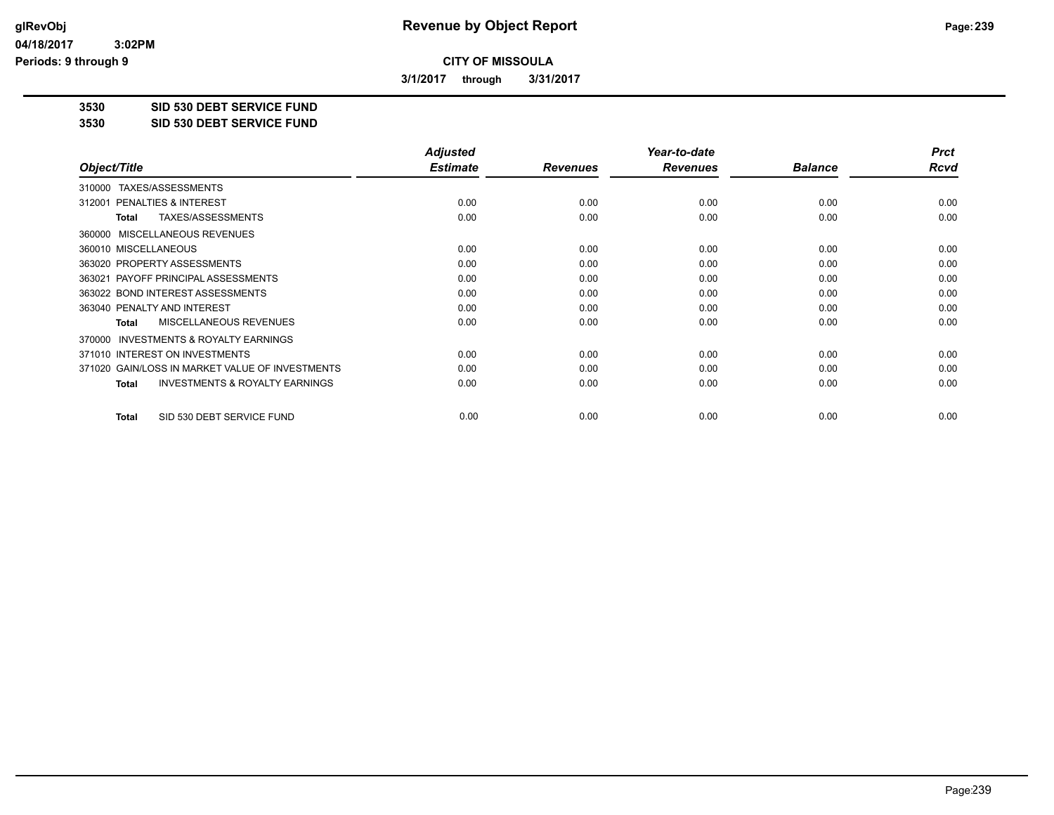**3/1/2017 through 3/31/2017**

**3530 SID 530 DEBT SERVICE FUND**

**3530 SID 530 DEBT SERVICE FUND**

|                                                    | <b>Adjusted</b> |                 | Year-to-date    |                | <b>Prct</b> |
|----------------------------------------------------|-----------------|-----------------|-----------------|----------------|-------------|
| Object/Title                                       | <b>Estimate</b> | <b>Revenues</b> | <b>Revenues</b> | <b>Balance</b> | Rcvd        |
| 310000 TAXES/ASSESSMENTS                           |                 |                 |                 |                |             |
| 312001 PENALTIES & INTEREST                        | 0.00            | 0.00            | 0.00            | 0.00           | 0.00        |
| TAXES/ASSESSMENTS<br>Total                         | 0.00            | 0.00            | 0.00            | 0.00           | 0.00        |
| 360000 MISCELLANEOUS REVENUES                      |                 |                 |                 |                |             |
| 360010 MISCELLANEOUS                               | 0.00            | 0.00            | 0.00            | 0.00           | 0.00        |
| 363020 PROPERTY ASSESSMENTS                        | 0.00            | 0.00            | 0.00            | 0.00           | 0.00        |
| 363021 PAYOFF PRINCIPAL ASSESSMENTS                | 0.00            | 0.00            | 0.00            | 0.00           | 0.00        |
| 363022 BOND INTEREST ASSESSMENTS                   | 0.00            | 0.00            | 0.00            | 0.00           | 0.00        |
| 363040 PENALTY AND INTEREST                        | 0.00            | 0.00            | 0.00            | 0.00           | 0.00        |
| MISCELLANEOUS REVENUES<br>Total                    | 0.00            | 0.00            | 0.00            | 0.00           | 0.00        |
| INVESTMENTS & ROYALTY EARNINGS<br>370000           |                 |                 |                 |                |             |
| 371010 INTEREST ON INVESTMENTS                     | 0.00            | 0.00            | 0.00            | 0.00           | 0.00        |
| 371020 GAIN/LOSS IN MARKET VALUE OF INVESTMENTS    | 0.00            | 0.00            | 0.00            | 0.00           | 0.00        |
| <b>INVESTMENTS &amp; ROYALTY EARNINGS</b><br>Total | 0.00            | 0.00            | 0.00            | 0.00           | 0.00        |
| SID 530 DEBT SERVICE FUND<br>Total                 | 0.00            | 0.00            | 0.00            | 0.00           | 0.00        |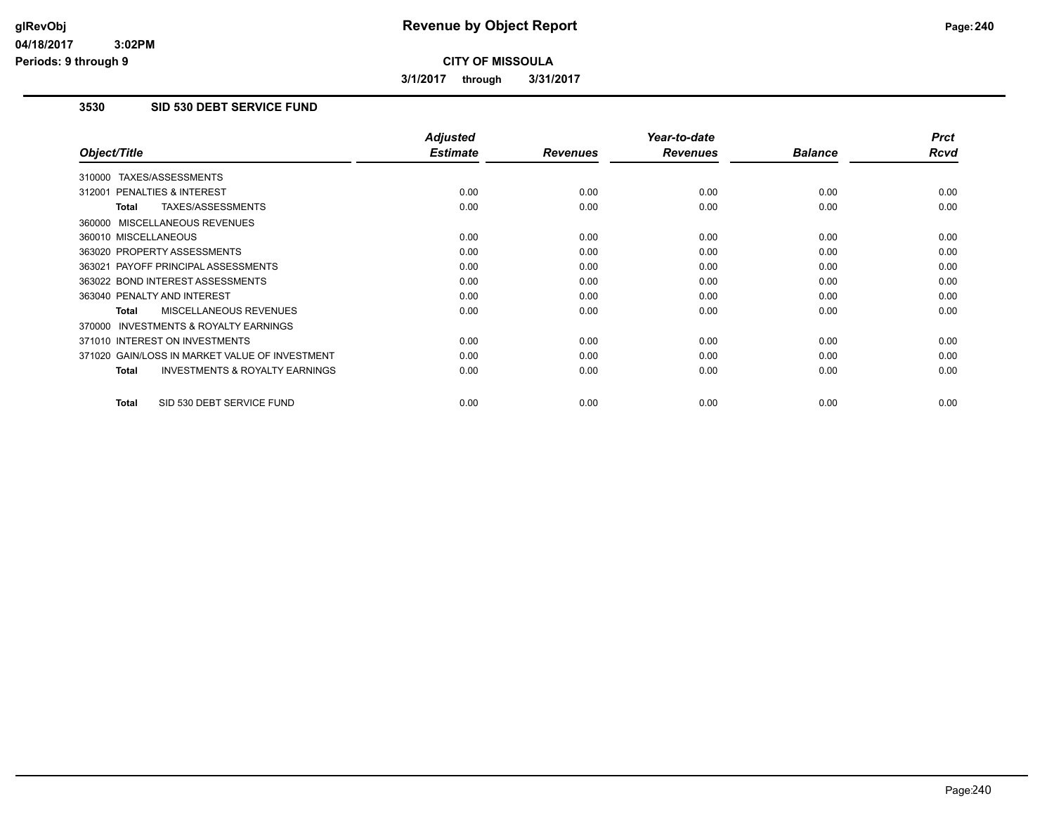**3/1/2017 through 3/31/2017**

#### **3530 SID 530 DEBT SERVICE FUND**

|                                                     | <b>Adjusted</b> |                 | Year-to-date    |                | <b>Prct</b> |
|-----------------------------------------------------|-----------------|-----------------|-----------------|----------------|-------------|
| Object/Title                                        | <b>Estimate</b> | <b>Revenues</b> | <b>Revenues</b> | <b>Balance</b> | Rcvd        |
| 310000 TAXES/ASSESSMENTS                            |                 |                 |                 |                |             |
| 312001 PENALTIES & INTEREST                         | 0.00            | 0.00            | 0.00            | 0.00           | 0.00        |
| TAXES/ASSESSMENTS<br>Total                          | 0.00            | 0.00            | 0.00            | 0.00           | 0.00        |
| 360000 MISCELLANEOUS REVENUES                       |                 |                 |                 |                |             |
| 360010 MISCELLANEOUS                                | 0.00            | 0.00            | 0.00            | 0.00           | 0.00        |
| 363020 PROPERTY ASSESSMENTS                         | 0.00            | 0.00            | 0.00            | 0.00           | 0.00        |
| 363021 PAYOFF PRINCIPAL ASSESSMENTS                 | 0.00            | 0.00            | 0.00            | 0.00           | 0.00        |
| 363022 BOND INTEREST ASSESSMENTS                    | 0.00            | 0.00            | 0.00            | 0.00           | 0.00        |
| 363040 PENALTY AND INTEREST                         | 0.00            | 0.00            | 0.00            | 0.00           | 0.00        |
| MISCELLANEOUS REVENUES<br>Total                     | 0.00            | 0.00            | 0.00            | 0.00           | 0.00        |
| <b>INVESTMENTS &amp; ROYALTY EARNINGS</b><br>370000 |                 |                 |                 |                |             |
| 371010 INTEREST ON INVESTMENTS                      | 0.00            | 0.00            | 0.00            | 0.00           | 0.00        |
| 371020 GAIN/LOSS IN MARKET VALUE OF INVESTMENT      | 0.00            | 0.00            | 0.00            | 0.00           | 0.00        |
| <b>INVESTMENTS &amp; ROYALTY EARNINGS</b><br>Total  | 0.00            | 0.00            | 0.00            | 0.00           | 0.00        |
| SID 530 DEBT SERVICE FUND<br><b>Total</b>           | 0.00            | 0.00            | 0.00            | 0.00           | 0.00        |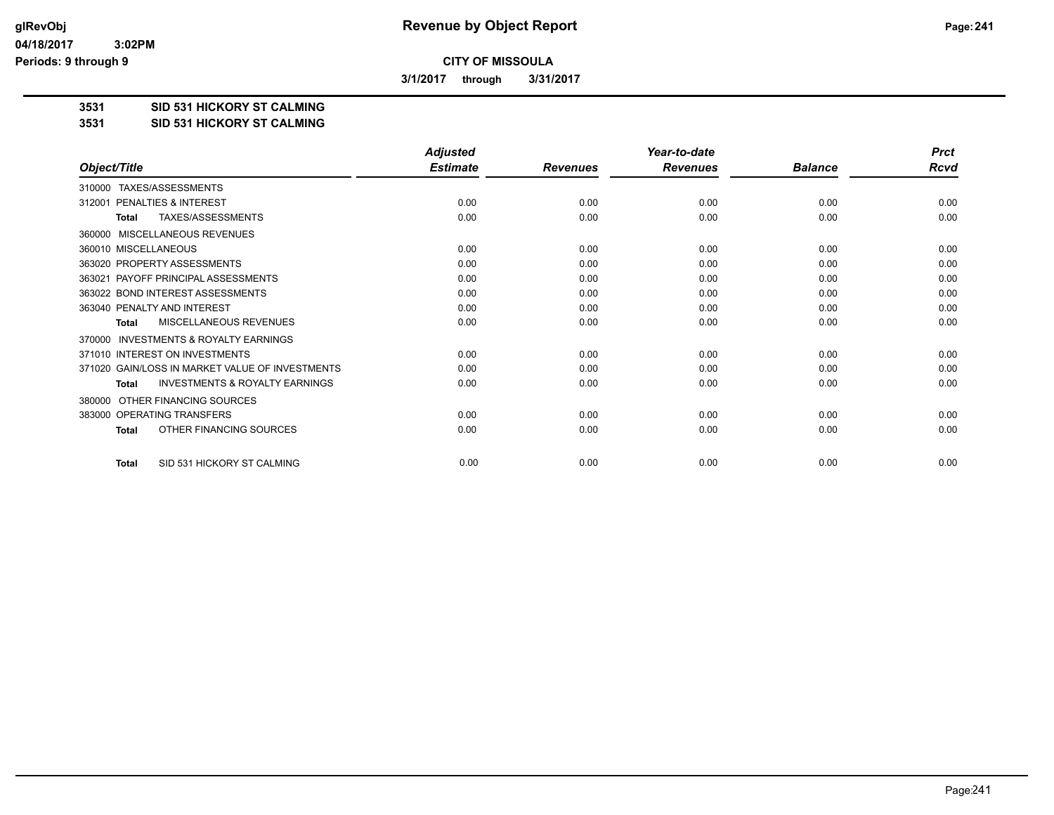**3/1/2017 through 3/31/2017**

**3531 SID 531 HICKORY ST CALMING**

**3531 SID 531 HICKORY ST CALMING**

|                                                     | <b>Adjusted</b> |                 | Year-to-date    |                | <b>Prct</b> |
|-----------------------------------------------------|-----------------|-----------------|-----------------|----------------|-------------|
| Object/Title                                        | <b>Estimate</b> | <b>Revenues</b> | <b>Revenues</b> | <b>Balance</b> | Rcvd        |
| TAXES/ASSESSMENTS<br>310000                         |                 |                 |                 |                |             |
| PENALTIES & INTEREST<br>312001                      | 0.00            | 0.00            | 0.00            | 0.00           | 0.00        |
| TAXES/ASSESSMENTS<br><b>Total</b>                   | 0.00            | 0.00            | 0.00            | 0.00           | 0.00        |
| 360000 MISCELLANEOUS REVENUES                       |                 |                 |                 |                |             |
| 360010 MISCELLANEOUS                                | 0.00            | 0.00            | 0.00            | 0.00           | 0.00        |
| 363020 PROPERTY ASSESSMENTS                         | 0.00            | 0.00            | 0.00            | 0.00           | 0.00        |
| 363021 PAYOFF PRINCIPAL ASSESSMENTS                 | 0.00            | 0.00            | 0.00            | 0.00           | 0.00        |
| 363022 BOND INTEREST ASSESSMENTS                    | 0.00            | 0.00            | 0.00            | 0.00           | 0.00        |
| 363040 PENALTY AND INTEREST                         | 0.00            | 0.00            | 0.00            | 0.00           | 0.00        |
| MISCELLANEOUS REVENUES<br>Total                     | 0.00            | 0.00            | 0.00            | 0.00           | 0.00        |
| <b>INVESTMENTS &amp; ROYALTY EARNINGS</b><br>370000 |                 |                 |                 |                |             |
| 371010 INTEREST ON INVESTMENTS                      | 0.00            | 0.00            | 0.00            | 0.00           | 0.00        |
| 371020 GAIN/LOSS IN MARKET VALUE OF INVESTMENTS     | 0.00            | 0.00            | 0.00            | 0.00           | 0.00        |
| <b>INVESTMENTS &amp; ROYALTY EARNINGS</b><br>Total  | 0.00            | 0.00            | 0.00            | 0.00           | 0.00        |
| OTHER FINANCING SOURCES<br>380000                   |                 |                 |                 |                |             |
| 383000 OPERATING TRANSFERS                          | 0.00            | 0.00            | 0.00            | 0.00           | 0.00        |
| OTHER FINANCING SOURCES<br><b>Total</b>             | 0.00            | 0.00            | 0.00            | 0.00           | 0.00        |
| SID 531 HICKORY ST CALMING<br><b>Total</b>          | 0.00            | 0.00            | 0.00            | 0.00           | 0.00        |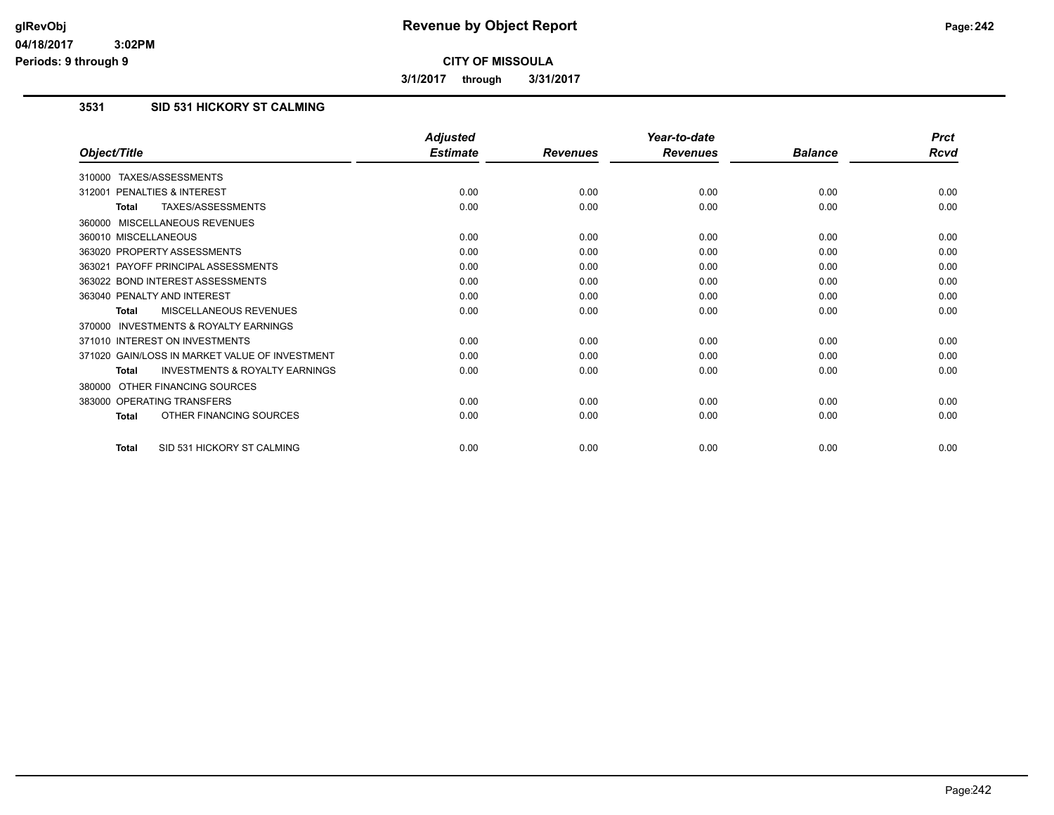**3/1/2017 through 3/31/2017**

#### **3531 SID 531 HICKORY ST CALMING**

|                                                           | <b>Adjusted</b> |                 | Year-to-date    |                | <b>Prct</b> |
|-----------------------------------------------------------|-----------------|-----------------|-----------------|----------------|-------------|
| Object/Title                                              | <b>Estimate</b> | <b>Revenues</b> | <b>Revenues</b> | <b>Balance</b> | Rcvd        |
| 310000 TAXES/ASSESSMENTS                                  |                 |                 |                 |                |             |
| 312001 PENALTIES & INTEREST                               | 0.00            | 0.00            | 0.00            | 0.00           | 0.00        |
| TAXES/ASSESSMENTS<br>Total                                | 0.00            | 0.00            | 0.00            | 0.00           | 0.00        |
| 360000 MISCELLANEOUS REVENUES                             |                 |                 |                 |                |             |
| 360010 MISCELLANEOUS                                      | 0.00            | 0.00            | 0.00            | 0.00           | 0.00        |
| 363020 PROPERTY ASSESSMENTS                               | 0.00            | 0.00            | 0.00            | 0.00           | 0.00        |
| 363021 PAYOFF PRINCIPAL ASSESSMENTS                       | 0.00            | 0.00            | 0.00            | 0.00           | 0.00        |
| 363022 BOND INTEREST ASSESSMENTS                          | 0.00            | 0.00            | 0.00            | 0.00           | 0.00        |
| 363040 PENALTY AND INTEREST                               | 0.00            | 0.00            | 0.00            | 0.00           | 0.00        |
| MISCELLANEOUS REVENUES<br>Total                           | 0.00            | 0.00            | 0.00            | 0.00           | 0.00        |
| <b>INVESTMENTS &amp; ROYALTY EARNINGS</b><br>370000       |                 |                 |                 |                |             |
| 371010 INTEREST ON INVESTMENTS                            | 0.00            | 0.00            | 0.00            | 0.00           | 0.00        |
| 371020 GAIN/LOSS IN MARKET VALUE OF INVESTMENT            | 0.00            | 0.00            | 0.00            | 0.00           | 0.00        |
| <b>INVESTMENTS &amp; ROYALTY EARNINGS</b><br><b>Total</b> | 0.00            | 0.00            | 0.00            | 0.00           | 0.00        |
| OTHER FINANCING SOURCES<br>380000                         |                 |                 |                 |                |             |
| 383000 OPERATING TRANSFERS                                | 0.00            | 0.00            | 0.00            | 0.00           | 0.00        |
| OTHER FINANCING SOURCES<br>Total                          | 0.00            | 0.00            | 0.00            | 0.00           | 0.00        |
| SID 531 HICKORY ST CALMING<br><b>Total</b>                | 0.00            | 0.00            | 0.00            | 0.00           | 0.00        |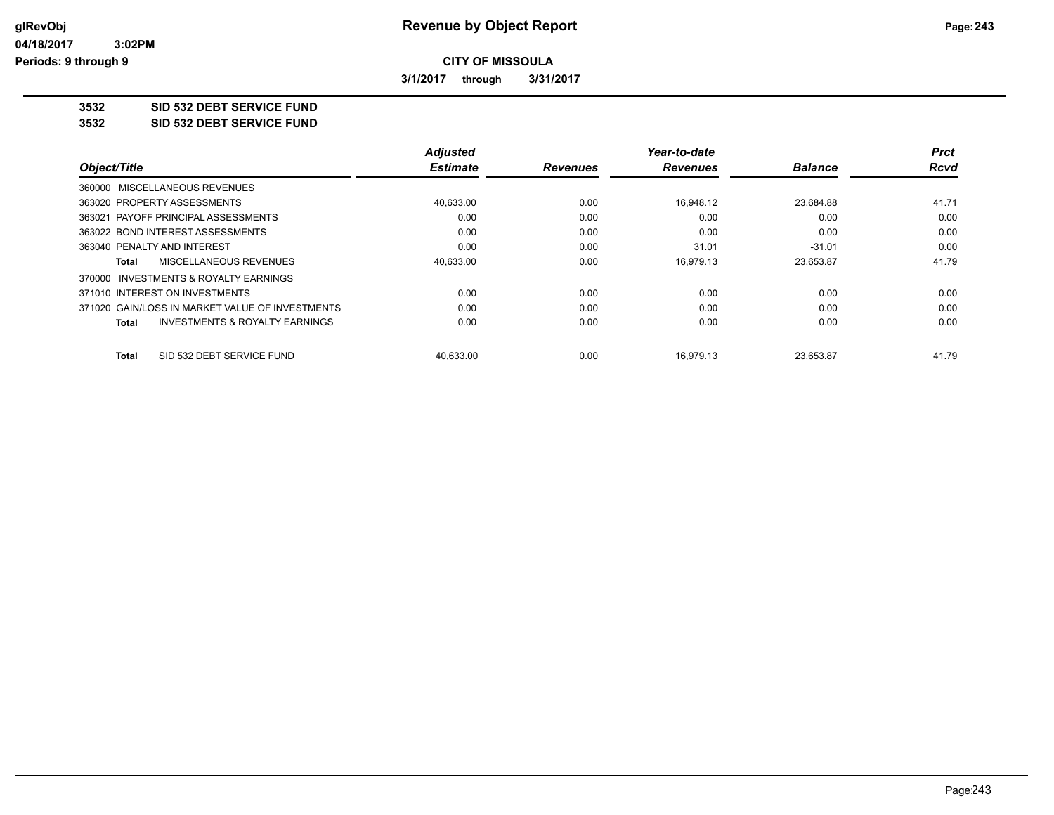**3/1/2017 through 3/31/2017**

**3532 SID 532 DEBT SERVICE FUND**

**3532 SID 532 DEBT SERVICE FUND**

|                                                    | <b>Adjusted</b> |                 | Year-to-date    |                | <b>Prct</b> |
|----------------------------------------------------|-----------------|-----------------|-----------------|----------------|-------------|
| Object/Title                                       | <b>Estimate</b> | <b>Revenues</b> | <b>Revenues</b> | <b>Balance</b> | Rcvd        |
| 360000 MISCELLANEOUS REVENUES                      |                 |                 |                 |                |             |
| 363020 PROPERTY ASSESSMENTS                        | 40,633.00       | 0.00            | 16.948.12       | 23,684.88      | 41.71       |
| 363021 PAYOFF PRINCIPAL ASSESSMENTS                | 0.00            | 0.00            | 0.00            | 0.00           | 0.00        |
| 363022 BOND INTEREST ASSESSMENTS                   | 0.00            | 0.00            | 0.00            | 0.00           | 0.00        |
| 363040 PENALTY AND INTEREST                        | 0.00            | 0.00            | 31.01           | $-31.01$       | 0.00        |
| MISCELLANEOUS REVENUES<br>Total                    | 40,633.00       | 0.00            | 16.979.13       | 23.653.87      | 41.79       |
| INVESTMENTS & ROYALTY EARNINGS<br>370000           |                 |                 |                 |                |             |
| 371010 INTEREST ON INVESTMENTS                     | 0.00            | 0.00            | 0.00            | 0.00           | 0.00        |
| 371020 GAIN/LOSS IN MARKET VALUE OF INVESTMENTS    | 0.00            | 0.00            | 0.00            | 0.00           | 0.00        |
| <b>INVESTMENTS &amp; ROYALTY EARNINGS</b><br>Total | 0.00            | 0.00            | 0.00            | 0.00           | 0.00        |
| SID 532 DEBT SERVICE FUND<br>Total                 | 40.633.00       | 0.00            | 16.979.13       | 23.653.87      | 41.79       |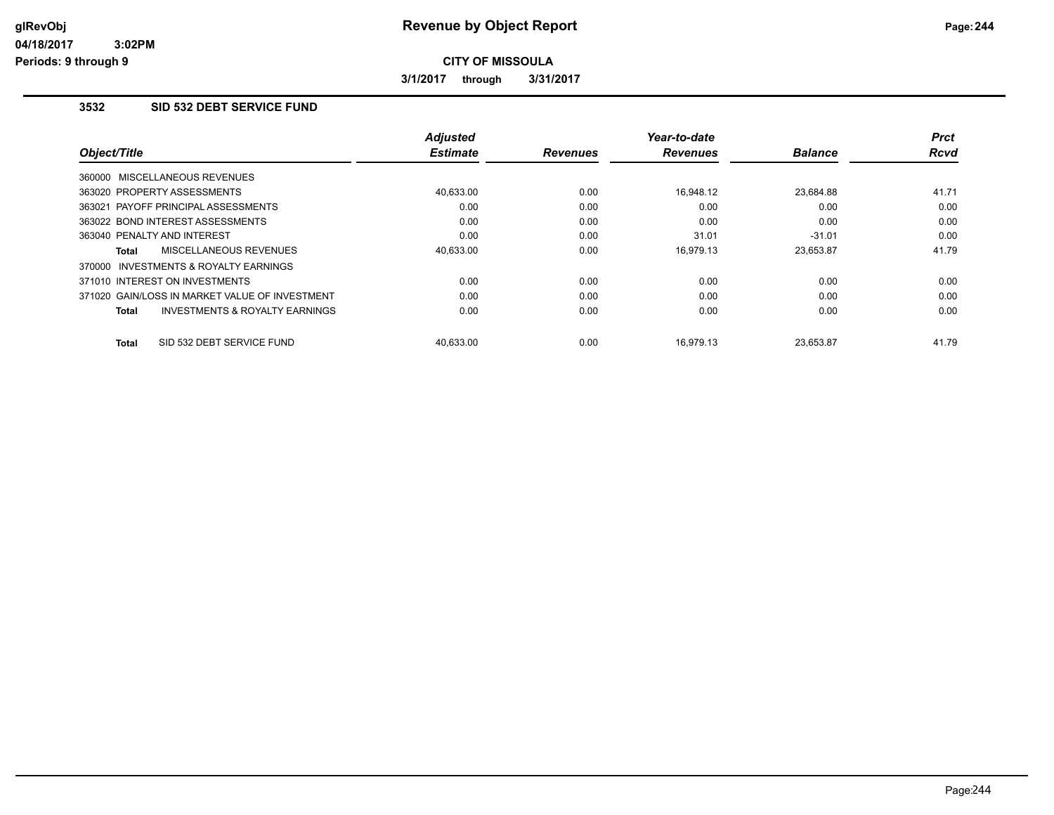**3/1/2017 through 3/31/2017**

#### **3532 SID 532 DEBT SERVICE FUND**

|                                                           | <b>Adjusted</b> |                 | Year-to-date    |                | <b>Prct</b> |
|-----------------------------------------------------------|-----------------|-----------------|-----------------|----------------|-------------|
| Object/Title                                              | <b>Estimate</b> | <b>Revenues</b> | <b>Revenues</b> | <b>Balance</b> | Rcvd        |
| 360000 MISCELLANEOUS REVENUES                             |                 |                 |                 |                |             |
| 363020 PROPERTY ASSESSMENTS                               | 40.633.00       | 0.00            | 16.948.12       | 23.684.88      | 41.71       |
| 363021 PAYOFF PRINCIPAL ASSESSMENTS                       | 0.00            | 0.00            | 0.00            | 0.00           | 0.00        |
| 363022 BOND INTEREST ASSESSMENTS                          | 0.00            | 0.00            | 0.00            | 0.00           | 0.00        |
| 363040 PENALTY AND INTEREST                               | 0.00            | 0.00            | 31.01           | $-31.01$       | 0.00        |
| MISCELLANEOUS REVENUES<br>Total                           | 40,633.00       | 0.00            | 16.979.13       | 23,653.87      | 41.79       |
| 370000 INVESTMENTS & ROYALTY EARNINGS                     |                 |                 |                 |                |             |
| 371010 INTEREST ON INVESTMENTS                            | 0.00            | 0.00            | 0.00            | 0.00           | 0.00        |
| 371020 GAIN/LOSS IN MARKET VALUE OF INVESTMENT            | 0.00            | 0.00            | 0.00            | 0.00           | 0.00        |
| <b>INVESTMENTS &amp; ROYALTY EARNINGS</b><br><b>Total</b> | 0.00            | 0.00            | 0.00            | 0.00           | 0.00        |
| SID 532 DEBT SERVICE FUND<br><b>Total</b>                 | 40.633.00       | 0.00            | 16.979.13       | 23.653.87      | 41.79       |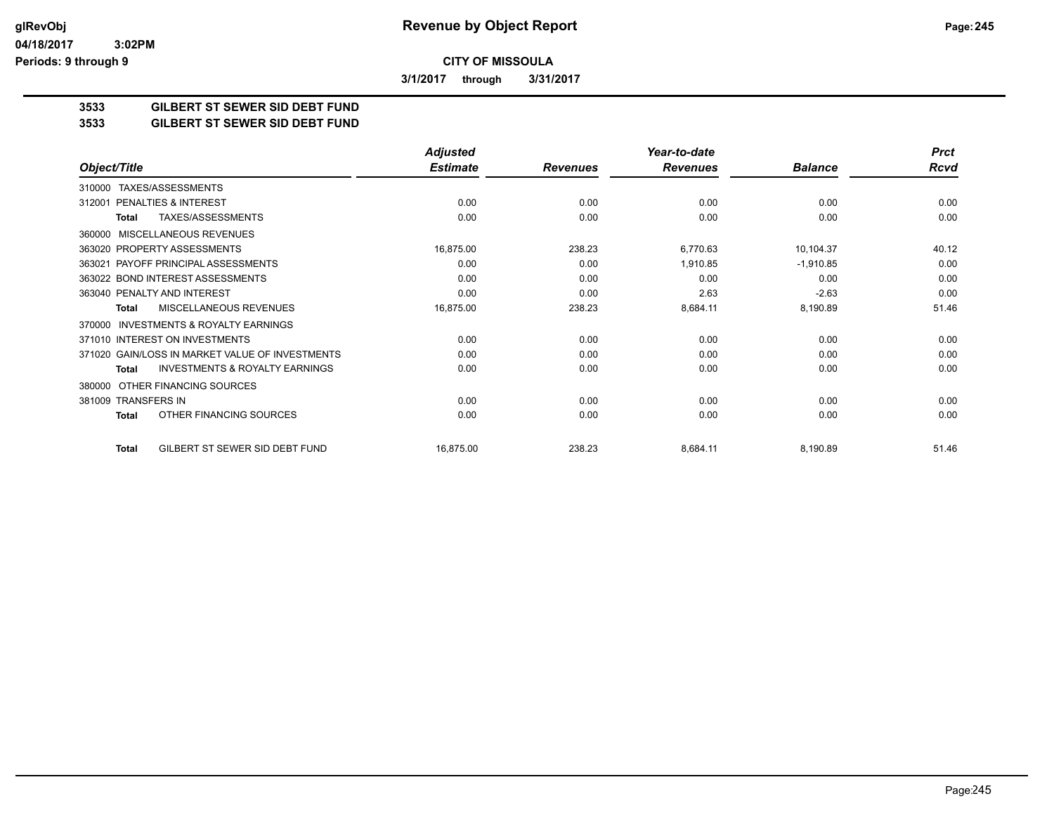**3/1/2017 through 3/31/2017**

# **3533 GILBERT ST SEWER SID DEBT FUND**

### **3533 GILBERT ST SEWER SID DEBT FUND**

|                                                     | <b>Adjusted</b> |                 | Year-to-date    |                |       |  |
|-----------------------------------------------------|-----------------|-----------------|-----------------|----------------|-------|--|
| Object/Title                                        | <b>Estimate</b> | <b>Revenues</b> | <b>Revenues</b> | <b>Balance</b> | Rcvd  |  |
| TAXES/ASSESSMENTS<br>310000                         |                 |                 |                 |                |       |  |
| <b>PENALTIES &amp; INTEREST</b><br>312001           | 0.00            | 0.00            | 0.00            | 0.00           | 0.00  |  |
| TAXES/ASSESSMENTS<br>Total                          | 0.00            | 0.00            | 0.00            | 0.00           | 0.00  |  |
| MISCELLANEOUS REVENUES<br>360000                    |                 |                 |                 |                |       |  |
| 363020 PROPERTY ASSESSMENTS                         | 16,875.00       | 238.23          | 6,770.63        | 10,104.37      | 40.12 |  |
| PAYOFF PRINCIPAL ASSESSMENTS<br>363021              | 0.00            | 0.00            | 1,910.85        | $-1,910.85$    | 0.00  |  |
| 363022 BOND INTEREST ASSESSMENTS                    | 0.00            | 0.00            | 0.00            | 0.00           | 0.00  |  |
| 363040 PENALTY AND INTEREST                         | 0.00            | 0.00            | 2.63            | $-2.63$        | 0.00  |  |
| MISCELLANEOUS REVENUES<br>Total                     | 16,875.00       | 238.23          | 8,684.11        | 8,190.89       | 51.46 |  |
| <b>INVESTMENTS &amp; ROYALTY EARNINGS</b><br>370000 |                 |                 |                 |                |       |  |
| 371010 INTEREST ON INVESTMENTS                      | 0.00            | 0.00            | 0.00            | 0.00           | 0.00  |  |
| 371020 GAIN/LOSS IN MARKET VALUE OF INVESTMENTS     | 0.00            | 0.00            | 0.00            | 0.00           | 0.00  |  |
| <b>INVESTMENTS &amp; ROYALTY EARNINGS</b><br>Total  | 0.00            | 0.00            | 0.00            | 0.00           | 0.00  |  |
| OTHER FINANCING SOURCES<br>380000                   |                 |                 |                 |                |       |  |
| 381009 TRANSFERS IN                                 | 0.00            | 0.00            | 0.00            | 0.00           | 0.00  |  |
| OTHER FINANCING SOURCES<br>Total                    | 0.00            | 0.00            | 0.00            | 0.00           | 0.00  |  |
| GILBERT ST SEWER SID DEBT FUND<br><b>Total</b>      | 16,875.00       | 238.23          | 8,684.11        | 8,190.89       | 51.46 |  |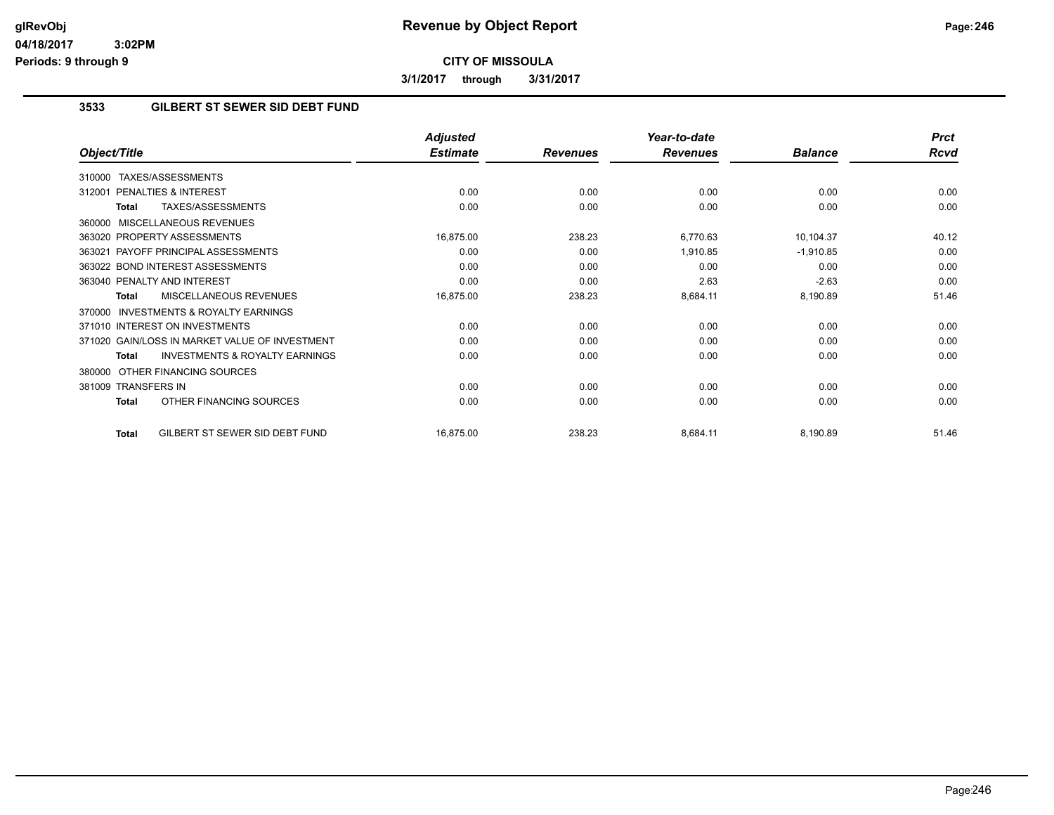**3/1/2017 through 3/31/2017**

#### **3533 GILBERT ST SEWER SID DEBT FUND**

|                                                           | <b>Adjusted</b> |                 | Year-to-date    |                | <b>Prct</b> |
|-----------------------------------------------------------|-----------------|-----------------|-----------------|----------------|-------------|
| Object/Title                                              | <b>Estimate</b> | <b>Revenues</b> | <b>Revenues</b> | <b>Balance</b> | <b>Rcvd</b> |
| TAXES/ASSESSMENTS<br>310000                               |                 |                 |                 |                |             |
| 312001 PENALTIES & INTEREST                               | 0.00            | 0.00            | 0.00            | 0.00           | 0.00        |
| TAXES/ASSESSMENTS<br><b>Total</b>                         | 0.00            | 0.00            | 0.00            | 0.00           | 0.00        |
| MISCELLANEOUS REVENUES<br>360000                          |                 |                 |                 |                |             |
| 363020 PROPERTY ASSESSMENTS                               | 16,875.00       | 238.23          | 6,770.63        | 10,104.37      | 40.12       |
| 363021 PAYOFF PRINCIPAL ASSESSMENTS                       | 0.00            | 0.00            | 1,910.85        | $-1,910.85$    | 0.00        |
| 363022 BOND INTEREST ASSESSMENTS                          | 0.00            | 0.00            | 0.00            | 0.00           | 0.00        |
| 363040 PENALTY AND INTEREST                               | 0.00            | 0.00            | 2.63            | $-2.63$        | 0.00        |
| MISCELLANEOUS REVENUES<br>Total                           | 16,875.00       | 238.23          | 8,684.11        | 8,190.89       | 51.46       |
| <b>INVESTMENTS &amp; ROYALTY EARNINGS</b><br>370000       |                 |                 |                 |                |             |
| 371010 INTEREST ON INVESTMENTS                            | 0.00            | 0.00            | 0.00            | 0.00           | 0.00        |
| 371020 GAIN/LOSS IN MARKET VALUE OF INVESTMENT            | 0.00            | 0.00            | 0.00            | 0.00           | 0.00        |
| <b>INVESTMENTS &amp; ROYALTY EARNINGS</b><br><b>Total</b> | 0.00            | 0.00            | 0.00            | 0.00           | 0.00        |
| OTHER FINANCING SOURCES<br>380000                         |                 |                 |                 |                |             |
| 381009 TRANSFERS IN                                       | 0.00            | 0.00            | 0.00            | 0.00           | 0.00        |
| OTHER FINANCING SOURCES<br><b>Total</b>                   | 0.00            | 0.00            | 0.00            | 0.00           | 0.00        |
| GILBERT ST SEWER SID DEBT FUND<br><b>Total</b>            | 16,875.00       | 238.23          | 8,684.11        | 8,190.89       | 51.46       |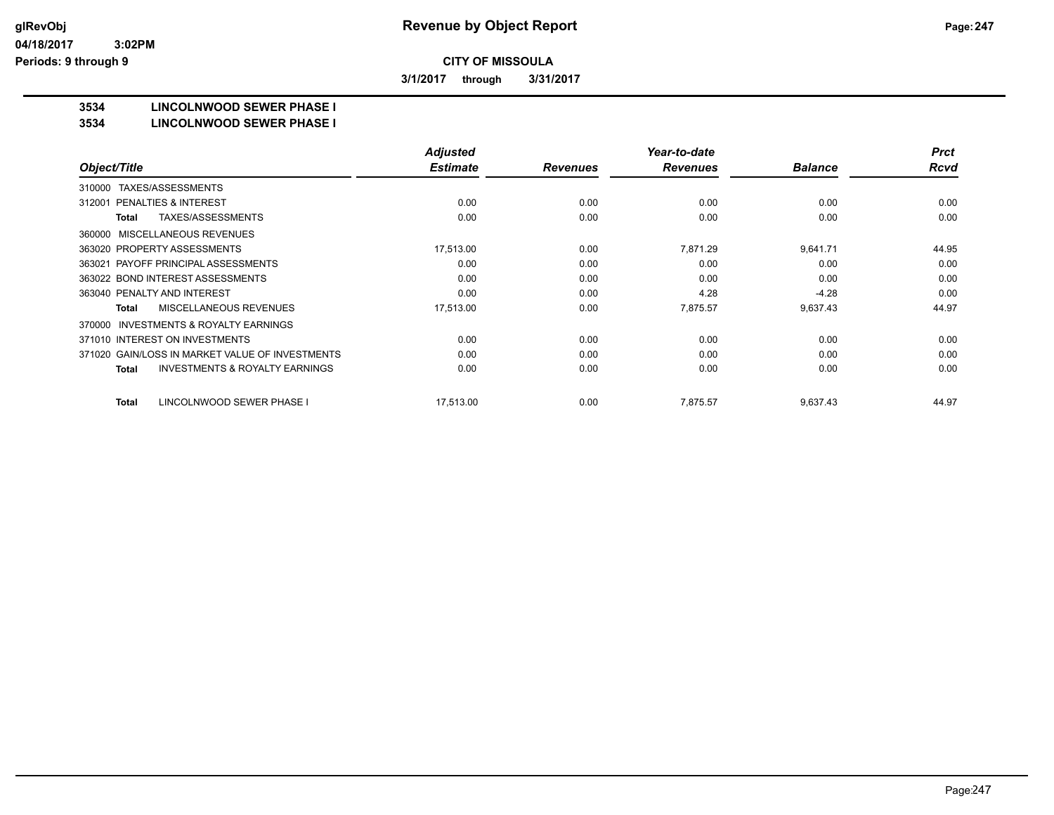**3/1/2017 through 3/31/2017**

**3534 LINCOLNWOOD SEWER PHASE I**

**3534 LINCOLNWOOD SEWER PHASE I**

|                                                     | <b>Adjusted</b> |                 | Year-to-date    |                | <b>Prct</b> |
|-----------------------------------------------------|-----------------|-----------------|-----------------|----------------|-------------|
| Object/Title                                        | <b>Estimate</b> | <b>Revenues</b> | <b>Revenues</b> | <b>Balance</b> | <b>Rcvd</b> |
| TAXES/ASSESSMENTS<br>310000                         |                 |                 |                 |                |             |
| 312001 PENALTIES & INTEREST                         | 0.00            | 0.00            | 0.00            | 0.00           | 0.00        |
| TAXES/ASSESSMENTS<br>Total                          | 0.00            | 0.00            | 0.00            | 0.00           | 0.00        |
| 360000 MISCELLANEOUS REVENUES                       |                 |                 |                 |                |             |
| 363020 PROPERTY ASSESSMENTS                         | 17,513.00       | 0.00            | 7,871.29        | 9,641.71       | 44.95       |
| 363021 PAYOFF PRINCIPAL ASSESSMENTS                 | 0.00            | 0.00            | 0.00            | 0.00           | 0.00        |
| 363022 BOND INTEREST ASSESSMENTS                    | 0.00            | 0.00            | 0.00            | 0.00           | 0.00        |
| 363040 PENALTY AND INTEREST                         | 0.00            | 0.00            | 4.28            | $-4.28$        | 0.00        |
| MISCELLANEOUS REVENUES<br>Total                     | 17,513.00       | 0.00            | 7,875.57        | 9,637.43       | 44.97       |
| <b>INVESTMENTS &amp; ROYALTY EARNINGS</b><br>370000 |                 |                 |                 |                |             |
| 371010 INTEREST ON INVESTMENTS                      | 0.00            | 0.00            | 0.00            | 0.00           | 0.00        |
| 371020 GAIN/LOSS IN MARKET VALUE OF INVESTMENTS     | 0.00            | 0.00            | 0.00            | 0.00           | 0.00        |
| <b>INVESTMENTS &amp; ROYALTY EARNINGS</b><br>Total  | 0.00            | 0.00            | 0.00            | 0.00           | 0.00        |
| LINCOLNWOOD SEWER PHASE I<br><b>Total</b>           | 17.513.00       | 0.00            | 7.875.57        | 9,637.43       | 44.97       |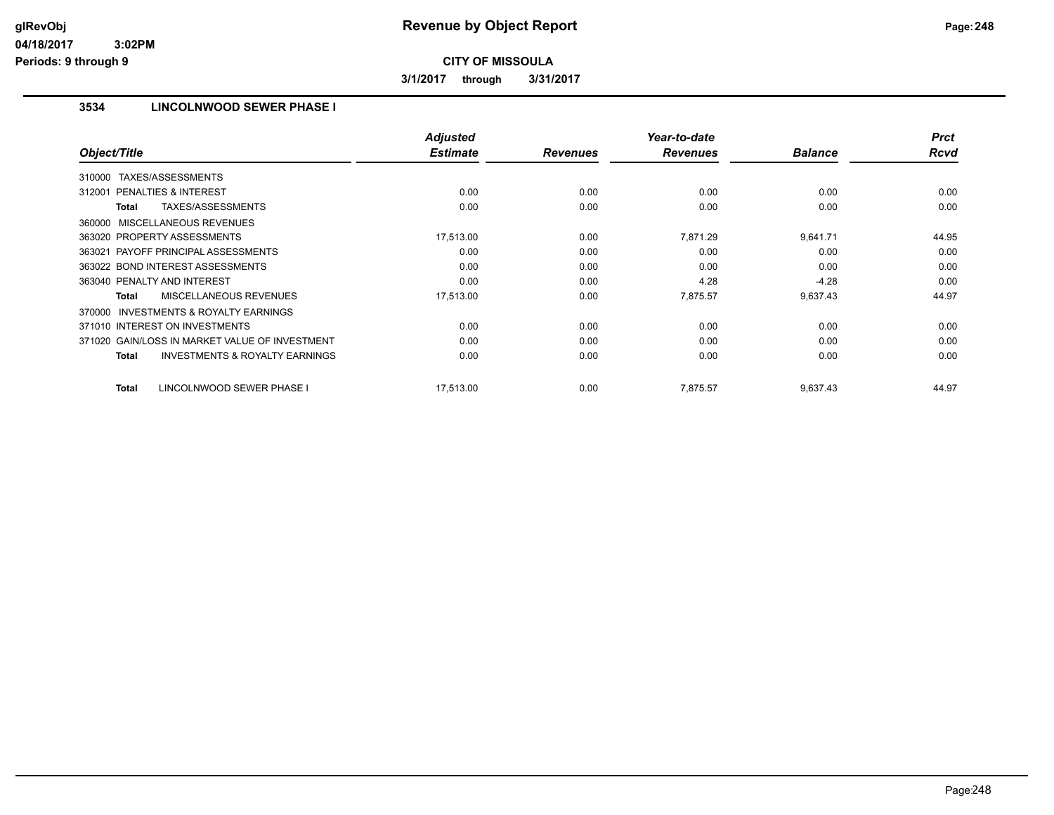**3/1/2017 through 3/31/2017**

#### **3534 LINCOLNWOOD SEWER PHASE I**

|                                                           | <b>Adjusted</b> |                 | Year-to-date    |                | <b>Prct</b> |
|-----------------------------------------------------------|-----------------|-----------------|-----------------|----------------|-------------|
| Object/Title                                              | <b>Estimate</b> | <b>Revenues</b> | <b>Revenues</b> | <b>Balance</b> | <b>Rcvd</b> |
| TAXES/ASSESSMENTS<br>310000                               |                 |                 |                 |                |             |
| 312001 PENALTIES & INTEREST                               | 0.00            | 0.00            | 0.00            | 0.00           | 0.00        |
| TAXES/ASSESSMENTS<br>Total                                | 0.00            | 0.00            | 0.00            | 0.00           | 0.00        |
| MISCELLANEOUS REVENUES<br>360000                          |                 |                 |                 |                |             |
| 363020 PROPERTY ASSESSMENTS                               | 17,513.00       | 0.00            | 7,871.29        | 9,641.71       | 44.95       |
| 363021 PAYOFF PRINCIPAL ASSESSMENTS                       | 0.00            | 0.00            | 0.00            | 0.00           | 0.00        |
| 363022 BOND INTEREST ASSESSMENTS                          | 0.00            | 0.00            | 0.00            | 0.00           | 0.00        |
| 363040 PENALTY AND INTEREST                               | 0.00            | 0.00            | 4.28            | $-4.28$        | 0.00        |
| <b>MISCELLANEOUS REVENUES</b><br>Total                    | 17,513.00       | 0.00            | 7,875.57        | 9,637.43       | 44.97       |
| <b>INVESTMENTS &amp; ROYALTY EARNINGS</b><br>370000       |                 |                 |                 |                |             |
| 371010 INTEREST ON INVESTMENTS                            | 0.00            | 0.00            | 0.00            | 0.00           | 0.00        |
| 371020 GAIN/LOSS IN MARKET VALUE OF INVESTMENT            | 0.00            | 0.00            | 0.00            | 0.00           | 0.00        |
| <b>INVESTMENTS &amp; ROYALTY EARNINGS</b><br><b>Total</b> | 0.00            | 0.00            | 0.00            | 0.00           | 0.00        |
| LINCOLNWOOD SEWER PHASE I<br><b>Total</b>                 | 17,513.00       | 0.00            | 7,875.57        | 9,637.43       | 44.97       |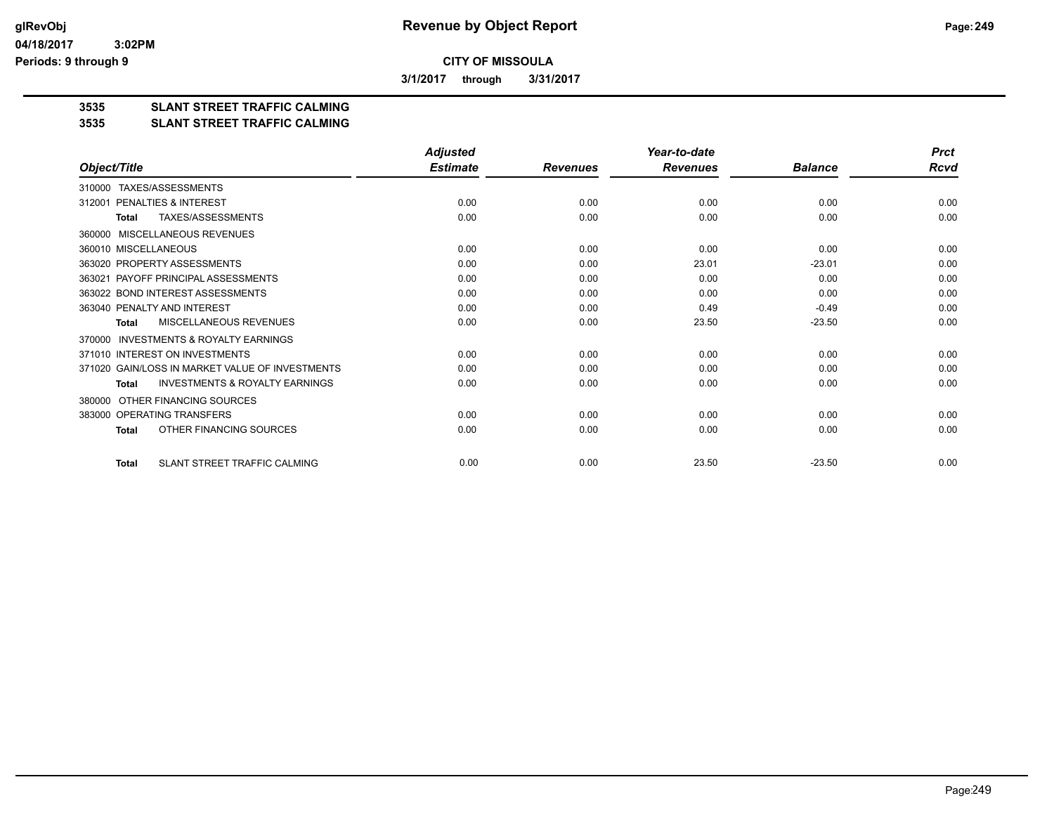**3/1/2017 through 3/31/2017**

## **3535 SLANT STREET TRAFFIC CALMING**

#### **3535 SLANT STREET TRAFFIC CALMING**

|                                                           | <b>Adjusted</b> |                 | Year-to-date    |                | <b>Prct</b> |
|-----------------------------------------------------------|-----------------|-----------------|-----------------|----------------|-------------|
| Object/Title                                              | <b>Estimate</b> | <b>Revenues</b> | <b>Revenues</b> | <b>Balance</b> | Rcvd        |
| 310000 TAXES/ASSESSMENTS                                  |                 |                 |                 |                |             |
| PENALTIES & INTEREST<br>312001                            | 0.00            | 0.00            | 0.00            | 0.00           | 0.00        |
| TAXES/ASSESSMENTS<br>Total                                | 0.00            | 0.00            | 0.00            | 0.00           | 0.00        |
| 360000 MISCELLANEOUS REVENUES                             |                 |                 |                 |                |             |
| 360010 MISCELLANEOUS                                      | 0.00            | 0.00            | 0.00            | 0.00           | 0.00        |
| 363020 PROPERTY ASSESSMENTS                               | 0.00            | 0.00            | 23.01           | $-23.01$       | 0.00        |
| 363021 PAYOFF PRINCIPAL ASSESSMENTS                       | 0.00            | 0.00            | 0.00            | 0.00           | 0.00        |
| 363022 BOND INTEREST ASSESSMENTS                          | 0.00            | 0.00            | 0.00            | 0.00           | 0.00        |
| 363040 PENALTY AND INTEREST                               | 0.00            | 0.00            | 0.49            | $-0.49$        | 0.00        |
| MISCELLANEOUS REVENUES<br><b>Total</b>                    | 0.00            | 0.00            | 23.50           | $-23.50$       | 0.00        |
| <b>INVESTMENTS &amp; ROYALTY EARNINGS</b><br>370000       |                 |                 |                 |                |             |
| 371010 INTEREST ON INVESTMENTS                            | 0.00            | 0.00            | 0.00            | 0.00           | 0.00        |
| 371020 GAIN/LOSS IN MARKET VALUE OF INVESTMENTS           | 0.00            | 0.00            | 0.00            | 0.00           | 0.00        |
| <b>INVESTMENTS &amp; ROYALTY EARNINGS</b><br><b>Total</b> | 0.00            | 0.00            | 0.00            | 0.00           | 0.00        |
| 380000 OTHER FINANCING SOURCES                            |                 |                 |                 |                |             |
| 383000 OPERATING TRANSFERS                                | 0.00            | 0.00            | 0.00            | 0.00           | 0.00        |
| OTHER FINANCING SOURCES<br><b>Total</b>                   | 0.00            | 0.00            | 0.00            | 0.00           | 0.00        |
| SLANT STREET TRAFFIC CALMING<br><b>Total</b>              | 0.00            | 0.00            | 23.50           | $-23.50$       | 0.00        |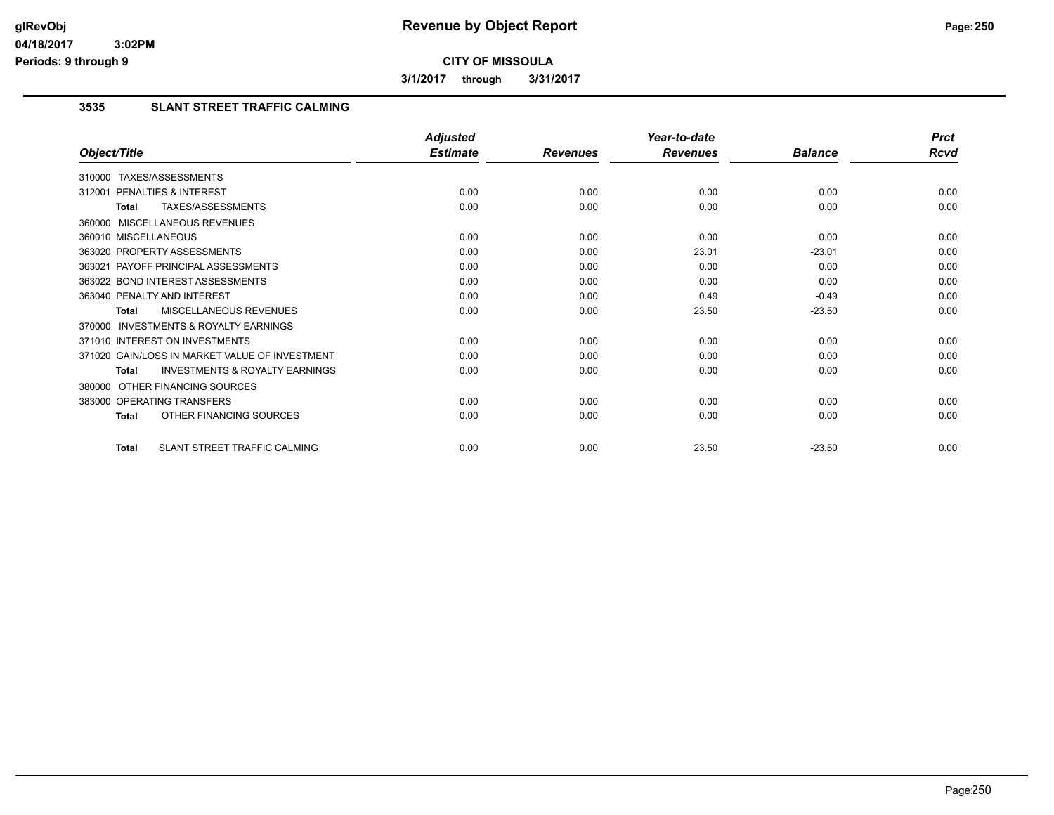**3/1/2017 through 3/31/2017**

#### **3535 SLANT STREET TRAFFIC CALMING**

|                                                           | <b>Adjusted</b> |                 | Year-to-date    |                | <b>Prct</b> |
|-----------------------------------------------------------|-----------------|-----------------|-----------------|----------------|-------------|
| Object/Title                                              | <b>Estimate</b> | <b>Revenues</b> | <b>Revenues</b> | <b>Balance</b> | Rcvd        |
| 310000 TAXES/ASSESSMENTS                                  |                 |                 |                 |                |             |
| PENALTIES & INTEREST<br>312001                            | 0.00            | 0.00            | 0.00            | 0.00           | 0.00        |
| TAXES/ASSESSMENTS<br><b>Total</b>                         | 0.00            | 0.00            | 0.00            | 0.00           | 0.00        |
| 360000 MISCELLANEOUS REVENUES                             |                 |                 |                 |                |             |
| 360010 MISCELLANEOUS                                      | 0.00            | 0.00            | 0.00            | 0.00           | 0.00        |
| 363020 PROPERTY ASSESSMENTS                               | 0.00            | 0.00            | 23.01           | $-23.01$       | 0.00        |
| 363021 PAYOFF PRINCIPAL ASSESSMENTS                       | 0.00            | 0.00            | 0.00            | 0.00           | 0.00        |
| 363022 BOND INTEREST ASSESSMENTS                          | 0.00            | 0.00            | 0.00            | 0.00           | 0.00        |
| 363040 PENALTY AND INTEREST                               | 0.00            | 0.00            | 0.49            | $-0.49$        | 0.00        |
| MISCELLANEOUS REVENUES<br>Total                           | 0.00            | 0.00            | 23.50           | $-23.50$       | 0.00        |
| <b>INVESTMENTS &amp; ROYALTY EARNINGS</b><br>370000       |                 |                 |                 |                |             |
| 371010 INTEREST ON INVESTMENTS                            | 0.00            | 0.00            | 0.00            | 0.00           | 0.00        |
| 371020 GAIN/LOSS IN MARKET VALUE OF INVESTMENT            | 0.00            | 0.00            | 0.00            | 0.00           | 0.00        |
| <b>INVESTMENTS &amp; ROYALTY EARNINGS</b><br><b>Total</b> | 0.00            | 0.00            | 0.00            | 0.00           | 0.00        |
| OTHER FINANCING SOURCES<br>380000                         |                 |                 |                 |                |             |
| 383000 OPERATING TRANSFERS                                | 0.00            | 0.00            | 0.00            | 0.00           | 0.00        |
| OTHER FINANCING SOURCES<br><b>Total</b>                   | 0.00            | 0.00            | 0.00            | 0.00           | 0.00        |
| SLANT STREET TRAFFIC CALMING<br><b>Total</b>              | 0.00            | 0.00            | 23.50           | $-23.50$       | 0.00        |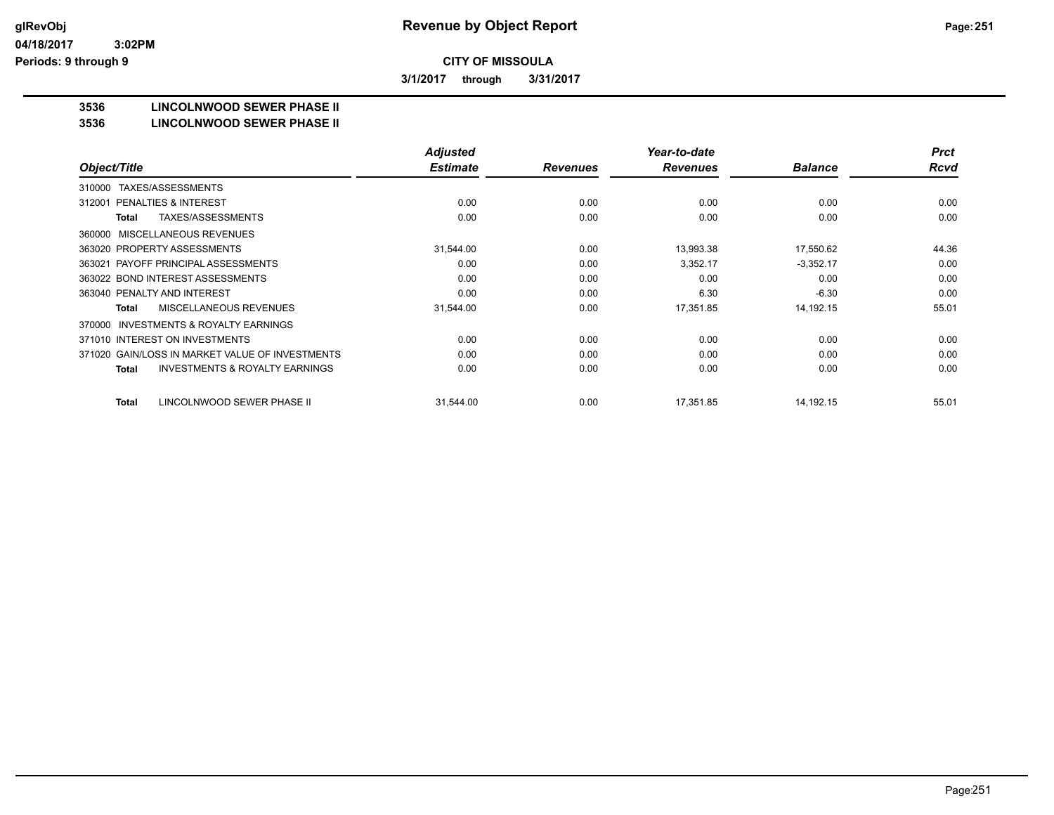**3/1/2017 through 3/31/2017**

# **3536 LINCOLNWOOD SEWER PHASE II**

### **3536 LINCOLNWOOD SEWER PHASE II**

|                                                           | <b>Adjusted</b> |                 | Year-to-date    |                | <b>Prct</b> |
|-----------------------------------------------------------|-----------------|-----------------|-----------------|----------------|-------------|
| Object/Title                                              | <b>Estimate</b> | <b>Revenues</b> | <b>Revenues</b> | <b>Balance</b> | <b>Rcvd</b> |
| TAXES/ASSESSMENTS<br>310000                               |                 |                 |                 |                |             |
| <b>PENALTIES &amp; INTEREST</b><br>312001                 | 0.00            | 0.00            | 0.00            | 0.00           | 0.00        |
| TAXES/ASSESSMENTS<br>Total                                | 0.00            | 0.00            | 0.00            | 0.00           | 0.00        |
| MISCELLANEOUS REVENUES<br>360000                          |                 |                 |                 |                |             |
| 363020 PROPERTY ASSESSMENTS                               | 31,544.00       | 0.00            | 13,993.38       | 17,550.62      | 44.36       |
| PAYOFF PRINCIPAL ASSESSMENTS<br>363021                    | 0.00            | 0.00            | 3,352.17        | $-3,352.17$    | 0.00        |
| 363022 BOND INTEREST ASSESSMENTS                          | 0.00            | 0.00            | 0.00            | 0.00           | 0.00        |
| 363040 PENALTY AND INTEREST                               | 0.00            | 0.00            | 6.30            | $-6.30$        | 0.00        |
| MISCELLANEOUS REVENUES<br>Total                           | 31,544.00       | 0.00            | 17,351.85       | 14,192.15      | 55.01       |
| <b>INVESTMENTS &amp; ROYALTY EARNINGS</b><br>370000       |                 |                 |                 |                |             |
| 371010 INTEREST ON INVESTMENTS                            | 0.00            | 0.00            | 0.00            | 0.00           | 0.00        |
| 371020 GAIN/LOSS IN MARKET VALUE OF INVESTMENTS           | 0.00            | 0.00            | 0.00            | 0.00           | 0.00        |
| <b>INVESTMENTS &amp; ROYALTY EARNINGS</b><br><b>Total</b> | 0.00            | 0.00            | 0.00            | 0.00           | 0.00        |
| LINCOLNWOOD SEWER PHASE II<br><b>Total</b>                | 31,544.00       | 0.00            | 17,351.85       | 14,192.15      | 55.01       |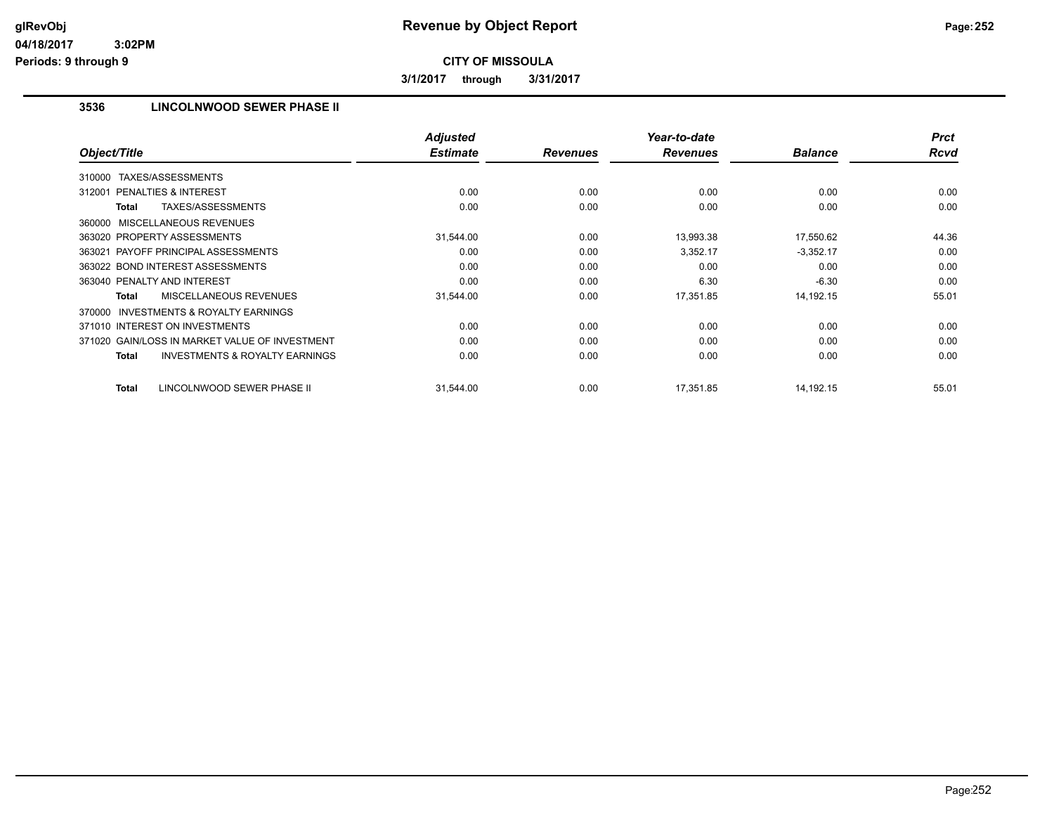**3/1/2017 through 3/31/2017**

#### **3536 LINCOLNWOOD SEWER PHASE II**

|                                                    | <b>Adjusted</b> |                 | Year-to-date    |                | <b>Prct</b> |
|----------------------------------------------------|-----------------|-----------------|-----------------|----------------|-------------|
| Object/Title                                       | <b>Estimate</b> | <b>Revenues</b> | <b>Revenues</b> | <b>Balance</b> | <b>Rcvd</b> |
| TAXES/ASSESSMENTS<br>310000                        |                 |                 |                 |                |             |
| PENALTIES & INTEREST<br>312001                     | 0.00            | 0.00            | 0.00            | 0.00           | 0.00        |
| TAXES/ASSESSMENTS<br>Total                         | 0.00            | 0.00            | 0.00            | 0.00           | 0.00        |
| 360000 MISCELLANEOUS REVENUES                      |                 |                 |                 |                |             |
| 363020 PROPERTY ASSESSMENTS                        | 31,544.00       | 0.00            | 13,993.38       | 17,550.62      | 44.36       |
| 363021 PAYOFF PRINCIPAL ASSESSMENTS                | 0.00            | 0.00            | 3,352.17        | $-3,352.17$    | 0.00        |
| 363022 BOND INTEREST ASSESSMENTS                   | 0.00            | 0.00            | 0.00            | 0.00           | 0.00        |
| 363040 PENALTY AND INTEREST                        | 0.00            | 0.00            | 6.30            | $-6.30$        | 0.00        |
| MISCELLANEOUS REVENUES<br>Total                    | 31,544.00       | 0.00            | 17,351.85       | 14,192.15      | 55.01       |
| INVESTMENTS & ROYALTY EARNINGS<br>370000           |                 |                 |                 |                |             |
| 371010 INTEREST ON INVESTMENTS                     | 0.00            | 0.00            | 0.00            | 0.00           | 0.00        |
| 371020 GAIN/LOSS IN MARKET VALUE OF INVESTMENT     | 0.00            | 0.00            | 0.00            | 0.00           | 0.00        |
| <b>INVESTMENTS &amp; ROYALTY EARNINGS</b><br>Total | 0.00            | 0.00            | 0.00            | 0.00           | 0.00        |
| LINCOLNWOOD SEWER PHASE II<br><b>Total</b>         | 31,544.00       | 0.00            | 17.351.85       | 14,192.15      | 55.01       |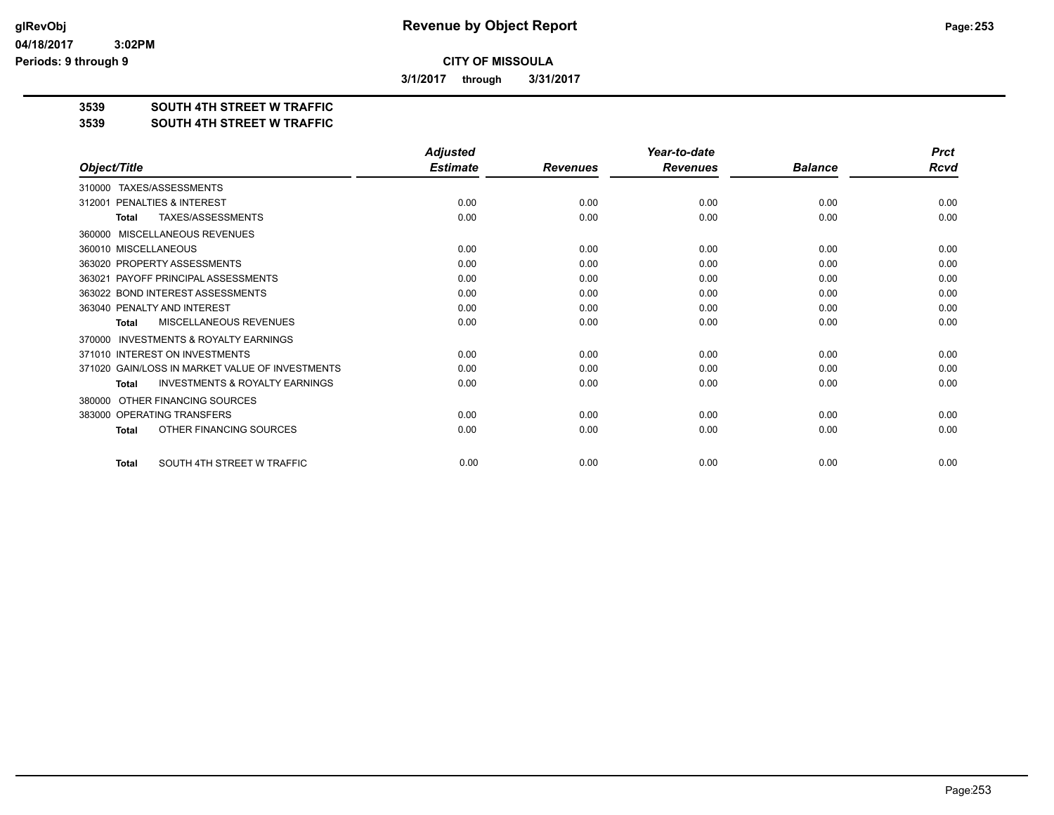**3/1/2017 through 3/31/2017**

## **3539 SOUTH 4TH STREET W TRAFFIC**

## **3539 SOUTH 4TH STREET W TRAFFIC**

|                                                           | <b>Adjusted</b> |                 | Year-to-date    |                | <b>Prct</b> |
|-----------------------------------------------------------|-----------------|-----------------|-----------------|----------------|-------------|
| Object/Title                                              | <b>Estimate</b> | <b>Revenues</b> | <b>Revenues</b> | <b>Balance</b> | <b>Rcvd</b> |
| TAXES/ASSESSMENTS<br>310000                               |                 |                 |                 |                |             |
| PENALTIES & INTEREST<br>312001                            | 0.00            | 0.00            | 0.00            | 0.00           | 0.00        |
| TAXES/ASSESSMENTS<br><b>Total</b>                         | 0.00            | 0.00            | 0.00            | 0.00           | 0.00        |
| 360000 MISCELLANEOUS REVENUES                             |                 |                 |                 |                |             |
| 360010 MISCELLANEOUS                                      | 0.00            | 0.00            | 0.00            | 0.00           | 0.00        |
| 363020 PROPERTY ASSESSMENTS                               | 0.00            | 0.00            | 0.00            | 0.00           | 0.00        |
| 363021 PAYOFF PRINCIPAL ASSESSMENTS                       | 0.00            | 0.00            | 0.00            | 0.00           | 0.00        |
| 363022 BOND INTEREST ASSESSMENTS                          | 0.00            | 0.00            | 0.00            | 0.00           | 0.00        |
| 363040 PENALTY AND INTEREST                               | 0.00            | 0.00            | 0.00            | 0.00           | 0.00        |
| <b>MISCELLANEOUS REVENUES</b><br><b>Total</b>             | 0.00            | 0.00            | 0.00            | 0.00           | 0.00        |
| <b>INVESTMENTS &amp; ROYALTY EARNINGS</b><br>370000       |                 |                 |                 |                |             |
| 371010 INTEREST ON INVESTMENTS                            | 0.00            | 0.00            | 0.00            | 0.00           | 0.00        |
| 371020 GAIN/LOSS IN MARKET VALUE OF INVESTMENTS           | 0.00            | 0.00            | 0.00            | 0.00           | 0.00        |
| <b>INVESTMENTS &amp; ROYALTY EARNINGS</b><br><b>Total</b> | 0.00            | 0.00            | 0.00            | 0.00           | 0.00        |
| OTHER FINANCING SOURCES<br>380000                         |                 |                 |                 |                |             |
| 383000 OPERATING TRANSFERS                                | 0.00            | 0.00            | 0.00            | 0.00           | 0.00        |
| OTHER FINANCING SOURCES<br><b>Total</b>                   | 0.00            | 0.00            | 0.00            | 0.00           | 0.00        |
| SOUTH 4TH STREET W TRAFFIC<br><b>Total</b>                | 0.00            | 0.00            | 0.00            | 0.00           | 0.00        |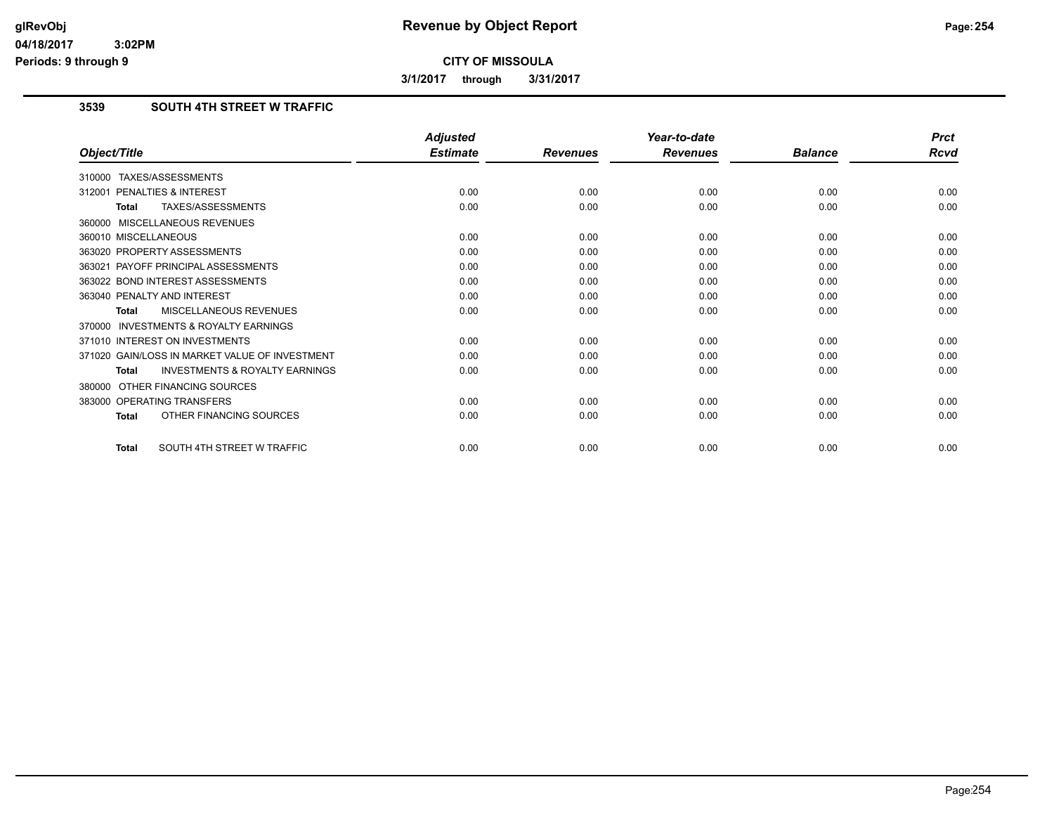**3/1/2017 through 3/31/2017**

## **3539 SOUTH 4TH STREET W TRAFFIC**

|                                                     | <b>Adjusted</b> |                 | Year-to-date    |                | <b>Prct</b> |
|-----------------------------------------------------|-----------------|-----------------|-----------------|----------------|-------------|
| Object/Title                                        | <b>Estimate</b> | <b>Revenues</b> | <b>Revenues</b> | <b>Balance</b> | <b>Rcvd</b> |
| 310000 TAXES/ASSESSMENTS                            |                 |                 |                 |                |             |
| <b>PENALTIES &amp; INTEREST</b><br>312001           | 0.00            | 0.00            | 0.00            | 0.00           | 0.00        |
| TAXES/ASSESSMENTS<br><b>Total</b>                   | 0.00            | 0.00            | 0.00            | 0.00           | 0.00        |
| 360000 MISCELLANEOUS REVENUES                       |                 |                 |                 |                |             |
| 360010 MISCELLANEOUS                                | 0.00            | 0.00            | 0.00            | 0.00           | 0.00        |
| 363020 PROPERTY ASSESSMENTS                         | 0.00            | 0.00            | 0.00            | 0.00           | 0.00        |
| 363021 PAYOFF PRINCIPAL ASSESSMENTS                 | 0.00            | 0.00            | 0.00            | 0.00           | 0.00        |
| 363022 BOND INTEREST ASSESSMENTS                    | 0.00            | 0.00            | 0.00            | 0.00           | 0.00        |
| 363040 PENALTY AND INTEREST                         | 0.00            | 0.00            | 0.00            | 0.00           | 0.00        |
| MISCELLANEOUS REVENUES<br>Total                     | 0.00            | 0.00            | 0.00            | 0.00           | 0.00        |
| <b>INVESTMENTS &amp; ROYALTY EARNINGS</b><br>370000 |                 |                 |                 |                |             |
| 371010 INTEREST ON INVESTMENTS                      | 0.00            | 0.00            | 0.00            | 0.00           | 0.00        |
| 371020 GAIN/LOSS IN MARKET VALUE OF INVESTMENT      | 0.00            | 0.00            | 0.00            | 0.00           | 0.00        |
| <b>INVESTMENTS &amp; ROYALTY EARNINGS</b><br>Total  | 0.00            | 0.00            | 0.00            | 0.00           | 0.00        |
| OTHER FINANCING SOURCES<br>380000                   |                 |                 |                 |                |             |
| 383000 OPERATING TRANSFERS                          | 0.00            | 0.00            | 0.00            | 0.00           | 0.00        |
| OTHER FINANCING SOURCES<br><b>Total</b>             | 0.00            | 0.00            | 0.00            | 0.00           | 0.00        |
| SOUTH 4TH STREET W TRAFFIC<br><b>Total</b>          | 0.00            | 0.00            | 0.00            | 0.00           | 0.00        |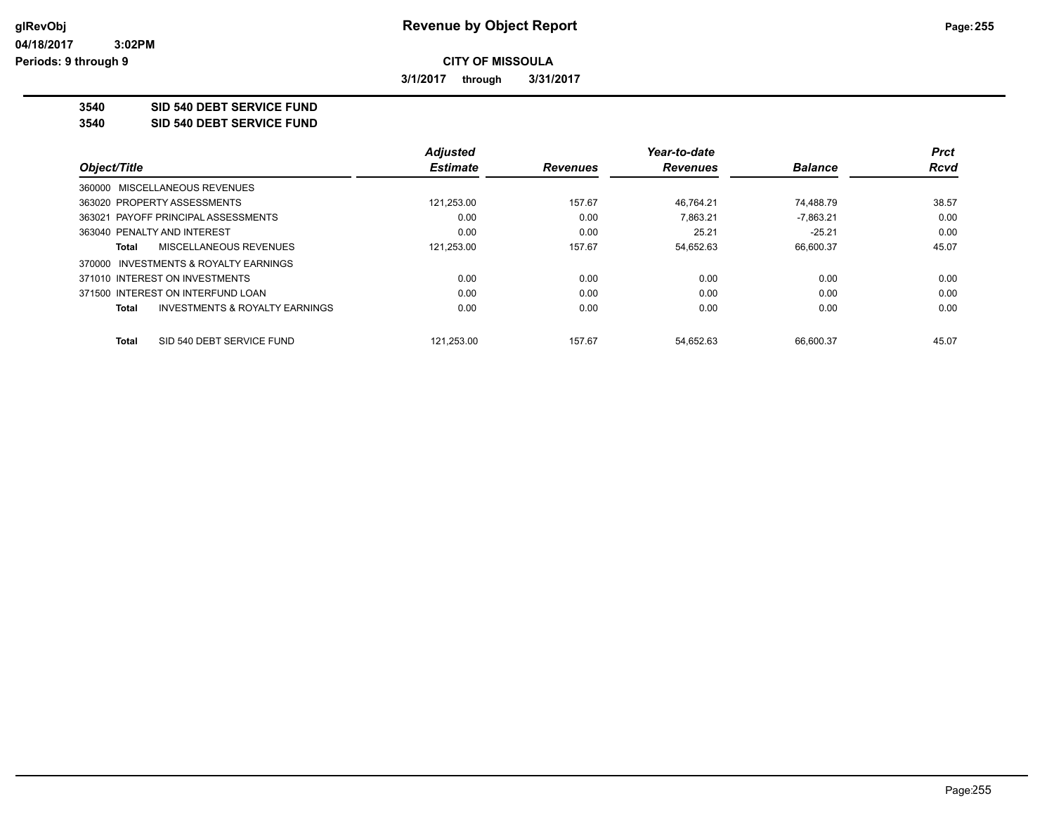**3/1/2017 through 3/31/2017**

**3540 SID 540 DEBT SERVICE FUND**

**3540 SID 540 DEBT SERVICE FUND**

|                                                    | <b>Adjusted</b> |                 | Year-to-date    |                | <b>Prct</b> |
|----------------------------------------------------|-----------------|-----------------|-----------------|----------------|-------------|
| Object/Title                                       | <b>Estimate</b> | <b>Revenues</b> | <b>Revenues</b> | <b>Balance</b> | Rcvd        |
| 360000 MISCELLANEOUS REVENUES                      |                 |                 |                 |                |             |
| 363020 PROPERTY ASSESSMENTS                        | 121.253.00      | 157.67          | 46.764.21       | 74.488.79      | 38.57       |
| 363021 PAYOFF PRINCIPAL ASSESSMENTS                | 0.00            | 0.00            | 7.863.21        | $-7.863.21$    | 0.00        |
| 363040 PENALTY AND INTEREST                        | 0.00            | 0.00            | 25.21           | $-25.21$       | 0.00        |
| MISCELLANEOUS REVENUES<br>Total                    | 121,253.00      | 157.67          | 54,652.63       | 66,600.37      | 45.07       |
| 370000 INVESTMENTS & ROYALTY EARNINGS              |                 |                 |                 |                |             |
| 371010 INTEREST ON INVESTMENTS                     | 0.00            | 0.00            | 0.00            | 0.00           | 0.00        |
| 371500 INTEREST ON INTERFUND LOAN                  | 0.00            | 0.00            | 0.00            | 0.00           | 0.00        |
| <b>INVESTMENTS &amp; ROYALTY EARNINGS</b><br>Total | 0.00            | 0.00            | 0.00            | 0.00           | 0.00        |
| SID 540 DEBT SERVICE FUND<br><b>Total</b>          | 121.253.00      | 157.67          | 54.652.63       | 66.600.37      | 45.07       |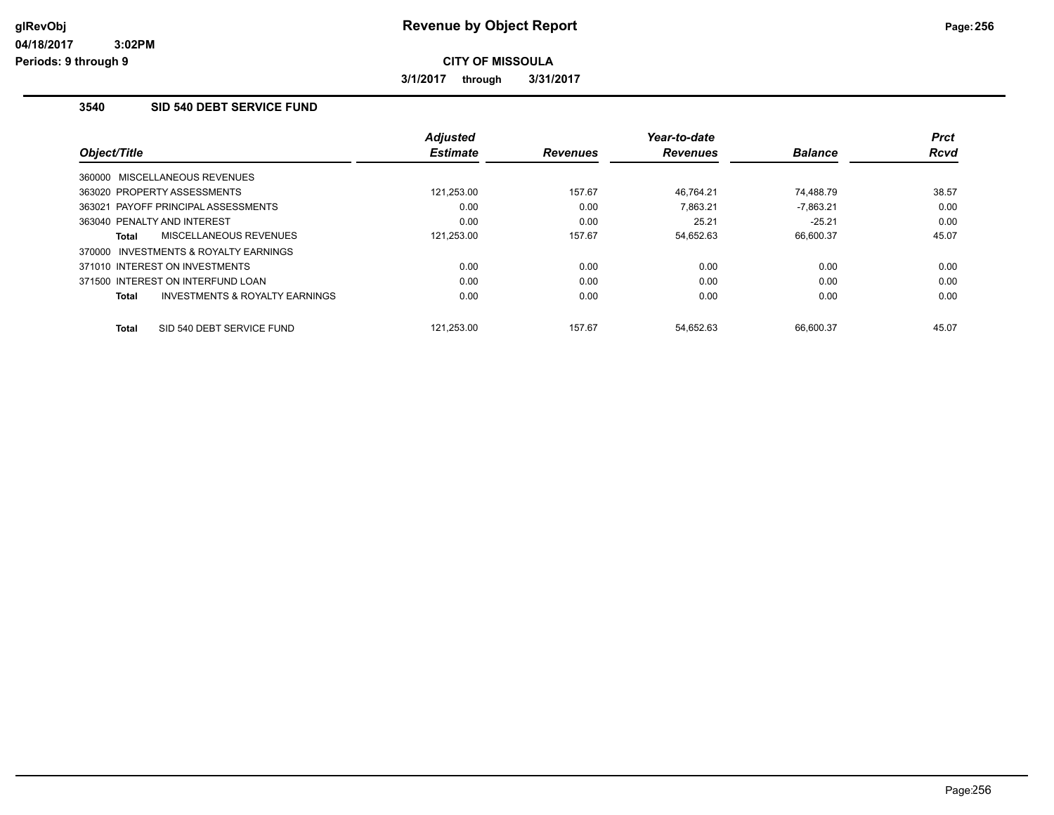**3/1/2017 through 3/31/2017**

#### **3540 SID 540 DEBT SERVICE FUND**

| Object/Title                |                                           | <b>Adjusted</b><br><b>Estimate</b> | <b>Revenues</b> | Year-to-date<br><b>Revenues</b> | <b>Balance</b> | <b>Prct</b><br><b>Rcvd</b> |
|-----------------------------|-------------------------------------------|------------------------------------|-----------------|---------------------------------|----------------|----------------------------|
|                             |                                           |                                    |                 |                                 |                |                            |
|                             | 360000 MISCELLANEOUS REVENUES             |                                    |                 |                                 |                |                            |
| 363020 PROPERTY ASSESSMENTS |                                           | 121,253.00                         | 157.67          | 46.764.21                       | 74.488.79      | 38.57                      |
|                             | 363021 PAYOFF PRINCIPAL ASSESSMENTS       | 0.00                               | 0.00            | 7.863.21                        | $-7.863.21$    | 0.00                       |
| 363040 PENALTY AND INTEREST |                                           | 0.00                               | 0.00            | 25.21                           | $-25.21$       | 0.00                       |
| Total                       | MISCELLANEOUS REVENUES                    | 121,253.00                         | 157.67          | 54,652.63                       | 66,600.37      | 45.07                      |
|                             | 370000 INVESTMENTS & ROYALTY EARNINGS     |                                    |                 |                                 |                |                            |
|                             | 371010 INTEREST ON INVESTMENTS            | 0.00                               | 0.00            | 0.00                            | 0.00           | 0.00                       |
|                             | 371500 INTEREST ON INTERFUND LOAN         | 0.00                               | 0.00            | 0.00                            | 0.00           | 0.00                       |
| <b>Total</b>                | <b>INVESTMENTS &amp; ROYALTY EARNINGS</b> | 0.00                               | 0.00            | 0.00                            | 0.00           | 0.00                       |
| <b>Total</b>                | SID 540 DEBT SERVICE FUND                 | 121.253.00                         | 157.67          | 54.652.63                       | 66.600.37      | 45.07                      |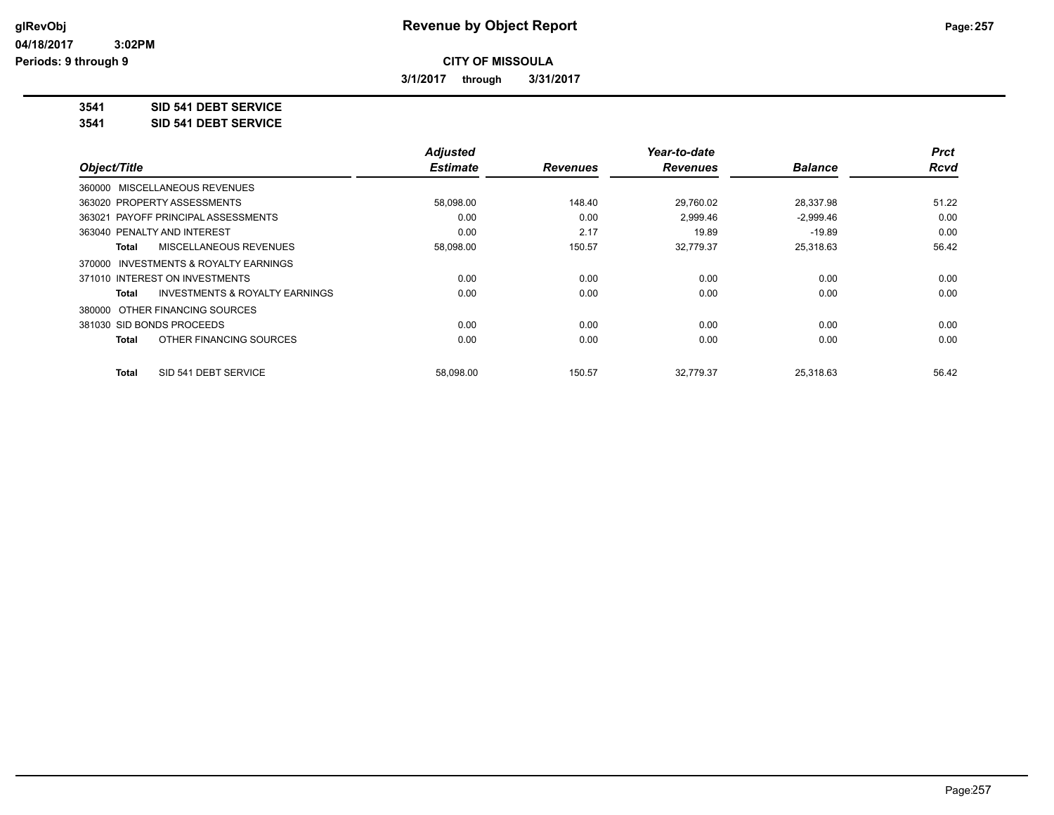**3/1/2017 through 3/31/2017**

**3541 SID 541 DEBT SERVICE**

|                                                    | <b>Adjusted</b> |                 | Year-to-date    |                | <b>Prct</b> |
|----------------------------------------------------|-----------------|-----------------|-----------------|----------------|-------------|
| Object/Title                                       | <b>Estimate</b> | <b>Revenues</b> | <b>Revenues</b> | <b>Balance</b> | <b>Rcvd</b> |
| 360000 MISCELLANEOUS REVENUES                      |                 |                 |                 |                |             |
| 363020 PROPERTY ASSESSMENTS                        | 58,098.00       | 148.40          | 29,760.02       | 28,337.98      | 51.22       |
| PAYOFF PRINCIPAL ASSESSMENTS<br>363021             | 0.00            | 0.00            | 2,999.46        | $-2,999.46$    | 0.00        |
| 363040 PENALTY AND INTEREST                        | 0.00            | 2.17            | 19.89           | $-19.89$       | 0.00        |
| MISCELLANEOUS REVENUES<br><b>Total</b>             | 58,098.00       | 150.57          | 32,779.37       | 25,318.63      | 56.42       |
| 370000 INVESTMENTS & ROYALTY EARNINGS              |                 |                 |                 |                |             |
| 371010 INTEREST ON INVESTMENTS                     | 0.00            | 0.00            | 0.00            | 0.00           | 0.00        |
| <b>INVESTMENTS &amp; ROYALTY EARNINGS</b><br>Total | 0.00            | 0.00            | 0.00            | 0.00           | 0.00        |
| 380000 OTHER FINANCING SOURCES                     |                 |                 |                 |                |             |
| 381030 SID BONDS PROCEEDS                          | 0.00            | 0.00            | 0.00            | 0.00           | 0.00        |
| OTHER FINANCING SOURCES<br><b>Total</b>            | 0.00            | 0.00            | 0.00            | 0.00           | 0.00        |
| SID 541 DEBT SERVICE<br><b>Total</b>               | 58,098.00       | 150.57          | 32.779.37       | 25,318.63      | 56.42       |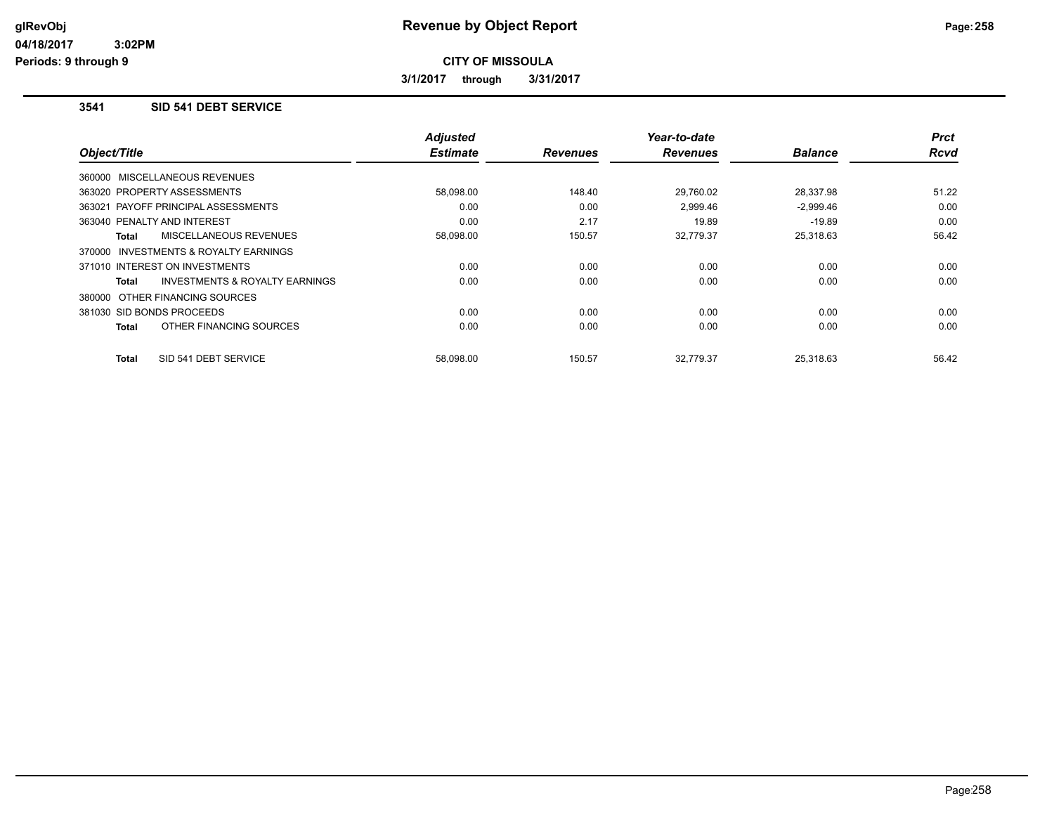**3/1/2017 through 3/31/2017**

#### **3541 SID 541 DEBT SERVICE**

| Object/Title                                              | <b>Adjusted</b><br><b>Estimate</b> | <b>Revenues</b> | Year-to-date<br><b>Revenues</b> | <b>Balance</b> | <b>Prct</b><br><b>Rcvd</b> |
|-----------------------------------------------------------|------------------------------------|-----------------|---------------------------------|----------------|----------------------------|
| <b>MISCELLANEOUS REVENUES</b><br>360000                   |                                    |                 |                                 |                |                            |
| 363020 PROPERTY ASSESSMENTS                               | 58,098.00                          | 148.40          | 29,760.02                       | 28,337.98      | 51.22                      |
| 363021 PAYOFF PRINCIPAL ASSESSMENTS                       | 0.00                               | 0.00            | 2,999.46                        | $-2,999.46$    | 0.00                       |
| 363040 PENALTY AND INTEREST                               | 0.00                               | 2.17            | 19.89                           | $-19.89$       | 0.00                       |
| MISCELLANEOUS REVENUES<br>Total                           | 58,098.00                          | 150.57          | 32.779.37                       | 25.318.63      | 56.42                      |
| <b>INVESTMENTS &amp; ROYALTY EARNINGS</b><br>370000       |                                    |                 |                                 |                |                            |
| 371010 INTEREST ON INVESTMENTS                            | 0.00                               | 0.00            | 0.00                            | 0.00           | 0.00                       |
| <b>INVESTMENTS &amp; ROYALTY EARNINGS</b><br><b>Total</b> | 0.00                               | 0.00            | 0.00                            | 0.00           | 0.00                       |
| 380000 OTHER FINANCING SOURCES                            |                                    |                 |                                 |                |                            |
| 381030 SID BONDS PROCEEDS                                 | 0.00                               | 0.00            | 0.00                            | 0.00           | 0.00                       |
| OTHER FINANCING SOURCES<br><b>Total</b>                   | 0.00                               | 0.00            | 0.00                            | 0.00           | 0.00                       |
| <b>Total</b><br>SID 541 DEBT SERVICE                      | 58.098.00                          | 150.57          | 32.779.37                       | 25.318.63      | 56.42                      |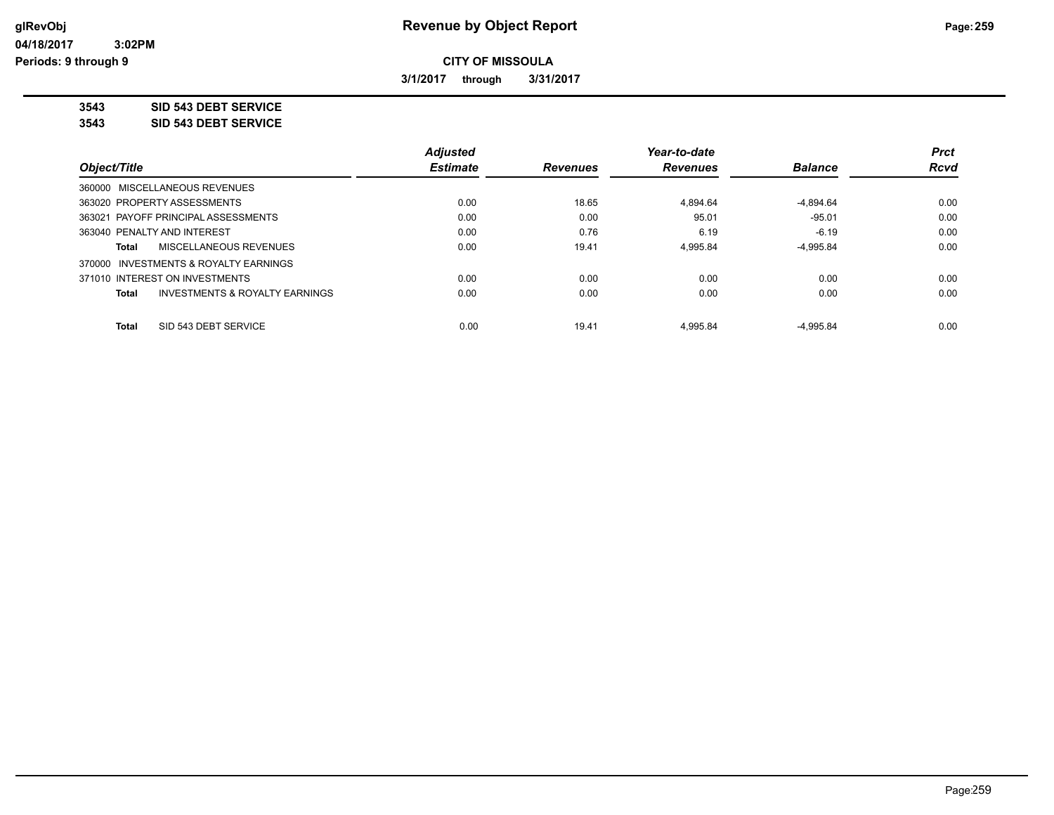**3/1/2017 through 3/31/2017**

**3543 SID 543 DEBT SERVICE**

**3543 SID 543 DEBT SERVICE**

|                                         | <b>Adjusted</b> |                 | Year-to-date    |                | <b>Prct</b> |
|-----------------------------------------|-----------------|-----------------|-----------------|----------------|-------------|
| Object/Title                            | <b>Estimate</b> | <b>Revenues</b> | <b>Revenues</b> | <b>Balance</b> | <b>Rcvd</b> |
| 360000 MISCELLANEOUS REVENUES           |                 |                 |                 |                |             |
| 363020 PROPERTY ASSESSMENTS             | 0.00            | 18.65           | 4.894.64        | $-4.894.64$    | 0.00        |
| 363021 PAYOFF PRINCIPAL ASSESSMENTS     | 0.00            | 0.00            | 95.01           | $-95.01$       | 0.00        |
| 363040 PENALTY AND INTEREST             | 0.00            | 0.76            | 6.19            | $-6.19$        | 0.00        |
| <b>MISCELLANEOUS REVENUES</b><br>Total  | 0.00            | 19.41           | 4,995.84        | $-4.995.84$    | 0.00        |
| 370000 INVESTMENTS & ROYALTY EARNINGS   |                 |                 |                 |                |             |
| 371010 INTEREST ON INVESTMENTS          | 0.00            | 0.00            | 0.00            | 0.00           | 0.00        |
| INVESTMENTS & ROYALTY EARNINGS<br>Total | 0.00            | 0.00            | 0.00            | 0.00           | 0.00        |
| SID 543 DEBT SERVICE<br>Total           | 0.00            | 19.41           | 4.995.84        | $-4.995.84$    | 0.00        |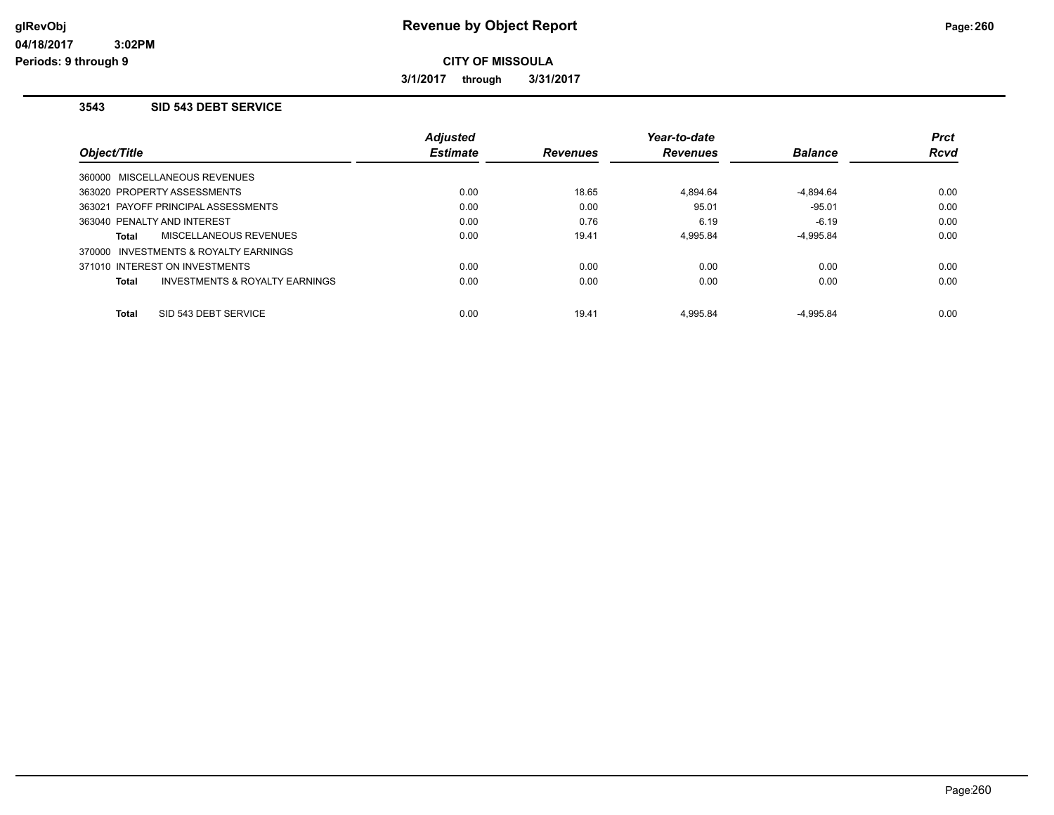**3/1/2017 through 3/31/2017**

#### **3543 SID 543 DEBT SERVICE**

|                                                     | <b>Adjusted</b> |                 | Year-to-date    |                | <b>Prct</b> |
|-----------------------------------------------------|-----------------|-----------------|-----------------|----------------|-------------|
| <i><b>Object/Title</b></i>                          | <b>Estimate</b> | <b>Revenues</b> | <b>Revenues</b> | <b>Balance</b> | <b>Rcvd</b> |
| 360000 MISCELLANEOUS REVENUES                       |                 |                 |                 |                |             |
| 363020 PROPERTY ASSESSMENTS                         | 0.00            | 18.65           | 4.894.64        | $-4,894.64$    | 0.00        |
| 363021 PAYOFF PRINCIPAL ASSESSMENTS                 | 0.00            | 0.00            | 95.01           | $-95.01$       | 0.00        |
| 363040 PENALTY AND INTEREST                         | 0.00            | 0.76            | 6.19            | $-6.19$        | 0.00        |
| MISCELLANEOUS REVENUES<br>Total                     | 0.00            | 19.41           | 4.995.84        | $-4.995.84$    | 0.00        |
| <b>INVESTMENTS &amp; ROYALTY EARNINGS</b><br>370000 |                 |                 |                 |                |             |
| 371010 INTEREST ON INVESTMENTS                      | 0.00            | 0.00            | 0.00            | 0.00           | 0.00        |
| INVESTMENTS & ROYALTY EARNINGS<br><b>Total</b>      | 0.00            | 0.00            | 0.00            | 0.00           | 0.00        |
| SID 543 DEBT SERVICE<br><b>Total</b>                | 0.00            | 19.41           | 4.995.84        | $-4.995.84$    | 0.00        |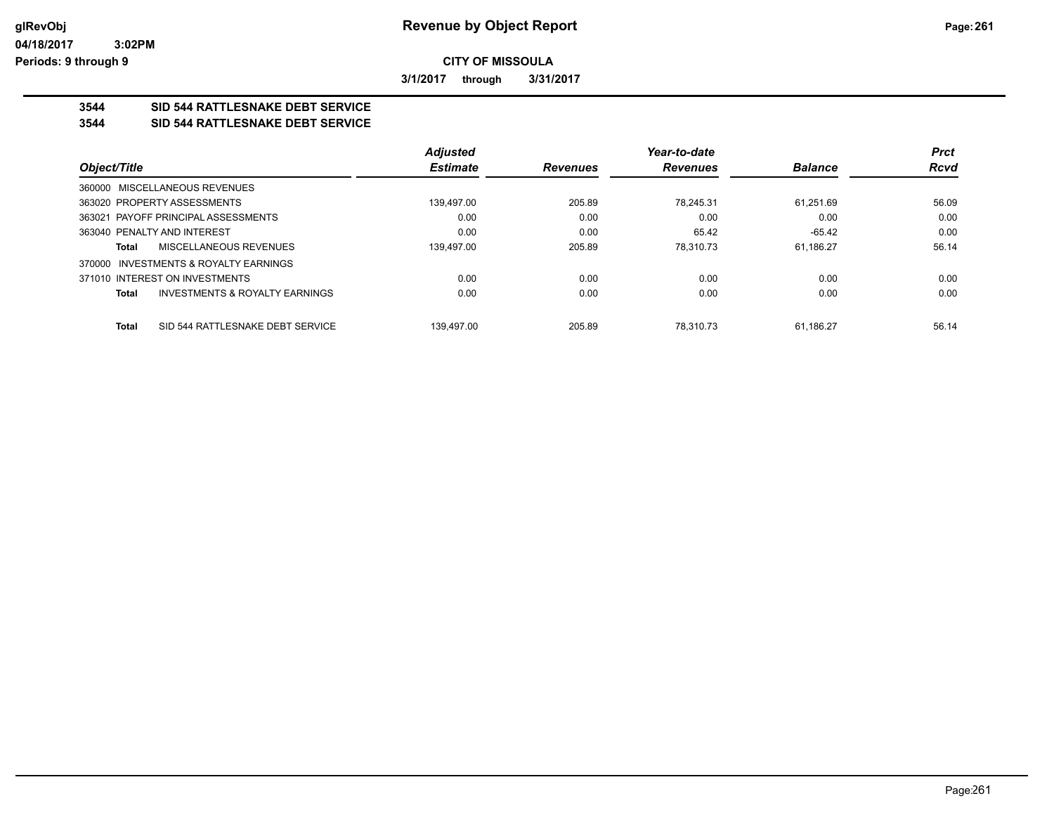**3/1/2017 through 3/31/2017**

## **3544 SID 544 RATTLESNAKE DEBT SERVICE 3544 SID 544 RATTLESNAKE DEBT SERVICE**

|                                           | <b>Adjusted</b> |                 | Year-to-date    |                | <b>Prct</b> |
|-------------------------------------------|-----------------|-----------------|-----------------|----------------|-------------|
| Object/Title                              | <b>Estimate</b> | <b>Revenues</b> | <b>Revenues</b> | <b>Balance</b> | <b>Rcvd</b> |
| 360000 MISCELLANEOUS REVENUES             |                 |                 |                 |                |             |
| 363020 PROPERTY ASSESSMENTS               | 139.497.00      | 205.89          | 78.245.31       | 61.251.69      | 56.09       |
| 363021 PAYOFF PRINCIPAL ASSESSMENTS       | 0.00            | 0.00            | 0.00            | 0.00           | 0.00        |
| 363040 PENALTY AND INTEREST               | 0.00            | 0.00            | 65.42           | $-65.42$       | 0.00        |
| MISCELLANEOUS REVENUES<br>Total           | 139.497.00      | 205.89          | 78.310.73       | 61,186.27      | 56.14       |
| INVESTMENTS & ROYALTY EARNINGS<br>370000  |                 |                 |                 |                |             |
| 371010 INTEREST ON INVESTMENTS            | 0.00            | 0.00            | 0.00            | 0.00           | 0.00        |
| INVESTMENTS & ROYALTY EARNINGS<br>Total   | 0.00            | 0.00            | 0.00            | 0.00           | 0.00        |
| SID 544 RATTLESNAKE DEBT SERVICE<br>Total | 139.497.00      | 205.89          | 78.310.73       | 61.186.27      | 56.14       |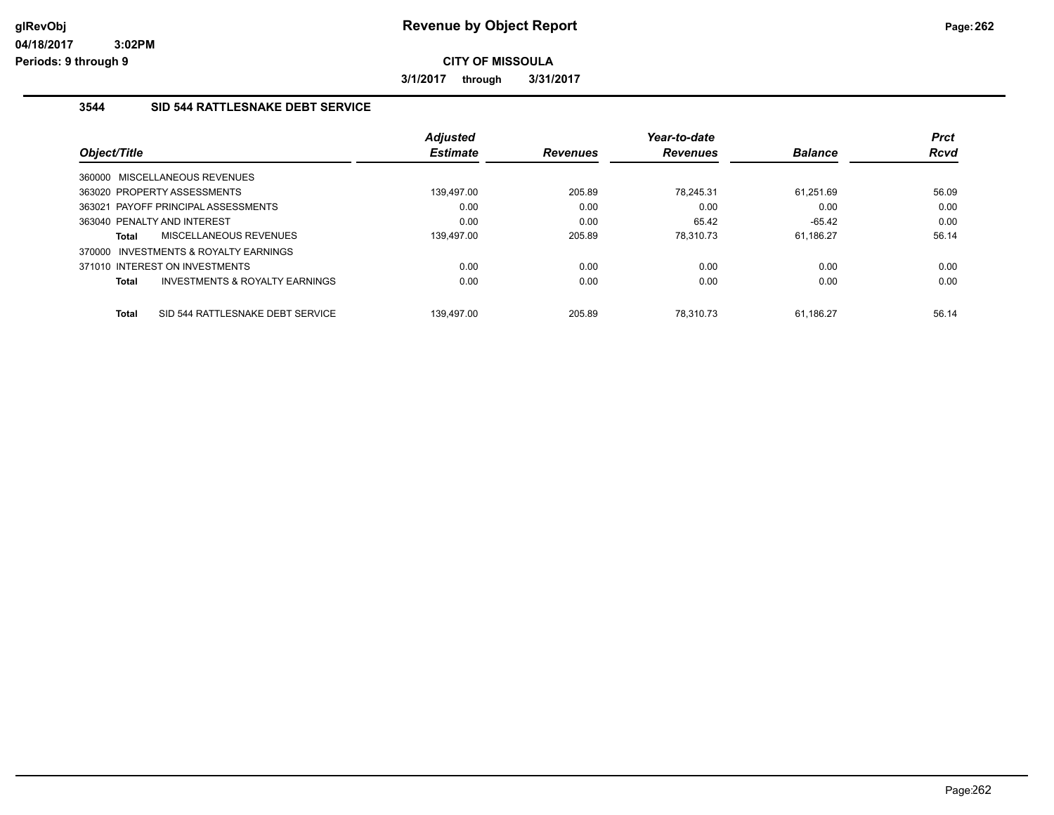**3/1/2017 through 3/31/2017**

## **3544 SID 544 RATTLESNAKE DEBT SERVICE**

|                                |                                       | <b>Adjusted</b> |                 | Year-to-date    |                | <b>Prct</b> |
|--------------------------------|---------------------------------------|-----------------|-----------------|-----------------|----------------|-------------|
| Object/Title                   |                                       | <b>Estimate</b> | <b>Revenues</b> | <b>Revenues</b> | <b>Balance</b> | <b>Rcvd</b> |
| 360000 MISCELLANEOUS REVENUES  |                                       |                 |                 |                 |                |             |
| 363020 PROPERTY ASSESSMENTS    |                                       | 139,497.00      | 205.89          | 78.245.31       | 61.251.69      | 56.09       |
|                                | 363021 PAYOFF PRINCIPAL ASSESSMENTS   | 0.00            | 0.00            | 0.00            | 0.00           | 0.00        |
| 363040 PENALTY AND INTEREST    |                                       | 0.00            | 0.00            | 65.42           | $-65.42$       | 0.00        |
| Total                          | MISCELLANEOUS REVENUES                | 139.497.00      | 205.89          | 78.310.73       | 61.186.27      | 56.14       |
|                                | 370000 INVESTMENTS & ROYALTY EARNINGS |                 |                 |                 |                |             |
| 371010 INTEREST ON INVESTMENTS |                                       | 0.00            | 0.00            | 0.00            | 0.00           | 0.00        |
| <b>Total</b>                   | INVESTMENTS & ROYALTY EARNINGS        | 0.00            | 0.00            | 0.00            | 0.00           | 0.00        |
| <b>Total</b>                   | SID 544 RATTLESNAKE DEBT SERVICE      | 139.497.00      | 205.89          | 78.310.73       | 61.186.27      | 56.14       |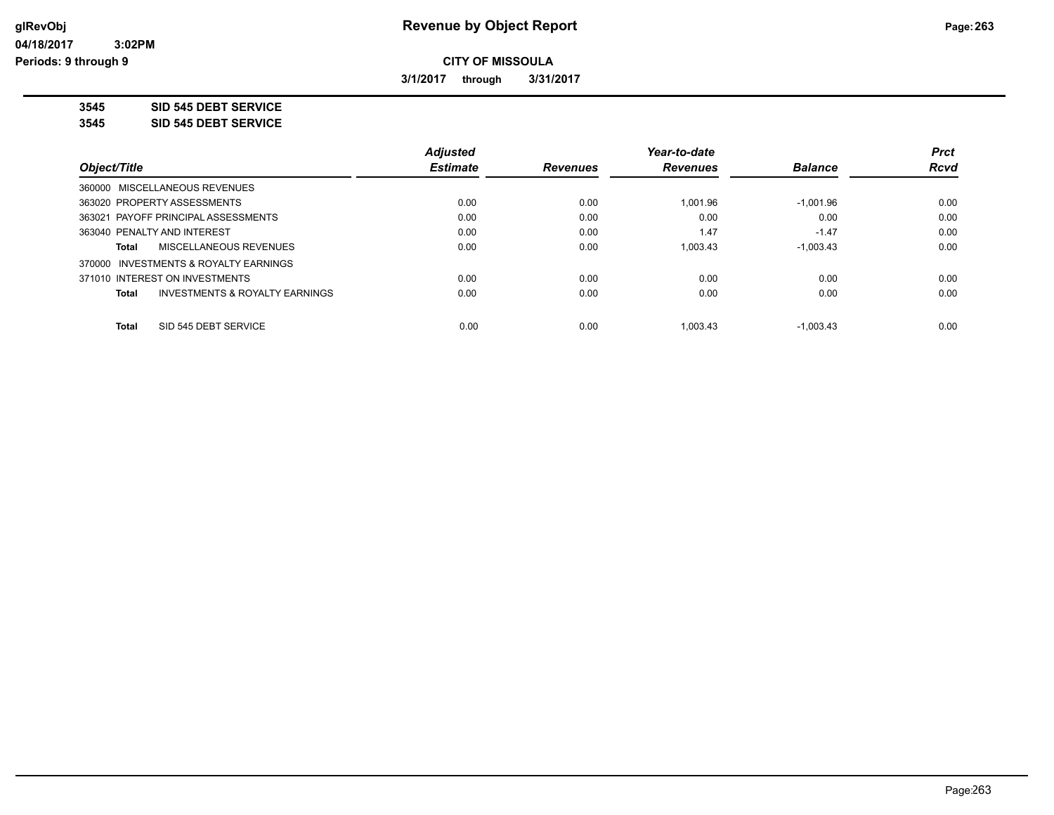**3/1/2017 through 3/31/2017**

**3545 SID 545 DEBT SERVICE**

**3545 SID 545 DEBT SERVICE**

|                                         | <b>Adjusted</b> |                 | Year-to-date    |                | <b>Prct</b> |
|-----------------------------------------|-----------------|-----------------|-----------------|----------------|-------------|
| Object/Title                            | <b>Estimate</b> | <b>Revenues</b> | <b>Revenues</b> | <b>Balance</b> | Rcvd        |
| 360000 MISCELLANEOUS REVENUES           |                 |                 |                 |                |             |
| 363020 PROPERTY ASSESSMENTS             | 0.00            | 0.00            | 1.001.96        | -1.001.96      | 0.00        |
| 363021 PAYOFF PRINCIPAL ASSESSMENTS     | 0.00            | 0.00            | 0.00            | 0.00           | 0.00        |
| 363040 PENALTY AND INTEREST             | 0.00            | 0.00            | 1.47            | $-1.47$        | 0.00        |
| MISCELLANEOUS REVENUES<br>Total         | 0.00            | 0.00            | 1.003.43        | $-1.003.43$    | 0.00        |
| 370000 INVESTMENTS & ROYALTY EARNINGS   |                 |                 |                 |                |             |
| 371010 INTEREST ON INVESTMENTS          | 0.00            | 0.00            | 0.00            | 0.00           | 0.00        |
| INVESTMENTS & ROYALTY EARNINGS<br>Total | 0.00            | 0.00            | 0.00            | 0.00           | 0.00        |
| SID 545 DEBT SERVICE<br>Total           | 0.00            | 0.00            | 1.003.43        | $-1.003.43$    | 0.00        |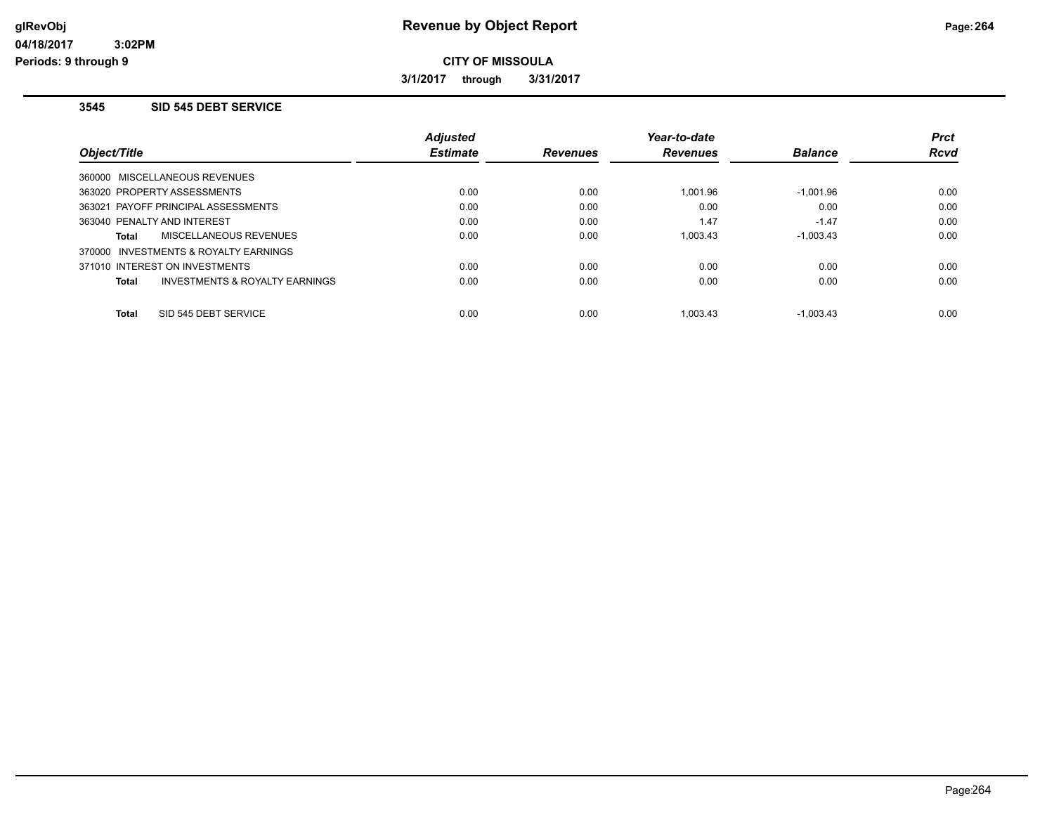**3/1/2017 through 3/31/2017**

#### **3545 SID 545 DEBT SERVICE**

|                                         | <b>Adiusted</b> |                 | Year-to-date    |                | <b>Prct</b> |
|-----------------------------------------|-----------------|-----------------|-----------------|----------------|-------------|
| Object/Title                            | <b>Estimate</b> | <b>Revenues</b> | <b>Revenues</b> | <b>Balance</b> | <b>Rcvd</b> |
| 360000 MISCELLANEOUS REVENUES           |                 |                 |                 |                |             |
| 363020 PROPERTY ASSESSMENTS             | 0.00            | 0.00            | 1.001.96        | $-1.001.96$    | 0.00        |
| 363021 PAYOFF PRINCIPAL ASSESSMENTS     | 0.00            | 0.00            | 0.00            | 0.00           | 0.00        |
| 363040 PENALTY AND INTEREST             | 0.00            | 0.00            | 1.47            | $-1.47$        | 0.00        |
| MISCELLANEOUS REVENUES<br>Total         | 0.00            | 0.00            | 1.003.43        | $-1.003.43$    | 0.00        |
| 370000 INVESTMENTS & ROYALTY EARNINGS   |                 |                 |                 |                |             |
| 371010 INTEREST ON INVESTMENTS          | 0.00            | 0.00            | 0.00            | 0.00           | 0.00        |
| Total<br>INVESTMENTS & ROYALTY EARNINGS | 0.00            | 0.00            | 0.00            | 0.00           | 0.00        |
| SID 545 DEBT SERVICE<br>Total           | 0.00            | 0.00            | 1.003.43        | $-1.003.43$    | 0.00        |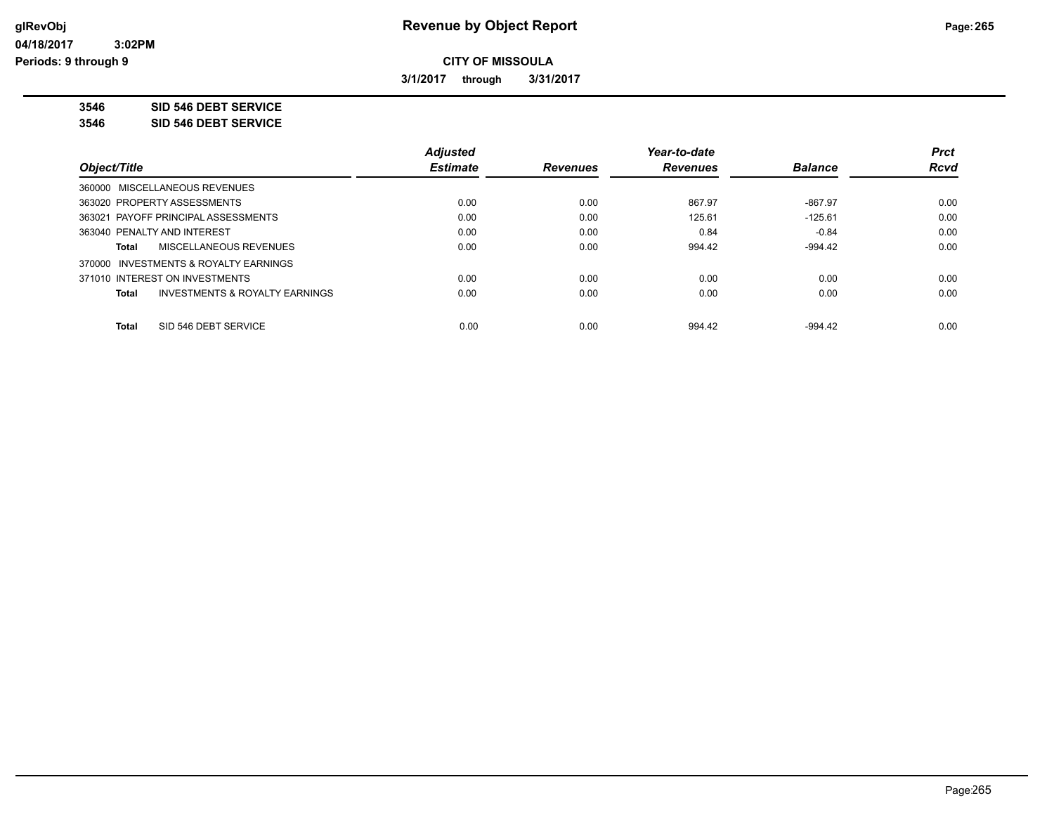**3/1/2017 through 3/31/2017**

**3546 SID 546 DEBT SERVICE**

**3546 SID 546 DEBT SERVICE**

|                                         | <b>Adjusted</b> |          | Year-to-date    |                | <b>Prct</b> |
|-----------------------------------------|-----------------|----------|-----------------|----------------|-------------|
| Object/Title                            | <b>Estimate</b> | Revenues | <b>Revenues</b> | <b>Balance</b> | <b>Rcvd</b> |
| 360000 MISCELLANEOUS REVENUES           |                 |          |                 |                |             |
| 363020 PROPERTY ASSESSMENTS             | 0.00            | 0.00     | 867.97          | $-867.97$      | 0.00        |
| 363021 PAYOFF PRINCIPAL ASSESSMENTS     | 0.00            | 0.00     | 125.61          | $-125.61$      | 0.00        |
| 363040 PENALTY AND INTEREST             | 0.00            | 0.00     | 0.84            | $-0.84$        | 0.00        |
| MISCELLANEOUS REVENUES<br>Total         | 0.00            | 0.00     | 994.42          | $-994.42$      | 0.00        |
| 370000 INVESTMENTS & ROYALTY EARNINGS   |                 |          |                 |                |             |
| 371010 INTEREST ON INVESTMENTS          | 0.00            | 0.00     | 0.00            | 0.00           | 0.00        |
| INVESTMENTS & ROYALTY EARNINGS<br>Total | 0.00            | 0.00     | 0.00            | 0.00           | 0.00        |
|                                         |                 |          |                 |                |             |
| SID 546 DEBT SERVICE<br>Total           | 0.00            | 0.00     | 994.42          | $-994.42$      | 0.00        |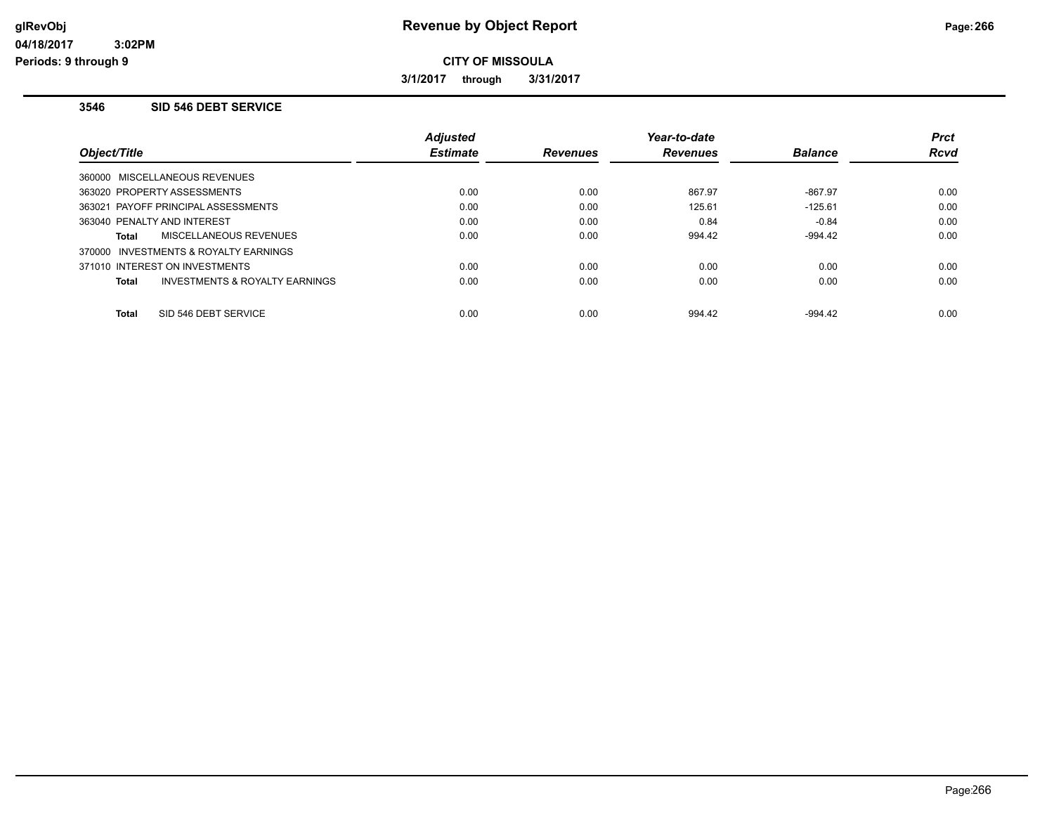**3/1/2017 through 3/31/2017**

#### **3546 SID 546 DEBT SERVICE**

|                                       |                                | <b>Adiusted</b> |                 | Year-to-date    |                | <b>Prct</b> |
|---------------------------------------|--------------------------------|-----------------|-----------------|-----------------|----------------|-------------|
| Object/Title                          |                                | <b>Estimate</b> | <b>Revenues</b> | <b>Revenues</b> | <b>Balance</b> | <b>Rcvd</b> |
| 360000 MISCELLANEOUS REVENUES         |                                |                 |                 |                 |                |             |
| 363020 PROPERTY ASSESSMENTS           |                                | 0.00            | 0.00            | 867.97          | $-867.97$      | 0.00        |
| 363021 PAYOFF PRINCIPAL ASSESSMENTS   |                                | 0.00            | 0.00            | 125.61          | $-125.61$      | 0.00        |
| 363040 PENALTY AND INTEREST           |                                | 0.00            | 0.00            | 0.84            | $-0.84$        | 0.00        |
| Total                                 | MISCELLANEOUS REVENUES         | 0.00            | 0.00            | 994.42          | $-994.42$      | 0.00        |
| 370000 INVESTMENTS & ROYALTY EARNINGS |                                |                 |                 |                 |                |             |
| 371010 INTEREST ON INVESTMENTS        |                                | 0.00            | 0.00            | 0.00            | 0.00           | 0.00        |
| Total                                 | INVESTMENTS & ROYALTY EARNINGS | 0.00            | 0.00            | 0.00            | 0.00           | 0.00        |
| <b>Total</b>                          | SID 546 DEBT SERVICE           | 0.00            | 0.00            | 994.42          | $-994.42$      | 0.00        |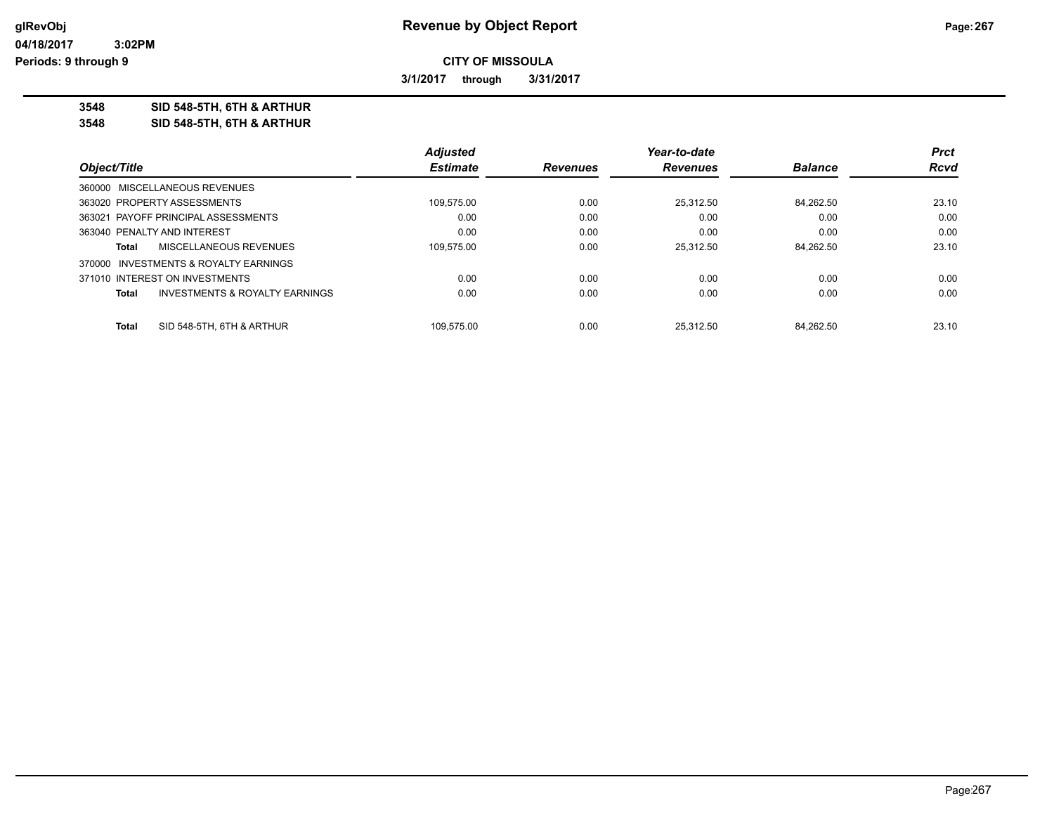**3/1/2017 through 3/31/2017**

**3548 SID 548-5TH, 6TH & ARTHUR 3548 SID 548-5TH, 6TH & ARTHUR**

*Object/Title Adjusted Estimate Revenues Year-to-date Revenues Balance Prct Rcvd* 360000 MISCELLANEOUS REVENUES 363020 PROPERTY ASSESSMENTS 109,575.00 0.00 25,312.50 84,262.50 23.10 363021 PAYOFF PRINCIPAL ASSESSMENTS 0.00 0.00 0.00 0.00 0.00 363040 PENALTY AND INTEREST 0.00 0.00 0.00 0.00 0.00 **Total** MISCELLANEOUS REVENUES 109,575.00 0.00 25,312.50 84,262.50 23.10 370000 INVESTMENTS & ROYALTY EARNINGS 371010 INTEREST ON INVESTMENTS 0.00 0.00 0.00 0.00 0.00 **Total** INVESTMENTS & ROYALTY EARNINGS 0.00 0.00 0.00 0.00 0.00 **Total** SID 548-5TH, 6TH & ARTHUR 109,575.00 0.00 25,312.50 84,262.50 23.10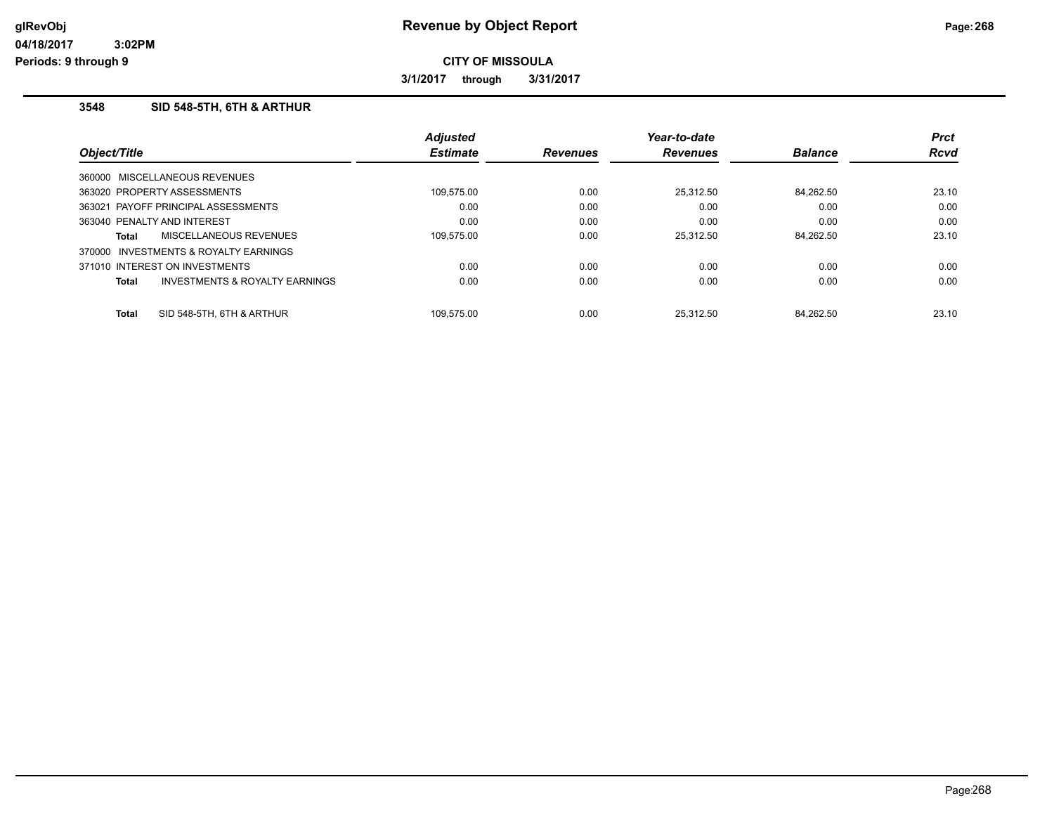**3/1/2017 through 3/31/2017**

#### **3548 SID 548-5TH, 6TH & ARTHUR**

|              |                                     | <b>Adjusted</b> |                 | Year-to-date    |                | <b>Prct</b> |
|--------------|-------------------------------------|-----------------|-----------------|-----------------|----------------|-------------|
| Object/Title |                                     | <b>Estimate</b> | <b>Revenues</b> | <b>Revenues</b> | <b>Balance</b> | <b>Rcvd</b> |
|              | 360000 MISCELLANEOUS REVENUES       |                 |                 |                 |                |             |
|              | 363020 PROPERTY ASSESSMENTS         | 109.575.00      | 0.00            | 25.312.50       | 84.262.50      | 23.10       |
|              | 363021 PAYOFF PRINCIPAL ASSESSMENTS | 0.00            | 0.00            | 0.00            | 0.00           | 0.00        |
|              | 363040 PENALTY AND INTEREST         | 0.00            | 0.00            | 0.00            | 0.00           | 0.00        |
| Total        | MISCELLANEOUS REVENUES              | 109.575.00      | 0.00            | 25.312.50       | 84.262.50      | 23.10       |
| 370000       | INVESTMENTS & ROYALTY EARNINGS      |                 |                 |                 |                |             |
|              | 371010 INTEREST ON INVESTMENTS      | 0.00            | 0.00            | 0.00            | 0.00           | 0.00        |
| <b>Total</b> | INVESTMENTS & ROYALTY EARNINGS      | 0.00            | 0.00            | 0.00            | 0.00           | 0.00        |
| <b>Total</b> | SID 548-5TH, 6TH & ARTHUR           | 109.575.00      | 0.00            | 25.312.50       | 84.262.50      | 23.10       |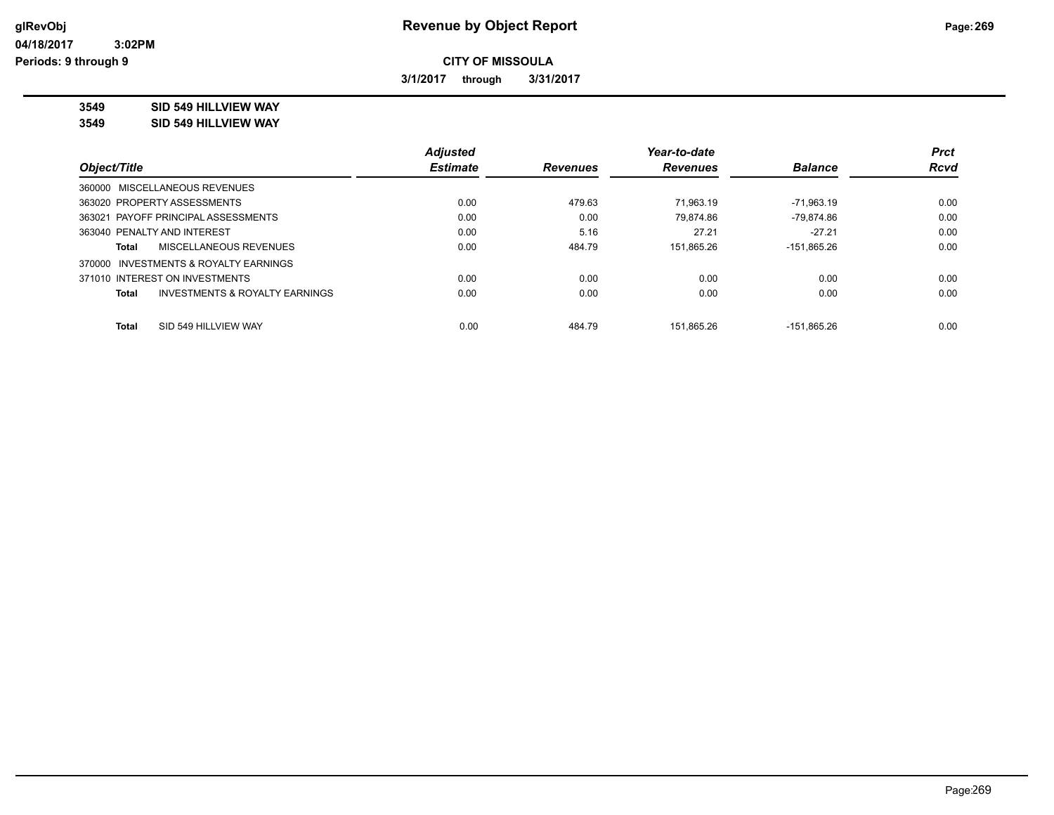**3/1/2017 through 3/31/2017**

**3549 SID 549 HILLVIEW WAY**

**3549 SID 549 HILLVIEW WAY**

|                                                    | <b>Adjusted</b> |                 | Year-to-date    |                | <b>Prct</b> |
|----------------------------------------------------|-----------------|-----------------|-----------------|----------------|-------------|
| Object/Title                                       | <b>Estimate</b> | <b>Revenues</b> | <b>Revenues</b> | <b>Balance</b> | Rcvd        |
| 360000 MISCELLANEOUS REVENUES                      |                 |                 |                 |                |             |
| 363020 PROPERTY ASSESSMENTS                        | 0.00            | 479.63          | 71.963.19       | $-71.963.19$   | 0.00        |
| 363021 PAYOFF PRINCIPAL ASSESSMENTS                | 0.00            | 0.00            | 79.874.86       | -79.874.86     | 0.00        |
| 363040 PENALTY AND INTEREST                        | 0.00            | 5.16            | 27.21           | $-27.21$       | 0.00        |
| <b>MISCELLANEOUS REVENUES</b><br>Total             | 0.00            | 484.79          | 151,865.26      | $-151,865.26$  | 0.00        |
| 370000 INVESTMENTS & ROYALTY EARNINGS              |                 |                 |                 |                |             |
| 371010 INTEREST ON INVESTMENTS                     | 0.00            | 0.00            | 0.00            | 0.00           | 0.00        |
| <b>INVESTMENTS &amp; ROYALTY EARNINGS</b><br>Total | 0.00            | 0.00            | 0.00            | 0.00           | 0.00        |
|                                                    |                 |                 |                 |                |             |
| SID 549 HILLVIEW WAY<br>Total                      | 0.00            | 484.79          | 151.865.26      | $-151.865.26$  | 0.00        |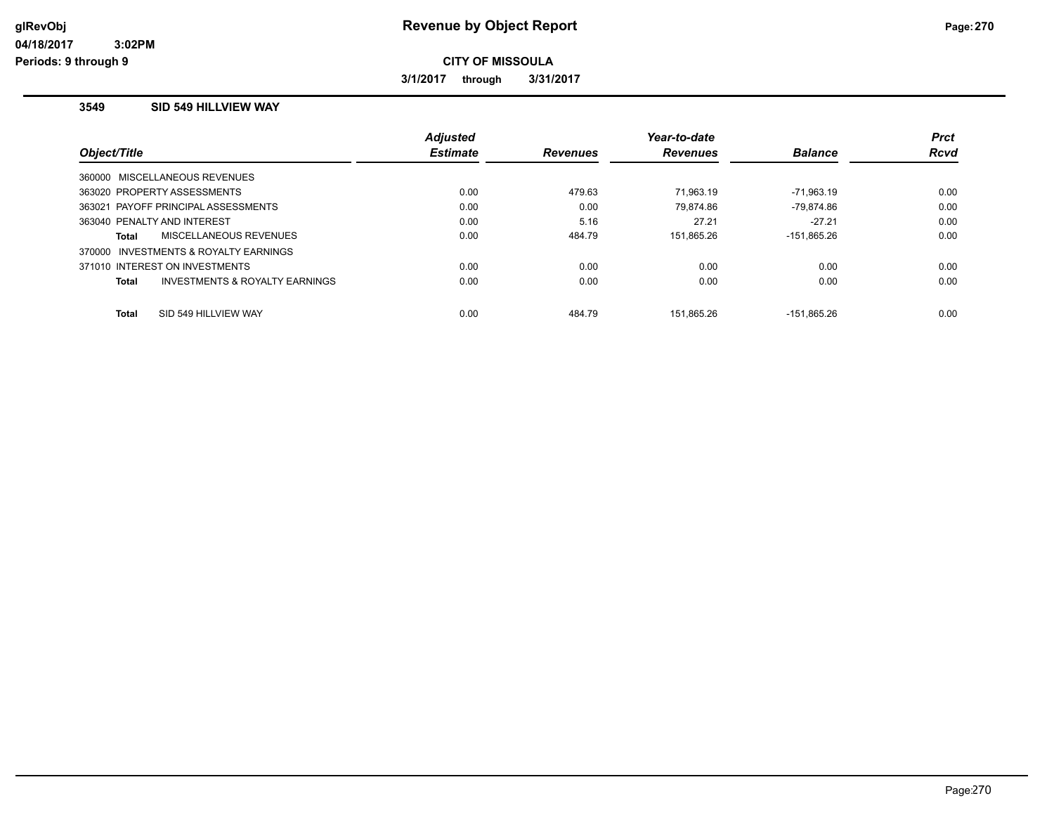**3/1/2017 through 3/31/2017**

## **3549 SID 549 HILLVIEW WAY**

|                                                           | <b>Adjusted</b> |                 | Year-to-date    |                | <b>Prct</b> |
|-----------------------------------------------------------|-----------------|-----------------|-----------------|----------------|-------------|
| Object/Title                                              | <b>Estimate</b> | <b>Revenues</b> | <b>Revenues</b> | <b>Balance</b> | <b>Rcvd</b> |
| 360000 MISCELLANEOUS REVENUES                             |                 |                 |                 |                |             |
| 363020 PROPERTY ASSESSMENTS                               | 0.00            | 479.63          | 71.963.19       | $-71.963.19$   | 0.00        |
| 363021 PAYOFF PRINCIPAL ASSESSMENTS                       | 0.00            | 0.00            | 79.874.86       | -79.874.86     | 0.00        |
| 363040 PENALTY AND INTEREST                               | 0.00            | 5.16            | 27.21           | $-27.21$       | 0.00        |
| MISCELLANEOUS REVENUES<br>Total                           | 0.00            | 484.79          | 151,865.26      | $-151,865.26$  | 0.00        |
| 370000 INVESTMENTS & ROYALTY EARNINGS                     |                 |                 |                 |                |             |
| 371010 INTEREST ON INVESTMENTS                            | 0.00            | 0.00            | 0.00            | 0.00           | 0.00        |
| <b>INVESTMENTS &amp; ROYALTY EARNINGS</b><br><b>Total</b> | 0.00            | 0.00            | 0.00            | 0.00           | 0.00        |
| SID 549 HILLVIEW WAY<br><b>Total</b>                      | 0.00            | 484.79          | 151.865.26      | -151.865.26    | 0.00        |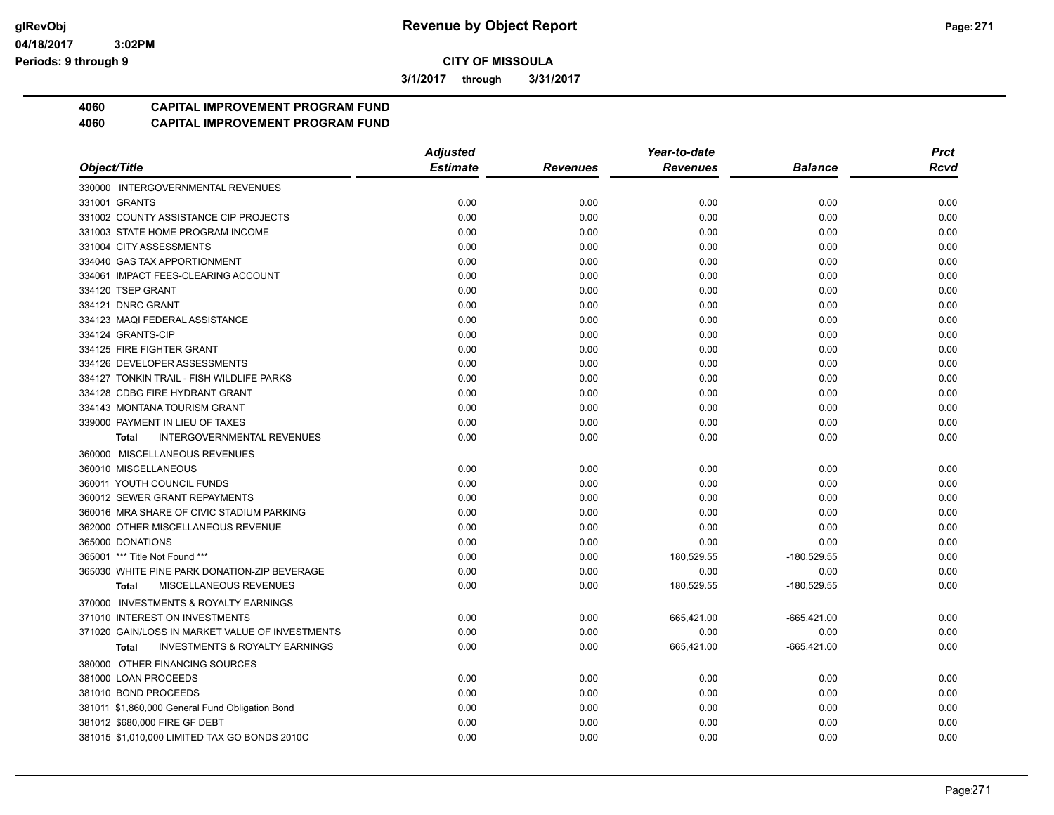**3/1/2017 through 3/31/2017**

## **4060 CAPITAL IMPROVEMENT PROGRAM FUND 4060 CAPITAL IMPROVEMENT PROGRAM FUND**

|                                                           | <b>Adjusted</b> |                 | Year-to-date    |                | <b>Prct</b> |
|-----------------------------------------------------------|-----------------|-----------------|-----------------|----------------|-------------|
| Object/Title                                              | <b>Estimate</b> | <b>Revenues</b> | <b>Revenues</b> | <b>Balance</b> | <b>Rcvd</b> |
| 330000 INTERGOVERNMENTAL REVENUES                         |                 |                 |                 |                |             |
| 331001 GRANTS                                             | 0.00            | 0.00            | 0.00            | 0.00           | 0.00        |
| 331002 COUNTY ASSISTANCE CIP PROJECTS                     | 0.00            | 0.00            | 0.00            | 0.00           | 0.00        |
| 331003 STATE HOME PROGRAM INCOME                          | 0.00            | 0.00            | 0.00            | 0.00           | 0.00        |
| 331004 CITY ASSESSMENTS                                   | 0.00            | 0.00            | 0.00            | 0.00           | 0.00        |
| 334040 GAS TAX APPORTIONMENT                              | 0.00            | 0.00            | 0.00            | 0.00           | 0.00        |
| 334061 IMPACT FEES-CLEARING ACCOUNT                       | 0.00            | 0.00            | 0.00            | 0.00           | 0.00        |
| 334120 TSEP GRANT                                         | 0.00            | 0.00            | 0.00            | 0.00           | 0.00        |
| 334121 DNRC GRANT                                         | 0.00            | 0.00            | 0.00            | 0.00           | 0.00        |
| 334123 MAQI FEDERAL ASSISTANCE                            | 0.00            | 0.00            | 0.00            | 0.00           | 0.00        |
| 334124 GRANTS-CIP                                         | 0.00            | 0.00            | 0.00            | 0.00           | 0.00        |
| 334125 FIRE FIGHTER GRANT                                 | 0.00            | 0.00            | 0.00            | 0.00           | 0.00        |
| 334126 DEVELOPER ASSESSMENTS                              | 0.00            | 0.00            | 0.00            | 0.00           | 0.00        |
| 334127 TONKIN TRAIL - FISH WILDLIFE PARKS                 | 0.00            | 0.00            | 0.00            | 0.00           | 0.00        |
| 334128 CDBG FIRE HYDRANT GRANT                            | 0.00            | 0.00            | 0.00            | 0.00           | 0.00        |
| 334143 MONTANA TOURISM GRANT                              | 0.00            | 0.00            | 0.00            | 0.00           | 0.00        |
| 339000 PAYMENT IN LIEU OF TAXES                           | 0.00            | 0.00            | 0.00            | 0.00           | 0.00        |
| <b>INTERGOVERNMENTAL REVENUES</b><br>Total                | 0.00            | 0.00            | 0.00            | 0.00           | 0.00        |
| 360000 MISCELLANEOUS REVENUES                             |                 |                 |                 |                |             |
| 360010 MISCELLANEOUS                                      | 0.00            | 0.00            | 0.00            | 0.00           | 0.00        |
| 360011 YOUTH COUNCIL FUNDS                                | 0.00            | 0.00            | 0.00            | 0.00           | 0.00        |
| 360012 SEWER GRANT REPAYMENTS                             | 0.00            | 0.00            | 0.00            | 0.00           | 0.00        |
| 360016 MRA SHARE OF CIVIC STADIUM PARKING                 | 0.00            | 0.00            | 0.00            | 0.00           | 0.00        |
| 362000 OTHER MISCELLANEOUS REVENUE                        | 0.00            | 0.00            | 0.00            | 0.00           | 0.00        |
| 365000 DONATIONS                                          | 0.00            | 0.00            | 0.00            | 0.00           | 0.00        |
| 365001 *** Title Not Found ***                            | 0.00            | 0.00            | 180,529.55      | -180,529.55    | 0.00        |
| 365030 WHITE PINE PARK DONATION-ZIP BEVERAGE              | 0.00            | 0.00            | 0.00            | 0.00           | 0.00        |
| MISCELLANEOUS REVENUES<br>Total                           | 0.00            | 0.00            | 180,529.55      | $-180,529.55$  | 0.00        |
| 370000 INVESTMENTS & ROYALTY EARNINGS                     |                 |                 |                 |                |             |
| 371010 INTEREST ON INVESTMENTS                            | 0.00            | 0.00            | 665,421.00      | $-665,421.00$  | 0.00        |
| 371020 GAIN/LOSS IN MARKET VALUE OF INVESTMENTS           | 0.00            | 0.00            | 0.00            | 0.00           | 0.00        |
| <b>INVESTMENTS &amp; ROYALTY EARNINGS</b><br><b>Total</b> | 0.00            | 0.00            | 665,421.00      | $-665,421.00$  | 0.00        |
| 380000 OTHER FINANCING SOURCES                            |                 |                 |                 |                |             |
| 381000 LOAN PROCEEDS                                      | 0.00            | 0.00            | 0.00            | 0.00           | 0.00        |
| 381010 BOND PROCEEDS                                      | 0.00            | 0.00            | 0.00            | 0.00           | 0.00        |
| 381011 \$1,860,000 General Fund Obligation Bond           | 0.00            | 0.00            | 0.00            | 0.00           | 0.00        |
| 381012 \$680,000 FIRE GF DEBT                             | 0.00            | 0.00            | 0.00            | 0.00           | 0.00        |
| 381015 \$1,010,000 LIMITED TAX GO BONDS 2010C             | 0.00            | 0.00            | 0.00            | 0.00           | 0.00        |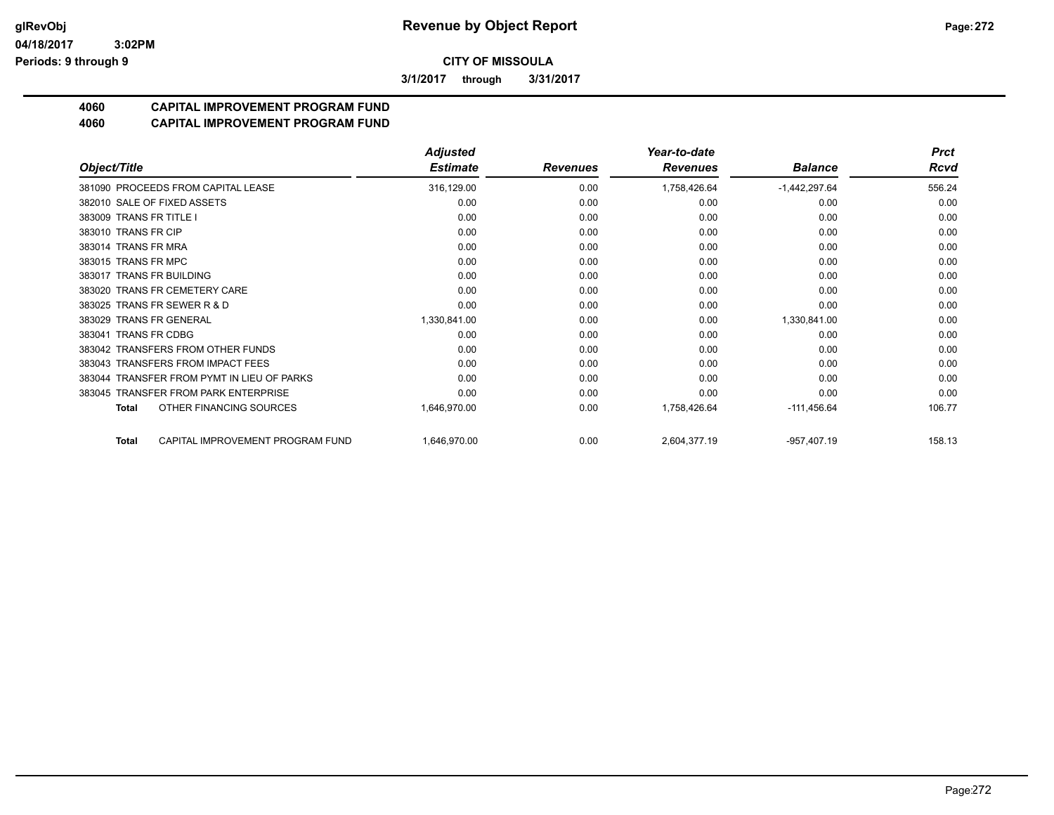**3/1/2017 through 3/31/2017**

## **4060 CAPITAL IMPROVEMENT PROGRAM FUND 4060 CAPITAL IMPROVEMENT PROGRAM FUND**

|                                                  | <b>Adjusted</b> |                 | Year-to-date    |                 | <b>Prct</b> |
|--------------------------------------------------|-----------------|-----------------|-----------------|-----------------|-------------|
| Object/Title                                     | <b>Estimate</b> | <b>Revenues</b> | <b>Revenues</b> | <b>Balance</b>  | Rcvd        |
| 381090 PROCEEDS FROM CAPITAL LEASE               | 316,129.00      | 0.00            | 1,758,426.64    | $-1,442,297.64$ | 556.24      |
| 382010 SALE OF FIXED ASSETS                      | 0.00            | 0.00            | 0.00            | 0.00            | 0.00        |
| 383009 TRANS FR TITLE I                          | 0.00            | 0.00            | 0.00            | 0.00            | 0.00        |
| 383010 TRANS FR CIP                              | 0.00            | 0.00            | 0.00            | 0.00            | 0.00        |
| 383014 TRANS FR MRA                              | 0.00            | 0.00            | 0.00            | 0.00            | 0.00        |
| 383015 TRANS FR MPC                              | 0.00            | 0.00            | 0.00            | 0.00            | 0.00        |
| 383017 TRANS FR BUILDING                         | 0.00            | 0.00            | 0.00            | 0.00            | 0.00        |
| 383020 TRANS FR CEMETERY CARE                    | 0.00            | 0.00            | 0.00            | 0.00            | 0.00        |
| 383025 TRANS FR SEWER R & D                      | 0.00            | 0.00            | 0.00            | 0.00            | 0.00        |
| 383029 TRANS FR GENERAL                          | 1,330,841.00    | 0.00            | 0.00            | 1,330,841.00    | 0.00        |
| 383041 TRANS FR CDBG                             | 0.00            | 0.00            | 0.00            | 0.00            | 0.00        |
| 383042 TRANSFERS FROM OTHER FUNDS                | 0.00            | 0.00            | 0.00            | 0.00            | 0.00        |
| 383043 TRANSFERS FROM IMPACT FEES                | 0.00            | 0.00            | 0.00            | 0.00            | 0.00        |
| 383044 TRANSFER FROM PYMT IN LIEU OF PARKS       | 0.00            | 0.00            | 0.00            | 0.00            | 0.00        |
| 383045 TRANSFER FROM PARK ENTERPRISE             | 0.00            | 0.00            | 0.00            | 0.00            | 0.00        |
| OTHER FINANCING SOURCES<br><b>Total</b>          | 1,646,970.00    | 0.00            | 1,758,426.64    | $-111,456.64$   | 106.77      |
| CAPITAL IMPROVEMENT PROGRAM FUND<br><b>Total</b> | 1,646,970.00    | 0.00            | 2,604,377.19    | $-957,407.19$   | 158.13      |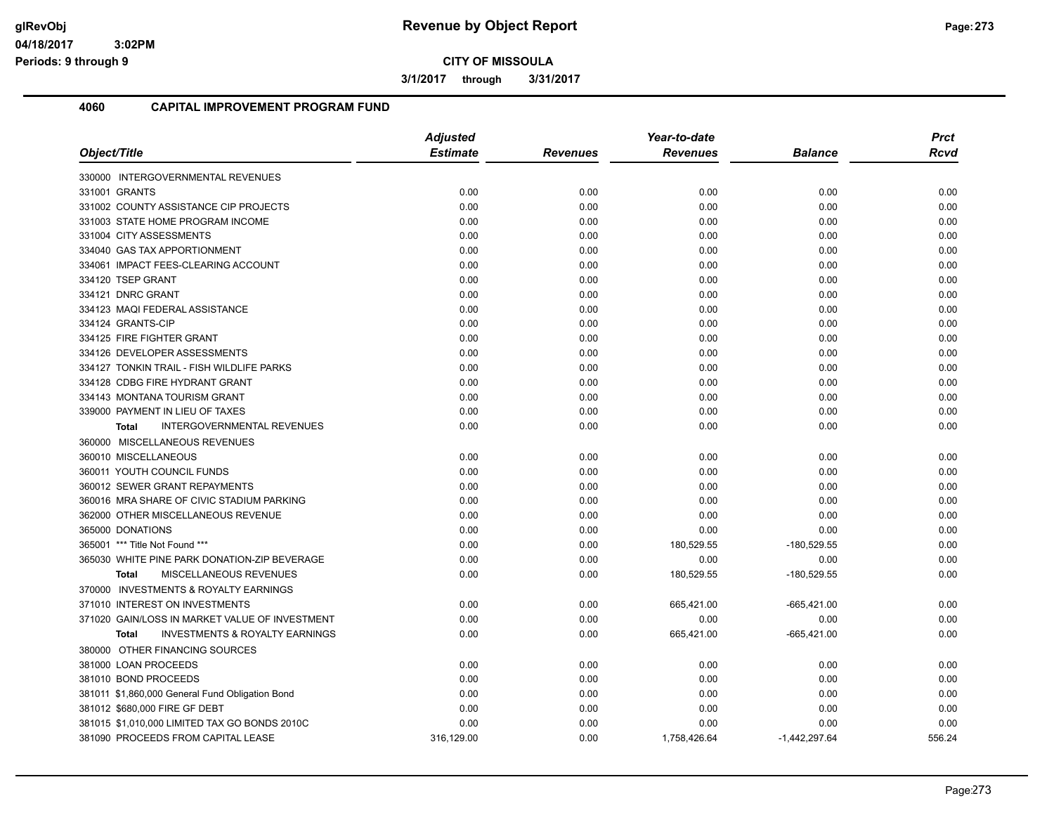**3/1/2017 through 3/31/2017**

## **4060 CAPITAL IMPROVEMENT PROGRAM FUND**

|                                                           | <b>Adjusted</b> |                 | Year-to-date    |                 | <b>Prct</b> |
|-----------------------------------------------------------|-----------------|-----------------|-----------------|-----------------|-------------|
| Object/Title                                              | <b>Estimate</b> | <b>Revenues</b> | <b>Revenues</b> | <b>Balance</b>  | <b>Rcvd</b> |
| 330000 INTERGOVERNMENTAL REVENUES                         |                 |                 |                 |                 |             |
| 331001 GRANTS                                             | 0.00            | 0.00            | 0.00            | 0.00            | 0.00        |
| 331002 COUNTY ASSISTANCE CIP PROJECTS                     | 0.00            | 0.00            | 0.00            | 0.00            | 0.00        |
| 331003 STATE HOME PROGRAM INCOME                          | 0.00            | 0.00            | 0.00            | 0.00            | 0.00        |
| 331004 CITY ASSESSMENTS                                   | 0.00            | 0.00            | 0.00            | 0.00            | 0.00        |
| 334040 GAS TAX APPORTIONMENT                              | 0.00            | 0.00            | 0.00            | 0.00            | 0.00        |
| 334061 IMPACT FEES-CLEARING ACCOUNT                       | 0.00            | 0.00            | 0.00            | 0.00            | 0.00        |
| 334120 TSEP GRANT                                         | 0.00            | 0.00            | 0.00            | 0.00            | 0.00        |
| 334121 DNRC GRANT                                         | 0.00            | 0.00            | 0.00            | 0.00            | 0.00        |
| 334123 MAQI FEDERAL ASSISTANCE                            | 0.00            | 0.00            | 0.00            | 0.00            | 0.00        |
| 334124 GRANTS-CIP                                         | 0.00            | 0.00            | 0.00            | 0.00            | 0.00        |
| 334125 FIRE FIGHTER GRANT                                 | 0.00            | 0.00            | 0.00            | 0.00            | 0.00        |
| 334126 DEVELOPER ASSESSMENTS                              | 0.00            | 0.00            | 0.00            | 0.00            | 0.00        |
| 334127 TONKIN TRAIL - FISH WILDLIFE PARKS                 | 0.00            | 0.00            | 0.00            | 0.00            | 0.00        |
| 334128 CDBG FIRE HYDRANT GRANT                            | 0.00            | 0.00            | 0.00            | 0.00            | 0.00        |
| 334143 MONTANA TOURISM GRANT                              | 0.00            | 0.00            | 0.00            | 0.00            | 0.00        |
| 339000 PAYMENT IN LIEU OF TAXES                           | 0.00            | 0.00            | 0.00            | 0.00            | 0.00        |
| <b>INTERGOVERNMENTAL REVENUES</b><br><b>Total</b>         | 0.00            | 0.00            | 0.00            | 0.00            | 0.00        |
| 360000 MISCELLANEOUS REVENUES                             |                 |                 |                 |                 |             |
| 360010 MISCELLANEOUS                                      | 0.00            | 0.00            | 0.00            | 0.00            | 0.00        |
| 360011 YOUTH COUNCIL FUNDS                                | 0.00            | 0.00            | 0.00            | 0.00            | 0.00        |
| 360012 SEWER GRANT REPAYMENTS                             | 0.00            | 0.00            | 0.00            | 0.00            | 0.00        |
| 360016 MRA SHARE OF CIVIC STADIUM PARKING                 | 0.00            | 0.00            | 0.00            | 0.00            | 0.00        |
| 362000 OTHER MISCELLANEOUS REVENUE                        | 0.00            | 0.00            | 0.00            | 0.00            | 0.00        |
| 365000 DONATIONS                                          | 0.00            | 0.00            | 0.00            | 0.00            | 0.00        |
| 365001 *** Title Not Found ***                            | 0.00            | 0.00            | 180,529.55      | $-180,529.55$   | 0.00        |
| 365030 WHITE PINE PARK DONATION-ZIP BEVERAGE              | 0.00            | 0.00            | 0.00            | 0.00            | 0.00        |
| MISCELLANEOUS REVENUES<br><b>Total</b>                    | 0.00            | 0.00            | 180,529.55      | $-180,529.55$   | 0.00        |
| 370000 INVESTMENTS & ROYALTY EARNINGS                     |                 |                 |                 |                 |             |
| 371010 INTEREST ON INVESTMENTS                            | 0.00            | 0.00            | 665,421.00      | $-665,421.00$   | 0.00        |
| 371020 GAIN/LOSS IN MARKET VALUE OF INVESTMENT            | 0.00            | 0.00            | 0.00            | 0.00            | 0.00        |
| <b>INVESTMENTS &amp; ROYALTY EARNINGS</b><br><b>Total</b> | 0.00            | 0.00            | 665,421.00      | $-665,421.00$   | 0.00        |
| 380000 OTHER FINANCING SOURCES                            |                 |                 |                 |                 |             |
| 381000 LOAN PROCEEDS                                      | 0.00            | 0.00            | 0.00            | 0.00            | 0.00        |
| 381010 BOND PROCEEDS                                      | 0.00            | 0.00            | 0.00            | 0.00            | 0.00        |
| 381011 \$1,860,000 General Fund Obligation Bond           | 0.00            | 0.00            | 0.00            | 0.00            | 0.00        |
| 381012 \$680,000 FIRE GF DEBT                             | 0.00            | 0.00            | 0.00            | 0.00            | 0.00        |
| 381015 \$1,010,000 LIMITED TAX GO BONDS 2010C             | 0.00            | 0.00            | 0.00            | 0.00            | 0.00        |
| 381090 PROCEEDS FROM CAPITAL LEASE                        | 316.129.00      | 0.00            | 1,758,426.64    | $-1.442.297.64$ | 556.24      |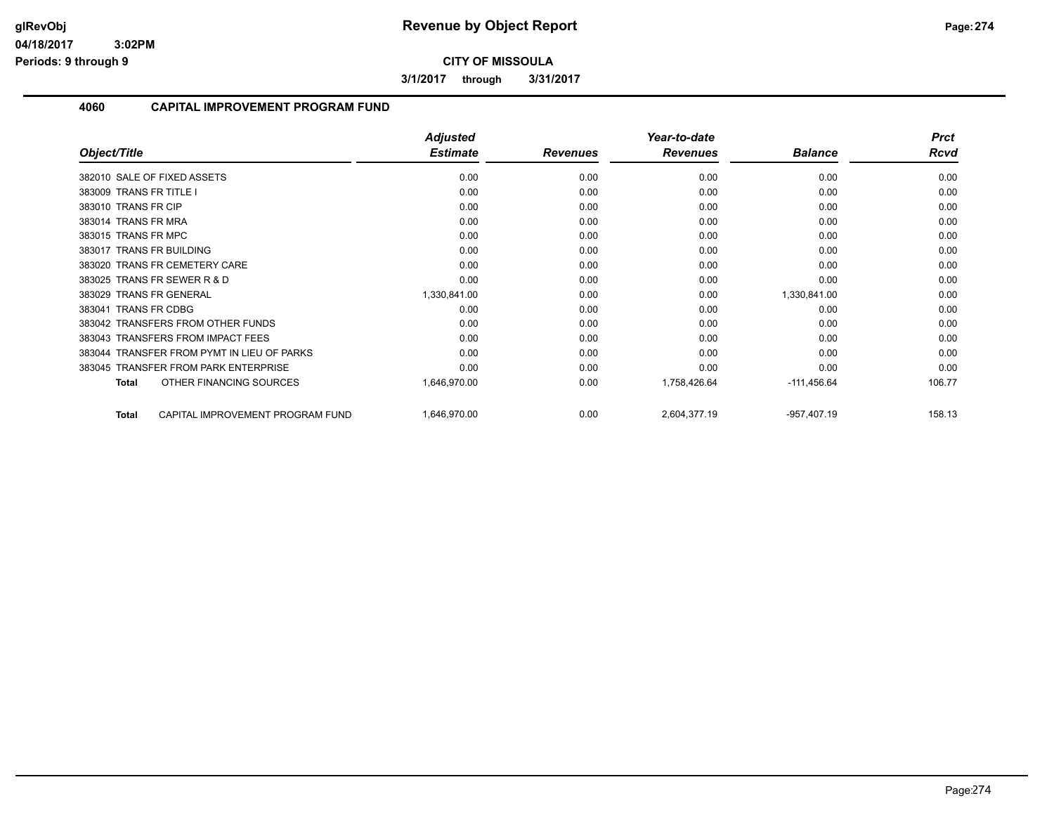**3/1/2017 through 3/31/2017**

## **4060 CAPITAL IMPROVEMENT PROGRAM FUND**

|                                                  | <b>Adjusted</b> |                 | Year-to-date    |                | <b>Prct</b> |
|--------------------------------------------------|-----------------|-----------------|-----------------|----------------|-------------|
| Object/Title                                     | <b>Estimate</b> | <b>Revenues</b> | <b>Revenues</b> | <b>Balance</b> | <b>Rcvd</b> |
| 382010 SALE OF FIXED ASSETS                      | 0.00            | 0.00            | 0.00            | 0.00           | 0.00        |
| 383009 TRANS FR TITLE I                          | 0.00            | 0.00            | 0.00            | 0.00           | 0.00        |
| 383010 TRANS FR CIP                              | 0.00            | 0.00            | 0.00            | 0.00           | 0.00        |
| 383014 TRANS FR MRA                              | 0.00            | 0.00            | 0.00            | 0.00           | 0.00        |
| 383015 TRANS FR MPC                              | 0.00            | 0.00            | 0.00            | 0.00           | 0.00        |
| 383017 TRANS FR BUILDING                         | 0.00            | 0.00            | 0.00            | 0.00           | 0.00        |
| 383020 TRANS FR CEMETERY CARE                    | 0.00            | 0.00            | 0.00            | 0.00           | 0.00        |
| 383025 TRANS FR SEWER R & D                      | 0.00            | 0.00            | 0.00            | 0.00           | 0.00        |
| 383029 TRANS FR GENERAL                          | 1,330,841.00    | 0.00            | 0.00            | 1,330,841.00   | 0.00        |
| <b>TRANS FR CDBG</b><br>383041                   | 0.00            | 0.00            | 0.00            | 0.00           | 0.00        |
| 383042 TRANSFERS FROM OTHER FUNDS                | 0.00            | 0.00            | 0.00            | 0.00           | 0.00        |
| 383043 TRANSFERS FROM IMPACT FEES                | 0.00            | 0.00            | 0.00            | 0.00           | 0.00        |
| 383044 TRANSFER FROM PYMT IN LIEU OF PARKS       | 0.00            | 0.00            | 0.00            | 0.00           | 0.00        |
| 383045 TRANSFER FROM PARK ENTERPRISE             | 0.00            | 0.00            | 0.00            | 0.00           | 0.00        |
| OTHER FINANCING SOURCES<br><b>Total</b>          | 1,646,970.00    | 0.00            | 1,758,426.64    | $-111,456.64$  | 106.77      |
| CAPITAL IMPROVEMENT PROGRAM FUND<br><b>Total</b> | 1,646,970.00    | 0.00            | 2,604,377.19    | $-957,407.19$  | 158.13      |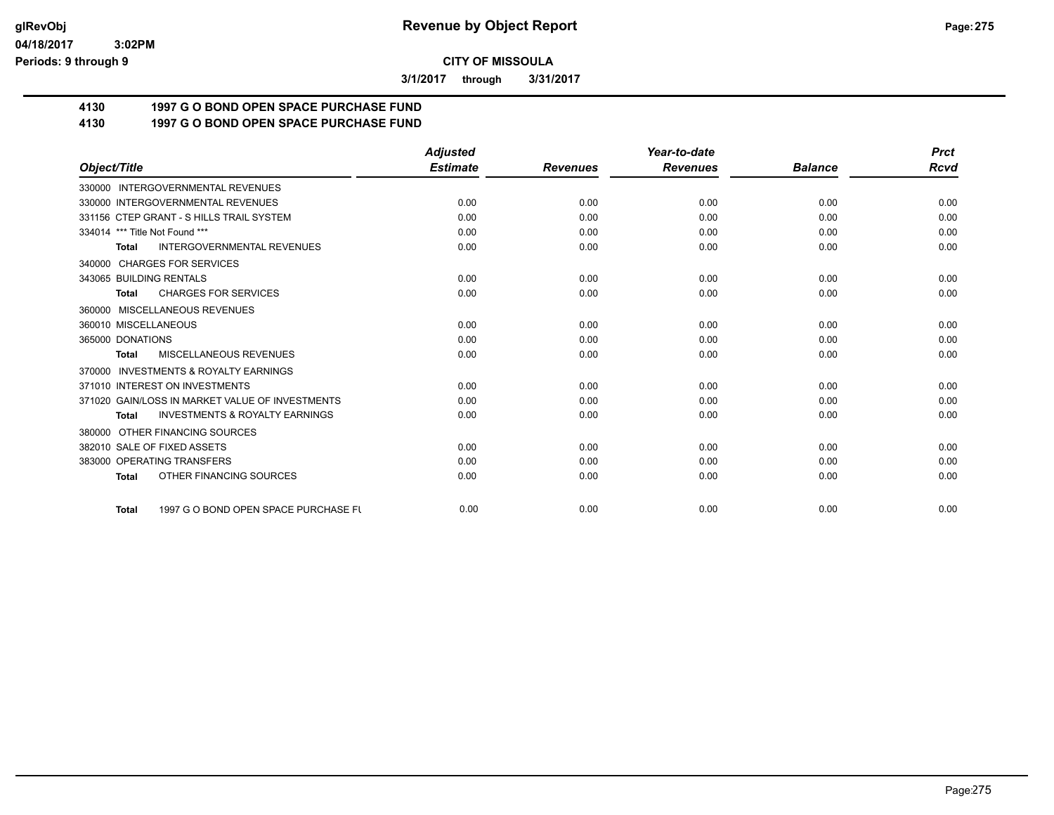**3/1/2017 through 3/31/2017**

## **4130 1997 G O BOND OPEN SPACE PURCHASE FUND 4130 1997 G O BOND OPEN SPACE PURCHASE FUND**

|                                                      | <b>Adjusted</b> |                 | Year-to-date    |                | <b>Prct</b> |
|------------------------------------------------------|-----------------|-----------------|-----------------|----------------|-------------|
| Object/Title                                         | <b>Estimate</b> | <b>Revenues</b> | <b>Revenues</b> | <b>Balance</b> | Rcvd        |
| 330000 INTERGOVERNMENTAL REVENUES                    |                 |                 |                 |                |             |
| 330000 INTERGOVERNMENTAL REVENUES                    | 0.00            | 0.00            | 0.00            | 0.00           | 0.00        |
| 331156 CTEP GRANT - S HILLS TRAIL SYSTEM             | 0.00            | 0.00            | 0.00            | 0.00           | 0.00        |
| 334014 *** Title Not Found ***                       | 0.00            | 0.00            | 0.00            | 0.00           | 0.00        |
| <b>INTERGOVERNMENTAL REVENUES</b><br><b>Total</b>    | 0.00            | 0.00            | 0.00            | 0.00           | 0.00        |
| 340000 CHARGES FOR SERVICES                          |                 |                 |                 |                |             |
| 343065 BUILDING RENTALS                              | 0.00            | 0.00            | 0.00            | 0.00           | 0.00        |
| <b>CHARGES FOR SERVICES</b><br><b>Total</b>          | 0.00            | 0.00            | 0.00            | 0.00           | 0.00        |
| MISCELLANEOUS REVENUES<br>360000                     |                 |                 |                 |                |             |
| 360010 MISCELLANEOUS                                 | 0.00            | 0.00            | 0.00            | 0.00           | 0.00        |
| 365000 DONATIONS                                     | 0.00            | 0.00            | 0.00            | 0.00           | 0.00        |
| MISCELLANEOUS REVENUES<br>Total                      | 0.00            | 0.00            | 0.00            | 0.00           | 0.00        |
| <b>INVESTMENTS &amp; ROYALTY EARNINGS</b><br>370000  |                 |                 |                 |                |             |
| 371010 INTEREST ON INVESTMENTS                       | 0.00            | 0.00            | 0.00            | 0.00           | 0.00        |
| 371020 GAIN/LOSS IN MARKET VALUE OF INVESTMENTS      | 0.00            | 0.00            | 0.00            | 0.00           | 0.00        |
| <b>INVESTMENTS &amp; ROYALTY EARNINGS</b><br>Total   | 0.00            | 0.00            | 0.00            | 0.00           | 0.00        |
| OTHER FINANCING SOURCES<br>380000                    |                 |                 |                 |                |             |
| 382010 SALE OF FIXED ASSETS                          | 0.00            | 0.00            | 0.00            | 0.00           | 0.00        |
| 383000 OPERATING TRANSFERS                           | 0.00            | 0.00            | 0.00            | 0.00           | 0.00        |
| OTHER FINANCING SOURCES<br><b>Total</b>              | 0.00            | 0.00            | 0.00            | 0.00           | 0.00        |
| 1997 G O BOND OPEN SPACE PURCHASE FU<br><b>Total</b> | 0.00            | 0.00            | 0.00            | 0.00           | 0.00        |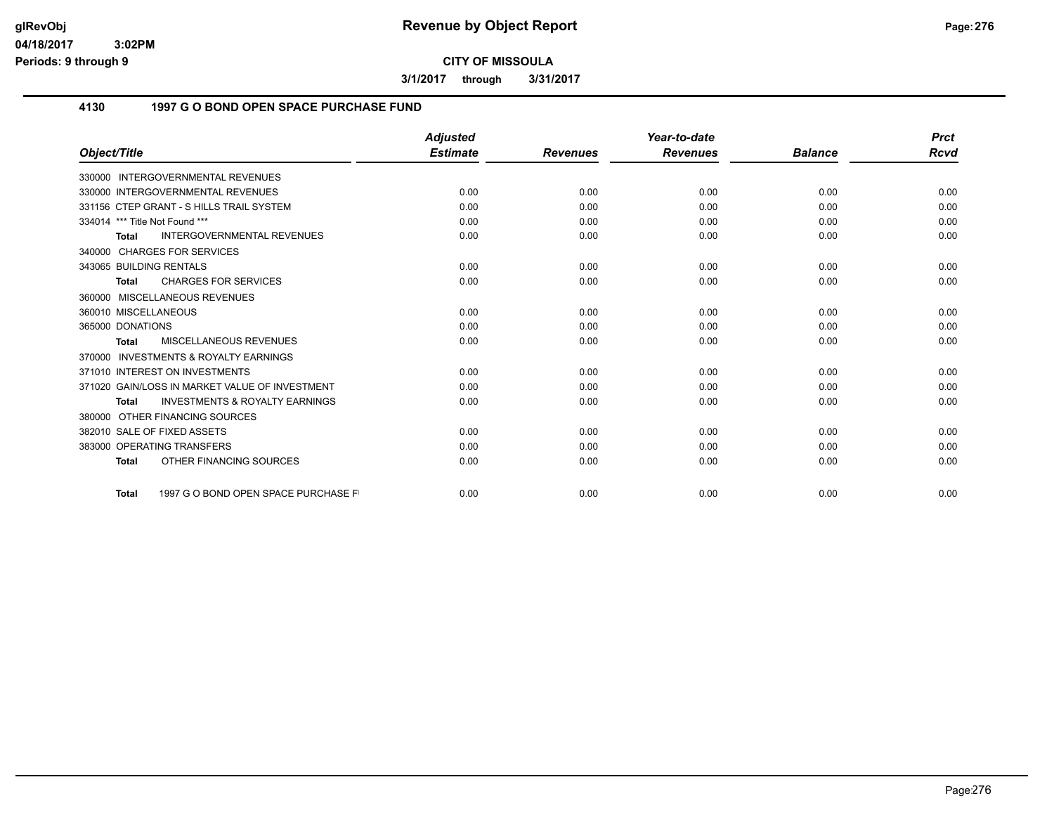**3/1/2017 through 3/31/2017**

## **4130 1997 G O BOND OPEN SPACE PURCHASE FUND**

|                                                     | <b>Adjusted</b> |                 | Year-to-date    |                | <b>Prct</b> |
|-----------------------------------------------------|-----------------|-----------------|-----------------|----------------|-------------|
| Object/Title                                        | <b>Estimate</b> | <b>Revenues</b> | <b>Revenues</b> | <b>Balance</b> | <b>Rcvd</b> |
| 330000 INTERGOVERNMENTAL REVENUES                   |                 |                 |                 |                |             |
| 330000 INTERGOVERNMENTAL REVENUES                   | 0.00            | 0.00            | 0.00            | 0.00           | 0.00        |
| 331156 CTEP GRANT - S HILLS TRAIL SYSTEM            | 0.00            | 0.00            | 0.00            | 0.00           | 0.00        |
| 334014 *** Title Not Found ***                      | 0.00            | 0.00            | 0.00            | 0.00           | 0.00        |
| <b>INTERGOVERNMENTAL REVENUES</b><br><b>Total</b>   | 0.00            | 0.00            | 0.00            | 0.00           | 0.00        |
| 340000 CHARGES FOR SERVICES                         |                 |                 |                 |                |             |
| 343065 BUILDING RENTALS                             | 0.00            | 0.00            | 0.00            | 0.00           | 0.00        |
| <b>CHARGES FOR SERVICES</b><br><b>Total</b>         | 0.00            | 0.00            | 0.00            | 0.00           | 0.00        |
| 360000 MISCELLANEOUS REVENUES                       |                 |                 |                 |                |             |
| 360010 MISCELLANEOUS                                | 0.00            | 0.00            | 0.00            | 0.00           | 0.00        |
| 365000 DONATIONS                                    | 0.00            | 0.00            | 0.00            | 0.00           | 0.00        |
| <b>MISCELLANEOUS REVENUES</b><br><b>Total</b>       | 0.00            | 0.00            | 0.00            | 0.00           | 0.00        |
| 370000 INVESTMENTS & ROYALTY EARNINGS               |                 |                 |                 |                |             |
| 371010 INTEREST ON INVESTMENTS                      | 0.00            | 0.00            | 0.00            | 0.00           | 0.00        |
| 371020 GAIN/LOSS IN MARKET VALUE OF INVESTMENT      | 0.00            | 0.00            | 0.00            | 0.00           | 0.00        |
| <b>INVESTMENTS &amp; ROYALTY EARNINGS</b><br>Total  | 0.00            | 0.00            | 0.00            | 0.00           | 0.00        |
| 380000 OTHER FINANCING SOURCES                      |                 |                 |                 |                |             |
| 382010 SALE OF FIXED ASSETS                         | 0.00            | 0.00            | 0.00            | 0.00           | 0.00        |
| 383000 OPERATING TRANSFERS                          | 0.00            | 0.00            | 0.00            | 0.00           | 0.00        |
| OTHER FINANCING SOURCES<br><b>Total</b>             | 0.00            | 0.00            | 0.00            | 0.00           | 0.00        |
| 1997 G O BOND OPEN SPACE PURCHASE F<br><b>Total</b> | 0.00            | 0.00            | 0.00            | 0.00           | 0.00        |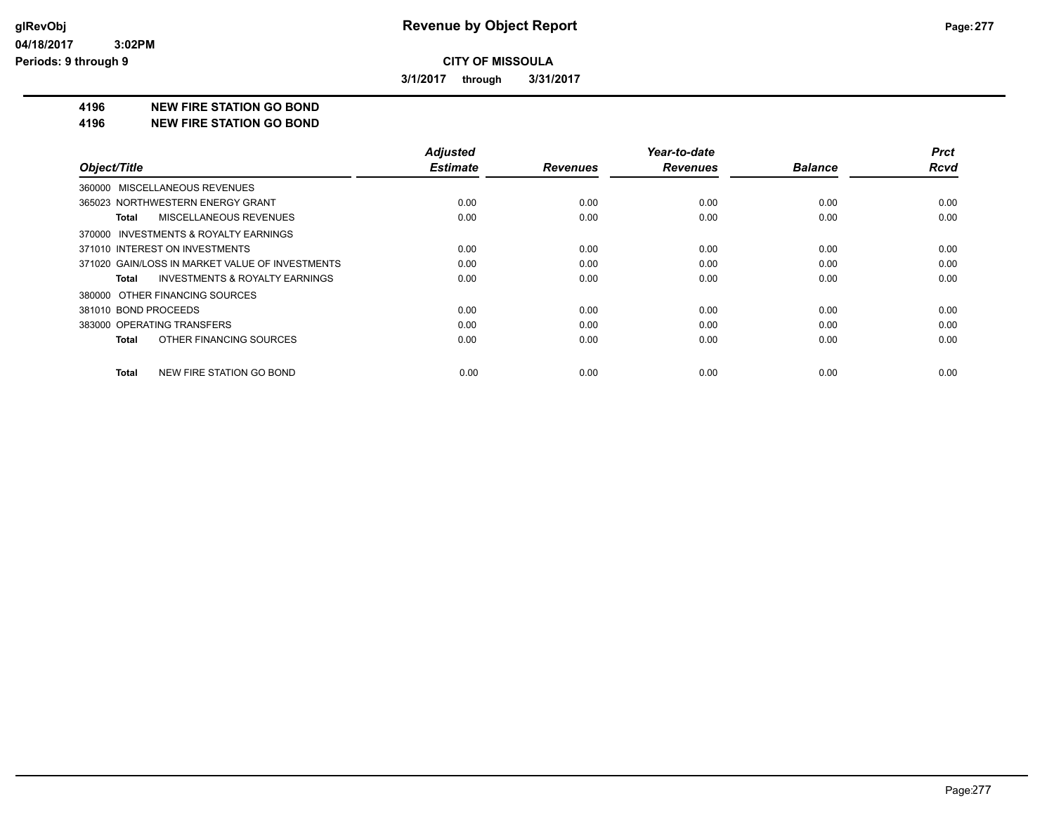**3/1/2017 through 3/31/2017**

**4196 NEW FIRE STATION GO BOND**

**4196 NEW FIRE STATION GO BOND**

|                                                    | <b>Adjusted</b> |                 | Year-to-date    |                | <b>Prct</b> |
|----------------------------------------------------|-----------------|-----------------|-----------------|----------------|-------------|
| Object/Title                                       | <b>Estimate</b> | <b>Revenues</b> | <b>Revenues</b> | <b>Balance</b> | Rcvd        |
| 360000 MISCELLANEOUS REVENUES                      |                 |                 |                 |                |             |
| 365023 NORTHWESTERN ENERGY GRANT                   | 0.00            | 0.00            | 0.00            | 0.00           | 0.00        |
| MISCELLANEOUS REVENUES<br>Total                    | 0.00            | 0.00            | 0.00            | 0.00           | 0.00        |
| 370000 INVESTMENTS & ROYALTY EARNINGS              |                 |                 |                 |                |             |
| 371010 INTEREST ON INVESTMENTS                     | 0.00            | 0.00            | 0.00            | 0.00           | 0.00        |
| 371020 GAIN/LOSS IN MARKET VALUE OF INVESTMENTS    | 0.00            | 0.00            | 0.00            | 0.00           | 0.00        |
| <b>INVESTMENTS &amp; ROYALTY EARNINGS</b><br>Total | 0.00            | 0.00            | 0.00            | 0.00           | 0.00        |
| 380000 OTHER FINANCING SOURCES                     |                 |                 |                 |                |             |
| 381010 BOND PROCEEDS                               | 0.00            | 0.00            | 0.00            | 0.00           | 0.00        |
| 383000 OPERATING TRANSFERS                         | 0.00            | 0.00            | 0.00            | 0.00           | 0.00        |
| OTHER FINANCING SOURCES<br>Total                   | 0.00            | 0.00            | 0.00            | 0.00           | 0.00        |
| NEW FIRE STATION GO BOND<br><b>Total</b>           | 0.00            | 0.00            | 0.00            | 0.00           | 0.00        |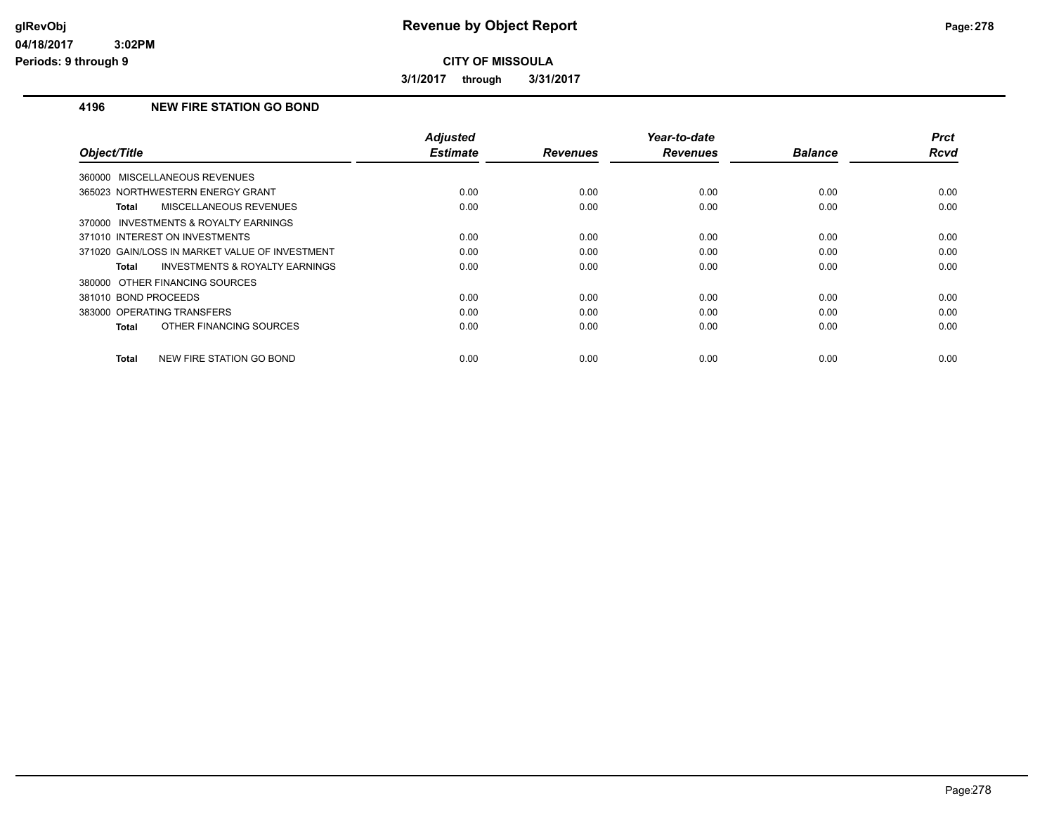**3/1/2017 through 3/31/2017**

## **4196 NEW FIRE STATION GO BOND**

| Object/Title                                       | <b>Adjusted</b><br><b>Estimate</b> | <b>Revenues</b> | Year-to-date<br><b>Revenues</b> | <b>Balance</b> | <b>Prct</b><br>Rcvd |
|----------------------------------------------------|------------------------------------|-----------------|---------------------------------|----------------|---------------------|
|                                                    |                                    |                 |                                 |                |                     |
| 360000 MISCELLANEOUS REVENUES                      |                                    |                 |                                 |                |                     |
| 365023 NORTHWESTERN ENERGY GRANT                   | 0.00                               | 0.00            | 0.00                            | 0.00           | 0.00                |
| MISCELLANEOUS REVENUES<br><b>Total</b>             | 0.00                               | 0.00            | 0.00                            | 0.00           | 0.00                |
| 370000 INVESTMENTS & ROYALTY EARNINGS              |                                    |                 |                                 |                |                     |
| 371010 INTEREST ON INVESTMENTS                     | 0.00                               | 0.00            | 0.00                            | 0.00           | 0.00                |
| 371020 GAIN/LOSS IN MARKET VALUE OF INVESTMENT     | 0.00                               | 0.00            | 0.00                            | 0.00           | 0.00                |
| <b>INVESTMENTS &amp; ROYALTY EARNINGS</b><br>Total | 0.00                               | 0.00            | 0.00                            | 0.00           | 0.00                |
| 380000 OTHER FINANCING SOURCES                     |                                    |                 |                                 |                |                     |
| 381010 BOND PROCEEDS                               | 0.00                               | 0.00            | 0.00                            | 0.00           | 0.00                |
| 383000 OPERATING TRANSFERS                         | 0.00                               | 0.00            | 0.00                            | 0.00           | 0.00                |
| OTHER FINANCING SOURCES<br><b>Total</b>            | 0.00                               | 0.00            | 0.00                            | 0.00           | 0.00                |
| NEW FIRE STATION GO BOND<br><b>Total</b>           | 0.00                               | 0.00            | 0.00                            | 0.00           | 0.00                |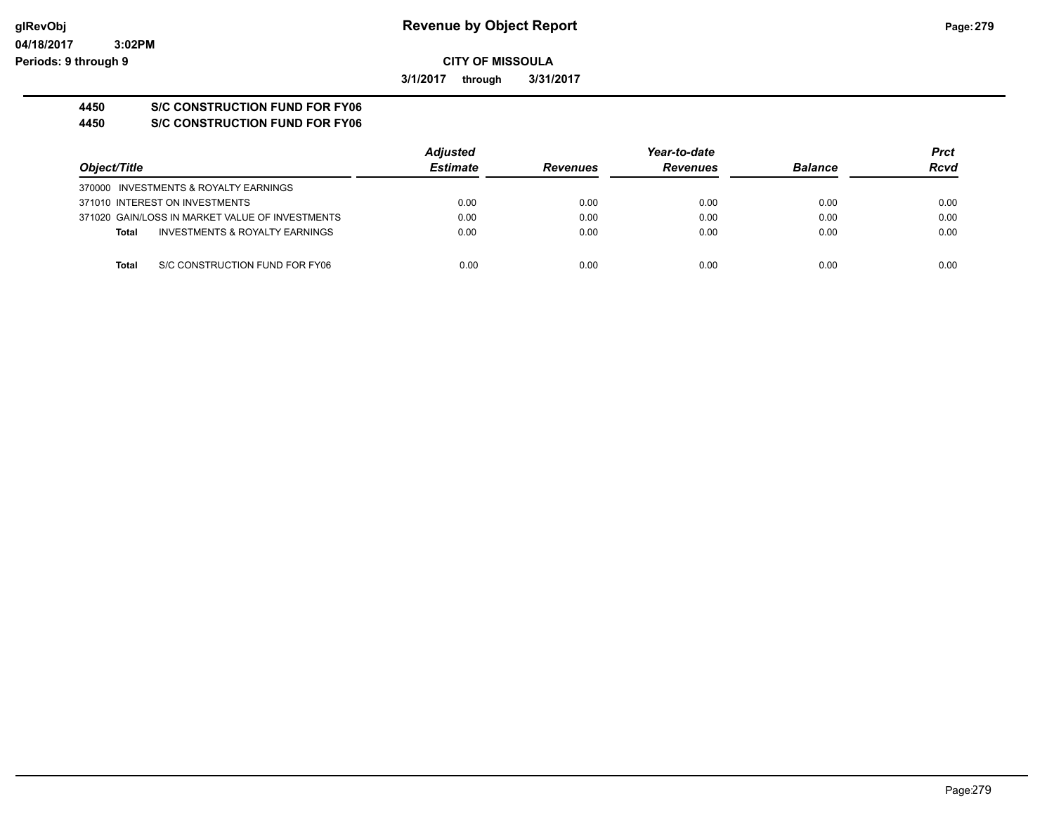**3/1/2017 through 3/31/2017**

## **4450 S/C CONSTRUCTION FUND FOR FY06 4450 S/C CONSTRUCTION FUND FOR FY06**

|                                                 | <b>Adjusted</b> |                 | Year-to-date    |                | <b>Prct</b> |
|-------------------------------------------------|-----------------|-----------------|-----------------|----------------|-------------|
| Object/Title                                    | <b>Estimate</b> | <b>Revenues</b> | <b>Revenues</b> | <b>Balance</b> | <b>Rcvd</b> |
| 370000 INVESTMENTS & ROYALTY EARNINGS           |                 |                 |                 |                |             |
| 371010 INTEREST ON INVESTMENTS                  | 0.00            | 0.00            | 0.00            | 0.00           | 0.00        |
| 371020 GAIN/LOSS IN MARKET VALUE OF INVESTMENTS | 0.00            | 0.00            | 0.00            | 0.00           | 0.00        |
| INVESTMENTS & ROYALTY EARNINGS<br><b>Total</b>  | 0.00            | 0.00            | 0.00            | 0.00           | 0.00        |
|                                                 |                 |                 |                 |                |             |
| S/C CONSTRUCTION FUND FOR FY06<br><b>Total</b>  | 0.00            | 0.00            | 0.00            | 0.00           | 0.00        |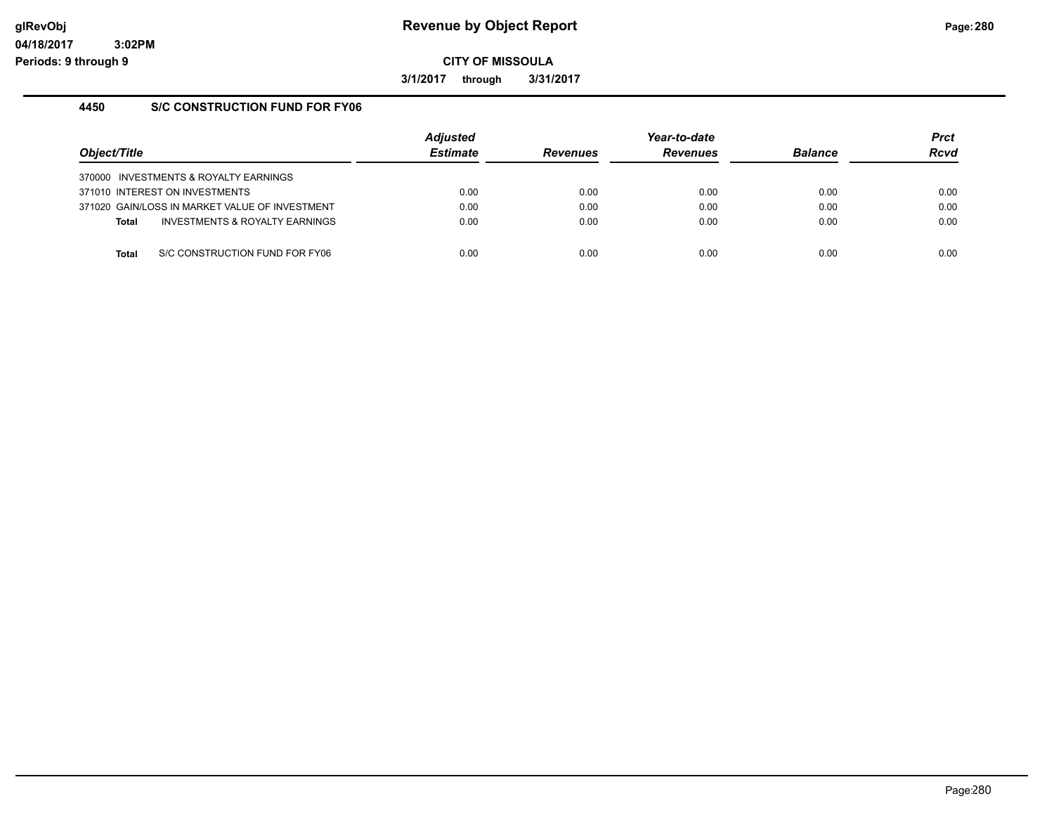**3/1/2017 through 3/31/2017**

#### **4450 S/C CONSTRUCTION FUND FOR FY06**

|                                                | <b>Adjusted</b> |                 | Year-to-date    |                | <b>Prct</b> |
|------------------------------------------------|-----------------|-----------------|-----------------|----------------|-------------|
| Object/Title                                   | <b>Estimate</b> | <b>Revenues</b> | <b>Revenues</b> | <b>Balance</b> | <b>Rcvd</b> |
| 370000 INVESTMENTS & ROYALTY EARNINGS          |                 |                 |                 |                |             |
| 371010 INTEREST ON INVESTMENTS                 | 0.00            | 0.00            | 0.00            | 0.00           | 0.00        |
| 371020 GAIN/LOSS IN MARKET VALUE OF INVESTMENT | 0.00            | 0.00            | 0.00            | 0.00           | 0.00        |
| INVESTMENTS & ROYALTY EARNINGS<br>Total        | 0.00            | 0.00            | 0.00            | 0.00           | 0.00        |
| <b>Total</b><br>S/C CONSTRUCTION FUND FOR FY06 | 0.00            | 0.00            | 0.00            | 0.00           | 0.00        |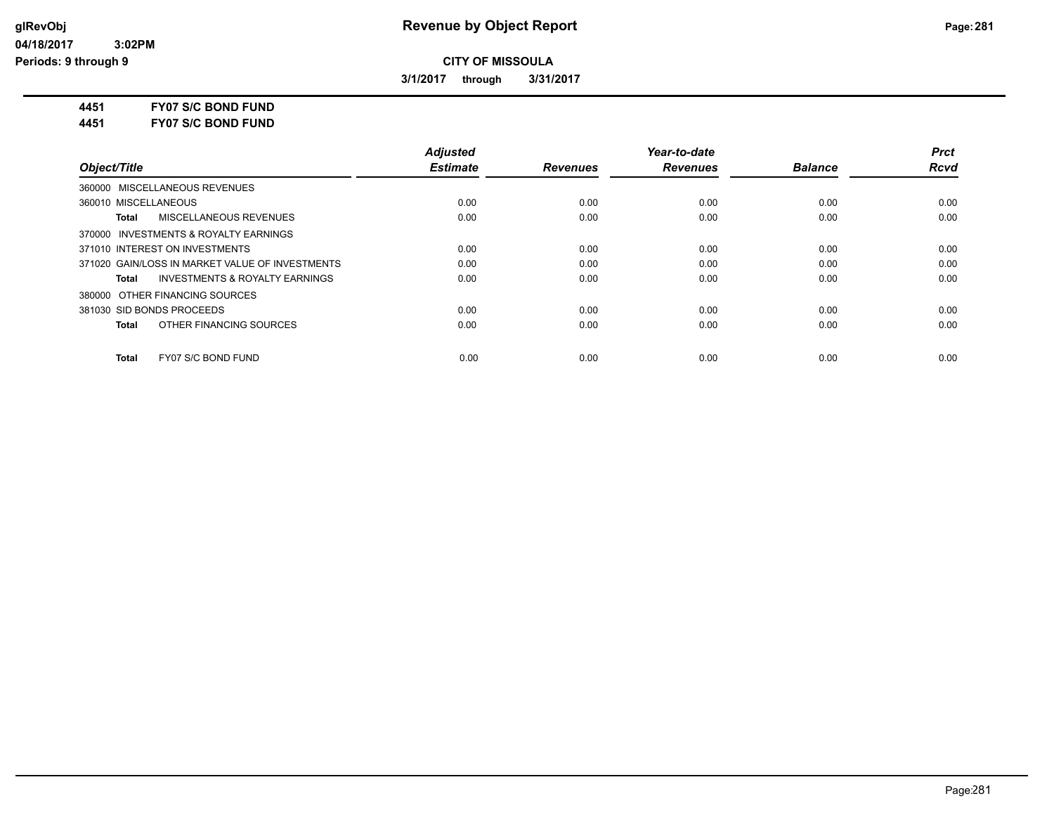**3/1/2017 through 3/31/2017**

**4451 FY07 S/C BOND FUND**

**4451 FY07 S/C BOND FUND**

|                                                    | <b>Adjusted</b> |                 | Year-to-date    |                | <b>Prct</b> |
|----------------------------------------------------|-----------------|-----------------|-----------------|----------------|-------------|
| Object/Title                                       | <b>Estimate</b> | <b>Revenues</b> | <b>Revenues</b> | <b>Balance</b> | Rcvd        |
| 360000 MISCELLANEOUS REVENUES                      |                 |                 |                 |                |             |
| 360010 MISCELLANEOUS                               | 0.00            | 0.00            | 0.00            | 0.00           | 0.00        |
| <b>MISCELLANEOUS REVENUES</b><br>Total             | 0.00            | 0.00            | 0.00            | 0.00           | 0.00        |
| 370000 INVESTMENTS & ROYALTY EARNINGS              |                 |                 |                 |                |             |
| 371010 INTEREST ON INVESTMENTS                     | 0.00            | 0.00            | 0.00            | 0.00           | 0.00        |
| 371020 GAIN/LOSS IN MARKET VALUE OF INVESTMENTS    | 0.00            | 0.00            | 0.00            | 0.00           | 0.00        |
| <b>INVESTMENTS &amp; ROYALTY EARNINGS</b><br>Total | 0.00            | 0.00            | 0.00            | 0.00           | 0.00        |
| 380000 OTHER FINANCING SOURCES                     |                 |                 |                 |                |             |
| 381030 SID BONDS PROCEEDS                          | 0.00            | 0.00            | 0.00            | 0.00           | 0.00        |
| OTHER FINANCING SOURCES<br>Total                   | 0.00            | 0.00            | 0.00            | 0.00           | 0.00        |
| FY07 S/C BOND FUND<br><b>Total</b>                 | 0.00            | 0.00            | 0.00            | 0.00           | 0.00        |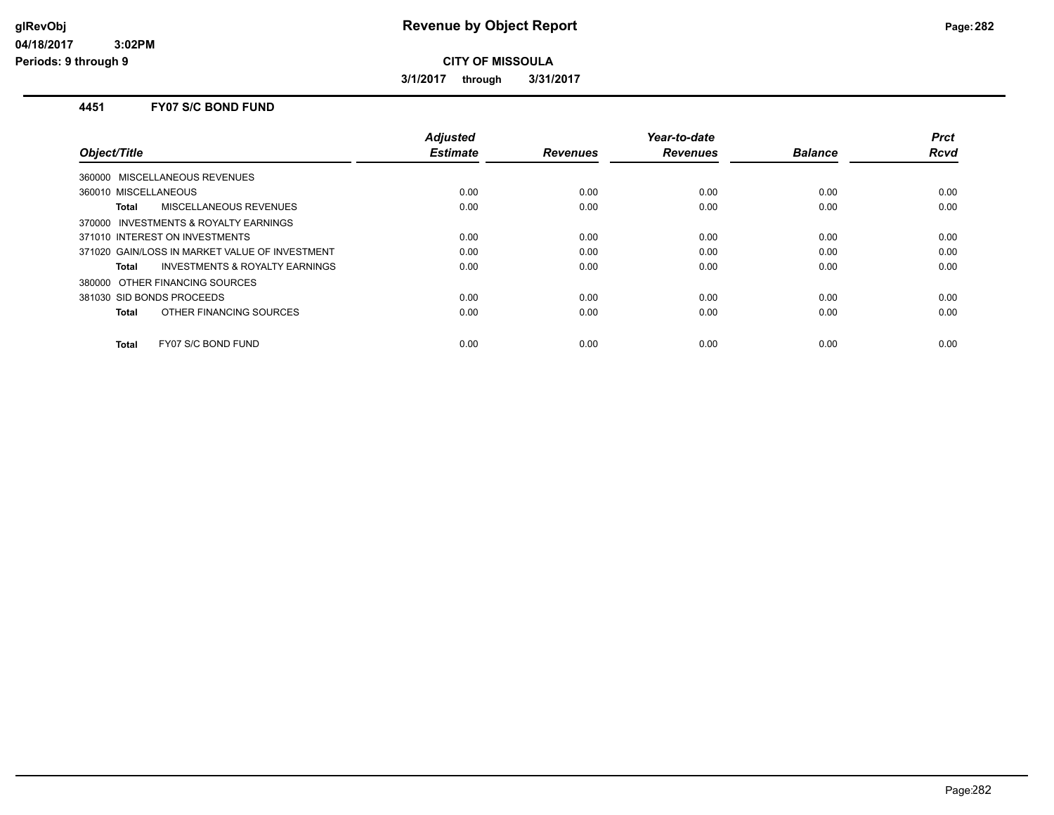**3/1/2017 through 3/31/2017**

#### **4451 FY07 S/C BOND FUND**

| Object/Title                                   | <b>Adjusted</b><br><b>Estimate</b> | <b>Revenues</b> | Year-to-date<br><b>Revenues</b> | <b>Balance</b> | <b>Prct</b><br><b>Rcvd</b> |
|------------------------------------------------|------------------------------------|-----------------|---------------------------------|----------------|----------------------------|
|                                                |                                    |                 |                                 |                |                            |
| MISCELLANEOUS REVENUES<br>360000               |                                    |                 |                                 |                |                            |
| 360010 MISCELLANEOUS                           | 0.00                               | 0.00            | 0.00                            | 0.00           | 0.00                       |
| <b>MISCELLANEOUS REVENUES</b><br><b>Total</b>  | 0.00                               | 0.00            | 0.00                            | 0.00           | 0.00                       |
| 370000 INVESTMENTS & ROYALTY EARNINGS          |                                    |                 |                                 |                |                            |
| 371010 INTEREST ON INVESTMENTS                 | 0.00                               | 0.00            | 0.00                            | 0.00           | 0.00                       |
| 371020 GAIN/LOSS IN MARKET VALUE OF INVESTMENT | 0.00                               | 0.00            | 0.00                            | 0.00           | 0.00                       |
| INVESTMENTS & ROYALTY EARNINGS<br>Total        | 0.00                               | 0.00            | 0.00                            | 0.00           | 0.00                       |
| 380000 OTHER FINANCING SOURCES                 |                                    |                 |                                 |                |                            |
| 381030 SID BONDS PROCEEDS                      | 0.00                               | 0.00            | 0.00                            | 0.00           | 0.00                       |
| OTHER FINANCING SOURCES<br><b>Total</b>        | 0.00                               | 0.00            | 0.00                            | 0.00           | 0.00                       |
| FY07 S/C BOND FUND<br>Total                    | 0.00                               | 0.00            | 0.00                            | 0.00           | 0.00                       |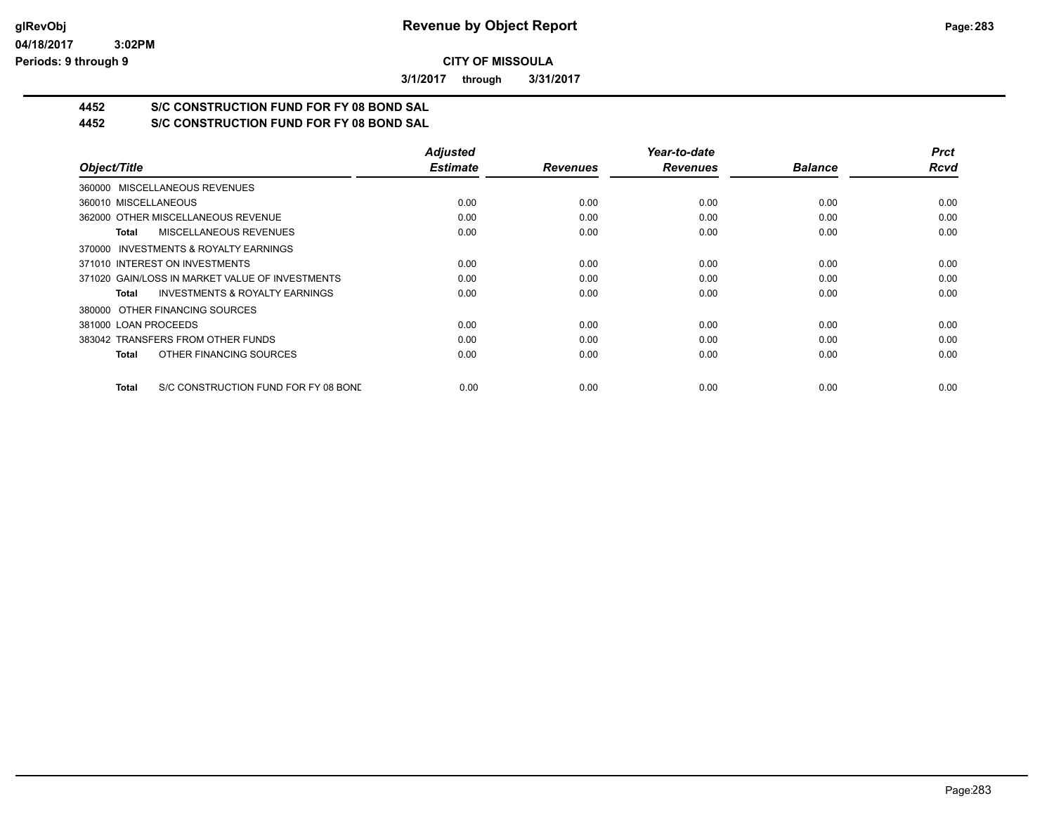**3/1/2017 through 3/31/2017**

# **4452 S/C CONSTRUCTION FUND FOR FY 08 BOND SAL**

**4452 S/C CONSTRUCTION FUND FOR FY 08 BOND SAL**

|                                                 | <b>Adjusted</b> |                 | Year-to-date    |                | <b>Prct</b> |
|-------------------------------------------------|-----------------|-----------------|-----------------|----------------|-------------|
| Object/Title                                    | <b>Estimate</b> | <b>Revenues</b> | <b>Revenues</b> | <b>Balance</b> | <b>Rcvd</b> |
| 360000 MISCELLANEOUS REVENUES                   |                 |                 |                 |                |             |
| 360010 MISCELLANEOUS                            | 0.00            | 0.00            | 0.00            | 0.00           | 0.00        |
| 362000 OTHER MISCELLANEOUS REVENUE              | 0.00            | 0.00            | 0.00            | 0.00           | 0.00        |
| MISCELLANEOUS REVENUES<br>Total                 | 0.00            | 0.00            | 0.00            | 0.00           | 0.00        |
| 370000 INVESTMENTS & ROYALTY EARNINGS           |                 |                 |                 |                |             |
| 371010 INTEREST ON INVESTMENTS                  | 0.00            | 0.00            | 0.00            | 0.00           | 0.00        |
| 371020 GAIN/LOSS IN MARKET VALUE OF INVESTMENTS | 0.00            | 0.00            | 0.00            | 0.00           | 0.00        |
| INVESTMENTS & ROYALTY EARNINGS<br>Total         | 0.00            | 0.00            | 0.00            | 0.00           | 0.00        |
| 380000 OTHER FINANCING SOURCES                  |                 |                 |                 |                |             |
| 381000 LOAN PROCEEDS                            | 0.00            | 0.00            | 0.00            | 0.00           | 0.00        |
| 383042 TRANSFERS FROM OTHER FUNDS               | 0.00            | 0.00            | 0.00            | 0.00           | 0.00        |
| OTHER FINANCING SOURCES<br>Total                | 0.00            | 0.00            | 0.00            | 0.00           | 0.00        |
| S/C CONSTRUCTION FUND FOR FY 08 BONE<br>Total   | 0.00            | 0.00            | 0.00            | 0.00           | 0.00        |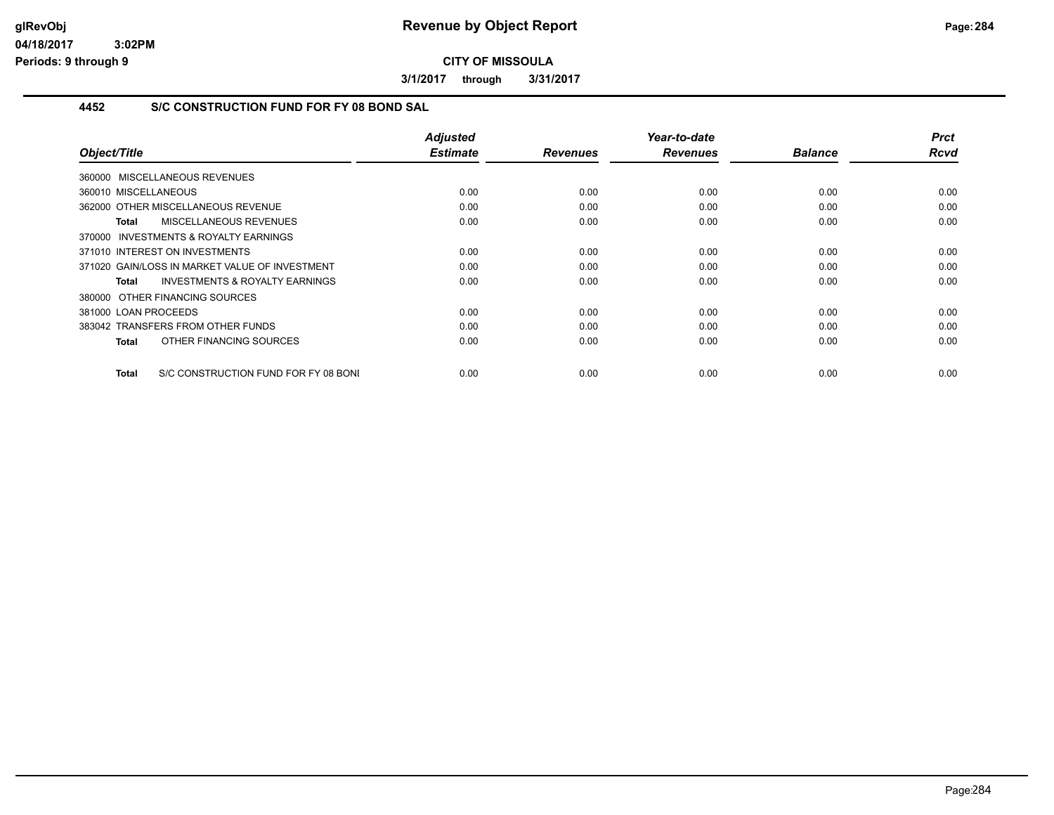**3/1/2017 through 3/31/2017**

## **4452 S/C CONSTRUCTION FUND FOR FY 08 BOND SAL**

|                                                     | <b>Adjusted</b> |                 | Year-to-date    |                | <b>Prct</b> |
|-----------------------------------------------------|-----------------|-----------------|-----------------|----------------|-------------|
| Object/Title                                        | <b>Estimate</b> | <b>Revenues</b> | <b>Revenues</b> | <b>Balance</b> | <b>Rcvd</b> |
| 360000 MISCELLANEOUS REVENUES                       |                 |                 |                 |                |             |
| 360010 MISCELLANEOUS                                | 0.00            | 0.00            | 0.00            | 0.00           | 0.00        |
| 362000 OTHER MISCELLANEOUS REVENUE                  | 0.00            | 0.00            | 0.00            | 0.00           | 0.00        |
| <b>MISCELLANEOUS REVENUES</b><br>Total              | 0.00            | 0.00            | 0.00            | 0.00           | 0.00        |
| <b>INVESTMENTS &amp; ROYALTY EARNINGS</b><br>370000 |                 |                 |                 |                |             |
| 371010 INTEREST ON INVESTMENTS                      | 0.00            | 0.00            | 0.00            | 0.00           | 0.00        |
| 371020 GAIN/LOSS IN MARKET VALUE OF INVESTMENT      | 0.00            | 0.00            | 0.00            | 0.00           | 0.00        |
| INVESTMENTS & ROYALTY EARNINGS<br>Total             | 0.00            | 0.00            | 0.00            | 0.00           | 0.00        |
| 380000 OTHER FINANCING SOURCES                      |                 |                 |                 |                |             |
| 381000 LOAN PROCEEDS                                | 0.00            | 0.00            | 0.00            | 0.00           | 0.00        |
| 383042 TRANSFERS FROM OTHER FUNDS                   | 0.00            | 0.00            | 0.00            | 0.00           | 0.00        |
| OTHER FINANCING SOURCES<br>Total                    | 0.00            | 0.00            | 0.00            | 0.00           | 0.00        |
|                                                     |                 |                 |                 |                |             |
| S/C CONSTRUCTION FUND FOR FY 08 BONI<br>Total       | 0.00            | 0.00            | 0.00            | 0.00           | 0.00        |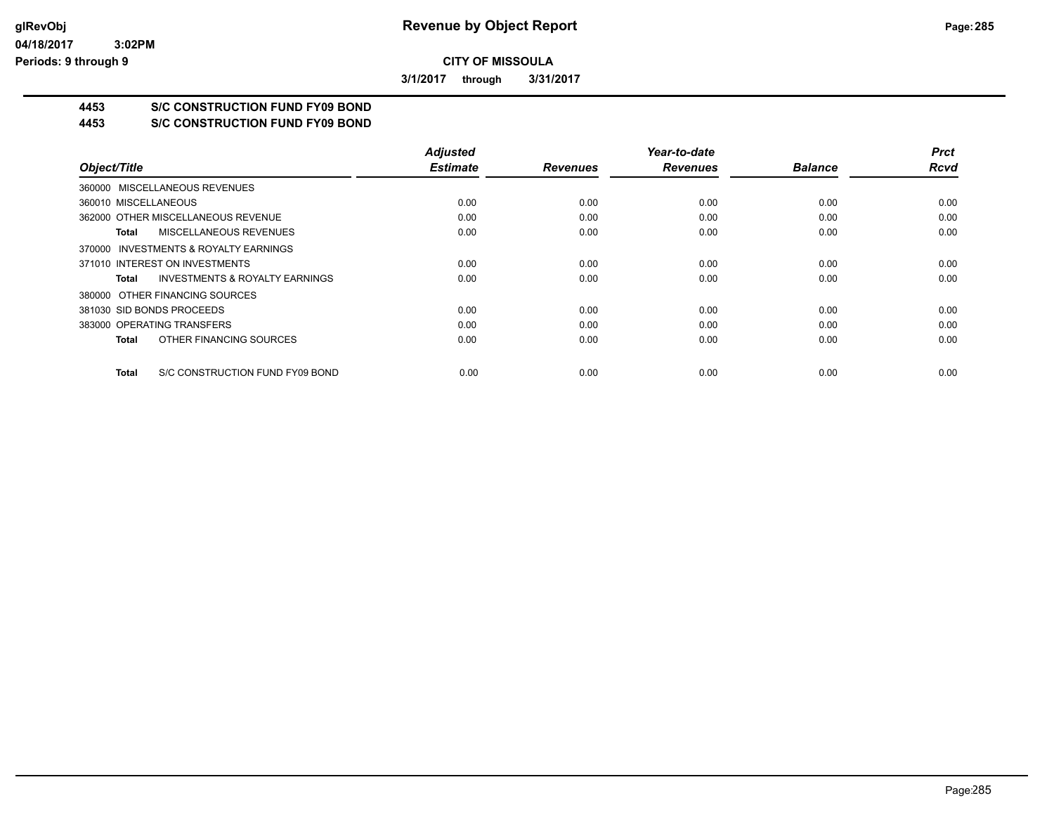**3/1/2017 through 3/31/2017**

# **4453 S/C CONSTRUCTION FUND FY09 BOND**

**4453 S/C CONSTRUCTION FUND FY09 BOND**

|                                                    | <b>Adjusted</b> |                 | Year-to-date    |                | <b>Prct</b> |
|----------------------------------------------------|-----------------|-----------------|-----------------|----------------|-------------|
| Object/Title                                       | <b>Estimate</b> | <b>Revenues</b> | <b>Revenues</b> | <b>Balance</b> | Rcvd        |
| 360000 MISCELLANEOUS REVENUES                      |                 |                 |                 |                |             |
| 360010 MISCELLANEOUS                               | 0.00            | 0.00            | 0.00            | 0.00           | 0.00        |
| 362000 OTHER MISCELLANEOUS REVENUE                 | 0.00            | 0.00            | 0.00            | 0.00           | 0.00        |
| MISCELLANEOUS REVENUES<br>Total                    | 0.00            | 0.00            | 0.00            | 0.00           | 0.00        |
| INVESTMENTS & ROYALTY EARNINGS<br>370000           |                 |                 |                 |                |             |
| 371010 INTEREST ON INVESTMENTS                     | 0.00            | 0.00            | 0.00            | 0.00           | 0.00        |
| <b>INVESTMENTS &amp; ROYALTY EARNINGS</b><br>Total | 0.00            | 0.00            | 0.00            | 0.00           | 0.00        |
| 380000 OTHER FINANCING SOURCES                     |                 |                 |                 |                |             |
| 381030 SID BONDS PROCEEDS                          | 0.00            | 0.00            | 0.00            | 0.00           | 0.00        |
| 383000 OPERATING TRANSFERS                         | 0.00            | 0.00            | 0.00            | 0.00           | 0.00        |
| OTHER FINANCING SOURCES<br>Total                   | 0.00            | 0.00            | 0.00            | 0.00           | 0.00        |
| S/C CONSTRUCTION FUND FY09 BOND<br>Total           | 0.00            | 0.00            | 0.00            | 0.00           | 0.00        |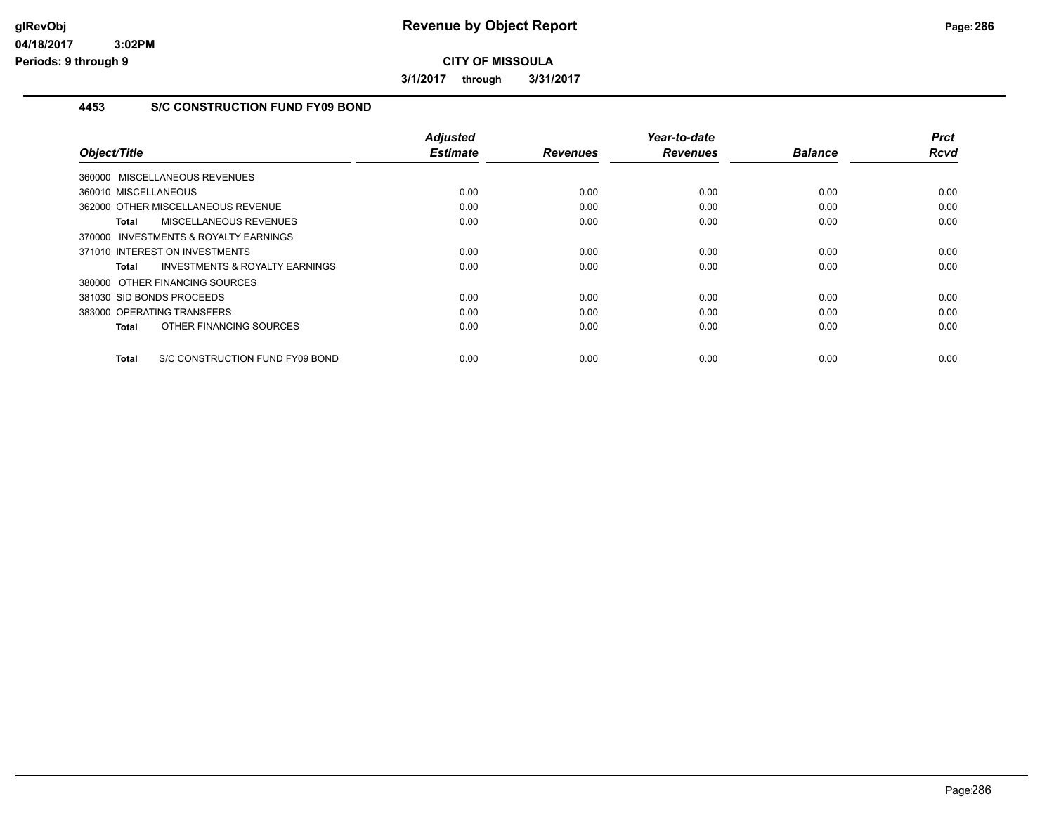**3/1/2017 through 3/31/2017**

## **4453 S/C CONSTRUCTION FUND FY09 BOND**

|                                                 | <b>Adjusted</b> |                 | Year-to-date    |                | <b>Prct</b> |
|-------------------------------------------------|-----------------|-----------------|-----------------|----------------|-------------|
| Object/Title                                    | <b>Estimate</b> | <b>Revenues</b> | <b>Revenues</b> | <b>Balance</b> | <b>Rcvd</b> |
| 360000 MISCELLANEOUS REVENUES                   |                 |                 |                 |                |             |
| 360010 MISCELLANEOUS                            | 0.00            | 0.00            | 0.00            | 0.00           | 0.00        |
| 362000 OTHER MISCELLANEOUS REVENUE              | 0.00            | 0.00            | 0.00            | 0.00           | 0.00        |
| MISCELLANEOUS REVENUES<br>Total                 | 0.00            | 0.00            | 0.00            | 0.00           | 0.00        |
| 370000 INVESTMENTS & ROYALTY EARNINGS           |                 |                 |                 |                |             |
| 371010 INTEREST ON INVESTMENTS                  | 0.00            | 0.00            | 0.00            | 0.00           | 0.00        |
| INVESTMENTS & ROYALTY EARNINGS<br>Total         | 0.00            | 0.00            | 0.00            | 0.00           | 0.00        |
| 380000 OTHER FINANCING SOURCES                  |                 |                 |                 |                |             |
| 381030 SID BONDS PROCEEDS                       | 0.00            | 0.00            | 0.00            | 0.00           | 0.00        |
| 383000 OPERATING TRANSFERS                      | 0.00            | 0.00            | 0.00            | 0.00           | 0.00        |
| OTHER FINANCING SOURCES<br><b>Total</b>         | 0.00            | 0.00            | 0.00            | 0.00           | 0.00        |
| S/C CONSTRUCTION FUND FY09 BOND<br><b>Total</b> | 0.00            | 0.00            | 0.00            | 0.00           | 0.00        |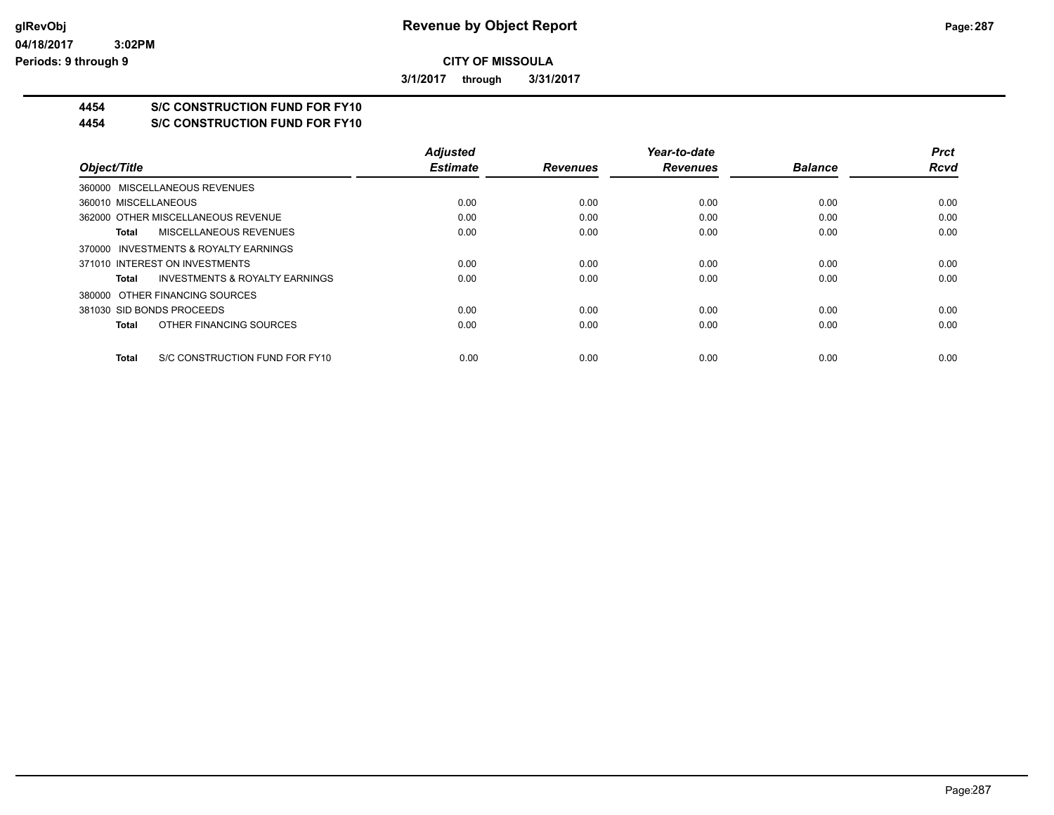**3/1/2017 through 3/31/2017**

## **4454 S/C CONSTRUCTION FUND FOR FY10**

**4454 S/C CONSTRUCTION FUND FOR FY10**

|                                                    | <b>Adjusted</b> |                 | Year-to-date    |                | <b>Prct</b> |
|----------------------------------------------------|-----------------|-----------------|-----------------|----------------|-------------|
| Object/Title                                       | <b>Estimate</b> | <b>Revenues</b> | <b>Revenues</b> | <b>Balance</b> | Rcvd        |
| 360000 MISCELLANEOUS REVENUES                      |                 |                 |                 |                |             |
| 360010 MISCELLANEOUS                               | 0.00            | 0.00            | 0.00            | 0.00           | 0.00        |
| 362000 OTHER MISCELLANEOUS REVENUE                 | 0.00            | 0.00            | 0.00            | 0.00           | 0.00        |
| MISCELLANEOUS REVENUES<br>Total                    | 0.00            | 0.00            | 0.00            | 0.00           | 0.00        |
| 370000 INVESTMENTS & ROYALTY EARNINGS              |                 |                 |                 |                |             |
| 371010 INTEREST ON INVESTMENTS                     | 0.00            | 0.00            | 0.00            | 0.00           | 0.00        |
| <b>INVESTMENTS &amp; ROYALTY EARNINGS</b><br>Total | 0.00            | 0.00            | 0.00            | 0.00           | 0.00        |
| 380000 OTHER FINANCING SOURCES                     |                 |                 |                 |                |             |
| 381030 SID BONDS PROCEEDS                          | 0.00            | 0.00            | 0.00            | 0.00           | 0.00        |
| OTHER FINANCING SOURCES<br>Total                   | 0.00            | 0.00            | 0.00            | 0.00           | 0.00        |
| <b>Total</b><br>S/C CONSTRUCTION FUND FOR FY10     | 0.00            | 0.00            | 0.00            | 0.00           | 0.00        |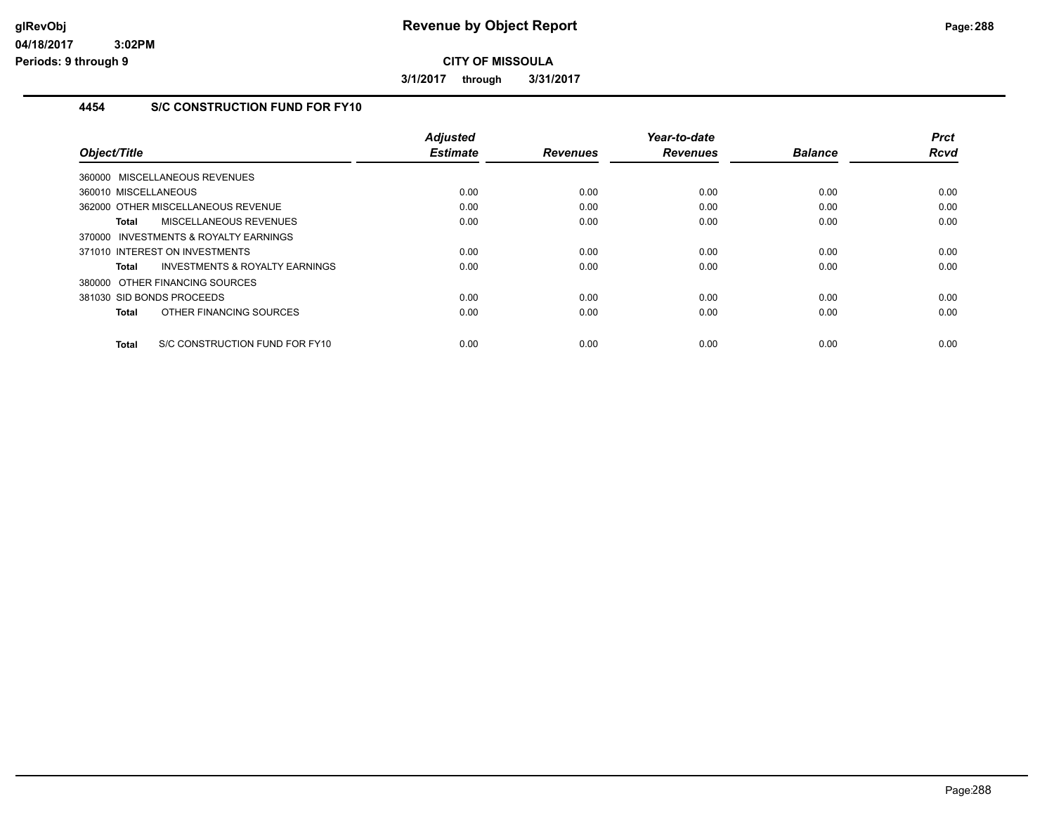**3/1/2017 through 3/31/2017**

## **4454 S/C CONSTRUCTION FUND FOR FY10**

| Object/Title                                        | <b>Adjusted</b><br><b>Estimate</b> | <b>Revenues</b> | Year-to-date<br><b>Revenues</b> | <b>Balance</b> | <b>Prct</b><br><b>Rcvd</b> |
|-----------------------------------------------------|------------------------------------|-----------------|---------------------------------|----------------|----------------------------|
|                                                     |                                    |                 |                                 |                |                            |
| 360000 MISCELLANEOUS REVENUES                       |                                    |                 |                                 |                |                            |
| 360010 MISCELLANEOUS                                | 0.00                               | 0.00            | 0.00                            | 0.00           | 0.00                       |
| 362000 OTHER MISCELLANEOUS REVENUE                  | 0.00                               | 0.00            | 0.00                            | 0.00           | 0.00                       |
| MISCELLANEOUS REVENUES<br>Total                     | 0.00                               | 0.00            | 0.00                            | 0.00           | 0.00                       |
| <b>INVESTMENTS &amp; ROYALTY EARNINGS</b><br>370000 |                                    |                 |                                 |                |                            |
| 371010 INTEREST ON INVESTMENTS                      | 0.00                               | 0.00            | 0.00                            | 0.00           | 0.00                       |
| <b>INVESTMENTS &amp; ROYALTY EARNINGS</b><br>Total  | 0.00                               | 0.00            | 0.00                            | 0.00           | 0.00                       |
| 380000 OTHER FINANCING SOURCES                      |                                    |                 |                                 |                |                            |
| 381030 SID BONDS PROCEEDS                           | 0.00                               | 0.00            | 0.00                            | 0.00           | 0.00                       |
| OTHER FINANCING SOURCES<br>Total                    | 0.00                               | 0.00            | 0.00                            | 0.00           | 0.00                       |
| <b>Total</b><br>S/C CONSTRUCTION FUND FOR FY10      | 0.00                               | 0.00            | 0.00                            | 0.00           | 0.00                       |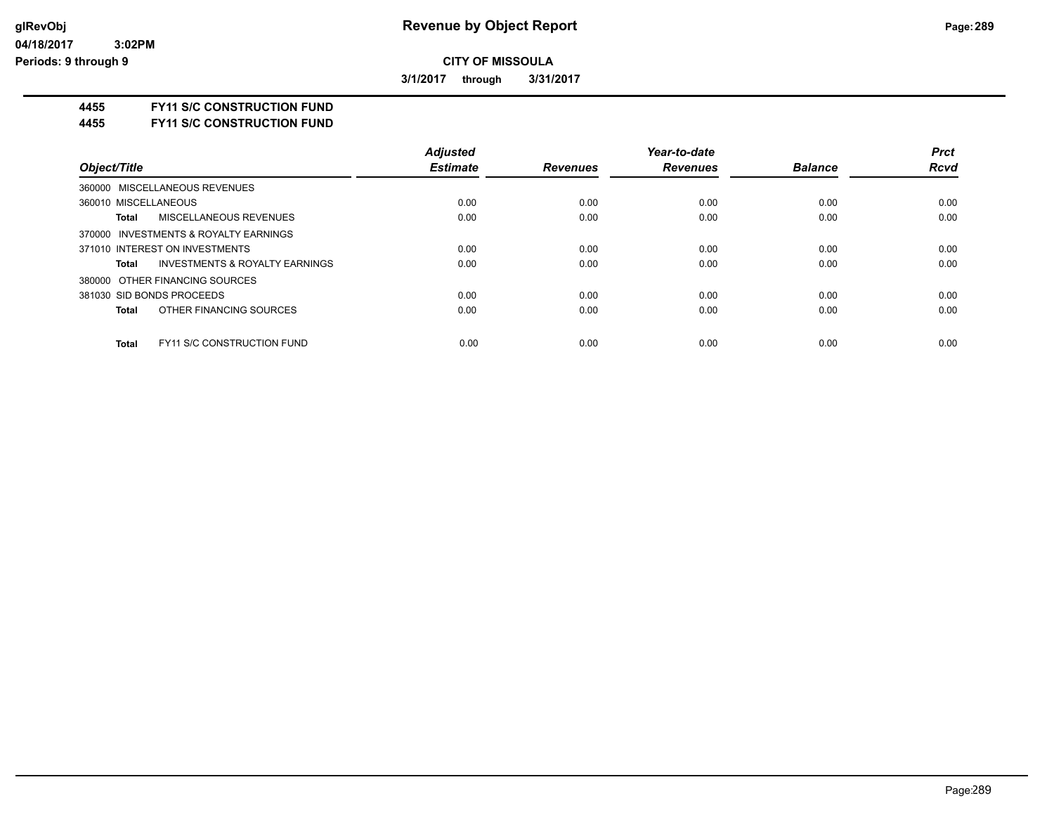**3/1/2017 through 3/31/2017**

**4455 FY11 S/C CONSTRUCTION FUND**

**4455 FY11 S/C CONSTRUCTION FUND**

|                                         | <b>Adjusted</b> |                 | Year-to-date    |                | <b>Prct</b> |
|-----------------------------------------|-----------------|-----------------|-----------------|----------------|-------------|
| Object/Title                            | <b>Estimate</b> | <b>Revenues</b> | <b>Revenues</b> | <b>Balance</b> | <b>Rcvd</b> |
| 360000 MISCELLANEOUS REVENUES           |                 |                 |                 |                |             |
| 360010 MISCELLANEOUS                    | 0.00            | 0.00            | 0.00            | 0.00           | 0.00        |
| <b>MISCELLANEOUS REVENUES</b><br>Total  | 0.00            | 0.00            | 0.00            | 0.00           | 0.00        |
| 370000 INVESTMENTS & ROYALTY EARNINGS   |                 |                 |                 |                |             |
| 371010 INTEREST ON INVESTMENTS          | 0.00            | 0.00            | 0.00            | 0.00           | 0.00        |
| INVESTMENTS & ROYALTY EARNINGS<br>Total | 0.00            | 0.00            | 0.00            | 0.00           | 0.00        |
| 380000 OTHER FINANCING SOURCES          |                 |                 |                 |                |             |
| 381030 SID BONDS PROCEEDS               | 0.00            | 0.00            | 0.00            | 0.00           | 0.00        |
| OTHER FINANCING SOURCES<br>Total        | 0.00            | 0.00            | 0.00            | 0.00           | 0.00        |
|                                         |                 |                 |                 |                |             |
| FY11 S/C CONSTRUCTION FUND<br>Total     | 0.00            | 0.00            | 0.00            | 0.00           | 0.00        |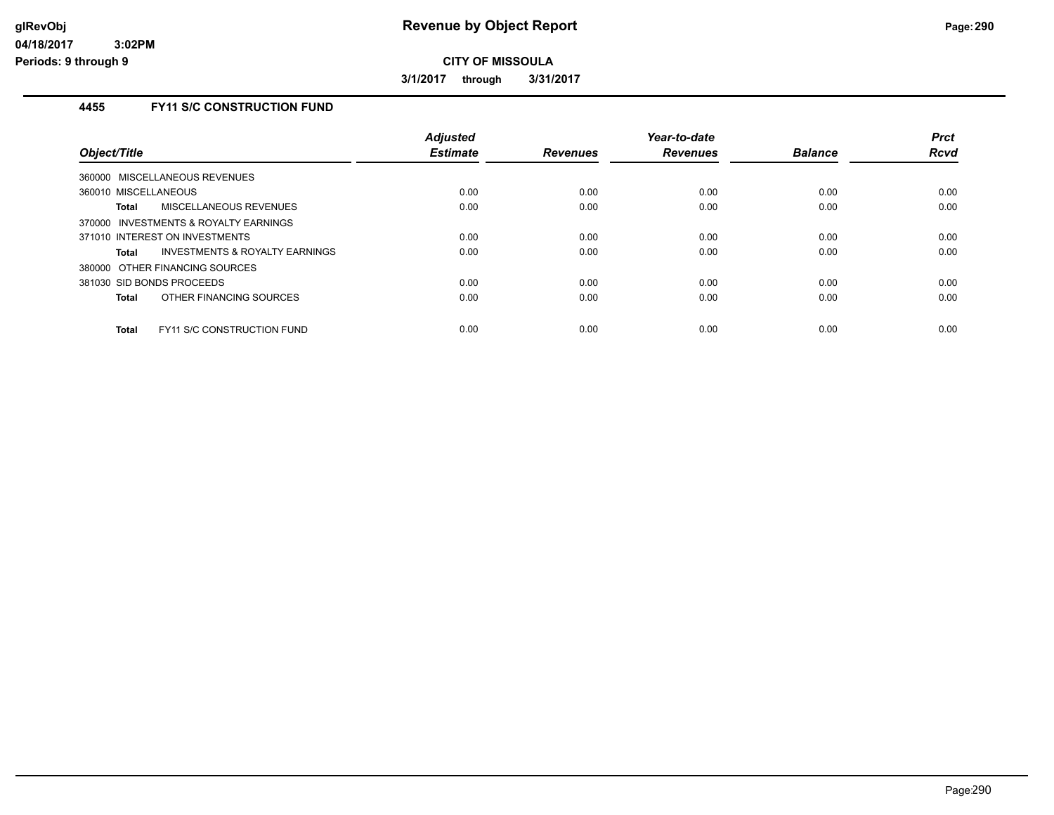**3/1/2017 through 3/31/2017**

### **4455 FY11 S/C CONSTRUCTION FUND**

|                                            | <b>Adjusted</b> |                 | Year-to-date    |                | <b>Prct</b> |
|--------------------------------------------|-----------------|-----------------|-----------------|----------------|-------------|
| Object/Title                               | <b>Estimate</b> | <b>Revenues</b> | <b>Revenues</b> | <b>Balance</b> | <b>Rcvd</b> |
| 360000 MISCELLANEOUS REVENUES              |                 |                 |                 |                |             |
| 360010 MISCELLANEOUS                       | 0.00            | 0.00            | 0.00            | 0.00           | 0.00        |
| <b>MISCELLANEOUS REVENUES</b><br>Total     | 0.00            | 0.00            | 0.00            | 0.00           | 0.00        |
| INVESTMENTS & ROYALTY EARNINGS<br>370000   |                 |                 |                 |                |             |
| 371010 INTEREST ON INVESTMENTS             | 0.00            | 0.00            | 0.00            | 0.00           | 0.00        |
| INVESTMENTS & ROYALTY EARNINGS<br>Total    | 0.00            | 0.00            | 0.00            | 0.00           | 0.00        |
| 380000 OTHER FINANCING SOURCES             |                 |                 |                 |                |             |
| 381030 SID BONDS PROCEEDS                  | 0.00            | 0.00            | 0.00            | 0.00           | 0.00        |
| OTHER FINANCING SOURCES<br>Total           | 0.00            | 0.00            | 0.00            | 0.00           | 0.00        |
| <b>FY11 S/C CONSTRUCTION FUND</b><br>Total | 0.00            | 0.00            | 0.00            | 0.00           | 0.00        |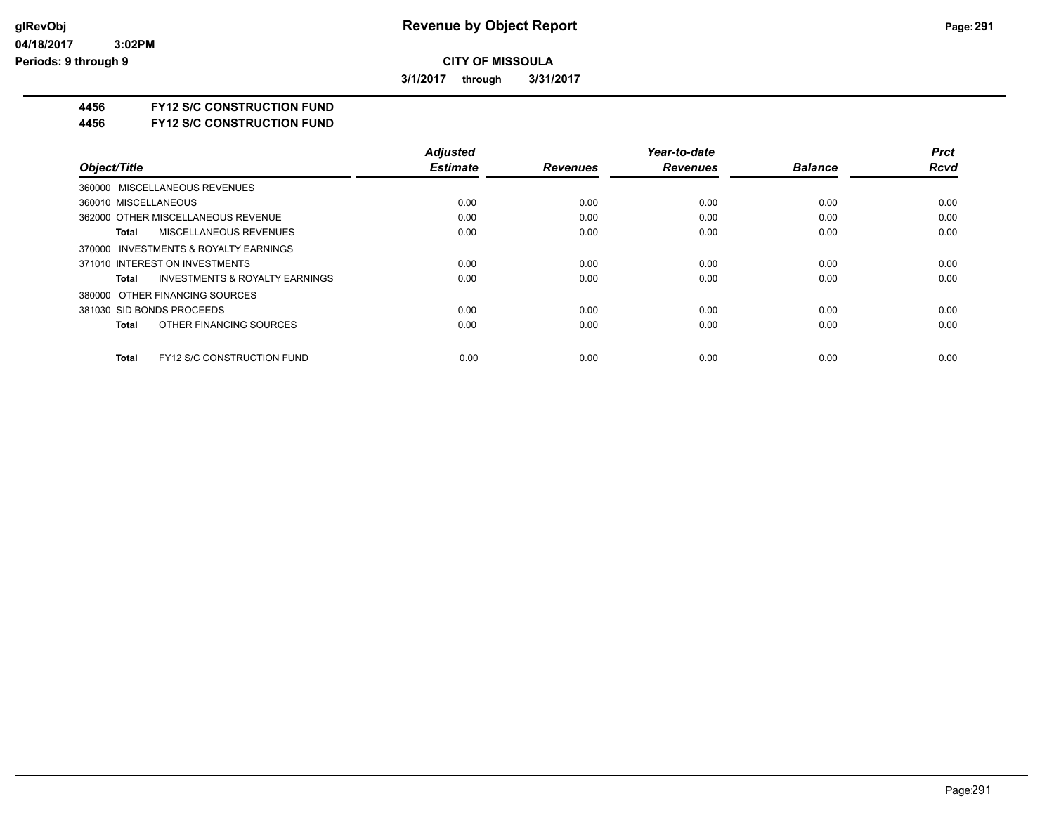**3/1/2017 through 3/31/2017**

**4456 FY12 S/C CONSTRUCTION FUND**

**4456 FY12 S/C CONSTRUCTION FUND**

|                                                    | <b>Adjusted</b> |                 | Year-to-date    |                | <b>Prct</b> |
|----------------------------------------------------|-----------------|-----------------|-----------------|----------------|-------------|
| Object/Title                                       | <b>Estimate</b> | <b>Revenues</b> | <b>Revenues</b> | <b>Balance</b> | <b>Rcvd</b> |
| 360000 MISCELLANEOUS REVENUES                      |                 |                 |                 |                |             |
| 360010 MISCELLANEOUS                               | 0.00            | 0.00            | 0.00            | 0.00           | 0.00        |
| 362000 OTHER MISCELLANEOUS REVENUE                 | 0.00            | 0.00            | 0.00            | 0.00           | 0.00        |
| MISCELLANEOUS REVENUES<br>Total                    | 0.00            | 0.00            | 0.00            | 0.00           | 0.00        |
| 370000 INVESTMENTS & ROYALTY EARNINGS              |                 |                 |                 |                |             |
| 371010 INTEREST ON INVESTMENTS                     | 0.00            | 0.00            | 0.00            | 0.00           | 0.00        |
| <b>INVESTMENTS &amp; ROYALTY EARNINGS</b><br>Total | 0.00            | 0.00            | 0.00            | 0.00           | 0.00        |
| 380000 OTHER FINANCING SOURCES                     |                 |                 |                 |                |             |
| 381030 SID BONDS PROCEEDS                          | 0.00            | 0.00            | 0.00            | 0.00           | 0.00        |
| OTHER FINANCING SOURCES<br>Total                   | 0.00            | 0.00            | 0.00            | 0.00           | 0.00        |
| <b>FY12 S/C CONSTRUCTION FUND</b><br>Total         | 0.00            | 0.00            | 0.00            | 0.00           | 0.00        |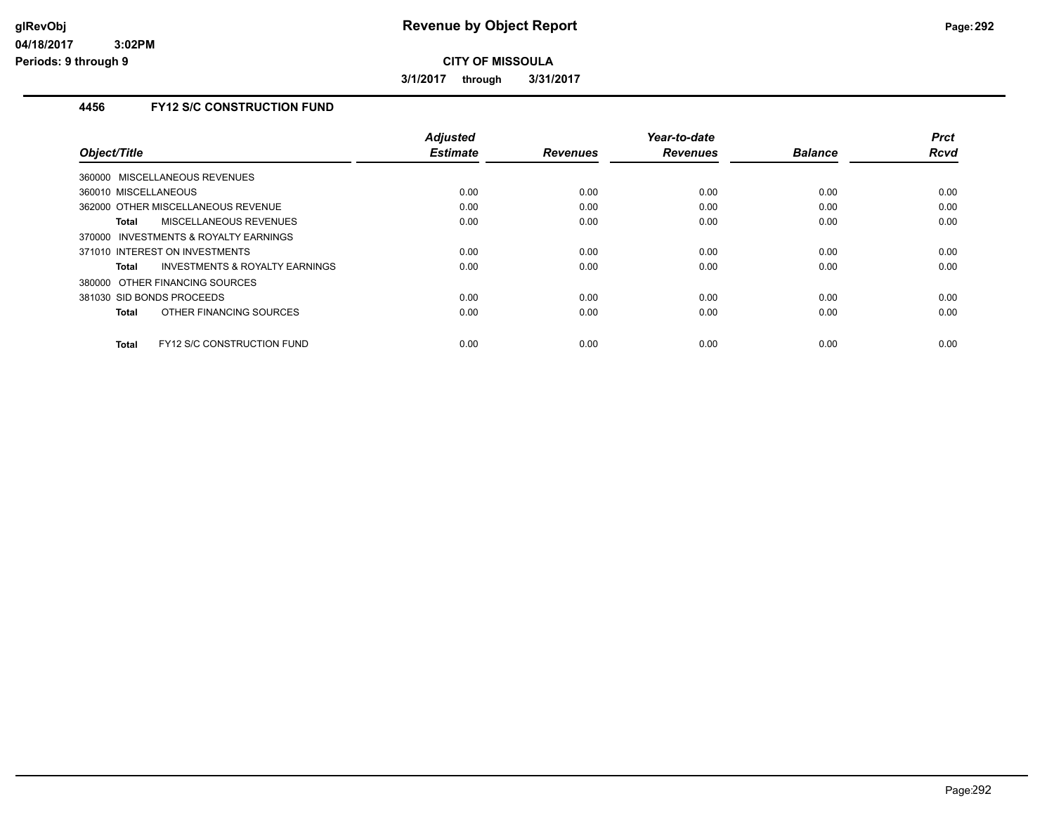**3/1/2017 through 3/31/2017**

### **4456 FY12 S/C CONSTRUCTION FUND**

|                                                           | <b>Adjusted</b> |                 | Year-to-date    |                | <b>Prct</b> |
|-----------------------------------------------------------|-----------------|-----------------|-----------------|----------------|-------------|
| Object/Title                                              | <b>Estimate</b> | <b>Revenues</b> | <b>Revenues</b> | <b>Balance</b> | <b>Rcvd</b> |
| 360000 MISCELLANEOUS REVENUES                             |                 |                 |                 |                |             |
| 360010 MISCELLANEOUS                                      | 0.00            | 0.00            | 0.00            | 0.00           | 0.00        |
| 362000 OTHER MISCELLANEOUS REVENUE                        | 0.00            | 0.00            | 0.00            | 0.00           | 0.00        |
| <b>MISCELLANEOUS REVENUES</b><br>Total                    | 0.00            | 0.00            | 0.00            | 0.00           | 0.00        |
| 370000 INVESTMENTS & ROYALTY EARNINGS                     |                 |                 |                 |                |             |
| 371010 INTEREST ON INVESTMENTS                            | 0.00            | 0.00            | 0.00            | 0.00           | 0.00        |
| <b>INVESTMENTS &amp; ROYALTY EARNINGS</b><br><b>Total</b> | 0.00            | 0.00            | 0.00            | 0.00           | 0.00        |
| OTHER FINANCING SOURCES<br>380000                         |                 |                 |                 |                |             |
| 381030 SID BONDS PROCEEDS                                 | 0.00            | 0.00            | 0.00            | 0.00           | 0.00        |
| OTHER FINANCING SOURCES<br>Total                          | 0.00            | 0.00            | 0.00            | 0.00           | 0.00        |
| <b>FY12 S/C CONSTRUCTION FUND</b><br><b>Total</b>         | 0.00            | 0.00            | 0.00            | 0.00           | 0.00        |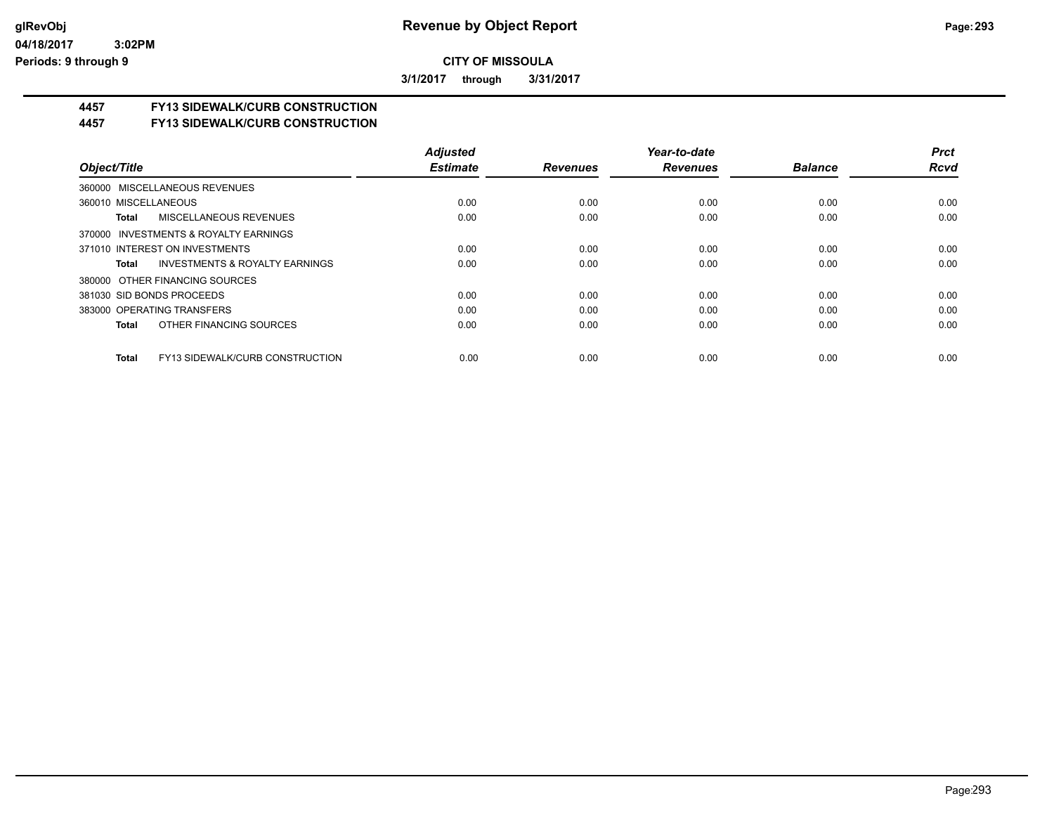**3/1/2017 through 3/31/2017**

## **4457 FY13 SIDEWALK/CURB CONSTRUCTION 4457 FY13 SIDEWALK/CURB CONSTRUCTION**

| Object/Title                                           | <b>Adjusted</b><br><b>Estimate</b> | <b>Revenues</b> | Year-to-date<br><b>Revenues</b> | <b>Balance</b> | <b>Prct</b><br><b>Rcvd</b> |
|--------------------------------------------------------|------------------------------------|-----------------|---------------------------------|----------------|----------------------------|
|                                                        |                                    |                 |                                 |                |                            |
| MISCELLANEOUS REVENUES<br>360000                       |                                    |                 |                                 |                |                            |
| 360010 MISCELLANEOUS                                   | 0.00                               | 0.00            | 0.00                            | 0.00           | 0.00                       |
| <b>MISCELLANEOUS REVENUES</b><br>Total                 | 0.00                               | 0.00            | 0.00                            | 0.00           | 0.00                       |
| INVESTMENTS & ROYALTY EARNINGS<br>370000               |                                    |                 |                                 |                |                            |
| 371010 INTEREST ON INVESTMENTS                         | 0.00                               | 0.00            | 0.00                            | 0.00           | 0.00                       |
| INVESTMENTS & ROYALTY EARNINGS<br>Total                | 0.00                               | 0.00            | 0.00                            | 0.00           | 0.00                       |
| OTHER FINANCING SOURCES<br>380000                      |                                    |                 |                                 |                |                            |
| 381030 SID BONDS PROCEEDS                              | 0.00                               | 0.00            | 0.00                            | 0.00           | 0.00                       |
| 383000 OPERATING TRANSFERS                             | 0.00                               | 0.00            | 0.00                            | 0.00           | 0.00                       |
| OTHER FINANCING SOURCES<br>Total                       | 0.00                               | 0.00            | 0.00                            | 0.00           | 0.00                       |
| <b>FY13 SIDEWALK/CURB CONSTRUCTION</b><br><b>Total</b> | 0.00                               | 0.00            | 0.00                            | 0.00           | 0.00                       |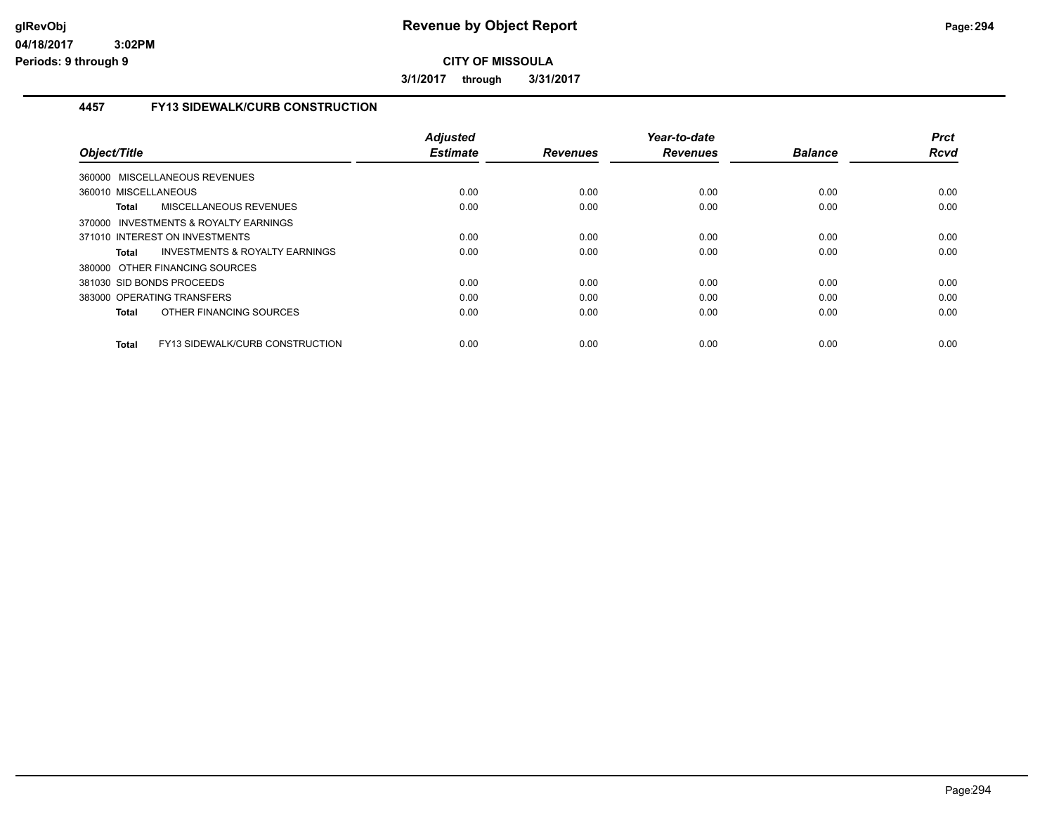**3/1/2017 through 3/31/2017**

### **4457 FY13 SIDEWALK/CURB CONSTRUCTION**

| Object/Title                                           | <b>Adjusted</b><br><b>Estimate</b> | <b>Revenues</b> | Year-to-date<br><b>Revenues</b> | <b>Balance</b> | <b>Prct</b><br><b>Rcvd</b> |
|--------------------------------------------------------|------------------------------------|-----------------|---------------------------------|----------------|----------------------------|
| 360000 MISCELLANEOUS REVENUES                          |                                    |                 |                                 |                |                            |
| 360010 MISCELLANEOUS                                   | 0.00                               | 0.00            | 0.00                            | 0.00           | 0.00                       |
| MISCELLANEOUS REVENUES<br>Total                        | 0.00                               | 0.00            | 0.00                            | 0.00           | 0.00                       |
| 370000 INVESTMENTS & ROYALTY EARNINGS                  |                                    |                 |                                 |                |                            |
| 371010 INTEREST ON INVESTMENTS                         | 0.00                               | 0.00            | 0.00                            | 0.00           | 0.00                       |
| <b>INVESTMENTS &amp; ROYALTY EARNINGS</b><br>Total     | 0.00                               | 0.00            | 0.00                            | 0.00           | 0.00                       |
| 380000 OTHER FINANCING SOURCES                         |                                    |                 |                                 |                |                            |
| 381030 SID BONDS PROCEEDS                              | 0.00                               | 0.00            | 0.00                            | 0.00           | 0.00                       |
| 383000 OPERATING TRANSFERS                             | 0.00                               | 0.00            | 0.00                            | 0.00           | 0.00                       |
| OTHER FINANCING SOURCES<br>Total                       | 0.00                               | 0.00            | 0.00                            | 0.00           | 0.00                       |
| <b>Total</b><br><b>FY13 SIDEWALK/CURB CONSTRUCTION</b> | 0.00                               | 0.00            | 0.00                            | 0.00           | 0.00                       |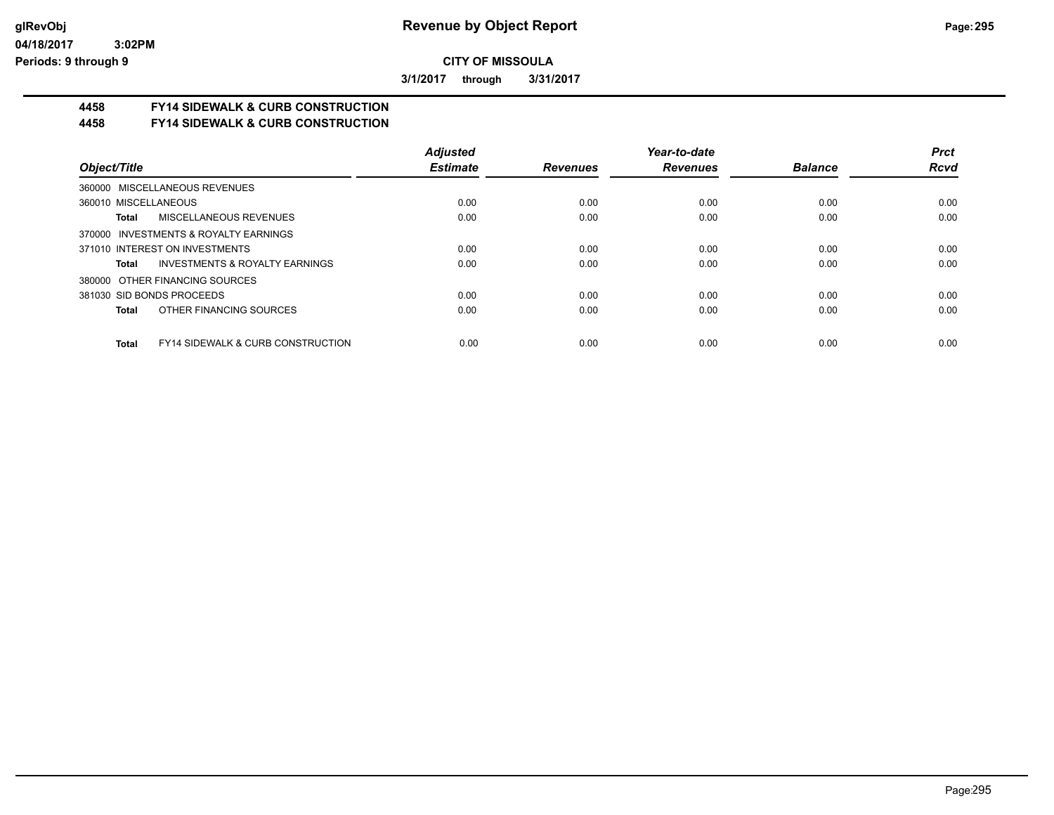**3/1/2017 through 3/31/2017**

### **4458 FY14 SIDEWALK & CURB CONSTRUCTION 4458 FY14 SIDEWALK & CURB CONSTRUCTION**

| Object/Title                                                 | <b>Adjusted</b><br><b>Estimate</b> | <b>Revenues</b> | Year-to-date<br><b>Revenues</b> | <b>Balance</b> | <b>Prct</b><br><b>Rcvd</b> |
|--------------------------------------------------------------|------------------------------------|-----------------|---------------------------------|----------------|----------------------------|
| 360000 MISCELLANEOUS REVENUES                                |                                    |                 |                                 |                |                            |
| 360010 MISCELLANEOUS                                         | 0.00                               | 0.00            | 0.00                            | 0.00           | 0.00                       |
| Total<br><b>MISCELLANEOUS REVENUES</b>                       | 0.00                               | 0.00            | 0.00                            | 0.00           | 0.00                       |
| 370000 INVESTMENTS & ROYALTY EARNINGS                        |                                    |                 |                                 |                |                            |
| 371010 INTEREST ON INVESTMENTS                               | 0.00                               | 0.00            | 0.00                            | 0.00           | 0.00                       |
| INVESTMENTS & ROYALTY EARNINGS<br>Total                      | 0.00                               | 0.00            | 0.00                            | 0.00           | 0.00                       |
| 380000 OTHER FINANCING SOURCES                               |                                    |                 |                                 |                |                            |
| 381030 SID BONDS PROCEEDS                                    | 0.00                               | 0.00            | 0.00                            | 0.00           | 0.00                       |
| OTHER FINANCING SOURCES<br>Total                             | 0.00                               | 0.00            | 0.00                            | 0.00           | 0.00                       |
|                                                              |                                    |                 |                                 |                |                            |
| <b>FY14 SIDEWALK &amp; CURB CONSTRUCTION</b><br><b>Total</b> | 0.00                               | 0.00            | 0.00                            | 0.00           | 0.00                       |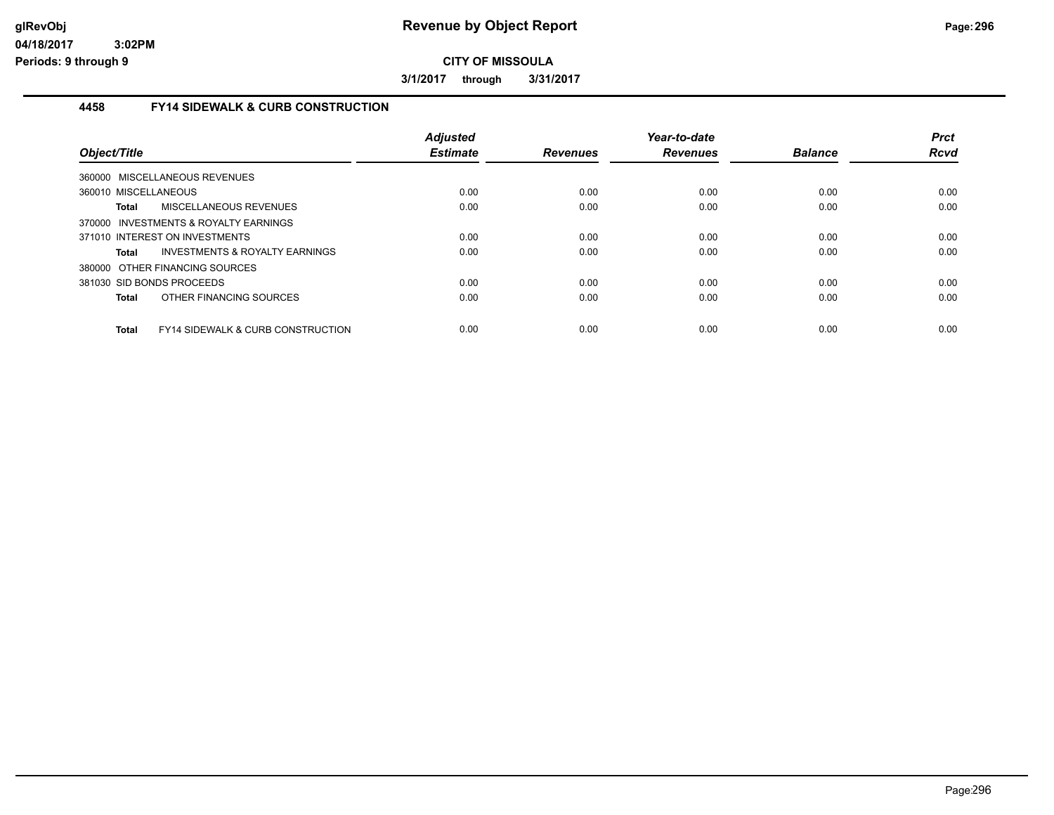**3/1/2017 through 3/31/2017**

### **4458 FY14 SIDEWALK & CURB CONSTRUCTION**

| Object/Title         |                                              | <b>Adjusted</b><br><b>Estimate</b> | <b>Revenues</b> | Year-to-date<br><b>Revenues</b> | <b>Balance</b> | <b>Prct</b><br><b>Rcvd</b> |
|----------------------|----------------------------------------------|------------------------------------|-----------------|---------------------------------|----------------|----------------------------|
|                      | MISCELLANEOUS REVENUES                       |                                    |                 |                                 |                |                            |
| 360000               |                                              |                                    |                 |                                 |                |                            |
| 360010 MISCELLANEOUS |                                              | 0.00                               | 0.00            | 0.00                            | 0.00           | 0.00                       |
| Total                | <b>MISCELLANEOUS REVENUES</b>                | 0.00                               | 0.00            | 0.00                            | 0.00           | 0.00                       |
|                      | 370000 INVESTMENTS & ROYALTY EARNINGS        |                                    |                 |                                 |                |                            |
|                      | 371010 INTEREST ON INVESTMENTS               | 0.00                               | 0.00            | 0.00                            | 0.00           | 0.00                       |
| Total                | INVESTMENTS & ROYALTY EARNINGS               | 0.00                               | 0.00            | 0.00                            | 0.00           | 0.00                       |
|                      | 380000 OTHER FINANCING SOURCES               |                                    |                 |                                 |                |                            |
|                      | 381030 SID BONDS PROCEEDS                    | 0.00                               | 0.00            | 0.00                            | 0.00           | 0.00                       |
| Total                | OTHER FINANCING SOURCES                      | 0.00                               | 0.00            | 0.00                            | 0.00           | 0.00                       |
| Total                | <b>FY14 SIDEWALK &amp; CURB CONSTRUCTION</b> | 0.00                               | 0.00            | 0.00                            | 0.00           | 0.00                       |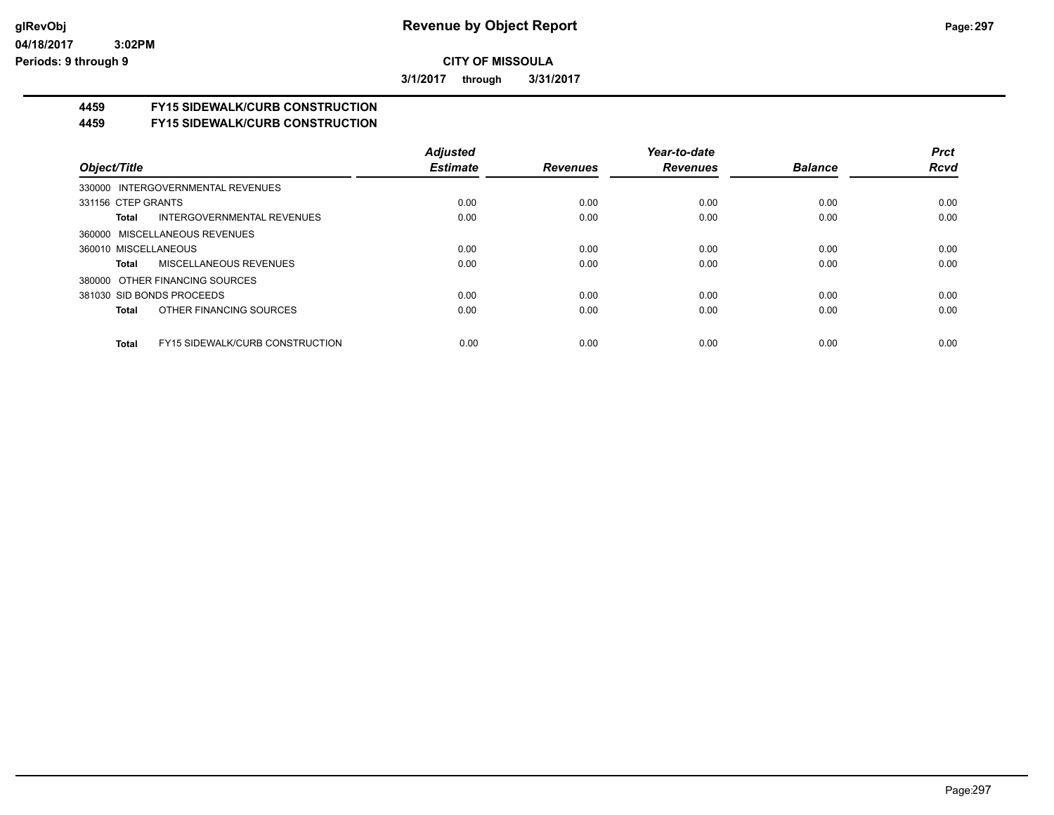**3/1/2017 through 3/31/2017**

## **4459 FY15 SIDEWALK/CURB CONSTRUCTION 4459 FY15 SIDEWALK/CURB CONSTRUCTION**

| Object/Title                                    | <b>Adjusted</b><br><b>Estimate</b> | <b>Revenues</b> | Year-to-date<br>Revenues | <b>Balance</b> | <b>Prct</b><br><b>Rcvd</b> |
|-------------------------------------------------|------------------------------------|-----------------|--------------------------|----------------|----------------------------|
| 330000 INTERGOVERNMENTAL REVENUES               |                                    |                 |                          |                |                            |
| 331156 CTEP GRANTS                              | 0.00                               | 0.00            | 0.00                     | 0.00           | 0.00                       |
| INTERGOVERNMENTAL REVENUES<br>Total             | 0.00                               | 0.00            | 0.00                     | 0.00           | 0.00                       |
| 360000 MISCELLANEOUS REVENUES                   |                                    |                 |                          |                |                            |
| 360010 MISCELLANEOUS                            | 0.00                               | 0.00            | 0.00                     | 0.00           | 0.00                       |
| <b>MISCELLANEOUS REVENUES</b><br>Total          | 0.00                               | 0.00            | 0.00                     | 0.00           | 0.00                       |
| 380000 OTHER FINANCING SOURCES                  |                                    |                 |                          |                |                            |
| 381030 SID BONDS PROCEEDS                       | 0.00                               | 0.00            | 0.00                     | 0.00           | 0.00                       |
| OTHER FINANCING SOURCES<br>Total                | 0.00                               | 0.00            | 0.00                     | 0.00           | 0.00                       |
|                                                 |                                    |                 |                          |                |                            |
| <b>FY15 SIDEWALK/CURB CONSTRUCTION</b><br>Total | 0.00                               | 0.00            | 0.00                     | 0.00           | 0.00                       |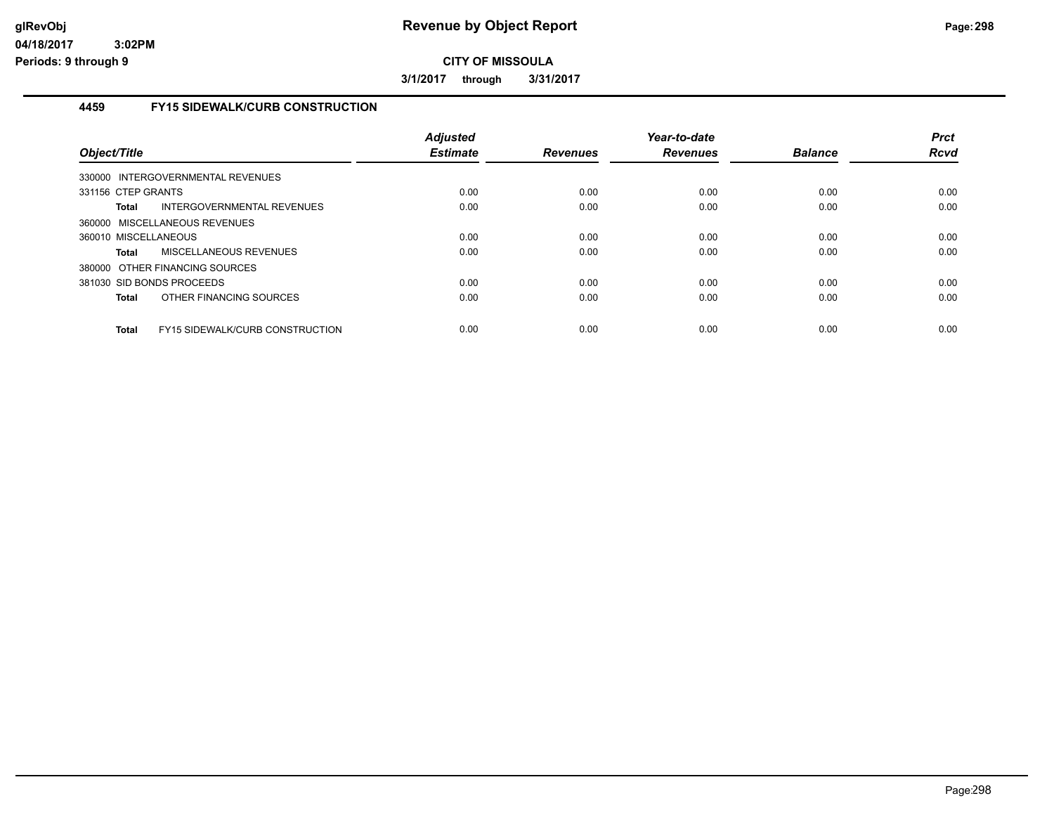**3/1/2017 through 3/31/2017**

### **4459 FY15 SIDEWALK/CURB CONSTRUCTION**

| Object/Title         |                                        | <b>Adjusted</b><br><b>Estimate</b> | <b>Revenues</b> | Year-to-date<br><b>Revenues</b> | <b>Balance</b> | <b>Prct</b><br><b>Rcvd</b> |
|----------------------|----------------------------------------|------------------------------------|-----------------|---------------------------------|----------------|----------------------------|
|                      | 330000 INTERGOVERNMENTAL REVENUES      |                                    |                 |                                 |                |                            |
| 331156 CTEP GRANTS   |                                        | 0.00                               | 0.00            | 0.00                            | 0.00           | 0.00                       |
| Total                | INTERGOVERNMENTAL REVENUES             | 0.00                               | 0.00            | 0.00                            | 0.00           | 0.00                       |
|                      | 360000 MISCELLANEOUS REVENUES          |                                    |                 |                                 |                |                            |
| 360010 MISCELLANEOUS |                                        | 0.00                               | 0.00            | 0.00                            | 0.00           | 0.00                       |
| Total                | MISCELLANEOUS REVENUES                 | 0.00                               | 0.00            | 0.00                            | 0.00           | 0.00                       |
|                      | 380000 OTHER FINANCING SOURCES         |                                    |                 |                                 |                |                            |
|                      | 381030 SID BONDS PROCEEDS              | 0.00                               | 0.00            | 0.00                            | 0.00           | 0.00                       |
| Total                | OTHER FINANCING SOURCES                | 0.00                               | 0.00            | 0.00                            | 0.00           | 0.00                       |
| <b>Total</b>         | <b>FY15 SIDEWALK/CURB CONSTRUCTION</b> | 0.00                               | 0.00            | 0.00                            | 0.00           | 0.00                       |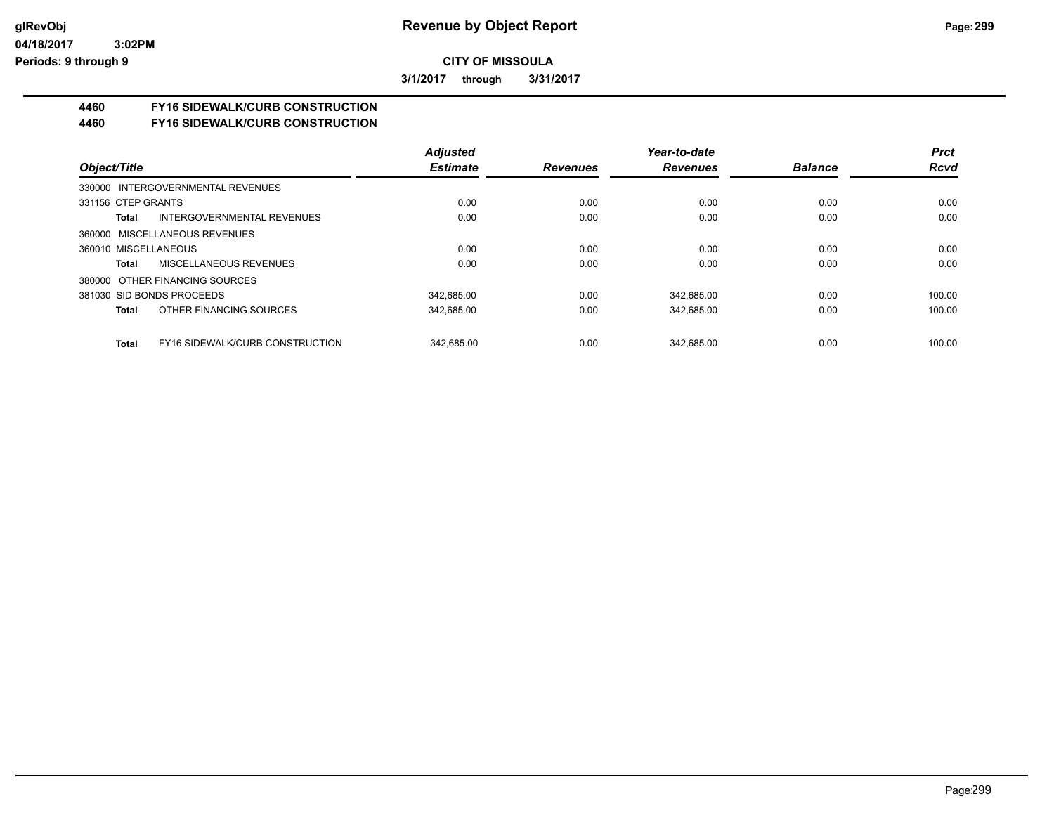**3/1/2017 through 3/31/2017**

## **4460 FY16 SIDEWALK/CURB CONSTRUCTION 4460 FY16 SIDEWALK/CURB CONSTRUCTION**

|                                                        | <b>Adjusted</b> |                 | Year-to-date    |                | <b>Prct</b> |
|--------------------------------------------------------|-----------------|-----------------|-----------------|----------------|-------------|
| Object/Title                                           | <b>Estimate</b> | <b>Revenues</b> | <b>Revenues</b> | <b>Balance</b> | <b>Rcvd</b> |
| 330000 INTERGOVERNMENTAL REVENUES                      |                 |                 |                 |                |             |
| 331156 CTEP GRANTS                                     | 0.00            | 0.00            | 0.00            | 0.00           | 0.00        |
| INTERGOVERNMENTAL REVENUES<br>Total                    | 0.00            | 0.00            | 0.00            | 0.00           | 0.00        |
| 360000 MISCELLANEOUS REVENUES                          |                 |                 |                 |                |             |
| 360010 MISCELLANEOUS                                   | 0.00            | 0.00            | 0.00            | 0.00           | 0.00        |
| MISCELLANEOUS REVENUES<br>Total                        | 0.00            | 0.00            | 0.00            | 0.00           | 0.00        |
| 380000 OTHER FINANCING SOURCES                         |                 |                 |                 |                |             |
| 381030 SID BONDS PROCEEDS                              | 342,685.00      | 0.00            | 342,685.00      | 0.00           | 100.00      |
| OTHER FINANCING SOURCES<br>Total                       | 342,685.00      | 0.00            | 342,685.00      | 0.00           | 100.00      |
|                                                        |                 |                 |                 |                |             |
| <b>FY16 SIDEWALK/CURB CONSTRUCTION</b><br><b>Total</b> | 342.685.00      | 0.00            | 342.685.00      | 0.00           | 100.00      |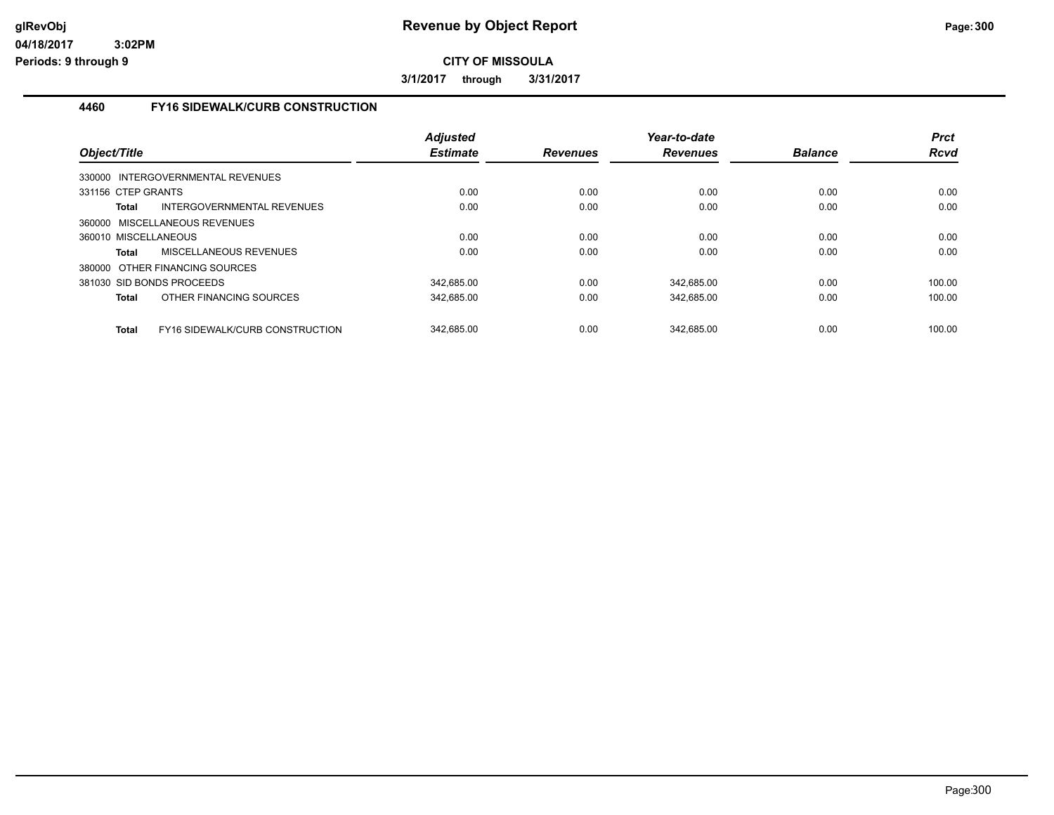**3/1/2017 through 3/31/2017**

### **4460 FY16 SIDEWALK/CURB CONSTRUCTION**

| Object/Title         |                                 | <b>Adjusted</b><br><b>Estimate</b> | <b>Revenues</b> | Year-to-date<br><b>Revenues</b> | <b>Balance</b> | <b>Prct</b><br><b>Rcvd</b> |
|----------------------|---------------------------------|------------------------------------|-----------------|---------------------------------|----------------|----------------------------|
| 330000               | INTERGOVERNMENTAL REVENUES      |                                    |                 |                                 |                |                            |
| 331156 CTEP GRANTS   |                                 | 0.00                               | 0.00            | 0.00                            | 0.00           | 0.00                       |
| <b>Total</b>         | INTERGOVERNMENTAL REVENUES      | 0.00                               | 0.00            | 0.00                            | 0.00           | 0.00                       |
|                      | 360000 MISCELLANEOUS REVENUES   |                                    |                 |                                 |                |                            |
| 360010 MISCELLANEOUS |                                 | 0.00                               | 0.00            | 0.00                            | 0.00           | 0.00                       |
| <b>Total</b>         | <b>MISCELLANEOUS REVENUES</b>   | 0.00                               | 0.00            | 0.00                            | 0.00           | 0.00                       |
|                      | 380000 OTHER FINANCING SOURCES  |                                    |                 |                                 |                |                            |
|                      | 381030 SID BONDS PROCEEDS       | 342,685.00                         | 0.00            | 342.685.00                      | 0.00           | 100.00                     |
| <b>Total</b>         | OTHER FINANCING SOURCES         | 342,685.00                         | 0.00            | 342,685.00                      | 0.00           | 100.00                     |
| <b>Total</b>         | FY16 SIDEWALK/CURB CONSTRUCTION | 342.685.00                         | 0.00            | 342.685.00                      | 0.00           | 100.00                     |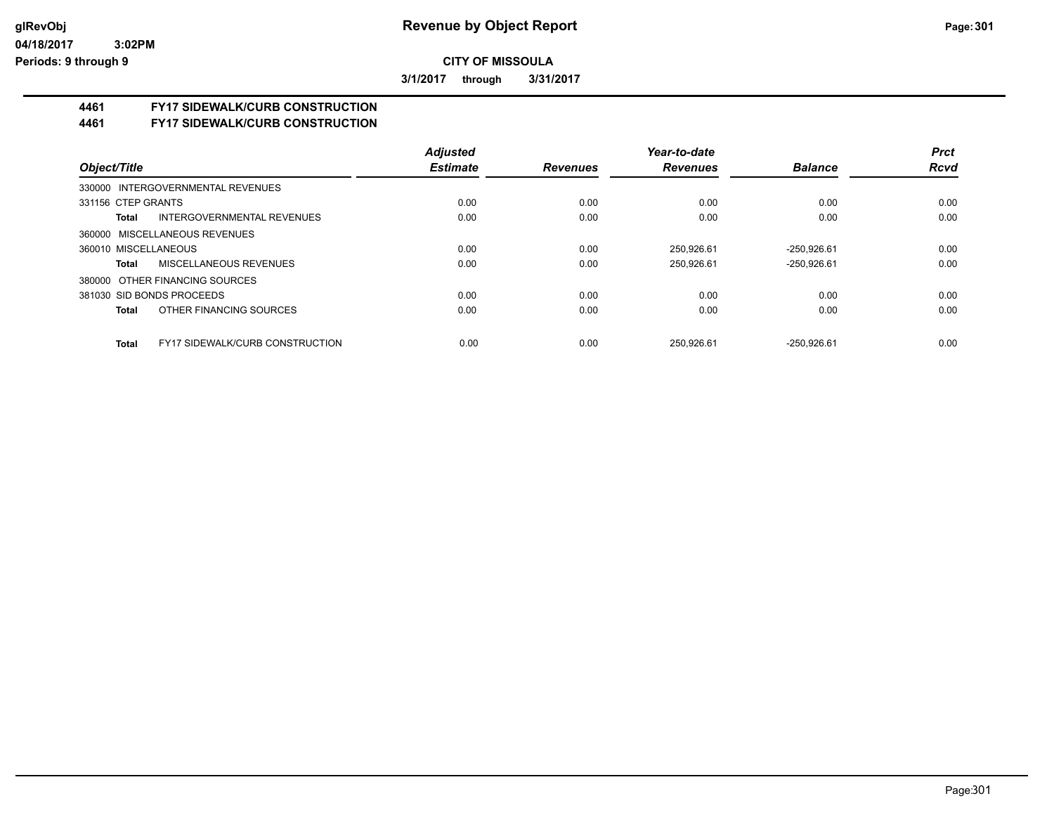**3/1/2017 through 3/31/2017**

## **4461 FY17 SIDEWALK/CURB CONSTRUCTION 4461 FY17 SIDEWALK/CURB CONSTRUCTION**

| Object/Title                                           | <b>Adjusted</b><br><b>Estimate</b> | <b>Revenues</b> | Year-to-date<br><b>Revenues</b> | <b>Balance</b> | <b>Prct</b><br><b>Rcvd</b> |
|--------------------------------------------------------|------------------------------------|-----------------|---------------------------------|----------------|----------------------------|
| 330000 INTERGOVERNMENTAL REVENUES                      |                                    |                 |                                 |                |                            |
| 331156 CTEP GRANTS                                     | 0.00                               | 0.00            | 0.00                            | 0.00           | 0.00                       |
| <b>INTERGOVERNMENTAL REVENUES</b><br>Total             | 0.00                               | 0.00            | 0.00                            | 0.00           | 0.00                       |
| 360000 MISCELLANEOUS REVENUES                          |                                    |                 |                                 |                |                            |
| 360010 MISCELLANEOUS                                   | 0.00                               | 0.00            | 250.926.61                      | $-250.926.61$  | 0.00                       |
| MISCELLANEOUS REVENUES<br>Total                        | 0.00                               | 0.00            | 250,926.61                      | $-250.926.61$  | 0.00                       |
| 380000 OTHER FINANCING SOURCES                         |                                    |                 |                                 |                |                            |
| 381030 SID BONDS PROCEEDS                              | 0.00                               | 0.00            | 0.00                            | 0.00           | 0.00                       |
| OTHER FINANCING SOURCES<br>Total                       | 0.00                               | 0.00            | 0.00                            | 0.00           | 0.00                       |
|                                                        |                                    |                 |                                 |                |                            |
| <b>FY17 SIDEWALK/CURB CONSTRUCTION</b><br><b>Total</b> | 0.00                               | 0.00            | 250.926.61                      | -250.926.61    | 0.00                       |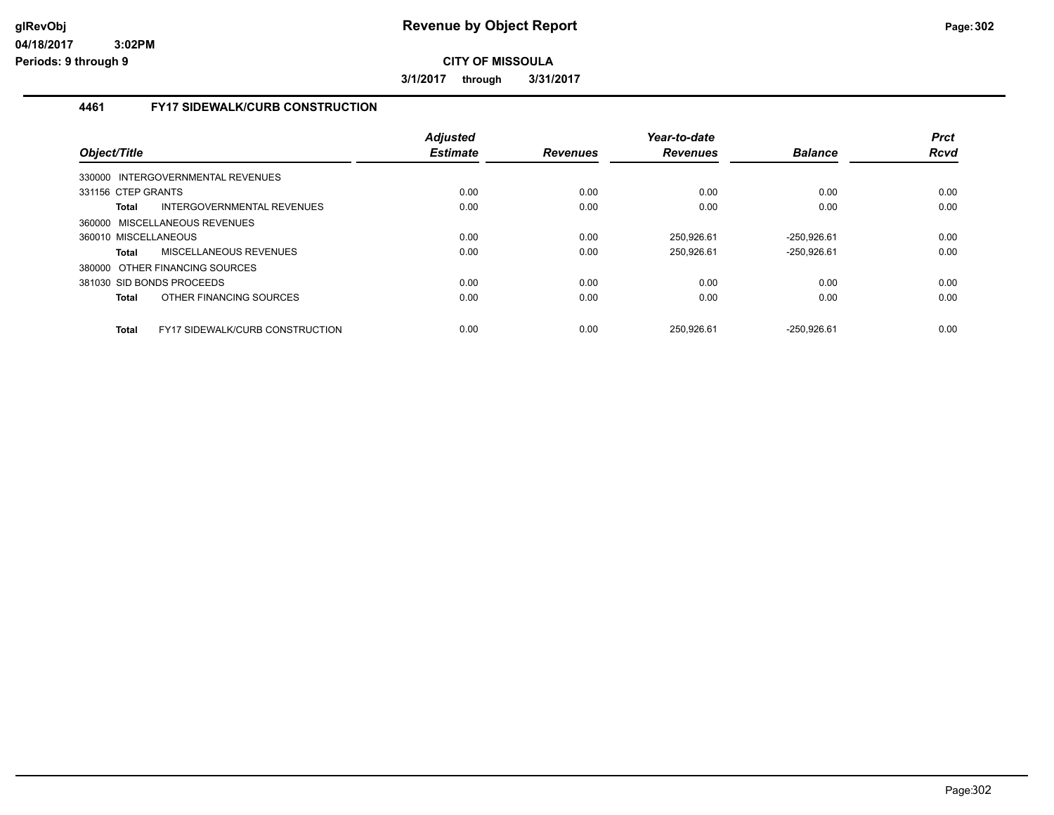**3/1/2017 through 3/31/2017**

### **4461 FY17 SIDEWALK/CURB CONSTRUCTION**

| Object/Title              |                                        | <b>Adjusted</b><br><b>Estimate</b> | <b>Revenues</b> | Year-to-date<br><b>Revenues</b> | <b>Balance</b> | <b>Prct</b><br><b>Rcvd</b> |
|---------------------------|----------------------------------------|------------------------------------|-----------------|---------------------------------|----------------|----------------------------|
|                           | 330000 INTERGOVERNMENTAL REVENUES      |                                    |                 |                                 |                |                            |
| 331156 CTEP GRANTS        |                                        | 0.00                               | 0.00            | 0.00                            | 0.00           | 0.00                       |
| Total                     | INTERGOVERNMENTAL REVENUES             | 0.00                               | 0.00            | 0.00                            | 0.00           | 0.00                       |
|                           | 360000 MISCELLANEOUS REVENUES          |                                    |                 |                                 |                |                            |
| 360010 MISCELLANEOUS      |                                        | 0.00                               | 0.00            | 250,926.61                      | $-250.926.61$  | 0.00                       |
| Total                     | MISCELLANEOUS REVENUES                 | 0.00                               | 0.00            | 250.926.61                      | $-250.926.61$  | 0.00                       |
|                           | 380000 OTHER FINANCING SOURCES         |                                    |                 |                                 |                |                            |
| 381030 SID BONDS PROCEEDS |                                        | 0.00                               | 0.00            | 0.00                            | 0.00           | 0.00                       |
| Total                     | OTHER FINANCING SOURCES                | 0.00                               | 0.00            | 0.00                            | 0.00           | 0.00                       |
| <b>Total</b>              | <b>FY17 SIDEWALK/CURB CONSTRUCTION</b> | 0.00                               | 0.00            | 250.926.61                      | $-250.926.61$  | 0.00                       |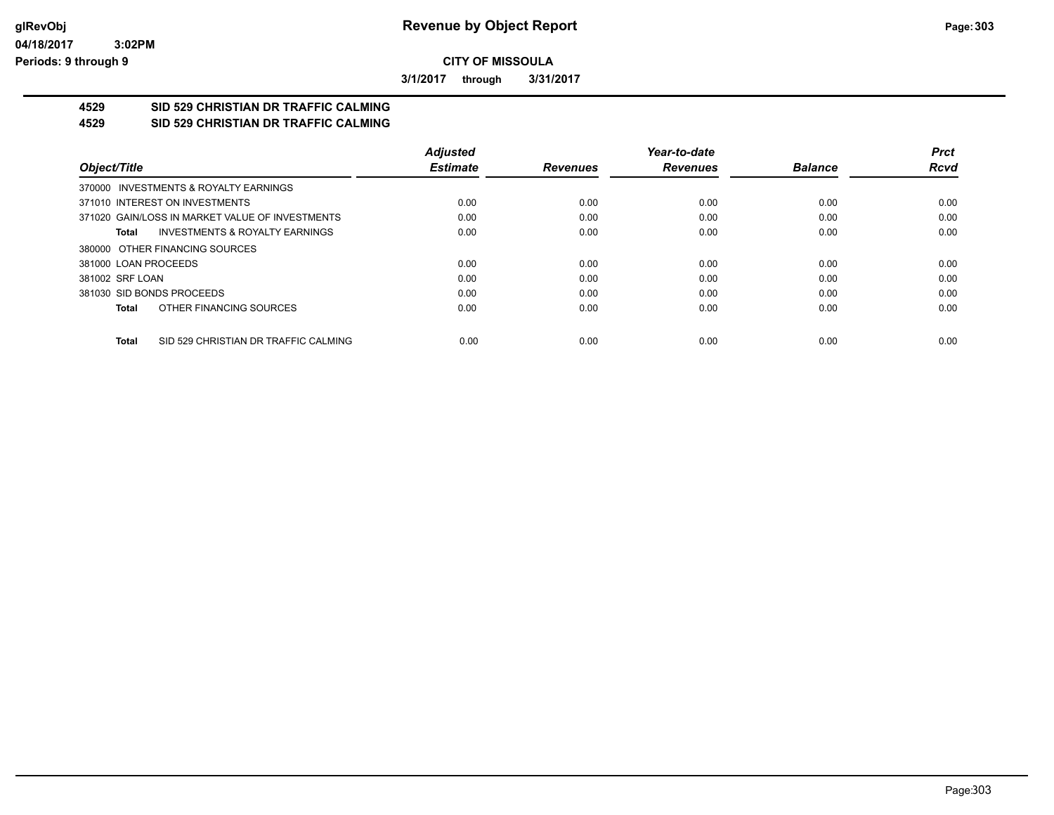**3/1/2017 through 3/31/2017**

### **4529 SID 529 CHRISTIAN DR TRAFFIC CALMING 4529 SID 529 CHRISTIAN DR TRAFFIC CALMING**

|                                                 | <b>Adjusted</b> |                 | Year-to-date    |                | <b>Prct</b> |
|-------------------------------------------------|-----------------|-----------------|-----------------|----------------|-------------|
| Object/Title                                    | <b>Estimate</b> | <b>Revenues</b> | <b>Revenues</b> | <b>Balance</b> | Rcvd        |
| 370000 INVESTMENTS & ROYALTY EARNINGS           |                 |                 |                 |                |             |
| 371010 INTEREST ON INVESTMENTS                  | 0.00            | 0.00            | 0.00            | 0.00           | 0.00        |
| 371020 GAIN/LOSS IN MARKET VALUE OF INVESTMENTS | 0.00            | 0.00            | 0.00            | 0.00           | 0.00        |
| INVESTMENTS & ROYALTY EARNINGS<br>Total         | 0.00            | 0.00            | 0.00            | 0.00           | 0.00        |
| 380000 OTHER FINANCING SOURCES                  |                 |                 |                 |                |             |
| 381000 LOAN PROCEEDS                            | 0.00            | 0.00            | 0.00            | 0.00           | 0.00        |
| 381002 SRF LOAN                                 | 0.00            | 0.00            | 0.00            | 0.00           | 0.00        |
| 381030 SID BONDS PROCEEDS                       | 0.00            | 0.00            | 0.00            | 0.00           | 0.00        |
| OTHER FINANCING SOURCES<br>Total                | 0.00            | 0.00            | 0.00            | 0.00           | 0.00        |
|                                                 |                 |                 |                 |                |             |
| SID 529 CHRISTIAN DR TRAFFIC CALMING<br>Total   | 0.00            | 0.00            | 0.00            | 0.00           | 0.00        |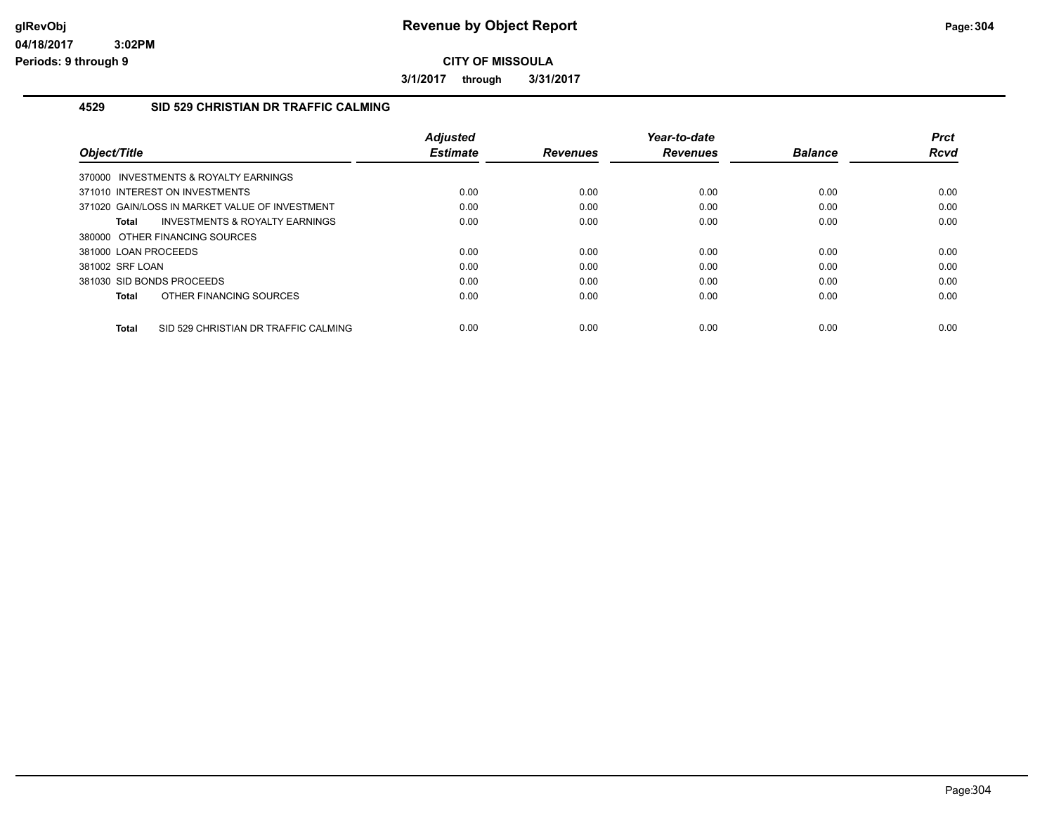**3/1/2017 through 3/31/2017**

### **4529 SID 529 CHRISTIAN DR TRAFFIC CALMING**

| Object/Title                                         | <b>Adjusted</b><br><b>Estimate</b> | <b>Revenues</b> | Year-to-date<br><b>Revenues</b> | <b>Balance</b> | <b>Prct</b><br>Rcvd |
|------------------------------------------------------|------------------------------------|-----------------|---------------------------------|----------------|---------------------|
| INVESTMENTS & ROYALTY EARNINGS<br>370000             |                                    |                 |                                 |                |                     |
| 371010 INTEREST ON INVESTMENTS                       | 0.00                               | 0.00            | 0.00                            | 0.00           | 0.00                |
| 371020 GAIN/LOSS IN MARKET VALUE OF INVESTMENT       | 0.00                               | 0.00            | 0.00                            | 0.00           | 0.00                |
| <b>INVESTMENTS &amp; ROYALTY EARNINGS</b><br>Total   | 0.00                               | 0.00            | 0.00                            | 0.00           | 0.00                |
| 380000 OTHER FINANCING SOURCES                       |                                    |                 |                                 |                |                     |
| 381000 LOAN PROCEEDS                                 | 0.00                               | 0.00            | 0.00                            | 0.00           | 0.00                |
| 381002 SRF LOAN                                      | 0.00                               | 0.00            | 0.00                            | 0.00           | 0.00                |
| 381030 SID BONDS PROCEEDS                            | 0.00                               | 0.00            | 0.00                            | 0.00           | 0.00                |
| OTHER FINANCING SOURCES<br><b>Total</b>              | 0.00                               | 0.00            | 0.00                            | 0.00           | 0.00                |
| <b>Total</b><br>SID 529 CHRISTIAN DR TRAFFIC CALMING | 0.00                               | 0.00            | 0.00                            | 0.00           | 0.00                |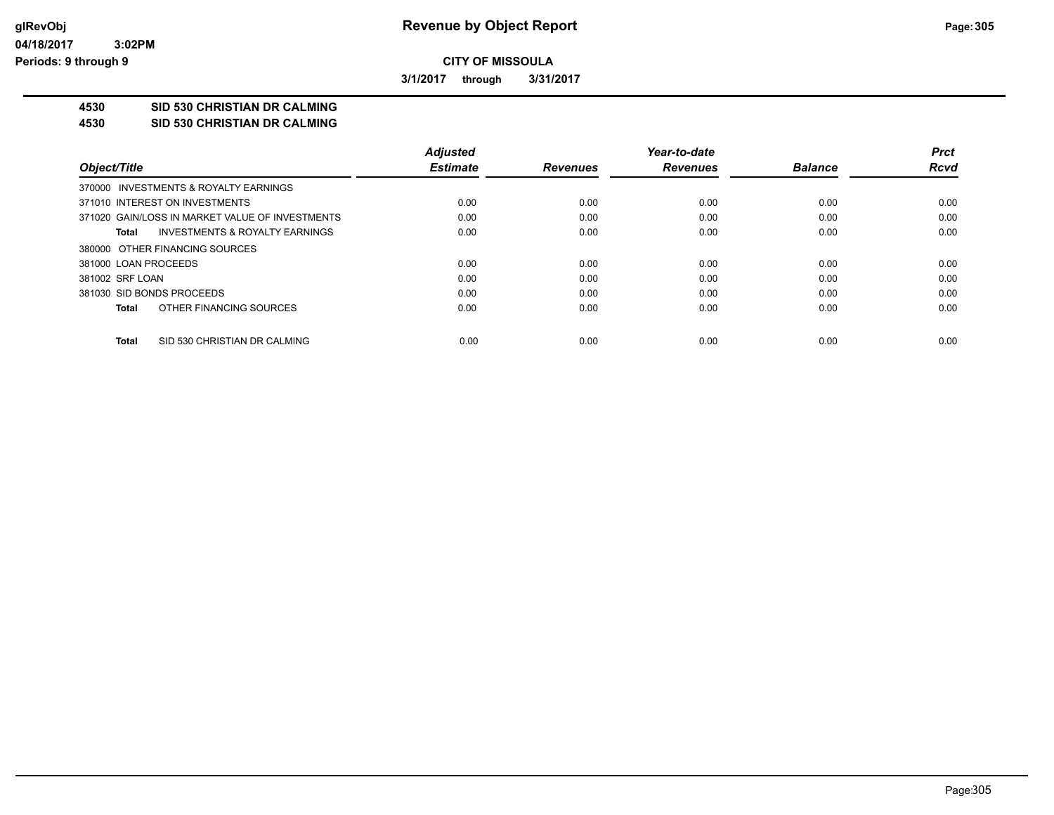**3/1/2017 through 3/31/2017**

# **4530 SID 530 CHRISTIAN DR CALMING**

**4530 SID 530 CHRISTIAN DR CALMING**

|                                                 | <b>Adjusted</b> |                 | Year-to-date    |                | <b>Prct</b> |
|-------------------------------------------------|-----------------|-----------------|-----------------|----------------|-------------|
| Object/Title                                    | <b>Estimate</b> | <b>Revenues</b> | <b>Revenues</b> | <b>Balance</b> | <b>Rcvd</b> |
| INVESTMENTS & ROYALTY EARNINGS<br>370000        |                 |                 |                 |                |             |
| 371010 INTEREST ON INVESTMENTS                  | 0.00            | 0.00            | 0.00            | 0.00           | 0.00        |
| 371020 GAIN/LOSS IN MARKET VALUE OF INVESTMENTS | 0.00            | 0.00            | 0.00            | 0.00           | 0.00        |
| INVESTMENTS & ROYALTY EARNINGS<br>Total         | 0.00            | 0.00            | 0.00            | 0.00           | 0.00        |
| 380000 OTHER FINANCING SOURCES                  |                 |                 |                 |                |             |
| 381000 LOAN PROCEEDS                            | 0.00            | 0.00            | 0.00            | 0.00           | 0.00        |
| 381002 SRF LOAN                                 | 0.00            | 0.00            | 0.00            | 0.00           | 0.00        |
| 381030 SID BONDS PROCEEDS                       | 0.00            | 0.00            | 0.00            | 0.00           | 0.00        |
| OTHER FINANCING SOURCES<br><b>Total</b>         | 0.00            | 0.00            | 0.00            | 0.00           | 0.00        |
|                                                 |                 |                 |                 |                |             |
| <b>Total</b><br>SID 530 CHRISTIAN DR CALMING    | 0.00            | 0.00            | 0.00            | 0.00           | 0.00        |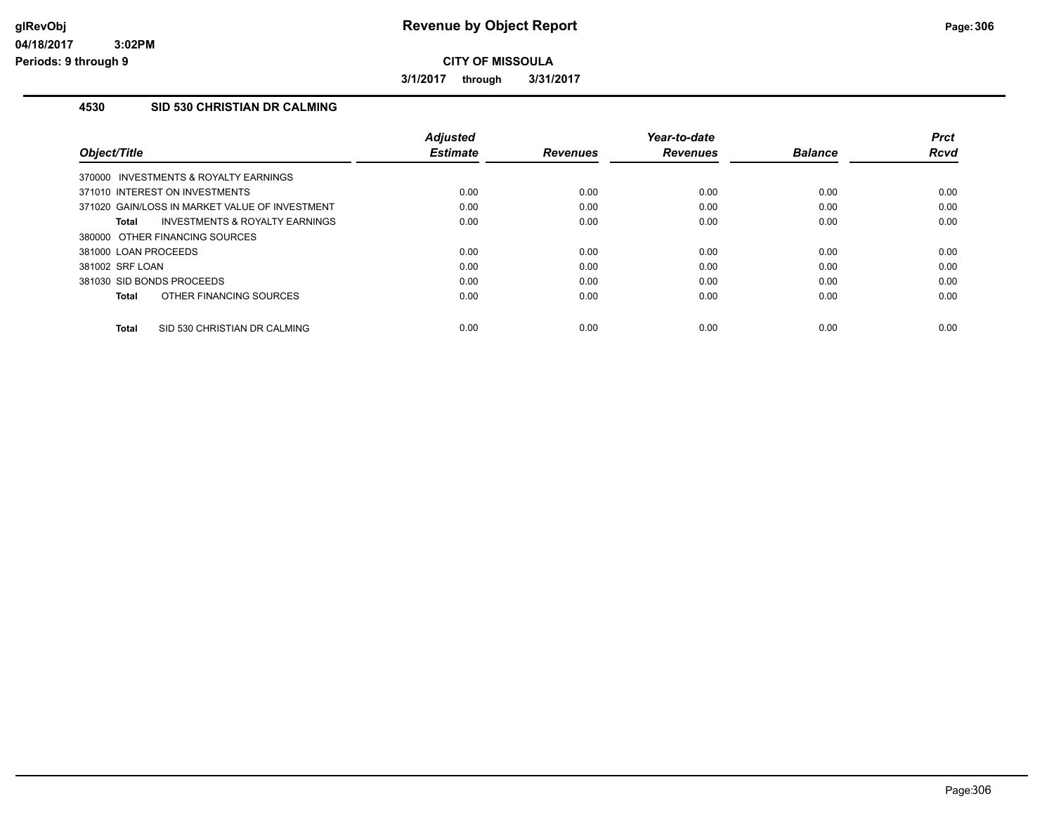**3/1/2017 through 3/31/2017**

### **4530 SID 530 CHRISTIAN DR CALMING**

| Object/Title                                       | <b>Adjusted</b><br><b>Estimate</b> | <b>Revenues</b> | Year-to-date<br><b>Revenues</b> | <b>Balance</b> | <b>Prct</b><br><b>Rcvd</b> |
|----------------------------------------------------|------------------------------------|-----------------|---------------------------------|----------------|----------------------------|
| 370000 INVESTMENTS & ROYALTY EARNINGS              |                                    |                 |                                 |                |                            |
| 371010 INTEREST ON INVESTMENTS                     | 0.00                               | 0.00            | 0.00                            | 0.00           | 0.00                       |
| 371020 GAIN/LOSS IN MARKET VALUE OF INVESTMENT     | 0.00                               | 0.00            | 0.00                            | 0.00           | 0.00                       |
| <b>INVESTMENTS &amp; ROYALTY EARNINGS</b><br>Total | 0.00                               | 0.00            | 0.00                            | 0.00           | 0.00                       |
| 380000 OTHER FINANCING SOURCES                     |                                    |                 |                                 |                |                            |
| 381000 LOAN PROCEEDS                               | 0.00                               | 0.00            | 0.00                            | 0.00           | 0.00                       |
| 381002 SRF LOAN                                    | 0.00                               | 0.00            | 0.00                            | 0.00           | 0.00                       |
| 381030 SID BONDS PROCEEDS                          | 0.00                               | 0.00            | 0.00                            | 0.00           | 0.00                       |
| OTHER FINANCING SOURCES<br><b>Total</b>            | 0.00                               | 0.00            | 0.00                            | 0.00           | 0.00                       |
| SID 530 CHRISTIAN DR CALMING<br><b>Total</b>       | 0.00                               | 0.00            | 0.00                            | 0.00           | 0.00                       |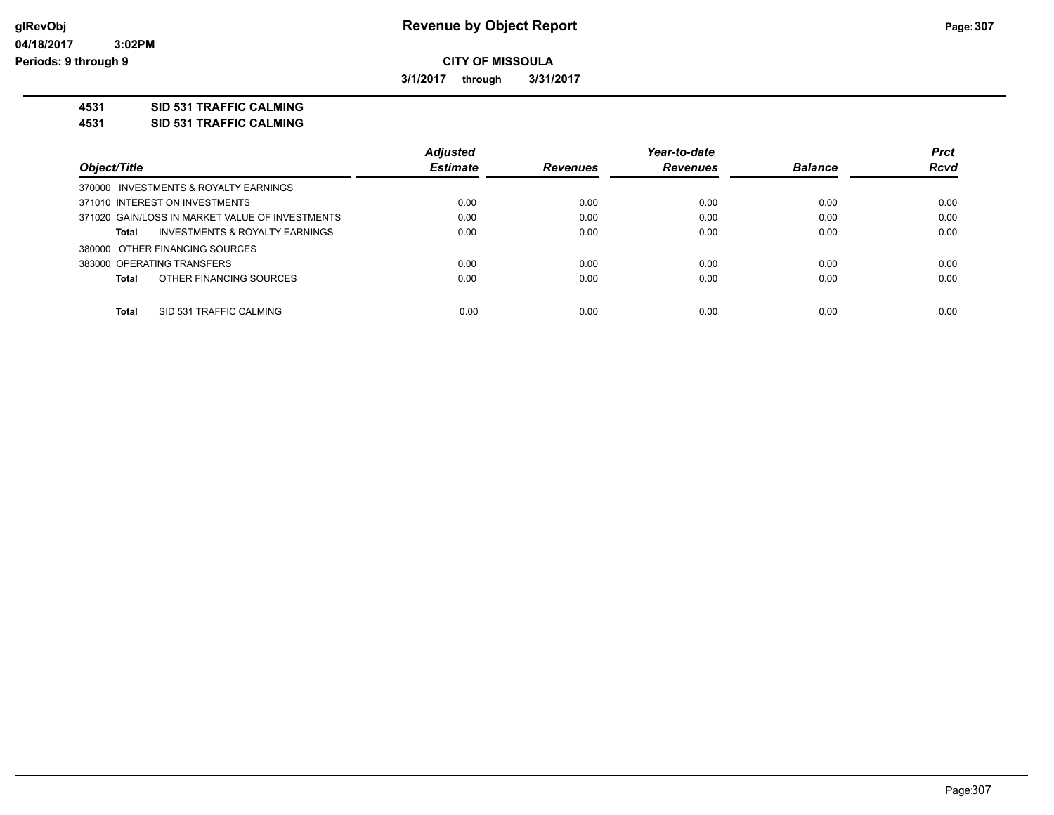*Prct Rcvd*

**CITY OF MISSOULA**

**3/1/2017 through 3/31/2017**

**4531 SID 531 TRAFFIC CALMING 4531 SID 531 TRAFFIC CALMING**

| Object/Title |                                                    | <b>Adjusted</b><br><b>Estimate</b> | <b>Revenues</b> | Year-to-date<br><b>Revenues</b> | <b>Balance</b> | <b>Prct</b><br>Rcvd |
|--------------|----------------------------------------------------|------------------------------------|-----------------|---------------------------------|----------------|---------------------|
|              |                                                    |                                    |                 |                                 |                |                     |
|              | 370000 INVESTMENTS & ROYALTY EARNINGS              |                                    |                 |                                 |                |                     |
|              | 371010 INTEREST ON INVESTMENTS                     | 0.00                               | 0.00            | 0.00                            | 0.00           | 0.00                |
|              | 371020 GAIN/LOSS IN MARKET VALUE OF INVESTMENTS    | 0.00                               | 0.00            | 0.00                            | 0.00           | 0.00                |
|              | <b>INVESTMENTS &amp; ROYALTY EARNINGS</b><br>Total | 0.00                               | 0.00            | 0.00                            | 0.00           | 0.00                |
|              | 380000 OTHER FINANCING SOURCES                     |                                    |                 |                                 |                |                     |
|              | 383000 OPERATING TRANSFERS                         | 0.00                               | 0.00            | 0.00                            | 0.00           | 0.00                |
|              | OTHER FINANCING SOURCES<br>Total                   | 0.00                               | 0.00            | 0.00                            | 0.00           | 0.00                |
|              | SID 531 TRAFFIC CALMING<br>Total                   | 0.00                               | 0.00            | 0.00                            | 0.00           | 0.00                |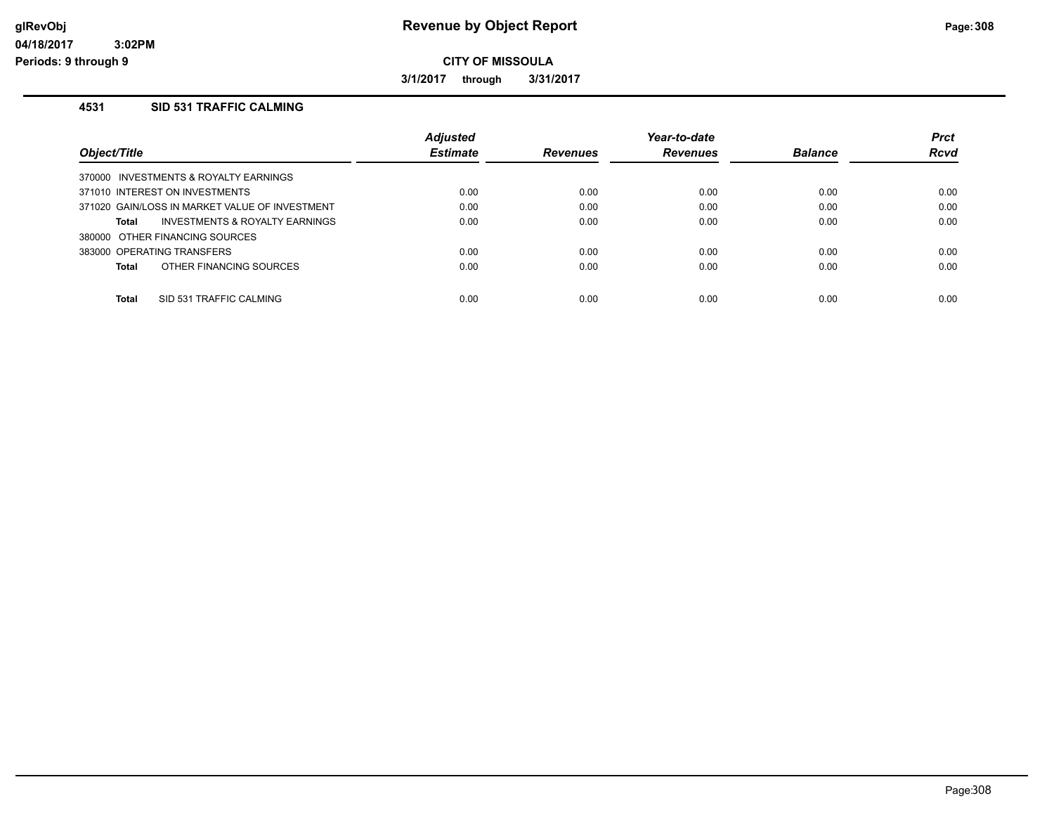**3/1/2017 through 3/31/2017**

### **4531 SID 531 TRAFFIC CALMING**

|                                                | <b>Adjusted</b> |                 | Year-to-date    |                | <b>Prct</b> |
|------------------------------------------------|-----------------|-----------------|-----------------|----------------|-------------|
| Object/Title                                   | <b>Estimate</b> | <b>Revenues</b> | <b>Revenues</b> | <b>Balance</b> | <b>Rcvd</b> |
| 370000 INVESTMENTS & ROYALTY EARNINGS          |                 |                 |                 |                |             |
| 371010 INTEREST ON INVESTMENTS                 | 0.00            | 0.00            | 0.00            | 0.00           | 0.00        |
| 371020 GAIN/LOSS IN MARKET VALUE OF INVESTMENT | 0.00            | 0.00            | 0.00            | 0.00           | 0.00        |
| Total<br>INVESTMENTS & ROYALTY EARNINGS        | 0.00            | 0.00            | 0.00            | 0.00           | 0.00        |
| 380000 OTHER FINANCING SOURCES                 |                 |                 |                 |                |             |
| 383000 OPERATING TRANSFERS                     | 0.00            | 0.00            | 0.00            | 0.00           | 0.00        |
| OTHER FINANCING SOURCES<br>Total               | 0.00            | 0.00            | 0.00            | 0.00           | 0.00        |
|                                                |                 |                 |                 |                |             |
| Total<br>SID 531 TRAFFIC CALMING               | 0.00            | 0.00            | 0.00            | 0.00           | 0.00        |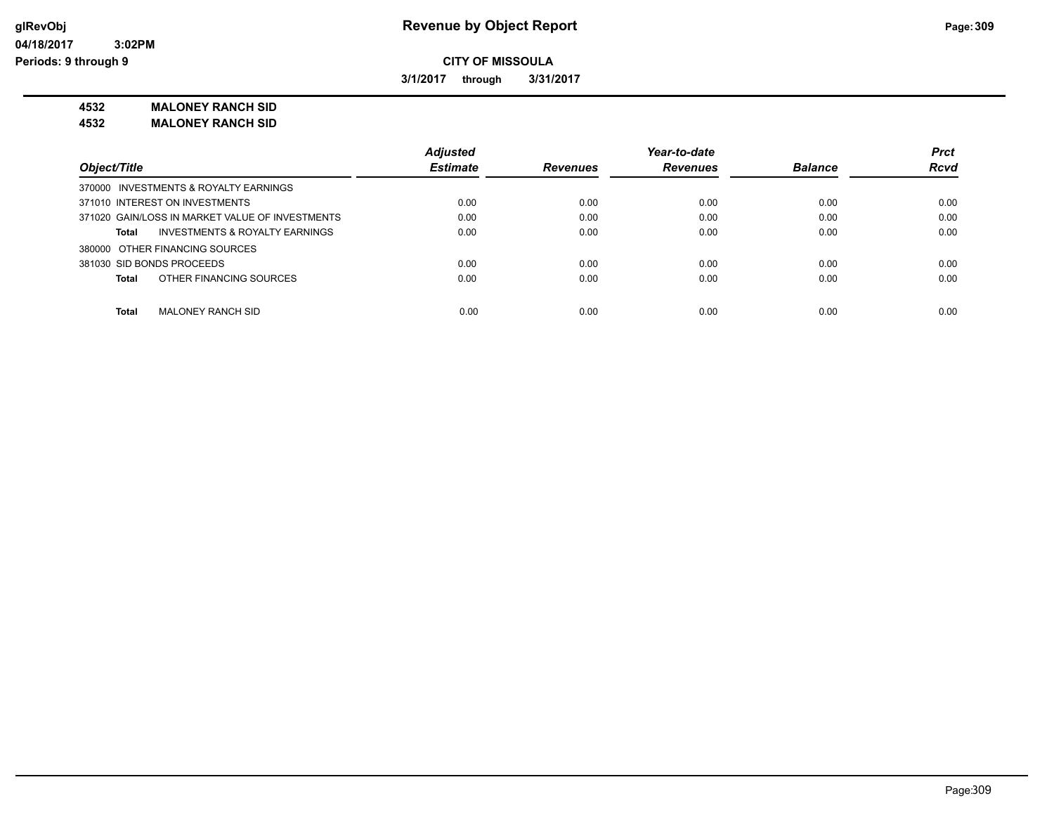**3/1/2017 through 3/31/2017**

**4532 MALONEY RANCH SID**

**4532 MALONEY RANCH SID**

|                                       |                                                 | <b>Adjusted</b> |                 | Year-to-date    |                | <b>Prct</b> |
|---------------------------------------|-------------------------------------------------|-----------------|-----------------|-----------------|----------------|-------------|
| Object/Title                          |                                                 | <b>Estimate</b> | <b>Revenues</b> | <b>Revenues</b> | <b>Balance</b> | <b>Rcvd</b> |
| 370000 INVESTMENTS & ROYALTY EARNINGS |                                                 |                 |                 |                 |                |             |
| 371010 INTEREST ON INVESTMENTS        |                                                 | 0.00            | 0.00            | 0.00            | 0.00           | 0.00        |
|                                       | 371020 GAIN/LOSS IN MARKET VALUE OF INVESTMENTS | 0.00            | 0.00            | 0.00            | 0.00           | 0.00        |
| Total                                 | INVESTMENTS & ROYALTY EARNINGS                  | 0.00            | 0.00            | 0.00            | 0.00           | 0.00        |
| 380000 OTHER FINANCING SOURCES        |                                                 |                 |                 |                 |                |             |
| 381030 SID BONDS PROCEEDS             |                                                 | 0.00            | 0.00            | 0.00            | 0.00           | 0.00        |
| Total                                 | OTHER FINANCING SOURCES                         | 0.00            | 0.00            | 0.00            | 0.00           | 0.00        |
| <b>Total</b>                          | <b>MALONEY RANCH SID</b>                        | 0.00            | 0.00            | 0.00            | 0.00           | 0.00        |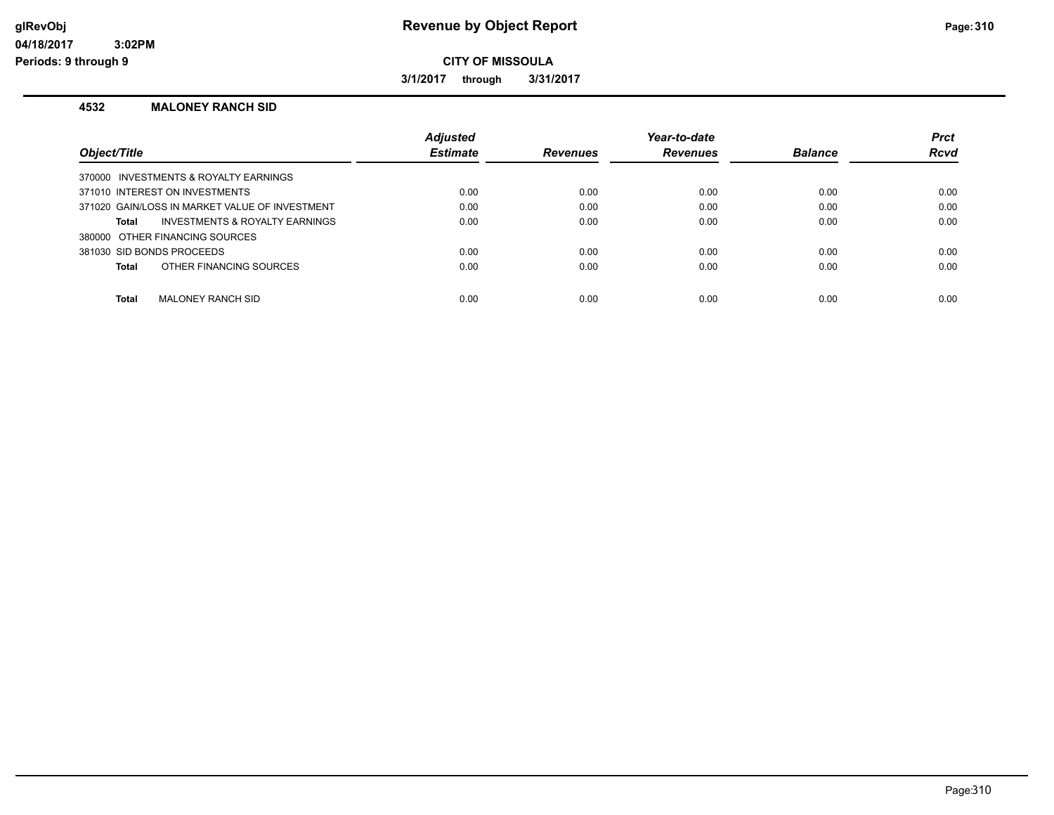**3/1/2017 through 3/31/2017**

### **4532 MALONEY RANCH SID**

| Object/Title                                   | <b>Adjusted</b><br><b>Estimate</b> | <b>Revenues</b> | Year-to-date<br><b>Revenues</b> | <b>Balance</b> | <b>Prct</b><br><b>Rcvd</b> |
|------------------------------------------------|------------------------------------|-----------------|---------------------------------|----------------|----------------------------|
|                                                |                                    |                 |                                 |                |                            |
| 370000 INVESTMENTS & ROYALTY EARNINGS          |                                    |                 |                                 |                |                            |
| 371010 INTEREST ON INVESTMENTS                 | 0.00                               | 0.00            | 0.00                            | 0.00           | 0.00                       |
| 371020 GAIN/LOSS IN MARKET VALUE OF INVESTMENT | 0.00                               | 0.00            | 0.00                            | 0.00           | 0.00                       |
| Total<br>INVESTMENTS & ROYALTY EARNINGS        | 0.00                               | 0.00            | 0.00                            | 0.00           | 0.00                       |
| 380000 OTHER FINANCING SOURCES                 |                                    |                 |                                 |                |                            |
| 381030 SID BONDS PROCEEDS                      | 0.00                               | 0.00            | 0.00                            | 0.00           | 0.00                       |
| OTHER FINANCING SOURCES<br>Total               | 0.00                               | 0.00            | 0.00                            | 0.00           | 0.00                       |
|                                                |                                    |                 |                                 |                |                            |
| Total<br>MALONEY RANCH SID                     | 0.00                               | 0.00            | 0.00                            | 0.00           | 0.00                       |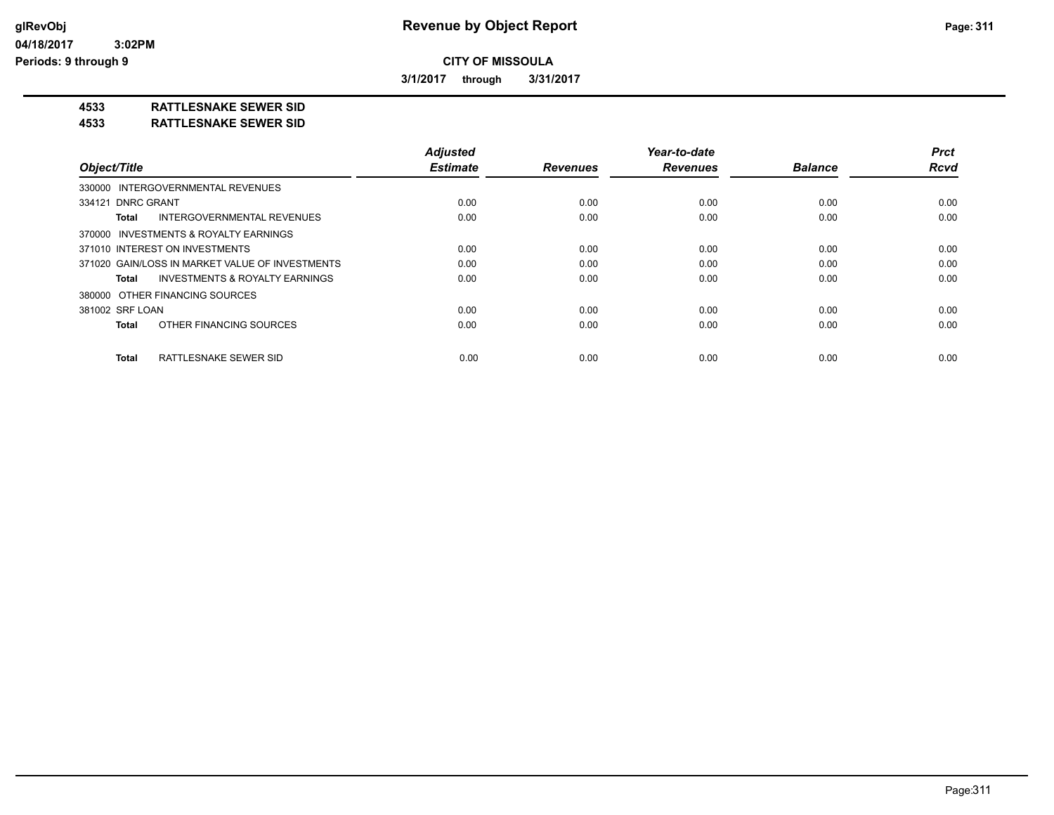**3/1/2017 through 3/31/2017**

**4533 RATTLESNAKE SEWER SID**

**4533 RATTLESNAKE SEWER SID**

|                                                    | <b>Adjusted</b> |                 | Year-to-date    |                | <b>Prct</b> |
|----------------------------------------------------|-----------------|-----------------|-----------------|----------------|-------------|
| Object/Title                                       | <b>Estimate</b> | <b>Revenues</b> | <b>Revenues</b> | <b>Balance</b> | Rcvd        |
| 330000 INTERGOVERNMENTAL REVENUES                  |                 |                 |                 |                |             |
| 334121 DNRC GRANT                                  | 0.00            | 0.00            | 0.00            | 0.00           | 0.00        |
| <b>INTERGOVERNMENTAL REVENUES</b><br>Total         | 0.00            | 0.00            | 0.00            | 0.00           | 0.00        |
| 370000 INVESTMENTS & ROYALTY EARNINGS              |                 |                 |                 |                |             |
| 371010 INTEREST ON INVESTMENTS                     | 0.00            | 0.00            | 0.00            | 0.00           | 0.00        |
| 371020 GAIN/LOSS IN MARKET VALUE OF INVESTMENTS    | 0.00            | 0.00            | 0.00            | 0.00           | 0.00        |
| <b>INVESTMENTS &amp; ROYALTY EARNINGS</b><br>Total | 0.00            | 0.00            | 0.00            | 0.00           | 0.00        |
| 380000 OTHER FINANCING SOURCES                     |                 |                 |                 |                |             |
| 381002 SRF LOAN                                    | 0.00            | 0.00            | 0.00            | 0.00           | 0.00        |
| OTHER FINANCING SOURCES<br>Total                   | 0.00            | 0.00            | 0.00            | 0.00           | 0.00        |
| RATTLESNAKE SEWER SID<br><b>Total</b>              | 0.00            | 0.00            | 0.00            | 0.00           | 0.00        |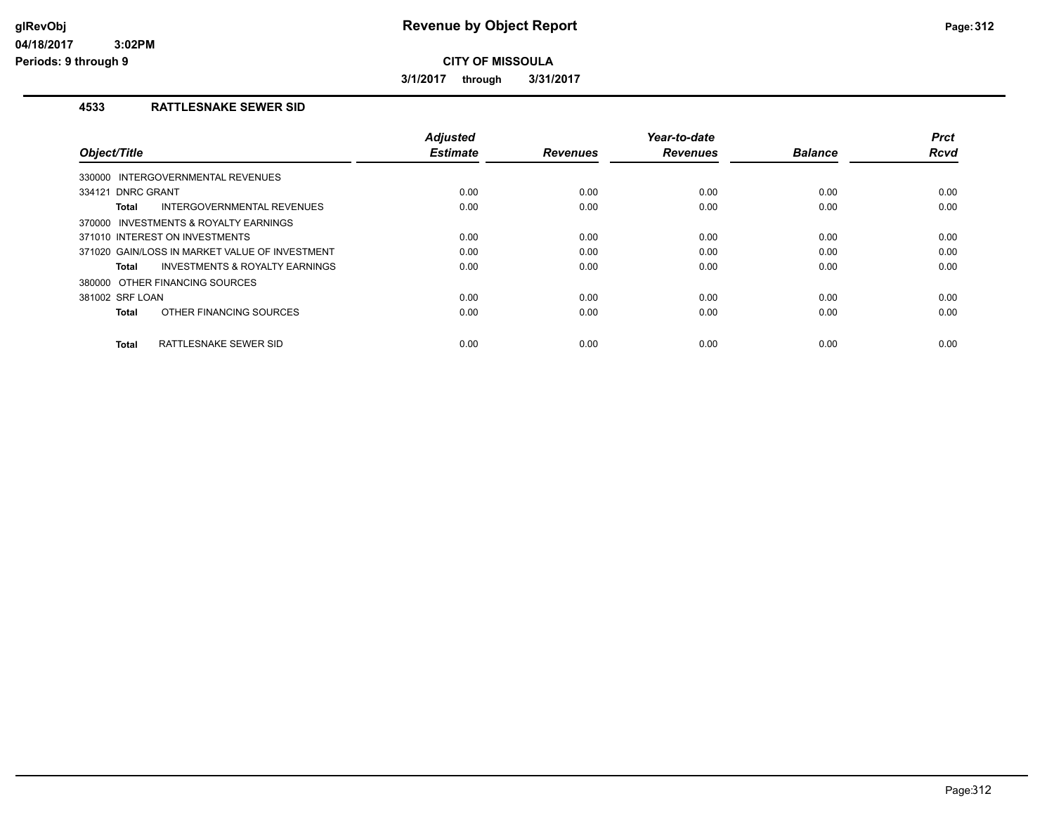**3/1/2017 through 3/31/2017**

### **4533 RATTLESNAKE SEWER SID**

|                                                | <b>Adjusted</b> |                 | Year-to-date    |                | <b>Prct</b> |
|------------------------------------------------|-----------------|-----------------|-----------------|----------------|-------------|
| Object/Title                                   | <b>Estimate</b> | <b>Revenues</b> | <b>Revenues</b> | <b>Balance</b> | <b>Rcvd</b> |
| 330000 INTERGOVERNMENTAL REVENUES              |                 |                 |                 |                |             |
| 334121 DNRC GRANT                              | 0.00            | 0.00            | 0.00            | 0.00           | 0.00        |
| INTERGOVERNMENTAL REVENUES<br>Total            | 0.00            | 0.00            | 0.00            | 0.00           | 0.00        |
| 370000 INVESTMENTS & ROYALTY EARNINGS          |                 |                 |                 |                |             |
| 371010 INTEREST ON INVESTMENTS                 | 0.00            | 0.00            | 0.00            | 0.00           | 0.00        |
| 371020 GAIN/LOSS IN MARKET VALUE OF INVESTMENT | 0.00            | 0.00            | 0.00            | 0.00           | 0.00        |
| INVESTMENTS & ROYALTY EARNINGS<br>Total        | 0.00            | 0.00            | 0.00            | 0.00           | 0.00        |
| 380000 OTHER FINANCING SOURCES                 |                 |                 |                 |                |             |
| 381002 SRF LOAN                                | 0.00            | 0.00            | 0.00            | 0.00           | 0.00        |
| OTHER FINANCING SOURCES<br>Total               | 0.00            | 0.00            | 0.00            | 0.00           | 0.00        |
| RATTLESNAKE SEWER SID<br><b>Total</b>          | 0.00            | 0.00            | 0.00            | 0.00           | 0.00        |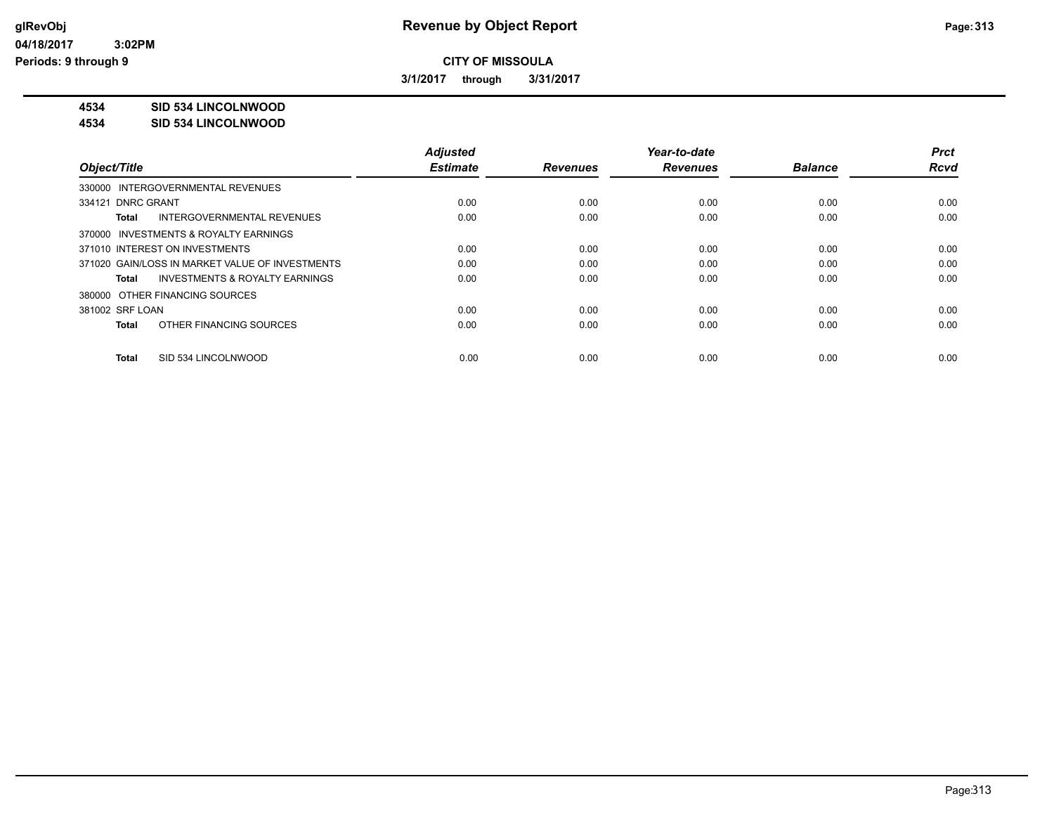**3/1/2017 through 3/31/2017**

**4534 SID 534 LINCOLNWOOD**

| 4534 | <b>SID 534 LINCOLNWOOD</b> |
|------|----------------------------|
|------|----------------------------|

|                                                    | <b>Adjusted</b> |                 | Year-to-date    |                | Prct |
|----------------------------------------------------|-----------------|-----------------|-----------------|----------------|------|
| Object/Title                                       | <b>Estimate</b> | <b>Revenues</b> | <b>Revenues</b> | <b>Balance</b> | Rcvd |
| 330000 INTERGOVERNMENTAL REVENUES                  |                 |                 |                 |                |      |
| 334121 DNRC GRANT                                  | 0.00            | 0.00            | 0.00            | 0.00           | 0.00 |
| INTERGOVERNMENTAL REVENUES<br>Total                | 0.00            | 0.00            | 0.00            | 0.00           | 0.00 |
| 370000 INVESTMENTS & ROYALTY EARNINGS              |                 |                 |                 |                |      |
| 371010 INTEREST ON INVESTMENTS                     | 0.00            | 0.00            | 0.00            | 0.00           | 0.00 |
| 371020 GAIN/LOSS IN MARKET VALUE OF INVESTMENTS    | 0.00            | 0.00            | 0.00            | 0.00           | 0.00 |
| <b>INVESTMENTS &amp; ROYALTY EARNINGS</b><br>Total | 0.00            | 0.00            | 0.00            | 0.00           | 0.00 |
| 380000 OTHER FINANCING SOURCES                     |                 |                 |                 |                |      |
| 381002 SRF LOAN                                    | 0.00            | 0.00            | 0.00            | 0.00           | 0.00 |
| OTHER FINANCING SOURCES<br>Total                   | 0.00            | 0.00            | 0.00            | 0.00           | 0.00 |
| SID 534 LINCOLNWOOD<br><b>Total</b>                | 0.00            | 0.00            | 0.00            | 0.00           | 0.00 |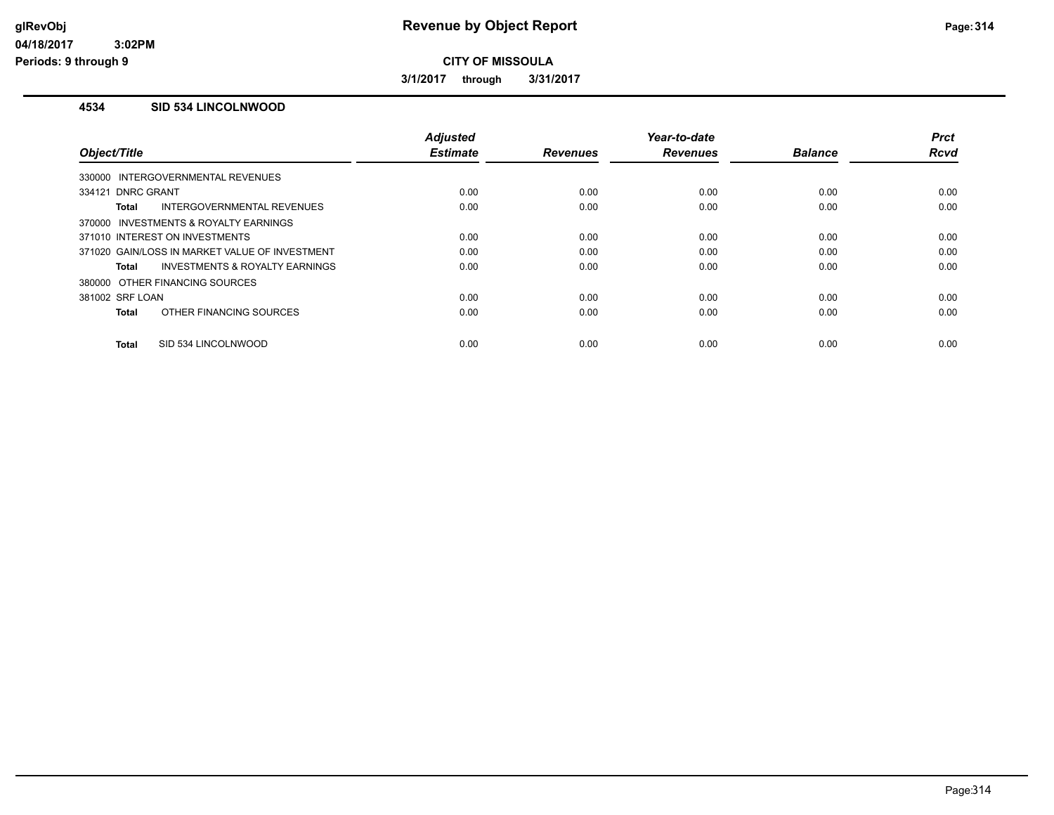**3/1/2017 through 3/31/2017**

### **4534 SID 534 LINCOLNWOOD**

|                                                    | <b>Adjusted</b> |                 | Year-to-date    |                | <b>Prct</b> |
|----------------------------------------------------|-----------------|-----------------|-----------------|----------------|-------------|
| Object/Title                                       | <b>Estimate</b> | <b>Revenues</b> | <b>Revenues</b> | <b>Balance</b> | <b>Rcvd</b> |
| 330000 INTERGOVERNMENTAL REVENUES                  |                 |                 |                 |                |             |
| 334121 DNRC GRANT                                  | 0.00            | 0.00            | 0.00            | 0.00           | 0.00        |
| INTERGOVERNMENTAL REVENUES<br>Total                | 0.00            | 0.00            | 0.00            | 0.00           | 0.00        |
| 370000 INVESTMENTS & ROYALTY EARNINGS              |                 |                 |                 |                |             |
| 371010 INTEREST ON INVESTMENTS                     | 0.00            | 0.00            | 0.00            | 0.00           | 0.00        |
| 371020 GAIN/LOSS IN MARKET VALUE OF INVESTMENT     | 0.00            | 0.00            | 0.00            | 0.00           | 0.00        |
| <b>INVESTMENTS &amp; ROYALTY EARNINGS</b><br>Total | 0.00            | 0.00            | 0.00            | 0.00           | 0.00        |
| 380000 OTHER FINANCING SOURCES                     |                 |                 |                 |                |             |
| 381002 SRF LOAN                                    | 0.00            | 0.00            | 0.00            | 0.00           | 0.00        |
| OTHER FINANCING SOURCES<br>Total                   | 0.00            | 0.00            | 0.00            | 0.00           | 0.00        |
| SID 534 LINCOLNWOOD<br><b>Total</b>                | 0.00            | 0.00            | 0.00            | 0.00           | 0.00        |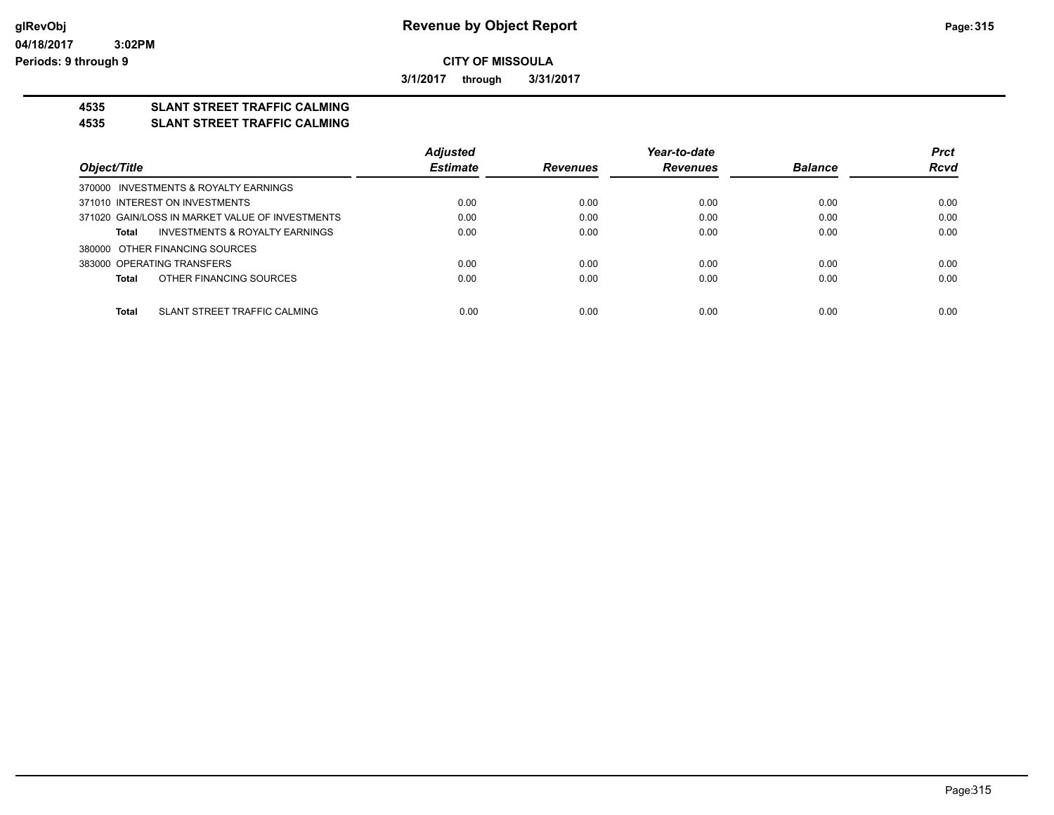**3/1/2017 through 3/31/2017**

### **4535 SLANT STREET TRAFFIC CALMING 4535 SLANT STREET TRAFFIC CALMING**

|                                                 | <b>Adjusted</b> |                 | Year-to-date    |                | <b>Prct</b> |
|-------------------------------------------------|-----------------|-----------------|-----------------|----------------|-------------|
| Object/Title                                    | <b>Estimate</b> | <b>Revenues</b> | <b>Revenues</b> | <b>Balance</b> | Rcvd        |
| 370000 INVESTMENTS & ROYALTY EARNINGS           |                 |                 |                 |                |             |
| 371010 INTEREST ON INVESTMENTS                  | 0.00            | 0.00            | 0.00            | 0.00           | 0.00        |
| 371020 GAIN/LOSS IN MARKET VALUE OF INVESTMENTS | 0.00            | 0.00            | 0.00            | 0.00           | 0.00        |
| INVESTMENTS & ROYALTY EARNINGS<br>Total         | 0.00            | 0.00            | 0.00            | 0.00           | 0.00        |
| 380000 OTHER FINANCING SOURCES                  |                 |                 |                 |                |             |
| 383000 OPERATING TRANSFERS                      | 0.00            | 0.00            | 0.00            | 0.00           | 0.00        |
| OTHER FINANCING SOURCES<br>Total                | 0.00            | 0.00            | 0.00            | 0.00           | 0.00        |
|                                                 |                 |                 |                 |                |             |
| <b>Total</b><br>SLANT STREET TRAFFIC CALMING    | 0.00            | 0.00            | 0.00            | 0.00           | 0.00        |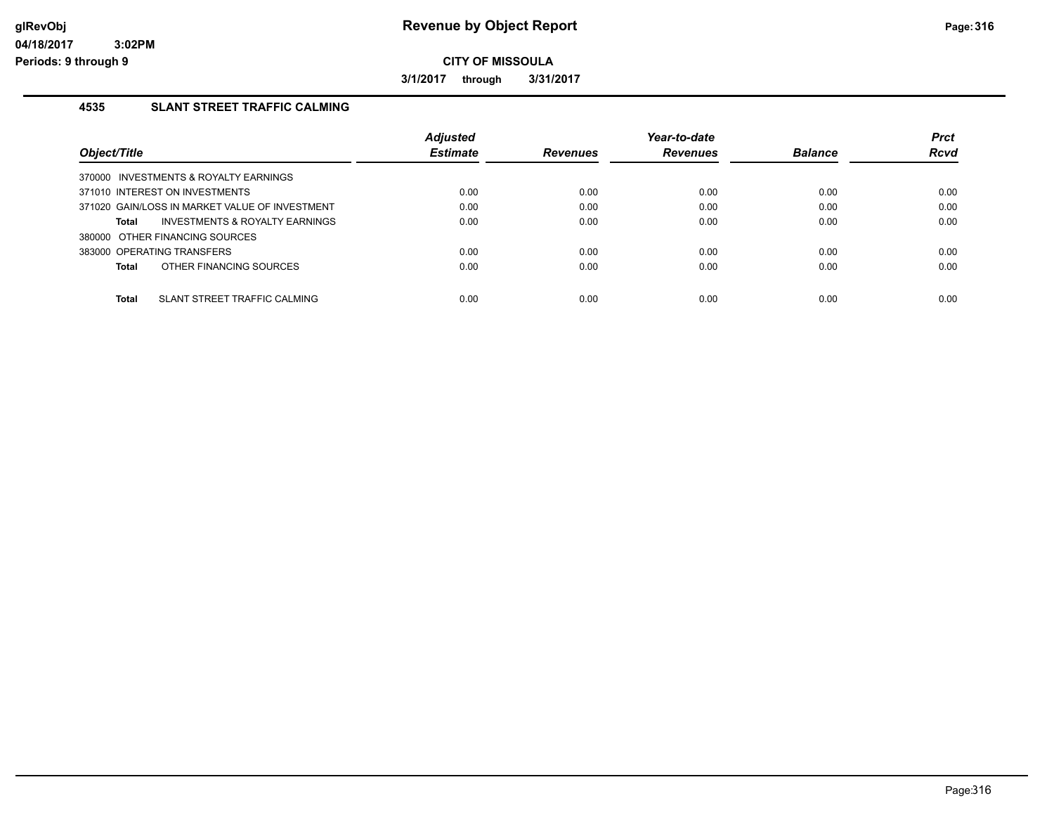**3/1/2017 through 3/31/2017**

### **4535 SLANT STREET TRAFFIC CALMING**

|              |                                                | <b>Adjusted</b> |                 | Year-to-date    |                | <b>Prct</b> |
|--------------|------------------------------------------------|-----------------|-----------------|-----------------|----------------|-------------|
| Object/Title |                                                | <b>Estimate</b> | <b>Revenues</b> | <b>Revenues</b> | <b>Balance</b> | <b>Rcvd</b> |
| 370000       | INVESTMENTS & ROYALTY EARNINGS                 |                 |                 |                 |                |             |
|              | 371010 INTEREST ON INVESTMENTS                 | 0.00            | 0.00            | 0.00            | 0.00           | 0.00        |
|              | 371020 GAIN/LOSS IN MARKET VALUE OF INVESTMENT | 0.00            | 0.00            | 0.00            | 0.00           | 0.00        |
| Total        | INVESTMENTS & ROYALTY EARNINGS                 | 0.00            | 0.00            | 0.00            | 0.00           | 0.00        |
|              | 380000 OTHER FINANCING SOURCES                 |                 |                 |                 |                |             |
|              | 383000 OPERATING TRANSFERS                     | 0.00            | 0.00            | 0.00            | 0.00           | 0.00        |
| Total        | OTHER FINANCING SOURCES                        | 0.00            | 0.00            | 0.00            | 0.00           | 0.00        |
| <b>Total</b> | SLANT STREET TRAFFIC CALMING                   | 0.00            | 0.00            | 0.00            | 0.00           | 0.00        |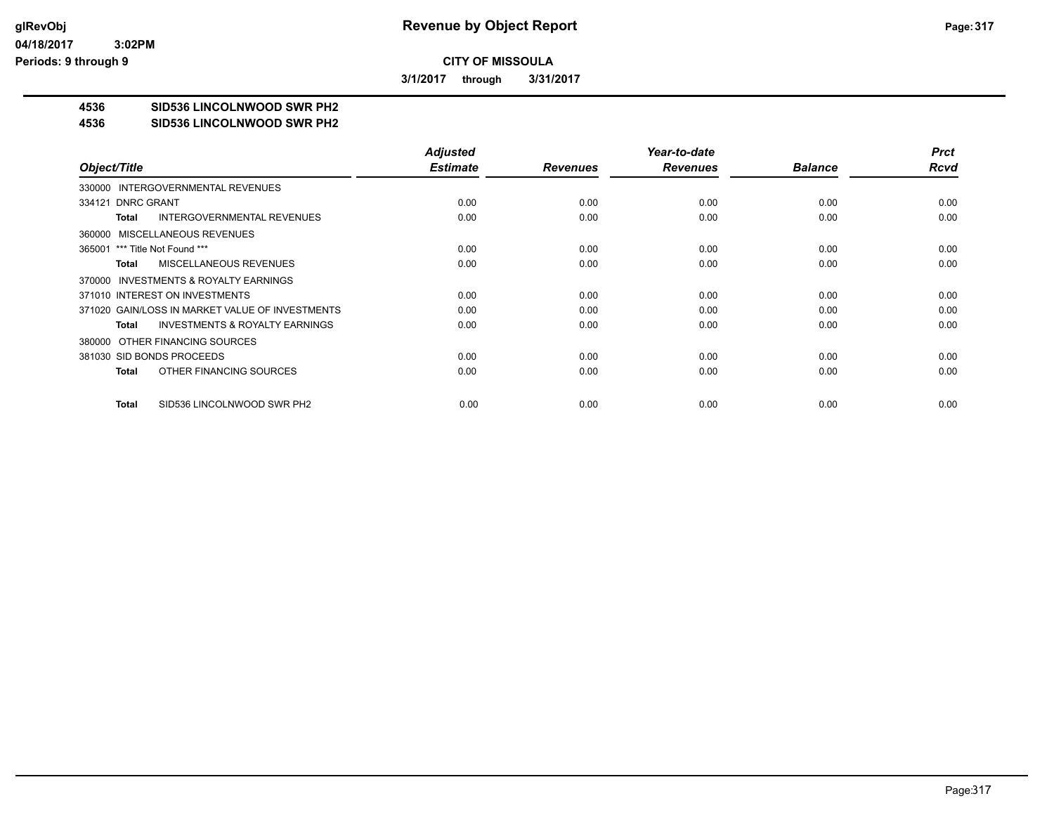**3/1/2017 through 3/31/2017**

**4536 SID536 LINCOLNWOOD SWR PH2**

**4536 SID536 LINCOLNWOOD SWR PH2**

|                                                    | <b>Adjusted</b> |                 | Year-to-date    |                | <b>Prct</b> |
|----------------------------------------------------|-----------------|-----------------|-----------------|----------------|-------------|
| Object/Title                                       | <b>Estimate</b> | <b>Revenues</b> | <b>Revenues</b> | <b>Balance</b> | Rcvd        |
| 330000 INTERGOVERNMENTAL REVENUES                  |                 |                 |                 |                |             |
| 334121 DNRC GRANT                                  | 0.00            | 0.00            | 0.00            | 0.00           | 0.00        |
| <b>INTERGOVERNMENTAL REVENUES</b><br>Total         | 0.00            | 0.00            | 0.00            | 0.00           | 0.00        |
| 360000 MISCELLANEOUS REVENUES                      |                 |                 |                 |                |             |
| 365001 *** Title Not Found ***                     | 0.00            | 0.00            | 0.00            | 0.00           | 0.00        |
| MISCELLANEOUS REVENUES<br>Total                    | 0.00            | 0.00            | 0.00            | 0.00           | 0.00        |
| 370000 INVESTMENTS & ROYALTY EARNINGS              |                 |                 |                 |                |             |
| 371010 INTEREST ON INVESTMENTS                     | 0.00            | 0.00            | 0.00            | 0.00           | 0.00        |
| 371020 GAIN/LOSS IN MARKET VALUE OF INVESTMENTS    | 0.00            | 0.00            | 0.00            | 0.00           | 0.00        |
| <b>INVESTMENTS &amp; ROYALTY EARNINGS</b><br>Total | 0.00            | 0.00            | 0.00            | 0.00           | 0.00        |
| 380000 OTHER FINANCING SOURCES                     |                 |                 |                 |                |             |
| 381030 SID BONDS PROCEEDS                          | 0.00            | 0.00            | 0.00            | 0.00           | 0.00        |
| OTHER FINANCING SOURCES<br><b>Total</b>            | 0.00            | 0.00            | 0.00            | 0.00           | 0.00        |
|                                                    |                 |                 |                 |                |             |
| SID536 LINCOLNWOOD SWR PH2<br><b>Total</b>         | 0.00            | 0.00            | 0.00            | 0.00           | 0.00        |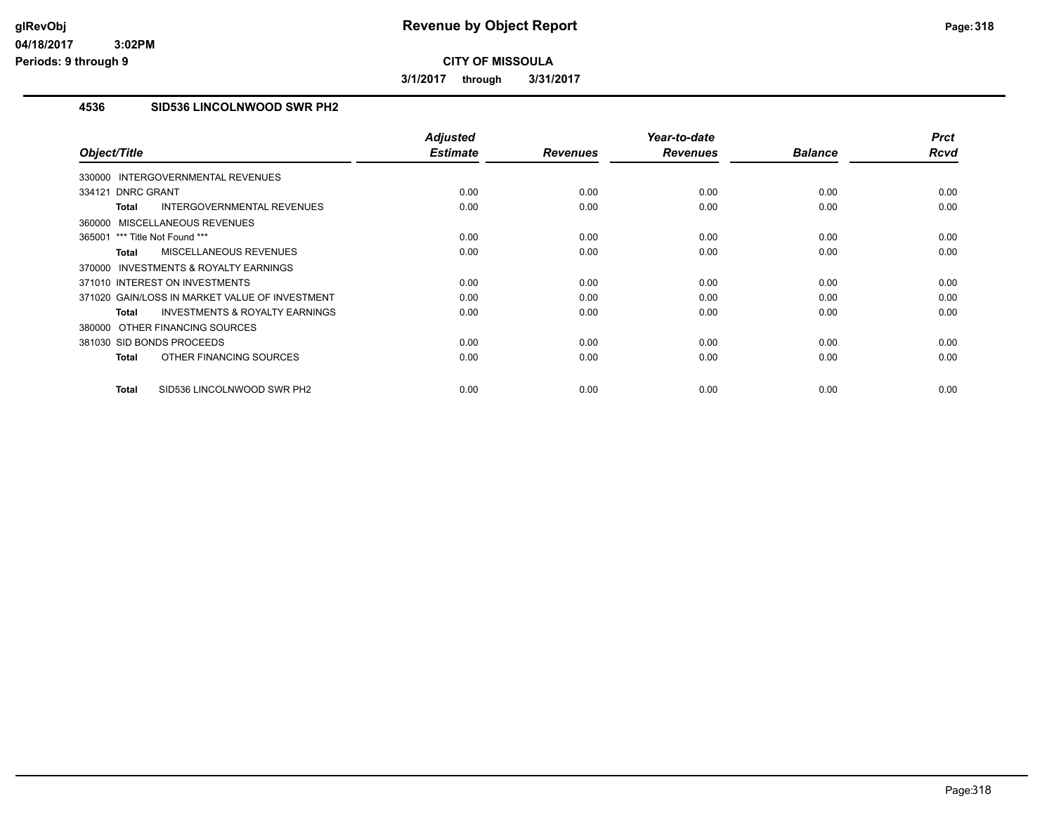**3/1/2017 through 3/31/2017**

### **4536 SID536 LINCOLNWOOD SWR PH2**

| Object/Title                                              | <b>Adjusted</b><br><b>Estimate</b> | <b>Revenues</b> | Year-to-date<br><b>Revenues</b> | <b>Balance</b> | <b>Prct</b><br><b>Rcvd</b> |
|-----------------------------------------------------------|------------------------------------|-----------------|---------------------------------|----------------|----------------------------|
| <b>INTERGOVERNMENTAL REVENUES</b><br>330000               |                                    |                 |                                 |                |                            |
| 334121 DNRC GRANT                                         | 0.00                               | 0.00            | 0.00                            | 0.00           | 0.00                       |
| <b>INTERGOVERNMENTAL REVENUES</b><br><b>Total</b>         | 0.00                               | 0.00            | 0.00                            | 0.00           | 0.00                       |
| <b>MISCELLANEOUS REVENUES</b><br>360000                   |                                    |                 |                                 |                |                            |
| 365001 *** Title Not Found ***                            | 0.00                               | 0.00            | 0.00                            | 0.00           | 0.00                       |
| MISCELLANEOUS REVENUES<br><b>Total</b>                    | 0.00                               | 0.00            | 0.00                            | 0.00           | 0.00                       |
| INVESTMENTS & ROYALTY EARNINGS<br>370000                  |                                    |                 |                                 |                |                            |
| 371010 INTEREST ON INVESTMENTS                            | 0.00                               | 0.00            | 0.00                            | 0.00           | 0.00                       |
| 371020 GAIN/LOSS IN MARKET VALUE OF INVESTMENT            | 0.00                               | 0.00            | 0.00                            | 0.00           | 0.00                       |
| <b>INVESTMENTS &amp; ROYALTY EARNINGS</b><br><b>Total</b> | 0.00                               | 0.00            | 0.00                            | 0.00           | 0.00                       |
| 380000 OTHER FINANCING SOURCES                            |                                    |                 |                                 |                |                            |
| 381030 SID BONDS PROCEEDS                                 | 0.00                               | 0.00            | 0.00                            | 0.00           | 0.00                       |
| OTHER FINANCING SOURCES<br><b>Total</b>                   | 0.00                               | 0.00            | 0.00                            | 0.00           | 0.00                       |
| SID536 LINCOLNWOOD SWR PH2<br><b>Total</b>                | 0.00                               | 0.00            | 0.00                            | 0.00           | 0.00                       |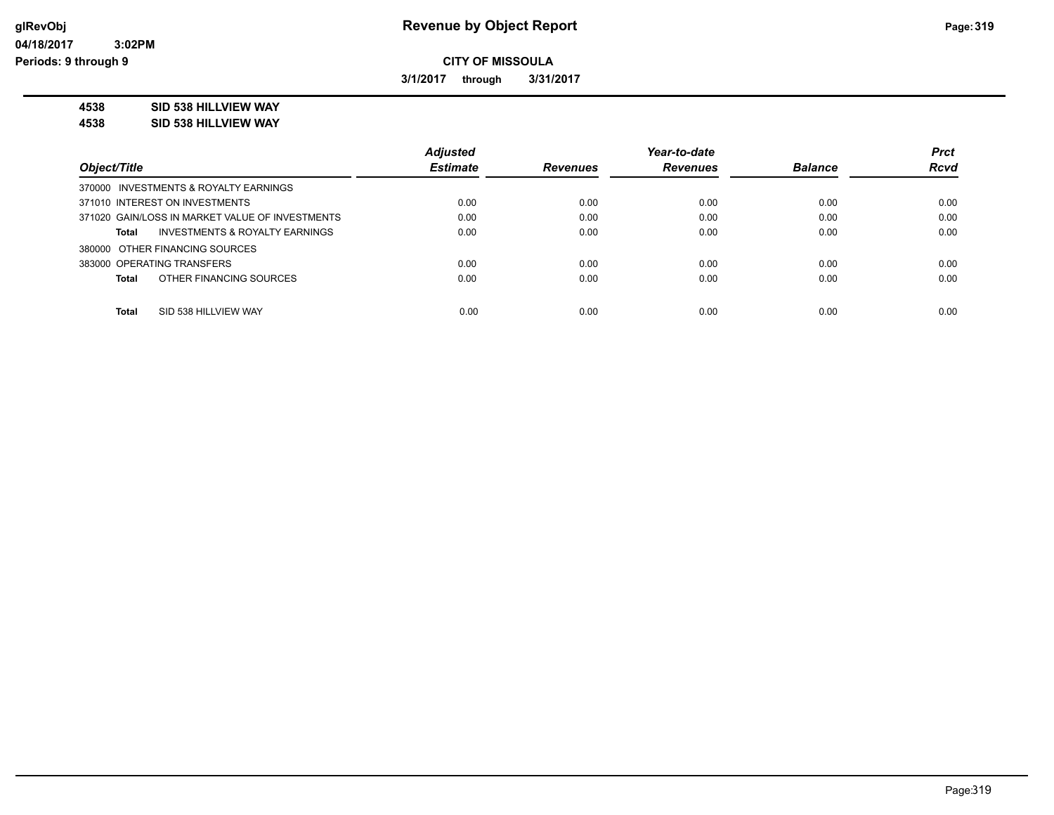**3/1/2017 through 3/31/2017**

**4538 SID 538 HILLVIEW WAY**

**4538 SID 538 HILLVIEW WAY**

|                                                 | <b>Adjusted</b> |                 | Year-to-date    |                | <b>Prct</b> |
|-------------------------------------------------|-----------------|-----------------|-----------------|----------------|-------------|
| Object/Title                                    | <b>Estimate</b> | <b>Revenues</b> | <b>Revenues</b> | <b>Balance</b> | <b>Rcvd</b> |
| 370000 INVESTMENTS & ROYALTY EARNINGS           |                 |                 |                 |                |             |
| 371010 INTEREST ON INVESTMENTS                  | 0.00            | 0.00            | 0.00            | 0.00           | 0.00        |
| 371020 GAIN/LOSS IN MARKET VALUE OF INVESTMENTS | 0.00            | 0.00            | 0.00            | 0.00           | 0.00        |
| INVESTMENTS & ROYALTY EARNINGS<br>Total         | 0.00            | 0.00            | 0.00            | 0.00           | 0.00        |
| 380000 OTHER FINANCING SOURCES                  |                 |                 |                 |                |             |
| 383000 OPERATING TRANSFERS                      | 0.00            | 0.00            | 0.00            | 0.00           | 0.00        |
| OTHER FINANCING SOURCES<br>Total                | 0.00            | 0.00            | 0.00            | 0.00           | 0.00        |
|                                                 |                 |                 |                 |                |             |
| SID 538 HILLVIEW WAY<br><b>Total</b>            | 0.00            | 0.00            | 0.00            | 0.00           | 0.00        |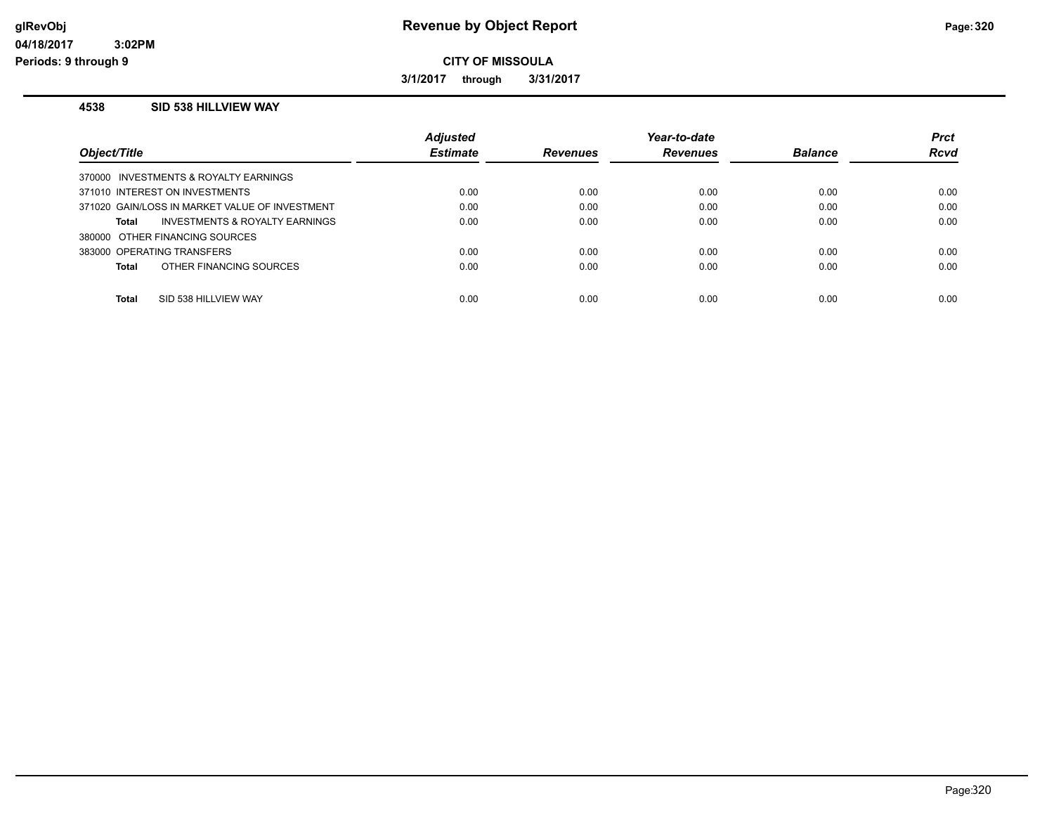**3/1/2017 through 3/31/2017**

### **4538 SID 538 HILLVIEW WAY**

|                                                | <b>Adjusted</b> |                 | Year-to-date    |                | <b>Prct</b> |
|------------------------------------------------|-----------------|-----------------|-----------------|----------------|-------------|
| Object/Title                                   | <b>Estimate</b> | <b>Revenues</b> | <b>Revenues</b> | <b>Balance</b> | <b>Rcvd</b> |
| 370000 INVESTMENTS & ROYALTY EARNINGS          |                 |                 |                 |                |             |
| 371010 INTEREST ON INVESTMENTS                 | 0.00            | 0.00            | 0.00            | 0.00           | 0.00        |
| 371020 GAIN/LOSS IN MARKET VALUE OF INVESTMENT | 0.00            | 0.00            | 0.00            | 0.00           | 0.00        |
| Total<br>INVESTMENTS & ROYALTY EARNINGS        | 0.00            | 0.00            | 0.00            | 0.00           | 0.00        |
| 380000 OTHER FINANCING SOURCES                 |                 |                 |                 |                |             |
| 383000 OPERATING TRANSFERS                     | 0.00            | 0.00            | 0.00            | 0.00           | 0.00        |
| OTHER FINANCING SOURCES<br>Total               | 0.00            | 0.00            | 0.00            | 0.00           | 0.00        |
|                                                |                 |                 |                 |                |             |
| Total<br>SID 538 HILLVIEW WAY                  | 0.00            | 0.00            | 0.00            | 0.00           | 0.00        |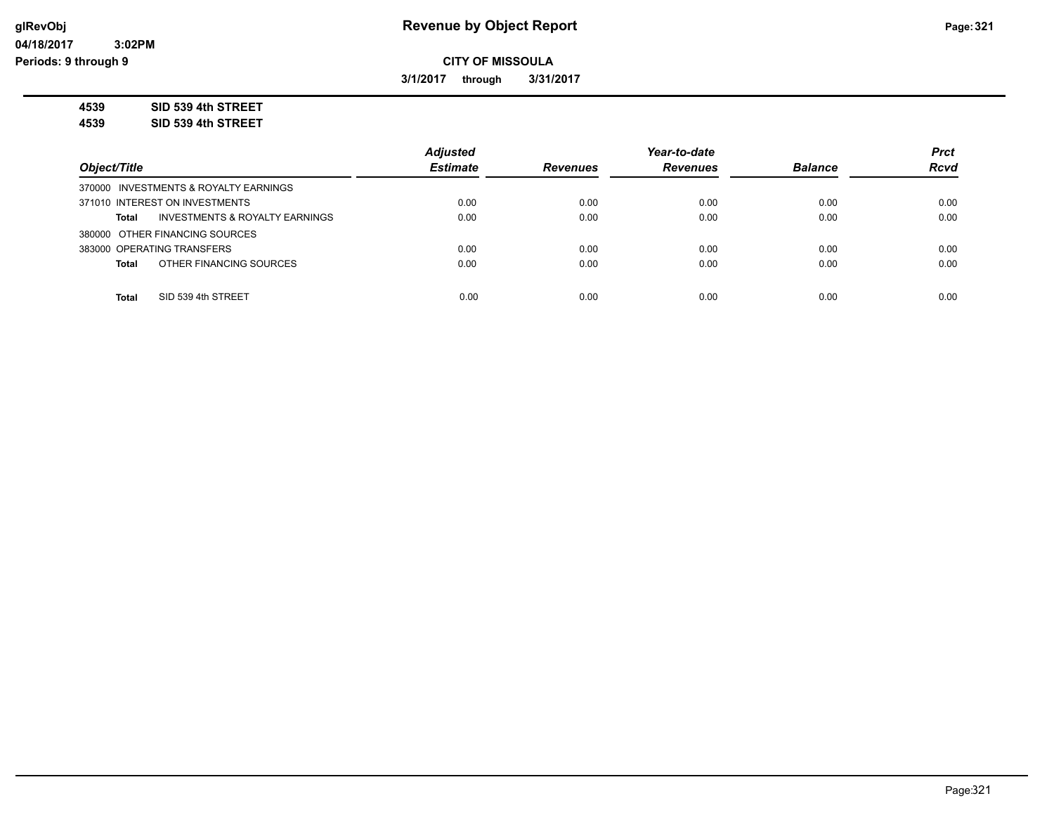**3/1/2017 through 3/31/2017**

**4539 SID 539 4th STREET 4539 SID 539 4th STREET**

| Object/Title                            | <b>Adjusted</b><br><b>Estimate</b> | <b>Revenues</b> | Year-to-date<br><b>Revenues</b> | <b>Balance</b> | <b>Prct</b><br><b>Rcvd</b> |
|-----------------------------------------|------------------------------------|-----------------|---------------------------------|----------------|----------------------------|
| 370000 INVESTMENTS & ROYALTY EARNINGS   |                                    |                 |                                 |                |                            |
| 371010 INTEREST ON INVESTMENTS          | 0.00                               | 0.00            | 0.00                            | 0.00           | 0.00                       |
| INVESTMENTS & ROYALTY EARNINGS<br>Total | 0.00                               | 0.00            | 0.00                            | 0.00           | 0.00                       |
| 380000 OTHER FINANCING SOURCES          |                                    |                 |                                 |                |                            |
| 383000 OPERATING TRANSFERS              | 0.00                               | 0.00            | 0.00                            | 0.00           | 0.00                       |
| OTHER FINANCING SOURCES<br><b>Total</b> | 0.00                               | 0.00            | 0.00                            | 0.00           | 0.00                       |
|                                         |                                    |                 |                                 |                |                            |
| <b>Total</b><br>SID 539 4th STREET      | 0.00                               | 0.00            | 0.00                            | 0.00           | 0.00                       |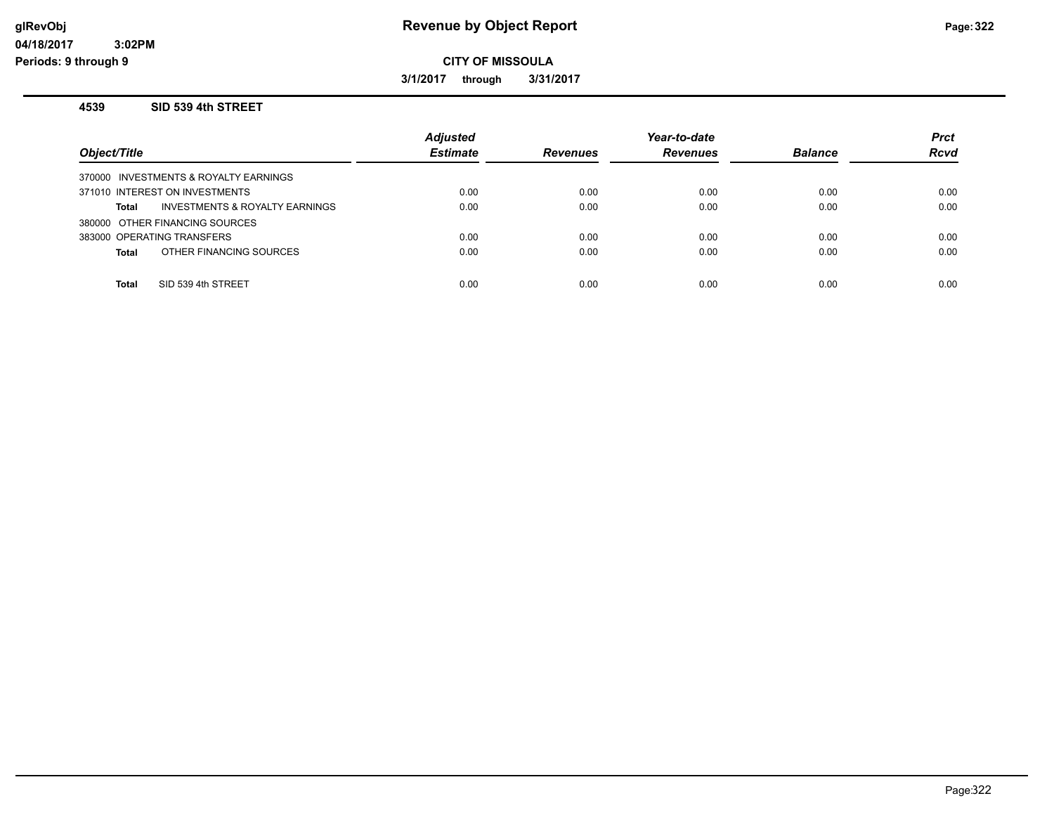**Periods: 9 through 9**

**CITY OF MISSOULA**

**3/1/2017 through 3/31/2017**

### **4539 SID 539 4th STREET**

 **3:02PM**

|                                         | <b>Adjusted</b> |                 |                 | <b>Prct</b>    |             |
|-----------------------------------------|-----------------|-----------------|-----------------|----------------|-------------|
| Object/Title                            | <b>Estimate</b> | <b>Revenues</b> | <b>Revenues</b> | <b>Balance</b> | <b>Rcvd</b> |
| 370000 INVESTMENTS & ROYALTY EARNINGS   |                 |                 |                 |                |             |
| 371010 INTEREST ON INVESTMENTS          | 0.00            | 0.00            | 0.00            | 0.00           | 0.00        |
| INVESTMENTS & ROYALTY EARNINGS<br>Total | 0.00            | 0.00            | 0.00            | 0.00           | 0.00        |
| 380000 OTHER FINANCING SOURCES          |                 |                 |                 |                |             |
| 383000 OPERATING TRANSFERS              | 0.00            | 0.00            | 0.00            | 0.00           | 0.00        |
| OTHER FINANCING SOURCES<br>Total        | 0.00            | 0.00            | 0.00            | 0.00           | 0.00        |
| Total<br>SID 539 4th STREET             | 0.00            | 0.00            | 0.00            | 0.00           | 0.00        |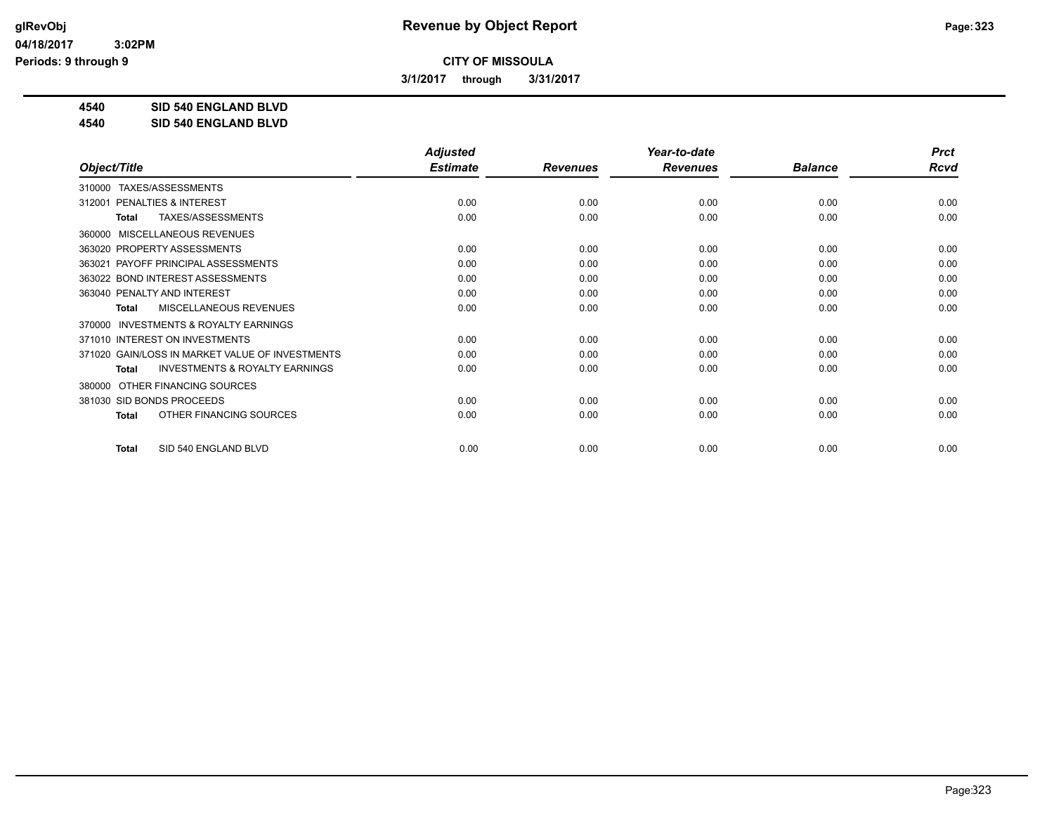**3/1/2017 through 3/31/2017**

**4540 SID 540 ENGLAND BLVD 4540 SID 540 ENGLAND BLVD**

|                                                           | <b>Adjusted</b> |                 | Year-to-date    |                | <b>Prct</b> |
|-----------------------------------------------------------|-----------------|-----------------|-----------------|----------------|-------------|
| Object/Title                                              | <b>Estimate</b> | <b>Revenues</b> | <b>Revenues</b> | <b>Balance</b> | Rcvd        |
| TAXES/ASSESSMENTS<br>310000                               |                 |                 |                 |                |             |
| PENALTIES & INTEREST<br>312001                            | 0.00            | 0.00            | 0.00            | 0.00           | 0.00        |
| TAXES/ASSESSMENTS<br>Total                                | 0.00            | 0.00            | 0.00            | 0.00           | 0.00        |
| MISCELLANEOUS REVENUES<br>360000                          |                 |                 |                 |                |             |
| 363020 PROPERTY ASSESSMENTS                               | 0.00            | 0.00            | 0.00            | 0.00           | 0.00        |
| PAYOFF PRINCIPAL ASSESSMENTS<br>363021                    | 0.00            | 0.00            | 0.00            | 0.00           | 0.00        |
| 363022 BOND INTEREST ASSESSMENTS                          | 0.00            | 0.00            | 0.00            | 0.00           | 0.00        |
| 363040 PENALTY AND INTEREST                               | 0.00            | 0.00            | 0.00            | 0.00           | 0.00        |
| MISCELLANEOUS REVENUES<br><b>Total</b>                    | 0.00            | 0.00            | 0.00            | 0.00           | 0.00        |
| <b>INVESTMENTS &amp; ROYALTY EARNINGS</b><br>370000       |                 |                 |                 |                |             |
| 371010 INTEREST ON INVESTMENTS                            | 0.00            | 0.00            | 0.00            | 0.00           | 0.00        |
| 371020 GAIN/LOSS IN MARKET VALUE OF INVESTMENTS           | 0.00            | 0.00            | 0.00            | 0.00           | 0.00        |
| <b>INVESTMENTS &amp; ROYALTY EARNINGS</b><br><b>Total</b> | 0.00            | 0.00            | 0.00            | 0.00           | 0.00        |
| OTHER FINANCING SOURCES<br>380000                         |                 |                 |                 |                |             |
| 381030 SID BONDS PROCEEDS                                 | 0.00            | 0.00            | 0.00            | 0.00           | 0.00        |
| OTHER FINANCING SOURCES<br><b>Total</b>                   | 0.00            | 0.00            | 0.00            | 0.00           | 0.00        |
|                                                           |                 |                 |                 |                |             |
| SID 540 ENGLAND BLVD<br><b>Total</b>                      | 0.00            | 0.00            | 0.00            | 0.00           | 0.00        |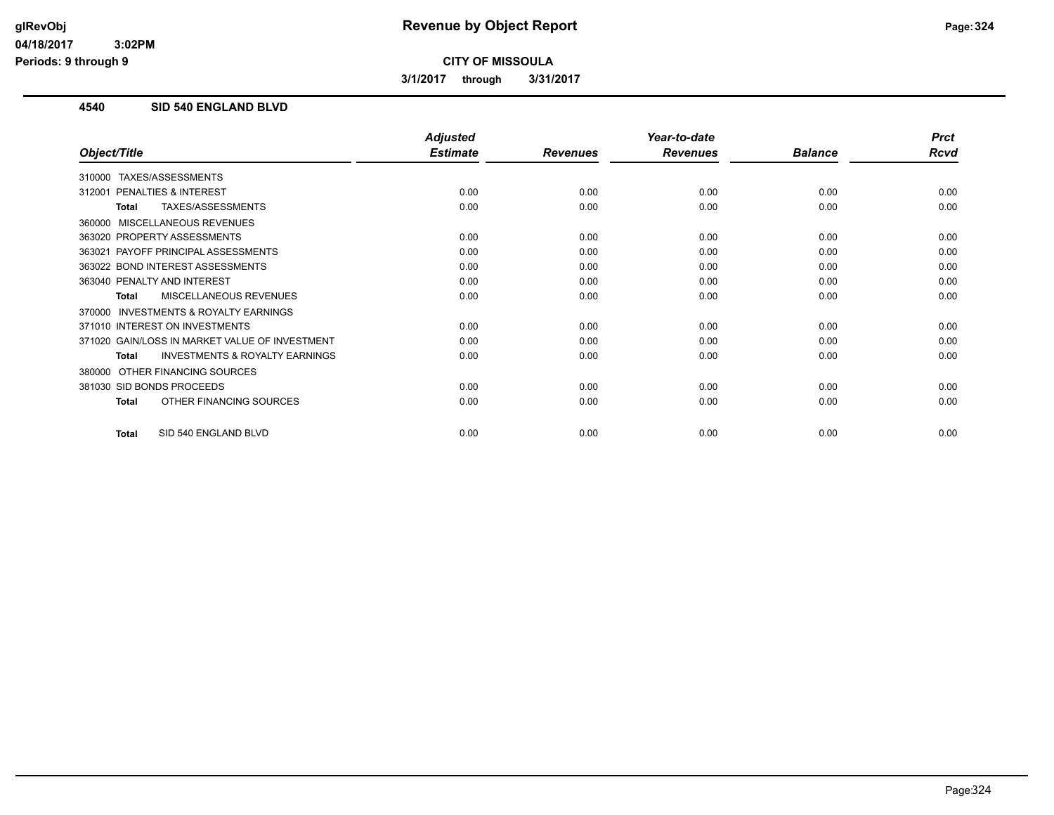**3/1/2017 through 3/31/2017**

### **4540 SID 540 ENGLAND BLVD**

| Object/Title                                        | <b>Adjusted</b> |                 | Year-to-date    |                | <b>Prct</b> |
|-----------------------------------------------------|-----------------|-----------------|-----------------|----------------|-------------|
|                                                     | <b>Estimate</b> | <b>Revenues</b> | <b>Revenues</b> | <b>Balance</b> | <b>Rcvd</b> |
| TAXES/ASSESSMENTS<br>310000                         |                 |                 |                 |                |             |
| 312001 PENALTIES & INTEREST                         | 0.00            | 0.00            | 0.00            | 0.00           | 0.00        |
| TAXES/ASSESSMENTS<br>Total                          | 0.00            | 0.00            | 0.00            | 0.00           | 0.00        |
| MISCELLANEOUS REVENUES<br>360000                    |                 |                 |                 |                |             |
| 363020 PROPERTY ASSESSMENTS                         | 0.00            | 0.00            | 0.00            | 0.00           | 0.00        |
| 363021 PAYOFF PRINCIPAL ASSESSMENTS                 | 0.00            | 0.00            | 0.00            | 0.00           | 0.00        |
| 363022 BOND INTEREST ASSESSMENTS                    | 0.00            | 0.00            | 0.00            | 0.00           | 0.00        |
| 363040 PENALTY AND INTEREST                         | 0.00            | 0.00            | 0.00            | 0.00           | 0.00        |
| <b>MISCELLANEOUS REVENUES</b><br>Total              | 0.00            | 0.00            | 0.00            | 0.00           | 0.00        |
| <b>INVESTMENTS &amp; ROYALTY EARNINGS</b><br>370000 |                 |                 |                 |                |             |
| 371010 INTEREST ON INVESTMENTS                      | 0.00            | 0.00            | 0.00            | 0.00           | 0.00        |
| 371020 GAIN/LOSS IN MARKET VALUE OF INVESTMENT      | 0.00            | 0.00            | 0.00            | 0.00           | 0.00        |
| <b>INVESTMENTS &amp; ROYALTY EARNINGS</b><br>Total  | 0.00            | 0.00            | 0.00            | 0.00           | 0.00        |
| 380000 OTHER FINANCING SOURCES                      |                 |                 |                 |                |             |
| 381030 SID BONDS PROCEEDS                           | 0.00            | 0.00            | 0.00            | 0.00           | 0.00        |
| OTHER FINANCING SOURCES<br>Total                    | 0.00            | 0.00            | 0.00            | 0.00           | 0.00        |
| SID 540 ENGLAND BLVD<br><b>Total</b>                | 0.00            | 0.00            | 0.00            | 0.00           | 0.00        |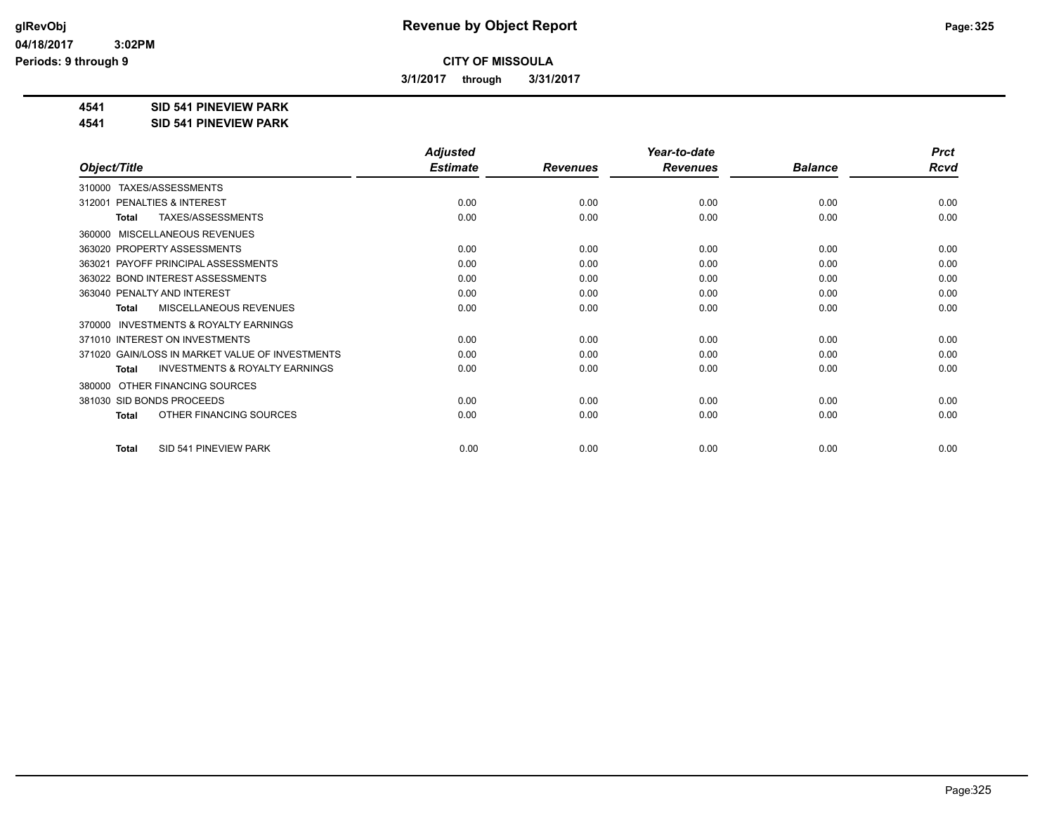**3/1/2017 through 3/31/2017**

**4541 SID 541 PINEVIEW PARK**

**4541 SID 541 PINEVIEW PARK**

|                                                           | <b>Adjusted</b> |                 | Year-to-date    |                | <b>Prct</b> |
|-----------------------------------------------------------|-----------------|-----------------|-----------------|----------------|-------------|
| Object/Title                                              | <b>Estimate</b> | <b>Revenues</b> | <b>Revenues</b> | <b>Balance</b> | Rcvd        |
| TAXES/ASSESSMENTS<br>310000                               |                 |                 |                 |                |             |
| 312001 PENALTIES & INTEREST                               | 0.00            | 0.00            | 0.00            | 0.00           | 0.00        |
| TAXES/ASSESSMENTS<br><b>Total</b>                         | 0.00            | 0.00            | 0.00            | 0.00           | 0.00        |
| MISCELLANEOUS REVENUES<br>360000                          |                 |                 |                 |                |             |
| 363020 PROPERTY ASSESSMENTS                               | 0.00            | 0.00            | 0.00            | 0.00           | 0.00        |
| 363021 PAYOFF PRINCIPAL ASSESSMENTS                       | 0.00            | 0.00            | 0.00            | 0.00           | 0.00        |
| 363022 BOND INTEREST ASSESSMENTS                          | 0.00            | 0.00            | 0.00            | 0.00           | 0.00        |
| 363040 PENALTY AND INTEREST                               | 0.00            | 0.00            | 0.00            | 0.00           | 0.00        |
| MISCELLANEOUS REVENUES<br>Total                           | 0.00            | 0.00            | 0.00            | 0.00           | 0.00        |
| 370000 INVESTMENTS & ROYALTY EARNINGS                     |                 |                 |                 |                |             |
| 371010 INTEREST ON INVESTMENTS                            | 0.00            | 0.00            | 0.00            | 0.00           | 0.00        |
| 371020 GAIN/LOSS IN MARKET VALUE OF INVESTMENTS           | 0.00            | 0.00            | 0.00            | 0.00           | 0.00        |
| <b>INVESTMENTS &amp; ROYALTY EARNINGS</b><br><b>Total</b> | 0.00            | 0.00            | 0.00            | 0.00           | 0.00        |
| OTHER FINANCING SOURCES<br>380000                         |                 |                 |                 |                |             |
| 381030 SID BONDS PROCEEDS                                 | 0.00            | 0.00            | 0.00            | 0.00           | 0.00        |
| OTHER FINANCING SOURCES<br><b>Total</b>                   | 0.00            | 0.00            | 0.00            | 0.00           | 0.00        |
| SID 541 PINEVIEW PARK<br><b>Total</b>                     | 0.00            | 0.00            | 0.00            | 0.00           | 0.00        |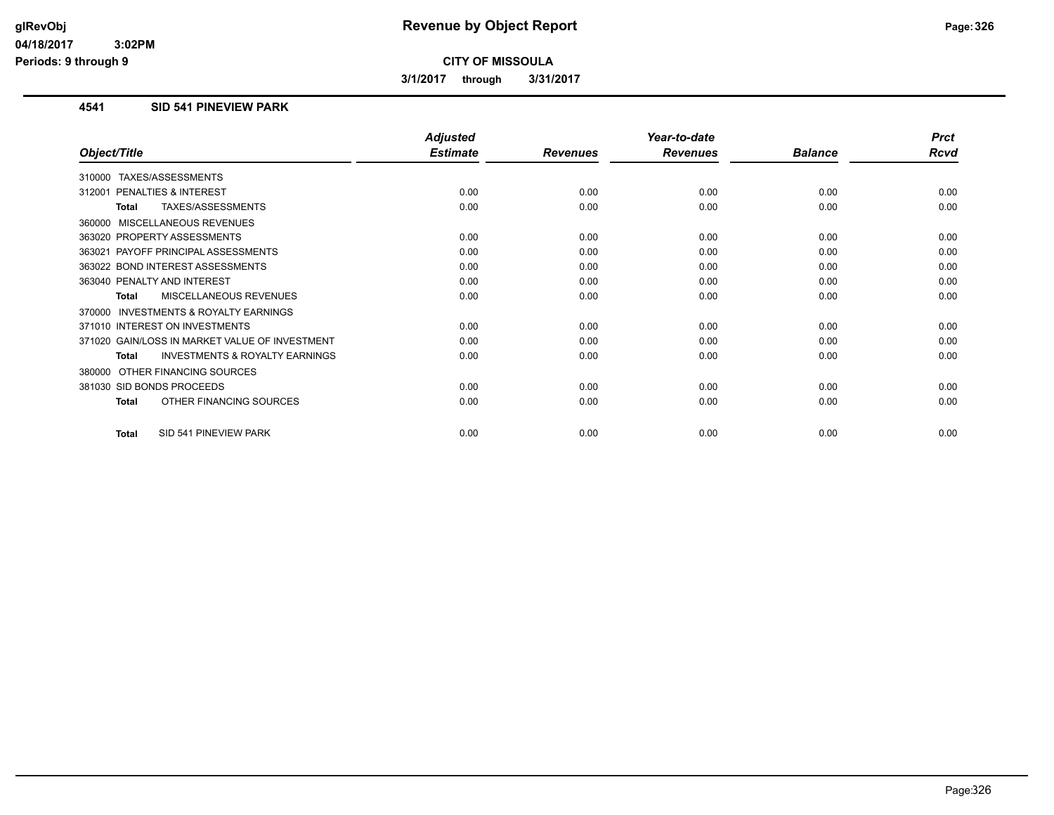**3/1/2017 through 3/31/2017**

#### **4541 SID 541 PINEVIEW PARK**

|                                                     | <b>Adjusted</b> |                 | Year-to-date    |                | <b>Prct</b> |
|-----------------------------------------------------|-----------------|-----------------|-----------------|----------------|-------------|
| Object/Title                                        | <b>Estimate</b> | <b>Revenues</b> | <b>Revenues</b> | <b>Balance</b> | Rcvd        |
| TAXES/ASSESSMENTS<br>310000                         |                 |                 |                 |                |             |
| 312001 PENALTIES & INTEREST                         | 0.00            | 0.00            | 0.00            | 0.00           | 0.00        |
| TAXES/ASSESSMENTS<br>Total                          | 0.00            | 0.00            | 0.00            | 0.00           | 0.00        |
| MISCELLANEOUS REVENUES<br>360000                    |                 |                 |                 |                |             |
| 363020 PROPERTY ASSESSMENTS                         | 0.00            | 0.00            | 0.00            | 0.00           | 0.00        |
| 363021 PAYOFF PRINCIPAL ASSESSMENTS                 | 0.00            | 0.00            | 0.00            | 0.00           | 0.00        |
| 363022 BOND INTEREST ASSESSMENTS                    | 0.00            | 0.00            | 0.00            | 0.00           | 0.00        |
| 363040 PENALTY AND INTEREST                         | 0.00            | 0.00            | 0.00            | 0.00           | 0.00        |
| MISCELLANEOUS REVENUES<br>Total                     | 0.00            | 0.00            | 0.00            | 0.00           | 0.00        |
| <b>INVESTMENTS &amp; ROYALTY EARNINGS</b><br>370000 |                 |                 |                 |                |             |
| 371010 INTEREST ON INVESTMENTS                      | 0.00            | 0.00            | 0.00            | 0.00           | 0.00        |
| 371020 GAIN/LOSS IN MARKET VALUE OF INVESTMENT      | 0.00            | 0.00            | 0.00            | 0.00           | 0.00        |
| <b>INVESTMENTS &amp; ROYALTY EARNINGS</b><br>Total  | 0.00            | 0.00            | 0.00            | 0.00           | 0.00        |
| OTHER FINANCING SOURCES<br>380000                   |                 |                 |                 |                |             |
| 381030 SID BONDS PROCEEDS                           | 0.00            | 0.00            | 0.00            | 0.00           | 0.00        |
| OTHER FINANCING SOURCES<br><b>Total</b>             | 0.00            | 0.00            | 0.00            | 0.00           | 0.00        |
| SID 541 PINEVIEW PARK<br><b>Total</b>               | 0.00            | 0.00            | 0.00            | 0.00           | 0.00        |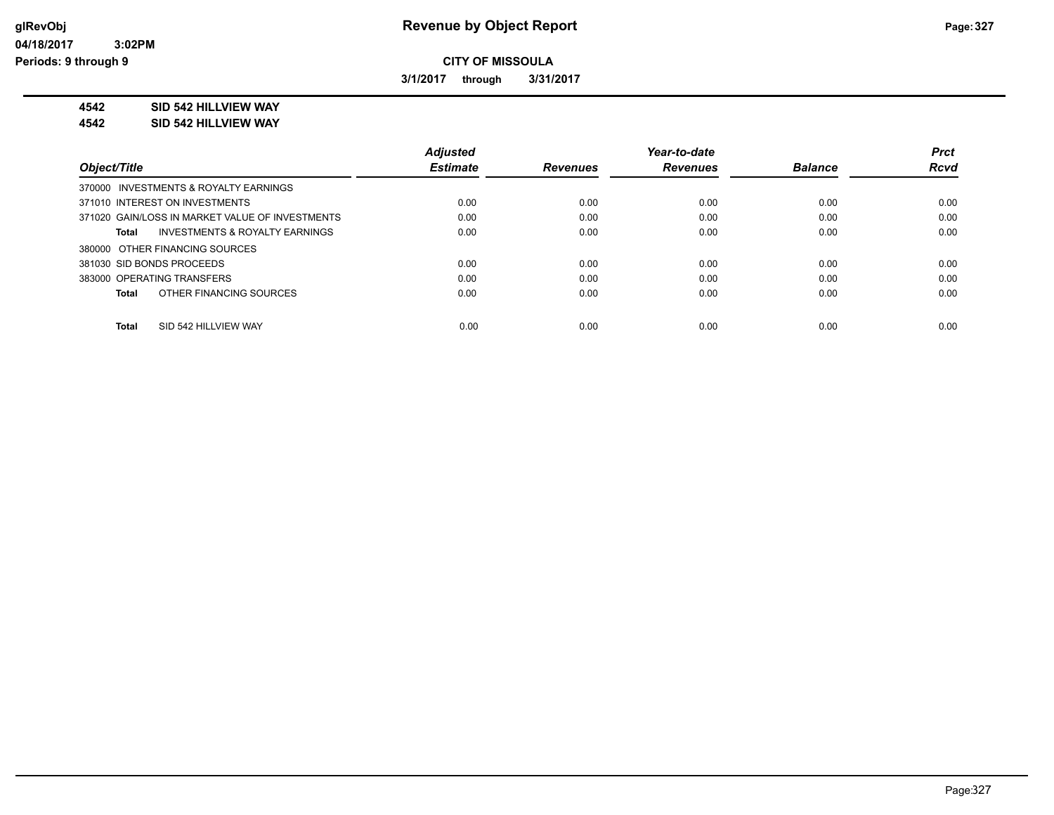**3/1/2017 through 3/31/2017**

**4542 SID 542 HILLVIEW WAY**

**4542 SID 542 HILLVIEW WAY**

|                                                 | <b>Adjusted</b> |                 | Year-to-date    |                | <b>Prct</b> |
|-------------------------------------------------|-----------------|-----------------|-----------------|----------------|-------------|
| Object/Title                                    | <b>Estimate</b> | <b>Revenues</b> | <b>Revenues</b> | <b>Balance</b> | <b>Rcvd</b> |
| 370000 INVESTMENTS & ROYALTY EARNINGS           |                 |                 |                 |                |             |
| 371010 INTEREST ON INVESTMENTS                  | 0.00            | 0.00            | 0.00            | 0.00           | 0.00        |
| 371020 GAIN/LOSS IN MARKET VALUE OF INVESTMENTS | 0.00            | 0.00            | 0.00            | 0.00           | 0.00        |
| INVESTMENTS & ROYALTY EARNINGS<br>Total         | 0.00            | 0.00            | 0.00            | 0.00           | 0.00        |
| 380000 OTHER FINANCING SOURCES                  |                 |                 |                 |                |             |
| 381030 SID BONDS PROCEEDS                       | 0.00            | 0.00            | 0.00            | 0.00           | 0.00        |
| 383000 OPERATING TRANSFERS                      | 0.00            | 0.00            | 0.00            | 0.00           | 0.00        |
| OTHER FINANCING SOURCES<br>Total                | 0.00            | 0.00            | 0.00            | 0.00           | 0.00        |
| SID 542 HILLVIEW WAY<br><b>Total</b>            | 0.00            | 0.00            | 0.00            | 0.00           | 0.00        |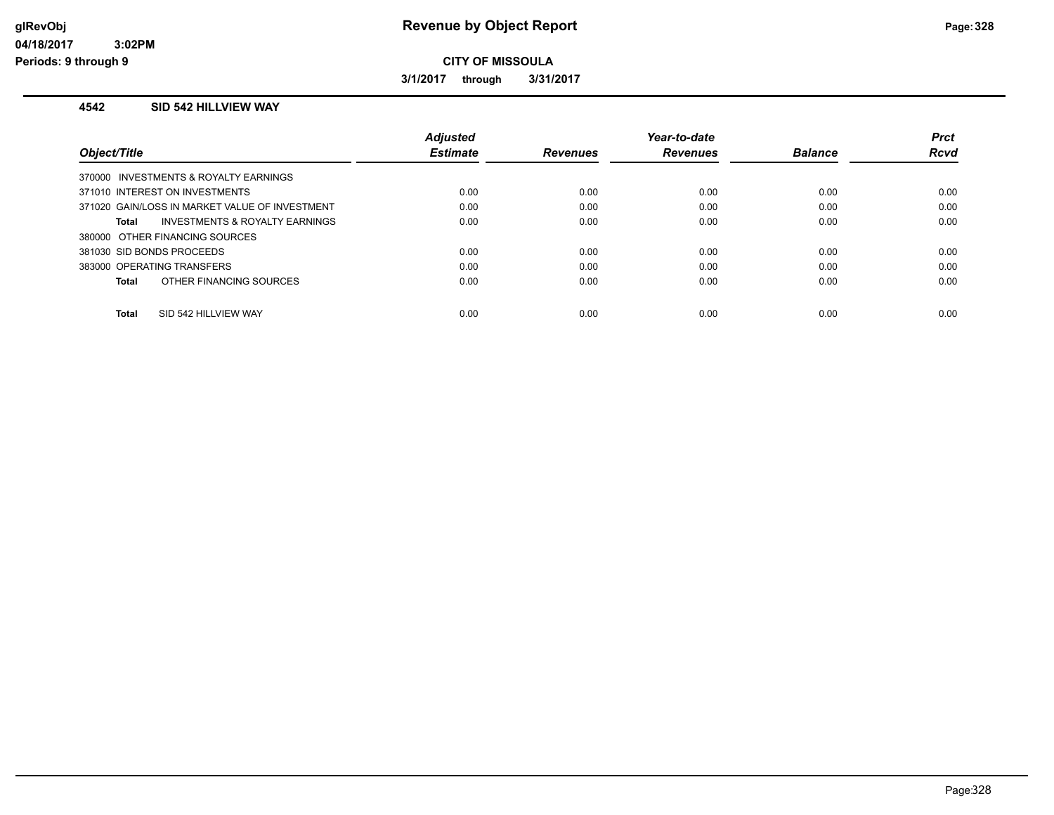**3/1/2017 through 3/31/2017**

#### **4542 SID 542 HILLVIEW WAY**

|                                                | <b>Adjusted</b> |                 | Year-to-date    |                | <b>Prct</b> |
|------------------------------------------------|-----------------|-----------------|-----------------|----------------|-------------|
| Object/Title                                   | <b>Estimate</b> | <b>Revenues</b> | <b>Revenues</b> | <b>Balance</b> | <b>Rcvd</b> |
| 370000 INVESTMENTS & ROYALTY EARNINGS          |                 |                 |                 |                |             |
| 371010 INTEREST ON INVESTMENTS                 | 0.00            | 0.00            | 0.00            | 0.00           | 0.00        |
| 371020 GAIN/LOSS IN MARKET VALUE OF INVESTMENT | 0.00            | 0.00            | 0.00            | 0.00           | 0.00        |
| INVESTMENTS & ROYALTY EARNINGS<br>Total        | 0.00            | 0.00            | 0.00            | 0.00           | 0.00        |
| 380000 OTHER FINANCING SOURCES                 |                 |                 |                 |                |             |
| 381030 SID BONDS PROCEEDS                      | 0.00            | 0.00            | 0.00            | 0.00           | 0.00        |
| 383000 OPERATING TRANSFERS                     | 0.00            | 0.00            | 0.00            | 0.00           | 0.00        |
| Total<br>OTHER FINANCING SOURCES               | 0.00            | 0.00            | 0.00            | 0.00           | 0.00        |
| SID 542 HILLVIEW WAY<br>Total                  | 0.00            | 0.00            | 0.00            | 0.00           | 0.00        |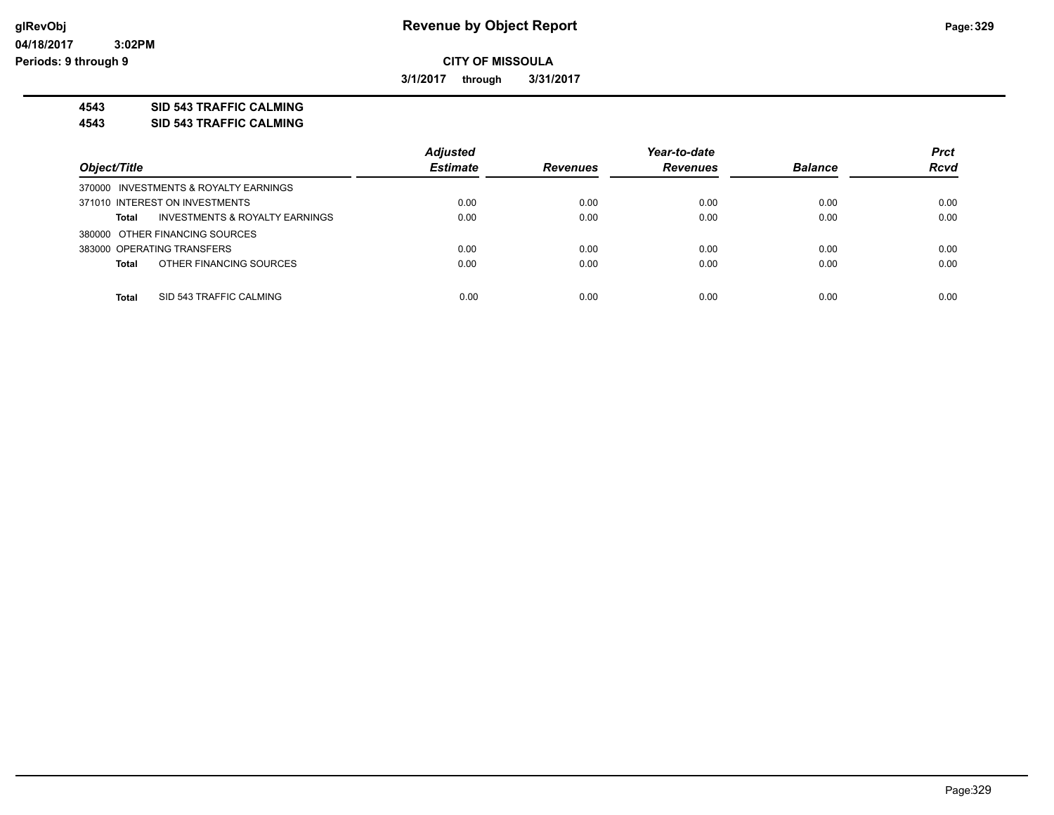**3/1/2017 through 3/31/2017**

**4543 SID 543 TRAFFIC CALMING 4543 SID 543 TRAFFIC CALMING**

| Object/Title                                       | <b>Adjusted</b><br><b>Estimate</b> | <b>Revenues</b> | Year-to-date<br><b>Revenues</b> | <b>Balance</b> | <b>Prct</b><br><b>Rcvd</b> |
|----------------------------------------------------|------------------------------------|-----------------|---------------------------------|----------------|----------------------------|
| 370000 INVESTMENTS & ROYALTY EARNINGS              |                                    |                 |                                 |                |                            |
| 371010 INTEREST ON INVESTMENTS                     | 0.00                               | 0.00            | 0.00                            | 0.00           | 0.00                       |
| <b>INVESTMENTS &amp; ROYALTY EARNINGS</b><br>Total | 0.00                               | 0.00            | 0.00                            | 0.00           | 0.00                       |
| 380000 OTHER FINANCING SOURCES                     |                                    |                 |                                 |                |                            |
| 383000 OPERATING TRANSFERS                         | 0.00                               | 0.00            | 0.00                            | 0.00           | 0.00                       |
| OTHER FINANCING SOURCES<br>Total                   | 0.00                               | 0.00            | 0.00                            | 0.00           | 0.00                       |
|                                                    |                                    |                 |                                 |                |                            |
| SID 543 TRAFFIC CALMING<br><b>Total</b>            | 0.00                               | 0.00            | 0.00                            | 0.00           | 0.00                       |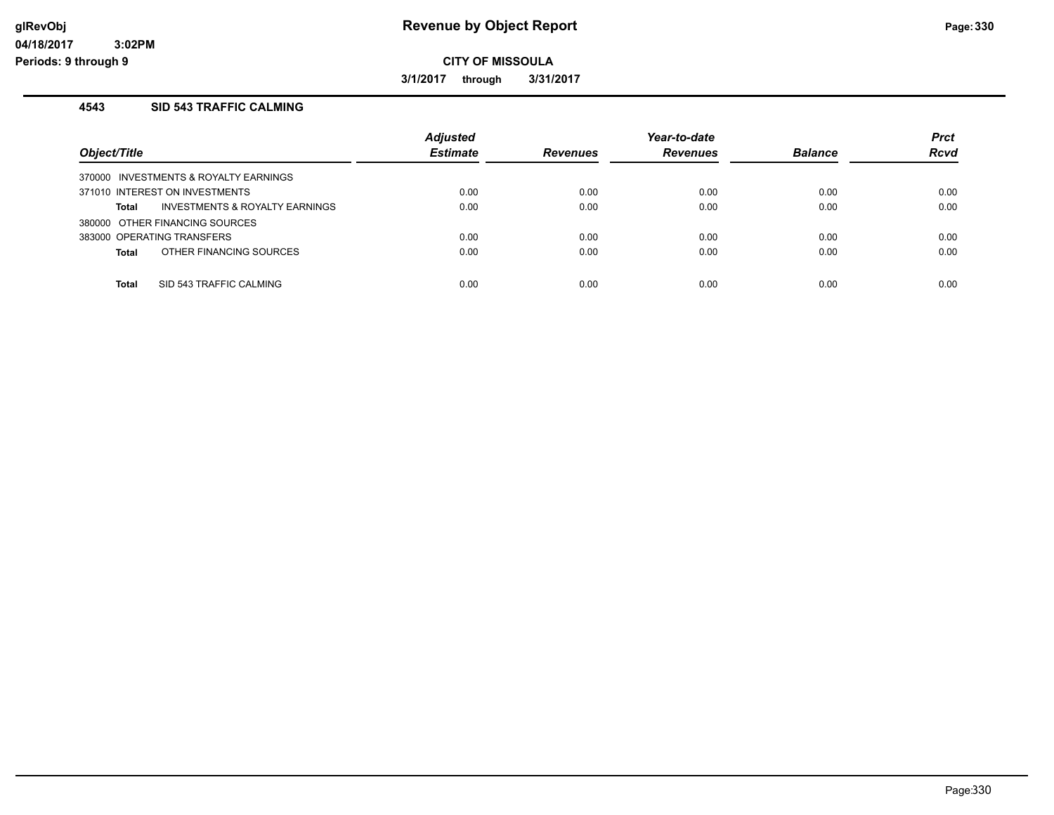**3/1/2017 through 3/31/2017**

## **4543 SID 543 TRAFFIC CALMING**

|                                |                                           | <b>Adjusted</b> |                 | Year-to-date    |                | <b>Prct</b> |
|--------------------------------|-------------------------------------------|-----------------|-----------------|-----------------|----------------|-------------|
| Object/Title                   |                                           | <b>Estimate</b> | <b>Revenues</b> | <b>Revenues</b> | <b>Balance</b> | <b>Rcvd</b> |
|                                | 370000 INVESTMENTS & ROYALTY EARNINGS     |                 |                 |                 |                |             |
| 371010 INTEREST ON INVESTMENTS |                                           | 0.00            | 0.00            | 0.00            | 0.00           | 0.00        |
| Total                          | <b>INVESTMENTS &amp; ROYALTY EARNINGS</b> | 0.00            | 0.00            | 0.00            | 0.00           | 0.00        |
|                                | 380000 OTHER FINANCING SOURCES            |                 |                 |                 |                |             |
| 383000 OPERATING TRANSFERS     |                                           | 0.00            | 0.00            | 0.00            | 0.00           | 0.00        |
| Total                          | OTHER FINANCING SOURCES                   | 0.00            | 0.00            | 0.00            | 0.00           | 0.00        |
| Total                          | SID 543 TRAFFIC CALMING                   | 0.00            | 0.00            | 0.00            | 0.00           | 0.00        |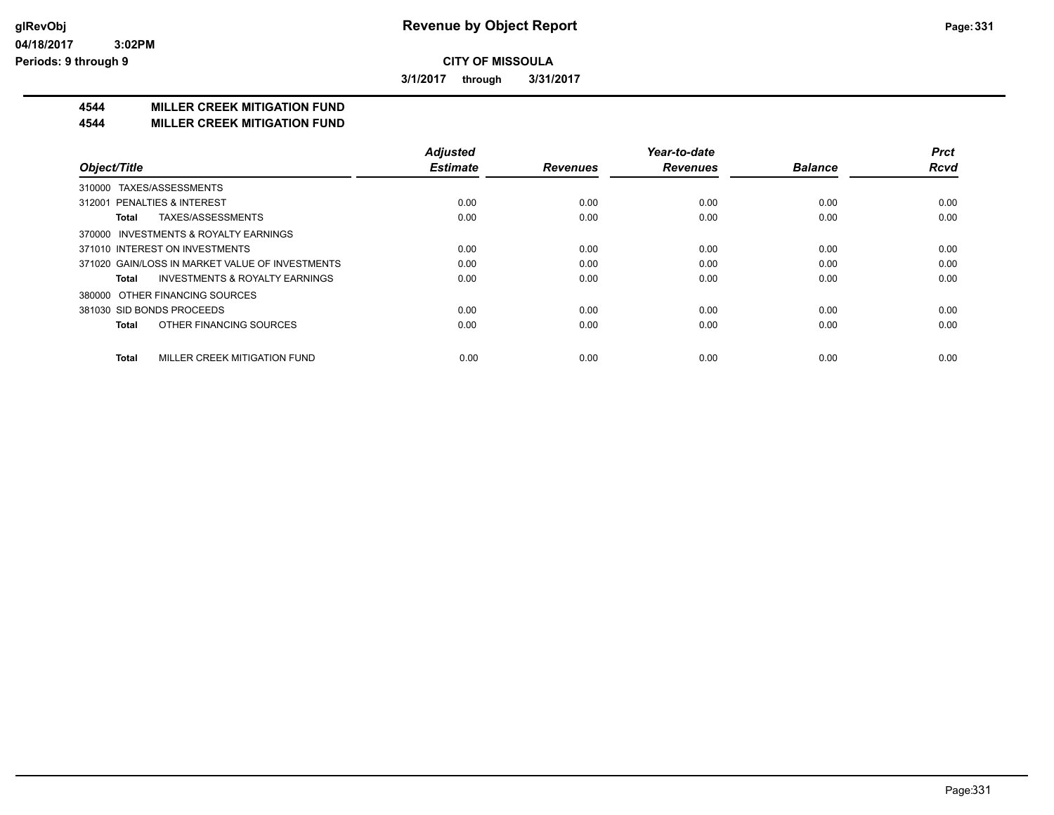**3/1/2017 through 3/31/2017**

# **4544 MILLER CREEK MITIGATION FUND**

# **4544 MILLER CREEK MITIGATION FUND**

|                                                    | <b>Adjusted</b> |                 | Year-to-date    |                | <b>Prct</b> |
|----------------------------------------------------|-----------------|-----------------|-----------------|----------------|-------------|
| Object/Title                                       | <b>Estimate</b> | <b>Revenues</b> | <b>Revenues</b> | <b>Balance</b> | <b>Rcvd</b> |
| TAXES/ASSESSMENTS<br>310000                        |                 |                 |                 |                |             |
| 312001 PENALTIES & INTEREST                        | 0.00            | 0.00            | 0.00            | 0.00           | 0.00        |
| TAXES/ASSESSMENTS<br>Total                         | 0.00            | 0.00            | 0.00            | 0.00           | 0.00        |
| 370000 INVESTMENTS & ROYALTY EARNINGS              |                 |                 |                 |                |             |
| 371010 INTEREST ON INVESTMENTS                     | 0.00            | 0.00            | 0.00            | 0.00           | 0.00        |
| 371020 GAIN/LOSS IN MARKET VALUE OF INVESTMENTS    | 0.00            | 0.00            | 0.00            | 0.00           | 0.00        |
| <b>INVESTMENTS &amp; ROYALTY EARNINGS</b><br>Total | 0.00            | 0.00            | 0.00            | 0.00           | 0.00        |
| 380000 OTHER FINANCING SOURCES                     |                 |                 |                 |                |             |
| 381030 SID BONDS PROCEEDS                          | 0.00            | 0.00            | 0.00            | 0.00           | 0.00        |
| OTHER FINANCING SOURCES<br>Total                   | 0.00            | 0.00            | 0.00            | 0.00           | 0.00        |
| MILLER CREEK MITIGATION FUND<br><b>Total</b>       | 0.00            | 0.00            | 0.00            | 0.00           | 0.00        |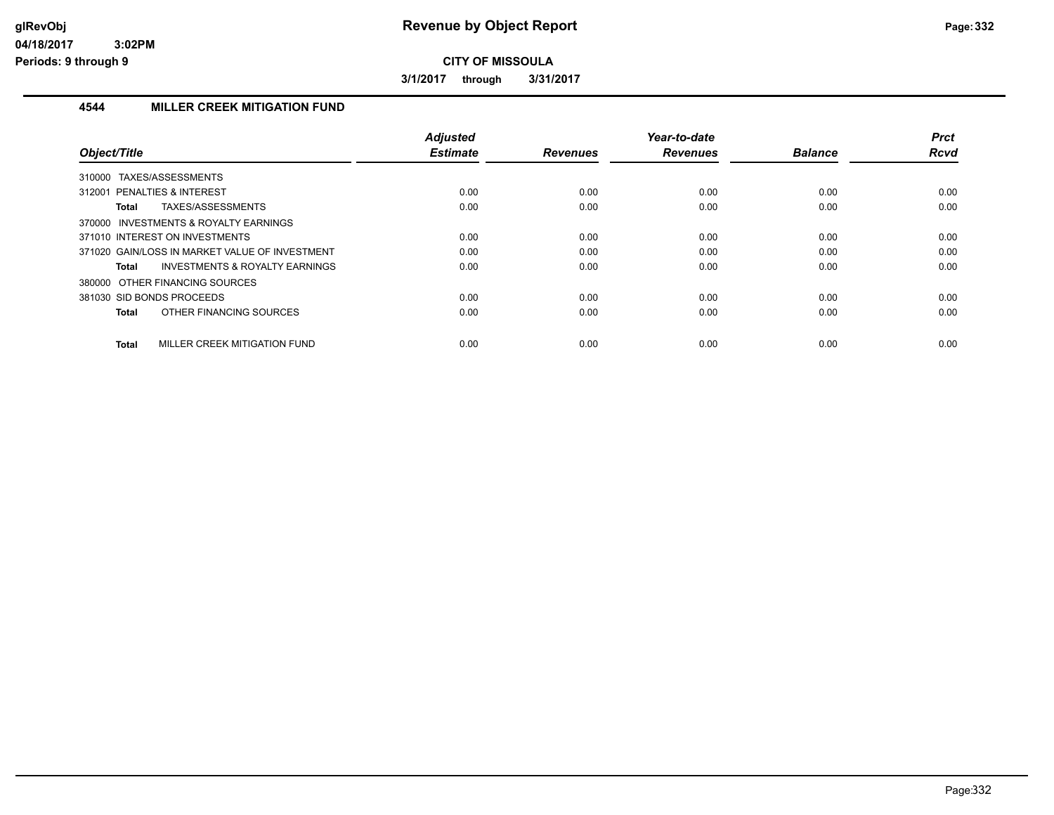**3/1/2017 through 3/31/2017**

## **4544 MILLER CREEK MITIGATION FUND**

|                                                    | <b>Adjusted</b> |                 | Year-to-date    |                | <b>Prct</b> |
|----------------------------------------------------|-----------------|-----------------|-----------------|----------------|-------------|
| Object/Title                                       | <b>Estimate</b> | <b>Revenues</b> | <b>Revenues</b> | <b>Balance</b> | <b>Rcvd</b> |
| TAXES/ASSESSMENTS<br>310000                        |                 |                 |                 |                |             |
| 312001 PENALTIES & INTEREST                        | 0.00            | 0.00            | 0.00            | 0.00           | 0.00        |
| TAXES/ASSESSMENTS<br>Total                         | 0.00            | 0.00            | 0.00            | 0.00           | 0.00        |
| 370000 INVESTMENTS & ROYALTY EARNINGS              |                 |                 |                 |                |             |
| 371010 INTEREST ON INVESTMENTS                     | 0.00            | 0.00            | 0.00            | 0.00           | 0.00        |
| 371020 GAIN/LOSS IN MARKET VALUE OF INVESTMENT     | 0.00            | 0.00            | 0.00            | 0.00           | 0.00        |
| <b>INVESTMENTS &amp; ROYALTY EARNINGS</b><br>Total | 0.00            | 0.00            | 0.00            | 0.00           | 0.00        |
| 380000 OTHER FINANCING SOURCES                     |                 |                 |                 |                |             |
| 381030 SID BONDS PROCEEDS                          | 0.00            | 0.00            | 0.00            | 0.00           | 0.00        |
| OTHER FINANCING SOURCES<br>Total                   | 0.00            | 0.00            | 0.00            | 0.00           | 0.00        |
| MILLER CREEK MITIGATION FUND<br><b>Total</b>       | 0.00            | 0.00            | 0.00            | 0.00           | 0.00        |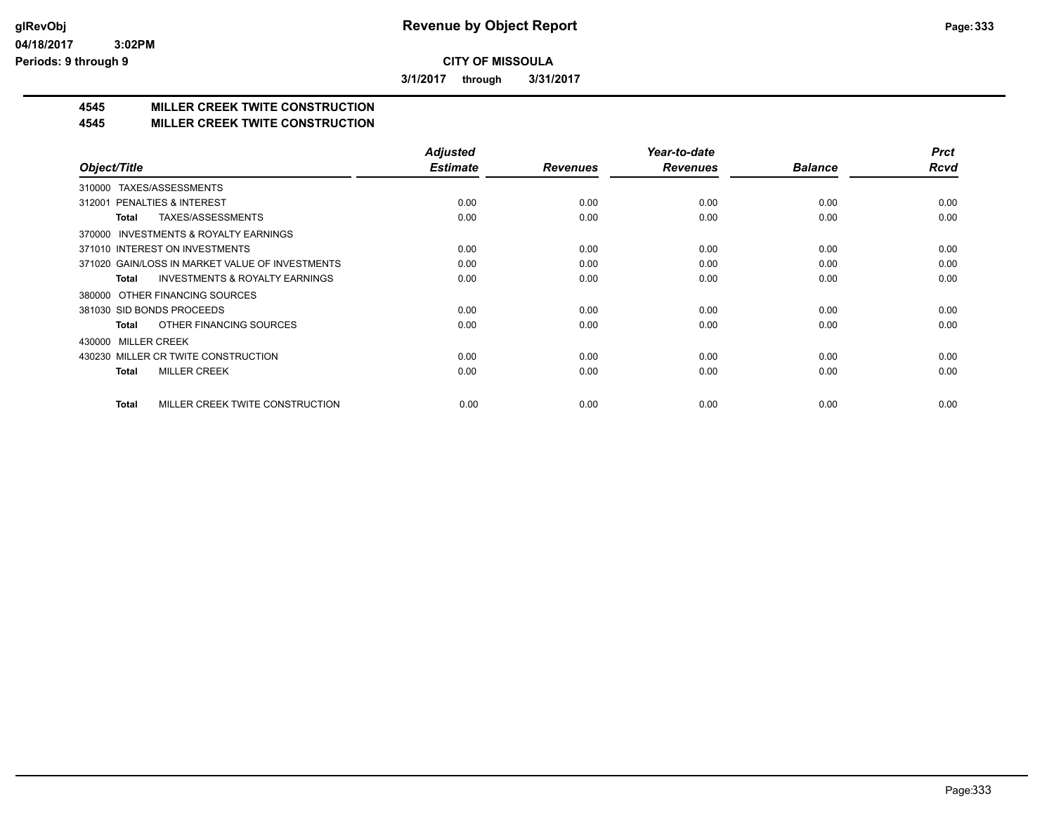**3/1/2017 through 3/31/2017**

## **4545 MILLER CREEK TWITE CONSTRUCTION 4545 MILLER CREEK TWITE CONSTRUCTION**

| Object/Title                                        | <b>Adjusted</b><br><b>Estimate</b> | <b>Revenues</b> | Year-to-date<br><b>Revenues</b> | <b>Balance</b> | <b>Prct</b><br>Rcvd |
|-----------------------------------------------------|------------------------------------|-----------------|---------------------------------|----------------|---------------------|
| TAXES/ASSESSMENTS<br>310000                         |                                    |                 |                                 |                |                     |
| PENALTIES & INTEREST<br>312001                      | 0.00                               | 0.00            | 0.00                            | 0.00           | 0.00                |
| TAXES/ASSESSMENTS<br><b>Total</b>                   | 0.00                               | 0.00            | 0.00                            | 0.00           | 0.00                |
| <b>INVESTMENTS &amp; ROYALTY EARNINGS</b><br>370000 |                                    |                 |                                 |                |                     |
| 371010 INTEREST ON INVESTMENTS                      | 0.00                               | 0.00            | 0.00                            | 0.00           | 0.00                |
| 371020 GAIN/LOSS IN MARKET VALUE OF INVESTMENTS     | 0.00                               | 0.00            | 0.00                            | 0.00           | 0.00                |
| <b>INVESTMENTS &amp; ROYALTY EARNINGS</b><br>Total  | 0.00                               | 0.00            | 0.00                            | 0.00           | 0.00                |
| OTHER FINANCING SOURCES<br>380000                   |                                    |                 |                                 |                |                     |
| 381030 SID BONDS PROCEEDS                           | 0.00                               | 0.00            | 0.00                            | 0.00           | 0.00                |
| OTHER FINANCING SOURCES<br>Total                    | 0.00                               | 0.00            | 0.00                            | 0.00           | 0.00                |
| <b>MILLER CREEK</b><br>430000                       |                                    |                 |                                 |                |                     |
| 430230 MILLER CR TWITE CONSTRUCTION                 | 0.00                               | 0.00            | 0.00                            | 0.00           | 0.00                |
| <b>MILLER CREEK</b><br><b>Total</b>                 | 0.00                               | 0.00            | 0.00                            | 0.00           | 0.00                |
|                                                     |                                    |                 |                                 |                |                     |
| MILLER CREEK TWITE CONSTRUCTION<br><b>Total</b>     | 0.00                               | 0.00            | 0.00                            | 0.00           | 0.00                |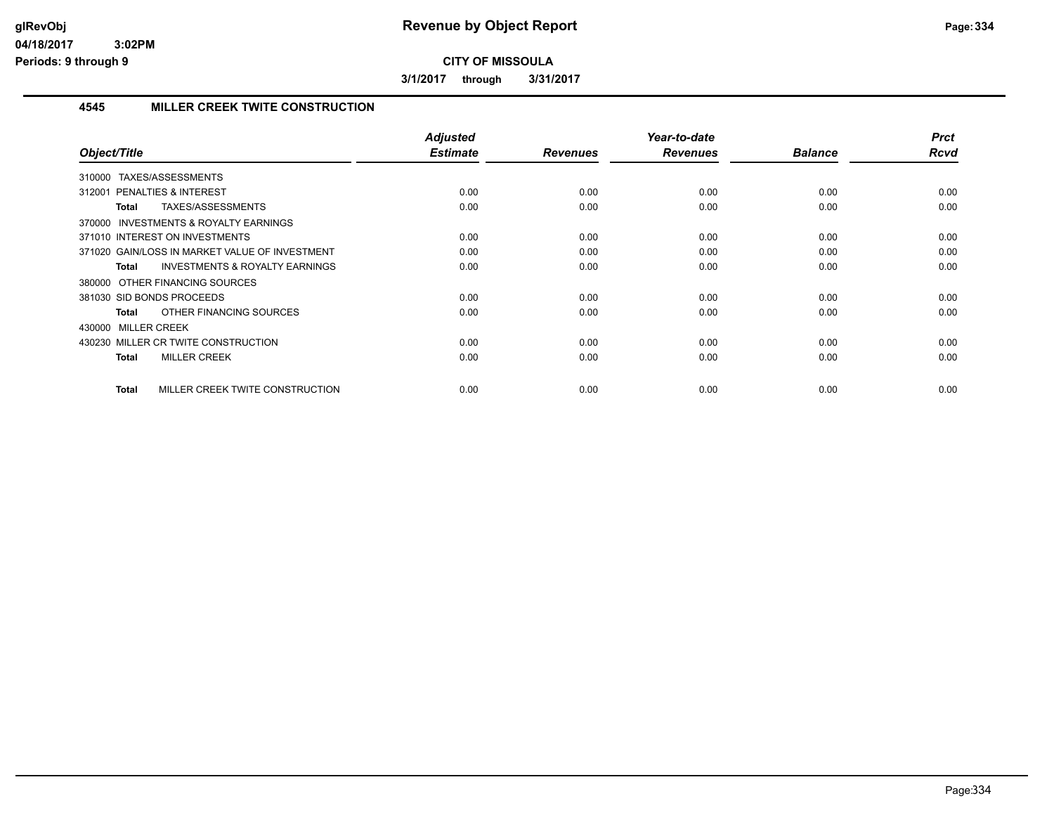**3/1/2017 through 3/31/2017**

## **4545 MILLER CREEK TWITE CONSTRUCTION**

| <b>Adjusted</b> |                                 | Year-to-date                    |                                 | <b>Prct</b><br><b>Rcvd</b>     |
|-----------------|---------------------------------|---------------------------------|---------------------------------|--------------------------------|
|                 |                                 |                                 |                                 |                                |
|                 |                                 |                                 |                                 |                                |
|                 |                                 |                                 |                                 | 0.00                           |
| 0.00            | 0.00                            | 0.00                            | 0.00                            | 0.00                           |
|                 |                                 |                                 |                                 |                                |
| 0.00            | 0.00                            | 0.00                            | 0.00                            | 0.00                           |
| 0.00            | 0.00                            | 0.00                            | 0.00                            | 0.00                           |
| 0.00            | 0.00                            | 0.00                            | 0.00                            | 0.00                           |
|                 |                                 |                                 |                                 |                                |
| 0.00            | 0.00                            | 0.00                            | 0.00                            | 0.00                           |
| 0.00            | 0.00                            | 0.00                            | 0.00                            | 0.00                           |
|                 |                                 |                                 |                                 |                                |
| 0.00            | 0.00                            | 0.00                            | 0.00                            | 0.00                           |
| 0.00            | 0.00                            | 0.00                            | 0.00                            | 0.00                           |
|                 |                                 |                                 |                                 | 0.00                           |
|                 | <b>Estimate</b><br>0.00<br>0.00 | <b>Revenues</b><br>0.00<br>0.00 | <b>Revenues</b><br>0.00<br>0.00 | <b>Balance</b><br>0.00<br>0.00 |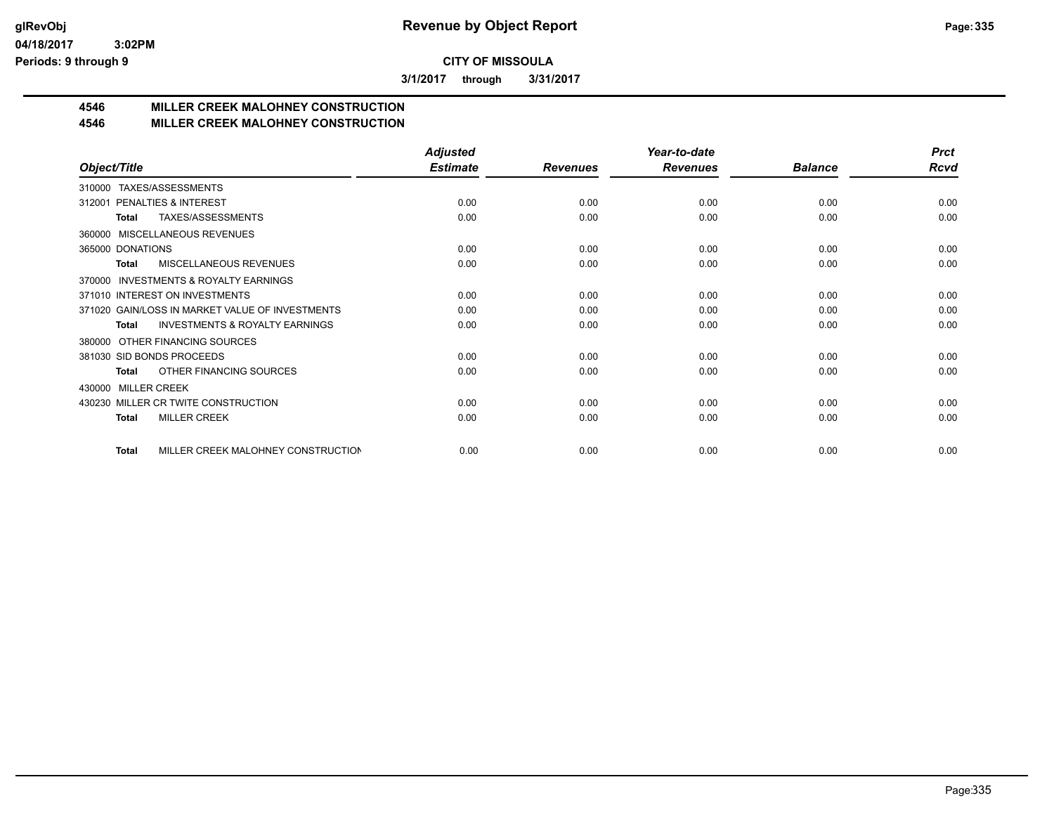**3/1/2017 through 3/31/2017**

## **4546 MILLER CREEK MALOHNEY CONSTRUCTION 4546 MILLER CREEK MALOHNEY CONSTRUCTION**

|                                                           | <b>Adjusted</b> |                 | Year-to-date    |                | <b>Prct</b> |
|-----------------------------------------------------------|-----------------|-----------------|-----------------|----------------|-------------|
| Object/Title                                              | <b>Estimate</b> | <b>Revenues</b> | <b>Revenues</b> | <b>Balance</b> | <b>Rcvd</b> |
| TAXES/ASSESSMENTS<br>310000                               |                 |                 |                 |                |             |
| PENALTIES & INTEREST<br>312001                            | 0.00            | 0.00            | 0.00            | 0.00           | 0.00        |
| TAXES/ASSESSMENTS<br><b>Total</b>                         | 0.00            | 0.00            | 0.00            | 0.00           | 0.00        |
| MISCELLANEOUS REVENUES<br>360000                          |                 |                 |                 |                |             |
| 365000 DONATIONS                                          | 0.00            | 0.00            | 0.00            | 0.00           | 0.00        |
| MISCELLANEOUS REVENUES<br>Total                           | 0.00            | 0.00            | 0.00            | 0.00           | 0.00        |
| <b>INVESTMENTS &amp; ROYALTY EARNINGS</b><br>370000       |                 |                 |                 |                |             |
| 371010 INTEREST ON INVESTMENTS                            | 0.00            | 0.00            | 0.00            | 0.00           | 0.00        |
| 371020 GAIN/LOSS IN MARKET VALUE OF INVESTMENTS           | 0.00            | 0.00            | 0.00            | 0.00           | 0.00        |
| <b>INVESTMENTS &amp; ROYALTY EARNINGS</b><br><b>Total</b> | 0.00            | 0.00            | 0.00            | 0.00           | 0.00        |
| OTHER FINANCING SOURCES<br>380000                         |                 |                 |                 |                |             |
| 381030 SID BONDS PROCEEDS                                 | 0.00            | 0.00            | 0.00            | 0.00           | 0.00        |
| OTHER FINANCING SOURCES<br><b>Total</b>                   | 0.00            | 0.00            | 0.00            | 0.00           | 0.00        |
| <b>MILLER CREEK</b><br>430000                             |                 |                 |                 |                |             |
| 430230 MILLER CR TWITE CONSTRUCTION                       | 0.00            | 0.00            | 0.00            | 0.00           | 0.00        |
| <b>MILLER CREEK</b><br><b>Total</b>                       | 0.00            | 0.00            | 0.00            | 0.00           | 0.00        |
|                                                           |                 |                 |                 |                |             |
| MILLER CREEK MALOHNEY CONSTRUCTION<br><b>Total</b>        | 0.00            | 0.00            | 0.00            | 0.00           | 0.00        |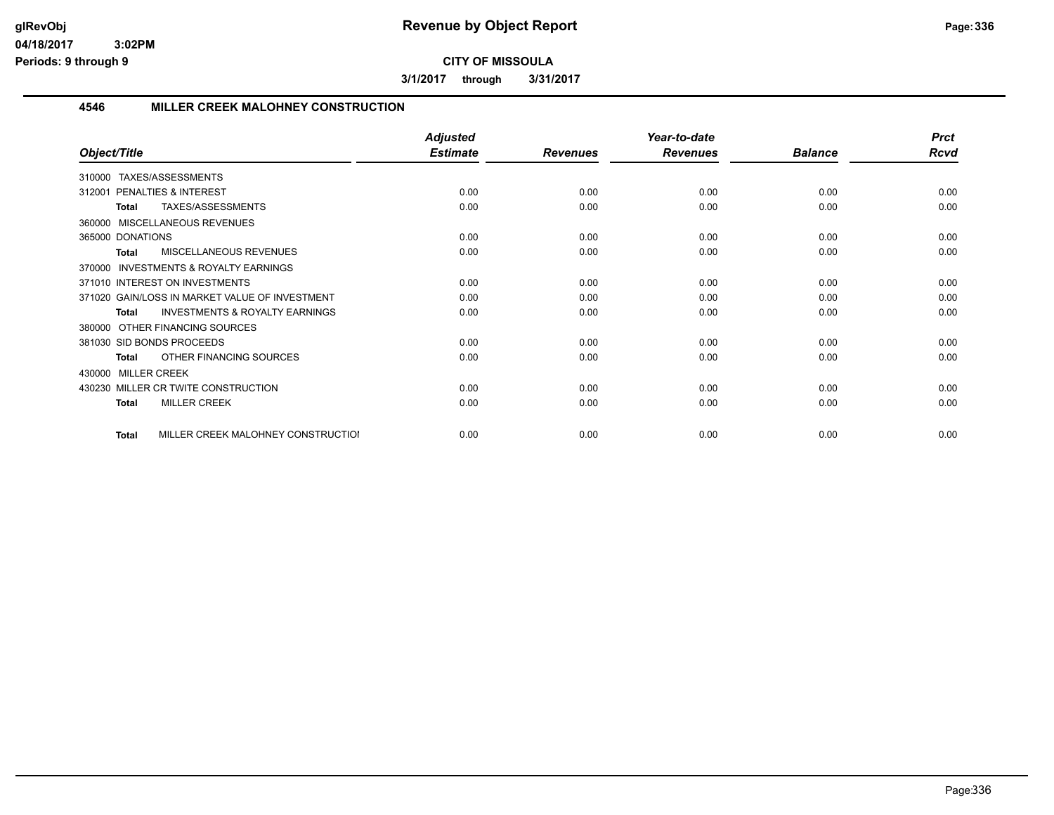**3/1/2017 through 3/31/2017**

## **4546 MILLER CREEK MALOHNEY CONSTRUCTION**

|                                                           | <b>Adjusted</b> |                 | Year-to-date    |                | <b>Prct</b> |
|-----------------------------------------------------------|-----------------|-----------------|-----------------|----------------|-------------|
| Object/Title                                              | <b>Estimate</b> | <b>Revenues</b> | <b>Revenues</b> | <b>Balance</b> | <b>Rcvd</b> |
| TAXES/ASSESSMENTS<br>310000                               |                 |                 |                 |                |             |
| 312001 PENALTIES & INTEREST                               | 0.00            | 0.00            | 0.00            | 0.00           | 0.00        |
| TAXES/ASSESSMENTS<br>Total                                | 0.00            | 0.00            | 0.00            | 0.00           | 0.00        |
| 360000 MISCELLANEOUS REVENUES                             |                 |                 |                 |                |             |
| 365000 DONATIONS                                          | 0.00            | 0.00            | 0.00            | 0.00           | 0.00        |
| MISCELLANEOUS REVENUES<br>Total                           | 0.00            | 0.00            | 0.00            | 0.00           | 0.00        |
| <b>INVESTMENTS &amp; ROYALTY EARNINGS</b><br>370000       |                 |                 |                 |                |             |
| 371010 INTEREST ON INVESTMENTS                            | 0.00            | 0.00            | 0.00            | 0.00           | 0.00        |
| 371020 GAIN/LOSS IN MARKET VALUE OF INVESTMENT            | 0.00            | 0.00            | 0.00            | 0.00           | 0.00        |
| <b>INVESTMENTS &amp; ROYALTY EARNINGS</b><br><b>Total</b> | 0.00            | 0.00            | 0.00            | 0.00           | 0.00        |
| 380000 OTHER FINANCING SOURCES                            |                 |                 |                 |                |             |
| 381030 SID BONDS PROCEEDS                                 | 0.00            | 0.00            | 0.00            | 0.00           | 0.00        |
| OTHER FINANCING SOURCES<br>Total                          | 0.00            | 0.00            | 0.00            | 0.00           | 0.00        |
| <b>MILLER CREEK</b><br>430000                             |                 |                 |                 |                |             |
| 430230 MILLER CR TWITE CONSTRUCTION                       | 0.00            | 0.00            | 0.00            | 0.00           | 0.00        |
| <b>MILLER CREEK</b><br><b>Total</b>                       | 0.00            | 0.00            | 0.00            | 0.00           | 0.00        |
| MILLER CREEK MALOHNEY CONSTRUCTIOI<br><b>Total</b>        | 0.00            | 0.00            | 0.00            | 0.00           | 0.00        |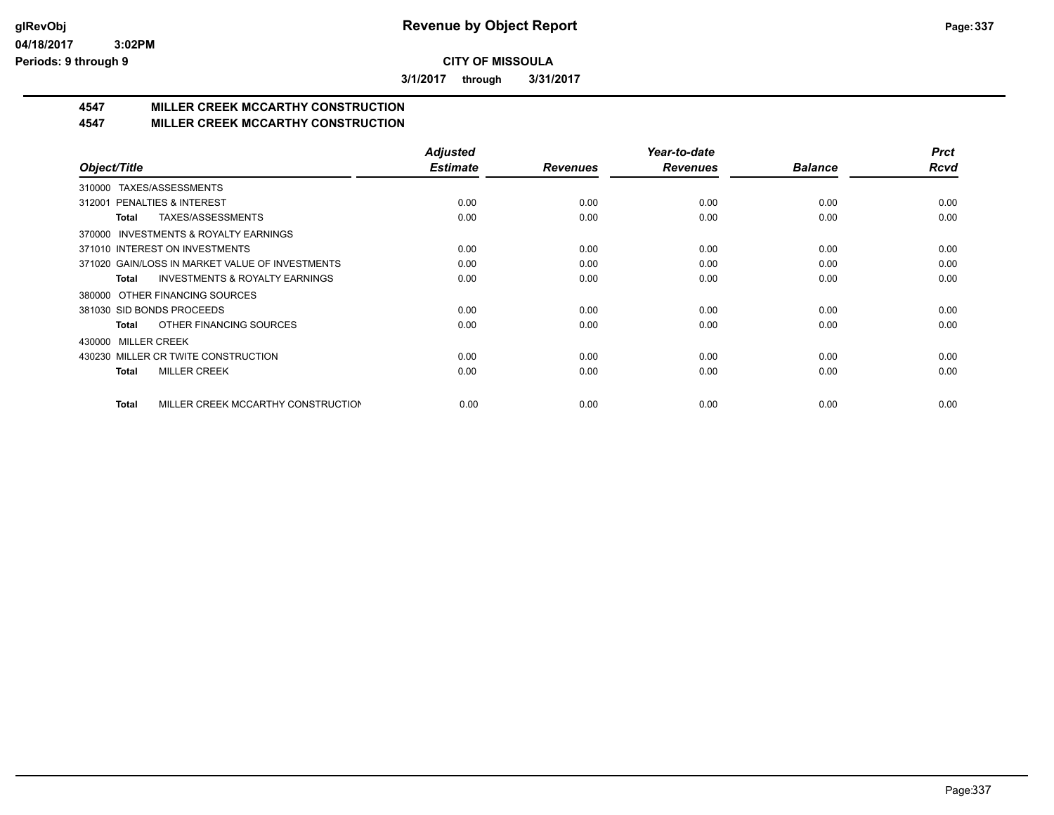**3/1/2017 through 3/31/2017**

## **4547 MILLER CREEK MCCARTHY CONSTRUCTION 4547 MILLER CREEK MCCARTHY CONSTRUCTION**

| Object/Title                                        | <b>Adjusted</b><br><b>Estimate</b> | <b>Revenues</b> | Year-to-date<br><b>Revenues</b> | <b>Balance</b> | <b>Prct</b><br>Rcvd |
|-----------------------------------------------------|------------------------------------|-----------------|---------------------------------|----------------|---------------------|
| 310000 TAXES/ASSESSMENTS                            |                                    |                 |                                 |                |                     |
| <b>PENALTIES &amp; INTEREST</b><br>312001           | 0.00                               | 0.00            | 0.00                            | 0.00           | 0.00                |
| TAXES/ASSESSMENTS<br>Total                          | 0.00                               | 0.00            | 0.00                            | 0.00           | 0.00                |
| <b>INVESTMENTS &amp; ROYALTY EARNINGS</b><br>370000 |                                    |                 |                                 |                |                     |
| 371010 INTEREST ON INVESTMENTS                      | 0.00                               | 0.00            | 0.00                            | 0.00           | 0.00                |
| 371020 GAIN/LOSS IN MARKET VALUE OF INVESTMENTS     | 0.00                               | 0.00            | 0.00                            | 0.00           | 0.00                |
| <b>INVESTMENTS &amp; ROYALTY EARNINGS</b><br>Total  | 0.00                               | 0.00            | 0.00                            | 0.00           | 0.00                |
| OTHER FINANCING SOURCES<br>380000                   |                                    |                 |                                 |                |                     |
| 381030 SID BONDS PROCEEDS                           | 0.00                               | 0.00            | 0.00                            | 0.00           | 0.00                |
| OTHER FINANCING SOURCES<br>Total                    | 0.00                               | 0.00            | 0.00                            | 0.00           | 0.00                |
| <b>MILLER CREEK</b><br>430000                       |                                    |                 |                                 |                |                     |
| 430230 MILLER CR TWITE CONSTRUCTION                 | 0.00                               | 0.00            | 0.00                            | 0.00           | 0.00                |
| <b>MILLER CREEK</b><br>Total                        | 0.00                               | 0.00            | 0.00                            | 0.00           | 0.00                |
|                                                     |                                    |                 |                                 |                |                     |
| MILLER CREEK MCCARTHY CONSTRUCTION<br>Total         | 0.00                               | 0.00            | 0.00                            | 0.00           | 0.00                |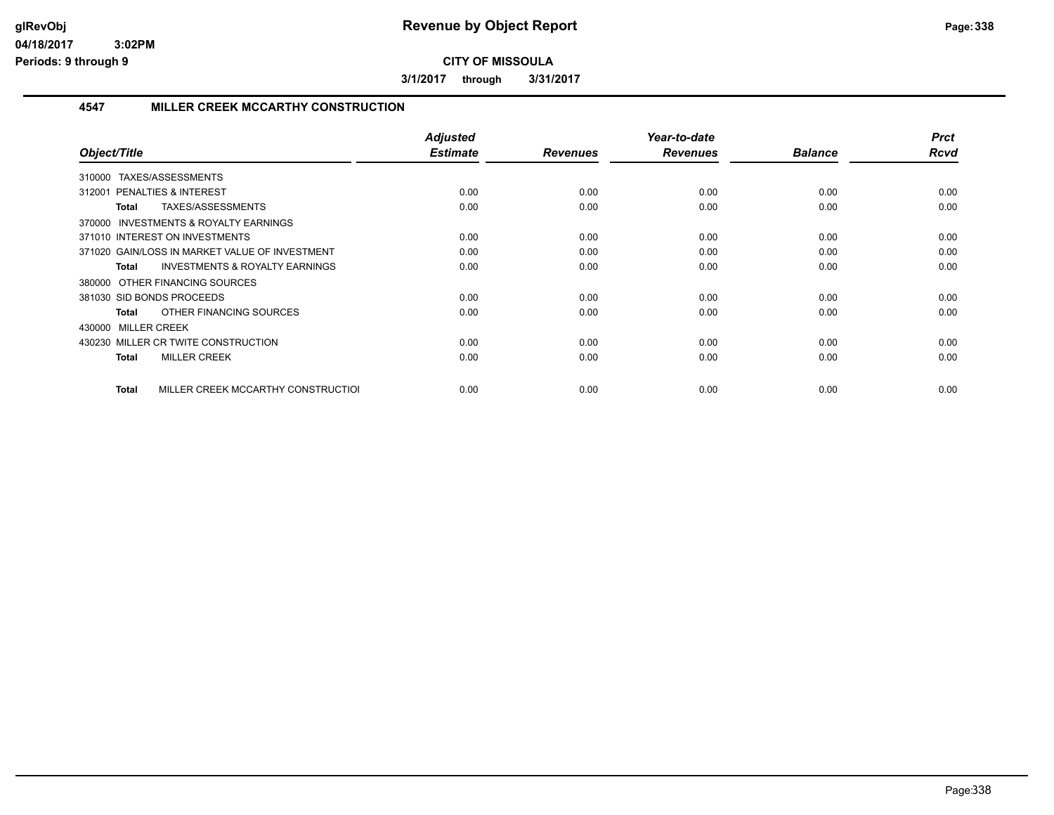**3/1/2017 through 3/31/2017**

#### **4547 MILLER CREEK MCCARTHY CONSTRUCTION**

| Object/Title                                              | <b>Adjusted</b><br><b>Estimate</b> | <b>Revenues</b> | Year-to-date<br><b>Revenues</b> | <b>Balance</b> | <b>Prct</b><br><b>Rcvd</b> |
|-----------------------------------------------------------|------------------------------------|-----------------|---------------------------------|----------------|----------------------------|
| TAXES/ASSESSMENTS<br>310000                               |                                    |                 |                                 |                |                            |
| 312001 PENALTIES & INTEREST                               | 0.00                               | 0.00            | 0.00                            | 0.00           | 0.00                       |
| TAXES/ASSESSMENTS<br><b>Total</b>                         | 0.00                               | 0.00            | 0.00                            | 0.00           | 0.00                       |
| INVESTMENTS & ROYALTY EARNINGS<br>370000                  |                                    |                 |                                 |                |                            |
| 371010 INTEREST ON INVESTMENTS                            | 0.00                               | 0.00            | 0.00                            | 0.00           | 0.00                       |
| 371020 GAIN/LOSS IN MARKET VALUE OF INVESTMENT            | 0.00                               | 0.00            | 0.00                            | 0.00           | 0.00                       |
| <b>INVESTMENTS &amp; ROYALTY EARNINGS</b><br><b>Total</b> | 0.00                               | 0.00            | 0.00                            | 0.00           | 0.00                       |
| 380000 OTHER FINANCING SOURCES                            |                                    |                 |                                 |                |                            |
| 381030 SID BONDS PROCEEDS                                 | 0.00                               | 0.00            | 0.00                            | 0.00           | 0.00                       |
| OTHER FINANCING SOURCES<br>Total                          | 0.00                               | 0.00            | 0.00                            | 0.00           | 0.00                       |
| 430000 MILLER CREEK                                       |                                    |                 |                                 |                |                            |
| 430230 MILLER CR TWITE CONSTRUCTION                       | 0.00                               | 0.00            | 0.00                            | 0.00           | 0.00                       |
| <b>MILLER CREEK</b><br><b>Total</b>                       | 0.00                               | 0.00            | 0.00                            | 0.00           | 0.00                       |
|                                                           |                                    |                 |                                 |                |                            |
| MILLER CREEK MCCARTHY CONSTRUCTIOL<br><b>Total</b>        | 0.00                               | 0.00            | 0.00                            | 0.00           | 0.00                       |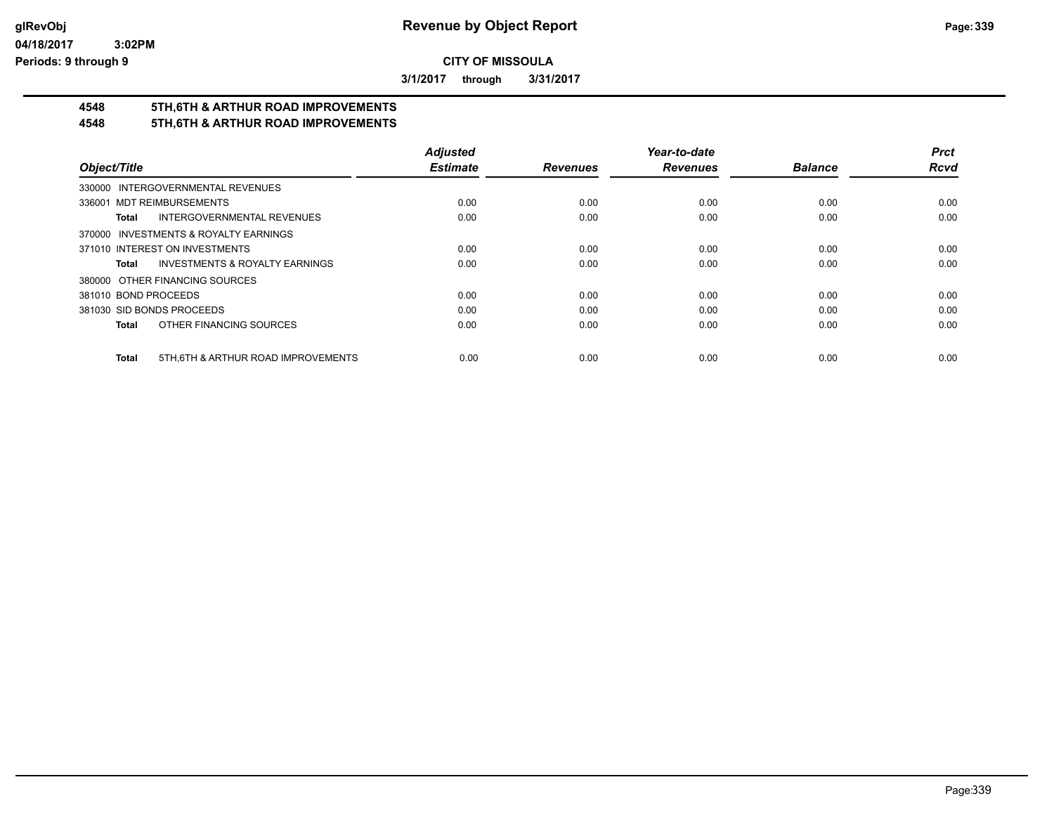**3/1/2017 through 3/31/2017**

## **4548 5TH,6TH & ARTHUR ROAD IMPROVEMENTS 4548 5TH,6TH & ARTHUR ROAD IMPROVEMENTS**

| Object/Title                                        | <b>Adjusted</b><br><b>Estimate</b> | <b>Revenues</b> | Year-to-date<br><b>Revenues</b> | <b>Balance</b> | <b>Prct</b><br><b>Rcvd</b> |
|-----------------------------------------------------|------------------------------------|-----------------|---------------------------------|----------------|----------------------------|
| 330000 INTERGOVERNMENTAL REVENUES                   |                                    |                 |                                 |                |                            |
| 336001 MDT REIMBURSEMENTS                           | 0.00                               | 0.00            | 0.00                            | 0.00           | 0.00                       |
| INTERGOVERNMENTAL REVENUES<br>Total                 | 0.00                               | 0.00            | 0.00                            | 0.00           | 0.00                       |
| <b>INVESTMENTS &amp; ROYALTY EARNINGS</b><br>370000 |                                    |                 |                                 |                |                            |
| 371010 INTEREST ON INVESTMENTS                      | 0.00                               | 0.00            | 0.00                            | 0.00           | 0.00                       |
| <b>INVESTMENTS &amp; ROYALTY EARNINGS</b><br>Total  | 0.00                               | 0.00            | 0.00                            | 0.00           | 0.00                       |
| OTHER FINANCING SOURCES<br>380000                   |                                    |                 |                                 |                |                            |
| 381010 BOND PROCEEDS                                | 0.00                               | 0.00            | 0.00                            | 0.00           | 0.00                       |
| 381030 SID BONDS PROCEEDS                           | 0.00                               | 0.00            | 0.00                            | 0.00           | 0.00                       |
| OTHER FINANCING SOURCES<br>Total                    | 0.00                               | 0.00            | 0.00                            | 0.00           | 0.00                       |
|                                                     |                                    |                 |                                 |                |                            |
| 5TH, 6TH & ARTHUR ROAD IMPROVEMENTS<br><b>Total</b> | 0.00                               | 0.00            | 0.00                            | 0.00           | 0.00                       |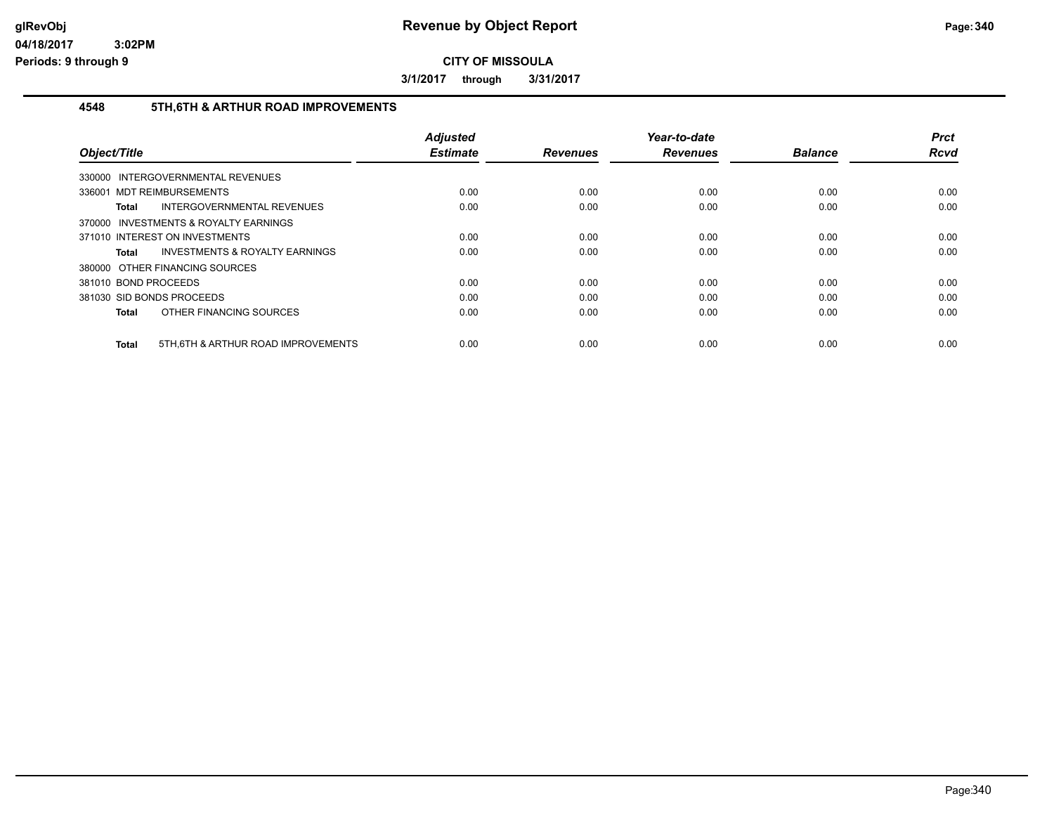**3/1/2017 through 3/31/2017**

#### **4548 5TH,6TH & ARTHUR ROAD IMPROVEMENTS**

|                                                     | <b>Adjusted</b> |                 | Year-to-date    |                | <b>Prct</b> |
|-----------------------------------------------------|-----------------|-----------------|-----------------|----------------|-------------|
| Object/Title                                        | <b>Estimate</b> | <b>Revenues</b> | <b>Revenues</b> | <b>Balance</b> | <b>Rcvd</b> |
| INTERGOVERNMENTAL REVENUES<br>330000                |                 |                 |                 |                |             |
| 336001 MDT REIMBURSEMENTS                           | 0.00            | 0.00            | 0.00            | 0.00           | 0.00        |
| INTERGOVERNMENTAL REVENUES<br><b>Total</b>          | 0.00            | 0.00            | 0.00            | 0.00           | 0.00        |
| 370000 INVESTMENTS & ROYALTY EARNINGS               |                 |                 |                 |                |             |
| 371010 INTEREST ON INVESTMENTS                      | 0.00            | 0.00            | 0.00            | 0.00           | 0.00        |
| INVESTMENTS & ROYALTY EARNINGS<br>Total             | 0.00            | 0.00            | 0.00            | 0.00           | 0.00        |
| 380000 OTHER FINANCING SOURCES                      |                 |                 |                 |                |             |
| 381010 BOND PROCEEDS                                | 0.00            | 0.00            | 0.00            | 0.00           | 0.00        |
| 381030 SID BONDS PROCEEDS                           | 0.00            | 0.00            | 0.00            | 0.00           | 0.00        |
| OTHER FINANCING SOURCES<br>Total                    | 0.00            | 0.00            | 0.00            | 0.00           | 0.00        |
| 5TH, 6TH & ARTHUR ROAD IMPROVEMENTS<br><b>Total</b> | 0.00            | 0.00            | 0.00            | 0.00           | 0.00        |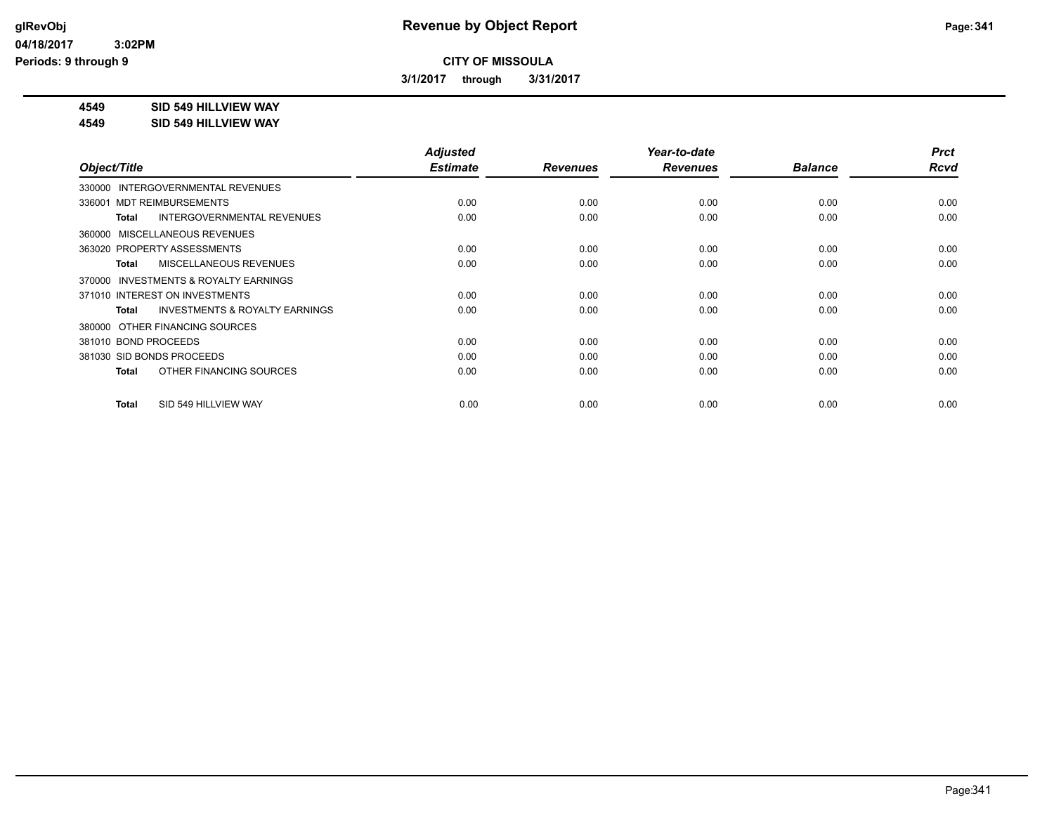**3/1/2017 through 3/31/2017**

**4549 SID 549 HILLVIEW WAY**

| SID 549 HILLVIEW WAY<br>4549 |
|------------------------------|
|------------------------------|

|                                            | <b>Adjusted</b> |                 | Year-to-date    |                | <b>Prct</b> |
|--------------------------------------------|-----------------|-----------------|-----------------|----------------|-------------|
| Object/Title                               | <b>Estimate</b> | <b>Revenues</b> | <b>Revenues</b> | <b>Balance</b> | <b>Rcvd</b> |
| 330000 INTERGOVERNMENTAL REVENUES          |                 |                 |                 |                |             |
| <b>MDT REIMBURSEMENTS</b><br>336001        | 0.00            | 0.00            | 0.00            | 0.00           | 0.00        |
| <b>INTERGOVERNMENTAL REVENUES</b><br>Total | 0.00            | 0.00            | 0.00            | 0.00           | 0.00        |
| 360000 MISCELLANEOUS REVENUES              |                 |                 |                 |                |             |
| 363020 PROPERTY ASSESSMENTS                | 0.00            | 0.00            | 0.00            | 0.00           | 0.00        |
| MISCELLANEOUS REVENUES<br>Total            | 0.00            | 0.00            | 0.00            | 0.00           | 0.00        |
| 370000 INVESTMENTS & ROYALTY EARNINGS      |                 |                 |                 |                |             |
| 371010 INTEREST ON INVESTMENTS             | 0.00            | 0.00            | 0.00            | 0.00           | 0.00        |
| INVESTMENTS & ROYALTY EARNINGS<br>Total    | 0.00            | 0.00            | 0.00            | 0.00           | 0.00        |
| 380000 OTHER FINANCING SOURCES             |                 |                 |                 |                |             |
| 381010 BOND PROCEEDS                       | 0.00            | 0.00            | 0.00            | 0.00           | 0.00        |
| 381030 SID BONDS PROCEEDS                  | 0.00            | 0.00            | 0.00            | 0.00           | 0.00        |
| OTHER FINANCING SOURCES<br>Total           | 0.00            | 0.00            | 0.00            | 0.00           | 0.00        |
|                                            |                 |                 |                 |                |             |
| SID 549 HILLVIEW WAY<br>Total              | 0.00            | 0.00            | 0.00            | 0.00           | 0.00        |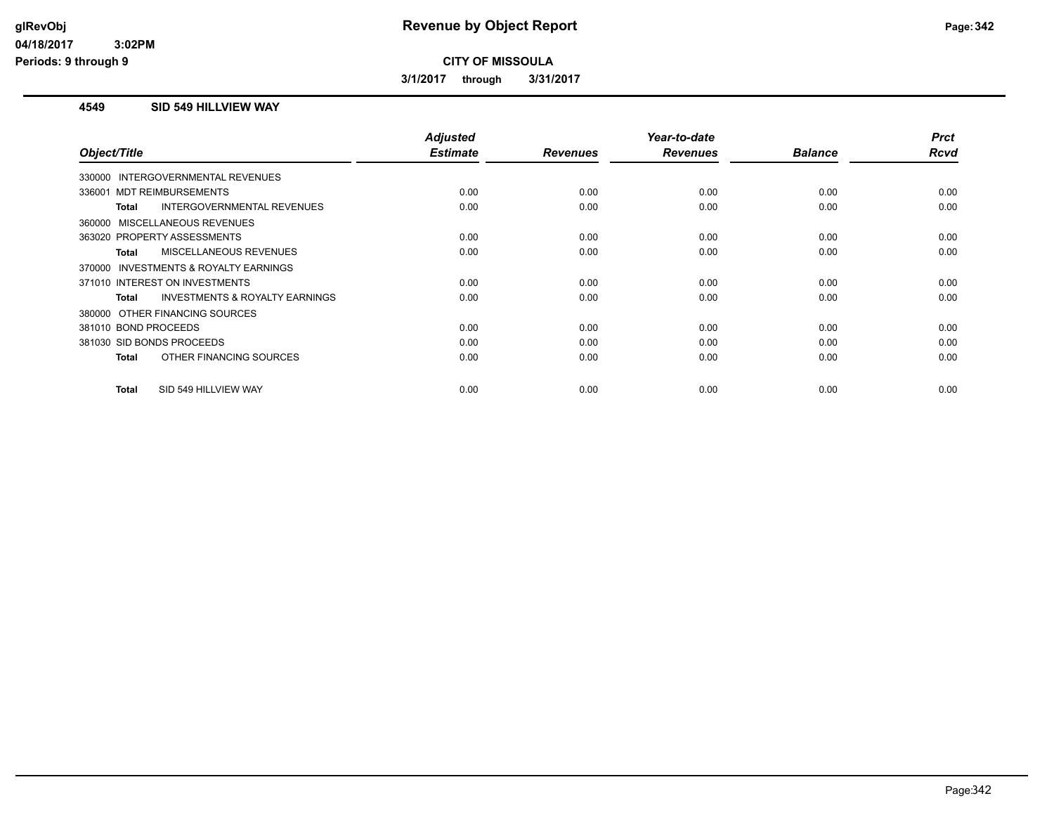**3/1/2017 through 3/31/2017**

#### **4549 SID 549 HILLVIEW WAY**

|                                                           | <b>Adjusted</b> |                 | Year-to-date    |                | <b>Prct</b> |
|-----------------------------------------------------------|-----------------|-----------------|-----------------|----------------|-------------|
| Object/Title                                              | <b>Estimate</b> | <b>Revenues</b> | <b>Revenues</b> | <b>Balance</b> | <b>Rcvd</b> |
| 330000 INTERGOVERNMENTAL REVENUES                         |                 |                 |                 |                |             |
| 336001 MDT REIMBURSEMENTS                                 | 0.00            | 0.00            | 0.00            | 0.00           | 0.00        |
| INTERGOVERNMENTAL REVENUES<br>Total                       | 0.00            | 0.00            | 0.00            | 0.00           | 0.00        |
| 360000 MISCELLANEOUS REVENUES                             |                 |                 |                 |                |             |
| 363020 PROPERTY ASSESSMENTS                               | 0.00            | 0.00            | 0.00            | 0.00           | 0.00        |
| MISCELLANEOUS REVENUES<br>Total                           | 0.00            | 0.00            | 0.00            | 0.00           | 0.00        |
| 370000 INVESTMENTS & ROYALTY EARNINGS                     |                 |                 |                 |                |             |
| 371010 INTEREST ON INVESTMENTS                            | 0.00            | 0.00            | 0.00            | 0.00           | 0.00        |
| <b>INVESTMENTS &amp; ROYALTY EARNINGS</b><br><b>Total</b> | 0.00            | 0.00            | 0.00            | 0.00           | 0.00        |
| 380000 OTHER FINANCING SOURCES                            |                 |                 |                 |                |             |
| 381010 BOND PROCEEDS                                      | 0.00            | 0.00            | 0.00            | 0.00           | 0.00        |
| 381030 SID BONDS PROCEEDS                                 | 0.00            | 0.00            | 0.00            | 0.00           | 0.00        |
| OTHER FINANCING SOURCES<br><b>Total</b>                   | 0.00            | 0.00            | 0.00            | 0.00           | 0.00        |
|                                                           |                 |                 |                 |                |             |
| SID 549 HILLVIEW WAY<br><b>Total</b>                      | 0.00            | 0.00            | 0.00            | 0.00           | 0.00        |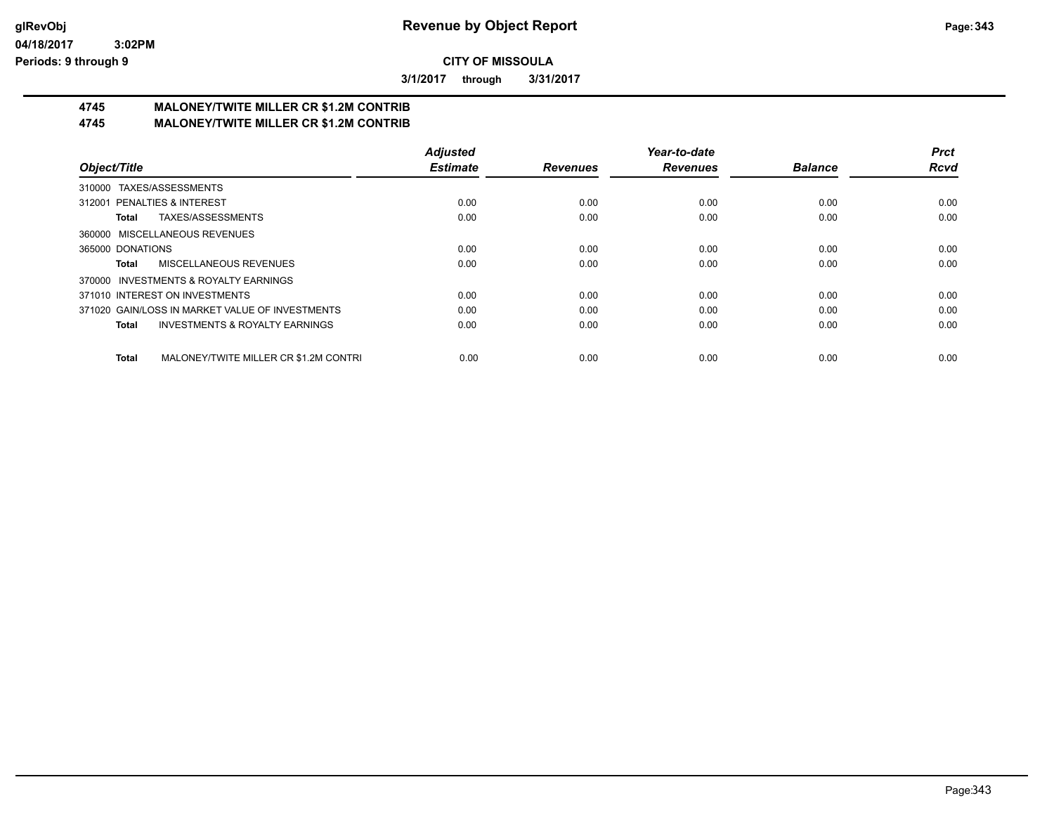**3/1/2017 through 3/31/2017**

## **4745 MALONEY/TWITE MILLER CR \$1.2M CONTRIB 4745 MALONEY/TWITE MILLER CR \$1.2M CONTRIB**

| Object/Title                                          | <b>Adjusted</b><br><b>Estimate</b> | <b>Revenues</b> | Year-to-date<br><b>Revenues</b> | <b>Balance</b> | <b>Prct</b><br><b>Rcvd</b> |
|-------------------------------------------------------|------------------------------------|-----------------|---------------------------------|----------------|----------------------------|
| TAXES/ASSESSMENTS<br>310000                           |                                    |                 |                                 |                |                            |
| 312001 PENALTIES & INTEREST                           | 0.00                               | 0.00            | 0.00                            | 0.00           | 0.00                       |
| TAXES/ASSESSMENTS<br>Total                            | 0.00                               | 0.00            | 0.00                            | 0.00           | 0.00                       |
| 360000 MISCELLANEOUS REVENUES                         |                                    |                 |                                 |                |                            |
| 365000 DONATIONS                                      | 0.00                               | 0.00            | 0.00                            | 0.00           | 0.00                       |
| MISCELLANEOUS REVENUES<br>Total                       | 0.00                               | 0.00            | 0.00                            | 0.00           | 0.00                       |
| <b>INVESTMENTS &amp; ROYALTY EARNINGS</b><br>370000   |                                    |                 |                                 |                |                            |
| 371010 INTEREST ON INVESTMENTS                        | 0.00                               | 0.00            | 0.00                            | 0.00           | 0.00                       |
| 371020 GAIN/LOSS IN MARKET VALUE OF INVESTMENTS       | 0.00                               | 0.00            | 0.00                            | 0.00           | 0.00                       |
| INVESTMENTS & ROYALTY EARNINGS<br>Total               | 0.00                               | 0.00            | 0.00                            | 0.00           | 0.00                       |
| MALONEY/TWITE MILLER CR \$1.2M CONTRI<br><b>Total</b> | 0.00                               | 0.00            | 0.00                            | 0.00           | 0.00                       |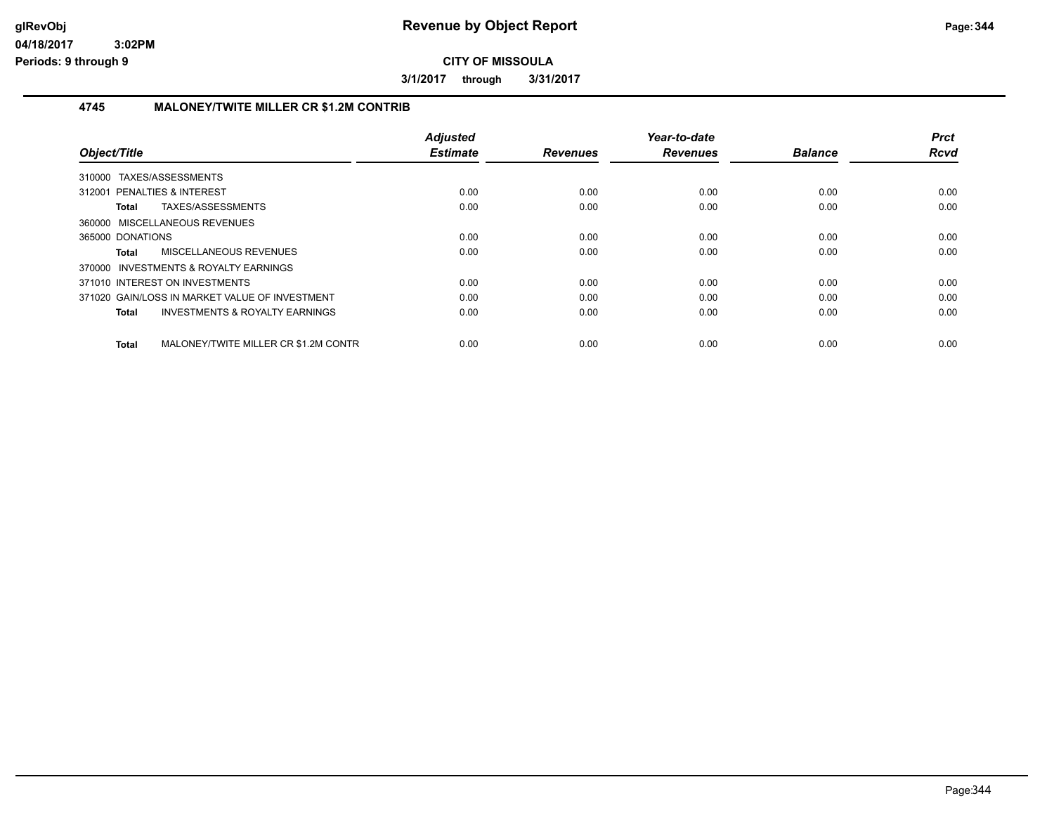**3/1/2017 through 3/31/2017**

#### **4745 MALONEY/TWITE MILLER CR \$1.2M CONTRIB**

| Object/Title                                              | <b>Adjusted</b><br><b>Estimate</b> | <b>Revenues</b> | Year-to-date<br><b>Revenues</b> | <b>Balance</b> | <b>Prct</b><br><b>Rcvd</b> |
|-----------------------------------------------------------|------------------------------------|-----------------|---------------------------------|----------------|----------------------------|
| 310000 TAXES/ASSESSMENTS                                  |                                    |                 |                                 |                |                            |
| <b>PENALTIES &amp; INTEREST</b><br>312001                 | 0.00                               | 0.00            | 0.00                            | 0.00           | 0.00                       |
| TAXES/ASSESSMENTS<br>Total                                | 0.00                               | 0.00            | 0.00                            | 0.00           | 0.00                       |
| 360000 MISCELLANEOUS REVENUES                             |                                    |                 |                                 |                |                            |
| 365000 DONATIONS                                          | 0.00                               | 0.00            | 0.00                            | 0.00           | 0.00                       |
| MISCELLANEOUS REVENUES<br>Total                           | 0.00                               | 0.00            | 0.00                            | 0.00           | 0.00                       |
| 370000 INVESTMENTS & ROYALTY EARNINGS                     |                                    |                 |                                 |                |                            |
| 371010 INTEREST ON INVESTMENTS                            | 0.00                               | 0.00            | 0.00                            | 0.00           | 0.00                       |
| 371020 GAIN/LOSS IN MARKET VALUE OF INVESTMENT            | 0.00                               | 0.00            | 0.00                            | 0.00           | 0.00                       |
| <b>INVESTMENTS &amp; ROYALTY EARNINGS</b><br><b>Total</b> | 0.00                               | 0.00            | 0.00                            | 0.00           | 0.00                       |
| MALONEY/TWITE MILLER CR \$1.2M CONTR<br><b>Total</b>      | 0.00                               | 0.00            | 0.00                            | 0.00           | 0.00                       |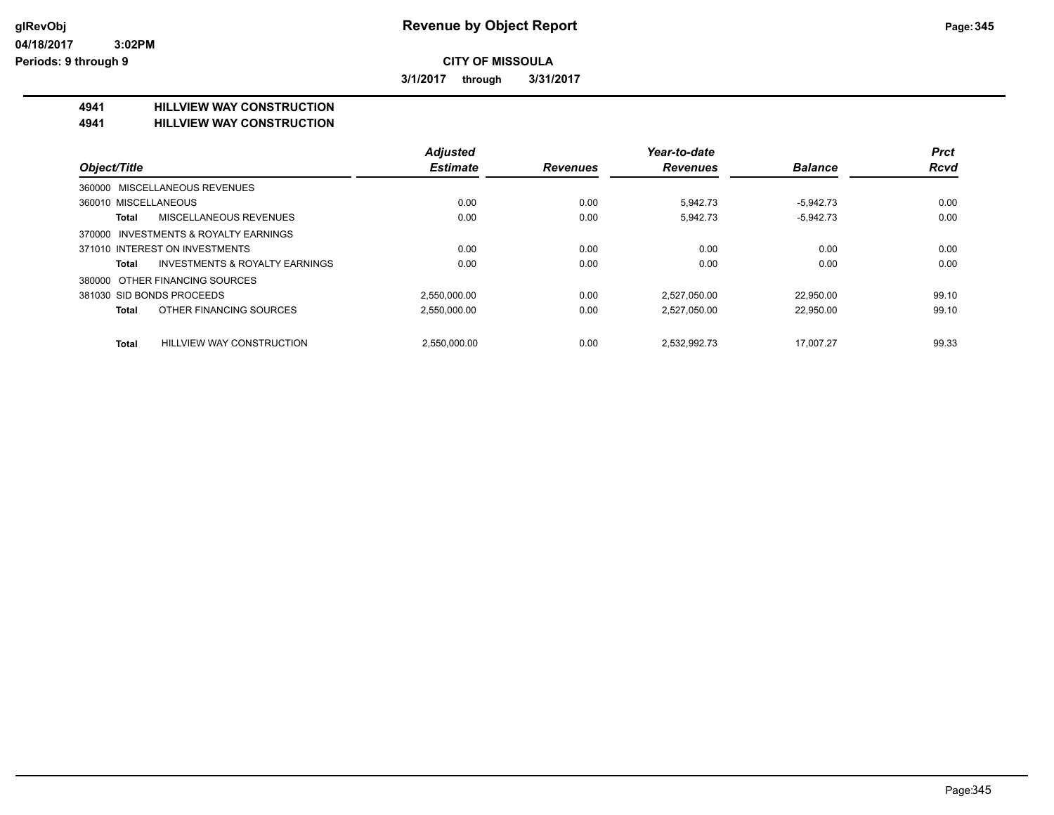**3/1/2017 through 3/31/2017**

**4941 HILLVIEW WAY CONSTRUCTION**

**4941 HILLVIEW WAY CONSTRUCTION**

|                                                    | <b>Adjusted</b> |                 | Year-to-date    |                | <b>Prct</b> |
|----------------------------------------------------|-----------------|-----------------|-----------------|----------------|-------------|
| Object/Title                                       | <b>Estimate</b> | <b>Revenues</b> | <b>Revenues</b> | <b>Balance</b> | <b>Rcvd</b> |
| 360000 MISCELLANEOUS REVENUES                      |                 |                 |                 |                |             |
| 360010 MISCELLANEOUS                               | 0.00            | 0.00            | 5.942.73        | $-5.942.73$    | 0.00        |
| MISCELLANEOUS REVENUES<br>Total                    | 0.00            | 0.00            | 5.942.73        | $-5,942.73$    | 0.00        |
| 370000 INVESTMENTS & ROYALTY EARNINGS              |                 |                 |                 |                |             |
| 371010 INTEREST ON INVESTMENTS                     | 0.00            | 0.00            | 0.00            | 0.00           | 0.00        |
| <b>INVESTMENTS &amp; ROYALTY EARNINGS</b><br>Total | 0.00            | 0.00            | 0.00            | 0.00           | 0.00        |
| 380000 OTHER FINANCING SOURCES                     |                 |                 |                 |                |             |
| 381030 SID BONDS PROCEEDS                          | 2.550.000.00    | 0.00            | 2.527.050.00    | 22.950.00      | 99.10       |
| OTHER FINANCING SOURCES<br>Total                   | 2.550.000.00    | 0.00            | 2.527.050.00    | 22.950.00      | 99.10       |
|                                                    |                 |                 |                 |                |             |
| HILLVIEW WAY CONSTRUCTION<br><b>Total</b>          | 2.550.000.00    | 0.00            | 2.532.992.73    | 17.007.27      | 99.33       |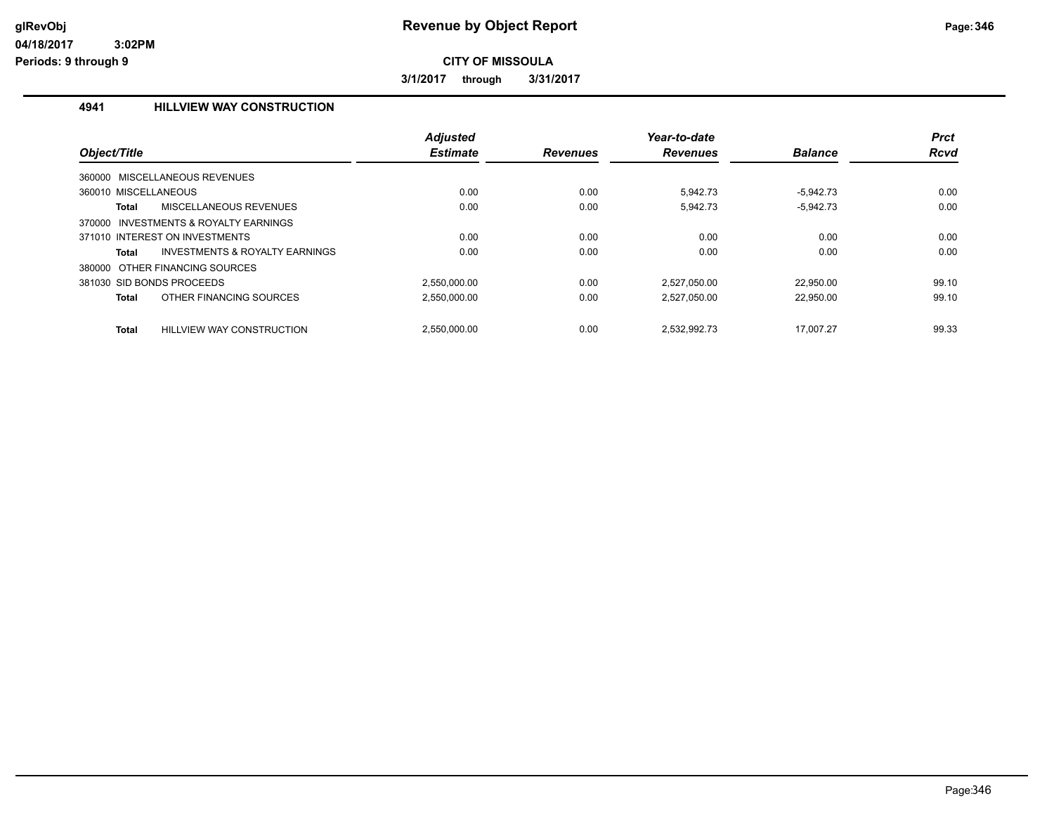**3/1/2017 through 3/31/2017**

#### **4941 HILLVIEW WAY CONSTRUCTION**

|                      |                                           | <b>Adjusted</b> |                 | Year-to-date    |                | <b>Prct</b> |
|----------------------|-------------------------------------------|-----------------|-----------------|-----------------|----------------|-------------|
| Object/Title         |                                           | <b>Estimate</b> | <b>Revenues</b> | <b>Revenues</b> | <b>Balance</b> | <b>Rcvd</b> |
| 360000               | MISCELLANEOUS REVENUES                    |                 |                 |                 |                |             |
| 360010 MISCELLANEOUS |                                           | 0.00            | 0.00            | 5.942.73        | $-5.942.73$    | 0.00        |
| Total                | MISCELLANEOUS REVENUES                    | 0.00            | 0.00            | 5.942.73        | $-5.942.73$    | 0.00        |
| 370000               | <b>INVESTMENTS &amp; ROYALTY EARNINGS</b> |                 |                 |                 |                |             |
|                      | 371010 INTEREST ON INVESTMENTS            | 0.00            | 0.00            | 0.00            | 0.00           | 0.00        |
| Total                | INVESTMENTS & ROYALTY EARNINGS            | 0.00            | 0.00            | 0.00            | 0.00           | 0.00        |
| 380000               | OTHER FINANCING SOURCES                   |                 |                 |                 |                |             |
|                      | 381030 SID BONDS PROCEEDS                 | 2,550,000.00    | 0.00            | 2.527.050.00    | 22.950.00      | 99.10       |
| Total                | OTHER FINANCING SOURCES                   | 2,550,000.00    | 0.00            | 2,527,050.00    | 22,950.00      | 99.10       |
| <b>Total</b>         | HILLVIEW WAY CONSTRUCTION                 | 2,550,000.00    | 0.00            | 2.532.992.73    | 17.007.27      | 99.33       |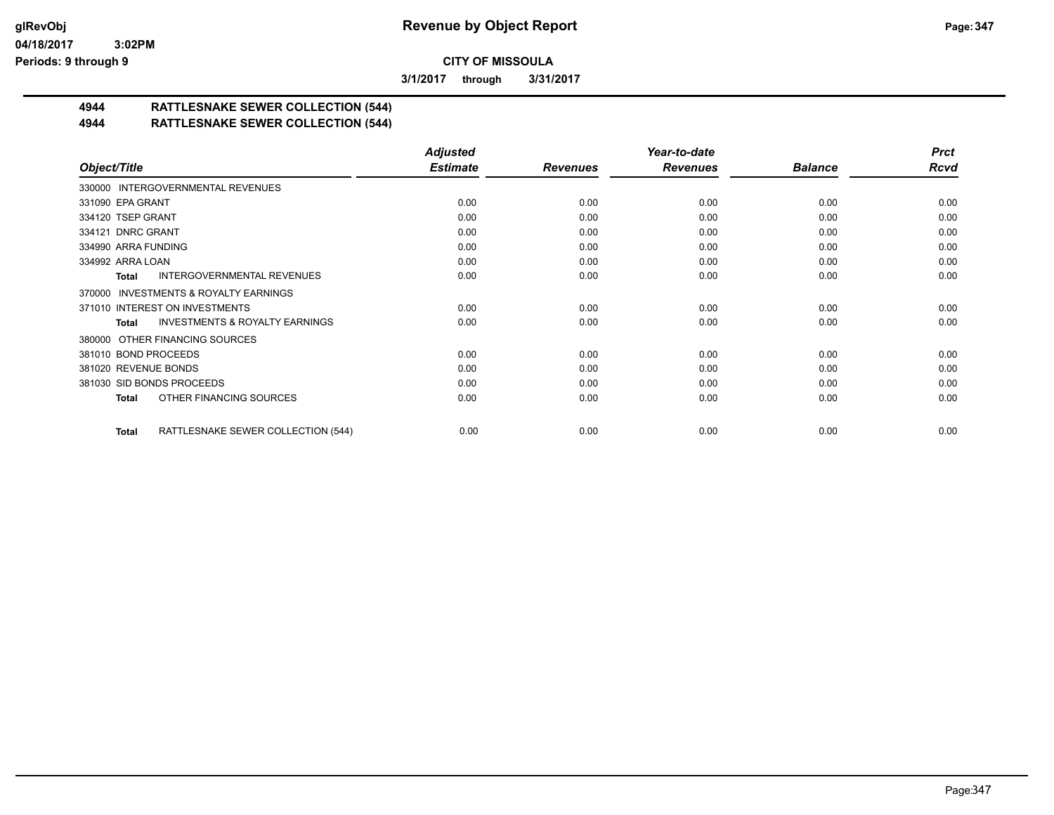**3/1/2017 through 3/31/2017**

# **4944 RATTLESNAKE SEWER COLLECTION (544) 4944 RATTLESNAKE SEWER COLLECTION (544)**

|                                                     | <b>Adjusted</b> |                 | Year-to-date    |                | <b>Prct</b> |
|-----------------------------------------------------|-----------------|-----------------|-----------------|----------------|-------------|
| Object/Title                                        | <b>Estimate</b> | <b>Revenues</b> | <b>Revenues</b> | <b>Balance</b> | Rcvd        |
| 330000 INTERGOVERNMENTAL REVENUES                   |                 |                 |                 |                |             |
| 331090 EPA GRANT                                    | 0.00            | 0.00            | 0.00            | 0.00           | 0.00        |
| 334120 TSEP GRANT                                   | 0.00            | 0.00            | 0.00            | 0.00           | 0.00        |
| 334121 DNRC GRANT                                   | 0.00            | 0.00            | 0.00            | 0.00           | 0.00        |
| 334990 ARRA FUNDING                                 | 0.00            | 0.00            | 0.00            | 0.00           | 0.00        |
| 334992 ARRA LOAN                                    | 0.00            | 0.00            | 0.00            | 0.00           | 0.00        |
| INTERGOVERNMENTAL REVENUES<br>Total                 | 0.00            | 0.00            | 0.00            | 0.00           | 0.00        |
| <b>INVESTMENTS &amp; ROYALTY EARNINGS</b><br>370000 |                 |                 |                 |                |             |
| 371010 INTEREST ON INVESTMENTS                      | 0.00            | 0.00            | 0.00            | 0.00           | 0.00        |
| <b>INVESTMENTS &amp; ROYALTY EARNINGS</b><br>Total  | 0.00            | 0.00            | 0.00            | 0.00           | 0.00        |
| 380000 OTHER FINANCING SOURCES                      |                 |                 |                 |                |             |
| 381010 BOND PROCEEDS                                | 0.00            | 0.00            | 0.00            | 0.00           | 0.00        |
| 381020 REVENUE BONDS                                | 0.00            | 0.00            | 0.00            | 0.00           | 0.00        |
| 381030 SID BONDS PROCEEDS                           | 0.00            | 0.00            | 0.00            | 0.00           | 0.00        |
| OTHER FINANCING SOURCES<br>Total                    | 0.00            | 0.00            | 0.00            | 0.00           | 0.00        |
| RATTLESNAKE SEWER COLLECTION (544)<br>Total         | 0.00            | 0.00            | 0.00            | 0.00           | 0.00        |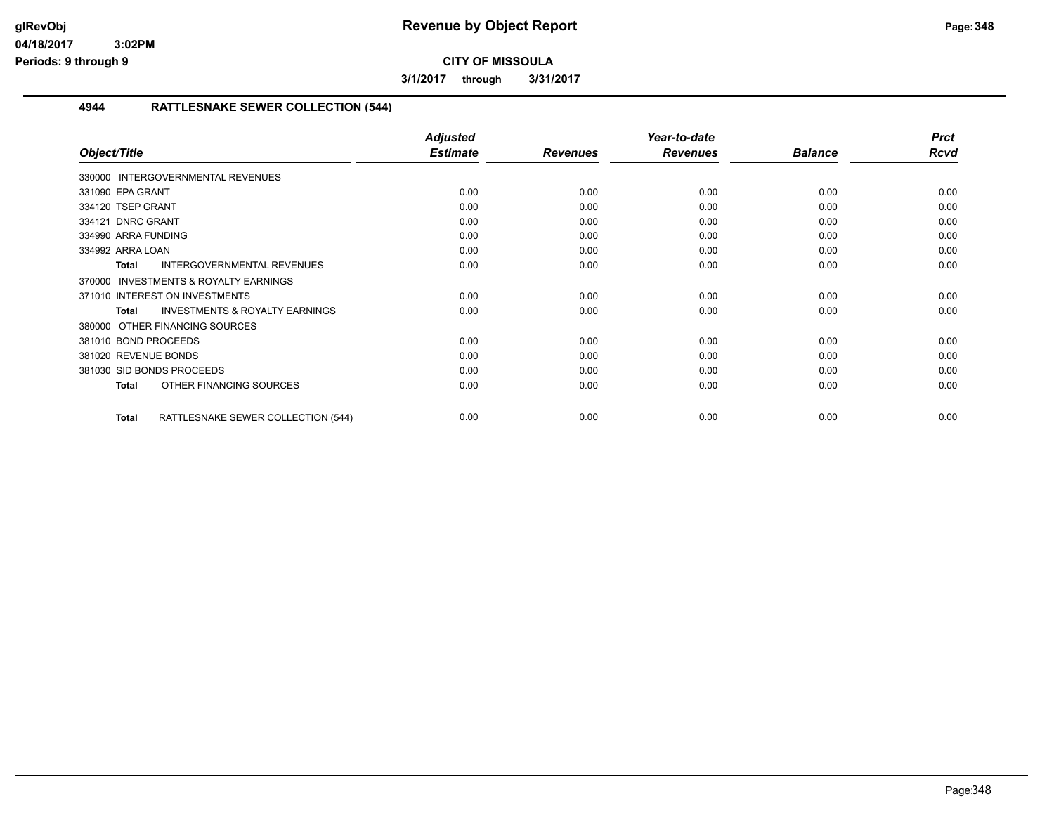**3/1/2017 through 3/31/2017**

# **4944 RATTLESNAKE SEWER COLLECTION (544)**

|                                                     | <b>Adjusted</b> |                 | Year-to-date    |                | <b>Prct</b> |
|-----------------------------------------------------|-----------------|-----------------|-----------------|----------------|-------------|
| Object/Title                                        | <b>Estimate</b> | <b>Revenues</b> | <b>Revenues</b> | <b>Balance</b> | <b>Rcvd</b> |
| 330000 INTERGOVERNMENTAL REVENUES                   |                 |                 |                 |                |             |
| 331090 EPA GRANT                                    | 0.00            | 0.00            | 0.00            | 0.00           | 0.00        |
| 334120 TSEP GRANT                                   | 0.00            | 0.00            | 0.00            | 0.00           | 0.00        |
| 334121 DNRC GRANT                                   | 0.00            | 0.00            | 0.00            | 0.00           | 0.00        |
| 334990 ARRA FUNDING                                 | 0.00            | 0.00            | 0.00            | 0.00           | 0.00        |
| 334992 ARRA LOAN                                    | 0.00            | 0.00            | 0.00            | 0.00           | 0.00        |
| <b>INTERGOVERNMENTAL REVENUES</b><br><b>Total</b>   | 0.00            | 0.00            | 0.00            | 0.00           | 0.00        |
| <b>INVESTMENTS &amp; ROYALTY EARNINGS</b><br>370000 |                 |                 |                 |                |             |
| 371010 INTEREST ON INVESTMENTS                      | 0.00            | 0.00            | 0.00            | 0.00           | 0.00        |
| <b>INVESTMENTS &amp; ROYALTY EARNINGS</b><br>Total  | 0.00            | 0.00            | 0.00            | 0.00           | 0.00        |
| 380000 OTHER FINANCING SOURCES                      |                 |                 |                 |                |             |
| 381010 BOND PROCEEDS                                | 0.00            | 0.00            | 0.00            | 0.00           | 0.00        |
| 381020 REVENUE BONDS                                | 0.00            | 0.00            | 0.00            | 0.00           | 0.00        |
| 381030 SID BONDS PROCEEDS                           | 0.00            | 0.00            | 0.00            | 0.00           | 0.00        |
| OTHER FINANCING SOURCES<br>Total                    | 0.00            | 0.00            | 0.00            | 0.00           | 0.00        |
|                                                     |                 |                 |                 |                |             |
| RATTLESNAKE SEWER COLLECTION (544)<br>Total         | 0.00            | 0.00            | 0.00            | 0.00           | 0.00        |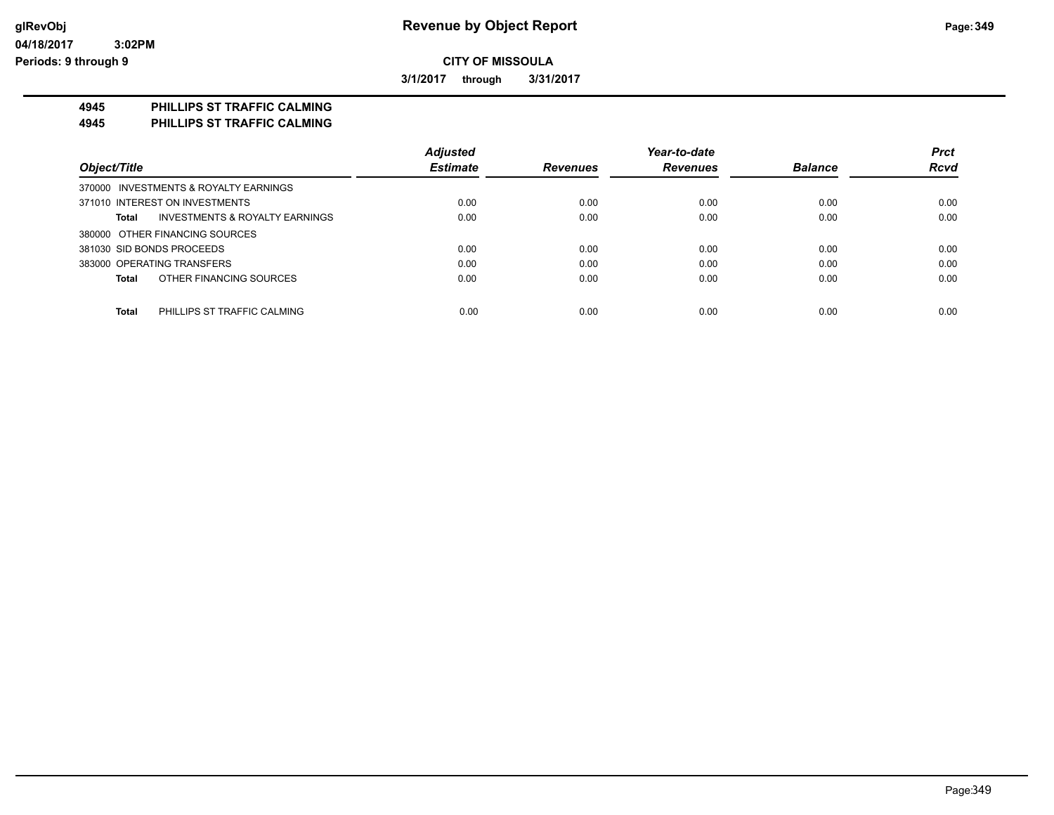**3/1/2017 through 3/31/2017**

**4945 PHILLIPS ST TRAFFIC CALMING**

**4945 PHILLIPS ST TRAFFIC CALMING**

|                                             | <b>Adjusted</b> |                 | Year-to-date    |                | <b>Prct</b> |
|---------------------------------------------|-----------------|-----------------|-----------------|----------------|-------------|
| Object/Title                                | <b>Estimate</b> | <b>Revenues</b> | <b>Revenues</b> | <b>Balance</b> | <b>Rcvd</b> |
| 370000 INVESTMENTS & ROYALTY EARNINGS       |                 |                 |                 |                |             |
| 371010 INTEREST ON INVESTMENTS              | 0.00            | 0.00            | 0.00            | 0.00           | 0.00        |
| INVESTMENTS & ROYALTY EARNINGS<br>Total     | 0.00            | 0.00            | 0.00            | 0.00           | 0.00        |
| 380000 OTHER FINANCING SOURCES              |                 |                 |                 |                |             |
| 381030 SID BONDS PROCEEDS                   | 0.00            | 0.00            | 0.00            | 0.00           | 0.00        |
| 383000 OPERATING TRANSFERS                  | 0.00            | 0.00            | 0.00            | 0.00           | 0.00        |
| OTHER FINANCING SOURCES<br>Total            | 0.00            | 0.00            | 0.00            | 0.00           | 0.00        |
| <b>Total</b><br>PHILLIPS ST TRAFFIC CALMING | 0.00            | 0.00            | 0.00            | 0.00           | 0.00        |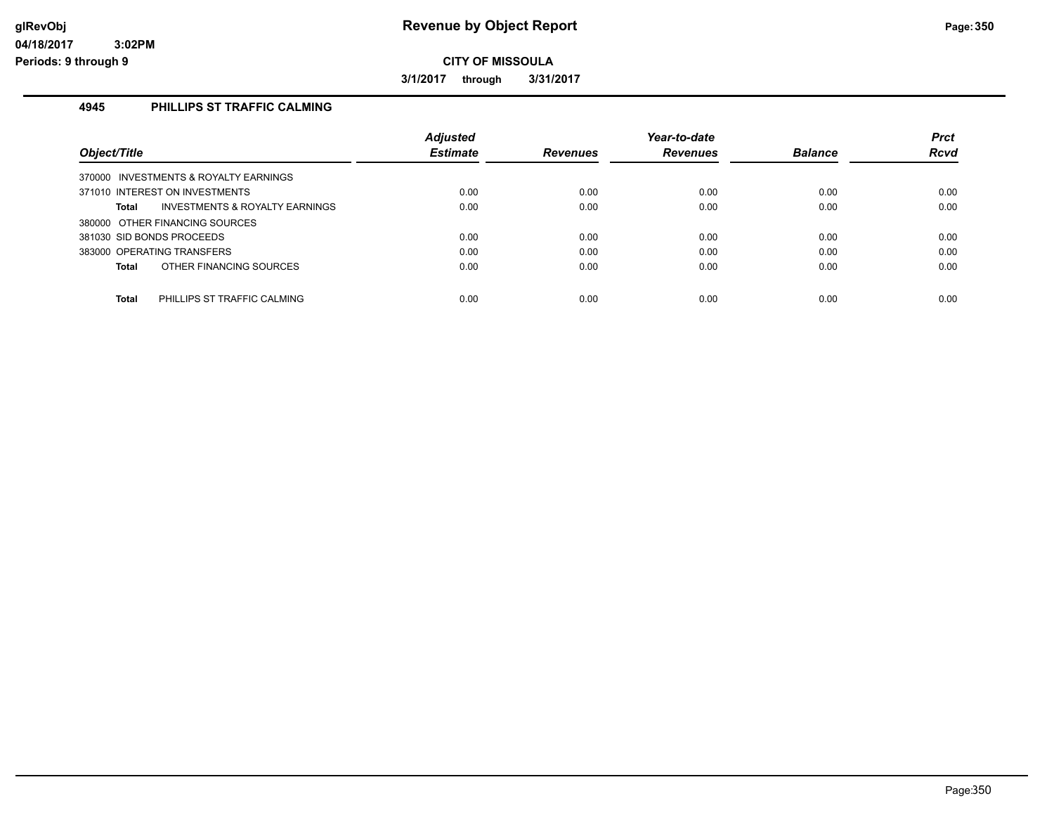**3/1/2017 through 3/31/2017**

#### **4945 PHILLIPS ST TRAFFIC CALMING**

|                                             | <b>Adjusted</b> |                 | Year-to-date    |                | <b>Prct</b> |
|---------------------------------------------|-----------------|-----------------|-----------------|----------------|-------------|
| Object/Title                                | <b>Estimate</b> | <b>Revenues</b> | <b>Revenues</b> | <b>Balance</b> | <b>Rcvd</b> |
| 370000 INVESTMENTS & ROYALTY EARNINGS       |                 |                 |                 |                |             |
| 371010 INTEREST ON INVESTMENTS              | 0.00            | 0.00            | 0.00            | 0.00           | 0.00        |
| INVESTMENTS & ROYALTY EARNINGS<br>Total     | 0.00            | 0.00            | 0.00            | 0.00           | 0.00        |
| 380000 OTHER FINANCING SOURCES              |                 |                 |                 |                |             |
| 381030 SID BONDS PROCEEDS                   | 0.00            | 0.00            | 0.00            | 0.00           | 0.00        |
| 383000 OPERATING TRANSFERS                  | 0.00            | 0.00            | 0.00            | 0.00           | 0.00        |
| OTHER FINANCING SOURCES<br>Total            | 0.00            | 0.00            | 0.00            | 0.00           | 0.00        |
| <b>Total</b><br>PHILLIPS ST TRAFFIC CALMING | 0.00            | 0.00            | 0.00            | 0.00           | 0.00        |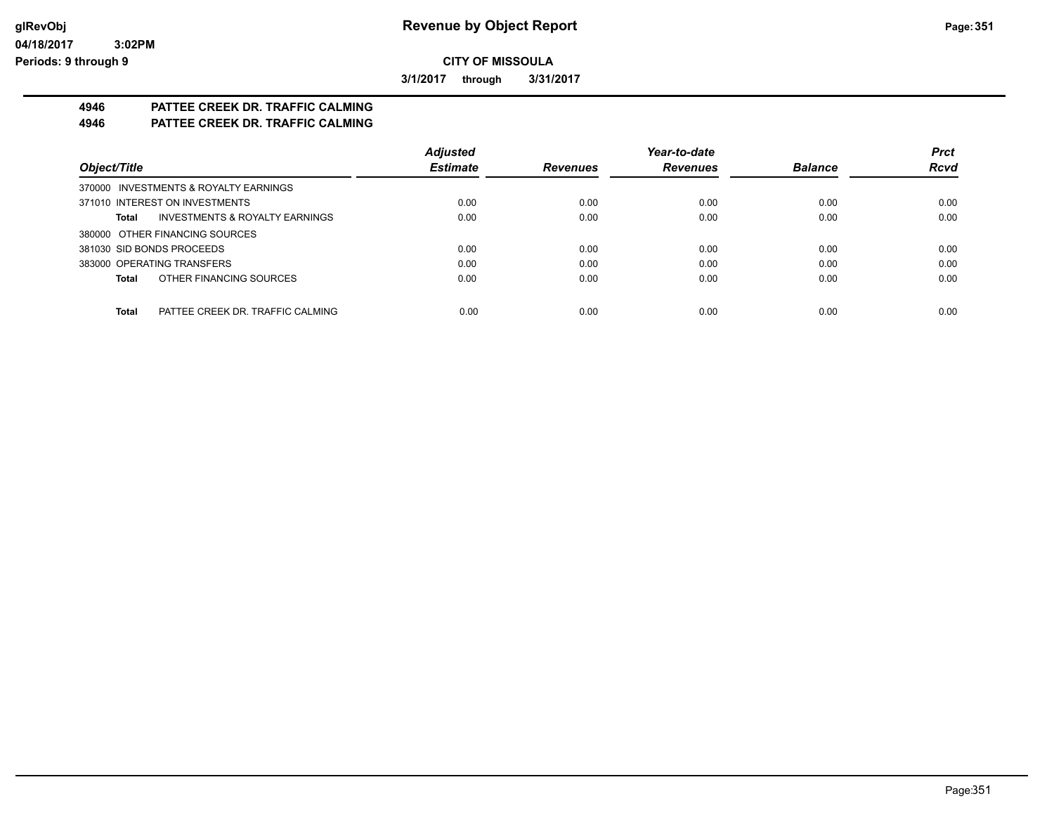**3/1/2017 through 3/31/2017**

## **4946 PATTEE CREEK DR. TRAFFIC CALMING 4946 PATTEE CREEK DR. TRAFFIC CALMING**

|                                                  | <b>Adjusted</b> |                 | Year-to-date    |                | <b>Prct</b> |
|--------------------------------------------------|-----------------|-----------------|-----------------|----------------|-------------|
| Object/Title                                     | <b>Estimate</b> | <b>Revenues</b> | <b>Revenues</b> | <b>Balance</b> | <b>Rcvd</b> |
| 370000 INVESTMENTS & ROYALTY EARNINGS            |                 |                 |                 |                |             |
| 371010 INTEREST ON INVESTMENTS                   | 0.00            | 0.00            | 0.00            | 0.00           | 0.00        |
| INVESTMENTS & ROYALTY EARNINGS<br>Total          | 0.00            | 0.00            | 0.00            | 0.00           | 0.00        |
| 380000 OTHER FINANCING SOURCES                   |                 |                 |                 |                |             |
| 381030 SID BONDS PROCEEDS                        | 0.00            | 0.00            | 0.00            | 0.00           | 0.00        |
| 383000 OPERATING TRANSFERS                       | 0.00            | 0.00            | 0.00            | 0.00           | 0.00        |
| OTHER FINANCING SOURCES<br>Total                 | 0.00            | 0.00            | 0.00            | 0.00           | 0.00        |
|                                                  |                 |                 |                 |                |             |
| <b>Total</b><br>PATTEE CREEK DR. TRAFFIC CALMING | 0.00            | 0.00            | 0.00            | 0.00           | 0.00        |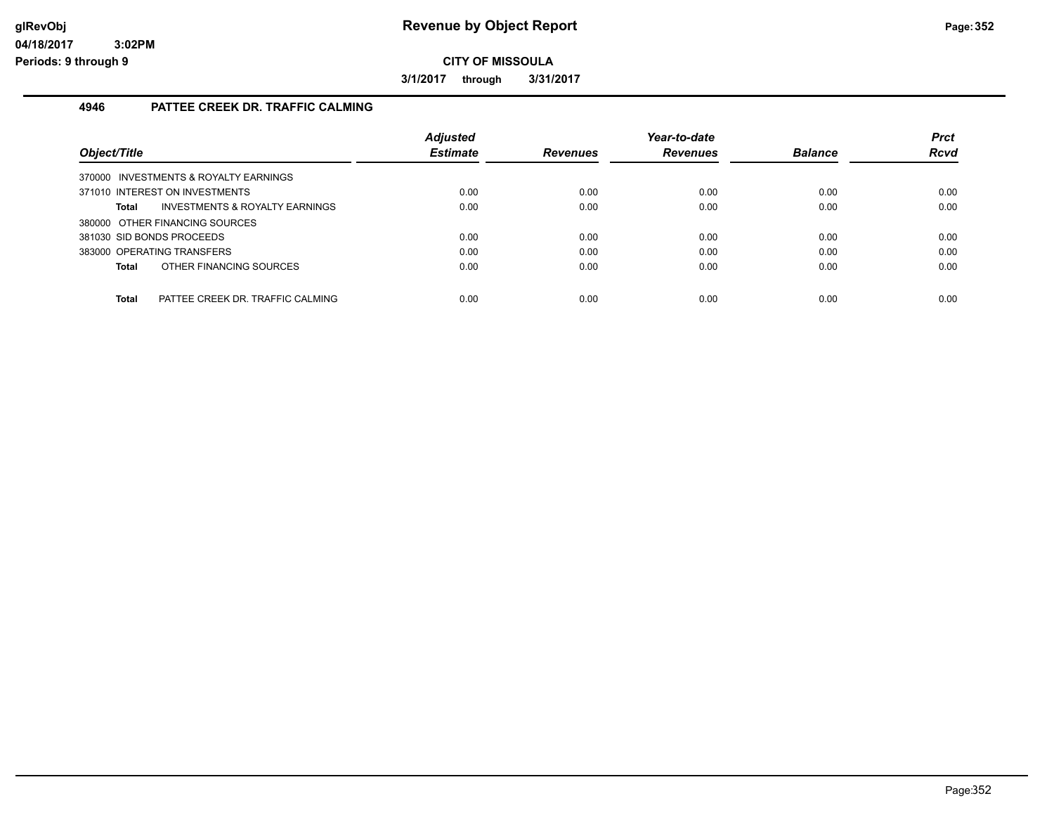**3/1/2017 through 3/31/2017**

## **4946 PATTEE CREEK DR. TRAFFIC CALMING**

|                                                  | <b>Adjusted</b> |                 | Year-to-date    |                | <b>Prct</b> |
|--------------------------------------------------|-----------------|-----------------|-----------------|----------------|-------------|
| Object/Title                                     | <b>Estimate</b> | <b>Revenues</b> | <b>Revenues</b> | <b>Balance</b> | <b>Rcvd</b> |
| 370000 INVESTMENTS & ROYALTY EARNINGS            |                 |                 |                 |                |             |
| 371010 INTEREST ON INVESTMENTS                   | 0.00            | 0.00            | 0.00            | 0.00           | 0.00        |
| INVESTMENTS & ROYALTY EARNINGS<br>Total          | 0.00            | 0.00            | 0.00            | 0.00           | 0.00        |
| 380000 OTHER FINANCING SOURCES                   |                 |                 |                 |                |             |
| 381030 SID BONDS PROCEEDS                        | 0.00            | 0.00            | 0.00            | 0.00           | 0.00        |
| 383000 OPERATING TRANSFERS                       | 0.00            | 0.00            | 0.00            | 0.00           | 0.00        |
| OTHER FINANCING SOURCES<br>Total                 | 0.00            | 0.00            | 0.00            | 0.00           | 0.00        |
|                                                  |                 |                 |                 |                |             |
| <b>Total</b><br>PATTEE CREEK DR. TRAFFIC CALMING | 0.00            | 0.00            | 0.00            | 0.00           | 0.00        |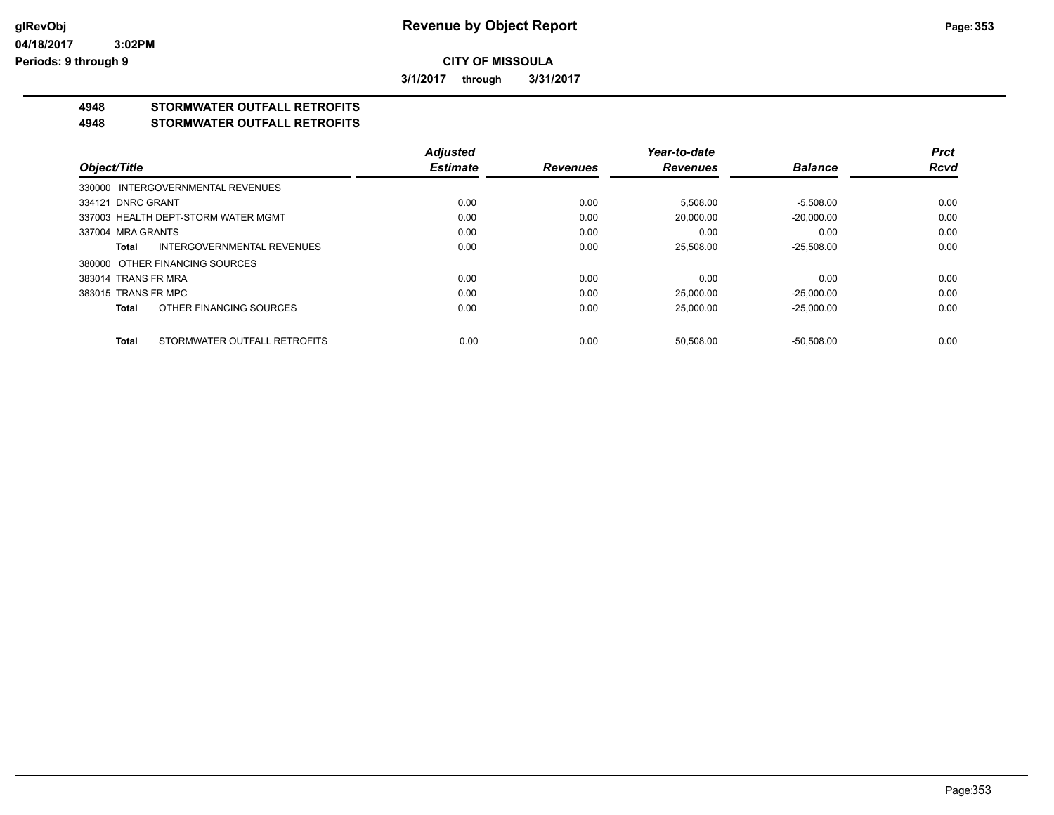**3/1/2017 through 3/31/2017**

## **4948 STORMWATER OUTFALL RETROFITS 4948 STORMWATER OUTFALL RETROFITS**

|                                              | <b>Adjusted</b> |                 | Year-to-date    |                | <b>Prct</b> |
|----------------------------------------------|-----------------|-----------------|-----------------|----------------|-------------|
| Object/Title                                 | <b>Estimate</b> | <b>Revenues</b> | <b>Revenues</b> | <b>Balance</b> | <b>Rcvd</b> |
| 330000 INTERGOVERNMENTAL REVENUES            |                 |                 |                 |                |             |
| 334121 DNRC GRANT                            | 0.00            | 0.00            | 5.508.00        | $-5,508.00$    | 0.00        |
| 337003 HEALTH DEPT-STORM WATER MGMT          | 0.00            | 0.00            | 20,000.00       | $-20,000.00$   | 0.00        |
| 337004 MRA GRANTS                            | 0.00            | 0.00            | 0.00            | 0.00           | 0.00        |
| INTERGOVERNMENTAL REVENUES<br>Total          | 0.00            | 0.00            | 25.508.00       | $-25,508.00$   | 0.00        |
| 380000 OTHER FINANCING SOURCES               |                 |                 |                 | 0.00           | 0.00        |
| 383014 TRANS FR MRA                          | 0.00            | 0.00            | 0.00            |                |             |
| 383015 TRANS FR MPC                          | 0.00            | 0.00            | 25.000.00       | $-25.000.00$   | 0.00        |
| OTHER FINANCING SOURCES<br>Total             | 0.00            | 0.00            | 25.000.00       | $-25.000.00$   | 0.00        |
|                                              |                 |                 |                 |                |             |
| STORMWATER OUTFALL RETROFITS<br><b>Total</b> | 0.00            | 0.00            | 50.508.00       | $-50.508.00$   | 0.00        |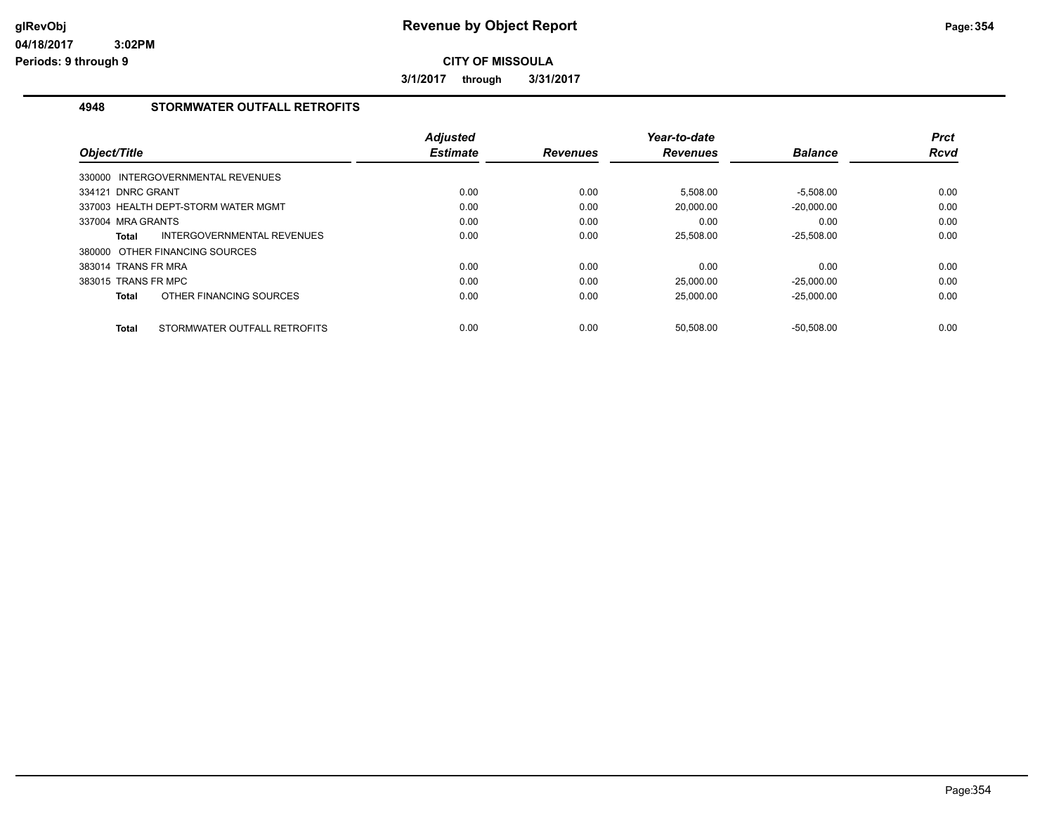**3/1/2017 through 3/31/2017**

#### **4948 STORMWATER OUTFALL RETROFITS**

| Object/Title                                 | <b>Adjusted</b><br><b>Estimate</b> | <b>Revenues</b> | Year-to-date<br><b>Revenues</b> | <b>Balance</b> | <b>Prct</b><br>Rcvd |
|----------------------------------------------|------------------------------------|-----------------|---------------------------------|----------------|---------------------|
| 330000 INTERGOVERNMENTAL REVENUES            |                                    |                 |                                 |                |                     |
| 334121 DNRC GRANT                            | 0.00                               | 0.00            | 5,508.00                        | $-5,508.00$    | 0.00                |
| 337003 HEALTH DEPT-STORM WATER MGMT          | 0.00                               | 0.00            | 20.000.00                       | $-20.000.00$   | 0.00                |
| 337004 MRA GRANTS                            | 0.00                               | 0.00            | 0.00                            | 0.00           | 0.00                |
| INTERGOVERNMENTAL REVENUES<br>Total          | 0.00                               | 0.00            | 25,508.00                       | $-25,508.00$   | 0.00                |
| 380000 OTHER FINANCING SOURCES               |                                    |                 |                                 |                |                     |
| 383014 TRANS FR MRA                          | 0.00                               | 0.00            | 0.00                            | 0.00           | 0.00                |
| 383015 TRANS FR MPC                          | 0.00                               | 0.00            | 25.000.00                       | $-25,000.00$   | 0.00                |
| OTHER FINANCING SOURCES<br>Total             | 0.00                               | 0.00            | 25.000.00                       | $-25.000.00$   | 0.00                |
| STORMWATER OUTFALL RETROFITS<br><b>Total</b> | 0.00                               | 0.00            | 50.508.00                       | $-50.508.00$   | 0.00                |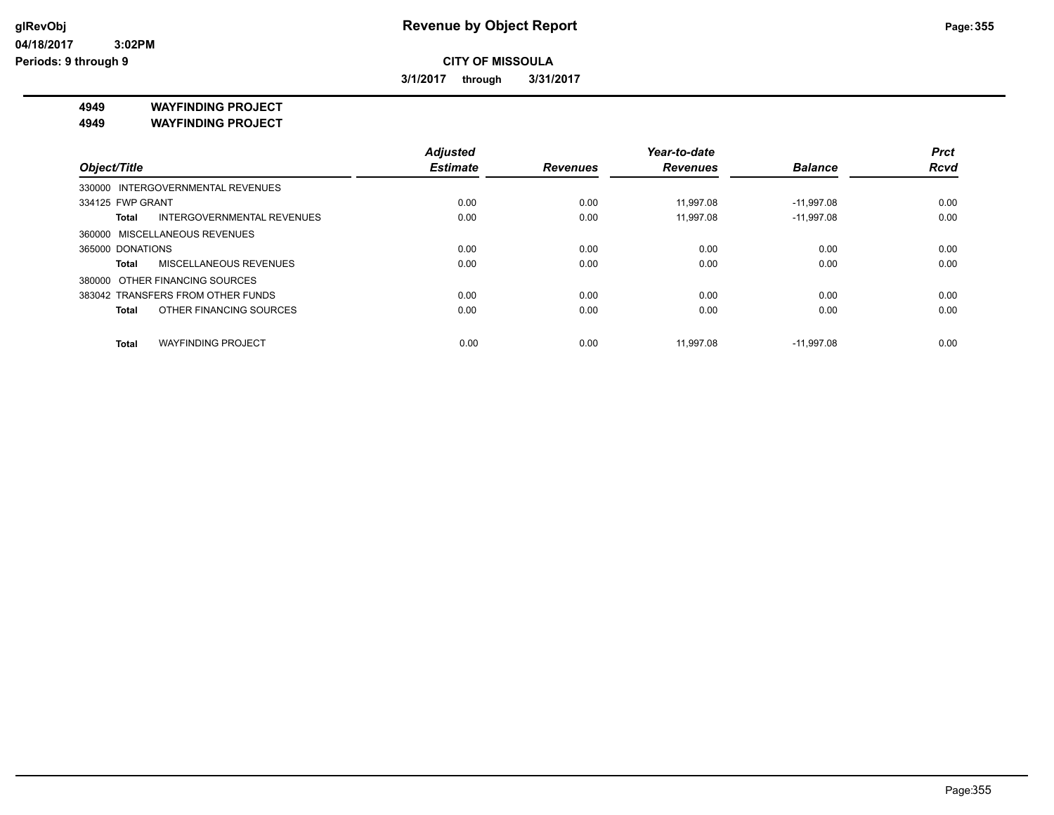**3/1/2017 through 3/31/2017**

**4949 WAYFINDING PROJECT 4949 WAYFINDING PROJECT**

|                                            | <b>Adjusted</b> |                 | Year-to-date    |                | <b>Prct</b> |
|--------------------------------------------|-----------------|-----------------|-----------------|----------------|-------------|
| Object/Title                               | <b>Estimate</b> | <b>Revenues</b> | <b>Revenues</b> | <b>Balance</b> | <b>Rcvd</b> |
| 330000 INTERGOVERNMENTAL REVENUES          |                 |                 |                 |                |             |
| 334125 FWP GRANT                           | 0.00            | 0.00            | 11.997.08       | $-11,997.08$   | 0.00        |
| <b>INTERGOVERNMENTAL REVENUES</b><br>Total | 0.00            | 0.00            | 11.997.08       | $-11,997.08$   | 0.00        |
| 360000 MISCELLANEOUS REVENUES              |                 |                 |                 |                |             |
| 365000 DONATIONS                           | 0.00            | 0.00            | 0.00            | 0.00           | 0.00        |
| <b>MISCELLANEOUS REVENUES</b><br>Total     | 0.00            | 0.00            | 0.00            | 0.00           | 0.00        |
| 380000 OTHER FINANCING SOURCES             |                 |                 |                 |                |             |
| 383042 TRANSFERS FROM OTHER FUNDS          | 0.00            | 0.00            | 0.00            | 0.00           | 0.00        |
| OTHER FINANCING SOURCES<br>Total           | 0.00            | 0.00            | 0.00            | 0.00           | 0.00        |
|                                            |                 |                 |                 |                |             |
| <b>WAYFINDING PROJECT</b><br><b>Total</b>  | 0.00            | 0.00            | 11.997.08       | $-11.997.08$   | 0.00        |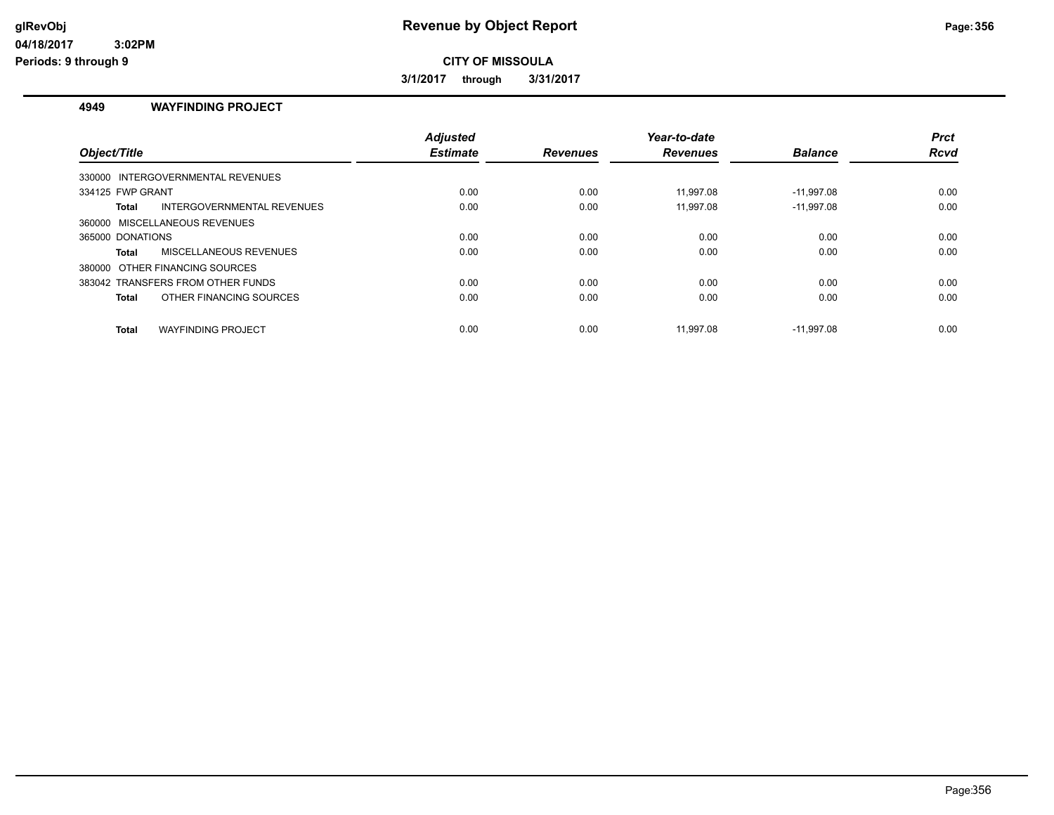**3/1/2017 through 3/31/2017**

#### **4949 WAYFINDING PROJECT**

|                                           | <b>Adjusted</b> |                 | Year-to-date    |                | <b>Prct</b> |
|-------------------------------------------|-----------------|-----------------|-----------------|----------------|-------------|
| Object/Title                              | <b>Estimate</b> | <b>Revenues</b> | <b>Revenues</b> | <b>Balance</b> | <b>Rcvd</b> |
| 330000 INTERGOVERNMENTAL REVENUES         |                 |                 |                 |                |             |
| 334125 FWP GRANT                          | 0.00            | 0.00            | 11,997.08       | $-11,997.08$   | 0.00        |
| INTERGOVERNMENTAL REVENUES<br>Total       | 0.00            | 0.00            | 11,997.08       | $-11,997.08$   | 0.00        |
| 360000 MISCELLANEOUS REVENUES             |                 |                 |                 |                |             |
| 365000 DONATIONS                          | 0.00            | 0.00            | 0.00            | 0.00           | 0.00        |
| <b>MISCELLANEOUS REVENUES</b><br>Total    | 0.00            | 0.00            | 0.00            | 0.00           | 0.00        |
| OTHER FINANCING SOURCES<br>380000         |                 |                 |                 |                |             |
| 383042 TRANSFERS FROM OTHER FUNDS         | 0.00            | 0.00            | 0.00            | 0.00           | 0.00        |
| OTHER FINANCING SOURCES<br>Total          | 0.00            | 0.00            | 0.00            | 0.00           | 0.00        |
| <b>WAYFINDING PROJECT</b><br><b>Total</b> | 0.00            | 0.00            | 11.997.08       | $-11.997.08$   | 0.00        |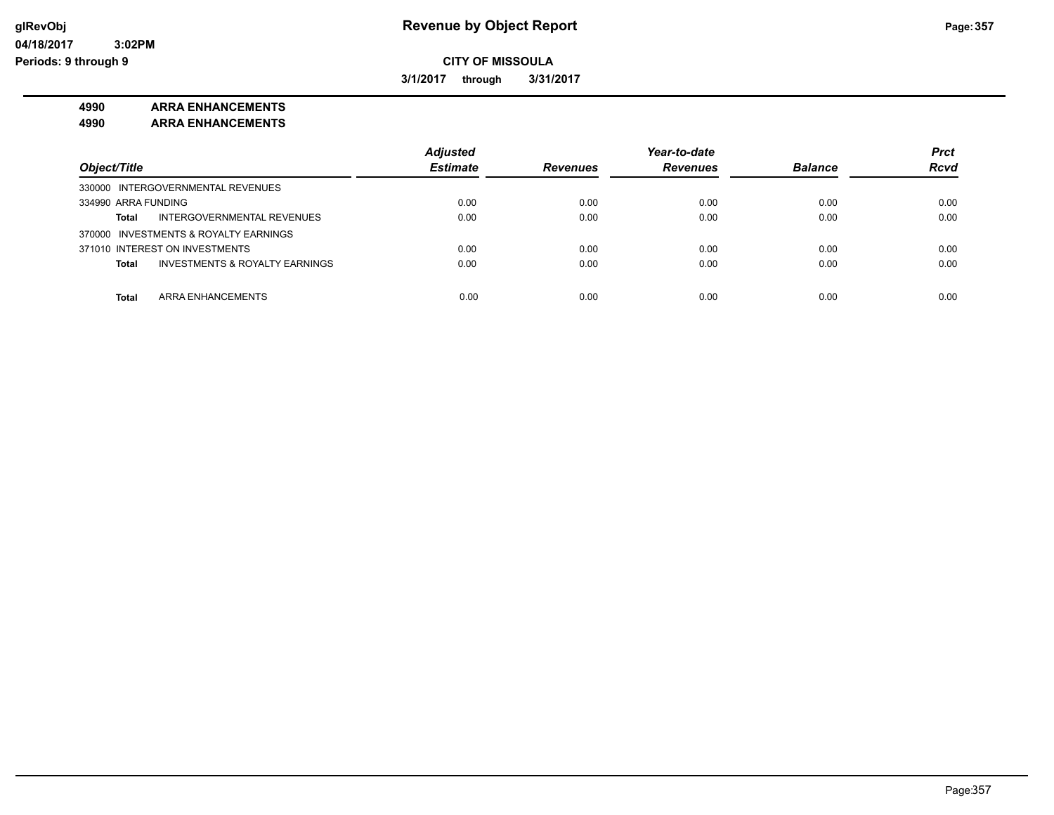**3/1/2017 through 3/31/2017**

**4990 ARRA ENHANCEMENTS**

| 4990 | <b>ARRA ENHANCEMENTS</b> |
|------|--------------------------|
|      |                          |

|                                         | <b>Adjusted</b> |                 | Year-to-date    |                | <b>Prct</b> |
|-----------------------------------------|-----------------|-----------------|-----------------|----------------|-------------|
| Object/Title                            | <b>Estimate</b> | <b>Revenues</b> | <b>Revenues</b> | <b>Balance</b> | <b>Rcvd</b> |
| 330000 INTERGOVERNMENTAL REVENUES       |                 |                 |                 |                |             |
| 334990 ARRA FUNDING                     | 0.00            | 0.00            | 0.00            | 0.00           | 0.00        |
| INTERGOVERNMENTAL REVENUES<br>Total     | 0.00            | 0.00            | 0.00            | 0.00           | 0.00        |
| 370000 INVESTMENTS & ROYALTY EARNINGS   |                 |                 |                 |                |             |
| 371010 INTEREST ON INVESTMENTS          | 0.00            | 0.00            | 0.00            | 0.00           | 0.00        |
| INVESTMENTS & ROYALTY EARNINGS<br>Total | 0.00            | 0.00            | 0.00            | 0.00           | 0.00        |
|                                         |                 |                 |                 |                |             |
| <b>Total</b><br>ARRA ENHANCEMENTS       | 0.00            | 0.00            | 0.00            | 0.00           | 0.00        |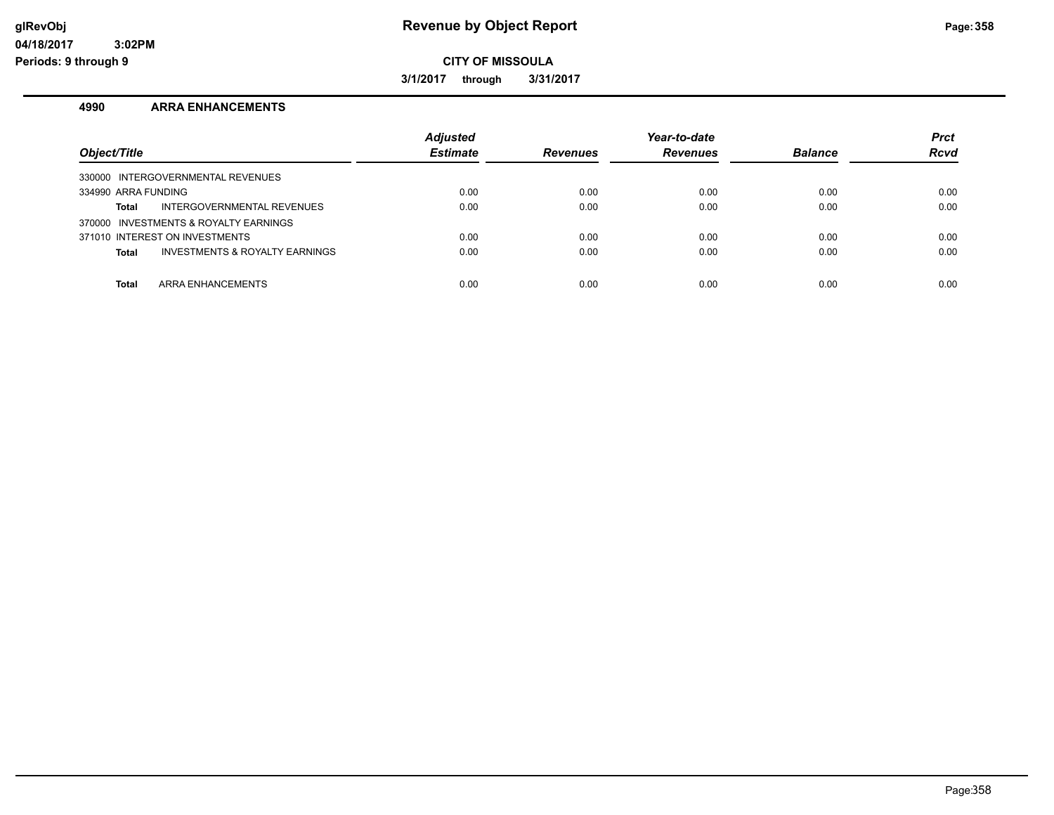**3/1/2017 through 3/31/2017**

#### **4990 ARRA ENHANCEMENTS**

|                                                           | <b>Adjusted</b> |                 | Year-to-date    |                | <b>Prct</b> |
|-----------------------------------------------------------|-----------------|-----------------|-----------------|----------------|-------------|
| Object/Title                                              | <b>Estimate</b> | <b>Revenues</b> | <b>Revenues</b> | <b>Balance</b> | <b>Rcvd</b> |
| 330000 INTERGOVERNMENTAL REVENUES                         |                 |                 |                 |                |             |
| 334990 ARRA FUNDING                                       | 0.00            | 0.00            | 0.00            | 0.00           | 0.00        |
| INTERGOVERNMENTAL REVENUES<br>Total                       | 0.00            | 0.00            | 0.00            | 0.00           | 0.00        |
| 370000 INVESTMENTS & ROYALTY EARNINGS                     |                 |                 |                 |                |             |
| 371010 INTEREST ON INVESTMENTS                            | 0.00            | 0.00            | 0.00            | 0.00           | 0.00        |
| <b>INVESTMENTS &amp; ROYALTY EARNINGS</b><br><b>Total</b> | 0.00            | 0.00            | 0.00            | 0.00           | 0.00        |
| Total<br>ARRA ENHANCEMENTS                                | 0.00            | 0.00            | 0.00            | 0.00           | 0.00        |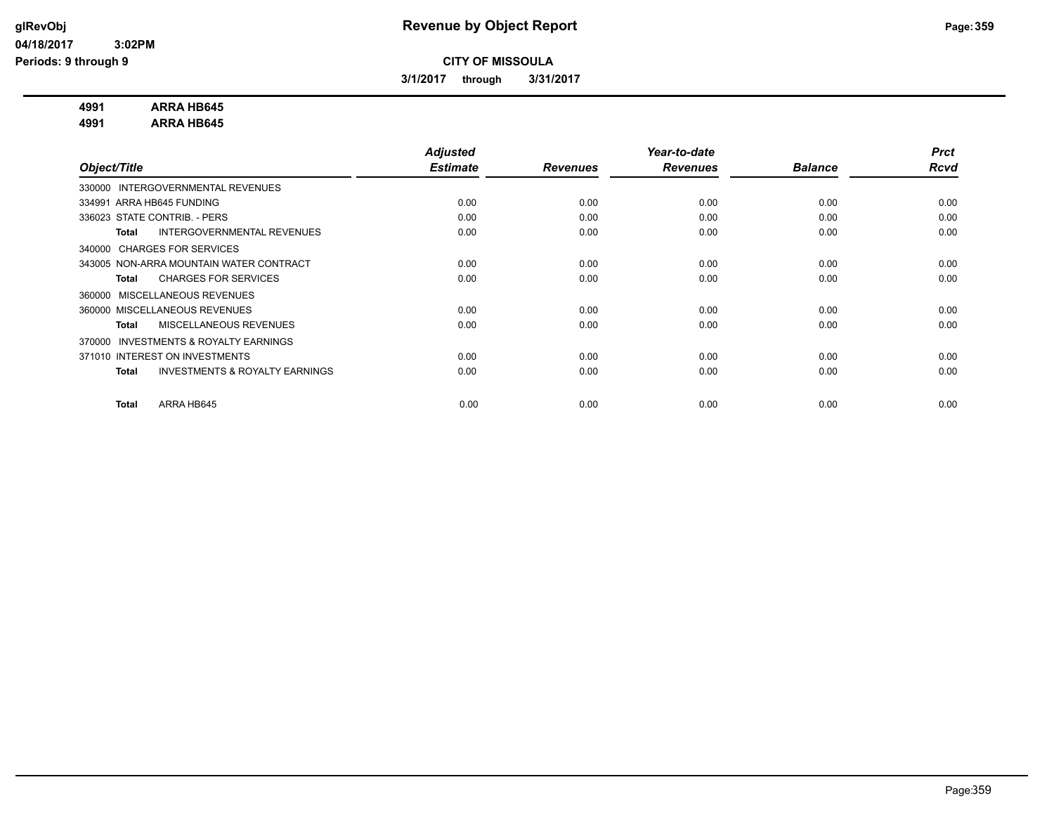**3/1/2017 through 3/31/2017**

# **4991 ARRA HB645**

**4991 ARRA HB645**

|                                                     | <b>Adjusted</b> |                 | Year-to-date    |                | <b>Prct</b> |
|-----------------------------------------------------|-----------------|-----------------|-----------------|----------------|-------------|
| Object/Title                                        | <b>Estimate</b> | <b>Revenues</b> | <b>Revenues</b> | <b>Balance</b> | <b>Rcvd</b> |
| 330000 INTERGOVERNMENTAL REVENUES                   |                 |                 |                 |                |             |
| 334991 ARRA HB645 FUNDING                           | 0.00            | 0.00            | 0.00            | 0.00           | 0.00        |
| 336023 STATE CONTRIB. - PERS                        | 0.00            | 0.00            | 0.00            | 0.00           | 0.00        |
| <b>INTERGOVERNMENTAL REVENUES</b><br>Total          | 0.00            | 0.00            | 0.00            | 0.00           | 0.00        |
| 340000 CHARGES FOR SERVICES                         |                 |                 |                 |                |             |
| 343005 NON-ARRA MOUNTAIN WATER CONTRACT             | 0.00            | 0.00            | 0.00            | 0.00           | 0.00        |
| <b>CHARGES FOR SERVICES</b><br>Total                | 0.00            | 0.00            | 0.00            | 0.00           | 0.00        |
| 360000 MISCELLANEOUS REVENUES                       |                 |                 |                 |                |             |
| 360000 MISCELLANEOUS REVENUES                       | 0.00            | 0.00            | 0.00            | 0.00           | 0.00        |
| MISCELLANEOUS REVENUES<br>Total                     | 0.00            | 0.00            | 0.00            | 0.00           | 0.00        |
| <b>INVESTMENTS &amp; ROYALTY EARNINGS</b><br>370000 |                 |                 |                 |                |             |
| 371010 INTEREST ON INVESTMENTS                      | 0.00            | 0.00            | 0.00            | 0.00           | 0.00        |
| <b>INVESTMENTS &amp; ROYALTY EARNINGS</b><br>Total  | 0.00            | 0.00            | 0.00            | 0.00           | 0.00        |
|                                                     |                 |                 |                 |                |             |
| ARRA HB645<br>Total                                 | 0.00            | 0.00            | 0.00            | 0.00           | 0.00        |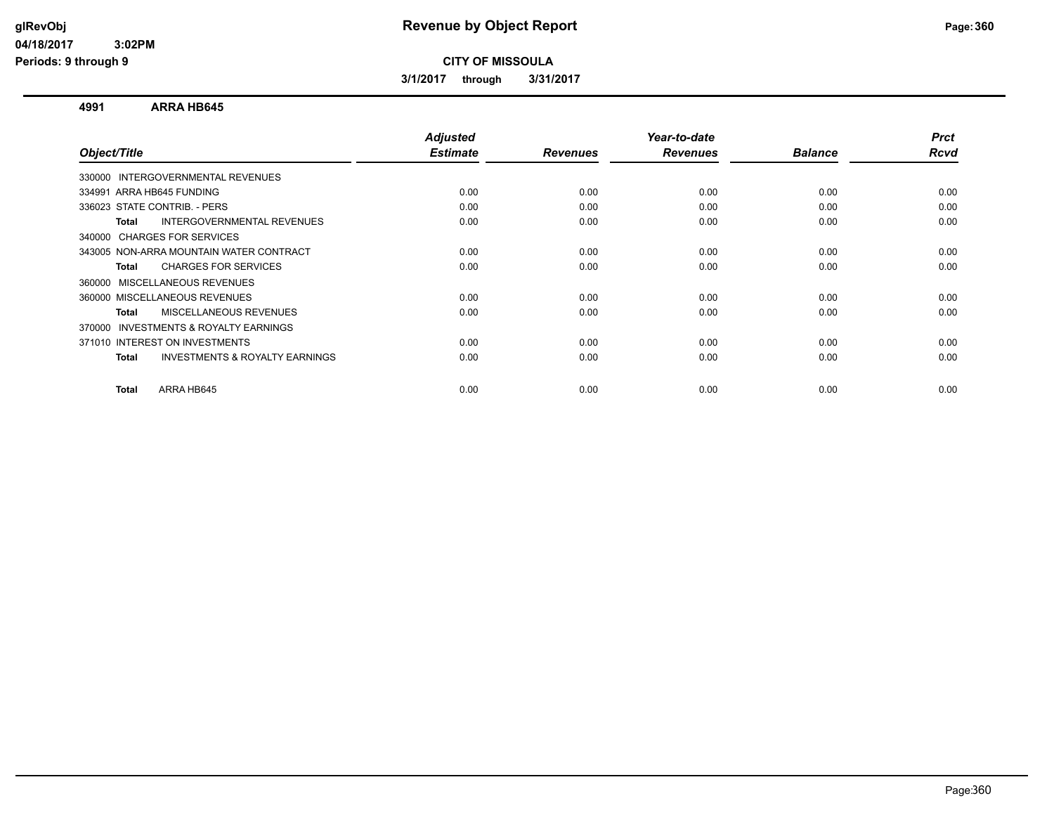**3/1/2017 through 3/31/2017**

#### **4991 ARRA HB645**

| Object/Title                                              | <b>Adjusted</b><br><b>Estimate</b> | <b>Revenues</b> | Year-to-date<br><b>Revenues</b> | <b>Balance</b> | <b>Prct</b><br><b>Rcvd</b> |
|-----------------------------------------------------------|------------------------------------|-----------------|---------------------------------|----------------|----------------------------|
|                                                           |                                    |                 |                                 |                |                            |
| 330000 INTERGOVERNMENTAL REVENUES                         |                                    |                 |                                 |                |                            |
| 334991 ARRA HB645 FUNDING                                 | 0.00                               | 0.00            | 0.00                            | 0.00           | 0.00                       |
| 336023 STATE CONTRIB. - PERS                              | 0.00                               | 0.00            | 0.00                            | 0.00           | 0.00                       |
| <b>INTERGOVERNMENTAL REVENUES</b><br>Total                | 0.00                               | 0.00            | 0.00                            | 0.00           | 0.00                       |
| 340000 CHARGES FOR SERVICES                               |                                    |                 |                                 |                |                            |
| 343005 NON-ARRA MOUNTAIN WATER CONTRACT                   | 0.00                               | 0.00            | 0.00                            | 0.00           | 0.00                       |
| <b>CHARGES FOR SERVICES</b><br>Total                      | 0.00                               | 0.00            | 0.00                            | 0.00           | 0.00                       |
| 360000 MISCELLANEOUS REVENUES                             |                                    |                 |                                 |                |                            |
| 360000 MISCELLANEOUS REVENUES                             | 0.00                               | 0.00            | 0.00                            | 0.00           | 0.00                       |
| MISCELLANEOUS REVENUES<br><b>Total</b>                    | 0.00                               | 0.00            | 0.00                            | 0.00           | 0.00                       |
| 370000 INVESTMENTS & ROYALTY EARNINGS                     |                                    |                 |                                 |                |                            |
| 371010 INTEREST ON INVESTMENTS                            | 0.00                               | 0.00            | 0.00                            | 0.00           | 0.00                       |
| <b>INVESTMENTS &amp; ROYALTY EARNINGS</b><br><b>Total</b> | 0.00                               | 0.00            | 0.00                            | 0.00           | 0.00                       |
|                                                           |                                    |                 |                                 |                |                            |
| ARRA HB645<br><b>Total</b>                                | 0.00                               | 0.00            | 0.00                            | 0.00           | 0.00                       |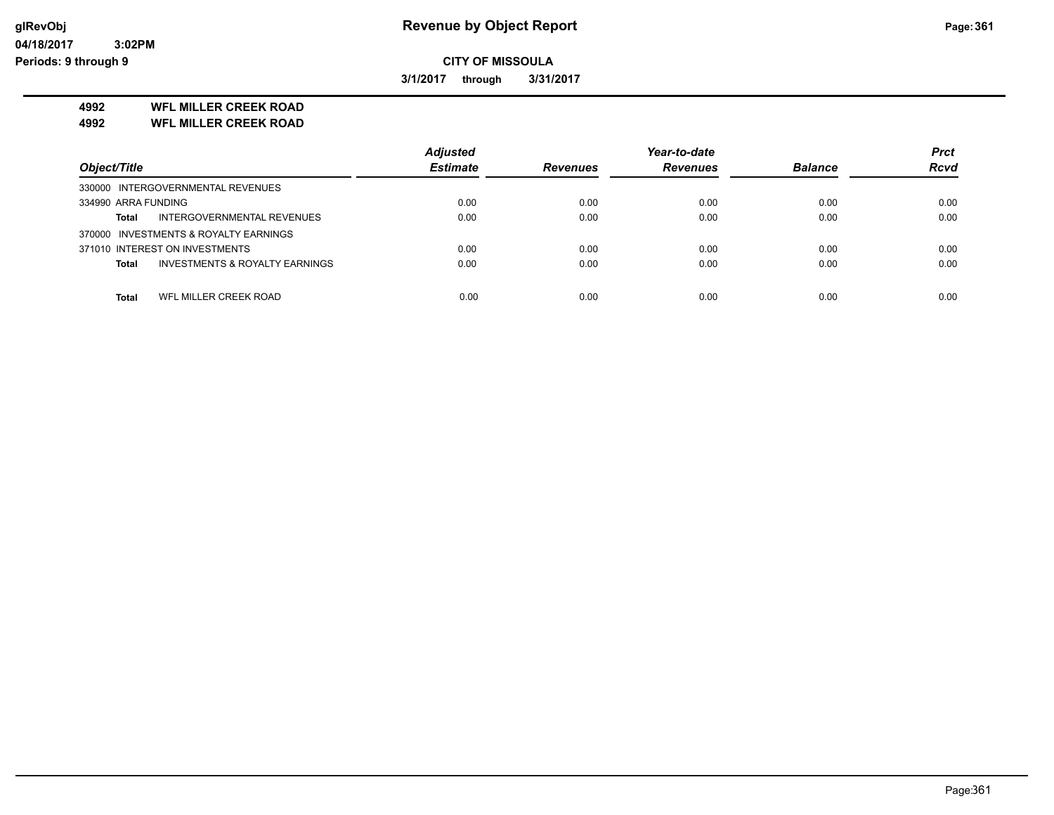**3/1/2017 through 3/31/2017**

**4992 WFL MILLER CREEK ROAD**

**4992 WFL MILLER CREEK ROAD**

|                                                | <b>Adjusted</b> |                 | Year-to-date    |                | <b>Prct</b> |
|------------------------------------------------|-----------------|-----------------|-----------------|----------------|-------------|
| Object/Title                                   | <b>Estimate</b> | <b>Revenues</b> | <b>Revenues</b> | <b>Balance</b> | <b>Rcvd</b> |
| 330000 INTERGOVERNMENTAL REVENUES              |                 |                 |                 |                |             |
| 334990 ARRA FUNDING                            | 0.00            | 0.00            | 0.00            | 0.00           | 0.00        |
| INTERGOVERNMENTAL REVENUES<br>Total            | 0.00            | 0.00            | 0.00            | 0.00           | 0.00        |
| 370000 INVESTMENTS & ROYALTY EARNINGS          |                 |                 |                 |                |             |
| 371010 INTEREST ON INVESTMENTS                 | 0.00            | 0.00            | 0.00            | 0.00           | 0.00        |
| INVESTMENTS & ROYALTY EARNINGS<br><b>Total</b> | 0.00            | 0.00            | 0.00            | 0.00           | 0.00        |
|                                                |                 |                 |                 |                |             |
| WFL MILLER CREEK ROAD<br><b>Total</b>          | 0.00            | 0.00            | 0.00            | 0.00           | 0.00        |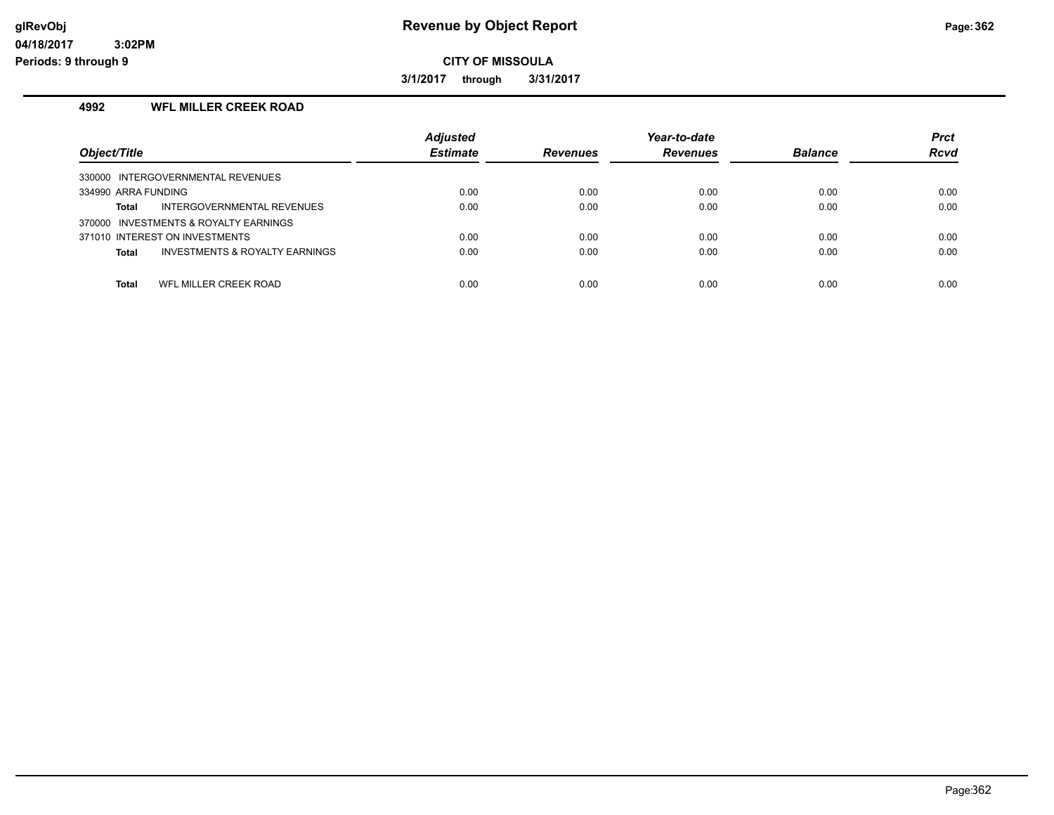**3/1/2017 through 3/31/2017**

### **4992 WFL MILLER CREEK ROAD**

|                     |                                       | <b>Adjusted</b> |                 | Year-to-date    |                | <b>Prct</b> |
|---------------------|---------------------------------------|-----------------|-----------------|-----------------|----------------|-------------|
| Object/Title        |                                       | <b>Estimate</b> | <b>Revenues</b> | <b>Revenues</b> | <b>Balance</b> | <b>Rcvd</b> |
|                     | 330000 INTERGOVERNMENTAL REVENUES     |                 |                 |                 |                |             |
| 334990 ARRA FUNDING |                                       | 0.00            | 0.00            | 0.00            | 0.00           | 0.00        |
| Total               | INTERGOVERNMENTAL REVENUES            | 0.00            | 0.00            | 0.00            | 0.00           | 0.00        |
|                     | 370000 INVESTMENTS & ROYALTY EARNINGS |                 |                 |                 |                |             |
|                     | 371010 INTEREST ON INVESTMENTS        | 0.00            | 0.00            | 0.00            | 0.00           | 0.00        |
| <b>Total</b>        | INVESTMENTS & ROYALTY EARNINGS        | 0.00            | 0.00            | 0.00            | 0.00           | 0.00        |
| <b>Total</b>        | WFL MILLER CREEK ROAD                 | 0.00            | 0.00            | 0.00            | 0.00           | 0.00        |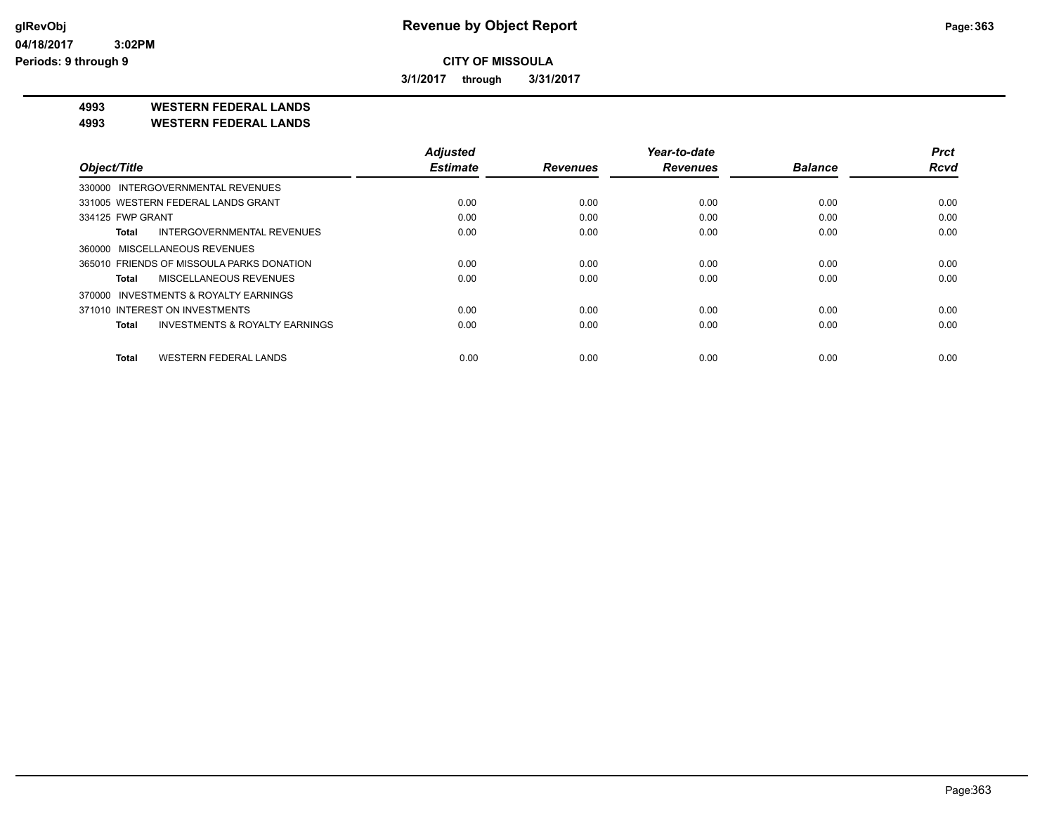*Prct Rcvd*

**CITY OF MISSOULA**

**3/1/2017 through 3/31/2017**

**4993 WESTERN FEDERAL LANDS 4993 WESTERN FEDERAL LANDS**

|                                            | <b>Adjusted</b> |                 | Year-to-date    |                | <b>Prct</b> |
|--------------------------------------------|-----------------|-----------------|-----------------|----------------|-------------|
| Object/Title                               | <b>Estimate</b> | <b>Revenues</b> | <b>Revenues</b> | <b>Balance</b> | Rcva        |
| 330000 INTERGOVERNMENTAL REVENUES          |                 |                 |                 |                |             |
| 331005 WESTERN FEDERAL LANDS GRANT         | 0.00            | 0.00            | 0.00            | 0.00           | 0.00        |
| 334125 FWP GRANT                           | 0.00            | 0.00            | 0.00            | 0.00           | 0.00        |
| <b>INTERGOVERNMENTAL REVENUES</b><br>Total | 0.00            | 0.00            | 0.00            | 0.00           | 0.00        |
| MISCELLANEOUS REVENUES<br>360000           |                 |                 |                 |                |             |
| 365010 FRIENDS OF MISSOULA PARKS DONATION  | 0.00            | 0.00            | 0.00            | 0.00           | 0.00        |
| <b>MISCELLANEOUS REVENUES</b><br>Total     | 0.00            | 0.00            | 0.00            | 0.00           | 0.00        |
| INVESTMENTS & ROYALTY EARNINGS<br>370000   |                 |                 |                 |                |             |
| 371010 INTEREST ON INVESTMENTS             | 0.00            | 0.00            | 0.00            | 0.00           | 0.00        |
| INVESTMENTS & ROYALTY EARNINGS<br>Total    | 0.00            | 0.00            | 0.00            | 0.00           | 0.00        |
|                                            |                 |                 |                 |                |             |
| <b>WESTERN FEDERAL LANDS</b><br>Total      | 0.00            | 0.00            | 0.00            | 0.00           | 0.00        |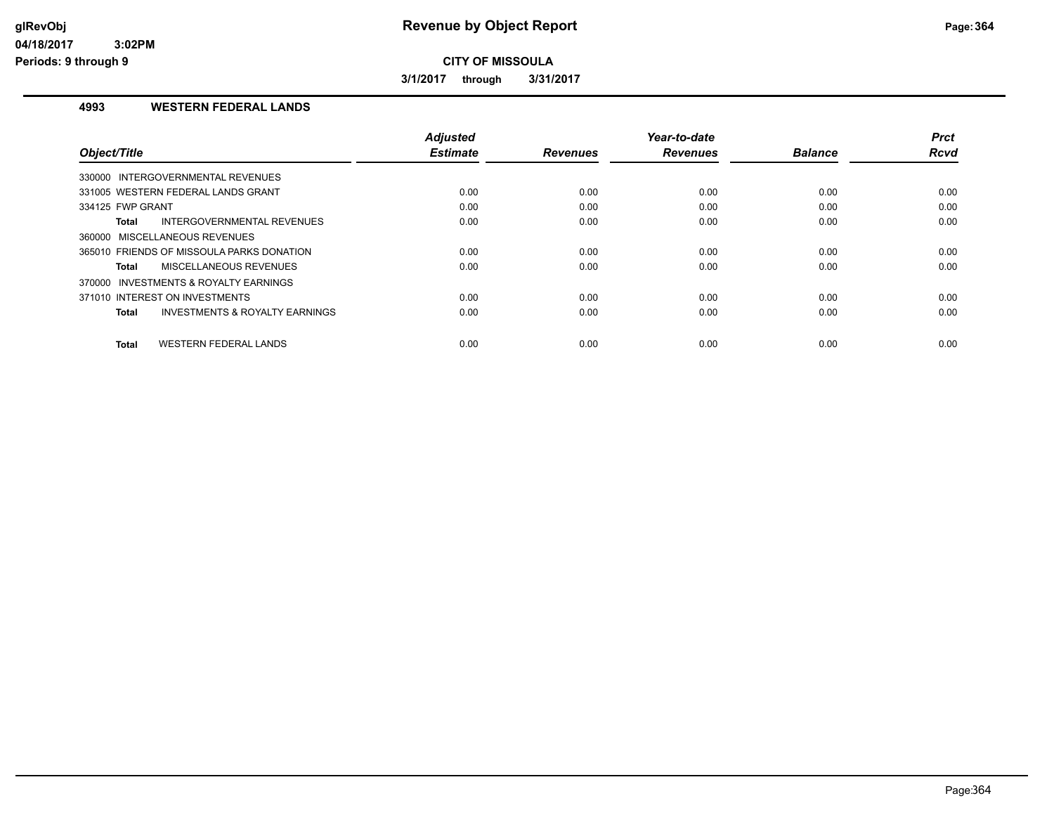**3/1/2017 through 3/31/2017**

# **4993 WESTERN FEDERAL LANDS**

|                                                    | <b>Adjusted</b> |                 | Year-to-date    |                | <b>Prct</b> |
|----------------------------------------------------|-----------------|-----------------|-----------------|----------------|-------------|
| Object/Title                                       | <b>Estimate</b> | <b>Revenues</b> | <b>Revenues</b> | <b>Balance</b> | <b>Rcvd</b> |
| 330000 INTERGOVERNMENTAL REVENUES                  |                 |                 |                 |                |             |
| 331005 WESTERN FEDERAL LANDS GRANT                 | 0.00            | 0.00            | 0.00            | 0.00           | 0.00        |
| 334125 FWP GRANT                                   | 0.00            | 0.00            | 0.00            | 0.00           | 0.00        |
| INTERGOVERNMENTAL REVENUES<br>Total                | 0.00            | 0.00            | 0.00            | 0.00           | 0.00        |
| 360000 MISCELLANEOUS REVENUES                      |                 |                 |                 |                |             |
| 365010 FRIENDS OF MISSOULA PARKS DONATION          | 0.00            | 0.00            | 0.00            | 0.00           | 0.00        |
| MISCELLANEOUS REVENUES<br>Total                    | 0.00            | 0.00            | 0.00            | 0.00           | 0.00        |
| 370000 INVESTMENTS & ROYALTY EARNINGS              |                 |                 |                 |                |             |
| 371010 INTEREST ON INVESTMENTS                     | 0.00            | 0.00            | 0.00            | 0.00           | 0.00        |
| <b>INVESTMENTS &amp; ROYALTY EARNINGS</b><br>Total | 0.00            | 0.00            | 0.00            | 0.00           | 0.00        |
|                                                    |                 |                 |                 |                |             |
| <b>WESTERN FEDERAL LANDS</b><br><b>Total</b>       | 0.00            | 0.00            | 0.00            | 0.00           | 0.00        |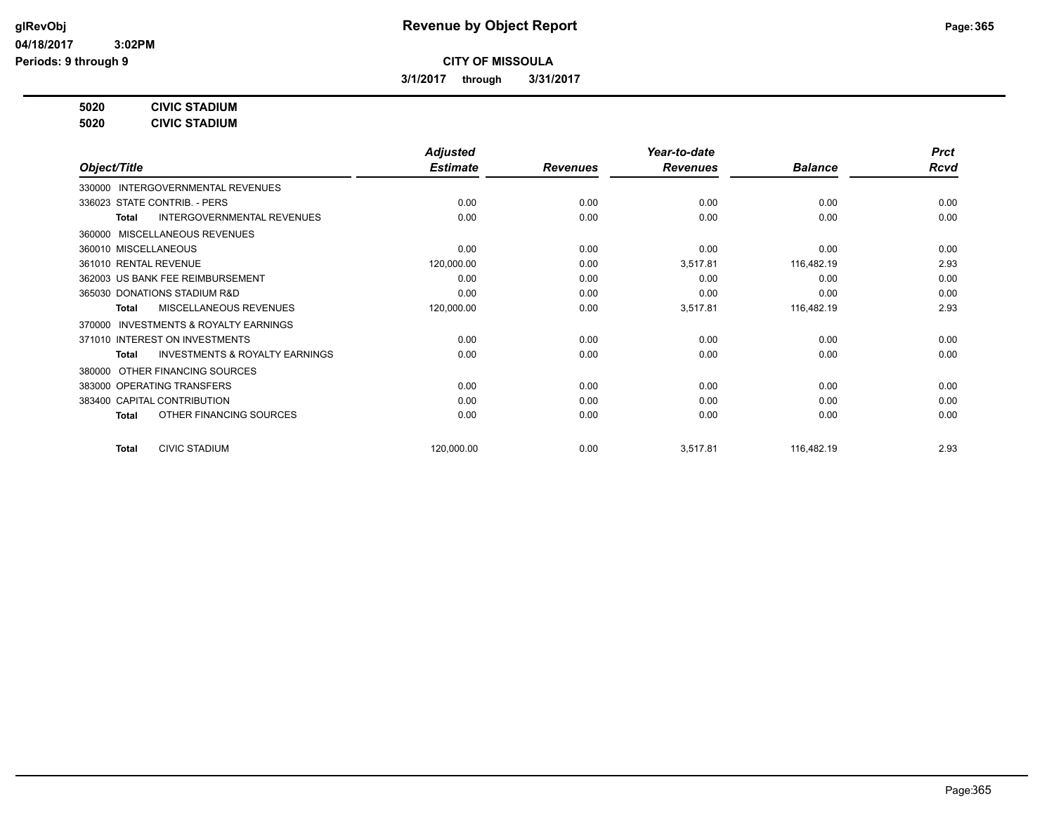**3/1/2017 through 3/31/2017**

**5020 CIVIC STADIUM 5020 CIVIC STADIUM**

|                                                           | <b>Adjusted</b> |                 | Year-to-date    |                | <b>Prct</b> |
|-----------------------------------------------------------|-----------------|-----------------|-----------------|----------------|-------------|
| Object/Title                                              | <b>Estimate</b> | <b>Revenues</b> | <b>Revenues</b> | <b>Balance</b> | <b>Rcvd</b> |
| <b>INTERGOVERNMENTAL REVENUES</b><br>330000               |                 |                 |                 |                |             |
| 336023 STATE CONTRIB. - PERS                              | 0.00            | 0.00            | 0.00            | 0.00           | 0.00        |
| INTERGOVERNMENTAL REVENUES<br>Total                       | 0.00            | 0.00            | 0.00            | 0.00           | 0.00        |
| MISCELLANEOUS REVENUES<br>360000                          |                 |                 |                 |                |             |
| 360010 MISCELLANEOUS                                      | 0.00            | 0.00            | 0.00            | 0.00           | 0.00        |
| 361010 RENTAL REVENUE                                     | 120,000.00      | 0.00            | 3,517.81        | 116,482.19     | 2.93        |
| 362003 US BANK FEE REIMBURSEMENT                          | 0.00            | 0.00            | 0.00            | 0.00           | 0.00        |
| 365030 DONATIONS STADIUM R&D                              | 0.00            | 0.00            | 0.00            | 0.00           | 0.00        |
| <b>MISCELLANEOUS REVENUES</b><br><b>Total</b>             | 120,000.00      | 0.00            | 3,517.81        | 116,482.19     | 2.93        |
| <b>INVESTMENTS &amp; ROYALTY EARNINGS</b><br>370000       |                 |                 |                 |                |             |
| 371010 INTEREST ON INVESTMENTS                            | 0.00            | 0.00            | 0.00            | 0.00           | 0.00        |
| <b>INVESTMENTS &amp; ROYALTY EARNINGS</b><br><b>Total</b> | 0.00            | 0.00            | 0.00            | 0.00           | 0.00        |
| OTHER FINANCING SOURCES<br>380000                         |                 |                 |                 |                |             |
| 383000 OPERATING TRANSFERS                                | 0.00            | 0.00            | 0.00            | 0.00           | 0.00        |
| 383400 CAPITAL CONTRIBUTION                               | 0.00            | 0.00            | 0.00            | 0.00           | 0.00        |
| OTHER FINANCING SOURCES<br><b>Total</b>                   | 0.00            | 0.00            | 0.00            | 0.00           | 0.00        |
|                                                           |                 |                 |                 |                |             |
| <b>CIVIC STADIUM</b><br><b>Total</b>                      | 120,000.00      | 0.00            | 3,517.81        | 116,482.19     | 2.93        |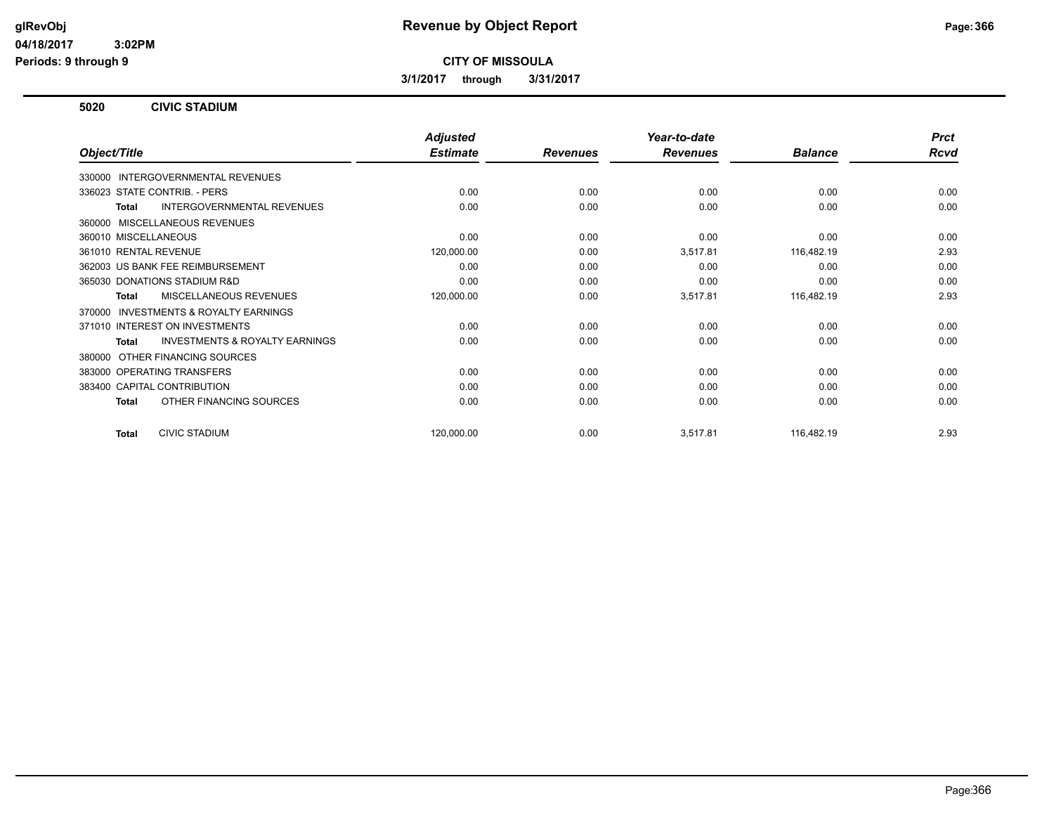**3/1/2017 through 3/31/2017**

### **5020 CIVIC STADIUM**

|                                                           | <b>Adjusted</b> |                 | Year-to-date    |                | <b>Prct</b> |
|-----------------------------------------------------------|-----------------|-----------------|-----------------|----------------|-------------|
| Object/Title                                              | <b>Estimate</b> | <b>Revenues</b> | <b>Revenues</b> | <b>Balance</b> | <b>Rcvd</b> |
| <b>INTERGOVERNMENTAL REVENUES</b><br>330000               |                 |                 |                 |                |             |
| 336023 STATE CONTRIB. - PERS                              | 0.00            | 0.00            | 0.00            | 0.00           | 0.00        |
| <b>INTERGOVERNMENTAL REVENUES</b><br>Total                | 0.00            | 0.00            | 0.00            | 0.00           | 0.00        |
| MISCELLANEOUS REVENUES<br>360000                          |                 |                 |                 |                |             |
| 360010 MISCELLANEOUS                                      | 0.00            | 0.00            | 0.00            | 0.00           | 0.00        |
| 361010 RENTAL REVENUE                                     | 120,000.00      | 0.00            | 3,517.81        | 116,482.19     | 2.93        |
| 362003 US BANK FEE REIMBURSEMENT                          | 0.00            | 0.00            | 0.00            | 0.00           | 0.00        |
| 365030 DONATIONS STADIUM R&D                              | 0.00            | 0.00            | 0.00            | 0.00           | 0.00        |
| <b>MISCELLANEOUS REVENUES</b><br><b>Total</b>             | 120,000.00      | 0.00            | 3,517.81        | 116,482.19     | 2.93        |
| <b>INVESTMENTS &amp; ROYALTY EARNINGS</b><br>370000       |                 |                 |                 |                |             |
| 371010 INTEREST ON INVESTMENTS                            | 0.00            | 0.00            | 0.00            | 0.00           | 0.00        |
| <b>INVESTMENTS &amp; ROYALTY EARNINGS</b><br><b>Total</b> | 0.00            | 0.00            | 0.00            | 0.00           | 0.00        |
| OTHER FINANCING SOURCES<br>380000                         |                 |                 |                 |                |             |
| 383000 OPERATING TRANSFERS                                | 0.00            | 0.00            | 0.00            | 0.00           | 0.00        |
| 383400 CAPITAL CONTRIBUTION                               | 0.00            | 0.00            | 0.00            | 0.00           | 0.00        |
| OTHER FINANCING SOURCES<br><b>Total</b>                   | 0.00            | 0.00            | 0.00            | 0.00           | 0.00        |
| <b>CIVIC STADIUM</b><br><b>Total</b>                      | 120,000.00      | 0.00            | 3,517.81        | 116,482.19     | 2.93        |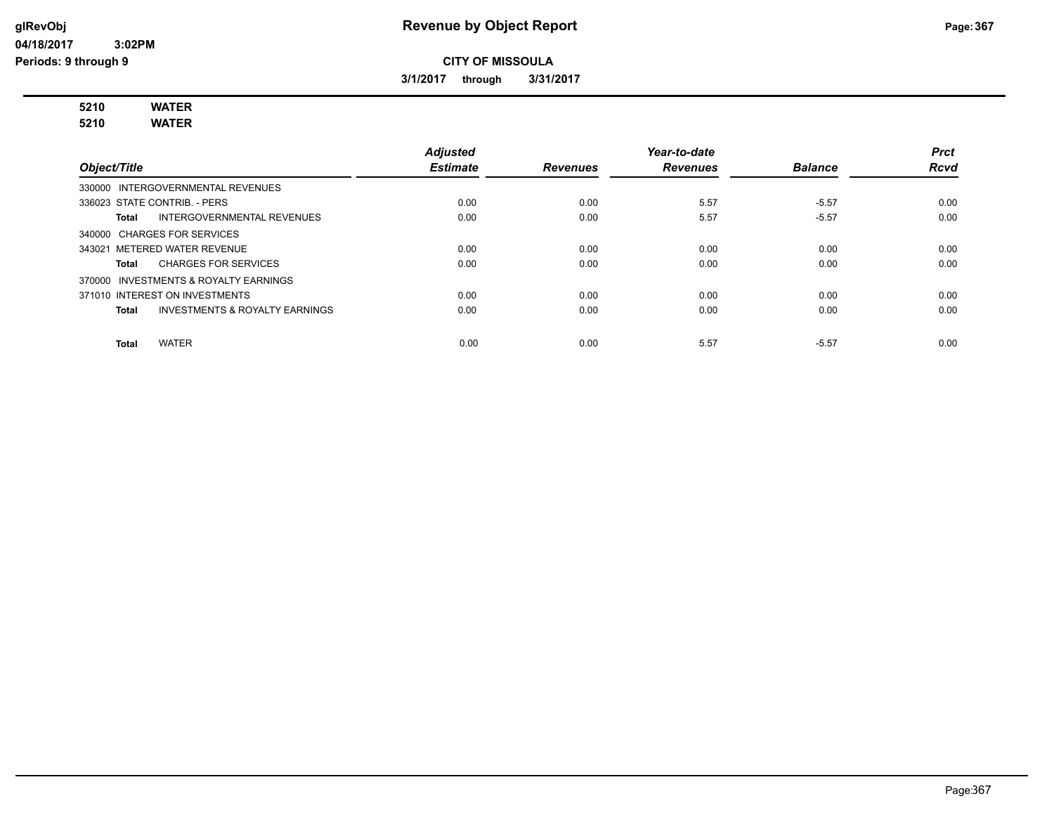**3/1/2017 through 3/31/2017**

# **5210 WATER**

**5210 WATER**

|                                                    | <b>Adjusted</b> |                 | Year-to-date    |                | <b>Prct</b> |
|----------------------------------------------------|-----------------|-----------------|-----------------|----------------|-------------|
| Object/Title                                       | <b>Estimate</b> | <b>Revenues</b> | <b>Revenues</b> | <b>Balance</b> | <b>Rcvd</b> |
| 330000 INTERGOVERNMENTAL REVENUES                  |                 |                 |                 |                |             |
| 336023 STATE CONTRIB. - PERS                       | 0.00            | 0.00            | 5.57            | $-5.57$        | 0.00        |
| INTERGOVERNMENTAL REVENUES<br>Total                | 0.00            | 0.00            | 5.57            | $-5.57$        | 0.00        |
| 340000 CHARGES FOR SERVICES                        |                 |                 |                 |                |             |
| 343021 METERED WATER REVENUE                       | 0.00            | 0.00            | 0.00            | 0.00           | 0.00        |
| <b>CHARGES FOR SERVICES</b><br>Total               | 0.00            | 0.00            | 0.00            | 0.00           | 0.00        |
| 370000 INVESTMENTS & ROYALTY EARNINGS              |                 |                 |                 |                |             |
| 371010 INTEREST ON INVESTMENTS                     | 0.00            | 0.00            | 0.00            | 0.00           | 0.00        |
| <b>INVESTMENTS &amp; ROYALTY EARNINGS</b><br>Total | 0.00            | 0.00            | 0.00            | 0.00           | 0.00        |
|                                                    |                 |                 |                 |                |             |
| <b>WATER</b><br>Total                              | 0.00            | 0.00            | 5.57            | $-5.57$        | 0.00        |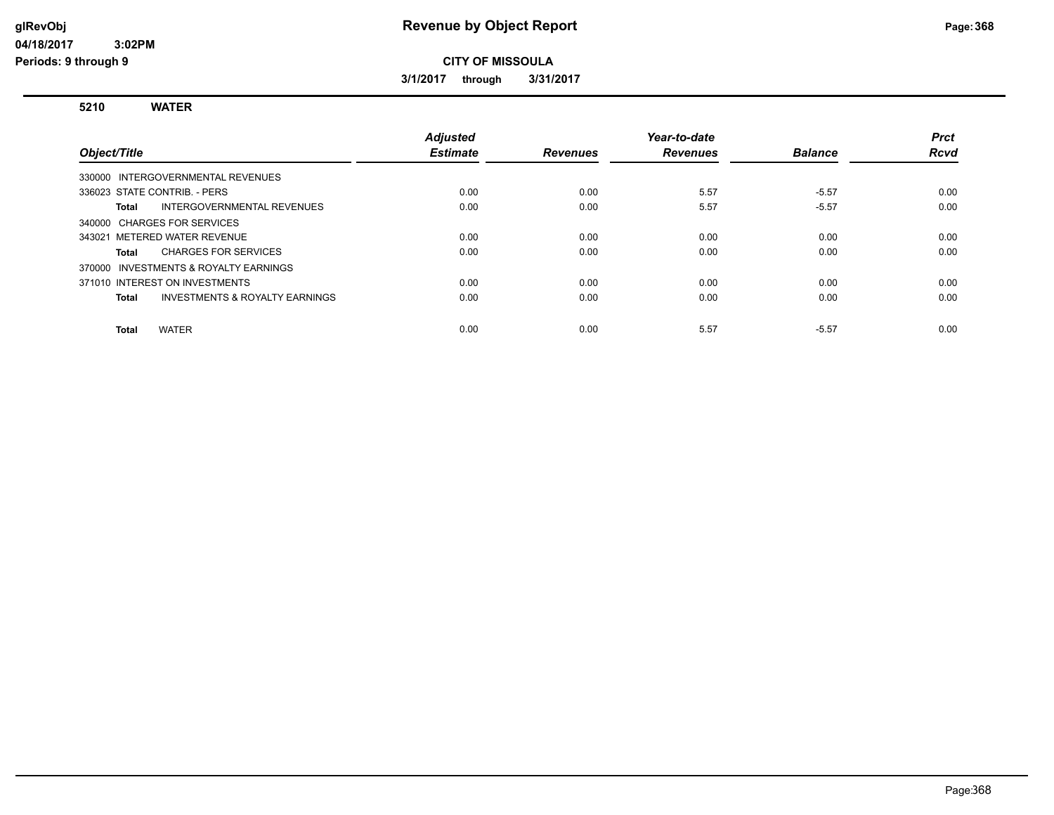**3/1/2017 through 3/31/2017**

### **5210 WATER**

| Object/Title                               | <b>Adjusted</b><br><b>Estimate</b> | <b>Revenues</b> | Year-to-date<br><b>Revenues</b> | <b>Balance</b> | <b>Prct</b><br><b>Rcvd</b> |
|--------------------------------------------|------------------------------------|-----------------|---------------------------------|----------------|----------------------------|
|                                            |                                    |                 |                                 |                |                            |
| 330000 INTERGOVERNMENTAL REVENUES          |                                    |                 |                                 |                |                            |
| 336023 STATE CONTRIB. - PERS               | 0.00                               | 0.00            | 5.57                            | $-5.57$        | 0.00                       |
| <b>INTERGOVERNMENTAL REVENUES</b><br>Total | 0.00                               | 0.00            | 5.57                            | $-5.57$        | 0.00                       |
| 340000 CHARGES FOR SERVICES                |                                    |                 |                                 |                |                            |
| 343021 METERED WATER REVENUE               | 0.00                               | 0.00            | 0.00                            | 0.00           | 0.00                       |
| <b>CHARGES FOR SERVICES</b><br>Total       | 0.00                               | 0.00            | 0.00                            | 0.00           | 0.00                       |
| 370000 INVESTMENTS & ROYALTY EARNINGS      |                                    |                 |                                 |                |                            |
| 371010 INTEREST ON INVESTMENTS             | 0.00                               | 0.00            | 0.00                            | 0.00           | 0.00                       |
| INVESTMENTS & ROYALTY EARNINGS<br>Total    | 0.00                               | 0.00            | 0.00                            | 0.00           | 0.00                       |
| WATER<br><b>Total</b>                      | 0.00                               | 0.00            | 5.57                            | $-5.57$        | 0.00                       |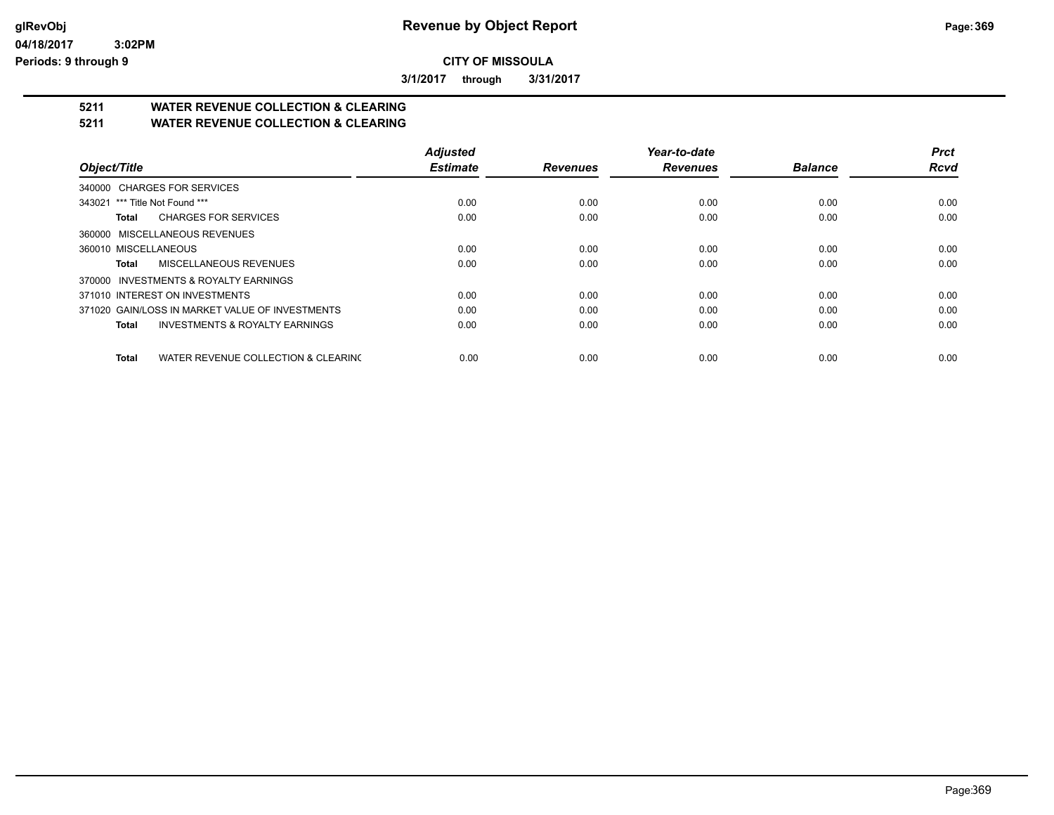**3/1/2017 through 3/31/2017**

# **5211 WATER REVENUE COLLECTION & CLEARING 5211 WATER REVENUE COLLECTION & CLEARING**

|                                                     | <b>Adjusted</b> |                 | Year-to-date    |                | <b>Prct</b> |
|-----------------------------------------------------|-----------------|-----------------|-----------------|----------------|-------------|
| Object/Title                                        | <b>Estimate</b> | <b>Revenues</b> | <b>Revenues</b> | <b>Balance</b> | <b>Rcvd</b> |
| 340000 CHARGES FOR SERVICES                         |                 |                 |                 |                |             |
| 343021 *** Title Not Found ***                      | 0.00            | 0.00            | 0.00            | 0.00           | 0.00        |
| <b>CHARGES FOR SERVICES</b><br>Total                | 0.00            | 0.00            | 0.00            | 0.00           | 0.00        |
| 360000 MISCELLANEOUS REVENUES                       |                 |                 |                 |                |             |
| 360010 MISCELLANEOUS                                | 0.00            | 0.00            | 0.00            | 0.00           | 0.00        |
| MISCELLANEOUS REVENUES<br>Total                     | 0.00            | 0.00            | 0.00            | 0.00           | 0.00        |
| INVESTMENTS & ROYALTY EARNINGS<br>370000            |                 |                 |                 |                |             |
| 371010 INTEREST ON INVESTMENTS                      | 0.00            | 0.00            | 0.00            | 0.00           | 0.00        |
| 371020 GAIN/LOSS IN MARKET VALUE OF INVESTMENTS     | 0.00            | 0.00            | 0.00            | 0.00           | 0.00        |
| INVESTMENTS & ROYALTY EARNINGS<br>Total             | 0.00            | 0.00            | 0.00            | 0.00           | 0.00        |
| WATER REVENUE COLLECTION & CLEARING<br><b>Total</b> | 0.00            | 0.00            | 0.00            | 0.00           | 0.00        |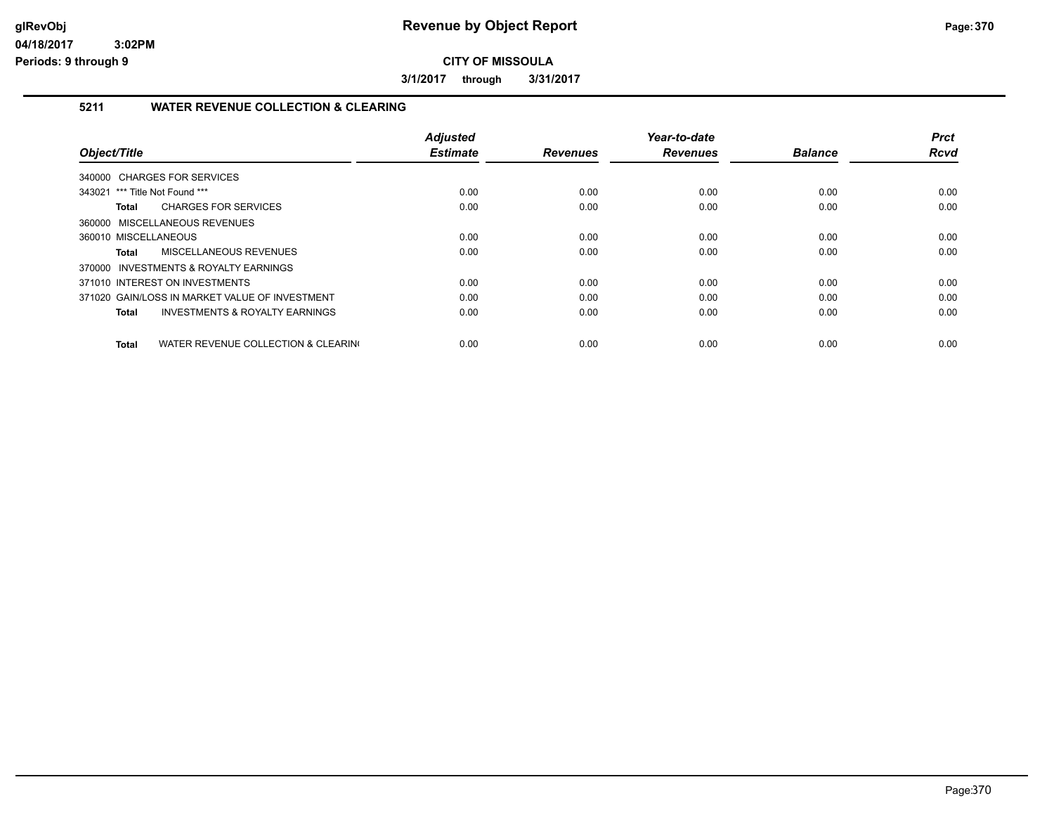**3/1/2017 through 3/31/2017**

# **5211 WATER REVENUE COLLECTION & CLEARING**

|                                                     | <b>Adjusted</b> |                 | Year-to-date    |                | <b>Prct</b> |
|-----------------------------------------------------|-----------------|-----------------|-----------------|----------------|-------------|
| Object/Title                                        | <b>Estimate</b> | <b>Revenues</b> | <b>Revenues</b> | <b>Balance</b> | <b>Rcvd</b> |
| 340000 CHARGES FOR SERVICES                         |                 |                 |                 |                |             |
| 343021 *** Title Not Found ***                      | 0.00            | 0.00            | 0.00            | 0.00           | 0.00        |
| <b>CHARGES FOR SERVICES</b><br>Total                | 0.00            | 0.00            | 0.00            | 0.00           | 0.00        |
| 360000 MISCELLANEOUS REVENUES                       |                 |                 |                 |                |             |
| 360010 MISCELLANEOUS                                | 0.00            | 0.00            | 0.00            | 0.00           | 0.00        |
| MISCELLANEOUS REVENUES<br>Total                     | 0.00            | 0.00            | 0.00            | 0.00           | 0.00        |
| 370000 INVESTMENTS & ROYALTY EARNINGS               |                 |                 |                 |                |             |
| 371010 INTEREST ON INVESTMENTS                      | 0.00            | 0.00            | 0.00            | 0.00           | 0.00        |
| 371020 GAIN/LOSS IN MARKET VALUE OF INVESTMENT      | 0.00            | 0.00            | 0.00            | 0.00           | 0.00        |
| INVESTMENTS & ROYALTY EARNINGS<br>Total             | 0.00            | 0.00            | 0.00            | 0.00           | 0.00        |
| WATER REVENUE COLLECTION & CLEARING<br><b>Total</b> | 0.00            | 0.00            | 0.00            | 0.00           | 0.00        |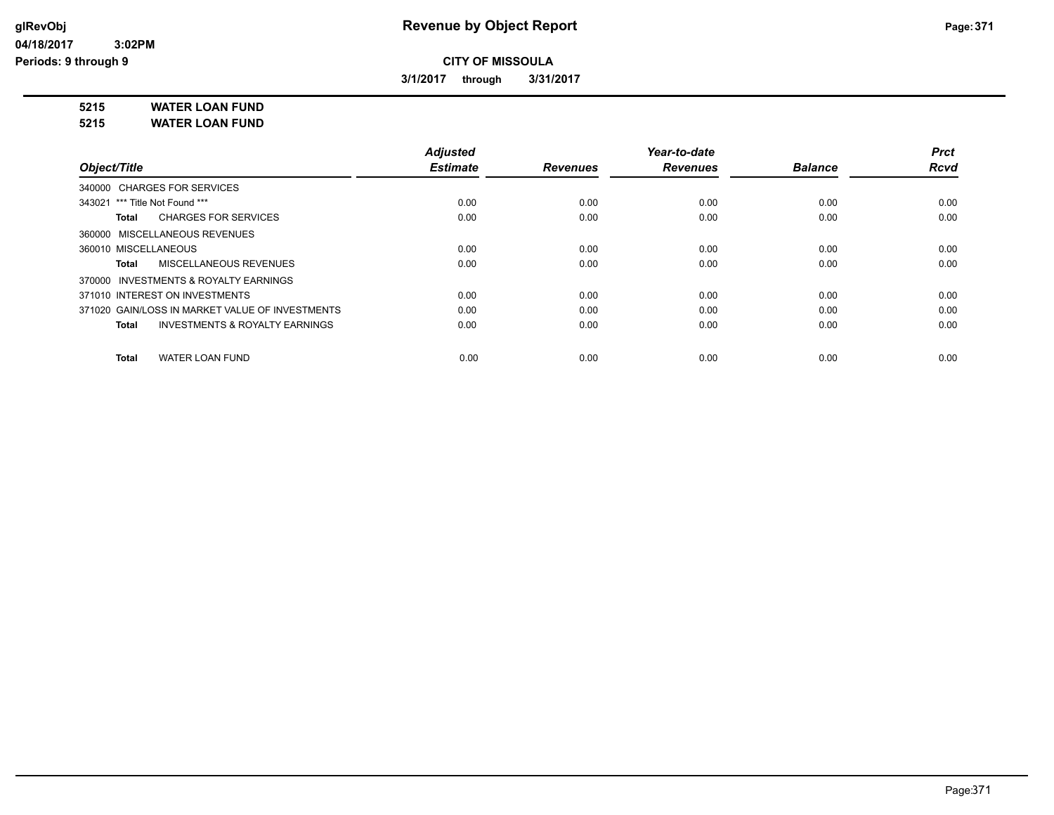**3/1/2017 through 3/31/2017**

**5215 WATER LOAN FUND**

**5215 WATER LOAN FUND**

|                                                 | <b>Adjusted</b> |                 | Year-to-date    |                | <b>Prct</b> |
|-------------------------------------------------|-----------------|-----------------|-----------------|----------------|-------------|
| Object/Title                                    | <b>Estimate</b> | <b>Revenues</b> | <b>Revenues</b> | <b>Balance</b> | <b>Rcvd</b> |
| 340000 CHARGES FOR SERVICES                     |                 |                 |                 |                |             |
| 343021 *** Title Not Found ***                  | 0.00            | 0.00            | 0.00            | 0.00           | 0.00        |
| <b>CHARGES FOR SERVICES</b><br>Total            | 0.00            | 0.00            | 0.00            | 0.00           | 0.00        |
| 360000 MISCELLANEOUS REVENUES                   |                 |                 |                 |                |             |
| 360010 MISCELLANEOUS                            | 0.00            | 0.00            | 0.00            | 0.00           | 0.00        |
| MISCELLANEOUS REVENUES<br>Total                 | 0.00            | 0.00            | 0.00            | 0.00           | 0.00        |
| 370000 INVESTMENTS & ROYALTY EARNINGS           |                 |                 |                 |                |             |
| 371010 INTEREST ON INVESTMENTS                  | 0.00            | 0.00            | 0.00            | 0.00           | 0.00        |
| 371020 GAIN/LOSS IN MARKET VALUE OF INVESTMENTS | 0.00            | 0.00            | 0.00            | 0.00           | 0.00        |
| INVESTMENTS & ROYALTY EARNINGS<br>Total         | 0.00            | 0.00            | 0.00            | 0.00           | 0.00        |
| <b>WATER LOAN FUND</b><br>Total                 | 0.00            | 0.00            | 0.00            | 0.00           | 0.00        |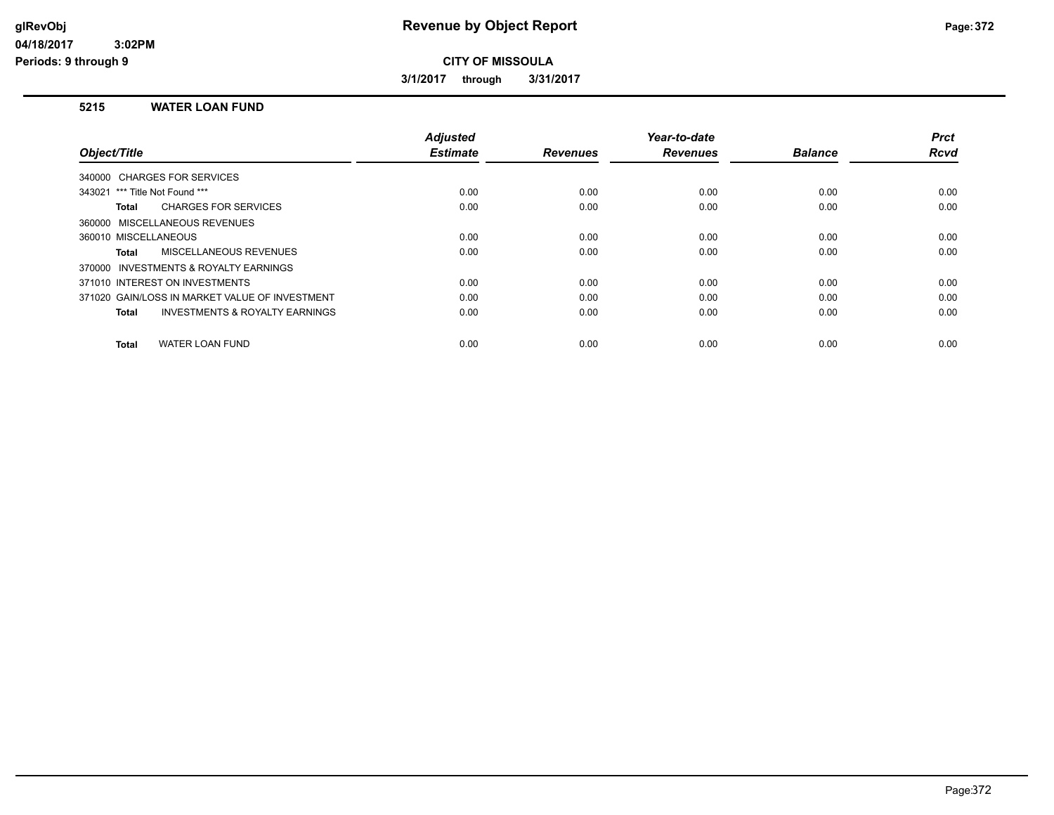**3/1/2017 through 3/31/2017**

## **5215 WATER LOAN FUND**

|                                                | <b>Adjusted</b> |                 | Year-to-date    |                | <b>Prct</b> |
|------------------------------------------------|-----------------|-----------------|-----------------|----------------|-------------|
| Object/Title                                   | <b>Estimate</b> | <b>Revenues</b> | <b>Revenues</b> | <b>Balance</b> | <b>Rcvd</b> |
| 340000 CHARGES FOR SERVICES                    |                 |                 |                 |                |             |
| 343021 *** Title Not Found ***                 | 0.00            | 0.00            | 0.00            | 0.00           | 0.00        |
| <b>CHARGES FOR SERVICES</b><br>Total           | 0.00            | 0.00            | 0.00            | 0.00           | 0.00        |
| 360000 MISCELLANEOUS REVENUES                  |                 |                 |                 |                |             |
| 360010 MISCELLANEOUS                           | 0.00            | 0.00            | 0.00            | 0.00           | 0.00        |
| MISCELLANEOUS REVENUES<br>Total                | 0.00            | 0.00            | 0.00            | 0.00           | 0.00        |
| 370000 INVESTMENTS & ROYALTY EARNINGS          |                 |                 |                 |                |             |
| 371010 INTEREST ON INVESTMENTS                 | 0.00            | 0.00            | 0.00            | 0.00           | 0.00        |
| 371020 GAIN/LOSS IN MARKET VALUE OF INVESTMENT | 0.00            | 0.00            | 0.00            | 0.00           | 0.00        |
| INVESTMENTS & ROYALTY EARNINGS<br><b>Total</b> | 0.00            | 0.00            | 0.00            | 0.00           | 0.00        |
| <b>WATER LOAN FUND</b><br><b>Total</b>         | 0.00            | 0.00            | 0.00            | 0.00           | 0.00        |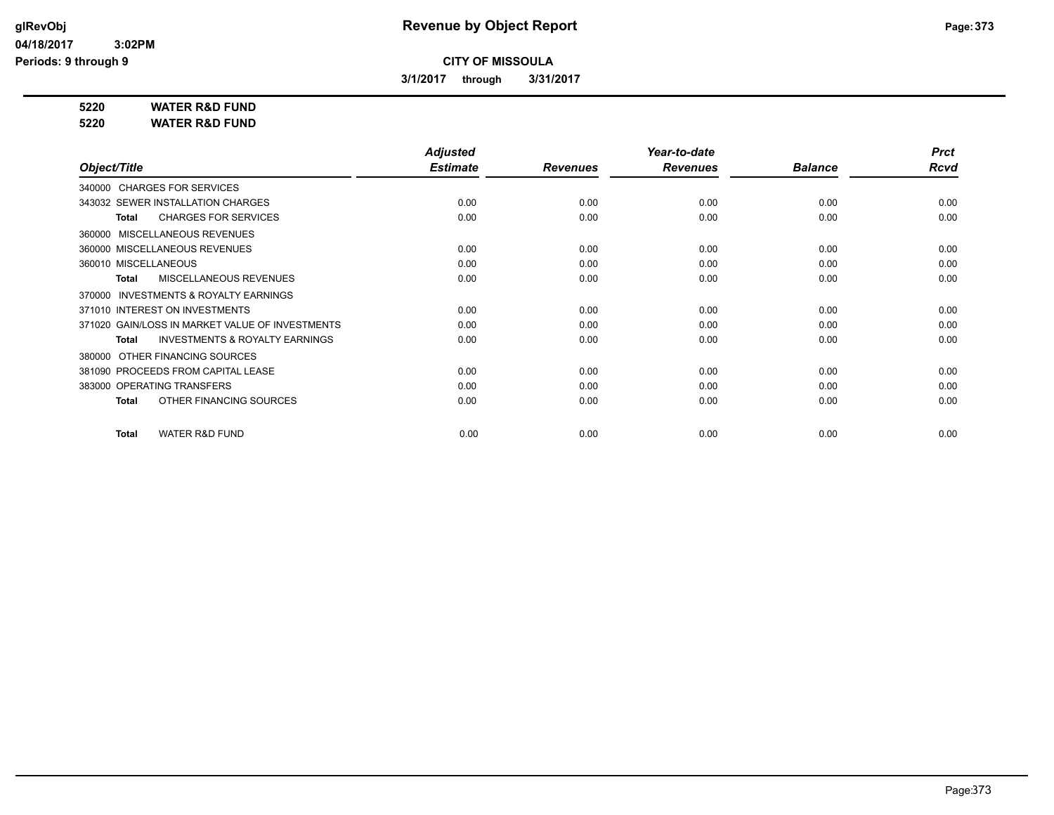**3/1/2017 through 3/31/2017**

**5220 WATER R&D FUND 5220 WATER R&D FUND**

|                                                           | <b>Adjusted</b> |                 | Year-to-date    |                | <b>Prct</b> |
|-----------------------------------------------------------|-----------------|-----------------|-----------------|----------------|-------------|
| Object/Title                                              | <b>Estimate</b> | <b>Revenues</b> | <b>Revenues</b> | <b>Balance</b> | <b>Rcvd</b> |
| 340000 CHARGES FOR SERVICES                               |                 |                 |                 |                |             |
| 343032 SEWER INSTALLATION CHARGES                         | 0.00            | 0.00            | 0.00            | 0.00           | 0.00        |
| <b>CHARGES FOR SERVICES</b><br><b>Total</b>               | 0.00            | 0.00            | 0.00            | 0.00           | 0.00        |
| MISCELLANEOUS REVENUES<br>360000                          |                 |                 |                 |                |             |
| 360000 MISCELLANEOUS REVENUES                             | 0.00            | 0.00            | 0.00            | 0.00           | 0.00        |
| 360010 MISCELLANEOUS                                      | 0.00            | 0.00            | 0.00            | 0.00           | 0.00        |
| <b>MISCELLANEOUS REVENUES</b><br><b>Total</b>             | 0.00            | 0.00            | 0.00            | 0.00           | 0.00        |
| <b>INVESTMENTS &amp; ROYALTY EARNINGS</b><br>370000       |                 |                 |                 |                |             |
| 371010 INTEREST ON INVESTMENTS                            | 0.00            | 0.00            | 0.00            | 0.00           | 0.00        |
| 371020 GAIN/LOSS IN MARKET VALUE OF INVESTMENTS           | 0.00            | 0.00            | 0.00            | 0.00           | 0.00        |
| <b>INVESTMENTS &amp; ROYALTY EARNINGS</b><br><b>Total</b> | 0.00            | 0.00            | 0.00            | 0.00           | 0.00        |
| OTHER FINANCING SOURCES<br>380000                         |                 |                 |                 |                |             |
| 381090 PROCEEDS FROM CAPITAL LEASE                        | 0.00            | 0.00            | 0.00            | 0.00           | 0.00        |
| 383000 OPERATING TRANSFERS                                | 0.00            | 0.00            | 0.00            | 0.00           | 0.00        |
| OTHER FINANCING SOURCES<br><b>Total</b>                   | 0.00            | 0.00            | 0.00            | 0.00           | 0.00        |
| <b>WATER R&amp;D FUND</b><br><b>Total</b>                 | 0.00            | 0.00            | 0.00            | 0.00           | 0.00        |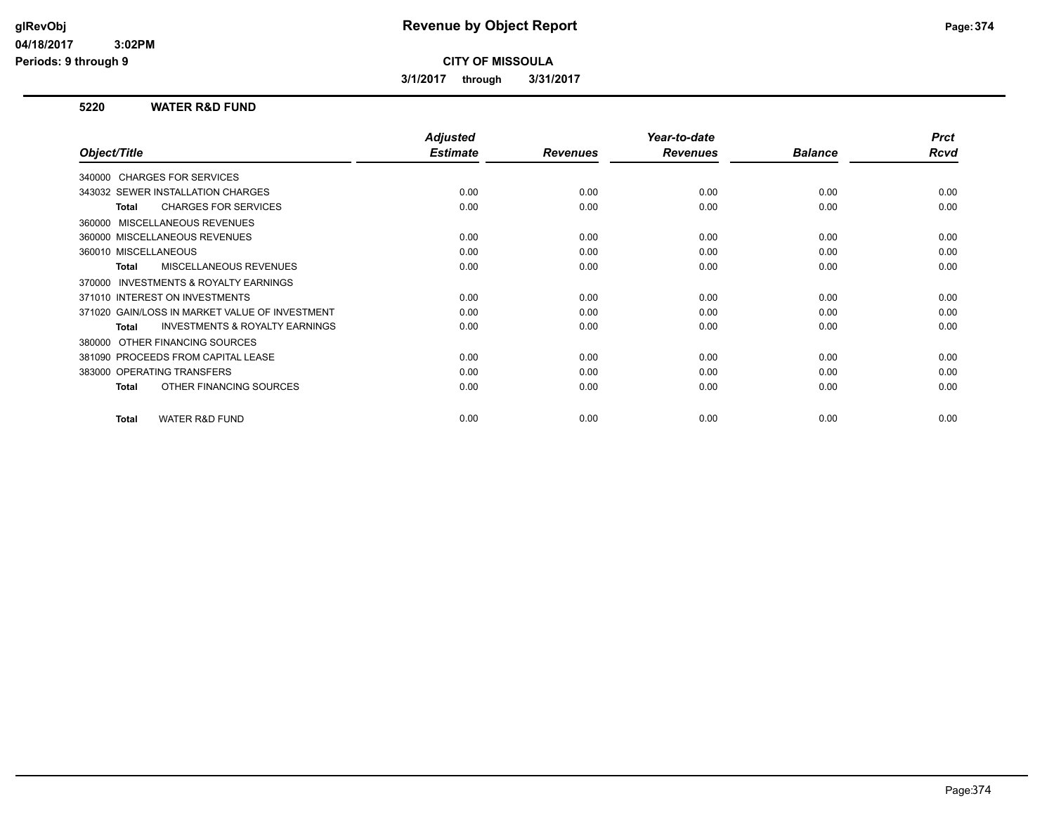**3/1/2017 through 3/31/2017**

## **5220 WATER R&D FUND**

|                                                           | <b>Adjusted</b> |                 | Year-to-date    |                | <b>Prct</b> |
|-----------------------------------------------------------|-----------------|-----------------|-----------------|----------------|-------------|
| Object/Title                                              | <b>Estimate</b> | <b>Revenues</b> | <b>Revenues</b> | <b>Balance</b> | <b>Rcvd</b> |
| 340000 CHARGES FOR SERVICES                               |                 |                 |                 |                |             |
| 343032 SEWER INSTALLATION CHARGES                         | 0.00            | 0.00            | 0.00            | 0.00           | 0.00        |
| <b>CHARGES FOR SERVICES</b><br><b>Total</b>               | 0.00            | 0.00            | 0.00            | 0.00           | 0.00        |
| 360000 MISCELLANEOUS REVENUES                             |                 |                 |                 |                |             |
| 360000 MISCELLANEOUS REVENUES                             | 0.00            | 0.00            | 0.00            | 0.00           | 0.00        |
| 360010 MISCELLANEOUS                                      | 0.00            | 0.00            | 0.00            | 0.00           | 0.00        |
| MISCELLANEOUS REVENUES<br>Total                           | 0.00            | 0.00            | 0.00            | 0.00           | 0.00        |
| <b>INVESTMENTS &amp; ROYALTY EARNINGS</b><br>370000       |                 |                 |                 |                |             |
| 371010 INTEREST ON INVESTMENTS                            | 0.00            | 0.00            | 0.00            | 0.00           | 0.00        |
| 371020 GAIN/LOSS IN MARKET VALUE OF INVESTMENT            | 0.00            | 0.00            | 0.00            | 0.00           | 0.00        |
| <b>INVESTMENTS &amp; ROYALTY EARNINGS</b><br><b>Total</b> | 0.00            | 0.00            | 0.00            | 0.00           | 0.00        |
| 380000 OTHER FINANCING SOURCES                            |                 |                 |                 |                |             |
| 381090 PROCEEDS FROM CAPITAL LEASE                        | 0.00            | 0.00            | 0.00            | 0.00           | 0.00        |
| 383000 OPERATING TRANSFERS                                | 0.00            | 0.00            | 0.00            | 0.00           | 0.00        |
| OTHER FINANCING SOURCES<br>Total                          | 0.00            | 0.00            | 0.00            | 0.00           | 0.00        |
|                                                           |                 |                 |                 |                |             |
| <b>WATER R&amp;D FUND</b><br>Total                        | 0.00            | 0.00            | 0.00            | 0.00           | 0.00        |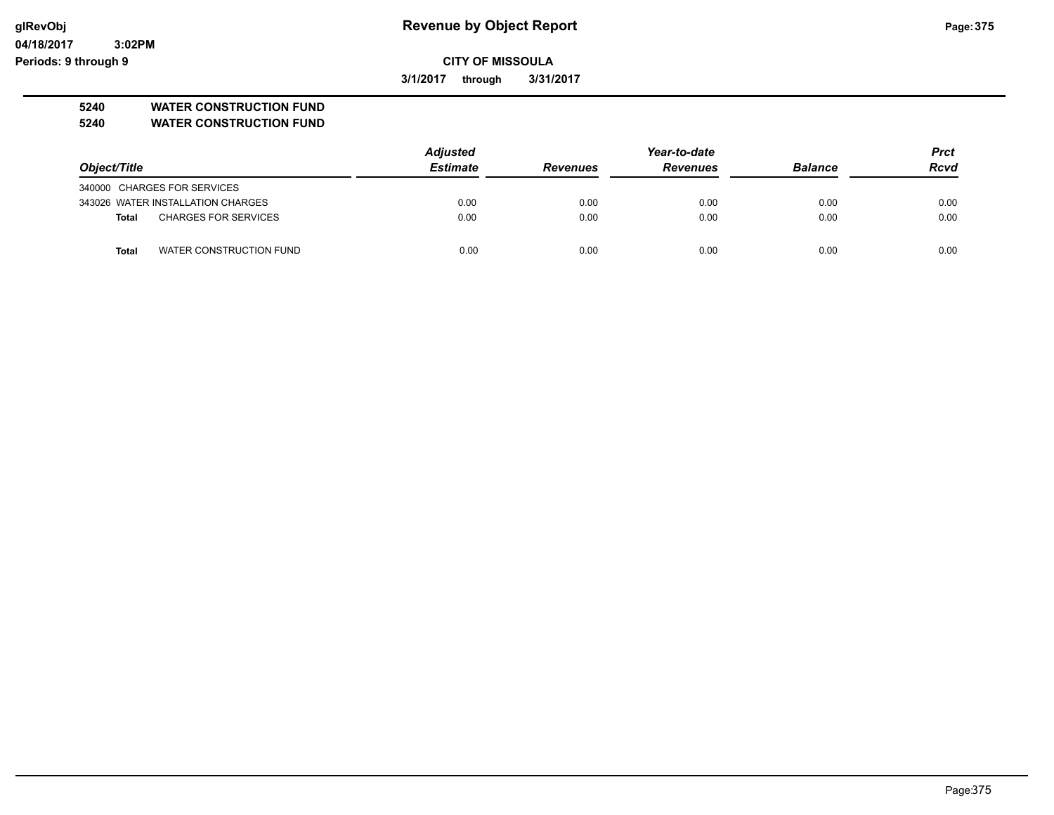**04/18/2017 3:02PM Periods: 9 through 9**

**CITY OF MISSOULA**

**3/1/2017 through 3/31/2017**

**5240 WATER CONSTRUCTION FUND 5240 WATER CONSTRUCTION FUND**

|                                             | <b>Adjusted</b> |                 |                 | <b>Prct</b>    |             |
|---------------------------------------------|-----------------|-----------------|-----------------|----------------|-------------|
| Object/Title                                | <b>Estimate</b> | <b>Revenues</b> | <b>Revenues</b> | <b>Balance</b> | <b>Rcvd</b> |
| 340000 CHARGES FOR SERVICES                 |                 |                 |                 |                |             |
| 343026 WATER INSTALLATION CHARGES           | 0.00            | 0.00            | 0.00            | 0.00           | 0.00        |
| <b>CHARGES FOR SERVICES</b><br><b>Total</b> | 0.00            | 0.00            | 0.00            | 0.00           | 0.00        |
| <b>Total</b><br>WATER CONSTRUCTION FUND     | 0.00            | 0.00            | 0.00            | 0.00           | 0.00        |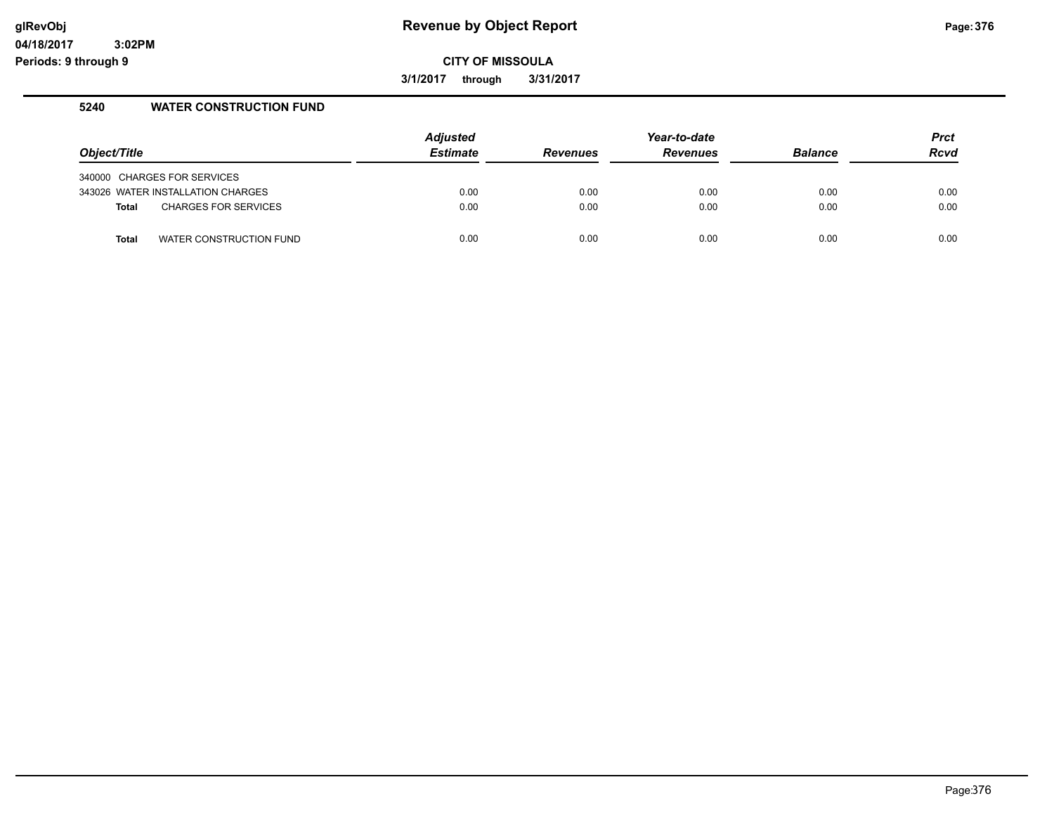**3/1/2017 through 3/31/2017**

### **5240 WATER CONSTRUCTION FUND**

| Object/Title |                                   | <b>Adjusted</b> |                 | Year-to-date    |                | <b>Prct</b> |
|--------------|-----------------------------------|-----------------|-----------------|-----------------|----------------|-------------|
|              |                                   | <b>Estimate</b> | <b>Revenues</b> | <b>Revenues</b> | <b>Balance</b> | <b>Rcvd</b> |
|              | 340000 CHARGES FOR SERVICES       |                 |                 |                 |                |             |
|              | 343026 WATER INSTALLATION CHARGES | 0.00            | 0.00            | 0.00            | 0.00           | 0.00        |
| <b>Total</b> | <b>CHARGES FOR SERVICES</b>       | 0.00            | 0.00            | 0.00            | 0.00           | 0.00        |
| Total        | WATER CONSTRUCTION FUND           | 0.00            | 0.00            | 0.00            | 0.00           | 0.00        |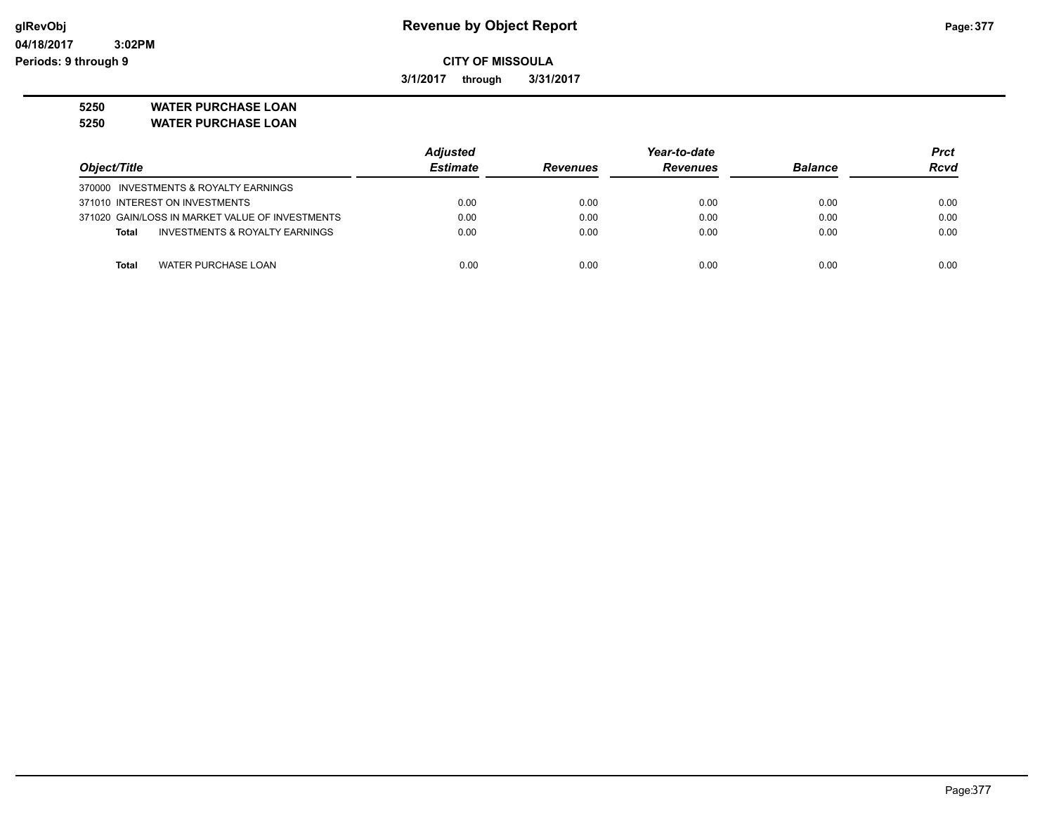**3/1/2017 through 3/31/2017**

**5250 WATER PURCHASE LOAN 5250 WATER PURCHASE LOAN**

| Object/Title                                    |                                | <b>Adjusted</b> |                                    | Year-to-date |                | <b>Prct</b> |
|-------------------------------------------------|--------------------------------|-----------------|------------------------------------|--------------|----------------|-------------|
|                                                 |                                | <b>Estimate</b> | <b>Revenues</b><br><b>Revenues</b> |              | <b>Balance</b> | <b>Rcvd</b> |
| 370000 INVESTMENTS & ROYALTY EARNINGS           |                                |                 |                                    |              |                |             |
| 371010 INTEREST ON INVESTMENTS                  |                                | 0.00            | 0.00                               | 0.00         | 0.00           | 0.00        |
| 371020 GAIN/LOSS IN MARKET VALUE OF INVESTMENTS |                                | 0.00            | 0.00                               | 0.00         | 0.00           | 0.00        |
| <b>Total</b>                                    | INVESTMENTS & ROYALTY EARNINGS | 0.00            | 0.00                               | 0.00         | 0.00           | 0.00        |
| Total                                           | WATER PURCHASE LOAN            | 0.00            | 0.00                               | 0.00         | 0.00           | 0.00        |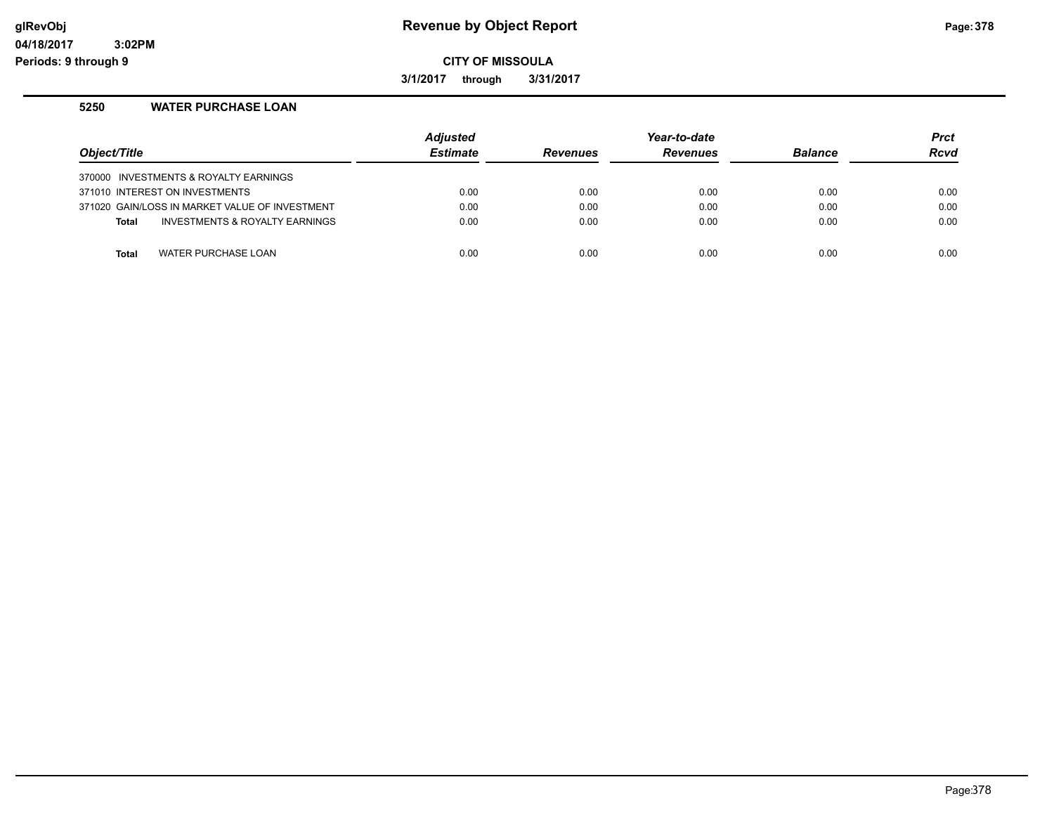**3/1/2017 through 3/31/2017**

# **5250 WATER PURCHASE LOAN**

| Object/Title                                       | <b>Adjusted</b><br><b>Estimate</b> | <b>Revenues</b> | Year-to-date<br><b>Revenues</b> | <b>Balance</b> | <b>Prct</b><br><b>Rcvd</b> |
|----------------------------------------------------|------------------------------------|-----------------|---------------------------------|----------------|----------------------------|
| 370000 INVESTMENTS & ROYALTY EARNINGS              |                                    |                 |                                 |                |                            |
| 371010 INTEREST ON INVESTMENTS                     | 0.00                               | 0.00            | 0.00                            | 0.00           | 0.00                       |
| 371020 GAIN/LOSS IN MARKET VALUE OF INVESTMENT     | 0.00                               | 0.00            | 0.00                            | 0.00           | 0.00                       |
| <b>INVESTMENTS &amp; ROYALTY EARNINGS</b><br>Total | 0.00                               | 0.00            | 0.00                            | 0.00           | 0.00                       |
|                                                    |                                    |                 |                                 |                |                            |
| <b>Total</b><br><b>WATER PURCHASE LOAN</b>         | 0.00                               | 0.00            | 0.00                            | 0.00           | 0.00                       |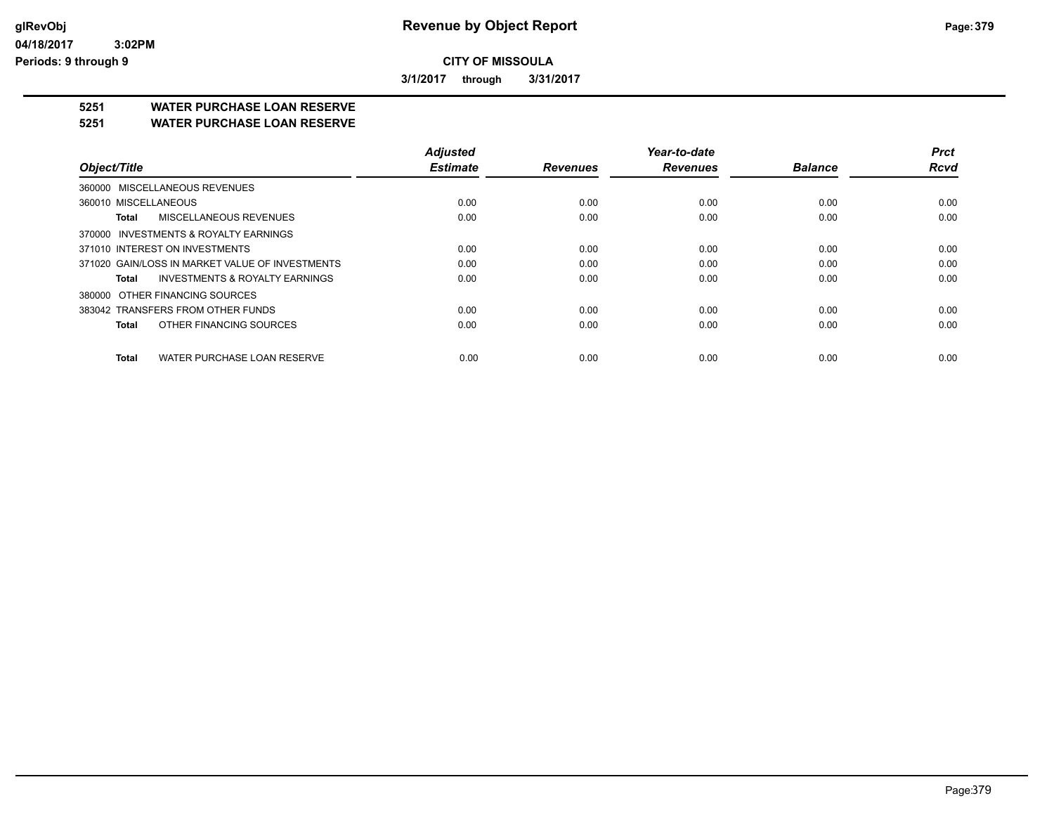**3/1/2017 through 3/31/2017**

# **5251 WATER PURCHASE LOAN RESERVE**

**5251 WATER PURCHASE LOAN RESERVE**

|                                                    | <b>Adjusted</b> |                 | Year-to-date    |                | <b>Prct</b> |
|----------------------------------------------------|-----------------|-----------------|-----------------|----------------|-------------|
| Object/Title                                       | <b>Estimate</b> | <b>Revenues</b> | <b>Revenues</b> | <b>Balance</b> | <b>Rcvd</b> |
| 360000 MISCELLANEOUS REVENUES                      |                 |                 |                 |                |             |
| 360010 MISCELLANEOUS                               | 0.00            | 0.00            | 0.00            | 0.00           | 0.00        |
| MISCELLANEOUS REVENUES<br>Total                    | 0.00            | 0.00            | 0.00            | 0.00           | 0.00        |
| 370000 INVESTMENTS & ROYALTY EARNINGS              |                 |                 |                 |                |             |
| 371010 INTEREST ON INVESTMENTS                     | 0.00            | 0.00            | 0.00            | 0.00           | 0.00        |
| 371020 GAIN/LOSS IN MARKET VALUE OF INVESTMENTS    | 0.00            | 0.00            | 0.00            | 0.00           | 0.00        |
| <b>INVESTMENTS &amp; ROYALTY EARNINGS</b><br>Total | 0.00            | 0.00            | 0.00            | 0.00           | 0.00        |
| 380000 OTHER FINANCING SOURCES                     |                 |                 |                 |                |             |
| 383042 TRANSFERS FROM OTHER FUNDS                  | 0.00            | 0.00            | 0.00            | 0.00           | 0.00        |
| OTHER FINANCING SOURCES<br>Total                   | 0.00            | 0.00            | 0.00            | 0.00           | 0.00        |
| WATER PURCHASE LOAN RESERVE<br><b>Total</b>        | 0.00            | 0.00            | 0.00            | 0.00           | 0.00        |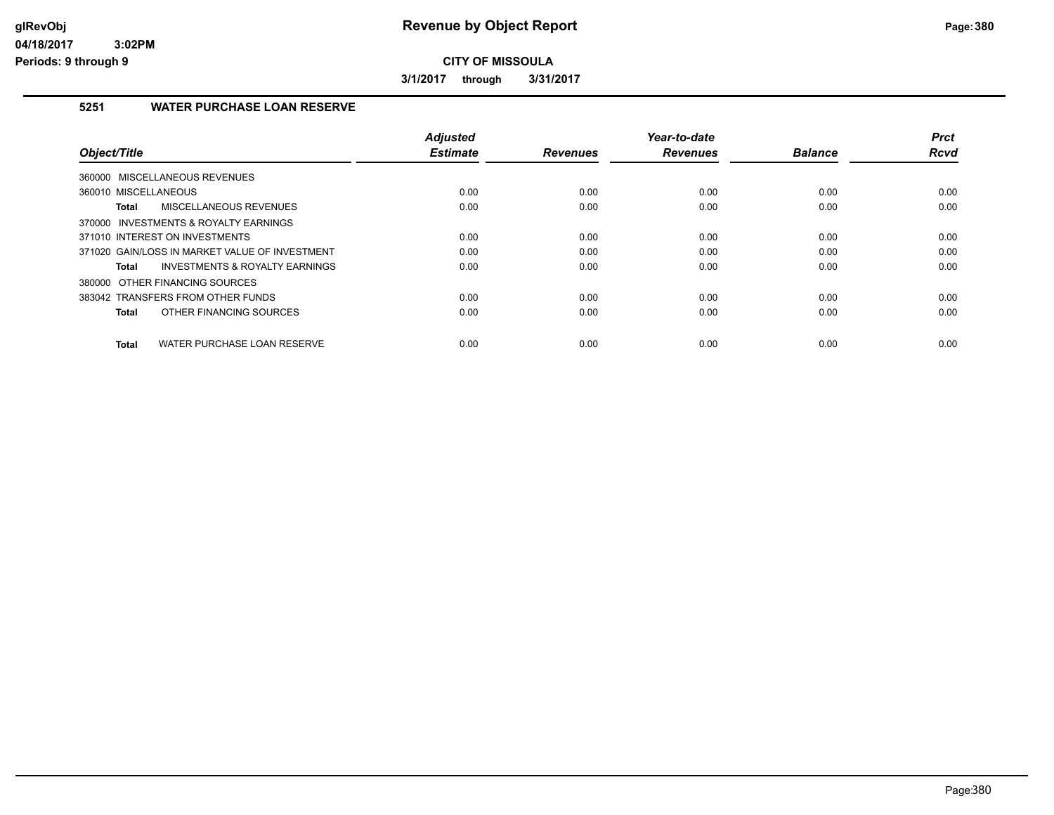**3/1/2017 through 3/31/2017**

# **5251 WATER PURCHASE LOAN RESERVE**

|                                                    | <b>Adjusted</b> |                 | Year-to-date    |                | <b>Prct</b> |
|----------------------------------------------------|-----------------|-----------------|-----------------|----------------|-------------|
| Object/Title                                       | <b>Estimate</b> | <b>Revenues</b> | <b>Revenues</b> | <b>Balance</b> | <b>Rcvd</b> |
| MISCELLANEOUS REVENUES<br>360000                   |                 |                 |                 |                |             |
| 360010 MISCELLANEOUS                               | 0.00            | 0.00            | 0.00            | 0.00           | 0.00        |
| MISCELLANEOUS REVENUES<br>Total                    | 0.00            | 0.00            | 0.00            | 0.00           | 0.00        |
| 370000 INVESTMENTS & ROYALTY EARNINGS              |                 |                 |                 |                |             |
| 371010 INTEREST ON INVESTMENTS                     | 0.00            | 0.00            | 0.00            | 0.00           | 0.00        |
| 371020 GAIN/LOSS IN MARKET VALUE OF INVESTMENT     | 0.00            | 0.00            | 0.00            | 0.00           | 0.00        |
| <b>INVESTMENTS &amp; ROYALTY EARNINGS</b><br>Total | 0.00            | 0.00            | 0.00            | 0.00           | 0.00        |
| 380000 OTHER FINANCING SOURCES                     |                 |                 |                 |                |             |
| 383042 TRANSFERS FROM OTHER FUNDS                  | 0.00            | 0.00            | 0.00            | 0.00           | 0.00        |
| OTHER FINANCING SOURCES<br>Total                   | 0.00            | 0.00            | 0.00            | 0.00           | 0.00        |
| WATER PURCHASE LOAN RESERVE<br><b>Total</b>        | 0.00            | 0.00            | 0.00            | 0.00           | 0.00        |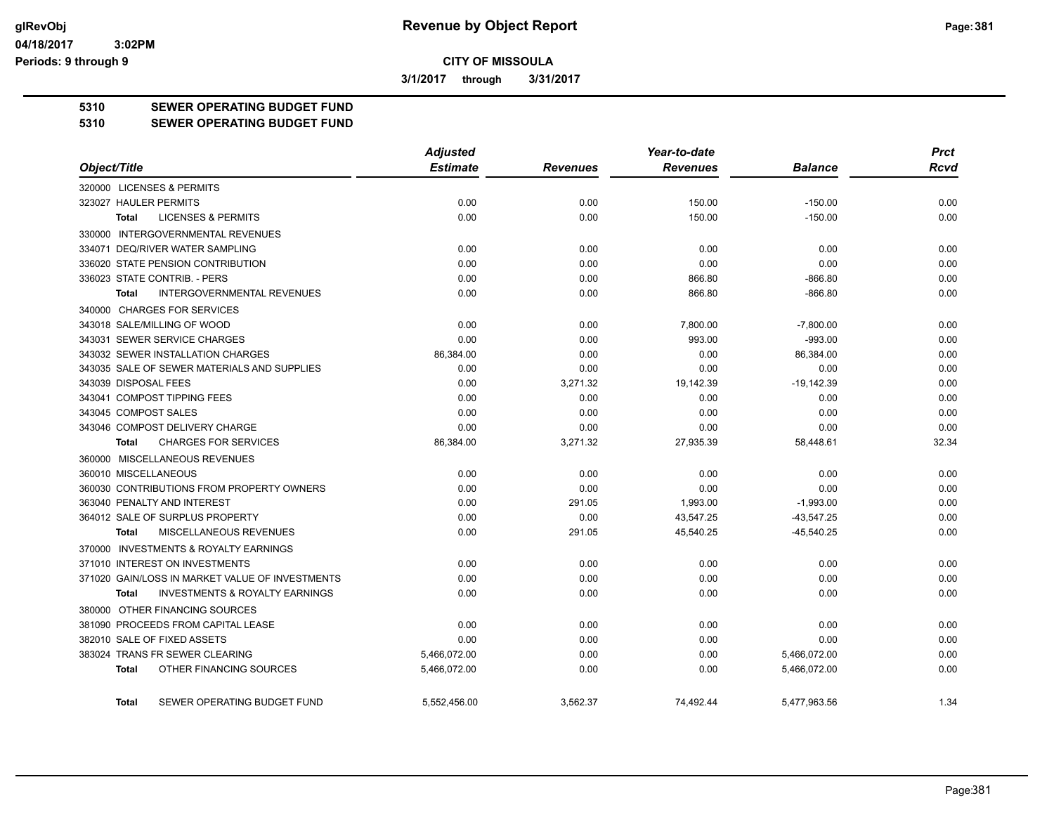**3/1/2017 through 3/31/2017**

# **5310 SEWER OPERATING BUDGET FUND**

**5310 SEWER OPERATING BUDGET FUND**

|                                                    | <b>Adjusted</b> |                 | Year-to-date    | <b>Prct</b>    |       |
|----------------------------------------------------|-----------------|-----------------|-----------------|----------------|-------|
| Object/Title                                       | <b>Estimate</b> | <b>Revenues</b> | <b>Revenues</b> | <b>Balance</b> | Rcvd  |
| 320000 LICENSES & PERMITS                          |                 |                 |                 |                |       |
| 323027 HAULER PERMITS                              | 0.00            | 0.00            | 150.00          | $-150.00$      | 0.00  |
| <b>LICENSES &amp; PERMITS</b><br><b>Total</b>      | 0.00            | 0.00            | 150.00          | $-150.00$      | 0.00  |
| 330000 INTERGOVERNMENTAL REVENUES                  |                 |                 |                 |                |       |
| 334071 DEQ/RIVER WATER SAMPLING                    | 0.00            | 0.00            | 0.00            | 0.00           | 0.00  |
| 336020 STATE PENSION CONTRIBUTION                  | 0.00            | 0.00            | 0.00            | 0.00           | 0.00  |
| 336023 STATE CONTRIB. - PERS                       | 0.00            | 0.00            | 866.80          | $-866.80$      | 0.00  |
| <b>INTERGOVERNMENTAL REVENUES</b><br><b>Total</b>  | 0.00            | 0.00            | 866.80          | $-866.80$      | 0.00  |
| 340000 CHARGES FOR SERVICES                        |                 |                 |                 |                |       |
| 343018 SALE/MILLING OF WOOD                        | 0.00            | 0.00            | 7,800.00        | $-7,800.00$    | 0.00  |
| 343031 SEWER SERVICE CHARGES                       | 0.00            | 0.00            | 993.00          | $-993.00$      | 0.00  |
| 343032 SEWER INSTALLATION CHARGES                  | 86,384.00       | 0.00            | 0.00            | 86.384.00      | 0.00  |
| 343035 SALE OF SEWER MATERIALS AND SUPPLIES        | 0.00            | 0.00            | 0.00            | 0.00           | 0.00  |
| 343039 DISPOSAL FEES                               | 0.00            | 3,271.32        | 19,142.39       | $-19,142.39$   | 0.00  |
| 343041 COMPOST TIPPING FEES                        | 0.00            | 0.00            | 0.00            | 0.00           | 0.00  |
| 343045 COMPOST SALES                               | 0.00            | 0.00            | 0.00            | 0.00           | 0.00  |
| 343046 COMPOST DELIVERY CHARGE                     | 0.00            | 0.00            | 0.00            | 0.00           | 0.00  |
| <b>CHARGES FOR SERVICES</b><br>Total               | 86,384.00       | 3,271.32        | 27,935.39       | 58,448.61      | 32.34 |
| 360000 MISCELLANEOUS REVENUES                      |                 |                 |                 |                |       |
| 360010 MISCELLANEOUS                               | 0.00            | 0.00            | 0.00            | 0.00           | 0.00  |
| 360030 CONTRIBUTIONS FROM PROPERTY OWNERS          | 0.00            | 0.00            | 0.00            | 0.00           | 0.00  |
| 363040 PENALTY AND INTEREST                        | 0.00            | 291.05          | 1,993.00        | $-1,993.00$    | 0.00  |
| 364012 SALE OF SURPLUS PROPERTY                    | 0.00            | 0.00            | 43,547.25       | $-43,547.25$   | 0.00  |
| MISCELLANEOUS REVENUES<br><b>Total</b>             | 0.00            | 291.05          | 45,540.25       | $-45,540.25$   | 0.00  |
| 370000 INVESTMENTS & ROYALTY EARNINGS              |                 |                 |                 |                |       |
| 371010 INTEREST ON INVESTMENTS                     | 0.00            | 0.00            | 0.00            | 0.00           | 0.00  |
| 371020 GAIN/LOSS IN MARKET VALUE OF INVESTMENTS    | 0.00            | 0.00            | 0.00            | 0.00           | 0.00  |
| <b>INVESTMENTS &amp; ROYALTY EARNINGS</b><br>Total | 0.00            | 0.00            | 0.00            | 0.00           | 0.00  |
| 380000 OTHER FINANCING SOURCES                     |                 |                 |                 |                |       |
| 381090 PROCEEDS FROM CAPITAL LEASE                 | 0.00            | 0.00            | 0.00            | 0.00           | 0.00  |
| 382010 SALE OF FIXED ASSETS                        | 0.00            | 0.00            | 0.00            | 0.00           | 0.00  |
| 383024 TRANS FR SEWER CLEARING                     | 5,466,072.00    | 0.00            | 0.00            | 5,466,072.00   | 0.00  |
| OTHER FINANCING SOURCES<br><b>Total</b>            | 5,466,072.00    | 0.00            | 0.00            | 5,466,072.00   | 0.00  |
| SEWER OPERATING BUDGET FUND<br><b>Total</b>        | 5,552,456.00    | 3,562.37        | 74,492.44       | 5,477,963.56   | 1.34  |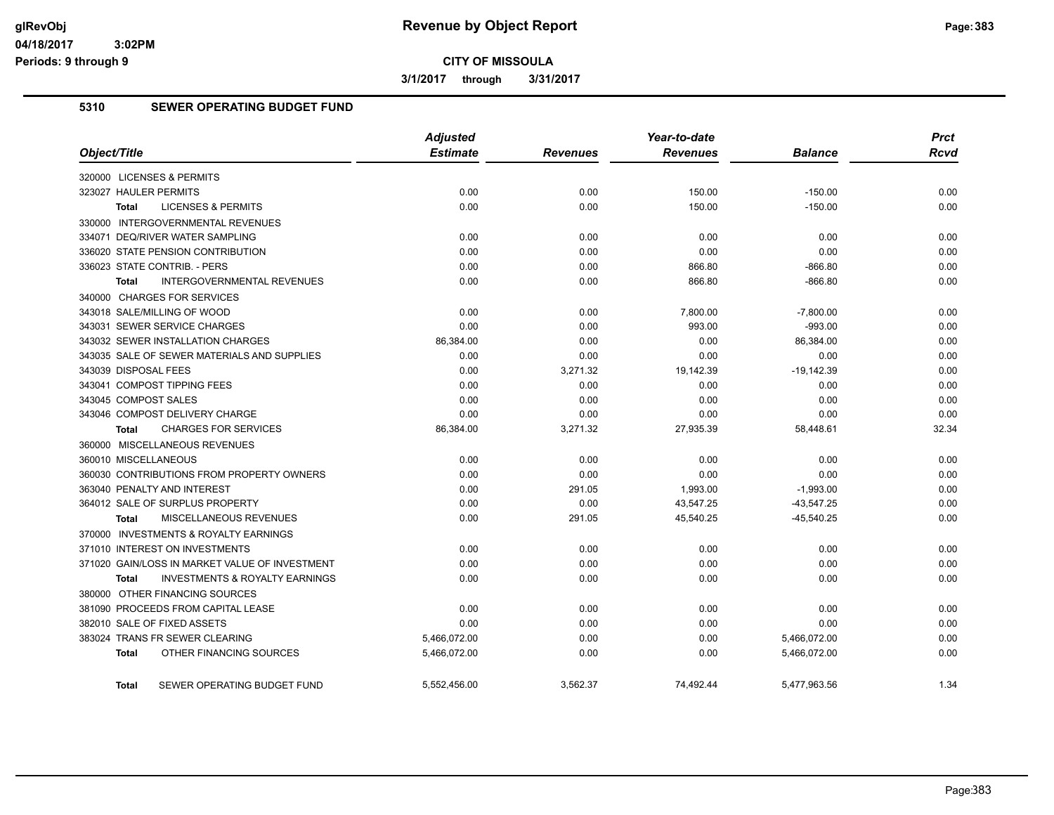**3/1/2017 through 3/31/2017**

# **5310 SEWER OPERATING BUDGET FUND**

|                                                    | <b>Adjusted</b> |                 | Year-to-date    |                | <b>Prct</b> |
|----------------------------------------------------|-----------------|-----------------|-----------------|----------------|-------------|
| Object/Title                                       | <b>Estimate</b> | <b>Revenues</b> | <b>Revenues</b> | <b>Balance</b> | <b>Rcvd</b> |
| 320000 LICENSES & PERMITS                          |                 |                 |                 |                |             |
| 323027 HAULER PERMITS                              | 0.00            | 0.00            | 150.00          | $-150.00$      | 0.00        |
| <b>LICENSES &amp; PERMITS</b><br>Total             | 0.00            | 0.00            | 150.00          | $-150.00$      | 0.00        |
| 330000 INTERGOVERNMENTAL REVENUES                  |                 |                 |                 |                |             |
| 334071 DEQ/RIVER WATER SAMPLING                    | 0.00            | 0.00            | 0.00            | 0.00           | 0.00        |
| 336020 STATE PENSION CONTRIBUTION                  | 0.00            | 0.00            | 0.00            | 0.00           | 0.00        |
| 336023 STATE CONTRIB. - PERS                       | 0.00            | 0.00            | 866.80          | $-866.80$      | 0.00        |
| <b>INTERGOVERNMENTAL REVENUES</b><br>Total         | 0.00            | 0.00            | 866.80          | $-866.80$      | 0.00        |
| 340000 CHARGES FOR SERVICES                        |                 |                 |                 |                |             |
| 343018 SALE/MILLING OF WOOD                        | 0.00            | 0.00            | 7,800.00        | $-7,800.00$    | 0.00        |
| 343031 SEWER SERVICE CHARGES                       | 0.00            | 0.00            | 993.00          | $-993.00$      | 0.00        |
| 343032 SEWER INSTALLATION CHARGES                  | 86,384.00       | 0.00            | 0.00            | 86,384.00      | 0.00        |
| 343035 SALE OF SEWER MATERIALS AND SUPPLIES        | 0.00            | 0.00            | 0.00            | 0.00           | 0.00        |
| 343039 DISPOSAL FEES                               | 0.00            | 3,271.32        | 19,142.39       | $-19,142.39$   | 0.00        |
| 343041 COMPOST TIPPING FEES                        | 0.00            | 0.00            | 0.00            | 0.00           | 0.00        |
| 343045 COMPOST SALES                               | 0.00            | 0.00            | 0.00            | 0.00           | 0.00        |
| 343046 COMPOST DELIVERY CHARGE                     | 0.00            | 0.00            | 0.00            | 0.00           | 0.00        |
| <b>CHARGES FOR SERVICES</b><br><b>Total</b>        | 86,384.00       | 3,271.32        | 27,935.39       | 58,448.61      | 32.34       |
| 360000 MISCELLANEOUS REVENUES                      |                 |                 |                 |                |             |
| 360010 MISCELLANEOUS                               | 0.00            | 0.00            | 0.00            | 0.00           | 0.00        |
| 360030 CONTRIBUTIONS FROM PROPERTY OWNERS          | 0.00            | 0.00            | 0.00            | 0.00           | 0.00        |
| 363040 PENALTY AND INTEREST                        | 0.00            | 291.05          | 1,993.00        | $-1,993.00$    | 0.00        |
| 364012 SALE OF SURPLUS PROPERTY                    | 0.00            | 0.00            | 43,547.25       | $-43,547.25$   | 0.00        |
| MISCELLANEOUS REVENUES<br>Total                    | 0.00            | 291.05          | 45,540.25       | $-45,540.25$   | 0.00        |
| 370000 INVESTMENTS & ROYALTY EARNINGS              |                 |                 |                 |                |             |
| 371010 INTEREST ON INVESTMENTS                     | 0.00            | 0.00            | 0.00            | 0.00           | 0.00        |
| 371020 GAIN/LOSS IN MARKET VALUE OF INVESTMENT     | 0.00            | 0.00            | 0.00            | 0.00           | 0.00        |
| <b>INVESTMENTS &amp; ROYALTY EARNINGS</b><br>Total | 0.00            | 0.00            | 0.00            | 0.00           | 0.00        |
| 380000 OTHER FINANCING SOURCES                     |                 |                 |                 |                |             |
| 381090 PROCEEDS FROM CAPITAL LEASE                 | 0.00            | 0.00            | 0.00            | 0.00           | 0.00        |
| 382010 SALE OF FIXED ASSETS                        | 0.00            | 0.00            | 0.00            | 0.00           | 0.00        |
| 383024 TRANS FR SEWER CLEARING                     | 5,466,072.00    | 0.00            | 0.00            | 5,466,072.00   | 0.00        |
| OTHER FINANCING SOURCES<br><b>Total</b>            | 5,466,072.00    | 0.00            | 0.00            | 5,466,072.00   | 0.00        |
| SEWER OPERATING BUDGET FUND<br><b>Total</b>        | 5,552,456.00    | 3,562.37        | 74,492.44       | 5,477,963.56   | 1.34        |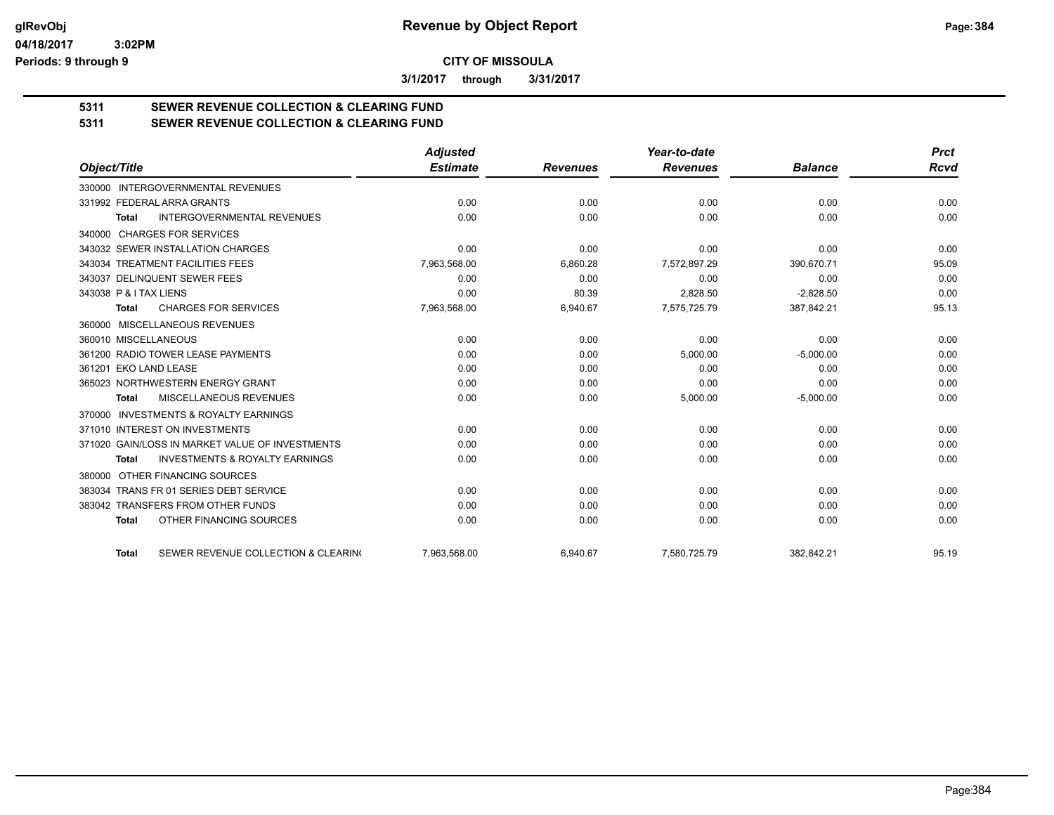**3/1/2017 through 3/31/2017**

# **5311 SEWER REVENUE COLLECTION & CLEARING FUND 5311 SEWER REVENUE COLLECTION & CLEARING FUND**

|                                                           | <b>Adjusted</b> |                 | Year-to-date    |                | <b>Prct</b> |
|-----------------------------------------------------------|-----------------|-----------------|-----------------|----------------|-------------|
| Object/Title                                              | <b>Estimate</b> | <b>Revenues</b> | <b>Revenues</b> | <b>Balance</b> | Rcvd        |
| <b>INTERGOVERNMENTAL REVENUES</b><br>330000               |                 |                 |                 |                |             |
| 331992 FEDERAL ARRA GRANTS                                | 0.00            | 0.00            | 0.00            | 0.00           | 0.00        |
| <b>INTERGOVERNMENTAL REVENUES</b><br><b>Total</b>         | 0.00            | 0.00            | 0.00            | 0.00           | 0.00        |
| <b>CHARGES FOR SERVICES</b><br>340000                     |                 |                 |                 |                |             |
| 343032 SEWER INSTALLATION CHARGES                         | 0.00            | 0.00            | 0.00            | 0.00           | 0.00        |
| 343034 TREATMENT FACILITIES FEES                          | 7,963,568.00    | 6,860.28        | 7,572,897.29    | 390,670.71     | 95.09       |
| 343037 DELINQUENT SEWER FEES                              | 0.00            | 0.00            | 0.00            | 0.00           | 0.00        |
| 343038 P & I TAX LIENS                                    | 0.00            | 80.39           | 2,828.50        | $-2,828.50$    | 0.00        |
| <b>CHARGES FOR SERVICES</b><br><b>Total</b>               | 7,963,568.00    | 6,940.67        | 7,575,725.79    | 387,842.21     | 95.13       |
| MISCELLANEOUS REVENUES<br>360000                          |                 |                 |                 |                |             |
| 360010 MISCELLANEOUS                                      | 0.00            | 0.00            | 0.00            | 0.00           | 0.00        |
| 361200 RADIO TOWER LEASE PAYMENTS                         | 0.00            | 0.00            | 5,000.00        | $-5,000.00$    | 0.00        |
| 361201 EKO LAND LEASE                                     | 0.00            | 0.00            | 0.00            | 0.00           | 0.00        |
| 365023 NORTHWESTERN ENERGY GRANT                          | 0.00            | 0.00            | 0.00            | 0.00           | 0.00        |
| MISCELLANEOUS REVENUES<br><b>Total</b>                    | 0.00            | 0.00            | 5,000.00        | $-5,000.00$    | 0.00        |
| <b>INVESTMENTS &amp; ROYALTY EARNINGS</b><br>370000       |                 |                 |                 |                |             |
| 371010 INTEREST ON INVESTMENTS                            | 0.00            | 0.00            | 0.00            | 0.00           | 0.00        |
| 371020 GAIN/LOSS IN MARKET VALUE OF INVESTMENTS           | 0.00            | 0.00            | 0.00            | 0.00           | 0.00        |
| <b>INVESTMENTS &amp; ROYALTY EARNINGS</b><br><b>Total</b> | 0.00            | 0.00            | 0.00            | 0.00           | 0.00        |
| OTHER FINANCING SOURCES<br>380000                         |                 |                 |                 |                |             |
| TRANS FR 01 SERIES DEBT SERVICE<br>383034                 | 0.00            | 0.00            | 0.00            | 0.00           | 0.00        |
| 383042 TRANSFERS FROM OTHER FUNDS                         | 0.00            | 0.00            | 0.00            | 0.00           | 0.00        |
| OTHER FINANCING SOURCES<br><b>Total</b>                   | 0.00            | 0.00            | 0.00            | 0.00           | 0.00        |
|                                                           |                 |                 |                 |                |             |
| SEWER REVENUE COLLECTION & CLEARING<br><b>Total</b>       | 7,963,568.00    | 6,940.67        | 7,580,725.79    | 382.842.21     | 95.19       |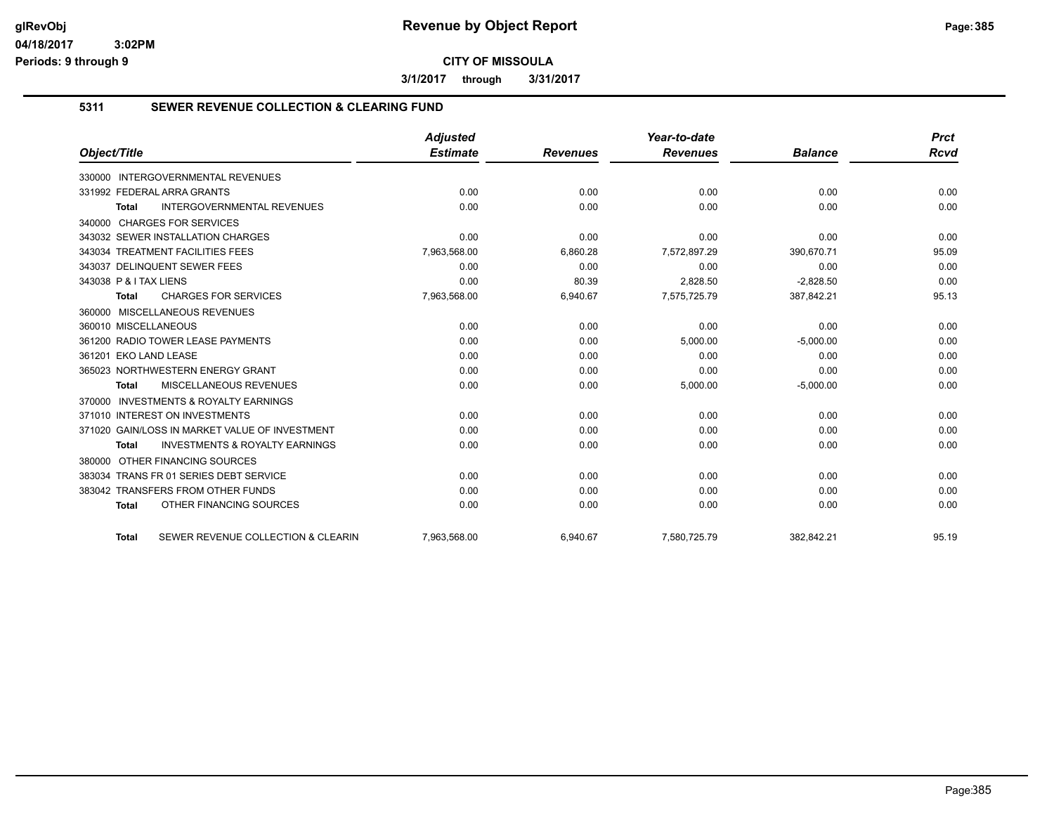**3/1/2017 through 3/31/2017**

# **5311 SEWER REVENUE COLLECTION & CLEARING FUND**

|                                                    | <b>Adjusted</b> |                 | Year-to-date    |                | <b>Prct</b> |
|----------------------------------------------------|-----------------|-----------------|-----------------|----------------|-------------|
| Object/Title                                       | <b>Estimate</b> | <b>Revenues</b> | <b>Revenues</b> | <b>Balance</b> | <b>Rcvd</b> |
| 330000 INTERGOVERNMENTAL REVENUES                  |                 |                 |                 |                |             |
| 331992 FEDERAL ARRA GRANTS                         | 0.00            | 0.00            | 0.00            | 0.00           | 0.00        |
| <b>INTERGOVERNMENTAL REVENUES</b><br><b>Total</b>  | 0.00            | 0.00            | 0.00            | 0.00           | 0.00        |
| 340000 CHARGES FOR SERVICES                        |                 |                 |                 |                |             |
| 343032 SEWER INSTALLATION CHARGES                  | 0.00            | 0.00            | 0.00            | 0.00           | 0.00        |
| 343034 TREATMENT FACILITIES FEES                   | 7.963.568.00    | 6,860.28        | 7,572,897.29    | 390,670.71     | 95.09       |
| 343037 DELINQUENT SEWER FEES                       | 0.00            | 0.00            | 0.00            | 0.00           | 0.00        |
| 343038 P & I TAX LIENS                             | 0.00            | 80.39           | 2.828.50        | $-2.828.50$    | 0.00        |
| <b>CHARGES FOR SERVICES</b><br><b>Total</b>        | 7,963,568.00    | 6,940.67        | 7,575,725.79    | 387,842.21     | 95.13       |
| 360000 MISCELLANEOUS REVENUES                      |                 |                 |                 |                |             |
| 360010 MISCELLANEOUS                               | 0.00            | 0.00            | 0.00            | 0.00           | 0.00        |
| 361200 RADIO TOWER LEASE PAYMENTS                  | 0.00            | 0.00            | 5,000.00        | $-5,000.00$    | 0.00        |
| 361201 EKO LAND LEASE                              | 0.00            | 0.00            | 0.00            | 0.00           | 0.00        |
| 365023 NORTHWESTERN ENERGY GRANT                   | 0.00            | 0.00            | 0.00            | 0.00           | 0.00        |
| <b>MISCELLANEOUS REVENUES</b><br>Total             | 0.00            | 0.00            | 5,000.00        | $-5,000.00$    | 0.00        |
| 370000 INVESTMENTS & ROYALTY EARNINGS              |                 |                 |                 |                |             |
| 371010 INTEREST ON INVESTMENTS                     | 0.00            | 0.00            | 0.00            | 0.00           | 0.00        |
| 371020 GAIN/LOSS IN MARKET VALUE OF INVESTMENT     | 0.00            | 0.00            | 0.00            | 0.00           | 0.00        |
| <b>INVESTMENTS &amp; ROYALTY EARNINGS</b><br>Total | 0.00            | 0.00            | 0.00            | 0.00           | 0.00        |
| 380000 OTHER FINANCING SOURCES                     |                 |                 |                 |                |             |
| 383034 TRANS FR 01 SERIES DEBT SERVICE             | 0.00            | 0.00            | 0.00            | 0.00           | 0.00        |
| 383042 TRANSFERS FROM OTHER FUNDS                  | 0.00            | 0.00            | 0.00            | 0.00           | 0.00        |
| OTHER FINANCING SOURCES<br><b>Total</b>            | 0.00            | 0.00            | 0.00            | 0.00           | 0.00        |
| SEWER REVENUE COLLECTION & CLEARIN<br><b>Total</b> | 7,963,568.00    | 6,940.67        | 7,580,725.79    | 382,842.21     | 95.19       |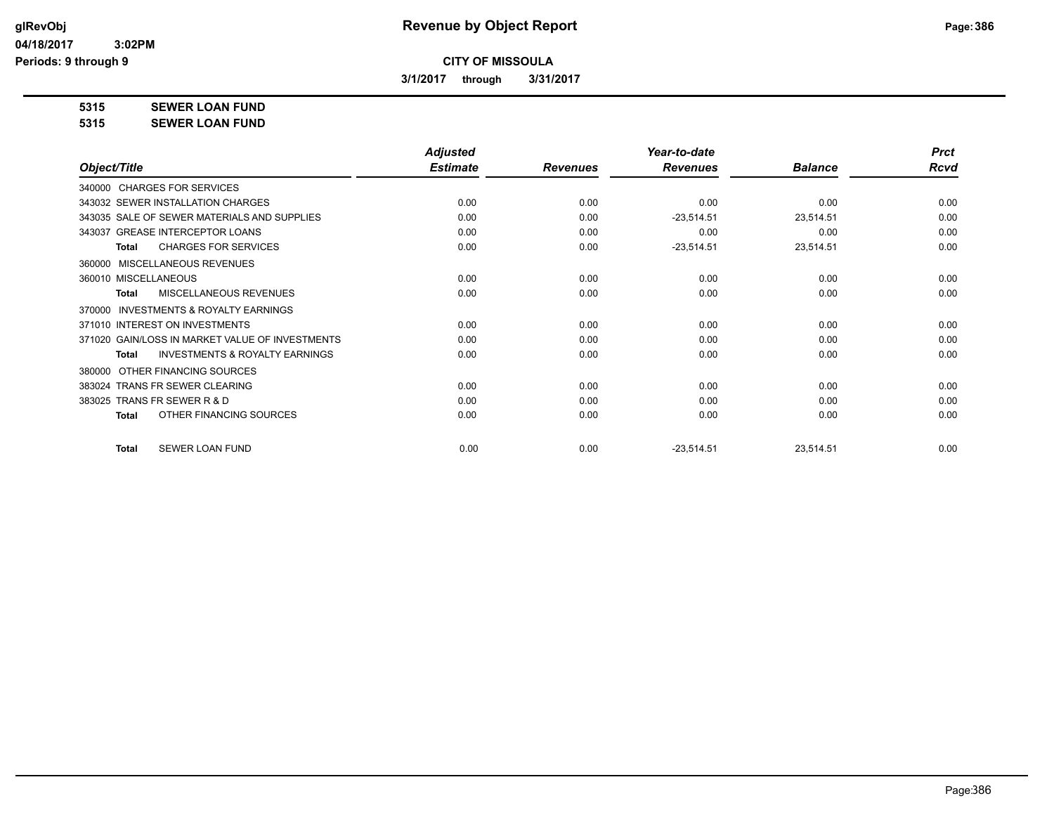**3/1/2017 through 3/31/2017**

**5315 SEWER LOAN FUND**

| 5315 | <b>SEWER LOAN FUND</b> |
|------|------------------------|
|      |                        |

|                                                           | <b>Adjusted</b> |                 | Year-to-date    |                | <b>Prct</b> |
|-----------------------------------------------------------|-----------------|-----------------|-----------------|----------------|-------------|
| Object/Title                                              | <b>Estimate</b> | <b>Revenues</b> | <b>Revenues</b> | <b>Balance</b> | Rcvd        |
| 340000 CHARGES FOR SERVICES                               |                 |                 |                 |                |             |
| 343032 SEWER INSTALLATION CHARGES                         | 0.00            | 0.00            | 0.00            | 0.00           | 0.00        |
| 343035 SALE OF SEWER MATERIALS AND SUPPLIES               | 0.00            | 0.00            | $-23,514.51$    | 23,514.51      | 0.00        |
| 343037 GREASE INTERCEPTOR LOANS                           | 0.00            | 0.00            | 0.00            | 0.00           | 0.00        |
| <b>CHARGES FOR SERVICES</b><br><b>Total</b>               | 0.00            | 0.00            | $-23,514.51$    | 23,514.51      | 0.00        |
| MISCELLANEOUS REVENUES<br>360000                          |                 |                 |                 |                |             |
| 360010 MISCELLANEOUS                                      | 0.00            | 0.00            | 0.00            | 0.00           | 0.00        |
| MISCELLANEOUS REVENUES<br><b>Total</b>                    | 0.00            | 0.00            | 0.00            | 0.00           | 0.00        |
| <b>INVESTMENTS &amp; ROYALTY EARNINGS</b><br>370000       |                 |                 |                 |                |             |
| 371010 INTEREST ON INVESTMENTS                            | 0.00            | 0.00            | 0.00            | 0.00           | 0.00        |
| 371020 GAIN/LOSS IN MARKET VALUE OF INVESTMENTS           | 0.00            | 0.00            | 0.00            | 0.00           | 0.00        |
| <b>INVESTMENTS &amp; ROYALTY EARNINGS</b><br><b>Total</b> | 0.00            | 0.00            | 0.00            | 0.00           | 0.00        |
| OTHER FINANCING SOURCES<br>380000                         |                 |                 |                 |                |             |
| 383024 TRANS FR SEWER CLEARING                            | 0.00            | 0.00            | 0.00            | 0.00           | 0.00        |
| 383025 TRANS FR SEWER R & D                               | 0.00            | 0.00            | 0.00            | 0.00           | 0.00        |
| OTHER FINANCING SOURCES<br><b>Total</b>                   | 0.00            | 0.00            | 0.00            | 0.00           | 0.00        |
|                                                           |                 |                 |                 |                |             |
| SEWER LOAN FUND<br><b>Total</b>                           | 0.00            | 0.00            | $-23,514.51$    | 23,514.51      | 0.00        |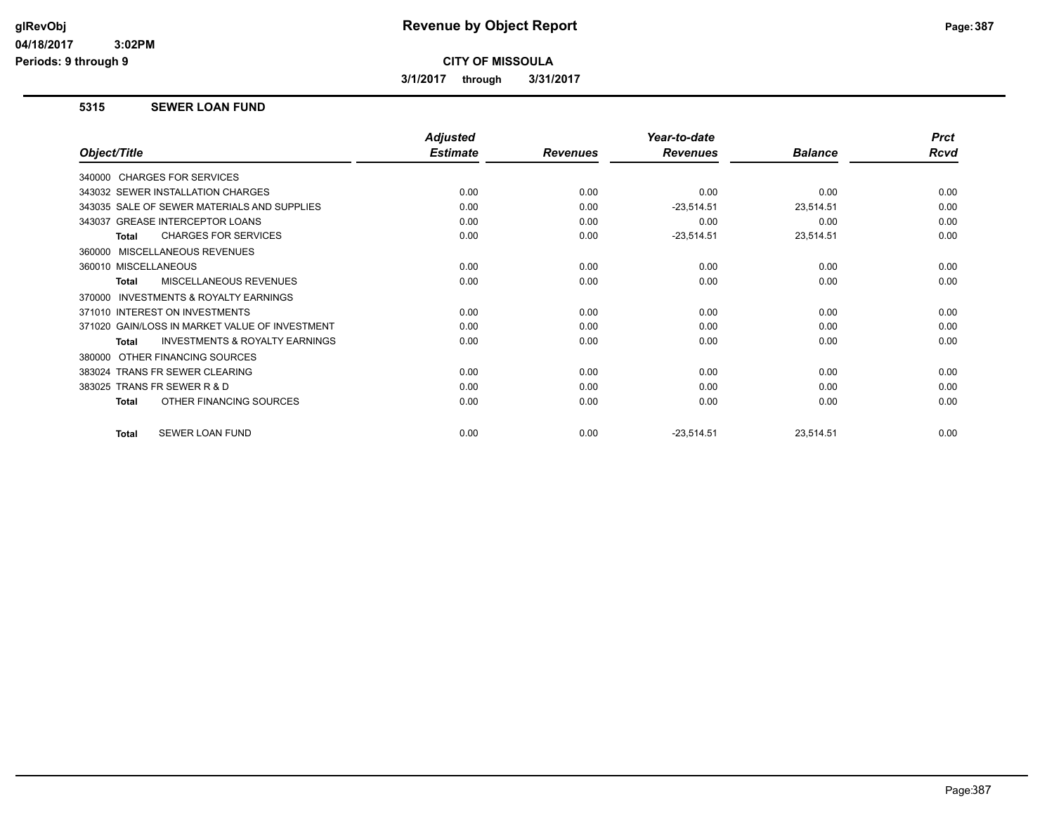**3/1/2017 through 3/31/2017**

### **5315 SEWER LOAN FUND**

|                                                           | <b>Adjusted</b> |                 | Year-to-date    |                | <b>Prct</b> |
|-----------------------------------------------------------|-----------------|-----------------|-----------------|----------------|-------------|
| Object/Title                                              | <b>Estimate</b> | <b>Revenues</b> | <b>Revenues</b> | <b>Balance</b> | <b>Rcvd</b> |
| 340000 CHARGES FOR SERVICES                               |                 |                 |                 |                |             |
| 343032 SEWER INSTALLATION CHARGES                         | 0.00            | 0.00            | 0.00            | 0.00           | 0.00        |
| 343035 SALE OF SEWER MATERIALS AND SUPPLIES               | 0.00            | 0.00            | $-23,514.51$    | 23,514.51      | 0.00        |
| 343037 GREASE INTERCEPTOR LOANS                           | 0.00            | 0.00            | 0.00            | 0.00           | 0.00        |
| <b>CHARGES FOR SERVICES</b><br><b>Total</b>               | 0.00            | 0.00            | $-23,514.51$    | 23,514.51      | 0.00        |
| 360000 MISCELLANEOUS REVENUES                             |                 |                 |                 |                |             |
| 360010 MISCELLANEOUS                                      | 0.00            | 0.00            | 0.00            | 0.00           | 0.00        |
| MISCELLANEOUS REVENUES<br><b>Total</b>                    | 0.00            | 0.00            | 0.00            | 0.00           | 0.00        |
| 370000 INVESTMENTS & ROYALTY EARNINGS                     |                 |                 |                 |                |             |
| 371010 INTEREST ON INVESTMENTS                            | 0.00            | 0.00            | 0.00            | 0.00           | 0.00        |
| 371020 GAIN/LOSS IN MARKET VALUE OF INVESTMENT            | 0.00            | 0.00            | 0.00            | 0.00           | 0.00        |
| <b>INVESTMENTS &amp; ROYALTY EARNINGS</b><br><b>Total</b> | 0.00            | 0.00            | 0.00            | 0.00           | 0.00        |
| 380000 OTHER FINANCING SOURCES                            |                 |                 |                 |                |             |
| 383024 TRANS FR SEWER CLEARING                            | 0.00            | 0.00            | 0.00            | 0.00           | 0.00        |
| 383025 TRANS FR SEWER R & D                               | 0.00            | 0.00            | 0.00            | 0.00           | 0.00        |
| OTHER FINANCING SOURCES<br><b>Total</b>                   | 0.00            | 0.00            | 0.00            | 0.00           | 0.00        |
| <b>SEWER LOAN FUND</b><br><b>Total</b>                    | 0.00            | 0.00            | $-23,514.51$    | 23,514.51      | 0.00        |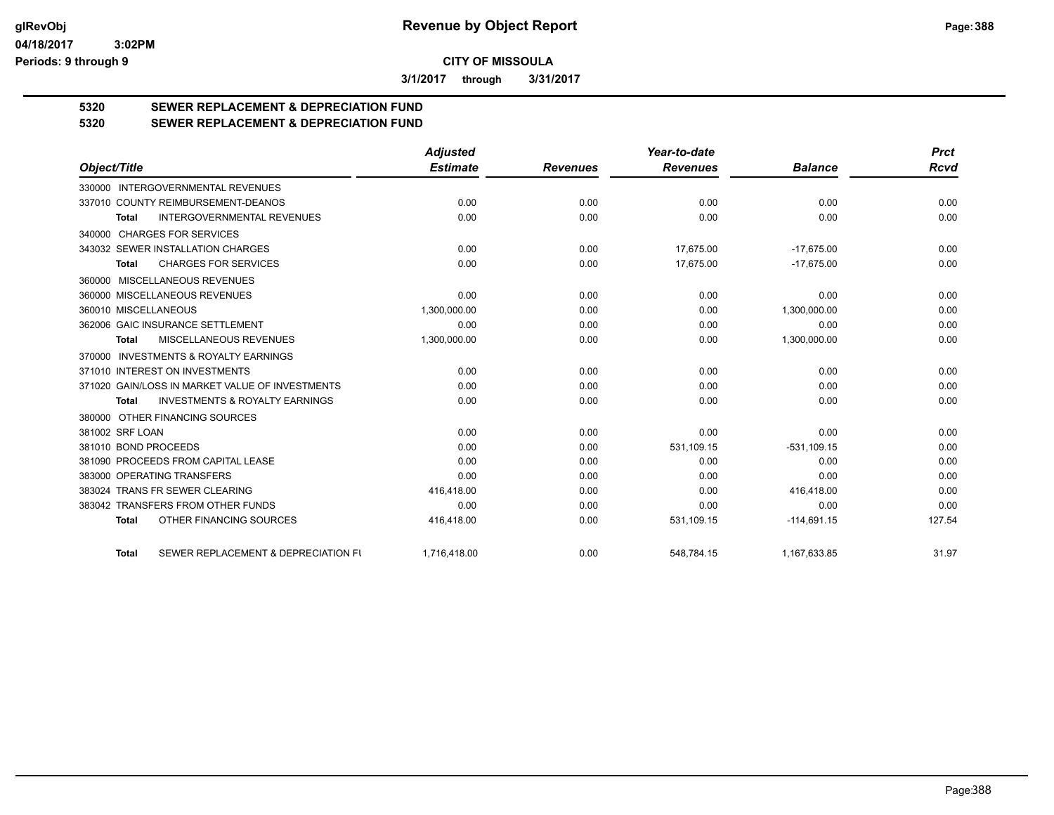**3/1/2017 through 3/31/2017**

# **5320 SEWER REPLACEMENT & DEPRECIATION FUND 5320 SEWER REPLACEMENT & DEPRECIATION FUND**

|                                                           | <b>Adjusted</b> |                 | Year-to-date    |                | <b>Prct</b> |
|-----------------------------------------------------------|-----------------|-----------------|-----------------|----------------|-------------|
| Object/Title                                              | <b>Estimate</b> | <b>Revenues</b> | <b>Revenues</b> | <b>Balance</b> | <b>Rcvd</b> |
| 330000 INTERGOVERNMENTAL REVENUES                         |                 |                 |                 |                |             |
| 337010 COUNTY REIMBURSEMENT-DEANOS                        | 0.00            | 0.00            | 0.00            | 0.00           | 0.00        |
| <b>INTERGOVERNMENTAL REVENUES</b><br><b>Total</b>         | 0.00            | 0.00            | 0.00            | 0.00           | 0.00        |
| 340000 CHARGES FOR SERVICES                               |                 |                 |                 |                |             |
| 343032 SEWER INSTALLATION CHARGES                         | 0.00            | 0.00            | 17,675.00       | $-17,675.00$   | 0.00        |
| <b>CHARGES FOR SERVICES</b><br><b>Total</b>               | 0.00            | 0.00            | 17,675.00       | $-17.675.00$   | 0.00        |
| MISCELLANEOUS REVENUES<br>360000                          |                 |                 |                 |                |             |
| 360000 MISCELLANEOUS REVENUES                             | 0.00            | 0.00            | 0.00            | 0.00           | 0.00        |
| 360010 MISCELLANEOUS                                      | 1,300,000.00    | 0.00            | 0.00            | 1,300,000.00   | 0.00        |
| 362006 GAIC INSURANCE SETTLEMENT                          | 0.00            | 0.00            | 0.00            | 0.00           | 0.00        |
| MISCELLANEOUS REVENUES<br><b>Total</b>                    | 1,300,000.00    | 0.00            | 0.00            | 1,300,000.00   | 0.00        |
| <b>INVESTMENTS &amp; ROYALTY EARNINGS</b><br>370000       |                 |                 |                 |                |             |
| 371010 INTEREST ON INVESTMENTS                            | 0.00            | 0.00            | 0.00            | 0.00           | 0.00        |
| 371020 GAIN/LOSS IN MARKET VALUE OF INVESTMENTS           | 0.00            | 0.00            | 0.00            | 0.00           | 0.00        |
| <b>INVESTMENTS &amp; ROYALTY EARNINGS</b><br><b>Total</b> | 0.00            | 0.00            | 0.00            | 0.00           | 0.00        |
| 380000 OTHER FINANCING SOURCES                            |                 |                 |                 |                |             |
| 381002 SRF LOAN                                           | 0.00            | 0.00            | 0.00            | 0.00           | 0.00        |
| 381010 BOND PROCEEDS                                      | 0.00            | 0.00            | 531,109.15      | $-531,109.15$  | 0.00        |
| 381090 PROCEEDS FROM CAPITAL LEASE                        | 0.00            | 0.00            | 0.00            | 0.00           | 0.00        |
| 383000 OPERATING TRANSFERS                                | 0.00            | 0.00            | 0.00            | 0.00           | 0.00        |
| 383024 TRANS FR SEWER CLEARING                            | 416.418.00      | 0.00            | 0.00            | 416.418.00     | 0.00        |
| 383042 TRANSFERS FROM OTHER FUNDS                         | 0.00            | 0.00            | 0.00            | 0.00           | 0.00        |
| OTHER FINANCING SOURCES<br><b>Total</b>                   | 416,418.00      | 0.00            | 531,109.15      | $-114,691.15$  | 127.54      |
|                                                           |                 |                 |                 |                |             |
| SEWER REPLACEMENT & DEPRECIATION FU<br><b>Total</b>       | 1,716,418.00    | 0.00            | 548,784.15      | 1,167,633.85   | 31.97       |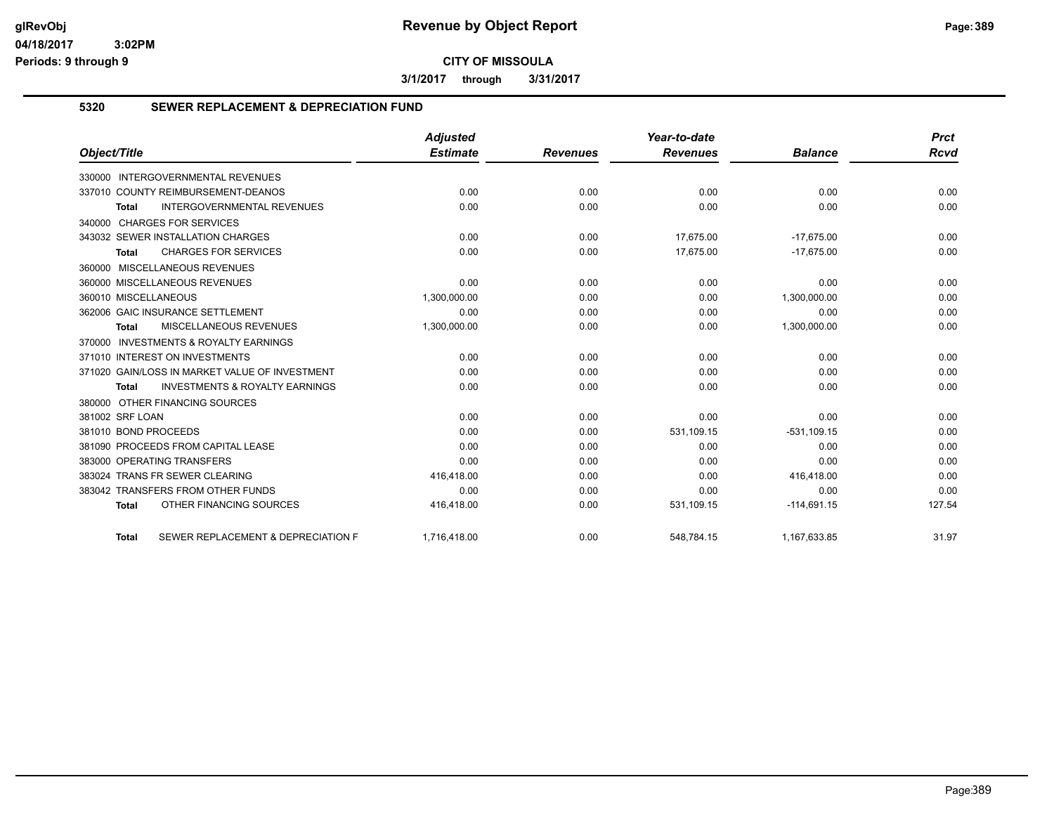**3/1/2017 through 3/31/2017**

# **5320 SEWER REPLACEMENT & DEPRECIATION FUND**

|                                                           | <b>Adjusted</b> |                 | Year-to-date    |                | <b>Prct</b> |
|-----------------------------------------------------------|-----------------|-----------------|-----------------|----------------|-------------|
| Object/Title                                              | <b>Estimate</b> | <b>Revenues</b> | <b>Revenues</b> | <b>Balance</b> | <b>Rcvd</b> |
| 330000 INTERGOVERNMENTAL REVENUES                         |                 |                 |                 |                |             |
| 337010 COUNTY REIMBURSEMENT-DEANOS                        | 0.00            | 0.00            | 0.00            | 0.00           | 0.00        |
| <b>INTERGOVERNMENTAL REVENUES</b><br><b>Total</b>         | 0.00            | 0.00            | 0.00            | 0.00           | 0.00        |
| 340000 CHARGES FOR SERVICES                               |                 |                 |                 |                |             |
| 343032 SEWER INSTALLATION CHARGES                         | 0.00            | 0.00            | 17.675.00       | $-17.675.00$   | 0.00        |
| <b>CHARGES FOR SERVICES</b><br><b>Total</b>               | 0.00            | 0.00            | 17,675.00       | $-17,675.00$   | 0.00        |
| 360000 MISCELLANEOUS REVENUES                             |                 |                 |                 |                |             |
| 360000 MISCELLANEOUS REVENUES                             | 0.00            | 0.00            | 0.00            | 0.00           | 0.00        |
| 360010 MISCELLANEOUS                                      | 1,300,000.00    | 0.00            | 0.00            | 1,300,000.00   | 0.00        |
| 362006 GAIC INSURANCE SETTLEMENT                          | 0.00            | 0.00            | 0.00            | 0.00           | 0.00        |
| MISCELLANEOUS REVENUES<br><b>Total</b>                    | 1,300,000.00    | 0.00            | 0.00            | 1,300,000.00   | 0.00        |
| 370000 INVESTMENTS & ROYALTY EARNINGS                     |                 |                 |                 |                |             |
| 371010 INTEREST ON INVESTMENTS                            | 0.00            | 0.00            | 0.00            | 0.00           | 0.00        |
| 371020 GAIN/LOSS IN MARKET VALUE OF INVESTMENT            | 0.00            | 0.00            | 0.00            | 0.00           | 0.00        |
| <b>INVESTMENTS &amp; ROYALTY EARNINGS</b><br><b>Total</b> | 0.00            | 0.00            | 0.00            | 0.00           | 0.00        |
| 380000 OTHER FINANCING SOURCES                            |                 |                 |                 |                |             |
| 381002 SRF LOAN                                           | 0.00            | 0.00            | 0.00            | 0.00           | 0.00        |
| 381010 BOND PROCEEDS                                      | 0.00            | 0.00            | 531,109.15      | $-531,109.15$  | 0.00        |
| 381090 PROCEEDS FROM CAPITAL LEASE                        | 0.00            | 0.00            | 0.00            | 0.00           | 0.00        |
| 383000 OPERATING TRANSFERS                                | 0.00            | 0.00            | 0.00            | 0.00           | 0.00        |
| 383024 TRANS FR SEWER CLEARING                            | 416,418.00      | 0.00            | 0.00            | 416,418.00     | 0.00        |
| 383042 TRANSFERS FROM OTHER FUNDS                         | 0.00            | 0.00            | 0.00            | 0.00           | 0.00        |
| OTHER FINANCING SOURCES<br><b>Total</b>                   | 416,418.00      | 0.00            | 531,109.15      | $-114,691.15$  | 127.54      |
| SEWER REPLACEMENT & DEPRECIATION F<br><b>Total</b>        | 1,716,418.00    | 0.00            | 548,784.15      | 1,167,633.85   | 31.97       |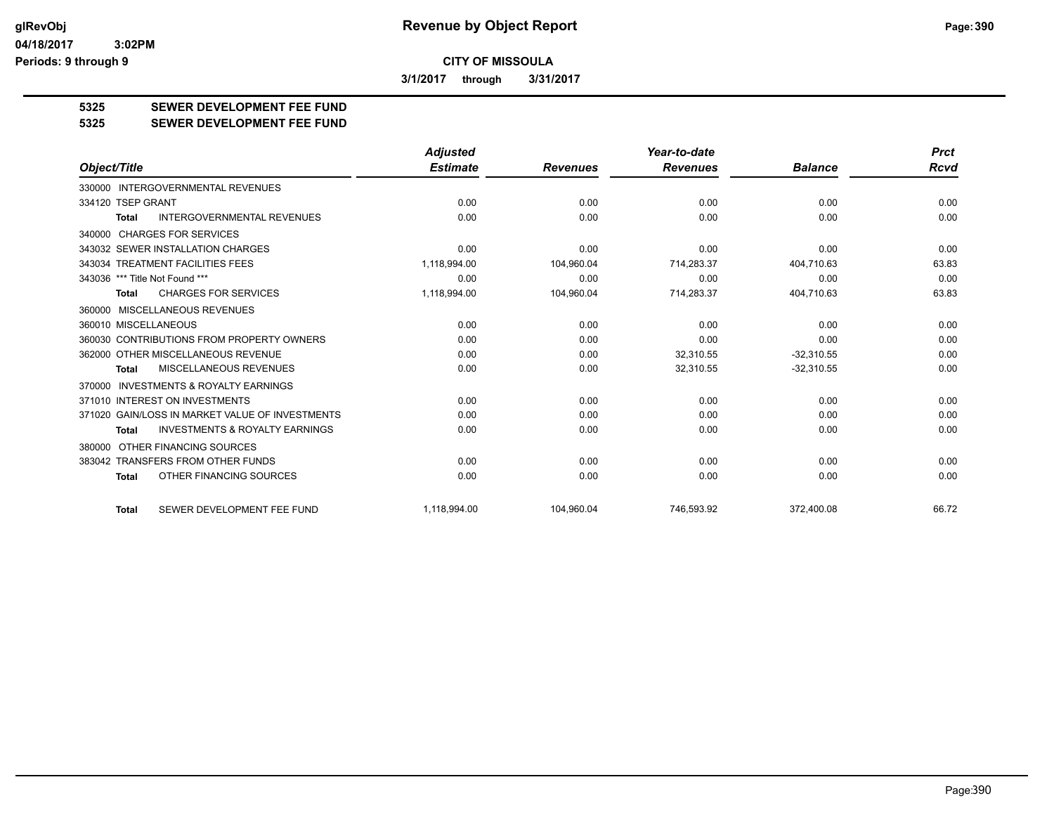**3/1/2017 through 3/31/2017**

# **5325 SEWER DEVELOPMENT FEE FUND**

**5325 SEWER DEVELOPMENT FEE FUND**

|                                                           | <b>Adjusted</b> |                 | Year-to-date    |                | <b>Prct</b> |
|-----------------------------------------------------------|-----------------|-----------------|-----------------|----------------|-------------|
| Object/Title                                              | <b>Estimate</b> | <b>Revenues</b> | <b>Revenues</b> | <b>Balance</b> | Rcvd        |
| 330000 INTERGOVERNMENTAL REVENUES                         |                 |                 |                 |                |             |
| 334120 TSEP GRANT                                         | 0.00            | 0.00            | 0.00            | 0.00           | 0.00        |
| <b>INTERGOVERNMENTAL REVENUES</b><br><b>Total</b>         | 0.00            | 0.00            | 0.00            | 0.00           | 0.00        |
| 340000 CHARGES FOR SERVICES                               |                 |                 |                 |                |             |
| 343032 SEWER INSTALLATION CHARGES                         | 0.00            | 0.00            | 0.00            | 0.00           | 0.00        |
| 343034 TREATMENT FACILITIES FEES                          | 1,118,994.00    | 104,960.04      | 714,283.37      | 404,710.63     | 63.83       |
| 343036 *** Title Not Found ***                            | 0.00            | 0.00            | 0.00            | 0.00           | 0.00        |
| <b>CHARGES FOR SERVICES</b><br><b>Total</b>               | 1,118,994.00    | 104,960.04      | 714,283.37      | 404,710.63     | 63.83       |
| 360000 MISCELLANEOUS REVENUES                             |                 |                 |                 |                |             |
| 360010 MISCELLANEOUS                                      | 0.00            | 0.00            | 0.00            | 0.00           | 0.00        |
| 360030 CONTRIBUTIONS FROM PROPERTY OWNERS                 | 0.00            | 0.00            | 0.00            | 0.00           | 0.00        |
| 362000 OTHER MISCELLANEOUS REVENUE                        | 0.00            | 0.00            | 32,310.55       | $-32,310.55$   | 0.00        |
| MISCELLANEOUS REVENUES<br>Total                           | 0.00            | 0.00            | 32,310.55       | $-32,310.55$   | 0.00        |
| <b>INVESTMENTS &amp; ROYALTY EARNINGS</b><br>370000       |                 |                 |                 |                |             |
| 371010 INTEREST ON INVESTMENTS                            | 0.00            | 0.00            | 0.00            | 0.00           | 0.00        |
| 371020 GAIN/LOSS IN MARKET VALUE OF INVESTMENTS           | 0.00            | 0.00            | 0.00            | 0.00           | 0.00        |
| <b>INVESTMENTS &amp; ROYALTY EARNINGS</b><br><b>Total</b> | 0.00            | 0.00            | 0.00            | 0.00           | 0.00        |
| 380000 OTHER FINANCING SOURCES                            |                 |                 |                 |                |             |
| 383042 TRANSFERS FROM OTHER FUNDS                         | 0.00            | 0.00            | 0.00            | 0.00           | 0.00        |
| OTHER FINANCING SOURCES<br><b>Total</b>                   | 0.00            | 0.00            | 0.00            | 0.00           | 0.00        |
| SEWER DEVELOPMENT FEE FUND<br><b>Total</b>                | 1,118,994.00    | 104,960.04      | 746,593.92      | 372,400.08     | 66.72       |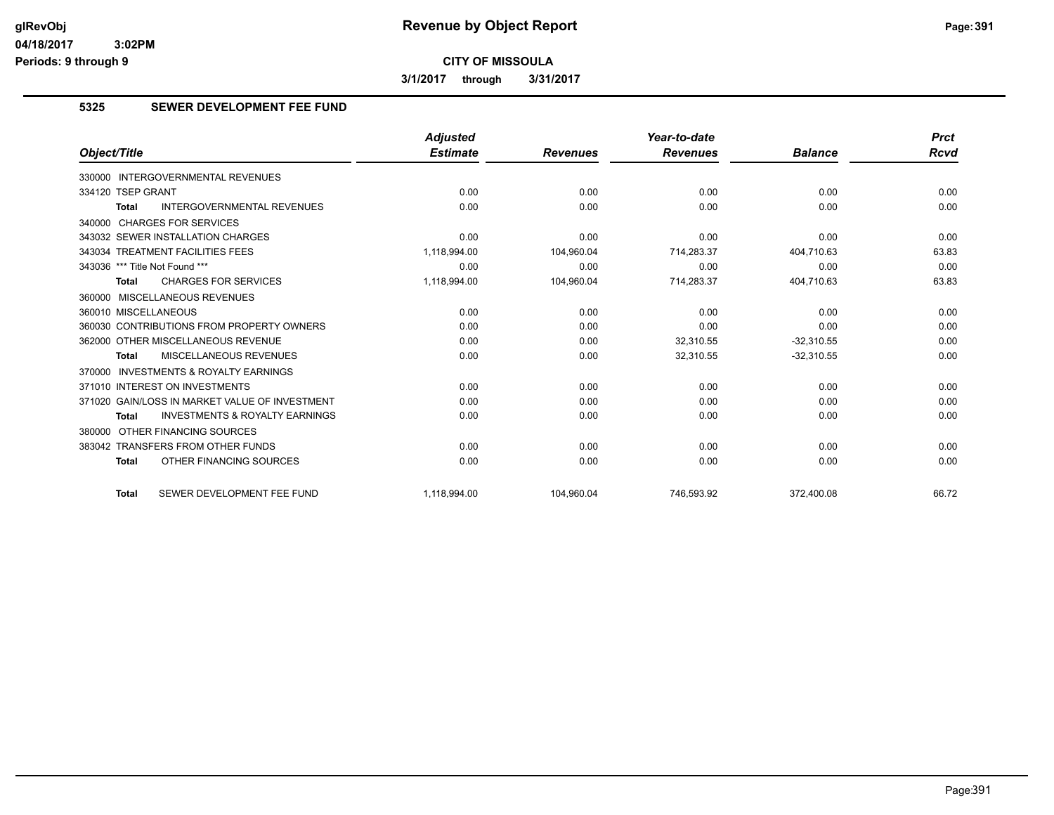**3/1/2017 through 3/31/2017**

# **5325 SEWER DEVELOPMENT FEE FUND**

|                                                           | <b>Adjusted</b> |                 | Year-to-date    |                | <b>Prct</b> |
|-----------------------------------------------------------|-----------------|-----------------|-----------------|----------------|-------------|
| Object/Title                                              | <b>Estimate</b> | <b>Revenues</b> | <b>Revenues</b> | <b>Balance</b> | <b>Rcvd</b> |
| 330000 INTERGOVERNMENTAL REVENUES                         |                 |                 |                 |                |             |
| 334120 TSEP GRANT                                         | 0.00            | 0.00            | 0.00            | 0.00           | 0.00        |
| <b>INTERGOVERNMENTAL REVENUES</b><br>Total                | 0.00            | 0.00            | 0.00            | 0.00           | 0.00        |
| 340000 CHARGES FOR SERVICES                               |                 |                 |                 |                |             |
| 343032 SEWER INSTALLATION CHARGES                         | 0.00            | 0.00            | 0.00            | 0.00           | 0.00        |
| 343034 TREATMENT FACILITIES FEES                          | 1,118,994.00    | 104,960.04      | 714,283.37      | 404,710.63     | 63.83       |
| 343036 *** Title Not Found ***                            | 0.00            | 0.00            | 0.00            | 0.00           | 0.00        |
| Total<br><b>CHARGES FOR SERVICES</b>                      | 1,118,994.00    | 104,960.04      | 714,283.37      | 404,710.63     | 63.83       |
| 360000 MISCELLANEOUS REVENUES                             |                 |                 |                 |                |             |
| 360010 MISCELLANEOUS                                      | 0.00            | 0.00            | 0.00            | 0.00           | 0.00        |
| 360030 CONTRIBUTIONS FROM PROPERTY OWNERS                 | 0.00            | 0.00            | 0.00            | 0.00           | 0.00        |
| 362000 OTHER MISCELLANEOUS REVENUE                        | 0.00            | 0.00            | 32,310.55       | $-32,310.55$   | 0.00        |
| <b>MISCELLANEOUS REVENUES</b><br><b>Total</b>             | 0.00            | 0.00            | 32,310.55       | $-32,310.55$   | 0.00        |
| 370000 INVESTMENTS & ROYALTY EARNINGS                     |                 |                 |                 |                |             |
| 371010 INTEREST ON INVESTMENTS                            | 0.00            | 0.00            | 0.00            | 0.00           | 0.00        |
| 371020 GAIN/LOSS IN MARKET VALUE OF INVESTMENT            | 0.00            | 0.00            | 0.00            | 0.00           | 0.00        |
| <b>INVESTMENTS &amp; ROYALTY EARNINGS</b><br><b>Total</b> | 0.00            | 0.00            | 0.00            | 0.00           | 0.00        |
| 380000 OTHER FINANCING SOURCES                            |                 |                 |                 |                |             |
| 383042 TRANSFERS FROM OTHER FUNDS                         | 0.00            | 0.00            | 0.00            | 0.00           | 0.00        |
| OTHER FINANCING SOURCES<br><b>Total</b>                   | 0.00            | 0.00            | 0.00            | 0.00           | 0.00        |
| SEWER DEVELOPMENT FEE FUND<br><b>Total</b>                | 1,118,994.00    | 104.960.04      | 746.593.92      | 372.400.08     | 66.72       |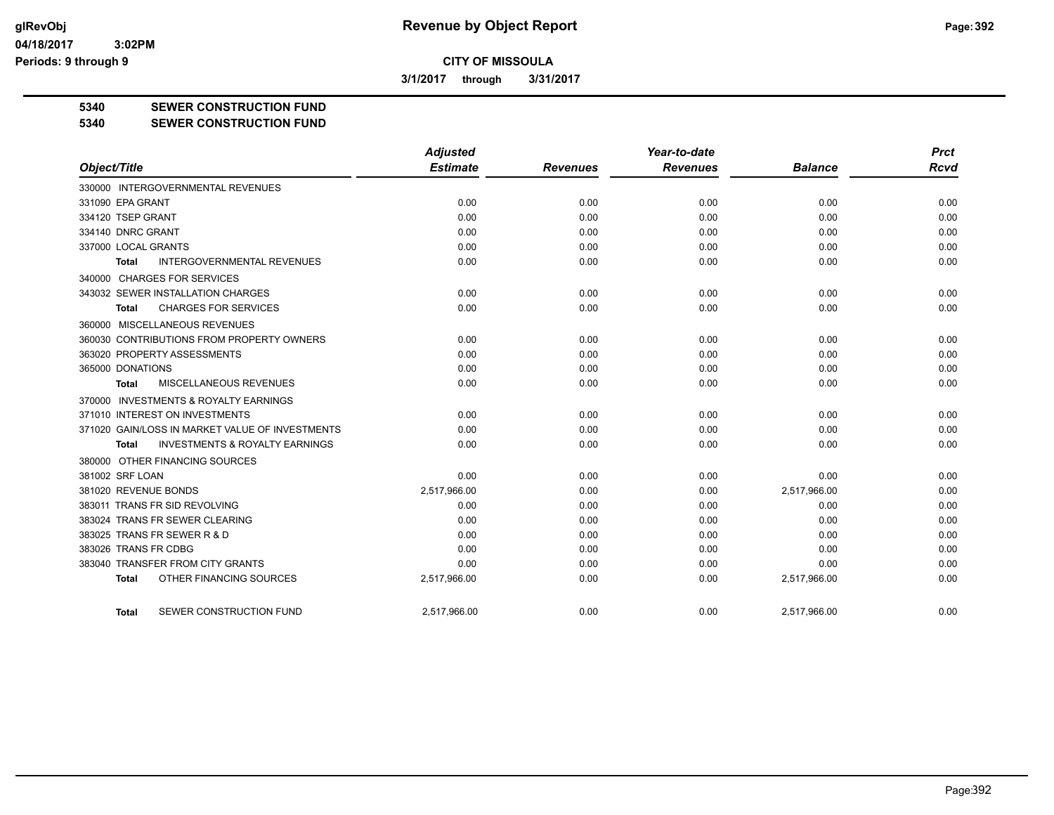**3/1/2017 through 3/31/2017**

**5340 SEWER CONSTRUCTION FUND**

**5340 SEWER CONSTRUCTION FUND**

|                                                    | <b>Adjusted</b> |                 | Year-to-date    |                | <b>Prct</b> |
|----------------------------------------------------|-----------------|-----------------|-----------------|----------------|-------------|
| Object/Title                                       | <b>Estimate</b> | <b>Revenues</b> | <b>Revenues</b> | <b>Balance</b> | <b>Rcvd</b> |
| 330000 INTERGOVERNMENTAL REVENUES                  |                 |                 |                 |                |             |
| 331090 EPA GRANT                                   | 0.00            | 0.00            | 0.00            | 0.00           | 0.00        |
| 334120 TSEP GRANT                                  | 0.00            | 0.00            | 0.00            | 0.00           | 0.00        |
| 334140 DNRC GRANT                                  | 0.00            | 0.00            | 0.00            | 0.00           | 0.00        |
| 337000 LOCAL GRANTS                                | 0.00            | 0.00            | 0.00            | 0.00           | 0.00        |
| <b>INTERGOVERNMENTAL REVENUES</b><br>Total         | 0.00            | 0.00            | 0.00            | 0.00           | 0.00        |
| 340000 CHARGES FOR SERVICES                        |                 |                 |                 |                |             |
| 343032 SEWER INSTALLATION CHARGES                  | 0.00            | 0.00            | 0.00            | 0.00           | 0.00        |
| <b>CHARGES FOR SERVICES</b><br><b>Total</b>        | 0.00            | 0.00            | 0.00            | 0.00           | 0.00        |
| 360000 MISCELLANEOUS REVENUES                      |                 |                 |                 |                |             |
| 360030 CONTRIBUTIONS FROM PROPERTY OWNERS          | 0.00            | 0.00            | 0.00            | 0.00           | 0.00        |
| 363020 PROPERTY ASSESSMENTS                        | 0.00            | 0.00            | 0.00            | 0.00           | 0.00        |
| 365000 DONATIONS                                   | 0.00            | 0.00            | 0.00            | 0.00           | 0.00        |
| MISCELLANEOUS REVENUES<br><b>Total</b>             | 0.00            | 0.00            | 0.00            | 0.00           | 0.00        |
| 370000 INVESTMENTS & ROYALTY EARNINGS              |                 |                 |                 |                |             |
| 371010 INTEREST ON INVESTMENTS                     | 0.00            | 0.00            | 0.00            | 0.00           | 0.00        |
| 371020 GAIN/LOSS IN MARKET VALUE OF INVESTMENTS    | 0.00            | 0.00            | 0.00            | 0.00           | 0.00        |
| <b>INVESTMENTS &amp; ROYALTY EARNINGS</b><br>Total | 0.00            | 0.00            | 0.00            | 0.00           | 0.00        |
| 380000 OTHER FINANCING SOURCES                     |                 |                 |                 |                |             |
| 381002 SRF LOAN                                    | 0.00            | 0.00            | 0.00            | 0.00           | 0.00        |
| 381020 REVENUE BONDS                               | 2,517,966.00    | 0.00            | 0.00            | 2,517,966.00   | 0.00        |
| 383011 TRANS FR SID REVOLVING                      | 0.00            | 0.00            | 0.00            | 0.00           | 0.00        |
| 383024 TRANS FR SEWER CLEARING                     | 0.00            | 0.00            | 0.00            | 0.00           | 0.00        |
| 383025 TRANS FR SEWER R & D                        | 0.00            | 0.00            | 0.00            | 0.00           | 0.00        |
| 383026 TRANS FR CDBG                               | 0.00            | 0.00            | 0.00            | 0.00           | 0.00        |
| 383040 TRANSFER FROM CITY GRANTS                   | 0.00            | 0.00            | 0.00            | 0.00           | 0.00        |
| OTHER FINANCING SOURCES<br>Total                   | 2,517,966.00    | 0.00            | 0.00            | 2,517,966.00   | 0.00        |
| SEWER CONSTRUCTION FUND<br>Total                   | 2,517,966.00    | 0.00            | 0.00            | 2,517,966.00   | 0.00        |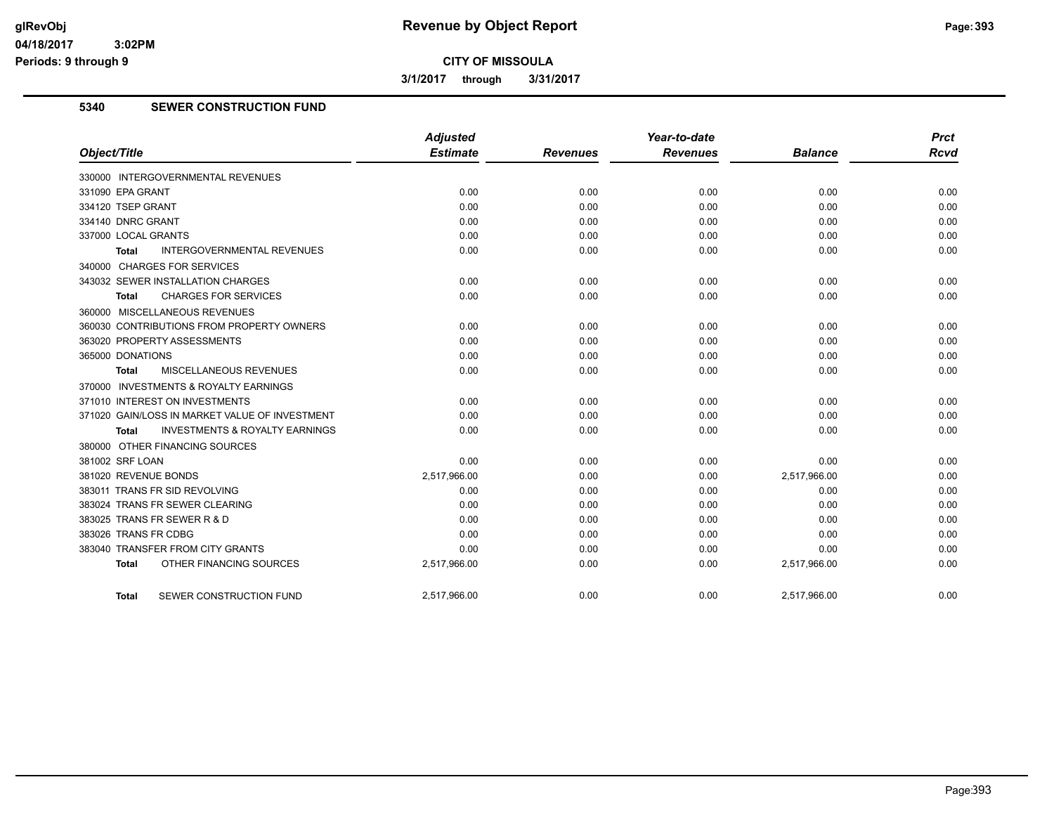**3/1/2017 through 3/31/2017**

# **5340 SEWER CONSTRUCTION FUND**

|                                                    | <b>Adjusted</b> |                 | Year-to-date    |                | <b>Prct</b> |
|----------------------------------------------------|-----------------|-----------------|-----------------|----------------|-------------|
| Object/Title                                       | <b>Estimate</b> | <b>Revenues</b> | <b>Revenues</b> | <b>Balance</b> | <b>Rcvd</b> |
| 330000 INTERGOVERNMENTAL REVENUES                  |                 |                 |                 |                |             |
| 331090 EPA GRANT                                   | 0.00            | 0.00            | 0.00            | 0.00           | 0.00        |
| 334120 TSEP GRANT                                  | 0.00            | 0.00            | 0.00            | 0.00           | 0.00        |
| 334140 DNRC GRANT                                  | 0.00            | 0.00            | 0.00            | 0.00           | 0.00        |
| 337000 LOCAL GRANTS                                | 0.00            | 0.00            | 0.00            | 0.00           | 0.00        |
| INTERGOVERNMENTAL REVENUES<br>Total                | 0.00            | 0.00            | 0.00            | 0.00           | 0.00        |
| 340000 CHARGES FOR SERVICES                        |                 |                 |                 |                |             |
| 343032 SEWER INSTALLATION CHARGES                  | 0.00            | 0.00            | 0.00            | 0.00           | 0.00        |
| <b>CHARGES FOR SERVICES</b><br>Total               | 0.00            | 0.00            | 0.00            | 0.00           | 0.00        |
| 360000 MISCELLANEOUS REVENUES                      |                 |                 |                 |                |             |
| 360030 CONTRIBUTIONS FROM PROPERTY OWNERS          | 0.00            | 0.00            | 0.00            | 0.00           | 0.00        |
| 363020 PROPERTY ASSESSMENTS                        | 0.00            | 0.00            | 0.00            | 0.00           | 0.00        |
| 365000 DONATIONS                                   | 0.00            | 0.00            | 0.00            | 0.00           | 0.00        |
| MISCELLANEOUS REVENUES<br>Total                    | 0.00            | 0.00            | 0.00            | 0.00           | 0.00        |
| 370000 INVESTMENTS & ROYALTY EARNINGS              |                 |                 |                 |                |             |
| 371010 INTEREST ON INVESTMENTS                     | 0.00            | 0.00            | 0.00            | 0.00           | 0.00        |
| 371020 GAIN/LOSS IN MARKET VALUE OF INVESTMENT     | 0.00            | 0.00            | 0.00            | 0.00           | 0.00        |
| <b>INVESTMENTS &amp; ROYALTY EARNINGS</b><br>Total | 0.00            | 0.00            | 0.00            | 0.00           | 0.00        |
| 380000 OTHER FINANCING SOURCES                     |                 |                 |                 |                |             |
| 381002 SRF LOAN                                    | 0.00            | 0.00            | 0.00            | 0.00           | 0.00        |
| 381020 REVENUE BONDS                               | 2,517,966.00    | 0.00            | 0.00            | 2,517,966.00   | 0.00        |
| 383011 TRANS FR SID REVOLVING                      | 0.00            | 0.00            | 0.00            | 0.00           | 0.00        |
| 383024 TRANS FR SEWER CLEARING                     | 0.00            | 0.00            | 0.00            | 0.00           | 0.00        |
| 383025 TRANS FR SEWER R & D                        | 0.00            | 0.00            | 0.00            | 0.00           | 0.00        |
| 383026 TRANS FR CDBG                               | 0.00            | 0.00            | 0.00            | 0.00           | 0.00        |
| 383040 TRANSFER FROM CITY GRANTS                   | 0.00            | 0.00            | 0.00            | 0.00           | 0.00        |
| OTHER FINANCING SOURCES<br><b>Total</b>            | 2,517,966.00    | 0.00            | 0.00            | 2,517,966.00   | 0.00        |
| SEWER CONSTRUCTION FUND<br><b>Total</b>            | 2.517.966.00    | 0.00            | 0.00            | 2.517.966.00   | 0.00        |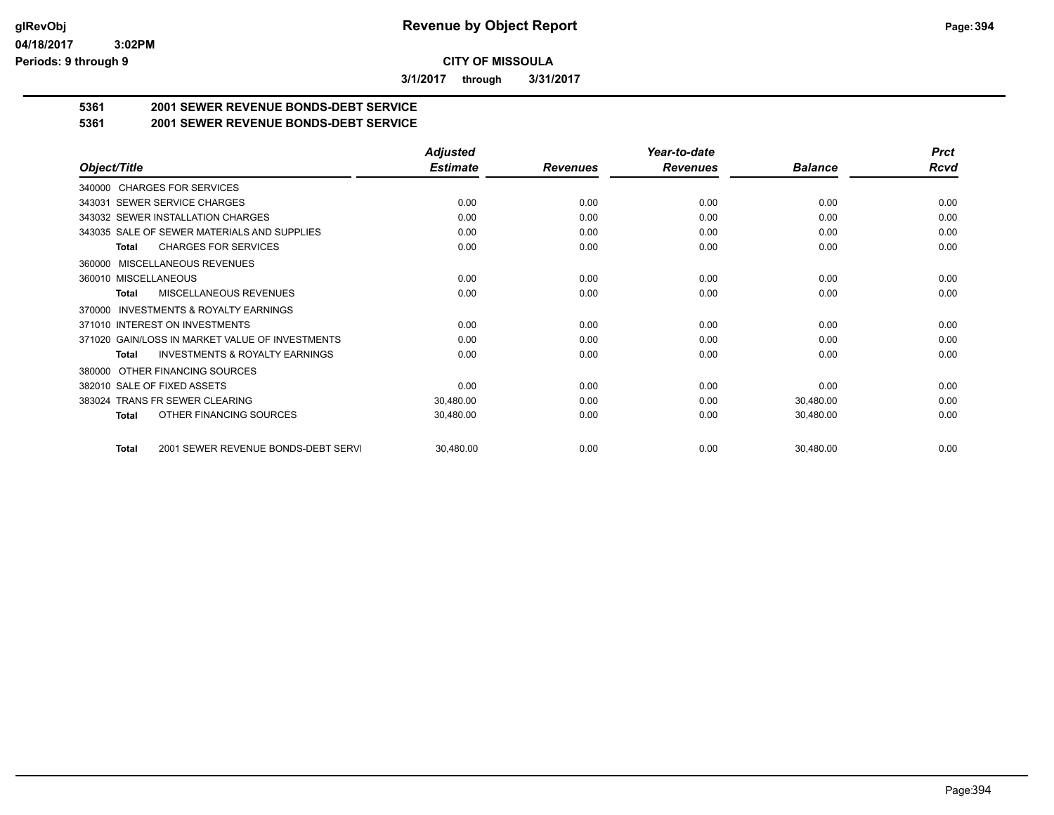**3/1/2017 through 3/31/2017**

# **5361 2001 SEWER REVENUE BONDS-DEBT SERVICE**

**5361 2001 SEWER REVENUE BONDS-DEBT SERVICE**

|                                                           | <b>Adjusted</b> |                 | Year-to-date    |                | <b>Prct</b> |
|-----------------------------------------------------------|-----------------|-----------------|-----------------|----------------|-------------|
| Object/Title                                              | <b>Estimate</b> | <b>Revenues</b> | <b>Revenues</b> | <b>Balance</b> | Rcvd        |
| 340000 CHARGES FOR SERVICES                               |                 |                 |                 |                |             |
| 343031 SEWER SERVICE CHARGES                              | 0.00            | 0.00            | 0.00            | 0.00           | 0.00        |
| 343032 SEWER INSTALLATION CHARGES                         | 0.00            | 0.00            | 0.00            | 0.00           | 0.00        |
| 343035 SALE OF SEWER MATERIALS AND SUPPLIES               | 0.00            | 0.00            | 0.00            | 0.00           | 0.00        |
| <b>CHARGES FOR SERVICES</b><br>Total                      | 0.00            | 0.00            | 0.00            | 0.00           | 0.00        |
| 360000 MISCELLANEOUS REVENUES                             |                 |                 |                 |                |             |
| 360010 MISCELLANEOUS                                      | 0.00            | 0.00            | 0.00            | 0.00           | 0.00        |
| MISCELLANEOUS REVENUES<br><b>Total</b>                    | 0.00            | 0.00            | 0.00            | 0.00           | 0.00        |
| <b>INVESTMENTS &amp; ROYALTY EARNINGS</b><br>370000       |                 |                 |                 |                |             |
| 371010 INTEREST ON INVESTMENTS                            | 0.00            | 0.00            | 0.00            | 0.00           | 0.00        |
| 371020 GAIN/LOSS IN MARKET VALUE OF INVESTMENTS           | 0.00            | 0.00            | 0.00            | 0.00           | 0.00        |
| <b>INVESTMENTS &amp; ROYALTY EARNINGS</b><br><b>Total</b> | 0.00            | 0.00            | 0.00            | 0.00           | 0.00        |
| 380000 OTHER FINANCING SOURCES                            |                 |                 |                 |                |             |
| 382010 SALE OF FIXED ASSETS                               | 0.00            | 0.00            | 0.00            | 0.00           | 0.00        |
| 383024 TRANS FR SEWER CLEARING                            | 30,480.00       | 0.00            | 0.00            | 30,480.00      | 0.00        |
| OTHER FINANCING SOURCES<br>Total                          | 30,480.00       | 0.00            | 0.00            | 30,480.00      | 0.00        |
| 2001 SEWER REVENUE BONDS-DEBT SERVI<br>Total              | 30,480.00       | 0.00            | 0.00            | 30,480.00      | 0.00        |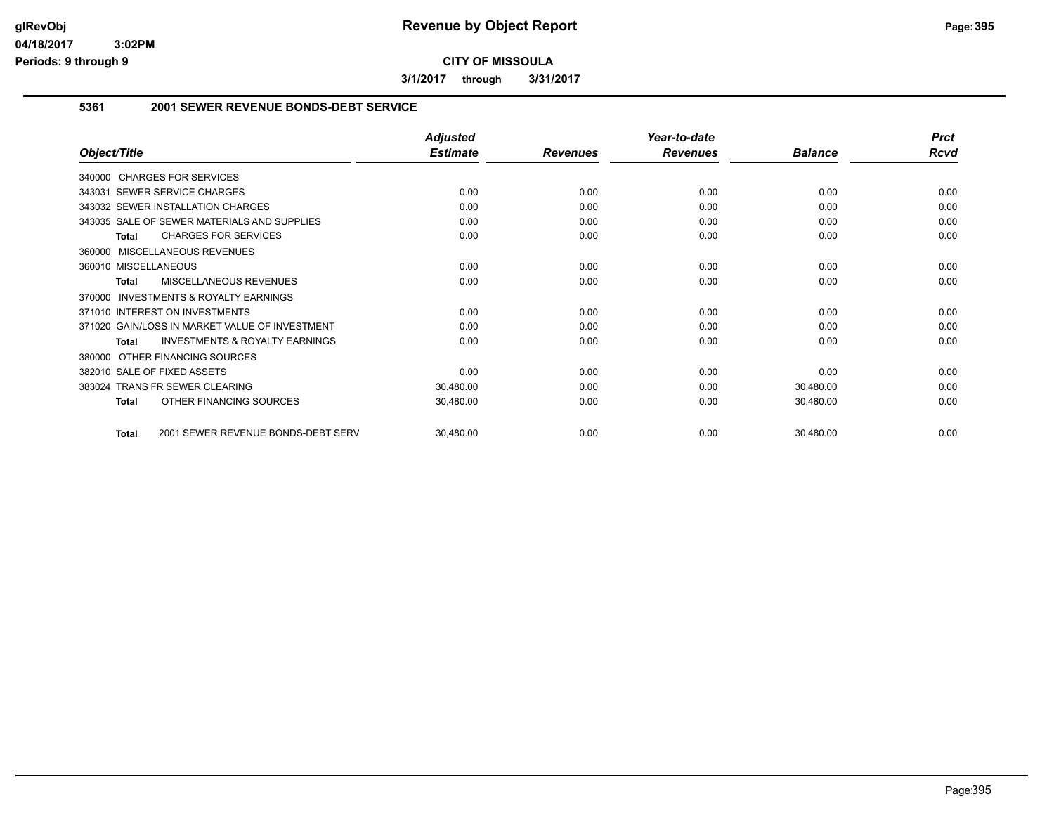**3/1/2017 through 3/31/2017**

# **5361 2001 SEWER REVENUE BONDS-DEBT SERVICE**

|                                                           | <b>Adjusted</b> |                 | Year-to-date    |                | <b>Prct</b> |
|-----------------------------------------------------------|-----------------|-----------------|-----------------|----------------|-------------|
| Object/Title                                              | <b>Estimate</b> | <b>Revenues</b> | <b>Revenues</b> | <b>Balance</b> | <b>Rcvd</b> |
| 340000 CHARGES FOR SERVICES                               |                 |                 |                 |                |             |
| 343031 SEWER SERVICE CHARGES                              | 0.00            | 0.00            | 0.00            | 0.00           | 0.00        |
| 343032 SEWER INSTALLATION CHARGES                         | 0.00            | 0.00            | 0.00            | 0.00           | 0.00        |
| 343035 SALE OF SEWER MATERIALS AND SUPPLIES               | 0.00            | 0.00            | 0.00            | 0.00           | 0.00        |
| <b>CHARGES FOR SERVICES</b><br>Total                      | 0.00            | 0.00            | 0.00            | 0.00           | 0.00        |
| MISCELLANEOUS REVENUES<br>360000                          |                 |                 |                 |                |             |
| 360010 MISCELLANEOUS                                      | 0.00            | 0.00            | 0.00            | 0.00           | 0.00        |
| MISCELLANEOUS REVENUES<br><b>Total</b>                    | 0.00            | 0.00            | 0.00            | 0.00           | 0.00        |
| <b>INVESTMENTS &amp; ROYALTY EARNINGS</b><br>370000       |                 |                 |                 |                |             |
| 371010 INTEREST ON INVESTMENTS                            | 0.00            | 0.00            | 0.00            | 0.00           | 0.00        |
| 371020 GAIN/LOSS IN MARKET VALUE OF INVESTMENT            | 0.00            | 0.00            | 0.00            | 0.00           | 0.00        |
| <b>INVESTMENTS &amp; ROYALTY EARNINGS</b><br><b>Total</b> | 0.00            | 0.00            | 0.00            | 0.00           | 0.00        |
| OTHER FINANCING SOURCES<br>380000                         |                 |                 |                 |                |             |
| 382010 SALE OF FIXED ASSETS                               | 0.00            | 0.00            | 0.00            | 0.00           | 0.00        |
| 383024 TRANS FR SEWER CLEARING                            | 30,480.00       | 0.00            | 0.00            | 30,480.00      | 0.00        |
| OTHER FINANCING SOURCES<br><b>Total</b>                   | 30,480.00       | 0.00            | 0.00            | 30,480.00      | 0.00        |
| 2001 SEWER REVENUE BONDS-DEBT SERV<br><b>Total</b>        | 30,480.00       | 0.00            | 0.00            | 30,480.00      | 0.00        |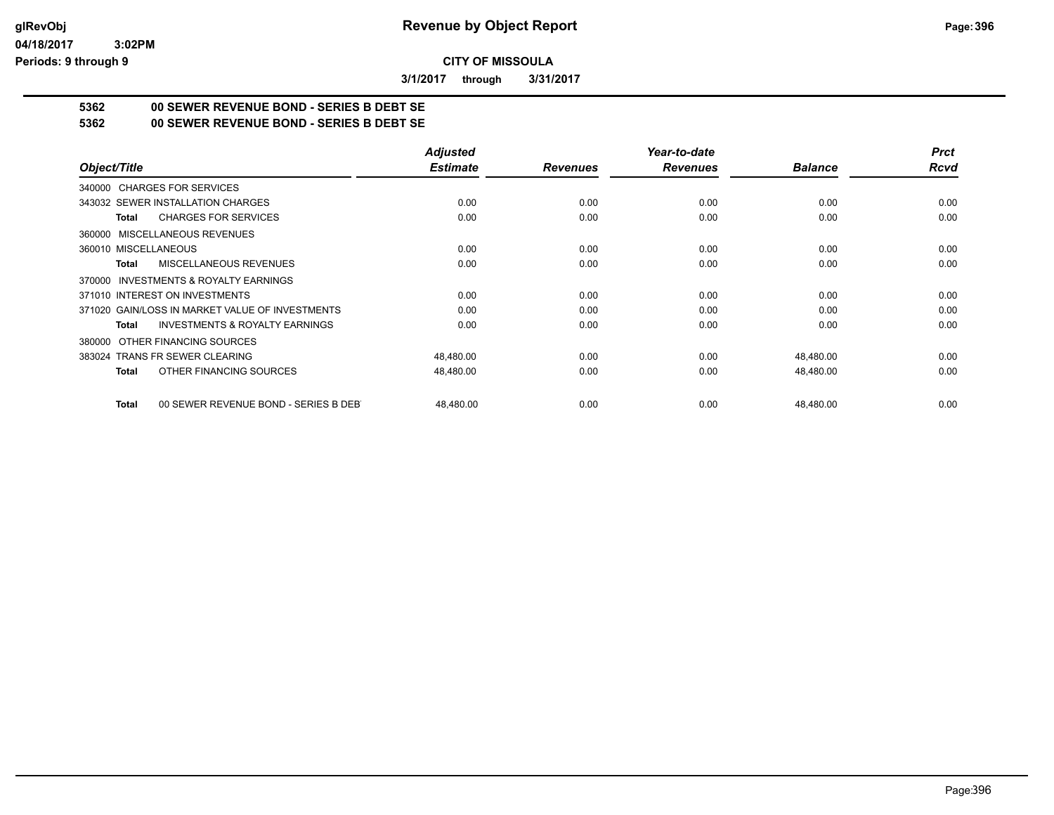**3/1/2017 through 3/31/2017**

# **5362 00 SEWER REVENUE BOND - SERIES B DEBT SE 5362 00 SEWER REVENUE BOND - SERIES B DEBT SE**

|                                                      | <b>Adjusted</b> |                 | Year-to-date    |                | <b>Prct</b> |
|------------------------------------------------------|-----------------|-----------------|-----------------|----------------|-------------|
| Object/Title                                         | <b>Estimate</b> | <b>Revenues</b> | <b>Revenues</b> | <b>Balance</b> | Rcvd        |
| 340000 CHARGES FOR SERVICES                          |                 |                 |                 |                |             |
| 343032 SEWER INSTALLATION CHARGES                    | 0.00            | 0.00            | 0.00            | 0.00           | 0.00        |
| <b>CHARGES FOR SERVICES</b><br><b>Total</b>          | 0.00            | 0.00            | 0.00            | 0.00           | 0.00        |
| MISCELLANEOUS REVENUES<br>360000                     |                 |                 |                 |                |             |
| 360010 MISCELLANEOUS                                 | 0.00            | 0.00            | 0.00            | 0.00           | 0.00        |
| <b>MISCELLANEOUS REVENUES</b><br>Total               | 0.00            | 0.00            | 0.00            | 0.00           | 0.00        |
| INVESTMENTS & ROYALTY EARNINGS<br>370000             |                 |                 |                 |                |             |
| 371010 INTEREST ON INVESTMENTS                       | 0.00            | 0.00            | 0.00            | 0.00           | 0.00        |
| 371020 GAIN/LOSS IN MARKET VALUE OF INVESTMENTS      | 0.00            | 0.00            | 0.00            | 0.00           | 0.00        |
| <b>INVESTMENTS &amp; ROYALTY EARNINGS</b><br>Total   | 0.00            | 0.00            | 0.00            | 0.00           | 0.00        |
| OTHER FINANCING SOURCES<br>380000                    |                 |                 |                 |                |             |
| 383024 TRANS FR SEWER CLEARING                       | 48,480.00       | 0.00            | 0.00            | 48,480.00      | 0.00        |
| OTHER FINANCING SOURCES<br><b>Total</b>              | 48,480.00       | 0.00            | 0.00            | 48,480.00      | 0.00        |
|                                                      |                 |                 |                 |                |             |
| 00 SEWER REVENUE BOND - SERIES B DEB<br><b>Total</b> | 48,480.00       | 0.00            | 0.00            | 48,480.00      | 0.00        |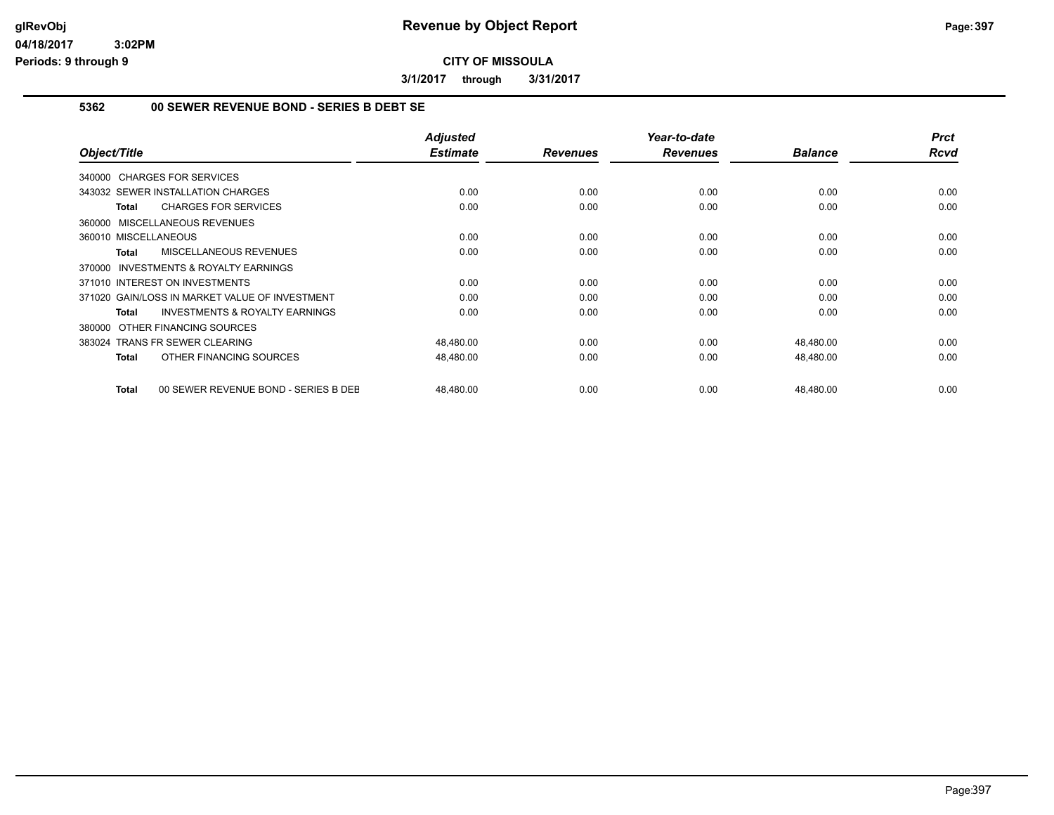**3/1/2017 through 3/31/2017**

## **5362 00 SEWER REVENUE BOND - SERIES B DEBT SE**

| Object/Title                                              | <b>Adjusted</b><br><b>Estimate</b> | <b>Revenues</b> | Year-to-date<br><b>Revenues</b> | <b>Balance</b> | <b>Prct</b><br><b>Rcvd</b> |
|-----------------------------------------------------------|------------------------------------|-----------------|---------------------------------|----------------|----------------------------|
|                                                           |                                    |                 |                                 |                |                            |
| 340000 CHARGES FOR SERVICES                               |                                    |                 |                                 |                |                            |
| 343032 SEWER INSTALLATION CHARGES                         | 0.00                               | 0.00            | 0.00                            | 0.00           | 0.00                       |
| <b>CHARGES FOR SERVICES</b><br>Total                      | 0.00                               | 0.00            | 0.00                            | 0.00           | 0.00                       |
| 360000 MISCELLANEOUS REVENUES                             |                                    |                 |                                 |                |                            |
| 360010 MISCELLANEOUS                                      | 0.00                               | 0.00            | 0.00                            | 0.00           | 0.00                       |
| <b>MISCELLANEOUS REVENUES</b><br>Total                    | 0.00                               | 0.00            | 0.00                            | 0.00           | 0.00                       |
| <b>INVESTMENTS &amp; ROYALTY EARNINGS</b><br>370000       |                                    |                 |                                 |                |                            |
| 371010 INTEREST ON INVESTMENTS                            | 0.00                               | 0.00            | 0.00                            | 0.00           | 0.00                       |
| 371020 GAIN/LOSS IN MARKET VALUE OF INVESTMENT            | 0.00                               | 0.00            | 0.00                            | 0.00           | 0.00                       |
| <b>INVESTMENTS &amp; ROYALTY EARNINGS</b><br><b>Total</b> | 0.00                               | 0.00            | 0.00                            | 0.00           | 0.00                       |
| 380000 OTHER FINANCING SOURCES                            |                                    |                 |                                 |                |                            |
| 383024 TRANS FR SEWER CLEARING                            | 48,480.00                          | 0.00            | 0.00                            | 48,480.00      | 0.00                       |
| OTHER FINANCING SOURCES<br>Total                          | 48,480.00                          | 0.00            | 0.00                            | 48,480.00      | 0.00                       |
|                                                           |                                    |                 |                                 |                |                            |
| 00 SEWER REVENUE BOND - SERIES B DEE<br>Total             | 48,480.00                          | 0.00            | 0.00                            | 48,480.00      | 0.00                       |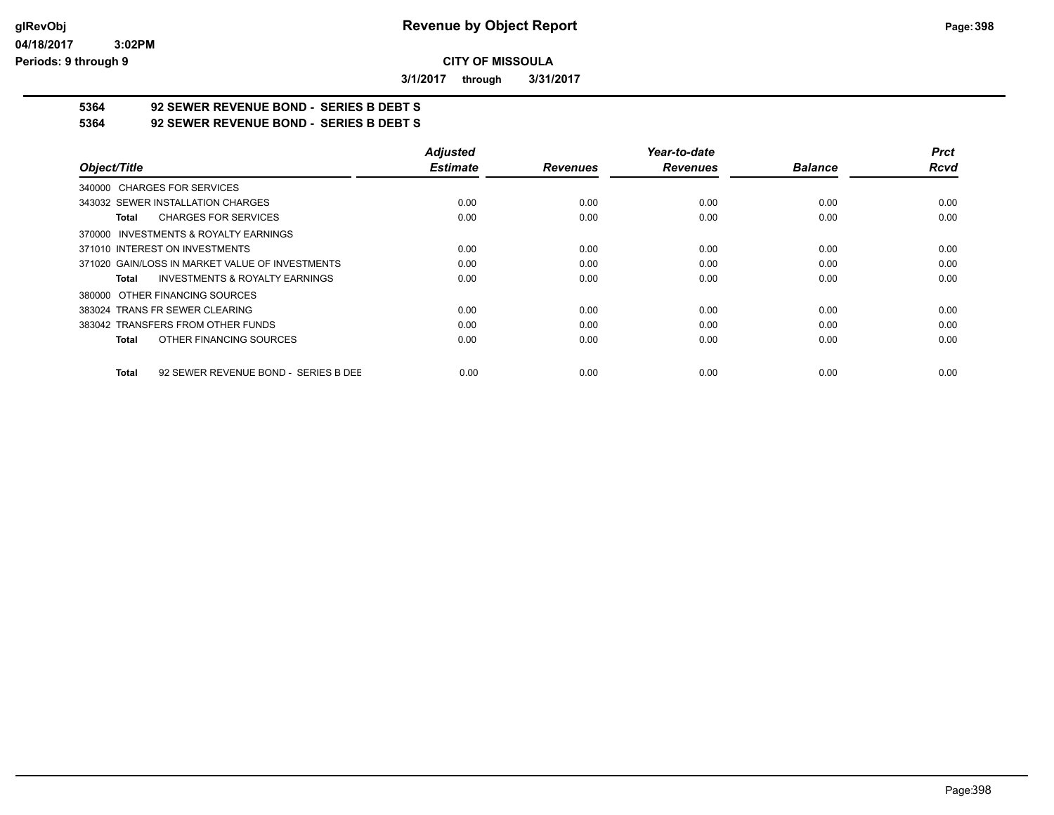**3/1/2017 through 3/31/2017**

## **5364 92 SEWER REVENUE BOND - SERIES B DEBT S 5364 92 SEWER REVENUE BOND - SERIES B DEBT S**

|                                                      | <b>Adjusted</b> |                 | Year-to-date    |                | <b>Prct</b> |
|------------------------------------------------------|-----------------|-----------------|-----------------|----------------|-------------|
| Object/Title                                         | <b>Estimate</b> | <b>Revenues</b> | <b>Revenues</b> | <b>Balance</b> | Rcvd        |
| 340000 CHARGES FOR SERVICES                          |                 |                 |                 |                |             |
| 343032 SEWER INSTALLATION CHARGES                    | 0.00            | 0.00            | 0.00            | 0.00           | 0.00        |
| <b>CHARGES FOR SERVICES</b><br>Total                 | 0.00            | 0.00            | 0.00            | 0.00           | 0.00        |
| 370000 INVESTMENTS & ROYALTY EARNINGS                |                 |                 |                 |                |             |
| 371010 INTEREST ON INVESTMENTS                       | 0.00            | 0.00            | 0.00            | 0.00           | 0.00        |
| 371020 GAIN/LOSS IN MARKET VALUE OF INVESTMENTS      | 0.00            | 0.00            | 0.00            | 0.00           | 0.00        |
| <b>INVESTMENTS &amp; ROYALTY EARNINGS</b><br>Total   | 0.00            | 0.00            | 0.00            | 0.00           | 0.00        |
| 380000 OTHER FINANCING SOURCES                       |                 |                 |                 |                |             |
| 383024 TRANS FR SEWER CLEARING                       | 0.00            | 0.00            | 0.00            | 0.00           | 0.00        |
| 383042 TRANSFERS FROM OTHER FUNDS                    | 0.00            | 0.00            | 0.00            | 0.00           | 0.00        |
| OTHER FINANCING SOURCES<br><b>Total</b>              | 0.00            | 0.00            | 0.00            | 0.00           | 0.00        |
| 92 SEWER REVENUE BOND - SERIES B DEE<br><b>Total</b> | 0.00            | 0.00            | 0.00            | 0.00           | 0.00        |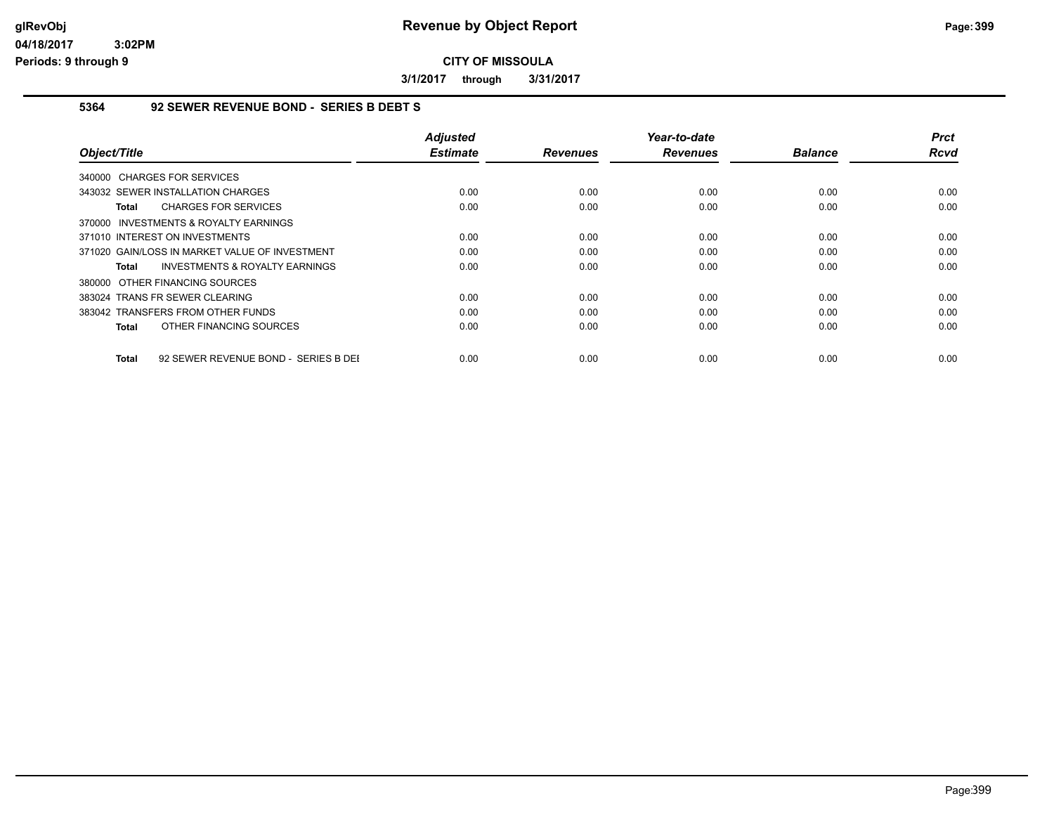**3/1/2017 through 3/31/2017**

## **5364 92 SEWER REVENUE BOND - SERIES B DEBT S**

| Object/Title                                         | <b>Adjusted</b><br><b>Estimate</b> | <b>Revenues</b> | Year-to-date<br><b>Revenues</b> | <b>Balance</b> | <b>Prct</b><br>Rcvd |
|------------------------------------------------------|------------------------------------|-----------------|---------------------------------|----------------|---------------------|
|                                                      |                                    |                 |                                 |                |                     |
| 340000 CHARGES FOR SERVICES                          |                                    |                 |                                 |                |                     |
| 343032 SEWER INSTALLATION CHARGES                    | 0.00                               | 0.00            | 0.00                            | 0.00           | 0.00                |
| <b>CHARGES FOR SERVICES</b><br>Total                 | 0.00                               | 0.00            | 0.00                            | 0.00           | 0.00                |
| 370000 INVESTMENTS & ROYALTY EARNINGS                |                                    |                 |                                 |                |                     |
| 371010 INTEREST ON INVESTMENTS                       | 0.00                               | 0.00            | 0.00                            | 0.00           | 0.00                |
| 371020 GAIN/LOSS IN MARKET VALUE OF INVESTMENT       | 0.00                               | 0.00            | 0.00                            | 0.00           | 0.00                |
| <b>INVESTMENTS &amp; ROYALTY EARNINGS</b><br>Total   | 0.00                               | 0.00            | 0.00                            | 0.00           | 0.00                |
| 380000 OTHER FINANCING SOURCES                       |                                    |                 |                                 |                |                     |
| 383024 TRANS FR SEWER CLEARING                       | 0.00                               | 0.00            | 0.00                            | 0.00           | 0.00                |
| 383042 TRANSFERS FROM OTHER FUNDS                    | 0.00                               | 0.00            | 0.00                            | 0.00           | 0.00                |
| OTHER FINANCING SOURCES<br><b>Total</b>              | 0.00                               | 0.00            | 0.00                            | 0.00           | 0.00                |
| 92 SEWER REVENUE BOND - SERIES B DEI<br><b>Total</b> | 0.00                               | 0.00            | 0.00                            | 0.00           | 0.00                |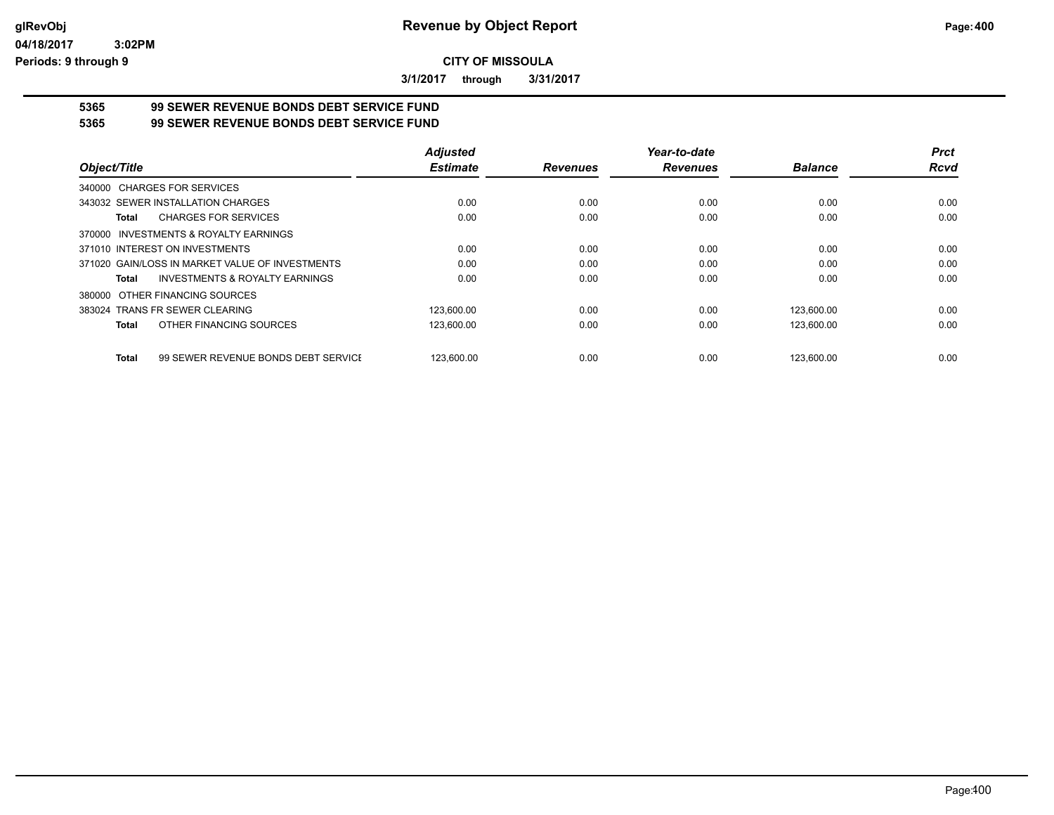*Prct Rcvd*

## **CITY OF MISSOULA**

**3/1/2017 through 3/31/2017**

#### **5365 99 SEWER REVENUE BONDS DEBT SERVICE FUND 5365 99 SEWER REVENUE BONDS DEBT SERVICE FUND**

|                                                 | <b>Adjusted</b> |                 | Year-to-date    |                | <b>Prct</b> |
|-------------------------------------------------|-----------------|-----------------|-----------------|----------------|-------------|
| Object/Title                                    | <b>Estimate</b> | <b>Revenues</b> | <b>Revenues</b> | <b>Balance</b> | Rcva        |
| 340000 CHARGES FOR SERVICES                     |                 |                 |                 |                |             |
| 343032 SEWER INSTALLATION CHARGES               | 0.00            | 0.00            | 0.00            | 0.00           | 0.00        |
| <b>CHARGES FOR SERVICES</b><br>Total            | 0.00            | 0.00            | 0.00            | 0.00           | 0.00        |
| INVESTMENTS & ROYALTY EARNINGS<br>370000        |                 |                 |                 |                |             |
| 371010 INTEREST ON INVESTMENTS                  | 0.00            | 0.00            | 0.00            | 0.00           | 0.00        |
| 371020 GAIN/LOSS IN MARKET VALUE OF INVESTMENTS | 0.00            | 0.00            | 0.00            | 0.00           | 0.00        |
| INVESTMENTS & ROYALTY EARNINGS<br>Total         | 0.00            | 0.00            | 0.00            | 0.00           | 0.00        |
| OTHER FINANCING SOURCES<br>380000               |                 |                 |                 |                |             |
| 383024 TRANS FR SEWER CLEARING                  | 123,600.00      | 0.00            | 0.00            | 123,600.00     | 0.00        |
| OTHER FINANCING SOURCES<br>Total                | 123,600.00      | 0.00            | 0.00            | 123.600.00     | 0.00        |
| 99 SEWER REVENUE BONDS DEBT SERVICE<br>Total    | 123,600.00      | 0.00            | 0.00            | 123,600.00     | 0.00        |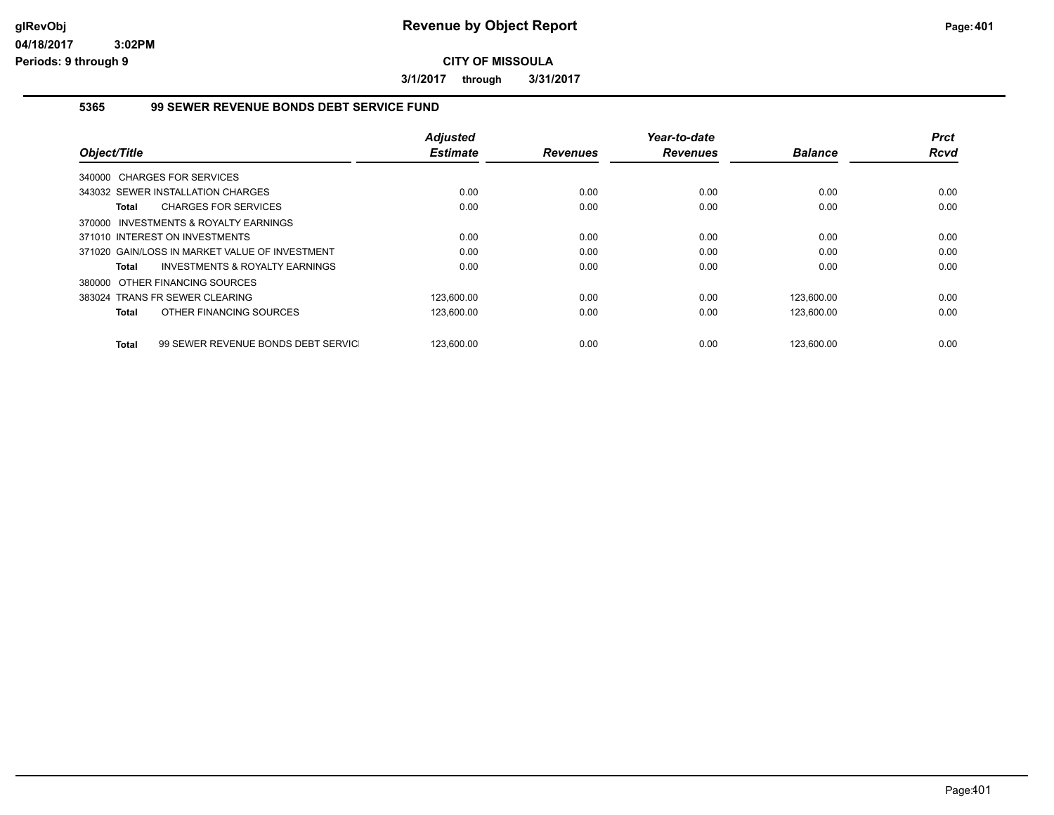**3/1/2017 through 3/31/2017**

## **5365 99 SEWER REVENUE BONDS DEBT SERVICE FUND**

| Object/Title                                              | <b>Adjusted</b><br><b>Estimate</b> | <b>Revenues</b> | Year-to-date<br><b>Revenues</b> | <b>Balance</b> | <b>Prct</b><br><b>Rcvd</b> |
|-----------------------------------------------------------|------------------------------------|-----------------|---------------------------------|----------------|----------------------------|
| <b>CHARGES FOR SERVICES</b><br>340000                     |                                    |                 |                                 |                |                            |
| 343032 SEWER INSTALLATION CHARGES                         | 0.00                               | 0.00            | 0.00                            | 0.00           | 0.00                       |
| <b>CHARGES FOR SERVICES</b><br><b>Total</b>               | 0.00                               | 0.00            | 0.00                            | 0.00           | 0.00                       |
| INVESTMENTS & ROYALTY EARNINGS<br>370000                  |                                    |                 |                                 |                |                            |
| 371010 INTEREST ON INVESTMENTS                            | 0.00                               | 0.00            | 0.00                            | 0.00           | 0.00                       |
| 371020 GAIN/LOSS IN MARKET VALUE OF INVESTMENT            | 0.00                               | 0.00            | 0.00                            | 0.00           | 0.00                       |
| <b>INVESTMENTS &amp; ROYALTY EARNINGS</b><br><b>Total</b> | 0.00                               | 0.00            | 0.00                            | 0.00           | 0.00                       |
| 380000 OTHER FINANCING SOURCES                            |                                    |                 |                                 |                |                            |
| 383024 TRANS FR SEWER CLEARING                            | 123,600.00                         | 0.00            | 0.00                            | 123,600.00     | 0.00                       |
| OTHER FINANCING SOURCES<br><b>Total</b>                   | 123,600.00                         | 0.00            | 0.00                            | 123,600.00     | 0.00                       |
| 99 SEWER REVENUE BONDS DEBT SERVIC<br><b>Total</b>        | 123.600.00                         | 0.00            | 0.00                            | 123.600.00     | 0.00                       |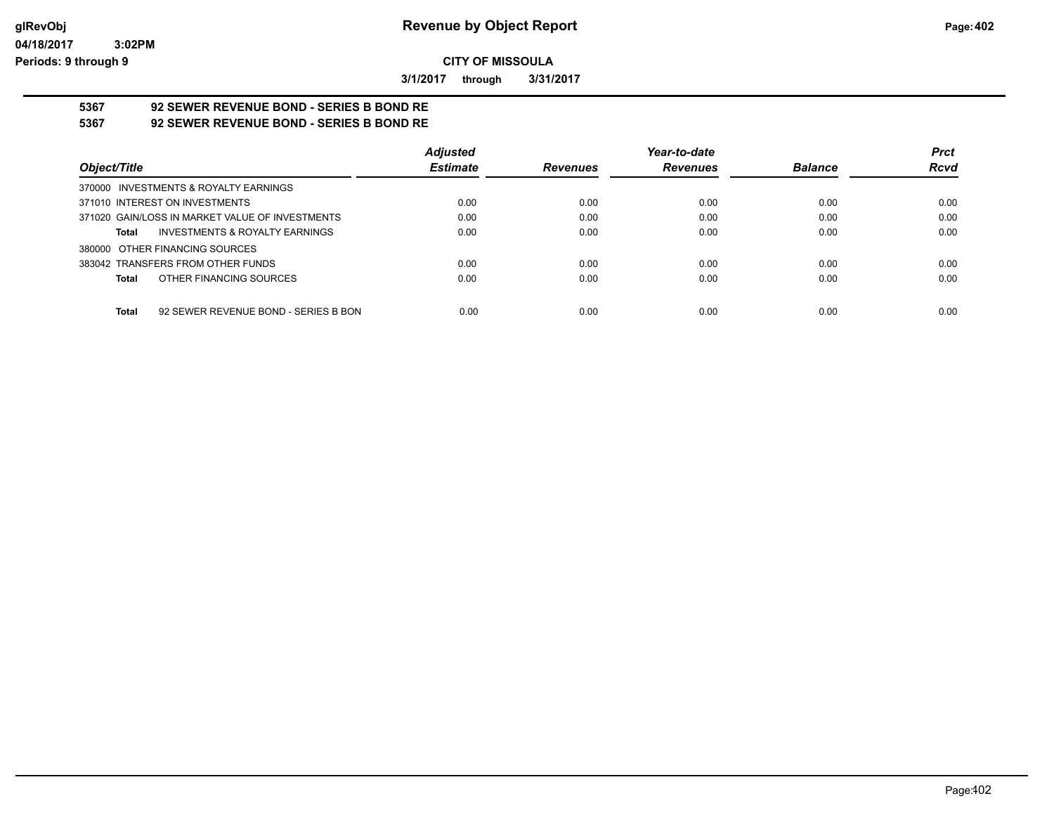**3/1/2017 through 3/31/2017**

## **5367 92 SEWER REVENUE BOND - SERIES B BOND RE 5367 92 SEWER REVENUE BOND - SERIES B BOND RE**

|                                                 | <b>Adjusted</b> |                 | Year-to-date    |                | <b>Prct</b> |
|-------------------------------------------------|-----------------|-----------------|-----------------|----------------|-------------|
| Object/Title                                    | <b>Estimate</b> | <b>Revenues</b> | <b>Revenues</b> | <b>Balance</b> | <b>Rcvd</b> |
| 370000 INVESTMENTS & ROYALTY EARNINGS           |                 |                 |                 |                |             |
| 371010 INTEREST ON INVESTMENTS                  | 0.00            | 0.00            | 0.00            | 0.00           | 0.00        |
| 371020 GAIN/LOSS IN MARKET VALUE OF INVESTMENTS | 0.00            | 0.00            | 0.00            | 0.00           | 0.00        |
| INVESTMENTS & ROYALTY EARNINGS<br>Total         | 0.00            | 0.00            | 0.00            | 0.00           | 0.00        |
| 380000 OTHER FINANCING SOURCES                  |                 |                 |                 |                |             |
| 383042 TRANSFERS FROM OTHER FUNDS               | 0.00            | 0.00            | 0.00            | 0.00           | 0.00        |
| OTHER FINANCING SOURCES<br>Total                | 0.00            | 0.00            | 0.00            | 0.00           | 0.00        |
|                                                 |                 |                 |                 |                |             |
| Total<br>92 SEWER REVENUE BOND - SERIES B BON   | 0.00            | 0.00            | 0.00            | 0.00           | 0.00        |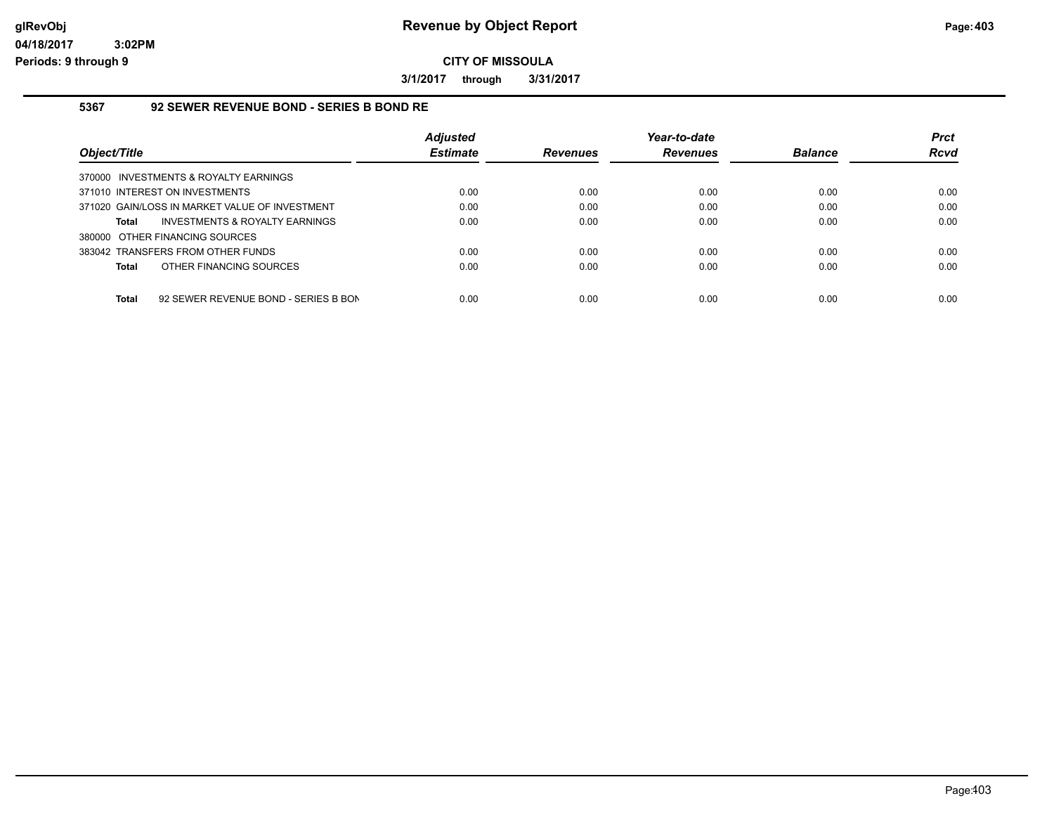**3/1/2017 through 3/31/2017**

## **5367 92 SEWER REVENUE BOND - SERIES B BOND RE**

| Object/Title                                   | <b>Adjusted</b><br><b>Estimate</b> | <b>Revenues</b> | Year-to-date<br><b>Revenues</b> | <b>Balance</b> | <b>Prct</b><br><b>Rcvd</b> |
|------------------------------------------------|------------------------------------|-----------------|---------------------------------|----------------|----------------------------|
|                                                |                                    |                 |                                 |                |                            |
| 370000 INVESTMENTS & ROYALTY EARNINGS          |                                    |                 |                                 |                |                            |
| 371010 INTEREST ON INVESTMENTS                 | 0.00                               | 0.00            | 0.00                            | 0.00           | 0.00                       |
| 371020 GAIN/LOSS IN MARKET VALUE OF INVESTMENT | 0.00                               | 0.00            | 0.00                            | 0.00           | 0.00                       |
| Total<br>INVESTMENTS & ROYALTY EARNINGS        | 0.00                               | 0.00            | 0.00                            | 0.00           | 0.00                       |
| 380000 OTHER FINANCING SOURCES                 |                                    |                 |                                 |                |                            |
| 383042 TRANSFERS FROM OTHER FUNDS              | 0.00                               | 0.00            | 0.00                            | 0.00           | 0.00                       |
| OTHER FINANCING SOURCES<br>Total               | 0.00                               | 0.00            | 0.00                            | 0.00           | 0.00                       |
|                                                |                                    |                 |                                 |                |                            |
| Total<br>92 SEWER REVENUE BOND - SERIES B BON  | 0.00                               | 0.00            | 0.00                            | 0.00           | 0.00                       |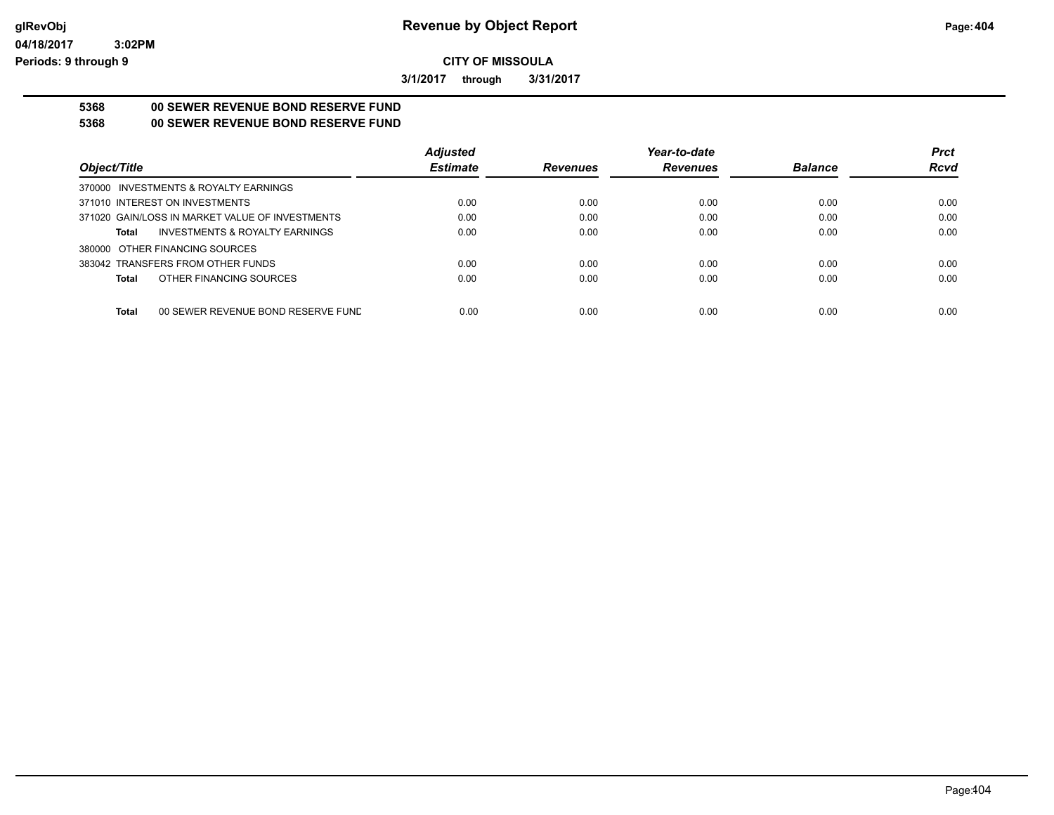**3/1/2017 through 3/31/2017**

## **5368 00 SEWER REVENUE BOND RESERVE FUND 5368 00 SEWER REVENUE BOND RESERVE FUND**

|                                                 | <b>Adjusted</b> |                 | Year-to-date    |                | <b>Prct</b> |
|-------------------------------------------------|-----------------|-----------------|-----------------|----------------|-------------|
| Object/Title                                    | <b>Estimate</b> | <b>Revenues</b> | <b>Revenues</b> | <b>Balance</b> | <b>Rcvd</b> |
| 370000 INVESTMENTS & ROYALTY EARNINGS           |                 |                 |                 |                |             |
| 371010 INTEREST ON INVESTMENTS                  | 0.00            | 0.00            | 0.00            | 0.00           | 0.00        |
| 371020 GAIN/LOSS IN MARKET VALUE OF INVESTMENTS | 0.00            | 0.00            | 0.00            | 0.00           | 0.00        |
| INVESTMENTS & ROYALTY EARNINGS<br>Total         | 0.00            | 0.00            | 0.00            | 0.00           | 0.00        |
| 380000 OTHER FINANCING SOURCES                  |                 |                 |                 |                |             |
| 383042 TRANSFERS FROM OTHER FUNDS               | 0.00            | 0.00            | 0.00            | 0.00           | 0.00        |
| OTHER FINANCING SOURCES<br>Total                | 0.00            | 0.00            | 0.00            | 0.00           | 0.00        |
|                                                 |                 |                 |                 |                |             |
| 00 SEWER REVENUE BOND RESERVE FUND<br>Total     | 0.00            | 0.00            | 0.00            | 0.00           | 0.00        |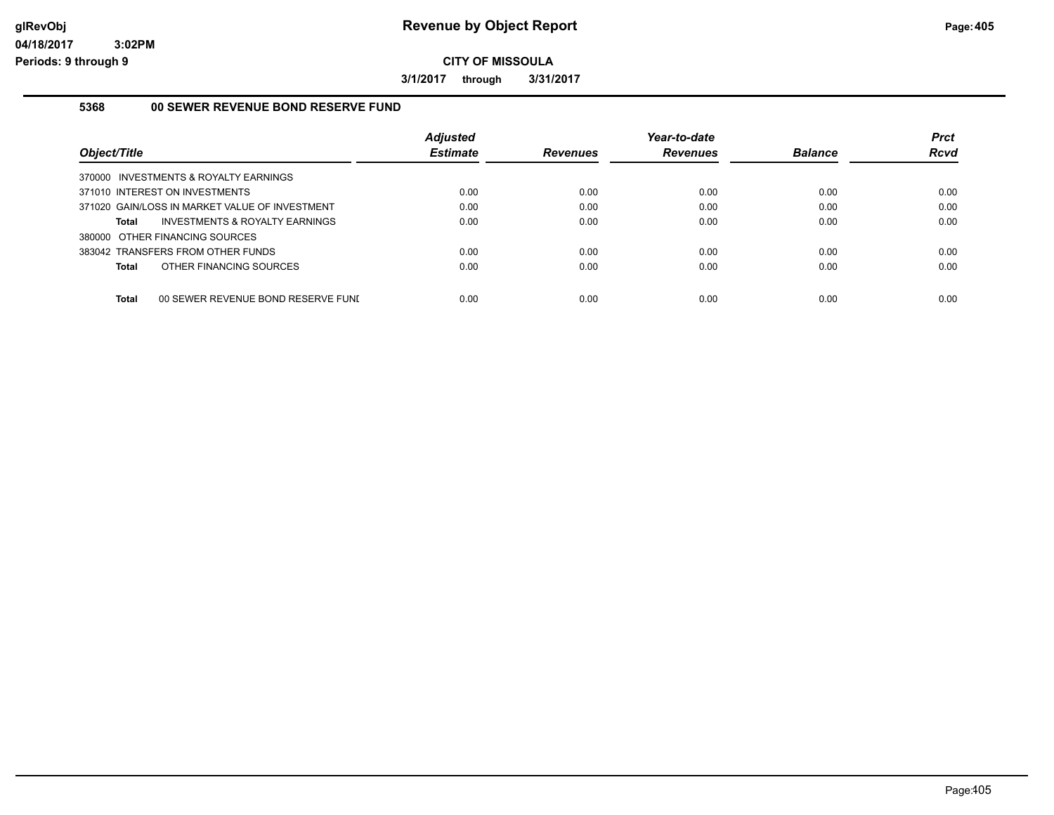**3/1/2017 through 3/31/2017**

#### **5368 00 SEWER REVENUE BOND RESERVE FUND**

| Object/Title                                   | <b>Adjusted</b><br><b>Estimate</b> | <b>Revenues</b> | Year-to-date<br><b>Revenues</b> | <b>Balance</b> | <b>Prct</b><br><b>Rcvd</b> |
|------------------------------------------------|------------------------------------|-----------------|---------------------------------|----------------|----------------------------|
|                                                |                                    |                 |                                 |                |                            |
| 370000 INVESTMENTS & ROYALTY EARNINGS          |                                    |                 |                                 |                |                            |
| 371010 INTEREST ON INVESTMENTS                 | 0.00                               | 0.00            | 0.00                            | 0.00           | 0.00                       |
| 371020 GAIN/LOSS IN MARKET VALUE OF INVESTMENT | 0.00                               | 0.00            | 0.00                            | 0.00           | 0.00                       |
| Total<br>INVESTMENTS & ROYALTY EARNINGS        | 0.00                               | 0.00            | 0.00                            | 0.00           | 0.00                       |
| 380000 OTHER FINANCING SOURCES                 |                                    |                 |                                 |                |                            |
| 383042 TRANSFERS FROM OTHER FUNDS              | 0.00                               | 0.00            | 0.00                            | 0.00           | 0.00                       |
| OTHER FINANCING SOURCES<br>Total               | 0.00                               | 0.00            | 0.00                            | 0.00           | 0.00                       |
|                                                |                                    |                 |                                 |                |                            |
| Total<br>00 SEWER REVENUE BOND RESERVE FUNI    | 0.00                               | 0.00            | 0.00                            | 0.00           | 0.00                       |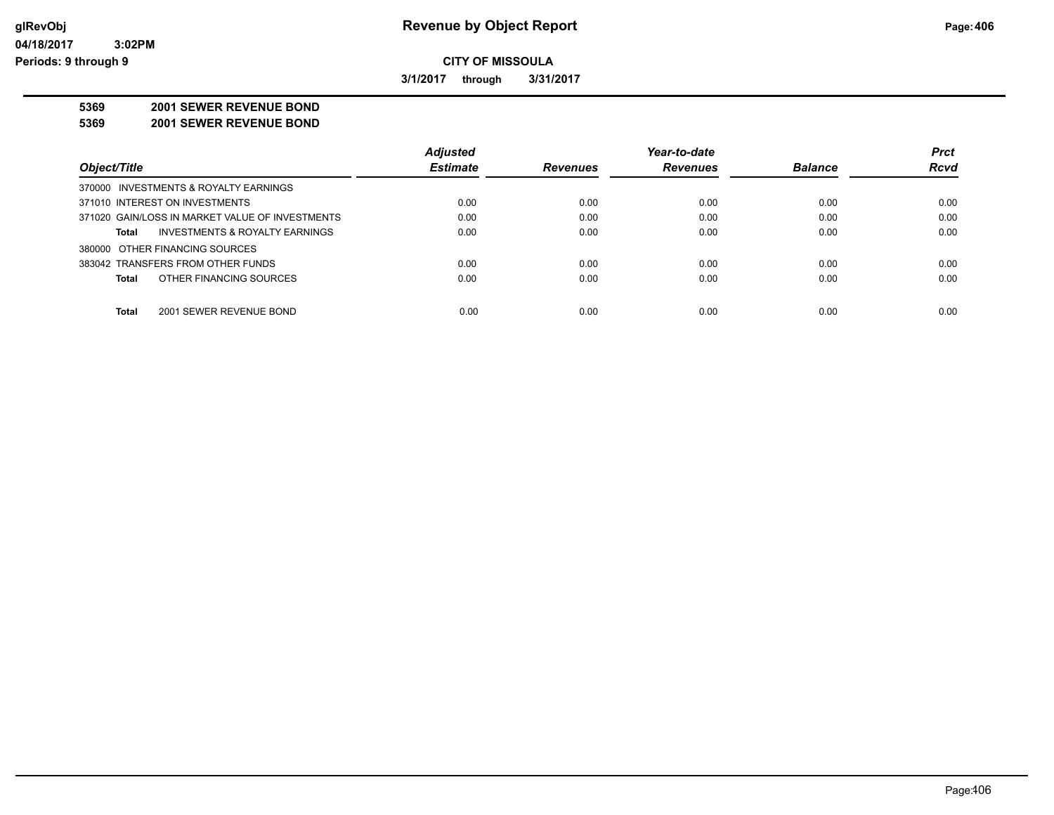**3/1/2017 through 3/31/2017**

**5369 2001 SEWER REVENUE BOND**

**5369 2001 SEWER REVENUE BOND**

|                                                 | <b>Adjusted</b> |                 | Year-to-date    |                | <b>Prct</b> |
|-------------------------------------------------|-----------------|-----------------|-----------------|----------------|-------------|
| Object/Title                                    | <b>Estimate</b> | <b>Revenues</b> | <b>Revenues</b> | <b>Balance</b> | <b>Rcvd</b> |
| 370000 INVESTMENTS & ROYALTY EARNINGS           |                 |                 |                 |                |             |
| 371010 INTEREST ON INVESTMENTS                  | 0.00            | 0.00            | 0.00            | 0.00           | 0.00        |
| 371020 GAIN/LOSS IN MARKET VALUE OF INVESTMENTS | 0.00            | 0.00            | 0.00            | 0.00           | 0.00        |
| INVESTMENTS & ROYALTY EARNINGS<br><b>Total</b>  | 0.00            | 0.00            | 0.00            | 0.00           | 0.00        |
| 380000 OTHER FINANCING SOURCES                  |                 |                 |                 |                |             |
| 383042 TRANSFERS FROM OTHER FUNDS               | 0.00            | 0.00            | 0.00            | 0.00           | 0.00        |
| OTHER FINANCING SOURCES<br><b>Total</b>         | 0.00            | 0.00            | 0.00            | 0.00           | 0.00        |
| <b>Total</b><br>2001 SEWER REVENUE BOND         | 0.00            | 0.00            | 0.00            | 0.00           | 0.00        |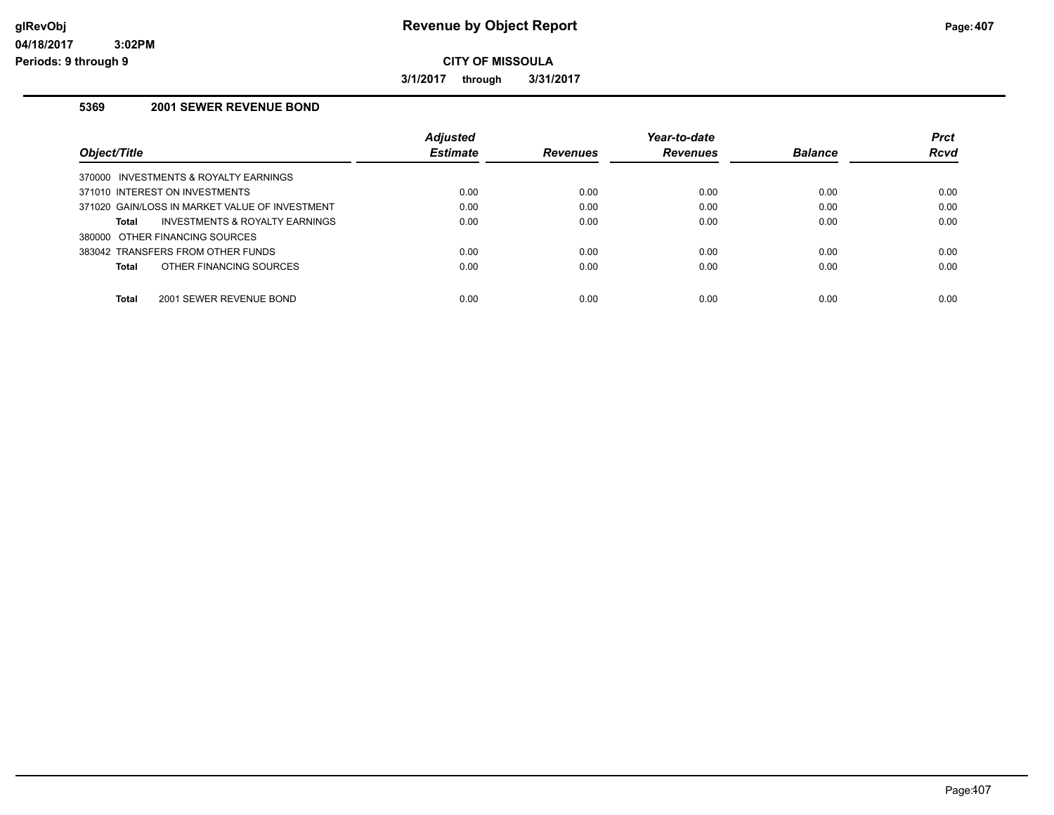**3/1/2017 through 3/31/2017**

#### **5369 2001 SEWER REVENUE BOND**

|                                                | <b>Adjusted</b> |                 | Year-to-date    | <b>Prct</b>    |             |
|------------------------------------------------|-----------------|-----------------|-----------------|----------------|-------------|
| Object/Title                                   | <b>Estimate</b> | <b>Revenues</b> | <b>Revenues</b> | <b>Balance</b> | <b>Rcvd</b> |
| 370000 INVESTMENTS & ROYALTY EARNINGS          |                 |                 |                 |                |             |
| 371010 INTEREST ON INVESTMENTS                 | 0.00            | 0.00            | 0.00            | 0.00           | 0.00        |
| 371020 GAIN/LOSS IN MARKET VALUE OF INVESTMENT | 0.00            | 0.00            | 0.00            | 0.00           | 0.00        |
| Total<br>INVESTMENTS & ROYALTY EARNINGS        | 0.00            | 0.00            | 0.00            | 0.00           | 0.00        |
| 380000 OTHER FINANCING SOURCES                 |                 |                 |                 |                |             |
| 383042 TRANSFERS FROM OTHER FUNDS              | 0.00            | 0.00            | 0.00            | 0.00           | 0.00        |
| OTHER FINANCING SOURCES<br>Total               | 0.00            | 0.00            | 0.00            | 0.00           | 0.00        |
| Total<br>2001 SEWER REVENUE BOND               | 0.00            | 0.00            | 0.00            | 0.00           | 0.00        |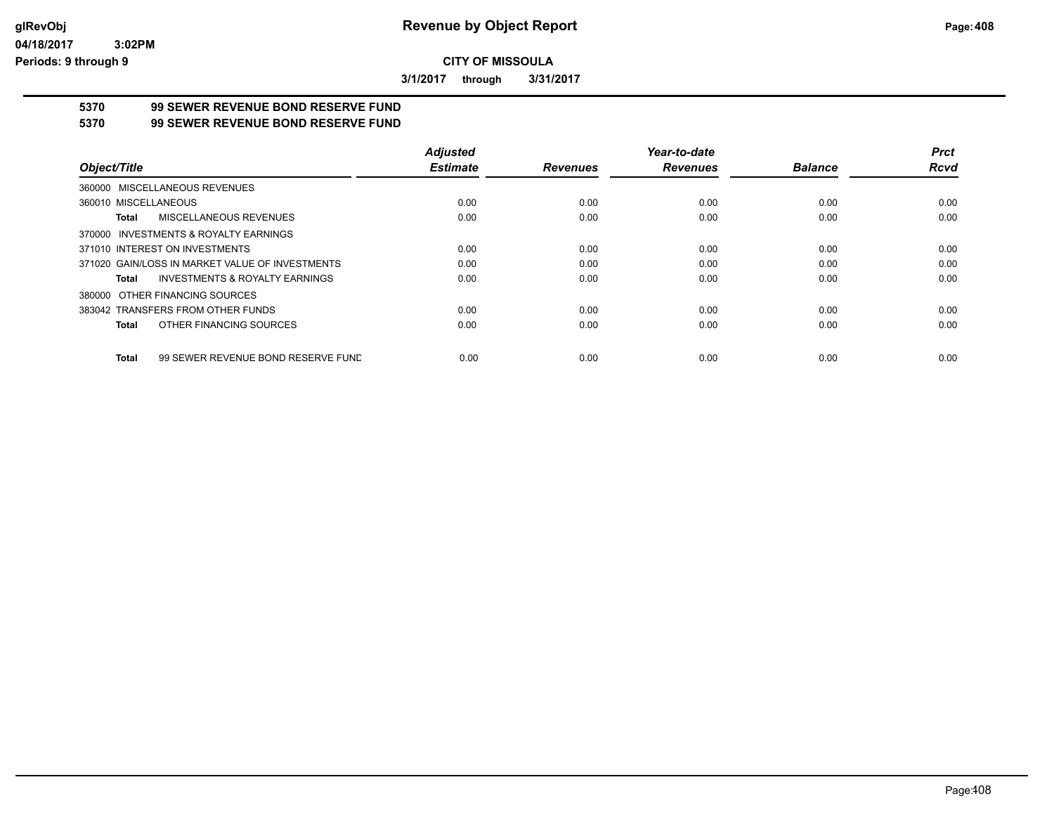**3/1/2017 through 3/31/2017**

## **5370 99 SEWER REVENUE BOND RESERVE FUND 5370 99 SEWER REVENUE BOND RESERVE FUND**

|                                                    | <b>Adjusted</b> |                 | Year-to-date    |                | <b>Prct</b> |
|----------------------------------------------------|-----------------|-----------------|-----------------|----------------|-------------|
| Object/Title                                       | <b>Estimate</b> | <b>Revenues</b> | <b>Revenues</b> | <b>Balance</b> | Rcvd        |
| 360000 MISCELLANEOUS REVENUES                      |                 |                 |                 |                |             |
| 360010 MISCELLANEOUS                               | 0.00            | 0.00            | 0.00            | 0.00           | 0.00        |
| MISCELLANEOUS REVENUES<br>Total                    | 0.00            | 0.00            | 0.00            | 0.00           | 0.00        |
| 370000 INVESTMENTS & ROYALTY EARNINGS              |                 |                 |                 |                |             |
| 371010 INTEREST ON INVESTMENTS                     | 0.00            | 0.00            | 0.00            | 0.00           | 0.00        |
| 371020 GAIN/LOSS IN MARKET VALUE OF INVESTMENTS    | 0.00            | 0.00            | 0.00            | 0.00           | 0.00        |
| <b>INVESTMENTS &amp; ROYALTY EARNINGS</b><br>Total | 0.00            | 0.00            | 0.00            | 0.00           | 0.00        |
| 380000 OTHER FINANCING SOURCES                     |                 |                 |                 |                |             |
| 383042 TRANSFERS FROM OTHER FUNDS                  | 0.00            | 0.00            | 0.00            | 0.00           | 0.00        |
| OTHER FINANCING SOURCES<br>Total                   | 0.00            | 0.00            | 0.00            | 0.00           | 0.00        |
| 99 SEWER REVENUE BOND RESERVE FUND<br><b>Total</b> | 0.00            | 0.00            | 0.00            | 0.00           | 0.00        |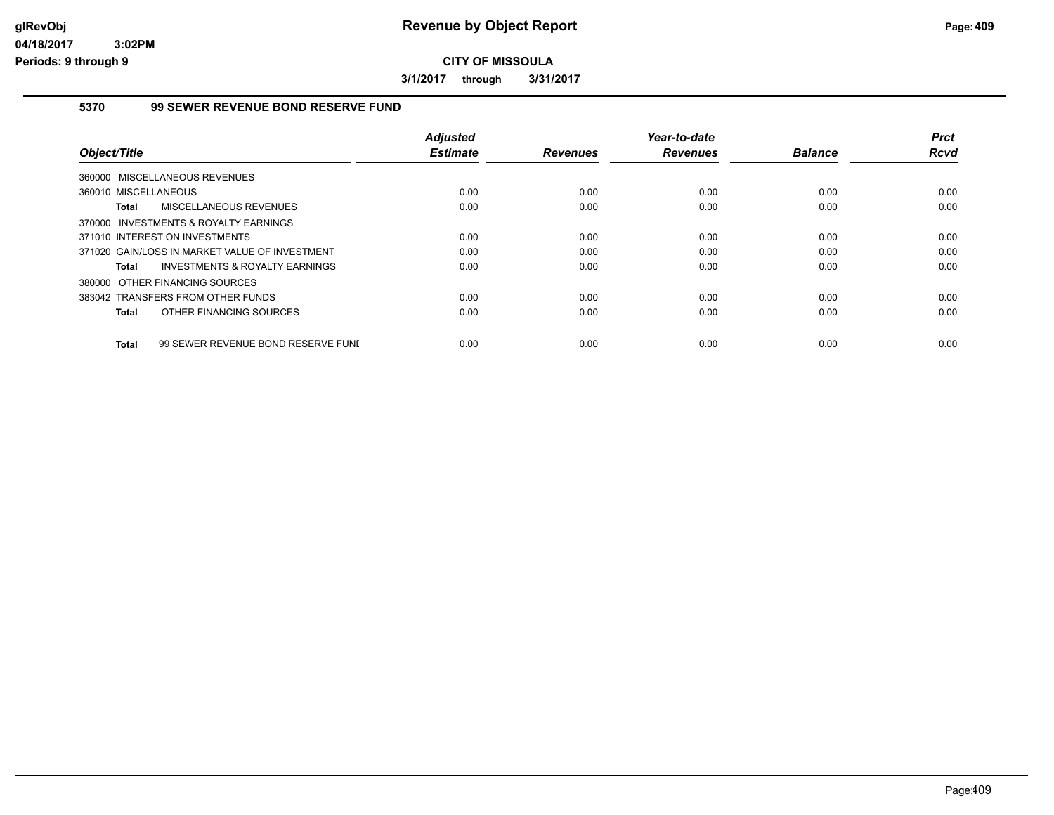**3/1/2017 through 3/31/2017**

#### **5370 99 SEWER REVENUE BOND RESERVE FUND**

| Object/Title                                       | <b>Adjusted</b><br><b>Estimate</b> | <b>Revenues</b> | Year-to-date<br><b>Revenues</b> | <b>Balance</b> | <b>Prct</b><br><b>Rcvd</b> |
|----------------------------------------------------|------------------------------------|-----------------|---------------------------------|----------------|----------------------------|
|                                                    |                                    |                 |                                 |                |                            |
| 360000 MISCELLANEOUS REVENUES                      |                                    |                 |                                 |                |                            |
| 360010 MISCELLANEOUS                               | 0.00                               | 0.00            | 0.00                            | 0.00           | 0.00                       |
| MISCELLANEOUS REVENUES<br>Total                    | 0.00                               | 0.00            | 0.00                            | 0.00           | 0.00                       |
| 370000 INVESTMENTS & ROYALTY EARNINGS              |                                    |                 |                                 |                |                            |
| 371010 INTEREST ON INVESTMENTS                     | 0.00                               | 0.00            | 0.00                            | 0.00           | 0.00                       |
| 371020 GAIN/LOSS IN MARKET VALUE OF INVESTMENT     | 0.00                               | 0.00            | 0.00                            | 0.00           | 0.00                       |
| INVESTMENTS & ROYALTY EARNINGS<br>Total            | 0.00                               | 0.00            | 0.00                            | 0.00           | 0.00                       |
| 380000 OTHER FINANCING SOURCES                     |                                    |                 |                                 |                |                            |
| 383042 TRANSFERS FROM OTHER FUNDS                  | 0.00                               | 0.00            | 0.00                            | 0.00           | 0.00                       |
| OTHER FINANCING SOURCES<br>Total                   | 0.00                               | 0.00            | 0.00                            | 0.00           | 0.00                       |
| 99 SEWER REVENUE BOND RESERVE FUNI<br><b>Total</b> | 0.00                               | 0.00            | 0.00                            | 0.00           | 0.00                       |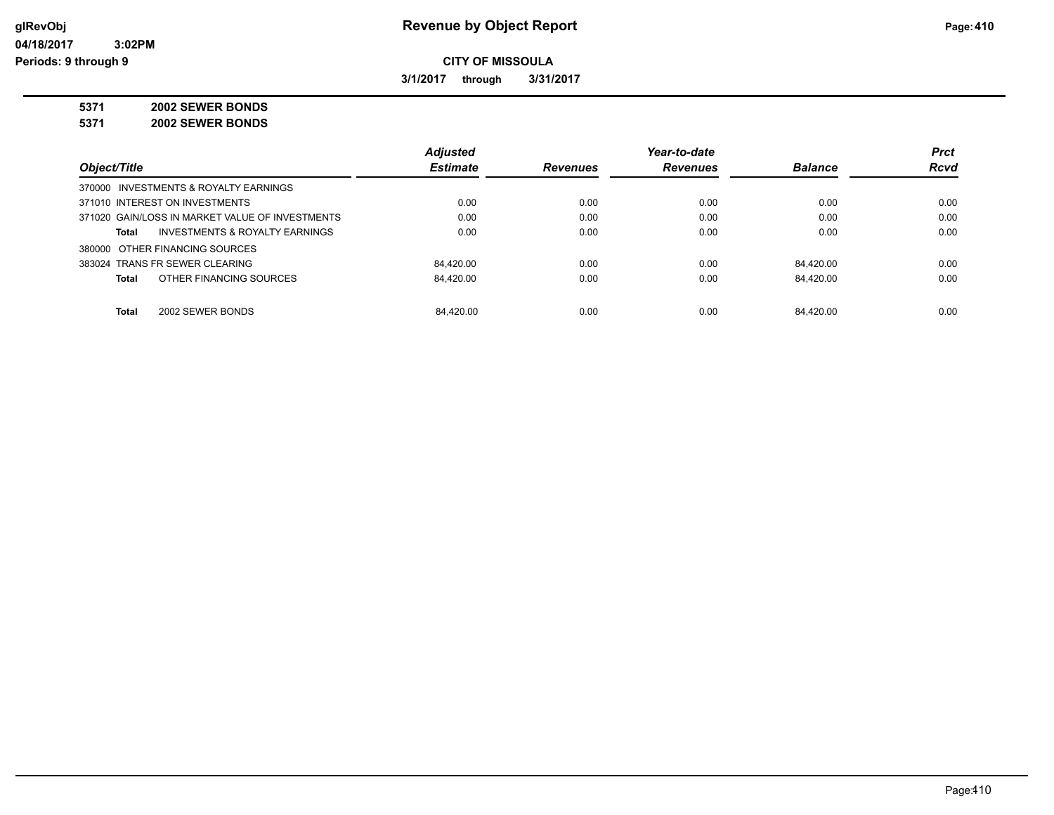**3/1/2017 through 3/31/2017**

**5371 2002 SEWER BONDS**

**5371 2002 SEWER BONDS**

|                                                 |                                | <b>Adjusted</b> |                 | Year-to-date    |                | <b>Prct</b> |
|-------------------------------------------------|--------------------------------|-----------------|-----------------|-----------------|----------------|-------------|
| Object/Title                                    |                                | <b>Estimate</b> | <b>Revenues</b> | <b>Revenues</b> | <b>Balance</b> | Rcvd        |
| 370000 INVESTMENTS & ROYALTY EARNINGS           |                                |                 |                 |                 |                |             |
| 371010 INTEREST ON INVESTMENTS                  |                                | 0.00            | 0.00            | 0.00            | 0.00           | 0.00        |
| 371020 GAIN/LOSS IN MARKET VALUE OF INVESTMENTS |                                | 0.00            | 0.00            | 0.00            | 0.00           | 0.00        |
| <b>Total</b>                                    | INVESTMENTS & ROYALTY EARNINGS | 0.00            | 0.00            | 0.00            | 0.00           | 0.00        |
| 380000 OTHER FINANCING SOURCES                  |                                |                 |                 |                 |                |             |
| 383024 TRANS FR SEWER CLEARING                  |                                | 84.420.00       | 0.00            | 0.00            | 84.420.00      | 0.00        |
| <b>Total</b>                                    | OTHER FINANCING SOURCES        | 84.420.00       | 0.00            | 0.00            | 84.420.00      | 0.00        |
| 2002 SEWER BONDS<br><b>Total</b>                |                                | 84.420.00       | 0.00            | 0.00            | 84.420.00      | 0.00        |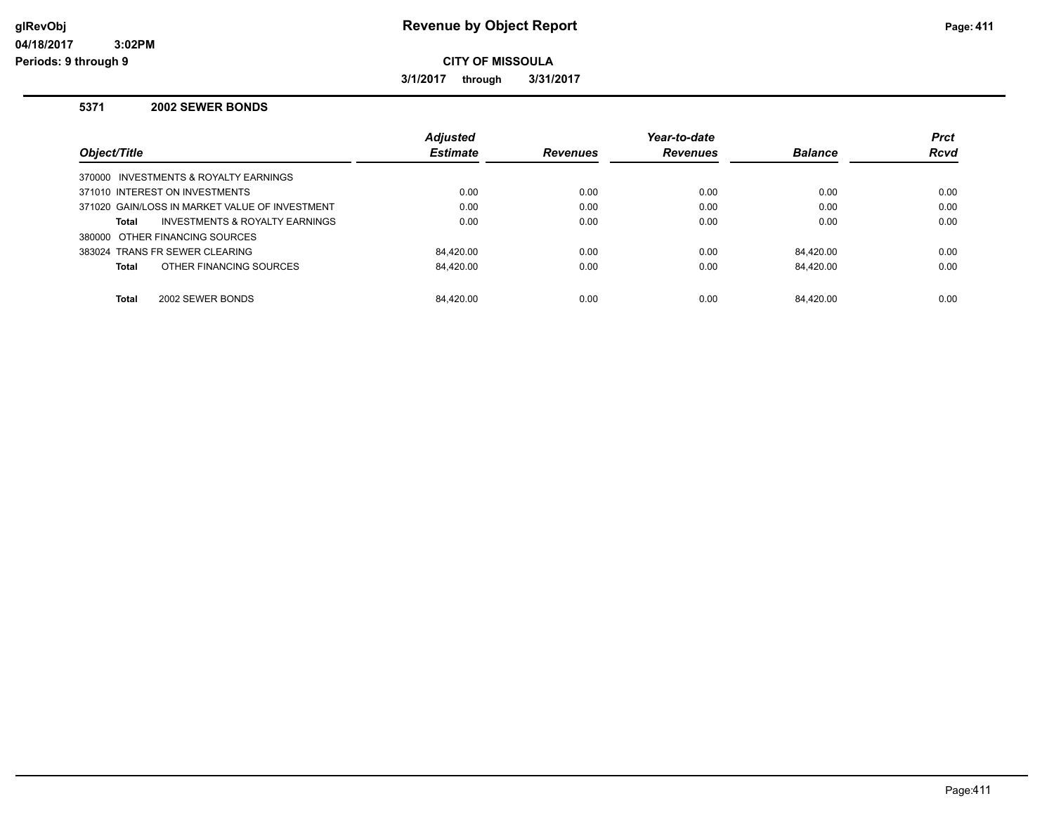**3/1/2017 through 3/31/2017**

#### **5371 2002 SEWER BONDS**

|              |                                                | <b>Adjusted</b> |                 | Year-to-date    |                | <b>Prct</b> |
|--------------|------------------------------------------------|-----------------|-----------------|-----------------|----------------|-------------|
| Object/Title |                                                | <b>Estimate</b> | <b>Revenues</b> | <b>Revenues</b> | <b>Balance</b> | <b>Rcvd</b> |
| 370000       | INVESTMENTS & ROYALTY EARNINGS                 |                 |                 |                 |                |             |
|              | 371010 INTEREST ON INVESTMENTS                 | 0.00            | 0.00            | 0.00            | 0.00           | 0.00        |
|              | 371020 GAIN/LOSS IN MARKET VALUE OF INVESTMENT | 0.00            | 0.00            | 0.00            | 0.00           | 0.00        |
| Total        | INVESTMENTS & ROYALTY EARNINGS                 | 0.00            | 0.00            | 0.00            | 0.00           | 0.00        |
|              | 380000 OTHER FINANCING SOURCES                 |                 |                 |                 |                |             |
|              | 383024 TRANS FR SEWER CLEARING                 | 84.420.00       | 0.00            | 0.00            | 84.420.00      | 0.00        |
| Total        | OTHER FINANCING SOURCES                        | 84.420.00       | 0.00            | 0.00            | 84.420.00      | 0.00        |
| <b>Total</b> | 2002 SEWER BONDS                               | 84.420.00       | 0.00            | 0.00            | 84.420.00      | 0.00        |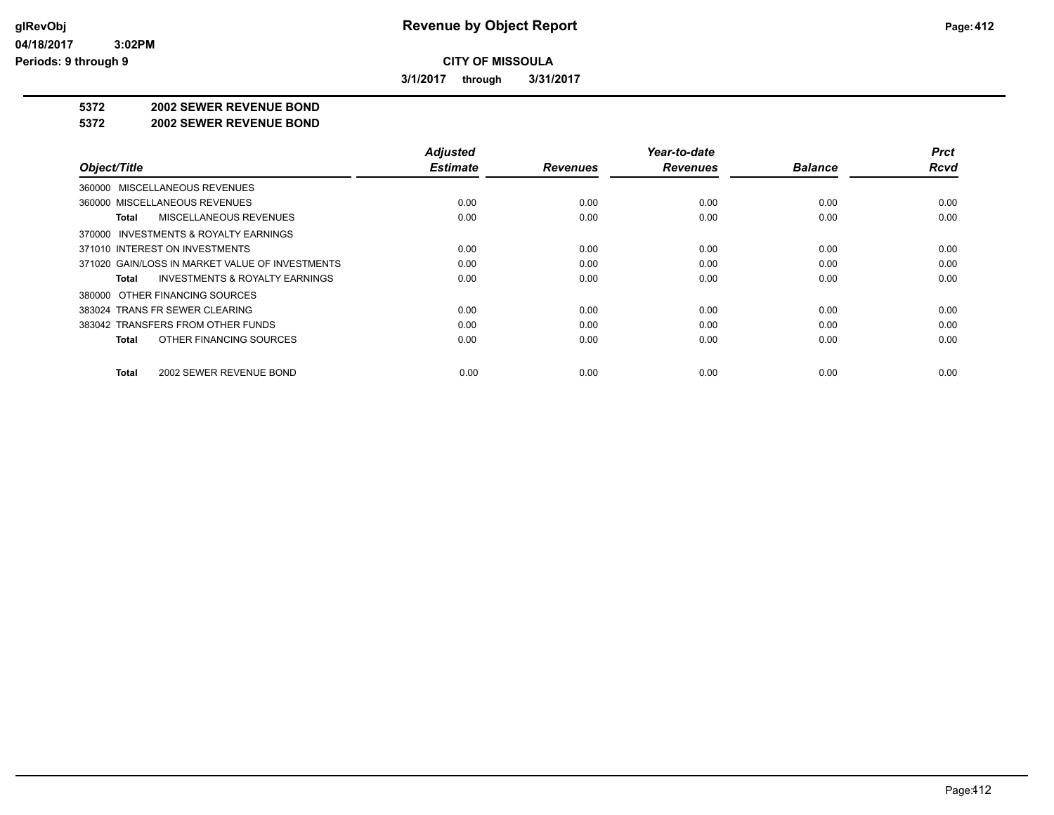**3/1/2017 through 3/31/2017**

**5372 2002 SEWER REVENUE BOND**

**5372 2002 SEWER REVENUE BOND**

|                                                    | <b>Adjusted</b> |                 | Year-to-date    |                | <b>Prct</b> |
|----------------------------------------------------|-----------------|-----------------|-----------------|----------------|-------------|
| Object/Title                                       | <b>Estimate</b> | <b>Revenues</b> | <b>Revenues</b> | <b>Balance</b> | Rcvd        |
| 360000 MISCELLANEOUS REVENUES                      |                 |                 |                 |                |             |
| 360000 MISCELLANEOUS REVENUES                      | 0.00            | 0.00            | 0.00            | 0.00           | 0.00        |
| MISCELLANEOUS REVENUES<br>Total                    | 0.00            | 0.00            | 0.00            | 0.00           | 0.00        |
| 370000 INVESTMENTS & ROYALTY EARNINGS              |                 |                 |                 |                |             |
| 371010 INTEREST ON INVESTMENTS                     | 0.00            | 0.00            | 0.00            | 0.00           | 0.00        |
| 371020 GAIN/LOSS IN MARKET VALUE OF INVESTMENTS    | 0.00            | 0.00            | 0.00            | 0.00           | 0.00        |
| <b>INVESTMENTS &amp; ROYALTY EARNINGS</b><br>Total | 0.00            | 0.00            | 0.00            | 0.00           | 0.00        |
| 380000 OTHER FINANCING SOURCES                     |                 |                 |                 |                |             |
| 383024 TRANS FR SEWER CLEARING                     | 0.00            | 0.00            | 0.00            | 0.00           | 0.00        |
| 383042 TRANSFERS FROM OTHER FUNDS                  | 0.00            | 0.00            | 0.00            | 0.00           | 0.00        |
| OTHER FINANCING SOURCES<br>Total                   | 0.00            | 0.00            | 0.00            | 0.00           | 0.00        |
| 2002 SEWER REVENUE BOND<br>Total                   | 0.00            | 0.00            | 0.00            | 0.00           | 0.00        |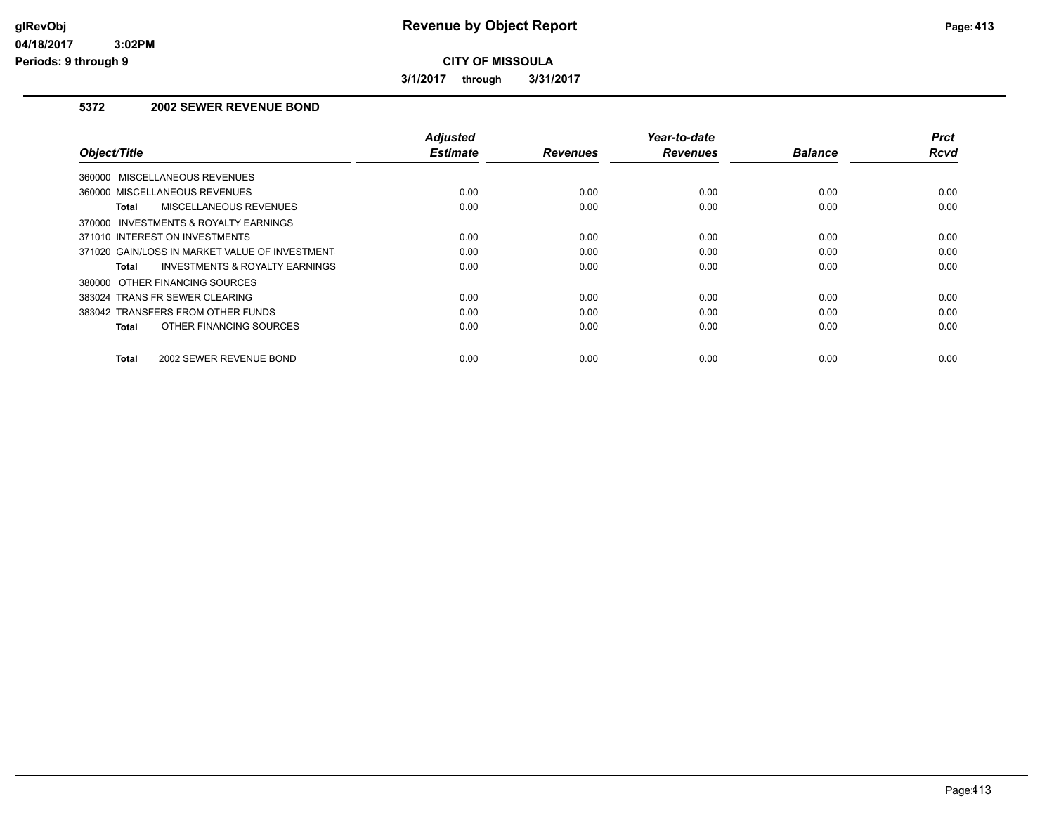**3/1/2017 through 3/31/2017**

#### **5372 2002 SEWER REVENUE BOND**

| Object/Title                                        | <b>Adjusted</b><br><b>Estimate</b> | <b>Revenues</b> | Year-to-date<br><b>Revenues</b> | <b>Balance</b> | <b>Prct</b><br>Rcvd |
|-----------------------------------------------------|------------------------------------|-----------------|---------------------------------|----------------|---------------------|
|                                                     |                                    |                 |                                 |                |                     |
| MISCELLANEOUS REVENUES<br>360000                    |                                    |                 |                                 |                |                     |
| 360000 MISCELLANEOUS REVENUES                       | 0.00                               | 0.00            | 0.00                            | 0.00           | 0.00                |
| MISCELLANEOUS REVENUES<br>Total                     | 0.00                               | 0.00            | 0.00                            | 0.00           | 0.00                |
| <b>INVESTMENTS &amp; ROYALTY EARNINGS</b><br>370000 |                                    |                 |                                 |                |                     |
| 371010 INTEREST ON INVESTMENTS                      | 0.00                               | 0.00            | 0.00                            | 0.00           | 0.00                |
| 371020 GAIN/LOSS IN MARKET VALUE OF INVESTMENT      | 0.00                               | 0.00            | 0.00                            | 0.00           | 0.00                |
| <b>INVESTMENTS &amp; ROYALTY EARNINGS</b><br>Total  | 0.00                               | 0.00            | 0.00                            | 0.00           | 0.00                |
| OTHER FINANCING SOURCES<br>380000                   |                                    |                 |                                 |                |                     |
| 383024 TRANS FR SEWER CLEARING                      | 0.00                               | 0.00            | 0.00                            | 0.00           | 0.00                |
| 383042 TRANSFERS FROM OTHER FUNDS                   | 0.00                               | 0.00            | 0.00                            | 0.00           | 0.00                |
| OTHER FINANCING SOURCES<br>Total                    | 0.00                               | 0.00            | 0.00                            | 0.00           | 0.00                |
| 2002 SEWER REVENUE BOND<br><b>Total</b>             | 0.00                               | 0.00            | 0.00                            | 0.00           | 0.00                |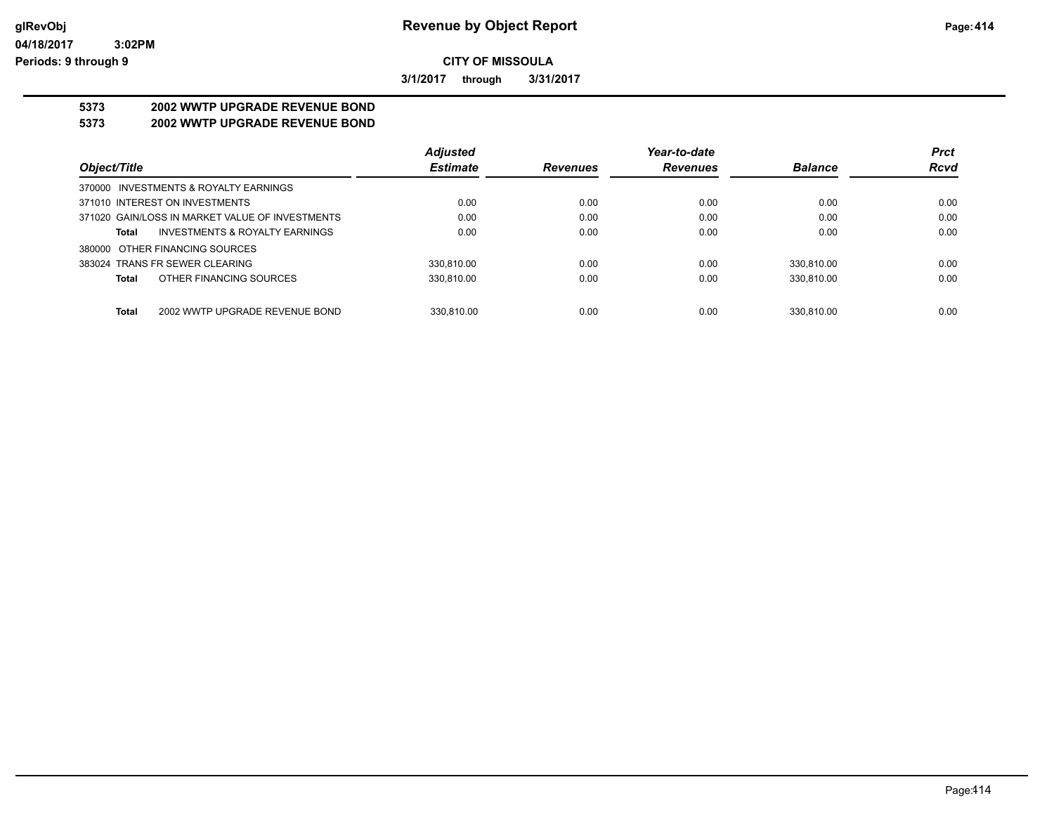**3/1/2017 through 3/31/2017**

## **5373 2002 WWTP UPGRADE REVENUE BOND 5373 2002 WWTP UPGRADE REVENUE BOND**

|                                                 | <b>Adjusted</b> |                 | Year-to-date    |                | <b>Prct</b> |
|-------------------------------------------------|-----------------|-----------------|-----------------|----------------|-------------|
| Object/Title                                    | <b>Estimate</b> | <b>Revenues</b> | <b>Revenues</b> | <b>Balance</b> | <b>Rcvd</b> |
| 370000 INVESTMENTS & ROYALTY EARNINGS           |                 |                 |                 |                |             |
| 371010 INTEREST ON INVESTMENTS                  | 0.00            | 0.00            | 0.00            | 0.00           | 0.00        |
| 371020 GAIN/LOSS IN MARKET VALUE OF INVESTMENTS | 0.00            | 0.00            | 0.00            | 0.00           | 0.00        |
| INVESTMENTS & ROYALTY EARNINGS<br>Total         | 0.00            | 0.00            | 0.00            | 0.00           | 0.00        |
| 380000 OTHER FINANCING SOURCES                  |                 |                 |                 |                |             |
| 383024 TRANS FR SEWER CLEARING                  | 330.810.00      | 0.00            | 0.00            | 330.810.00     | 0.00        |
| OTHER FINANCING SOURCES<br>Total                | 330.810.00      | 0.00            | 0.00            | 330.810.00     | 0.00        |
| <b>Total</b><br>2002 WWTP UPGRADE REVENUE BOND  | 330.810.00      | 0.00            | 0.00            | 330.810.00     | 0.00        |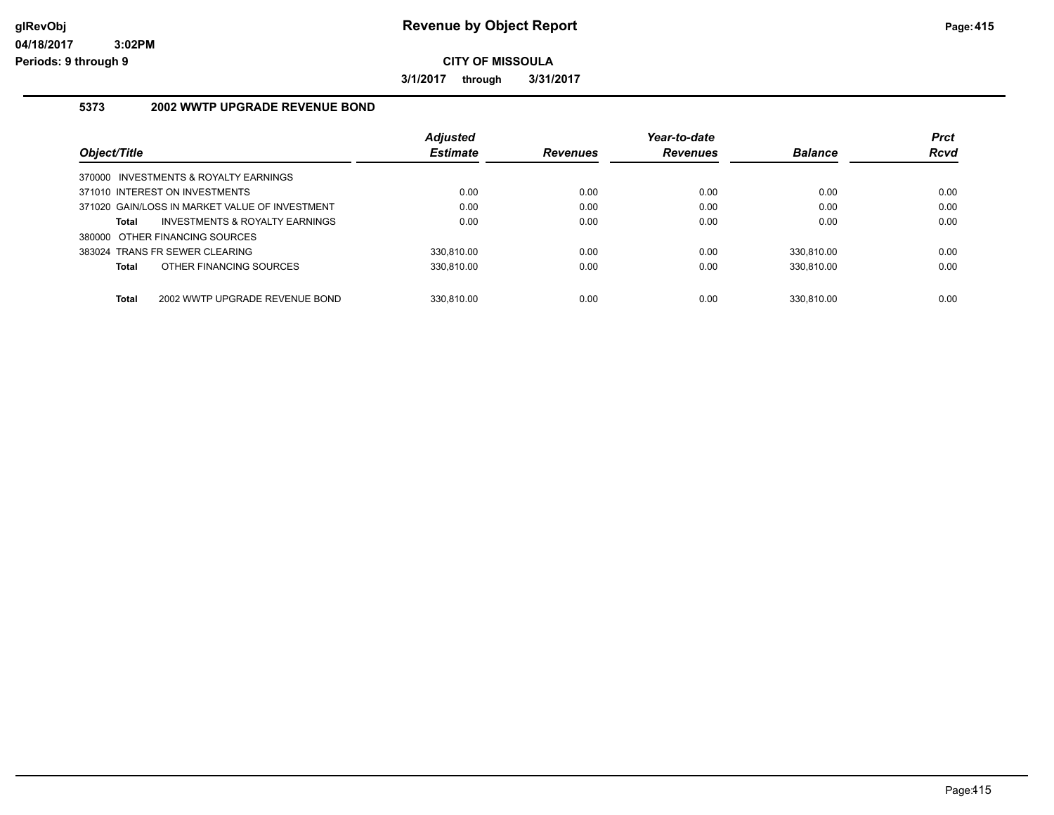**3/1/2017 through 3/31/2017**

#### **5373 2002 WWTP UPGRADE REVENUE BOND**

| Object/Title                   |                                                | <b>Adjusted</b><br><b>Estimate</b> | <b>Revenues</b> | Year-to-date<br><b>Revenues</b> | <b>Balance</b> | <b>Prct</b><br><b>Rcvd</b> |
|--------------------------------|------------------------------------------------|------------------------------------|-----------------|---------------------------------|----------------|----------------------------|
|                                | 370000 INVESTMENTS & ROYALTY EARNINGS          |                                    |                 |                                 |                |                            |
| 371010 INTEREST ON INVESTMENTS |                                                | 0.00                               | 0.00            | 0.00                            | 0.00           | 0.00                       |
|                                | 371020 GAIN/LOSS IN MARKET VALUE OF INVESTMENT | 0.00                               | 0.00            | 0.00                            | 0.00           | 0.00                       |
| Total                          | INVESTMENTS & ROYALTY EARNINGS                 | 0.00                               | 0.00            | 0.00                            | 0.00           | 0.00                       |
| 380000 OTHER FINANCING SOURCES |                                                |                                    |                 |                                 |                |                            |
| 383024 TRANS FR SEWER CLEARING |                                                | 330.810.00                         | 0.00            | 0.00                            | 330.810.00     | 0.00                       |
| Total                          | OTHER FINANCING SOURCES                        | 330.810.00                         | 0.00            | 0.00                            | 330.810.00     | 0.00                       |
|                                |                                                |                                    |                 |                                 |                |                            |
| <b>Total</b>                   | 2002 WWTP UPGRADE REVENUE BOND                 | 330.810.00                         | 0.00            | 0.00                            | 330.810.00     | 0.00                       |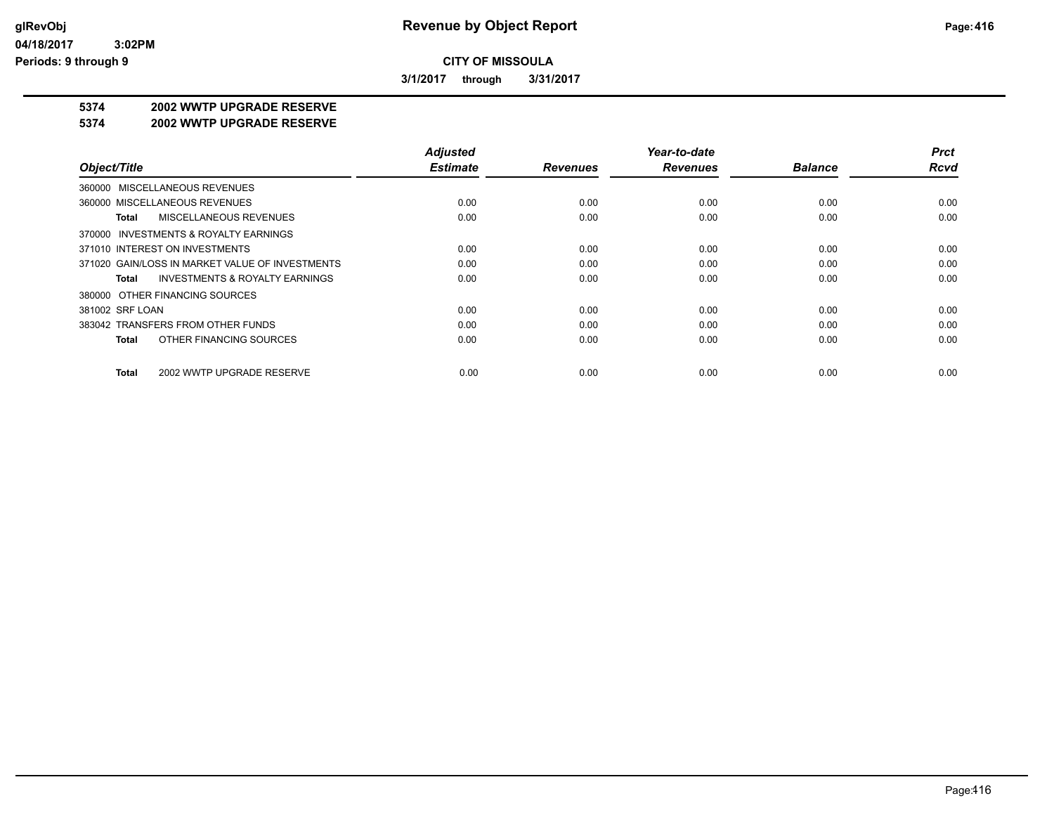**3/1/2017 through 3/31/2017**

## **5374 2002 WWTP UPGRADE RESERVE**

**5374 2002 WWTP UPGRADE RESERVE**

|                                                    | <b>Adjusted</b> |                 | Year-to-date    |                | <b>Prct</b> |
|----------------------------------------------------|-----------------|-----------------|-----------------|----------------|-------------|
| Object/Title                                       | <b>Estimate</b> | <b>Revenues</b> | <b>Revenues</b> | <b>Balance</b> | <b>Rcvd</b> |
| 360000 MISCELLANEOUS REVENUES                      |                 |                 |                 |                |             |
| 360000 MISCELLANEOUS REVENUES                      | 0.00            | 0.00            | 0.00            | 0.00           | 0.00        |
| MISCELLANEOUS REVENUES<br>Total                    | 0.00            | 0.00            | 0.00            | 0.00           | 0.00        |
| 370000 INVESTMENTS & ROYALTY EARNINGS              |                 |                 |                 |                |             |
| 371010 INTEREST ON INVESTMENTS                     | 0.00            | 0.00            | 0.00            | 0.00           | 0.00        |
| 371020 GAIN/LOSS IN MARKET VALUE OF INVESTMENTS    | 0.00            | 0.00            | 0.00            | 0.00           | 0.00        |
| <b>INVESTMENTS &amp; ROYALTY EARNINGS</b><br>Total | 0.00            | 0.00            | 0.00            | 0.00           | 0.00        |
| 380000 OTHER FINANCING SOURCES                     |                 |                 |                 |                |             |
| 381002 SRF LOAN                                    | 0.00            | 0.00            | 0.00            | 0.00           | 0.00        |
| 383042 TRANSFERS FROM OTHER FUNDS                  | 0.00            | 0.00            | 0.00            | 0.00           | 0.00        |
| OTHER FINANCING SOURCES<br><b>Total</b>            | 0.00            | 0.00            | 0.00            | 0.00           | 0.00        |
| 2002 WWTP UPGRADE RESERVE<br>Total                 | 0.00            | 0.00            | 0.00            | 0.00           | 0.00        |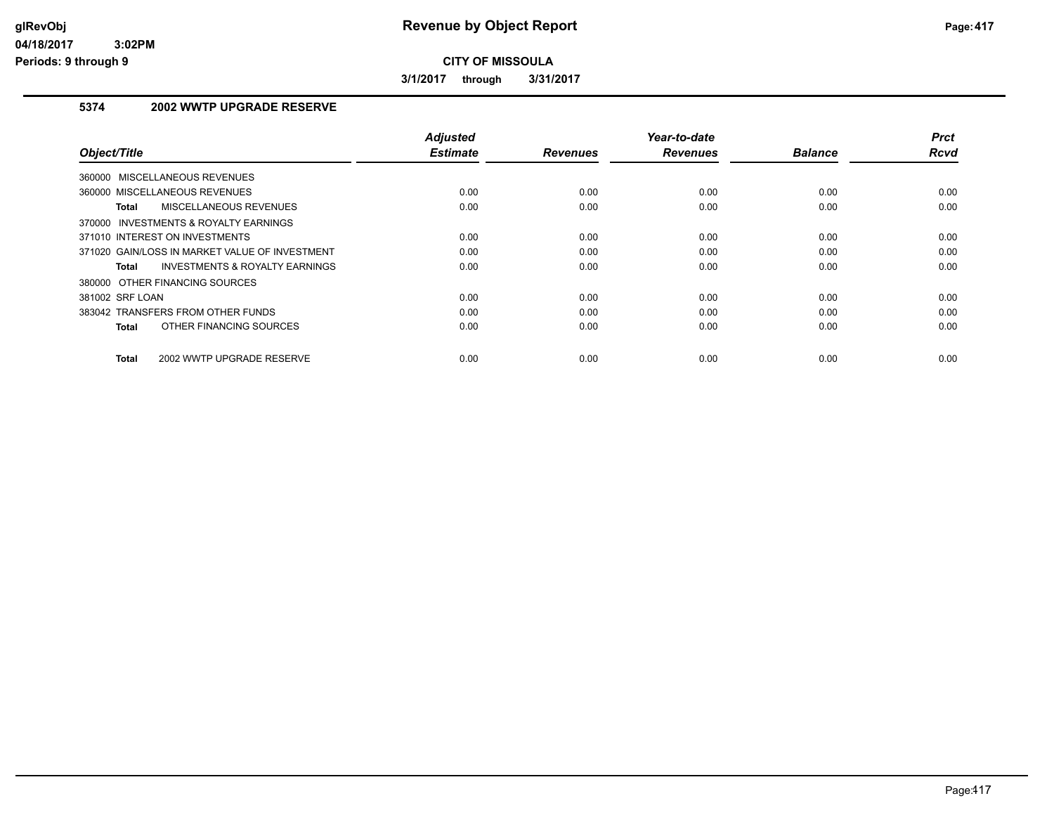**3/1/2017 through 3/31/2017**

#### **5374 2002 WWTP UPGRADE RESERVE**

| Object/Title                                       | <b>Adjusted</b><br><b>Estimate</b> | <b>Revenues</b> | Year-to-date<br><b>Revenues</b> | <b>Balance</b> | <b>Prct</b><br>Rcvd |
|----------------------------------------------------|------------------------------------|-----------------|---------------------------------|----------------|---------------------|
| MISCELLANEOUS REVENUES                             |                                    |                 |                                 |                |                     |
| 360000                                             |                                    |                 |                                 |                |                     |
| 360000 MISCELLANEOUS REVENUES                      | 0.00                               | 0.00            | 0.00                            | 0.00           | 0.00                |
| MISCELLANEOUS REVENUES<br>Total                    | 0.00                               | 0.00            | 0.00                            | 0.00           | 0.00                |
| INVESTMENTS & ROYALTY EARNINGS<br>370000           |                                    |                 |                                 |                |                     |
| 371010 INTEREST ON INVESTMENTS                     | 0.00                               | 0.00            | 0.00                            | 0.00           | 0.00                |
| 371020 GAIN/LOSS IN MARKET VALUE OF INVESTMENT     | 0.00                               | 0.00            | 0.00                            | 0.00           | 0.00                |
| <b>INVESTMENTS &amp; ROYALTY EARNINGS</b><br>Total | 0.00                               | 0.00            | 0.00                            | 0.00           | 0.00                |
| 380000 OTHER FINANCING SOURCES                     |                                    |                 |                                 |                |                     |
| 381002 SRF LOAN                                    | 0.00                               | 0.00            | 0.00                            | 0.00           | 0.00                |
| 383042 TRANSFERS FROM OTHER FUNDS                  | 0.00                               | 0.00            | 0.00                            | 0.00           | 0.00                |
| OTHER FINANCING SOURCES<br><b>Total</b>            | 0.00                               | 0.00            | 0.00                            | 0.00           | 0.00                |
| <b>Total</b><br>2002 WWTP UPGRADE RESERVE          | 0.00                               | 0.00            | 0.00                            | 0.00           | 0.00                |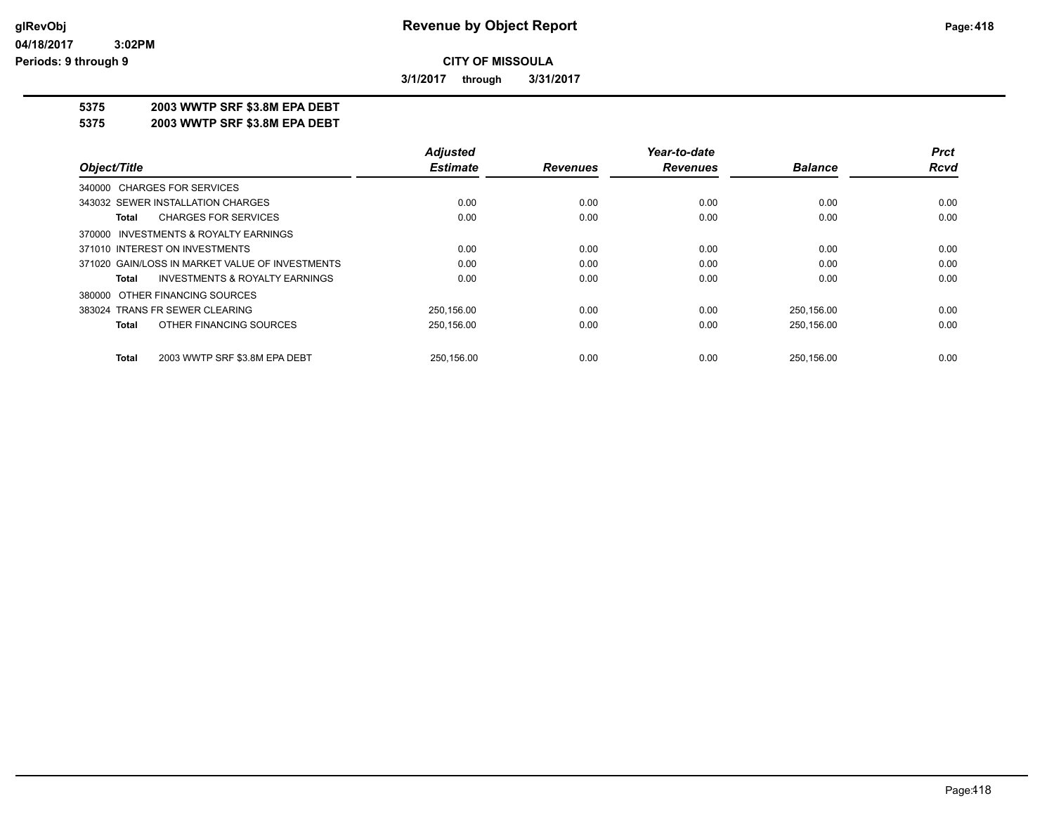**3/1/2017 through 3/31/2017**

**5375 2003 WWTP SRF \$3.8M EPA DEBT**

**5375 2003 WWTP SRF \$3.8M EPA DEBT**

|                                                    | <b>Adjusted</b> |                 | Year-to-date    |                | <b>Prct</b> |
|----------------------------------------------------|-----------------|-----------------|-----------------|----------------|-------------|
| Object/Title                                       | <b>Estimate</b> | <b>Revenues</b> | <b>Revenues</b> | <b>Balance</b> | Rcvd        |
| 340000 CHARGES FOR SERVICES                        |                 |                 |                 |                |             |
| 343032 SEWER INSTALLATION CHARGES                  | 0.00            | 0.00            | 0.00            | 0.00           | 0.00        |
| <b>CHARGES FOR SERVICES</b><br>Total               | 0.00            | 0.00            | 0.00            | 0.00           | 0.00        |
| 370000 INVESTMENTS & ROYALTY EARNINGS              |                 |                 |                 |                |             |
| 371010 INTEREST ON INVESTMENTS                     | 0.00            | 0.00            | 0.00            | 0.00           | 0.00        |
| 371020 GAIN/LOSS IN MARKET VALUE OF INVESTMENTS    | 0.00            | 0.00            | 0.00            | 0.00           | 0.00        |
| <b>INVESTMENTS &amp; ROYALTY EARNINGS</b><br>Total | 0.00            | 0.00            | 0.00            | 0.00           | 0.00        |
| 380000 OTHER FINANCING SOURCES                     |                 |                 |                 |                |             |
| 383024 TRANS FR SEWER CLEARING                     | 250,156.00      | 0.00            | 0.00            | 250,156.00     | 0.00        |
| OTHER FINANCING SOURCES<br><b>Total</b>            | 250,156.00      | 0.00            | 0.00            | 250,156.00     | 0.00        |
| <b>Total</b><br>2003 WWTP SRF \$3.8M EPA DEBT      | 250.156.00      | 0.00            | 0.00            | 250.156.00     | 0.00        |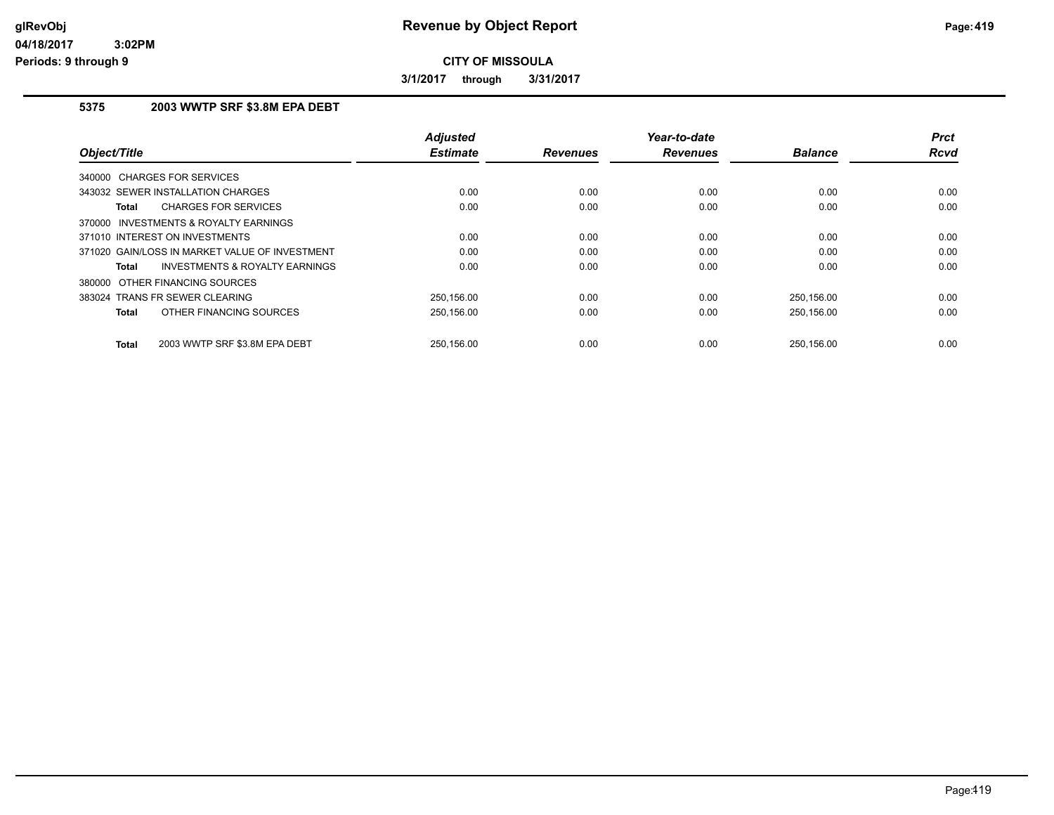**3/1/2017 through 3/31/2017**

#### **5375 2003 WWTP SRF \$3.8M EPA DEBT**

|                                                    | <b>Adjusted</b> |                 | Year-to-date    |                | <b>Prct</b> |
|----------------------------------------------------|-----------------|-----------------|-----------------|----------------|-------------|
| Object/Title                                       | <b>Estimate</b> | <b>Revenues</b> | <b>Revenues</b> | <b>Balance</b> | <b>Rcvd</b> |
| <b>CHARGES FOR SERVICES</b><br>340000              |                 |                 |                 |                |             |
| 343032 SEWER INSTALLATION CHARGES                  | 0.00            | 0.00            | 0.00            | 0.00           | 0.00        |
| <b>CHARGES FOR SERVICES</b><br>Total               | 0.00            | 0.00            | 0.00            | 0.00           | 0.00        |
| INVESTMENTS & ROYALTY EARNINGS<br>370000           |                 |                 |                 |                |             |
| 371010 INTEREST ON INVESTMENTS                     | 0.00            | 0.00            | 0.00            | 0.00           | 0.00        |
| 371020 GAIN/LOSS IN MARKET VALUE OF INVESTMENT     | 0.00            | 0.00            | 0.00            | 0.00           | 0.00        |
| <b>INVESTMENTS &amp; ROYALTY EARNINGS</b><br>Total | 0.00            | 0.00            | 0.00            | 0.00           | 0.00        |
| OTHER FINANCING SOURCES<br>380000                  |                 |                 |                 |                |             |
| 383024 TRANS FR SEWER CLEARING                     | 250,156.00      | 0.00            | 0.00            | 250,156.00     | 0.00        |
| OTHER FINANCING SOURCES<br>Total                   | 250,156.00      | 0.00            | 0.00            | 250,156.00     | 0.00        |
| 2003 WWTP SRF \$3.8M EPA DEBT<br><b>Total</b>      | 250.156.00      | 0.00            | 0.00            | 250.156.00     | 0.00        |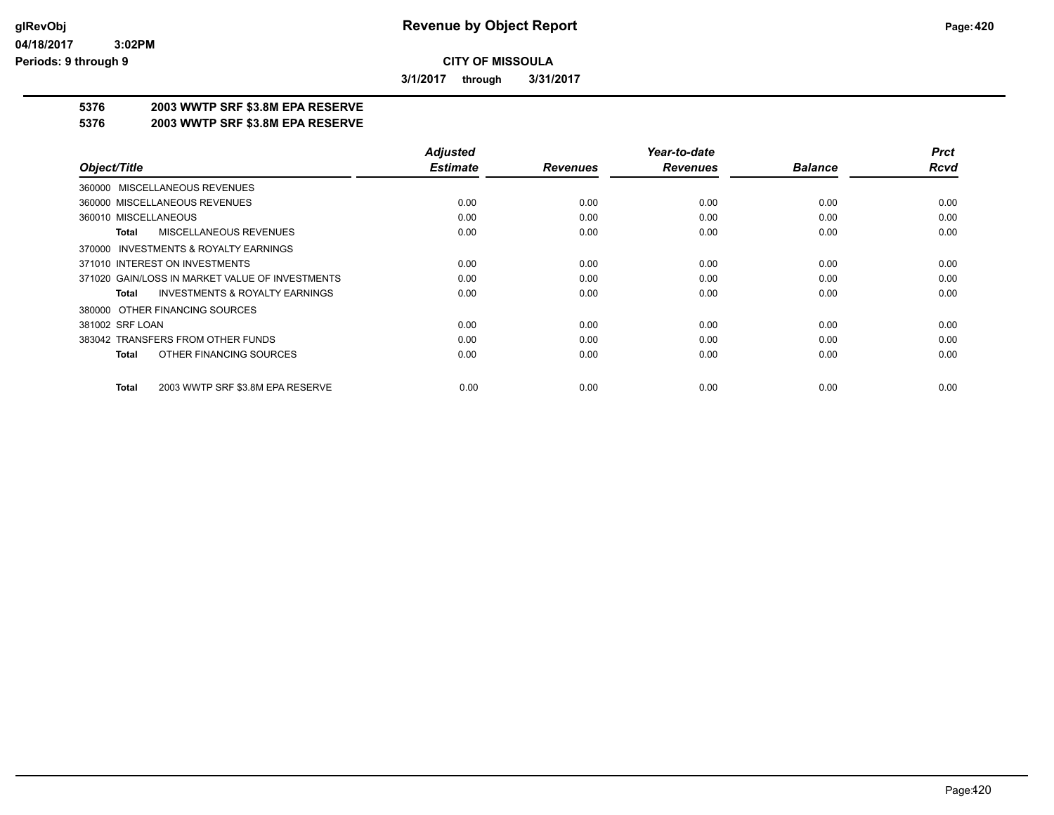**3/1/2017 through 3/31/2017**

# **5376 2003 WWTP SRF \$3.8M EPA RESERVE**

**5376 2003 WWTP SRF \$3.8M EPA RESERVE**

|                                                    | <b>Adjusted</b> |                 | Year-to-date    |                | <b>Prct</b> |
|----------------------------------------------------|-----------------|-----------------|-----------------|----------------|-------------|
| Object/Title                                       | <b>Estimate</b> | <b>Revenues</b> | <b>Revenues</b> | <b>Balance</b> | <b>Rcvd</b> |
| 360000 MISCELLANEOUS REVENUES                      |                 |                 |                 |                |             |
| 360000 MISCELLANEOUS REVENUES                      | 0.00            | 0.00            | 0.00            | 0.00           | 0.00        |
| 360010 MISCELLANEOUS                               | 0.00            | 0.00            | 0.00            | 0.00           | 0.00        |
| MISCELLANEOUS REVENUES<br>Total                    | 0.00            | 0.00            | 0.00            | 0.00           | 0.00        |
| 370000 INVESTMENTS & ROYALTY EARNINGS              |                 |                 |                 |                |             |
| 371010 INTEREST ON INVESTMENTS                     | 0.00            | 0.00            | 0.00            | 0.00           | 0.00        |
| 371020 GAIN/LOSS IN MARKET VALUE OF INVESTMENTS    | 0.00            | 0.00            | 0.00            | 0.00           | 0.00        |
| <b>INVESTMENTS &amp; ROYALTY EARNINGS</b><br>Total | 0.00            | 0.00            | 0.00            | 0.00           | 0.00        |
| 380000 OTHER FINANCING SOURCES                     |                 |                 |                 |                |             |
| 381002 SRF LOAN                                    | 0.00            | 0.00            | 0.00            | 0.00           | 0.00        |
| 383042 TRANSFERS FROM OTHER FUNDS                  | 0.00            | 0.00            | 0.00            | 0.00           | 0.00        |
| OTHER FINANCING SOURCES<br>Total                   | 0.00            | 0.00            | 0.00            | 0.00           | 0.00        |
| 2003 WWTP SRF \$3.8M EPA RESERVE<br>Total          | 0.00            | 0.00            | 0.00            | 0.00           | 0.00        |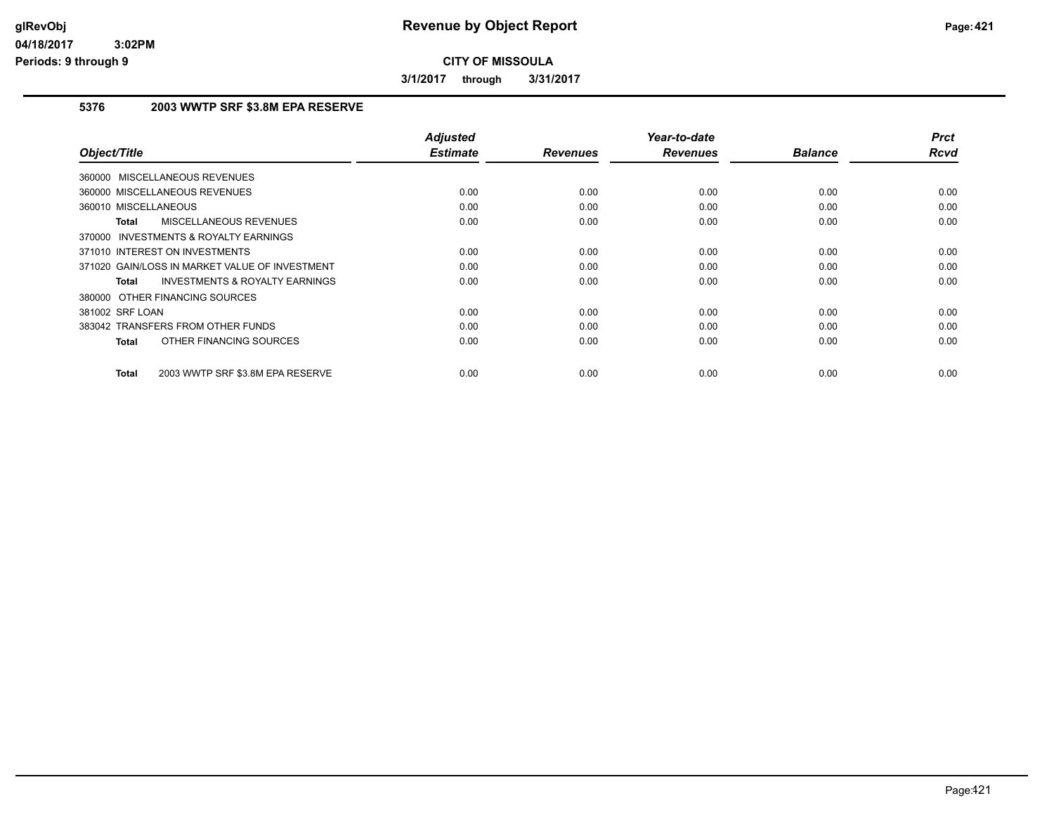**3/1/2017 through 3/31/2017**

#### **5376 2003 WWTP SRF \$3.8M EPA RESERVE**

|                                                    | <b>Adjusted</b> |                 | Year-to-date    |                | <b>Prct</b> |
|----------------------------------------------------|-----------------|-----------------|-----------------|----------------|-------------|
| Object/Title                                       | <b>Estimate</b> | <b>Revenues</b> | <b>Revenues</b> | <b>Balance</b> | <b>Rcvd</b> |
| 360000 MISCELLANEOUS REVENUES                      |                 |                 |                 |                |             |
| 360000 MISCELLANEOUS REVENUES                      | 0.00            | 0.00            | 0.00            | 0.00           | 0.00        |
| 360010 MISCELLANEOUS                               | 0.00            | 0.00            | 0.00            | 0.00           | 0.00        |
| MISCELLANEOUS REVENUES<br>Total                    | 0.00            | 0.00            | 0.00            | 0.00           | 0.00        |
| 370000 INVESTMENTS & ROYALTY EARNINGS              |                 |                 |                 |                |             |
| 371010 INTEREST ON INVESTMENTS                     | 0.00            | 0.00            | 0.00            | 0.00           | 0.00        |
| 371020 GAIN/LOSS IN MARKET VALUE OF INVESTMENT     | 0.00            | 0.00            | 0.00            | 0.00           | 0.00        |
| <b>INVESTMENTS &amp; ROYALTY EARNINGS</b><br>Total | 0.00            | 0.00            | 0.00            | 0.00           | 0.00        |
| 380000 OTHER FINANCING SOURCES                     |                 |                 |                 |                |             |
| 381002 SRF LOAN                                    | 0.00            | 0.00            | 0.00            | 0.00           | 0.00        |
| 383042 TRANSFERS FROM OTHER FUNDS                  | 0.00            | 0.00            | 0.00            | 0.00           | 0.00        |
| OTHER FINANCING SOURCES<br><b>Total</b>            | 0.00            | 0.00            | 0.00            | 0.00           | 0.00        |
|                                                    |                 |                 |                 |                |             |
| 2003 WWTP SRF \$3.8M EPA RESERVE<br><b>Total</b>   | 0.00            | 0.00            | 0.00            | 0.00           | 0.00        |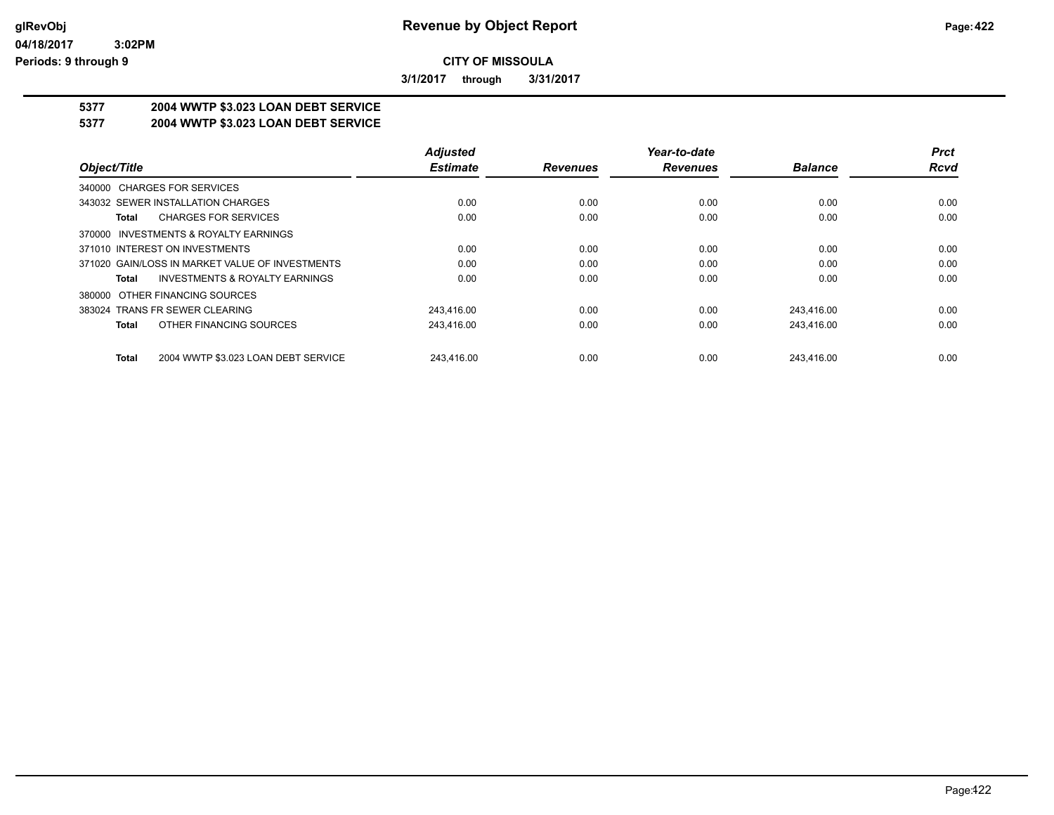**3/1/2017 through 3/31/2017**

## **5377 2004 WWTP \$3.023 LOAN DEBT SERVICE 5377 2004 WWTP \$3.023 LOAN DEBT SERVICE**

|                                                     | <b>Adiusted</b> |                 | Year-to-date    |                | <b>Prct</b> |
|-----------------------------------------------------|-----------------|-----------------|-----------------|----------------|-------------|
| Object/Title                                        | <b>Estimate</b> | <b>Revenues</b> | <b>Revenues</b> | <b>Balance</b> | Rcvd        |
| 340000 CHARGES FOR SERVICES                         |                 |                 |                 |                |             |
| 343032 SEWER INSTALLATION CHARGES                   | 0.00            | 0.00            | 0.00            | 0.00           | 0.00        |
| <b>CHARGES FOR SERVICES</b><br>Total                | 0.00            | 0.00            | 0.00            | 0.00           | 0.00        |
| <b>INVESTMENTS &amp; ROYALTY EARNINGS</b><br>370000 |                 |                 |                 |                |             |
| 371010 INTEREST ON INVESTMENTS                      | 0.00            | 0.00            | 0.00            | 0.00           | 0.00        |
| 371020 GAIN/LOSS IN MARKET VALUE OF INVESTMENTS     | 0.00            | 0.00            | 0.00            | 0.00           | 0.00        |
| INVESTMENTS & ROYALTY EARNINGS<br>Total             | 0.00            | 0.00            | 0.00            | 0.00           | 0.00        |
| 380000 OTHER FINANCING SOURCES                      |                 |                 |                 |                |             |
| 383024 TRANS FR SEWER CLEARING                      | 243,416.00      | 0.00            | 0.00            | 243,416.00     | 0.00        |
| OTHER FINANCING SOURCES<br>Total                    | 243,416.00      | 0.00            | 0.00            | 243,416.00     | 0.00        |
| 2004 WWTP \$3.023 LOAN DEBT SERVICE<br>Total        | 243.416.00      | 0.00            | 0.00            | 243.416.00     | 0.00        |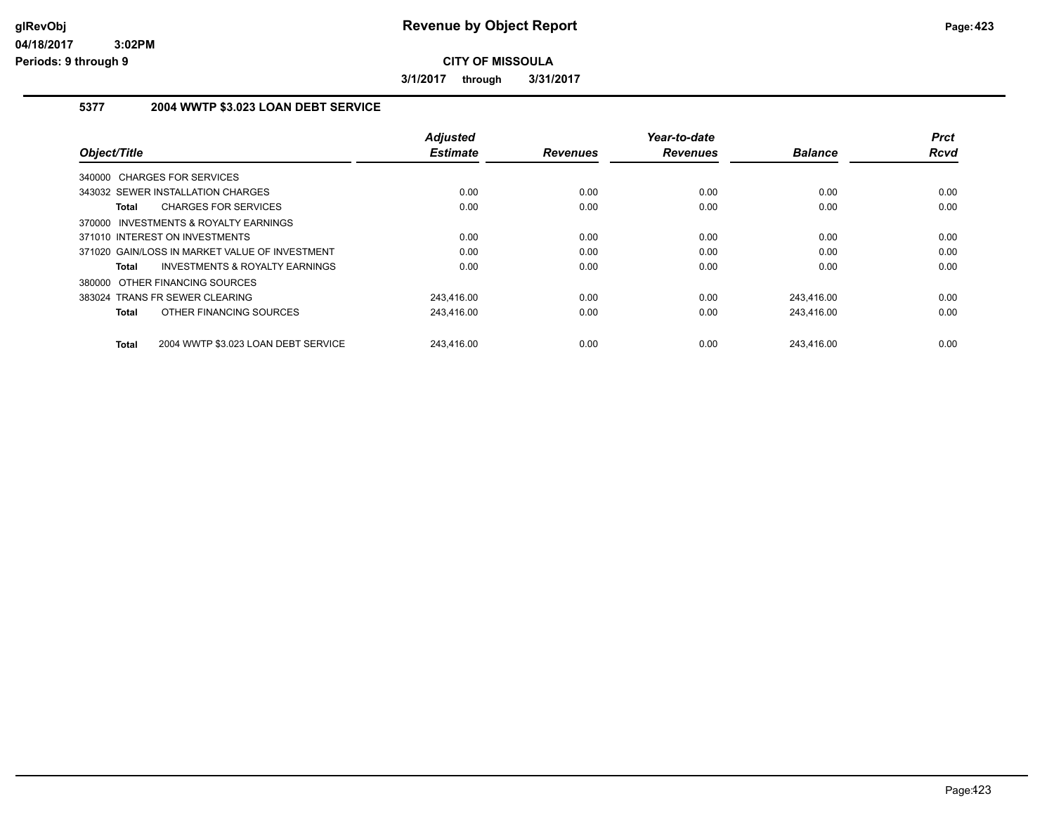**3/1/2017 through 3/31/2017**

## **5377 2004 WWTP \$3.023 LOAN DEBT SERVICE**

|                                                     | <b>Adjusted</b> |                 | Year-to-date    |                | <b>Prct</b> |
|-----------------------------------------------------|-----------------|-----------------|-----------------|----------------|-------------|
| Object/Title                                        | <b>Estimate</b> | <b>Revenues</b> | <b>Revenues</b> | <b>Balance</b> | <b>Rcvd</b> |
| <b>CHARGES FOR SERVICES</b><br>340000               |                 |                 |                 |                |             |
| 343032 SEWER INSTALLATION CHARGES                   | 0.00            | 0.00            | 0.00            | 0.00           | 0.00        |
| <b>CHARGES FOR SERVICES</b><br>Total                | 0.00            | 0.00            | 0.00            | 0.00           | 0.00        |
| 370000 INVESTMENTS & ROYALTY EARNINGS               |                 |                 |                 |                |             |
| 371010 INTEREST ON INVESTMENTS                      | 0.00            | 0.00            | 0.00            | 0.00           | 0.00        |
| 371020 GAIN/LOSS IN MARKET VALUE OF INVESTMENT      | 0.00            | 0.00            | 0.00            | 0.00           | 0.00        |
| <b>INVESTMENTS &amp; ROYALTY EARNINGS</b><br>Total  | 0.00            | 0.00            | 0.00            | 0.00           | 0.00        |
| OTHER FINANCING SOURCES<br>380000                   |                 |                 |                 |                |             |
| 383024 TRANS FR SEWER CLEARING                      | 243,416.00      | 0.00            | 0.00            | 243,416.00     | 0.00        |
| OTHER FINANCING SOURCES<br>Total                    | 243.416.00      | 0.00            | 0.00            | 243.416.00     | 0.00        |
| <b>Total</b><br>2004 WWTP \$3.023 LOAN DEBT SERVICE | 243.416.00      | 0.00            | 0.00            | 243.416.00     | 0.00        |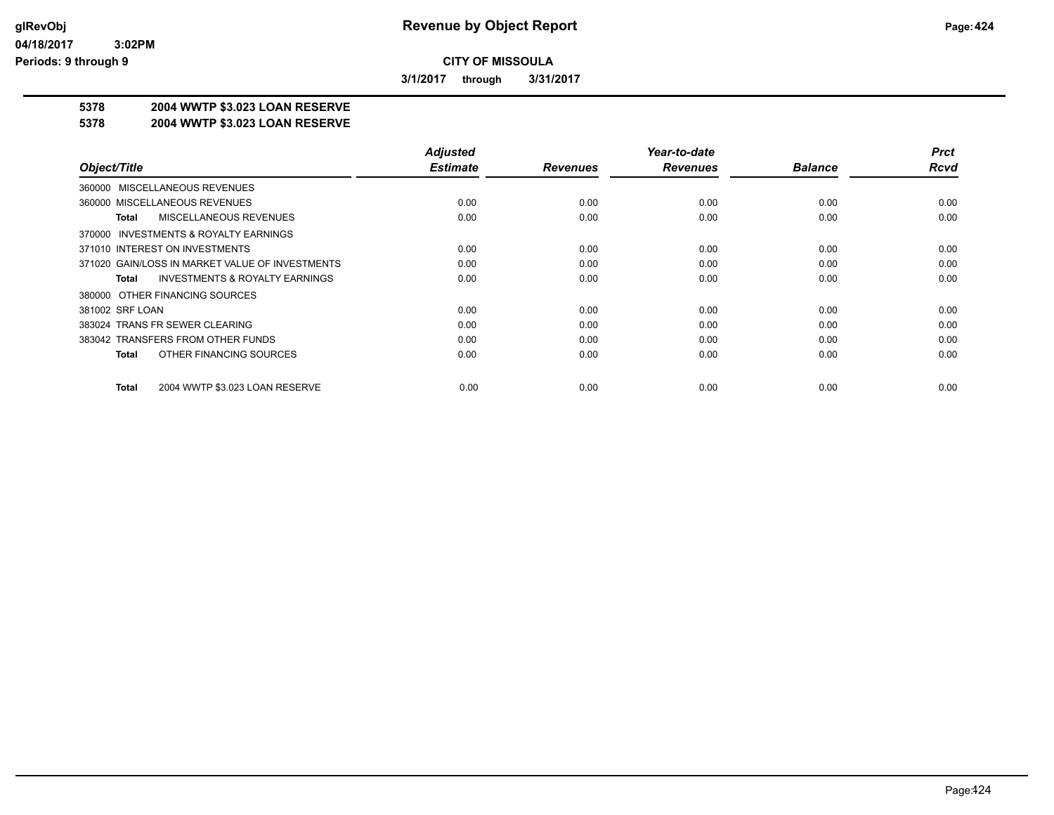**3/1/2017 through 3/31/2017**

# **5378 2004 WWTP \$3.023 LOAN RESERVE**

## **5378 2004 WWTP \$3.023 LOAN RESERVE**

|                                                    | <b>Adjusted</b> |                 | Year-to-date    |                | <b>Prct</b> |
|----------------------------------------------------|-----------------|-----------------|-----------------|----------------|-------------|
| Object/Title                                       | <b>Estimate</b> | <b>Revenues</b> | <b>Revenues</b> | <b>Balance</b> | <b>Rcvd</b> |
| 360000 MISCELLANEOUS REVENUES                      |                 |                 |                 |                |             |
| 360000 MISCELLANEOUS REVENUES                      | 0.00            | 0.00            | 0.00            | 0.00           | 0.00        |
| MISCELLANEOUS REVENUES<br>Total                    | 0.00            | 0.00            | 0.00            | 0.00           | 0.00        |
| 370000 INVESTMENTS & ROYALTY EARNINGS              |                 |                 |                 |                |             |
| 371010 INTEREST ON INVESTMENTS                     | 0.00            | 0.00            | 0.00            | 0.00           | 0.00        |
| 371020 GAIN/LOSS IN MARKET VALUE OF INVESTMENTS    | 0.00            | 0.00            | 0.00            | 0.00           | 0.00        |
| <b>INVESTMENTS &amp; ROYALTY EARNINGS</b><br>Total | 0.00            | 0.00            | 0.00            | 0.00           | 0.00        |
| 380000 OTHER FINANCING SOURCES                     |                 |                 |                 |                |             |
| 381002 SRF LOAN                                    | 0.00            | 0.00            | 0.00            | 0.00           | 0.00        |
| 383024 TRANS FR SEWER CLEARING                     | 0.00            | 0.00            | 0.00            | 0.00           | 0.00        |
| 383042 TRANSFERS FROM OTHER FUNDS                  | 0.00            | 0.00            | 0.00            | 0.00           | 0.00        |
| OTHER FINANCING SOURCES<br>Total                   | 0.00            | 0.00            | 0.00            | 0.00           | 0.00        |
| 2004 WWTP \$3.023 LOAN RESERVE<br>Total            | 0.00            | 0.00            | 0.00            | 0.00           | 0.00        |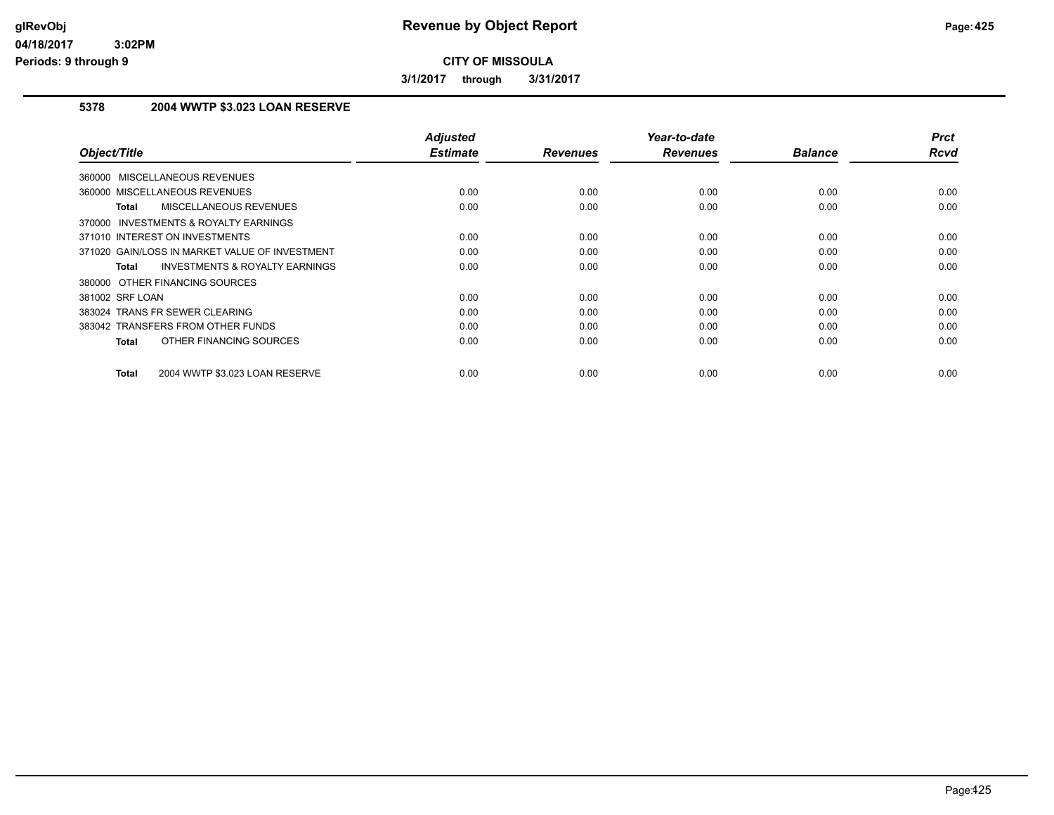**3/1/2017 through 3/31/2017**

## **5378 2004 WWTP \$3.023 LOAN RESERVE**

| Object/Title                                              | <b>Adjusted</b><br><b>Estimate</b> | <b>Revenues</b> | Year-to-date<br><b>Revenues</b> | <b>Balance</b> | <b>Prct</b><br><b>Rcvd</b> |
|-----------------------------------------------------------|------------------------------------|-----------------|---------------------------------|----------------|----------------------------|
| <b>MISCELLANEOUS REVENUES</b><br>360000                   |                                    |                 |                                 |                |                            |
| 360000 MISCELLANEOUS REVENUES                             | 0.00                               | 0.00            | 0.00                            | 0.00           | 0.00                       |
| MISCELLANEOUS REVENUES<br><b>Total</b>                    | 0.00                               | 0.00            | 0.00                            | 0.00           | 0.00                       |
| <b>INVESTMENTS &amp; ROYALTY EARNINGS</b><br>370000       |                                    |                 |                                 |                |                            |
| 371010 INTEREST ON INVESTMENTS                            | 0.00                               | 0.00            | 0.00                            | 0.00           | 0.00                       |
| 371020 GAIN/LOSS IN MARKET VALUE OF INVESTMENT            | 0.00                               | 0.00            | 0.00                            | 0.00           | 0.00                       |
| <b>INVESTMENTS &amp; ROYALTY EARNINGS</b><br><b>Total</b> | 0.00                               | 0.00            | 0.00                            | 0.00           | 0.00                       |
| 380000 OTHER FINANCING SOURCES                            |                                    |                 |                                 |                |                            |
| 381002 SRF LOAN                                           | 0.00                               | 0.00            | 0.00                            | 0.00           | 0.00                       |
| 383024 TRANS FR SEWER CLEARING                            | 0.00                               | 0.00            | 0.00                            | 0.00           | 0.00                       |
| 383042 TRANSFERS FROM OTHER FUNDS                         | 0.00                               | 0.00            | 0.00                            | 0.00           | 0.00                       |
| OTHER FINANCING SOURCES<br><b>Total</b>                   | 0.00                               | 0.00            | 0.00                            | 0.00           | 0.00                       |
|                                                           |                                    |                 |                                 |                |                            |
| 2004 WWTP \$3.023 LOAN RESERVE<br><b>Total</b>            | 0.00                               | 0.00            | 0.00                            | 0.00           | 0.00                       |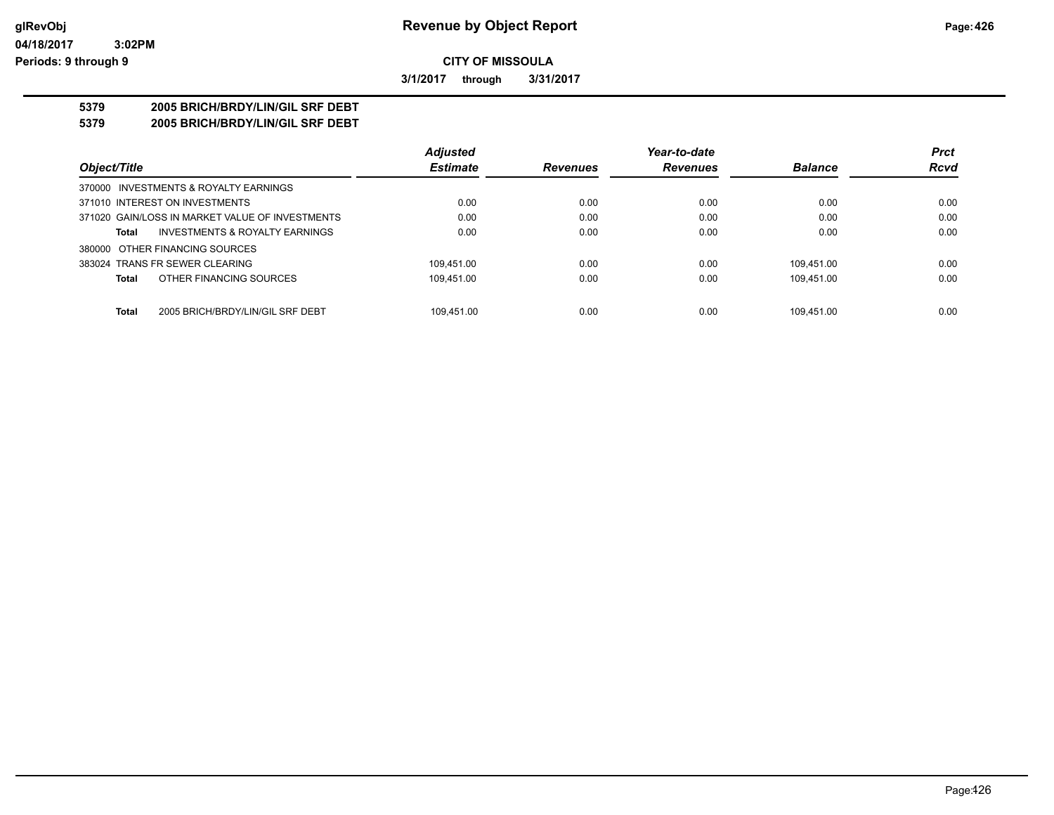**3/1/2017 through 3/31/2017**

## **5379 2005 BRICH/BRDY/LIN/GIL SRF DEBT 5379 2005 BRICH/BRDY/LIN/GIL SRF DEBT**

|                                                 | <b>Adiusted</b> |                 | Year-to-date    |                | <b>Prct</b> |
|-------------------------------------------------|-----------------|-----------------|-----------------|----------------|-------------|
| Object/Title                                    | <b>Estimate</b> | <b>Revenues</b> | <b>Revenues</b> | <b>Balance</b> | <b>Rcvd</b> |
| INVESTMENTS & ROYALTY EARNINGS<br>370000        |                 |                 |                 |                |             |
| 371010 INTEREST ON INVESTMENTS                  | 0.00            | 0.00            | 0.00            | 0.00           | 0.00        |
| 371020 GAIN/LOSS IN MARKET VALUE OF INVESTMENTS | 0.00            | 0.00            | 0.00            | 0.00           | 0.00        |
| INVESTMENTS & ROYALTY EARNINGS<br>Total         | 0.00            | 0.00            | 0.00            | 0.00           | 0.00        |
| 380000 OTHER FINANCING SOURCES                  |                 |                 |                 |                |             |
| 383024 TRANS FR SEWER CLEARING                  | 109.451.00      | 0.00            | 0.00            | 109.451.00     | 0.00        |
| OTHER FINANCING SOURCES<br>Total                | 109,451.00      | 0.00            | 0.00            | 109.451.00     | 0.00        |
| Total<br>2005 BRICH/BRDY/LIN/GIL SRF DEBT       | 109.451.00      | 0.00            | 0.00            | 109.451.00     | 0.00        |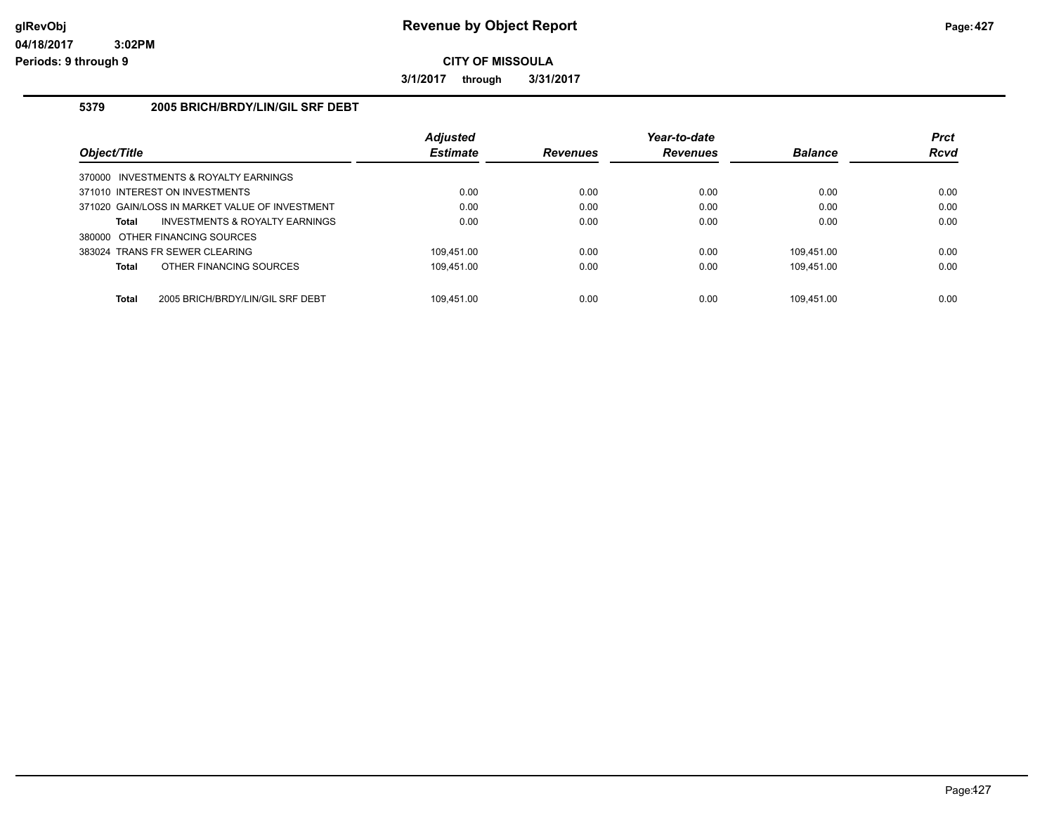**3/1/2017 through 3/31/2017**

#### **5379 2005 BRICH/BRDY/LIN/GIL SRF DEBT**

|              |                                                | <b>Adjusted</b> |                 | Year-to-date   |             | <b>Prct</b> |
|--------------|------------------------------------------------|-----------------|-----------------|----------------|-------------|-------------|
| Object/Title | <b>Estimate</b>                                | <b>Revenues</b> | <b>Revenues</b> | <b>Balance</b> | <b>Rcvd</b> |             |
|              | 370000 INVESTMENTS & ROYALTY EARNINGS          |                 |                 |                |             |             |
|              | 371010 INTEREST ON INVESTMENTS                 | 0.00            | 0.00            | 0.00           | 0.00        | 0.00        |
|              | 371020 GAIN/LOSS IN MARKET VALUE OF INVESTMENT | 0.00            | 0.00            | 0.00           | 0.00        | 0.00        |
| Total        | INVESTMENTS & ROYALTY EARNINGS                 | 0.00            | 0.00            | 0.00           | 0.00        | 0.00        |
|              | 380000 OTHER FINANCING SOURCES                 |                 |                 |                |             |             |
|              | 383024 TRANS FR SEWER CLEARING                 | 109.451.00      | 0.00            | 0.00           | 109.451.00  | 0.00        |
| Total        | OTHER FINANCING SOURCES                        | 109.451.00      | 0.00            | 0.00           | 109.451.00  | 0.00        |
| <b>Total</b> | 2005 BRICH/BRDY/LIN/GIL SRF DEBT               | 109.451.00      | 0.00            | 0.00           | 109.451.00  | 0.00        |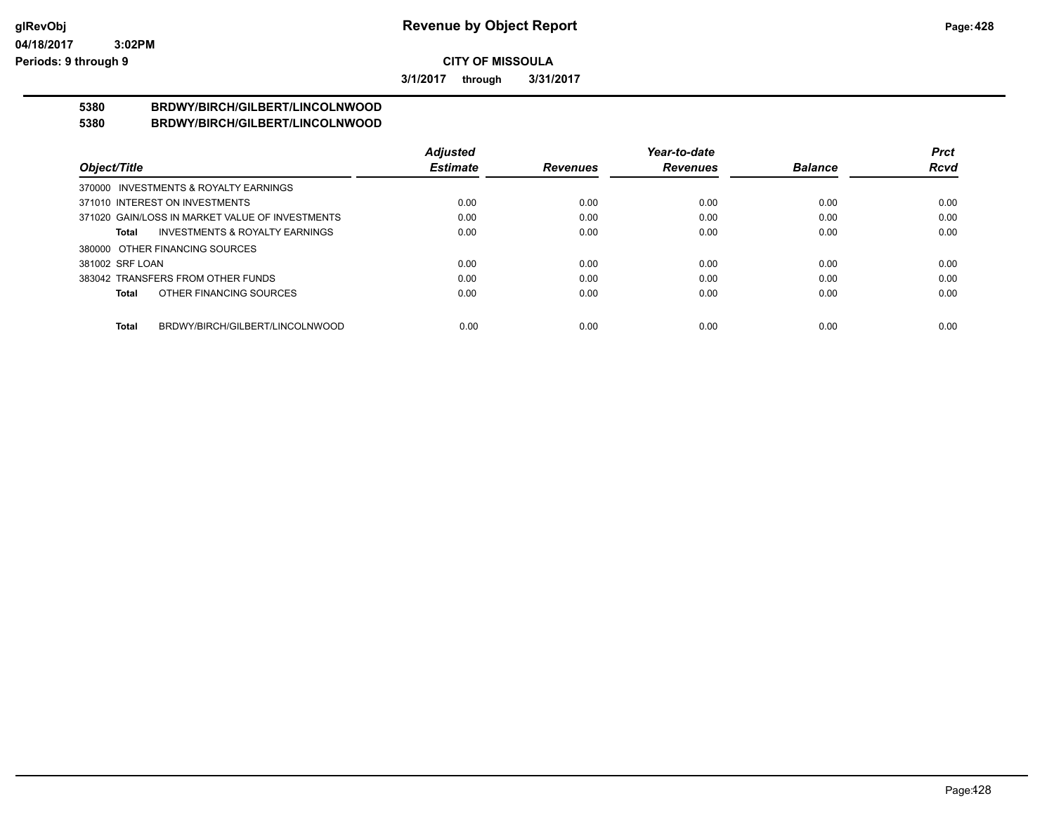**3/1/2017 through 3/31/2017**

## **5380 BRDWY/BIRCH/GILBERT/LINCOLNWOOD 5380 BRDWY/BIRCH/GILBERT/LINCOLNWOOD**

|                                                    | <b>Adjusted</b> |                 | Year-to-date    |                | <b>Prct</b> |
|----------------------------------------------------|-----------------|-----------------|-----------------|----------------|-------------|
| Object/Title                                       | <b>Estimate</b> | <b>Revenues</b> | <b>Revenues</b> | <b>Balance</b> | Rcvd        |
| 370000 INVESTMENTS & ROYALTY EARNINGS              |                 |                 |                 |                |             |
| 371010 INTEREST ON INVESTMENTS                     | 0.00            | 0.00            | 0.00            | 0.00           | 0.00        |
| 371020 GAIN/LOSS IN MARKET VALUE OF INVESTMENTS    | 0.00            | 0.00            | 0.00            | 0.00           | 0.00        |
| <b>INVESTMENTS &amp; ROYALTY EARNINGS</b><br>Total | 0.00            | 0.00            | 0.00            | 0.00           | 0.00        |
| 380000 OTHER FINANCING SOURCES                     |                 |                 |                 |                |             |
| 381002 SRF LOAN                                    | 0.00            | 0.00            | 0.00            | 0.00           | 0.00        |
| 383042 TRANSFERS FROM OTHER FUNDS                  | 0.00            | 0.00            | 0.00            | 0.00           | 0.00        |
| OTHER FINANCING SOURCES<br>Total                   | 0.00            | 0.00            | 0.00            | 0.00           | 0.00        |
|                                                    |                 |                 |                 |                |             |
| BRDWY/BIRCH/GILBERT/LINCOLNWOOD<br>Total           | 0.00            | 0.00            | 0.00            | 0.00           | 0.00        |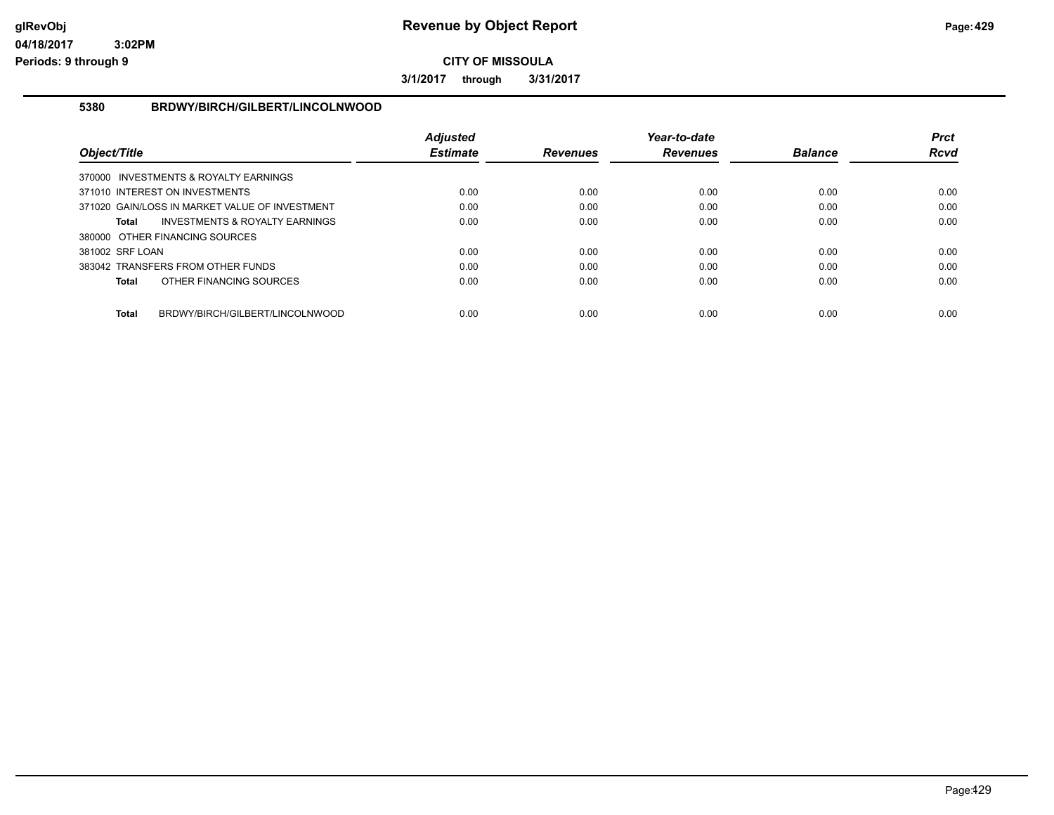**3/1/2017 through 3/31/2017**

#### **5380 BRDWY/BIRCH/GILBERT/LINCOLNWOOD**

|                                                 | <b>Adiusted</b> |                 | Year-to-date    |                | <b>Prct</b> |
|-------------------------------------------------|-----------------|-----------------|-----------------|----------------|-------------|
| Object/Title                                    | <b>Estimate</b> | <b>Revenues</b> | <b>Revenues</b> | <b>Balance</b> | Rcvd        |
| 370000 INVESTMENTS & ROYALTY EARNINGS           |                 |                 |                 |                |             |
| 371010 INTEREST ON INVESTMENTS                  | 0.00            | 0.00            | 0.00            | 0.00           | 0.00        |
| 371020 GAIN/LOSS IN MARKET VALUE OF INVESTMENT  | 0.00            | 0.00            | 0.00            | 0.00           | 0.00        |
| INVESTMENTS & ROYALTY EARNINGS<br>Total         | 0.00            | 0.00            | 0.00            | 0.00           | 0.00        |
| 380000 OTHER FINANCING SOURCES                  |                 |                 |                 |                |             |
| 381002 SRF LOAN                                 | 0.00            | 0.00            | 0.00            | 0.00           | 0.00        |
| 383042 TRANSFERS FROM OTHER FUNDS               | 0.00            | 0.00            | 0.00            | 0.00           | 0.00        |
| Total<br>OTHER FINANCING SOURCES                | 0.00            | 0.00            | 0.00            | 0.00           | 0.00        |
| BRDWY/BIRCH/GILBERT/LINCOLNWOOD<br><b>Total</b> | 0.00            | 0.00            | 0.00            | 0.00           | 0.00        |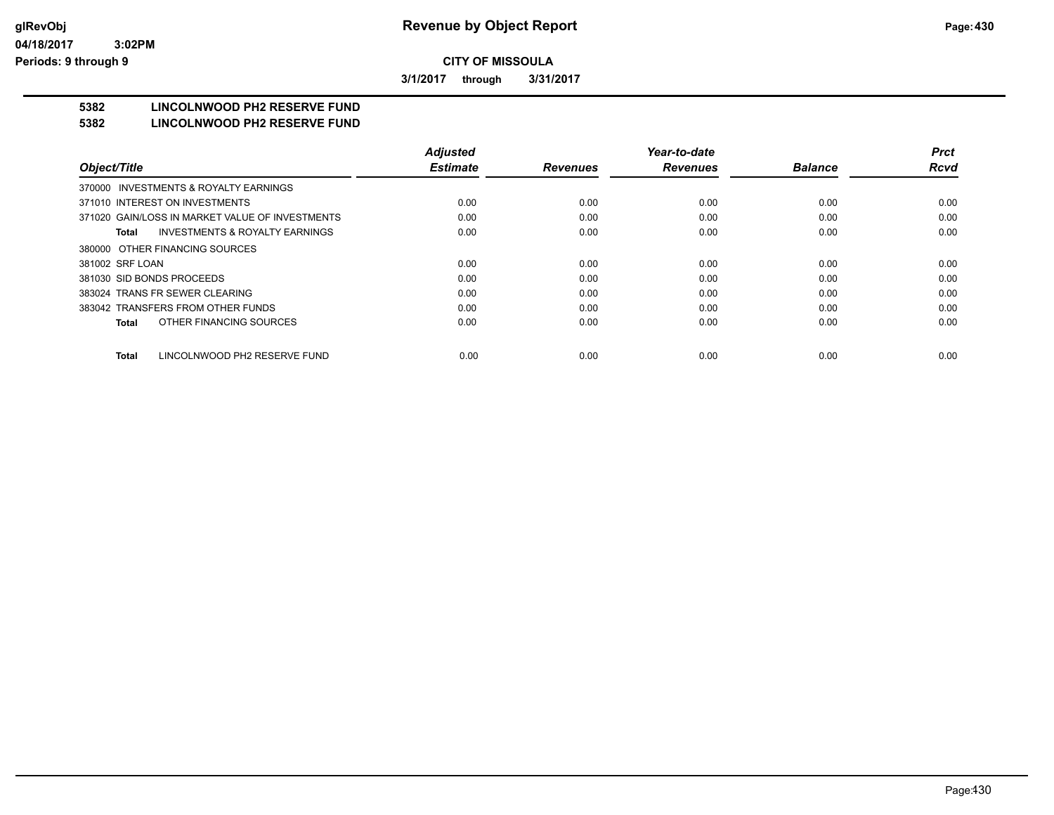**3/1/2017 through 3/31/2017**

## **5382 LINCOLNWOOD PH2 RESERVE FUND 5382 LINCOLNWOOD PH2 RESERVE FUND**

|                                                    | <b>Adjusted</b> |                 | Year-to-date    |                | <b>Prct</b> |
|----------------------------------------------------|-----------------|-----------------|-----------------|----------------|-------------|
| Object/Title                                       | <b>Estimate</b> | <b>Revenues</b> | <b>Revenues</b> | <b>Balance</b> | <b>Rcvd</b> |
| 370000 INVESTMENTS & ROYALTY EARNINGS              |                 |                 |                 |                |             |
| 371010 INTEREST ON INVESTMENTS                     | 0.00            | 0.00            | 0.00            | 0.00           | 0.00        |
| 371020 GAIN/LOSS IN MARKET VALUE OF INVESTMENTS    | 0.00            | 0.00            | 0.00            | 0.00           | 0.00        |
| <b>INVESTMENTS &amp; ROYALTY EARNINGS</b><br>Total | 0.00            | 0.00            | 0.00            | 0.00           | 0.00        |
| 380000 OTHER FINANCING SOURCES                     |                 |                 |                 |                |             |
| 381002 SRF LOAN                                    | 0.00            | 0.00            | 0.00            | 0.00           | 0.00        |
| 381030 SID BONDS PROCEEDS                          | 0.00            | 0.00            | 0.00            | 0.00           | 0.00        |
| 383024 TRANS FR SEWER CLEARING                     | 0.00            | 0.00            | 0.00            | 0.00           | 0.00        |
| 383042 TRANSFERS FROM OTHER FUNDS                  | 0.00            | 0.00            | 0.00            | 0.00           | 0.00        |
| OTHER FINANCING SOURCES<br>Total                   | 0.00            | 0.00            | 0.00            | 0.00           | 0.00        |
| LINCOLNWOOD PH2 RESERVE FUND<br><b>Total</b>       | 0.00            | 0.00            | 0.00            | 0.00           | 0.00        |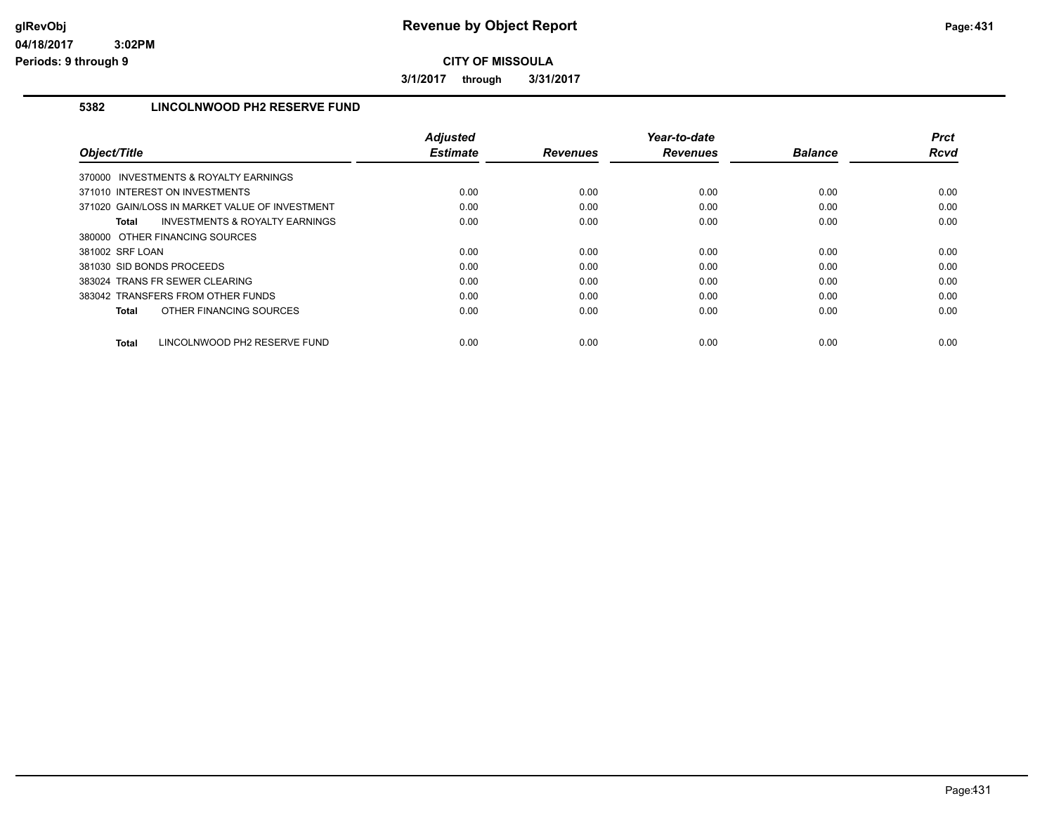**3/1/2017 through 3/31/2017**

#### **5382 LINCOLNWOOD PH2 RESERVE FUND**

| Object/Title                                        | <b>Adjusted</b><br><b>Estimate</b> | <b>Revenues</b> | Year-to-date<br><b>Revenues</b> | <b>Balance</b> | <b>Prct</b><br><b>Rcvd</b> |
|-----------------------------------------------------|------------------------------------|-----------------|---------------------------------|----------------|----------------------------|
|                                                     |                                    |                 |                                 |                |                            |
| <b>INVESTMENTS &amp; ROYALTY EARNINGS</b><br>370000 |                                    |                 |                                 |                |                            |
| 371010 INTEREST ON INVESTMENTS                      | 0.00                               | 0.00            | 0.00                            | 0.00           | 0.00                       |
| 371020 GAIN/LOSS IN MARKET VALUE OF INVESTMENT      | 0.00                               | 0.00            | 0.00                            | 0.00           | 0.00                       |
| INVESTMENTS & ROYALTY EARNINGS<br>Total             | 0.00                               | 0.00            | 0.00                            | 0.00           | 0.00                       |
| 380000 OTHER FINANCING SOURCES                      |                                    |                 |                                 |                |                            |
| 381002 SRF LOAN                                     | 0.00                               | 0.00            | 0.00                            | 0.00           | 0.00                       |
| 381030 SID BONDS PROCEEDS                           | 0.00                               | 0.00            | 0.00                            | 0.00           | 0.00                       |
| 383024 TRANS FR SEWER CLEARING                      | 0.00                               | 0.00            | 0.00                            | 0.00           | 0.00                       |
| 383042 TRANSFERS FROM OTHER FUNDS                   | 0.00                               | 0.00            | 0.00                            | 0.00           | 0.00                       |
| OTHER FINANCING SOURCES<br><b>Total</b>             | 0.00                               | 0.00            | 0.00                            | 0.00           | 0.00                       |
|                                                     |                                    |                 |                                 |                |                            |
| LINCOLNWOOD PH2 RESERVE FUND<br><b>Total</b>        | 0.00                               | 0.00            | 0.00                            | 0.00           | 0.00                       |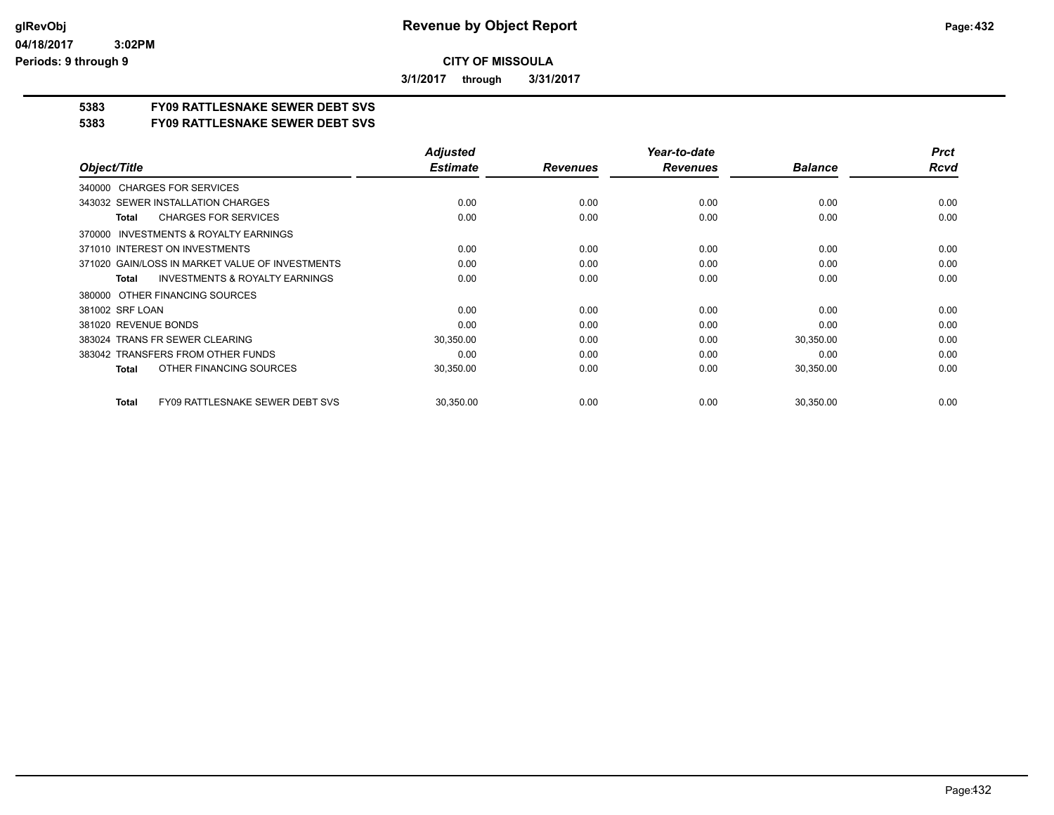**3/1/2017 through 3/31/2017**

## **5383 FY09 RATTLESNAKE SEWER DEBT SVS 5383 FY09 RATTLESNAKE SEWER DEBT SVS**

|                                                        | <b>Adjusted</b> |                 | Year-to-date    |                | <b>Prct</b> |
|--------------------------------------------------------|-----------------|-----------------|-----------------|----------------|-------------|
| Object/Title                                           | <b>Estimate</b> | <b>Revenues</b> | <b>Revenues</b> | <b>Balance</b> | <b>Rcvd</b> |
| 340000 CHARGES FOR SERVICES                            |                 |                 |                 |                |             |
| 343032 SEWER INSTALLATION CHARGES                      | 0.00            | 0.00            | 0.00            | 0.00           | 0.00        |
| <b>CHARGES FOR SERVICES</b><br>Total                   | 0.00            | 0.00            | 0.00            | 0.00           | 0.00        |
| INVESTMENTS & ROYALTY EARNINGS<br>370000               |                 |                 |                 |                |             |
| 371010 INTEREST ON INVESTMENTS                         | 0.00            | 0.00            | 0.00            | 0.00           | 0.00        |
| 371020 GAIN/LOSS IN MARKET VALUE OF INVESTMENTS        | 0.00            | 0.00            | 0.00            | 0.00           | 0.00        |
| <b>INVESTMENTS &amp; ROYALTY EARNINGS</b><br>Total     | 0.00            | 0.00            | 0.00            | 0.00           | 0.00        |
| OTHER FINANCING SOURCES<br>380000                      |                 |                 |                 |                |             |
| 381002 SRF LOAN                                        | 0.00            | 0.00            | 0.00            | 0.00           | 0.00        |
| 381020 REVENUE BONDS                                   | 0.00            | 0.00            | 0.00            | 0.00           | 0.00        |
| 383024 TRANS FR SEWER CLEARING                         | 30,350.00       | 0.00            | 0.00            | 30,350.00      | 0.00        |
| 383042 TRANSFERS FROM OTHER FUNDS                      | 0.00            | 0.00            | 0.00            | 0.00           | 0.00        |
| OTHER FINANCING SOURCES<br>Total                       | 30,350.00       | 0.00            | 0.00            | 30,350.00      | 0.00        |
| <b>FY09 RATTLESNAKE SEWER DEBT SVS</b><br><b>Total</b> | 30,350.00       | 0.00            | 0.00            | 30,350.00      | 0.00        |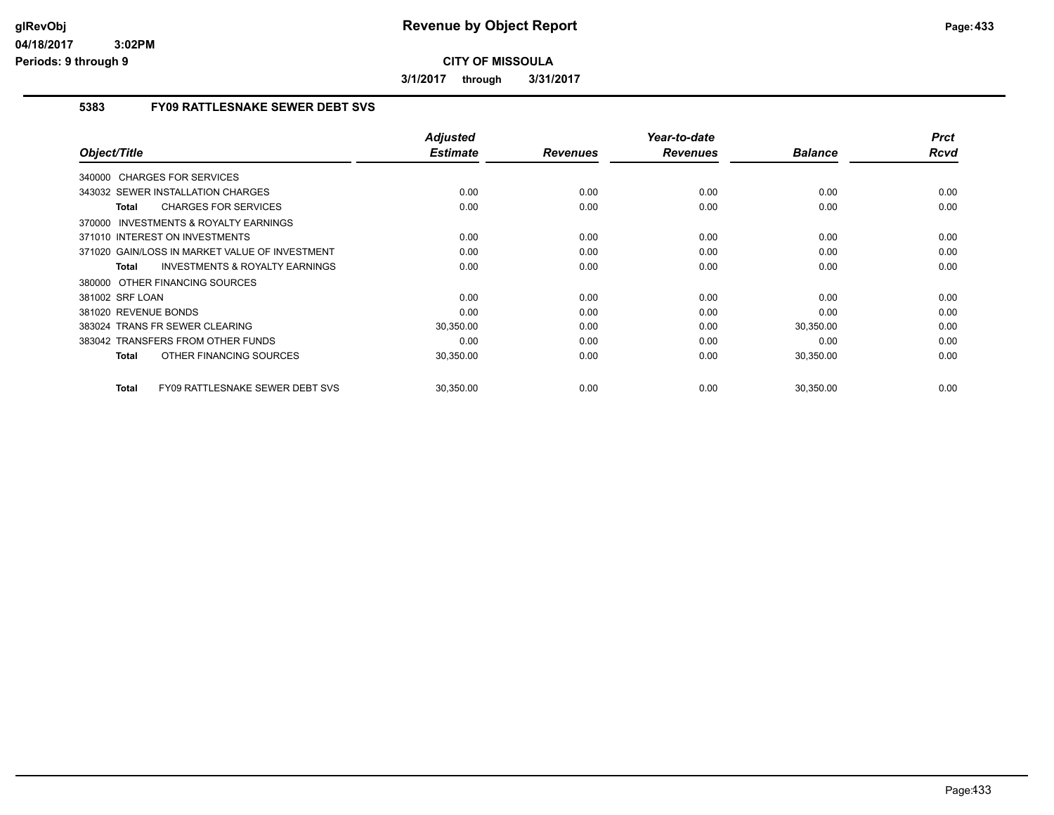**3/1/2017 through 3/31/2017**

## **5383 FY09 RATTLESNAKE SEWER DEBT SVS**

| Object/Title                                              | <b>Adjusted</b><br><b>Estimate</b> | <b>Revenues</b> | Year-to-date<br><b>Revenues</b> | <b>Balance</b> | <b>Prct</b><br><b>Rcvd</b> |
|-----------------------------------------------------------|------------------------------------|-----------------|---------------------------------|----------------|----------------------------|
| 340000 CHARGES FOR SERVICES                               |                                    |                 |                                 |                |                            |
| 343032 SEWER INSTALLATION CHARGES                         | 0.00                               | 0.00            | 0.00                            | 0.00           | 0.00                       |
| <b>CHARGES FOR SERVICES</b><br>Total                      | 0.00                               | 0.00            | 0.00                            | 0.00           | 0.00                       |
| <b>INVESTMENTS &amp; ROYALTY EARNINGS</b><br>370000       |                                    |                 |                                 |                |                            |
| 371010 INTEREST ON INVESTMENTS                            | 0.00                               | 0.00            | 0.00                            | 0.00           | 0.00                       |
| 371020 GAIN/LOSS IN MARKET VALUE OF INVESTMENT            | 0.00                               | 0.00            | 0.00                            | 0.00           | 0.00                       |
| <b>INVESTMENTS &amp; ROYALTY EARNINGS</b><br><b>Total</b> | 0.00                               | 0.00            | 0.00                            | 0.00           | 0.00                       |
| 380000 OTHER FINANCING SOURCES                            |                                    |                 |                                 |                |                            |
| 381002 SRF LOAN                                           | 0.00                               | 0.00            | 0.00                            | 0.00           | 0.00                       |
| 381020 REVENUE BONDS                                      | 0.00                               | 0.00            | 0.00                            | 0.00           | 0.00                       |
| 383024 TRANS FR SEWER CLEARING                            | 30,350.00                          | 0.00            | 0.00                            | 30,350.00      | 0.00                       |
| 383042 TRANSFERS FROM OTHER FUNDS                         | 0.00                               | 0.00            | 0.00                            | 0.00           | 0.00                       |
| OTHER FINANCING SOURCES<br><b>Total</b>                   | 30,350.00                          | 0.00            | 0.00                            | 30,350.00      | 0.00                       |
| <b>FY09 RATTLESNAKE SEWER DEBT SVS</b><br><b>Total</b>    | 30,350.00                          | 0.00            | 0.00                            | 30,350.00      | 0.00                       |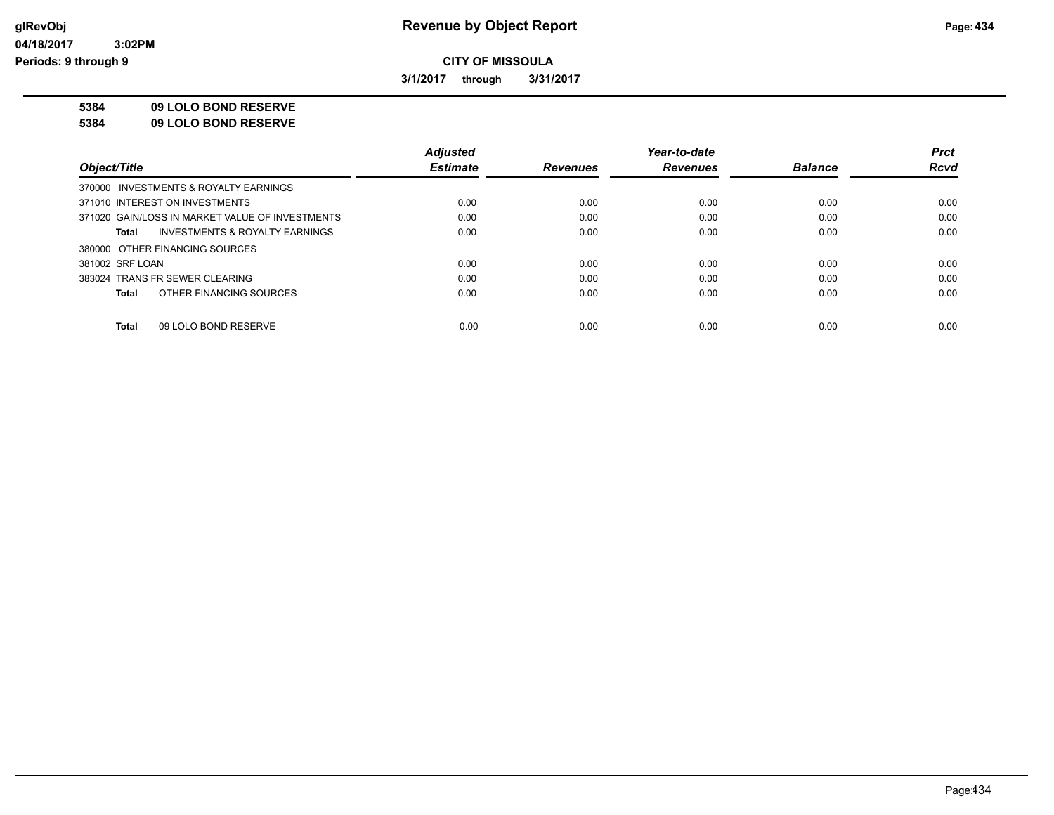**3/1/2017 through 3/31/2017**

**5384 09 LOLO BOND RESERVE**

**5384 09 LOLO BOND RESERVE**

|                                                 | <b>Adjusted</b> |                 | Year-to-date    |                | <b>Prct</b> |
|-------------------------------------------------|-----------------|-----------------|-----------------|----------------|-------------|
| Object/Title                                    | <b>Estimate</b> | <b>Revenues</b> | <b>Revenues</b> | <b>Balance</b> | <b>Rcvd</b> |
| 370000 INVESTMENTS & ROYALTY EARNINGS           |                 |                 |                 |                |             |
| 371010 INTEREST ON INVESTMENTS                  | 0.00            | 0.00            | 0.00            | 0.00           | 0.00        |
| 371020 GAIN/LOSS IN MARKET VALUE OF INVESTMENTS | 0.00            | 0.00            | 0.00            | 0.00           | 0.00        |
| INVESTMENTS & ROYALTY EARNINGS<br>Total         | 0.00            | 0.00            | 0.00            | 0.00           | 0.00        |
| 380000 OTHER FINANCING SOURCES                  |                 |                 |                 |                |             |
| 381002 SRF LOAN                                 | 0.00            | 0.00            | 0.00            | 0.00           | 0.00        |
| 383024 TRANS FR SEWER CLEARING                  | 0.00            | 0.00            | 0.00            | 0.00           | 0.00        |
| OTHER FINANCING SOURCES<br>Total                | 0.00            | 0.00            | 0.00            | 0.00           | 0.00        |
| 09 LOLO BOND RESERVE<br><b>Total</b>            | 0.00            | 0.00            | 0.00            | 0.00           | 0.00        |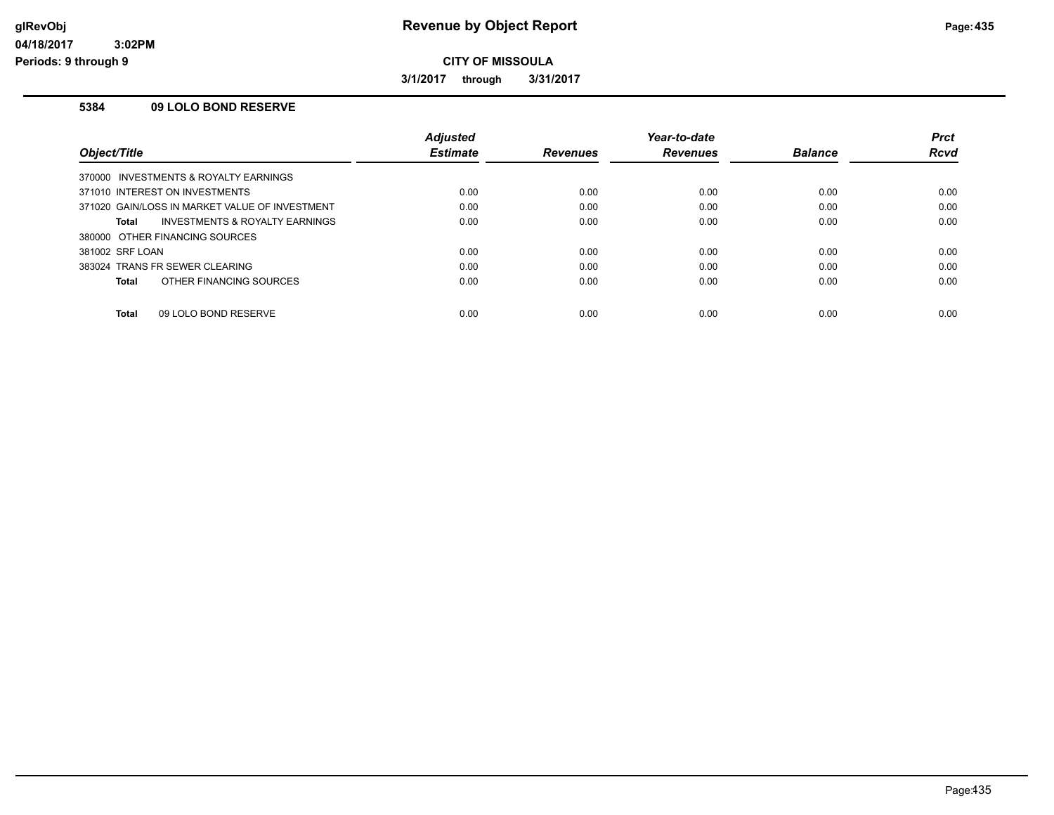**3/1/2017 through 3/31/2017**

## **5384 09 LOLO BOND RESERVE**

|                                                | <b>Adjusted</b> |                 | Year-to-date    |                | <b>Prct</b> |
|------------------------------------------------|-----------------|-----------------|-----------------|----------------|-------------|
| Object/Title                                   | <b>Estimate</b> | <b>Revenues</b> | <b>Revenues</b> | <b>Balance</b> | <b>Rcvd</b> |
| 370000 INVESTMENTS & ROYALTY EARNINGS          |                 |                 |                 |                |             |
| 371010 INTEREST ON INVESTMENTS                 | 0.00            | 0.00            | 0.00            | 0.00           | 0.00        |
| 371020 GAIN/LOSS IN MARKET VALUE OF INVESTMENT | 0.00            | 0.00            | 0.00            | 0.00           | 0.00        |
| INVESTMENTS & ROYALTY EARNINGS<br>Total        | 0.00            | 0.00            | 0.00            | 0.00           | 0.00        |
| 380000 OTHER FINANCING SOURCES                 |                 |                 |                 |                |             |
| 381002 SRF LOAN                                | 0.00            | 0.00            | 0.00            | 0.00           | 0.00        |
| 383024 TRANS FR SEWER CLEARING                 | 0.00            | 0.00            | 0.00            | 0.00           | 0.00        |
| OTHER FINANCING SOURCES<br><b>Total</b>        | 0.00            | 0.00            | 0.00            | 0.00           | 0.00        |
|                                                |                 |                 |                 |                |             |
| 09 LOLO BOND RESERVE<br>Total                  | 0.00            | 0.00            | 0.00            | 0.00           | 0.00        |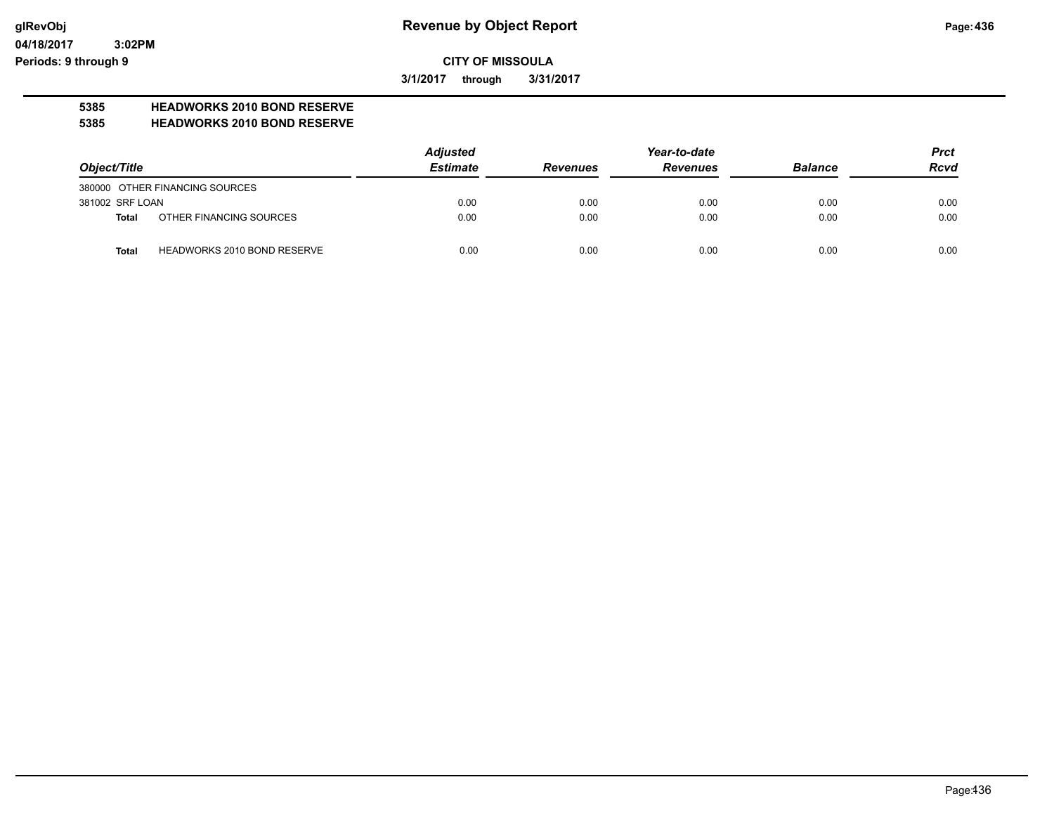**3/1/2017 through 3/31/2017**

#### **5385 HEADWORKS 2010 BOND RESERVE 5385 HEADWORKS 2010 BOND RESERVE**

|                 |                                    | <b>Adjusted</b> |                 | Year-to-date    |                | Prct        |
|-----------------|------------------------------------|-----------------|-----------------|-----------------|----------------|-------------|
| Object/Title    |                                    | <b>Estimate</b> | <b>Revenues</b> | <b>Revenues</b> | <b>Balance</b> | <b>Rcvd</b> |
|                 | 380000 OTHER FINANCING SOURCES     |                 |                 |                 |                |             |
| 381002 SRF LOAN |                                    | 0.00            | 0.00            | 0.00            | 0.00           | 0.00        |
| <b>Total</b>    | OTHER FINANCING SOURCES            | 0.00            | 0.00            | 0.00            | 0.00           | 0.00        |
| <b>Total</b>    | <b>HEADWORKS 2010 BOND RESERVE</b> | 0.00            | 0.00            | 0.00            | 0.00           | 0.00        |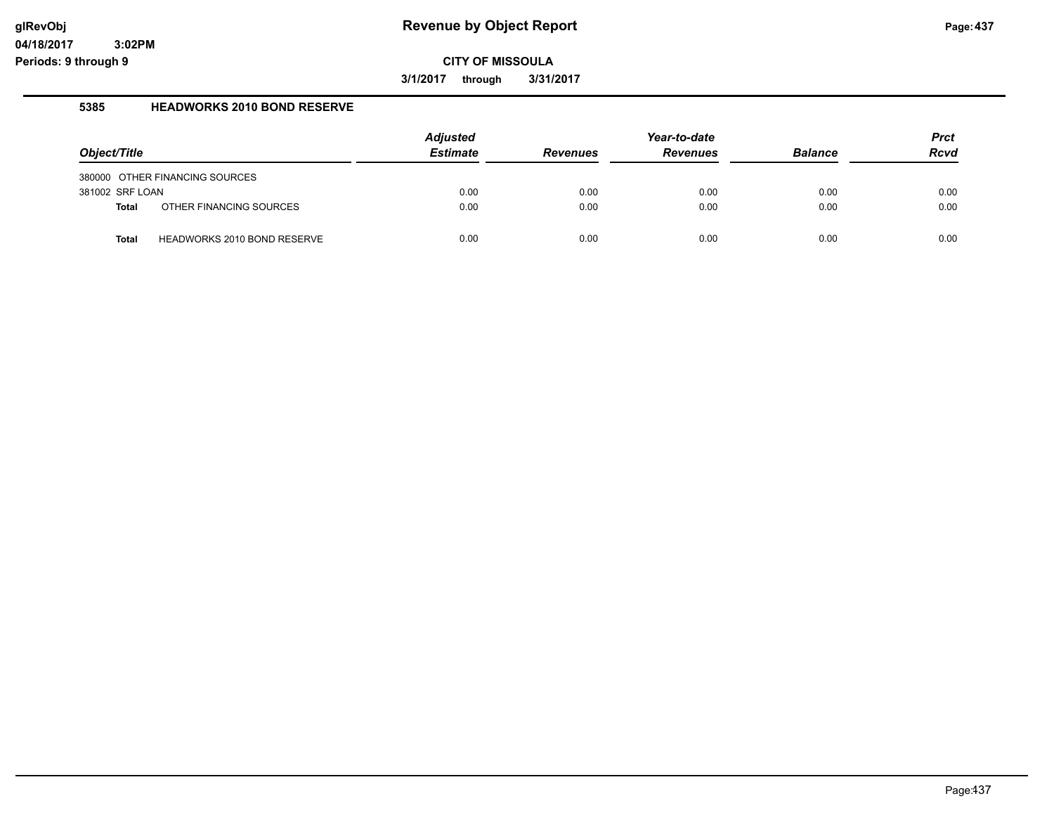**3/1/2017 through 3/31/2017**

#### **5385 HEADWORKS 2010 BOND RESERVE**

|                 |                                    | <b>Adjusted</b> |                 | Year-to-date    |                | <b>Prct</b> |
|-----------------|------------------------------------|-----------------|-----------------|-----------------|----------------|-------------|
| Object/Title    |                                    | <b>Estimate</b> | <b>Revenues</b> | <b>Revenues</b> | <b>Balance</b> | <b>Rcvd</b> |
|                 | 380000 OTHER FINANCING SOURCES     |                 |                 |                 |                |             |
| 381002 SRF LOAN |                                    | 0.00            | 0.00            | 0.00            | 0.00           | 0.00        |
| <b>Total</b>    | OTHER FINANCING SOURCES            | 0.00            | 0.00            | 0.00            | 0.00           | 0.00        |
| Total           | <b>HEADWORKS 2010 BOND RESERVE</b> | 0.00            | 0.00            | 0.00            | 0.00           | 0.00        |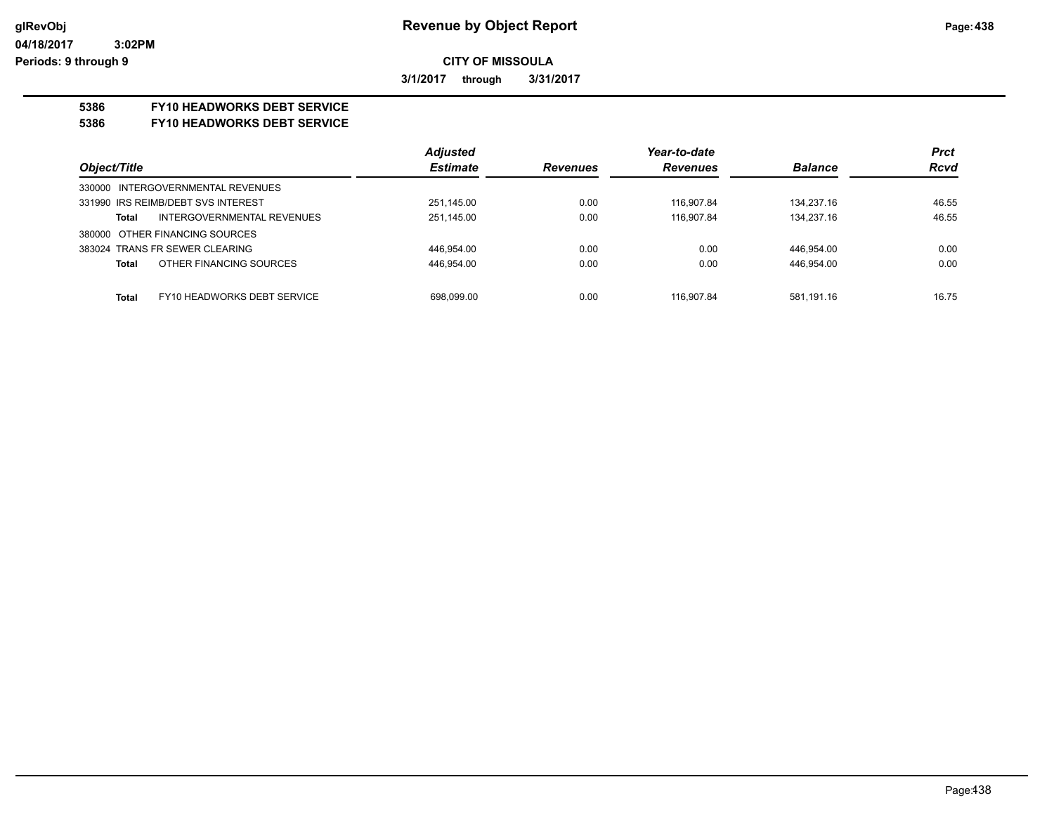**3/1/2017 through 3/31/2017**

**5386 FY10 HEADWORKS DEBT SERVICE 5386 FY10 HEADWORKS DEBT SERVICE**

|                                      | <b>Adjusted</b> |                 | Year-to-date    |                | <b>Prct</b> |
|--------------------------------------|-----------------|-----------------|-----------------|----------------|-------------|
| Object/Title                         | <b>Estimate</b> | <b>Revenues</b> | <b>Revenues</b> | <b>Balance</b> | <b>Rcvd</b> |
| 330000 INTERGOVERNMENTAL REVENUES    |                 |                 |                 |                |             |
| 331990 IRS REIMB/DEBT SVS INTEREST   | 251.145.00      | 0.00            | 116.907.84      | 134.237.16     | 46.55       |
| INTERGOVERNMENTAL REVENUES<br>Total  | 251,145.00      | 0.00            | 116.907.84      | 134.237.16     | 46.55       |
| 380000 OTHER FINANCING SOURCES       |                 |                 |                 |                |             |
| 383024 TRANS FR SEWER CLEARING       | 446.954.00      | 0.00            | 0.00            | 446.954.00     | 0.00        |
| OTHER FINANCING SOURCES<br>Total     | 446,954.00      | 0.00            | 0.00            | 446.954.00     | 0.00        |
|                                      |                 |                 |                 |                |             |
| FY10 HEADWORKS DEBT SERVICE<br>Total | 698.099.00      | 0.00            | 116.907.84      | 581.191.16     | 16.75       |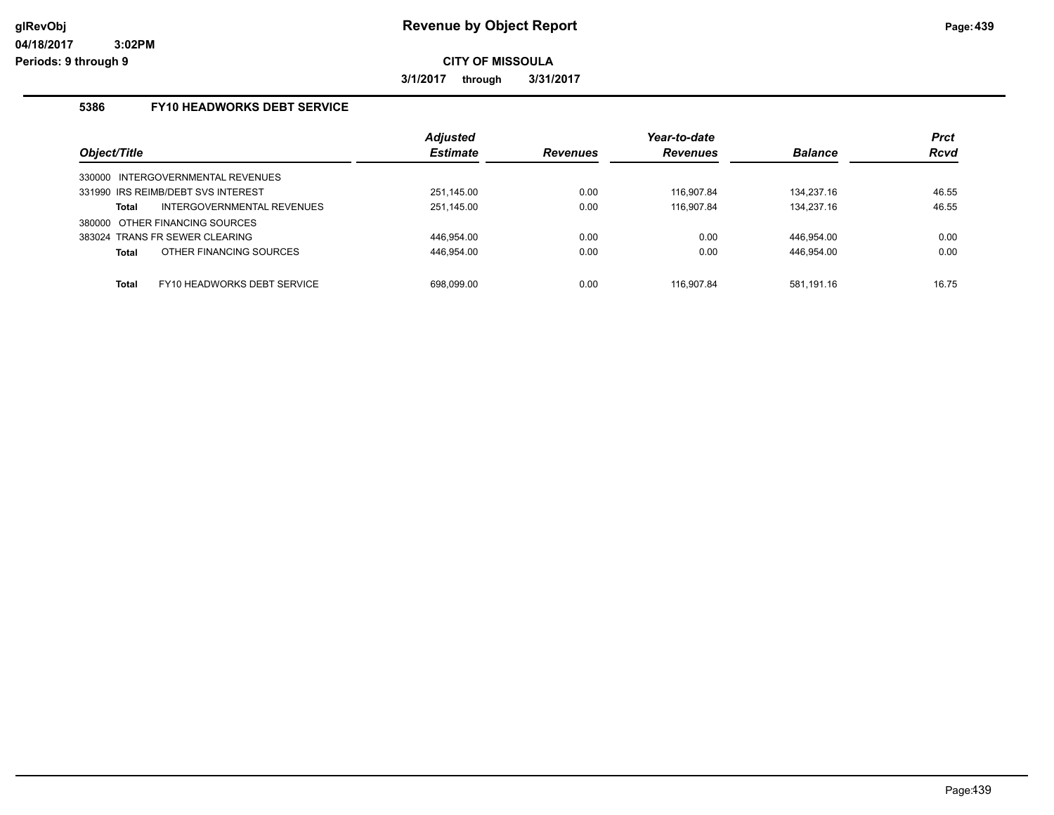**3/1/2017 through 3/31/2017**

#### **5386 FY10 HEADWORKS DEBT SERVICE**

|                                |                                    | <b>Adjusted</b> |                 | Year-to-date    |                | <b>Prct</b> |
|--------------------------------|------------------------------------|-----------------|-----------------|-----------------|----------------|-------------|
| Object/Title                   |                                    | <b>Estimate</b> | <b>Revenues</b> | <b>Revenues</b> | <b>Balance</b> | <b>Rcvd</b> |
|                                | 330000 INTERGOVERNMENTAL REVENUES  |                 |                 |                 |                |             |
|                                | 331990 IRS REIMB/DEBT SVS INTEREST | 251.145.00      | 0.00            | 116.907.84      | 134.237.16     | 46.55       |
| Total                          | INTERGOVERNMENTAL REVENUES         | 251.145.00      | 0.00            | 116.907.84      | 134.237.16     | 46.55       |
| 380000 OTHER FINANCING SOURCES |                                    |                 |                 |                 |                |             |
| 383024 TRANS FR SEWER CLEARING |                                    | 446.954.00      | 0.00            | 0.00            | 446.954.00     | 0.00        |
| Total                          | OTHER FINANCING SOURCES            | 446,954.00      | 0.00            | 0.00            | 446,954.00     | 0.00        |
| <b>Total</b>                   | FY10 HEADWORKS DEBT SERVICE        | 698.099.00      | 0.00            | 116.907.84      | 581.191.16     | 16.75       |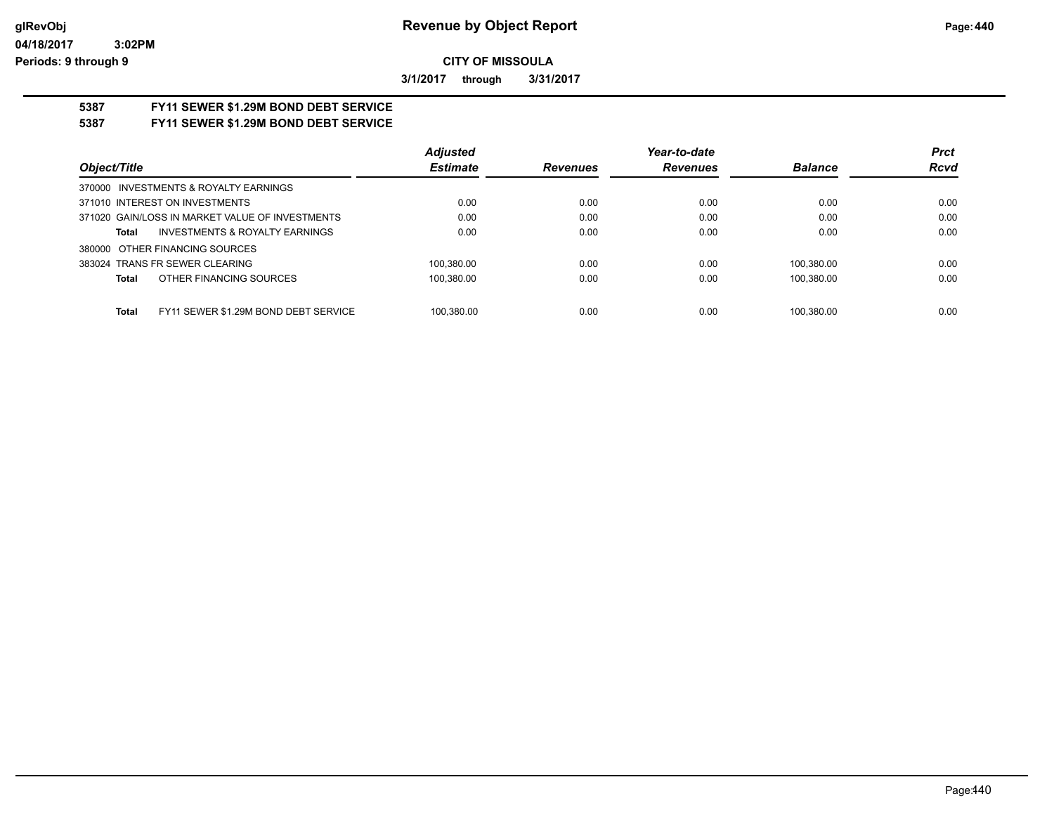**3/1/2017 through 3/31/2017**

## **5387 FY11 SEWER \$1.29M BOND DEBT SERVICE 5387 FY11 SEWER \$1.29M BOND DEBT SERVICE**

|                                                      | <b>Adjusted</b> |                 | Year-to-date    |                | <b>Prct</b> |
|------------------------------------------------------|-----------------|-----------------|-----------------|----------------|-------------|
| Object/Title                                         | <b>Estimate</b> | <b>Revenues</b> | <b>Revenues</b> | <b>Balance</b> | <b>Rcvd</b> |
| 370000 INVESTMENTS & ROYALTY EARNINGS                |                 |                 |                 |                |             |
| 371010 INTEREST ON INVESTMENTS                       | 0.00            | 0.00            | 0.00            | 0.00           | 0.00        |
| 371020 GAIN/LOSS IN MARKET VALUE OF INVESTMENTS      | 0.00            | 0.00            | 0.00            | 0.00           | 0.00        |
| INVESTMENTS & ROYALTY EARNINGS<br>Total              | 0.00            | 0.00            | 0.00            | 0.00           | 0.00        |
| 380000 OTHER FINANCING SOURCES                       |                 |                 |                 |                |             |
| 383024 TRANS FR SEWER CLEARING                       | 100.380.00      | 0.00            | 0.00            | 100.380.00     | 0.00        |
| OTHER FINANCING SOURCES<br>Total                     | 100,380.00      | 0.00            | 0.00            | 100.380.00     | 0.00        |
|                                                      |                 |                 |                 |                |             |
| <b>Total</b><br>FY11 SEWER \$1.29M BOND DEBT SERVICE | 100.380.00      | 0.00            | 0.00            | 100.380.00     | 0.00        |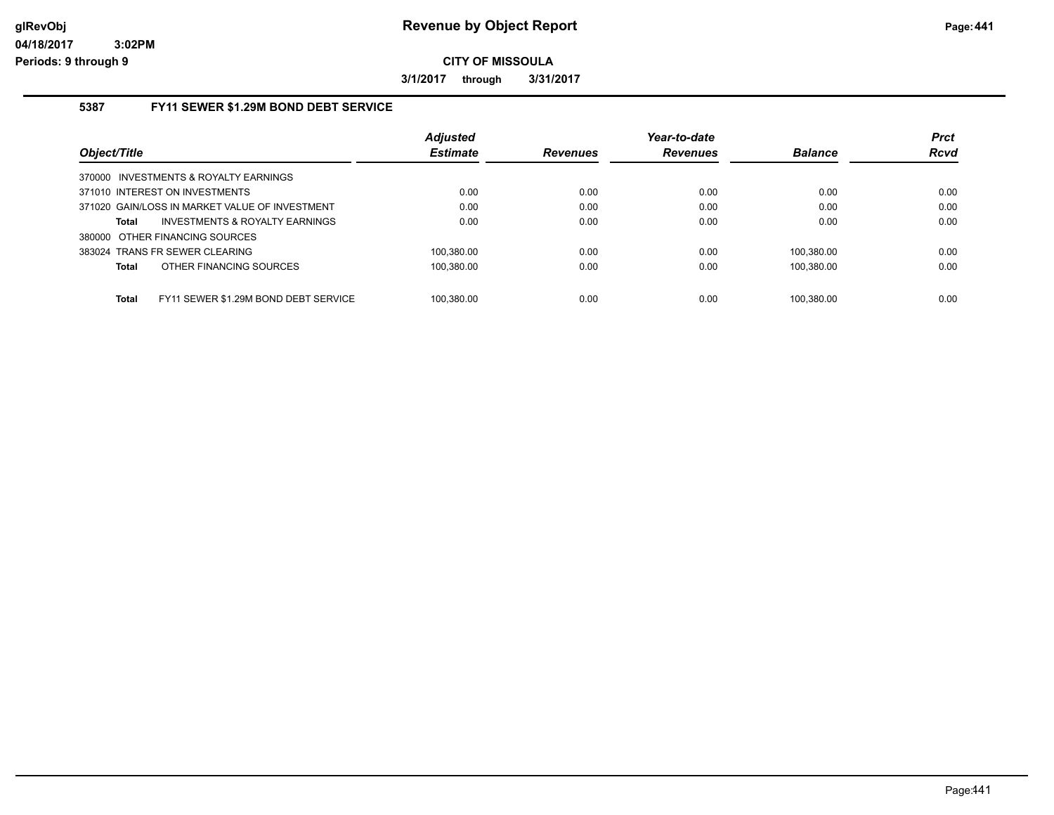**3/1/2017 through 3/31/2017**

## **5387 FY11 SEWER \$1.29M BOND DEBT SERVICE**

|              |                                                | <b>Adjusted</b> |                 | Year-to-date    |                | <b>Prct</b> |
|--------------|------------------------------------------------|-----------------|-----------------|-----------------|----------------|-------------|
| Object/Title |                                                | <b>Estimate</b> | <b>Revenues</b> | <b>Revenues</b> | <b>Balance</b> | <b>Rcvd</b> |
| 370000       | INVESTMENTS & ROYALTY EARNINGS                 |                 |                 |                 |                |             |
|              | 371010 INTEREST ON INVESTMENTS                 | 0.00            | 0.00            | 0.00            | 0.00           | 0.00        |
|              | 371020 GAIN/LOSS IN MARKET VALUE OF INVESTMENT | 0.00            | 0.00            | 0.00            | 0.00           | 0.00        |
| Total        | INVESTMENTS & ROYALTY EARNINGS                 | 0.00            | 0.00            | 0.00            | 0.00           | 0.00        |
|              | 380000 OTHER FINANCING SOURCES                 |                 |                 |                 |                |             |
|              | 383024 TRANS FR SEWER CLEARING                 | 100.380.00      | 0.00            | 0.00            | 100.380.00     | 0.00        |
| Total        | OTHER FINANCING SOURCES                        | 100.380.00      | 0.00            | 0.00            | 100.380.00     | 0.00        |
| <b>Total</b> | FY11 SEWER \$1.29M BOND DEBT SERVICE           | 100.380.00      | 0.00            | 0.00            | 100.380.00     | 0.00        |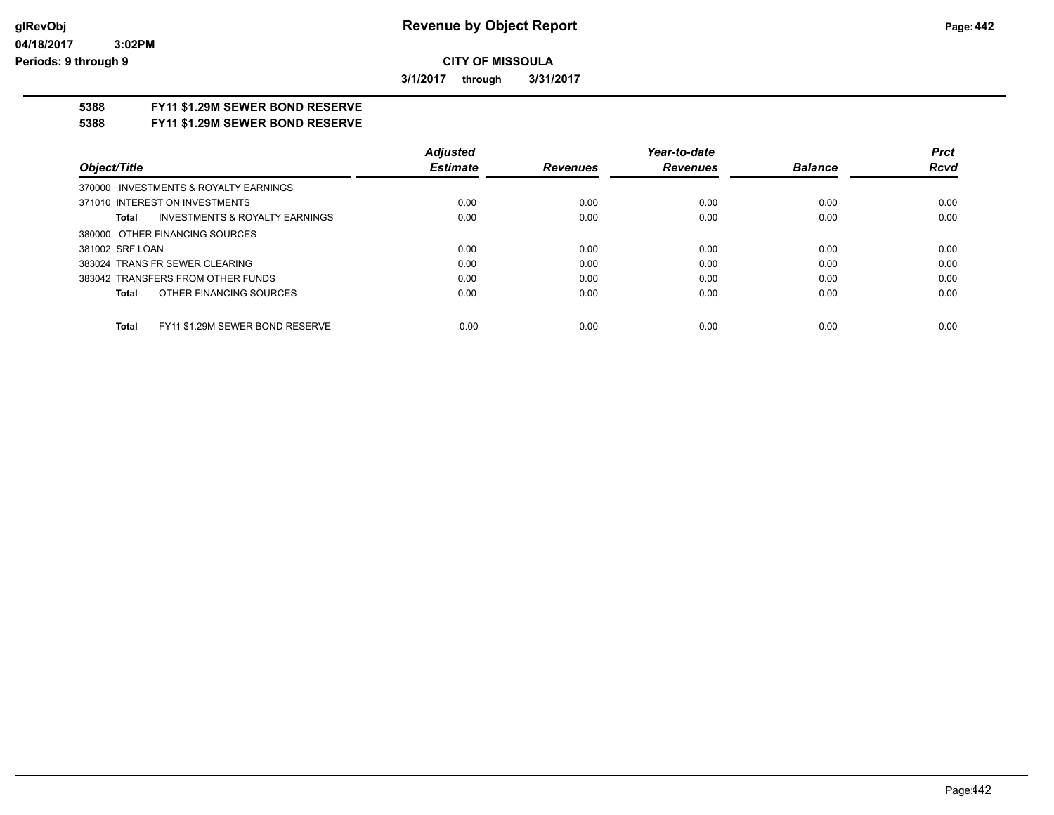**3/1/2017 through 3/31/2017**

## **5388 FY11 \$1.29M SEWER BOND RESERVE 5388 FY11 \$1.29M SEWER BOND RESERVE**

|                                                 | <b>Adjusted</b> |                 | Year-to-date    |                | <b>Prct</b> |
|-------------------------------------------------|-----------------|-----------------|-----------------|----------------|-------------|
| Object/Title                                    | <b>Estimate</b> | <b>Revenues</b> | <b>Revenues</b> | <b>Balance</b> | <b>Rcvd</b> |
| INVESTMENTS & ROYALTY EARNINGS<br>370000        |                 |                 |                 |                |             |
| 371010 INTEREST ON INVESTMENTS                  | 0.00            | 0.00            | 0.00            | 0.00           | 0.00        |
| INVESTMENTS & ROYALTY EARNINGS<br>Total         | 0.00            | 0.00            | 0.00            | 0.00           | 0.00        |
| 380000 OTHER FINANCING SOURCES                  |                 |                 |                 |                |             |
| 381002 SRF LOAN                                 | 0.00            | 0.00            | 0.00            | 0.00           | 0.00        |
| 383024 TRANS FR SEWER CLEARING                  | 0.00            | 0.00            | 0.00            | 0.00           | 0.00        |
| 383042 TRANSFERS FROM OTHER FUNDS               | 0.00            | 0.00            | 0.00            | 0.00           | 0.00        |
| OTHER FINANCING SOURCES<br>Total                | 0.00            | 0.00            | 0.00            | 0.00           | 0.00        |
|                                                 |                 |                 |                 |                |             |
| FY11 \$1.29M SEWER BOND RESERVE<br><b>Total</b> | 0.00            | 0.00            | 0.00            | 0.00           | 0.00        |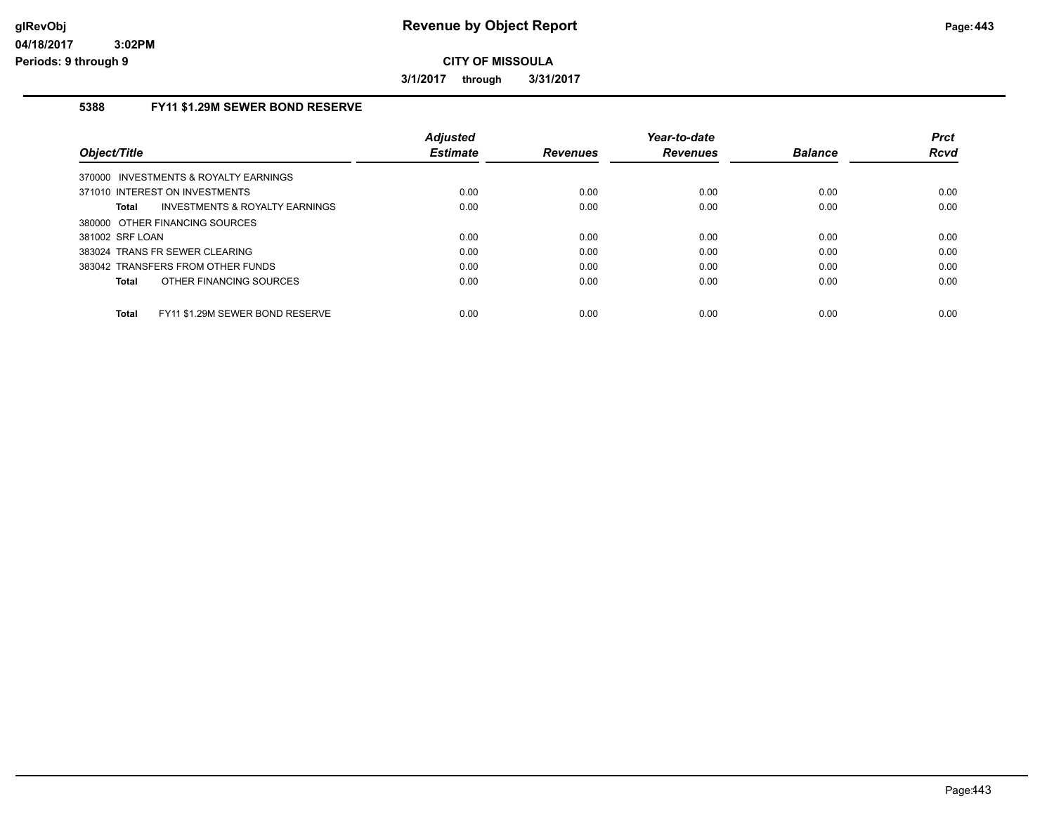**3/1/2017 through 3/31/2017**

### **5388 FY11 \$1.29M SEWER BOND RESERVE**

|                                                    | <b>Adiusted</b> |                 | Year-to-date    |                | <b>Prct</b> |
|----------------------------------------------------|-----------------|-----------------|-----------------|----------------|-------------|
| Object/Title                                       | <b>Estimate</b> | <b>Revenues</b> | <b>Revenues</b> | <b>Balance</b> | <b>Rcvd</b> |
| 370000 INVESTMENTS & ROYALTY EARNINGS              |                 |                 |                 |                |             |
| 371010 INTEREST ON INVESTMENTS                     | 0.00            | 0.00            | 0.00            | 0.00           | 0.00        |
| <b>INVESTMENTS &amp; ROYALTY EARNINGS</b><br>Total | 0.00            | 0.00            | 0.00            | 0.00           | 0.00        |
| 380000 OTHER FINANCING SOURCES                     |                 |                 |                 |                |             |
| 381002 SRF LOAN                                    | 0.00            | 0.00            | 0.00            | 0.00           | 0.00        |
| 383024 TRANS FR SEWER CLEARING                     | 0.00            | 0.00            | 0.00            | 0.00           | 0.00        |
| 383042 TRANSFERS FROM OTHER FUNDS                  | 0.00            | 0.00            | 0.00            | 0.00           | 0.00        |
| OTHER FINANCING SOURCES<br>Total                   | 0.00            | 0.00            | 0.00            | 0.00           | 0.00        |
| FY11 \$1.29M SEWER BOND RESERVE<br>Total           | 0.00            | 0.00            | 0.00            | 0.00           | 0.00        |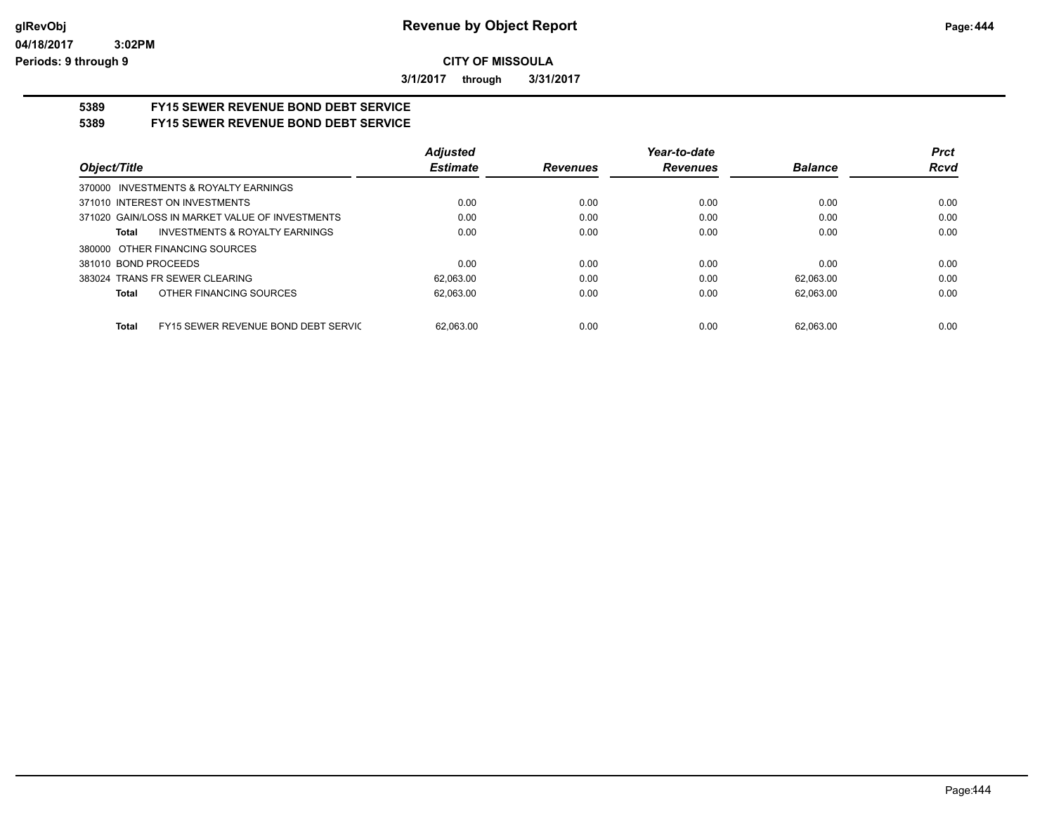**3/1/2017 through 3/31/2017**

#### **5389 FY15 SEWER REVENUE BOND DEBT SERVICE 5389 FY15 SEWER REVENUE BOND DEBT SERVICE**

|                                                     | Adjusted        |                 | Year-to-date    |                | <b>Prct</b> |
|-----------------------------------------------------|-----------------|-----------------|-----------------|----------------|-------------|
| Object/Title                                        | <b>Estimate</b> | <b>Revenues</b> | <b>Revenues</b> | <b>Balance</b> | Rcvd        |
| INVESTMENTS & ROYALTY EARNINGS<br>370000            |                 |                 |                 |                |             |
| 371010 INTEREST ON INVESTMENTS                      | 0.00            | 0.00            | 0.00            | 0.00           | 0.00        |
| 371020 GAIN/LOSS IN MARKET VALUE OF INVESTMENTS     | 0.00            | 0.00            | 0.00            | 0.00           | 0.00        |
| INVESTMENTS & ROYALTY EARNINGS<br>Total             | 0.00            | 0.00            | 0.00            | 0.00           | 0.00        |
| 380000 OTHER FINANCING SOURCES                      |                 |                 |                 |                |             |
| 381010 BOND PROCEEDS                                | 0.00            | 0.00            | 0.00            | 0.00           | 0.00        |
| 383024 TRANS FR SEWER CLEARING                      | 62.063.00       | 0.00            | 0.00            | 62.063.00      | 0.00        |
| OTHER FINANCING SOURCES<br>Total                    | 62,063.00       | 0.00            | 0.00            | 62,063.00      | 0.00        |
|                                                     |                 |                 |                 |                |             |
| FY15 SEWER REVENUE BOND DEBT SERVIC<br><b>Total</b> | 62.063.00       | 0.00            | 0.00            | 62.063.00      | 0.00        |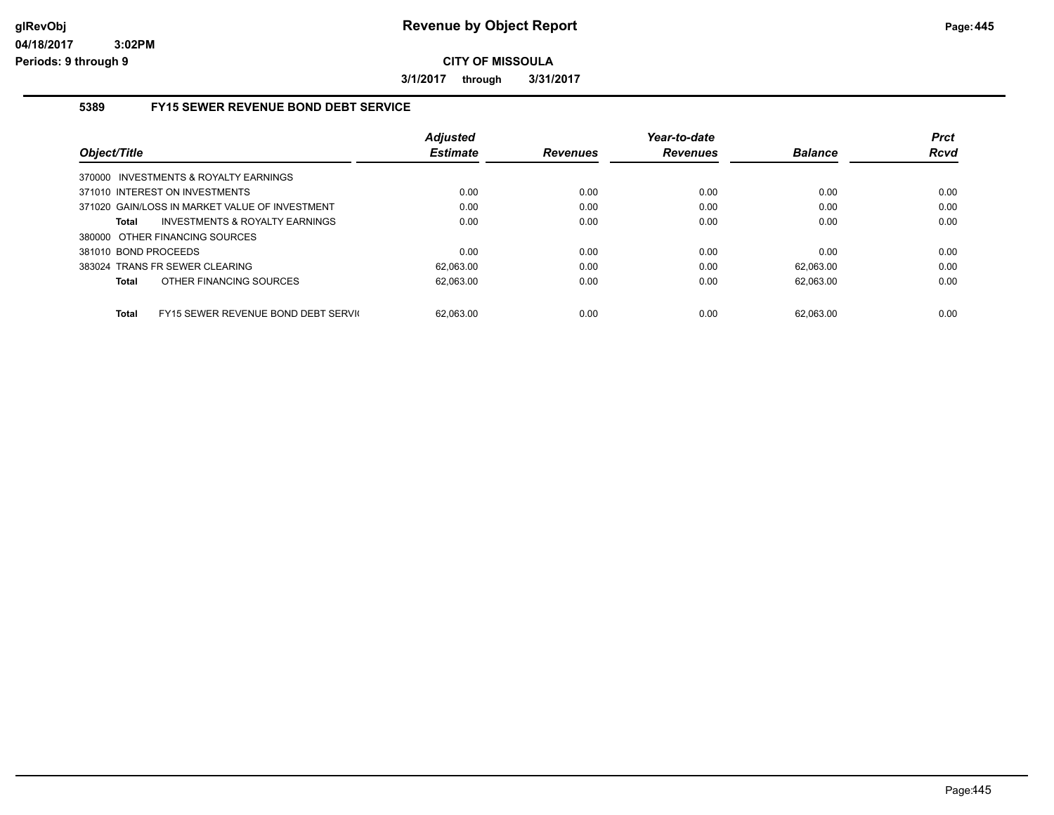**3/1/2017 through 3/31/2017**

## **5389 FY15 SEWER REVENUE BOND DEBT SERVICE**

|                                                             | <b>Adiusted</b> |                 | Year-to-date    |                | <b>Prct</b> |
|-------------------------------------------------------------|-----------------|-----------------|-----------------|----------------|-------------|
| Object/Title                                                | <b>Estimate</b> | <b>Revenues</b> | <b>Revenues</b> | <b>Balance</b> | <b>Rcvd</b> |
| 370000 INVESTMENTS & ROYALTY EARNINGS                       |                 |                 |                 |                |             |
| 371010 INTEREST ON INVESTMENTS                              | 0.00            | 0.00            | 0.00            | 0.00           | 0.00        |
| 371020 GAIN/LOSS IN MARKET VALUE OF INVESTMENT              | 0.00            | 0.00            | 0.00            | 0.00           | 0.00        |
| INVESTMENTS & ROYALTY EARNINGS<br>Total                     | 0.00            | 0.00            | 0.00            | 0.00           | 0.00        |
| 380000 OTHER FINANCING SOURCES                              |                 |                 |                 |                |             |
| 381010 BOND PROCEEDS                                        | 0.00            | 0.00            | 0.00            | 0.00           | 0.00        |
| 383024 TRANS FR SEWER CLEARING                              | 62.063.00       | 0.00            | 0.00            | 62.063.00      | 0.00        |
| OTHER FINANCING SOURCES<br><b>Total</b>                     | 62,063.00       | 0.00            | 0.00            | 62.063.00      | 0.00        |
| <b>FY15 SEWER REVENUE BOND DEBT SERVICE</b><br><b>Total</b> | 62.063.00       | 0.00            | 0.00            | 62.063.00      | 0.00        |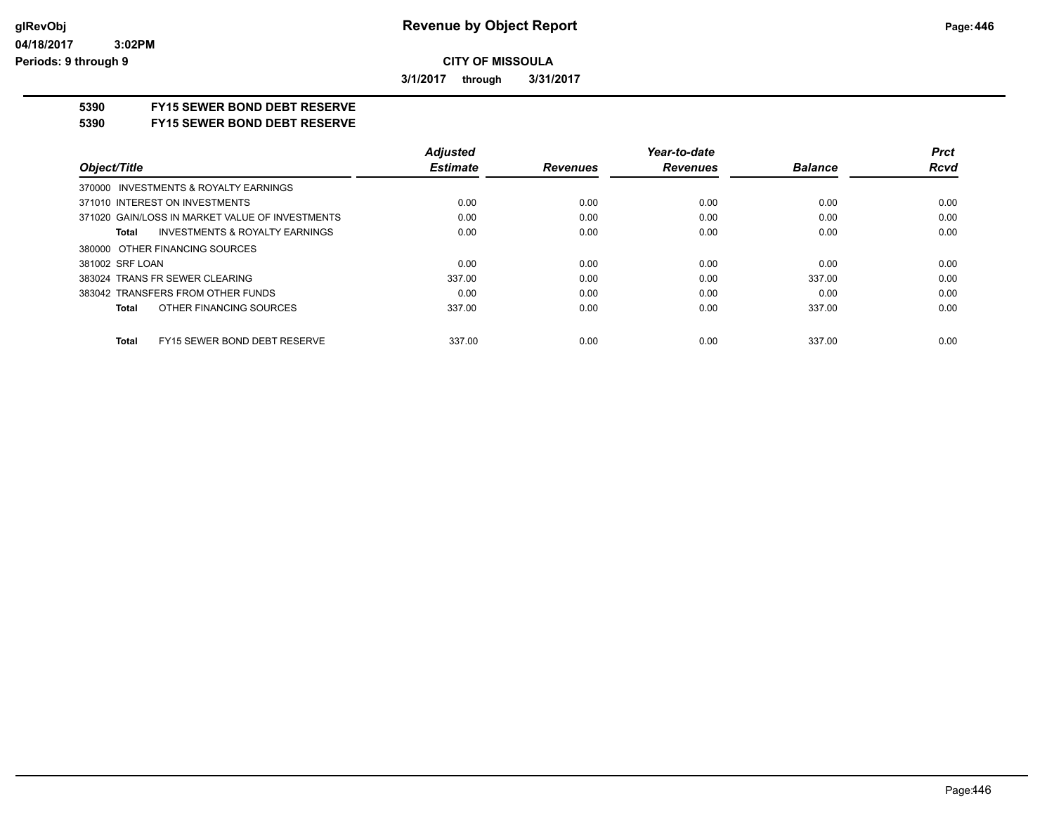**3/1/2017 through 3/31/2017**

#### **5390 FY15 SEWER BOND DEBT RESERVE 5390 FY15 SEWER BOND DEBT RESERVE**

|                                                    | <b>Adiusted</b> |                 | Year-to-date    |                | <b>Prct</b> |
|----------------------------------------------------|-----------------|-----------------|-----------------|----------------|-------------|
| Object/Title                                       | <b>Estimate</b> | <b>Revenues</b> | <b>Revenues</b> | <b>Balance</b> | <b>Rcvd</b> |
| 370000 INVESTMENTS & ROYALTY EARNINGS              |                 |                 |                 |                |             |
| 371010 INTEREST ON INVESTMENTS                     | 0.00            | 0.00            | 0.00            | 0.00           | 0.00        |
| 371020 GAIN/LOSS IN MARKET VALUE OF INVESTMENTS    | 0.00            | 0.00            | 0.00            | 0.00           | 0.00        |
| <b>INVESTMENTS &amp; ROYALTY EARNINGS</b><br>Total | 0.00            | 0.00            | 0.00            | 0.00           | 0.00        |
| 380000 OTHER FINANCING SOURCES                     |                 |                 |                 |                |             |
| 381002 SRF LOAN                                    | 0.00            | 0.00            | 0.00            | 0.00           | 0.00        |
| 383024 TRANS FR SEWER CLEARING                     | 337.00          | 0.00            | 0.00            | 337.00         | 0.00        |
| 383042 TRANSFERS FROM OTHER FUNDS                  | 0.00            | 0.00            | 0.00            | 0.00           | 0.00        |
| OTHER FINANCING SOURCES<br>Total                   | 337.00          | 0.00            | 0.00            | 337.00         | 0.00        |
|                                                    |                 |                 |                 |                |             |
| FY15 SEWER BOND DEBT RESERVE<br><b>Total</b>       | 337.00          | 0.00            | 0.00            | 337.00         | 0.00        |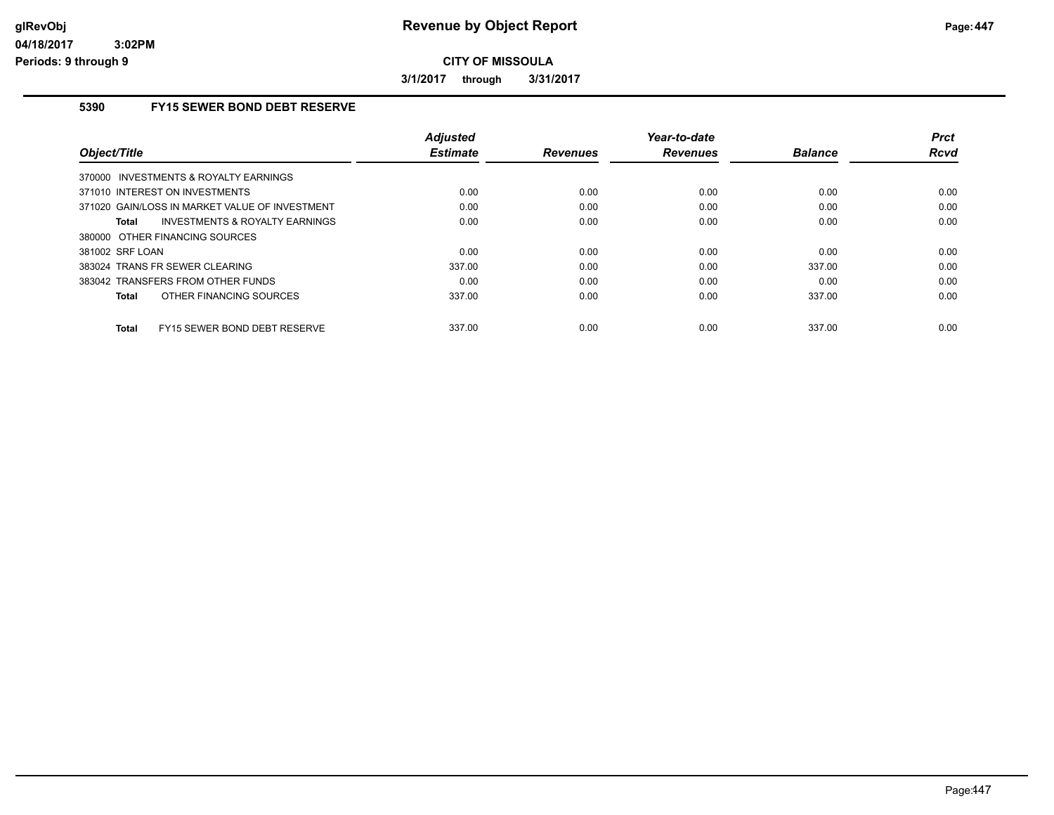**3/1/2017 through 3/31/2017**

### **5390 FY15 SEWER BOND DEBT RESERVE**

| Object/Title                                        | <b>Adjusted</b><br><b>Estimate</b> | <b>Revenues</b> | Year-to-date<br><b>Revenues</b> | <b>Balance</b> | <b>Prct</b><br><b>Rcvd</b> |
|-----------------------------------------------------|------------------------------------|-----------------|---------------------------------|----------------|----------------------------|
| 370000 INVESTMENTS & ROYALTY EARNINGS               |                                    |                 |                                 |                |                            |
| 371010 INTEREST ON INVESTMENTS                      | 0.00                               | 0.00            | 0.00                            | 0.00           | 0.00                       |
| 371020 GAIN/LOSS IN MARKET VALUE OF INVESTMENT      | 0.00                               | 0.00            | 0.00                            | 0.00           | 0.00                       |
| INVESTMENTS & ROYALTY EARNINGS<br>Total             | 0.00                               | 0.00            | 0.00                            | 0.00           | 0.00                       |
| 380000 OTHER FINANCING SOURCES                      |                                    |                 |                                 |                |                            |
| 381002 SRF LOAN                                     | 0.00                               | 0.00            | 0.00                            | 0.00           | 0.00                       |
| 383024 TRANS FR SEWER CLEARING                      | 337.00                             | 0.00            | 0.00                            | 337.00         | 0.00                       |
| 383042 TRANSFERS FROM OTHER FUNDS                   | 0.00                               | 0.00            | 0.00                            | 0.00           | 0.00                       |
| OTHER FINANCING SOURCES<br>Total                    | 337.00                             | 0.00            | 0.00                            | 337.00         | 0.00                       |
| <b>FY15 SEWER BOND DEBT RESERVE</b><br><b>Total</b> | 337.00                             | 0.00            | 0.00                            | 337.00         | 0.00                       |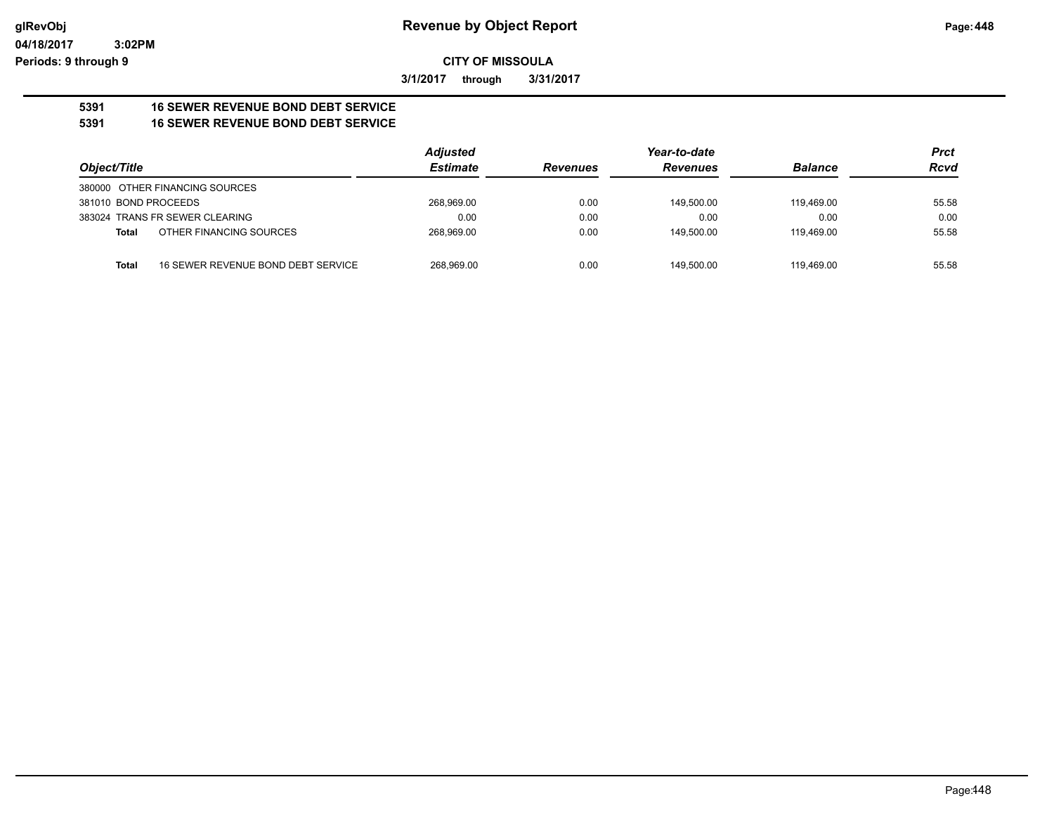**3/1/2017 through 3/31/2017**

## **5391 16 SEWER REVENUE BOND DEBT SERVICE 5391 16 SEWER REVENUE BOND DEBT SERVICE**

|                      |                                    | <b>Adjusted</b> |                 | Year-to-date    |                | <b>Prct</b> |
|----------------------|------------------------------------|-----------------|-----------------|-----------------|----------------|-------------|
| Object/Title         |                                    | <b>Estimate</b> | <b>Revenues</b> | <b>Revenues</b> | <b>Balance</b> | Rcvd        |
|                      | 380000 OTHER FINANCING SOURCES     |                 |                 |                 |                |             |
| 381010 BOND PROCEEDS |                                    | 268.969.00      | 0.00            | 149.500.00      | 119.469.00     | 55.58       |
|                      | 383024 TRANS FR SEWER CLEARING     | 0.00            | 0.00            | 0.00            | 0.00           | 0.00        |
| Total                | OTHER FINANCING SOURCES            | 268.969.00      | 0.00            | 149.500.00      | 119.469.00     | 55.58       |
|                      |                                    |                 |                 |                 |                |             |
| <b>Total</b>         | 16 SEWER REVENUE BOND DEBT SERVICE | 268.969.00      | 0.00            | 149.500.00      | 119.469.00     | 55.58       |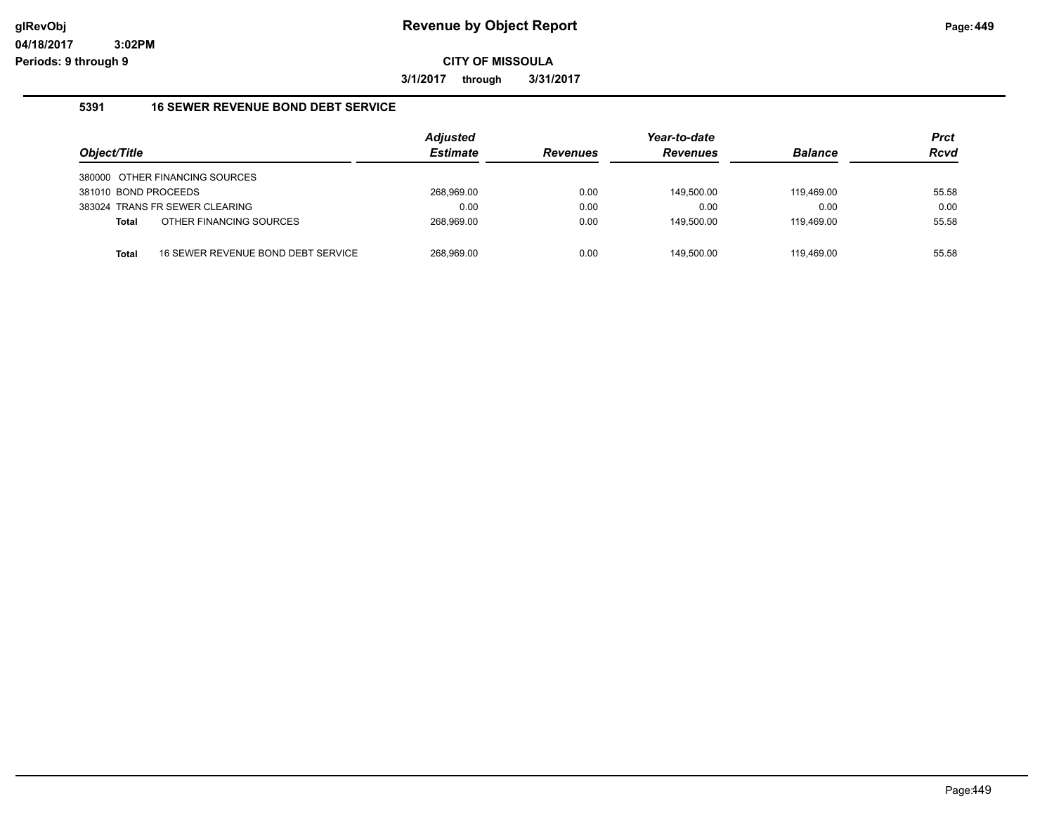**3/1/2017 through 3/31/2017**

## **5391 16 SEWER REVENUE BOND DEBT SERVICE**

|                      |                                    | <b>Adjusted</b> |                 | Year-to-date    |                | <b>Prct</b> |
|----------------------|------------------------------------|-----------------|-----------------|-----------------|----------------|-------------|
| Object/Title         |                                    | <b>Estimate</b> | <b>Revenues</b> | <b>Revenues</b> | <b>Balance</b> | <b>Rcvd</b> |
|                      | 380000 OTHER FINANCING SOURCES     |                 |                 |                 |                |             |
| 381010 BOND PROCEEDS |                                    | 268.969.00      | 0.00            | 149.500.00      | 119,469.00     | 55.58       |
|                      | 383024 TRANS FR SEWER CLEARING     | 0.00            | 0.00            | 0.00            | 0.00           | 0.00        |
| <b>Total</b>         | OTHER FINANCING SOURCES            | 268.969.00      | 0.00            | 149.500.00      | 119.469.00     | 55.58       |
| <b>Total</b>         | 16 SEWER REVENUE BOND DEBT SERVICE | 268.969.00      | 0.00            | 149.500.00      | 119.469.00     | 55.58       |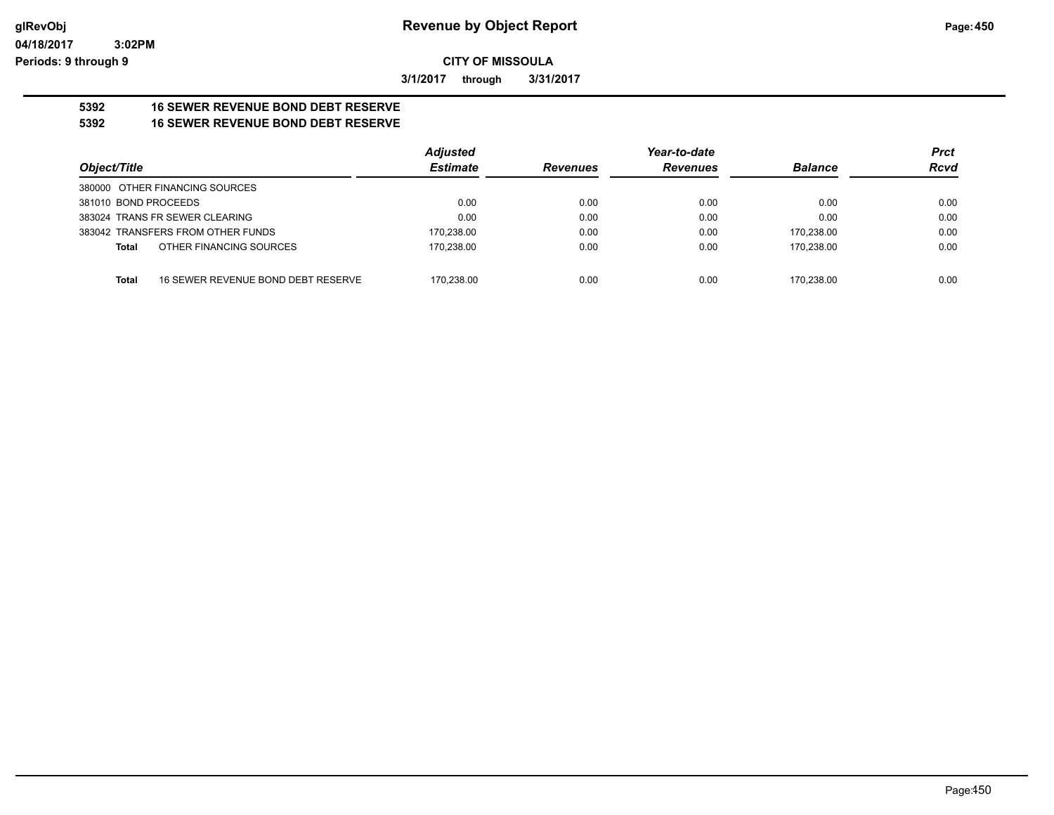**3/1/2017 through 3/31/2017**

## **5392 16 SEWER REVENUE BOND DEBT RESERVE 5392 16 SEWER REVENUE BOND DEBT RESERVE**

| Object/Title                                       | <b>Adjusted</b><br><b>Estimate</b> | <b>Revenues</b> | Year-to-date<br><b>Revenues</b> | <b>Balance</b> | <b>Prct</b><br><b>Rcvd</b> |
|----------------------------------------------------|------------------------------------|-----------------|---------------------------------|----------------|----------------------------|
| 380000 OTHER FINANCING SOURCES                     |                                    |                 |                                 |                |                            |
| 381010 BOND PROCEEDS                               | 0.00                               | 0.00            | 0.00                            | 0.00           | 0.00                       |
| 383024 TRANS FR SEWER CLEARING                     | 0.00                               | 0.00            | 0.00                            | 0.00           | 0.00                       |
| 383042 TRANSFERS FROM OTHER FUNDS                  | 170.238.00                         | 0.00            | 0.00                            | 170.238.00     | 0.00                       |
| OTHER FINANCING SOURCES<br>Total                   | 170.238.00                         | 0.00            | 0.00                            | 170.238.00     | 0.00                       |
|                                                    |                                    |                 |                                 |                |                            |
| 16 SEWER REVENUE BOND DEBT RESERVE<br><b>Total</b> | 170.238.00                         | 0.00            | 0.00                            | 170.238.00     | 0.00                       |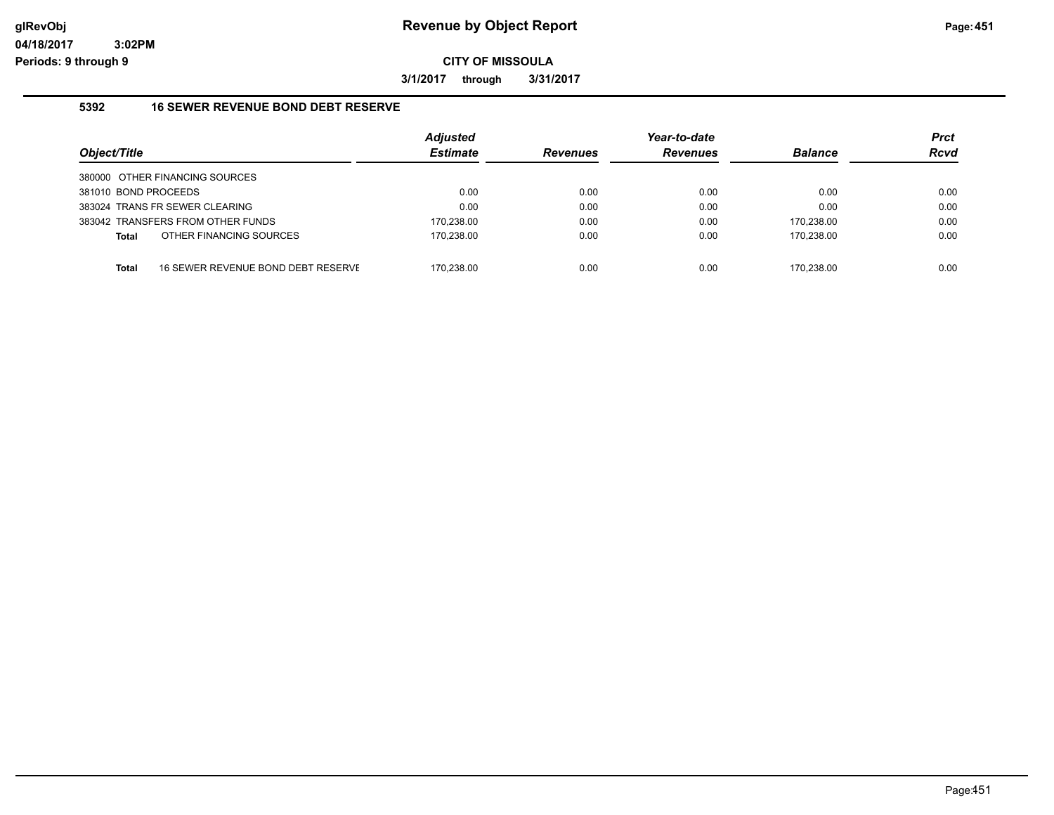**3/1/2017 through 3/31/2017**

## **5392 16 SEWER REVENUE BOND DEBT RESERVE**

| Object/Title                                       | <b>Adjusted</b><br><b>Estimate</b> | <b>Revenues</b> | Year-to-date<br><b>Revenues</b> | <b>Balance</b> | <b>Prct</b><br><b>Rcvd</b> |
|----------------------------------------------------|------------------------------------|-----------------|---------------------------------|----------------|----------------------------|
| 380000 OTHER FINANCING SOURCES                     |                                    |                 |                                 |                |                            |
| 381010 BOND PROCEEDS                               | 0.00                               | 0.00            | 0.00                            | 0.00           | 0.00                       |
| 383024 TRANS FR SEWER CLEARING                     | 0.00                               | 0.00            | 0.00                            | 0.00           | 0.00                       |
| 383042 TRANSFERS FROM OTHER FUNDS                  | 170.238.00                         | 0.00            | 0.00                            | 170.238.00     | 0.00                       |
| OTHER FINANCING SOURCES<br><b>Total</b>            | 170.238.00                         | 0.00            | 0.00                            | 170.238.00     | 0.00                       |
| <b>Total</b><br>16 SEWER REVENUE BOND DEBT RESERVE | 170.238.00                         | 0.00            | 0.00                            | 170.238.00     | 0.00                       |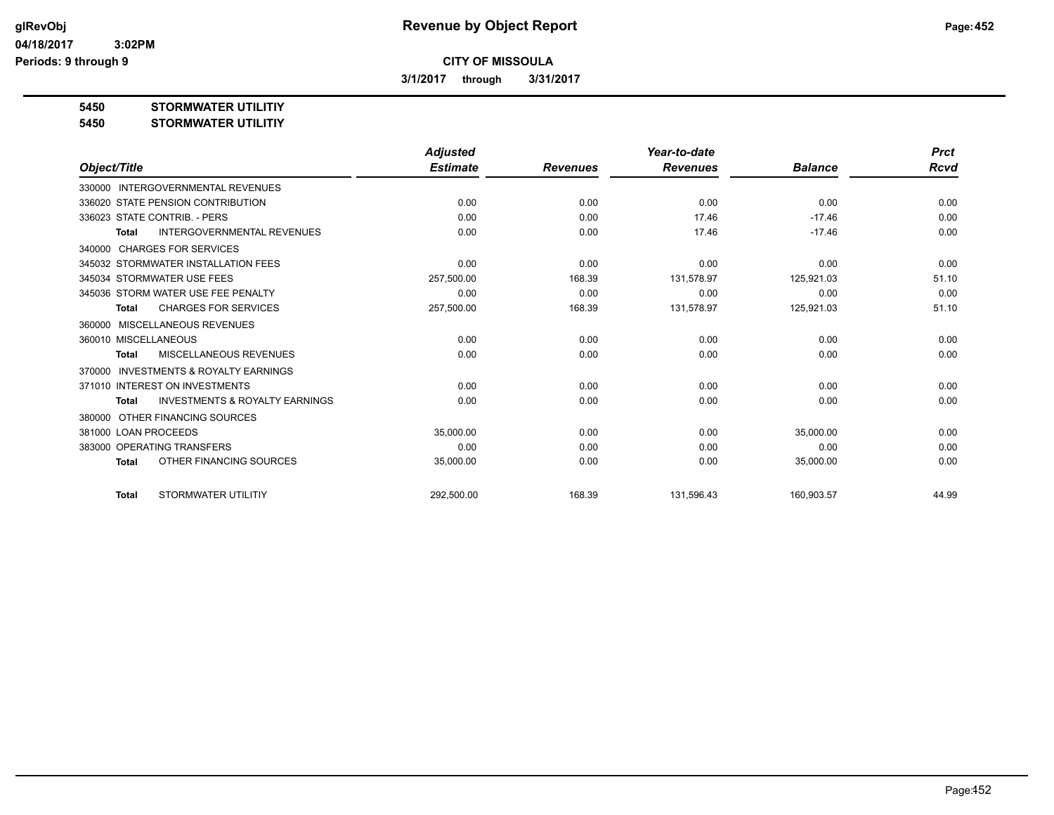**3/1/2017 through 3/31/2017**

**5450 STORMWATER UTILITIY**

| 5450 | <b>STORMWATER UTILITIY</b> |
|------|----------------------------|
|      |                            |

|                                                           | <b>Adjusted</b> |                 | Year-to-date    |                | <b>Prct</b> |
|-----------------------------------------------------------|-----------------|-----------------|-----------------|----------------|-------------|
| Object/Title                                              | <b>Estimate</b> | <b>Revenues</b> | <b>Revenues</b> | <b>Balance</b> | Rcvd        |
| 330000 INTERGOVERNMENTAL REVENUES                         |                 |                 |                 |                |             |
| 336020 STATE PENSION CONTRIBUTION                         | 0.00            | 0.00            | 0.00            | 0.00           | 0.00        |
| 336023 STATE CONTRIB. - PERS                              | 0.00            | 0.00            | 17.46           | $-17.46$       | 0.00        |
| <b>INTERGOVERNMENTAL REVENUES</b><br><b>Total</b>         | 0.00            | 0.00            | 17.46           | $-17.46$       | 0.00        |
| 340000 CHARGES FOR SERVICES                               |                 |                 |                 |                |             |
| 345032 STORMWATER INSTALLATION FEES                       | 0.00            | 0.00            | 0.00            | 0.00           | 0.00        |
| 345034 STORMWATER USE FEES                                | 257,500.00      | 168.39          | 131,578.97      | 125,921.03     | 51.10       |
| 345036 STORM WATER USE FEE PENALTY                        | 0.00            | 0.00            | 0.00            | 0.00           | 0.00        |
| <b>CHARGES FOR SERVICES</b><br><b>Total</b>               | 257,500.00      | 168.39          | 131,578.97      | 125,921.03     | 51.10       |
| 360000 MISCELLANEOUS REVENUES                             |                 |                 |                 |                |             |
| 360010 MISCELLANEOUS                                      | 0.00            | 0.00            | 0.00            | 0.00           | 0.00        |
| <b>MISCELLANEOUS REVENUES</b><br><b>Total</b>             | 0.00            | 0.00            | 0.00            | 0.00           | 0.00        |
| <b>INVESTMENTS &amp; ROYALTY EARNINGS</b><br>370000       |                 |                 |                 |                |             |
| 371010 INTEREST ON INVESTMENTS                            | 0.00            | 0.00            | 0.00            | 0.00           | 0.00        |
| <b>INVESTMENTS &amp; ROYALTY EARNINGS</b><br><b>Total</b> | 0.00            | 0.00            | 0.00            | 0.00           | 0.00        |
| 380000 OTHER FINANCING SOURCES                            |                 |                 |                 |                |             |
| 381000 LOAN PROCEEDS                                      | 35,000.00       | 0.00            | 0.00            | 35,000.00      | 0.00        |
| 383000 OPERATING TRANSFERS                                | 0.00            | 0.00            | 0.00            | 0.00           | 0.00        |
| OTHER FINANCING SOURCES<br><b>Total</b>                   | 35,000.00       | 0.00            | 0.00            | 35,000.00      | 0.00        |
| STORMWATER UTILITIY<br><b>Total</b>                       | 292.500.00      | 168.39          | 131.596.43      | 160,903.57     | 44.99       |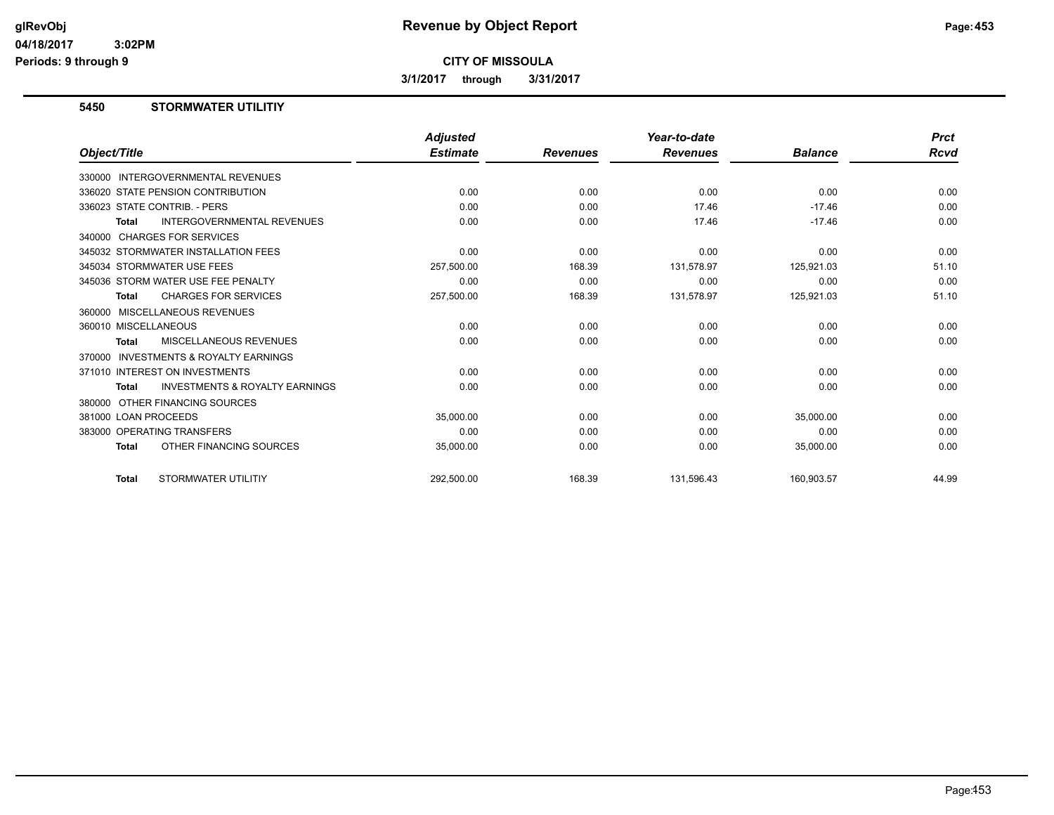**3/1/2017 through 3/31/2017**

### **5450 STORMWATER UTILITIY**

|                                                           | <b>Adjusted</b> |                 | Year-to-date    |                | <b>Prct</b> |
|-----------------------------------------------------------|-----------------|-----------------|-----------------|----------------|-------------|
| Object/Title                                              | <b>Estimate</b> | <b>Revenues</b> | <b>Revenues</b> | <b>Balance</b> | <b>Rcvd</b> |
| 330000 INTERGOVERNMENTAL REVENUES                         |                 |                 |                 |                |             |
| 336020 STATE PENSION CONTRIBUTION                         | 0.00            | 0.00            | 0.00            | 0.00           | 0.00        |
| 336023 STATE CONTRIB. - PERS                              | 0.00            | 0.00            | 17.46           | $-17.46$       | 0.00        |
| <b>INTERGOVERNMENTAL REVENUES</b><br><b>Total</b>         | 0.00            | 0.00            | 17.46           | $-17.46$       | 0.00        |
| 340000 CHARGES FOR SERVICES                               |                 |                 |                 |                |             |
| 345032 STORMWATER INSTALLATION FEES                       | 0.00            | 0.00            | 0.00            | 0.00           | 0.00        |
| 345034 STORMWATER USE FEES                                | 257.500.00      | 168.39          | 131,578.97      | 125,921.03     | 51.10       |
| 345036 STORM WATER USE FEE PENALTY                        | 0.00            | 0.00            | 0.00            | 0.00           | 0.00        |
| <b>CHARGES FOR SERVICES</b><br><b>Total</b>               | 257,500.00      | 168.39          | 131,578.97      | 125,921.03     | 51.10       |
| 360000 MISCELLANEOUS REVENUES                             |                 |                 |                 |                |             |
| 360010 MISCELLANEOUS                                      | 0.00            | 0.00            | 0.00            | 0.00           | 0.00        |
| MISCELLANEOUS REVENUES<br>Total                           | 0.00            | 0.00            | 0.00            | 0.00           | 0.00        |
| <b>INVESTMENTS &amp; ROYALTY EARNINGS</b><br>370000       |                 |                 |                 |                |             |
| 371010 INTEREST ON INVESTMENTS                            | 0.00            | 0.00            | 0.00            | 0.00           | 0.00        |
| <b>INVESTMENTS &amp; ROYALTY EARNINGS</b><br><b>Total</b> | 0.00            | 0.00            | 0.00            | 0.00           | 0.00        |
| 380000 OTHER FINANCING SOURCES                            |                 |                 |                 |                |             |
| 381000 LOAN PROCEEDS                                      | 35.000.00       | 0.00            | 0.00            | 35,000.00      | 0.00        |
| 383000 OPERATING TRANSFERS                                | 0.00            | 0.00            | 0.00            | 0.00           | 0.00        |
| OTHER FINANCING SOURCES<br><b>Total</b>                   | 35,000.00       | 0.00            | 0.00            | 35,000.00      | 0.00        |
| STORMWATER UTILITIY<br><b>Total</b>                       | 292,500.00      | 168.39          | 131,596.43      | 160,903.57     | 44.99       |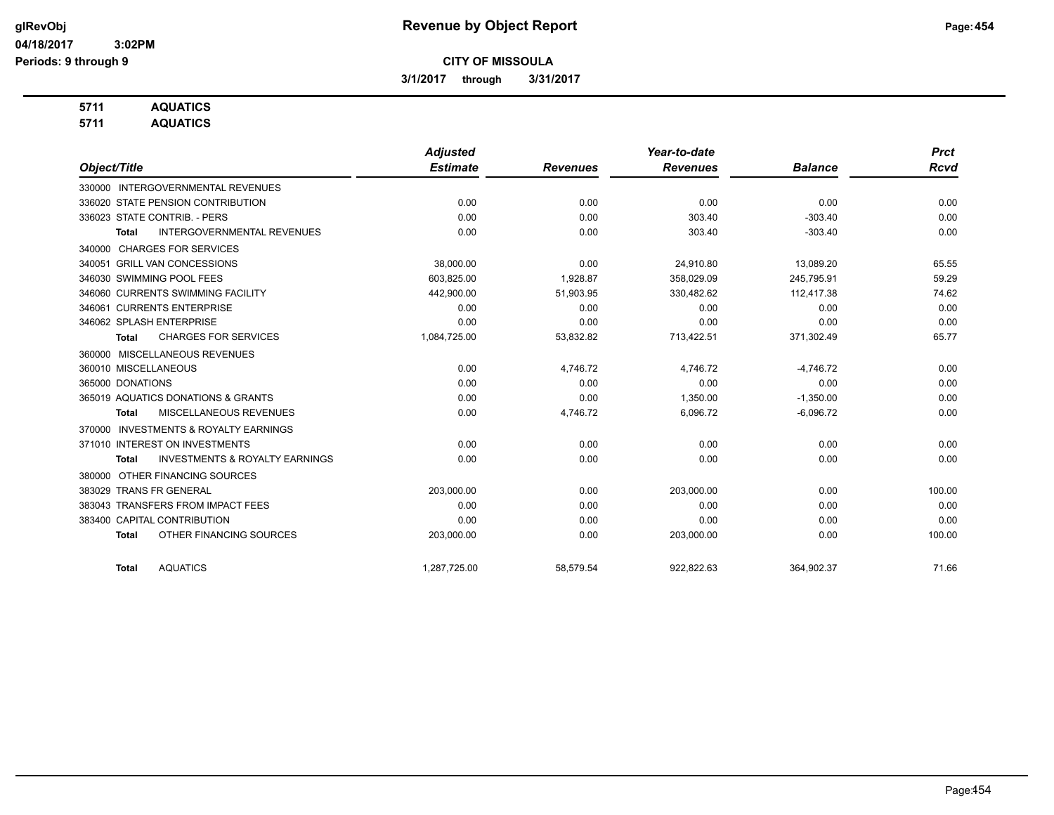**3/1/2017 through 3/31/2017**

# **5711 AQUATICS**

**5711 AQUATICS**

|                                                           | <b>Adjusted</b> |                 | Year-to-date    |                | <b>Prct</b> |
|-----------------------------------------------------------|-----------------|-----------------|-----------------|----------------|-------------|
| Object/Title                                              | <b>Estimate</b> | <b>Revenues</b> | <b>Revenues</b> | <b>Balance</b> | <b>Rcvd</b> |
| 330000 INTERGOVERNMENTAL REVENUES                         |                 |                 |                 |                |             |
| 336020 STATE PENSION CONTRIBUTION                         | 0.00            | 0.00            | 0.00            | 0.00           | 0.00        |
| 336023 STATE CONTRIB. - PERS                              | 0.00            | 0.00            | 303.40          | $-303.40$      | 0.00        |
| <b>INTERGOVERNMENTAL REVENUES</b><br><b>Total</b>         | 0.00            | 0.00            | 303.40          | $-303.40$      | 0.00        |
| <b>CHARGES FOR SERVICES</b><br>340000                     |                 |                 |                 |                |             |
| 340051 GRILL VAN CONCESSIONS                              | 38,000.00       | 0.00            | 24,910.80       | 13.089.20      | 65.55       |
| 346030 SWIMMING POOL FEES                                 | 603,825.00      | 1,928.87        | 358,029.09      | 245.795.91     | 59.29       |
| 346060 CURRENTS SWIMMING FACILITY                         | 442,900.00      | 51,903.95       | 330,482.62      | 112,417.38     | 74.62       |
| 346061 CURRENTS ENTERPRISE                                | 0.00            | 0.00            | 0.00            | 0.00           | 0.00        |
| 346062 SPLASH ENTERPRISE                                  | 0.00            | 0.00            | 0.00            | 0.00           | 0.00        |
| <b>CHARGES FOR SERVICES</b><br><b>Total</b>               | 1,084,725.00    | 53,832.82       | 713,422.51      | 371,302.49     | 65.77       |
| 360000 MISCELLANEOUS REVENUES                             |                 |                 |                 |                |             |
| 360010 MISCELLANEOUS                                      | 0.00            | 4,746.72        | 4,746.72        | $-4,746.72$    | 0.00        |
| 365000 DONATIONS                                          | 0.00            | 0.00            | 0.00            | 0.00           | 0.00        |
| 365019 AQUATICS DONATIONS & GRANTS                        | 0.00            | 0.00            | 1,350.00        | $-1,350.00$    | 0.00        |
| MISCELLANEOUS REVENUES<br><b>Total</b>                    | 0.00            | 4,746.72        | 6,096.72        | $-6,096.72$    | 0.00        |
| 370000 INVESTMENTS & ROYALTY EARNINGS                     |                 |                 |                 |                |             |
| 371010 INTEREST ON INVESTMENTS                            | 0.00            | 0.00            | 0.00            | 0.00           | 0.00        |
| <b>INVESTMENTS &amp; ROYALTY EARNINGS</b><br><b>Total</b> | 0.00            | 0.00            | 0.00            | 0.00           | 0.00        |
| OTHER FINANCING SOURCES<br>380000                         |                 |                 |                 |                |             |
| 383029 TRANS FR GENERAL                                   | 203,000.00      | 0.00            | 203,000.00      | 0.00           | 100.00      |
| 383043 TRANSFERS FROM IMPACT FEES                         | 0.00            | 0.00            | 0.00            | 0.00           | 0.00        |
| 383400 CAPITAL CONTRIBUTION                               | 0.00            | 0.00            | 0.00            | 0.00           | 0.00        |
| OTHER FINANCING SOURCES<br><b>Total</b>                   | 203,000.00      | 0.00            | 203,000.00      | 0.00           | 100.00      |
|                                                           |                 |                 |                 |                |             |
| <b>AQUATICS</b><br><b>Total</b>                           | 1,287,725.00    | 58,579.54       | 922,822.63      | 364,902.37     | 71.66       |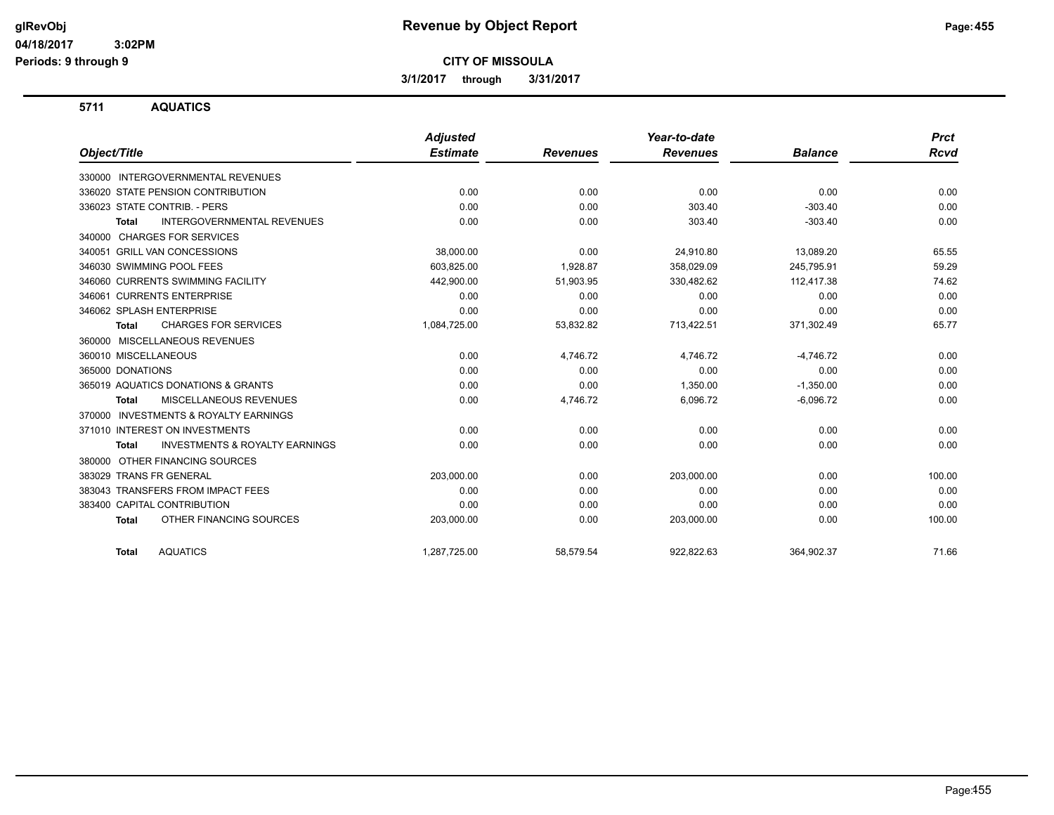**3/1/2017 through 3/31/2017**

#### **5711 AQUATICS**

|                                                     | <b>Adjusted</b> |                 | Year-to-date    |                | <b>Prct</b> |
|-----------------------------------------------------|-----------------|-----------------|-----------------|----------------|-------------|
| Object/Title                                        | <b>Estimate</b> | <b>Revenues</b> | <b>Revenues</b> | <b>Balance</b> | <b>Rcvd</b> |
| 330000 INTERGOVERNMENTAL REVENUES                   |                 |                 |                 |                |             |
| 336020 STATE PENSION CONTRIBUTION                   | 0.00            | 0.00            | 0.00            | 0.00           | 0.00        |
| 336023 STATE CONTRIB. - PERS                        | 0.00            | 0.00            | 303.40          | $-303.40$      | 0.00        |
| <b>INTERGOVERNMENTAL REVENUES</b><br><b>Total</b>   | 0.00            | 0.00            | 303.40          | $-303.40$      | 0.00        |
| 340000 CHARGES FOR SERVICES                         |                 |                 |                 |                |             |
| 340051 GRILL VAN CONCESSIONS                        | 38.000.00       | 0.00            | 24.910.80       | 13.089.20      | 65.55       |
| 346030 SWIMMING POOL FEES                           | 603,825.00      | 1,928.87        | 358,029.09      | 245,795.91     | 59.29       |
| 346060 CURRENTS SWIMMING FACILITY                   | 442,900.00      | 51,903.95       | 330,482.62      | 112,417.38     | 74.62       |
| 346061 CURRENTS ENTERPRISE                          | 0.00            | 0.00            | 0.00            | 0.00           | 0.00        |
| 346062 SPLASH ENTERPRISE                            | 0.00            | 0.00            | 0.00            | 0.00           | 0.00        |
| <b>CHARGES FOR SERVICES</b><br><b>Total</b>         | 1,084,725.00    | 53,832.82       | 713,422.51      | 371,302.49     | 65.77       |
| 360000 MISCELLANEOUS REVENUES                       |                 |                 |                 |                |             |
| 360010 MISCELLANEOUS                                | 0.00            | 4,746.72        | 4,746.72        | $-4,746.72$    | 0.00        |
| 365000 DONATIONS                                    | 0.00            | 0.00            | 0.00            | 0.00           | 0.00        |
| 365019 AQUATICS DONATIONS & GRANTS                  | 0.00            | 0.00            | 1,350.00        | $-1,350.00$    | 0.00        |
| MISCELLANEOUS REVENUES<br><b>Total</b>              | 0.00            | 4,746.72        | 6,096.72        | $-6,096.72$    | 0.00        |
| <b>INVESTMENTS &amp; ROYALTY EARNINGS</b><br>370000 |                 |                 |                 |                |             |
| 371010 INTEREST ON INVESTMENTS                      | 0.00            | 0.00            | 0.00            | 0.00           | 0.00        |
| <b>INVESTMENTS &amp; ROYALTY EARNINGS</b><br>Total  | 0.00            | 0.00            | 0.00            | 0.00           | 0.00        |
| OTHER FINANCING SOURCES<br>380000                   |                 |                 |                 |                |             |
| 383029 TRANS FR GENERAL                             | 203,000.00      | 0.00            | 203,000.00      | 0.00           | 100.00      |
| 383043 TRANSFERS FROM IMPACT FEES                   | 0.00            | 0.00            | 0.00            | 0.00           | 0.00        |
| 383400 CAPITAL CONTRIBUTION                         | 0.00            | 0.00            | 0.00            | 0.00           | 0.00        |
| OTHER FINANCING SOURCES<br><b>Total</b>             | 203,000.00      | 0.00            | 203,000.00      | 0.00           | 100.00      |
| <b>AQUATICS</b><br><b>Total</b>                     | 1,287,725.00    | 58,579.54       | 922,822.63      | 364,902.37     | 71.66       |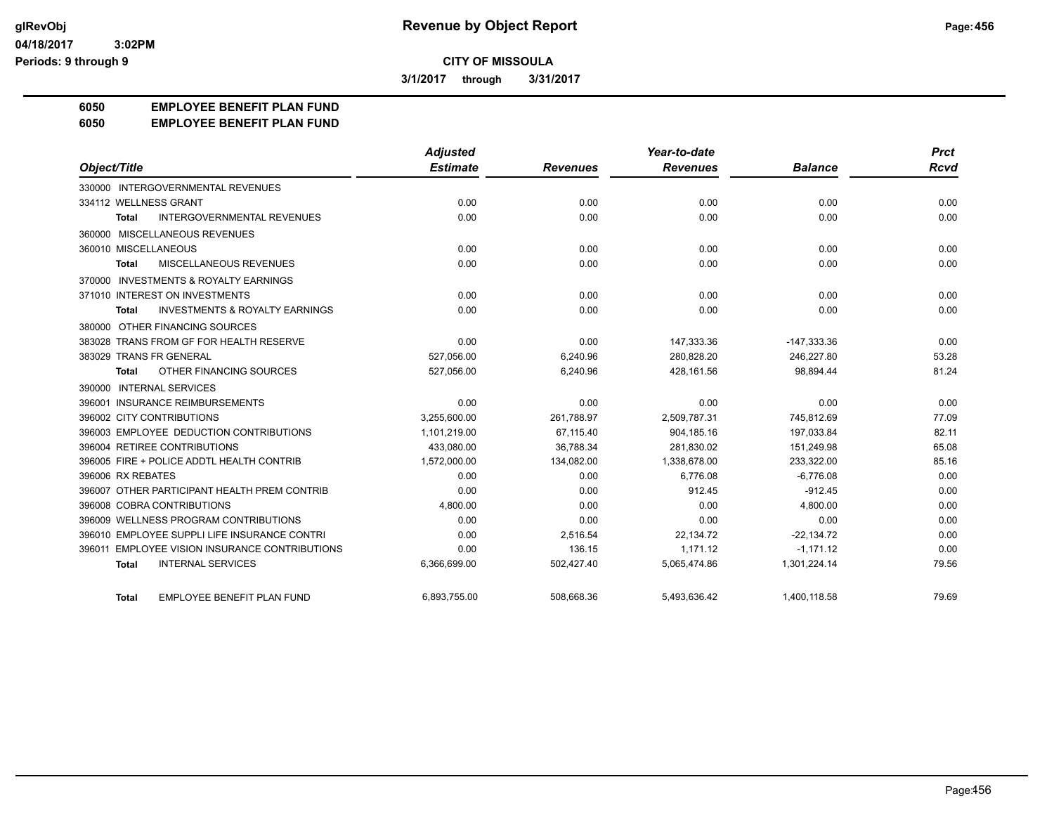**3/1/2017 through 3/31/2017**

**6050 EMPLOYEE BENEFIT PLAN FUND**

**6050 EMPLOYEE BENEFIT PLAN FUND**

|                                                    | <b>Adjusted</b> |                 | Year-to-date    |                | <b>Prct</b> |
|----------------------------------------------------|-----------------|-----------------|-----------------|----------------|-------------|
| Object/Title                                       | <b>Estimate</b> | <b>Revenues</b> | <b>Revenues</b> | <b>Balance</b> | <b>Rcvd</b> |
| 330000 INTERGOVERNMENTAL REVENUES                  |                 |                 |                 |                |             |
| 334112 WELLNESS GRANT                              | 0.00            | 0.00            | 0.00            | 0.00           | 0.00        |
| <b>INTERGOVERNMENTAL REVENUES</b><br><b>Total</b>  | 0.00            | 0.00            | 0.00            | 0.00           | 0.00        |
| 360000 MISCELLANEOUS REVENUES                      |                 |                 |                 |                |             |
| 360010 MISCELLANEOUS                               | 0.00            | 0.00            | 0.00            | 0.00           | 0.00        |
| <b>MISCELLANEOUS REVENUES</b><br><b>Total</b>      | 0.00            | 0.00            | 0.00            | 0.00           | 0.00        |
| 370000 INVESTMENTS & ROYALTY EARNINGS              |                 |                 |                 |                |             |
| 371010 INTEREST ON INVESTMENTS                     | 0.00            | 0.00            | 0.00            | 0.00           | 0.00        |
| <b>INVESTMENTS &amp; ROYALTY EARNINGS</b><br>Total | 0.00            | 0.00            | 0.00            | 0.00           | 0.00        |
| 380000 OTHER FINANCING SOURCES                     |                 |                 |                 |                |             |
| 383028 TRANS FROM GF FOR HEALTH RESERVE            | 0.00            | 0.00            | 147,333.36      | $-147,333.36$  | 0.00        |
| 383029 TRANS FR GENERAL                            | 527,056.00      | 6,240.96        | 280,828.20      | 246,227.80     | 53.28       |
| OTHER FINANCING SOURCES<br><b>Total</b>            | 527,056.00      | 6,240.96        | 428,161.56      | 98,894.44      | 81.24       |
| 390000 INTERNAL SERVICES                           |                 |                 |                 |                |             |
| 396001 INSURANCE REIMBURSEMENTS                    | 0.00            | 0.00            | 0.00            | 0.00           | 0.00        |
| 396002 CITY CONTRIBUTIONS                          | 3,255,600.00    | 261,788.97      | 2,509,787.31    | 745,812.69     | 77.09       |
| 396003 EMPLOYEE DEDUCTION CONTRIBUTIONS            | 1,101,219.00    | 67,115.40       | 904,185.16      | 197,033.84     | 82.11       |
| 396004 RETIREE CONTRIBUTIONS                       | 433.080.00      | 36.788.34       | 281,830.02      | 151,249.98     | 65.08       |
| 396005 FIRE + POLICE ADDTL HEALTH CONTRIB          | 1,572,000.00    | 134,082.00      | 1,338,678.00    | 233,322.00     | 85.16       |
| 396006 RX REBATES                                  | 0.00            | 0.00            | 6,776.08        | $-6,776.08$    | 0.00        |
| 396007 OTHER PARTICIPANT HEALTH PREM CONTRIB       | 0.00            | 0.00            | 912.45          | $-912.45$      | 0.00        |
| 396008 COBRA CONTRIBUTIONS                         | 4.800.00        | 0.00            | 0.00            | 4.800.00       | 0.00        |
| 396009 WELLNESS PROGRAM CONTRIBUTIONS              | 0.00            | 0.00            | 0.00            | 0.00           | 0.00        |
| 396010 EMPLOYEE SUPPLI LIFE INSURANCE CONTRI       | 0.00            | 2.516.54        | 22.134.72       | $-22,134.72$   | 0.00        |
| 396011 EMPLOYEE VISION INSURANCE CONTRIBUTIONS     | 0.00            | 136.15          | 1.171.12        | $-1.171.12$    | 0.00        |
| <b>INTERNAL SERVICES</b><br><b>Total</b>           | 6,366,699.00    | 502,427.40      | 5,065,474.86    | 1,301,224.14   | 79.56       |
| EMPLOYEE BENEFIT PLAN FUND<br><b>Total</b>         | 6,893,755.00    | 508,668.36      | 5,493,636.42    | 1,400,118.58   | 79.69       |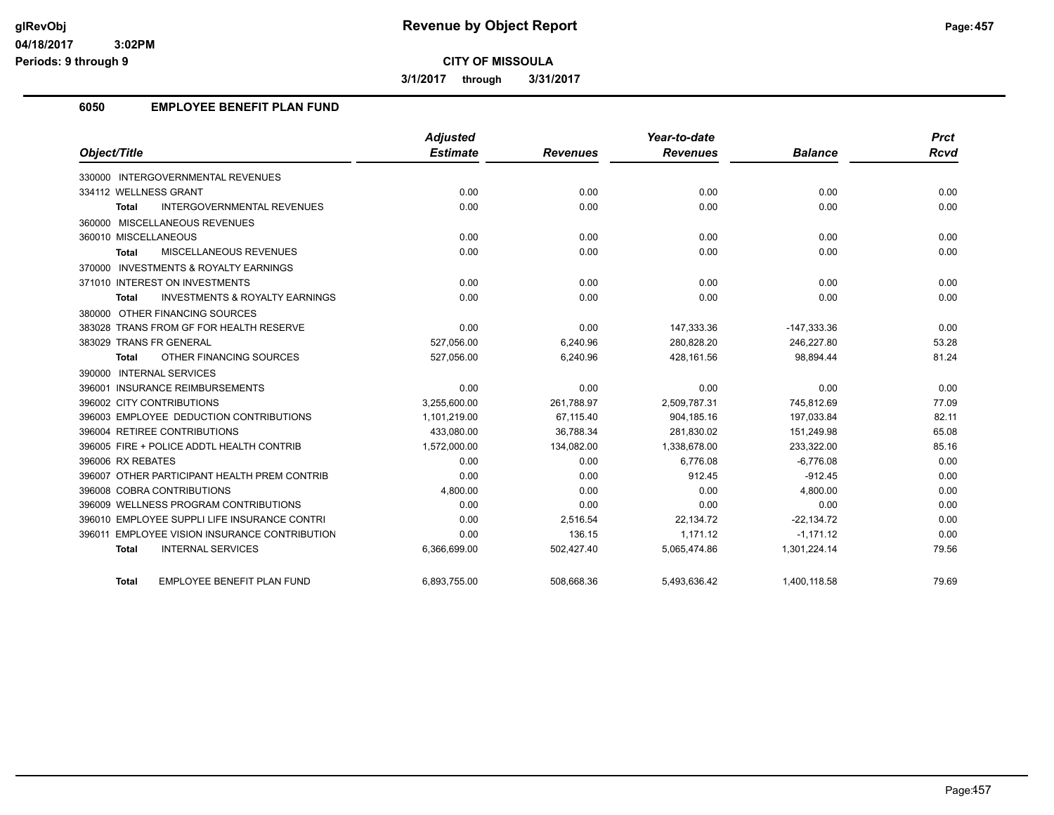**3/1/2017 through 3/31/2017**

## **6050 EMPLOYEE BENEFIT PLAN FUND**

|                                                    | <b>Adjusted</b> |                 | Year-to-date    |                | <b>Prct</b> |
|----------------------------------------------------|-----------------|-----------------|-----------------|----------------|-------------|
| Object/Title                                       | <b>Estimate</b> | <b>Revenues</b> | <b>Revenues</b> | <b>Balance</b> | <b>Rcvd</b> |
| 330000 INTERGOVERNMENTAL REVENUES                  |                 |                 |                 |                |             |
| 334112 WELLNESS GRANT                              | 0.00            | 0.00            | 0.00            | 0.00           | 0.00        |
| <b>INTERGOVERNMENTAL REVENUES</b><br><b>Total</b>  | 0.00            | 0.00            | 0.00            | 0.00           | 0.00        |
| 360000 MISCELLANEOUS REVENUES                      |                 |                 |                 |                |             |
| 360010 MISCELLANEOUS                               | 0.00            | 0.00            | 0.00            | 0.00           | 0.00        |
| MISCELLANEOUS REVENUES<br><b>Total</b>             | 0.00            | 0.00            | 0.00            | 0.00           | 0.00        |
| 370000 INVESTMENTS & ROYALTY EARNINGS              |                 |                 |                 |                |             |
| 371010 INTEREST ON INVESTMENTS                     | 0.00            | 0.00            | 0.00            | 0.00           | 0.00        |
| <b>INVESTMENTS &amp; ROYALTY EARNINGS</b><br>Total | 0.00            | 0.00            | 0.00            | 0.00           | 0.00        |
| 380000 OTHER FINANCING SOURCES                     |                 |                 |                 |                |             |
| 383028 TRANS FROM GF FOR HEALTH RESERVE            | 0.00            | 0.00            | 147,333.36      | $-147,333.36$  | 0.00        |
| 383029 TRANS FR GENERAL                            | 527,056.00      | 6,240.96        | 280,828.20      | 246.227.80     | 53.28       |
| OTHER FINANCING SOURCES<br>Total                   | 527,056.00      | 6,240.96        | 428,161.56      | 98,894.44      | 81.24       |
| 390000 INTERNAL SERVICES                           |                 |                 |                 |                |             |
| 396001 INSURANCE REIMBURSEMENTS                    | 0.00            | 0.00            | 0.00            | 0.00           | 0.00        |
| 396002 CITY CONTRIBUTIONS                          | 3,255,600.00    | 261,788.97      | 2,509,787.31    | 745,812.69     | 77.09       |
| 396003 EMPLOYEE DEDUCTION CONTRIBUTIONS            | 1,101,219.00    | 67,115.40       | 904,185.16      | 197,033.84     | 82.11       |
| 396004 RETIREE CONTRIBUTIONS                       | 433,080.00      | 36,788.34       | 281,830.02      | 151,249.98     | 65.08       |
| 396005 FIRE + POLICE ADDTL HEALTH CONTRIB          | 1,572,000.00    | 134,082.00      | 1,338,678.00    | 233,322.00     | 85.16       |
| 396006 RX REBATES                                  | 0.00            | 0.00            | 6.776.08        | $-6.776.08$    | 0.00        |
| 396007 OTHER PARTICIPANT HEALTH PREM CONTRIB       | 0.00            | 0.00            | 912.45          | $-912.45$      | 0.00        |
| 396008 COBRA CONTRIBUTIONS                         | 4,800.00        | 0.00            | 0.00            | 4.800.00       | 0.00        |
| 396009 WELLNESS PROGRAM CONTRIBUTIONS              | 0.00            | 0.00            | 0.00            | 0.00           | 0.00        |
| 396010 EMPLOYEE SUPPLI LIFE INSURANCE CONTRI       | 0.00            | 2,516.54        | 22,134.72       | $-22,134.72$   | 0.00        |
| 396011 EMPLOYEE VISION INSURANCE CONTRIBUTION      | 0.00            | 136.15          | 1,171.12        | $-1,171.12$    | 0.00        |
| <b>INTERNAL SERVICES</b><br><b>Total</b>           | 6,366,699.00    | 502,427.40      | 5,065,474.86    | 1,301,224.14   | 79.56       |
| <b>EMPLOYEE BENEFIT PLAN FUND</b><br><b>Total</b>  | 6,893,755.00    | 508,668.36      | 5,493,636.42    | 1,400,118.58   | 79.69       |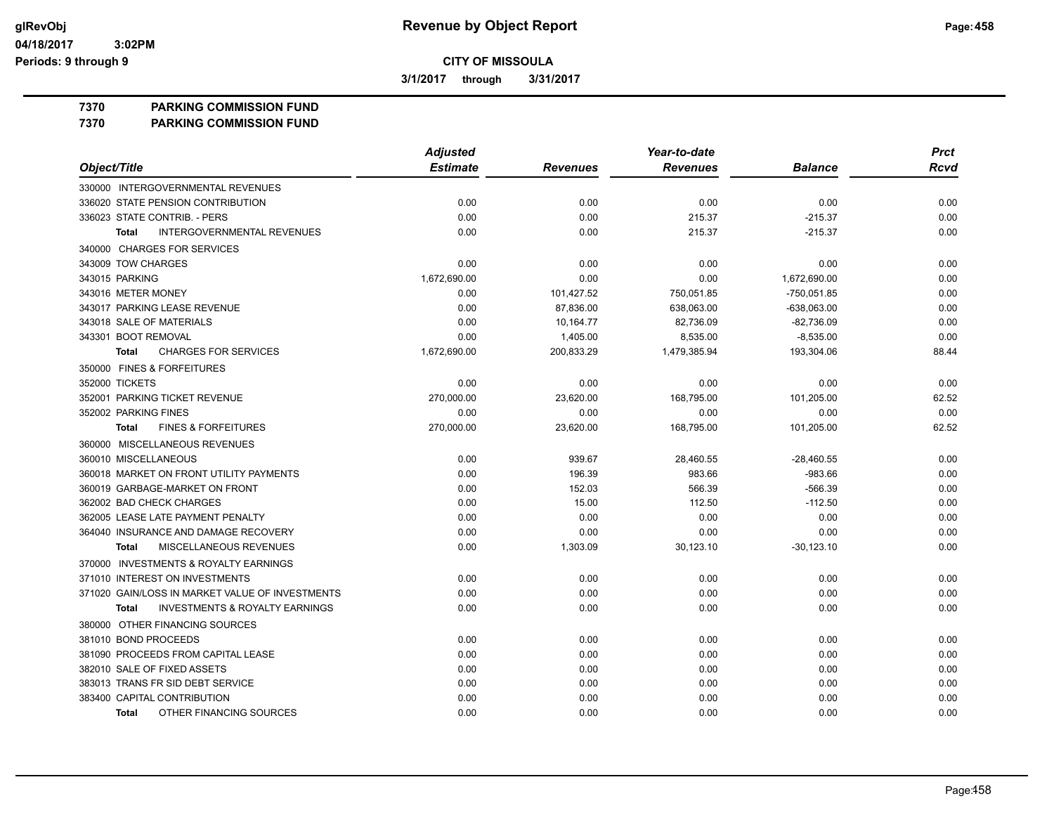**3/1/2017 through 3/31/2017**

**7370 PARKING COMMISSION FUND**

**7370 PARKING COMMISSION FUND**

|                                                    | <b>Adjusted</b> |                 | Year-to-date    |                | <b>Prct</b> |
|----------------------------------------------------|-----------------|-----------------|-----------------|----------------|-------------|
| Object/Title                                       | <b>Estimate</b> | <b>Revenues</b> | <b>Revenues</b> | <b>Balance</b> | <b>Rcvd</b> |
| 330000 INTERGOVERNMENTAL REVENUES                  |                 |                 |                 |                |             |
| 336020 STATE PENSION CONTRIBUTION                  | 0.00            | 0.00            | 0.00            | 0.00           | 0.00        |
| 336023 STATE CONTRIB. - PERS                       | 0.00            | 0.00            | 215.37          | $-215.37$      | 0.00        |
| <b>INTERGOVERNMENTAL REVENUES</b><br><b>Total</b>  | 0.00            | 0.00            | 215.37          | $-215.37$      | 0.00        |
| 340000 CHARGES FOR SERVICES                        |                 |                 |                 |                |             |
| 343009 TOW CHARGES                                 | 0.00            | 0.00            | 0.00            | 0.00           | 0.00        |
| 343015 PARKING                                     | 1,672,690.00    | 0.00            | 0.00            | 1,672,690.00   | 0.00        |
| 343016 METER MONEY                                 | 0.00            | 101,427.52      | 750,051.85      | $-750,051.85$  | 0.00        |
| 343017 PARKING LEASE REVENUE                       | 0.00            | 87,836.00       | 638,063.00      | $-638,063.00$  | 0.00        |
| 343018 SALE OF MATERIALS                           | 0.00            | 10,164.77       | 82,736.09       | $-82,736.09$   | 0.00        |
| 343301 BOOT REMOVAL                                | 0.00            | 1,405.00        | 8,535.00        | $-8,535.00$    | 0.00        |
| <b>CHARGES FOR SERVICES</b><br>Total               | 1,672,690.00    | 200,833.29      | 1,479,385.94    | 193,304.06     | 88.44       |
| 350000 FINES & FORFEITURES                         |                 |                 |                 |                |             |
| 352000 TICKETS                                     | 0.00            | 0.00            | 0.00            | 0.00           | 0.00        |
| 352001 PARKING TICKET REVENUE                      | 270,000.00      | 23,620.00       | 168,795.00      | 101,205.00     | 62.52       |
| 352002 PARKING FINES                               | 0.00            | 0.00            | 0.00            | 0.00           | 0.00        |
| <b>FINES &amp; FORFEITURES</b><br><b>Total</b>     | 270,000.00      | 23,620.00       | 168,795.00      | 101,205.00     | 62.52       |
| 360000 MISCELLANEOUS REVENUES                      |                 |                 |                 |                |             |
| 360010 MISCELLANEOUS                               | 0.00            | 939.67          | 28,460.55       | $-28,460.55$   | 0.00        |
| 360018 MARKET ON FRONT UTILITY PAYMENTS            | 0.00            | 196.39          | 983.66          | $-983.66$      | 0.00        |
| 360019 GARBAGE-MARKET ON FRONT                     | 0.00            | 152.03          | 566.39          | $-566.39$      | 0.00        |
| 362002 BAD CHECK CHARGES                           | 0.00            | 15.00           | 112.50          | $-112.50$      | 0.00        |
| 362005 LEASE LATE PAYMENT PENALTY                  | 0.00            | 0.00            | 0.00            | 0.00           | 0.00        |
| 364040 INSURANCE AND DAMAGE RECOVERY               | 0.00            | 0.00            | 0.00            | 0.00           | 0.00        |
| MISCELLANEOUS REVENUES<br>Total                    | 0.00            | 1,303.09        | 30,123.10       | $-30,123.10$   | 0.00        |
| 370000 INVESTMENTS & ROYALTY EARNINGS              |                 |                 |                 |                |             |
| 371010 INTEREST ON INVESTMENTS                     | 0.00            | 0.00            | 0.00            | 0.00           | 0.00        |
| 371020 GAIN/LOSS IN MARKET VALUE OF INVESTMENTS    | 0.00            | 0.00            | 0.00            | 0.00           | 0.00        |
| <b>INVESTMENTS &amp; ROYALTY EARNINGS</b><br>Total | 0.00            | 0.00            | 0.00            | 0.00           | 0.00        |
| 380000 OTHER FINANCING SOURCES                     |                 |                 |                 |                |             |
| 381010 BOND PROCEEDS                               | 0.00            | 0.00            | 0.00            | 0.00           | 0.00        |
| 381090 PROCEEDS FROM CAPITAL LEASE                 | 0.00            | 0.00            | 0.00            | 0.00           | 0.00        |
| 382010 SALE OF FIXED ASSETS                        | 0.00            | 0.00            | 0.00            | 0.00           | 0.00        |
| 383013 TRANS FR SID DEBT SERVICE                   | 0.00            | 0.00            | 0.00            | 0.00           | 0.00        |
| 383400 CAPITAL CONTRIBUTION                        | 0.00            | 0.00            | 0.00            | 0.00           | 0.00        |
| OTHER FINANCING SOURCES<br><b>Total</b>            | 0.00            | 0.00            | 0.00            | 0.00           | 0.00        |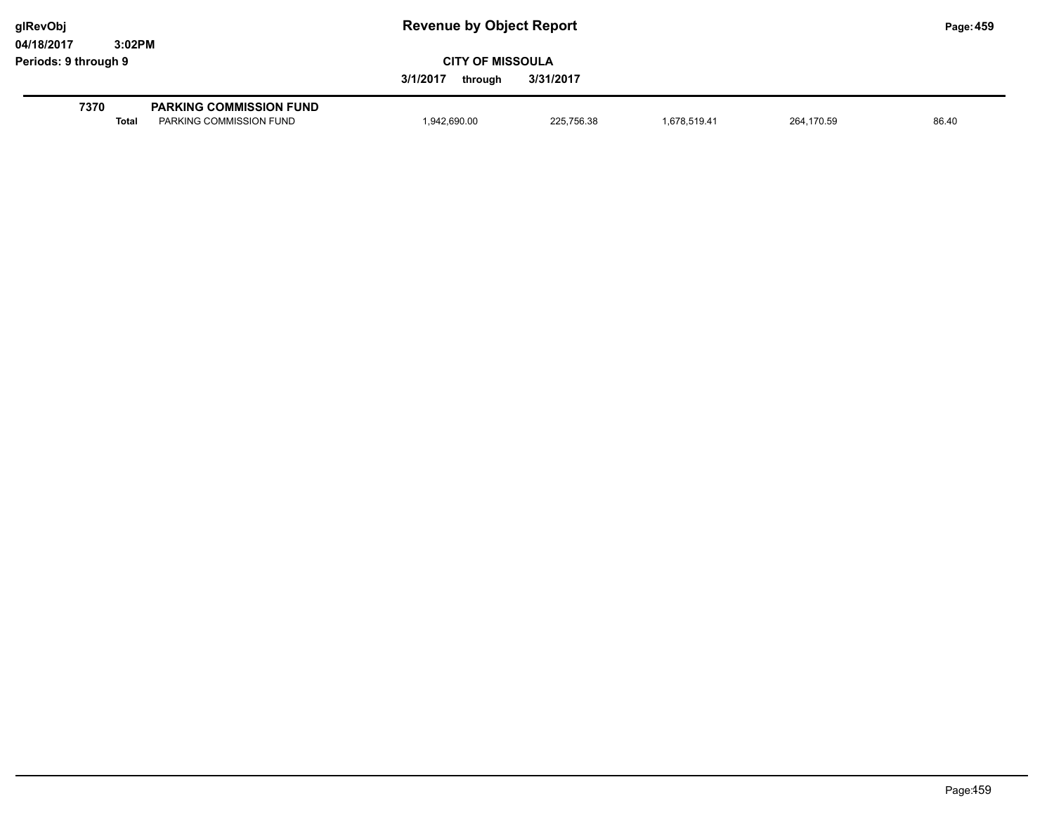| glRevObj<br>04/18/2017<br>3:02PM |                      | <b>Revenue by Object Report</b>                           | Page: 459           |                                      |              |            |       |  |
|----------------------------------|----------------------|-----------------------------------------------------------|---------------------|--------------------------------------|--------------|------------|-------|--|
|                                  | Periods: 9 through 9 |                                                           | 3/1/2017<br>throuah | <b>CITY OF MISSOULA</b><br>3/31/2017 |              |            |       |  |
| 7370                             | Total                | <b>PARKING COMMISSION FUND</b><br>PARKING COMMISSION FUND | 1,942,690.00        | 225.756.38                           | 1.678.519.41 | 264.170.59 | 86.40 |  |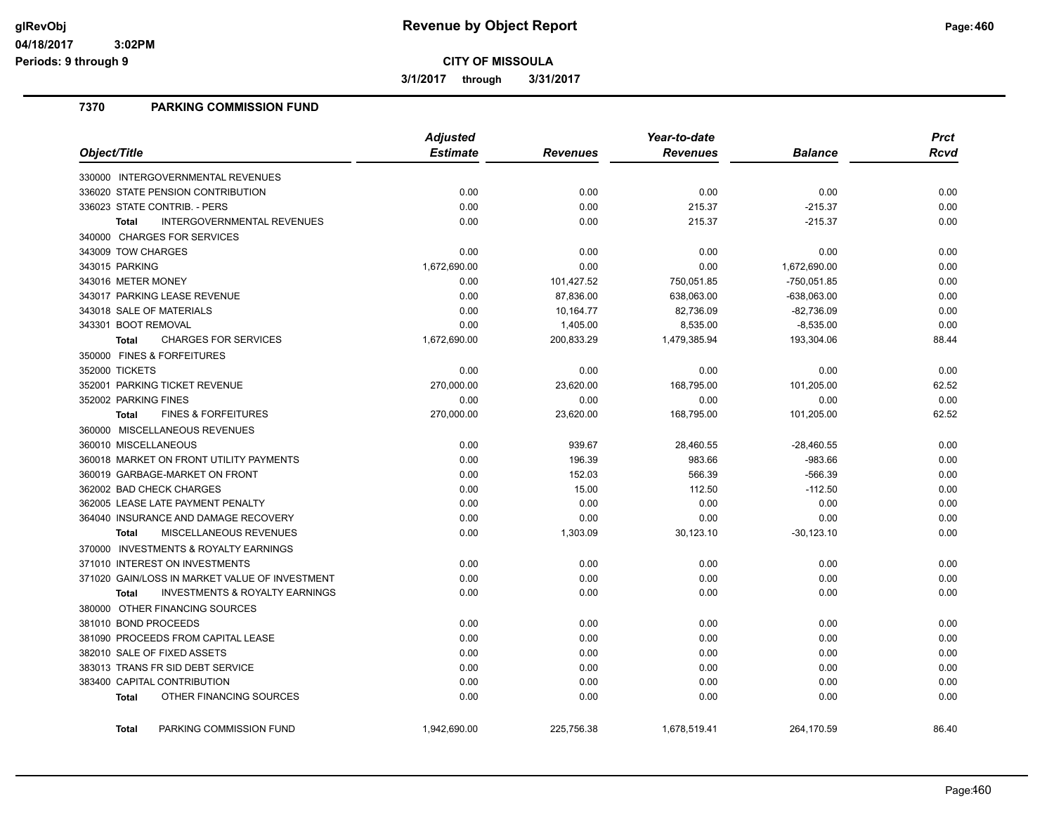**3/1/2017 through 3/31/2017**

#### **7370 PARKING COMMISSION FUND**

|                                                           | <b>Adjusted</b> |                 | Year-to-date    |               | <b>Prct</b> |
|-----------------------------------------------------------|-----------------|-----------------|-----------------|---------------|-------------|
| Object/Title                                              | <b>Estimate</b> | <b>Revenues</b> | <b>Revenues</b> | Balance       | <b>Rcvd</b> |
| 330000 INTERGOVERNMENTAL REVENUES                         |                 |                 |                 |               |             |
| 336020 STATE PENSION CONTRIBUTION                         | 0.00            | 0.00            | 0.00            | 0.00          | 0.00        |
| 336023 STATE CONTRIB. - PERS                              | 0.00            | 0.00            | 215.37          | $-215.37$     | 0.00        |
| <b>INTERGOVERNMENTAL REVENUES</b><br><b>Total</b>         | 0.00            | 0.00            | 215.37          | $-215.37$     | 0.00        |
| 340000 CHARGES FOR SERVICES                               |                 |                 |                 |               |             |
| 343009 TOW CHARGES                                        | 0.00            | 0.00            | 0.00            | 0.00          | 0.00        |
| 343015 PARKING                                            | 1,672,690.00    | 0.00            | 0.00            | 1,672,690.00  | 0.00        |
| 343016 METER MONEY                                        | 0.00            | 101,427.52      | 750,051.85      | $-750,051.85$ | 0.00        |
| 343017 PARKING LEASE REVENUE                              | 0.00            | 87,836.00       | 638,063.00      | -638,063.00   | 0.00        |
| 343018 SALE OF MATERIALS                                  | 0.00            | 10,164.77       | 82,736.09       | $-82,736.09$  | 0.00        |
| 343301 BOOT REMOVAL                                       | 0.00            | 1,405.00        | 8,535.00        | $-8,535.00$   | 0.00        |
| <b>CHARGES FOR SERVICES</b><br><b>Total</b>               | 1,672,690.00    | 200,833.29      | 1,479,385.94    | 193,304.06    | 88.44       |
| 350000 FINES & FORFEITURES                                |                 |                 |                 |               |             |
| 352000 TICKETS                                            | 0.00            | 0.00            | 0.00            | 0.00          | 0.00        |
| 352001 PARKING TICKET REVENUE                             | 270,000.00      | 23,620.00       | 168,795.00      | 101,205.00    | 62.52       |
| 352002 PARKING FINES                                      | 0.00            | 0.00            | 0.00            | 0.00          | 0.00        |
| <b>FINES &amp; FORFEITURES</b><br><b>Total</b>            | 270,000.00      | 23,620.00       | 168,795.00      | 101,205.00    | 62.52       |
| 360000 MISCELLANEOUS REVENUES                             |                 |                 |                 |               |             |
| 360010 MISCELLANEOUS                                      | 0.00            | 939.67          | 28,460.55       | $-28,460.55$  | 0.00        |
| 360018 MARKET ON FRONT UTILITY PAYMENTS                   | 0.00            | 196.39          | 983.66          | $-983.66$     | 0.00        |
| 360019 GARBAGE-MARKET ON FRONT                            | 0.00            | 152.03          | 566.39          | $-566.39$     | 0.00        |
| 362002 BAD CHECK CHARGES                                  | 0.00            | 15.00           | 112.50          | $-112.50$     | 0.00        |
| 362005 LEASE LATE PAYMENT PENALTY                         | 0.00            | 0.00            | 0.00            | 0.00          | 0.00        |
| 364040 INSURANCE AND DAMAGE RECOVERY                      | 0.00            | 0.00            | 0.00            | 0.00          | 0.00        |
| MISCELLANEOUS REVENUES<br><b>Total</b>                    | 0.00            | 1,303.09        | 30,123.10       | $-30, 123.10$ | 0.00        |
| 370000 INVESTMENTS & ROYALTY EARNINGS                     |                 |                 |                 |               |             |
| 371010 INTEREST ON INVESTMENTS                            | 0.00            | 0.00            | 0.00            | 0.00          | 0.00        |
| 371020 GAIN/LOSS IN MARKET VALUE OF INVESTMENT            | 0.00            | 0.00            | 0.00            | 0.00          | 0.00        |
| <b>INVESTMENTS &amp; ROYALTY EARNINGS</b><br><b>Total</b> | 0.00            | 0.00            | 0.00            | 0.00          | 0.00        |
| 380000 OTHER FINANCING SOURCES                            |                 |                 |                 |               |             |
| 381010 BOND PROCEEDS                                      | 0.00            | 0.00            | 0.00            | 0.00          | 0.00        |
| 381090 PROCEEDS FROM CAPITAL LEASE                        | 0.00            | 0.00            | 0.00            | 0.00          | 0.00        |
| 382010 SALE OF FIXED ASSETS                               | 0.00            | 0.00            | 0.00            | 0.00          | 0.00        |
| 383013 TRANS FR SID DEBT SERVICE                          | 0.00            | 0.00            | 0.00            | 0.00          | 0.00        |
| 383400 CAPITAL CONTRIBUTION                               | 0.00            | 0.00            | 0.00            | 0.00          | 0.00        |
| OTHER FINANCING SOURCES<br>Total                          | 0.00            | 0.00            | 0.00            | 0.00          | 0.00        |
| PARKING COMMISSION FUND<br><b>Total</b>                   | 1,942,690.00    | 225,756.38      | 1,678,519.41    | 264,170.59    | 86.40       |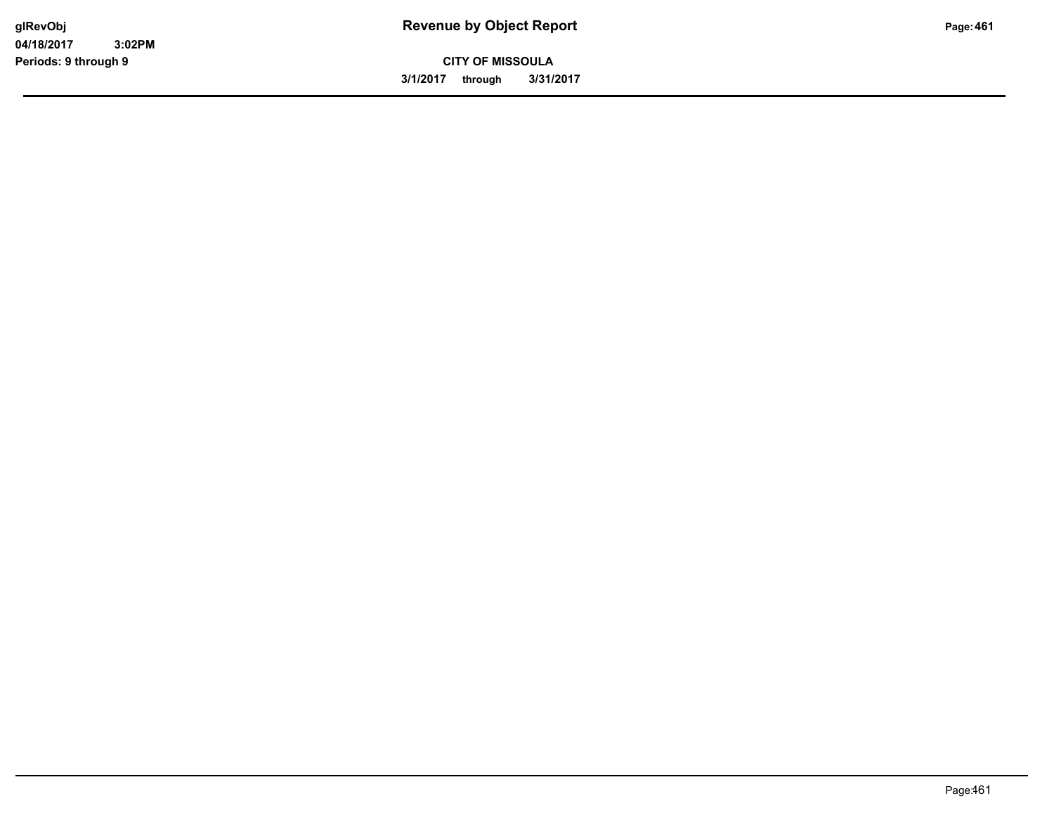**CITY OF MISSOULA 3/1/2017 through 3/31/2017**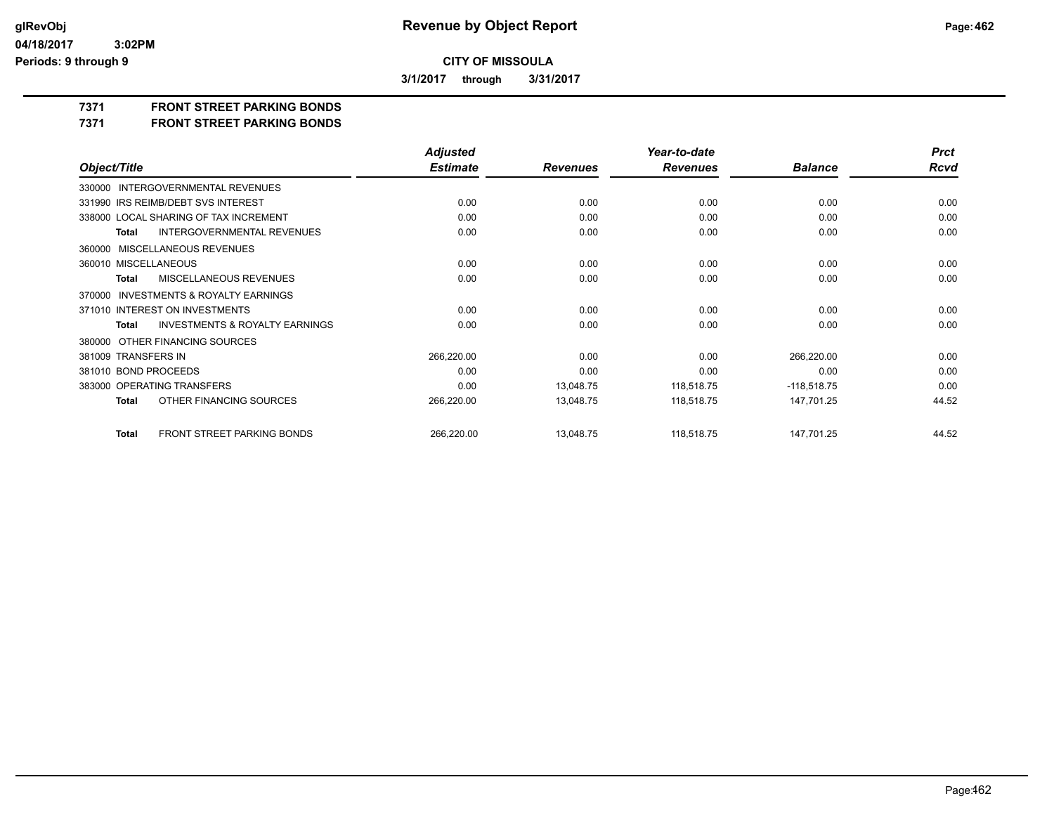**3/1/2017 through 3/31/2017**

**7371 FRONT STREET PARKING BONDS**

**7371 FRONT STREET PARKING BONDS**

|                                                    | <b>Adjusted</b> |                 | Year-to-date    |                | <b>Prct</b> |
|----------------------------------------------------|-----------------|-----------------|-----------------|----------------|-------------|
| Object/Title                                       | <b>Estimate</b> | <b>Revenues</b> | <b>Revenues</b> | <b>Balance</b> | <b>Rcvd</b> |
| 330000 INTERGOVERNMENTAL REVENUES                  |                 |                 |                 |                |             |
| 331990 IRS REIMB/DEBT SVS INTEREST                 | 0.00            | 0.00            | 0.00            | 0.00           | 0.00        |
| 338000 LOCAL SHARING OF TAX INCREMENT              | 0.00            | 0.00            | 0.00            | 0.00           | 0.00        |
| <b>INTERGOVERNMENTAL REVENUES</b><br>Total         | 0.00            | 0.00            | 0.00            | 0.00           | 0.00        |
| 360000 MISCELLANEOUS REVENUES                      |                 |                 |                 |                |             |
| 360010 MISCELLANEOUS                               | 0.00            | 0.00            | 0.00            | 0.00           | 0.00        |
| <b>MISCELLANEOUS REVENUES</b><br>Total             | 0.00            | 0.00            | 0.00            | 0.00           | 0.00        |
| 370000 INVESTMENTS & ROYALTY EARNINGS              |                 |                 |                 |                |             |
| 371010 INTEREST ON INVESTMENTS                     | 0.00            | 0.00            | 0.00            | 0.00           | 0.00        |
| <b>INVESTMENTS &amp; ROYALTY EARNINGS</b><br>Total | 0.00            | 0.00            | 0.00            | 0.00           | 0.00        |
| 380000 OTHER FINANCING SOURCES                     |                 |                 |                 |                |             |
| 381009 TRANSFERS IN                                | 266,220.00      | 0.00            | 0.00            | 266,220.00     | 0.00        |
| 381010 BOND PROCEEDS                               | 0.00            | 0.00            | 0.00            | 0.00           | 0.00        |
| 383000 OPERATING TRANSFERS                         | 0.00            | 13,048.75       | 118,518.75      | $-118,518.75$  | 0.00        |
| OTHER FINANCING SOURCES<br>Total                   | 266,220.00      | 13,048.75       | 118,518.75      | 147,701.25     | 44.52       |
| <b>FRONT STREET PARKING BONDS</b><br><b>Total</b>  | 266,220.00      | 13,048.75       | 118,518.75      | 147,701.25     | 44.52       |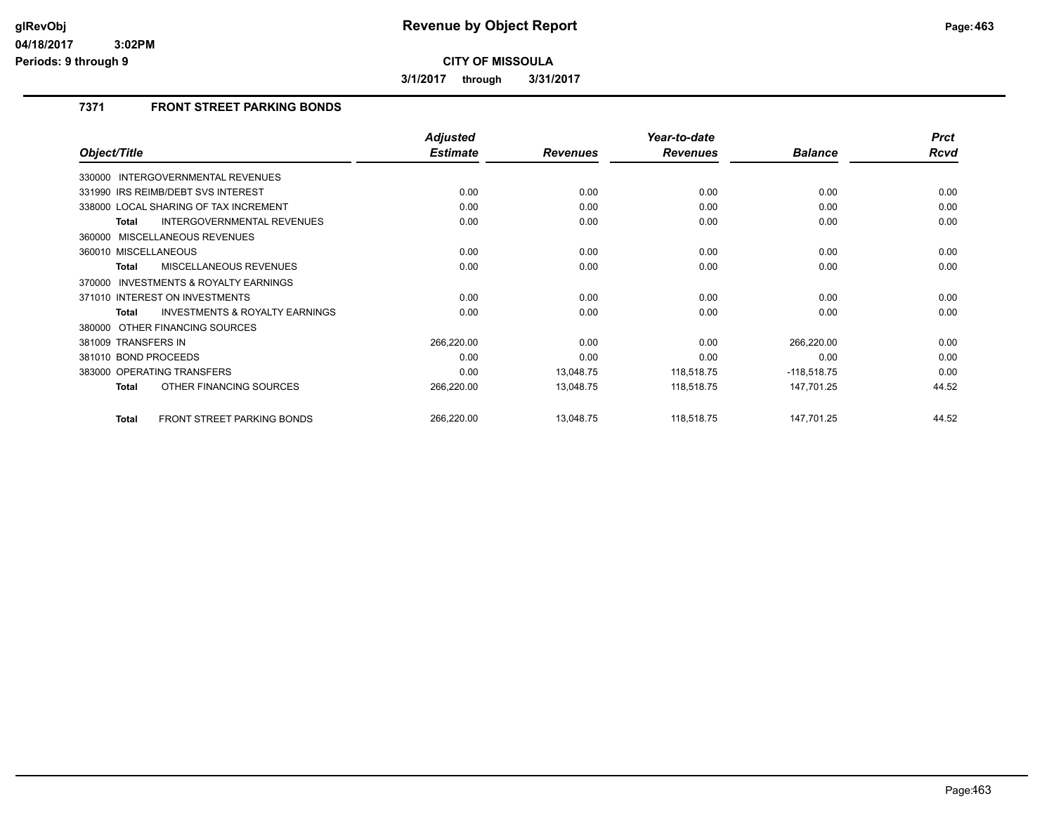**3/1/2017 through 3/31/2017**

### **7371 FRONT STREET PARKING BONDS**

|                                                           | <b>Adjusted</b> |                 | Year-to-date    |                | <b>Prct</b> |
|-----------------------------------------------------------|-----------------|-----------------|-----------------|----------------|-------------|
| Object/Title                                              | <b>Estimate</b> | <b>Revenues</b> | <b>Revenues</b> | <b>Balance</b> | <b>Rcvd</b> |
| INTERGOVERNMENTAL REVENUES<br>330000                      |                 |                 |                 |                |             |
| 331990 IRS REIMB/DEBT SVS INTEREST                        | 0.00            | 0.00            | 0.00            | 0.00           | 0.00        |
| 338000 LOCAL SHARING OF TAX INCREMENT                     | 0.00            | 0.00            | 0.00            | 0.00           | 0.00        |
| <b>INTERGOVERNMENTAL REVENUES</b><br><b>Total</b>         | 0.00            | 0.00            | 0.00            | 0.00           | 0.00        |
| 360000 MISCELLANEOUS REVENUES                             |                 |                 |                 |                |             |
| 360010 MISCELLANEOUS                                      | 0.00            | 0.00            | 0.00            | 0.00           | 0.00        |
| MISCELLANEOUS REVENUES<br><b>Total</b>                    | 0.00            | 0.00            | 0.00            | 0.00           | 0.00        |
| INVESTMENTS & ROYALTY EARNINGS<br>370000                  |                 |                 |                 |                |             |
| 371010 INTEREST ON INVESTMENTS                            | 0.00            | 0.00            | 0.00            | 0.00           | 0.00        |
| <b>INVESTMENTS &amp; ROYALTY EARNINGS</b><br><b>Total</b> | 0.00            | 0.00            | 0.00            | 0.00           | 0.00        |
| 380000 OTHER FINANCING SOURCES                            |                 |                 |                 |                |             |
| 381009 TRANSFERS IN                                       | 266,220.00      | 0.00            | 0.00            | 266,220.00     | 0.00        |
| 381010 BOND PROCEEDS                                      | 0.00            | 0.00            | 0.00            | 0.00           | 0.00        |
| 383000 OPERATING TRANSFERS                                | 0.00            | 13,048.75       | 118,518.75      | $-118,518.75$  | 0.00        |
| OTHER FINANCING SOURCES<br><b>Total</b>                   | 266,220.00      | 13,048.75       | 118,518.75      | 147,701.25     | 44.52       |
| <b>FRONT STREET PARKING BONDS</b><br><b>Total</b>         | 266,220.00      | 13,048.75       | 118,518.75      | 147,701.25     | 44.52       |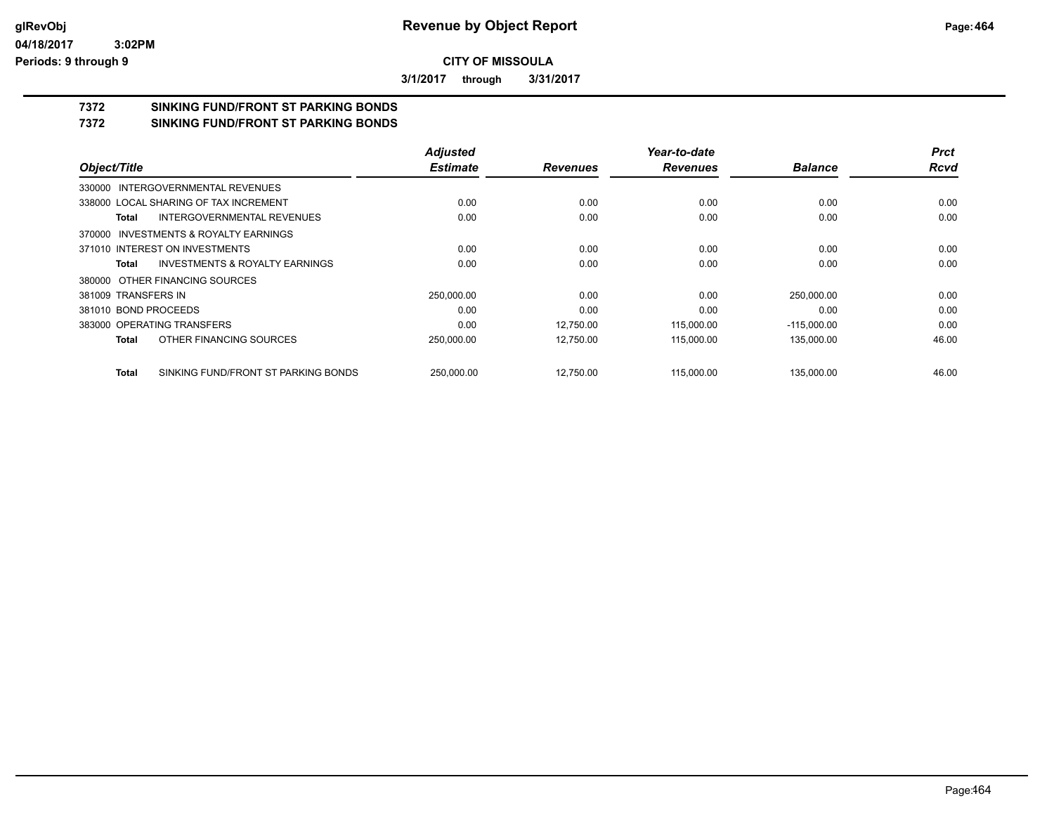**3/1/2017 through 3/31/2017**

## **7372 SINKING FUND/FRONT ST PARKING BONDS 7372 SINKING FUND/FRONT ST PARKING BONDS**

|                      |                                           | <b>Adjusted</b> |                 | Year-to-date    |                | <b>Prct</b> |
|----------------------|-------------------------------------------|-----------------|-----------------|-----------------|----------------|-------------|
| Object/Title         |                                           | <b>Estimate</b> | <b>Revenues</b> | <b>Revenues</b> | <b>Balance</b> | Rcvd        |
| 330000               | INTERGOVERNMENTAL REVENUES                |                 |                 |                 |                |             |
|                      | 338000 LOCAL SHARING OF TAX INCREMENT     | 0.00            | 0.00            | 0.00            | 0.00           | 0.00        |
| Total                | INTERGOVERNMENTAL REVENUES                | 0.00            | 0.00            | 0.00            | 0.00           | 0.00        |
| 370000               | INVESTMENTS & ROYALTY EARNINGS            |                 |                 |                 |                |             |
|                      | 371010 INTEREST ON INVESTMENTS            | 0.00            | 0.00            | 0.00            | 0.00           | 0.00        |
| Total                | <b>INVESTMENTS &amp; ROYALTY EARNINGS</b> | 0.00            | 0.00            | 0.00            | 0.00           | 0.00        |
|                      | 380000 OTHER FINANCING SOURCES            |                 |                 |                 |                |             |
| 381009 TRANSFERS IN  |                                           | 250.000.00      | 0.00            | 0.00            | 250,000.00     | 0.00        |
| 381010 BOND PROCEEDS |                                           | 0.00            | 0.00            | 0.00            | 0.00           | 0.00        |
|                      | 383000 OPERATING TRANSFERS                | 0.00            | 12.750.00       | 115,000.00      | $-115,000.00$  | 0.00        |
| <b>Total</b>         | OTHER FINANCING SOURCES                   | 250,000.00      | 12,750.00       | 115,000.00      | 135,000.00     | 46.00       |
| <b>Total</b>         | SINKING FUND/FRONT ST PARKING BONDS       | 250.000.00      | 12.750.00       | 115.000.00      | 135.000.00     | 46.00       |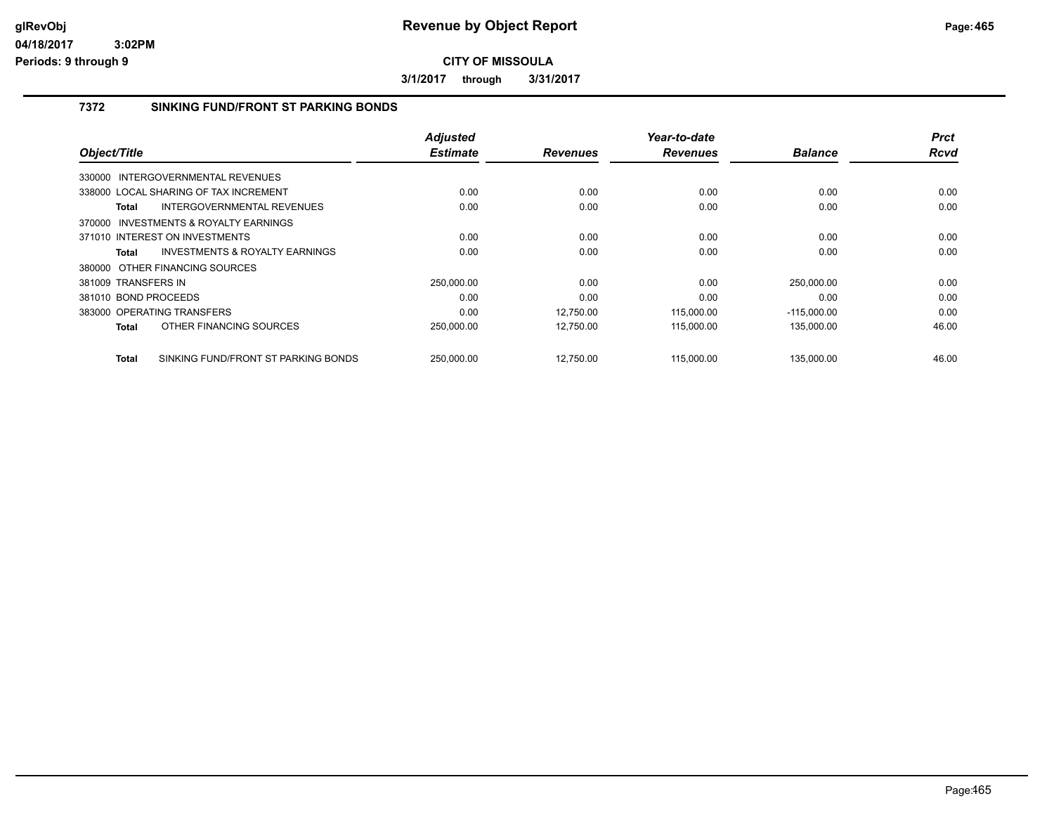**3/1/2017 through 3/31/2017**

## **7372 SINKING FUND/FRONT ST PARKING BONDS**

|                                                     | <b>Adjusted</b> |                 | Year-to-date    |                | <b>Prct</b> |
|-----------------------------------------------------|-----------------|-----------------|-----------------|----------------|-------------|
| Object/Title                                        | <b>Estimate</b> | <b>Revenues</b> | <b>Revenues</b> | <b>Balance</b> | <b>Rcvd</b> |
| 330000 INTERGOVERNMENTAL REVENUES                   |                 |                 |                 |                |             |
| 338000 LOCAL SHARING OF TAX INCREMENT               | 0.00            | 0.00            | 0.00            | 0.00           | 0.00        |
| INTERGOVERNMENTAL REVENUES<br><b>Total</b>          | 0.00            | 0.00            | 0.00            | 0.00           | 0.00        |
| 370000 INVESTMENTS & ROYALTY EARNINGS               |                 |                 |                 |                |             |
| 371010 INTEREST ON INVESTMENTS                      | 0.00            | 0.00            | 0.00            | 0.00           | 0.00        |
| INVESTMENTS & ROYALTY EARNINGS<br>Total             | 0.00            | 0.00            | 0.00            | 0.00           | 0.00        |
| 380000 OTHER FINANCING SOURCES                      |                 |                 |                 |                |             |
| 381009 TRANSFERS IN                                 | 250,000.00      | 0.00            | 0.00            | 250,000.00     | 0.00        |
| 381010 BOND PROCEEDS                                | 0.00            | 0.00            | 0.00            | 0.00           | 0.00        |
| 383000 OPERATING TRANSFERS                          | 0.00            | 12.750.00       | 115,000.00      | $-115,000.00$  | 0.00        |
| OTHER FINANCING SOURCES<br><b>Total</b>             | 250,000.00      | 12,750.00       | 115,000.00      | 135,000.00     | 46.00       |
| SINKING FUND/FRONT ST PARKING BONDS<br><b>Total</b> | 250,000.00      | 12,750.00       | 115,000.00      | 135,000.00     | 46.00       |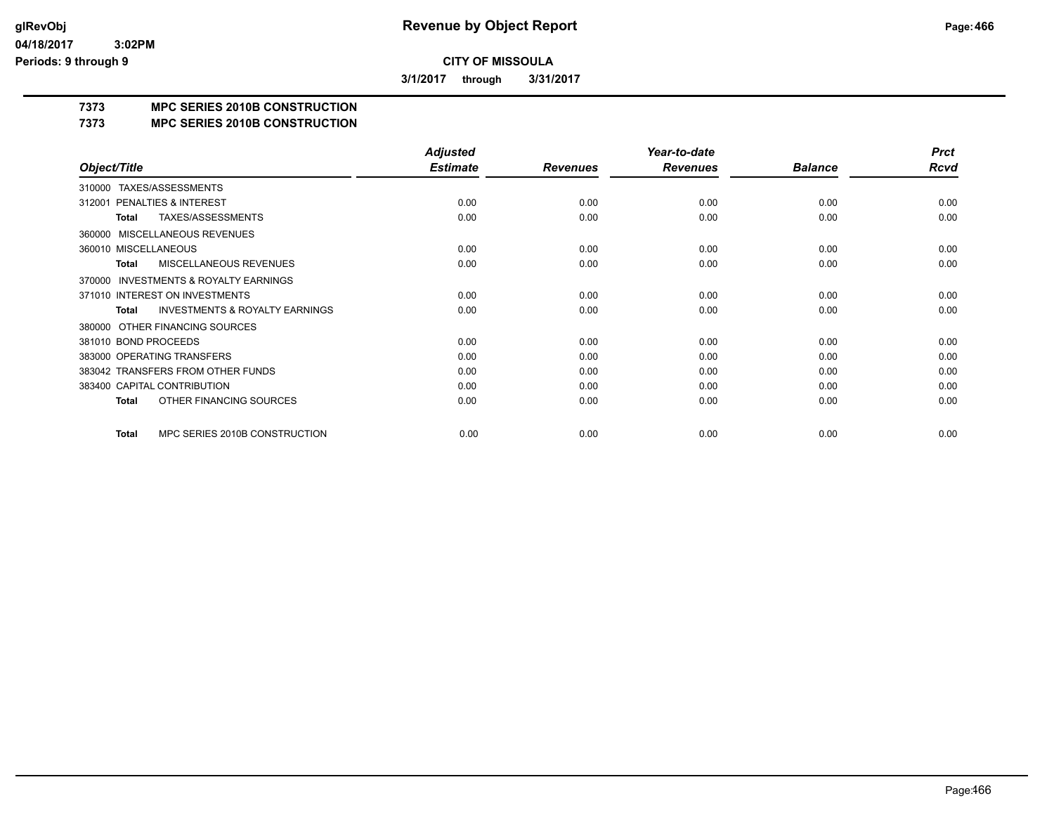**3/1/2017 through 3/31/2017**

## **7373 MPC SERIES 2010B CONSTRUCTION**

**7373 MPC SERIES 2010B CONSTRUCTION**

|                                                     | <b>Adjusted</b> |                 | Year-to-date    |                | <b>Prct</b> |
|-----------------------------------------------------|-----------------|-----------------|-----------------|----------------|-------------|
| Object/Title                                        | <b>Estimate</b> | <b>Revenues</b> | <b>Revenues</b> | <b>Balance</b> | <b>Rcvd</b> |
| TAXES/ASSESSMENTS<br>310000                         |                 |                 |                 |                |             |
| 312001 PENALTIES & INTEREST                         | 0.00            | 0.00            | 0.00            | 0.00           | 0.00        |
| TAXES/ASSESSMENTS<br>Total                          | 0.00            | 0.00            | 0.00            | 0.00           | 0.00        |
| 360000 MISCELLANEOUS REVENUES                       |                 |                 |                 |                |             |
| 360010 MISCELLANEOUS                                | 0.00            | 0.00            | 0.00            | 0.00           | 0.00        |
| MISCELLANEOUS REVENUES<br>Total                     | 0.00            | 0.00            | 0.00            | 0.00           | 0.00        |
| <b>INVESTMENTS &amp; ROYALTY EARNINGS</b><br>370000 |                 |                 |                 |                |             |
| 371010 INTEREST ON INVESTMENTS                      | 0.00            | 0.00            | 0.00            | 0.00           | 0.00        |
| <b>INVESTMENTS &amp; ROYALTY EARNINGS</b><br>Total  | 0.00            | 0.00            | 0.00            | 0.00           | 0.00        |
| OTHER FINANCING SOURCES<br>380000                   |                 |                 |                 |                |             |
| 381010 BOND PROCEEDS                                | 0.00            | 0.00            | 0.00            | 0.00           | 0.00        |
| 383000 OPERATING TRANSFERS                          | 0.00            | 0.00            | 0.00            | 0.00           | 0.00        |
| 383042 TRANSFERS FROM OTHER FUNDS                   | 0.00            | 0.00            | 0.00            | 0.00           | 0.00        |
| 383400 CAPITAL CONTRIBUTION                         | 0.00            | 0.00            | 0.00            | 0.00           | 0.00        |
| OTHER FINANCING SOURCES<br><b>Total</b>             | 0.00            | 0.00            | 0.00            | 0.00           | 0.00        |
| MPC SERIES 2010B CONSTRUCTION<br><b>Total</b>       | 0.00            | 0.00            | 0.00            | 0.00           | 0.00        |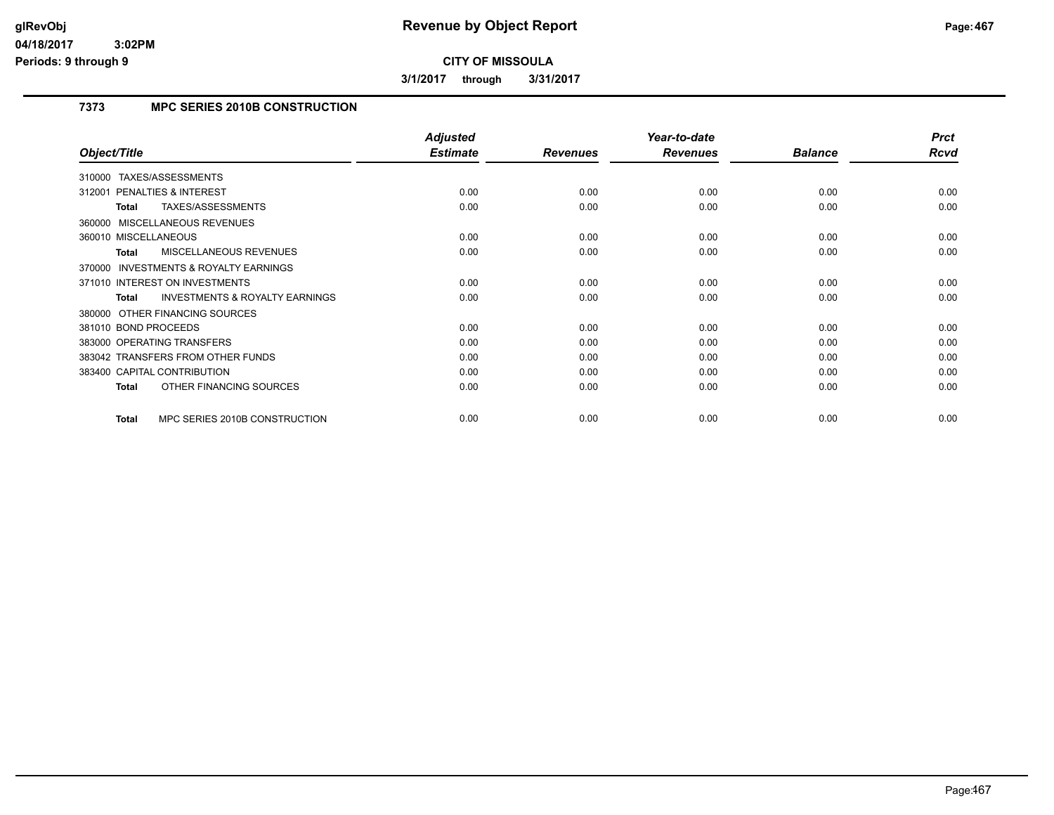**3/1/2017 through 3/31/2017**

## **7373 MPC SERIES 2010B CONSTRUCTION**

|                                                           | <b>Adjusted</b> |                 | Year-to-date    |                | <b>Prct</b> |
|-----------------------------------------------------------|-----------------|-----------------|-----------------|----------------|-------------|
| Object/Title                                              | <b>Estimate</b> | <b>Revenues</b> | <b>Revenues</b> | <b>Balance</b> | <b>Rcvd</b> |
| 310000 TAXES/ASSESSMENTS                                  |                 |                 |                 |                |             |
| 312001 PENALTIES & INTEREST                               | 0.00            | 0.00            | 0.00            | 0.00           | 0.00        |
| TAXES/ASSESSMENTS<br><b>Total</b>                         | 0.00            | 0.00            | 0.00            | 0.00           | 0.00        |
| 360000 MISCELLANEOUS REVENUES                             |                 |                 |                 |                |             |
| 360010 MISCELLANEOUS                                      | 0.00            | 0.00            | 0.00            | 0.00           | 0.00        |
| MISCELLANEOUS REVENUES<br>Total                           | 0.00            | 0.00            | 0.00            | 0.00           | 0.00        |
| <b>INVESTMENTS &amp; ROYALTY EARNINGS</b><br>370000       |                 |                 |                 |                |             |
| 371010 INTEREST ON INVESTMENTS                            | 0.00            | 0.00            | 0.00            | 0.00           | 0.00        |
| <b>INVESTMENTS &amp; ROYALTY EARNINGS</b><br><b>Total</b> | 0.00            | 0.00            | 0.00            | 0.00           | 0.00        |
| 380000 OTHER FINANCING SOURCES                            |                 |                 |                 |                |             |
| 381010 BOND PROCEEDS                                      | 0.00            | 0.00            | 0.00            | 0.00           | 0.00        |
| 383000 OPERATING TRANSFERS                                | 0.00            | 0.00            | 0.00            | 0.00           | 0.00        |
| 383042 TRANSFERS FROM OTHER FUNDS                         | 0.00            | 0.00            | 0.00            | 0.00           | 0.00        |
| 383400 CAPITAL CONTRIBUTION                               | 0.00            | 0.00            | 0.00            | 0.00           | 0.00        |
| OTHER FINANCING SOURCES<br>Total                          | 0.00            | 0.00            | 0.00            | 0.00           | 0.00        |
| MPC SERIES 2010B CONSTRUCTION<br>Total                    | 0.00            | 0.00            | 0.00            | 0.00           | 0.00        |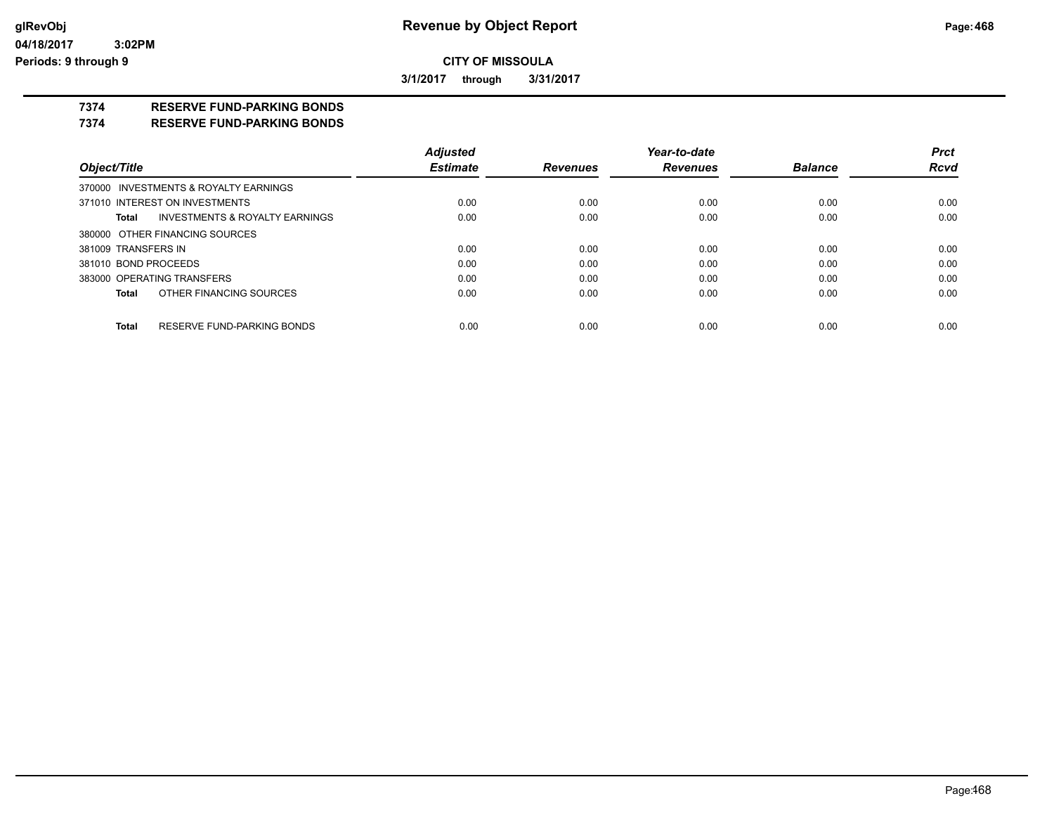**3/1/2017 through 3/31/2017**

# **7374 RESERVE FUND-PARKING BONDS**

## **7374 RESERVE FUND-PARKING BONDS**

|                      |                                       | <b>Adjusted</b> |                 | Year-to-date    |                | <b>Prct</b> |
|----------------------|---------------------------------------|-----------------|-----------------|-----------------|----------------|-------------|
| Object/Title         |                                       | <b>Estimate</b> | <b>Revenues</b> | <b>Revenues</b> | <b>Balance</b> | <b>Rcvd</b> |
|                      | 370000 INVESTMENTS & ROYALTY EARNINGS |                 |                 |                 |                |             |
|                      | 371010 INTEREST ON INVESTMENTS        | 0.00            | 0.00            | 0.00            | 0.00           | 0.00        |
| Total                | INVESTMENTS & ROYALTY EARNINGS        | 0.00            | 0.00            | 0.00            | 0.00           | 0.00        |
|                      | 380000 OTHER FINANCING SOURCES        |                 |                 |                 |                |             |
| 381009 TRANSFERS IN  |                                       | 0.00            | 0.00            | 0.00            | 0.00           | 0.00        |
| 381010 BOND PROCEEDS |                                       | 0.00            | 0.00            | 0.00            | 0.00           | 0.00        |
|                      | 383000 OPERATING TRANSFERS            | 0.00            | 0.00            | 0.00            | 0.00           | 0.00        |
| Total                | OTHER FINANCING SOURCES               | 0.00            | 0.00            | 0.00            | 0.00           | 0.00        |
| Total                | RESERVE FUND-PARKING BONDS            | 0.00            | 0.00            | 0.00            | 0.00           | 0.00        |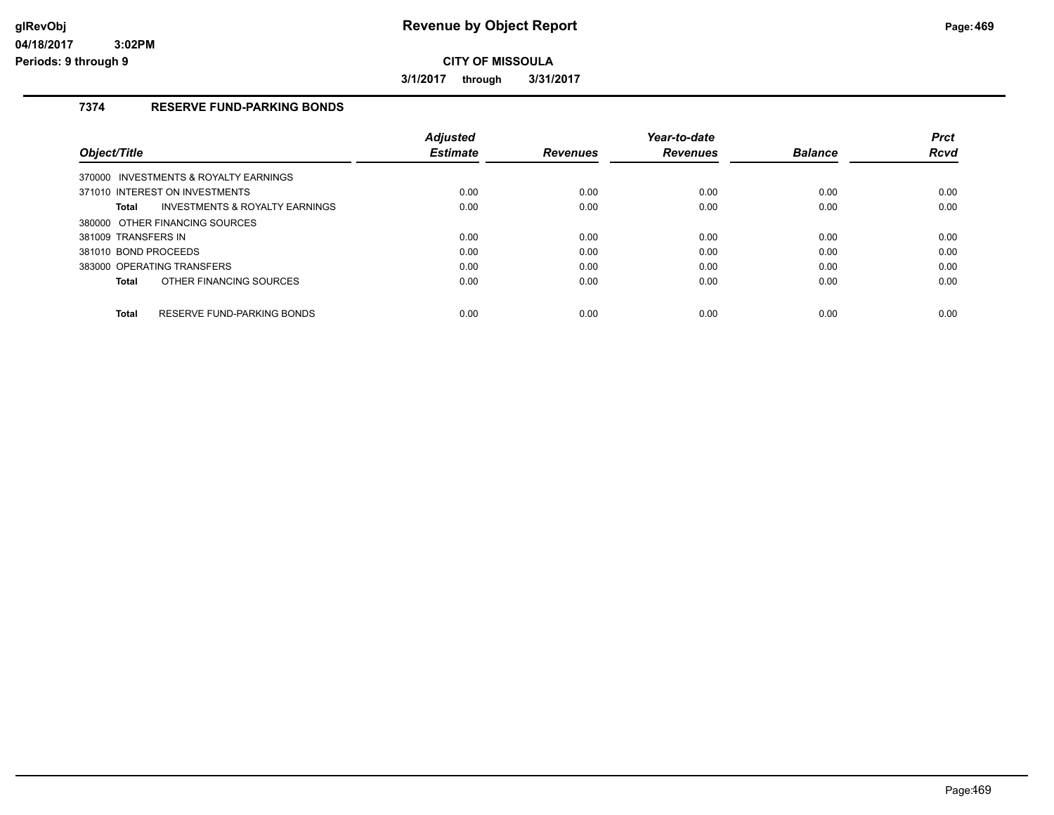**3/1/2017 through 3/31/2017**

## **7374 RESERVE FUND-PARKING BONDS**

|                                                   | <b>Adjusted</b> |                 | Year-to-date    |                | <b>Prct</b> |
|---------------------------------------------------|-----------------|-----------------|-----------------|----------------|-------------|
| Object/Title                                      | <b>Estimate</b> | <b>Revenues</b> | <b>Revenues</b> | <b>Balance</b> | <b>Rcvd</b> |
| 370000 INVESTMENTS & ROYALTY EARNINGS             |                 |                 |                 |                |             |
| 371010 INTEREST ON INVESTMENTS                    | 0.00            | 0.00            | 0.00            | 0.00           | 0.00        |
| INVESTMENTS & ROYALTY EARNINGS<br><b>Total</b>    | 0.00            | 0.00            | 0.00            | 0.00           | 0.00        |
| 380000 OTHER FINANCING SOURCES                    |                 |                 |                 |                |             |
| 381009 TRANSFERS IN                               | 0.00            | 0.00            | 0.00            | 0.00           | 0.00        |
| 381010 BOND PROCEEDS                              | 0.00            | 0.00            | 0.00            | 0.00           | 0.00        |
| 383000 OPERATING TRANSFERS                        | 0.00            | 0.00            | 0.00            | 0.00           | 0.00        |
| <b>Total</b><br>OTHER FINANCING SOURCES           | 0.00            | 0.00            | 0.00            | 0.00           | 0.00        |
| <b>RESERVE FUND-PARKING BONDS</b><br><b>Total</b> | 0.00            | 0.00            | 0.00            | 0.00           | 0.00        |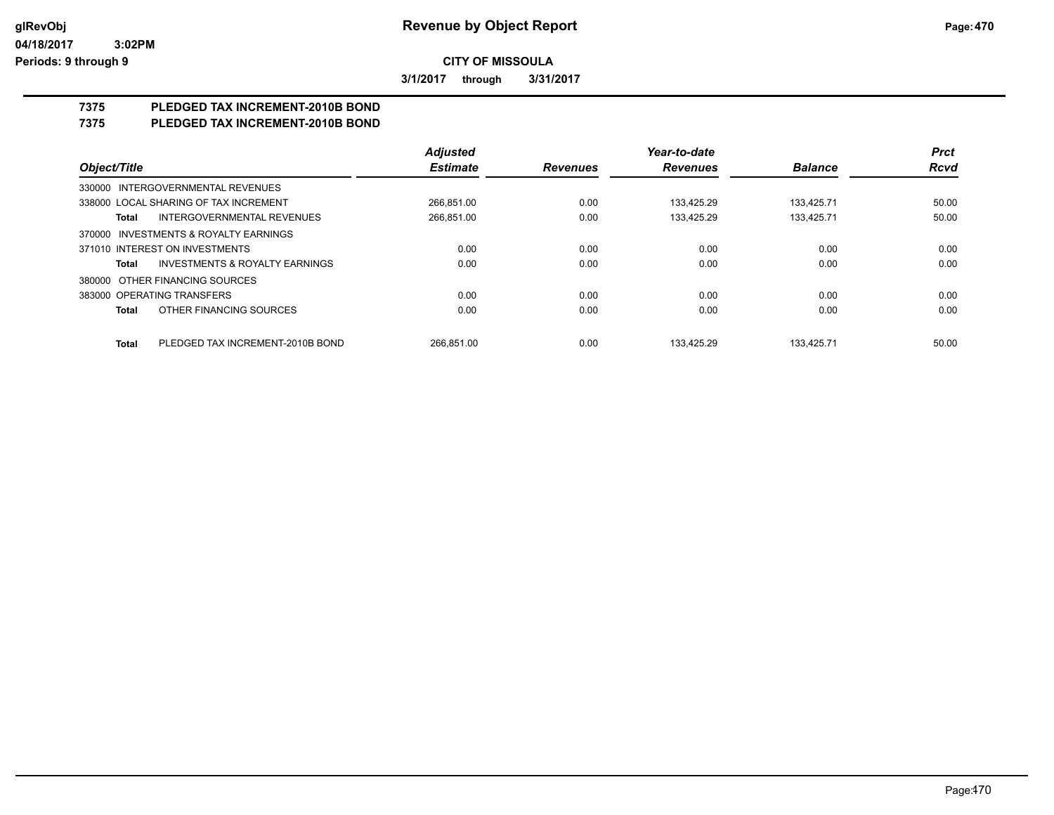**3/1/2017 through 3/31/2017**

## **7375 PLEDGED TAX INCREMENT-2010B BOND 7375 PLEDGED TAX INCREMENT-2010B BOND**

|                                            | <b>Adjusted</b> |                 | Year-to-date    |                | <b>Prct</b> |
|--------------------------------------------|-----------------|-----------------|-----------------|----------------|-------------|
| Object/Title                               | <b>Estimate</b> | <b>Revenues</b> | <b>Revenues</b> | <b>Balance</b> | <b>Rcvd</b> |
| 330000 INTERGOVERNMENTAL REVENUES          |                 |                 |                 |                |             |
| 338000 LOCAL SHARING OF TAX INCREMENT      | 266.851.00      | 0.00            | 133.425.29      | 133.425.71     | 50.00       |
| <b>INTERGOVERNMENTAL REVENUES</b><br>Total | 266,851.00      | 0.00            | 133,425.29      | 133.425.71     | 50.00       |
| 370000 INVESTMENTS & ROYALTY EARNINGS      |                 |                 |                 |                |             |
| 371010 INTEREST ON INVESTMENTS             | 0.00            | 0.00            | 0.00            | 0.00           | 0.00        |
| INVESTMENTS & ROYALTY EARNINGS<br>Total    | 0.00            | 0.00            | 0.00            | 0.00           | 0.00        |
| 380000 OTHER FINANCING SOURCES             |                 |                 |                 |                |             |
| 383000 OPERATING TRANSFERS                 | 0.00            | 0.00            | 0.00            | 0.00           | 0.00        |
| OTHER FINANCING SOURCES<br>Total           | 0.00            | 0.00            | 0.00            | 0.00           | 0.00        |
|                                            |                 |                 |                 |                |             |
| PLEDGED TAX INCREMENT-2010B BOND<br>Total  | 266.851.00      | 0.00            | 133.425.29      | 133.425.71     | 50.00       |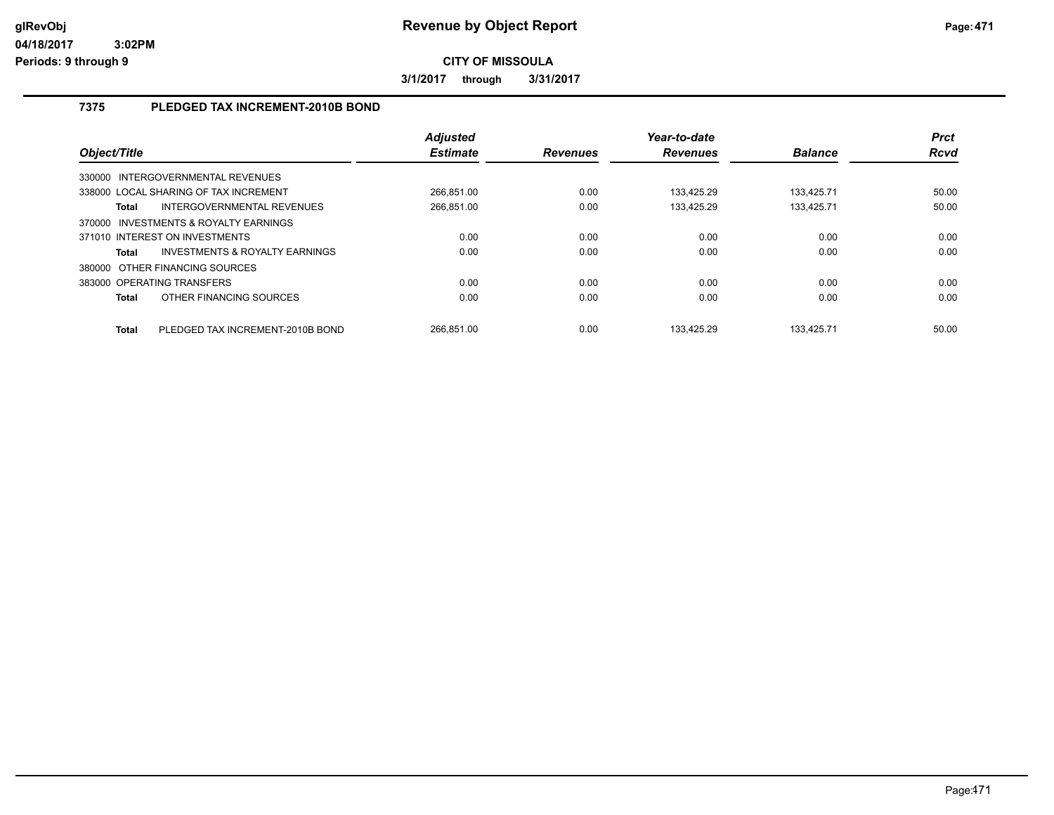**3/1/2017 through 3/31/2017**

## **7375 PLEDGED TAX INCREMENT-2010B BOND**

| Object/Title                   |                                           | <b>Adjusted</b><br><b>Estimate</b> | <b>Revenues</b> | Year-to-date<br><b>Revenues</b> | <b>Balance</b> | <b>Prct</b><br><b>Rcvd</b> |
|--------------------------------|-------------------------------------------|------------------------------------|-----------------|---------------------------------|----------------|----------------------------|
| 330000                         | INTERGOVERNMENTAL REVENUES                |                                    |                 |                                 |                |                            |
|                                | 338000 LOCAL SHARING OF TAX INCREMENT     | 266.851.00                         | 0.00            | 133.425.29                      | 133.425.71     | 50.00                      |
| Total                          | INTERGOVERNMENTAL REVENUES                | 266.851.00                         | 0.00            | 133.425.29                      | 133.425.71     | 50.00                      |
| 370000                         | <b>INVESTMENTS &amp; ROYALTY EARNINGS</b> |                                    |                 |                                 |                |                            |
| 371010 INTEREST ON INVESTMENTS |                                           | 0.00                               | 0.00            | 0.00                            | 0.00           | 0.00                       |
| Total                          | <b>INVESTMENTS &amp; ROYALTY EARNINGS</b> | 0.00                               | 0.00            | 0.00                            | 0.00           | 0.00                       |
| 380000 OTHER FINANCING SOURCES |                                           |                                    |                 |                                 |                |                            |
| 383000 OPERATING TRANSFERS     |                                           | 0.00                               | 0.00            | 0.00                            | 0.00           | 0.00                       |
| Total                          | OTHER FINANCING SOURCES                   | 0.00                               | 0.00            | 0.00                            | 0.00           | 0.00                       |
| <b>Total</b>                   | PLEDGED TAX INCREMENT-2010B BOND          | 266.851.00                         | 0.00            | 133.425.29                      | 133.425.71     | 50.00                      |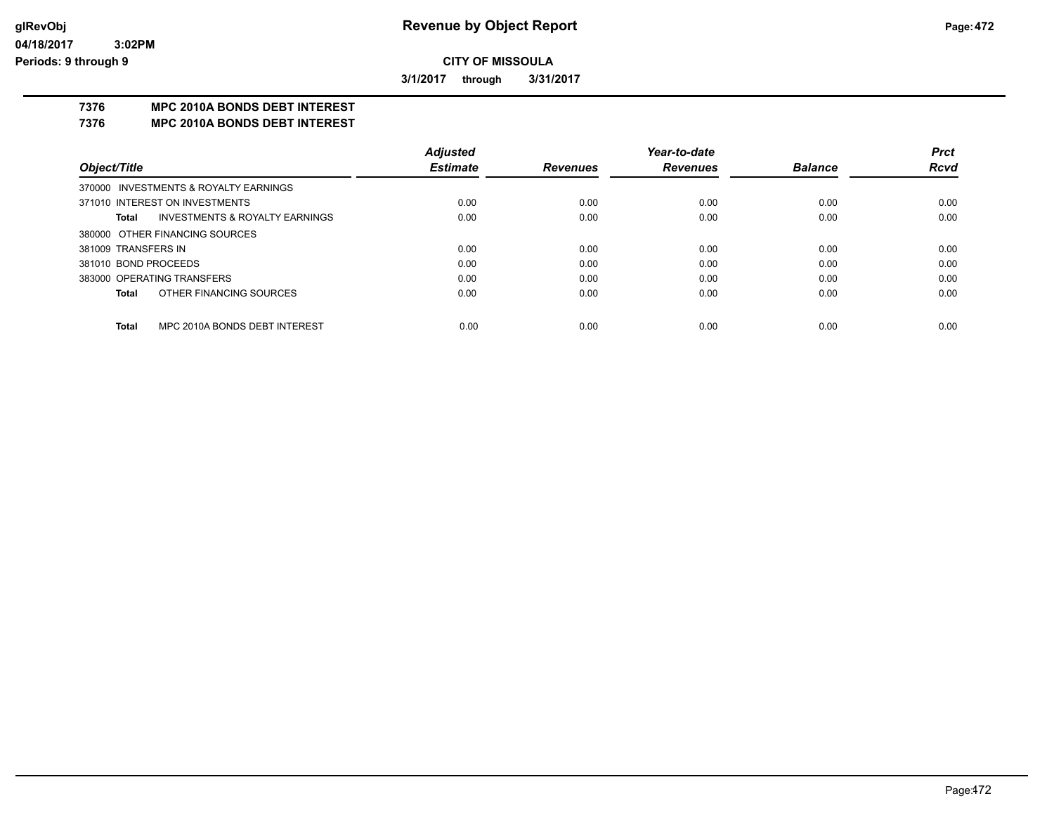**3/1/2017 through 3/31/2017**

# **7376 MPC 2010A BONDS DEBT INTEREST**

## **7376 MPC 2010A BONDS DEBT INTEREST**

|                      |                                       | <b>Adjusted</b> |                 | Year-to-date    |                | <b>Prct</b> |
|----------------------|---------------------------------------|-----------------|-----------------|-----------------|----------------|-------------|
| Object/Title         |                                       | <b>Estimate</b> | <b>Revenues</b> | <b>Revenues</b> | <b>Balance</b> | <b>Rcvd</b> |
|                      | 370000 INVESTMENTS & ROYALTY EARNINGS |                 |                 |                 |                |             |
|                      | 371010 INTEREST ON INVESTMENTS        | 0.00            | 0.00            | 0.00            | 0.00           | 0.00        |
| Total                | INVESTMENTS & ROYALTY EARNINGS        | 0.00            | 0.00            | 0.00            | 0.00           | 0.00        |
|                      | 380000 OTHER FINANCING SOURCES        |                 |                 |                 |                |             |
| 381009 TRANSFERS IN  |                                       | 0.00            | 0.00            | 0.00            | 0.00           | 0.00        |
| 381010 BOND PROCEEDS |                                       | 0.00            | 0.00            | 0.00            | 0.00           | 0.00        |
|                      | 383000 OPERATING TRANSFERS            | 0.00            | 0.00            | 0.00            | 0.00           | 0.00        |
| Total                | OTHER FINANCING SOURCES               | 0.00            | 0.00            | 0.00            | 0.00           | 0.00        |
| <b>Total</b>         | MPC 2010A BONDS DEBT INTEREST         | 0.00            | 0.00            | 0.00            | 0.00           | 0.00        |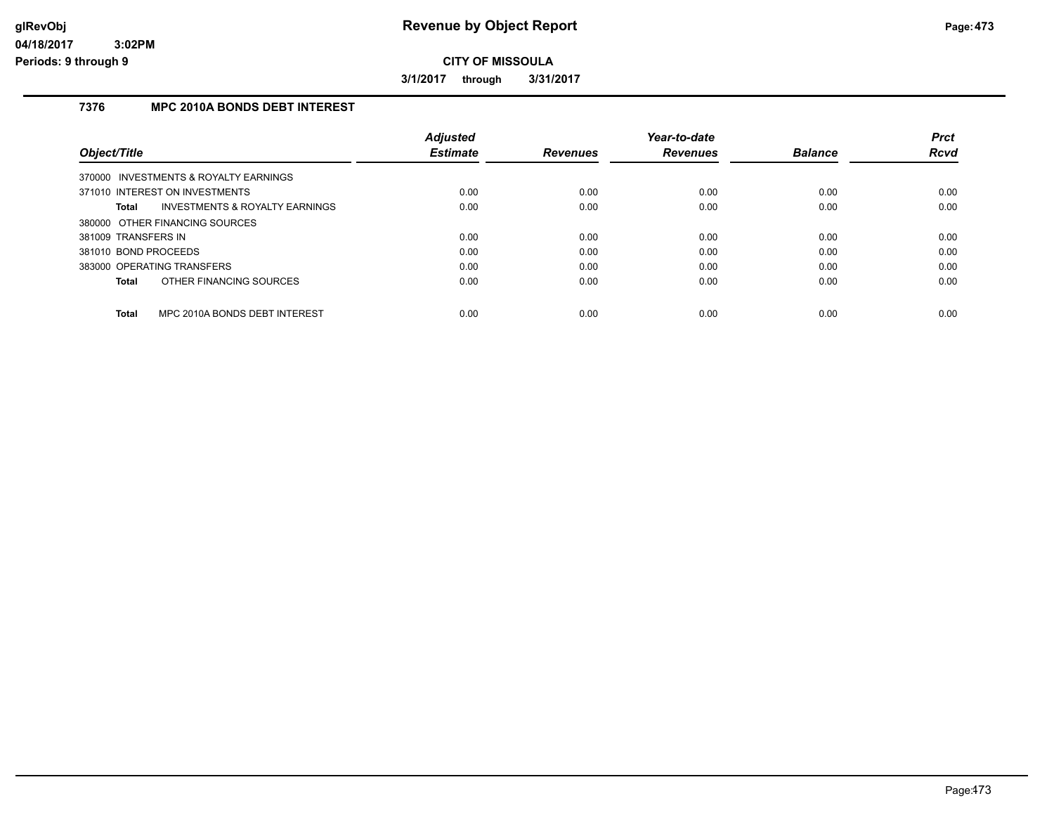**3/1/2017 through 3/31/2017**

## **7376 MPC 2010A BONDS DEBT INTEREST**

|                                         | <b>Adiusted</b> |                 | Year-to-date    |                | <b>Prct</b> |
|-----------------------------------------|-----------------|-----------------|-----------------|----------------|-------------|
| Object/Title                            | <b>Estimate</b> | <b>Revenues</b> | <b>Revenues</b> | <b>Balance</b> | <b>Rcvd</b> |
| 370000 INVESTMENTS & ROYALTY EARNINGS   |                 |                 |                 |                |             |
| 371010 INTEREST ON INVESTMENTS          | 0.00            | 0.00            | 0.00            | 0.00           | 0.00        |
| INVESTMENTS & ROYALTY EARNINGS<br>Total | 0.00            | 0.00            | 0.00            | 0.00           | 0.00        |
| 380000 OTHER FINANCING SOURCES          |                 |                 |                 |                |             |
| 381009 TRANSFERS IN                     | 0.00            | 0.00            | 0.00            | 0.00           | 0.00        |
| 381010 BOND PROCEEDS                    | 0.00            | 0.00            | 0.00            | 0.00           | 0.00        |
| 383000 OPERATING TRANSFERS              | 0.00            | 0.00            | 0.00            | 0.00           | 0.00        |
| OTHER FINANCING SOURCES<br>Total        | 0.00            | 0.00            | 0.00            | 0.00           | 0.00        |
| MPC 2010A BONDS DEBT INTEREST<br>Total  | 0.00            | 0.00            | 0.00            | 0.00           | 0.00        |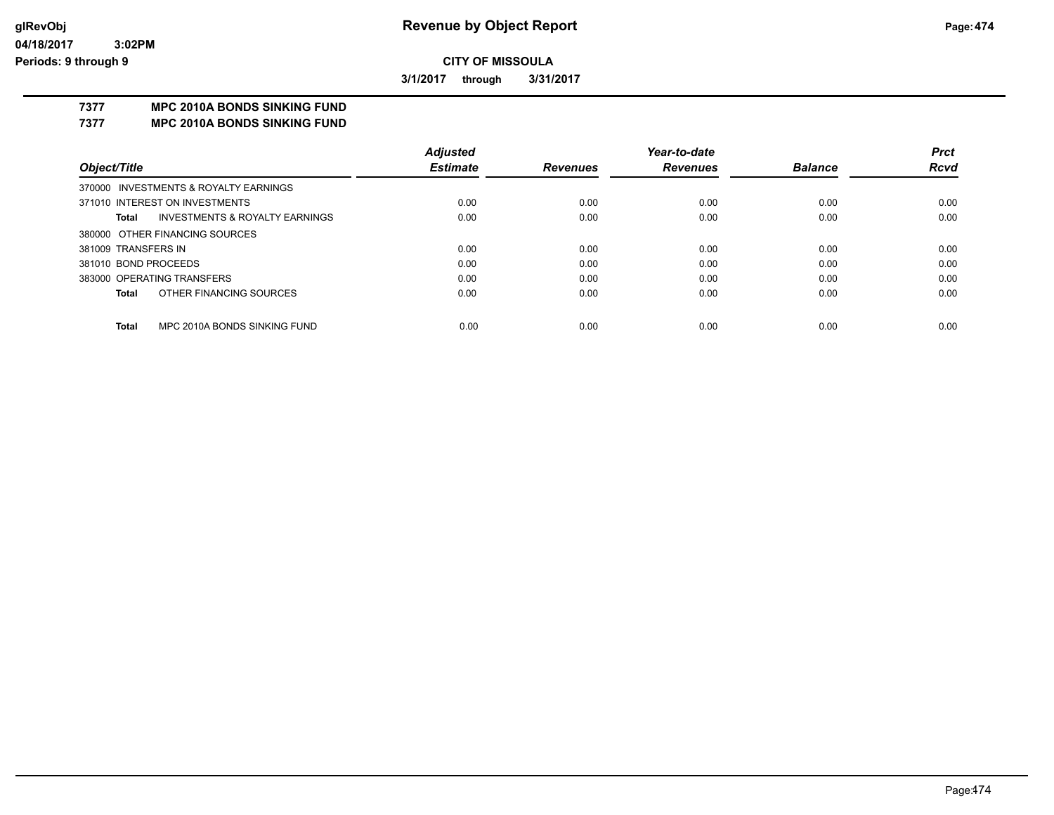**3/1/2017 through 3/31/2017**

## **7377 MPC 2010A BONDS SINKING FUND**

**7377 MPC 2010A BONDS SINKING FUND**

|                                              | <b>Adjusted</b> |                 | Year-to-date    |                | <b>Prct</b> |
|----------------------------------------------|-----------------|-----------------|-----------------|----------------|-------------|
| Object/Title                                 | <b>Estimate</b> | <b>Revenues</b> | <b>Revenues</b> | <b>Balance</b> | <b>Rcvd</b> |
| 370000 INVESTMENTS & ROYALTY EARNINGS        |                 |                 |                 |                |             |
| 371010 INTEREST ON INVESTMENTS               | 0.00            | 0.00            | 0.00            | 0.00           | 0.00        |
| INVESTMENTS & ROYALTY EARNINGS<br>Total      | 0.00            | 0.00            | 0.00            | 0.00           | 0.00        |
| 380000 OTHER FINANCING SOURCES               |                 |                 |                 |                |             |
| 381009 TRANSFERS IN                          | 0.00            | 0.00            | 0.00            | 0.00           | 0.00        |
| 381010 BOND PROCEEDS                         | 0.00            | 0.00            | 0.00            | 0.00           | 0.00        |
| 383000 OPERATING TRANSFERS                   | 0.00            | 0.00            | 0.00            | 0.00           | 0.00        |
| OTHER FINANCING SOURCES<br>Total             | 0.00            | 0.00            | 0.00            | 0.00           | 0.00        |
|                                              |                 |                 |                 |                |             |
| MPC 2010A BONDS SINKING FUND<br><b>Total</b> | 0.00            | 0.00            | 0.00            | 0.00           | 0.00        |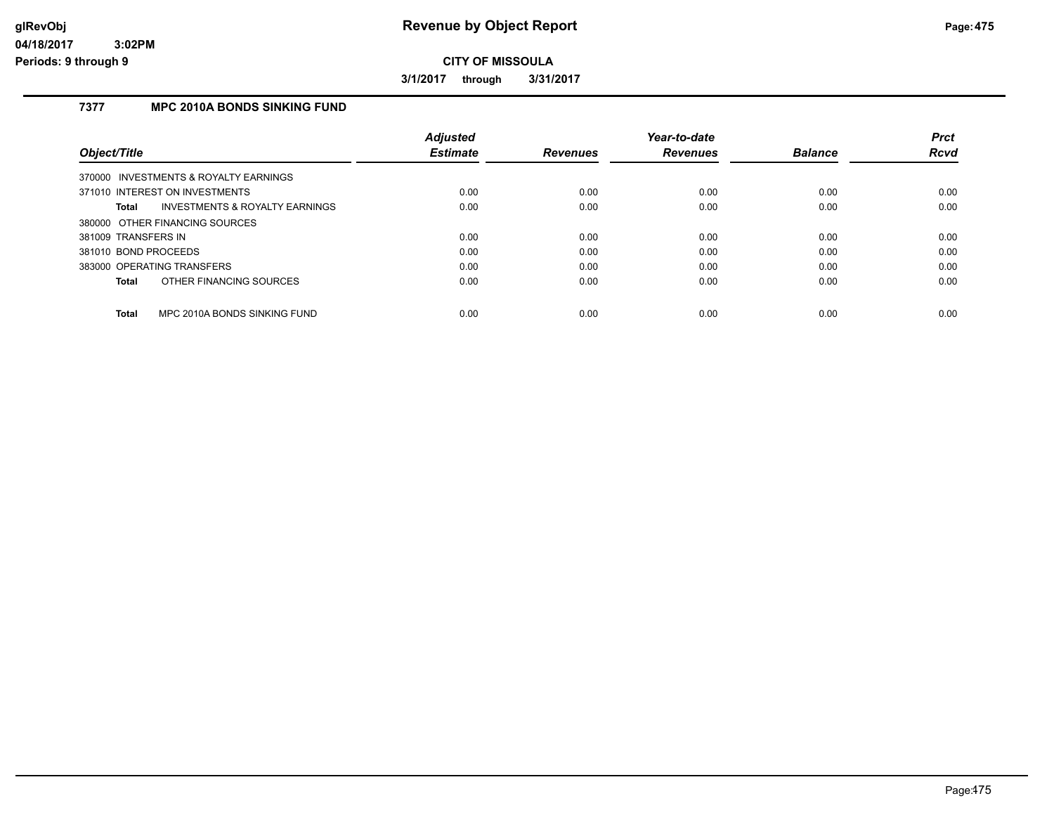**3/1/2017 through 3/31/2017**

## **7377 MPC 2010A BONDS SINKING FUND**

|                                                    | <b>Adjusted</b> |                 | Year-to-date    |                | <b>Prct</b> |
|----------------------------------------------------|-----------------|-----------------|-----------------|----------------|-------------|
| Object/Title                                       | <b>Estimate</b> | <b>Revenues</b> | <b>Revenues</b> | <b>Balance</b> | <b>Rcvd</b> |
| 370000 INVESTMENTS & ROYALTY EARNINGS              |                 |                 |                 |                |             |
| 371010 INTEREST ON INVESTMENTS                     | 0.00            | 0.00            | 0.00            | 0.00           | 0.00        |
| <b>INVESTMENTS &amp; ROYALTY EARNINGS</b><br>Total | 0.00            | 0.00            | 0.00            | 0.00           | 0.00        |
| 380000 OTHER FINANCING SOURCES                     |                 |                 |                 |                |             |
| 381009 TRANSFERS IN                                | 0.00            | 0.00            | 0.00            | 0.00           | 0.00        |
| 381010 BOND PROCEEDS                               | 0.00            | 0.00            | 0.00            | 0.00           | 0.00        |
| 383000 OPERATING TRANSFERS                         | 0.00            | 0.00            | 0.00            | 0.00           | 0.00        |
| Total<br>OTHER FINANCING SOURCES                   | 0.00            | 0.00            | 0.00            | 0.00           | 0.00        |
| MPC 2010A BONDS SINKING FUND<br><b>Total</b>       | 0.00            | 0.00            | 0.00            | 0.00           | 0.00        |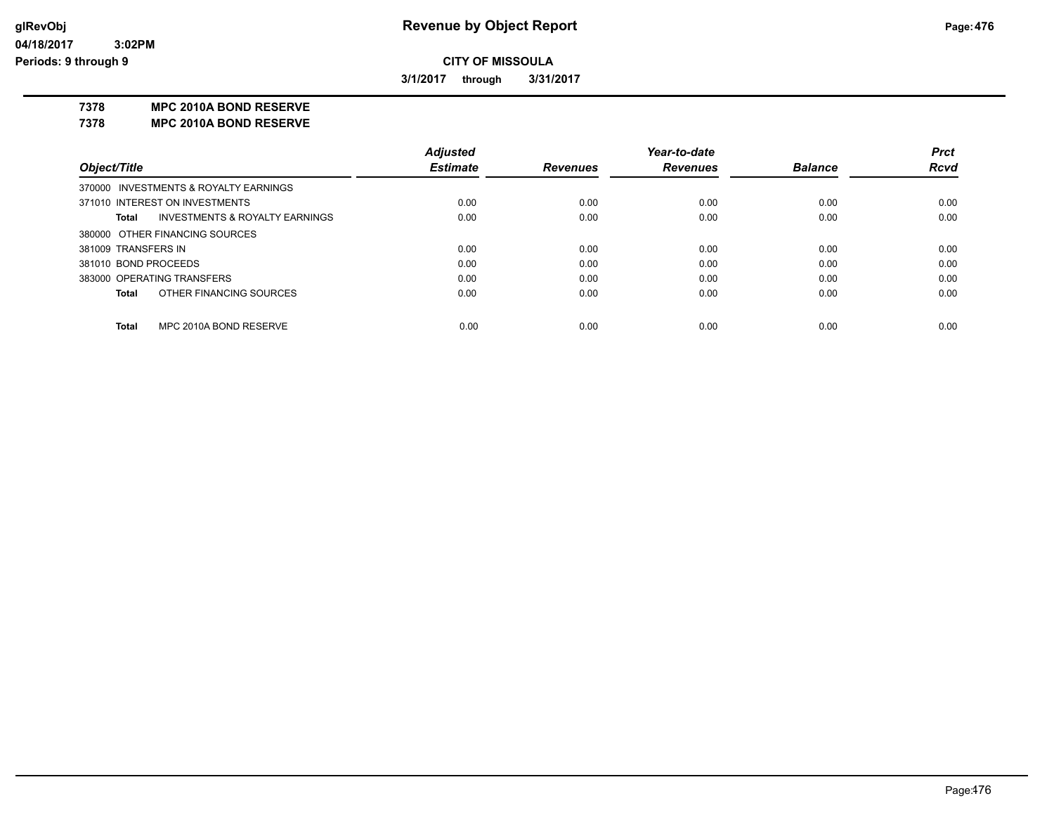**3/1/2017 through 3/31/2017**

**7378 MPC 2010A BOND RESERVE**

**7378 MPC 2010A BOND RESERVE**

|                                         | <b>Adjusted</b> |                 | Year-to-date    |                | <b>Prct</b> |
|-----------------------------------------|-----------------|-----------------|-----------------|----------------|-------------|
| Object/Title                            | <b>Estimate</b> | <b>Revenues</b> | <b>Revenues</b> | <b>Balance</b> | <b>Rcvd</b> |
| 370000 INVESTMENTS & ROYALTY EARNINGS   |                 |                 |                 |                |             |
| 371010 INTEREST ON INVESTMENTS          | 0.00            | 0.00            | 0.00            | 0.00           | 0.00        |
| INVESTMENTS & ROYALTY EARNINGS<br>Total | 0.00            | 0.00            | 0.00            | 0.00           | 0.00        |
| 380000 OTHER FINANCING SOURCES          |                 |                 |                 |                |             |
| 381009 TRANSFERS IN                     | 0.00            | 0.00            | 0.00            | 0.00           | 0.00        |
| 381010 BOND PROCEEDS                    | 0.00            | 0.00            | 0.00            | 0.00           | 0.00        |
| 383000 OPERATING TRANSFERS              | 0.00            | 0.00            | 0.00            | 0.00           | 0.00        |
| OTHER FINANCING SOURCES<br>Total        | 0.00            | 0.00            | 0.00            | 0.00           | 0.00        |
| MPC 2010A BOND RESERVE<br><b>Total</b>  | 0.00            | 0.00            | 0.00            | 0.00           | 0.00        |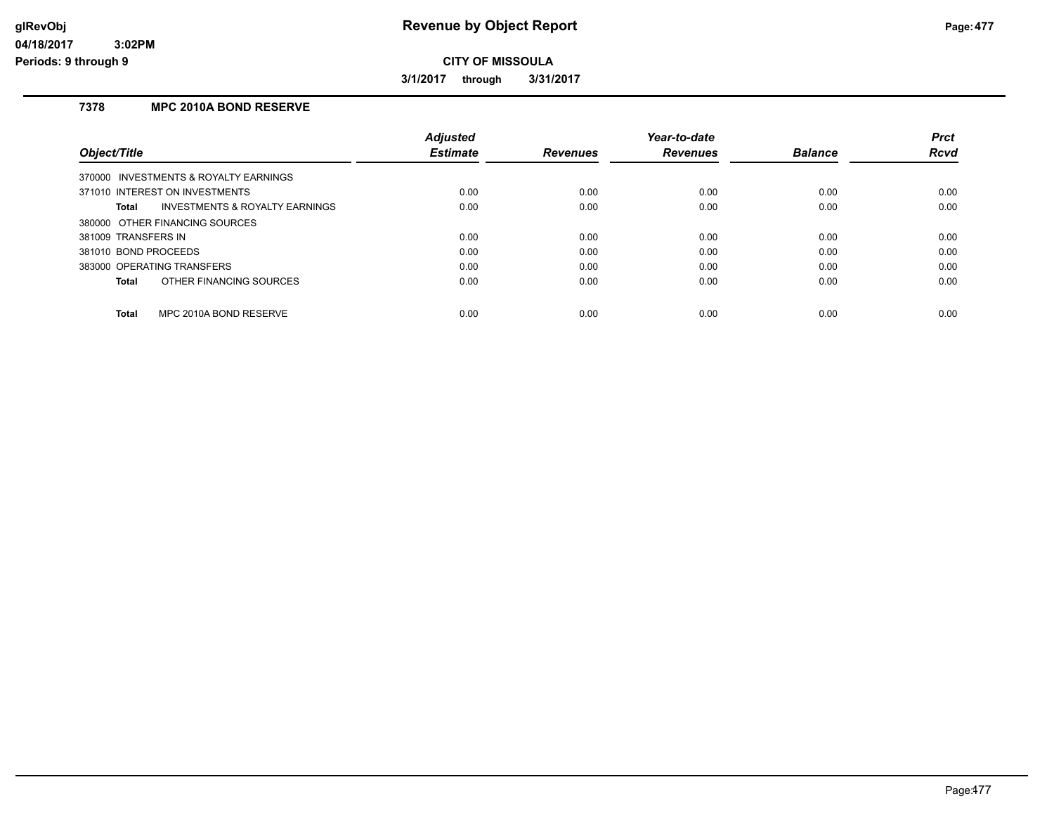**3/1/2017 through 3/31/2017**

## **7378 MPC 2010A BOND RESERVE**

|                                                    | <b>Adiusted</b> |                 | Year-to-date    |                | <b>Prct</b> |
|----------------------------------------------------|-----------------|-----------------|-----------------|----------------|-------------|
| Object/Title                                       | <b>Estimate</b> | <b>Revenues</b> | <b>Revenues</b> | <b>Balance</b> | <b>Rcvd</b> |
| 370000 INVESTMENTS & ROYALTY EARNINGS              |                 |                 |                 |                |             |
| 371010 INTEREST ON INVESTMENTS                     | 0.00            | 0.00            | 0.00            | 0.00           | 0.00        |
| <b>INVESTMENTS &amp; ROYALTY EARNINGS</b><br>Total | 0.00            | 0.00            | 0.00            | 0.00           | 0.00        |
| 380000 OTHER FINANCING SOURCES                     |                 |                 |                 |                |             |
| 381009 TRANSFERS IN                                | 0.00            | 0.00            | 0.00            | 0.00           | 0.00        |
| 381010 BOND PROCEEDS                               | 0.00            | 0.00            | 0.00            | 0.00           | 0.00        |
| 383000 OPERATING TRANSFERS                         | 0.00            | 0.00            | 0.00            | 0.00           | 0.00        |
| OTHER FINANCING SOURCES<br>Total                   | 0.00            | 0.00            | 0.00            | 0.00           | 0.00        |
|                                                    |                 |                 |                 |                |             |
| MPC 2010A BOND RESERVE<br>Total                    | 0.00            | 0.00            | 0.00            | 0.00           | 0.00        |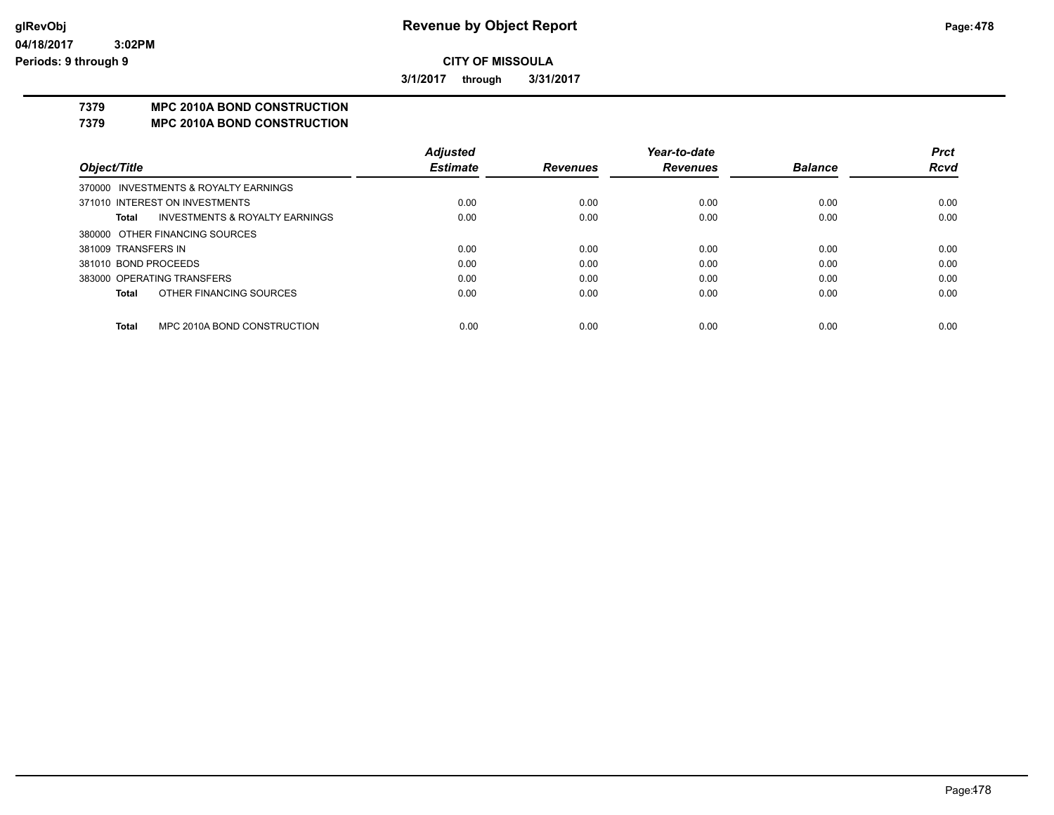**3/1/2017 through 3/31/2017**

## **7379 MPC 2010A BOND CONSTRUCTION**

## **7379 MPC 2010A BOND CONSTRUCTION**

|                                                    | <b>Adjusted</b> |                 | Year-to-date    |                | <b>Prct</b> |
|----------------------------------------------------|-----------------|-----------------|-----------------|----------------|-------------|
| Object/Title                                       | <b>Estimate</b> | <b>Revenues</b> | <b>Revenues</b> | <b>Balance</b> | <b>Rcvd</b> |
| 370000 INVESTMENTS & ROYALTY EARNINGS              |                 |                 |                 |                |             |
| 371010 INTEREST ON INVESTMENTS                     | 0.00            | 0.00            | 0.00            | 0.00           | 0.00        |
| <b>INVESTMENTS &amp; ROYALTY EARNINGS</b><br>Total | 0.00            | 0.00            | 0.00            | 0.00           | 0.00        |
| 380000 OTHER FINANCING SOURCES                     |                 |                 |                 |                |             |
| 381009 TRANSFERS IN                                | 0.00            | 0.00            | 0.00            | 0.00           | 0.00        |
| 381010 BOND PROCEEDS                               | 0.00            | 0.00            | 0.00            | 0.00           | 0.00        |
| 383000 OPERATING TRANSFERS                         | 0.00            | 0.00            | 0.00            | 0.00           | 0.00        |
| OTHER FINANCING SOURCES<br>Total                   | 0.00            | 0.00            | 0.00            | 0.00           | 0.00        |
| MPC 2010A BOND CONSTRUCTION<br><b>Total</b>        | 0.00            | 0.00            | 0.00            | 0.00           | 0.00        |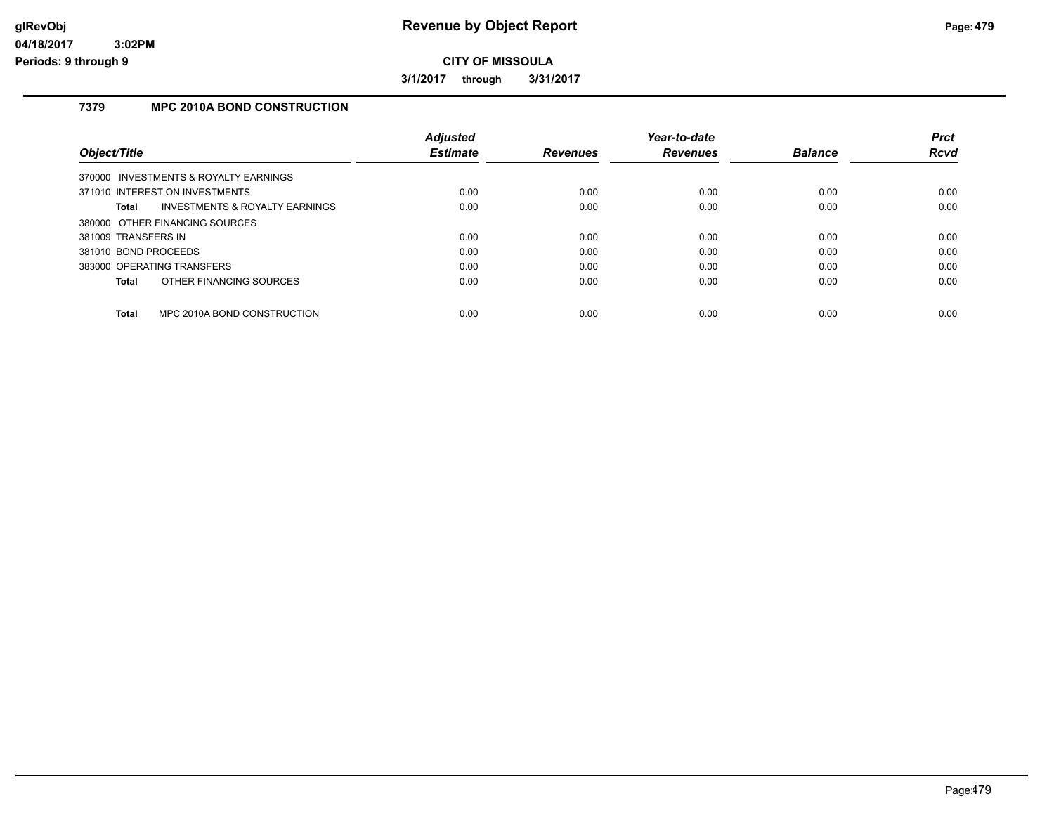**3/1/2017 through 3/31/2017**

## **7379 MPC 2010A BOND CONSTRUCTION**

|                                             | <b>Adiusted</b> |                 | Year-to-date    |                | <b>Prct</b> |
|---------------------------------------------|-----------------|-----------------|-----------------|----------------|-------------|
| Object/Title                                | <b>Estimate</b> | <b>Revenues</b> | <b>Revenues</b> | <b>Balance</b> | <b>Rcvd</b> |
| 370000 INVESTMENTS & ROYALTY EARNINGS       |                 |                 |                 |                |             |
| 371010 INTEREST ON INVESTMENTS              | 0.00            | 0.00            | 0.00            | 0.00           | 0.00        |
| INVESTMENTS & ROYALTY EARNINGS<br>Total     | 0.00            | 0.00            | 0.00            | 0.00           | 0.00        |
| 380000 OTHER FINANCING SOURCES              |                 |                 |                 |                |             |
| 381009 TRANSFERS IN                         | 0.00            | 0.00            | 0.00            | 0.00           | 0.00        |
| 381010 BOND PROCEEDS                        | 0.00            | 0.00            | 0.00            | 0.00           | 0.00        |
| 383000 OPERATING TRANSFERS                  | 0.00            | 0.00            | 0.00            | 0.00           | 0.00        |
| <b>Total</b><br>OTHER FINANCING SOURCES     | 0.00            | 0.00            | 0.00            | 0.00           | 0.00        |
| MPC 2010A BOND CONSTRUCTION<br><b>Total</b> | 0.00            | 0.00            | 0.00            | 0.00           | 0.00        |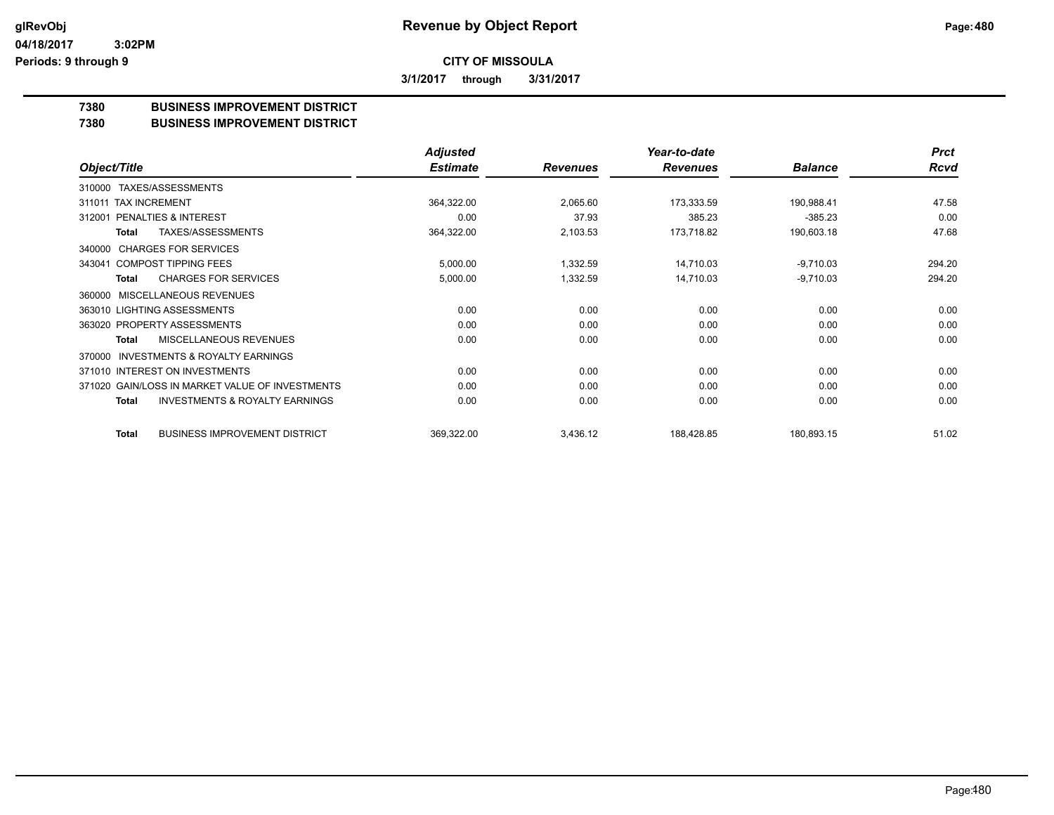**3/1/2017 through 3/31/2017**

## **7380 BUSINESS IMPROVEMENT DISTRICT**

## **7380 BUSINESS IMPROVEMENT DISTRICT**

|                                                           | <b>Adjusted</b> |                 | Year-to-date    |                | <b>Prct</b> |
|-----------------------------------------------------------|-----------------|-----------------|-----------------|----------------|-------------|
| Object/Title                                              | <b>Estimate</b> | <b>Revenues</b> | <b>Revenues</b> | <b>Balance</b> | <b>Rcvd</b> |
| TAXES/ASSESSMENTS<br>310000                               |                 |                 |                 |                |             |
| <b>TAX INCREMENT</b><br>311011                            | 364,322.00      | 2,065.60        | 173,333.59      | 190,988.41     | 47.58       |
| PENALTIES & INTEREST<br>312001                            | 0.00            | 37.93           | 385.23          | $-385.23$      | 0.00        |
| TAXES/ASSESSMENTS<br><b>Total</b>                         | 364,322.00      | 2,103.53        | 173,718.82      | 190,603.18     | 47.68       |
| <b>CHARGES FOR SERVICES</b><br>340000                     |                 |                 |                 |                |             |
| <b>COMPOST TIPPING FEES</b><br>343041                     | 5,000.00        | 1,332.59        | 14,710.03       | $-9,710.03$    | 294.20      |
| <b>CHARGES FOR SERVICES</b><br>Total                      | 5,000.00        | 1,332.59        | 14,710.03       | $-9,710.03$    | 294.20      |
| MISCELLANEOUS REVENUES<br>360000                          |                 |                 |                 |                |             |
| 363010 LIGHTING ASSESSMENTS                               | 0.00            | 0.00            | 0.00            | 0.00           | 0.00        |
| 363020 PROPERTY ASSESSMENTS                               | 0.00            | 0.00            | 0.00            | 0.00           | 0.00        |
| <b>MISCELLANEOUS REVENUES</b><br><b>Total</b>             | 0.00            | 0.00            | 0.00            | 0.00           | 0.00        |
| <b>INVESTMENTS &amp; ROYALTY EARNINGS</b><br>370000       |                 |                 |                 |                |             |
| 371010 INTEREST ON INVESTMENTS                            | 0.00            | 0.00            | 0.00            | 0.00           | 0.00        |
| 371020 GAIN/LOSS IN MARKET VALUE OF INVESTMENTS           | 0.00            | 0.00            | 0.00            | 0.00           | 0.00        |
| <b>INVESTMENTS &amp; ROYALTY EARNINGS</b><br><b>Total</b> | 0.00            | 0.00            | 0.00            | 0.00           | 0.00        |
| <b>BUSINESS IMPROVEMENT DISTRICT</b><br><b>Total</b>      | 369,322.00      | 3,436.12        | 188,428.85      | 180,893.15     | 51.02       |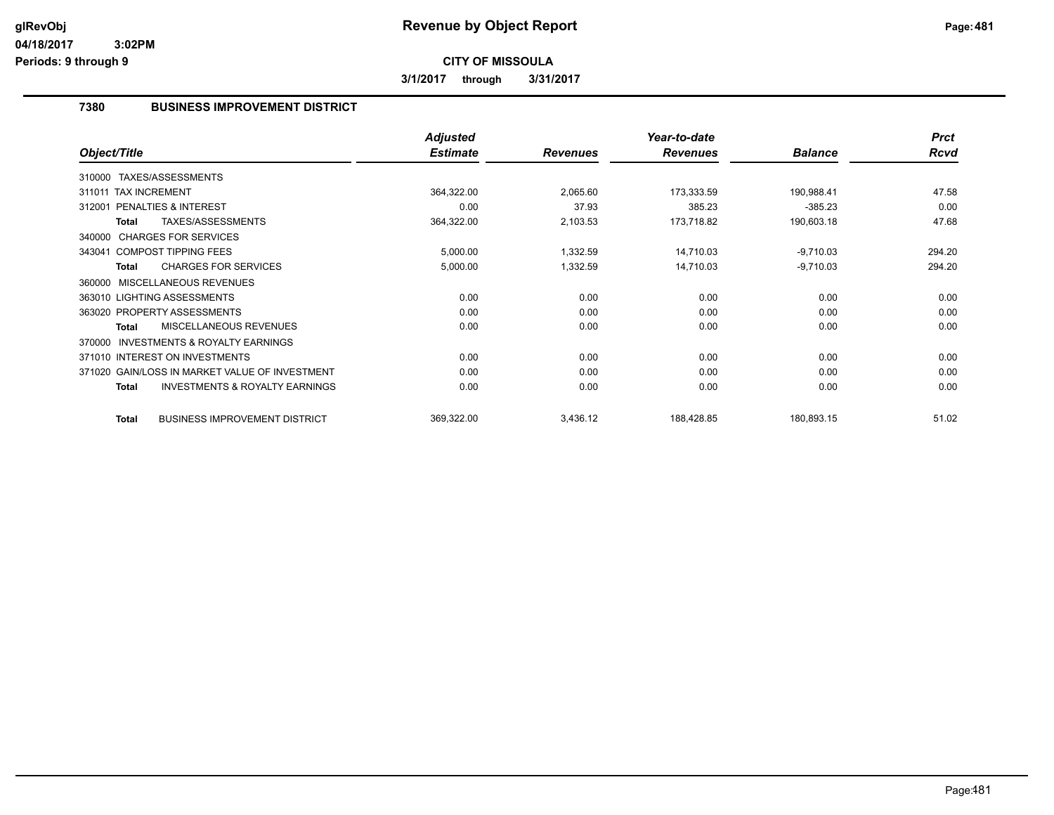**3/1/2017 through 3/31/2017**

## **7380 BUSINESS IMPROVEMENT DISTRICT**

|                                                           | <b>Adjusted</b> |                 | Year-to-date    |                | <b>Prct</b> |
|-----------------------------------------------------------|-----------------|-----------------|-----------------|----------------|-------------|
| Object/Title                                              | <b>Estimate</b> | <b>Revenues</b> | <b>Revenues</b> | <b>Balance</b> | <b>Rcvd</b> |
| 310000 TAXES/ASSESSMENTS                                  |                 |                 |                 |                |             |
| <b>TAX INCREMENT</b><br>311011                            | 364,322.00      | 2,065.60        | 173,333.59      | 190,988.41     | 47.58       |
| PENALTIES & INTEREST<br>312001                            | 0.00            | 37.93           | 385.23          | $-385.23$      | 0.00        |
| TAXES/ASSESSMENTS<br><b>Total</b>                         | 364,322.00      | 2,103.53        | 173,718.82      | 190,603.18     | 47.68       |
| 340000 CHARGES FOR SERVICES                               |                 |                 |                 |                |             |
| <b>COMPOST TIPPING FEES</b><br>343041                     | 5,000.00        | 1,332.59        | 14,710.03       | $-9,710.03$    | 294.20      |
| <b>CHARGES FOR SERVICES</b><br>Total                      | 5,000.00        | 1,332.59        | 14,710.03       | $-9,710.03$    | 294.20      |
| 360000 MISCELLANEOUS REVENUES                             |                 |                 |                 |                |             |
| 363010 LIGHTING ASSESSMENTS                               | 0.00            | 0.00            | 0.00            | 0.00           | 0.00        |
| 363020 PROPERTY ASSESSMENTS                               | 0.00            | 0.00            | 0.00            | 0.00           | 0.00        |
| MISCELLANEOUS REVENUES<br>Total                           | 0.00            | 0.00            | 0.00            | 0.00           | 0.00        |
| <b>INVESTMENTS &amp; ROYALTY EARNINGS</b><br>370000       |                 |                 |                 |                |             |
| 371010 INTEREST ON INVESTMENTS                            | 0.00            | 0.00            | 0.00            | 0.00           | 0.00        |
| 371020 GAIN/LOSS IN MARKET VALUE OF INVESTMENT            | 0.00            | 0.00            | 0.00            | 0.00           | 0.00        |
| <b>INVESTMENTS &amp; ROYALTY EARNINGS</b><br><b>Total</b> | 0.00            | 0.00            | 0.00            | 0.00           | 0.00        |
| <b>BUSINESS IMPROVEMENT DISTRICT</b><br>Total             | 369,322.00      | 3,436.12        | 188,428.85      | 180,893.15     | 51.02       |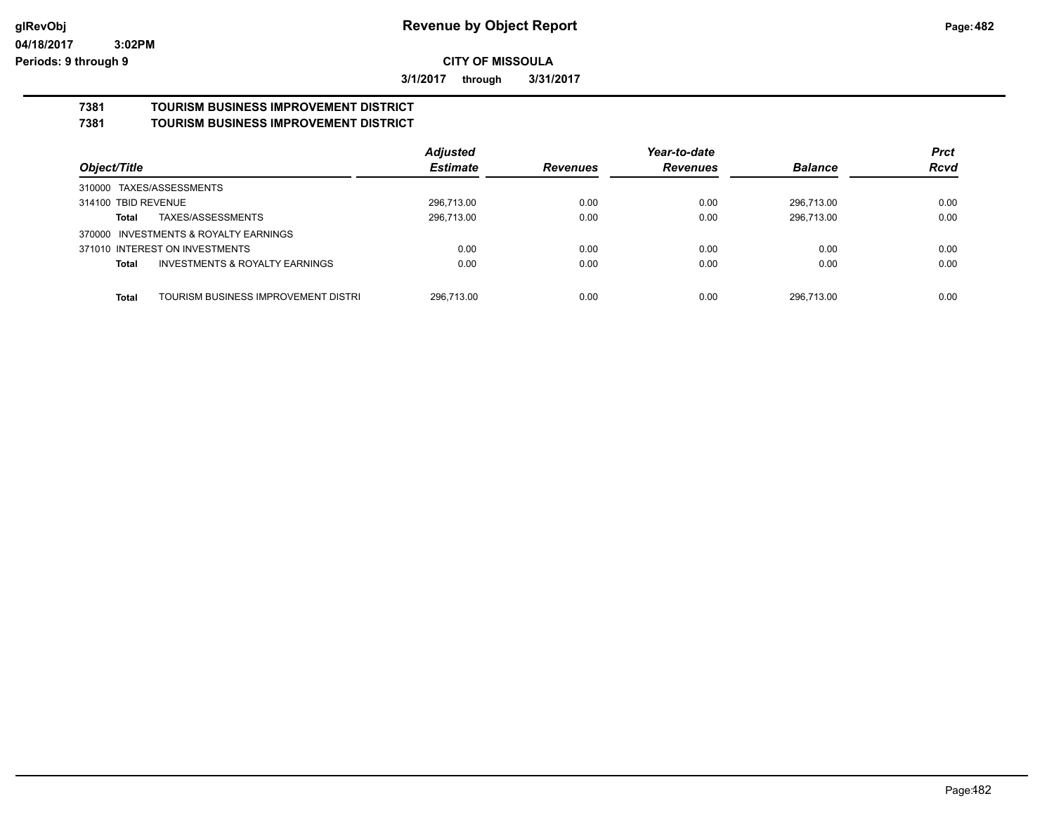**3/1/2017 through 3/31/2017**

## **7381 TOURISM BUSINESS IMPROVEMENT DISTRICT 7381 TOURISM BUSINESS IMPROVEMENT DISTRICT**

| Object/Title                                        | <b>Adjusted</b><br><b>Estimate</b> | <b>Revenues</b> | Year-to-date<br><b>Revenues</b> | <b>Balance</b> | <b>Prct</b><br><b>Rcvd</b> |
|-----------------------------------------------------|------------------------------------|-----------------|---------------------------------|----------------|----------------------------|
| 310000 TAXES/ASSESSMENTS                            |                                    |                 |                                 |                |                            |
| 314100 TBID REVENUE                                 | 296,713.00                         | 0.00            | 0.00                            | 296,713.00     | 0.00                       |
| TAXES/ASSESSMENTS<br>Total                          | 296,713.00                         | 0.00            | 0.00                            | 296,713.00     | 0.00                       |
| 370000 INVESTMENTS & ROYALTY EARNINGS               |                                    |                 |                                 |                |                            |
| 371010 INTEREST ON INVESTMENTS                      | 0.00                               | 0.00            | 0.00                            | 0.00           | 0.00                       |
| <b>INVESTMENTS &amp; ROYALTY EARNINGS</b><br>Total  | 0.00                               | 0.00            | 0.00                            | 0.00           | 0.00                       |
|                                                     |                                    |                 |                                 |                |                            |
| TOURISM BUSINESS IMPROVEMENT DISTRI<br><b>Total</b> | 296.713.00                         | 0.00            | 0.00                            | 296.713.00     | 0.00                       |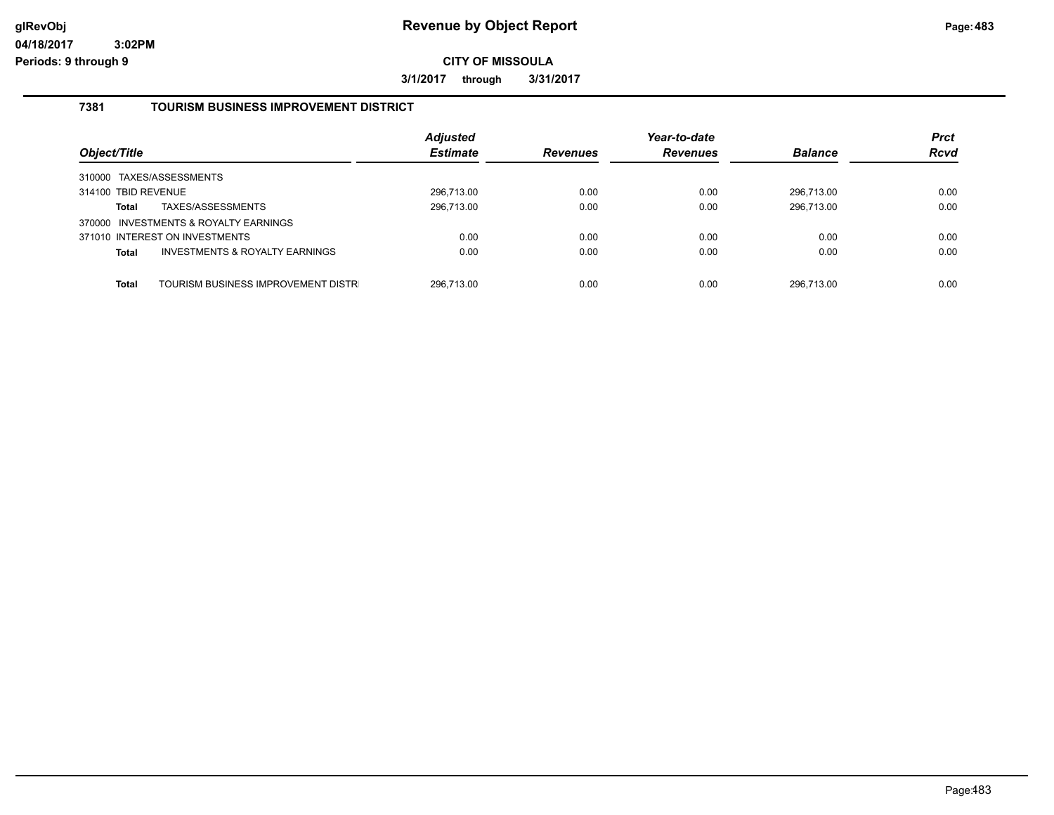**3/1/2017 through 3/31/2017**

## **7381 TOURISM BUSINESS IMPROVEMENT DISTRICT**

| Object/Title        |                                           | <b>Adjusted</b><br><b>Estimate</b> | <b>Revenues</b> | Year-to-date<br><b>Revenues</b> | <b>Balance</b> | <b>Prct</b><br><b>Rcvd</b> |
|---------------------|-------------------------------------------|------------------------------------|-----------------|---------------------------------|----------------|----------------------------|
|                     | 310000 TAXES/ASSESSMENTS                  |                                    |                 |                                 |                |                            |
| 314100 TBID REVENUE |                                           | 296.713.00                         | 0.00            | 0.00                            | 296.713.00     | 0.00                       |
| Total               | TAXES/ASSESSMENTS                         | 296,713.00                         | 0.00            | 0.00                            | 296,713.00     | 0.00                       |
|                     | 370000 INVESTMENTS & ROYALTY EARNINGS     |                                    |                 |                                 |                |                            |
|                     | 371010 INTEREST ON INVESTMENTS            | 0.00                               | 0.00            | 0.00                            | 0.00           | 0.00                       |
| Total               | <b>INVESTMENTS &amp; ROYALTY EARNINGS</b> | 0.00                               | 0.00            | 0.00                            | 0.00           | 0.00                       |
|                     |                                           |                                    |                 |                                 |                |                            |
| Total               | TOURISM BUSINESS IMPROVEMENT DISTR        | 296.713.00                         | 0.00            | 0.00                            | 296.713.00     | 0.00                       |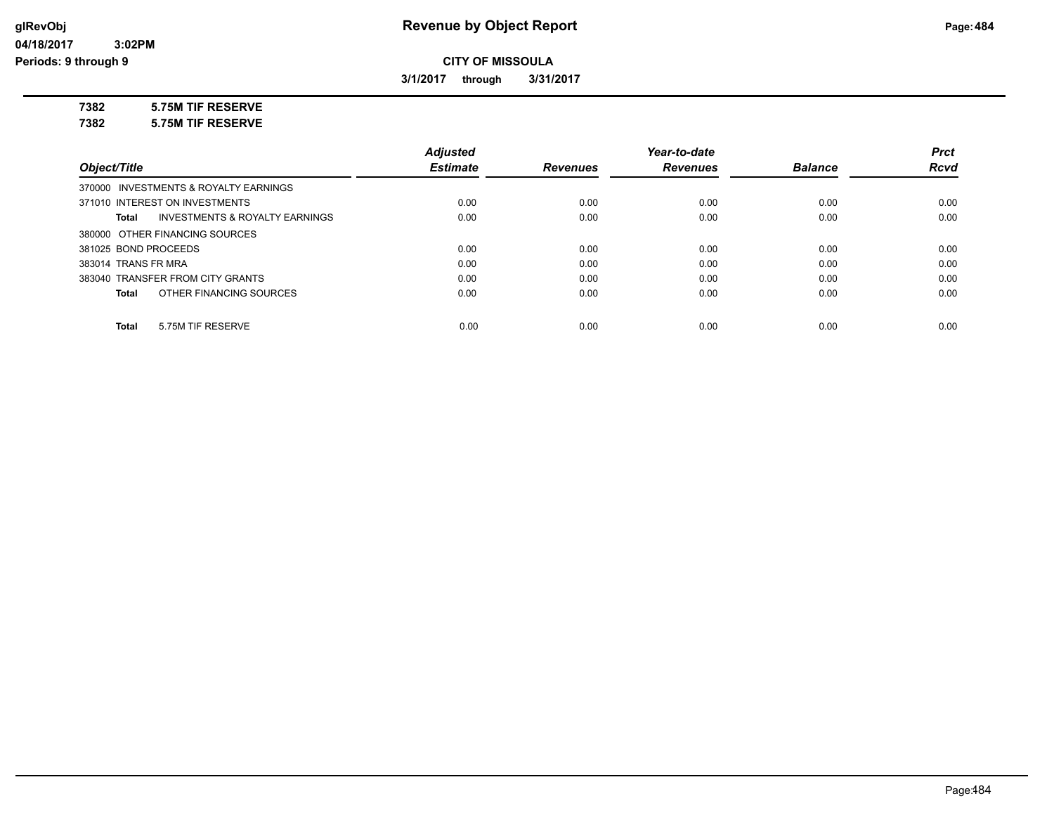**3/1/2017 through 3/31/2017**

**7382 5.75M TIF RESERVE**

|                                         | <b>Adjusted</b> |                 | Year-to-date    |                | <b>Prct</b> |
|-----------------------------------------|-----------------|-----------------|-----------------|----------------|-------------|
| Object/Title                            | <b>Estimate</b> | <b>Revenues</b> | <b>Revenues</b> | <b>Balance</b> | <b>Rcvd</b> |
| 370000 INVESTMENTS & ROYALTY EARNINGS   |                 |                 |                 |                |             |
| 371010 INTEREST ON INVESTMENTS          | 0.00            | 0.00            | 0.00            | 0.00           | 0.00        |
| INVESTMENTS & ROYALTY EARNINGS<br>Total | 0.00            | 0.00            | 0.00            | 0.00           | 0.00        |
| 380000 OTHER FINANCING SOURCES          |                 |                 |                 |                |             |
| 381025 BOND PROCEEDS                    | 0.00            | 0.00            | 0.00            | 0.00           | 0.00        |
| 383014 TRANS FR MRA                     | 0.00            | 0.00            | 0.00            | 0.00           | 0.00        |
| 383040 TRANSFER FROM CITY GRANTS        | 0.00            | 0.00            | 0.00            | 0.00           | 0.00        |
| OTHER FINANCING SOURCES<br>Total        | 0.00            | 0.00            | 0.00            | 0.00           | 0.00        |
| 5.75M TIF RESERVE<br><b>Total</b>       | 0.00            | 0.00            | 0.00            | 0.00           | 0.00        |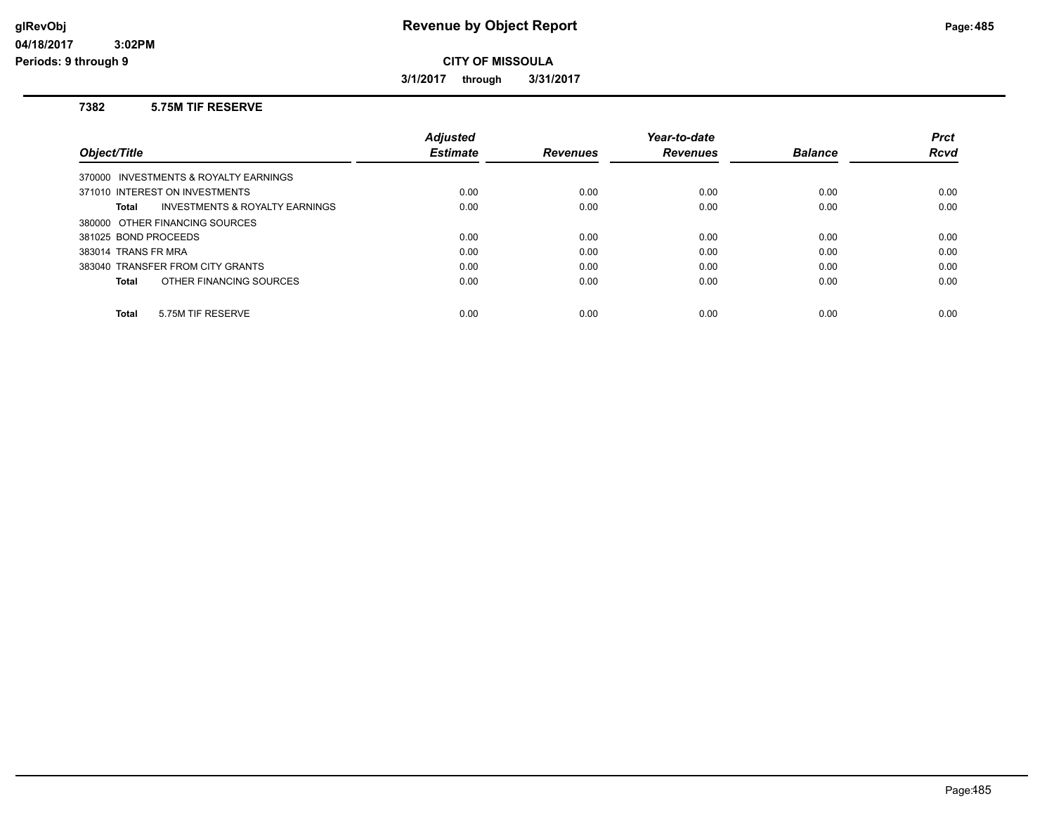**3/1/2017 through 3/31/2017**

#### **7382 5.75M TIF RESERVE**

|                                                | <b>Adiusted</b> |                 | Year-to-date    |                | <b>Prct</b> |
|------------------------------------------------|-----------------|-----------------|-----------------|----------------|-------------|
| Object/Title                                   | <b>Estimate</b> | <b>Revenues</b> | <b>Revenues</b> | <b>Balance</b> | <b>Rcvd</b> |
| 370000 INVESTMENTS & ROYALTY EARNINGS          |                 |                 |                 |                |             |
| 371010 INTEREST ON INVESTMENTS                 | 0.00            | 0.00            | 0.00            | 0.00           | 0.00        |
| INVESTMENTS & ROYALTY EARNINGS<br><b>Total</b> | 0.00            | 0.00            | 0.00            | 0.00           | 0.00        |
| 380000 OTHER FINANCING SOURCES                 |                 |                 |                 |                |             |
| 381025 BOND PROCEEDS                           | 0.00            | 0.00            | 0.00            | 0.00           | 0.00        |
| 383014 TRANS FR MRA                            | 0.00            | 0.00            | 0.00            | 0.00           | 0.00        |
| 383040 TRANSFER FROM CITY GRANTS               | 0.00            | 0.00            | 0.00            | 0.00           | 0.00        |
| OTHER FINANCING SOURCES<br><b>Total</b>        | 0.00            | 0.00            | 0.00            | 0.00           | 0.00        |
|                                                |                 |                 |                 |                |             |
| 5.75M TIF RESERVE<br><b>Total</b>              | 0.00            | 0.00            | 0.00            | 0.00           | 0.00        |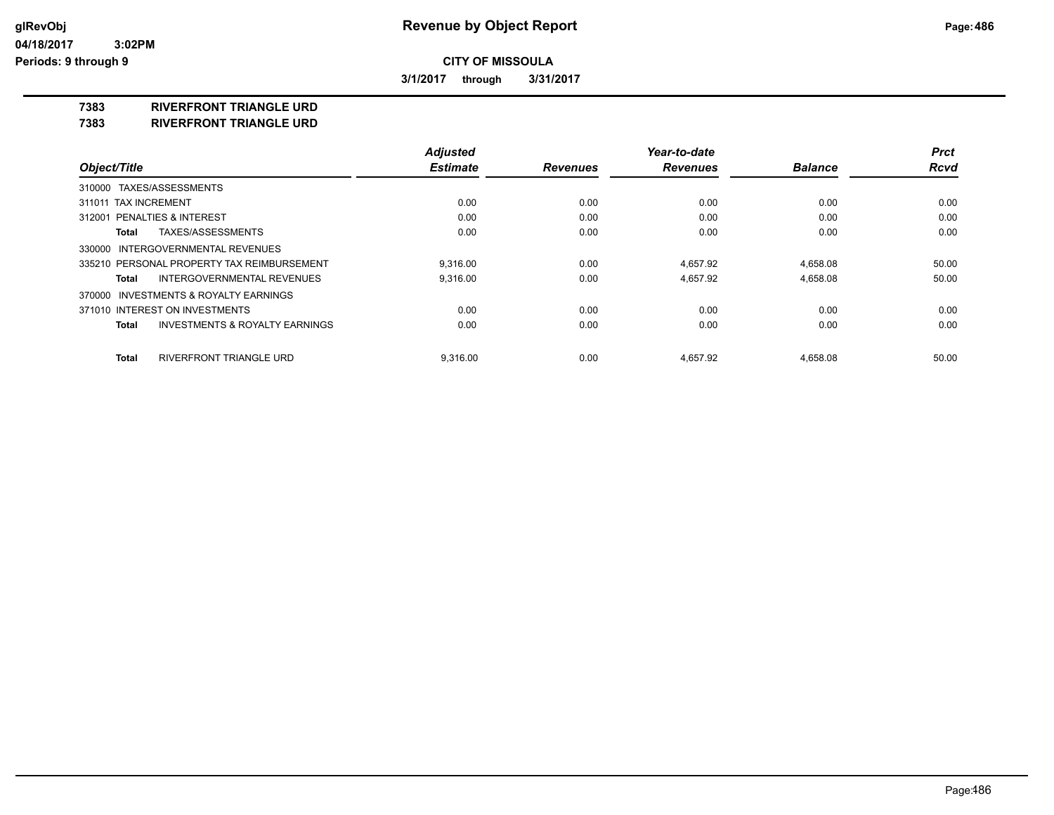**3/1/2017 through 3/31/2017**

**7383 RIVERFRONT TRIANGLE URD**

**7383 RIVERFRONT TRIANGLE URD**

|                                                    | <b>Adjusted</b> |                 | Year-to-date    |                | <b>Prct</b> |
|----------------------------------------------------|-----------------|-----------------|-----------------|----------------|-------------|
| Object/Title                                       | <b>Estimate</b> | <b>Revenues</b> | <b>Revenues</b> | <b>Balance</b> | <b>Rcvd</b> |
| 310000 TAXES/ASSESSMENTS                           |                 |                 |                 |                |             |
| 311011 TAX INCREMENT                               | 0.00            | 0.00            | 0.00            | 0.00           | 0.00        |
| 312001 PENALTIES & INTEREST                        | 0.00            | 0.00            | 0.00            | 0.00           | 0.00        |
| TAXES/ASSESSMENTS<br>Total                         | 0.00            | 0.00            | 0.00            | 0.00           | 0.00        |
| 330000 INTERGOVERNMENTAL REVENUES                  |                 |                 |                 |                |             |
| 335210 PERSONAL PROPERTY TAX REIMBURSEMENT         | 9.316.00        | 0.00            | 4,657.92        | 4,658.08       | 50.00       |
| <b>INTERGOVERNMENTAL REVENUES</b><br>Total         | 9.316.00        | 0.00            | 4,657.92        | 4,658.08       | 50.00       |
| 370000 INVESTMENTS & ROYALTY EARNINGS              |                 |                 |                 |                |             |
| 371010 INTEREST ON INVESTMENTS                     | 0.00            | 0.00            | 0.00            | 0.00           | 0.00        |
| <b>INVESTMENTS &amp; ROYALTY EARNINGS</b><br>Total | 0.00            | 0.00            | 0.00            | 0.00           | 0.00        |
| <b>RIVERFRONT TRIANGLE URD</b><br>Total            | 9.316.00        | 0.00            | 4,657.92        | 4,658.08       | 50.00       |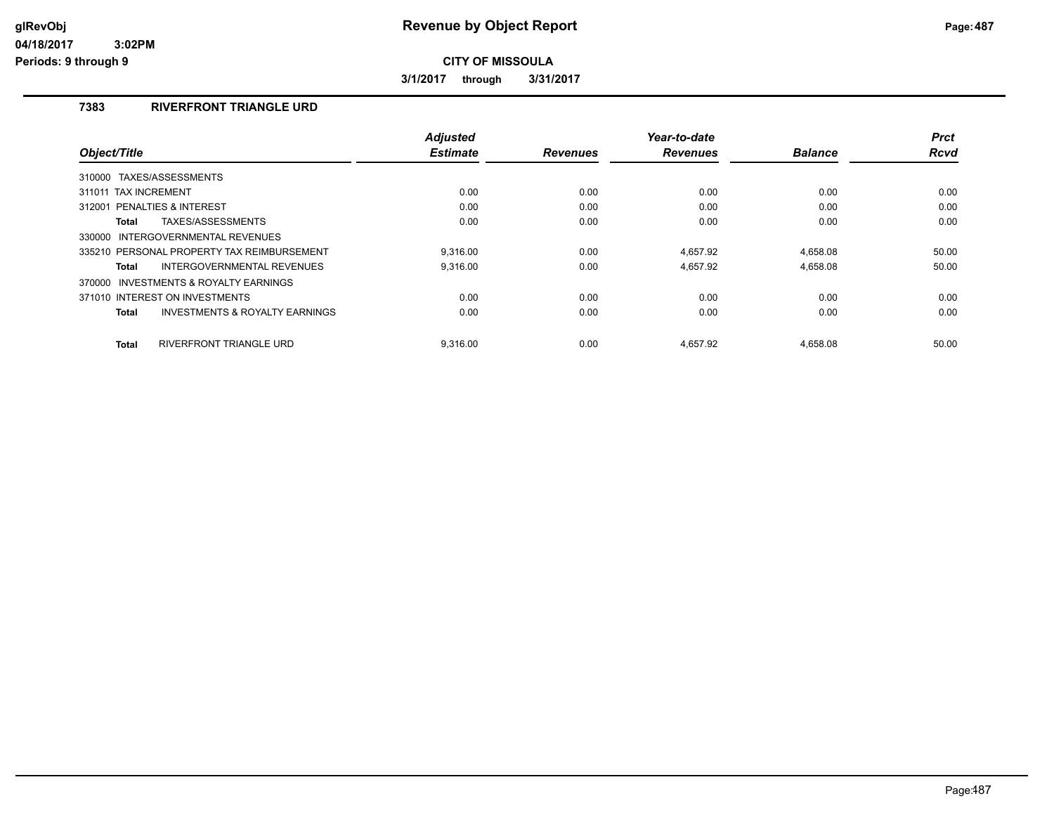**3/1/2017 through 3/31/2017**

## **7383 RIVERFRONT TRIANGLE URD**

| Object/Title                                       | <b>Adjusted</b><br><b>Estimate</b> | <b>Revenues</b> | Year-to-date<br><b>Revenues</b> | <b>Balance</b> | <b>Prct</b><br><b>Rcvd</b> |
|----------------------------------------------------|------------------------------------|-----------------|---------------------------------|----------------|----------------------------|
| 310000 TAXES/ASSESSMENTS                           |                                    |                 |                                 |                |                            |
| 311011 TAX INCREMENT                               | 0.00                               | 0.00            | 0.00                            | 0.00           | 0.00                       |
| 312001 PENALTIES & INTEREST                        | 0.00                               | 0.00            | 0.00                            | 0.00           | 0.00                       |
| TAXES/ASSESSMENTS<br>Total                         | 0.00                               | 0.00            | 0.00                            | 0.00           | 0.00                       |
| 330000 INTERGOVERNMENTAL REVENUES                  |                                    |                 |                                 |                |                            |
| 335210 PERSONAL PROPERTY TAX REIMBURSEMENT         | 9.316.00                           | 0.00            | 4.657.92                        | 4,658.08       | 50.00                      |
| INTERGOVERNMENTAL REVENUES<br><b>Total</b>         | 9,316.00                           | 0.00            | 4,657.92                        | 4,658.08       | 50.00                      |
| 370000 INVESTMENTS & ROYALTY EARNINGS              |                                    |                 |                                 |                |                            |
| 371010 INTEREST ON INVESTMENTS                     | 0.00                               | 0.00            | 0.00                            | 0.00           | 0.00                       |
| <b>INVESTMENTS &amp; ROYALTY EARNINGS</b><br>Total | 0.00                               | 0.00            | 0.00                            | 0.00           | 0.00                       |
| RIVERFRONT TRIANGLE URD<br><b>Total</b>            | 9.316.00                           | 0.00            | 4.657.92                        | 4.658.08       | 50.00                      |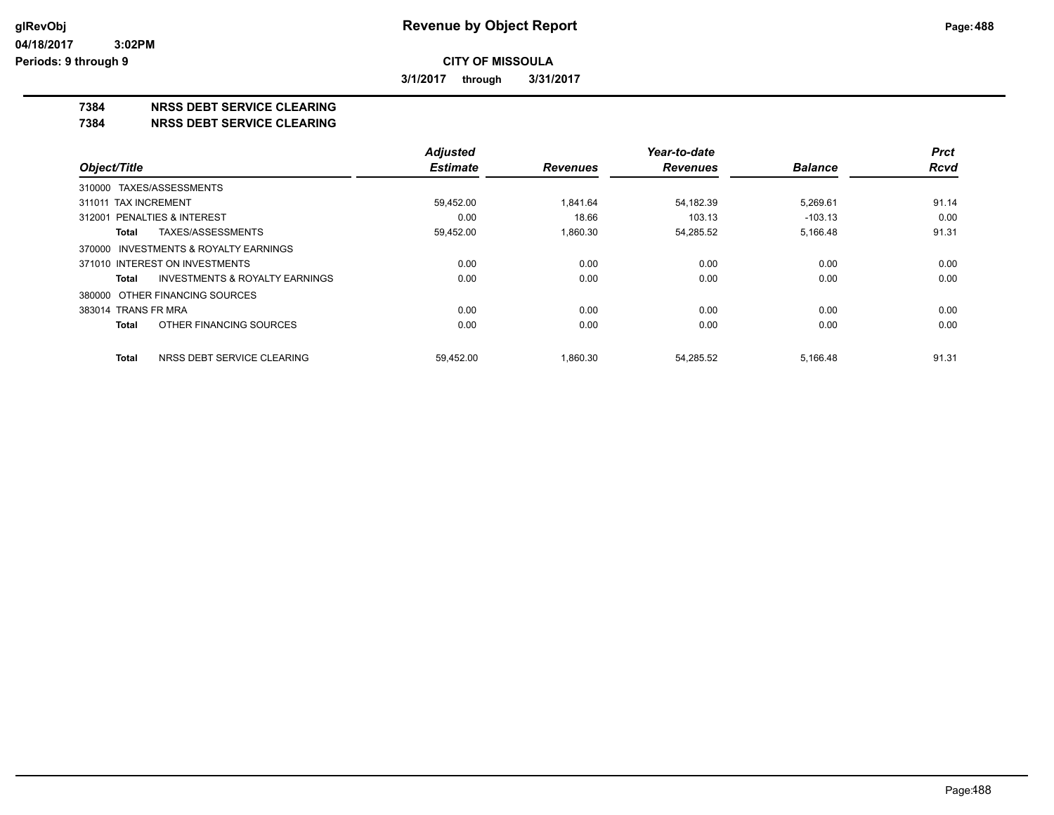**3/1/2017 through 3/31/2017**

**7384 NRSS DEBT SERVICE CLEARING**

**7384 NRSS DEBT SERVICE CLEARING**

|                                                    | <b>Adjusted</b> |                 | Year-to-date    |                | <b>Prct</b> |
|----------------------------------------------------|-----------------|-----------------|-----------------|----------------|-------------|
| Object/Title                                       | <b>Estimate</b> | <b>Revenues</b> | <b>Revenues</b> | <b>Balance</b> | <b>Rcvd</b> |
| 310000 TAXES/ASSESSMENTS                           |                 |                 |                 |                |             |
| 311011 TAX INCREMENT                               | 59,452.00       | 1.841.64        | 54,182.39       | 5,269.61       | 91.14       |
| 312001 PENALTIES & INTEREST                        | 0.00            | 18.66           | 103.13          | $-103.13$      | 0.00        |
| TAXES/ASSESSMENTS<br>Total                         | 59,452.00       | 1,860.30        | 54,285.52       | 5,166.48       | 91.31       |
| 370000 INVESTMENTS & ROYALTY EARNINGS              |                 |                 |                 |                |             |
| 371010 INTEREST ON INVESTMENTS                     | 0.00            | 0.00            | 0.00            | 0.00           | 0.00        |
| <b>INVESTMENTS &amp; ROYALTY EARNINGS</b><br>Total | 0.00            | 0.00            | 0.00            | 0.00           | 0.00        |
| 380000 OTHER FINANCING SOURCES                     |                 |                 |                 |                |             |
| 383014 TRANS FR MRA                                | 0.00            | 0.00            | 0.00            | 0.00           | 0.00        |
| OTHER FINANCING SOURCES<br>Total                   | 0.00            | 0.00            | 0.00            | 0.00           | 0.00        |
| NRSS DEBT SERVICE CLEARING<br>Total                | 59,452.00       | 1.860.30        | 54,285.52       | 5,166.48       | 91.31       |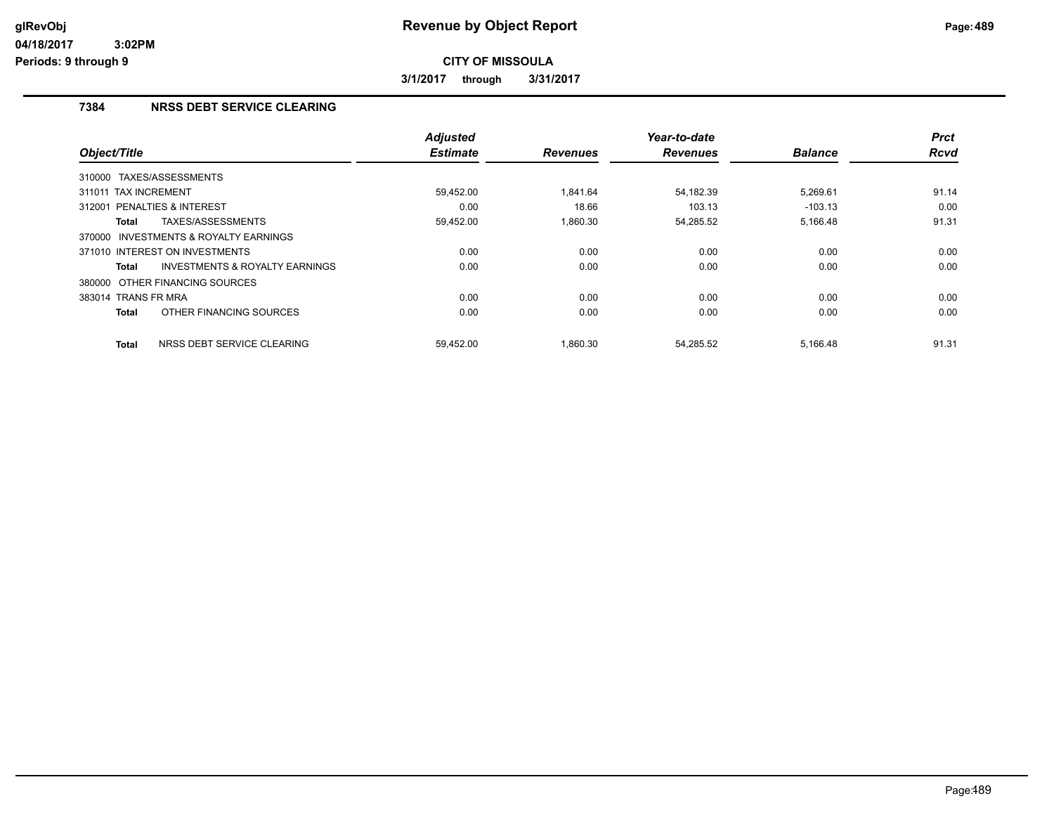**3/1/2017 through 3/31/2017**

## **7384 NRSS DEBT SERVICE CLEARING**

|                                                    | <b>Adjusted</b> |                 | Year-to-date    |                | <b>Prct</b> |
|----------------------------------------------------|-----------------|-----------------|-----------------|----------------|-------------|
| Object/Title                                       | <b>Estimate</b> | <b>Revenues</b> | <b>Revenues</b> | <b>Balance</b> | <b>Rcvd</b> |
| 310000 TAXES/ASSESSMENTS                           |                 |                 |                 |                |             |
| 311011 TAX INCREMENT                               | 59,452.00       | 1.841.64        | 54,182.39       | 5,269.61       | 91.14       |
| 312001 PENALTIES & INTEREST                        | 0.00            | 18.66           | 103.13          | $-103.13$      | 0.00        |
| TAXES/ASSESSMENTS<br><b>Total</b>                  | 59,452.00       | 1,860.30        | 54,285.52       | 5,166.48       | 91.31       |
| 370000 INVESTMENTS & ROYALTY EARNINGS              |                 |                 |                 |                |             |
| 371010 INTEREST ON INVESTMENTS                     | 0.00            | 0.00            | 0.00            | 0.00           | 0.00        |
| <b>INVESTMENTS &amp; ROYALTY EARNINGS</b><br>Total | 0.00            | 0.00            | 0.00            | 0.00           | 0.00        |
| 380000 OTHER FINANCING SOURCES                     |                 |                 |                 |                |             |
| 383014 TRANS FR MRA                                | 0.00            | 0.00            | 0.00            | 0.00           | 0.00        |
| OTHER FINANCING SOURCES<br><b>Total</b>            | 0.00            | 0.00            | 0.00            | 0.00           | 0.00        |
| NRSS DEBT SERVICE CLEARING<br><b>Total</b>         | 59,452.00       | 1.860.30        | 54,285.52       | 5,166.48       | 91.31       |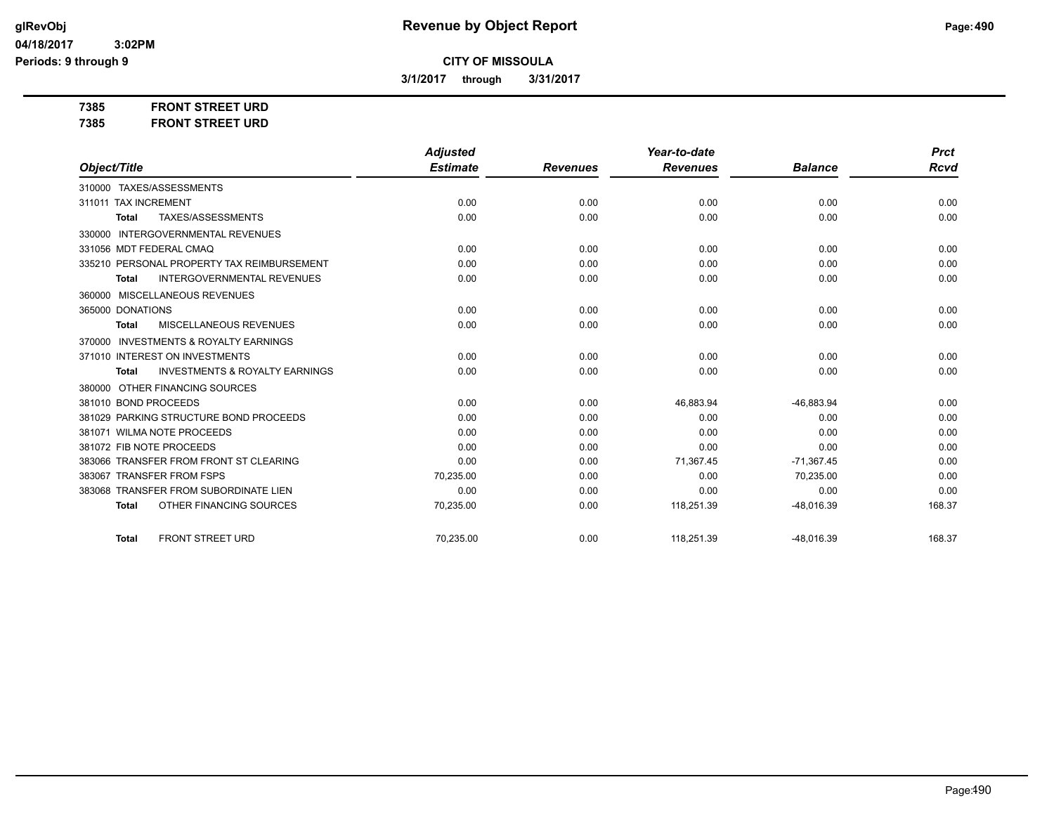**3/1/2017 through 3/31/2017**

**7385 FRONT STREET URD**

| 7385 | <b>FRONT STREET URD</b> |
|------|-------------------------|
|      |                         |

|                                                     | <b>Adjusted</b> |                 | Year-to-date    |                | <b>Prct</b> |
|-----------------------------------------------------|-----------------|-----------------|-----------------|----------------|-------------|
| Object/Title                                        | <b>Estimate</b> | <b>Revenues</b> | <b>Revenues</b> | <b>Balance</b> | <b>Rcvd</b> |
| 310000 TAXES/ASSESSMENTS                            |                 |                 |                 |                |             |
| 311011 TAX INCREMENT                                | 0.00            | 0.00            | 0.00            | 0.00           | 0.00        |
| TAXES/ASSESSMENTS<br><b>Total</b>                   | 0.00            | 0.00            | 0.00            | 0.00           | 0.00        |
| <b>INTERGOVERNMENTAL REVENUES</b><br>330000         |                 |                 |                 |                |             |
| 331056 MDT FEDERAL CMAQ                             | 0.00            | 0.00            | 0.00            | 0.00           | 0.00        |
| 335210 PERSONAL PROPERTY TAX REIMBURSEMENT          | 0.00            | 0.00            | 0.00            | 0.00           | 0.00        |
| <b>INTERGOVERNMENTAL REVENUES</b><br><b>Total</b>   | 0.00            | 0.00            | 0.00            | 0.00           | 0.00        |
| 360000 MISCELLANEOUS REVENUES                       |                 |                 |                 |                |             |
| 365000 DONATIONS                                    | 0.00            | 0.00            | 0.00            | 0.00           | 0.00        |
| <b>MISCELLANEOUS REVENUES</b><br><b>Total</b>       | 0.00            | 0.00            | 0.00            | 0.00           | 0.00        |
| <b>INVESTMENTS &amp; ROYALTY EARNINGS</b><br>370000 |                 |                 |                 |                |             |
| 371010 INTEREST ON INVESTMENTS                      | 0.00            | 0.00            | 0.00            | 0.00           | 0.00        |
| <b>INVESTMENTS &amp; ROYALTY EARNINGS</b><br>Total  | 0.00            | 0.00            | 0.00            | 0.00           | 0.00        |
| OTHER FINANCING SOURCES<br>380000                   |                 |                 |                 |                |             |
| 381010 BOND PROCEEDS                                | 0.00            | 0.00            | 46,883.94       | $-46,883.94$   | 0.00        |
| 381029 PARKING STRUCTURE BOND PROCEEDS              | 0.00            | 0.00            | 0.00            | 0.00           | 0.00        |
| 381071 WILMA NOTE PROCEEDS                          | 0.00            | 0.00            | 0.00            | 0.00           | 0.00        |
| 381072 FIB NOTE PROCEEDS                            | 0.00            | 0.00            | 0.00            | 0.00           | 0.00        |
| 383066 TRANSFER FROM FRONT ST CLEARING              | 0.00            | 0.00            | 71,367.45       | $-71,367.45$   | 0.00        |
| 383067 TRANSFER FROM FSPS                           | 70,235.00       | 0.00            | 0.00            | 70,235.00      | 0.00        |
| 383068 TRANSFER FROM SUBORDINATE LIEN               | 0.00            | 0.00            | 0.00            | 0.00           | 0.00        |
| OTHER FINANCING SOURCES<br><b>Total</b>             | 70,235.00       | 0.00            | 118,251.39      | -48,016.39     | 168.37      |
| <b>FRONT STREET URD</b>                             | 70,235.00       | 0.00            | 118,251.39      | $-48,016.39$   | 168.37      |
| Total                                               |                 |                 |                 |                |             |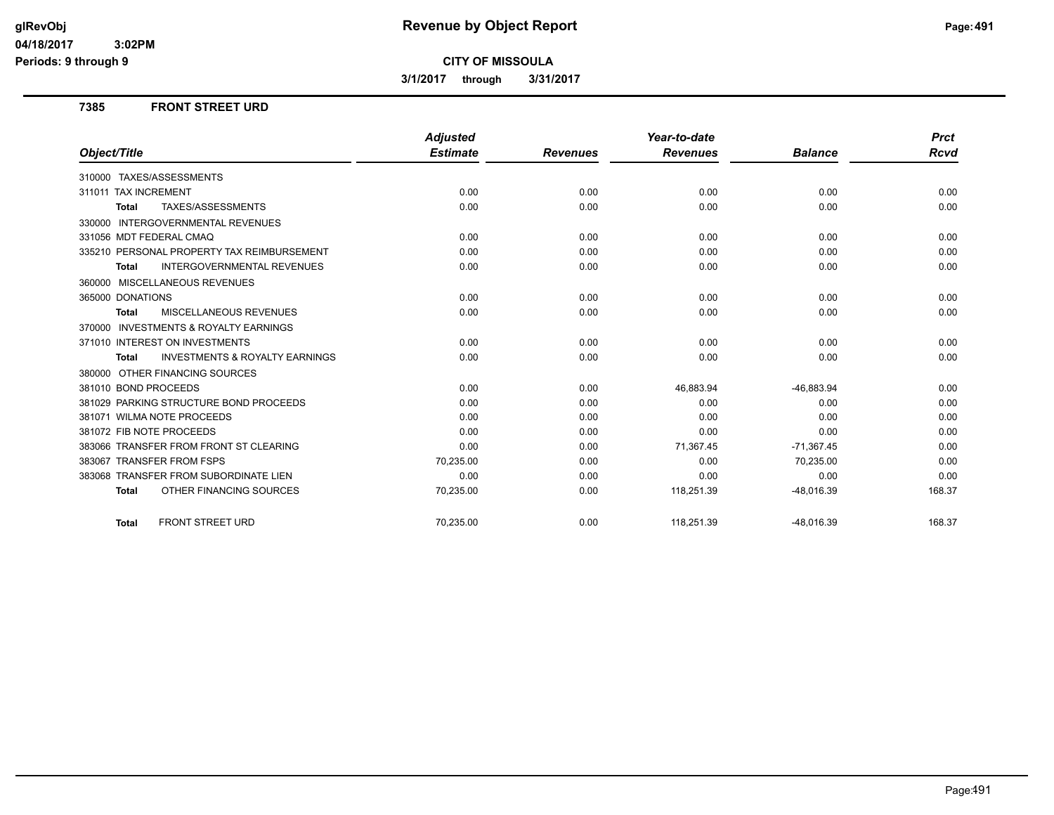**3/1/2017 through 3/31/2017**

## **7385 FRONT STREET URD**

|                                                   | <b>Adjusted</b> |                 | Year-to-date    |                | <b>Prct</b> |
|---------------------------------------------------|-----------------|-----------------|-----------------|----------------|-------------|
| Object/Title                                      | <b>Estimate</b> | <b>Revenues</b> | <b>Revenues</b> | <b>Balance</b> | Rcvd        |
| 310000 TAXES/ASSESSMENTS                          |                 |                 |                 |                |             |
| 311011 TAX INCREMENT                              | 0.00            | 0.00            | 0.00            | 0.00           | 0.00        |
| TAXES/ASSESSMENTS<br>Total                        | 0.00            | 0.00            | 0.00            | 0.00           | 0.00        |
| <b>INTERGOVERNMENTAL REVENUES</b><br>330000       |                 |                 |                 |                |             |
| 331056 MDT FEDERAL CMAQ                           | 0.00            | 0.00            | 0.00            | 0.00           | 0.00        |
| 335210 PERSONAL PROPERTY TAX REIMBURSEMENT        | 0.00            | 0.00            | 0.00            | 0.00           | 0.00        |
| <b>INTERGOVERNMENTAL REVENUES</b><br><b>Total</b> | 0.00            | 0.00            | 0.00            | 0.00           | 0.00        |
| 360000 MISCELLANEOUS REVENUES                     |                 |                 |                 |                |             |
| 365000 DONATIONS                                  | 0.00            | 0.00            | 0.00            | 0.00           | 0.00        |
| <b>MISCELLANEOUS REVENUES</b><br><b>Total</b>     | 0.00            | 0.00            | 0.00            | 0.00           | 0.00        |
| 370000 INVESTMENTS & ROYALTY EARNINGS             |                 |                 |                 |                |             |
| 371010 INTEREST ON INVESTMENTS                    | 0.00            | 0.00            | 0.00            | 0.00           | 0.00        |
| INVESTMENTS & ROYALTY EARNINGS<br><b>Total</b>    | 0.00            | 0.00            | 0.00            | 0.00           | 0.00        |
| 380000 OTHER FINANCING SOURCES                    |                 |                 |                 |                |             |
| 381010 BOND PROCEEDS                              | 0.00            | 0.00            | 46,883.94       | $-46,883.94$   | 0.00        |
| 381029 PARKING STRUCTURE BOND PROCEEDS            | 0.00            | 0.00            | 0.00            | 0.00           | 0.00        |
| 381071 WILMA NOTE PROCEEDS                        | 0.00            | 0.00            | 0.00            | 0.00           | 0.00        |
| 381072 FIB NOTE PROCEEDS                          | 0.00            | 0.00            | 0.00            | 0.00           | 0.00        |
| 383066 TRANSFER FROM FRONT ST CLEARING            | 0.00            | 0.00            | 71,367.45       | $-71,367.45$   | 0.00        |
| 383067 TRANSFER FROM FSPS                         | 70,235.00       | 0.00            | 0.00            | 70,235.00      | 0.00        |
| 383068 TRANSFER FROM SUBORDINATE LIEN             | 0.00            | 0.00            | 0.00            | 0.00           | 0.00        |
| OTHER FINANCING SOURCES<br><b>Total</b>           | 70,235.00       | 0.00            | 118,251.39      | $-48,016.39$   | 168.37      |
| <b>FRONT STREET URD</b><br><b>Total</b>           | 70.235.00       | 0.00            | 118.251.39      | $-48.016.39$   | 168.37      |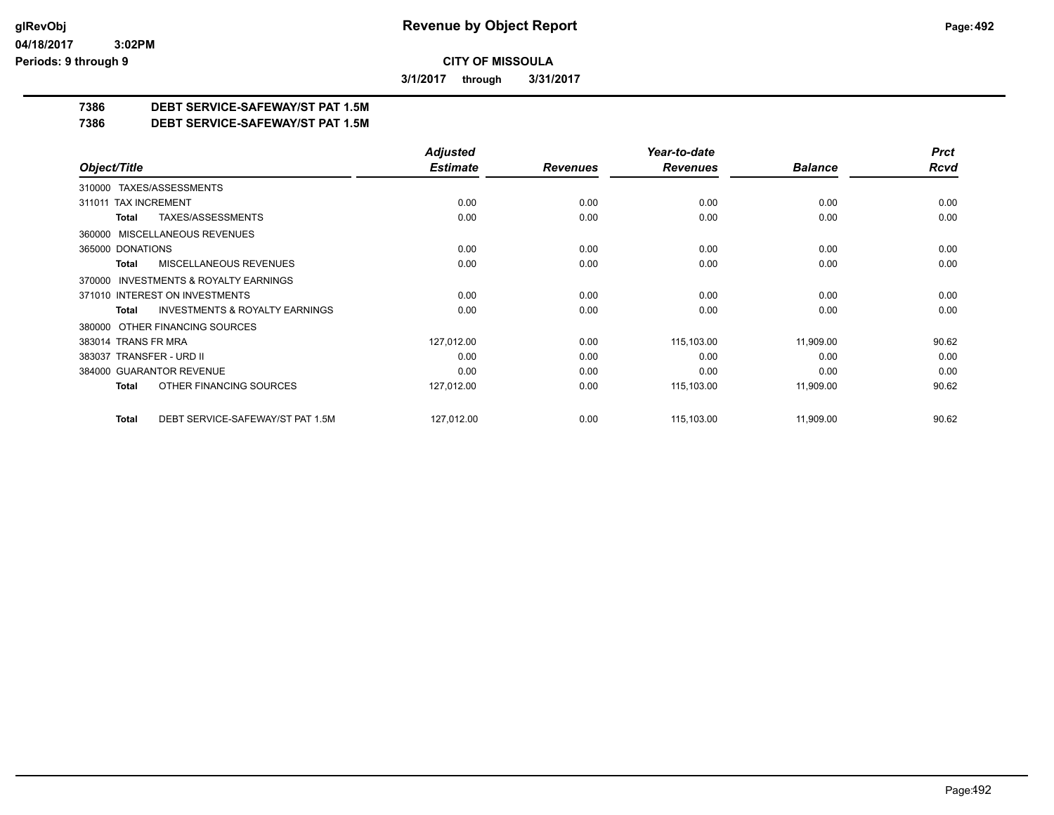**3/1/2017 through 3/31/2017**

#### **7386 DEBT SERVICE-SAFEWAY/ST PAT 1.5M 7386 DEBT SERVICE-SAFEWAY/ST PAT 1.5M**

|                                                           | <b>Adjusted</b> |                 | Year-to-date    |                | <b>Prct</b> |
|-----------------------------------------------------------|-----------------|-----------------|-----------------|----------------|-------------|
| Object/Title                                              | <b>Estimate</b> | <b>Revenues</b> | <b>Revenues</b> | <b>Balance</b> | <b>Rcvd</b> |
| 310000 TAXES/ASSESSMENTS                                  |                 |                 |                 |                |             |
| <b>TAX INCREMENT</b><br>311011                            | 0.00            | 0.00            | 0.00            | 0.00           | 0.00        |
| TAXES/ASSESSMENTS<br>Total                                | 0.00            | 0.00            | 0.00            | 0.00           | 0.00        |
| 360000 MISCELLANEOUS REVENUES                             |                 |                 |                 |                |             |
| 365000 DONATIONS                                          | 0.00            | 0.00            | 0.00            | 0.00           | 0.00        |
| <b>MISCELLANEOUS REVENUES</b><br>Total                    | 0.00            | 0.00            | 0.00            | 0.00           | 0.00        |
| INVESTMENTS & ROYALTY EARNINGS<br>370000                  |                 |                 |                 |                |             |
| 371010 INTEREST ON INVESTMENTS                            | 0.00            | 0.00            | 0.00            | 0.00           | 0.00        |
| <b>INVESTMENTS &amp; ROYALTY EARNINGS</b><br><b>Total</b> | 0.00            | 0.00            | 0.00            | 0.00           | 0.00        |
| OTHER FINANCING SOURCES<br>380000                         |                 |                 |                 |                |             |
| 383014 TRANS FR MRA                                       | 127,012.00      | 0.00            | 115,103.00      | 11,909.00      | 90.62       |
| 383037 TRANSFER - URD II                                  | 0.00            | 0.00            | 0.00            | 0.00           | 0.00        |
| 384000 GUARANTOR REVENUE                                  | 0.00            | 0.00            | 0.00            | 0.00           | 0.00        |
| OTHER FINANCING SOURCES<br><b>Total</b>                   | 127,012.00      | 0.00            | 115,103.00      | 11,909.00      | 90.62       |
| DEBT SERVICE-SAFEWAY/ST PAT 1.5M<br><b>Total</b>          | 127,012.00      | 0.00            | 115,103.00      | 11,909.00      | 90.62       |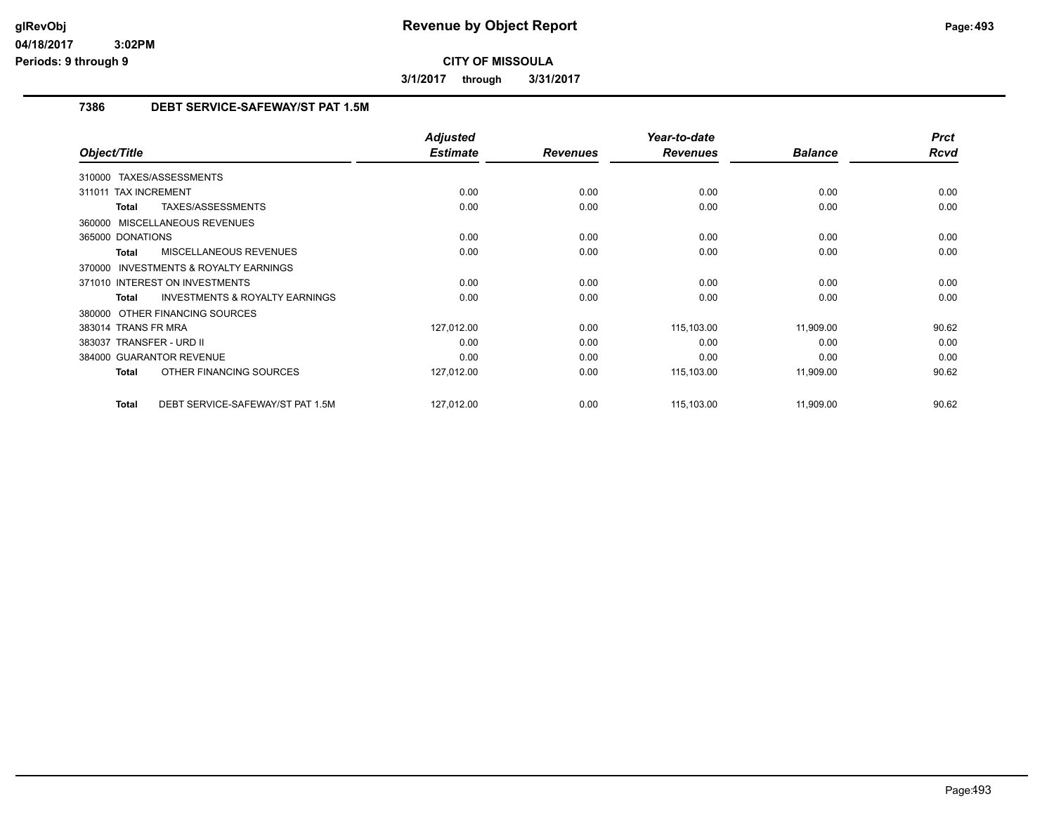**3/1/2017 through 3/31/2017**

## **7386 DEBT SERVICE-SAFEWAY/ST PAT 1.5M**

|                                                           | <b>Adjusted</b> |                 | Year-to-date    |                | <b>Prct</b> |
|-----------------------------------------------------------|-----------------|-----------------|-----------------|----------------|-------------|
| Object/Title                                              | <b>Estimate</b> | <b>Revenues</b> | <b>Revenues</b> | <b>Balance</b> | <b>Rcvd</b> |
| 310000 TAXES/ASSESSMENTS                                  |                 |                 |                 |                |             |
| <b>TAX INCREMENT</b><br>311011                            | 0.00            | 0.00            | 0.00            | 0.00           | 0.00        |
| TAXES/ASSESSMENTS<br><b>Total</b>                         | 0.00            | 0.00            | 0.00            | 0.00           | 0.00        |
| 360000 MISCELLANEOUS REVENUES                             |                 |                 |                 |                |             |
| 365000 DONATIONS                                          | 0.00            | 0.00            | 0.00            | 0.00           | 0.00        |
| MISCELLANEOUS REVENUES<br><b>Total</b>                    | 0.00            | 0.00            | 0.00            | 0.00           | 0.00        |
| 370000 INVESTMENTS & ROYALTY EARNINGS                     |                 |                 |                 |                |             |
| 371010 INTEREST ON INVESTMENTS                            | 0.00            | 0.00            | 0.00            | 0.00           | 0.00        |
| <b>INVESTMENTS &amp; ROYALTY EARNINGS</b><br><b>Total</b> | 0.00            | 0.00            | 0.00            | 0.00           | 0.00        |
| 380000 OTHER FINANCING SOURCES                            |                 |                 |                 |                |             |
| 383014 TRANS FR MRA                                       | 127,012.00      | 0.00            | 115,103.00      | 11,909.00      | 90.62       |
| 383037 TRANSFER - URD II                                  | 0.00            | 0.00            | 0.00            | 0.00           | 0.00        |
| 384000 GUARANTOR REVENUE                                  | 0.00            | 0.00            | 0.00            | 0.00           | 0.00        |
| OTHER FINANCING SOURCES<br><b>Total</b>                   | 127,012.00      | 0.00            | 115,103.00      | 11,909.00      | 90.62       |
| DEBT SERVICE-SAFEWAY/ST PAT 1.5M<br><b>Total</b>          | 127,012.00      | 0.00            | 115,103.00      | 11,909.00      | 90.62       |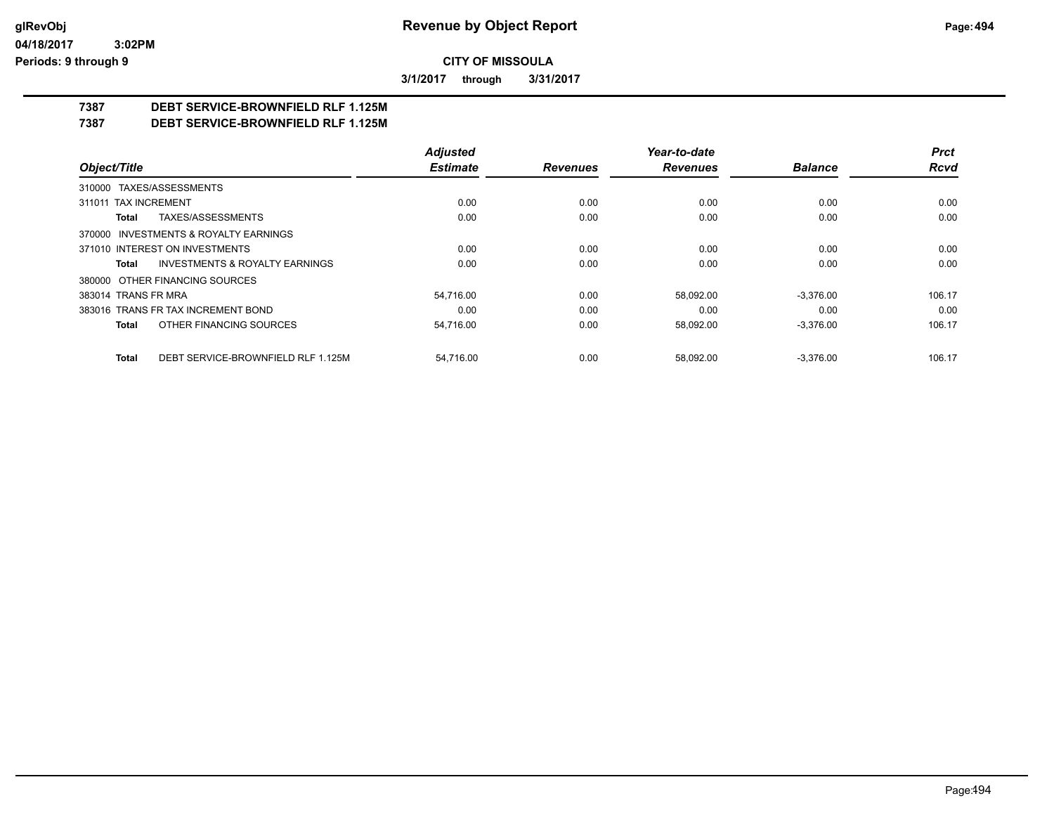**3/1/2017 through 3/31/2017**

#### **7387 DEBT SERVICE-BROWNFIELD RLF 1.125M 7387 DEBT SERVICE-BROWNFIELD RLF 1.125M**

|                                                    | <b>Adjusted</b> |                 | Year-to-date    |                | <b>Prct</b> |
|----------------------------------------------------|-----------------|-----------------|-----------------|----------------|-------------|
| Object/Title                                       | <b>Estimate</b> | <b>Revenues</b> | <b>Revenues</b> | <b>Balance</b> | <b>Rcvd</b> |
| 310000 TAXES/ASSESSMENTS                           |                 |                 |                 |                |             |
| <b>TAX INCREMENT</b><br>311011                     | 0.00            | 0.00            | 0.00            | 0.00           | 0.00        |
| TAXES/ASSESSMENTS<br>Total                         | 0.00            | 0.00            | 0.00            | 0.00           | 0.00        |
| 370000 INVESTMENTS & ROYALTY EARNINGS              |                 |                 |                 |                |             |
| 371010 INTEREST ON INVESTMENTS                     | 0.00            | 0.00            | 0.00            | 0.00           | 0.00        |
| <b>INVESTMENTS &amp; ROYALTY EARNINGS</b><br>Total | 0.00            | 0.00            | 0.00            | 0.00           | 0.00        |
| 380000 OTHER FINANCING SOURCES                     |                 |                 |                 |                |             |
| 383014 TRANS FR MRA                                | 54.716.00       | 0.00            | 58.092.00       | $-3.376.00$    | 106.17      |
| 383016 TRANS FR TAX INCREMENT BOND                 | 0.00            | 0.00            | 0.00            | 0.00           | 0.00        |
| OTHER FINANCING SOURCES<br><b>Total</b>            | 54,716.00       | 0.00            | 58,092.00       | $-3,376.00$    | 106.17      |
| DEBT SERVICE-BROWNFIELD RLF 1.125M<br><b>Total</b> | 54,716.00       | 0.00            | 58.092.00       | $-3,376.00$    | 106.17      |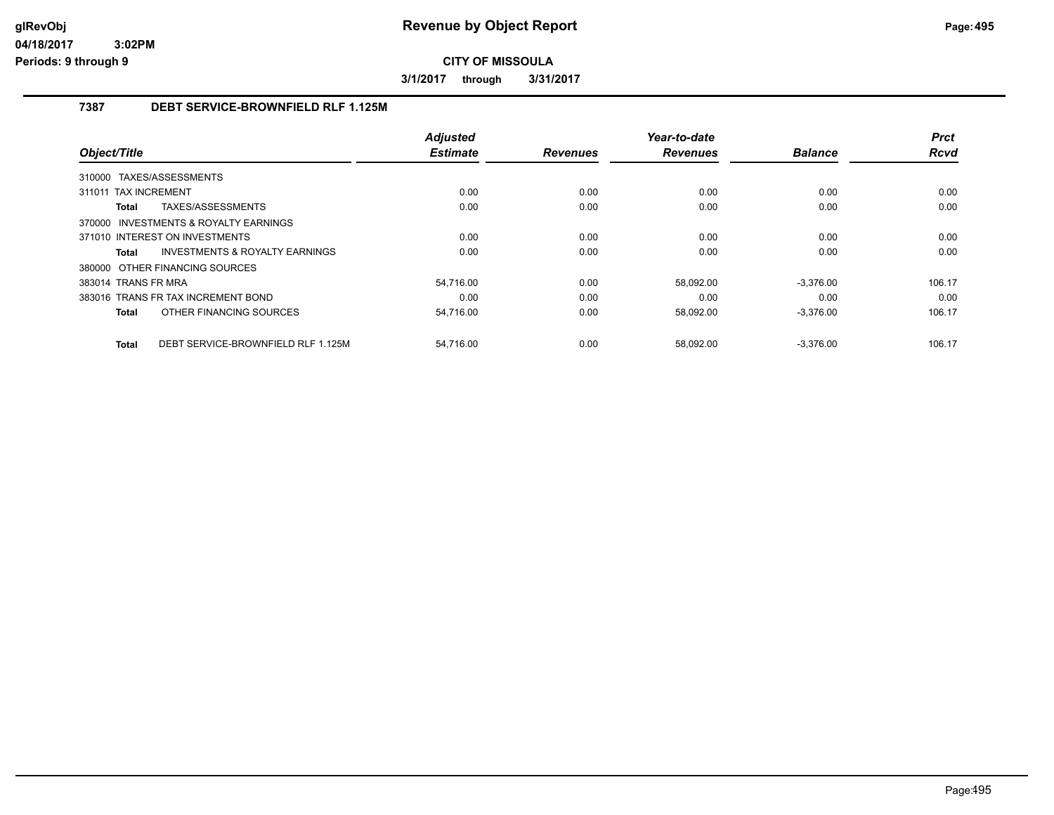**3/1/2017 through 3/31/2017**

## **7387 DEBT SERVICE-BROWNFIELD RLF 1.125M**

| Object/Title                                       | <b>Adjusted</b><br><b>Estimate</b> | <b>Revenues</b> | Year-to-date<br><b>Revenues</b> | <b>Balance</b> | <b>Prct</b><br><b>Rcvd</b> |
|----------------------------------------------------|------------------------------------|-----------------|---------------------------------|----------------|----------------------------|
| TAXES/ASSESSMENTS<br>310000                        |                                    |                 |                                 |                |                            |
| 311011 TAX INCREMENT                               | 0.00                               | 0.00            | 0.00                            | 0.00           | 0.00                       |
| TAXES/ASSESSMENTS<br>Total                         | 0.00                               | 0.00            | 0.00                            | 0.00           | 0.00                       |
| 370000 INVESTMENTS & ROYALTY EARNINGS              |                                    |                 |                                 |                |                            |
| 371010 INTEREST ON INVESTMENTS                     | 0.00                               | 0.00            | 0.00                            | 0.00           | 0.00                       |
| <b>INVESTMENTS &amp; ROYALTY EARNINGS</b><br>Total | 0.00                               | 0.00            | 0.00                            | 0.00           | 0.00                       |
| 380000 OTHER FINANCING SOURCES                     |                                    |                 |                                 |                |                            |
| 383014 TRANS FR MRA                                | 54.716.00                          | 0.00            | 58,092.00                       | $-3.376.00$    | 106.17                     |
| 383016 TRANS FR TAX INCREMENT BOND                 | 0.00                               | 0.00            | 0.00                            | 0.00           | 0.00                       |
| OTHER FINANCING SOURCES<br><b>Total</b>            | 54,716.00                          | 0.00            | 58,092.00                       | $-3,376.00$    | 106.17                     |
| <b>Total</b><br>DEBT SERVICE-BROWNFIELD RLF 1.125M | 54,716.00                          | 0.00            | 58.092.00                       | $-3,376.00$    | 106.17                     |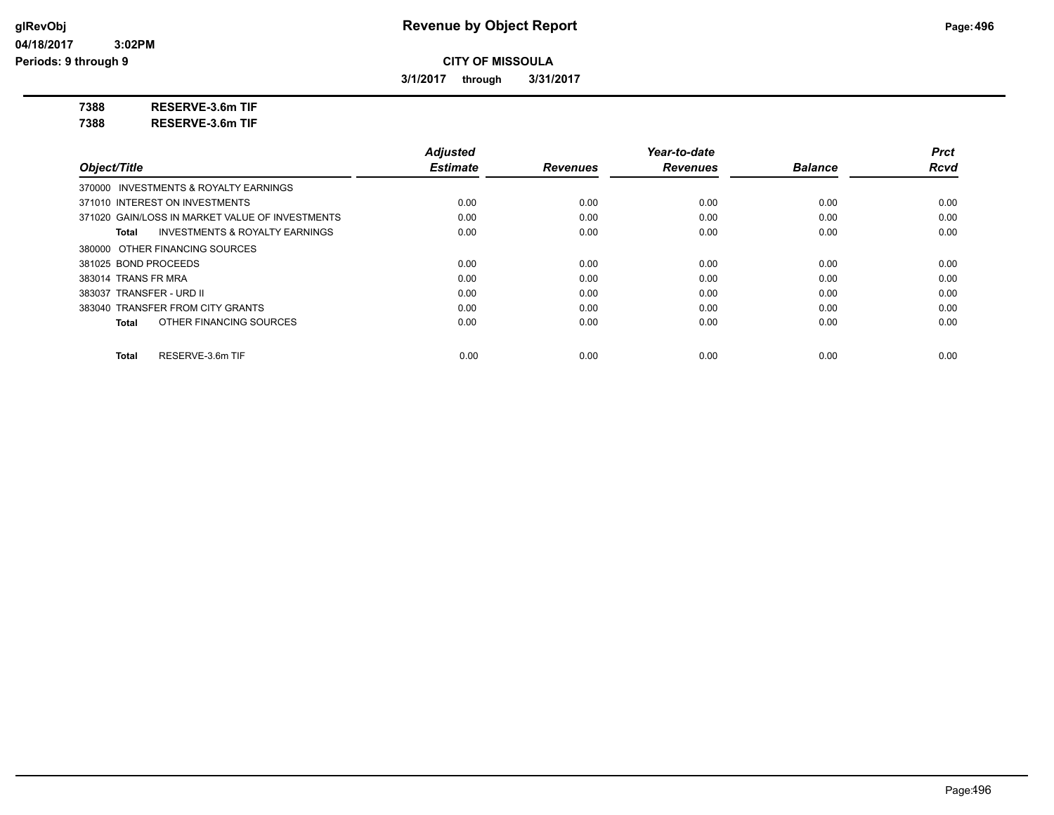**3/1/2017 through 3/31/2017**

**7388 RESERVE-3.6m TIF 7388 RESERVE-3.6m TIF**

|                                                 | <b>Adjusted</b> |                 | Year-to-date    |                | <b>Prct</b> |
|-------------------------------------------------|-----------------|-----------------|-----------------|----------------|-------------|
| Object/Title                                    | <b>Estimate</b> | <b>Revenues</b> | <b>Revenues</b> | <b>Balance</b> | <b>Rcvd</b> |
| 370000 INVESTMENTS & ROYALTY EARNINGS           |                 |                 |                 |                |             |
| 371010 INTEREST ON INVESTMENTS                  | 0.00            | 0.00            | 0.00            | 0.00           | 0.00        |
| 371020 GAIN/LOSS IN MARKET VALUE OF INVESTMENTS | 0.00            | 0.00            | 0.00            | 0.00           | 0.00        |
| INVESTMENTS & ROYALTY EARNINGS<br>Total         | 0.00            | 0.00            | 0.00            | 0.00           | 0.00        |
| 380000 OTHER FINANCING SOURCES                  |                 |                 |                 |                |             |
| 381025 BOND PROCEEDS                            | 0.00            | 0.00            | 0.00            | 0.00           | 0.00        |
| 383014 TRANS FR MRA                             | 0.00            | 0.00            | 0.00            | 0.00           | 0.00        |
| 383037 TRANSFER - URD II                        | 0.00            | 0.00            | 0.00            | 0.00           | 0.00        |
| 383040 TRANSFER FROM CITY GRANTS                | 0.00            | 0.00            | 0.00            | 0.00           | 0.00        |
| OTHER FINANCING SOURCES<br>Total                | 0.00            | 0.00            | 0.00            | 0.00           | 0.00        |
| RESERVE-3.6m TIF<br>Total                       | 0.00            | 0.00            | 0.00            | 0.00           | 0.00        |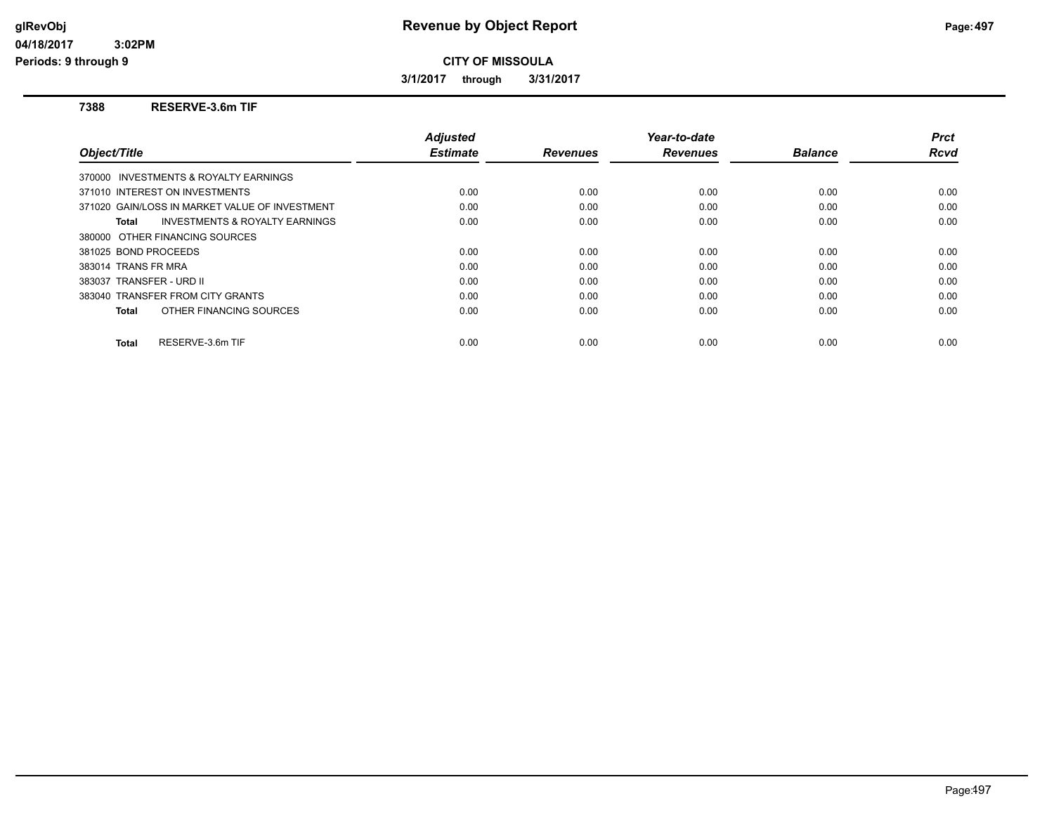**3/1/2017 through 3/31/2017**

#### **7388 RESERVE-3.6m TIF**

|                                                    | <b>Adjusted</b> |                 | Year-to-date    |                | <b>Prct</b> |
|----------------------------------------------------|-----------------|-----------------|-----------------|----------------|-------------|
| Object/Title                                       | <b>Estimate</b> | <b>Revenues</b> | <b>Revenues</b> | <b>Balance</b> | <b>Rcvd</b> |
| INVESTMENTS & ROYALTY EARNINGS<br>370000           |                 |                 |                 |                |             |
| 371010 INTEREST ON INVESTMENTS                     | 0.00            | 0.00            | 0.00            | 0.00           | 0.00        |
| 371020 GAIN/LOSS IN MARKET VALUE OF INVESTMENT     | 0.00            | 0.00            | 0.00            | 0.00           | 0.00        |
| <b>INVESTMENTS &amp; ROYALTY EARNINGS</b><br>Total | 0.00            | 0.00            | 0.00            | 0.00           | 0.00        |
| 380000 OTHER FINANCING SOURCES                     |                 |                 |                 |                |             |
| 381025 BOND PROCEEDS                               | 0.00            | 0.00            | 0.00            | 0.00           | 0.00        |
| 383014 TRANS FR MRA                                | 0.00            | 0.00            | 0.00            | 0.00           | 0.00        |
| 383037 TRANSFER - URD II                           | 0.00            | 0.00            | 0.00            | 0.00           | 0.00        |
| 383040 TRANSFER FROM CITY GRANTS                   | 0.00            | 0.00            | 0.00            | 0.00           | 0.00        |
| OTHER FINANCING SOURCES<br>Total                   | 0.00            | 0.00            | 0.00            | 0.00           | 0.00        |
| RESERVE-3.6m TIF<br><b>Total</b>                   | 0.00            | 0.00            | 0.00            | 0.00           | 0.00        |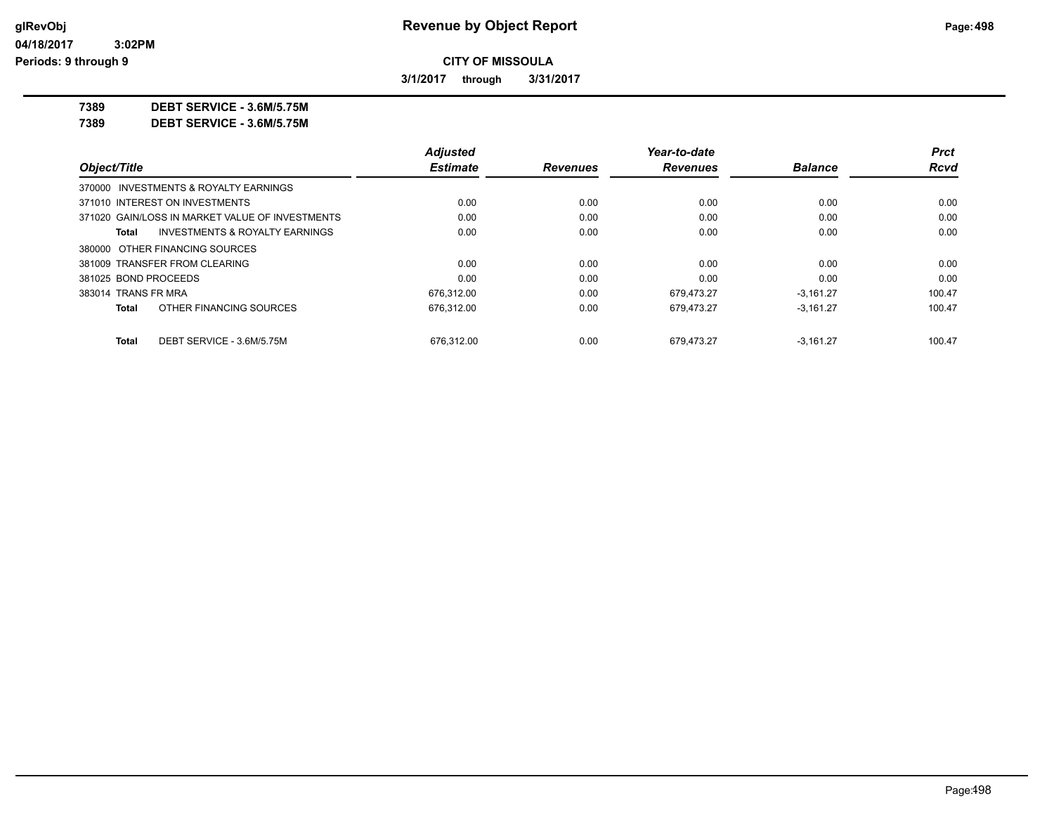**3/1/2017 through 3/31/2017**

**7389 DEBT SERVICE - 3.6M/5.75M 7389 DEBT SERVICE - 3.6M/5.75M**

|                                                 | <b>Adjusted</b> |                 | Year-to-date    |                | <b>Prct</b> |
|-------------------------------------------------|-----------------|-----------------|-----------------|----------------|-------------|
| Object/Title                                    | <b>Estimate</b> | <b>Revenues</b> | <b>Revenues</b> | <b>Balance</b> | <b>Rcvd</b> |
| 370000 INVESTMENTS & ROYALTY EARNINGS           |                 |                 |                 |                |             |
| 371010 INTEREST ON INVESTMENTS                  | 0.00            | 0.00            | 0.00            | 0.00           | 0.00        |
| 371020 GAIN/LOSS IN MARKET VALUE OF INVESTMENTS | 0.00            | 0.00            | 0.00            | 0.00           | 0.00        |
| INVESTMENTS & ROYALTY EARNINGS<br>Total         | 0.00            | 0.00            | 0.00            | 0.00           | 0.00        |
| 380000 OTHER FINANCING SOURCES                  |                 |                 |                 |                |             |
| 381009 TRANSFER FROM CLEARING                   | 0.00            | 0.00            | 0.00            | 0.00           | 0.00        |
| 381025 BOND PROCEEDS                            | 0.00            | 0.00            | 0.00            | 0.00           | 0.00        |
| 383014 TRANS FR MRA                             | 676.312.00      | 0.00            | 679.473.27      | $-3.161.27$    | 100.47      |
| OTHER FINANCING SOURCES<br><b>Total</b>         | 676.312.00      | 0.00            | 679.473.27      | $-3,161.27$    | 100.47      |
|                                                 |                 |                 |                 |                |             |
| DEBT SERVICE - 3.6M/5.75M<br><b>Total</b>       | 676.312.00      | 0.00            | 679.473.27      | $-3.161.27$    | 100.47      |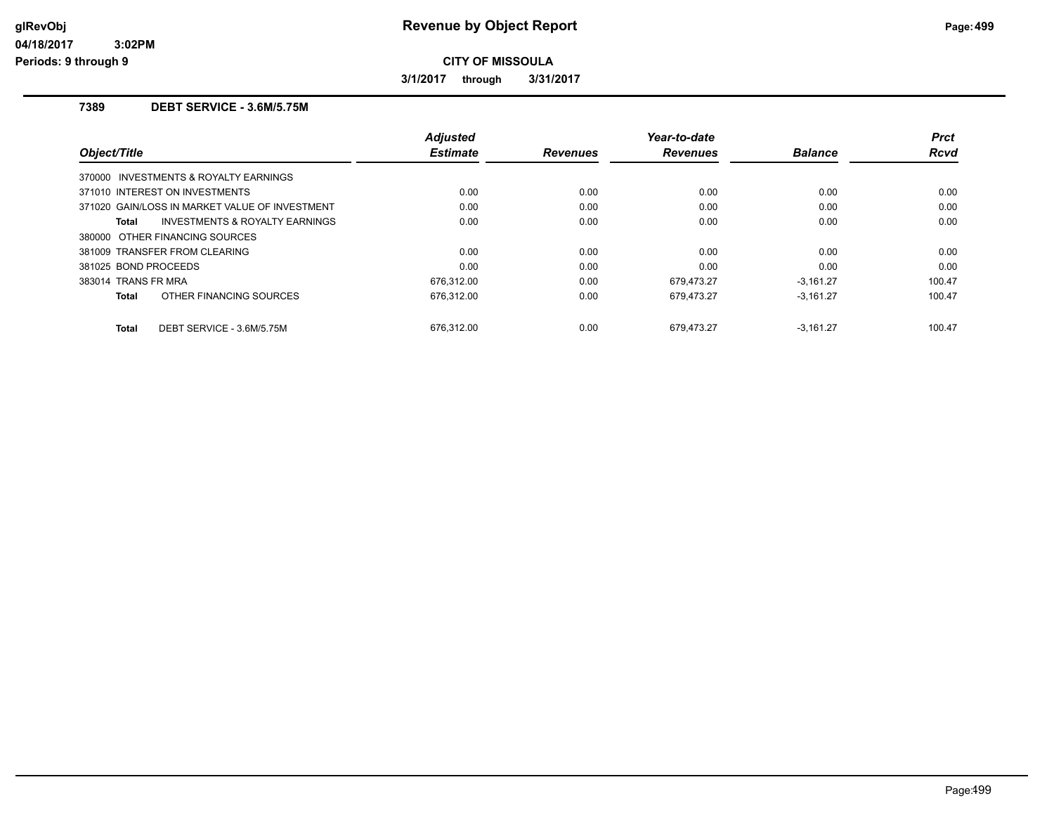**3/1/2017 through 3/31/2017**

## **7389 DEBT SERVICE - 3.6M/5.75M**

| Object/Title                                   | <b>Adjusted</b><br><b>Estimate</b> | <b>Revenues</b> | Year-to-date<br><b>Revenues</b> | <b>Balance</b> | <b>Prct</b><br>Rcvd |
|------------------------------------------------|------------------------------------|-----------------|---------------------------------|----------------|---------------------|
| 370000 INVESTMENTS & ROYALTY EARNINGS          |                                    |                 |                                 |                |                     |
| 371010 INTEREST ON INVESTMENTS                 | 0.00                               | 0.00            | 0.00                            | 0.00           | 0.00                |
| 371020 GAIN/LOSS IN MARKET VALUE OF INVESTMENT | 0.00                               | 0.00            | 0.00                            | 0.00           | 0.00                |
| INVESTMENTS & ROYALTY EARNINGS<br>Total        | 0.00                               | 0.00            | 0.00                            | 0.00           | 0.00                |
| 380000 OTHER FINANCING SOURCES                 |                                    |                 |                                 |                |                     |
| 381009 TRANSFER FROM CLEARING                  | 0.00                               | 0.00            | 0.00                            | 0.00           | 0.00                |
| 381025 BOND PROCEEDS                           | 0.00                               | 0.00            | 0.00                            | 0.00           | 0.00                |
| 383014 TRANS FR MRA                            | 676.312.00                         | 0.00            | 679.473.27                      | $-3.161.27$    | 100.47              |
| OTHER FINANCING SOURCES<br><b>Total</b>        | 676,312.00                         | 0.00            | 679,473.27                      | $-3.161.27$    | 100.47              |
| <b>Total</b><br>DEBT SERVICE - 3.6M/5.75M      | 676.312.00                         | 0.00            | 679.473.27                      | $-3.161.27$    | 100.47              |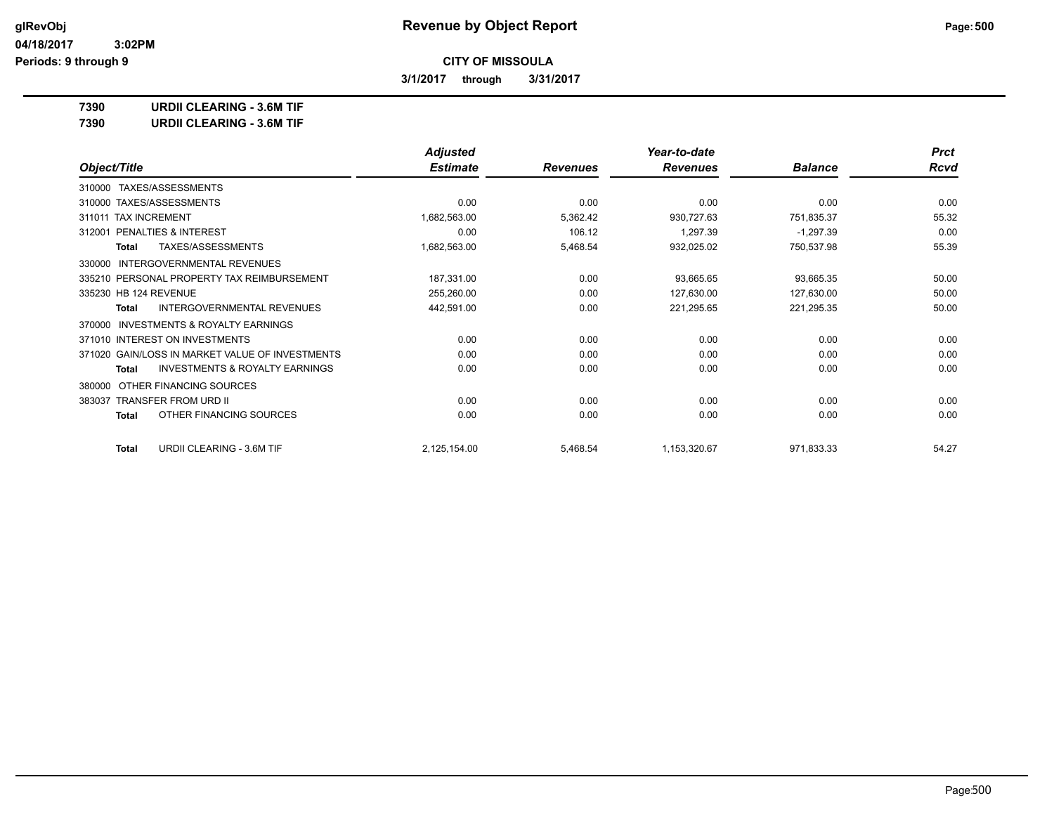**3/1/2017 through 3/31/2017**

**7390 URDII CLEARING - 3.6M TIF**

| 7390 | <b>URDII CLEARING - 3.6M TIF</b> |
|------|----------------------------------|
|------|----------------------------------|

|                                                    | <b>Adjusted</b> |                 | Year-to-date    |                | <b>Prct</b> |
|----------------------------------------------------|-----------------|-----------------|-----------------|----------------|-------------|
| Object/Title                                       | <b>Estimate</b> | <b>Revenues</b> | <b>Revenues</b> | <b>Balance</b> | Rcvd        |
| TAXES/ASSESSMENTS<br>310000                        |                 |                 |                 |                |             |
| 310000 TAXES/ASSESSMENTS                           | 0.00            | 0.00            | 0.00            | 0.00           | 0.00        |
| 311011 TAX INCREMENT                               | 1,682,563.00    | 5,362.42        | 930,727.63      | 751,835.37     | 55.32       |
| <b>PENALTIES &amp; INTEREST</b><br>312001          | 0.00            | 106.12          | 1,297.39        | $-1,297.39$    | 0.00        |
| TAXES/ASSESSMENTS<br><b>Total</b>                  | 1,682,563.00    | 5,468.54        | 932,025.02      | 750,537.98     | 55.39       |
| INTERGOVERNMENTAL REVENUES<br>330000               |                 |                 |                 |                |             |
| 335210 PERSONAL PROPERTY TAX REIMBURSEMENT         | 187,331.00      | 0.00            | 93,665.65       | 93,665.35      | 50.00       |
| 335230 HB 124 REVENUE                              | 255,260.00      | 0.00            | 127,630.00      | 127,630.00     | 50.00       |
| INTERGOVERNMENTAL REVENUES<br><b>Total</b>         | 442,591.00      | 0.00            | 221,295.65      | 221,295.35     | 50.00       |
| INVESTMENTS & ROYALTY EARNINGS<br>370000           |                 |                 |                 |                |             |
| 371010 INTEREST ON INVESTMENTS                     | 0.00            | 0.00            | 0.00            | 0.00           | 0.00        |
| 371020 GAIN/LOSS IN MARKET VALUE OF INVESTMENTS    | 0.00            | 0.00            | 0.00            | 0.00           | 0.00        |
| <b>INVESTMENTS &amp; ROYALTY EARNINGS</b><br>Total | 0.00            | 0.00            | 0.00            | 0.00           | 0.00        |
| OTHER FINANCING SOURCES<br>380000                  |                 |                 |                 |                |             |
| 383037 TRANSFER FROM URD II                        | 0.00            | 0.00            | 0.00            | 0.00           | 0.00        |
| OTHER FINANCING SOURCES<br><b>Total</b>            | 0.00            | 0.00            | 0.00            | 0.00           | 0.00        |
| <b>URDII CLEARING - 3.6M TIF</b><br><b>Total</b>   | 2,125,154.00    | 5,468.54        | 1,153,320.67    | 971,833.33     | 54.27       |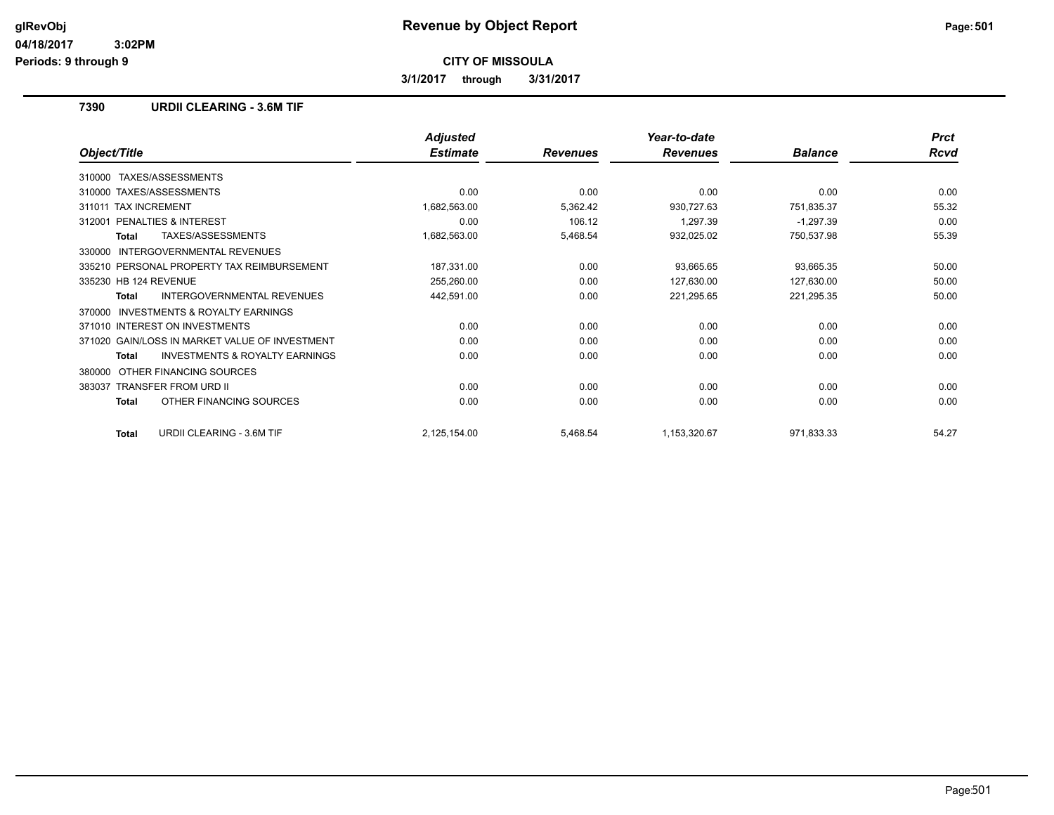**3/1/2017 through 3/31/2017**

## **7390 URDII CLEARING - 3.6M TIF**

|                                                     | <b>Adjusted</b> |                 | Year-to-date    |                | <b>Prct</b> |
|-----------------------------------------------------|-----------------|-----------------|-----------------|----------------|-------------|
| Object/Title                                        | <b>Estimate</b> | <b>Revenues</b> | <b>Revenues</b> | <b>Balance</b> | <b>Rcvd</b> |
| TAXES/ASSESSMENTS<br>310000                         |                 |                 |                 |                |             |
| 310000 TAXES/ASSESSMENTS                            | 0.00            | 0.00            | 0.00            | 0.00           | 0.00        |
| 311011 TAX INCREMENT                                | 1,682,563.00    | 5,362.42        | 930,727.63      | 751,835.37     | 55.32       |
| 312001 PENALTIES & INTEREST                         | 0.00            | 106.12          | 1,297.39        | $-1,297.39$    | 0.00        |
| TAXES/ASSESSMENTS<br><b>Total</b>                   | 1,682,563.00    | 5,468.54        | 932,025.02      | 750,537.98     | 55.39       |
| INTERGOVERNMENTAL REVENUES<br>330000                |                 |                 |                 |                |             |
| 335210 PERSONAL PROPERTY TAX REIMBURSEMENT          | 187,331.00      | 0.00            | 93,665.65       | 93,665.35      | 50.00       |
| 335230 HB 124 REVENUE                               | 255,260.00      | 0.00            | 127,630.00      | 127,630.00     | 50.00       |
| <b>INTERGOVERNMENTAL REVENUES</b><br>Total          | 442,591.00      | 0.00            | 221,295.65      | 221,295.35     | 50.00       |
| <b>INVESTMENTS &amp; ROYALTY EARNINGS</b><br>370000 |                 |                 |                 |                |             |
| 371010 INTEREST ON INVESTMENTS                      | 0.00            | 0.00            | 0.00            | 0.00           | 0.00        |
| 371020 GAIN/LOSS IN MARKET VALUE OF INVESTMENT      | 0.00            | 0.00            | 0.00            | 0.00           | 0.00        |
| <b>INVESTMENTS &amp; ROYALTY EARNINGS</b><br>Total  | 0.00            | 0.00            | 0.00            | 0.00           | 0.00        |
| OTHER FINANCING SOURCES<br>380000                   |                 |                 |                 |                |             |
| 383037 TRANSFER FROM URD II                         | 0.00            | 0.00            | 0.00            | 0.00           | 0.00        |
| OTHER FINANCING SOURCES<br><b>Total</b>             | 0.00            | 0.00            | 0.00            | 0.00           | 0.00        |
| URDII CLEARING - 3.6M TIF<br><b>Total</b>           | 2,125,154.00    | 5,468.54        | 1,153,320.67    | 971,833.33     | 54.27       |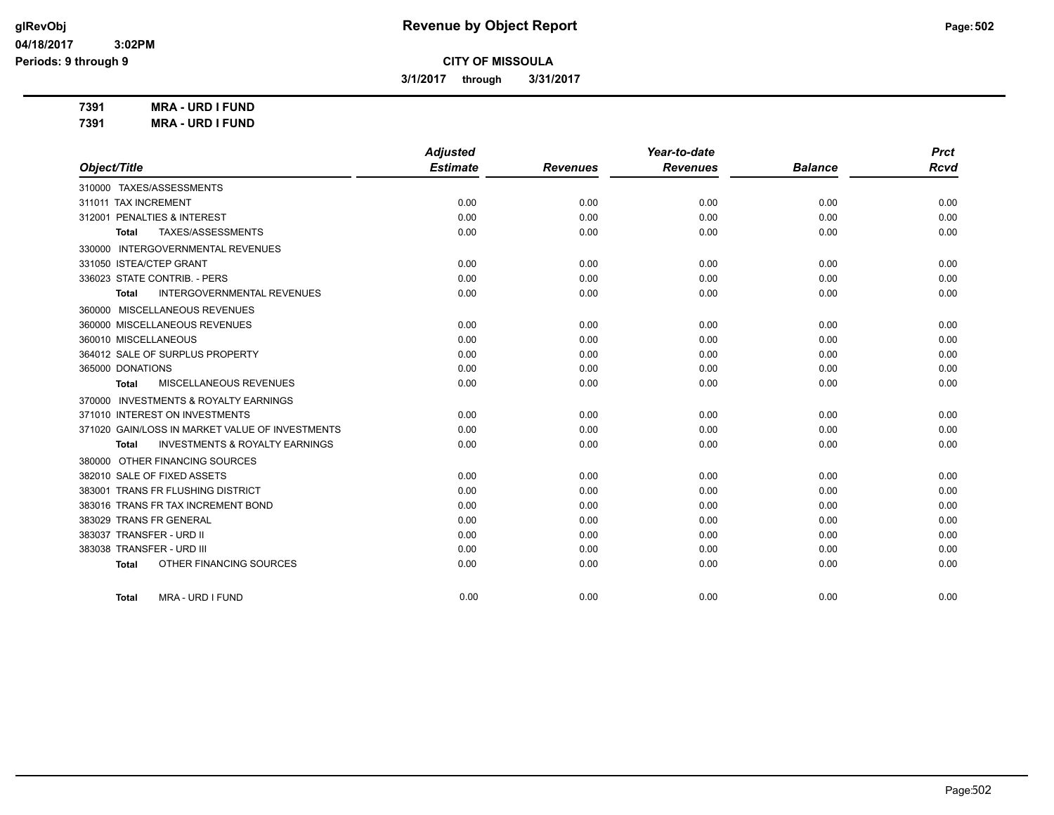**3/1/2017 through 3/31/2017**

**7391 MRA - URD I FUND 7391 MRA - URD I FUND**

|                                                     | <b>Adjusted</b> |                 | Year-to-date    |                | <b>Prct</b> |
|-----------------------------------------------------|-----------------|-----------------|-----------------|----------------|-------------|
| Object/Title                                        | <b>Estimate</b> | <b>Revenues</b> | <b>Revenues</b> | <b>Balance</b> | <b>Rcvd</b> |
| 310000 TAXES/ASSESSMENTS                            |                 |                 |                 |                |             |
| 311011 TAX INCREMENT                                | 0.00            | 0.00            | 0.00            | 0.00           | 0.00        |
| 312001 PENALTIES & INTEREST                         | 0.00            | 0.00            | 0.00            | 0.00           | 0.00        |
| TAXES/ASSESSMENTS<br>Total                          | 0.00            | 0.00            | 0.00            | 0.00           | 0.00        |
| <b>INTERGOVERNMENTAL REVENUES</b><br>330000         |                 |                 |                 |                |             |
| 331050 ISTEA/CTEP GRANT                             | 0.00            | 0.00            | 0.00            | 0.00           | 0.00        |
| 336023 STATE CONTRIB. - PERS                        | 0.00            | 0.00            | 0.00            | 0.00           | 0.00        |
| <b>INTERGOVERNMENTAL REVENUES</b><br><b>Total</b>   | 0.00            | 0.00            | 0.00            | 0.00           | 0.00        |
| 360000 MISCELLANEOUS REVENUES                       |                 |                 |                 |                |             |
| 360000 MISCELLANEOUS REVENUES                       | 0.00            | 0.00            | 0.00            | 0.00           | 0.00        |
| 360010 MISCELLANEOUS                                | 0.00            | 0.00            | 0.00            | 0.00           | 0.00        |
| 364012 SALE OF SURPLUS PROPERTY                     | 0.00            | 0.00            | 0.00            | 0.00           | 0.00        |
| 365000 DONATIONS                                    | 0.00            | 0.00            | 0.00            | 0.00           | 0.00        |
| MISCELLANEOUS REVENUES<br>Total                     | 0.00            | 0.00            | 0.00            | 0.00           | 0.00        |
| <b>INVESTMENTS &amp; ROYALTY EARNINGS</b><br>370000 |                 |                 |                 |                |             |
| 371010 INTEREST ON INVESTMENTS                      | 0.00            | 0.00            | 0.00            | 0.00           | 0.00        |
| 371020 GAIN/LOSS IN MARKET VALUE OF INVESTMENTS     | 0.00            | 0.00            | 0.00            | 0.00           | 0.00        |
| <b>INVESTMENTS &amp; ROYALTY EARNINGS</b><br>Total  | 0.00            | 0.00            | 0.00            | 0.00           | 0.00        |
| 380000 OTHER FINANCING SOURCES                      |                 |                 |                 |                |             |
| 382010 SALE OF FIXED ASSETS                         | 0.00            | 0.00            | 0.00            | 0.00           | 0.00        |
| 383001 TRANS FR FLUSHING DISTRICT                   | 0.00            | 0.00            | 0.00            | 0.00           | 0.00        |
| 383016 TRANS FR TAX INCREMENT BOND                  | 0.00            | 0.00            | 0.00            | 0.00           | 0.00        |
| 383029 TRANS FR GENERAL                             | 0.00            | 0.00            | 0.00            | 0.00           | 0.00        |
| 383037 TRANSFER - URD II                            | 0.00            | 0.00            | 0.00            | 0.00           | 0.00        |
| 383038 TRANSFER - URD III                           | 0.00            | 0.00            | 0.00            | 0.00           | 0.00        |
| OTHER FINANCING SOURCES<br><b>Total</b>             | 0.00            | 0.00            | 0.00            | 0.00           | 0.00        |
|                                                     |                 |                 |                 |                |             |
| MRA - URD I FUND<br><b>Total</b>                    | 0.00            | 0.00            | 0.00            | 0.00           | 0.00        |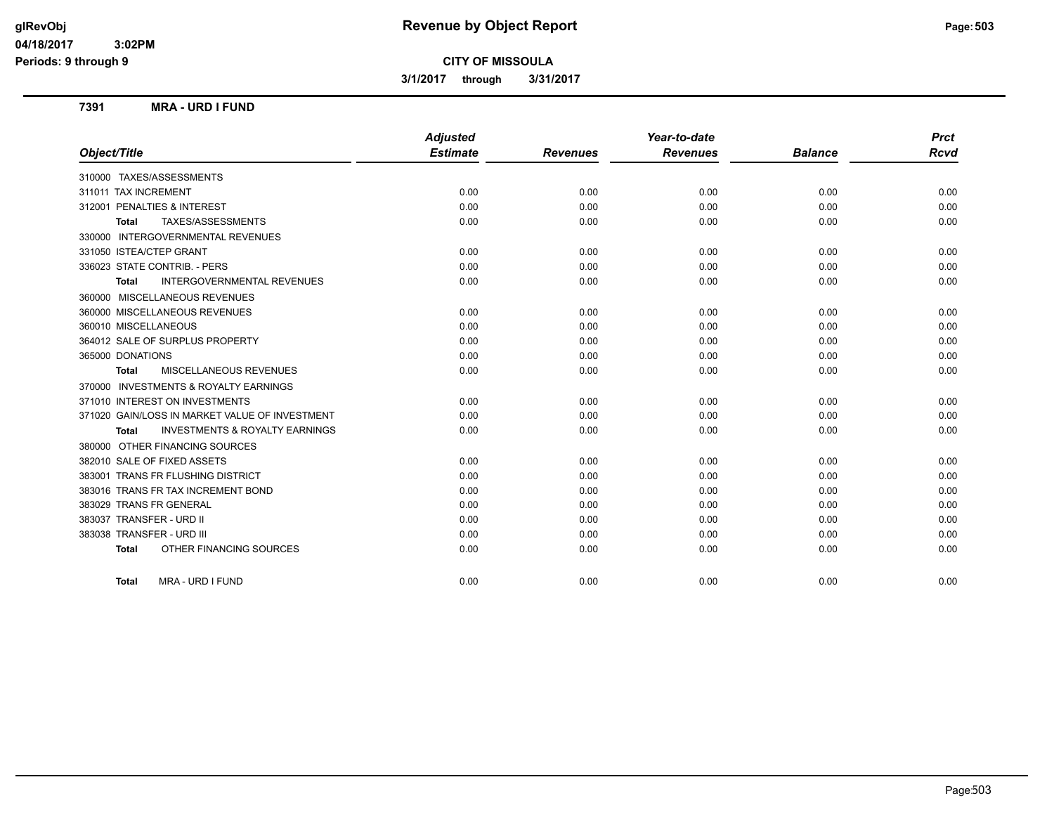**3/1/2017 through 3/31/2017**

#### **7391 MRA - URD I FUND**

| Object/Title                                       | <b>Adjusted</b><br><b>Estimate</b> | <b>Revenues</b> | Year-to-date<br><b>Revenues</b> | <b>Balance</b> | <b>Prct</b><br><b>Rcvd</b> |
|----------------------------------------------------|------------------------------------|-----------------|---------------------------------|----------------|----------------------------|
|                                                    |                                    |                 |                                 |                |                            |
| 311011 TAX INCREMENT                               | 0.00                               | 0.00            | 0.00                            | 0.00           | 0.00                       |
| 312001 PENALTIES & INTEREST                        | 0.00                               | 0.00            | 0.00                            | 0.00           | 0.00                       |
| TAXES/ASSESSMENTS<br><b>Total</b>                  | 0.00                               | 0.00            | 0.00                            | 0.00           | 0.00                       |
| 330000 INTERGOVERNMENTAL REVENUES                  |                                    |                 |                                 |                |                            |
| 331050 ISTEA/CTEP GRANT                            | 0.00                               | 0.00            | 0.00                            | 0.00           | 0.00                       |
| 336023 STATE CONTRIB. - PERS                       | 0.00                               | 0.00            | 0.00                            | 0.00           | 0.00                       |
| <b>INTERGOVERNMENTAL REVENUES</b><br><b>Total</b>  | 0.00                               | 0.00            | 0.00                            | 0.00           | 0.00                       |
| 360000 MISCELLANEOUS REVENUES                      |                                    |                 |                                 |                |                            |
| 360000 MISCELLANEOUS REVENUES                      | 0.00                               | 0.00            | 0.00                            | 0.00           | 0.00                       |
| 360010 MISCELLANEOUS                               | 0.00                               | 0.00            | 0.00                            | 0.00           | 0.00                       |
| 364012 SALE OF SURPLUS PROPERTY                    | 0.00                               | 0.00            | 0.00                            | 0.00           | 0.00                       |
| 365000 DONATIONS                                   | 0.00                               | 0.00            | 0.00                            | 0.00           | 0.00                       |
| MISCELLANEOUS REVENUES<br><b>Total</b>             | 0.00                               | 0.00            | 0.00                            | 0.00           | 0.00                       |
| 370000 INVESTMENTS & ROYALTY EARNINGS              |                                    |                 |                                 |                |                            |
| 371010 INTEREST ON INVESTMENTS                     | 0.00                               | 0.00            | 0.00                            | 0.00           | 0.00                       |
| 371020 GAIN/LOSS IN MARKET VALUE OF INVESTMENT     | 0.00                               | 0.00            | 0.00                            | 0.00           | 0.00                       |
| <b>INVESTMENTS &amp; ROYALTY EARNINGS</b><br>Total | 0.00                               | 0.00            | 0.00                            | 0.00           | 0.00                       |
| 380000 OTHER FINANCING SOURCES                     |                                    |                 |                                 |                |                            |
| 382010 SALE OF FIXED ASSETS                        | 0.00                               | 0.00            | 0.00                            | 0.00           | 0.00                       |
| 383001 TRANS FR FLUSHING DISTRICT                  | 0.00                               | 0.00            | 0.00                            | 0.00           | 0.00                       |
| 383016 TRANS FR TAX INCREMENT BOND                 | 0.00                               | 0.00            | 0.00                            | 0.00           | 0.00                       |
| 383029 TRANS FR GENERAL                            | 0.00                               | 0.00            | 0.00                            | 0.00           | 0.00                       |
| 383037 TRANSFER - URD II                           | 0.00                               | 0.00            | 0.00                            | 0.00           | 0.00                       |
| 383038 TRANSFER - URD III                          | 0.00                               | 0.00            | 0.00                            | 0.00           | 0.00                       |
| OTHER FINANCING SOURCES<br><b>Total</b>            | 0.00                               | 0.00            | 0.00                            | 0.00           | 0.00                       |
| MRA - URD I FUND<br><b>Total</b>                   | 0.00                               | 0.00            | 0.00                            | 0.00           | 0.00                       |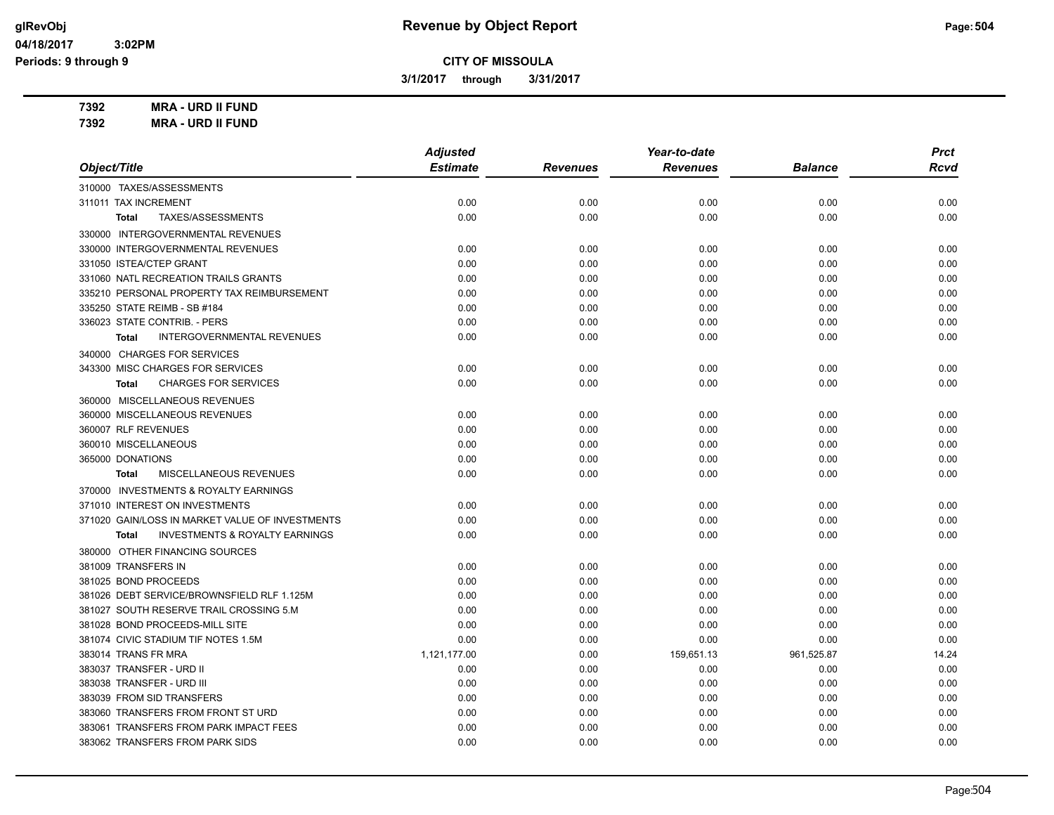**3/1/2017 through 3/31/2017**

**7392 MRA - URD II FUND 7392 MRA - URD II FUND**

| Object/Title                                              | <b>Adjusted</b><br><b>Estimate</b> | <b>Revenues</b> | Year-to-date<br><b>Revenues</b> | <b>Balance</b> | <b>Prct</b><br>Rcva |
|-----------------------------------------------------------|------------------------------------|-----------------|---------------------------------|----------------|---------------------|
| 310000 TAXES/ASSESSMENTS                                  |                                    |                 |                                 |                |                     |
| 311011 TAX INCREMENT                                      | 0.00                               | 0.00            | 0.00                            | 0.00           | 0.00                |
| TAXES/ASSESSMENTS<br><b>Total</b>                         | 0.00                               | 0.00            | 0.00                            | 0.00           | 0.00                |
| 330000 INTERGOVERNMENTAL REVENUES                         |                                    |                 |                                 |                |                     |
| 330000 INTERGOVERNMENTAL REVENUES                         | 0.00                               | 0.00            | 0.00                            | 0.00           | 0.00                |
| 331050 ISTEA/CTEP GRANT                                   | 0.00                               | 0.00            | 0.00                            | 0.00           | 0.00                |
| 331060 NATL RECREATION TRAILS GRANTS                      | 0.00                               | 0.00            | 0.00                            | 0.00           | 0.00                |
| 335210 PERSONAL PROPERTY TAX REIMBURSEMENT                | 0.00                               | 0.00            | 0.00                            | 0.00           | 0.00                |
| 335250 STATE REIMB - SB #184                              | 0.00                               | 0.00            | 0.00                            | 0.00           | 0.00                |
| 336023 STATE CONTRIB. - PERS                              | 0.00                               | 0.00            | 0.00                            | 0.00           | 0.00                |
| INTERGOVERNMENTAL REVENUES<br><b>Total</b>                | 0.00                               | 0.00            | 0.00                            | 0.00           | 0.00                |
| 340000 CHARGES FOR SERVICES                               |                                    |                 |                                 |                |                     |
| 343300 MISC CHARGES FOR SERVICES                          | 0.00                               | 0.00            | 0.00                            | 0.00           | 0.00                |
| <b>CHARGES FOR SERVICES</b><br><b>Total</b>               | 0.00                               | 0.00            | 0.00                            | 0.00           | 0.00                |
|                                                           |                                    |                 |                                 |                |                     |
| 360000 MISCELLANEOUS REVENUES                             |                                    |                 |                                 |                |                     |
| 360000 MISCELLANEOUS REVENUES                             | 0.00                               | 0.00            | 0.00                            | 0.00           | 0.00                |
| 360007 RLF REVENUES                                       | 0.00                               | 0.00            | 0.00                            | 0.00           | 0.00                |
| 360010 MISCELLANEOUS                                      | 0.00                               | 0.00            | 0.00                            | 0.00           | 0.00                |
| 365000 DONATIONS                                          | 0.00                               | 0.00            | 0.00                            | 0.00           | 0.00                |
| MISCELLANEOUS REVENUES<br><b>Total</b>                    | 0.00                               | 0.00            | 0.00                            | 0.00           | 0.00                |
| 370000 INVESTMENTS & ROYALTY EARNINGS                     |                                    |                 |                                 |                |                     |
| 371010 INTEREST ON INVESTMENTS                            | 0.00                               | 0.00            | 0.00                            | 0.00           | 0.00                |
| 371020 GAIN/LOSS IN MARKET VALUE OF INVESTMENTS           | 0.00                               | 0.00            | 0.00                            | 0.00           | 0.00                |
| <b>INVESTMENTS &amp; ROYALTY EARNINGS</b><br><b>Total</b> | 0.00                               | 0.00            | 0.00                            | 0.00           | 0.00                |
| 380000 OTHER FINANCING SOURCES                            |                                    |                 |                                 |                |                     |
| 381009 TRANSFERS IN                                       | 0.00                               | 0.00            | 0.00                            | 0.00           | 0.00                |
| 381025 BOND PROCEEDS                                      | 0.00                               | 0.00            | 0.00                            | 0.00           | 0.00                |
| 381026 DEBT SERVICE/BROWNSFIELD RLF 1.125M                | 0.00                               | 0.00            | 0.00                            | 0.00           | 0.00                |
| 381027 SOUTH RESERVE TRAIL CROSSING 5.M                   | 0.00                               | 0.00            | 0.00                            | 0.00           | 0.00                |
| 381028 BOND PROCEEDS-MILL SITE                            | 0.00                               | 0.00            | 0.00                            | 0.00           | 0.00                |
| 381074 CIVIC STADIUM TIF NOTES 1.5M                       | 0.00                               | 0.00            | 0.00                            | 0.00           | 0.00                |
| 383014 TRANS FR MRA                                       | 1,121,177.00                       | 0.00            | 159,651.13                      | 961,525.87     | 14.24               |
| 383037 TRANSFER - URD II                                  | 0.00                               | 0.00            | 0.00                            | 0.00           | 0.00                |
| 383038 TRANSFER - URD III                                 | 0.00                               | 0.00            | 0.00                            | 0.00           | 0.00                |
| 383039 FROM SID TRANSFERS                                 | 0.00                               | 0.00            | 0.00                            | 0.00           | 0.00                |
| 383060 TRANSFERS FROM FRONT ST URD                        | 0.00                               | 0.00            | 0.00                            | 0.00           | 0.00                |
| 383061 TRANSFERS FROM PARK IMPACT FEES                    | 0.00                               | 0.00            | 0.00                            | 0.00           | 0.00                |
| 383062 TRANSFERS FROM PARK SIDS                           | 0.00                               | 0.00            | 0.00                            | 0.00           | 0.00                |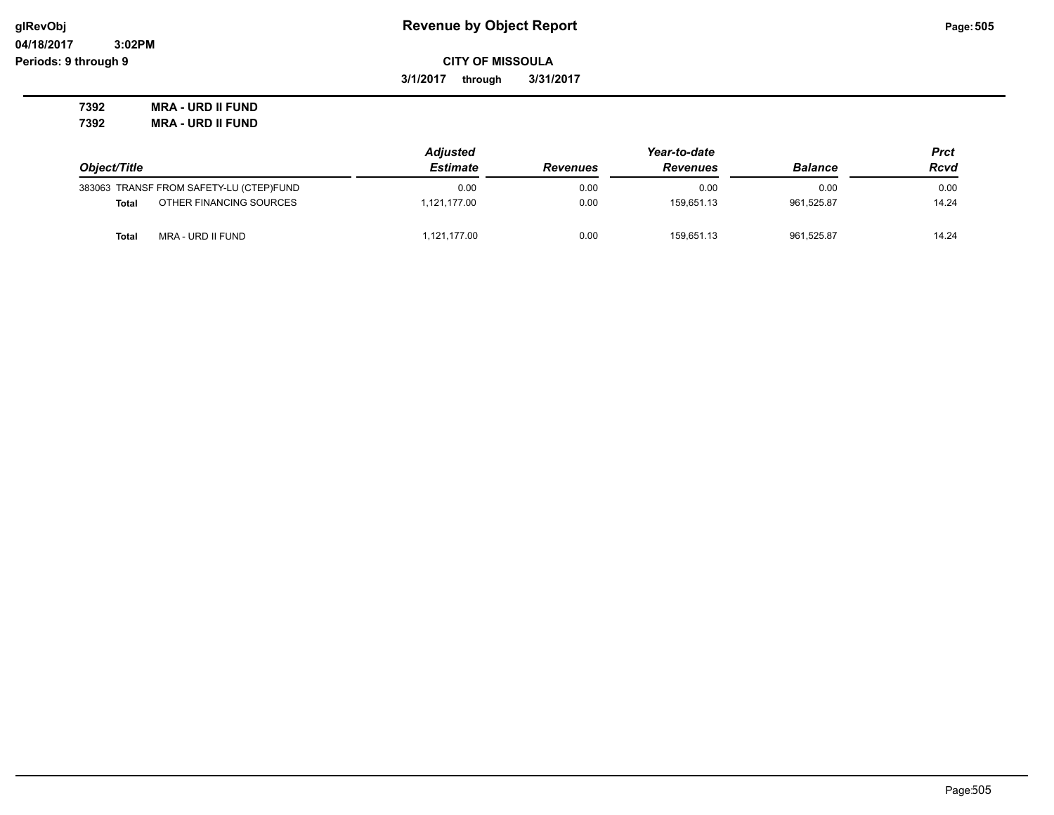**04/18/2017**

**Periods: 9 through 9**

**CITY OF MISSOULA 3/1/2017 through 3/31/2017**

**7392 MRA - URD II FUND 7392 MRA - URD II FUND**

 **3:02PM**

|                                         | <b>Adjusted</b> |                 | Year-to-date    |                | <b>Prct</b> |
|-----------------------------------------|-----------------|-----------------|-----------------|----------------|-------------|
| Object/Title                            | <b>Estimate</b> | <b>Revenues</b> | <b>Revenues</b> | <b>Balance</b> | Rcvd        |
| 383063 TRANSF FROM SAFETY-LU (CTEP)FUND | 0.00            | 0.00            | 0.00            | 0.00           | 0.00        |
| OTHER FINANCING SOURCES<br>Total        | 1.121.177.00    | 0.00            | 159.651.13      | 961.525.87     | 14.24       |
| MRA - URD II FUND<br>Total              | 1,121,177.00    | 0.00            | 159,651.13      | 961.525.87     | 14.24       |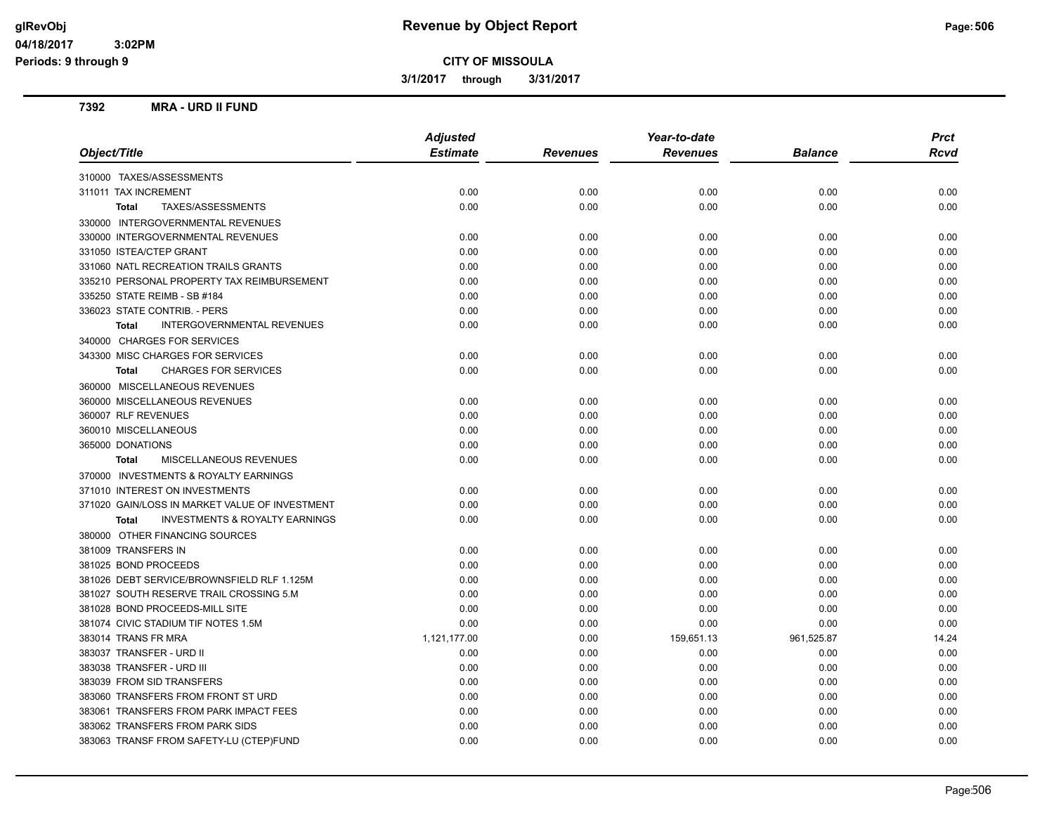**3/1/2017 through 3/31/2017**

#### **7392 MRA - URD II FUND**

|                                                           | <b>Adjusted</b> |                 | Year-to-date    |                | <b>Prct</b> |
|-----------------------------------------------------------|-----------------|-----------------|-----------------|----------------|-------------|
| Object/Title                                              | <b>Estimate</b> | <b>Revenues</b> | <b>Revenues</b> | <b>Balance</b> | <b>Rcvd</b> |
| 310000 TAXES/ASSESSMENTS                                  |                 |                 |                 |                |             |
| 311011 TAX INCREMENT                                      | 0.00            | 0.00            | 0.00            | 0.00           | 0.00        |
| TAXES/ASSESSMENTS<br>Total                                | 0.00            | 0.00            | 0.00            | 0.00           | 0.00        |
| 330000 INTERGOVERNMENTAL REVENUES                         |                 |                 |                 |                |             |
| 330000 INTERGOVERNMENTAL REVENUES                         | 0.00            | 0.00            | 0.00            | 0.00           | 0.00        |
| 331050 ISTEA/CTEP GRANT                                   | 0.00            | 0.00            | 0.00            | 0.00           | 0.00        |
| 331060 NATL RECREATION TRAILS GRANTS                      | 0.00            | 0.00            | 0.00            | 0.00           | 0.00        |
| 335210 PERSONAL PROPERTY TAX REIMBURSEMENT                | 0.00            | 0.00            | 0.00            | 0.00           | 0.00        |
| 335250 STATE REIMB - SB #184                              | 0.00            | 0.00            | 0.00            | 0.00           | 0.00        |
| 336023 STATE CONTRIB. - PERS                              | 0.00            | 0.00            | 0.00            | 0.00           | 0.00        |
| <b>INTERGOVERNMENTAL REVENUES</b><br><b>Total</b>         | 0.00            | 0.00            | 0.00            | 0.00           | 0.00        |
| 340000 CHARGES FOR SERVICES                               |                 |                 |                 |                |             |
| 343300 MISC CHARGES FOR SERVICES                          | 0.00            | 0.00            | 0.00            | 0.00           | 0.00        |
| <b>CHARGES FOR SERVICES</b><br><b>Total</b>               | 0.00            | 0.00            | 0.00            | 0.00           | 0.00        |
| 360000 MISCELLANEOUS REVENUES                             |                 |                 |                 |                |             |
| 360000 MISCELLANEOUS REVENUES                             | 0.00            | 0.00            | 0.00            | 0.00           | 0.00        |
| 360007 RLF REVENUES                                       | 0.00            | 0.00            | 0.00            | 0.00           | 0.00        |
| 360010 MISCELLANEOUS                                      | 0.00            | 0.00            | 0.00            | 0.00           | 0.00        |
| 365000 DONATIONS                                          | 0.00            | 0.00            | 0.00            | 0.00           | 0.00        |
| MISCELLANEOUS REVENUES<br>Total                           | 0.00            | 0.00            | 0.00            | 0.00           | 0.00        |
| 370000 INVESTMENTS & ROYALTY EARNINGS                     |                 |                 |                 |                |             |
| 371010 INTEREST ON INVESTMENTS                            | 0.00            | 0.00            | 0.00            | 0.00           | 0.00        |
| 371020 GAIN/LOSS IN MARKET VALUE OF INVESTMENT            | 0.00            | 0.00            | 0.00            | 0.00           | 0.00        |
| <b>INVESTMENTS &amp; ROYALTY EARNINGS</b><br><b>Total</b> | 0.00            | 0.00            | 0.00            | 0.00           | 0.00        |
| 380000 OTHER FINANCING SOURCES                            |                 |                 |                 |                |             |
| 381009 TRANSFERS IN                                       | 0.00            | 0.00            | 0.00            | 0.00           | 0.00        |
| 381025 BOND PROCEEDS                                      | 0.00            | 0.00            | 0.00            | 0.00           | 0.00        |
| 381026 DEBT SERVICE/BROWNSFIELD RLF 1.125M                | 0.00            | 0.00            | 0.00            | 0.00           | 0.00        |
| 381027 SOUTH RESERVE TRAIL CROSSING 5.M                   | 0.00            | 0.00            | 0.00            | 0.00           | 0.00        |
| 381028 BOND PROCEEDS-MILL SITE                            | 0.00            | 0.00            | 0.00            | 0.00           | 0.00        |
| 381074 CIVIC STADIUM TIF NOTES 1.5M                       | 0.00            | 0.00            | 0.00            | 0.00           | 0.00        |
| 383014 TRANS FR MRA                                       | 1,121,177.00    | 0.00            | 159,651.13      | 961,525.87     | 14.24       |
| 383037 TRANSFER - URD II                                  | 0.00            | 0.00            | 0.00            | 0.00           | 0.00        |
| 383038 TRANSFER - URD III                                 | 0.00            | 0.00            | 0.00            | 0.00           | 0.00        |
| 383039 FROM SID TRANSFERS                                 | 0.00            | 0.00            | 0.00            | 0.00           | 0.00        |
| 383060 TRANSFERS FROM FRONT ST URD                        | 0.00            | 0.00            | 0.00            | 0.00           | 0.00        |
| 383061 TRANSFERS FROM PARK IMPACT FEES                    | 0.00            | 0.00            | 0.00            | 0.00           | 0.00        |
| 383062 TRANSFERS FROM PARK SIDS                           | 0.00            | 0.00            | 0.00            | 0.00           | 0.00        |
| 383063 TRANSF FROM SAFETY-LU (CTEP)FUND                   | 0.00            | 0.00            | 0.00            | 0.00           | 0.00        |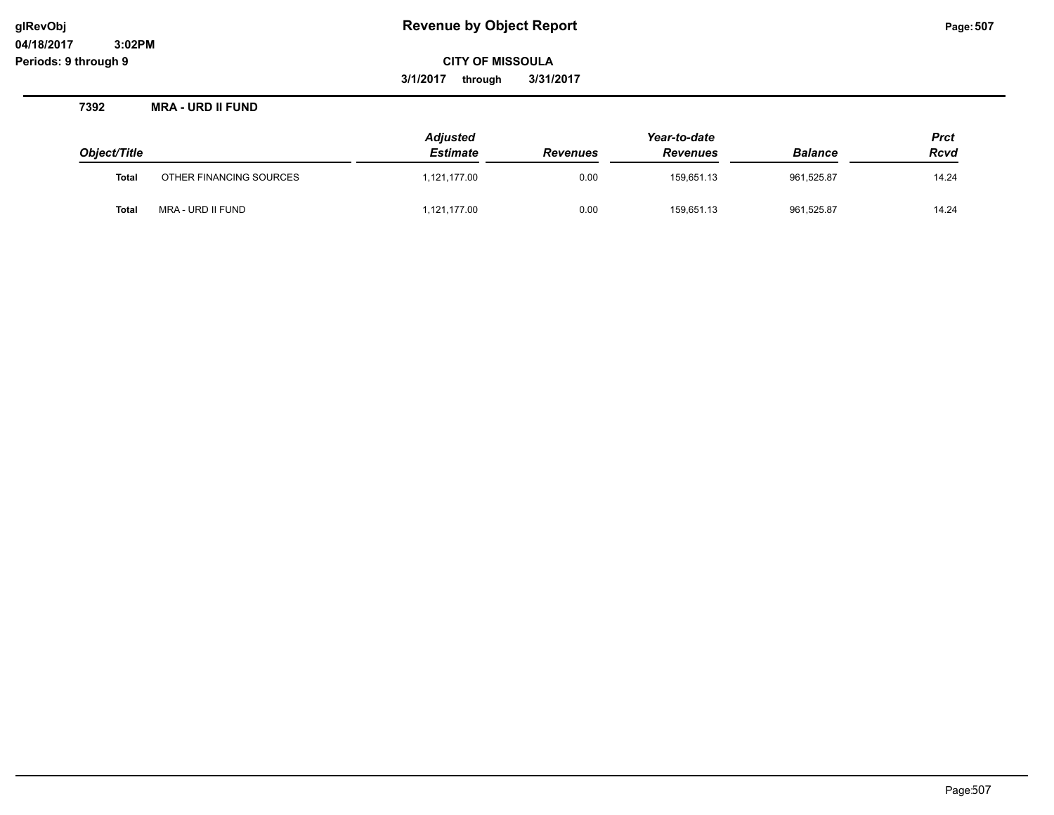**04/18/2017 3:02PM Periods: 9 through 9**

**CITY OF MISSOULA**

**3/1/2017 through 3/31/2017**

**7392 MRA - URD II FUND**

|              |                         | <b>Adjusted</b> |                 | Year-to-date    |                | <b>Prct</b> |
|--------------|-------------------------|-----------------|-----------------|-----------------|----------------|-------------|
| Object/Title |                         | <b>Estimate</b> | <b>Revenues</b> | <b>Revenues</b> | <b>Balance</b> | <b>Rcvd</b> |
| <b>Total</b> | OTHER FINANCING SOURCES | 1.121.177.00    | 0.00            | 159.651.13      | 961.525.87     | 14.24       |
| Total        | MRA - URD II FUND       | 1,121,177.00    | 0.00            | 159,651.13      | 961,525.87     | 14.24       |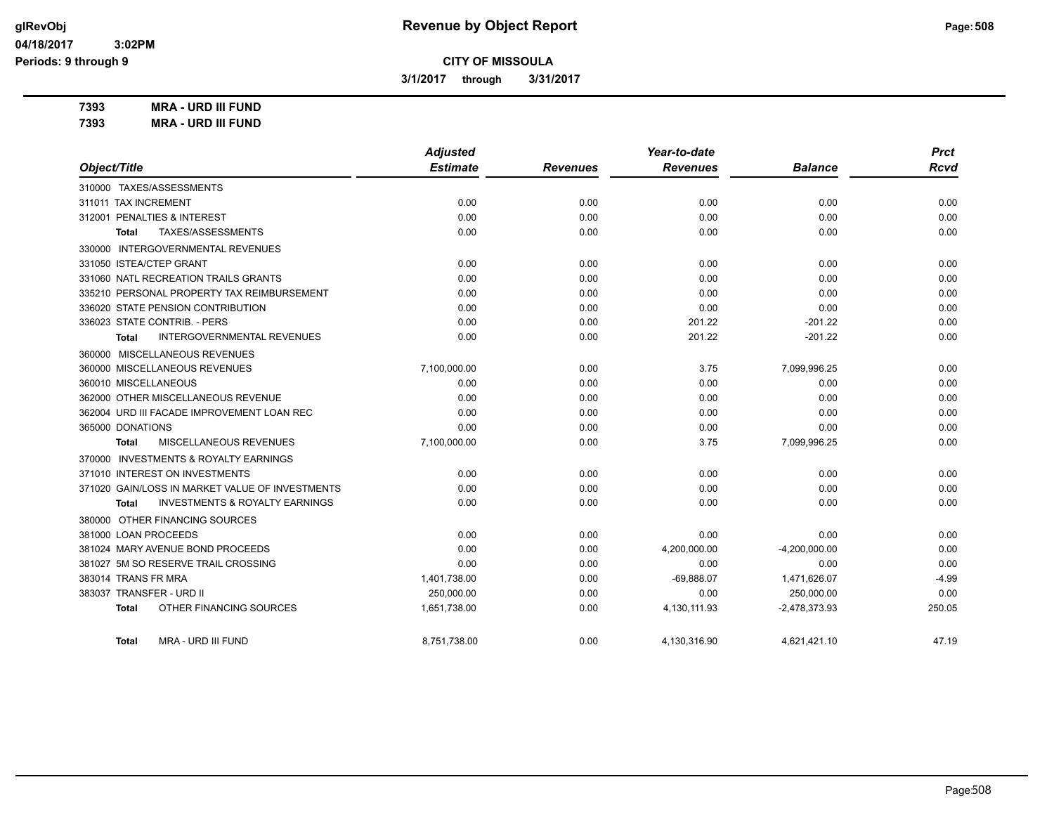**3/1/2017 through 3/31/2017**

**7393 MRA - URD III FUND**

| <b>MRA - URD III FUND</b><br>7393 |
|-----------------------------------|
|-----------------------------------|

|                                                    | <b>Adjusted</b> |                 | Year-to-date    |                 | <b>Prct</b> |
|----------------------------------------------------|-----------------|-----------------|-----------------|-----------------|-------------|
| Object/Title                                       | <b>Estimate</b> | <b>Revenues</b> | <b>Revenues</b> | <b>Balance</b>  | <b>Rcvd</b> |
| 310000 TAXES/ASSESSMENTS                           |                 |                 |                 |                 |             |
| 311011 TAX INCREMENT                               | 0.00            | 0.00            | 0.00            | 0.00            | 0.00        |
| 312001 PENALTIES & INTEREST                        | 0.00            | 0.00            | 0.00            | 0.00            | 0.00        |
| TAXES/ASSESSMENTS<br>Total                         | 0.00            | 0.00            | 0.00            | 0.00            | 0.00        |
| 330000 INTERGOVERNMENTAL REVENUES                  |                 |                 |                 |                 |             |
| 331050 ISTEA/CTEP GRANT                            | 0.00            | 0.00            | 0.00            | 0.00            | 0.00        |
| 331060 NATL RECREATION TRAILS GRANTS               | 0.00            | 0.00            | 0.00            | 0.00            | 0.00        |
| 335210 PERSONAL PROPERTY TAX REIMBURSEMENT         | 0.00            | 0.00            | 0.00            | 0.00            | 0.00        |
| 336020 STATE PENSION CONTRIBUTION                  | 0.00            | 0.00            | 0.00            | 0.00            | 0.00        |
| 336023 STATE CONTRIB. - PERS                       | 0.00            | 0.00            | 201.22          | $-201.22$       | 0.00        |
| <b>INTERGOVERNMENTAL REVENUES</b><br>Total         | 0.00            | 0.00            | 201.22          | $-201.22$       | 0.00        |
| 360000 MISCELLANEOUS REVENUES                      |                 |                 |                 |                 |             |
| 360000 MISCELLANEOUS REVENUES                      | 7,100,000.00    | 0.00            | 3.75            | 7,099,996.25    | 0.00        |
| 360010 MISCELLANEOUS                               | 0.00            | 0.00            | 0.00            | 0.00            | 0.00        |
| 362000 OTHER MISCELLANEOUS REVENUE                 | 0.00            | 0.00            | 0.00            | 0.00            | 0.00        |
| 362004 URD III FACADE IMPROVEMENT LOAN REC         | 0.00            | 0.00            | 0.00            | 0.00            | 0.00        |
| 365000 DONATIONS                                   | 0.00            | 0.00            | 0.00            | 0.00            | 0.00        |
| MISCELLANEOUS REVENUES<br><b>Total</b>             | 7,100,000.00    | 0.00            | 3.75            | 7,099,996.25    | 0.00        |
| 370000 INVESTMENTS & ROYALTY EARNINGS              |                 |                 |                 |                 |             |
| 371010 INTEREST ON INVESTMENTS                     | 0.00            | 0.00            | 0.00            | 0.00            | 0.00        |
| 371020 GAIN/LOSS IN MARKET VALUE OF INVESTMENTS    | 0.00            | 0.00            | 0.00            | 0.00            | 0.00        |
| <b>INVESTMENTS &amp; ROYALTY EARNINGS</b><br>Total | 0.00            | 0.00            | 0.00            | 0.00            | 0.00        |
| 380000 OTHER FINANCING SOURCES                     |                 |                 |                 |                 |             |
| 381000 LOAN PROCEEDS                               | 0.00            | 0.00            | 0.00            | 0.00            | 0.00        |
| 381024 MARY AVENUE BOND PROCEEDS                   | 0.00            | 0.00            | 4,200,000.00    | $-4,200,000.00$ | 0.00        |
| 381027 5M SO RESERVE TRAIL CROSSING                | 0.00            | 0.00            | 0.00            | 0.00            | 0.00        |
| 383014 TRANS FR MRA                                | 1,401,738.00    | 0.00            | $-69,888.07$    | 1,471,626.07    | $-4.99$     |
| 383037 TRANSFER - URD II                           | 250,000.00      | 0.00            | 0.00            | 250,000.00      | 0.00        |
| OTHER FINANCING SOURCES<br><b>Total</b>            | 1,651,738.00    | 0.00            | 4,130,111.93    | $-2,478,373.93$ | 250.05      |
| MRA - URD III FUND<br><b>Total</b>                 | 8.751.738.00    | 0.00            | 4,130,316.90    | 4.621.421.10    | 47.19       |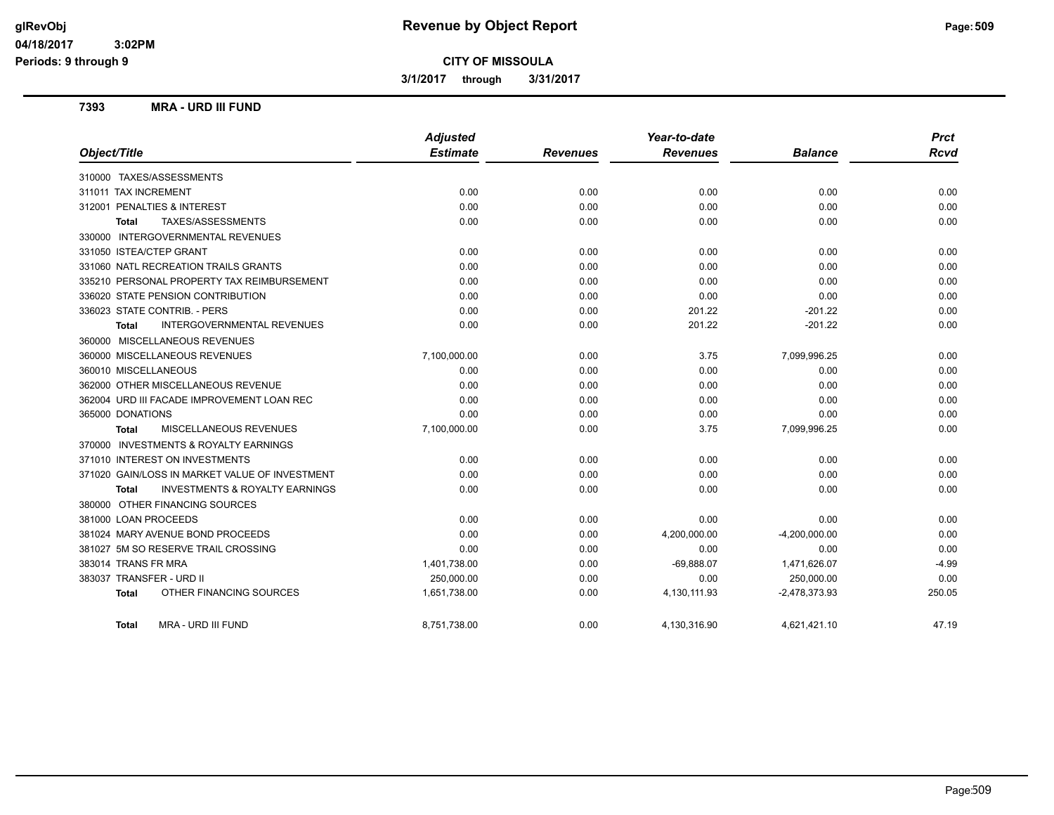**3/1/2017 through 3/31/2017**

#### **7393 MRA - URD III FUND**

| Object/Title                                       | <b>Adjusted</b><br><b>Estimate</b> | <b>Revenues</b> | Year-to-date<br><b>Revenues</b> | <b>Balance</b>  | <b>Prct</b><br><b>Rcvd</b> |
|----------------------------------------------------|------------------------------------|-----------------|---------------------------------|-----------------|----------------------------|
|                                                    |                                    |                 |                                 |                 |                            |
| 310000 TAXES/ASSESSMENTS                           |                                    |                 |                                 |                 |                            |
| 311011 TAX INCREMENT                               | 0.00                               | 0.00            | 0.00                            | 0.00            | 0.00                       |
| 312001 PENALTIES & INTEREST                        | 0.00                               | 0.00            | 0.00                            | 0.00            | 0.00                       |
| TAXES/ASSESSMENTS<br>Total                         | 0.00                               | 0.00            | 0.00                            | 0.00            | 0.00                       |
| 330000 INTERGOVERNMENTAL REVENUES                  |                                    |                 |                                 |                 |                            |
| 331050 ISTEA/CTEP GRANT                            | 0.00                               | 0.00            | 0.00                            | 0.00            | 0.00                       |
| 331060 NATL RECREATION TRAILS GRANTS               | 0.00                               | 0.00            | 0.00                            | 0.00            | 0.00                       |
| 335210 PERSONAL PROPERTY TAX REIMBURSEMENT         | 0.00                               | 0.00            | 0.00                            | 0.00            | 0.00                       |
| 336020 STATE PENSION CONTRIBUTION                  | 0.00                               | 0.00            | 0.00                            | 0.00            | 0.00                       |
| 336023 STATE CONTRIB. - PERS                       | 0.00                               | 0.00            | 201.22                          | $-201.22$       | 0.00                       |
| <b>INTERGOVERNMENTAL REVENUES</b><br>Total         | 0.00                               | 0.00            | 201.22                          | $-201.22$       | 0.00                       |
| 360000 MISCELLANEOUS REVENUES                      |                                    |                 |                                 |                 |                            |
| 360000 MISCELLANEOUS REVENUES                      | 7,100,000.00                       | 0.00            | 3.75                            | 7,099,996.25    | 0.00                       |
| 360010 MISCELLANEOUS                               | 0.00                               | 0.00            | 0.00                            | 0.00            | 0.00                       |
| 362000 OTHER MISCELLANEOUS REVENUE                 | 0.00                               | 0.00            | 0.00                            | 0.00            | 0.00                       |
| 362004 URD III FACADE IMPROVEMENT LOAN REC         | 0.00                               | 0.00            | 0.00                            | 0.00            | 0.00                       |
| 365000 DONATIONS                                   | 0.00                               | 0.00            | 0.00                            | 0.00            | 0.00                       |
| MISCELLANEOUS REVENUES<br>Total                    | 7,100,000.00                       | 0.00            | 3.75                            | 7,099,996.25    | 0.00                       |
| 370000 INVESTMENTS & ROYALTY EARNINGS              |                                    |                 |                                 |                 |                            |
| 371010 INTEREST ON INVESTMENTS                     | 0.00                               | 0.00            | 0.00                            | 0.00            | 0.00                       |
| 371020 GAIN/LOSS IN MARKET VALUE OF INVESTMENT     | 0.00                               | 0.00            | 0.00                            | 0.00            | 0.00                       |
| <b>INVESTMENTS &amp; ROYALTY EARNINGS</b><br>Total | 0.00                               | 0.00            | 0.00                            | 0.00            | 0.00                       |
| 380000 OTHER FINANCING SOURCES                     |                                    |                 |                                 |                 |                            |
| 381000 LOAN PROCEEDS                               | 0.00                               | 0.00            | 0.00                            | 0.00            | 0.00                       |
| 381024 MARY AVENUE BOND PROCEEDS                   | 0.00                               | 0.00            | 4,200,000.00                    | $-4,200,000.00$ | 0.00                       |
| 381027 5M SO RESERVE TRAIL CROSSING                | 0.00                               | 0.00            | 0.00                            | 0.00            | 0.00                       |
| 383014 TRANS FR MRA                                | 1,401,738.00                       | 0.00            | $-69,888.07$                    | 1,471,626.07    | $-4.99$                    |
| 383037 TRANSFER - URD II                           | 250,000.00                         | 0.00            | 0.00                            | 250,000.00      | 0.00                       |
| OTHER FINANCING SOURCES<br><b>Total</b>            | 1,651,738.00                       | 0.00            | 4,130,111.93                    | $-2,478,373.93$ | 250.05                     |
| <b>MRA - URD III FUND</b><br><b>Total</b>          | 8.751.738.00                       | 0.00            | 4.130.316.90                    | 4.621.421.10    | 47.19                      |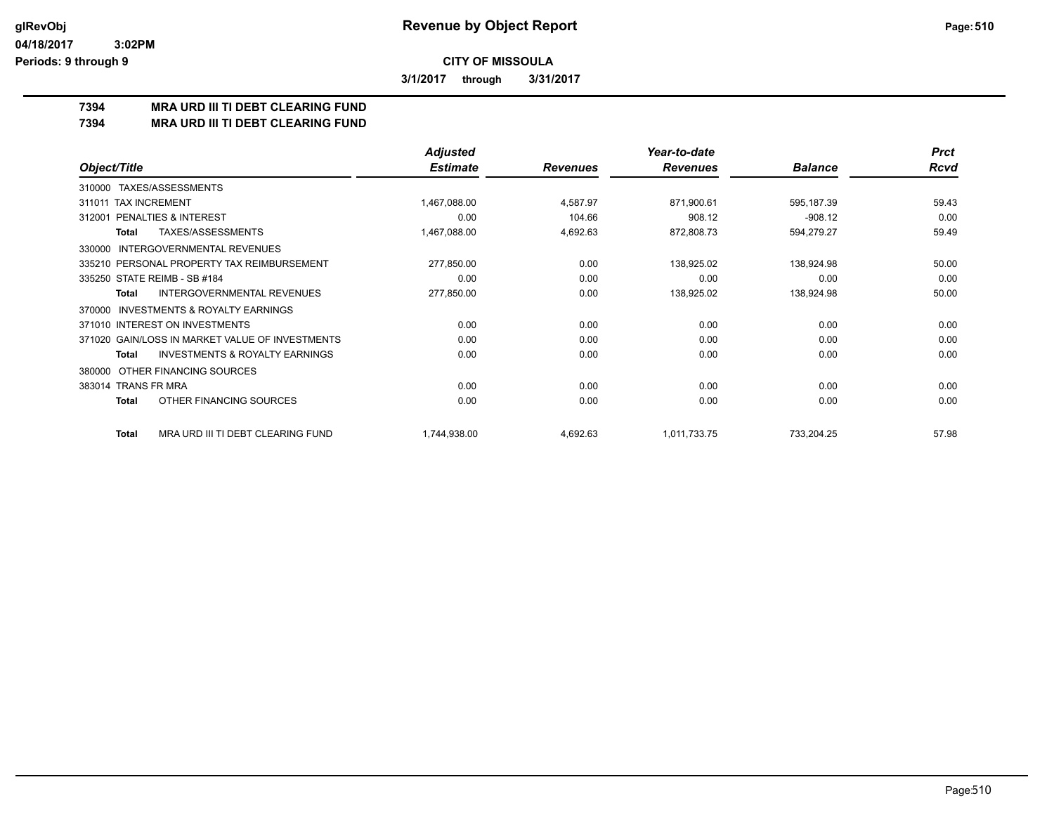**3/1/2017 through 3/31/2017**

# **7394 MRA URD III TI DEBT CLEARING FUND**

**7394 MRA URD III TI DEBT CLEARING FUND**

|                                                     | <b>Adjusted</b> |                 | Year-to-date    |                | <b>Prct</b> |
|-----------------------------------------------------|-----------------|-----------------|-----------------|----------------|-------------|
| Object/Title                                        | <b>Estimate</b> | <b>Revenues</b> | <b>Revenues</b> | <b>Balance</b> | <b>Rcvd</b> |
| TAXES/ASSESSMENTS<br>310000                         |                 |                 |                 |                |             |
| 311011 TAX INCREMENT                                | 1,467,088.00    | 4,587.97        | 871,900.61      | 595,187.39     | 59.43       |
| PENALTIES & INTEREST<br>312001                      | 0.00            | 104.66          | 908.12          | $-908.12$      | 0.00        |
| TAXES/ASSESSMENTS<br>Total                          | 1,467,088.00    | 4,692.63        | 872,808.73      | 594,279.27     | 59.49       |
| INTERGOVERNMENTAL REVENUES<br>330000                |                 |                 |                 |                |             |
| 335210 PERSONAL PROPERTY TAX REIMBURSEMENT          | 277,850.00      | 0.00            | 138,925.02      | 138,924.98     | 50.00       |
| 335250 STATE REIMB - SB #184                        | 0.00            | 0.00            | 0.00            | 0.00           | 0.00        |
| <b>INTERGOVERNMENTAL REVENUES</b><br>Total          | 277,850.00      | 0.00            | 138,925.02      | 138,924.98     | 50.00       |
| <b>INVESTMENTS &amp; ROYALTY EARNINGS</b><br>370000 |                 |                 |                 |                |             |
| 371010 INTEREST ON INVESTMENTS                      | 0.00            | 0.00            | 0.00            | 0.00           | 0.00        |
| 371020 GAIN/LOSS IN MARKET VALUE OF INVESTMENTS     | 0.00            | 0.00            | 0.00            | 0.00           | 0.00        |
| <b>INVESTMENTS &amp; ROYALTY EARNINGS</b><br>Total  | 0.00            | 0.00            | 0.00            | 0.00           | 0.00        |
| OTHER FINANCING SOURCES<br>380000                   |                 |                 |                 |                |             |
| 383014 TRANS FR MRA                                 | 0.00            | 0.00            | 0.00            | 0.00           | 0.00        |
| OTHER FINANCING SOURCES<br>Total                    | 0.00            | 0.00            | 0.00            | 0.00           | 0.00        |
| MRA URD III TI DEBT CLEARING FUND<br><b>Total</b>   | 1,744,938.00    | 4,692.63        | 1,011,733.75    | 733,204.25     | 57.98       |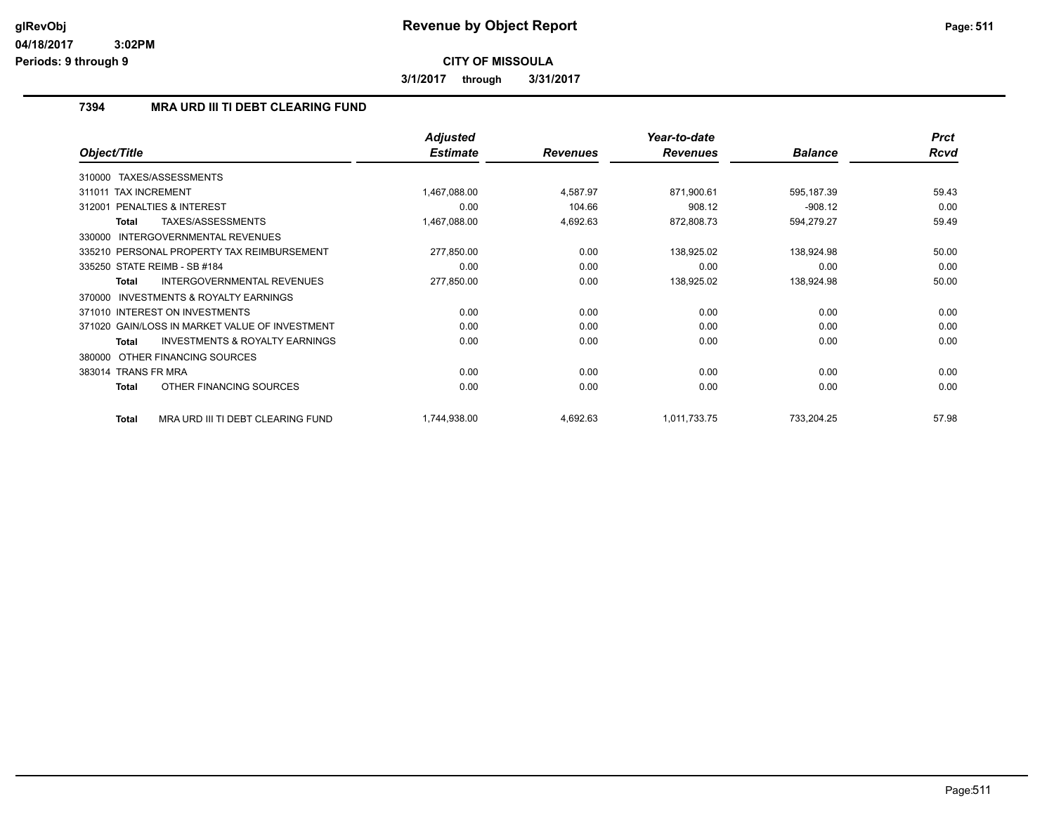**3/1/2017 through 3/31/2017**

# **7394 MRA URD III TI DEBT CLEARING FUND**

|                                                    | <b>Adjusted</b> |                 | Year-to-date    |                | <b>Prct</b> |
|----------------------------------------------------|-----------------|-----------------|-----------------|----------------|-------------|
| Object/Title                                       | <b>Estimate</b> | <b>Revenues</b> | <b>Revenues</b> | <b>Balance</b> | <b>Rcvd</b> |
| TAXES/ASSESSMENTS<br>310000                        |                 |                 |                 |                |             |
| 311011 TAX INCREMENT                               | 1,467,088.00    | 4,587.97        | 871,900.61      | 595, 187.39    | 59.43       |
| 312001 PENALTIES & INTEREST                        | 0.00            | 104.66          | 908.12          | $-908.12$      | 0.00        |
| TAXES/ASSESSMENTS<br>Total                         | 1,467,088.00    | 4,692.63        | 872,808.73      | 594,279.27     | 59.49       |
| <b>INTERGOVERNMENTAL REVENUES</b><br>330000        |                 |                 |                 |                |             |
| 335210 PERSONAL PROPERTY TAX REIMBURSEMENT         | 277,850.00      | 0.00            | 138,925.02      | 138,924.98     | 50.00       |
| 335250 STATE REIMB - SB #184                       | 0.00            | 0.00            | 0.00            | 0.00           | 0.00        |
| <b>Total</b><br><b>INTERGOVERNMENTAL REVENUES</b>  | 277,850.00      | 0.00            | 138,925.02      | 138,924.98     | 50.00       |
| INVESTMENTS & ROYALTY EARNINGS<br>370000           |                 |                 |                 |                |             |
| 371010 INTEREST ON INVESTMENTS                     | 0.00            | 0.00            | 0.00            | 0.00           | 0.00        |
| 371020 GAIN/LOSS IN MARKET VALUE OF INVESTMENT     | 0.00            | 0.00            | 0.00            | 0.00           | 0.00        |
| <b>INVESTMENTS &amp; ROYALTY EARNINGS</b><br>Total | 0.00            | 0.00            | 0.00            | 0.00           | 0.00        |
| OTHER FINANCING SOURCES<br>380000                  |                 |                 |                 |                |             |
| 383014 TRANS FR MRA                                | 0.00            | 0.00            | 0.00            | 0.00           | 0.00        |
| OTHER FINANCING SOURCES<br><b>Total</b>            | 0.00            | 0.00            | 0.00            | 0.00           | 0.00        |
| MRA URD III TI DEBT CLEARING FUND<br><b>Total</b>  | 1,744,938.00    | 4,692.63        | 1,011,733.75    | 733,204.25     | 57.98       |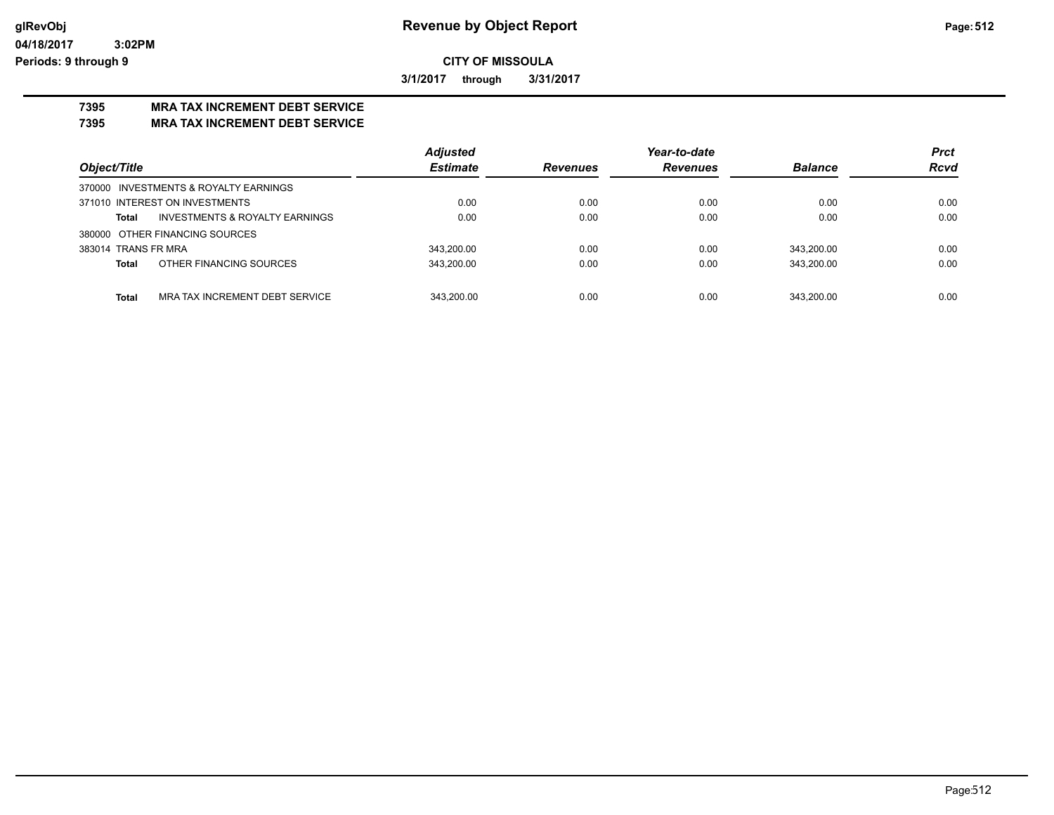**3/1/2017 through 3/31/2017**

# **7395 MRA TAX INCREMENT DEBT SERVICE 7395 MRA TAX INCREMENT DEBT SERVICE**

|                                       |                                | <b>Adjusted</b> |                 | Year-to-date    |                | <b>Prct</b> |
|---------------------------------------|--------------------------------|-----------------|-----------------|-----------------|----------------|-------------|
| Object/Title                          |                                | <b>Estimate</b> | <b>Revenues</b> | <b>Revenues</b> | <b>Balance</b> | <b>Rcvd</b> |
| 370000 INVESTMENTS & ROYALTY EARNINGS |                                |                 |                 |                 |                |             |
| 371010 INTEREST ON INVESTMENTS        |                                | 0.00            | 0.00            | 0.00            | 0.00           | 0.00        |
| Total                                 | INVESTMENTS & ROYALTY EARNINGS | 0.00            | 0.00            | 0.00            | 0.00           | 0.00        |
| 380000 OTHER FINANCING SOURCES        |                                |                 |                 |                 |                |             |
| 383014 TRANS FR MRA                   |                                | 343.200.00      | 0.00            | 0.00            | 343.200.00     | 0.00        |
| Total                                 | OTHER FINANCING SOURCES        | 343,200.00      | 0.00            | 0.00            | 343.200.00     | 0.00        |
| <b>Total</b>                          | MRA TAX INCREMENT DEBT SERVICE | 343,200.00      | 0.00            | 0.00            | 343.200.00     | 0.00        |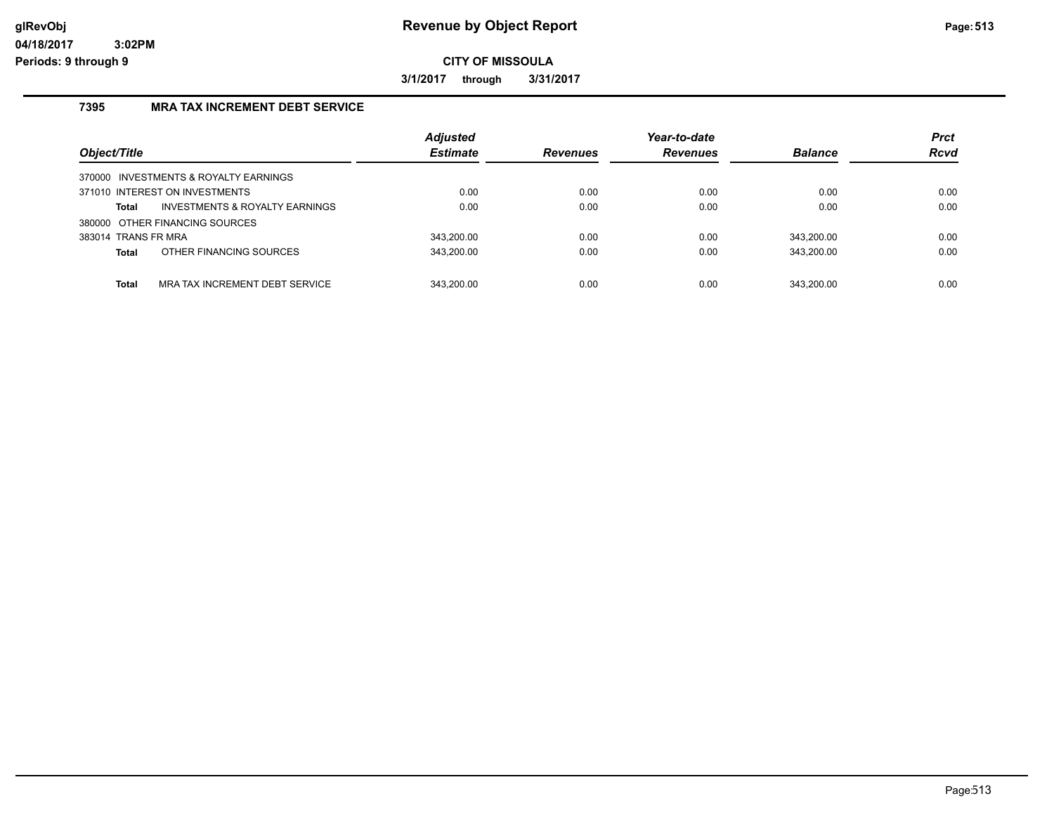**3/1/2017 through 3/31/2017**

## **7395 MRA TAX INCREMENT DEBT SERVICE**

|                     |                                           | <b>Adjusted</b> |                 | Year-to-date    |                | <b>Prct</b> |
|---------------------|-------------------------------------------|-----------------|-----------------|-----------------|----------------|-------------|
| Object/Title        |                                           | <b>Estimate</b> | <b>Revenues</b> | <b>Revenues</b> | <b>Balance</b> | <b>Rcvd</b> |
|                     | 370000 INVESTMENTS & ROYALTY EARNINGS     |                 |                 |                 |                |             |
|                     | 371010 INTEREST ON INVESTMENTS            | 0.00            | 0.00            | 0.00            | 0.00           | 0.00        |
| Total               | <b>INVESTMENTS &amp; ROYALTY EARNINGS</b> | 0.00            | 0.00            | 0.00            | 0.00           | 0.00        |
|                     | 380000 OTHER FINANCING SOURCES            |                 |                 |                 |                |             |
| 383014 TRANS FR MRA |                                           | 343,200.00      | 0.00            | 0.00            | 343.200.00     | 0.00        |
| Total               | OTHER FINANCING SOURCES                   | 343,200.00      | 0.00            | 0.00            | 343,200.00     | 0.00        |
| <b>Total</b>        | MRA TAX INCREMENT DEBT SERVICE            | 343.200.00      | 0.00            | 0.00            | 343.200.00     | 0.00        |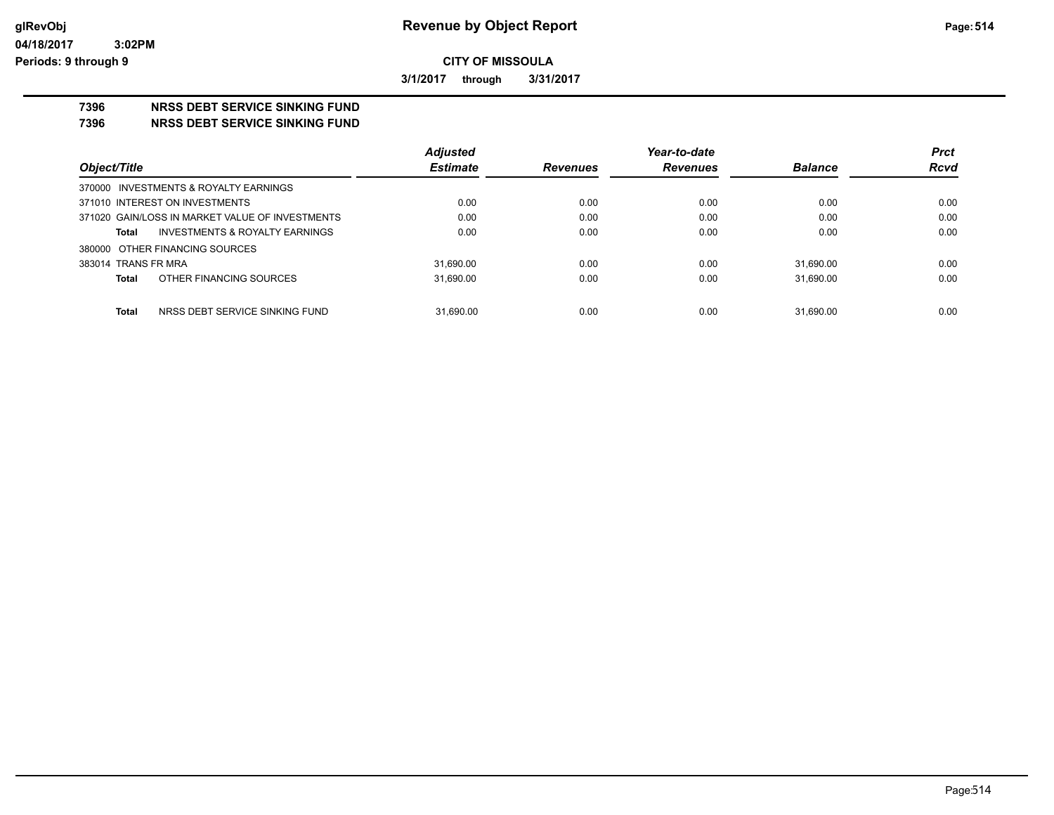**3/1/2017 through 3/31/2017**

# **7396 NRSS DEBT SERVICE SINKING FUND 7396 NRSS DEBT SERVICE SINKING FUND**

|                                                 | <b>Adjusted</b> |                 | Year-to-date    |                | <b>Prct</b> |
|-------------------------------------------------|-----------------|-----------------|-----------------|----------------|-------------|
| Object/Title                                    | <b>Estimate</b> | <b>Revenues</b> | <b>Revenues</b> | <b>Balance</b> | <b>Rcvd</b> |
| 370000 INVESTMENTS & ROYALTY EARNINGS           |                 |                 |                 |                |             |
| 371010 INTEREST ON INVESTMENTS                  | 0.00            | 0.00            | 0.00            | 0.00           | 0.00        |
| 371020 GAIN/LOSS IN MARKET VALUE OF INVESTMENTS | 0.00            | 0.00            | 0.00            | 0.00           | 0.00        |
| INVESTMENTS & ROYALTY EARNINGS<br>Total         | 0.00            | 0.00            | 0.00            | 0.00           | 0.00        |
| 380000 OTHER FINANCING SOURCES                  |                 |                 |                 |                |             |
| 383014 TRANS FR MRA                             | 31.690.00       | 0.00            | 0.00            | 31.690.00      | 0.00        |
| OTHER FINANCING SOURCES<br>Total                | 31.690.00       | 0.00            | 0.00            | 31.690.00      | 0.00        |
| Total<br>NRSS DEBT SERVICE SINKING FUND         | 31.690.00       | 0.00            | 0.00            | 31.690.00      | 0.00        |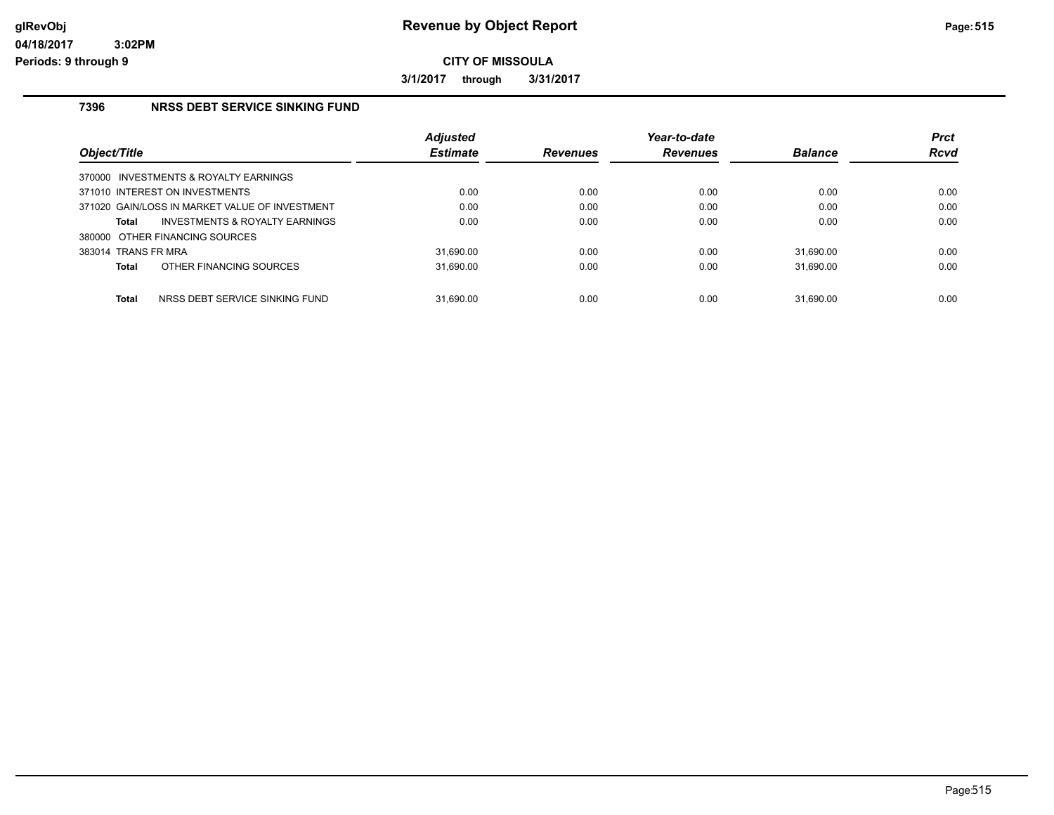**3/1/2017 through 3/31/2017**

## **7396 NRSS DEBT SERVICE SINKING FUND**

|                     |                                                | <b>Adjusted</b> |                 | Year-to-date    |                | <b>Prct</b> |
|---------------------|------------------------------------------------|-----------------|-----------------|-----------------|----------------|-------------|
| Object/Title        |                                                | <b>Estimate</b> | <b>Revenues</b> | <b>Revenues</b> | <b>Balance</b> | <b>Rcvd</b> |
|                     | 370000 INVESTMENTS & ROYALTY EARNINGS          |                 |                 |                 |                |             |
|                     | 371010 INTEREST ON INVESTMENTS                 | 0.00            | 0.00            | 0.00            | 0.00           | 0.00        |
|                     | 371020 GAIN/LOSS IN MARKET VALUE OF INVESTMENT | 0.00            | 0.00            | 0.00            | 0.00           | 0.00        |
| Total               | INVESTMENTS & ROYALTY EARNINGS                 | 0.00            | 0.00            | 0.00            | 0.00           | 0.00        |
|                     | 380000 OTHER FINANCING SOURCES                 |                 |                 |                 |                |             |
| 383014 TRANS FR MRA |                                                | 31.690.00       | 0.00            | 0.00            | 31.690.00      | 0.00        |
| Total               | OTHER FINANCING SOURCES                        | 31.690.00       | 0.00            | 0.00            | 31.690.00      | 0.00        |
| <b>Total</b>        | NRSS DEBT SERVICE SINKING FUND                 | 31.690.00       | 0.00            | 0.00            | 31.690.00      | 0.00        |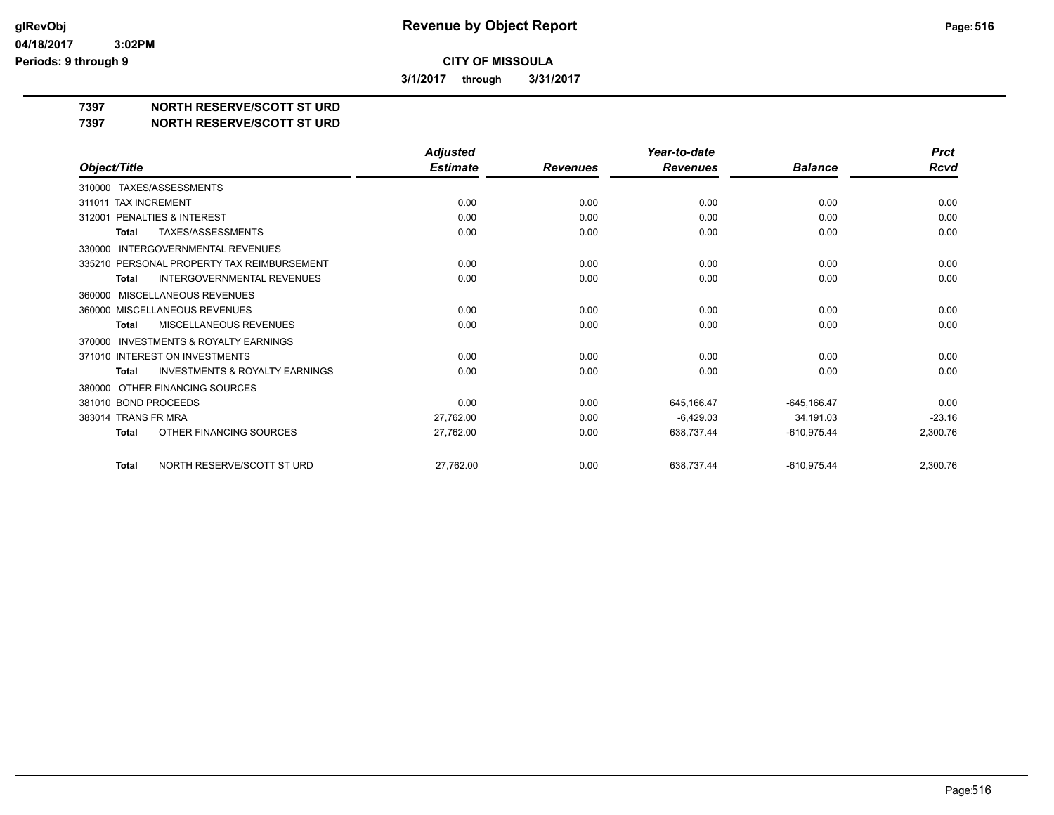**3/1/2017 through 3/31/2017**

**7397 NORTH RESERVE/SCOTT ST URD**

**7397 NORTH RESERVE/SCOTT ST URD**

|                                                           | <b>Adjusted</b> |                 | Year-to-date    |                | <b>Prct</b> |
|-----------------------------------------------------------|-----------------|-----------------|-----------------|----------------|-------------|
| Object/Title                                              | <b>Estimate</b> | <b>Revenues</b> | <b>Revenues</b> | <b>Balance</b> | <b>Rcvd</b> |
| TAXES/ASSESSMENTS<br>310000                               |                 |                 |                 |                |             |
| 311011 TAX INCREMENT                                      | 0.00            | 0.00            | 0.00            | 0.00           | 0.00        |
| PENALTIES & INTEREST<br>312001                            | 0.00            | 0.00            | 0.00            | 0.00           | 0.00        |
| TAXES/ASSESSMENTS<br><b>Total</b>                         | 0.00            | 0.00            | 0.00            | 0.00           | 0.00        |
| INTERGOVERNMENTAL REVENUES<br>330000                      |                 |                 |                 |                |             |
| 335210 PERSONAL PROPERTY TAX REIMBURSEMENT                | 0.00            | 0.00            | 0.00            | 0.00           | 0.00        |
| <b>INTERGOVERNMENTAL REVENUES</b><br>Total                | 0.00            | 0.00            | 0.00            | 0.00           | 0.00        |
| MISCELLANEOUS REVENUES<br>360000                          |                 |                 |                 |                |             |
| 360000 MISCELLANEOUS REVENUES                             | 0.00            | 0.00            | 0.00            | 0.00           | 0.00        |
| MISCELLANEOUS REVENUES<br><b>Total</b>                    | 0.00            | 0.00            | 0.00            | 0.00           | 0.00        |
| INVESTMENTS & ROYALTY EARNINGS<br>370000                  |                 |                 |                 |                |             |
| 371010 INTEREST ON INVESTMENTS                            | 0.00            | 0.00            | 0.00            | 0.00           | 0.00        |
| <b>INVESTMENTS &amp; ROYALTY EARNINGS</b><br><b>Total</b> | 0.00            | 0.00            | 0.00            | 0.00           | 0.00        |
| OTHER FINANCING SOURCES<br>380000                         |                 |                 |                 |                |             |
| 381010 BOND PROCEEDS                                      | 0.00            | 0.00            | 645,166.47      | $-645, 166.47$ | 0.00        |
| 383014 TRANS FR MRA                                       | 27,762.00       | 0.00            | $-6,429.03$     | 34,191.03      | $-23.16$    |
| OTHER FINANCING SOURCES<br><b>Total</b>                   | 27,762.00       | 0.00            | 638,737.44      | $-610,975.44$  | 2,300.76    |
| NORTH RESERVE/SCOTT ST URD<br><b>Total</b>                | 27,762.00       | 0.00            | 638,737.44      | $-610,975.44$  | 2,300.76    |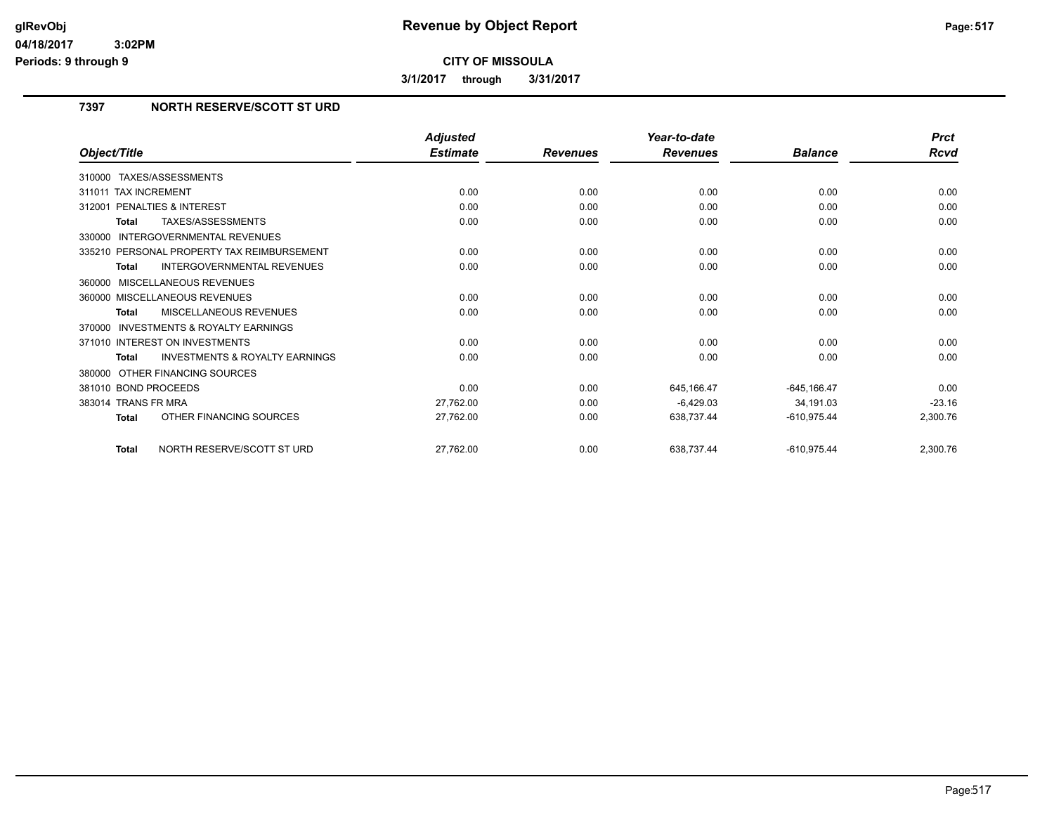**3/1/2017 through 3/31/2017**

# **7397 NORTH RESERVE/SCOTT ST URD**

|                                                    | <b>Adjusted</b> |                 | Year-to-date    |                | <b>Prct</b> |
|----------------------------------------------------|-----------------|-----------------|-----------------|----------------|-------------|
| Object/Title                                       | <b>Estimate</b> | <b>Revenues</b> | <b>Revenues</b> | <b>Balance</b> | <b>Rcvd</b> |
| 310000 TAXES/ASSESSMENTS                           |                 |                 |                 |                |             |
| 311011 TAX INCREMENT                               | 0.00            | 0.00            | 0.00            | 0.00           | 0.00        |
| PENALTIES & INTEREST<br>312001                     | 0.00            | 0.00            | 0.00            | 0.00           | 0.00        |
| TAXES/ASSESSMENTS<br><b>Total</b>                  | 0.00            | 0.00            | 0.00            | 0.00           | 0.00        |
| INTERGOVERNMENTAL REVENUES<br>330000               |                 |                 |                 |                |             |
| 335210 PERSONAL PROPERTY TAX REIMBURSEMENT         | 0.00            | 0.00            | 0.00            | 0.00           | 0.00        |
| <b>INTERGOVERNMENTAL REVENUES</b><br>Total         | 0.00            | 0.00            | 0.00            | 0.00           | 0.00        |
| 360000 MISCELLANEOUS REVENUES                      |                 |                 |                 |                |             |
| 360000 MISCELLANEOUS REVENUES                      | 0.00            | 0.00            | 0.00            | 0.00           | 0.00        |
| MISCELLANEOUS REVENUES<br>Total                    | 0.00            | 0.00            | 0.00            | 0.00           | 0.00        |
| 370000 INVESTMENTS & ROYALTY EARNINGS              |                 |                 |                 |                |             |
| 371010 INTEREST ON INVESTMENTS                     | 0.00            | 0.00            | 0.00            | 0.00           | 0.00        |
| <b>INVESTMENTS &amp; ROYALTY EARNINGS</b><br>Total | 0.00            | 0.00            | 0.00            | 0.00           | 0.00        |
| 380000 OTHER FINANCING SOURCES                     |                 |                 |                 |                |             |
| 381010 BOND PROCEEDS                               | 0.00            | 0.00            | 645,166.47      | $-645, 166.47$ | 0.00        |
| 383014 TRANS FR MRA                                | 27,762.00       | 0.00            | $-6,429.03$     | 34,191.03      | $-23.16$    |
| OTHER FINANCING SOURCES<br><b>Total</b>            | 27,762.00       | 0.00            | 638,737.44      | $-610,975.44$  | 2,300.76    |
| NORTH RESERVE/SCOTT ST URD<br><b>Total</b>         | 27,762.00       | 0.00            | 638,737.44      | $-610,975.44$  | 2,300.76    |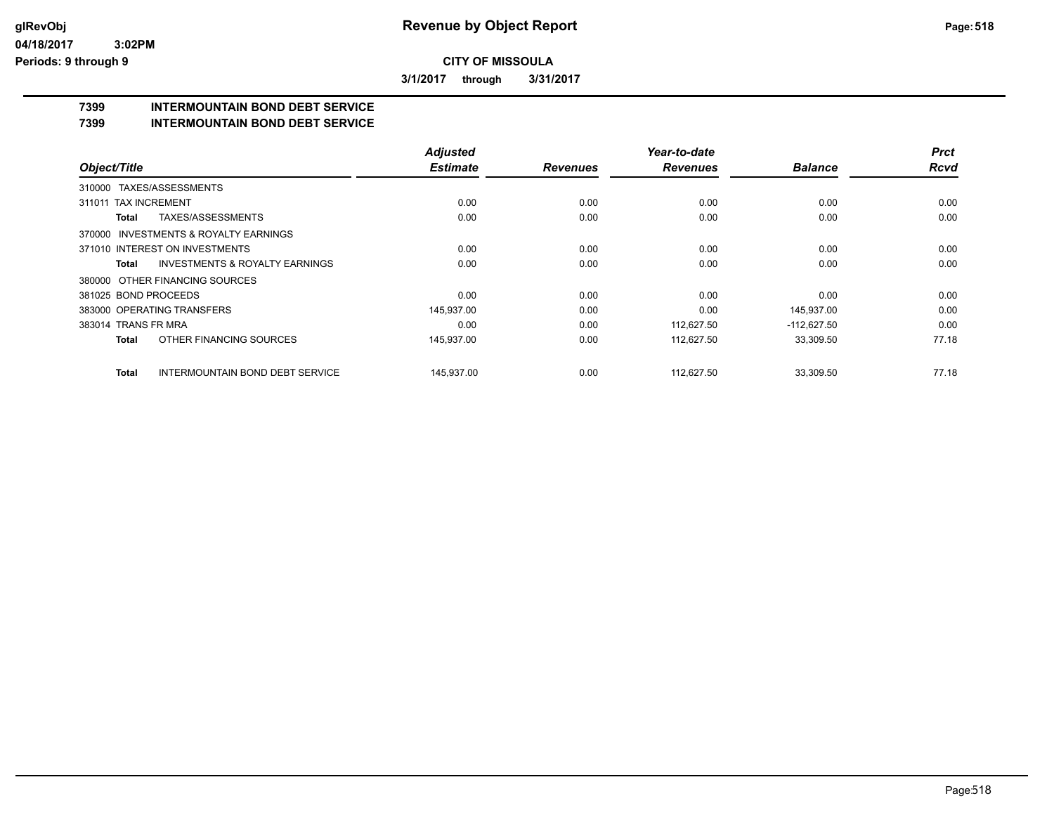**3/1/2017 through 3/31/2017**

# **7399 INTERMOUNTAIN BOND DEBT SERVICE 7399 INTERMOUNTAIN BOND DEBT SERVICE**

|                      |                                           | <b>Adjusted</b> |                 | Year-to-date    |                | <b>Prct</b> |
|----------------------|-------------------------------------------|-----------------|-----------------|-----------------|----------------|-------------|
| Object/Title         |                                           | <b>Estimate</b> | <b>Revenues</b> | <b>Revenues</b> | <b>Balance</b> | Rcvd        |
|                      | 310000 TAXES/ASSESSMENTS                  |                 |                 |                 |                |             |
| 311011               | <b>TAX INCREMENT</b>                      | 0.00            | 0.00            | 0.00            | 0.00           | 0.00        |
| Total                | TAXES/ASSESSMENTS                         | 0.00            | 0.00            | 0.00            | 0.00           | 0.00        |
| 370000               | <b>INVESTMENTS &amp; ROYALTY EARNINGS</b> |                 |                 |                 |                |             |
|                      | 371010 INTEREST ON INVESTMENTS            | 0.00            | 0.00            | 0.00            | 0.00           | 0.00        |
| Total                | <b>INVESTMENTS &amp; ROYALTY EARNINGS</b> | 0.00            | 0.00            | 0.00            | 0.00           | 0.00        |
|                      | 380000 OTHER FINANCING SOURCES            |                 |                 |                 |                |             |
| 381025 BOND PROCEEDS |                                           | 0.00            | 0.00            | 0.00            | 0.00           | 0.00        |
|                      | 383000 OPERATING TRANSFERS                | 145,937.00      | 0.00            | 0.00            | 145,937.00     | 0.00        |
| 383014 TRANS FR MRA  |                                           | 0.00            | 0.00            | 112,627.50      | $-112,627.50$  | 0.00        |
| Total                | OTHER FINANCING SOURCES                   | 145,937.00      | 0.00            | 112.627.50      | 33,309.50      | 77.18       |
| <b>Total</b>         | INTERMOUNTAIN BOND DEBT SERVICE           | 145.937.00      | 0.00            | 112.627.50      | 33,309.50      | 77.18       |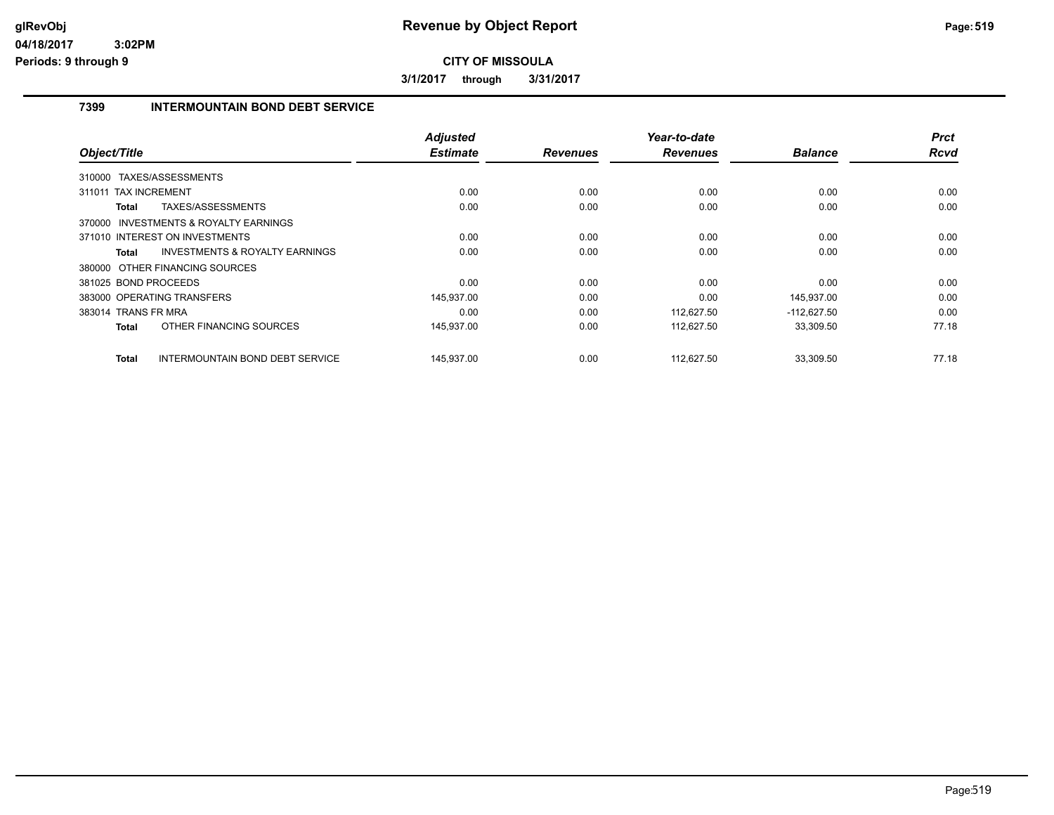**3/1/2017 through 3/31/2017**

## **7399 INTERMOUNTAIN BOND DEBT SERVICE**

|                                                    | <b>Adjusted</b> |                 | Year-to-date    |                | <b>Prct</b> |
|----------------------------------------------------|-----------------|-----------------|-----------------|----------------|-------------|
| Object/Title                                       | <b>Estimate</b> | <b>Revenues</b> | <b>Revenues</b> | <b>Balance</b> | Rcvd        |
| 310000 TAXES/ASSESSMENTS                           |                 |                 |                 |                |             |
| <b>TAX INCREMENT</b><br>311011                     | 0.00            | 0.00            | 0.00            | 0.00           | 0.00        |
| TAXES/ASSESSMENTS<br><b>Total</b>                  | 0.00            | 0.00            | 0.00            | 0.00           | 0.00        |
| 370000 INVESTMENTS & ROYALTY EARNINGS              |                 |                 |                 |                |             |
| 371010 INTEREST ON INVESTMENTS                     | 0.00            | 0.00            | 0.00            | 0.00           | 0.00        |
| <b>INVESTMENTS &amp; ROYALTY EARNINGS</b><br>Total | 0.00            | 0.00            | 0.00            | 0.00           | 0.00        |
| 380000 OTHER FINANCING SOURCES                     |                 |                 |                 |                |             |
| 381025 BOND PROCEEDS                               | 0.00            | 0.00            | 0.00            | 0.00           | 0.00        |
| 383000 OPERATING TRANSFERS                         | 145,937.00      | 0.00            | 0.00            | 145,937.00     | 0.00        |
| 383014 TRANS FR MRA                                | 0.00            | 0.00            | 112,627.50      | $-112,627.50$  | 0.00        |
| OTHER FINANCING SOURCES<br><b>Total</b>            | 145,937.00      | 0.00            | 112,627.50      | 33,309.50      | 77.18       |
| INTERMOUNTAIN BOND DEBT SERVICE<br><b>Total</b>    | 145,937.00      | 0.00            | 112,627.50      | 33,309.50      | 77.18       |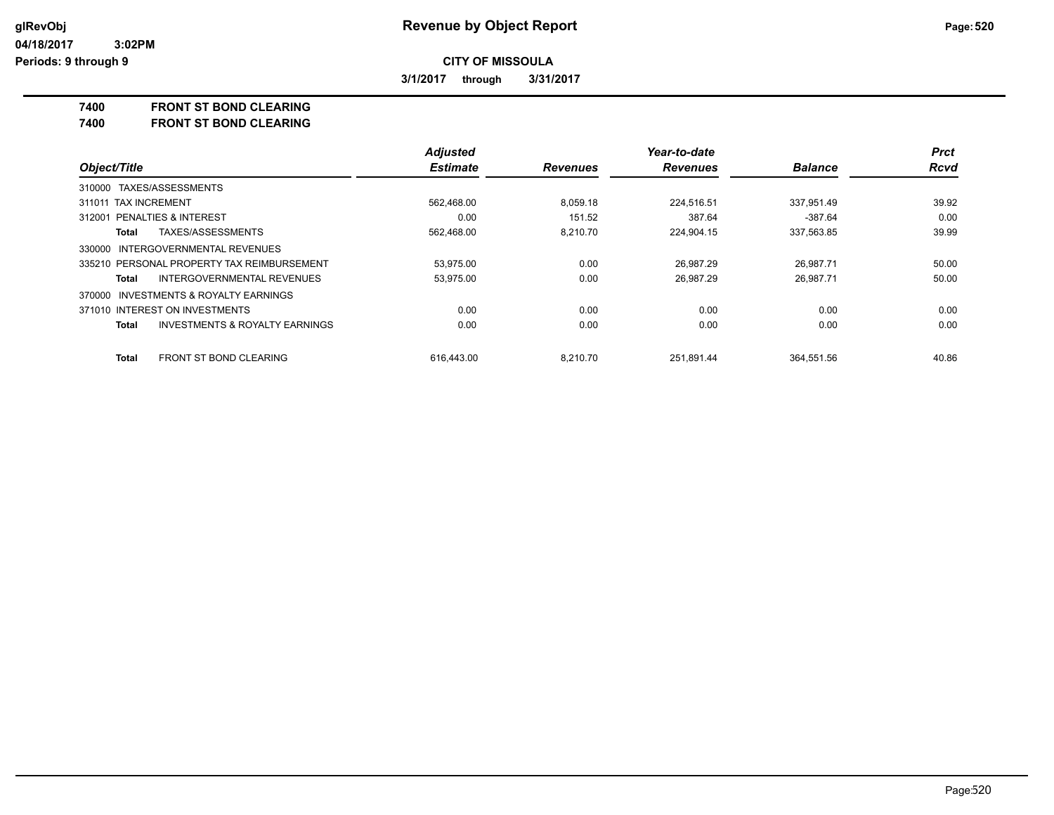**3/1/2017 through 3/31/2017**

**7400 FRONT ST BOND CLEARING 7400 FRONT ST BOND CLEARING**

*Object/Title Adjusted Estimate Revenues Year-to-date Revenues Balance Prct Rcvd* 310000 TAXES/ASSESSMENTS 311011 TAX INCREMENT 562,468.00 8,059.18 224,516.51 337,951.49 39.92 312001 PENALTIES & INTEREST 0.00 0 000 0 000 151.52 387.64 387.64 387.64 387.64 387.64 387.64 387.64 387.64 387.64 **Total** TAXES/ASSESSMENTS 562,468.00 8,210.70 224,904.15 337,563.85 39.99 330000 INTERGOVERNMENTAL REVENUES 335210 PERSONAL PROPERTY TAX REIMBURSEMENT 53,975.00 0.00 26,987.29 26,987.71 50.00 **Total** INTERGOVERNMENTAL REVENUES 53,975.00 0.00 26,987.29 26,987.71 50.00 370000 INVESTMENTS & ROYALTY EARNINGS 371010 INTEREST ON INVESTMENTS 0.00 0.00 0.00 0.00 0.00 **Total** INVESTMENTS & ROYALTY EARNINGS 0.00 0.00 0.00 0.00 0.00 **Total FRONT ST BOND CLEARING**  $616,443.00$  $8.210.70$  $251,891.44$  $364,551.56$  $40.86$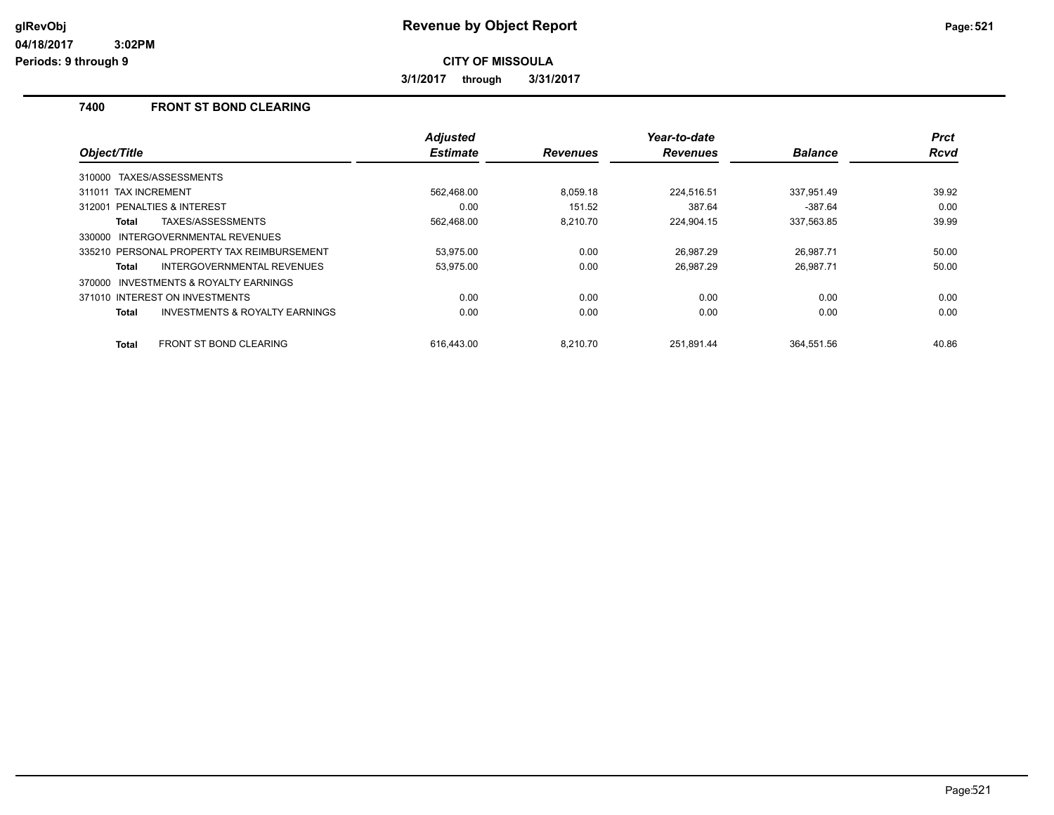**3/1/2017 through 3/31/2017**

# **7400 FRONT ST BOND CLEARING**

|                                                | <b>Adjusted</b> |                 | Year-to-date    |                | <b>Prct</b> |
|------------------------------------------------|-----------------|-----------------|-----------------|----------------|-------------|
| Object/Title                                   | <b>Estimate</b> | <b>Revenues</b> | <b>Revenues</b> | <b>Balance</b> | <b>Rcvd</b> |
| TAXES/ASSESSMENTS<br>310000                    |                 |                 |                 |                |             |
| 311011 TAX INCREMENT                           | 562,468.00      | 8.059.18        | 224.516.51      | 337,951.49     | 39.92       |
| 312001 PENALTIES & INTEREST                    | 0.00            | 151.52          | 387.64          | $-387.64$      | 0.00        |
| TAXES/ASSESSMENTS<br><b>Total</b>              | 562,468.00      | 8.210.70        | 224,904.15      | 337,563.85     | 39.99       |
| 330000 INTERGOVERNMENTAL REVENUES              |                 |                 |                 |                |             |
| 335210 PERSONAL PROPERTY TAX REIMBURSEMENT     | 53.975.00       | 0.00            | 26.987.29       | 26.987.71      | 50.00       |
| INTERGOVERNMENTAL REVENUES<br>Total            | 53.975.00       | 0.00            | 26.987.29       | 26.987.71      | 50.00       |
| 370000 INVESTMENTS & ROYALTY EARNINGS          |                 |                 |                 |                |             |
| 371010 INTEREST ON INVESTMENTS                 | 0.00            | 0.00            | 0.00            | 0.00           | 0.00        |
| INVESTMENTS & ROYALTY EARNINGS<br><b>Total</b> | 0.00            | 0.00            | 0.00            | 0.00           | 0.00        |
| FRONT ST BOND CLEARING<br><b>Total</b>         | 616.443.00      | 8.210.70        | 251,891.44      | 364,551.56     | 40.86       |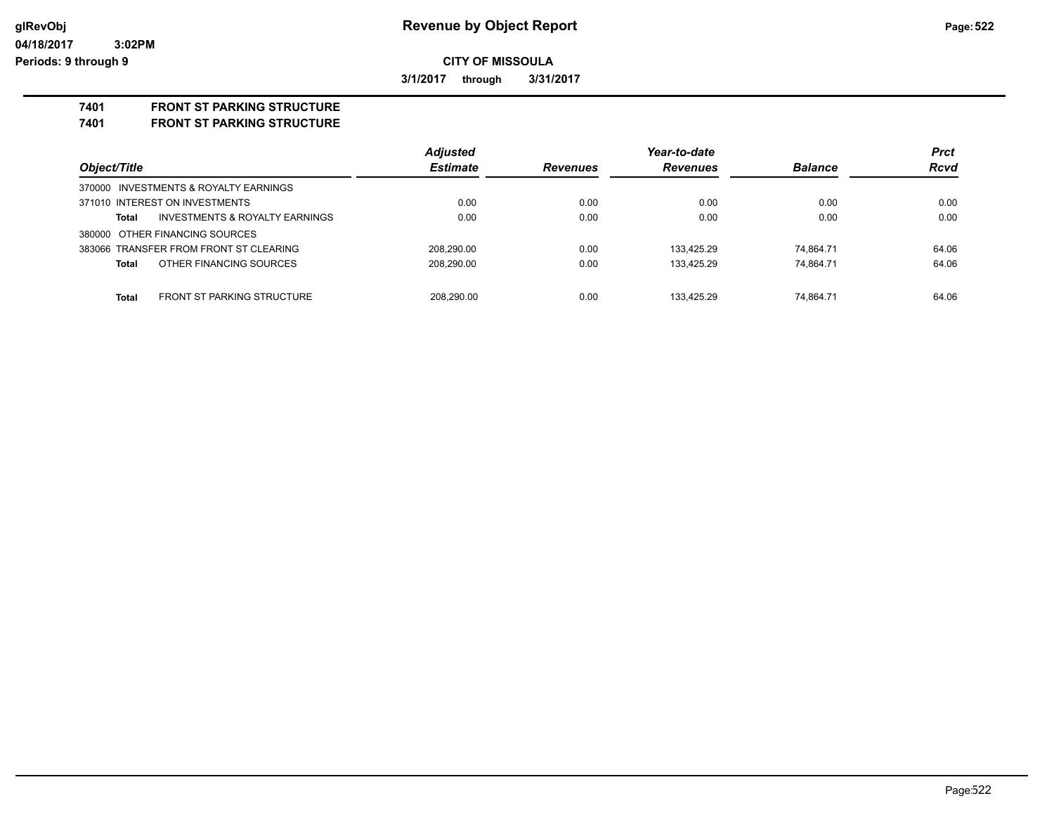**3/1/2017 through 3/31/2017**

**7401 FRONT ST PARKING STRUCTURE 7401 FRONT ST PARKING STRUCTURE**

|                                                    | <b>Adjusted</b> |                 | Year-to-date    |                | <b>Prct</b> |
|----------------------------------------------------|-----------------|-----------------|-----------------|----------------|-------------|
| Object/Title                                       | <b>Estimate</b> | <b>Revenues</b> | <b>Revenues</b> | <b>Balance</b> | <b>Rcvd</b> |
| 370000 INVESTMENTS & ROYALTY EARNINGS              |                 |                 |                 |                |             |
| 371010 INTEREST ON INVESTMENTS                     | 0.00            | 0.00            | 0.00            | 0.00           | 0.00        |
| <b>INVESTMENTS &amp; ROYALTY EARNINGS</b><br>Total | 0.00            | 0.00            | 0.00            | 0.00           | 0.00        |
| 380000 OTHER FINANCING SOURCES                     |                 |                 |                 |                |             |
| 383066 TRANSFER FROM FRONT ST CLEARING             | 208.290.00      | 0.00            | 133.425.29      | 74.864.71      | 64.06       |
| OTHER FINANCING SOURCES<br>Total                   | 208.290.00      | 0.00            | 133.425.29      | 74.864.71      | 64.06       |
|                                                    |                 |                 |                 |                |             |
| <b>FRONT ST PARKING STRUCTURE</b><br><b>Total</b>  | 208,290.00      | 0.00            | 133.425.29      | 74.864.71      | 64.06       |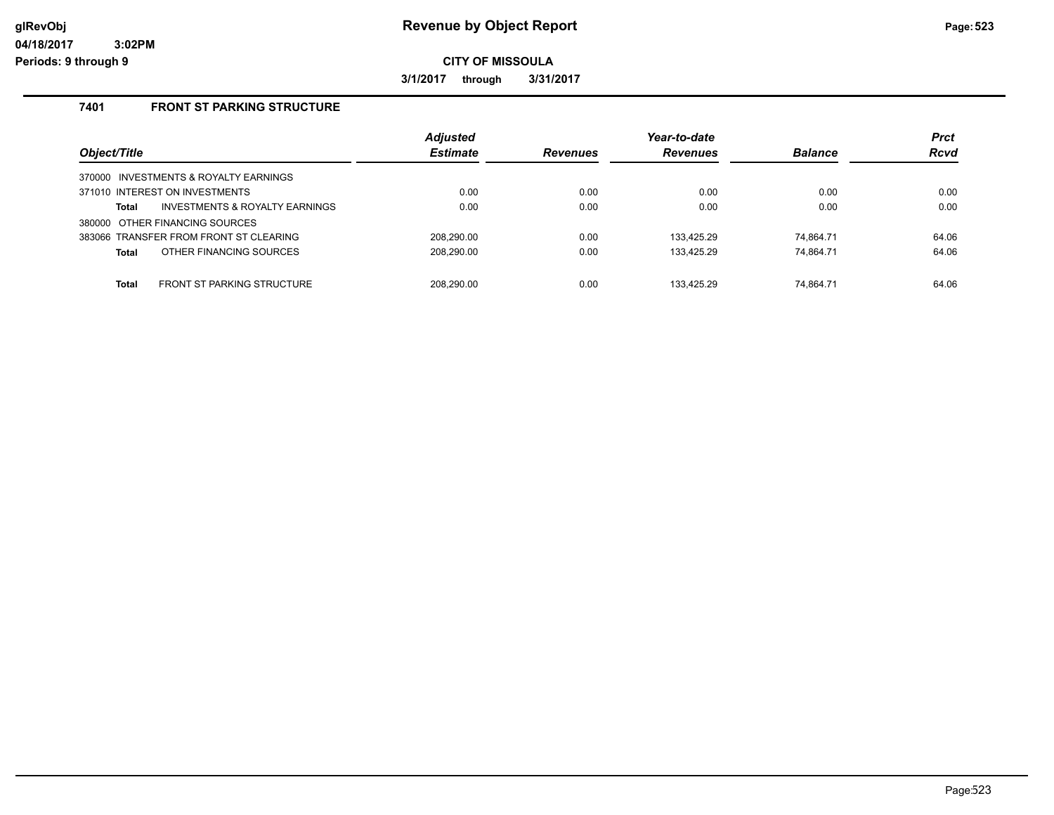**3/1/2017 through 3/31/2017**

## **7401 FRONT ST PARKING STRUCTURE**

|              |                                        | <b>Adjusted</b> |                 | Year-to-date    |                | <b>Prct</b> |
|--------------|----------------------------------------|-----------------|-----------------|-----------------|----------------|-------------|
| Object/Title |                                        | <b>Estimate</b> | <b>Revenues</b> | <b>Revenues</b> | <b>Balance</b> | <b>Rcvd</b> |
|              | 370000 INVESTMENTS & ROYALTY EARNINGS  |                 |                 |                 |                |             |
|              | 371010 INTEREST ON INVESTMENTS         | 0.00            | 0.00            | 0.00            | 0.00           | 0.00        |
| Total        | INVESTMENTS & ROYALTY EARNINGS         | 0.00            | 0.00            | 0.00            | 0.00           | 0.00        |
|              | 380000 OTHER FINANCING SOURCES         |                 |                 |                 |                |             |
|              | 383066 TRANSFER FROM FRONT ST CLEARING | 208.290.00      | 0.00            | 133.425.29      | 74.864.71      | 64.06       |
| Total        | OTHER FINANCING SOURCES                | 208,290.00      | 0.00            | 133.425.29      | 74.864.71      | 64.06       |
| <b>Total</b> | <b>FRONT ST PARKING STRUCTURE</b>      | 208.290.00      | 0.00            | 133.425.29      | 74.864.71      | 64.06       |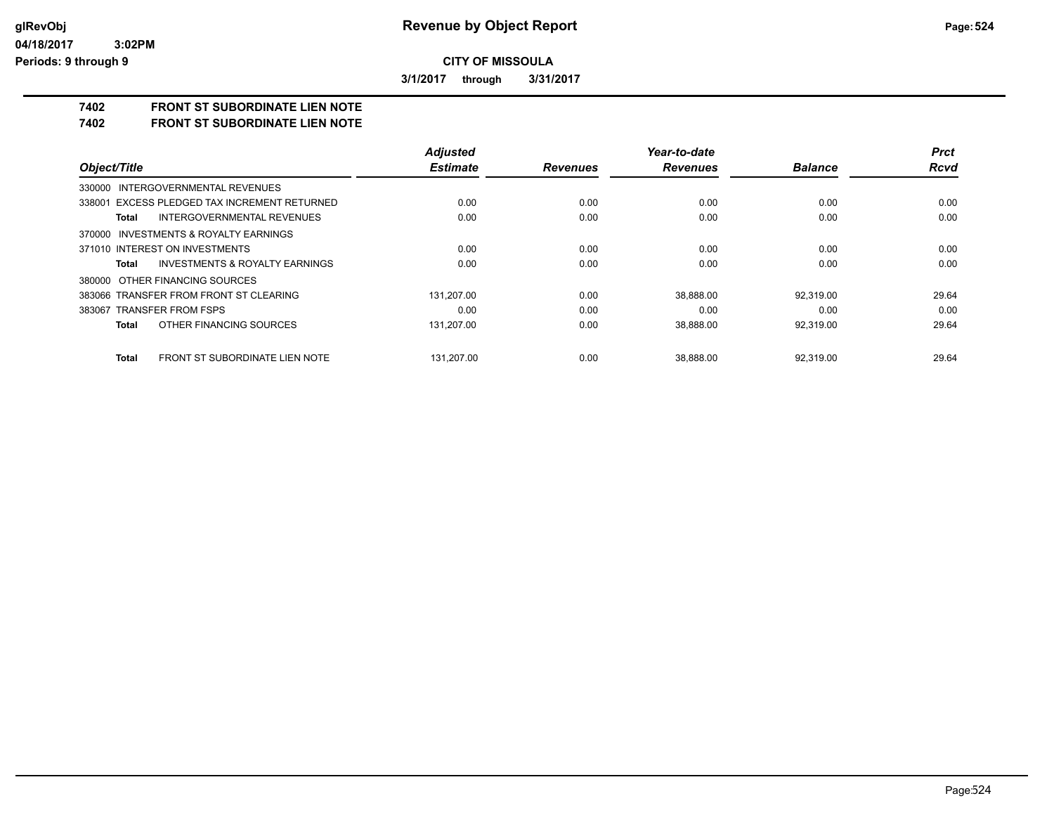**3/1/2017 through 3/31/2017**

# **7402 FRONT ST SUBORDINATE LIEN NOTE 7402 FRONT ST SUBORDINATE LIEN NOTE**

|                                                       | <b>Adjusted</b> |                 | Year-to-date    |                | <b>Prct</b> |
|-------------------------------------------------------|-----------------|-----------------|-----------------|----------------|-------------|
| Object/Title                                          | <b>Estimate</b> | <b>Revenues</b> | <b>Revenues</b> | <b>Balance</b> | <b>Rcvd</b> |
| 330000 INTERGOVERNMENTAL REVENUES                     |                 |                 |                 |                |             |
| EXCESS PLEDGED TAX INCREMENT RETURNED<br>338001       | 0.00            | 0.00            | 0.00            | 0.00           | 0.00        |
| INTERGOVERNMENTAL REVENUES<br>Total                   | 0.00            | 0.00            | 0.00            | 0.00           | 0.00        |
| 370000 INVESTMENTS & ROYALTY EARNINGS                 |                 |                 |                 |                |             |
| 371010 INTEREST ON INVESTMENTS                        | 0.00            | 0.00            | 0.00            | 0.00           | 0.00        |
| <b>INVESTMENTS &amp; ROYALTY EARNINGS</b><br>Total    | 0.00            | 0.00            | 0.00            | 0.00           | 0.00        |
| 380000 OTHER FINANCING SOURCES                        |                 |                 |                 |                |             |
| 383066 TRANSFER FROM FRONT ST CLEARING                | 131.207.00      | 0.00            | 38,888.00       | 92.319.00      | 29.64       |
| 383067 TRANSFER FROM FSPS                             | 0.00            | 0.00            | 0.00            | 0.00           | 0.00        |
| OTHER FINANCING SOURCES<br>Total                      | 131,207.00      | 0.00            | 38,888.00       | 92,319.00      | 29.64       |
| <b>FRONT ST SUBORDINATE LIEN NOTE</b><br><b>Total</b> | 131,207.00      | 0.00            | 38.888.00       | 92.319.00      | 29.64       |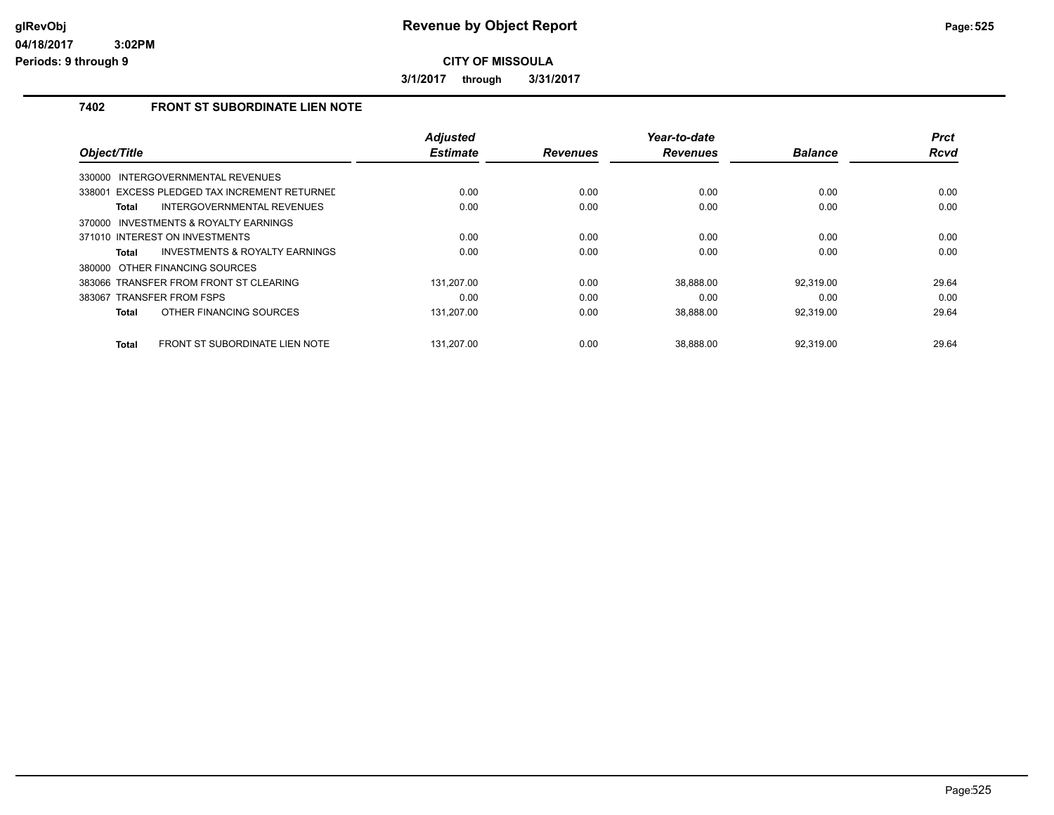**3/1/2017 through 3/31/2017**

## **7402 FRONT ST SUBORDINATE LIEN NOTE**

|                                                       | <b>Adjusted</b> |                 | Year-to-date    |                | <b>Prct</b> |
|-------------------------------------------------------|-----------------|-----------------|-----------------|----------------|-------------|
| Object/Title                                          | <b>Estimate</b> | <b>Revenues</b> | <b>Revenues</b> | <b>Balance</b> | <b>Rcvd</b> |
| INTERGOVERNMENTAL REVENUES<br>330000                  |                 |                 |                 |                |             |
| 338001 EXCESS PLEDGED TAX INCREMENT RETURNED          | 0.00            | 0.00            | 0.00            | 0.00           | 0.00        |
| <b>INTERGOVERNMENTAL REVENUES</b><br>Total            | 0.00            | 0.00            | 0.00            | 0.00           | 0.00        |
| 370000 INVESTMENTS & ROYALTY EARNINGS                 |                 |                 |                 |                |             |
| 371010 INTEREST ON INVESTMENTS                        | 0.00            | 0.00            | 0.00            | 0.00           | 0.00        |
| <b>INVESTMENTS &amp; ROYALTY EARNINGS</b><br>Total    | 0.00            | 0.00            | 0.00            | 0.00           | 0.00        |
| OTHER FINANCING SOURCES<br>380000                     |                 |                 |                 |                |             |
| 383066 TRANSFER FROM FRONT ST CLEARING                | 131.207.00      | 0.00            | 38.888.00       | 92.319.00      | 29.64       |
| <b>TRANSFER FROM FSPS</b><br>383067                   | 0.00            | 0.00            | 0.00            | 0.00           | 0.00        |
| OTHER FINANCING SOURCES<br><b>Total</b>               | 131,207.00      | 0.00            | 38,888.00       | 92,319.00      | 29.64       |
| <b>FRONT ST SUBORDINATE LIEN NOTE</b><br><b>Total</b> | 131.207.00      | 0.00            | 38.888.00       | 92.319.00      | 29.64       |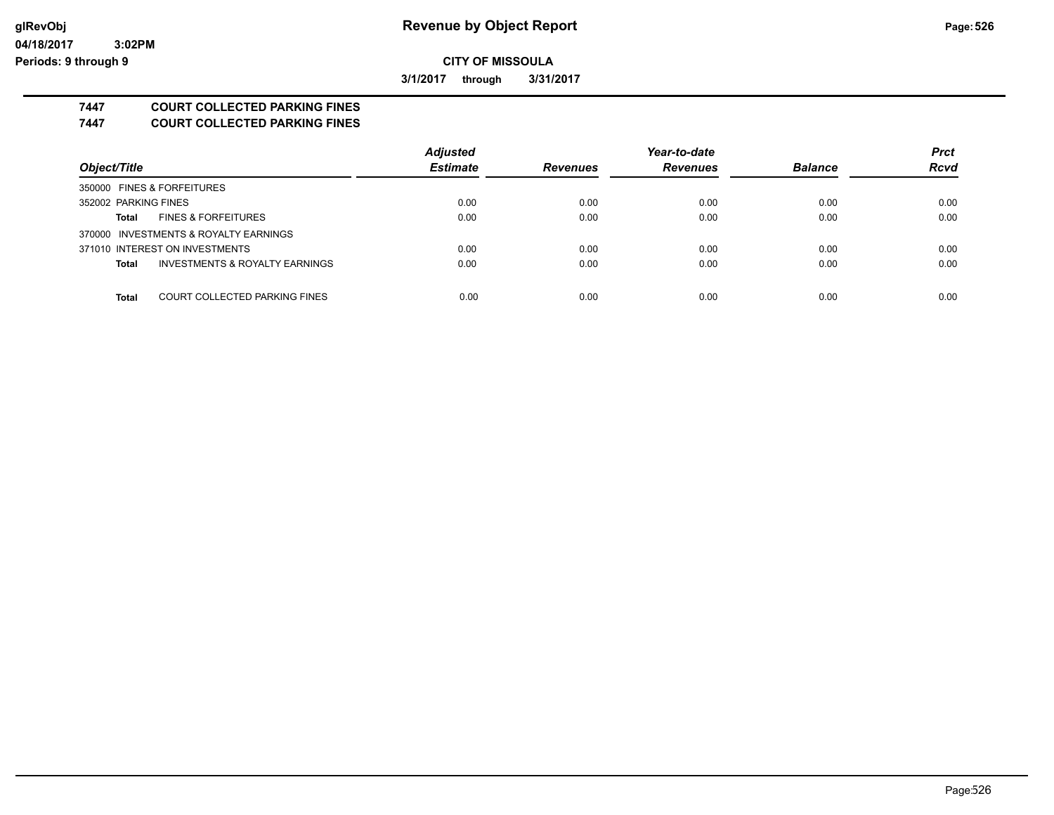**3/1/2017 through 3/31/2017**

# **7447 COURT COLLECTED PARKING FINES 7447 COURT COLLECTED PARKING FINES**

|                                               | <b>Adjusted</b> |                 | Year-to-date    |                | <b>Prct</b> |
|-----------------------------------------------|-----------------|-----------------|-----------------|----------------|-------------|
| Object/Title                                  | <b>Estimate</b> | <b>Revenues</b> | <b>Revenues</b> | <b>Balance</b> | <b>Rcvd</b> |
| 350000 FINES & FORFEITURES                    |                 |                 |                 |                |             |
| 352002 PARKING FINES                          | 0.00            | 0.00            | 0.00            | 0.00           | 0.00        |
| <b>FINES &amp; FORFEITURES</b><br>Total       | 0.00            | 0.00            | 0.00            | 0.00           | 0.00        |
| 370000 INVESTMENTS & ROYALTY EARNINGS         |                 |                 |                 |                |             |
| 371010 INTEREST ON INVESTMENTS                | 0.00            | 0.00            | 0.00            | 0.00           | 0.00        |
| INVESTMENTS & ROYALTY EARNINGS<br>Total       | 0.00            | 0.00            | 0.00            | 0.00           | 0.00        |
|                                               |                 |                 |                 |                |             |
| COURT COLLECTED PARKING FINES<br><b>Total</b> | 0.00            | 0.00            | 0.00            | 0.00           | 0.00        |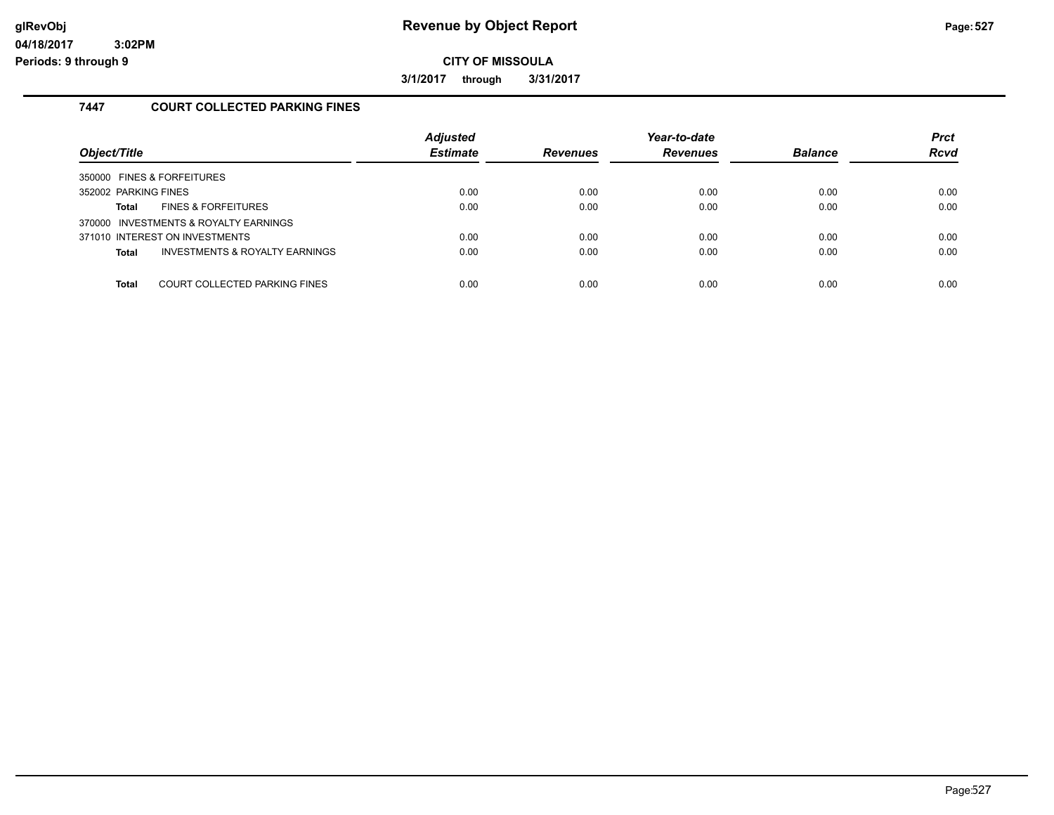**3/1/2017 through 3/31/2017**

## **7447 COURT COLLECTED PARKING FINES**

|                                                | <b>Adjusted</b> |                 | Year-to-date    |                | <b>Prct</b> |
|------------------------------------------------|-----------------|-----------------|-----------------|----------------|-------------|
| Object/Title                                   | <b>Estimate</b> | <b>Revenues</b> | <b>Revenues</b> | <b>Balance</b> | <b>Rcvd</b> |
| 350000 FINES & FORFEITURES                     |                 |                 |                 |                |             |
| 352002 PARKING FINES                           | 0.00            | 0.00            | 0.00            | 0.00           | 0.00        |
| <b>FINES &amp; FORFEITURES</b><br>Total        | 0.00            | 0.00            | 0.00            | 0.00           | 0.00        |
| 370000 INVESTMENTS & ROYALTY EARNINGS          |                 |                 |                 |                |             |
| 371010 INTEREST ON INVESTMENTS                 | 0.00            | 0.00            | 0.00            | 0.00           | 0.00        |
| INVESTMENTS & ROYALTY EARNINGS<br><b>Total</b> | 0.00            | 0.00            | 0.00            | 0.00           | 0.00        |
| COURT COLLECTED PARKING FINES<br><b>Total</b>  | 0.00            | 0.00            | 0.00            | 0.00           | 0.00        |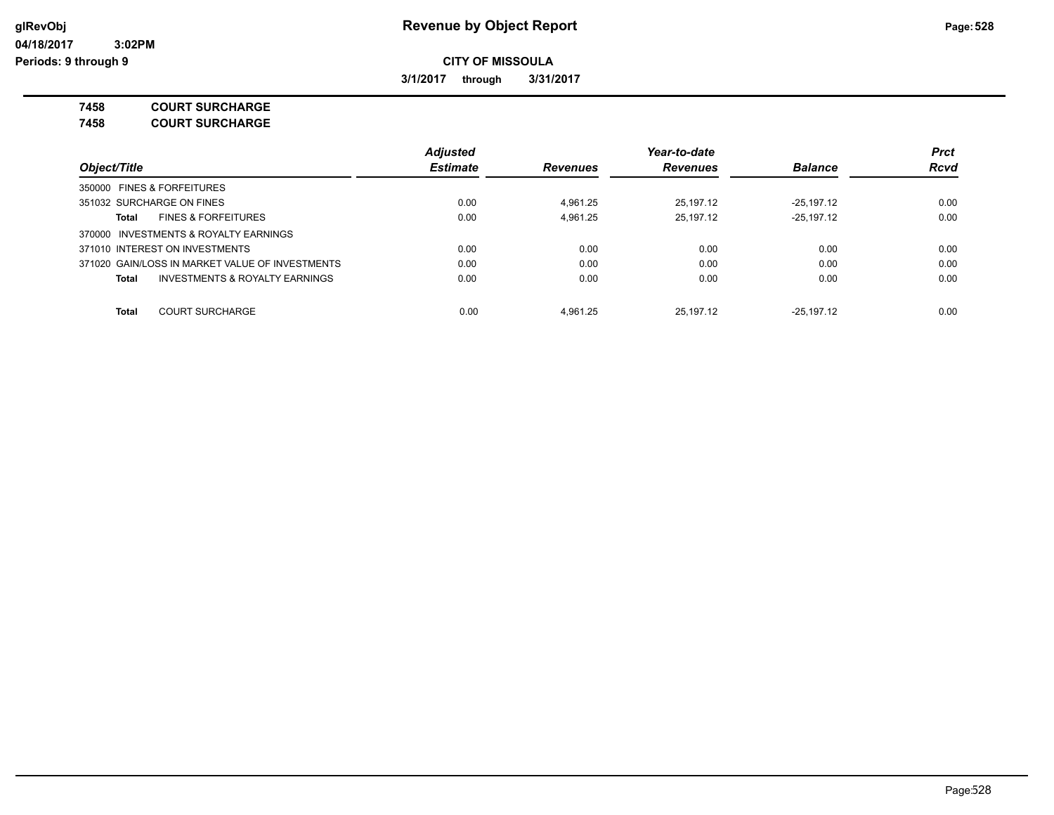**3/1/2017 through 3/31/2017**

**7458 COURT SURCHARGE**

**7458 COURT SURCHARGE**

|                                                 | <b>Adjusted</b> |                 | Year-to-date    |                | <b>Prct</b> |
|-------------------------------------------------|-----------------|-----------------|-----------------|----------------|-------------|
| Object/Title                                    | <b>Estimate</b> | <b>Revenues</b> | <b>Revenues</b> | <b>Balance</b> | <b>Rcvd</b> |
| 350000 FINES & FORFEITURES                      |                 |                 |                 |                |             |
| 351032 SURCHARGE ON FINES                       | 0.00            | 4.961.25        | 25.197.12       | $-25.197.12$   | 0.00        |
| <b>FINES &amp; FORFEITURES</b><br>Total         | 0.00            | 4.961.25        | 25,197.12       | $-25,197.12$   | 0.00        |
| 370000 INVESTMENTS & ROYALTY EARNINGS           |                 |                 |                 |                |             |
| 371010 INTEREST ON INVESTMENTS                  | 0.00            | 0.00            | 0.00            | 0.00           | 0.00        |
| 371020 GAIN/LOSS IN MARKET VALUE OF INVESTMENTS | 0.00            | 0.00            | 0.00            | 0.00           | 0.00        |
| INVESTMENTS & ROYALTY EARNINGS<br>Total         | 0.00            | 0.00            | 0.00            | 0.00           | 0.00        |
| Total<br><b>COURT SURCHARGE</b>                 | 0.00            | 4.961.25        | 25.197.12       | $-25.197.12$   | 0.00        |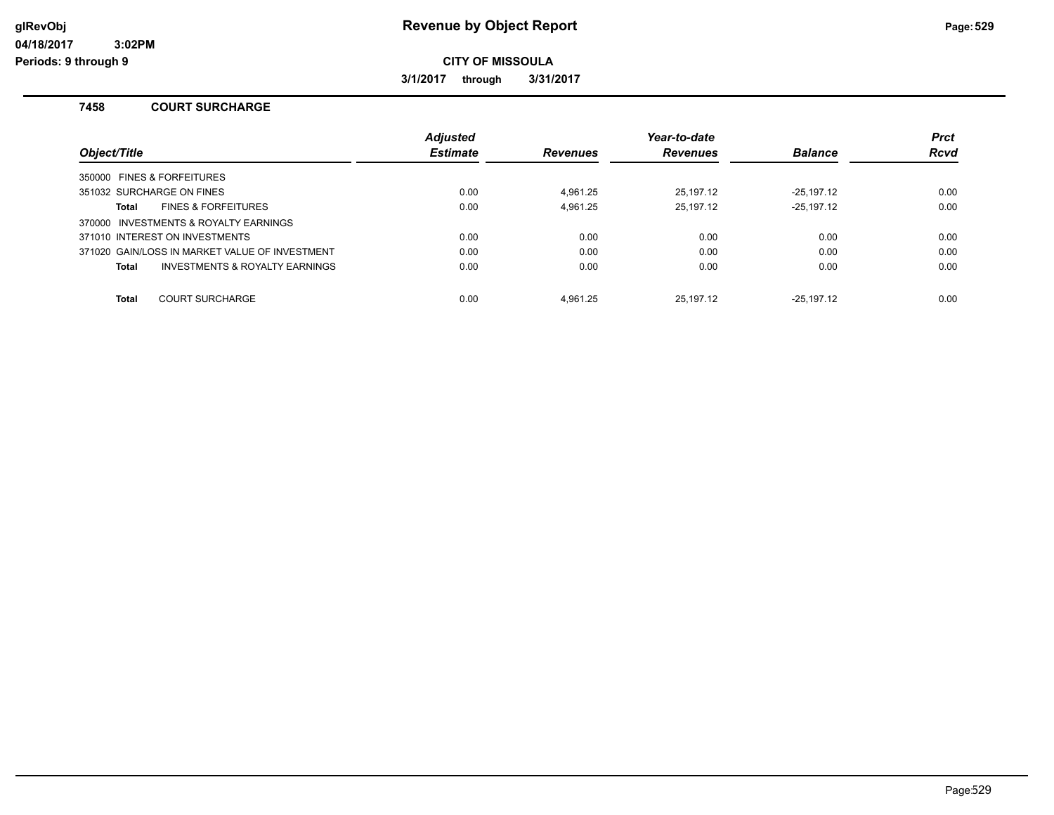**3/1/2017 through 3/31/2017**

#### **7458 COURT SURCHARGE**

| Object/Title                                   | <b>Adjusted</b><br><b>Estimate</b> | <b>Revenues</b> | Year-to-date<br><b>Revenues</b> | <b>Balance</b> | <b>Prct</b><br><b>Rcvd</b> |
|------------------------------------------------|------------------------------------|-----------------|---------------------------------|----------------|----------------------------|
| 350000 FINES & FORFEITURES                     |                                    |                 |                                 |                |                            |
| 351032 SURCHARGE ON FINES                      | 0.00                               | 4.961.25        | 25.197.12                       | $-25.197.12$   | 0.00                       |
| <b>FINES &amp; FORFEITURES</b><br>Total        | 0.00                               | 4.961.25        | 25,197.12                       | $-25,197.12$   | 0.00                       |
| 370000 INVESTMENTS & ROYALTY EARNINGS          |                                    |                 |                                 |                |                            |
| 371010 INTEREST ON INVESTMENTS                 | 0.00                               | 0.00            | 0.00                            | 0.00           | 0.00                       |
| 371020 GAIN/LOSS IN MARKET VALUE OF INVESTMENT | 0.00                               | 0.00            | 0.00                            | 0.00           | 0.00                       |
| INVESTMENTS & ROYALTY EARNINGS<br>Total        | 0.00                               | 0.00            | 0.00                            | 0.00           | 0.00                       |
|                                                |                                    |                 |                                 |                |                            |
| <b>Total</b><br><b>COURT SURCHARGE</b>         | 0.00                               | 4.961.25        | 25.197.12                       | $-25.197.12$   | 0.00                       |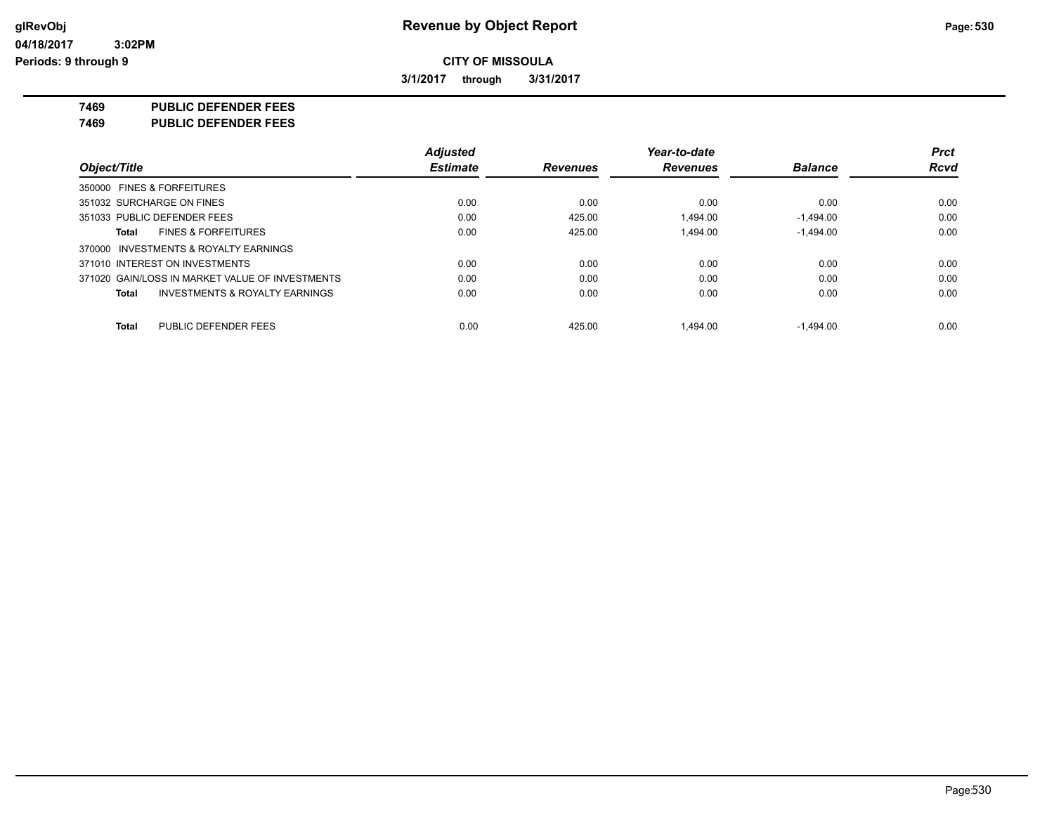**3/1/2017 through 3/31/2017**

**7469 PUBLIC DEFENDER FEES**

**7469 PUBLIC DEFENDER FEES**

|                                                 | <b>Adjusted</b> |                 | Year-to-date    |                | <b>Prct</b> |
|-------------------------------------------------|-----------------|-----------------|-----------------|----------------|-------------|
| Object/Title                                    | <b>Estimate</b> | <b>Revenues</b> | <b>Revenues</b> | <b>Balance</b> | <b>Rcvd</b> |
| 350000 FINES & FORFEITURES                      |                 |                 |                 |                |             |
| 351032 SURCHARGE ON FINES                       | 0.00            | 0.00            | 0.00            | 0.00           | 0.00        |
| 351033 PUBLIC DEFENDER FEES                     | 0.00            | 425.00          | 1.494.00        | $-1.494.00$    | 0.00        |
| <b>FINES &amp; FORFEITURES</b><br>Total         | 0.00            | 425.00          | 1.494.00        | $-1.494.00$    | 0.00        |
| 370000 INVESTMENTS & ROYALTY EARNINGS           |                 |                 |                 |                |             |
| 371010 INTEREST ON INVESTMENTS                  | 0.00            | 0.00            | 0.00            | 0.00           | 0.00        |
| 371020 GAIN/LOSS IN MARKET VALUE OF INVESTMENTS | 0.00            | 0.00            | 0.00            | 0.00           | 0.00        |
| INVESTMENTS & ROYALTY EARNINGS<br><b>Total</b>  | 0.00            | 0.00            | 0.00            | 0.00           | 0.00        |
| <b>Total</b><br>PUBLIC DEFENDER FEES            | 0.00            | 425.00          | 1.494.00        | $-1.494.00$    | 0.00        |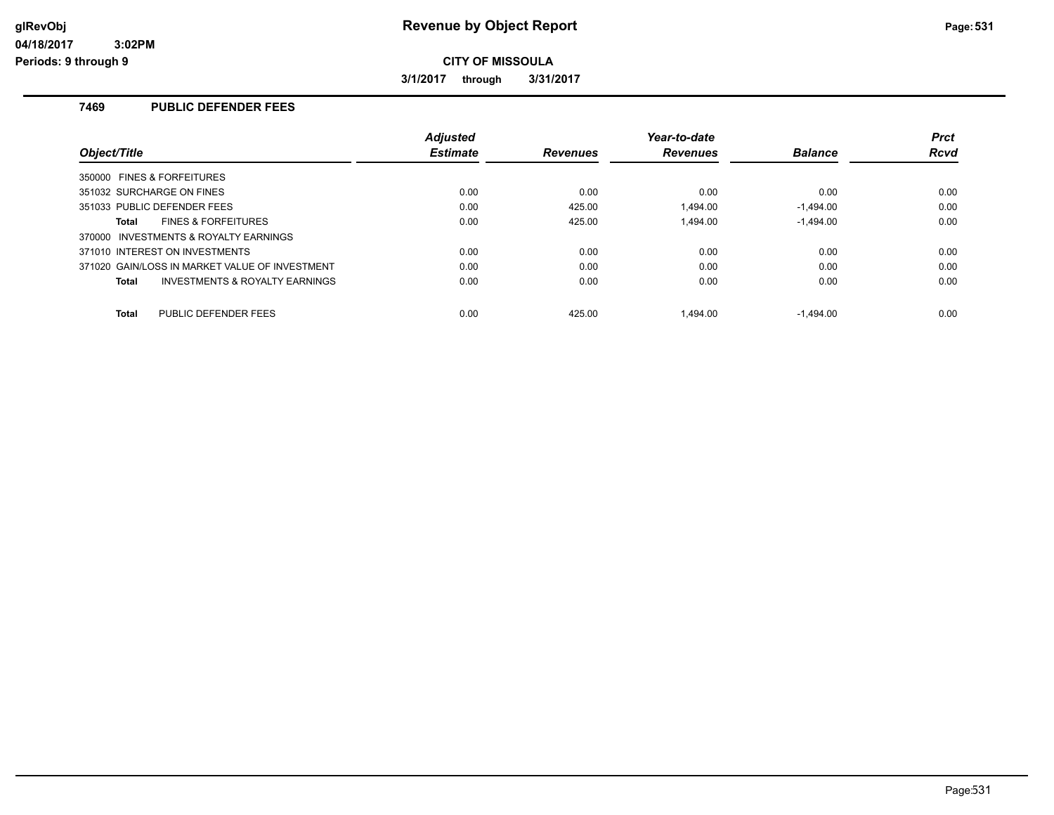**3/1/2017 through 3/31/2017**

# **7469 PUBLIC DEFENDER FEES**

|                                                | <b>Adjusted</b> |                 | Year-to-date    |                | <b>Prct</b> |
|------------------------------------------------|-----------------|-----------------|-----------------|----------------|-------------|
| Object/Title                                   | <b>Estimate</b> | <b>Revenues</b> | <b>Revenues</b> | <b>Balance</b> | <b>Rcvd</b> |
| 350000 FINES & FORFEITURES                     |                 |                 |                 |                |             |
| 351032 SURCHARGE ON FINES                      | 0.00            | 0.00            | 0.00            | 0.00           | 0.00        |
| 351033 PUBLIC DEFENDER FEES                    | 0.00            | 425.00          | 1.494.00        | $-1,494.00$    | 0.00        |
| <b>FINES &amp; FORFEITURES</b><br>Total        | 0.00            | 425.00          | 1.494.00        | $-1.494.00$    | 0.00        |
| 370000 INVESTMENTS & ROYALTY EARNINGS          |                 |                 |                 |                |             |
| 371010 INTEREST ON INVESTMENTS                 | 0.00            | 0.00            | 0.00            | 0.00           | 0.00        |
| 371020 GAIN/LOSS IN MARKET VALUE OF INVESTMENT | 0.00            | 0.00            | 0.00            | 0.00           | 0.00        |
| INVESTMENTS & ROYALTY EARNINGS<br><b>Total</b> | 0.00            | 0.00            | 0.00            | 0.00           | 0.00        |
| PUBLIC DEFENDER FEES<br><b>Total</b>           | 0.00            | 425.00          | 1.494.00        | $-1.494.00$    | 0.00        |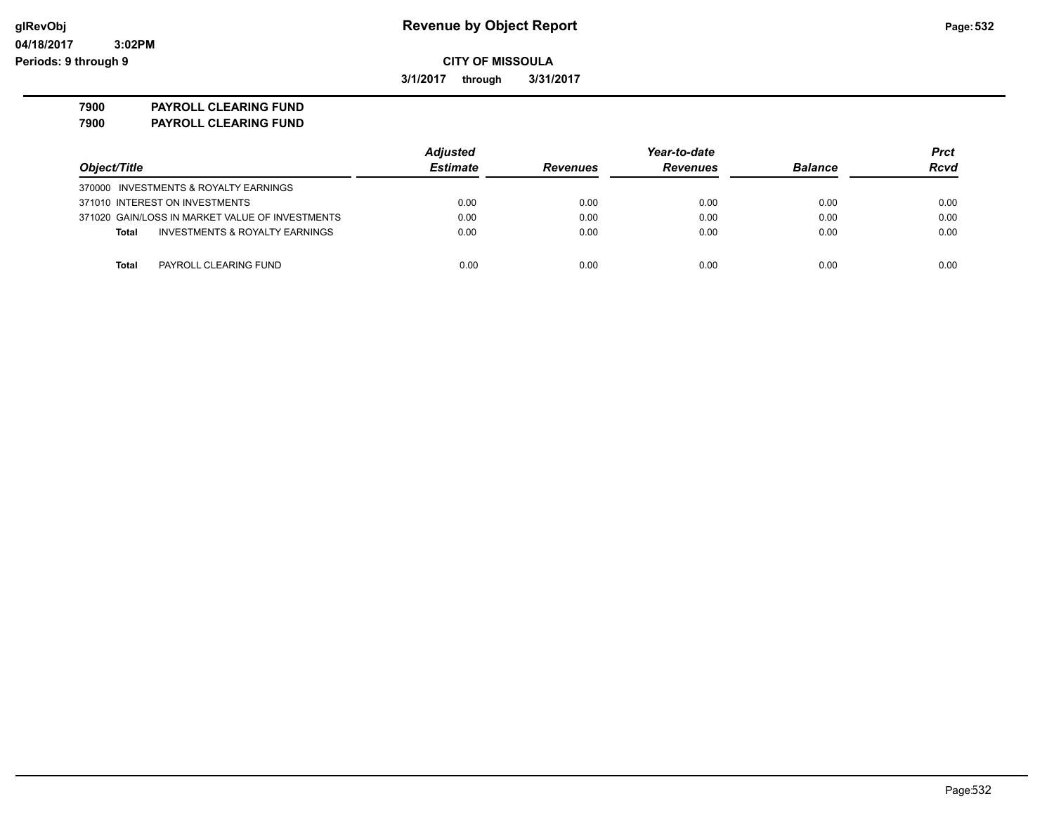**3/1/2017 through 3/31/2017**

**7900 PAYROLL CLEARING FUND 7900 PAYROLL CLEARING FUND**

|                                                 | <b>Adjusted</b> |                 | Year-to-date    |                | <b>Prct</b> |
|-------------------------------------------------|-----------------|-----------------|-----------------|----------------|-------------|
| Object/Title                                    | <b>Estimate</b> | <b>Revenues</b> | <b>Revenues</b> | <b>Balance</b> | <b>Rcvd</b> |
| 370000 INVESTMENTS & ROYALTY EARNINGS           |                 |                 |                 |                |             |
| 371010 INTEREST ON INVESTMENTS                  | 0.00            | 0.00            | 0.00            | 0.00           | 0.00        |
| 371020 GAIN/LOSS IN MARKET VALUE OF INVESTMENTS | 0.00            | 0.00            | 0.00            | 0.00           | 0.00        |
| INVESTMENTS & ROYALTY EARNINGS<br><b>Total</b>  | 0.00            | 0.00            | 0.00            | 0.00           | 0.00        |
|                                                 |                 |                 |                 |                |             |
| PAYROLL CLEARING FUND<br>Total                  | 0.00            | 0.00            | 0.00            | 0.00           | 0.00        |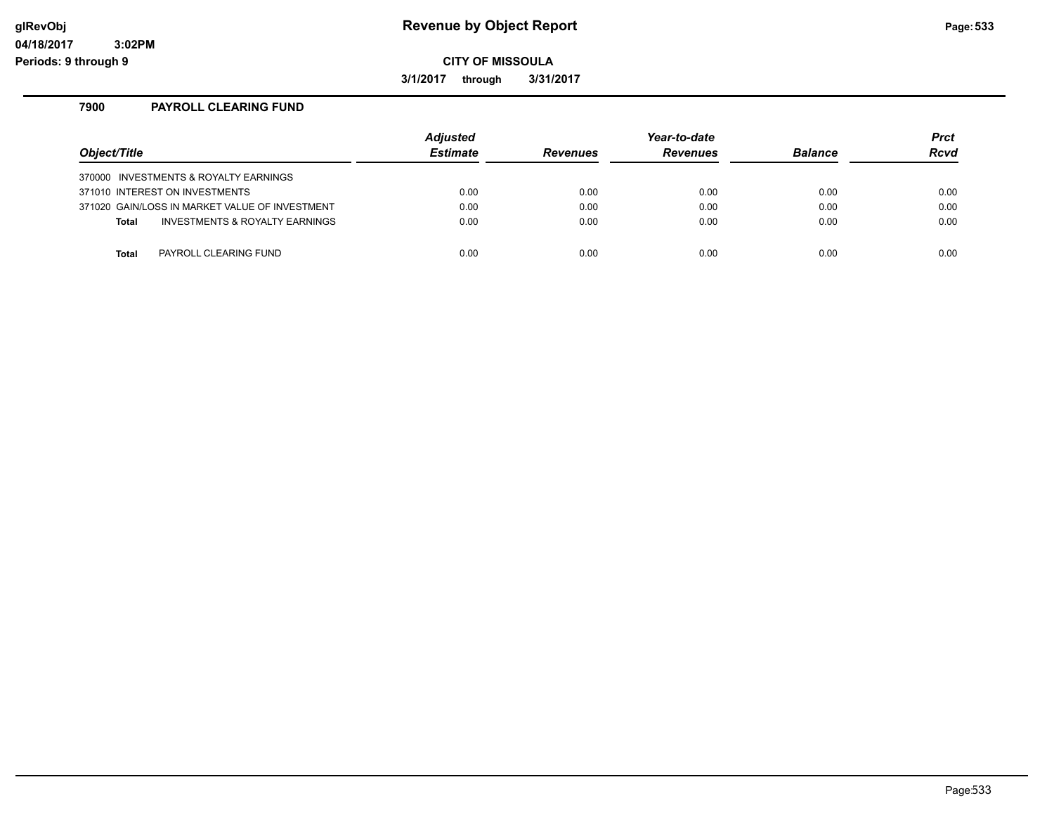**3/1/2017 through 3/31/2017**

## **7900 PAYROLL CLEARING FUND**

|                                                           | <b>Adjusted</b> | Year-to-date    |                 |                |             |  |
|-----------------------------------------------------------|-----------------|-----------------|-----------------|----------------|-------------|--|
| Object/Title                                              | <b>Estimate</b> | <b>Revenues</b> | <b>Revenues</b> | <b>Balance</b> | <b>Rcvd</b> |  |
| 370000 INVESTMENTS & ROYALTY EARNINGS                     |                 |                 |                 |                |             |  |
| 371010 INTEREST ON INVESTMENTS                            | 0.00            | 0.00            | 0.00            | 0.00           | 0.00        |  |
| 371020 GAIN/LOSS IN MARKET VALUE OF INVESTMENT            | 0.00            | 0.00            | 0.00            | 0.00           | 0.00        |  |
| <b>INVESTMENTS &amp; ROYALTY EARNINGS</b><br><b>Total</b> | 0.00            | 0.00            | 0.00            | 0.00           | 0.00        |  |
| <b>Total</b><br>PAYROLL CLEARING FUND                     | 0.00            | 0.00            | 0.00            | 0.00           | 0.00        |  |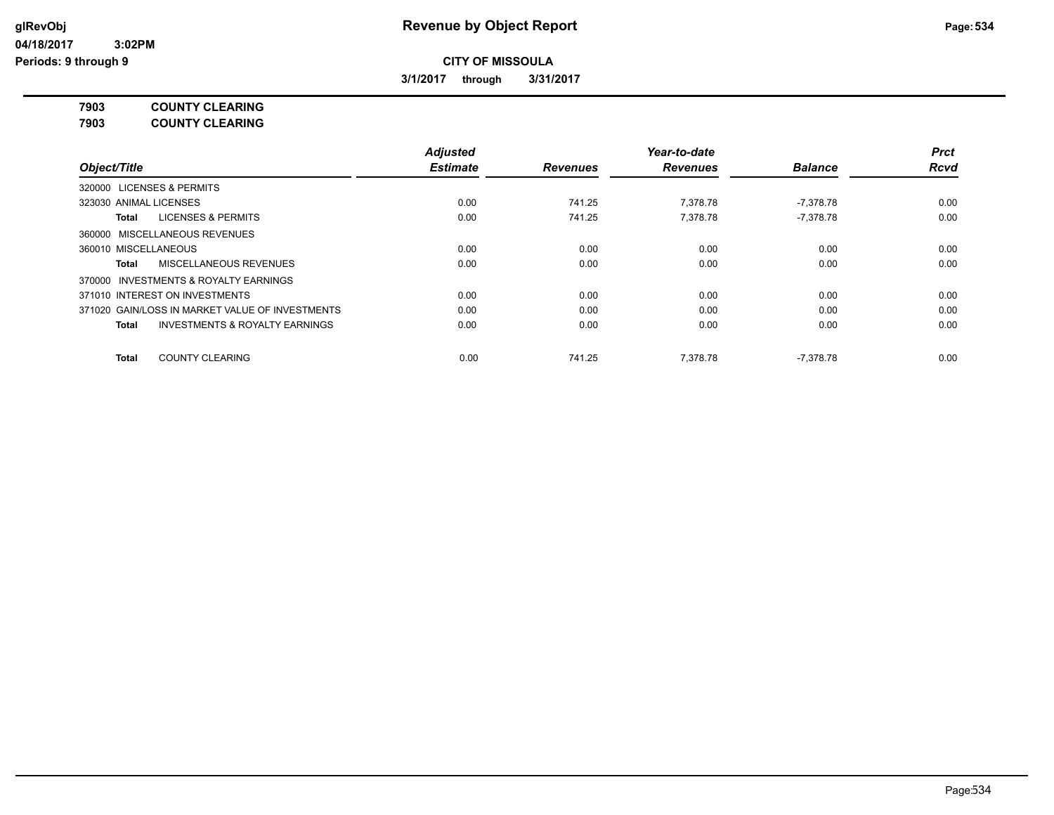**3/1/2017 through 3/31/2017**

**7903 COUNTY CLEARING 7903 COUNTY CLEARING**

|                                                    | <b>Adjusted</b> |                 | Year-to-date    |                | <b>Prct</b> |
|----------------------------------------------------|-----------------|-----------------|-----------------|----------------|-------------|
| Object/Title                                       | <b>Estimate</b> | <b>Revenues</b> | <b>Revenues</b> | <b>Balance</b> | <b>Rcvd</b> |
| 320000 LICENSES & PERMITS                          |                 |                 |                 |                |             |
| 323030 ANIMAL LICENSES                             | 0.00            | 741.25          | 7.378.78        | $-7.378.78$    | 0.00        |
| <b>LICENSES &amp; PERMITS</b><br>Total             | 0.00            | 741.25          | 7,378.78        | $-7.378.78$    | 0.00        |
| 360000 MISCELLANEOUS REVENUES                      |                 |                 |                 |                |             |
| 360010 MISCELLANEOUS                               | 0.00            | 0.00            | 0.00            | 0.00           | 0.00        |
| MISCELLANEOUS REVENUES<br>Total                    | 0.00            | 0.00            | 0.00            | 0.00           | 0.00        |
| INVESTMENTS & ROYALTY EARNINGS<br>370000           |                 |                 |                 |                |             |
| 371010 INTEREST ON INVESTMENTS                     | 0.00            | 0.00            | 0.00            | 0.00           | 0.00        |
| 371020 GAIN/LOSS IN MARKET VALUE OF INVESTMENTS    | 0.00            | 0.00            | 0.00            | 0.00           | 0.00        |
| <b>INVESTMENTS &amp; ROYALTY EARNINGS</b><br>Total | 0.00            | 0.00            | 0.00            | 0.00           | 0.00        |
| <b>COUNTY CLEARING</b><br><b>Total</b>             | 0.00            | 741.25          | 7.378.78        | $-7,378.78$    | 0.00        |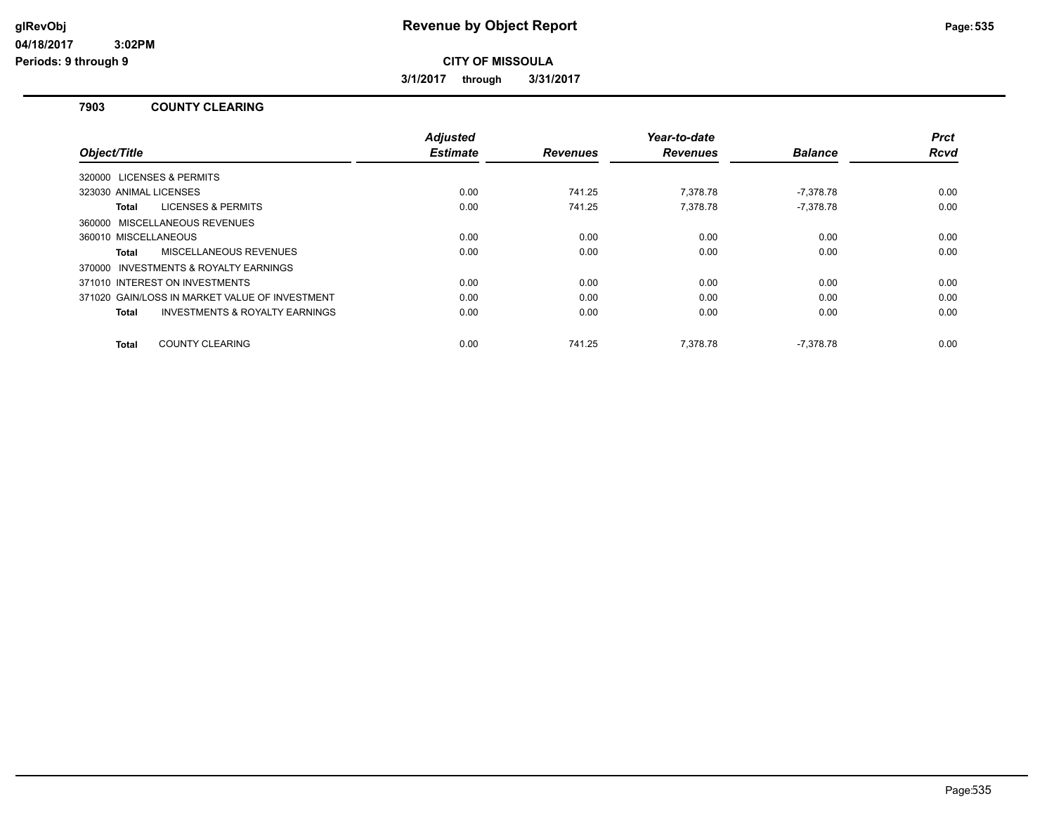**3/1/2017 through 3/31/2017**

#### **7903 COUNTY CLEARING**

|                                                           | <b>Adjusted</b> |                 | Year-to-date    |                | <b>Prct</b> |
|-----------------------------------------------------------|-----------------|-----------------|-----------------|----------------|-------------|
| Object/Title                                              | <b>Estimate</b> | <b>Revenues</b> | <b>Revenues</b> | <b>Balance</b> | <b>Rcvd</b> |
| 320000 LICENSES & PERMITS                                 |                 |                 |                 |                |             |
| 323030 ANIMAL LICENSES                                    | 0.00            | 741.25          | 7.378.78        | $-7,378.78$    | 0.00        |
| <b>LICENSES &amp; PERMITS</b><br><b>Total</b>             | 0.00            | 741.25          | 7,378.78        | $-7,378.78$    | 0.00        |
| 360000 MISCELLANEOUS REVENUES                             |                 |                 |                 |                |             |
| 360010 MISCELLANEOUS                                      | 0.00            | 0.00            | 0.00            | 0.00           | 0.00        |
| MISCELLANEOUS REVENUES<br>Total                           | 0.00            | 0.00            | 0.00            | 0.00           | 0.00        |
| 370000 INVESTMENTS & ROYALTY EARNINGS                     |                 |                 |                 |                |             |
| 371010 INTEREST ON INVESTMENTS                            | 0.00            | 0.00            | 0.00            | 0.00           | 0.00        |
| 371020 GAIN/LOSS IN MARKET VALUE OF INVESTMENT            | 0.00            | 0.00            | 0.00            | 0.00           | 0.00        |
| <b>INVESTMENTS &amp; ROYALTY EARNINGS</b><br><b>Total</b> | 0.00            | 0.00            | 0.00            | 0.00           | 0.00        |
| <b>COUNTY CLEARING</b><br><b>Total</b>                    | 0.00            | 741.25          | 7.378.78        | $-7,378.78$    | 0.00        |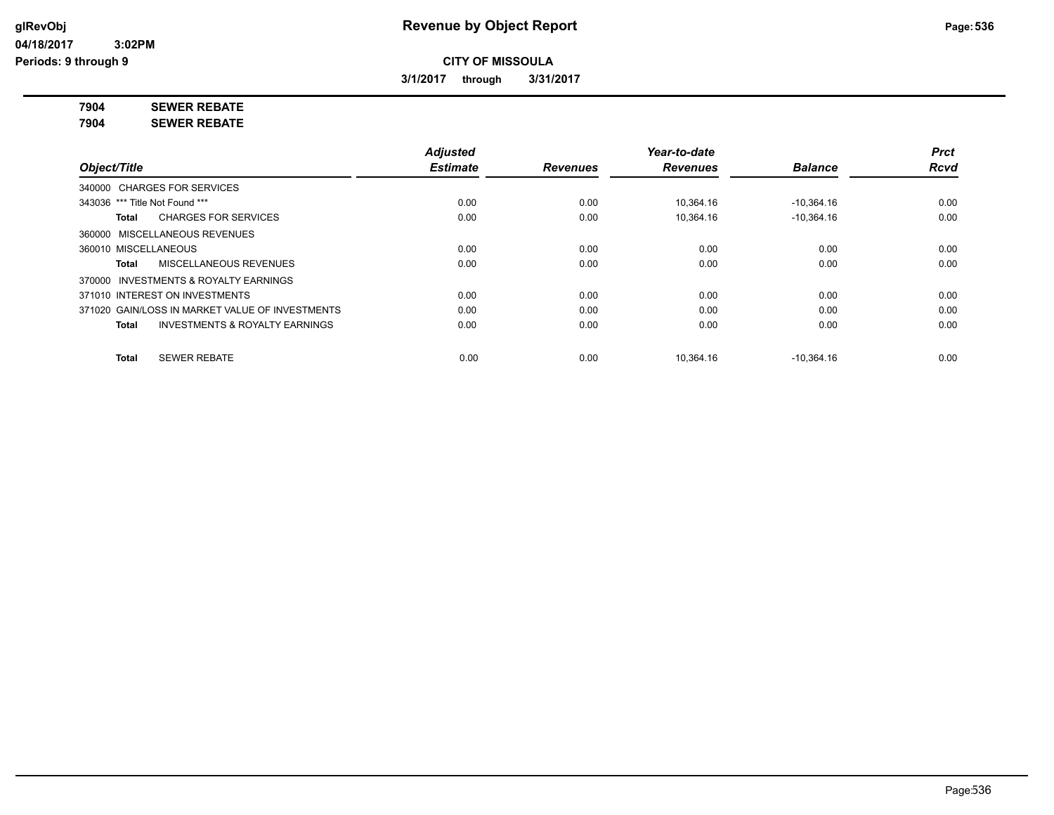**3/1/2017 through 3/31/2017**

**7904 SEWER REBATE 7904 SEWER REBATE**

|                                                 | <b>Adjusted</b> |                 | Year-to-date    |                | <b>Prct</b> |
|-------------------------------------------------|-----------------|-----------------|-----------------|----------------|-------------|
| Object/Title                                    | <b>Estimate</b> | <b>Revenues</b> | <b>Revenues</b> | <b>Balance</b> | Rcvd        |
| 340000 CHARGES FOR SERVICES                     |                 |                 |                 |                |             |
| 343036 *** Title Not Found ***                  | 0.00            | 0.00            | 10,364.16       | $-10,364.16$   | 0.00        |
| <b>CHARGES FOR SERVICES</b><br>Total            | 0.00            | 0.00            | 10,364.16       | $-10,364.16$   | 0.00        |
| 360000 MISCELLANEOUS REVENUES                   |                 |                 |                 |                |             |
| 360010 MISCELLANEOUS                            | 0.00            | 0.00            | 0.00            | 0.00           | 0.00        |
| MISCELLANEOUS REVENUES<br>Total                 | 0.00            | 0.00            | 0.00            | 0.00           | 0.00        |
| INVESTMENTS & ROYALTY EARNINGS<br>370000        |                 |                 |                 |                |             |
| 371010 INTEREST ON INVESTMENTS                  | 0.00            | 0.00            | 0.00            | 0.00           | 0.00        |
| 371020 GAIN/LOSS IN MARKET VALUE OF INVESTMENTS | 0.00            | 0.00            | 0.00            | 0.00           | 0.00        |
| INVESTMENTS & ROYALTY EARNINGS<br>Total         | 0.00            | 0.00            | 0.00            | 0.00           | 0.00        |
| <b>SEWER REBATE</b><br><b>Total</b>             | 0.00            | 0.00            | 10.364.16       | $-10.364.16$   | 0.00        |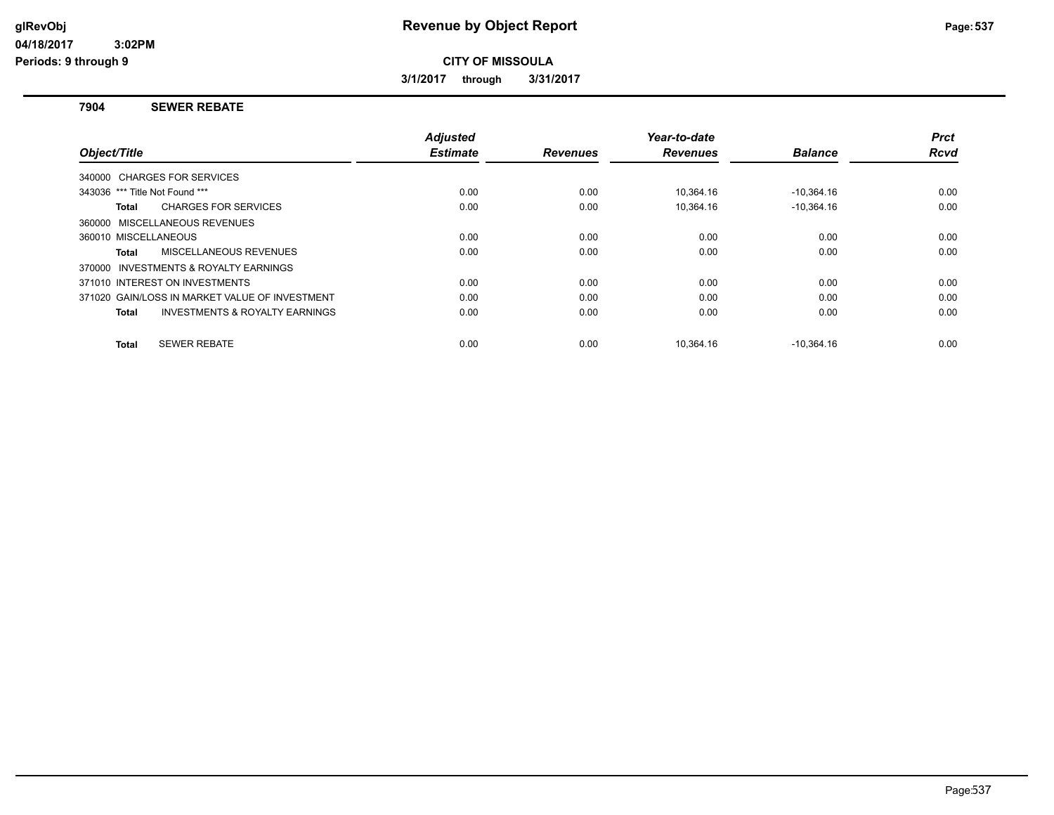**3/1/2017 through 3/31/2017**

#### **7904 SEWER REBATE**

|                                                | <b>Adjusted</b> |                 | Year-to-date    |                | <b>Prct</b> |
|------------------------------------------------|-----------------|-----------------|-----------------|----------------|-------------|
| Object/Title                                   | <b>Estimate</b> | <b>Revenues</b> | <b>Revenues</b> | <b>Balance</b> | <b>Rcvd</b> |
| 340000 CHARGES FOR SERVICES                    |                 |                 |                 |                |             |
| 343036 *** Title Not Found ***                 | 0.00            | 0.00            | 10.364.16       | $-10.364.16$   | 0.00        |
| <b>CHARGES FOR SERVICES</b><br><b>Total</b>    | 0.00            | 0.00            | 10,364.16       | $-10,364.16$   | 0.00        |
| 360000 MISCELLANEOUS REVENUES                  |                 |                 |                 |                |             |
| 360010 MISCELLANEOUS                           | 0.00            | 0.00            | 0.00            | 0.00           | 0.00        |
| MISCELLANEOUS REVENUES<br>Total                | 0.00            | 0.00            | 0.00            | 0.00           | 0.00        |
| 370000 INVESTMENTS & ROYALTY EARNINGS          |                 |                 |                 |                |             |
| 371010 INTEREST ON INVESTMENTS                 | 0.00            | 0.00            | 0.00            | 0.00           | 0.00        |
| 371020 GAIN/LOSS IN MARKET VALUE OF INVESTMENT | 0.00            | 0.00            | 0.00            | 0.00           | 0.00        |
| INVESTMENTS & ROYALTY EARNINGS<br>Total        | 0.00            | 0.00            | 0.00            | 0.00           | 0.00        |
| <b>SEWER REBATE</b><br><b>Total</b>            | 0.00            | 0.00            | 10.364.16       | $-10.364.16$   | 0.00        |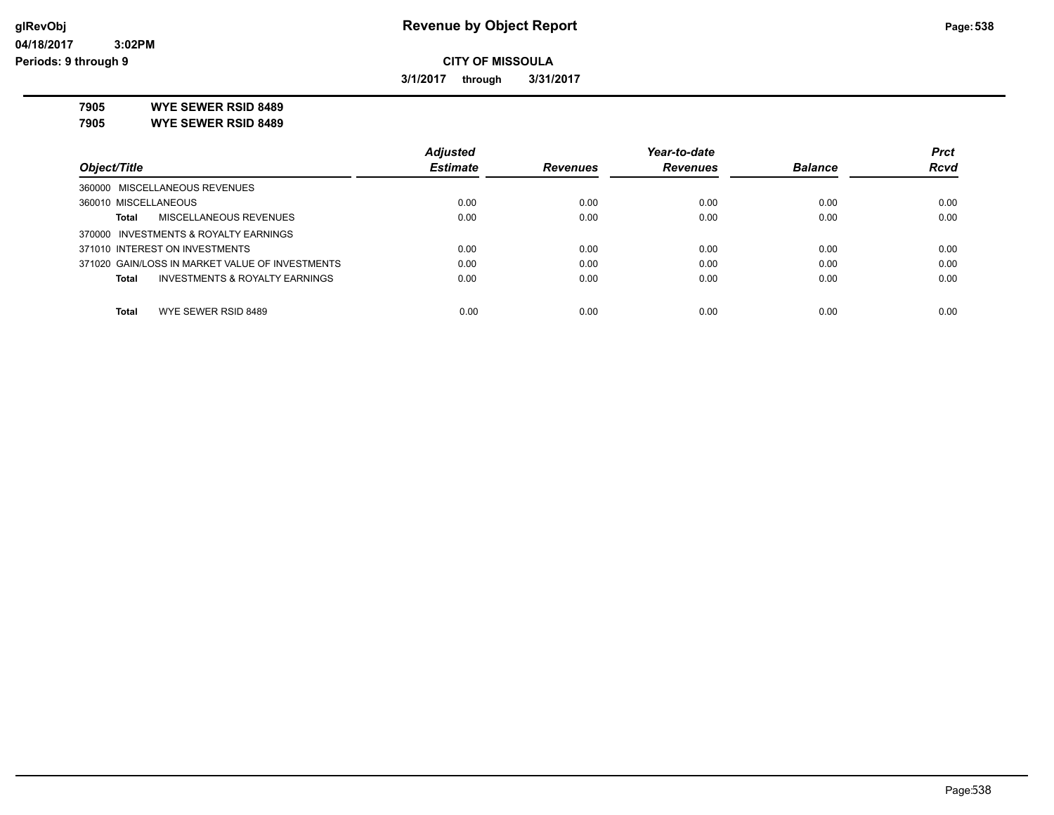**3/1/2017 through 3/31/2017**

**7905 WYE SEWER RSID 8489**

**7905 WYE SEWER RSID 8489**

|                                                 | <b>Adjusted</b> |                 | Year-to-date    |                | <b>Prct</b> |
|-------------------------------------------------|-----------------|-----------------|-----------------|----------------|-------------|
| Object/Title                                    | <b>Estimate</b> | <b>Revenues</b> | <b>Revenues</b> | <b>Balance</b> | Rcvd        |
| 360000 MISCELLANEOUS REVENUES                   |                 |                 |                 |                |             |
| 360010 MISCELLANEOUS                            | 0.00            | 0.00            | 0.00            | 0.00           | 0.00        |
| MISCELLANEOUS REVENUES<br>Total                 | 0.00            | 0.00            | 0.00            | 0.00           | 0.00        |
| 370000 INVESTMENTS & ROYALTY EARNINGS           |                 |                 |                 |                |             |
| 371010 INTEREST ON INVESTMENTS                  | 0.00            | 0.00            | 0.00            | 0.00           | 0.00        |
| 371020 GAIN/LOSS IN MARKET VALUE OF INVESTMENTS | 0.00            | 0.00            | 0.00            | 0.00           | 0.00        |
| INVESTMENTS & ROYALTY EARNINGS<br><b>Total</b>  | 0.00            | 0.00            | 0.00            | 0.00           | 0.00        |
|                                                 |                 |                 |                 |                |             |
| WYE SEWER RSID 8489<br>Total                    | 0.00            | 0.00            | 0.00            | 0.00           | 0.00        |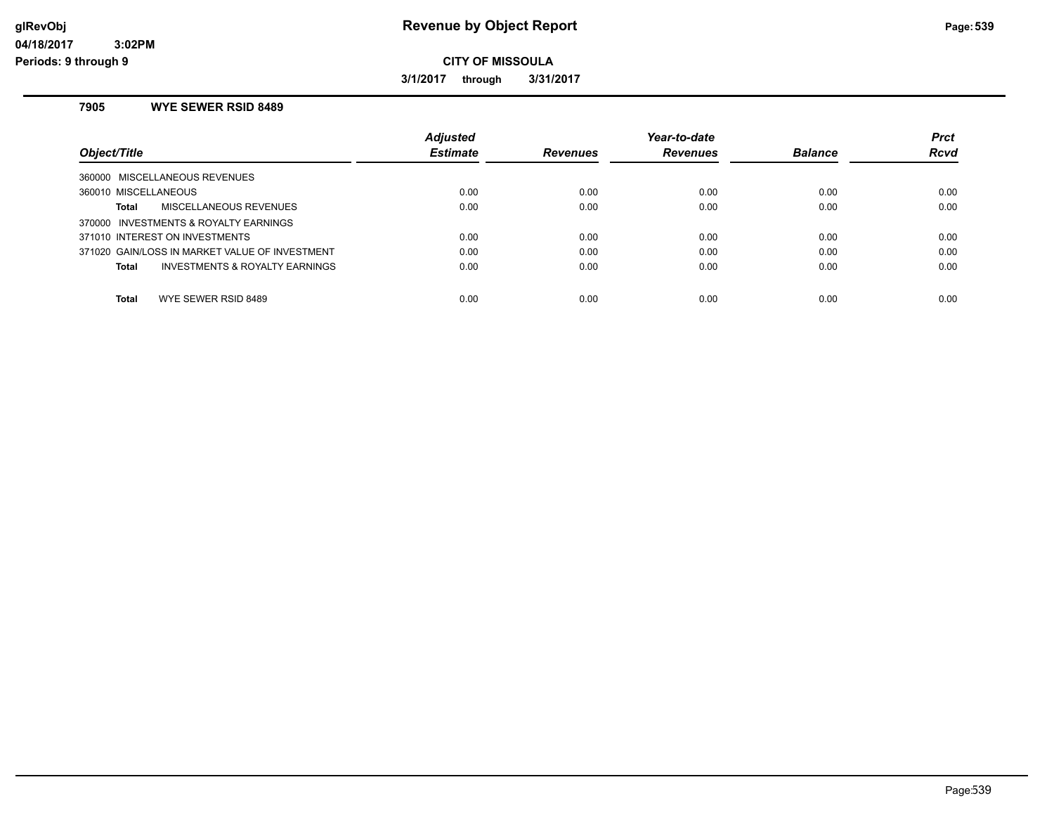**3/1/2017 through 3/31/2017**

#### **7905 WYE SEWER RSID 8489**

| Object/Title                                       | <b>Adjusted</b><br><b>Estimate</b> | <b>Revenues</b> | Year-to-date<br><b>Revenues</b> | <b>Balance</b> | <b>Prct</b><br><b>Rcvd</b> |
|----------------------------------------------------|------------------------------------|-----------------|---------------------------------|----------------|----------------------------|
|                                                    |                                    |                 |                                 |                |                            |
| 360000 MISCELLANEOUS REVENUES                      |                                    |                 |                                 |                |                            |
| 360010 MISCELLANEOUS                               | 0.00                               | 0.00            | 0.00                            | 0.00           | 0.00                       |
| MISCELLANEOUS REVENUES<br>Total                    | 0.00                               | 0.00            | 0.00                            | 0.00           | 0.00                       |
| 370000 INVESTMENTS & ROYALTY EARNINGS              |                                    |                 |                                 |                |                            |
| 371010 INTEREST ON INVESTMENTS                     | 0.00                               | 0.00            | 0.00                            | 0.00           | 0.00                       |
| 371020 GAIN/LOSS IN MARKET VALUE OF INVESTMENT     | 0.00                               | 0.00            | 0.00                            | 0.00           | 0.00                       |
| <b>INVESTMENTS &amp; ROYALTY EARNINGS</b><br>Total | 0.00                               | 0.00            | 0.00                            | 0.00           | 0.00                       |
| Total<br>WYE SEWER RSID 8489                       | 0.00                               | 0.00            | 0.00                            | 0.00           | 0.00                       |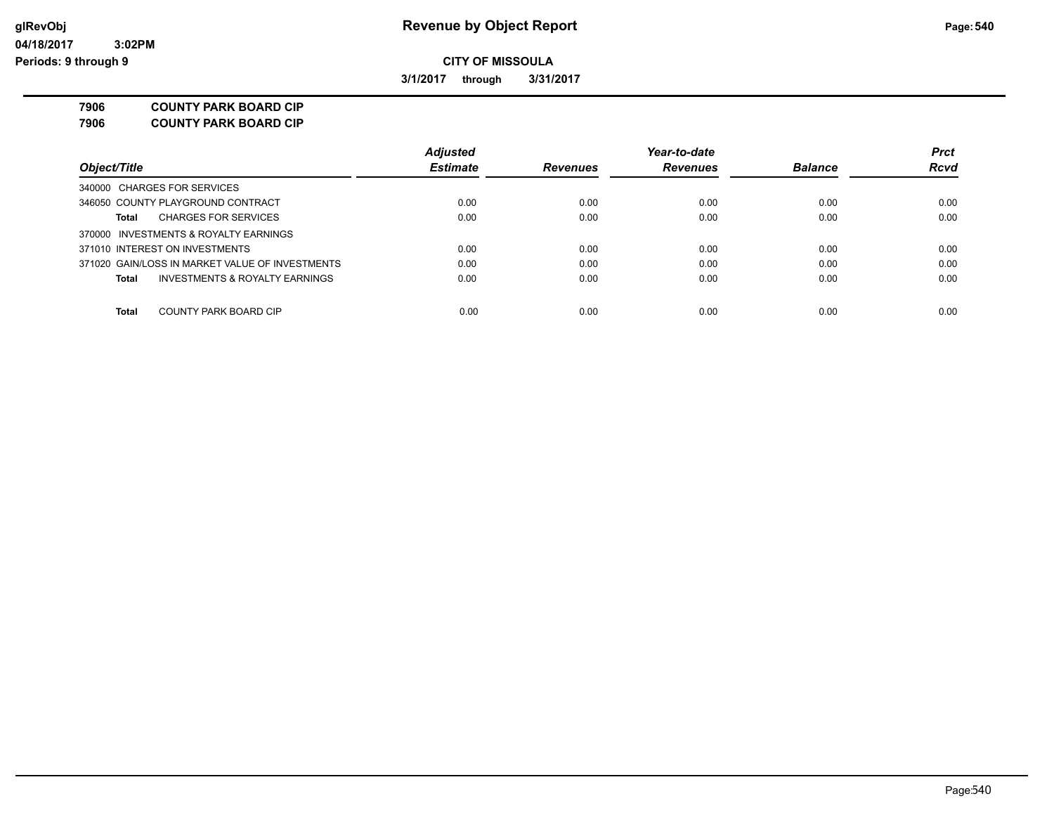**3/1/2017 through 3/31/2017**

**7906 COUNTY PARK BOARD CIP**

**7906 COUNTY PARK BOARD CIP**

|                                                 | <b>Adjusted</b> |                 | Year-to-date    |                | <b>Prct</b> |
|-------------------------------------------------|-----------------|-----------------|-----------------|----------------|-------------|
| Object/Title                                    | <b>Estimate</b> | <b>Revenues</b> | <b>Revenues</b> | <b>Balance</b> | <b>Rcvd</b> |
| 340000 CHARGES FOR SERVICES                     |                 |                 |                 |                |             |
| 346050 COUNTY PLAYGROUND CONTRACT               | 0.00            | 0.00            | 0.00            | 0.00           | 0.00        |
| <b>CHARGES FOR SERVICES</b><br>Total            | 0.00            | 0.00            | 0.00            | 0.00           | 0.00        |
| 370000 INVESTMENTS & ROYALTY EARNINGS           |                 |                 |                 |                |             |
| 371010 INTEREST ON INVESTMENTS                  | 0.00            | 0.00            | 0.00            | 0.00           | 0.00        |
| 371020 GAIN/LOSS IN MARKET VALUE OF INVESTMENTS | 0.00            | 0.00            | 0.00            | 0.00           | 0.00        |
| INVESTMENTS & ROYALTY EARNINGS<br><b>Total</b>  | 0.00            | 0.00            | 0.00            | 0.00           | 0.00        |
|                                                 |                 |                 |                 |                |             |
| COUNTY PARK BOARD CIP<br><b>Total</b>           | 0.00            | 0.00            | 0.00            | 0.00           | 0.00        |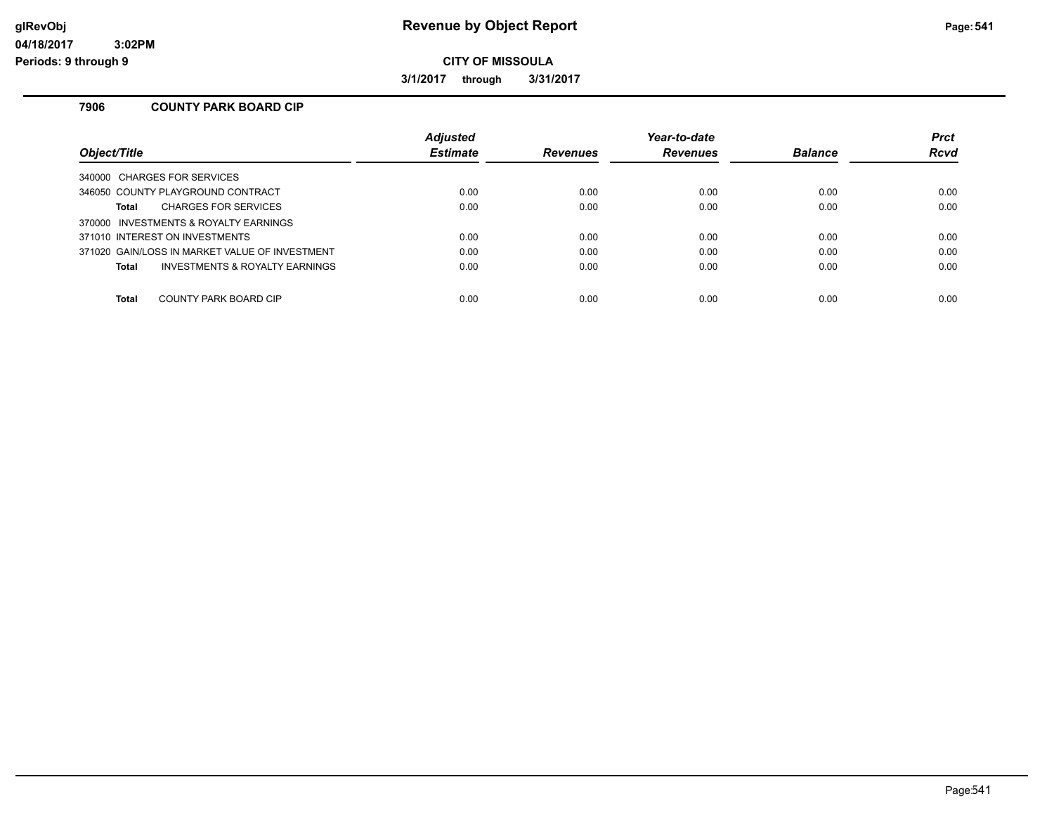**3/1/2017 through 3/31/2017**

#### **7906 COUNTY PARK BOARD CIP**

| Object/Title                                   | <b>Adjusted</b><br><b>Estimate</b> | <b>Revenues</b> | Year-to-date<br><b>Revenues</b> | <b>Balance</b> | <b>Prct</b><br><b>Rcvd</b> |
|------------------------------------------------|------------------------------------|-----------------|---------------------------------|----------------|----------------------------|
| 340000 CHARGES FOR SERVICES                    |                                    |                 |                                 |                |                            |
| 346050 COUNTY PLAYGROUND CONTRACT              | 0.00                               | 0.00            | 0.00                            | 0.00           | 0.00                       |
| <b>CHARGES FOR SERVICES</b><br>Total           | 0.00                               | 0.00            | 0.00                            | 0.00           | 0.00                       |
| 370000 INVESTMENTS & ROYALTY EARNINGS          |                                    |                 |                                 |                |                            |
| 371010 INTEREST ON INVESTMENTS                 | 0.00                               | 0.00            | 0.00                            | 0.00           | 0.00                       |
| 371020 GAIN/LOSS IN MARKET VALUE OF INVESTMENT | 0.00                               | 0.00            | 0.00                            | 0.00           | 0.00                       |
| INVESTMENTS & ROYALTY EARNINGS<br>Total        | 0.00                               | 0.00            | 0.00                            | 0.00           | 0.00                       |
| <b>Total</b><br>COUNTY PARK BOARD CIP          | 0.00                               | 0.00            | 0.00                            | 0.00           | 0.00                       |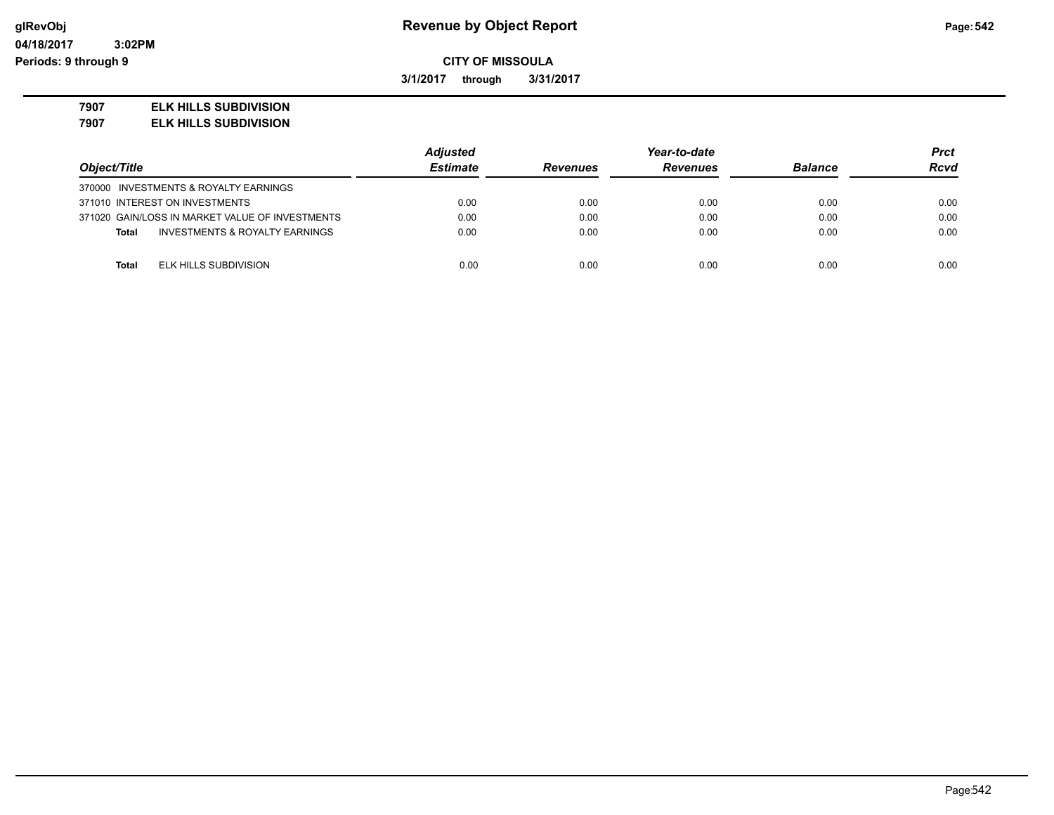**3/1/2017 through 3/31/2017**

**7907 ELK HILLS SUBDIVISION 7907 ELK HILLS SUBDIVISION**

|                                                 | <b>Adjusted</b> |                 | Year-to-date    |                | Prct        |
|-------------------------------------------------|-----------------|-----------------|-----------------|----------------|-------------|
| Object/Title                                    | <b>Estimate</b> | <b>Revenues</b> | <b>Revenues</b> | <b>Balance</b> | <b>Rcvd</b> |
| 370000 INVESTMENTS & ROYALTY EARNINGS           |                 |                 |                 |                |             |
| 371010 INTEREST ON INVESTMENTS                  | 0.00            | 0.00            | 0.00            | 0.00           | 0.00        |
| 371020 GAIN/LOSS IN MARKET VALUE OF INVESTMENTS | 0.00            | 0.00            | 0.00            | 0.00           | 0.00        |
| INVESTMENTS & ROYALTY EARNINGS<br>Total         | 0.00            | 0.00            | 0.00            | 0.00           | 0.00        |
|                                                 |                 |                 |                 |                |             |
| ELK HILLS SUBDIVISION<br>Total                  | 0.00            | 0.00            | 0.00            | 0.00           | 0.00        |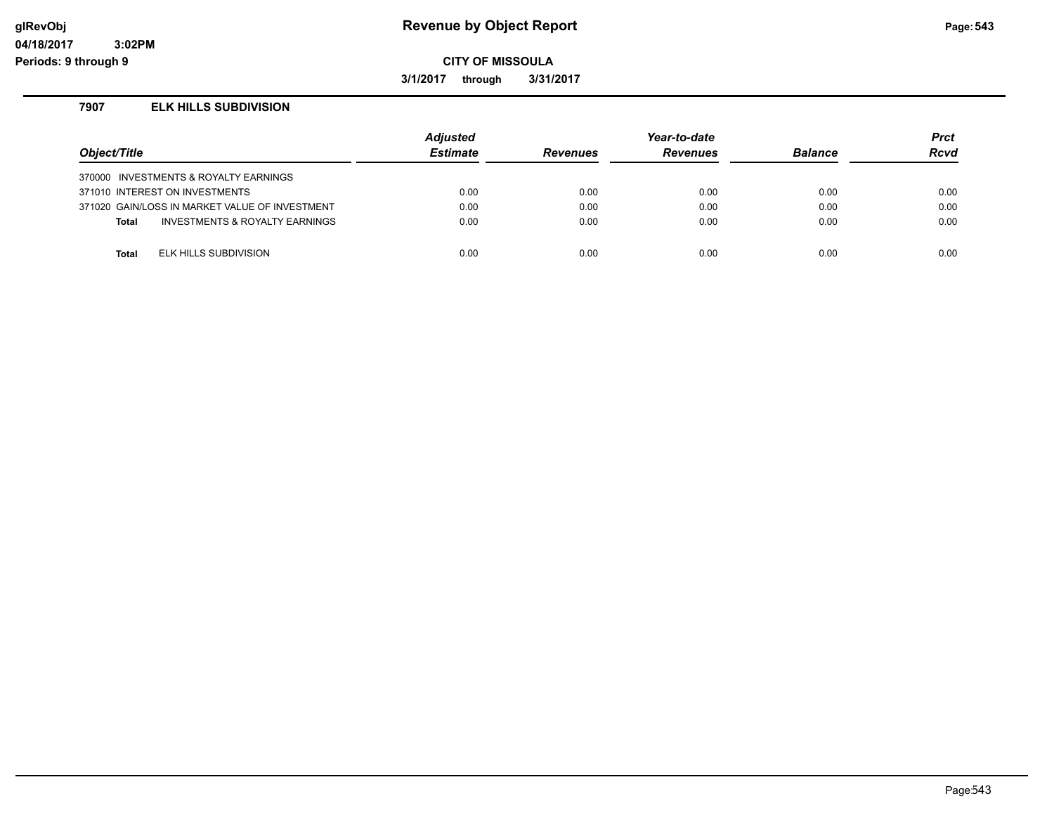**3/1/2017 through 3/31/2017**

#### **7907 ELK HILLS SUBDIVISION**

|                                                           | <b>Adjusted</b> | Year-to-date    |                 |                | <b>Prct</b> |
|-----------------------------------------------------------|-----------------|-----------------|-----------------|----------------|-------------|
| Object/Title                                              | <b>Estimate</b> | <b>Revenues</b> | <b>Revenues</b> | <b>Balance</b> | <b>Rcvd</b> |
| 370000 INVESTMENTS & ROYALTY EARNINGS                     |                 |                 |                 |                |             |
| 371010 INTEREST ON INVESTMENTS                            | 0.00            | 0.00            | 0.00            | 0.00           | 0.00        |
| 371020 GAIN/LOSS IN MARKET VALUE OF INVESTMENT            | 0.00            | 0.00            | 0.00            | 0.00           | 0.00        |
| <b>INVESTMENTS &amp; ROYALTY EARNINGS</b><br><b>Total</b> | 0.00            | 0.00            | 0.00            | 0.00           | 0.00        |
| Total<br>ELK HILLS SUBDIVISION                            | 0.00            | 0.00            | 0.00            | 0.00           | 0.00        |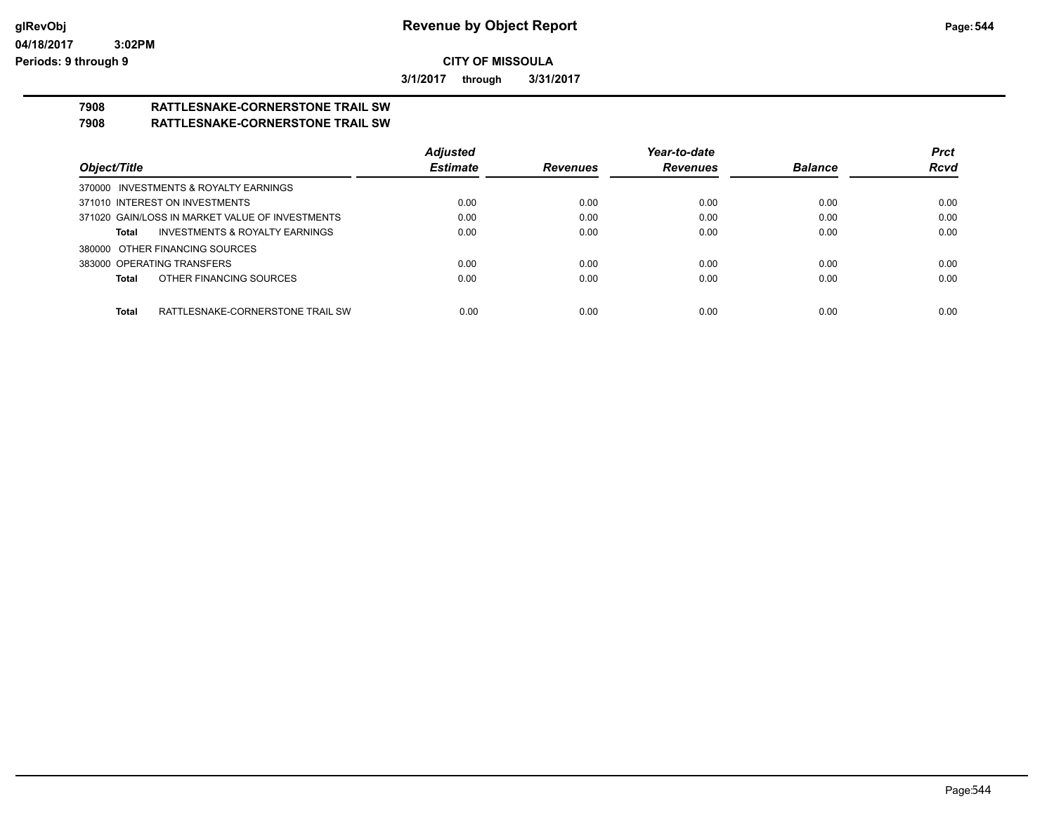**3/1/2017 through 3/31/2017**

### **7908 RATTLESNAKE-CORNERSTONE TRAIL SW 7908 RATTLESNAKE-CORNERSTONE TRAIL SW**

|                                                 | <b>Adjusted</b> |                 | Year-to-date    |                | <b>Prct</b> |
|-------------------------------------------------|-----------------|-----------------|-----------------|----------------|-------------|
| Object/Title                                    | <b>Estimate</b> | <b>Revenues</b> | <b>Revenues</b> | <b>Balance</b> | Rcvd        |
| 370000 INVESTMENTS & ROYALTY EARNINGS           |                 |                 |                 |                |             |
| 371010 INTEREST ON INVESTMENTS                  | 0.00            | 0.00            | 0.00            | 0.00           | 0.00        |
| 371020 GAIN/LOSS IN MARKET VALUE OF INVESTMENTS | 0.00            | 0.00            | 0.00            | 0.00           | 0.00        |
| INVESTMENTS & ROYALTY EARNINGS<br>Total         | 0.00            | 0.00            | 0.00            | 0.00           | 0.00        |
| 380000 OTHER FINANCING SOURCES                  |                 |                 |                 |                |             |
| 383000 OPERATING TRANSFERS                      | 0.00            | 0.00            | 0.00            | 0.00           | 0.00        |
| OTHER FINANCING SOURCES<br>Total                | 0.00            | 0.00            | 0.00            | 0.00           | 0.00        |
| Total<br>RATTLESNAKE-CORNERSTONE TRAIL SW       | 0.00            | 0.00            | 0.00            | 0.00           | 0.00        |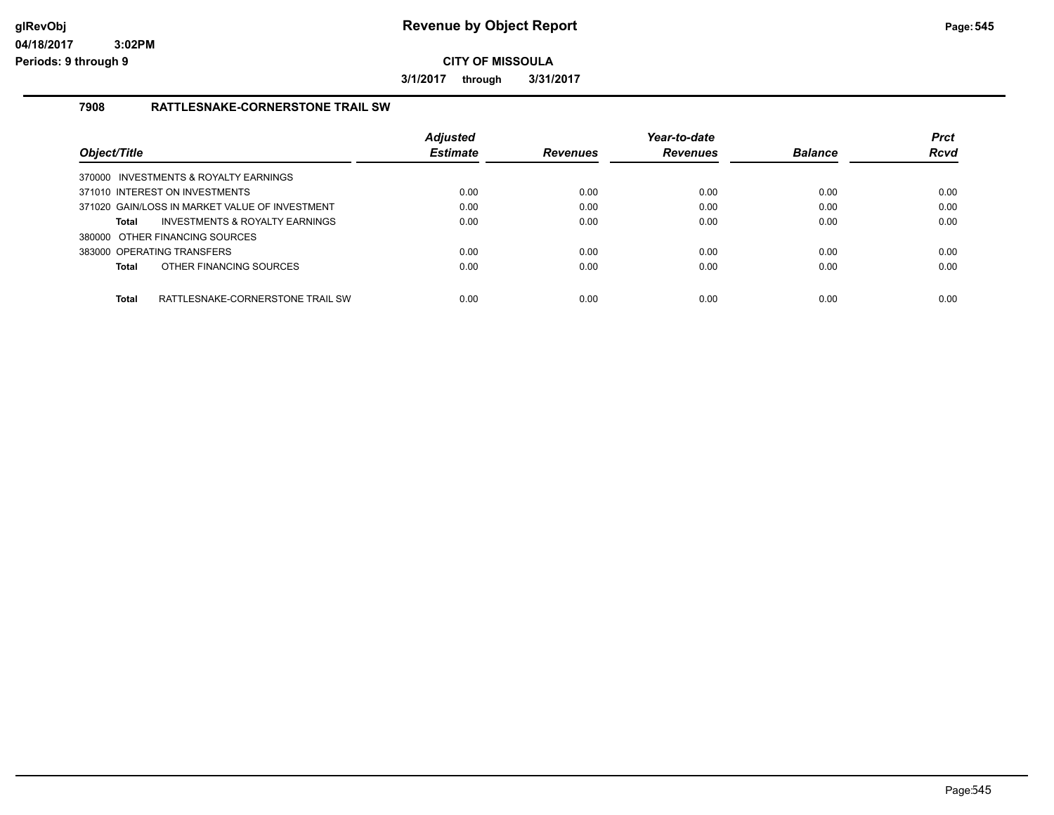**3/1/2017 through 3/31/2017**

#### **7908 RATTLESNAKE-CORNERSTONE TRAIL SW**

|                                                | <b>Adjusted</b> |                 | Year-to-date    |                | <b>Prct</b> |
|------------------------------------------------|-----------------|-----------------|-----------------|----------------|-------------|
| Object/Title                                   | <b>Estimate</b> | <b>Revenues</b> | <b>Revenues</b> | <b>Balance</b> | <b>Rcvd</b> |
| 370000 INVESTMENTS & ROYALTY EARNINGS          |                 |                 |                 |                |             |
| 371010 INTEREST ON INVESTMENTS                 | 0.00            | 0.00            | 0.00            | 0.00           | 0.00        |
| 371020 GAIN/LOSS IN MARKET VALUE OF INVESTMENT | 0.00            | 0.00            | 0.00            | 0.00           | 0.00        |
| Total<br>INVESTMENTS & ROYALTY EARNINGS        | 0.00            | 0.00            | 0.00            | 0.00           | 0.00        |
| 380000 OTHER FINANCING SOURCES                 |                 |                 |                 |                |             |
| 383000 OPERATING TRANSFERS                     | 0.00            | 0.00            | 0.00            | 0.00           | 0.00        |
| OTHER FINANCING SOURCES<br>Total               | 0.00            | 0.00            | 0.00            | 0.00           | 0.00        |
|                                                |                 |                 |                 |                |             |
| Total<br>RATTLESNAKE-CORNERSTONE TRAIL SW      | 0.00            | 0.00            | 0.00            | 0.00           | 0.00        |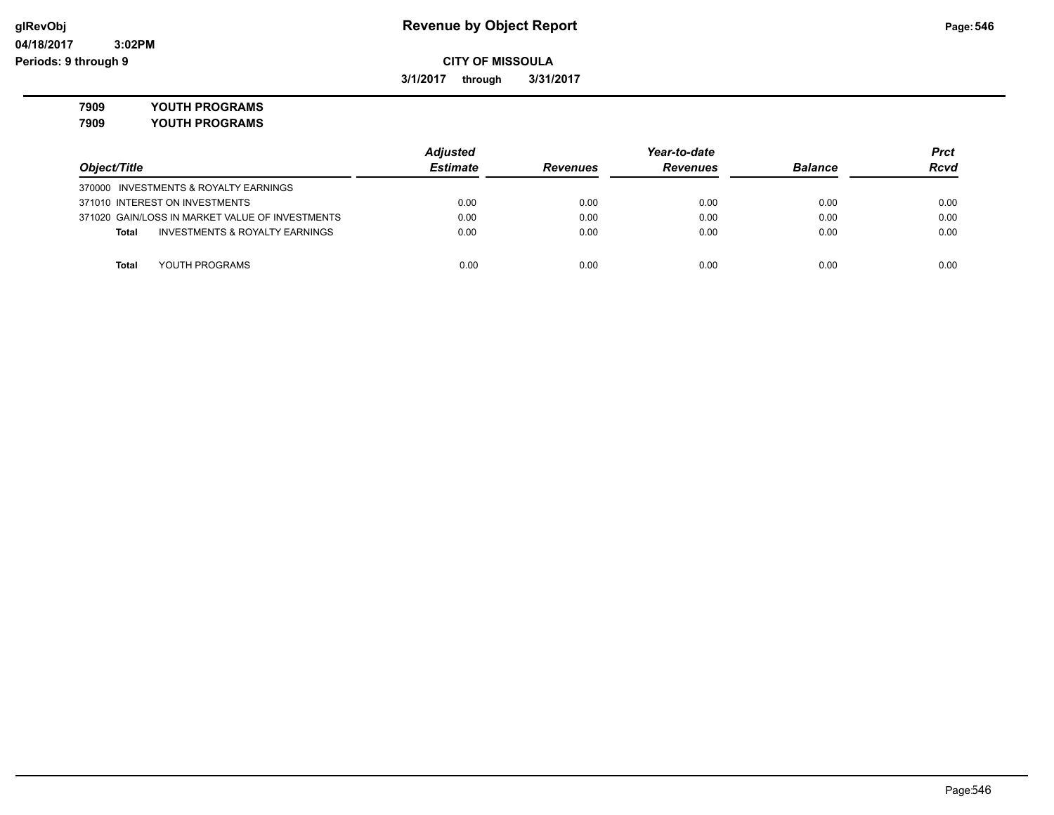**3/1/2017 through 3/31/2017**

**7909 YOUTH PROGRAMS 7909 YOUTH PROGRAMS**

| Object/Title                                    | <b>Adjusted</b><br><b>Estimate</b> | <b>Revenues</b> | Year-to-date<br><b>Revenues</b> | <b>Balance</b> | Prct<br><b>Rcvd</b> |
|-------------------------------------------------|------------------------------------|-----------------|---------------------------------|----------------|---------------------|
| 370000 INVESTMENTS & ROYALTY EARNINGS           |                                    |                 |                                 |                |                     |
| 371010 INTEREST ON INVESTMENTS                  | 0.00                               | 0.00            | 0.00                            | 0.00           | 0.00                |
| 371020 GAIN/LOSS IN MARKET VALUE OF INVESTMENTS | 0.00                               | 0.00            | 0.00                            | 0.00           | 0.00                |
| INVESTMENTS & ROYALTY EARNINGS<br>Total         | 0.00                               | 0.00            | 0.00                            | 0.00           | 0.00                |
|                                                 |                                    |                 |                                 |                |                     |
| YOUTH PROGRAMS<br><b>Total</b>                  | 0.00                               | 0.00            | 0.00                            | 0.00           | 0.00                |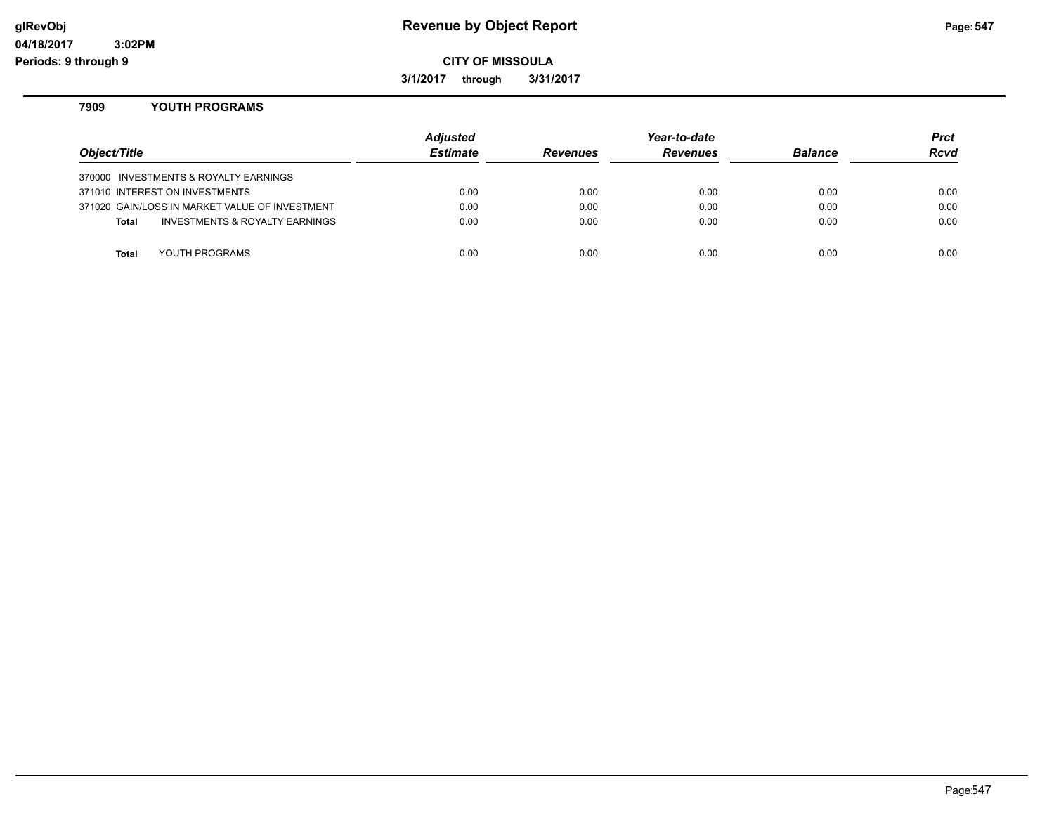**3/1/2017 through 3/31/2017**

#### **7909 YOUTH PROGRAMS**

| Object/Title                                       | <b>Adjusted</b><br><b>Estimate</b> | <b>Revenues</b> | Year-to-date<br><b>Revenues</b> | <b>Balance</b> | <b>Prct</b><br><b>Rcvd</b> |
|----------------------------------------------------|------------------------------------|-----------------|---------------------------------|----------------|----------------------------|
| 370000 INVESTMENTS & ROYALTY EARNINGS              |                                    |                 |                                 |                |                            |
| 371010 INTEREST ON INVESTMENTS                     | 0.00                               | 0.00            | 0.00                            | 0.00           | 0.00                       |
| 371020 GAIN/LOSS IN MARKET VALUE OF INVESTMENT     | 0.00                               | 0.00            | 0.00                            | 0.00           | 0.00                       |
| <b>INVESTMENTS &amp; ROYALTY EARNINGS</b><br>Total | 0.00                               | 0.00            | 0.00                            | 0.00           | 0.00                       |
|                                                    |                                    |                 |                                 |                |                            |
| YOUTH PROGRAMS<br>Total                            | 0.00                               | 0.00            | 0.00                            | 0.00           | 0.00                       |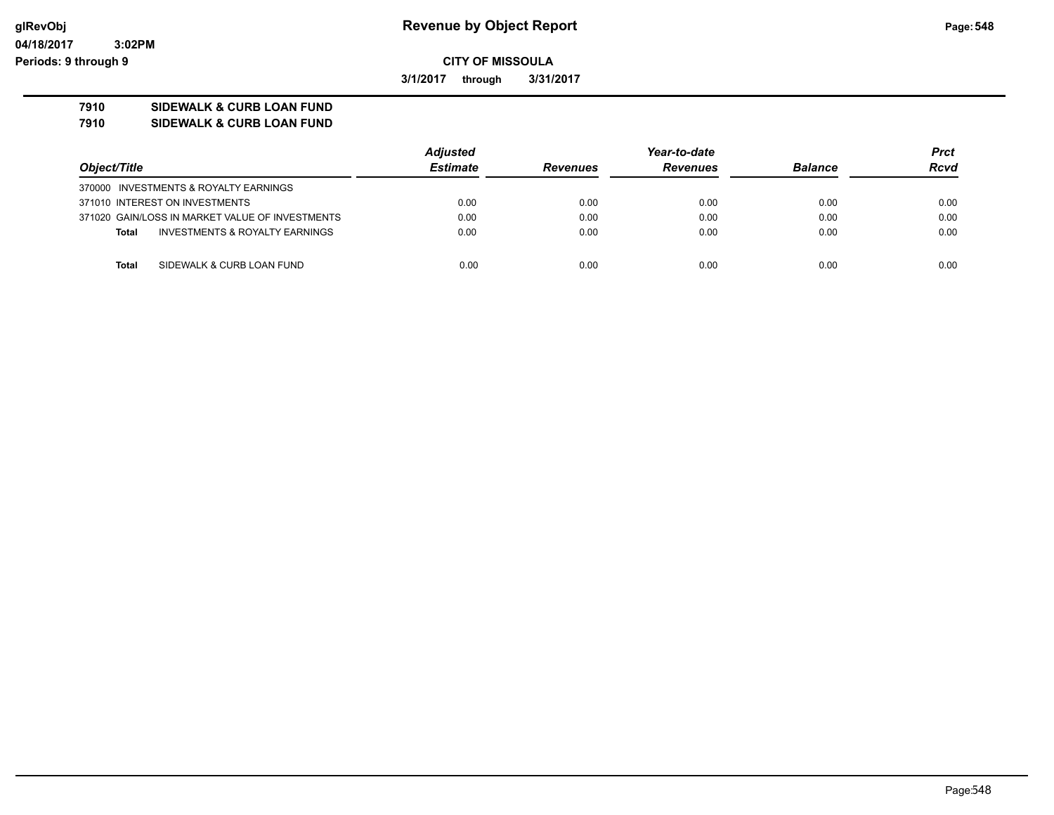**3/1/2017 through 3/31/2017**

**7910 SIDEWALK & CURB LOAN FUND 7910 SIDEWALK & CURB LOAN FUND**

|                                                    | <b>Adjusted</b> |                 | Year-to-date    |                |             |
|----------------------------------------------------|-----------------|-----------------|-----------------|----------------|-------------|
| Object/Title                                       | <b>Estimate</b> | <b>Revenues</b> | <b>Revenues</b> | <b>Balance</b> | <b>Rcvd</b> |
| 370000 INVESTMENTS & ROYALTY EARNINGS              |                 |                 |                 |                |             |
| 371010 INTEREST ON INVESTMENTS                     | 0.00            | 0.00            | 0.00            | 0.00           | 0.00        |
| 371020 GAIN/LOSS IN MARKET VALUE OF INVESTMENTS    | 0.00            | 0.00            | 0.00            | 0.00           | 0.00        |
| <b>INVESTMENTS &amp; ROYALTY EARNINGS</b><br>Total | 0.00            | 0.00            | 0.00            | 0.00           | 0.00        |
|                                                    |                 |                 |                 |                |             |
| <b>Total</b><br>SIDEWALK & CURB LOAN FUND          | 0.00            | 0.00            | 0.00            | 0.00           | 0.00        |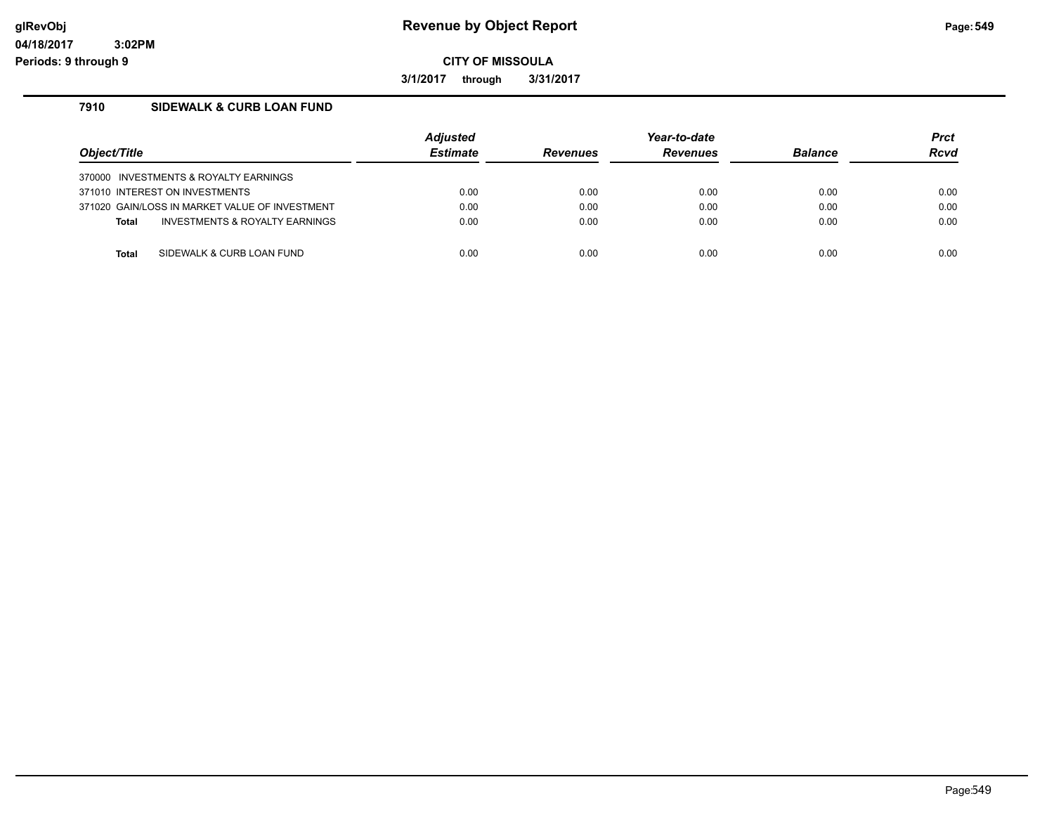**3/1/2017 through 3/31/2017**

### **7910 SIDEWALK & CURB LOAN FUND**

|                                                | <b>Adjusted</b> | Year-to-date    |                 |                | <b>Prct</b> |
|------------------------------------------------|-----------------|-----------------|-----------------|----------------|-------------|
| Object/Title                                   | <b>Estimate</b> | <b>Revenues</b> | <b>Revenues</b> | <b>Balance</b> | <b>Rcvd</b> |
| 370000 INVESTMENTS & ROYALTY EARNINGS          |                 |                 |                 |                |             |
| 371010 INTEREST ON INVESTMENTS                 | 0.00            | 0.00            | 0.00            | 0.00           | 0.00        |
| 371020 GAIN/LOSS IN MARKET VALUE OF INVESTMENT | 0.00            | 0.00            | 0.00            | 0.00           | 0.00        |
| INVESTMENTS & ROYALTY EARNINGS<br><b>Total</b> | 0.00            | 0.00            | 0.00            | 0.00           | 0.00        |
| Total<br>SIDEWALK & CURB LOAN FUND             | 0.00            | 0.00            | 0.00            | 0.00           | 0.00        |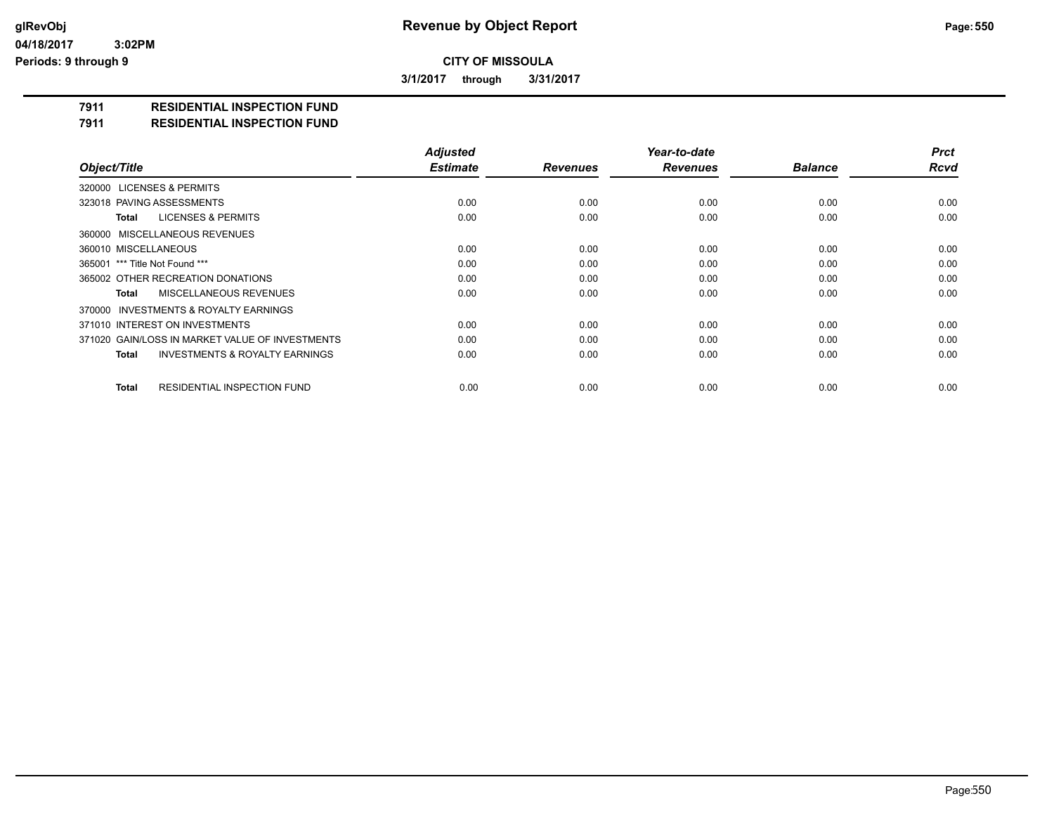**3/1/2017 through 3/31/2017**

**7911 RESIDENTIAL INSPECTION FUND**

**7911 RESIDENTIAL INSPECTION FUND**

|                                                     | <b>Adjusted</b> |                 | Year-to-date    |                | <b>Prct</b> |
|-----------------------------------------------------|-----------------|-----------------|-----------------|----------------|-------------|
| Object/Title                                        | <b>Estimate</b> | <b>Revenues</b> | <b>Revenues</b> | <b>Balance</b> | <b>Rcvd</b> |
| 320000 LICENSES & PERMITS                           |                 |                 |                 |                |             |
| 323018 PAVING ASSESSMENTS                           | 0.00            | 0.00            | 0.00            | 0.00           | 0.00        |
| <b>LICENSES &amp; PERMITS</b><br>Total              | 0.00            | 0.00            | 0.00            | 0.00           | 0.00        |
| 360000 MISCELLANEOUS REVENUES                       |                 |                 |                 |                |             |
| 360010 MISCELLANEOUS                                | 0.00            | 0.00            | 0.00            | 0.00           | 0.00        |
| 365001 *** Title Not Found ***                      | 0.00            | 0.00            | 0.00            | 0.00           | 0.00        |
| 365002 OTHER RECREATION DONATIONS                   | 0.00            | 0.00            | 0.00            | 0.00           | 0.00        |
| MISCELLANEOUS REVENUES<br>Total                     | 0.00            | 0.00            | 0.00            | 0.00           | 0.00        |
| <b>INVESTMENTS &amp; ROYALTY EARNINGS</b><br>370000 |                 |                 |                 |                |             |
| 371010 INTEREST ON INVESTMENTS                      | 0.00            | 0.00            | 0.00            | 0.00           | 0.00        |
| 371020 GAIN/LOSS IN MARKET VALUE OF INVESTMENTS     | 0.00            | 0.00            | 0.00            | 0.00           | 0.00        |
| <b>INVESTMENTS &amp; ROYALTY EARNINGS</b><br>Total  | 0.00            | 0.00            | 0.00            | 0.00           | 0.00        |
| <b>RESIDENTIAL INSPECTION FUND</b><br>Total         | 0.00            | 0.00            | 0.00            | 0.00           | 0.00        |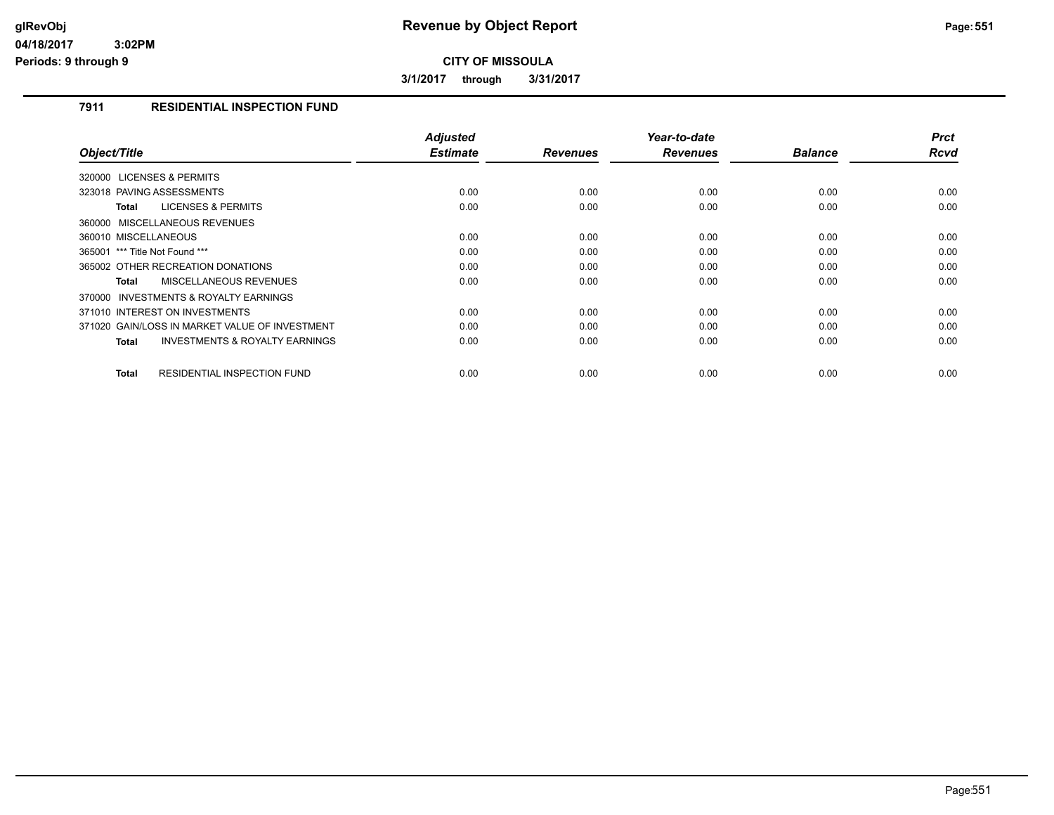**3/1/2017 through 3/31/2017**

#### **7911 RESIDENTIAL INSPECTION FUND**

|                                                           | <b>Adjusted</b> |                 | Year-to-date    |                | <b>Prct</b> |
|-----------------------------------------------------------|-----------------|-----------------|-----------------|----------------|-------------|
| Object/Title                                              | <b>Estimate</b> | <b>Revenues</b> | <b>Revenues</b> | <b>Balance</b> | Rcvd        |
| <b>LICENSES &amp; PERMITS</b><br>320000                   |                 |                 |                 |                |             |
| 323018 PAVING ASSESSMENTS                                 | 0.00            | 0.00            | 0.00            | 0.00           | 0.00        |
| <b>LICENSES &amp; PERMITS</b><br><b>Total</b>             | 0.00            | 0.00            | 0.00            | 0.00           | 0.00        |
| 360000 MISCELLANEOUS REVENUES                             |                 |                 |                 |                |             |
| 360010 MISCELLANEOUS                                      | 0.00            | 0.00            | 0.00            | 0.00           | 0.00        |
| 365001 *** Title Not Found ***                            | 0.00            | 0.00            | 0.00            | 0.00           | 0.00        |
| 365002 OTHER RECREATION DONATIONS                         | 0.00            | 0.00            | 0.00            | 0.00           | 0.00        |
| MISCELLANEOUS REVENUES<br><b>Total</b>                    | 0.00            | 0.00            | 0.00            | 0.00           | 0.00        |
| INVESTMENTS & ROYALTY EARNINGS<br>370000                  |                 |                 |                 |                |             |
| 371010 INTEREST ON INVESTMENTS                            | 0.00            | 0.00            | 0.00            | 0.00           | 0.00        |
| 371020 GAIN/LOSS IN MARKET VALUE OF INVESTMENT            | 0.00            | 0.00            | 0.00            | 0.00           | 0.00        |
| <b>INVESTMENTS &amp; ROYALTY EARNINGS</b><br><b>Total</b> | 0.00            | 0.00            | 0.00            | 0.00           | 0.00        |
|                                                           |                 |                 |                 |                |             |
| <b>RESIDENTIAL INSPECTION FUND</b><br><b>Total</b>        | 0.00            | 0.00            | 0.00            | 0.00           | 0.00        |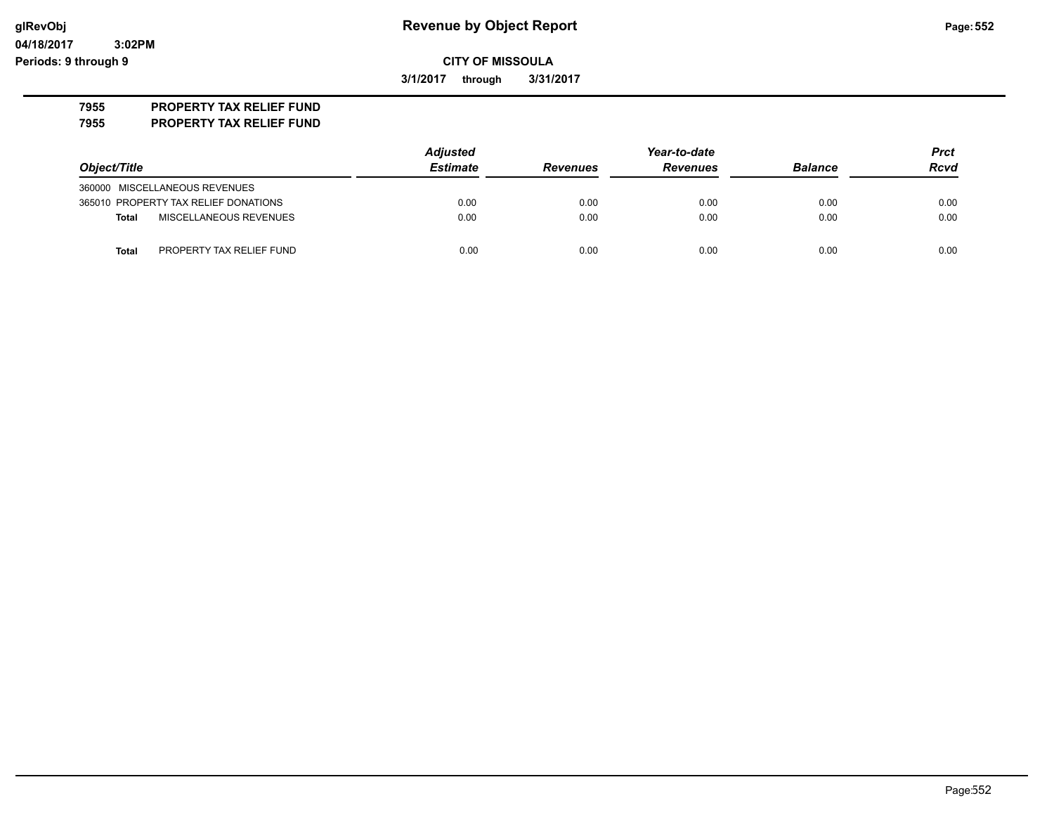**3/1/2017 through 3/31/2017**

**7955 PROPERTY TAX RELIEF FUND 7955 PROPERTY TAX RELIEF FUND**

|                                      | <b>Adjusted</b> |                 | <b>Prct</b>     |                |             |
|--------------------------------------|-----------------|-----------------|-----------------|----------------|-------------|
| Object/Title                         | <b>Estimate</b> | <b>Revenues</b> | <b>Revenues</b> | <b>Balance</b> | <b>Rcvd</b> |
| 360000 MISCELLANEOUS REVENUES        |                 |                 |                 |                |             |
| 365010 PROPERTY TAX RELIEF DONATIONS | 0.00            | 0.00            | 0.00            | 0.00           | 0.00        |
| MISCELLANEOUS REVENUES<br>Total      | 0.00            | 0.00            | 0.00            | 0.00           | 0.00        |
| PROPERTY TAX RELIEF FUND<br>Total    | 0.00            | 0.00            | 0.00            | 0.00           | 0.00        |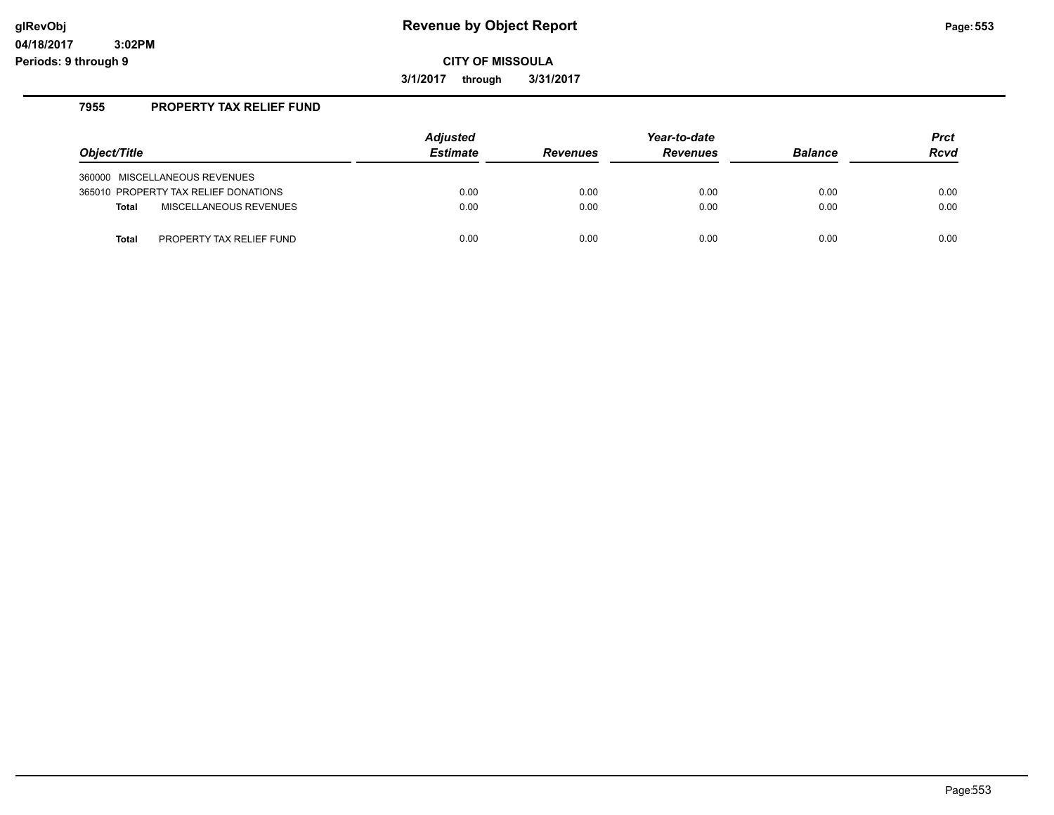**3/1/2017 through 3/31/2017**

#### **7955 PROPERTY TAX RELIEF FUND**

|                                          | <b>Adjusted</b> |                 | <b>Prct</b>     |                |             |
|------------------------------------------|-----------------|-----------------|-----------------|----------------|-------------|
| Object/Title                             | <b>Estimate</b> | <b>Revenues</b> | <b>Revenues</b> | <b>Balance</b> | <b>Rcvd</b> |
| 360000 MISCELLANEOUS REVENUES            |                 |                 |                 |                |             |
| 365010 PROPERTY TAX RELIEF DONATIONS     | 0.00            | 0.00            | 0.00            | 0.00           | 0.00        |
| MISCELLANEOUS REVENUES<br><b>Total</b>   | 0.00            | 0.00            | 0.00            | 0.00           | 0.00        |
| <b>Total</b><br>PROPERTY TAX RELIEF FUND | 0.00            | 0.00            | 0.00            | 0.00           | 0.00        |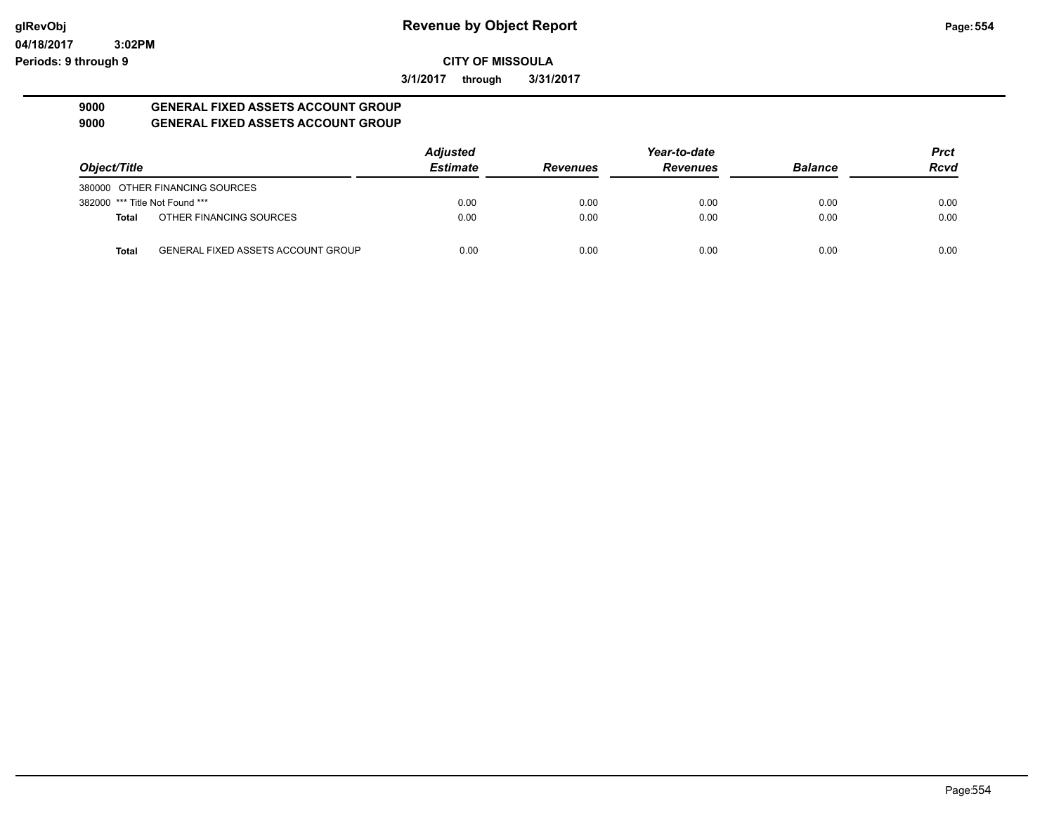**3/1/2017 through 3/31/2017**

### **9000 GENERAL FIXED ASSETS ACCOUNT GROUP 9000 GENERAL FIXED ASSETS ACCOUNT GROUP**

|                                |                                           | <b>Adjusted</b> |                 |                 | <b>Prct</b>    |             |
|--------------------------------|-------------------------------------------|-----------------|-----------------|-----------------|----------------|-------------|
| Object/Title                   |                                           | <b>Estimate</b> | <b>Revenues</b> | <b>Revenues</b> | <b>Balance</b> | <b>Rcvd</b> |
|                                | 380000 OTHER FINANCING SOURCES            |                 |                 |                 |                |             |
| 382000 *** Title Not Found *** |                                           | 0.00            | 0.00            | 0.00            | 0.00           | 0.00        |
| Total                          | OTHER FINANCING SOURCES                   | 0.00            | 0.00            | 0.00            | 0.00           | 0.00        |
| Total                          | <b>GENERAL FIXED ASSETS ACCOUNT GROUP</b> | 0.00            | 0.00            | 0.00            | 0.00           | 0.00        |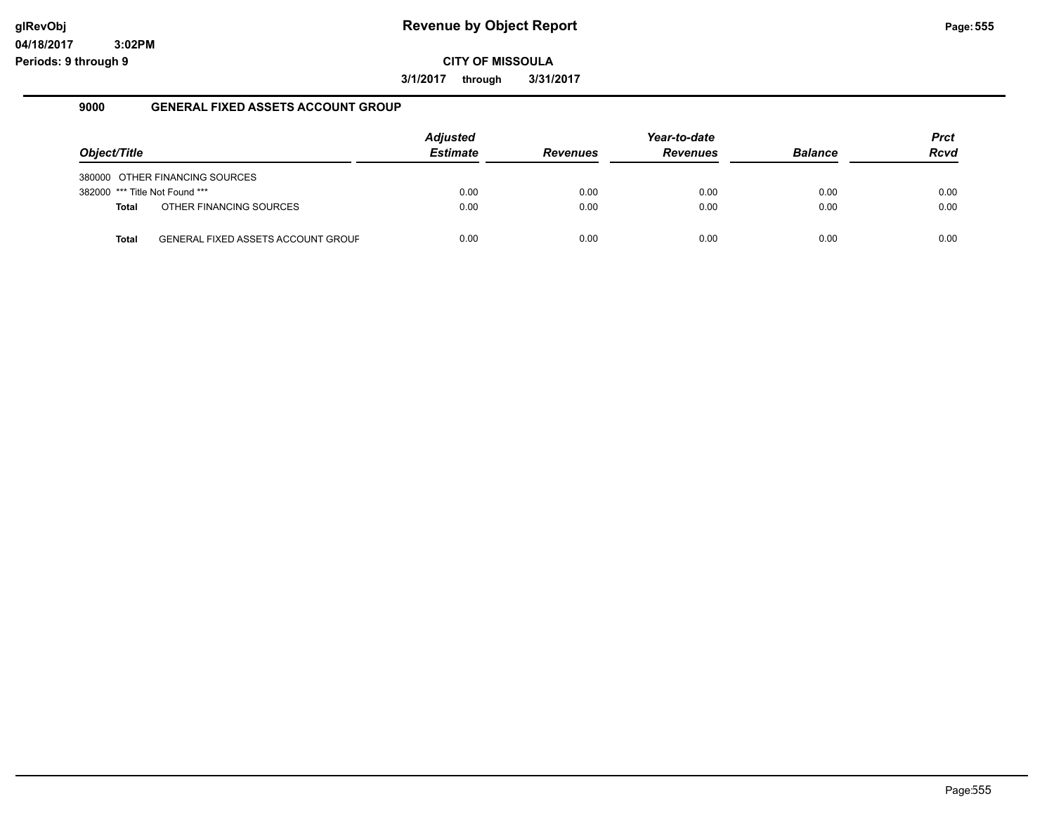**3/1/2017 through 3/31/2017**

### **9000 GENERAL FIXED ASSETS ACCOUNT GROUP**

|                                |                                           | <b>Adjusted</b> |                 | Year-to-date    |                | <b>Prct</b> |
|--------------------------------|-------------------------------------------|-----------------|-----------------|-----------------|----------------|-------------|
| Object/Title                   |                                           | <b>Estimate</b> | <b>Revenues</b> | <b>Revenues</b> | <b>Balance</b> | <b>Rcvd</b> |
|                                | 380000 OTHER FINANCING SOURCES            |                 |                 |                 |                |             |
| 382000 *** Title Not Found *** |                                           | 0.00            | 0.00            | 0.00            | 0.00           | 0.00        |
| <b>Total</b>                   | OTHER FINANCING SOURCES                   | 0.00            | 0.00            | 0.00            | 0.00           | 0.00        |
| Total                          | <b>GENERAL FIXED ASSETS ACCOUNT GROUF</b> | 0.00            | 0.00            | 0.00            | 0.00           | 0.00        |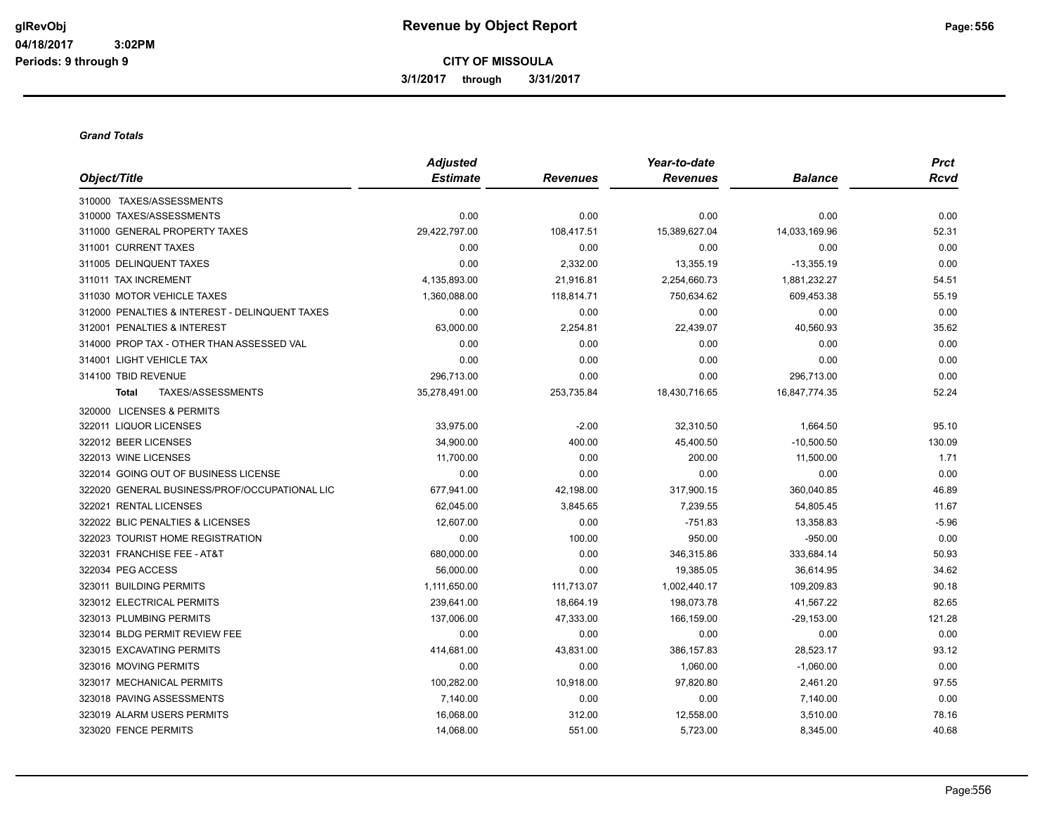#### *Grand Totals*

| Object/Title                                   | <b>Adjusted</b><br><b>Estimate</b> | <b>Revenues</b> | Year-to-date<br><b>Revenues</b> | <b>Balance</b> | <b>Prct</b><br><b>Rcvd</b> |
|------------------------------------------------|------------------------------------|-----------------|---------------------------------|----------------|----------------------------|
| 310000 TAXES/ASSESSMENTS                       |                                    |                 |                                 |                |                            |
| 310000 TAXES/ASSESSMENTS                       | 0.00                               | 0.00            | 0.00                            | 0.00           | 0.00                       |
| 311000 GENERAL PROPERTY TAXES                  | 29,422,797.00                      | 108,417.51      | 15,389,627.04                   | 14,033,169.96  | 52.31                      |
| 311001 CURRENT TAXES                           | 0.00                               | 0.00            | 0.00                            | 0.00           | 0.00                       |
| 311005 DELINQUENT TAXES                        | 0.00                               | 2,332.00        | 13,355.19                       | $-13,355.19$   | 0.00                       |
| 311011 TAX INCREMENT                           | 4,135,893.00                       | 21,916.81       | 2,254,660.73                    | 1,881,232.27   | 54.51                      |
| 311030 MOTOR VEHICLE TAXES                     | 1,360,088.00                       | 118,814.71      | 750,634.62                      | 609,453.38     | 55.19                      |
| 312000 PENALTIES & INTEREST - DELINQUENT TAXES | 0.00                               | 0.00            | 0.00                            | 0.00           | 0.00                       |
| 312001 PENALTIES & INTEREST                    | 63,000.00                          | 2,254.81        | 22,439.07                       | 40,560.93      | 35.62                      |
| 314000 PROP TAX - OTHER THAN ASSESSED VAL      | 0.00                               | 0.00            | 0.00                            | 0.00           | 0.00                       |
| 314001 LIGHT VEHICLE TAX                       | 0.00                               | 0.00            | 0.00                            | 0.00           | 0.00                       |
| 314100 TBID REVENUE                            | 296,713.00                         | 0.00            | 0.00                            | 296,713.00     | 0.00                       |
| TAXES/ASSESSMENTS<br><b>Total</b>              | 35,278,491.00                      | 253,735.84      | 18,430,716.65                   | 16,847,774.35  | 52.24                      |
| 320000 LICENSES & PERMITS                      |                                    |                 |                                 |                |                            |
| 322011 LIQUOR LICENSES                         | 33,975.00                          | $-2.00$         | 32,310.50                       | 1,664.50       | 95.10                      |
| 322012 BEER LICENSES                           | 34,900.00                          | 400.00          | 45,400.50                       | $-10,500.50$   | 130.09                     |
| 322013 WINE LICENSES                           | 11,700.00                          | 0.00            | 200.00                          | 11,500.00      | 1.71                       |
| 322014 GOING OUT OF BUSINESS LICENSE           | 0.00                               | 0.00            | 0.00                            | 0.00           | 0.00                       |
| 322020 GENERAL BUSINESS/PROF/OCCUPATIONAL LIC  | 677,941.00                         | 42,198.00       | 317,900.15                      | 360,040.85     | 46.89                      |
| 322021 RENTAL LICENSES                         | 62,045.00                          | 3,845.65        | 7,239.55                        | 54,805.45      | 11.67                      |
| 322022 BLIC PENALTIES & LICENSES               | 12,607.00                          | 0.00            | $-751.83$                       | 13,358.83      | $-5.96$                    |
| 322023 TOURIST HOME REGISTRATION               | 0.00                               | 100.00          | 950.00                          | $-950.00$      | 0.00                       |
| 322031 FRANCHISE FEE - AT&T                    | 680,000.00                         | 0.00            | 346,315.86                      | 333,684.14     | 50.93                      |
| 322034 PEG ACCESS                              | 56,000.00                          | 0.00            | 19,385.05                       | 36,614.95      | 34.62                      |
| 323011 BUILDING PERMITS                        | 1,111,650.00                       | 111,713.07      | 1,002,440.17                    | 109,209.83     | 90.18                      |
| 323012 ELECTRICAL PERMITS                      | 239,641.00                         | 18,664.19       | 198,073.78                      | 41,567.22      | 82.65                      |
| 323013 PLUMBING PERMITS                        | 137,006.00                         | 47,333.00       | 166,159.00                      | $-29,153.00$   | 121.28                     |
| 323014 BLDG PERMIT REVIEW FEE                  | 0.00                               | 0.00            | 0.00                            | 0.00           | 0.00                       |
| 323015 EXCAVATING PERMITS                      | 414,681.00                         | 43,831.00       | 386,157.83                      | 28,523.17      | 93.12                      |
| 323016 MOVING PERMITS                          | 0.00                               | 0.00            | 1,060.00                        | $-1,060.00$    | 0.00                       |
| 323017 MECHANICAL PERMITS                      | 100,282.00                         | 10,918.00       | 97,820.80                       | 2,461.20       | 97.55                      |
| 323018 PAVING ASSESSMENTS                      | 7,140.00                           | 0.00            | 0.00                            | 7,140.00       | 0.00                       |
| 323019 ALARM USERS PERMITS                     | 16,068.00                          | 312.00          | 12,558.00                       | 3,510.00       | 78.16                      |
| 323020 FENCE PERMITS                           | 14,068.00                          | 551.00          | 5,723.00                        | 8,345.00       | 40.68                      |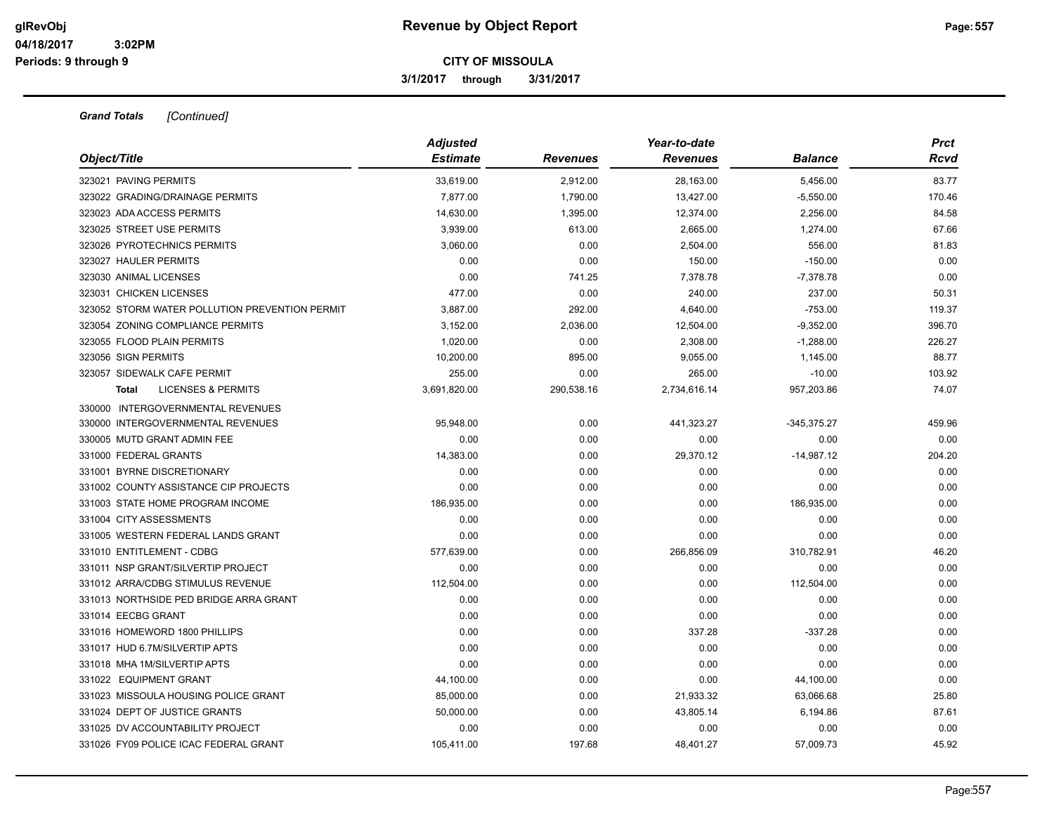| Object/Title                                   | <b>Adjusted</b><br><b>Estimate</b> | <b>Revenues</b> | Year-to-date<br><b>Revenues</b> | <b>Balance</b> | <b>Prct</b><br>Rcvd |
|------------------------------------------------|------------------------------------|-----------------|---------------------------------|----------------|---------------------|
|                                                |                                    |                 |                                 |                |                     |
| 323021 PAVING PERMITS                          | 33,619.00                          | 2,912.00        | 28,163.00                       | 5,456.00       | 83.77               |
| 323022 GRADING/DRAINAGE PERMITS                | 7,877.00                           | 1,790.00        | 13,427.00                       | $-5,550.00$    | 170.46              |
| 323023 ADA ACCESS PERMITS                      | 14,630.00                          | 1,395.00        | 12,374.00                       | 2,256.00       | 84.58               |
| 323025 STREET USE PERMITS                      | 3,939.00                           | 613.00          | 2,665.00                        | 1,274.00       | 67.66               |
| 323026 PYROTECHNICS PERMITS                    | 3,060.00                           | 0.00            | 2,504.00                        | 556.00         | 81.83               |
| 323027 HAULER PERMITS                          | 0.00                               | 0.00            | 150.00                          | $-150.00$      | 0.00                |
| 323030 ANIMAL LICENSES                         | 0.00                               | 741.25          | 7,378.78                        | $-7,378.78$    | 0.00                |
| 323031 CHICKEN LICENSES                        | 477.00                             | 0.00            | 240.00                          | 237.00         | 50.31               |
| 323052 STORM WATER POLLUTION PREVENTION PERMIT | 3,887.00                           | 292.00          | 4,640.00                        | $-753.00$      | 119.37              |
| 323054 ZONING COMPLIANCE PERMITS               | 3,152.00                           | 2,036.00        | 12,504.00                       | $-9,352.00$    | 396.70              |
| 323055 FLOOD PLAIN PERMITS                     | 1,020.00                           | 0.00            | 2,308.00                        | $-1,288.00$    | 226.27              |
| 323056 SIGN PERMITS                            | 10,200.00                          | 895.00          | 9,055.00                        | 1,145.00       | 88.77               |
| 323057 SIDEWALK CAFE PERMIT                    | 255.00                             | 0.00            | 265.00                          | $-10.00$       | 103.92              |
| <b>LICENSES &amp; PERMITS</b><br><b>Total</b>  | 3,691,820.00                       | 290,538.16      | 2,734,616.14                    | 957,203.86     | 74.07               |
| 330000 INTERGOVERNMENTAL REVENUES              |                                    |                 |                                 |                |                     |
| 330000 INTERGOVERNMENTAL REVENUES              | 95,948.00                          | 0.00            | 441,323.27                      | -345,375.27    | 459.96              |
| 330005 MUTD GRANT ADMIN FEE                    | 0.00                               | 0.00            | 0.00                            | 0.00           | 0.00                |
| 331000 FEDERAL GRANTS                          | 14,383.00                          | 0.00            | 29,370.12                       | $-14,987.12$   | 204.20              |
| 331001 BYRNE DISCRETIONARY                     | 0.00                               | 0.00            | 0.00                            | 0.00           | 0.00                |
| 331002 COUNTY ASSISTANCE CIP PROJECTS          | 0.00                               | 0.00            | 0.00                            | 0.00           | 0.00                |
| 331003 STATE HOME PROGRAM INCOME               | 186,935.00                         | 0.00            | 0.00                            | 186,935.00     | 0.00                |
| 331004 CITY ASSESSMENTS                        | 0.00                               | 0.00            | 0.00                            | 0.00           | 0.00                |
| 331005 WESTERN FEDERAL LANDS GRANT             | 0.00                               | 0.00            | 0.00                            | 0.00           | 0.00                |
| 331010 ENTITLEMENT - CDBG                      | 577,639.00                         | 0.00            | 266,856.09                      | 310,782.91     | 46.20               |
| 331011 NSP GRANT/SILVERTIP PROJECT             | 0.00                               | 0.00            | 0.00                            | 0.00           | 0.00                |
| 331012 ARRA/CDBG STIMULUS REVENUE              | 112,504.00                         | 0.00            | 0.00                            | 112,504.00     | 0.00                |
| 331013 NORTHSIDE PED BRIDGE ARRA GRANT         | 0.00                               | 0.00            | 0.00                            | 0.00           | 0.00                |
| 331014 EECBG GRANT                             | 0.00                               | 0.00            | 0.00                            | 0.00           | 0.00                |
| 331016 HOMEWORD 1800 PHILLIPS                  | 0.00                               | 0.00            | 337.28                          | $-337.28$      | 0.00                |
| 331017 HUD 6.7M/SILVERTIP APTS                 | 0.00                               | 0.00            | 0.00                            | 0.00           | 0.00                |
| 331018 MHA 1M/SILVERTIP APTS                   | 0.00                               | 0.00            | 0.00                            | 0.00           | 0.00                |
| 331022 EQUIPMENT GRANT                         | 44,100.00                          | 0.00            | 0.00                            | 44,100.00      | 0.00                |
| 331023 MISSOULA HOUSING POLICE GRANT           | 85,000.00                          | 0.00            | 21,933.32                       | 63,066.68      | 25.80               |
| 331024 DEPT OF JUSTICE GRANTS                  | 50,000.00                          | 0.00            | 43,805.14                       | 6,194.86       | 87.61               |
| 331025 DV ACCOUNTABILITY PROJECT               | 0.00                               | 0.00            | 0.00                            | 0.00           | 0.00                |
| 331026 FY09 POLICE ICAC FEDERAL GRANT          | 105,411.00                         | 197.68          | 48,401.27                       | 57,009.73      | 45.92               |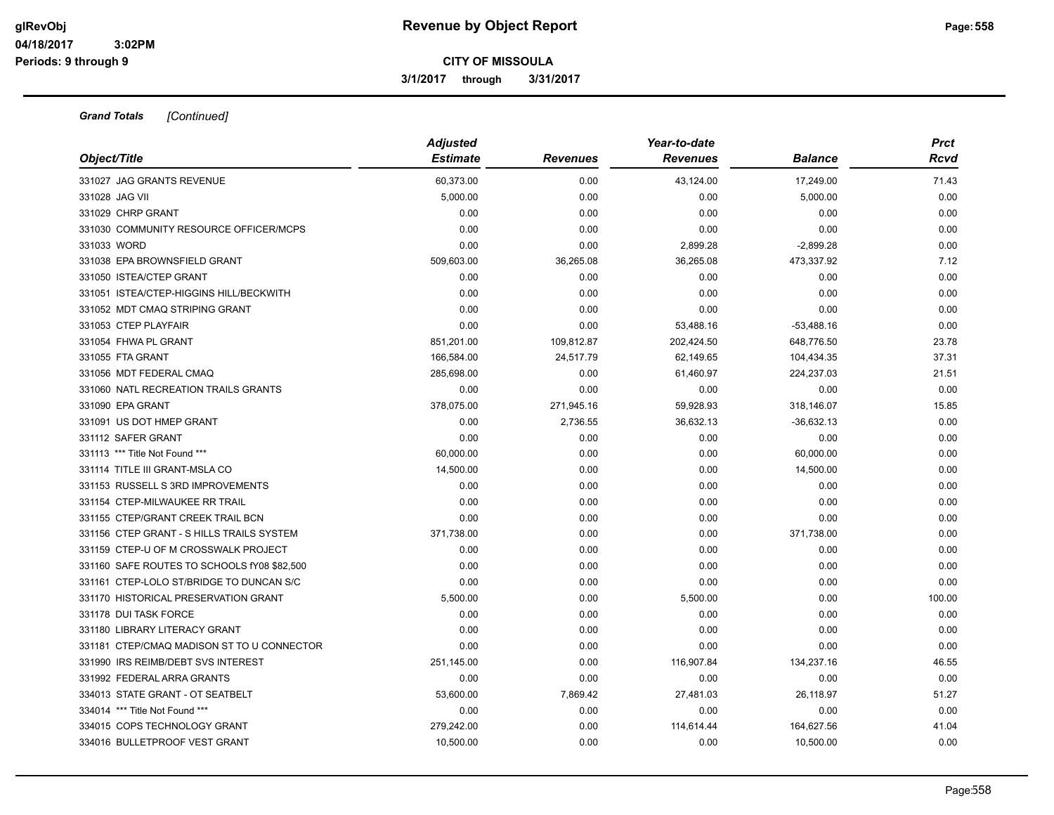| Object/Title                                | <b>Adjusted</b><br><b>Estimate</b> | <b>Revenues</b> | Year-to-date<br><b>Revenues</b> | <b>Balance</b> | <b>Prct</b><br><b>Rcvd</b> |
|---------------------------------------------|------------------------------------|-----------------|---------------------------------|----------------|----------------------------|
| 331027 JAG GRANTS REVENUE                   | 60,373.00                          | 0.00            | 43,124.00                       | 17,249.00      | 71.43                      |
| 331028 JAG VII                              | 5,000.00                           | 0.00            | 0.00                            | 5,000.00       | 0.00                       |
| 331029 CHRP GRANT                           | 0.00                               | 0.00            | 0.00                            | 0.00           | 0.00                       |
| 331030 COMMUNITY RESOURCE OFFICER/MCPS      | 0.00                               | 0.00            | 0.00                            | 0.00           | 0.00                       |
| 331033 WORD                                 | 0.00                               | 0.00            | 2,899.28                        | $-2,899.28$    | 0.00                       |
| 331038 EPA BROWNSFIELD GRANT                | 509,603.00                         | 36,265.08       | 36,265.08                       | 473,337.92     | 7.12                       |
| 331050 ISTEA/CTEP GRANT                     | 0.00                               | 0.00            | 0.00                            | 0.00           | 0.00                       |
| 331051 ISTEA/CTEP-HIGGINS HILL/BECKWITH     | 0.00                               | 0.00            | 0.00                            | 0.00           | 0.00                       |
| 331052 MDT CMAQ STRIPING GRANT              | 0.00                               | 0.00            | 0.00                            | 0.00           | 0.00                       |
| 331053 CTEP PLAYFAIR                        | 0.00                               | 0.00            | 53,488.16                       | $-53,488.16$   | 0.00                       |
| 331054 FHWA PL GRANT                        | 851,201.00                         | 109,812.87      | 202,424.50                      | 648,776.50     | 23.78                      |
| 331055 FTA GRANT                            | 166,584.00                         | 24,517.79       | 62,149.65                       | 104,434.35     | 37.31                      |
| 331056 MDT FEDERAL CMAQ                     | 285,698.00                         | 0.00            | 61,460.97                       | 224,237.03     | 21.51                      |
| 331060 NATL RECREATION TRAILS GRANTS        | 0.00                               | 0.00            | 0.00                            | 0.00           | 0.00                       |
| 331090 EPA GRANT                            | 378,075.00                         | 271,945.16      | 59,928.93                       | 318,146.07     | 15.85                      |
| 331091 US DOT HMEP GRANT                    | 0.00                               | 2,736.55        | 36,632.13                       | -36,632.13     | 0.00                       |
| 331112 SAFER GRANT                          | 0.00                               | 0.00            | 0.00                            | 0.00           | 0.00                       |
| 331113 *** Title Not Found ***              | 60,000.00                          | 0.00            | 0.00                            | 60,000.00      | 0.00                       |
| 331114 TITLE III GRANT-MSLA CO              | 14,500.00                          | 0.00            | 0.00                            | 14,500.00      | 0.00                       |
| 331153 RUSSELL S 3RD IMPROVEMENTS           | 0.00                               | 0.00            | 0.00                            | 0.00           | 0.00                       |
| 331154 CTEP-MILWAUKEE RR TRAIL              | 0.00                               | 0.00            | 0.00                            | 0.00           | 0.00                       |
| 331155 CTEP/GRANT CREEK TRAIL BCN           | 0.00                               | 0.00            | 0.00                            | 0.00           | 0.00                       |
| 331156 CTEP GRANT - S HILLS TRAILS SYSTEM   | 371,738.00                         | 0.00            | 0.00                            | 371,738.00     | 0.00                       |
| 331159 CTEP-U OF M CROSSWALK PROJECT        | 0.00                               | 0.00            | 0.00                            | 0.00           | 0.00                       |
| 331160 SAFE ROUTES TO SCHOOLS fY08 \$82,500 | 0.00                               | 0.00            | 0.00                            | 0.00           | 0.00                       |
| 331161 CTEP-LOLO ST/BRIDGE TO DUNCAN S/C    | 0.00                               | 0.00            | 0.00                            | 0.00           | 0.00                       |
| 331170 HISTORICAL PRESERVATION GRANT        | 5,500.00                           | 0.00            | 5,500.00                        | 0.00           | 100.00                     |
| 331178 DUI TASK FORCE                       | 0.00                               | 0.00            | 0.00                            | 0.00           | 0.00                       |
| 331180 LIBRARY LITERACY GRANT               | 0.00                               | 0.00            | 0.00                            | 0.00           | 0.00                       |
| 331181 CTEP/CMAQ MADISON ST TO U CONNECTOR  | 0.00                               | 0.00            | 0.00                            | 0.00           | 0.00                       |
| 331990 IRS REIMB/DEBT SVS INTEREST          | 251,145.00                         | 0.00            | 116,907.84                      | 134,237.16     | 46.55                      |
| 331992 FEDERAL ARRA GRANTS                  | 0.00                               | 0.00            | 0.00                            | 0.00           | 0.00                       |
| 334013 STATE GRANT - OT SEATBELT            | 53,600.00                          | 7,869.42        | 27,481.03                       | 26,118.97      | 51.27                      |
| 334014 *** Title Not Found ***              | 0.00                               | 0.00            | 0.00                            | 0.00           | 0.00                       |
| 334015 COPS TECHNOLOGY GRANT                | 279,242.00                         | 0.00            | 114,614.44                      | 164,627.56     | 41.04                      |
| 334016 BULLETPROOF VEST GRANT               | 10,500.00                          | 0.00            | 0.00                            | 10,500.00      | 0.00                       |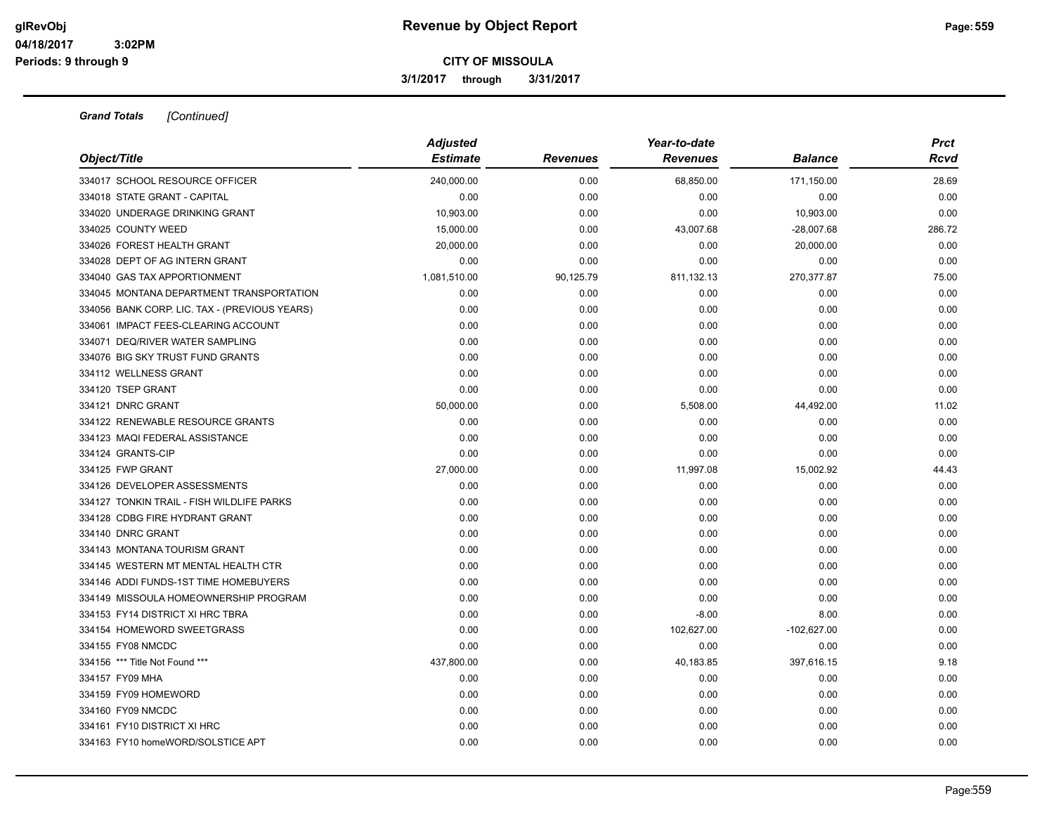| Object/Title                                  | <b>Adjusted</b><br><b>Estimate</b> | <b>Revenues</b> | Year-to-date<br><b>Revenues</b> | <b>Balance</b> | <b>Prct</b><br><b>Rcvd</b> |
|-----------------------------------------------|------------------------------------|-----------------|---------------------------------|----------------|----------------------------|
| 334017 SCHOOL RESOURCE OFFICER                | 240,000.00                         | 0.00            | 68,850.00                       | 171,150.00     | 28.69                      |
| 334018 STATE GRANT - CAPITAL                  | 0.00                               | 0.00            | 0.00                            | 0.00           | 0.00                       |
| 334020 UNDERAGE DRINKING GRANT                | 10,903.00                          | 0.00            | 0.00                            | 10,903.00      | 0.00                       |
| 334025 COUNTY WEED                            | 15,000.00                          | 0.00            | 43,007.68                       | $-28,007.68$   | 286.72                     |
| 334026 FOREST HEALTH GRANT                    | 20,000.00                          | 0.00            | 0.00                            | 20,000.00      | 0.00                       |
| 334028 DEPT OF AG INTERN GRANT                | 0.00                               | 0.00            | 0.00                            | 0.00           | 0.00                       |
| 334040 GAS TAX APPORTIONMENT                  | 1,081,510.00                       | 90,125.79       | 811,132.13                      | 270,377.87     | 75.00                      |
| 334045 MONTANA DEPARTMENT TRANSPORTATION      | 0.00                               | 0.00            | 0.00                            | 0.00           | 0.00                       |
| 334056 BANK CORP. LIC. TAX - (PREVIOUS YEARS) | 0.00                               | 0.00            | 0.00                            | 0.00           | 0.00                       |
| 334061 IMPACT FEES-CLEARING ACCOUNT           | 0.00                               | 0.00            | 0.00                            | 0.00           | 0.00                       |
| 334071 DEQ/RIVER WATER SAMPLING               | 0.00                               | 0.00            | 0.00                            | 0.00           | 0.00                       |
| 334076 BIG SKY TRUST FUND GRANTS              | 0.00                               | 0.00            | 0.00                            | 0.00           | 0.00                       |
| 334112 WELLNESS GRANT                         | 0.00                               | 0.00            | 0.00                            | 0.00           | 0.00                       |
| 334120 TSEP GRANT                             | 0.00                               | 0.00            | 0.00                            | 0.00           | 0.00                       |
| 334121 DNRC GRANT                             | 50,000.00                          | 0.00            | 5,508.00                        | 44,492.00      | 11.02                      |
| 334122 RENEWABLE RESOURCE GRANTS              | 0.00                               | 0.00            | 0.00                            | 0.00           | 0.00                       |
| 334123 MAQI FEDERAL ASSISTANCE                | 0.00                               | 0.00            | 0.00                            | 0.00           | 0.00                       |
| 334124 GRANTS-CIP                             | 0.00                               | 0.00            | 0.00                            | 0.00           | 0.00                       |
| 334125 FWP GRANT                              | 27,000.00                          | 0.00            | 11,997.08                       | 15,002.92      | 44.43                      |
| 334126 DEVELOPER ASSESSMENTS                  | 0.00                               | 0.00            | 0.00                            | 0.00           | 0.00                       |
| 334127 TONKIN TRAIL - FISH WILDLIFE PARKS     | 0.00                               | 0.00            | 0.00                            | 0.00           | 0.00                       |
| 334128 CDBG FIRE HYDRANT GRANT                | 0.00                               | 0.00            | 0.00                            | 0.00           | 0.00                       |
| 334140 DNRC GRANT                             | 0.00                               | 0.00            | 0.00                            | 0.00           | 0.00                       |
| 334143 MONTANA TOURISM GRANT                  | 0.00                               | 0.00            | 0.00                            | 0.00           | 0.00                       |
| 334145 WESTERN MT MENTAL HEALTH CTR           | 0.00                               | 0.00            | 0.00                            | 0.00           | 0.00                       |
| 334146 ADDI FUNDS-1ST TIME HOMEBUYERS         | 0.00                               | 0.00            | 0.00                            | 0.00           | 0.00                       |
| 334149 MISSOULA HOMEOWNERSHIP PROGRAM         | 0.00                               | 0.00            | 0.00                            | 0.00           | 0.00                       |
| 334153 FY14 DISTRICT XI HRC TBRA              | 0.00                               | 0.00            | $-8.00$                         | 8.00           | 0.00                       |
| 334154 HOMEWORD SWEETGRASS                    | 0.00                               | 0.00            | 102,627.00                      | $-102,627.00$  | 0.00                       |
| 334155 FY08 NMCDC                             | 0.00                               | 0.00            | 0.00                            | 0.00           | 0.00                       |
| 334156 *** Title Not Found ***                | 437,800.00                         | 0.00            | 40,183.85                       | 397,616.15     | 9.18                       |
| 334157 FY09 MHA                               | 0.00                               | 0.00            | 0.00                            | 0.00           | 0.00                       |
| 334159 FY09 HOMEWORD                          | 0.00                               | 0.00            | 0.00                            | 0.00           | 0.00                       |
| 334160 FY09 NMCDC                             | 0.00                               | 0.00            | 0.00                            | 0.00           | 0.00                       |
| 334161 FY10 DISTRICT XI HRC                   | 0.00                               | 0.00            | 0.00                            | 0.00           | 0.00                       |
| 334163 FY10 homeWORD/SOLSTICE APT             | 0.00                               | 0.00            | 0.00                            | 0.00           | 0.00                       |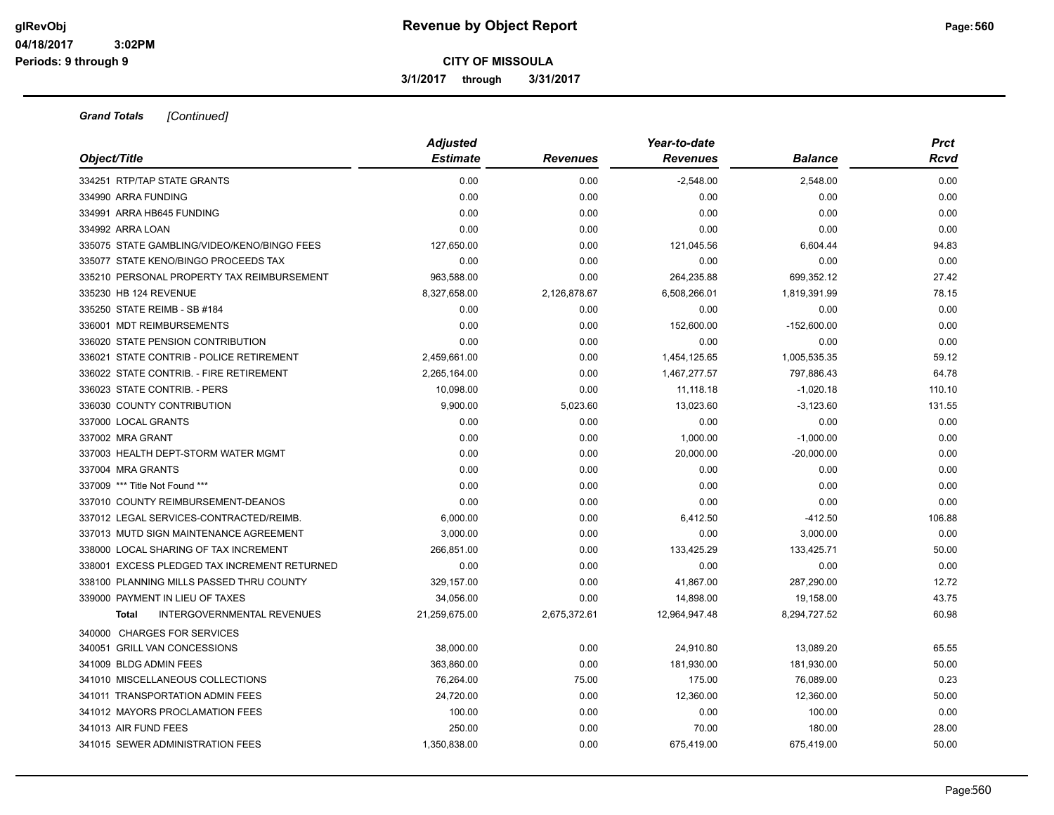**3/1/2017 through 3/31/2017**

| Object/Title                                      | <b>Adjusted</b><br><b>Estimate</b> | <b>Revenues</b> | Year-to-date<br><b>Revenues</b> | <b>Balance</b> | Prct<br><b>Rcvd</b> |
|---------------------------------------------------|------------------------------------|-----------------|---------------------------------|----------------|---------------------|
| 334251 RTP/TAP STATE GRANTS                       | 0.00                               | 0.00            | $-2,548.00$                     | 2,548.00       | 0.00                |
| 334990 ARRA FUNDING                               | 0.00                               | 0.00            | 0.00                            | 0.00           | 0.00                |
| 334991 ARRA HB645 FUNDING                         | 0.00                               | 0.00            | 0.00                            | 0.00           | 0.00                |
| 334992 ARRA LOAN                                  | 0.00                               | 0.00            | 0.00                            | 0.00           | 0.00                |
| 335075 STATE GAMBLING/VIDEO/KENO/BINGO FEES       | 127,650.00                         | 0.00            | 121,045.56                      | 6,604.44       | 94.83               |
| 335077 STATE KENO/BINGO PROCEEDS TAX              | 0.00                               | 0.00            | 0.00                            | 0.00           | 0.00                |
| 335210 PERSONAL PROPERTY TAX REIMBURSEMENT        | 963,588.00                         | 0.00            | 264,235.88                      | 699,352.12     | 27.42               |
| 335230 HB 124 REVENUE                             | 8,327,658.00                       | 2,126,878.67    | 6,508,266.01                    | 1,819,391.99   | 78.15               |
| 335250 STATE REIMB - SB #184                      | 0.00                               | 0.00            | 0.00                            | 0.00           | 0.00                |
| 336001 MDT REIMBURSEMENTS                         | 0.00                               | 0.00            | 152,600.00                      | $-152,600.00$  | 0.00                |
| 336020 STATE PENSION CONTRIBUTION                 | 0.00                               | 0.00            | 0.00                            | 0.00           | 0.00                |
| 336021 STATE CONTRIB - POLICE RETIREMENT          | 2,459,661.00                       | 0.00            | 1,454,125.65                    | 1,005,535.35   | 59.12               |
| 336022 STATE CONTRIB. - FIRE RETIREMENT           | 2,265,164.00                       | 0.00            | 1,467,277.57                    | 797,886.43     | 64.78               |
| 336023 STATE CONTRIB. - PERS                      | 10,098.00                          | 0.00            | 11,118.18                       | $-1,020.18$    | 110.10              |
| 336030 COUNTY CONTRIBUTION                        | 9,900.00                           | 5,023.60        | 13,023.60                       | $-3,123.60$    | 131.55              |
| 337000 LOCAL GRANTS                               | 0.00                               | 0.00            | 0.00                            | 0.00           | 0.00                |
| 337002 MRA GRANT                                  | 0.00                               | 0.00            | 1,000.00                        | $-1,000.00$    | 0.00                |
| 337003 HEALTH DEPT-STORM WATER MGMT               | 0.00                               | 0.00            | 20,000.00                       | $-20,000.00$   | 0.00                |
| 337004 MRA GRANTS                                 | 0.00                               | 0.00            | 0.00                            | 0.00           | 0.00                |
| 337009 *** Title Not Found ***                    | 0.00                               | 0.00            | 0.00                            | 0.00           | 0.00                |
| 337010 COUNTY REIMBURSEMENT-DEANOS                | 0.00                               | 0.00            | 0.00                            | 0.00           | 0.00                |
| 337012 LEGAL SERVICES-CONTRACTED/REIMB.           | 6,000.00                           | 0.00            | 6,412.50                        | $-412.50$      | 106.88              |
| 337013 MUTD SIGN MAINTENANCE AGREEMENT            | 3,000.00                           | 0.00            | 0.00                            | 3,000.00       | 0.00                |
| 338000 LOCAL SHARING OF TAX INCREMENT             | 266,851.00                         | 0.00            | 133,425.29                      | 133,425.71     | 50.00               |
| 338001 EXCESS PLEDGED TAX INCREMENT RETURNED      | 0.00                               | 0.00            | 0.00                            | 0.00           | 0.00                |
| 338100 PLANNING MILLS PASSED THRU COUNTY          | 329,157.00                         | 0.00            | 41,867.00                       | 287,290.00     | 12.72               |
| 339000 PAYMENT IN LIEU OF TAXES                   | 34,056.00                          | 0.00            | 14,898.00                       | 19,158.00      | 43.75               |
| <b>INTERGOVERNMENTAL REVENUES</b><br><b>Total</b> | 21,259,675.00                      | 2,675,372.61    | 12,964,947.48                   | 8,294,727.52   | 60.98               |
| 340000 CHARGES FOR SERVICES                       |                                    |                 |                                 |                |                     |
| 340051 GRILL VAN CONCESSIONS                      | 38,000.00                          | 0.00            | 24,910.80                       | 13,089.20      | 65.55               |
| 341009 BLDG ADMIN FEES                            | 363,860.00                         | 0.00            | 181,930.00                      | 181,930.00     | 50.00               |
| 341010 MISCELLANEOUS COLLECTIONS                  | 76,264.00                          | 75.00           | 175.00                          | 76,089.00      | 0.23                |
| 341011 TRANSPORTATION ADMIN FEES                  | 24,720.00                          | 0.00            | 12,360.00                       | 12,360.00      | 50.00               |
| 341012 MAYORS PROCLAMATION FEES                   | 100.00                             | 0.00            | 0.00                            | 100.00         | 0.00                |
| 341013 AIR FUND FEES                              | 250.00                             | 0.00            | 70.00                           | 180.00         | 28.00               |
| 341015 SEWER ADMINISTRATION FEES                  | 1.350.838.00                       | 0.00            | 675.419.00                      | 675,419.00     | 50.00               |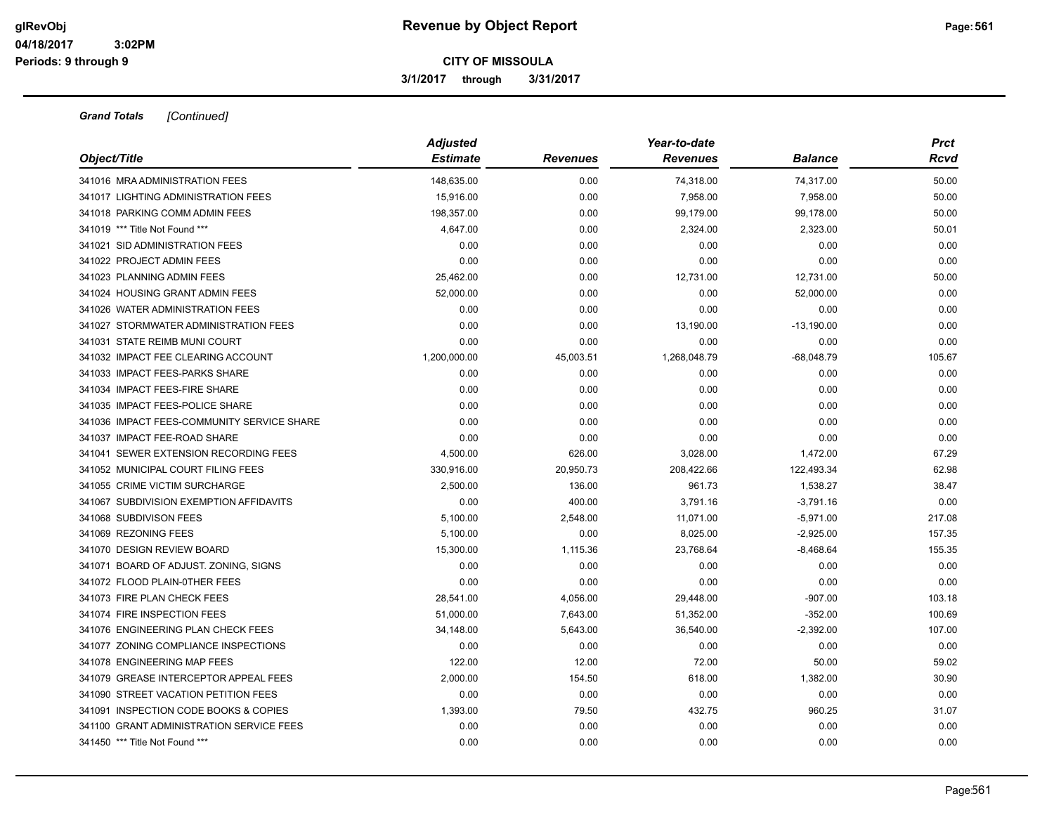|                                            | <b>Adjusted</b> |                 | Year-to-date    |              | <b>Prct</b><br>Rcvd |
|--------------------------------------------|-----------------|-----------------|-----------------|--------------|---------------------|
| Object/Title                               | <b>Estimate</b> | <b>Revenues</b> | <b>Revenues</b> | Balance      |                     |
| 341016 MRA ADMINISTRATION FEES             | 148,635.00      | 0.00            | 74,318.00       | 74,317.00    | 50.00               |
| 341017 LIGHTING ADMINISTRATION FEES        | 15,916.00       | 0.00            | 7,958.00        | 7,958.00     | 50.00               |
| 341018 PARKING COMM ADMIN FEES             | 198,357.00      | 0.00            | 99,179.00       | 99,178.00    | 50.00               |
| 341019 *** Title Not Found ***             | 4,647.00        | 0.00            | 2,324.00        | 2,323.00     | 50.01               |
| 341021 SID ADMINISTRATION FEES             | 0.00            | 0.00            | 0.00            | 0.00         | 0.00                |
| 341022 PROJECT ADMIN FEES                  | 0.00            | 0.00            | 0.00            | 0.00         | 0.00                |
| 341023 PLANNING ADMIN FEES                 | 25,462.00       | 0.00            | 12,731.00       | 12,731.00    | 50.00               |
| 341024 HOUSING GRANT ADMIN FEES            | 52,000.00       | 0.00            | 0.00            | 52,000.00    | 0.00                |
| 341026 WATER ADMINISTRATION FEES           | 0.00            | 0.00            | 0.00            | 0.00         | 0.00                |
| 341027 STORMWATER ADMINISTRATION FEES      | 0.00            | 0.00            | 13,190.00       | $-13,190.00$ | 0.00                |
| 341031 STATE REIMB MUNI COURT              | 0.00            | 0.00            | 0.00            | 0.00         | 0.00                |
| 341032 IMPACT FEE CLEARING ACCOUNT         | 1,200,000.00    | 45,003.51       | 1,268,048.79    | $-68,048.79$ | 105.67              |
| 341033 IMPACT FEES-PARKS SHARE             | 0.00            | 0.00            | 0.00            | 0.00         | 0.00                |
| 341034 IMPACT FEES-FIRE SHARE              | 0.00            | 0.00            | 0.00            | 0.00         | 0.00                |
| 341035 IMPACT FEES-POLICE SHARE            | 0.00            | 0.00            | 0.00            | 0.00         | 0.00                |
| 341036 IMPACT FEES-COMMUNITY SERVICE SHARE | 0.00            | 0.00            | 0.00            | 0.00         | 0.00                |
| 341037 IMPACT FEE-ROAD SHARE               | 0.00            | 0.00            | 0.00            | 0.00         | 0.00                |
| 341041 SEWER EXTENSION RECORDING FEES      | 4,500.00        | 626.00          | 3,028.00        | 1,472.00     | 67.29               |
| 341052 MUNICIPAL COURT FILING FEES         | 330,916.00      | 20,950.73       | 208,422.66      | 122,493.34   | 62.98               |
| 341055 CRIME VICTIM SURCHARGE              | 2,500.00        | 136.00          | 961.73          | 1,538.27     | 38.47               |
| 341067 SUBDIVISION EXEMPTION AFFIDAVITS    | 0.00            | 400.00          | 3,791.16        | $-3,791.16$  | 0.00                |
| 341068 SUBDIVISON FEES                     | 5,100.00        | 2,548.00        | 11,071.00       | $-5,971.00$  | 217.08              |
| 341069 REZONING FEES                       | 5,100.00        | 0.00            | 8,025.00        | $-2,925.00$  | 157.35              |
| 341070 DESIGN REVIEW BOARD                 | 15,300.00       | 1,115.36        | 23,768.64       | $-8,468.64$  | 155.35              |
| 341071 BOARD OF ADJUST. ZONING, SIGNS      | 0.00            | 0.00            | 0.00            | 0.00         | 0.00                |
| 341072 FLOOD PLAIN-0THER FEES              | 0.00            | 0.00            | 0.00            | 0.00         | 0.00                |
| 341073 FIRE PLAN CHECK FEES                | 28,541.00       | 4,056.00        | 29,448.00       | $-907.00$    | 103.18              |
| 341074 FIRE INSPECTION FEES                | 51,000.00       | 7,643.00        | 51,352.00       | $-352.00$    | 100.69              |
| 341076 ENGINEERING PLAN CHECK FEES         | 34,148.00       | 5,643.00        | 36,540.00       | $-2,392.00$  | 107.00              |
| 341077 ZONING COMPLIANCE INSPECTIONS       | 0.00            | 0.00            | 0.00            | 0.00         | 0.00                |
| 341078 ENGINEERING MAP FEES                | 122.00          | 12.00           | 72.00           | 50.00        | 59.02               |
| 341079 GREASE INTERCEPTOR APPEAL FEES      | 2,000.00        | 154.50          | 618.00          | 1,382.00     | 30.90               |
| 341090 STREET VACATION PETITION FEES       | 0.00            | 0.00            | 0.00            | 0.00         | 0.00                |
| 341091 INSPECTION CODE BOOKS & COPIES      | 1,393.00        | 79.50           | 432.75          | 960.25       | 31.07               |
| 341100 GRANT ADMINISTRATION SERVICE FEES   | 0.00            | 0.00            | 0.00            | 0.00         | 0.00                |
| 341450 *** Title Not Found ***             | 0.00            | 0.00            | 0.00            | 0.00         | 0.00                |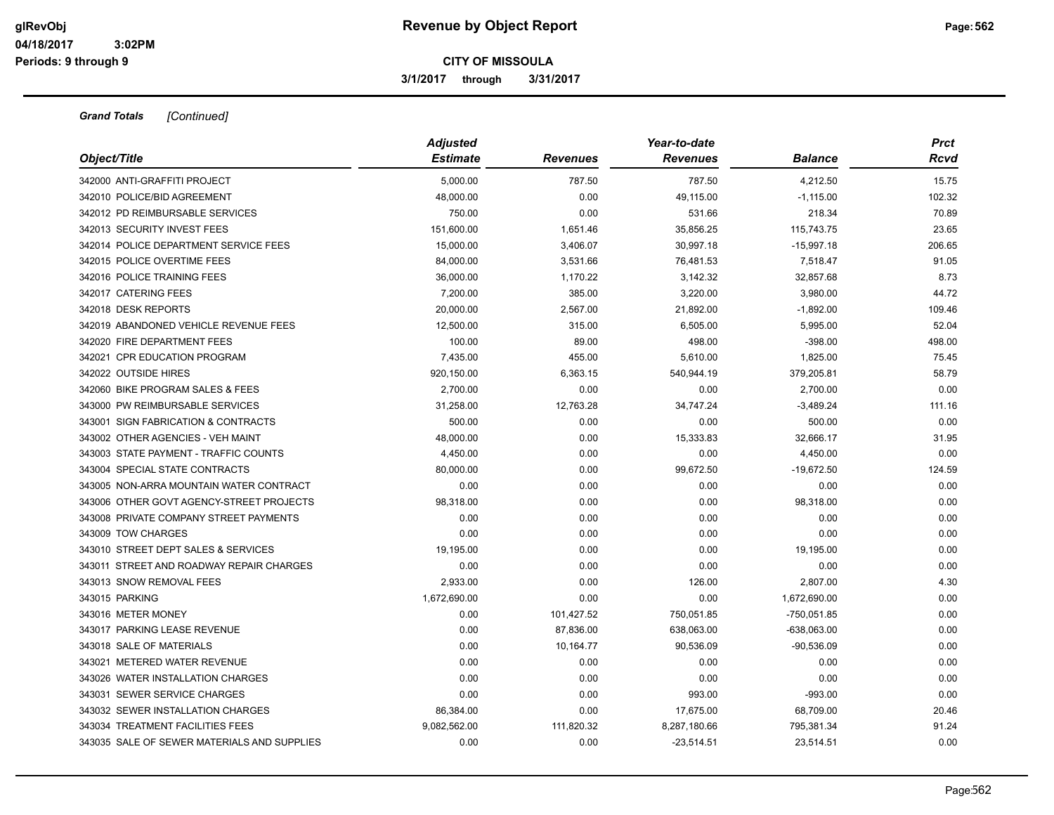| Object/Title                                | <b>Adjusted</b><br><b>Estimate</b> | <b>Revenues</b> | Year-to-date<br><b>Revenues</b> | <b>Balance</b> | <b>Prct</b><br><b>Rcvd</b> |
|---------------------------------------------|------------------------------------|-----------------|---------------------------------|----------------|----------------------------|
| 342000 ANTI-GRAFFITI PROJECT                | 5,000.00                           | 787.50          | 787.50                          | 4,212.50       | 15.75                      |
| 342010 POLICE/BID AGREEMENT                 | 48,000.00                          | 0.00            | 49,115.00                       | $-1,115.00$    | 102.32                     |
| 342012 PD REIMBURSABLE SERVICES             | 750.00                             | 0.00            | 531.66                          | 218.34         | 70.89                      |
| 342013 SECURITY INVEST FEES                 | 151,600.00                         | 1,651.46        | 35,856.25                       | 115,743.75     | 23.65                      |
| 342014 POLICE DEPARTMENT SERVICE FEES       | 15,000.00                          | 3,406.07        | 30,997.18                       | $-15,997.18$   | 206.65                     |
| 342015 POLICE OVERTIME FEES                 | 84,000.00                          | 3,531.66        | 76,481.53                       | 7,518.47       | 91.05                      |
| 342016 POLICE TRAINING FEES                 | 36,000.00                          | 1,170.22        | 3,142.32                        | 32,857.68      | 8.73                       |
| 342017 CATERING FEES                        | 7,200.00                           | 385.00          | 3,220.00                        | 3,980.00       | 44.72                      |
| 342018 DESK REPORTS                         | 20,000.00                          | 2,567.00        | 21,892.00                       | $-1,892.00$    | 109.46                     |
| 342019 ABANDONED VEHICLE REVENUE FEES       | 12,500.00                          | 315.00          | 6,505.00                        | 5,995.00       | 52.04                      |
| 342020 FIRE DEPARTMENT FEES                 | 100.00                             | 89.00           | 498.00                          | $-398.00$      | 498.00                     |
| 342021 CPR EDUCATION PROGRAM                | 7,435.00                           | 455.00          | 5,610.00                        | 1,825.00       | 75.45                      |
| 342022 OUTSIDE HIRES                        | 920,150.00                         | 6,363.15        | 540,944.19                      | 379,205.81     | 58.79                      |
| 342060 BIKE PROGRAM SALES & FEES            | 2.700.00                           | 0.00            | 0.00                            | 2.700.00       | 0.00                       |
| 343000 PW REIMBURSABLE SERVICES             | 31,258.00                          | 12,763.28       | 34,747.24                       | $-3,489.24$    | 111.16                     |
| 343001 SIGN FABRICATION & CONTRACTS         | 500.00                             | 0.00            | 0.00                            | 500.00         | 0.00                       |
| 343002 OTHER AGENCIES - VEH MAINT           | 48,000.00                          | 0.00            | 15,333.83                       | 32,666.17      | 31.95                      |
| 343003 STATE PAYMENT - TRAFFIC COUNTS       | 4,450.00                           | 0.00            | 0.00                            | 4,450.00       | 0.00                       |
| 343004 SPECIAL STATE CONTRACTS              | 80,000.00                          | 0.00            | 99,672.50                       | $-19,672.50$   | 124.59                     |
| 343005 NON-ARRA MOUNTAIN WATER CONTRACT     | 0.00                               | 0.00            | 0.00                            | 0.00           | 0.00                       |
| 343006 OTHER GOVT AGENCY-STREET PROJECTS    | 98,318.00                          | 0.00            | 0.00                            | 98,318.00      | 0.00                       |
| 343008 PRIVATE COMPANY STREET PAYMENTS      | 0.00                               | 0.00            | 0.00                            | 0.00           | 0.00                       |
| 343009 TOW CHARGES                          | 0.00                               | 0.00            | 0.00                            | 0.00           | 0.00                       |
| 343010 STREET DEPT SALES & SERVICES         | 19,195.00                          | 0.00            | 0.00                            | 19,195.00      | 0.00                       |
| 343011 STREET AND ROADWAY REPAIR CHARGES    | 0.00                               | 0.00            | 0.00                            | 0.00           | 0.00                       |
| 343013 SNOW REMOVAL FEES                    | 2,933.00                           | 0.00            | 126.00                          | 2,807.00       | 4.30                       |
| 343015 PARKING                              | 1,672,690.00                       | 0.00            | 0.00                            | 1,672,690.00   | 0.00                       |
| 343016 METER MONEY                          | 0.00                               | 101,427.52      | 750,051.85                      | -750,051.85    | 0.00                       |
| 343017 PARKING LEASE REVENUE                | 0.00                               | 87,836.00       | 638,063.00                      | $-638,063.00$  | 0.00                       |
| 343018 SALE OF MATERIALS                    | 0.00                               | 10,164.77       | 90,536.09                       | $-90,536.09$   | 0.00                       |
| 343021 METERED WATER REVENUE                | 0.00                               | 0.00            | 0.00                            | 0.00           | 0.00                       |
| 343026 WATER INSTALLATION CHARGES           | 0.00                               | 0.00            | 0.00                            | 0.00           | 0.00                       |
| 343031 SEWER SERVICE CHARGES                | 0.00                               | 0.00            | 993.00                          | $-993.00$      | 0.00                       |
| 343032 SEWER INSTALLATION CHARGES           | 86,384.00                          | 0.00            | 17,675.00                       | 68,709.00      | 20.46                      |
| 343034 TREATMENT FACILITIES FEES            | 9,082,562.00                       | 111,820.32      | 8,287,180.66                    | 795,381.34     | 91.24                      |
| 343035 SALE OF SEWER MATERIALS AND SUPPLIES | 0.00                               | 0.00            | $-23,514.51$                    | 23,514.51      | 0.00                       |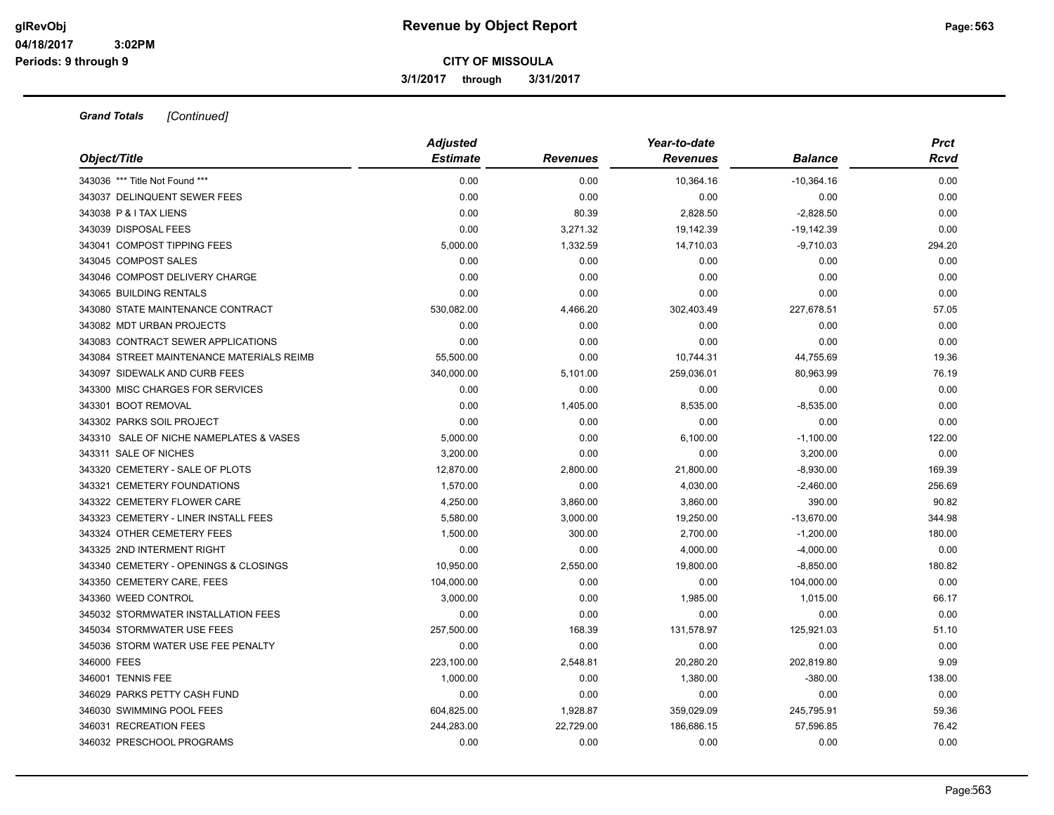**3/1/2017 through 3/31/2017**

|                                           | <b>Adjusted</b> |                 | Year-to-date    |                | <b>Prct</b> |  |
|-------------------------------------------|-----------------|-----------------|-----------------|----------------|-------------|--|
| Object/Title                              | <b>Estimate</b> | <b>Revenues</b> | <b>Revenues</b> | <b>Balance</b> | <b>Rcvd</b> |  |
| 343036 *** Title Not Found ***            | 0.00            | 0.00            | 10,364.16       | $-10,364.16$   | 0.00        |  |
| 343037 DELINQUENT SEWER FEES              | 0.00            | 0.00            | 0.00            | 0.00           | 0.00        |  |
| 343038 P & I TAX LIENS                    | 0.00            | 80.39           | 2,828.50        | $-2,828.50$    | 0.00        |  |
| 343039 DISPOSAL FEES                      | 0.00            | 3,271.32        | 19,142.39       | $-19, 142.39$  | 0.00        |  |
| 343041 COMPOST TIPPING FEES               | 5,000.00        | 1,332.59        | 14,710.03       | $-9,710.03$    | 294.20      |  |
| 343045 COMPOST SALES                      | 0.00            | 0.00            | 0.00            | 0.00           | 0.00        |  |
| 343046 COMPOST DELIVERY CHARGE            | 0.00            | 0.00            | 0.00            | 0.00           | 0.00        |  |
| 343065 BUILDING RENTALS                   | 0.00            | 0.00            | 0.00            | 0.00           | 0.00        |  |
| 343080 STATE MAINTENANCE CONTRACT         | 530,082.00      | 4,466.20        | 302,403.49      | 227,678.51     | 57.05       |  |
| 343082 MDT URBAN PROJECTS                 | 0.00            | 0.00            | 0.00            | 0.00           | 0.00        |  |
| 343083 CONTRACT SEWER APPLICATIONS        | 0.00            | 0.00            | 0.00            | 0.00           | 0.00        |  |
| 343084 STREET MAINTENANCE MATERIALS REIMB | 55,500.00       | 0.00            | 10,744.31       | 44,755.69      | 19.36       |  |
| 343097 SIDEWALK AND CURB FEES             | 340,000.00      | 5,101.00        | 259,036.01      | 80,963.99      | 76.19       |  |
| 343300 MISC CHARGES FOR SERVICES          | 0.00            | 0.00            | 0.00            | 0.00           | 0.00        |  |
| 343301 BOOT REMOVAL                       | 0.00            | 1,405.00        | 8,535.00        | $-8,535.00$    | 0.00        |  |
| 343302 PARKS SOIL PROJECT                 | 0.00            | 0.00            | 0.00            | 0.00           | 0.00        |  |
| 343310 SALE OF NICHE NAMEPLATES & VASES   | 5,000.00        | 0.00            | 6,100.00        | $-1,100.00$    | 122.00      |  |
| 343311 SALE OF NICHES                     | 3,200.00        | 0.00            | 0.00            | 3,200.00       | 0.00        |  |
| 343320 CEMETERY - SALE OF PLOTS           | 12,870.00       | 2,800.00        | 21,800.00       | $-8,930.00$    | 169.39      |  |
| 343321 CEMETERY FOUNDATIONS               | 1,570.00        | 0.00            | 4,030.00        | $-2,460.00$    | 256.69      |  |
| 343322 CEMETERY FLOWER CARE               | 4,250.00        | 3,860.00        | 3,860.00        | 390.00         | 90.82       |  |
| 343323 CEMETERY - LINER INSTALL FEES      | 5,580.00        | 3,000.00        | 19,250.00       | $-13,670.00$   | 344.98      |  |
| 343324 OTHER CEMETERY FEES                | 1,500.00        | 300.00          | 2,700.00        | $-1,200.00$    | 180.00      |  |
| 343325 2ND INTERMENT RIGHT                | 0.00            | 0.00            | 4,000.00        | $-4,000.00$    | 0.00        |  |
| 343340 CEMETERY - OPENINGS & CLOSINGS     | 10,950.00       | 2,550.00        | 19,800.00       | $-8,850.00$    | 180.82      |  |
| 343350 CEMETERY CARE, FEES                | 104,000.00      | 0.00            | 0.00            | 104,000.00     | 0.00        |  |
| 343360 WEED CONTROL                       | 3,000.00        | 0.00            | 1,985.00        | 1,015.00       | 66.17       |  |
| 345032 STORMWATER INSTALLATION FEES       | 0.00            | 0.00            | 0.00            | 0.00           | 0.00        |  |
| 345034 STORMWATER USE FEES                | 257,500.00      | 168.39          | 131,578.97      | 125,921.03     | 51.10       |  |
| 345036 STORM WATER USE FEE PENALTY        | 0.00            | 0.00            | 0.00            | 0.00           | 0.00        |  |
| 346000 FEES                               | 223,100.00      | 2,548.81        | 20,280.20       | 202,819.80     | 9.09        |  |
| 346001 TENNIS FEE                         | 1,000.00        | 0.00            | 1,380.00        | $-380.00$      | 138.00      |  |
| 346029 PARKS PETTY CASH FUND              | 0.00            | 0.00            | 0.00            | 0.00           | 0.00        |  |
| 346030 SWIMMING POOL FEES                 | 604,825.00      | 1,928.87        | 359,029.09      | 245,795.91     | 59.36       |  |
| 346031 RECREATION FEES                    | 244,283.00      | 22,729.00       | 186,686.15      | 57,596.85      | 76.42       |  |
| 346032 PRESCHOOL PROGRAMS                 | 0.00            | 0.00            | 0.00            | 0.00           | 0.00        |  |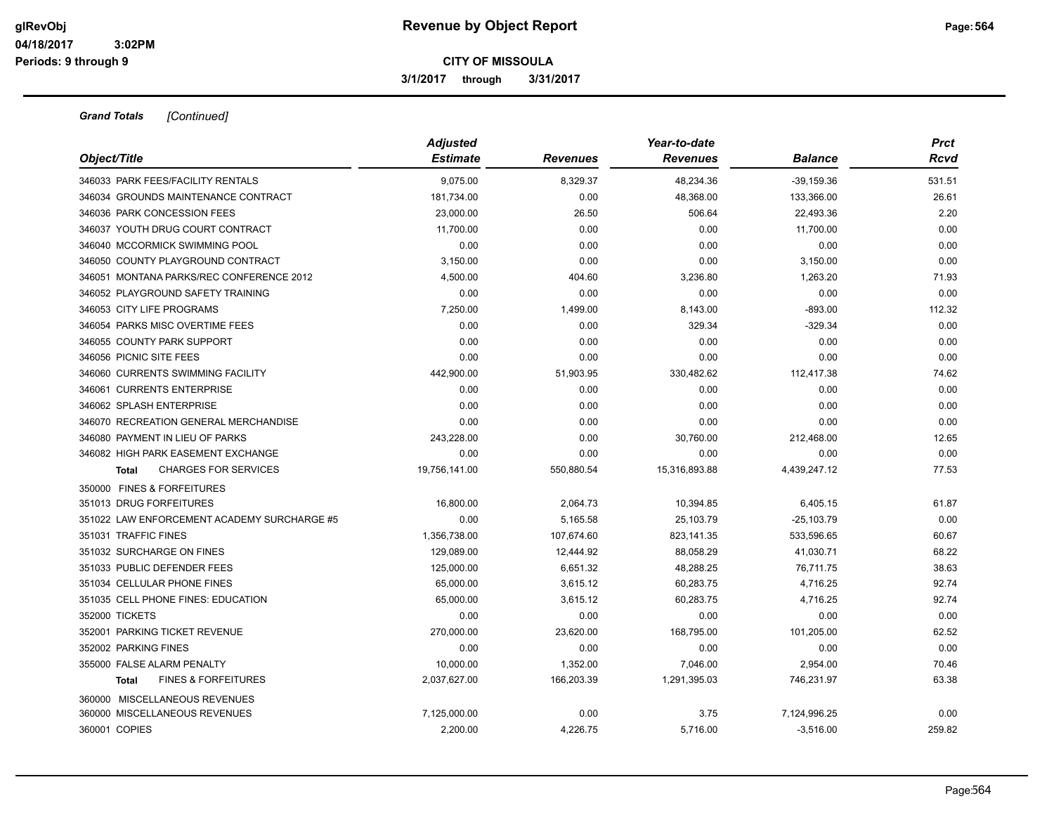| Object/Title                                | <b>Adjusted</b><br><b>Estimate</b> | <b>Revenues</b> | Year-to-date<br><b>Revenues</b> | <b>Balance</b> | <b>Prct</b><br><b>Rcvd</b> |
|---------------------------------------------|------------------------------------|-----------------|---------------------------------|----------------|----------------------------|
| 346033 PARK FEES/FACILITY RENTALS           | 9,075.00                           | 8,329.37        | 48,234.36                       | $-39,159.36$   | 531.51                     |
| 346034 GROUNDS MAINTENANCE CONTRACT         | 181,734.00                         | 0.00            | 48,368.00                       | 133,366.00     | 26.61                      |
| 346036 PARK CONCESSION FEES                 | 23,000.00                          | 26.50           | 506.64                          | 22,493.36      | 2.20                       |
| 346037 YOUTH DRUG COURT CONTRACT            | 11,700.00                          | 0.00            | 0.00                            | 11,700.00      | 0.00                       |
| 346040 MCCORMICK SWIMMING POOL              | 0.00                               | 0.00            | 0.00                            | 0.00           | 0.00                       |
| 346050 COUNTY PLAYGROUND CONTRACT           | 3,150.00                           | 0.00            | 0.00                            | 3,150.00       | 0.00                       |
| 346051 MONTANA PARKS/REC CONFERENCE 2012    | 4,500.00                           | 404.60          | 3,236.80                        | 1,263.20       | 71.93                      |
| 346052 PLAYGROUND SAFETY TRAINING           | 0.00                               | 0.00            | 0.00                            | 0.00           | 0.00                       |
| 346053 CITY LIFE PROGRAMS                   | 7,250.00                           | 1,499.00        | 8,143.00                        | $-893.00$      | 112.32                     |
| 346054 PARKS MISC OVERTIME FEES             | 0.00                               | 0.00            | 329.34                          | $-329.34$      | 0.00                       |
| 346055 COUNTY PARK SUPPORT                  | 0.00                               | 0.00            | 0.00                            | 0.00           | 0.00                       |
| 346056 PICNIC SITE FEES                     | 0.00                               | 0.00            | 0.00                            | 0.00           | 0.00                       |
| 346060 CURRENTS SWIMMING FACILITY           | 442,900.00                         | 51,903.95       | 330,482.62                      | 112,417.38     | 74.62                      |
| 346061 CURRENTS ENTERPRISE                  | 0.00                               | 0.00            | 0.00                            | 0.00           | 0.00                       |
| 346062 SPLASH ENTERPRISE                    | 0.00                               | 0.00            | 0.00                            | 0.00           | 0.00                       |
| 346070 RECREATION GENERAL MERCHANDISE       | 0.00                               | 0.00            | 0.00                            | 0.00           | 0.00                       |
| 346080 PAYMENT IN LIEU OF PARKS             | 243,228.00                         | 0.00            | 30,760.00                       | 212,468.00     | 12.65                      |
| 346082 HIGH PARK EASEMENT EXCHANGE          | 0.00                               | 0.00            | 0.00                            | 0.00           | 0.00                       |
| <b>CHARGES FOR SERVICES</b><br><b>Total</b> | 19,756,141.00                      | 550,880.54      | 15,316,893.88                   | 4,439,247.12   | 77.53                      |
| 350000 FINES & FORFEITURES                  |                                    |                 |                                 |                |                            |
| 351013 DRUG FORFEITURES                     | 16.800.00                          | 2,064.73        | 10,394.85                       | 6,405.15       | 61.87                      |
| 351022 LAW ENFORCEMENT ACADEMY SURCHARGE #5 | 0.00                               | 5,165.58        | 25,103.79                       | $-25,103.79$   | 0.00                       |
| 351031 TRAFFIC FINES                        | 1,356,738.00                       | 107,674.60      | 823,141.35                      | 533,596.65     | 60.67                      |
| 351032 SURCHARGE ON FINES                   | 129,089.00                         | 12,444.92       | 88,058.29                       | 41,030.71      | 68.22                      |
| 351033 PUBLIC DEFENDER FEES                 | 125,000.00                         | 6,651.32        | 48,288.25                       | 76,711.75      | 38.63                      |
| 351034 CELLULAR PHONE FINES                 | 65,000.00                          | 3,615.12        | 60,283.75                       | 4,716.25       | 92.74                      |
| 351035 CELL PHONE FINES: EDUCATION          | 65,000.00                          | 3.615.12        | 60,283.75                       | 4,716.25       | 92.74                      |
| 352000 TICKETS                              | 0.00                               | 0.00            | 0.00                            | 0.00           | 0.00                       |
| 352001 PARKING TICKET REVENUE               | 270,000.00                         | 23,620.00       | 168,795.00                      | 101,205.00     | 62.52                      |
| 352002 PARKING FINES                        | 0.00                               | 0.00            | 0.00                            | 0.00           | 0.00                       |
| 355000 FALSE ALARM PENALTY                  | 10,000.00                          | 1,352.00        | 7,046.00                        | 2,954.00       | 70.46                      |
| <b>FINES &amp; FORFEITURES</b><br>Total     | 2,037,627.00                       | 166,203.39      | 1,291,395.03                    | 746,231.97     | 63.38                      |
| 360000 MISCELLANEOUS REVENUES               |                                    |                 |                                 |                |                            |
| 360000 MISCELLANEOUS REVENUES               | 7,125,000.00                       | 0.00            | 3.75                            | 7,124,996.25   | 0.00                       |
| 360001 COPIES                               | 2,200.00                           | 4,226.75        | 5.716.00                        | $-3,516.00$    | 259.82                     |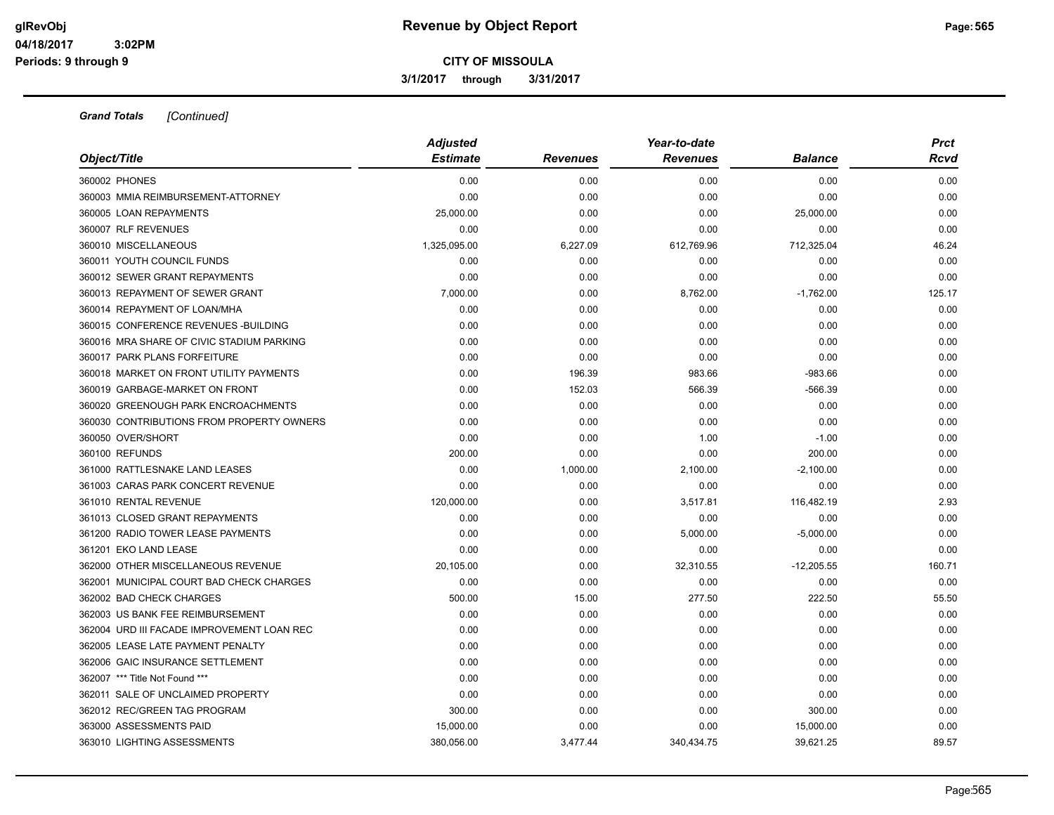**3/1/2017 through 3/31/2017**

| Object/Title                               | <b>Adjusted</b> | <b>Revenues</b> | Year-to-date<br><b>Revenues</b> | <b>Balance</b> | <b>Prct</b><br>Rcvd |
|--------------------------------------------|-----------------|-----------------|---------------------------------|----------------|---------------------|
|                                            | <b>Estimate</b> |                 |                                 |                |                     |
| 360002 PHONES                              | 0.00            | 0.00            | 0.00                            | 0.00           | 0.00                |
| 360003 MMIA REIMBURSEMENT-ATTORNEY         | 0.00            | 0.00            | 0.00                            | 0.00           | 0.00                |
| 360005 LOAN REPAYMENTS                     | 25,000.00       | 0.00            | 0.00                            | 25,000.00      | 0.00                |
| 360007 RLF REVENUES                        | 0.00            | 0.00            | 0.00                            | 0.00           | 0.00                |
| 360010 MISCELLANEOUS                       | 1,325,095.00    | 6,227.09        | 612,769.96                      | 712,325.04     | 46.24               |
| 360011 YOUTH COUNCIL FUNDS                 | 0.00            | 0.00            | 0.00                            | 0.00           | 0.00                |
| 360012 SEWER GRANT REPAYMENTS              | 0.00            | 0.00            | 0.00                            | 0.00           | 0.00                |
| 360013 REPAYMENT OF SEWER GRANT            | 7,000.00        | 0.00            | 8,762.00                        | $-1,762.00$    | 125.17              |
| 360014 REPAYMENT OF LOAN/MHA               | 0.00            | 0.00            | 0.00                            | 0.00           | 0.00                |
| 360015 CONFERENCE REVENUES - BUILDING      | 0.00            | 0.00            | 0.00                            | 0.00           | 0.00                |
| 360016 MRA SHARE OF CIVIC STADIUM PARKING  | 0.00            | 0.00            | 0.00                            | 0.00           | 0.00                |
| 360017 PARK PLANS FORFEITURE               | 0.00            | 0.00            | 0.00                            | 0.00           | 0.00                |
| 360018 MARKET ON FRONT UTILITY PAYMENTS    | 0.00            | 196.39          | 983.66                          | $-983.66$      | 0.00                |
| 360019 GARBAGE-MARKET ON FRONT             | 0.00            | 152.03          | 566.39                          | $-566.39$      | 0.00                |
| 360020 GREENOUGH PARK ENCROACHMENTS        | 0.00            | 0.00            | 0.00                            | 0.00           | 0.00                |
| 360030 CONTRIBUTIONS FROM PROPERTY OWNERS  | 0.00            | 0.00            | 0.00                            | 0.00           | 0.00                |
| 360050 OVER/SHORT                          | 0.00            | 0.00            | 1.00                            | $-1.00$        | 0.00                |
| 360100 REFUNDS                             | 200.00          | 0.00            | 0.00                            | 200.00         | 0.00                |
| 361000 RATTLESNAKE LAND LEASES             | 0.00            | 1,000.00        | 2,100.00                        | $-2,100.00$    | 0.00                |
| 361003 CARAS PARK CONCERT REVENUE          | 0.00            | 0.00            | 0.00                            | 0.00           | 0.00                |
| 361010 RENTAL REVENUE                      | 120,000.00      | 0.00            | 3,517.81                        | 116,482.19     | 2.93                |
| 361013 CLOSED GRANT REPAYMENTS             | 0.00            | 0.00            | 0.00                            | 0.00           | 0.00                |
| 361200 RADIO TOWER LEASE PAYMENTS          | 0.00            | 0.00            | 5,000.00                        | $-5,000.00$    | 0.00                |
| 361201 EKO LAND LEASE                      | 0.00            | 0.00            | 0.00                            | 0.00           | 0.00                |
| 362000 OTHER MISCELLANEOUS REVENUE         | 20,105.00       | 0.00            | 32,310.55                       | $-12,205.55$   | 160.71              |
| 362001 MUNICIPAL COURT BAD CHECK CHARGES   | 0.00            | 0.00            | 0.00                            | 0.00           | 0.00                |
| 362002 BAD CHECK CHARGES                   | 500.00          | 15.00           | 277.50                          | 222.50         | 55.50               |
| 362003 US BANK FEE REIMBURSEMENT           | 0.00            | 0.00            | 0.00                            | 0.00           | 0.00                |
| 362004 URD III FACADE IMPROVEMENT LOAN REC | 0.00            | 0.00            | 0.00                            | 0.00           | 0.00                |
| 362005 LEASE LATE PAYMENT PENALTY          | 0.00            | 0.00            | 0.00                            | 0.00           | 0.00                |
| 362006 GAIC INSURANCE SETTLEMENT           | 0.00            | 0.00            | 0.00                            | 0.00           | 0.00                |
| 362007 *** Title Not Found ***             | 0.00            | 0.00            | 0.00                            | 0.00           | 0.00                |
| 362011 SALE OF UNCLAIMED PROPERTY          | 0.00            | 0.00            | 0.00                            | 0.00           | 0.00                |
| 362012 REC/GREEN TAG PROGRAM               | 300.00          | 0.00            | 0.00                            | 300.00         | 0.00                |
| 363000 ASSESSMENTS PAID                    | 15,000.00       | 0.00            | 0.00                            | 15,000.00      | 0.00                |
| 363010 LIGHTING ASSESSMENTS                | 380,056.00      | 3,477.44        | 340,434.75                      | 39,621.25      | 89.57               |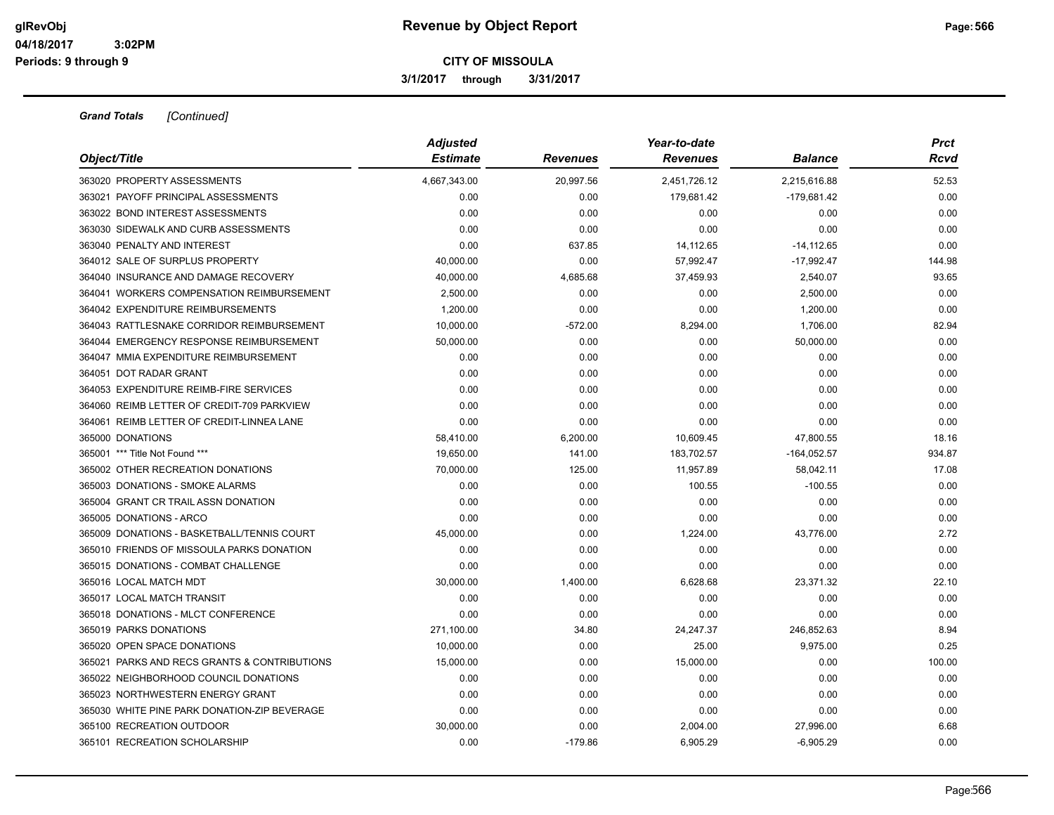| Object/Title                                 | <b>Adjusted</b><br><b>Estimate</b> | <b>Revenues</b> | Year-to-date<br><b>Revenues</b> | <b>Balance</b> | <b>Prct</b><br>Rcvd |
|----------------------------------------------|------------------------------------|-----------------|---------------------------------|----------------|---------------------|
| 363020 PROPERTY ASSESSMENTS                  | 4,667,343.00                       | 20,997.56       | 2,451,726.12                    | 2,215,616.88   | 52.53               |
| 363021 PAYOFF PRINCIPAL ASSESSMENTS          | 0.00                               | 0.00            | 179,681.42                      | $-179,681.42$  | 0.00                |
| 363022 BOND INTEREST ASSESSMENTS             | 0.00                               | 0.00            | 0.00                            | 0.00           | 0.00                |
| 363030 SIDEWALK AND CURB ASSESSMENTS         | 0.00                               | 0.00            | 0.00                            | 0.00           | 0.00                |
| 363040 PENALTY AND INTEREST                  | 0.00                               | 637.85          | 14,112.65                       | $-14, 112.65$  | 0.00                |
| 364012 SALE OF SURPLUS PROPERTY              | 40,000.00                          | 0.00            | 57,992.47                       | $-17,992.47$   | 144.98              |
| 364040 INSURANCE AND DAMAGE RECOVERY         | 40,000.00                          | 4,685.68        | 37,459.93                       | 2,540.07       | 93.65               |
| 364041 WORKERS COMPENSATION REIMBURSEMENT    | 2,500.00                           | 0.00            | 0.00                            | 2,500.00       | 0.00                |
| 364042 EXPENDITURE REIMBURSEMENTS            | 1,200.00                           | 0.00            | 0.00                            | 1,200.00       | 0.00                |
| 364043 RATTLESNAKE CORRIDOR REIMBURSEMENT    | 10,000.00                          | $-572.00$       | 8,294.00                        | 1,706.00       | 82.94               |
| 364044 EMERGENCY RESPONSE REIMBURSEMENT      | 50,000.00                          | 0.00            | 0.00                            | 50,000.00      | 0.00                |
| 364047 MMIA EXPENDITURE REIMBURSEMENT        | 0.00                               | 0.00            | 0.00                            | 0.00           | 0.00                |
| 364051 DOT RADAR GRANT                       | 0.00                               | 0.00            | 0.00                            | 0.00           | 0.00                |
| 364053 EXPENDITURE REIMB-FIRE SERVICES       | 0.00                               | 0.00            | 0.00                            | 0.00           | 0.00                |
| 364060 REIMB LETTER OF CREDIT-709 PARKVIEW   | 0.00                               | 0.00            | 0.00                            | 0.00           | 0.00                |
| 364061 REIMB LETTER OF CREDIT-LINNEA LANE    | 0.00                               | 0.00            | 0.00                            | 0.00           | 0.00                |
| 365000 DONATIONS                             | 58,410.00                          | 6,200.00        | 10,609.45                       | 47,800.55      | 18.16               |
| 365001 *** Title Not Found ***               | 19,650.00                          | 141.00          | 183,702.57                      | $-164,052.57$  | 934.87              |
| 365002 OTHER RECREATION DONATIONS            | 70,000.00                          | 125.00          | 11,957.89                       | 58,042.11      | 17.08               |
| 365003 DONATIONS - SMOKE ALARMS              | 0.00                               | 0.00            | 100.55                          | $-100.55$      | 0.00                |
| 365004 GRANT CR TRAIL ASSN DONATION          | 0.00                               | 0.00            | 0.00                            | 0.00           | 0.00                |
| 365005 DONATIONS - ARCO                      | 0.00                               | 0.00            | 0.00                            | 0.00           | 0.00                |
| 365009 DONATIONS - BASKETBALL/TENNIS COURT   | 45,000.00                          | 0.00            | 1,224.00                        | 43,776.00      | 2.72                |
| 365010 FRIENDS OF MISSOULA PARKS DONATION    | 0.00                               | 0.00            | 0.00                            | 0.00           | 0.00                |
| 365015 DONATIONS - COMBAT CHALLENGE          | 0.00                               | 0.00            | 0.00                            | 0.00           | 0.00                |
| 365016 LOCAL MATCH MDT                       | 30,000.00                          | 1,400.00        | 6,628.68                        | 23,371.32      | 22.10               |
| 365017 LOCAL MATCH TRANSIT                   | 0.00                               | 0.00            | 0.00                            | 0.00           | 0.00                |
| 365018 DONATIONS - MLCT CONFERENCE           | 0.00                               | 0.00            | 0.00                            | 0.00           | 0.00                |
| 365019 PARKS DONATIONS                       | 271,100.00                         | 34.80           | 24,247.37                       | 246,852.63     | 8.94                |
| 365020 OPEN SPACE DONATIONS                  | 10,000.00                          | 0.00            | 25.00                           | 9,975.00       | 0.25                |
| 365021 PARKS AND RECS GRANTS & CONTRIBUTIONS | 15,000.00                          | 0.00            | 15,000.00                       | 0.00           | 100.00              |
| 365022 NEIGHBORHOOD COUNCIL DONATIONS        | 0.00                               | 0.00            | 0.00                            | 0.00           | 0.00                |
| 365023 NORTHWESTERN ENERGY GRANT             | 0.00                               | 0.00            | 0.00                            | 0.00           | 0.00                |
| 365030 WHITE PINE PARK DONATION-ZIP BEVERAGE | 0.00                               | 0.00            | 0.00                            | 0.00           | 0.00                |
| 365100 RECREATION OUTDOOR                    | 30,000.00                          | 0.00            | 2,004.00                        | 27,996.00      | 6.68                |
| 365101 RECREATION SCHOLARSHIP                | 0.00                               | $-179.86$       | 6,905.29                        | $-6,905.29$    | 0.00                |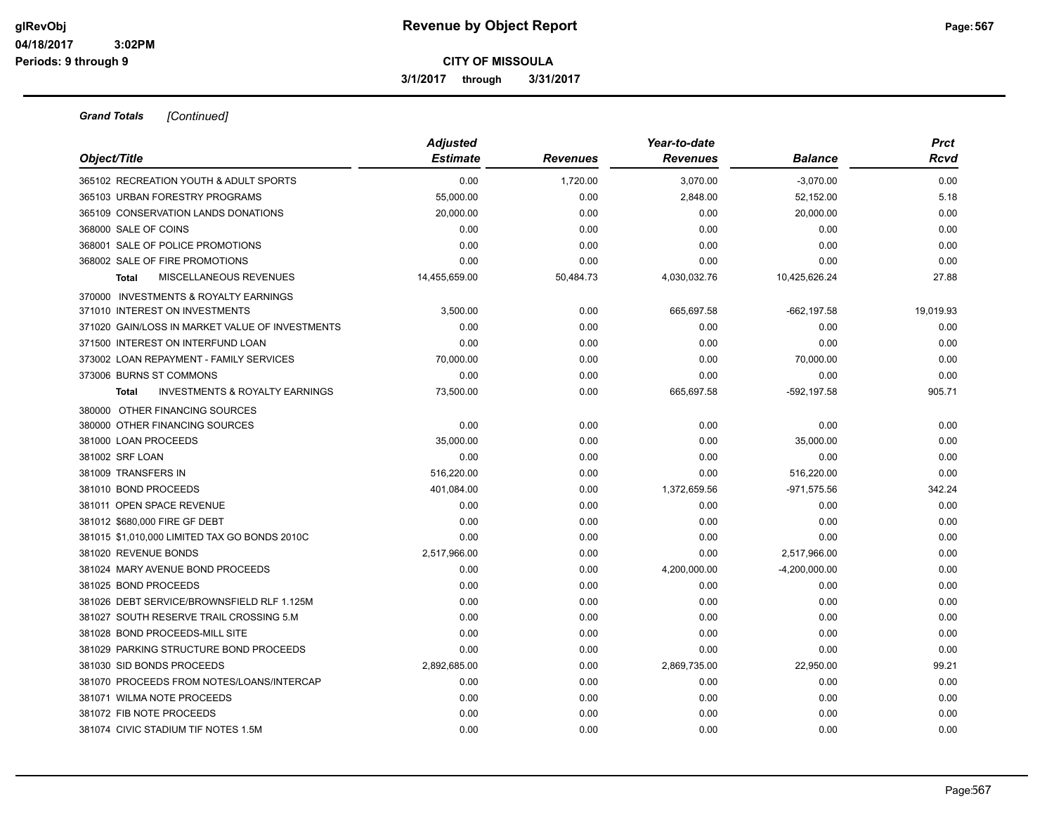| Object/Title                                              | <b>Adjusted</b><br><b>Estimate</b> | <b>Revenues</b> | Year-to-date<br><b>Revenues</b> | <b>Balance</b>  | <b>Prct</b><br><b>Rcvd</b> |
|-----------------------------------------------------------|------------------------------------|-----------------|---------------------------------|-----------------|----------------------------|
| 365102 RECREATION YOUTH & ADULT SPORTS                    | 0.00                               | 1,720.00        | 3,070.00                        | $-3,070.00$     | 0.00                       |
| 365103 URBAN FORESTRY PROGRAMS                            | 55,000.00                          | 0.00            | 2,848.00                        | 52,152.00       | 5.18                       |
| 365109 CONSERVATION LANDS DONATIONS                       | 20,000.00                          | 0.00            | 0.00                            | 20,000.00       | 0.00                       |
| 368000 SALE OF COINS                                      | 0.00                               | 0.00            | 0.00                            | 0.00            | 0.00                       |
| 368001 SALE OF POLICE PROMOTIONS                          | 0.00                               | 0.00            | 0.00                            | 0.00            | 0.00                       |
| 368002 SALE OF FIRE PROMOTIONS                            | 0.00                               | 0.00            | 0.00                            | 0.00            | 0.00                       |
| MISCELLANEOUS REVENUES<br><b>Total</b>                    | 14,455,659.00                      | 50,484.73       | 4,030,032.76                    | 10,425,626.24   | 27.88                      |
| 370000 INVESTMENTS & ROYALTY EARNINGS                     |                                    |                 |                                 |                 |                            |
| 371010 INTEREST ON INVESTMENTS                            | 3,500.00                           | 0.00            | 665,697.58                      | $-662, 197.58$  | 19,019.93                  |
| 371020 GAIN/LOSS IN MARKET VALUE OF INVESTMENTS           | 0.00                               | 0.00            | 0.00                            | 0.00            | 0.00                       |
| 371500 INTEREST ON INTERFUND LOAN                         | 0.00                               | 0.00            | 0.00                            | 0.00            | 0.00                       |
| 373002 LOAN REPAYMENT - FAMILY SERVICES                   | 70,000.00                          | 0.00            | 0.00                            | 70,000.00       | 0.00                       |
| 373006 BURNS ST COMMONS                                   | 0.00                               | 0.00            | 0.00                            | 0.00            | 0.00                       |
| <b>INVESTMENTS &amp; ROYALTY EARNINGS</b><br><b>Total</b> | 73,500.00                          | 0.00            | 665,697.58                      | $-592, 197.58$  | 905.71                     |
| 380000 OTHER FINANCING SOURCES                            |                                    |                 |                                 |                 |                            |
| 380000 OTHER FINANCING SOURCES                            | 0.00                               | 0.00            | 0.00                            | 0.00            | 0.00                       |
| 381000 LOAN PROCEEDS                                      | 35,000.00                          | 0.00            | 0.00                            | 35,000.00       | 0.00                       |
| 381002 SRF LOAN                                           | 0.00                               | 0.00            | 0.00                            | 0.00            | 0.00                       |
| 381009 TRANSFERS IN                                       | 516,220.00                         | 0.00            | 0.00                            | 516,220.00      | 0.00                       |
| 381010 BOND PROCEEDS                                      | 401,084.00                         | 0.00            | 1,372,659.56                    | $-971,575.56$   | 342.24                     |
| 381011 OPEN SPACE REVENUE                                 | 0.00                               | 0.00            | 0.00                            | 0.00            | 0.00                       |
| 381012 \$680,000 FIRE GF DEBT                             | 0.00                               | 0.00            | 0.00                            | 0.00            | 0.00                       |
| 381015 \$1,010,000 LIMITED TAX GO BONDS 2010C             | 0.00                               | 0.00            | 0.00                            | 0.00            | 0.00                       |
| 381020 REVENUE BONDS                                      | 2,517,966.00                       | 0.00            | 0.00                            | 2,517,966.00    | 0.00                       |
| 381024 MARY AVENUE BOND PROCEEDS                          | 0.00                               | 0.00            | 4,200,000.00                    | $-4,200,000.00$ | 0.00                       |
| 381025 BOND PROCEEDS                                      | 0.00                               | 0.00            | 0.00                            | 0.00            | 0.00                       |
| 381026 DEBT SERVICE/BROWNSFIELD RLF 1.125M                | 0.00                               | 0.00            | 0.00                            | 0.00            | 0.00                       |
| 381027 SOUTH RESERVE TRAIL CROSSING 5.M                   | 0.00                               | 0.00            | 0.00                            | 0.00            | 0.00                       |
| 381028 BOND PROCEEDS-MILL SITE                            | 0.00                               | 0.00            | 0.00                            | 0.00            | 0.00                       |
| 381029 PARKING STRUCTURE BOND PROCEEDS                    | 0.00                               | 0.00            | 0.00                            | 0.00            | 0.00                       |
| 381030 SID BONDS PROCEEDS                                 | 2,892,685.00                       | 0.00            | 2,869,735.00                    | 22,950.00       | 99.21                      |
| 381070 PROCEEDS FROM NOTES/LOANS/INTERCAP                 | 0.00                               | 0.00            | 0.00                            | 0.00            | 0.00                       |
| 381071 WILMA NOTE PROCEEDS                                | 0.00                               | 0.00            | 0.00                            | 0.00            | 0.00                       |
| 381072 FIB NOTE PROCEEDS                                  | 0.00                               | 0.00            | 0.00                            | 0.00            | 0.00                       |
| 381074 CIVIC STADIUM TIF NOTES 1.5M                       | 0.00                               | 0.00            | 0.00                            | 0.00            | 0.00                       |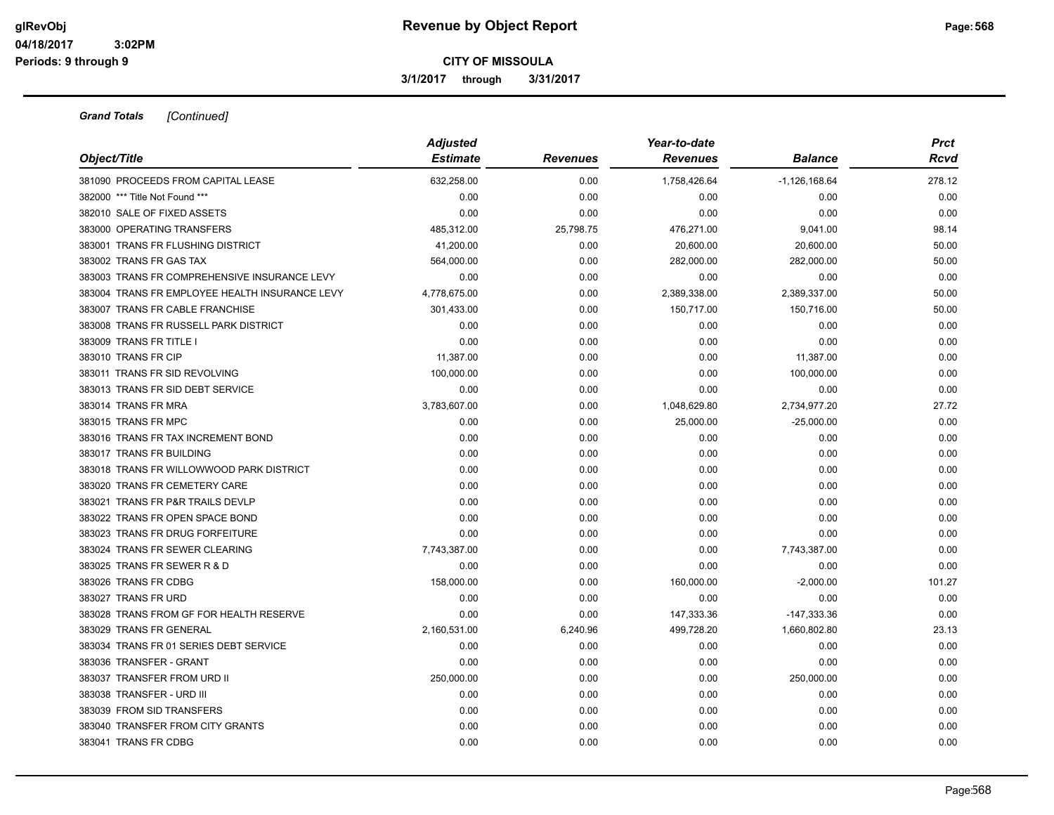| Object/Title                                   | <b>Adjusted</b><br><b>Estimate</b> | <b>Revenues</b> | Year-to-date<br><b>Revenues</b> | <b>Balance</b>  | <b>Prct</b><br><b>Rcvd</b> |
|------------------------------------------------|------------------------------------|-----------------|---------------------------------|-----------------|----------------------------|
|                                                |                                    |                 |                                 |                 |                            |
| 381090 PROCEEDS FROM CAPITAL LEASE             | 632.258.00                         | 0.00            | 1,758,426.64                    | $-1,126,168.64$ | 278.12                     |
| 382000 *** Title Not Found ***                 | 0.00                               | 0.00            | 0.00                            | 0.00            | 0.00                       |
| 382010 SALE OF FIXED ASSETS                    | 0.00                               | 0.00            | 0.00                            | 0.00            | 0.00                       |
| 383000 OPERATING TRANSFERS                     | 485,312.00                         | 25,798.75       | 476,271.00                      | 9,041.00        | 98.14                      |
| 383001 TRANS FR FLUSHING DISTRICT              | 41,200.00                          | 0.00            | 20,600.00                       | 20,600.00       | 50.00                      |
| 383002 TRANS FR GAS TAX                        | 564,000.00                         | 0.00            | 282,000.00                      | 282,000.00      | 50.00                      |
| 383003 TRANS FR COMPREHENSIVE INSURANCE LEVY   | 0.00                               | 0.00            | 0.00                            | 0.00            | 0.00                       |
| 383004 TRANS FR EMPLOYEE HEALTH INSURANCE LEVY | 4,778,675.00                       | 0.00            | 2,389,338.00                    | 2,389,337.00    | 50.00                      |
| 383007 TRANS FR CABLE FRANCHISE                | 301,433.00                         | 0.00            | 150,717.00                      | 150,716.00      | 50.00                      |
| 383008 TRANS FR RUSSELL PARK DISTRICT          | 0.00                               | 0.00            | 0.00                            | 0.00            | 0.00                       |
| 383009 TRANS FR TITLE I                        | 0.00                               | 0.00            | 0.00                            | 0.00            | 0.00                       |
| 383010 TRANS FR CIP                            | 11,387.00                          | 0.00            | 0.00                            | 11,387.00       | 0.00                       |
| 383011 TRANS FR SID REVOLVING                  | 100,000.00                         | 0.00            | 0.00                            | 100,000.00      | 0.00                       |
| 383013 TRANS FR SID DEBT SERVICE               | 0.00                               | 0.00            | 0.00                            | 0.00            | 0.00                       |
| 383014 TRANS FR MRA                            | 3,783,607.00                       | 0.00            | 1,048,629.80                    | 2,734,977.20    | 27.72                      |
| 383015 TRANS FR MPC                            | 0.00                               | 0.00            | 25,000.00                       | $-25,000.00$    | 0.00                       |
| 383016 TRANS FR TAX INCREMENT BOND             | 0.00                               | 0.00            | 0.00                            | 0.00            | 0.00                       |
| 383017 TRANS FR BUILDING                       | 0.00                               | 0.00            | 0.00                            | 0.00            | 0.00                       |
| 383018 TRANS FR WILLOWWOOD PARK DISTRICT       | 0.00                               | 0.00            | 0.00                            | 0.00            | 0.00                       |
| 383020 TRANS FR CEMETERY CARE                  | 0.00                               | 0.00            | 0.00                            | 0.00            | 0.00                       |
| 383021 TRANS FR P&R TRAILS DEVLP               | 0.00                               | 0.00            | 0.00                            | 0.00            | 0.00                       |
| 383022 TRANS FR OPEN SPACE BOND                | 0.00                               | 0.00            | 0.00                            | 0.00            | 0.00                       |
| 383023 TRANS FR DRUG FORFEITURE                | 0.00                               | 0.00            | 0.00                            | 0.00            | 0.00                       |
| 383024 TRANS FR SEWER CLEARING                 | 7,743,387.00                       | 0.00            | 0.00                            | 7,743,387.00    | 0.00                       |
| 383025 TRANS FR SEWER R & D                    | 0.00                               | 0.00            | 0.00                            | 0.00            | 0.00                       |
| 383026 TRANS FR CDBG                           | 158,000.00                         | 0.00            | 160,000.00                      | $-2,000.00$     | 101.27                     |
| 383027 TRANS FR URD                            | 0.00                               | 0.00            | 0.00                            | 0.00            | 0.00                       |
| 383028 TRANS FROM GF FOR HEALTH RESERVE        | 0.00                               | 0.00            | 147,333.36                      | $-147,333.36$   | 0.00                       |
| 383029 TRANS FR GENERAL                        | 2,160,531.00                       | 6,240.96        | 499,728.20                      | 1,660,802.80    | 23.13                      |
| 383034 TRANS FR 01 SERIES DEBT SERVICE         | 0.00                               | 0.00            | 0.00                            | 0.00            | 0.00                       |
| 383036 TRANSFER - GRANT                        | 0.00                               | 0.00            | 0.00                            | 0.00            | 0.00                       |
| 383037 TRANSFER FROM URD II                    | 250,000.00                         | 0.00            | 0.00                            | 250,000.00      | 0.00                       |
| 383038 TRANSFER - URD III                      | 0.00                               | 0.00            | 0.00                            | 0.00            | 0.00                       |
| 383039 FROM SID TRANSFERS                      | 0.00                               | 0.00            | 0.00                            | 0.00            | 0.00                       |
| 383040 TRANSFER FROM CITY GRANTS               | 0.00                               | 0.00            | 0.00                            | 0.00            | 0.00                       |
| 383041 TRANS FR CDBG                           | 0.00                               | 0.00            | 0.00                            | 0.00            | 0.00                       |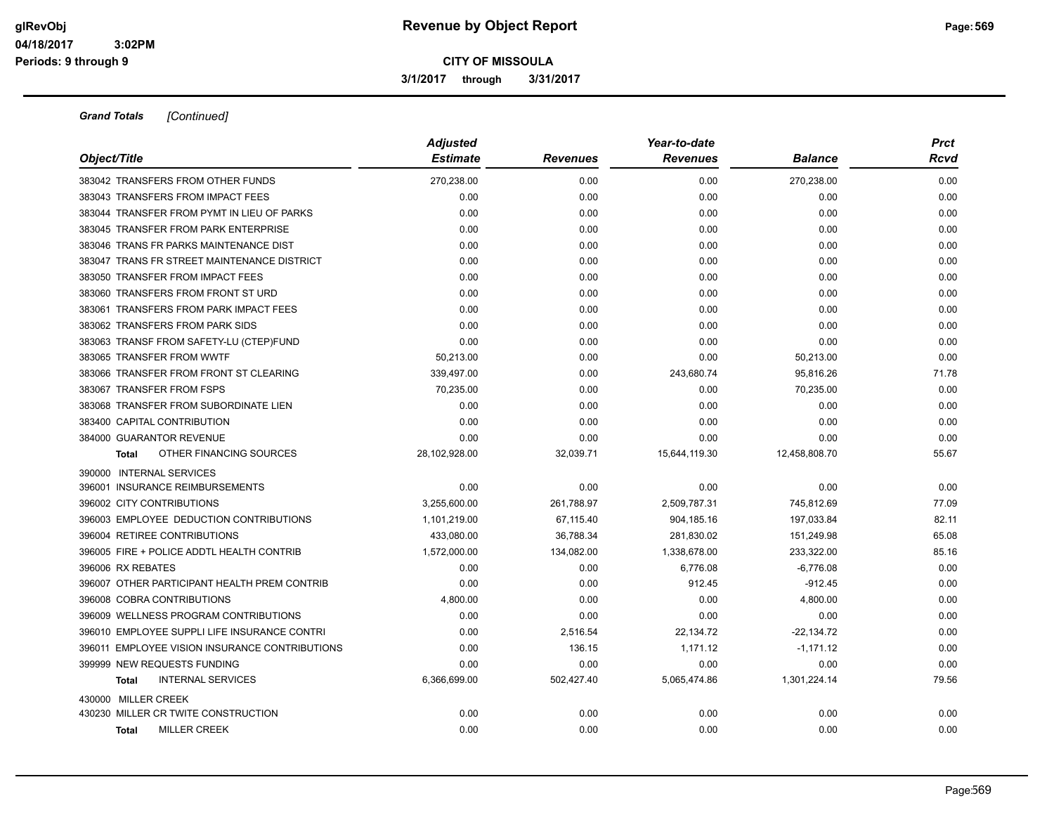| Object/Title                                   | <b>Adjusted</b><br><b>Estimate</b> | <b>Revenues</b> | Year-to-date<br><b>Revenues</b> | <b>Balance</b> | Prct<br><b>Rcvd</b> |
|------------------------------------------------|------------------------------------|-----------------|---------------------------------|----------------|---------------------|
|                                                |                                    |                 |                                 |                |                     |
| 383042 TRANSFERS FROM OTHER FUNDS              | 270,238.00                         | 0.00            | 0.00                            | 270,238.00     | 0.00                |
| 383043 TRANSFERS FROM IMPACT FEES              | 0.00                               | 0.00            | 0.00                            | 0.00           | 0.00                |
| 383044 TRANSFER FROM PYMT IN LIEU OF PARKS     | 0.00                               | 0.00            | 0.00                            | 0.00           | 0.00                |
| 383045 TRANSFER FROM PARK ENTERPRISE           | 0.00                               | 0.00            | 0.00                            | 0.00           | 0.00                |
| 383046 TRANS FR PARKS MAINTENANCE DIST         | 0.00                               | 0.00            | 0.00                            | 0.00           | 0.00                |
| 383047 TRANS FR STREET MAINTENANCE DISTRICT    | 0.00                               | 0.00            | 0.00                            | 0.00           | 0.00                |
| 383050 TRANSFER FROM IMPACT FEES               | 0.00                               | 0.00            | 0.00                            | 0.00           | 0.00                |
| 383060 TRANSFERS FROM FRONT ST URD             | 0.00                               | 0.00            | 0.00                            | 0.00           | 0.00                |
| 383061 TRANSFERS FROM PARK IMPACT FEES         | 0.00                               | 0.00            | 0.00                            | 0.00           | 0.00                |
| 383062 TRANSFERS FROM PARK SIDS                | 0.00                               | 0.00            | 0.00                            | 0.00           | 0.00                |
| 383063 TRANSF FROM SAFETY-LU (CTEP)FUND        | 0.00                               | 0.00            | 0.00                            | 0.00           | 0.00                |
| 383065 TRANSFER FROM WWTF                      | 50,213.00                          | 0.00            | 0.00                            | 50,213.00      | 0.00                |
| 383066 TRANSFER FROM FRONT ST CLEARING         | 339,497.00                         | 0.00            | 243,680.74                      | 95,816.26      | 71.78               |
| 383067 TRANSFER FROM FSPS                      | 70,235.00                          | 0.00            | 0.00                            | 70,235.00      | 0.00                |
| 383068 TRANSFER FROM SUBORDINATE LIEN          | 0.00                               | 0.00            | 0.00                            | 0.00           | 0.00                |
| 383400 CAPITAL CONTRIBUTION                    | 0.00                               | 0.00            | 0.00                            | 0.00           | 0.00                |
| 384000 GUARANTOR REVENUE                       | 0.00                               | 0.00            | 0.00                            | 0.00           | 0.00                |
| OTHER FINANCING SOURCES<br>Total               | 28,102,928.00                      | 32,039.71       | 15,644,119.30                   | 12,458,808.70  | 55.67               |
| 390000 INTERNAL SERVICES                       |                                    |                 |                                 |                |                     |
| 396001 INSURANCE REIMBURSEMENTS                | 0.00                               | 0.00            | 0.00                            | 0.00           | 0.00                |
| 396002 CITY CONTRIBUTIONS                      | 3,255,600.00                       | 261,788.97      | 2,509,787.31                    | 745,812.69     | 77.09               |
| 396003 EMPLOYEE DEDUCTION CONTRIBUTIONS        | 1,101,219.00                       | 67,115.40       | 904,185.16                      | 197,033.84     | 82.11               |
| 396004 RETIREE CONTRIBUTIONS                   | 433,080.00                         | 36,788.34       | 281.830.02                      | 151,249.98     | 65.08               |
| 396005 FIRE + POLICE ADDTL HEALTH CONTRIB      | 1,572,000.00                       | 134,082.00      | 1.338.678.00                    | 233.322.00     | 85.16               |
| 396006 RX REBATES                              | 0.00                               | 0.00            | 6,776.08                        | $-6,776.08$    | 0.00                |
| 396007 OTHER PARTICIPANT HEALTH PREM CONTRIB   | 0.00                               | 0.00            | 912.45                          | $-912.45$      | 0.00                |
| 396008 COBRA CONTRIBUTIONS                     | 4,800.00                           | 0.00            | 0.00                            | 4,800.00       | 0.00                |
| 396009 WELLNESS PROGRAM CONTRIBUTIONS          | 0.00                               | 0.00            | 0.00                            | 0.00           | 0.00                |
| 396010 EMPLOYEE SUPPLI LIFE INSURANCE CONTRI   | 0.00                               | 2,516.54        | 22,134.72                       | $-22,134.72$   | 0.00                |
| 396011 EMPLOYEE VISION INSURANCE CONTRIBUTIONS | 0.00                               | 136.15          | 1.171.12                        | $-1,171.12$    | 0.00                |
| 399999 NEW REQUESTS FUNDING                    | 0.00                               | 0.00            | 0.00                            | 0.00           | 0.00                |
| <b>INTERNAL SERVICES</b><br>Total              | 6,366,699.00                       | 502,427.40      | 5,065,474.86                    | 1,301,224.14   | 79.56               |
| 430000 MILLER CREEK                            |                                    |                 |                                 |                |                     |
| 430230 MILLER CR TWITE CONSTRUCTION            | 0.00                               | 0.00            | 0.00                            | 0.00           | 0.00                |
| <b>MILLER CREEK</b><br>Total                   | 0.00                               | 0.00            | 0.00                            | 0.00           | 0.00                |